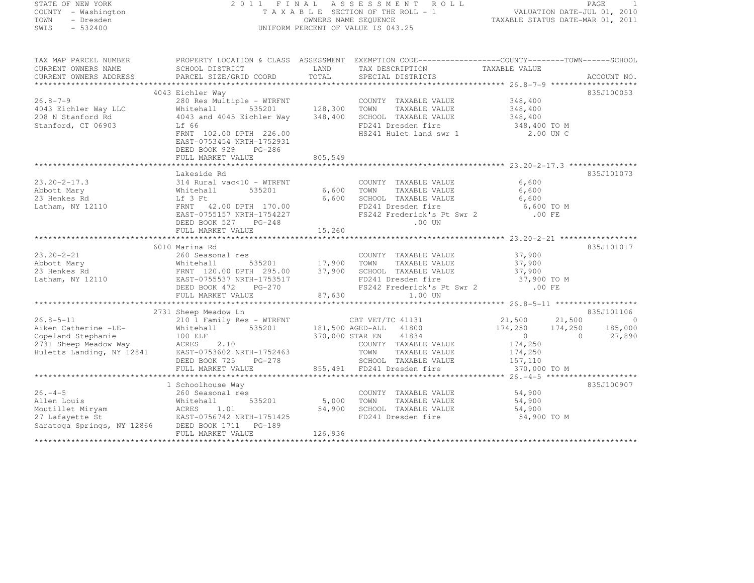STATE OF NEW YORK 2 0 1 1 F I N A L A S S E S S M E N T R O L L PAGE <sup>1</sup> COUNTY - Washington T A X A B L E SECTION OF THE ROLL - 1 VALUATION DATE-JUL 01, 2010 TOWN - Dresden OWNERS NAME SEQUENCE TAXABLE STATUS DATE-MAR 01, 2011<br>- TRESDEN ON THE SEQUENCE TO A SECUENCE TO BE SERVED ON THE SEQUENCE OF SEXUE OF THE STATUS DATE MAR 01, 2011 SWIS - 532400 UNIFORM PERCENT OF VALUE IS 043.25 TAX MAP PARCEL NUMBER PROPERTY LOCATION & CLASS ASSESSMENT EXEMPTION CODE------------------COUNTY--------TOWN------SCHOOL CURRENT OWNERS NAME SCHOOL DISTRICT LAND TAX DESCRIPTION TAXABLE VALUE CURRENT OWNERS ADDRESS PARCEL SIZE/GRID COORD TOTAL SPECIAL DISTRICTS ACCOUNT NO. \*\*\*\*\*\*\*\*\*\*\*\*\*\*\*\*\*\*\*\*\*\*\*\*\*\*\*\*\*\*\*\*\*\*\*\*\*\*\*\*\*\*\*\*\*\*\*\*\*\*\*\*\*\*\*\*\*\*\*\*\*\*\*\*\*\*\*\*\*\*\*\*\*\*\*\*\*\*\*\*\*\*\*\*\*\*\*\*\*\*\*\*\*\*\*\*\*\*\*\*\*\*\* 26.8-7-9 \*\*\*\*\*\*\*\*\*\*\*\*\*\*\*\*\*\*\*835J100053 4043 Eichler Way 835J10005326.8-7-9 280 Res Multiple - WTRFNT COUNTY TAXABLE VALUE 348,400 4043 Eichler Way LLC Whitehall 535201 128,300 TOWN TAXABLE VALUE 348,400

208 N Stanford Rd 4043 and 4045 Eichler Way 348,400 SCHOOL TAXABLE VALUE 348,400 Stanford, CT 06903 Lif 66 FD241 Dresden fire 348,400 TO M FRNT 102.00 DPTH 226.00 HS241 Hulet land swr 1 2.00 UN C EAST-0753454 NRTH-1752931 DEED BOOK 929 PG-286 FULL MARKET VALUE 805,549 \*\*\*\*\*\*\*\*\*\*\*\*\*\*\*\*\*\*\*\*\*\*\*\*\*\*\*\*\*\*\*\*\*\*\*\*\*\*\*\*\*\*\*\*\*\*\*\*\*\*\*\*\*\*\*\*\*\*\*\*\*\*\*\*\*\*\*\*\*\*\*\*\*\*\*\*\*\*\*\*\*\*\*\*\*\*\*\*\*\*\*\*\*\*\*\*\*\*\*\*\*\*\* 23.20-2-17.3 \*\*\*\*\*\*\*\*\*\*\*\*\*\*\* Lakeside Rd 835J101073 23.20-2-17.3 314 Rural vac<10 - WTRFNT COUNTY TAXABLE VALUE 6,600 Abbott Mary Whitehall 535201 6,600 TOWN TAXABLE VALUE 6,600 23 Henkes Rd Lf 3 Ft 6,600 SCHOOL TAXABLE VALUE 6,600 Latham, NY 12110 FRNT 42.00 DPTH 170.00 FD241 Dresden fire 6,600 TO M EAST-0755157 NRTH-1754227 FS242 Frederick's Pt Swr 2 .00 FE DEED BOOK 527 PG-248 .00 UN FULL MARKET VALUE 15,260 \*\*\*\*\*\*\*\*\*\*\*\*\*\*\*\*\*\*\*\*\*\*\*\*\*\*\*\*\*\*\*\*\*\*\*\*\*\*\*\*\*\*\*\*\*\*\*\*\*\*\*\*\*\*\*\*\*\*\*\*\*\*\*\*\*\*\*\*\*\*\*\*\*\*\*\*\*\*\*\*\*\*\*\*\*\*\*\*\*\*\*\*\*\*\*\*\*\*\*\*\*\*\* 23.20-2-21 \*\*\*\*\*\*\*\*\*\*\*\*\*\*\*\*\*835J101017 6010 Marina Rd 835J10101723.20-2-21 260 Seasonal res COUNTY TAXABLE VALUE 37,900 Abbott Mary Whitehall 535201 17,900 TOWN TAXABLE VALUE 37,900 23 Henkes Rd FRNT 120.00 DPTH 295.00 37,900 SCHOOL TAXABLE VALUE 37,900 Latham, NY 12110 EAST-0755537 NRTH-1753517 FD241 Dresden fire 37,900 TO M DEED BOOK 472 PG-270 FS242 Frederick's Pt Swr 2 .00 FEFULL MARKET VALUE 87,630 1.00 UN \*\*\*\*\*\*\*\*\*\*\*\*\*\*\*\*\*\*\*\*\*\*\*\*\*\*\*\*\*\*\*\*\*\*\*\*\*\*\*\*\*\*\*\*\*\*\*\*\*\*\*\*\*\*\*\*\*\*\*\*\*\*\*\*\*\*\*\*\*\*\*\*\*\*\*\*\*\*\*\*\*\*\*\*\*\*\*\*\*\*\*\*\*\*\*\*\*\*\*\*\*\*\* 26.8-5-11 \*\*\*\*\*\*\*\*\*\*\*\*\*\*\*\*\*\*835J101106 2731 Sheep Meadow Ln (2731 Sheep Meadow Ln (2731 Sheep Meadow Ln (21,500 ) 21,500 ) 21,500 ) 21,500 ) 21,500 (<br>21,500 (21,500 ) 21,500 (21,500 ) 21,500 (21,500 ) 21,500 (21,500 ) 21,500 (21,500 ) 21,500 (21,500 ) 21,500 ( Aiken Catherine -LE- Whitehall 535201 181,500 AGED-ALL <sup>41800</sup> 174,250 174,250 185,000 Copeland Stephanie 100 ELF 370,000 STAR EN <sup>41834</sup> <sup>0</sup> 0 27,890 2731 Sheep Meadow Way ACRES 2.10 COUNTY TAXABLE VALUE 174,250 Huletts Landing, NY 12841 EAST-0753602 NRTH-1752463 TOWN TAXABLE VALUE 174,250 DEED BOOK 725 PG-278 SCHOOL TAXABLE VALUE 157,110 FULL MARKET VALUE 855,491 FD241 Dresden fire 370,000 TO M \*\*\*\*\*\*\*\*\*\*\*\*\*\*\*\*\*\*\*\*\*\*\*\*\*\*\*\*\*\*\*\*\*\*\*\*\*\*\*\*\*\*\*\*\*\*\*\*\*\*\*\*\*\*\*\*\*\*\*\*\*\*\*\*\*\*\*\*\*\*\*\*\*\*\*\*\*\*\*\*\*\*\*\*\*\*\*\*\*\*\*\*\*\*\*\*\*\*\*\*\*\*\* 26.-4-5 \*\*\*\*\*\*\*\*\*\*\*\*\*\*\*\*\*\*\*\*835.T100907 1 Schoolhouse Way 835J10090726.-4-5 260 Seasonal res COUNTY TAXABLE VALUE 54,900 Allen Louis Whitehall 535201 5,000 TOWN TAXABLE VALUE 54,900 Moutillet Miryam ACRES 1.01 54,900 SCHOOL TAXABLE VALUE 54,900 27 Lafayette St EAST-0756742 NRTH-1751425 FD241 Dresden fire 54,900 TO M Saratoga Springs, NY 12866 DEED BOOK 1711 PG-189 FULL MARKET VALUE 126,936 \*\*\*\*\*\*\*\*\*\*\*\*\*\*\*\*\*\*\*\*\*\*\*\*\*\*\*\*\*\*\*\*\*\*\*\*\*\*\*\*\*\*\*\*\*\*\*\*\*\*\*\*\*\*\*\*\*\*\*\*\*\*\*\*\*\*\*\*\*\*\*\*\*\*\*\*\*\*\*\*\*\*\*\*\*\*\*\*\*\*\*\*\*\*\*\*\*\*\*\*\*\*\*\*\*\*\*\*\*\*\*\*\*\*\*\*\*\*\*\*\*\*\*\*\*\*\*\*\*\*\*\*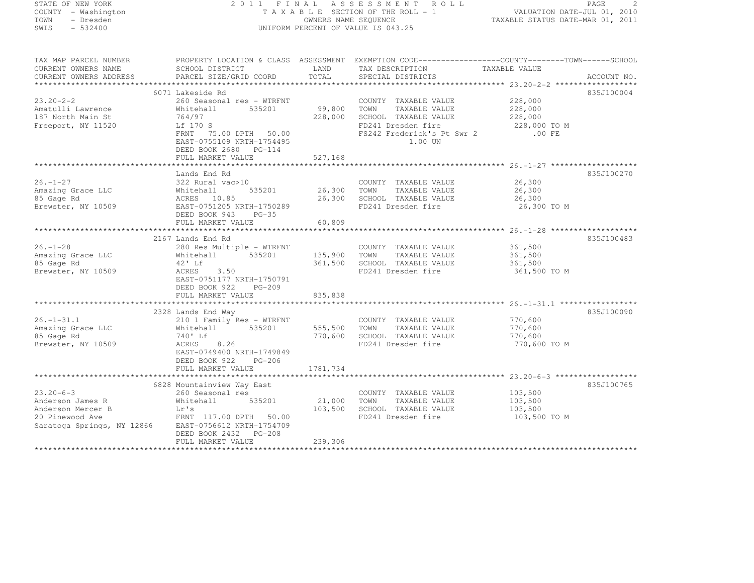| STATE OF NEW YORK                                      |                                                                                                                                                             |                                                                                                        |                                                                                    |                                                                                                                              |  |
|--------------------------------------------------------|-------------------------------------------------------------------------------------------------------------------------------------------------------------|--------------------------------------------------------------------------------------------------------|------------------------------------------------------------------------------------|------------------------------------------------------------------------------------------------------------------------------|--|
| COUNTY - Washington<br>TOWN - Dresden<br>SWIS - 532400 |                                                                                                                                                             | TAXABLE SECTION OF THE ROLL - 1<br>TAXABLE SECTION OF THE ROLL - 1<br>TAXABLE STATUS DATE-MAR 01, 2010 |                                                                                    |                                                                                                                              |  |
|                                                        |                                                                                                                                                             |                                                                                                        |                                                                                    |                                                                                                                              |  |
|                                                        |                                                                                                                                                             |                                                                                                        |                                                                                    | TAX MAP PARCEL NUMBER     PROPERTY LOCATION & CLASS ASSESSMENT EXEMPTION CODE-----------------COUNTY--------TOWN------SCHOOL |  |
| CURRENT OWNERS NAME<br>CURRENT OWNERS ADDRESS          | SCHOOL DISTRICT<br>PARCEL SIZE/GRID COORD                                                                                                                   | LAND<br>TOTAL                                                                                          | TAX DESCRIPTION<br>SPECIAL DISTRICTS                                               | TAXABLE VALUE<br>ACCOUNT NO.                                                                                                 |  |
|                                                        |                                                                                                                                                             |                                                                                                        |                                                                                    |                                                                                                                              |  |
|                                                        | 6071 Lakeside Rd<br>260 Seasonal res - WTRFNT                                                                                                               |                                                                                                        |                                                                                    | 835J100004                                                                                                                   |  |
| 23.20-2-2<br>Amatulli Lawrence                         | 535201                                                                                                                                                      |                                                                                                        | COUNTY TAXABLE VALUE<br>99,800 TOWN TAXABLE VALUE                                  | 228,000<br>228,000                                                                                                           |  |
| 187 North Main St                                      | Whitehall<br>764/97                                                                                                                                         |                                                                                                        | 228,000 SCHOOL TAXABLE VALUE                                                       | 228,000                                                                                                                      |  |
| Freeport, NY 11520                                     | Lf 170 S                                                                                                                                                    |                                                                                                        | FD241 Dresden fire                                                                 | 228,000 TO M                                                                                                                 |  |
|                                                        | FRNT 75.00 DPTH 50.00                                                                                                                                       |                                                                                                        | FS242 Frederick's Pt Swr 2 .00 FE                                                  |                                                                                                                              |  |
|                                                        | EAST-0755109 NRTH-1754495                                                                                                                                   |                                                                                                        | 1.00 UN                                                                            |                                                                                                                              |  |
|                                                        | DEED BOOK 2680 PG-114                                                                                                                                       |                                                                                                        |                                                                                    |                                                                                                                              |  |
|                                                        | FULL MARKET VALUE                                                                                                                                           | 527,168                                                                                                |                                                                                    |                                                                                                                              |  |
|                                                        |                                                                                                                                                             |                                                                                                        |                                                                                    |                                                                                                                              |  |
|                                                        | Lands End Rd                                                                                                                                                |                                                                                                        |                                                                                    | 835J100270                                                                                                                   |  |
|                                                        |                                                                                                                                                             |                                                                                                        | COUNTY TAXABLE VALUE                                                               | 26,300                                                                                                                       |  |
|                                                        | 535201                                                                                                                                                      |                                                                                                        | 26,300 TOWN TAXABLE VALUE                                                          | 26,300                                                                                                                       |  |
|                                                        |                                                                                                                                                             |                                                                                                        | 26,300 SCHOOL TAXABLE VALUE                                                        | 26,300                                                                                                                       |  |
|                                                        |                                                                                                                                                             |                                                                                                        | FD241 Dresden fire                                                                 | 26,300 TO M                                                                                                                  |  |
|                                                        |                                                                                                                                                             | 60,809                                                                                                 |                                                                                    |                                                                                                                              |  |
|                                                        |                                                                                                                                                             |                                                                                                        |                                                                                    |                                                                                                                              |  |
| $26. - 1 - 28$                                         | 2167 Lands End Rd                                                                                                                                           |                                                                                                        |                                                                                    | 835J100483                                                                                                                   |  |
| Amazing Grace LLC                                      | 280 Res Multiple - WTRFNT                                                                                                                                   |                                                                                                        | COUNTY TAXABLE VALUE<br>COUNTY TAXABLE VALUE<br>135,900    TOWN      TAXABLE VALUE | 361,500<br>361,500                                                                                                           |  |
| 85 Gaqe Rd                                             | Whitehall 535201<br>42'Lf                                                                                                                                   |                                                                                                        | 361,500 SCHOOL TAXABLE VALUE                                                       | 361,500                                                                                                                      |  |
| Brewster, NY 10509                                     | <b>ACRES</b><br>3.50                                                                                                                                        |                                                                                                        | FD241 Dresden fire                                                                 | 361,500 TO M                                                                                                                 |  |
|                                                        | EAST-0751177 NRTH-1750791                                                                                                                                   |                                                                                                        |                                                                                    |                                                                                                                              |  |
|                                                        | DEED BOOK 922<br>PG-209                                                                                                                                     |                                                                                                        |                                                                                    |                                                                                                                              |  |
|                                                        | FULL MARKET VALUE                                                                                                                                           | 835,838                                                                                                |                                                                                    |                                                                                                                              |  |
|                                                        |                                                                                                                                                             |                                                                                                        |                                                                                    |                                                                                                                              |  |
|                                                        | 2328 Lands End Way                                                                                                                                          |                                                                                                        |                                                                                    | 835J100090                                                                                                                   |  |
| 26.-1-31.1                                             |                                                                                                                                                             |                                                                                                        |                                                                                    | 770,600                                                                                                                      |  |
| Amazing Grace LLC<br>85 Gage Rd                        |                                                                                                                                                             |                                                                                                        |                                                                                    | 770,600                                                                                                                      |  |
|                                                        |                                                                                                                                                             |                                                                                                        |                                                                                    | 770,600                                                                                                                      |  |
| Brewster, NY 10509                                     | 210 1 =<br>210 1 Family Res - WTRFNT<br>Whitehall 535201 555,500 TOWN TAXABLE VALUE<br>740'Lf 770,600 SCHOOL TAXABLE VALUE<br>ACRES 8.26 FD241 Dresden fire |                                                                                                        |                                                                                    | 770,600 TO M                                                                                                                 |  |
|                                                        | EAST-0749400 NRTH-1749849                                                                                                                                   |                                                                                                        |                                                                                    |                                                                                                                              |  |
|                                                        | DEED BOOK 922<br>PG-206                                                                                                                                     |                                                                                                        |                                                                                    |                                                                                                                              |  |
|                                                        | FULL MARKET VALUE                                                                                                                                           | 1781,734                                                                                               |                                                                                    |                                                                                                                              |  |
|                                                        |                                                                                                                                                             |                                                                                                        |                                                                                    |                                                                                                                              |  |
|                                                        | 6828 Mountainview Way East                                                                                                                                  |                                                                                                        |                                                                                    | 835J100765                                                                                                                   |  |
| $23.20 - 6 - 3$                                        | 260 Seasonal res                                                                                                                                            |                                                                                                        | COUNTY TAXABLE VALUE                                                               | 103,500                                                                                                                      |  |
|                                                        |                                                                                                                                                             |                                                                                                        | 21,000 TOWN TAXABLE VALUE<br>103,500 SCHOOL TAXABLE VALUE                          | 103,500<br>103,500                                                                                                           |  |
|                                                        |                                                                                                                                                             |                                                                                                        | FD241 Dresden fire                                                                 | 103,500 TO M                                                                                                                 |  |
|                                                        |                                                                                                                                                             |                                                                                                        |                                                                                    |                                                                                                                              |  |
|                                                        |                                                                                                                                                             |                                                                                                        |                                                                                    |                                                                                                                              |  |
|                                                        | FULL MARKET VALUE                                                                                                                                           | 239,306                                                                                                |                                                                                    |                                                                                                                              |  |
|                                                        |                                                                                                                                                             |                                                                                                        |                                                                                    |                                                                                                                              |  |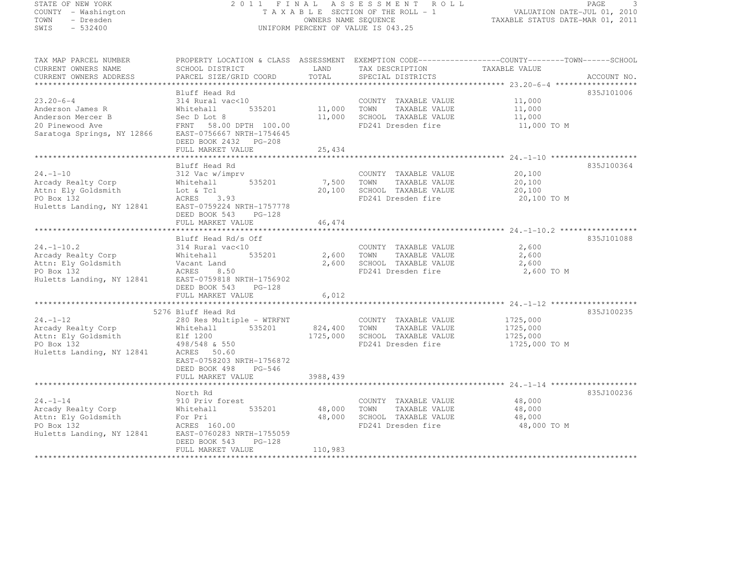## STATE OF NEW YORK 2 0 1 1 F I N A L A S S E S S M E N T R O L L PAGE <sup>3</sup> COUNTY - Washington T A X A B L E SECTION OF THE ROLL - 1 VALUATION DATE-JUL 01, 2010 TOWN - Dresden OWNERS NAME SEQUENCE TAXABLE STATUS DATE-MAR 01, 2011<br>- TRESDEN ON THE SEQUENCE TO A SECUENCE TO BE SERVED ON THE SEQUENCE OF SEXUE OF THE STATUS DATE MAR 01, 2011 SWIS - 532400 UNIFORM PERCENT OF VALUE IS 043.25

| TAX MAP PARCEL NUMBER<br>CURRENT OWNERS NAME<br>CURRENT OWNERS ADDRESS                                                           | PROPERTY LOCATION & CLASS ASSESSMENT EXEMPTION CODE----------------COUNTY-------TOWN------SCHOOL<br>SCHOOL DISTRICT<br>PARCEL SIZE/GRID COORD                                                       | LAND<br>TOTAL                        | TAX DESCRIPTION<br>SPECIAL DISTRICTS                                                        | TAXABLE VALUE                                     | ACCOUNT NO.              |
|----------------------------------------------------------------------------------------------------------------------------------|-----------------------------------------------------------------------------------------------------------------------------------------------------------------------------------------------------|--------------------------------------|---------------------------------------------------------------------------------------------|---------------------------------------------------|--------------------------|
| $23.20 - 6 - 4$<br>Anderson James R                                                                                              | Bluff Head Rd<br>314 Rural vac<10<br>535201<br>Whitehall<br>DEED BOOK 2432 PG-208<br>FULL MARKET VALUE                                                                                              | 11,000<br>11,000<br>25,434           | COUNTY TAXABLE VALUE<br>TOWN<br>TAXABLE VALUE<br>SCHOOL TAXABLE VALUE<br>FD241 Dresden fire | 11,000<br>11,000<br>11,000<br>11,000 TO M         | 835J101006               |
|                                                                                                                                  |                                                                                                                                                                                                     |                                      |                                                                                             |                                                   |                          |
| $24. - 1 - 10$<br>Arcady Realty Corp<br>Attn: Ely Goldsmith<br>PO Box 132<br>Huletts Landing, NY 12841                           | Bluff Head Rd<br>312 Vac w/imprv<br>535201<br>Whitehall<br>Lot & Tcl<br>ACRES 3.93<br>EAST-0759224 NRTH-1757778<br>DEED BOOK 543<br>$PG-128$                                                        | 7,500<br>20,100                      | COUNTY TAXABLE VALUE<br>TOWN<br>TAXABLE VALUE<br>SCHOOL TAXABLE VALUE<br>FD241 Dresden fire | 20,100<br>20,100<br>20,100<br>20,100 TO M         | 835J100364               |
|                                                                                                                                  | FULL MARKET VALUE                                                                                                                                                                                   | 46,474                               |                                                                                             |                                                   |                          |
| $24. - 1 - 10.2$<br>Arcady Realty Corp<br>Attn: Ely Goldsmith<br>PO Box 132<br>Huletts Landing, NY 12841                         | Bluff Head Rd/s Off<br>314 Rural vac<10<br>Whitehall<br>535201<br>Vacant Land<br>ACRES<br>8.50<br>EAST-0759818 NRTH-1756902<br>DEED BOOK 543<br>$PG-128$<br>FULL MARKET VALUE<br>5276 Bluff Head Rd | 2,600<br>2,600<br>6,012              | COUNTY TAXABLE VALUE<br>TAXABLE VALUE<br>TOWN<br>SCHOOL TAXABLE VALUE<br>FD241 Dresden fire | 2,600<br>2,600<br>2,600<br>2,600 TO M             | 835J101088<br>835J100235 |
| $24. - 1 - 12$<br>Arcady Realty Corp<br>Attn: Ely Goldsmith<br>PO Box 132<br>Huletts Landing, NY 12841                           | 280 Res Multiple - WTRFNT<br>535201<br>Whitehall<br>Elf 1200<br>498/548 & 550<br>ACRES 50.60<br>EAST-0758203 NRTH-1756872<br>DEED BOOK 498<br>PG-546<br>FULL MARKET VALUE                           | 824,400 TOWN<br>1725,000<br>3988,439 | COUNTY TAXABLE VALUE<br>TAXABLE VALUE<br>SCHOOL TAXABLE VALUE<br>FD241 Dresden fire         | 1725,000<br>1725,000<br>1725,000<br>1725,000 TO M |                          |
|                                                                                                                                  | North Rd                                                                                                                                                                                            |                                      |                                                                                             |                                                   | 835J100236               |
| $24. - 1 - 14$<br>Arcady Realty Corp<br>Attn: Ely Goldsmith<br>PO Box 132<br>Huletts Landing, NY 12841 EAST-0760283 NRTH-1755059 | 910 Priv forest<br>535201<br>Whitehall<br>For Pri<br>ACRES<br>ACRES 160.00<br>DEED BOOK 543<br>$PG-128$                                                                                             | 48,000<br>48,000                     | COUNTY TAXABLE VALUE<br>TOWN<br>TAXABLE VALUE<br>SCHOOL TAXABLE VALUE<br>FD241 Dresden fire | 48,000<br>48,000<br>48,000<br>48,000 TO M         |                          |
|                                                                                                                                  | FULL MARKET VALUE                                                                                                                                                                                   | 110,983                              |                                                                                             |                                                   |                          |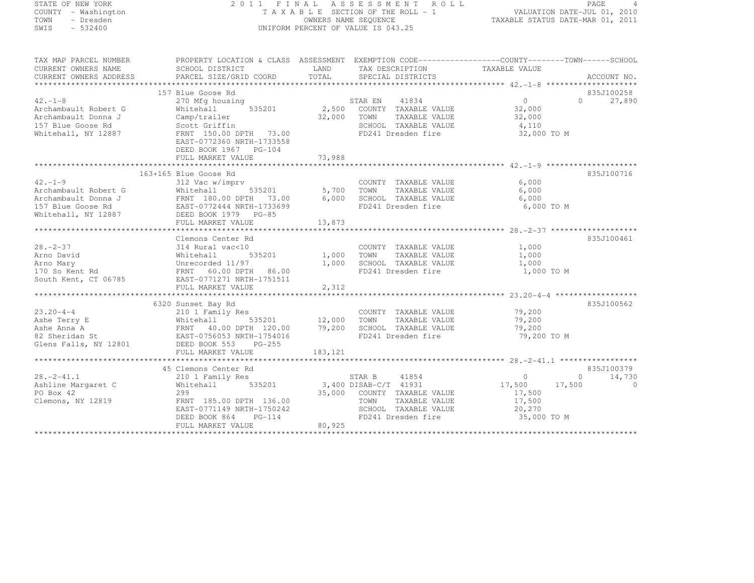## STATE OF NEW YORK 2 0 1 1 F I N A L A S S E S S M E N T R O L L PAGE <sup>4</sup> COUNTY - Washington T A X A B L E SECTION OF THE ROLL - 1 VALUATION DATE-JUL 01, 2010 TOWN - Dresden OWNERS NAME SEQUENCE TAXABLE STATUS DATE-MAR 01, 2011<br>- TRESDEN ON THE SEQUENCE TO A SECUENCE TO BE SERVED ON THE SEQUENCE OF SEXUE OF THE STATUS DATE MAR 01, 2011 SWIS - 532400 UNIFORM PERCENT OF VALUE IS 043.25

| TAX MAP PARCEL NUMBER                                                                                                                                                                                                                | PROPERTY LOCATION & CLASS ASSESSMENT EXEMPTION CODE-----------------COUNTY-------TOWN------SCHOOL                                                                                                                                                                                                                                                                                                                                                                        |       |                                                              |                       |                             |
|--------------------------------------------------------------------------------------------------------------------------------------------------------------------------------------------------------------------------------------|--------------------------------------------------------------------------------------------------------------------------------------------------------------------------------------------------------------------------------------------------------------------------------------------------------------------------------------------------------------------------------------------------------------------------------------------------------------------------|-------|--------------------------------------------------------------|-----------------------|-----------------------------|
|                                                                                                                                                                                                                                      |                                                                                                                                                                                                                                                                                                                                                                                                                                                                          |       |                                                              |                       |                             |
|                                                                                                                                                                                                                                      |                                                                                                                                                                                                                                                                                                                                                                                                                                                                          |       |                                                              |                       |                             |
|                                                                                                                                                                                                                                      |                                                                                                                                                                                                                                                                                                                                                                                                                                                                          |       |                                                              |                       |                             |
|                                                                                                                                                                                                                                      | 157 Blue Goose Rd                                                                                                                                                                                                                                                                                                                                                                                                                                                        |       |                                                              |                       | 835J100258                  |
| $42. -1 - 8$                                                                                                                                                                                                                         | 270 Mfg housing                                                                                                                                                                                                                                                                                                                                                                                                                                                          |       |                                                              | $\overline{0}$        | $\Omega$<br>27,890          |
| Archambault Robert G                                                                                                                                                                                                                 | Whitehall                                                                                                                                                                                                                                                                                                                                                                                                                                                                |       |                                                              | 32,000                |                             |
| Archambault Donna J                                                                                                                                                                                                                  |                                                                                                                                                                                                                                                                                                                                                                                                                                                                          |       |                                                              | TAXABLE VALUE 32,000  |                             |
| 157 Blue Goose Rd                                                                                                                                                                                                                    | Camp/trailer 32,000 TOWN<br>Scott Griffin 5CHOO                                                                                                                                                                                                                                                                                                                                                                                                                          |       |                                                              |                       |                             |
| Whitehall, NY 12887                                                                                                                                                                                                                  | Scott Griffin<br>FRNT 150.00 DPTH 73.00                                                                                                                                                                                                                                                                                                                                                                                                                                  |       | SCHOOL TAXABLE VALUE 4,110<br>FD241 Dresden fire 32,000 TO M |                       |                             |
|                                                                                                                                                                                                                                      | EAST-0772360 NRTH-1733558                                                                                                                                                                                                                                                                                                                                                                                                                                                |       |                                                              |                       |                             |
|                                                                                                                                                                                                                                      | DEED BOOK 1967 PG-104                                                                                                                                                                                                                                                                                                                                                                                                                                                    |       |                                                              |                       |                             |
|                                                                                                                                                                                                                                      |                                                                                                                                                                                                                                                                                                                                                                                                                                                                          |       |                                                              |                       |                             |
|                                                                                                                                                                                                                                      |                                                                                                                                                                                                                                                                                                                                                                                                                                                                          |       |                                                              |                       |                             |
|                                                                                                                                                                                                                                      | 163+165 Blue Goose Rd                                                                                                                                                                                                                                                                                                                                                                                                                                                    |       |                                                              |                       | 835J100716                  |
| $42, -1 - 9$                                                                                                                                                                                                                         | 312 Vac w/imprv                                                                                                                                                                                                                                                                                                                                                                                                                                                          |       | COUNTY TAXABLE VALUE<br>TOWN TAXABLE VALUE                   | $6,000$<br>$6,000$    |                             |
| Archambault Robert G Whitehall 535201 5,700 TOWN                                                                                                                                                                                     |                                                                                                                                                                                                                                                                                                                                                                                                                                                                          |       |                                                              | 6,000                 |                             |
|                                                                                                                                                                                                                                      |                                                                                                                                                                                                                                                                                                                                                                                                                                                                          |       |                                                              |                       |                             |
|                                                                                                                                                                                                                                      |                                                                                                                                                                                                                                                                                                                                                                                                                                                                          |       |                                                              | 6,000 TO M            |                             |
| Archambault Donna J<br>Archambault Donna J<br>ERNT 180.00 DPTH 73.00 6,000 SCHOOL TAXABLE VALUE 6,000<br>TD241 Dresden fire 6,000<br>Whitehall, NY 12887 DEED BOOK 1979 PG-85                                                        |                                                                                                                                                                                                                                                                                                                                                                                                                                                                          |       |                                                              |                       |                             |
|                                                                                                                                                                                                                                      |                                                                                                                                                                                                                                                                                                                                                                                                                                                                          |       |                                                              |                       |                             |
|                                                                                                                                                                                                                                      |                                                                                                                                                                                                                                                                                                                                                                                                                                                                          |       |                                                              |                       |                             |
|                                                                                                                                                                                                                                      | Clemons Center Rd                                                                                                                                                                                                                                                                                                                                                                                                                                                        |       |                                                              |                       | 835J100461                  |
| $28. - 2 - 37$                                                                                                                                                                                                                       | 314 Rural vac<10                                                                                                                                                                                                                                                                                                                                                                                                                                                         |       | COUNTY TAXABLE VALUE 1,000                                   |                       |                             |
|                                                                                                                                                                                                                                      | $\frac{1}{100}$<br>$\frac{1}{200}$<br>$\frac{1}{200}$<br>$\frac{1}{200}$<br>$\frac{1}{200}$<br>$\frac{1}{200}$<br>$\frac{1}{200}$<br>$\frac{1}{200}$<br>$\frac{1}{200}$                                                                                                                                                                                                                                                                                                  |       |                                                              |                       |                             |
| 28.-2-37 314 Rural vac<10 COUNTY TAXABLE VALUE 1,000<br>Arno David Whitehall 535201 1,000 TOWN TAXABLE VALUE 1,000<br>Arno Mary Unrecorded 11/97 1,000 SCHOOL TAXABLE VALUE 1,000<br>170 So Kent Rd FRNT 60.00 DPTH 86.00 FD241 Dres |                                                                                                                                                                                                                                                                                                                                                                                                                                                                          |       |                                                              |                       |                             |
|                                                                                                                                                                                                                                      |                                                                                                                                                                                                                                                                                                                                                                                                                                                                          |       |                                                              | 1,000 TO M            |                             |
| South Kent, CT 06785 EAST-0771271 NRTH-1751511                                                                                                                                                                                       |                                                                                                                                                                                                                                                                                                                                                                                                                                                                          |       |                                                              |                       |                             |
|                                                                                                                                                                                                                                      | FULL MARKET VALUE                                                                                                                                                                                                                                                                                                                                                                                                                                                        | 2,312 |                                                              |                       |                             |
|                                                                                                                                                                                                                                      |                                                                                                                                                                                                                                                                                                                                                                                                                                                                          |       |                                                              |                       |                             |
|                                                                                                                                                                                                                                      | 6320 Sunset Bay Rd                                                                                                                                                                                                                                                                                                                                                                                                                                                       |       |                                                              |                       | 835J100562                  |
| $23.20 - 4 - 4$                                                                                                                                                                                                                      | sunset Bay Rd<br>210 1 Family Res                                                                                                                                                                                                                                                                                                                                                                                                                                        |       | COUNTY TAXABLE VALUE 79,200                                  |                       |                             |
|                                                                                                                                                                                                                                      |                                                                                                                                                                                                                                                                                                                                                                                                                                                                          |       |                                                              | TAXABLE VALUE 79,200  |                             |
|                                                                                                                                                                                                                                      |                                                                                                                                                                                                                                                                                                                                                                                                                                                                          |       |                                                              |                       |                             |
|                                                                                                                                                                                                                                      |                                                                                                                                                                                                                                                                                                                                                                                                                                                                          |       |                                                              | 79,200<br>79,200 TO M |                             |
| EXECUTIVE Minitehall 535201 12,000 TOWN TAXABLE VALUE<br>Ashe Terry E Whitehall 535201 12,000 TOWN TAXABLE VALUE<br>Ashe Anna A FRNT 40.00 DPTH 120.00 79,200 SCHOOL TAXABLE VALUE<br>82 Sheridan St EAST-0756053 NRTH-1754016 FD241 |                                                                                                                                                                                                                                                                                                                                                                                                                                                                          |       |                                                              |                       |                             |
|                                                                                                                                                                                                                                      |                                                                                                                                                                                                                                                                                                                                                                                                                                                                          |       |                                                              |                       |                             |
| 010113 10110, 11 11001 – 1001 – 1001 – 1001 – 183, 121<br>FULL MARKET VALUE – 183, 121 – 183, 121 – 183, 193 – 183, 193 – 183 – 183 – 194 – 183 – 194 – 195 – 197 – 198 – 1                                                          |                                                                                                                                                                                                                                                                                                                                                                                                                                                                          |       |                                                              |                       |                             |
|                                                                                                                                                                                                                                      | 45 Clemons Center Rd                                                                                                                                                                                                                                                                                                                                                                                                                                                     |       |                                                              |                       | 835J100379                  |
|                                                                                                                                                                                                                                      |                                                                                                                                                                                                                                                                                                                                                                                                                                                                          |       | STAR B 41854 0                                               |                       | 14,730<br>$0 \qquad \qquad$ |
|                                                                                                                                                                                                                                      |                                                                                                                                                                                                                                                                                                                                                                                                                                                                          |       |                                                              | $17,500$ $17,500$     | $\overline{0}$              |
| PO Box 42                                                                                                                                                                                                                            |                                                                                                                                                                                                                                                                                                                                                                                                                                                                          |       |                                                              | 17,500                |                             |
| Clemons, NY 12819                                                                                                                                                                                                                    |                                                                                                                                                                                                                                                                                                                                                                                                                                                                          |       |                                                              | TAXABLE VALUE 17,500  |                             |
|                                                                                                                                                                                                                                      |                                                                                                                                                                                                                                                                                                                                                                                                                                                                          |       |                                                              |                       |                             |
|                                                                                                                                                                                                                                      |                                                                                                                                                                                                                                                                                                                                                                                                                                                                          |       | SCHOOL TAXABLE VALUE<br>FD241 Dresden fire                   | 20,270<br>35,000 TO M |                             |
|                                                                                                                                                                                                                                      | $\begin{tabular}{lllllllllll} \multicolumn{2}{c}{\begin{tabular}{l}c@{}} \multicolumn{2}{c}{\begin{tabular}{l}c@{}} \multicolumn{2}{c}{\begin{tabular}{l}c@{}} \multicolumn{2}{c}{\begin{tabular}{l}c@{}} \multicolumn{2}{c}{\begin{tabular}{l}c@{}} \multicolumn{2}{c}{\begin{tabular}{l}c@{}} \multicolumn{2}{c}{\begin{tabular}{l}c@{}} \multicolumn{2}{c}{\begin{tabular}{l}c@{}} \multicolumn{2}{c}{\begin{tabular}{l}c@{}} \multicolumn{2}{c}{\begin{tabular}{l}c$ |       |                                                              |                       |                             |
|                                                                                                                                                                                                                                      |                                                                                                                                                                                                                                                                                                                                                                                                                                                                          |       |                                                              |                       |                             |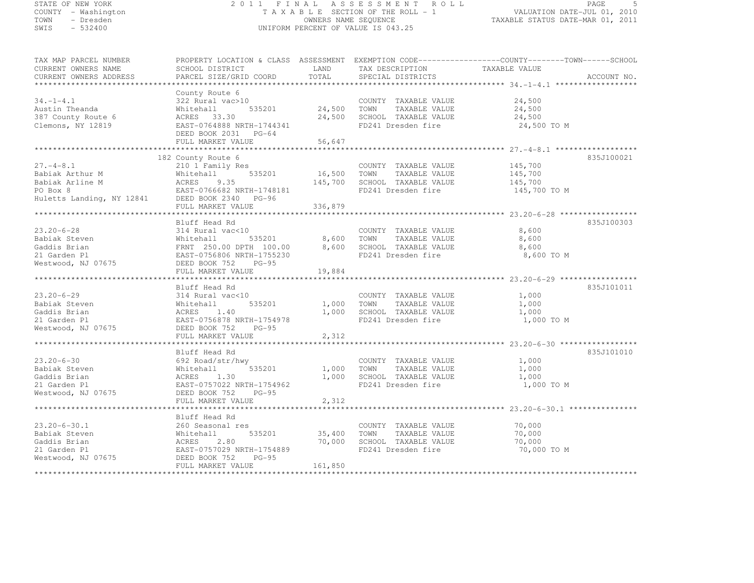# STATE OF NEW YORK 2 0 1 1 F I N A L A S S E S S M E N T R O L L PAGE <sup>5</sup> COUNTY - Washington T A X A B L E SECTION OF THE ROLL - 1 VALUATION DATE-JUL 01, 2010 TOWN - Dresden OWNERS NAME SEQUENCE TAXABLE STATUS DATE-MAR 01, 2011<br>- TRESDEN ON THE SEQUENCE TO A SECUENCE TO BE SERVED ON THE SEQUENCE OF SEXUE OF THE STATUS DATE MAR 01, 2011 SWIS - 532400 UNIFORM PERCENT OF VALUE IS 043.25

| TAX MAP PARCEL NUMBER<br>CURRENT OWNERS NAME<br>CURRENT OWNERS ADDRESS                                                                                                                                                                                                      | SCHOOL DISTRICT<br>PARCEL SIZE/GRID COORD                                                                                      | LAND<br>TOTAL         | TAX DESCRIPTION<br>SPECIAL DISTRICTS                                                                                           | PROPERTY LOCATION & CLASS ASSESSMENT EXEMPTION CODE----------------COUNTY-------TOWN------SCHOOL<br>TAXABLE VALUE<br>ACCOUNT NO. |
|-----------------------------------------------------------------------------------------------------------------------------------------------------------------------------------------------------------------------------------------------------------------------------|--------------------------------------------------------------------------------------------------------------------------------|-----------------------|--------------------------------------------------------------------------------------------------------------------------------|----------------------------------------------------------------------------------------------------------------------------------|
|                                                                                                                                                                                                                                                                             |                                                                                                                                |                       |                                                                                                                                |                                                                                                                                  |
| $34. - 1 - 4.1$<br>Austin Theanda<br>387 County Route 6<br>Clemons, NY 12819                                                                                                                                                                                                | County Route 6<br>322 Rural vac>10<br>」<br>535201<br>Whitehall<br>ACRES 33.30<br>EAST-0764888 NRTH-1744341<br>----- 2031 PG-64 |                       | COUNTY TAXABLE VALUE<br>24,500 TOWN TAXABLE VALUE<br>COUNTY TAXABLE VALUE<br>24,500 SCHOOL TAXABLE VALUE<br>FD241 Dresden fire | 24,500<br>24,500<br>24,500<br>24,500 TO M                                                                                        |
|                                                                                                                                                                                                                                                                             | FULL MARKET VALUE                                                                                                              | 56,647                |                                                                                                                                |                                                                                                                                  |
|                                                                                                                                                                                                                                                                             |                                                                                                                                |                       |                                                                                                                                |                                                                                                                                  |
| $27. - 4 - 8.1$<br>Babiak Arthur M<br>Babiak Arline M                                                                                                                                                                                                                       | 182 County Route 6<br>210 1 Family Res<br>535201 16,500 TOWN<br>Whitehall<br>ACRES 9.35                                        |                       | COUNTY TAXABLE VALUE<br>TAXABLE VALUE<br>145,700 SCHOOL TAXABLE VALUE<br>FD241 Dresden fire                                    | 835J100021<br>145,700<br>145,700<br>145,700<br>145,700 TO M                                                                      |
|                                                                                                                                                                                                                                                                             |                                                                                                                                |                       |                                                                                                                                |                                                                                                                                  |
|                                                                                                                                                                                                                                                                             | FULL MARKET VALUE                                                                                                              | 336,879               |                                                                                                                                |                                                                                                                                  |
|                                                                                                                                                                                                                                                                             | Bluff Head Rd                                                                                                                  |                       |                                                                                                                                | 835J100303                                                                                                                       |
| $23.20 - 6 - 28$<br>Babiak Steven<br>Babiak Steven<br>Gaddis Brian<br>21 Garden Pl<br>Westwood, NJ 07675<br>Westwood, NJ 07675<br>DEED BOOK 752<br>DEED BOOK 752<br>PG-95<br>CAST-0756806 NRTH-1755230<br>PG-95<br>CAST-0756806 NRTH-1755230<br>PD241 Dresden fire<br>PD241 | 314 Rural vac<10                                                                                                               |                       | COUNTY TAXABLE VALUE<br>TAXABLE VALUE                                                                                          | 8,600<br>8,600<br>8,600<br>8,600 TO M                                                                                            |
|                                                                                                                                                                                                                                                                             | FULL MARKET VALUE                                                                                                              | 19,884                |                                                                                                                                |                                                                                                                                  |
|                                                                                                                                                                                                                                                                             | Bluff Head Rd                                                                                                                  |                       |                                                                                                                                | 835J101011                                                                                                                       |
| $23.20 - 6 - 29$<br>Babiak Steven<br>Gaddis Brian<br>21 Garden Pl<br>Westwood, NJ 07675                                                                                                                                                                                     | 314 Rural vac<10<br>Whitehall 535201<br>ACRES 1.40<br>EAST-0756878 NRTH-1754978<br>DEED BOOK 752<br>FULL MARKET VALUE          | 1,000 TOWN<br>2,312   | COUNTY TAXABLE VALUE<br>TAXABLE VALUE<br>1,000 SCHOOL TAXABLE VALUE<br>FD241 Dresden fire                                      | 1,000<br>1,000<br>1,000<br>1,000 TO M                                                                                            |
|                                                                                                                                                                                                                                                                             | Bluff Head Rd                                                                                                                  |                       |                                                                                                                                | 835J101010                                                                                                                       |
| $23.20 - 6 - 30$<br>Babiak Steven<br>Gaddis Brian<br>21 Garden Pl<br>Westwood, NJ 07675                                                                                                                                                                                     | 692 Road/str/hwy<br>535201<br>Whitehall<br>ACRES<br>1.30<br>EAST-0757022 NRTH-1754962<br>DEED BOOK 752<br>$PG-95$              |                       | COUNTY TAXABLE VALUE<br>1,000 TOWN TAXABLE VALUE<br>1,000 SCHOOL TAXABLE VALUE<br>FD241 Dresden fire                           | 1,000<br>1,000<br>1,000<br>1,000 TO M                                                                                            |
|                                                                                                                                                                                                                                                                             | FULL MARKET VALUE                                                                                                              | 2,312                 |                                                                                                                                |                                                                                                                                  |
|                                                                                                                                                                                                                                                                             | **************************                                                                                                     |                       |                                                                                                                                |                                                                                                                                  |
| $23.20 - 6 - 30.1$<br>Babiak Steven<br>Gaddis Brian<br>21 Garden Pl                                                                                                                                                                                                         | Bluff Head Rd<br>260 Seasonal res<br>535201<br>Whitehall<br>ACRES<br>2.80<br>EAST-0757029 NRTH-1754889                         | 35,400 TOWN<br>70,000 | COUNTY TAXABLE VALUE<br>TAXABLE VALUE<br>SCHOOL TAXABLE VALUE<br>FD241 Dresden fire                                            | 70,000<br>70,000<br>70,000<br>70,000 TO M                                                                                        |
| Westwood, NJ 07675                                                                                                                                                                                                                                                          | DEED BOOK 752<br>$PG-95$                                                                                                       |                       |                                                                                                                                |                                                                                                                                  |
|                                                                                                                                                                                                                                                                             | FULL MARKET VALUE                                                                                                              | 161,850               |                                                                                                                                |                                                                                                                                  |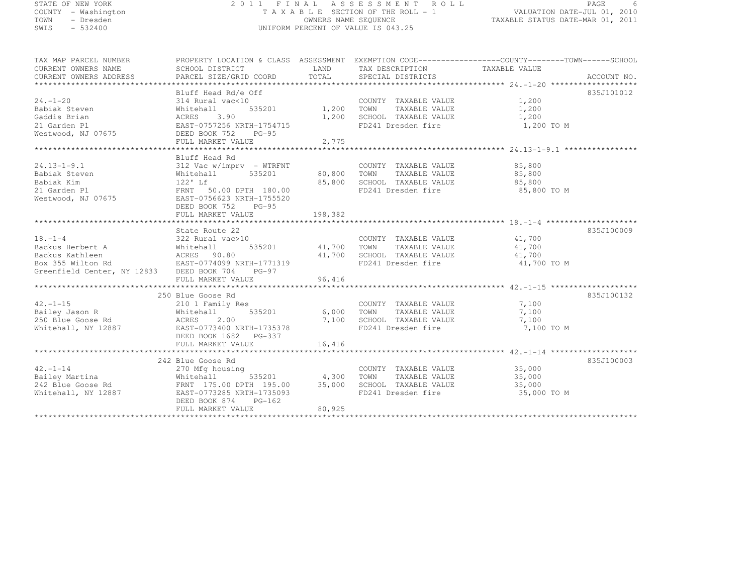# STATE OF NEW YORK 2 0 1 1 F I N A L A S S E S S M E N T R O L L PAGE <sup>6</sup> COUNTY - Washington T A X A B L E SECTION OF THE ROLL - 1 VALUATION DATE-JUL 01, 2010 TOWN - Dresden OWNERS NAME SEQUENCE TAXABLE STATUS DATE-MAR 01, 2011<br>- TRESDEN ON THE SEQUENCE TO A SECUENCE TO BE SERVED ON THE SEQUENCE OF SEXUE OF THE STATUS DATE MAR 01, 2011 SWIS - 532400 UNIFORM PERCENT OF VALUE IS 043.25

| TAX MAP PARCEL NUMBER                                                                                                                                                                                 | PROPERTY LOCATION & CLASS ASSESSMENT EXEMPTION CODE----------------COUNTY-------TOWN------SCHOOL |        |                                                               |                      |            |
|-------------------------------------------------------------------------------------------------------------------------------------------------------------------------------------------------------|--------------------------------------------------------------------------------------------------|--------|---------------------------------------------------------------|----------------------|------------|
|                                                                                                                                                                                                       |                                                                                                  |        |                                                               |                      |            |
|                                                                                                                                                                                                       |                                                                                                  |        |                                                               |                      |            |
|                                                                                                                                                                                                       | Bluff Head Rd/e Off                                                                              |        |                                                               |                      | 835J101012 |
| $24. - 1 - 20$                                                                                                                                                                                        | 314 Rural vac<10                                                                                 |        | COUNTY TAXABLE VALUE 1,200                                    |                      |            |
| Babiak Steven                                                                                                                                                                                         | Whitehall                                                                                        |        |                                                               |                      |            |
|                                                                                                                                                                                                       |                                                                                                  |        |                                                               |                      |            |
|                                                                                                                                                                                                       |                                                                                                  |        |                                                               | 1,200 TO M           |            |
|                                                                                                                                                                                                       |                                                                                                  |        |                                                               |                      |            |
|                                                                                                                                                                                                       | FULL MARKET VALUE                                                                                | 2,775  |                                                               |                      |            |
|                                                                                                                                                                                                       |                                                                                                  |        |                                                               |                      |            |
|                                                                                                                                                                                                       | Bluff Head Rd                                                                                    |        |                                                               |                      |            |
|                                                                                                                                                                                                       |                                                                                                  |        |                                                               |                      |            |
|                                                                                                                                                                                                       |                                                                                                  |        |                                                               |                      |            |
|                                                                                                                                                                                                       |                                                                                                  |        |                                                               |                      |            |
|                                                                                                                                                                                                       |                                                                                                  |        |                                                               |                      |            |
|                                                                                                                                                                                                       |                                                                                                  |        |                                                               |                      |            |
|                                                                                                                                                                                                       | DEED BOOK 752 PG-95                                                                              |        |                                                               |                      |            |
|                                                                                                                                                                                                       |                                                                                                  |        |                                                               |                      |            |
|                                                                                                                                                                                                       |                                                                                                  |        |                                                               |                      |            |
|                                                                                                                                                                                                       | State Route 22                                                                                   |        |                                                               |                      | 835J100009 |
|                                                                                                                                                                                                       |                                                                                                  |        | COUNTY TAXABLE VALUE 41,700                                   |                      |            |
|                                                                                                                                                                                                       | 535201 41,700 TOWN                                                                               |        |                                                               | TAXABLE VALUE 41,700 |            |
|                                                                                                                                                                                                       |                                                                                                  | 41,700 | SCHOOL TAXABLE VALUE 41,700<br>FD241 Dresden fire 41,700 TO M |                      |            |
|                                                                                                                                                                                                       |                                                                                                  |        |                                                               |                      |            |
| 18.-1-4<br>322 Rural vac>10<br>Backus Herbert A<br>Backus Kathleen<br>Box 355 Wilton Rd<br>Greenfield Center, NY 12833<br>DEED BOOK 704<br>PG-97                                                      |                                                                                                  |        |                                                               |                      |            |
|                                                                                                                                                                                                       |                                                                                                  |        |                                                               |                      |            |
|                                                                                                                                                                                                       |                                                                                                  |        |                                                               |                      |            |
|                                                                                                                                                                                                       | 250 Blue Goose Rd                                                                                |        |                                                               |                      | 835J100132 |
|                                                                                                                                                                                                       |                                                                                                  |        | COUNTY TAXABLE VALUE 7, 100                                   |                      |            |
|                                                                                                                                                                                                       |                                                                                                  |        | SCHOOL TAXABLE VALUE                                          | 7,100                |            |
|                                                                                                                                                                                                       |                                                                                                  |        |                                                               | 7,100                |            |
| Whitehall, NY 12887 EAST-0773400 NRTH-1735378                                                                                                                                                         |                                                                                                  |        | FD241 Dresden fire                                            | 7,100 TO M           |            |
|                                                                                                                                                                                                       | DEED BOOK 1682    PG-337                                                                         |        |                                                               |                      |            |
|                                                                                                                                                                                                       |                                                                                                  |        |                                                               |                      |            |
|                                                                                                                                                                                                       | 242 Blue Goose Rd                                                                                |        |                                                               |                      | 835J100003 |
| $42. -1 - 14$                                                                                                                                                                                         | 270 Mfg housing                                                                                  |        | COUNTY TAXABLE VALUE 35,000                                   |                      |            |
|                                                                                                                                                                                                       |                                                                                                  |        | TAXABLE VALUE 35,000<br>TOWN                                  |                      |            |
| Failey Martina<br>Bailey Martina (Mittehall 535201 4,300<br>242 Blue Goose Rd FRNT 175.00 DPTH 195.00 35,000<br>Whitehall, NY 12887 (EAST-0773285 NRTH-1735093<br>EAST-0773285 NRTH-1735093<br>PG-162 |                                                                                                  |        | SCHOOL TAXABLE VALUE 35,000                                   |                      |            |
|                                                                                                                                                                                                       |                                                                                                  |        | FD241 Dresden fire                                            | 35,000 TO M          |            |
|                                                                                                                                                                                                       | DEED BOOK 874<br>PG-162                                                                          |        |                                                               |                      |            |
|                                                                                                                                                                                                       | FULL MARKET VALUE                                                                                | 80,925 |                                                               |                      |            |
|                                                                                                                                                                                                       |                                                                                                  |        |                                                               |                      |            |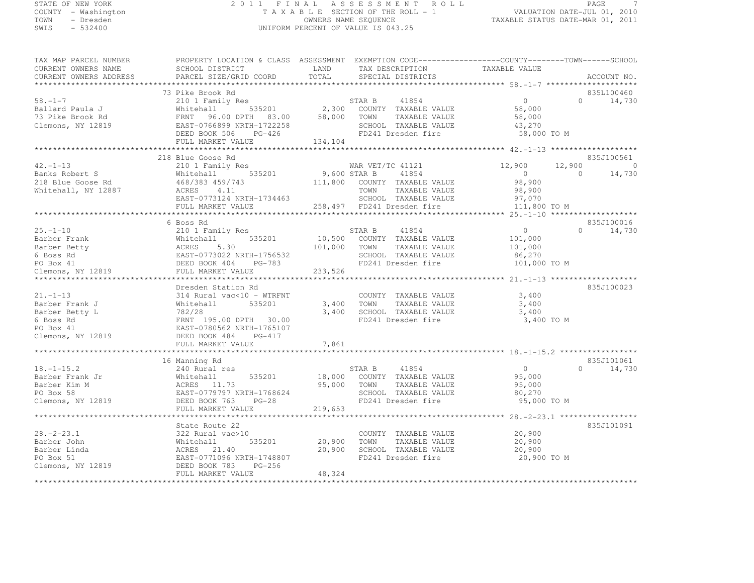# STATE OF NEW YORK 2 0 1 1 F I N A L A S S E S S M E N T R O L L PAGE <sup>7</sup> COUNTY - Washington T A X A B L E SECTION OF THE ROLL - 1 VALUATION DATE-JUL 01, 2010 TOWN - Dresden OWNERS NAME SEQUENCE TAXABLE STATUS DATE-MAR 01, 2011<br>- TRESDEN ON THE SEQUENCE TO A SECUENCE TO BE SERVED ON THE SEQUENCE OF SEXUE OF THE STATUS DATE MAR 01, 2011 SWIS - 532400 UNIFORM PERCENT OF VALUE IS 043.25

| TAX MAP PARCEL NUMBER<br>CURRENT OWNERS NAME<br>CURRENT OWNERS ADDRESS                            | PROPERTY LOCATION & CLASS ASSESSMENT EXEMPTION CODE-----------------COUNTY-------TOWN-----SCHOOL<br>SCHOOL DISTRICT<br>PARCEL SIZE/GRID COORD                                           | LAND<br>TOTAL                | TAX DESCRIPTION<br>SPECIAL DISTRICTS                                                                           | TAXABLE VALUE                                                  |                    | ACCOUNT NO.                      |
|---------------------------------------------------------------------------------------------------|-----------------------------------------------------------------------------------------------------------------------------------------------------------------------------------------|------------------------------|----------------------------------------------------------------------------------------------------------------|----------------------------------------------------------------|--------------------|----------------------------------|
| **************                                                                                    |                                                                                                                                                                                         | ************************     |                                                                                                                | ****************** 58. -1-7 *********************              |                    |                                  |
| $58. - 1 - 7$<br>Ballard Paula J<br>73 Pike Brook Rd<br>Clemons, NY 12819                         | 73 Pike Brook Rd<br>210 1 Family Res<br>535201<br>Whitehall<br>FRNT 96.00 DPTH 83.00<br>EAST-0766899 NRTH-1722258<br>DEED BOOK 506<br>PG-426                                            | 2,300<br>58,000              | STAR B<br>41854<br>COUNTY TAXABLE VALUE<br>TOWN<br>TAXABLE VALUE<br>SCHOOL TAXABLE VALUE<br>FD241 Dresden fire | 0<br>58,000<br>58,000<br>43,270<br>58,000 TO M                 | $\cap$             | 835L100460<br>14,730             |
|                                                                                                   | FULL MARKET VALUE                                                                                                                                                                       | 134,104                      |                                                                                                                |                                                                |                    |                                  |
| $42. - 1 - 13$<br>Banks Robert S<br>218 Blue Goose Rd<br>Whitehall, NY 12887                      | 218 Blue Goose Rd<br>210 1 Family Res<br>535201<br>Whitehall<br>468/383 459/743<br>ACRES<br>4.11                                                                                        | 9,600 STAR B<br>111,800      | WAR VET/TC 41121<br>41854<br>COUNTY TAXABLE VALUE<br>TOWN<br>TAXABLE VALUE                                     | 12,900<br>$\overline{0}$<br>98,900<br>98,900                   | 12,900<br>$\Omega$ | 835J100561<br>$\Omega$<br>14,730 |
|                                                                                                   | EAST-0773124 NRTH-1734463                                                                                                                                                               |                              | SCHOOL TAXABLE VALUE                                                                                           | 97,070                                                         |                    |                                  |
|                                                                                                   | FULL MARKET VALUE<br>***********************************                                                                                                                                |                              | 258,497 FD241 Dresden fire                                                                                     | 111,800 TO M                                                   |                    |                                  |
|                                                                                                   | 6 Boss Rd                                                                                                                                                                               |                              |                                                                                                                |                                                                |                    | 835J100016                       |
| $25. - 1 - 10$<br>Barber Frank<br>Barber Betty<br>6 Boss Rd<br>PO Box 41<br>Clemons, NY 12819     | 210 1 Family Res<br>535201<br>Whitehall<br>5.30<br>ACRES<br>EAST-0773022 NRTH-1756532<br>DEED BOOK 404<br>PG-783<br>FULL MARKET VALUE                                                   | 10,500<br>101,000<br>233,526 | 41854<br>STAR B<br>COUNTY TAXABLE VALUE<br>TOWN<br>TAXABLE VALUE<br>SCHOOL TAXABLE VALUE<br>FD241 Dresden fire | $\overline{0}$<br>101,000<br>101,000<br>86,270<br>101,000 TO M | $\Omega$           | 14,730                           |
|                                                                                                   |                                                                                                                                                                                         |                              |                                                                                                                |                                                                |                    |                                  |
| $21. - 1 - 13$<br>Barber Frank J<br>Barber Betty L<br>6 Boss Rd<br>PO Box 41<br>Clemons, NY 12819 | Dresden Station Rd<br>314 Rural vac<10 - WTRFNT<br>535201<br>Whitehall<br>782/28<br>FRNT 195.00 DPTH 30.00<br>EAST-0780562 NRTH-1765107<br>DEED BOOK 484<br>PG-417<br>FULL MARKET VALUE | 3,400<br>3,400<br>7,861      | COUNTY TAXABLE VALUE<br>TOWN<br>TAXABLE VALUE<br>SCHOOL TAXABLE VALUE<br>FD241 Dresden fire                    | 3,400<br>3,400<br>3,400<br>3,400 TO M                          |                    | 835J100023                       |
|                                                                                                   |                                                                                                                                                                                         |                              |                                                                                                                |                                                                |                    |                                  |
| $18. - 1 - 15.2$<br>Barber Frank Jr<br>Barber Kim M<br>PO Box 58<br>Clemons, NY 12819             | 16 Manning Rd<br>240 Rural res<br>535201<br>Whitehall<br>ACRES<br>11.73<br>EAST-0779797 NRTH-1768624<br>DEED BOOK 763<br>$PG-28$                                                        | 18,000<br>95,000             | STAR B<br>41854<br>COUNTY TAXABLE VALUE<br>TOWN<br>TAXABLE VALUE<br>SCHOOL TAXABLE VALUE<br>FD241 Dresden fire | $\overline{0}$<br>95,000<br>95,000<br>80,270<br>95,000 TO M    | $\Omega$           | 835J101061<br>14,730             |
|                                                                                                   | FULL MARKET VALUE                                                                                                                                                                       | 219,653                      |                                                                                                                |                                                                |                    |                                  |
|                                                                                                   | ***********************<br>State Route 22                                                                                                                                               |                              |                                                                                                                | ********************* 28. -2-23.1 ******************           |                    | 835J101091                       |
| $28. - 2 - 23.1$<br>Barber John<br>Barber Linda<br>PO Box 51<br>Clemons, NY 12819                 | 322 Rural vac>10<br>Whitehall<br>535201<br>ACRES<br>21.40<br>EAST-0771096 NRTH-1748807<br>DEED BOOK 783<br>$PG-256$<br>FULL MARKET VALUE                                                | 20,900<br>20,900<br>48,324   | COUNTY TAXABLE VALUE<br>TOWN<br>TAXABLE VALUE<br>SCHOOL TAXABLE VALUE<br>FD241 Dresden fire                    | 20,900<br>20,900<br>20,900<br>20,900 TO M                      |                    |                                  |
|                                                                                                   |                                                                                                                                                                                         |                              |                                                                                                                |                                                                |                    |                                  |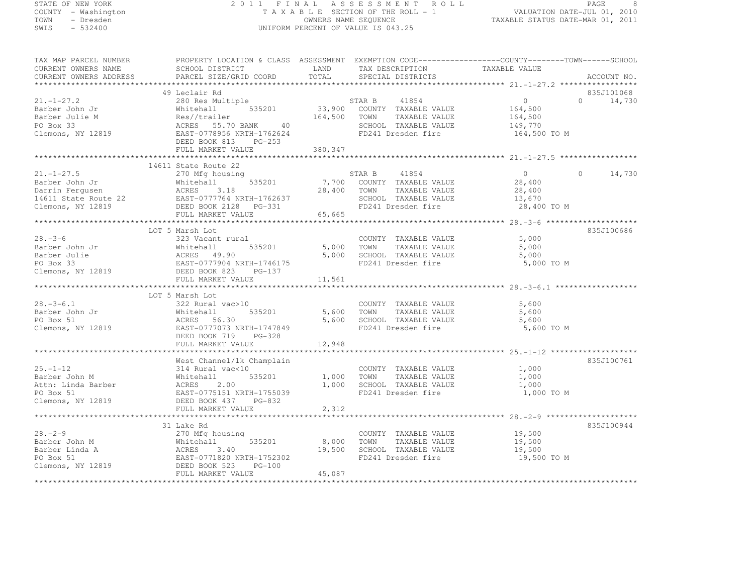# STATE OF NEW YORK 2 0 1 1 F I N A L A S S E S S M E N T R O L L PAGE <sup>8</sup> COUNTY - Washington T A X A B L E SECTION OF THE ROLL - 1 VALUATION DATE-JUL 01, 2010 TOWN - Dresden OWNERS NAME SEQUENCE TAXABLE STATUS DATE-MAR 01, 2011<br>- TRESDEN ON THE SEQUENCE TO A SECUENCE TO BE SERVED ON THE SEQUENCE OF SEXUE OF THE STATUS DATE MAR 01, 2011 SWIS - 532400 UNIFORM PERCENT OF VALUE IS 043.25

| TAX MAP PARCEL NUMBER<br>CURRENT OWNERS NAME<br>CURRENT OWNERS ADDRESS                             | PROPERTY LOCATION & CLASS ASSESSMENT EXEMPTION CODE----------------COUNTY-------TOWN-----SCHOOL<br>SCHOOL DISTRICT<br>PARCEL SIZE/GRID COORD                                      | LAND<br>TOTAL                | TAX DESCRIPTION<br>SPECIAL DISTRICTS                                                                           | TAXABLE VALUE                                                   | ACCOUNT NO.                      |
|----------------------------------------------------------------------------------------------------|-----------------------------------------------------------------------------------------------------------------------------------------------------------------------------------|------------------------------|----------------------------------------------------------------------------------------------------------------|-----------------------------------------------------------------|----------------------------------|
|                                                                                                    |                                                                                                                                                                                   |                              |                                                                                                                |                                                                 |                                  |
| $21. - 1 - 27.2$<br>Barber John Jr<br>Barber Julie M<br>PO Box 33<br>Clemons, NY 12819             | 49 Leclair Rd<br>280 Res Multiple<br>535201<br>Whitehall<br>Res//trailer<br>40<br>ACRES 55.70 BANK<br>EAST-0778956 NRTH-1762624<br>DEED BOOK 813<br>$PG-253$<br>FULL MARKET VALUE | 33,900<br>164,500<br>380,347 | STAR B<br>41854<br>COUNTY TAXABLE VALUE<br>TAXABLE VALUE<br>TOWN<br>SCHOOL TAXABLE VALUE<br>FD241 Dresden fire | $\overline{0}$<br>164,500<br>164,500<br>149,770<br>164,500 TO M | 835J101068<br>$\Omega$<br>14,730 |
|                                                                                                    |                                                                                                                                                                                   |                              |                                                                                                                |                                                                 |                                  |
| $21. - 1 - 27.5$<br>Barber John Jr<br>Darrin Ferqusen<br>14611 State Route 22<br>Clemons, NY 12819 | 14611 State Route 22<br>270 Mfg housing<br>Whitehall<br>535201<br>ACRES<br>3.18<br>EAST-0777764 NRTH-1762637<br>DEED BOOK 2128 PG-331<br>FULL MARKET VALUE                        | 7,700<br>28,400<br>65,665    | STAR B<br>41854<br>COUNTY TAXABLE VALUE<br>TOWN<br>TAXABLE VALUE<br>SCHOOL TAXABLE VALUE<br>FD241 Dresden fire | $\Omega$<br>28,400<br>28,400<br>13,670<br>28,400 TO M           | 14,730<br>$\Omega$               |
|                                                                                                    |                                                                                                                                                                                   |                              |                                                                                                                |                                                                 |                                  |
| $28 - 3 - 6$<br>Barber John Jr<br>Barber Julie<br>PO Box 33<br>Clemons, NY 12819                   | LOT 5 Marsh Lot<br>323 Vacant rural<br>535201<br>Whitehall<br>ACRES 49.90<br>EAST-0777904 NRTH-1746175<br>DEED BOOK 823<br>PG-137<br>FULL MARKET VALUE                            | 5,000<br>5,000<br>11,561     | COUNTY TAXABLE VALUE<br>TOWN<br>TAXABLE VALUE<br>SCHOOL TAXABLE VALUE<br>FD241 Dresden fire                    | 5,000<br>5,000<br>5,000<br>5,000 TO M                           | 835J100686                       |
| $28. - 3 - 6.1$<br>Barber John Jr<br>PO Box 51<br>Clemons, NY 12819                                | LOT 5 Marsh Lot<br>322 Rural vac>10<br>535201<br>Whitehall<br>ACRES 56.30<br>EAST-0777073 NRTH-1747849<br>DEED BOOK 719<br>$PG-328$<br>FULL MARKET VALUE                          | 5,600<br>5,600<br>12,948     | COUNTY TAXABLE VALUE<br>TAXABLE VALUE<br>TOWN<br>SCHOOL TAXABLE VALUE<br>FD241 Dresden fire                    | 5,600<br>5,600<br>5,600<br>5,600 TO M                           |                                  |
|                                                                                                    | ********************************                                                                                                                                                  |                              |                                                                                                                | *********************************** 25.-1-12 *******            |                                  |
| $25. - 1 - 12$<br>Barber John M<br>Attn: Linda Barber<br>PO Box 51<br>Clemons, NY 12819            | West Channel/1k Champlain<br>314 Rural vac<10<br>Whitehall<br>535201<br>ACRES<br>2.00<br>EAST-0775151 NRTH-1755039<br>DEED BOOK 437<br>PG-832                                     | 1,000<br>1,000               | COUNTY TAXABLE VALUE<br>TOWN<br>TAXABLE VALUE<br>SCHOOL TAXABLE VALUE<br>FD241 Dresden fire                    | 1,000<br>1,000<br>1,000<br>1,000 TO M                           | 835J100761                       |
|                                                                                                    | FULL MARKET VALUE                                                                                                                                                                 | 2,312                        |                                                                                                                |                                                                 |                                  |
| $28 - 2 - 9$<br>Barber John M<br>Barber Linda A<br>PO Box 51                                       | 31 Lake Rd<br>270 Mfg housing<br>535201<br>Whitehall<br>ACRES<br>3.40<br>EAST-0771820 NRTH-1752302                                                                                | 8,000<br>19,500              | COUNTY TAXABLE VALUE<br>TOWN<br>TAXABLE VALUE<br>SCHOOL TAXABLE VALUE<br>FD241 Dresden fire                    | 19,500<br>19,500<br>19,500<br>19,500 TO M                       | 835J100944                       |
| Clemons, NY 12819                                                                                  | $PG-100$<br>DEED BOOK 523<br>FULL MARKET VALUE                                                                                                                                    | 45,087                       |                                                                                                                |                                                                 |                                  |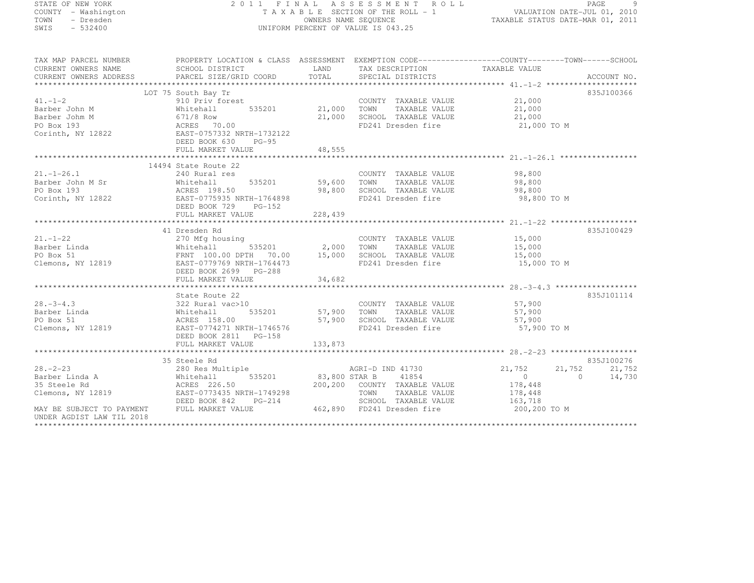# STATE OF NEW YORK 2 0 1 1 F I N A L A S S E S S M E N T R O L L PAGE <sup>9</sup> COUNTY - Washington T A X A B L E SECTION OF THE ROLL - 1 VALUATION DATE-JUL 01, 2010 TOWN - Dresden OWNERS NAME SEQUENCE TAXABLE STATUS DATE-MAR 01, 2011<br>- TRESDEN ON THE SEQUENCE TO A SECUENCE TO BE SERVED ON THE SEQUENCE OF SEXUE OF THE STATUS DATE MAR 01, 2011 SWIS - 532400 UNIFORM PERCENT OF VALUE IS 043.25

| TAX MAP PARCEL NUMBER<br>CURRENT OWNERS NAME                                                                                                                                                                                                                                                                                                                                                                                                                                  | PROPERTY LOCATION & CLASS ASSESSMENT EXEMPTION CODE------------------COUNTY-------TOWN------SCHOOL<br>SCHOOL DISTRICT | LAND TAX DESCRIPTION TAXABLE VALUE<br>COORD TOTAL SPECIAL DISTRICTS                                   |             |            |
|-------------------------------------------------------------------------------------------------------------------------------------------------------------------------------------------------------------------------------------------------------------------------------------------------------------------------------------------------------------------------------------------------------------------------------------------------------------------------------|-----------------------------------------------------------------------------------------------------------------------|-------------------------------------------------------------------------------------------------------|-------------|------------|
|                                                                                                                                                                                                                                                                                                                                                                                                                                                                               |                                                                                                                       |                                                                                                       |             |            |
|                                                                                                                                                                                                                                                                                                                                                                                                                                                                               | LOT 75 South Bay Tr                                                                                                   |                                                                                                       |             | 835J100366 |
|                                                                                                                                                                                                                                                                                                                                                                                                                                                                               |                                                                                                                       |                                                                                                       |             |            |
|                                                                                                                                                                                                                                                                                                                                                                                                                                                                               |                                                                                                                       | COUNTY TAXABLE VALUE 21,000<br>21,000 TOWN TAXABLE VALUE 21,000<br>21,000 SCHOOL TAXABLE VALUE 21,000 |             |            |
|                                                                                                                                                                                                                                                                                                                                                                                                                                                                               |                                                                                                                       |                                                                                                       |             |            |
|                                                                                                                                                                                                                                                                                                                                                                                                                                                                               |                                                                                                                       | FD241 Dresden fire 21,000 TO M                                                                        |             |            |
| 41.-1-2<br>Barber John M<br>Barber John M<br>PO Box 193<br>Corinth, NY 12822<br>PO BOX 193<br>Corinth, NY 12822<br>PO BOX 193<br>PO BOX 193<br>PO BOX 193<br>PO BOX 193<br>PO BOX 193<br>PO BOX 193<br>PO BOX 193<br>PO BOX 193<br>PO BOX 193                                                                                                                                                                                                                                 |                                                                                                                       |                                                                                                       |             |            |
|                                                                                                                                                                                                                                                                                                                                                                                                                                                                               |                                                                                                                       |                                                                                                       |             |            |
|                                                                                                                                                                                                                                                                                                                                                                                                                                                                               |                                                                                                                       |                                                                                                       |             |            |
|                                                                                                                                                                                                                                                                                                                                                                                                                                                                               |                                                                                                                       |                                                                                                       |             |            |
|                                                                                                                                                                                                                                                                                                                                                                                                                                                                               | 14494 State Route 22                                                                                                  |                                                                                                       |             |            |
|                                                                                                                                                                                                                                                                                                                                                                                                                                                                               |                                                                                                                       |                                                                                                       |             |            |
|                                                                                                                                                                                                                                                                                                                                                                                                                                                                               |                                                                                                                       |                                                                                                       |             |            |
|                                                                                                                                                                                                                                                                                                                                                                                                                                                                               |                                                                                                                       |                                                                                                       |             |            |
| 21.-1-26.1<br>Barber John M Sr<br>PO Box 193<br>Corinth, NY 12822<br>DEED BOOK 729<br>PC-152<br>BEED BOOK 729<br>PC-152                                                                                                                                                                                                                                                                                                                                                       |                                                                                                                       | 98,800 SCHOOL TAXABLE VALUE 98,800<br>FD241 Dresden fire 98,800                                       | 98,800 TO M |            |
|                                                                                                                                                                                                                                                                                                                                                                                                                                                                               |                                                                                                                       |                                                                                                       |             |            |
|                                                                                                                                                                                                                                                                                                                                                                                                                                                                               |                                                                                                                       |                                                                                                       |             |            |
|                                                                                                                                                                                                                                                                                                                                                                                                                                                                               |                                                                                                                       |                                                                                                       |             |            |
|                                                                                                                                                                                                                                                                                                                                                                                                                                                                               | 41 Dresden Rd                                                                                                         |                                                                                                       |             | 835J100429 |
|                                                                                                                                                                                                                                                                                                                                                                                                                                                                               |                                                                                                                       | COUNTY TAXABLE VALUE $15,000$<br>$5,000$ $15,000$ $15,000$                                            |             |            |
|                                                                                                                                                                                                                                                                                                                                                                                                                                                                               |                                                                                                                       |                                                                                                       |             |            |
|                                                                                                                                                                                                                                                                                                                                                                                                                                                                               |                                                                                                                       |                                                                                                       |             |            |
|                                                                                                                                                                                                                                                                                                                                                                                                                                                                               |                                                                                                                       |                                                                                                       | 15,000 TO M |            |
|                                                                                                                                                                                                                                                                                                                                                                                                                                                                               |                                                                                                                       |                                                                                                       |             |            |
|                                                                                                                                                                                                                                                                                                                                                                                                                                                                               | DEED BOOK 2699 PG-288                                                                                                 |                                                                                                       |             |            |
|                                                                                                                                                                                                                                                                                                                                                                                                                                                                               |                                                                                                                       |                                                                                                       |             |            |
|                                                                                                                                                                                                                                                                                                                                                                                                                                                                               |                                                                                                                       |                                                                                                       |             |            |
|                                                                                                                                                                                                                                                                                                                                                                                                                                                                               | State Route 22                                                                                                        |                                                                                                       |             | 835J101114 |
|                                                                                                                                                                                                                                                                                                                                                                                                                                                                               |                                                                                                                       |                                                                                                       |             |            |
|                                                                                                                                                                                                                                                                                                                                                                                                                                                                               |                                                                                                                       |                                                                                                       |             |            |
|                                                                                                                                                                                                                                                                                                                                                                                                                                                                               |                                                                                                                       |                                                                                                       |             |            |
| 28.-3-4.3<br>Barber Linda<br>PO Box 51<br>COUNTY TAXABLE VALUE<br>ST, 900<br>PO Box 51<br>Clemons, NY 12819<br>Clemons, NY 12819<br>Clemons, NY 12819<br>Clemons, NY 12819<br>CLEED BOOK 2811<br>DEED BOOK 2811<br>PG-158<br>CLEED BOOK 2811<br>PG-158                                                                                                                                                                                                                        |                                                                                                                       | FD241 Dresden fire 57,900 TO M                                                                        |             |            |
|                                                                                                                                                                                                                                                                                                                                                                                                                                                                               |                                                                                                                       |                                                                                                       |             |            |
|                                                                                                                                                                                                                                                                                                                                                                                                                                                                               |                                                                                                                       |                                                                                                       |             |            |
|                                                                                                                                                                                                                                                                                                                                                                                                                                                                               |                                                                                                                       |                                                                                                       |             |            |
|                                                                                                                                                                                                                                                                                                                                                                                                                                                                               |                                                                                                                       |                                                                                                       |             | 835J100276 |
|                                                                                                                                                                                                                                                                                                                                                                                                                                                                               |                                                                                                                       |                                                                                                       | 21,752      | 21,752     |
|                                                                                                                                                                                                                                                                                                                                                                                                                                                                               |                                                                                                                       |                                                                                                       | $\bigcirc$  | 14,730     |
| $\begin{tabular}{lllllllllllll} \multicolumn{3.5}{l}{{\small 35}$ \hline & $\color{red}3$5$ \hline & $\color{red}20$-$2$ & $\color{red}2$ & $\color{red}2$ & $\color{red}2$ & $\color{red}2$ & $\color{red}2$ & $\color{red}2$ & $\color{red}2$ & $\color{red}2$ & $\color{red}2$ & $\color{red}2$ & $\color{red}2$ & $\color{red}2$ & $\color{red}2$ & $\color{red}2$ & $\color{red}2$ & $\color{red}2$ & $\color{red}2$ & $\color{red}2$ & $\color{red}2$ & $\color{red}2$$ |                                                                                                                       |                                                                                                       |             |            |
|                                                                                                                                                                                                                                                                                                                                                                                                                                                                               |                                                                                                                       |                                                                                                       |             |            |
|                                                                                                                                                                                                                                                                                                                                                                                                                                                                               |                                                                                                                       |                                                                                                       |             |            |
|                                                                                                                                                                                                                                                                                                                                                                                                                                                                               |                                                                                                                       |                                                                                                       |             |            |
| UNDER AGDIST LAW TIL 2018                                                                                                                                                                                                                                                                                                                                                                                                                                                     |                                                                                                                       |                                                                                                       |             |            |
|                                                                                                                                                                                                                                                                                                                                                                                                                                                                               |                                                                                                                       |                                                                                                       |             |            |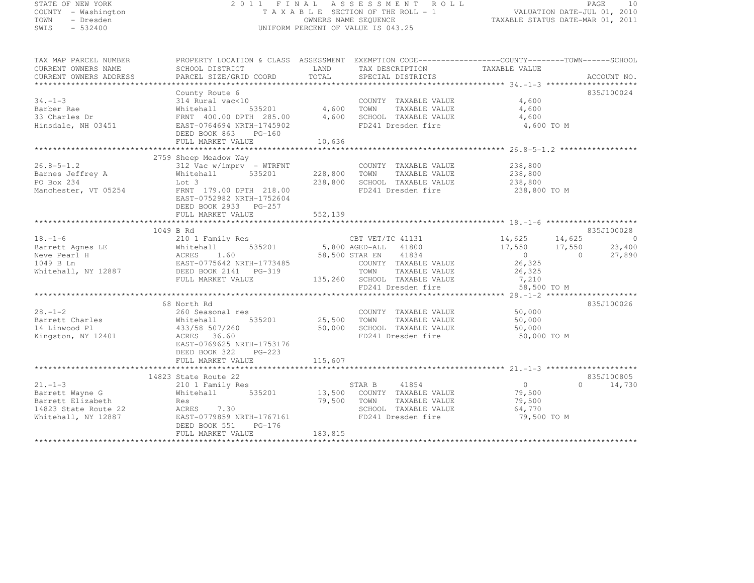STATE OF NEW YORK 2 0 1 1 F I N A L A S S E S S M E N T R O L L PAGE <sup>10</sup> COUNTY - Washington T A X A B L E SECTION OF THE ROLL - 1 VALUATION DATE-JUL 01, 2010 TOWN - Dresden OWNERS NAME SEQUENCE TAXABLE STATUS DATE-MAR 01, 2011<br>- TRESDEN ON THE SEQUENCE TO A SECUENCE TO BE SERVED ON THE SEQUENCE OF SEXUE OF THE STATUS DATE MAR 01, 2011 SWIS - 532400 UNIFORM PERCENT OF VALUE IS 043.25 TAX MAP PARCEL NUMBER PROPERTY LOCATION & CLASS ASSESSMENT EXEMPTION CODE------------------COUNTY--------TOWN------SCHOOL CURRENT OWNERS NAME SCHOOL DISTRICT LAND TAX DESCRIPTION TAXABLE VALUE<br>
PARCEL SIZE/GRID COORD TOTAL SPECIAL DISTRICTS ACCOUNT NO.<br>
PARCEL SIZE/GRID COORD TOTAL SPECIAL DISTRICTS ACCOUNT ACCOUNT NO. \*\*\*\*\*\*\*\*\*\*\*\*\*\*\*\*\*\*\*\*\*\*\*\*\*\*\*\*\*\*\*\*\*\*\*\*\*\*\*\*\*\*\*\*\*\*\*\*\*\*\*\*\*\*\*\*\*\*\*\*\*\*\*\*\*\*\*\*\*\*\*\*\*\*\*\*\*\*\*\*\*\*\*\*\*\*\*\*\*\*\*\*\*\*\*\*\*\*\*\*\*\*\* 34.-1-3 \*\*\*\*\*\*\*\*\*\*\*\*\*\*\*\*\*\*\*\* County Route 6 835J10002434.-1-3 314 Rural vac<10 COUNTY TAXABLE VALUE 4,600 Barber Rae Whitehall 535201 4,600 TOWN TAXABLE VALUE 4,600 100 12 minutehall 4,600 TOWN TAXABLE VALUE 4,600 33 Charles Dr FRNT 400.00 DPTH 285.00 4,600 SCHOOL TAXABLE VALUE 4,600 Hinsdale, NH 03451 EAST-0764694 NRTH-1745902 FD241 Dresden fire 4,600 TO M DEED BOOK 863 PG-160 FULL MARKET VALUE 10,636 \*\*\*\*\*\*\*\*\*\*\*\*\*\*\*\*\*\*\*\*\*\*\*\*\*\*\*\*\*\*\*\*\*\*\*\*\*\*\*\*\*\*\*\*\*\*\*\*\*\*\*\*\*\*\*\*\*\*\*\*\*\*\*\*\*\*\*\*\*\*\*\*\*\*\*\*\*\*\*\*\*\*\*\*\*\*\*\*\*\*\*\*\*\*\*\*\*\*\*\*\*\*\* 26.8-5-1.2 \*\*\*\*\*\*\*\*\*\*\*\*\*\*\*\*\* 2759 Sheep Meadow Way 26.8-5-1.2 312 Vac w/imprv - WTRFNT COUNTY TAXABLE VALUE 238,800 Barnes Jeffrey A Whitehall 535201 228,800 TOWN TAXABLE VALUE 238,800 PO Box 234 Lot 3 238,800 SCHOOL TAXABLE VALUE 238,800 Manchester, VT 05254 FRNT 179.00 DPTH 218.00 FD241 Dresden fire 238,800 TO M EAST-0752982 NRTH-1752604 DEED BOOK 2933 PG-257 FULL MARKET VALUE 552,139 \*\*\*\*\*\*\*\*\*\*\*\*\*\*\*\*\*\*\*\*\*\*\*\*\*\*\*\*\*\*\*\*\*\*\*\*\*\*\*\*\*\*\*\*\*\*\*\*\*\*\*\*\*\*\*\*\*\*\*\*\*\*\*\*\*\*\*\*\*\*\*\*\*\*\*\*\*\*\*\*\*\*\*\*\*\*\*\*\*\*\*\*\*\*\*\*\*\*\*\*\*\*\* 18.-1-6 \*\*\*\*\*\*\*\*\*\*\*\*\*\*\*\*\*\*\*\*1049 B Rd<br>1049 B Rd 835J100028<br>210 11:31 14,625 14,625 14,625 14,625 210 1 Family Res Cassesses (2001) Barrett Agnes LE Whitehall 535201 5,800 AGED-ALL <sup>41800</sup> 17,550 17,550 23,400 Neve Pearl H ACRES 1.60 58,500 STAR EN <sup>41834</sup> <sup>0</sup> 0 27,890 1049 B Ln EAST-0775642 NRTH-1773485 COUNTY TAXABLE VALUE 26,325 Whitehall, NY 12887 DEED BOOK 2141 PG-319 TOWN TAXABLE VALUE 26,325

835J100024

FULL MARKET VALUE 135,260 SCHOOL TAXABLE VALUE 7,210 FD241 Dresden fire 58,500 TO M \*\*\*\*\*\*\*\*\*\*\*\*\*\*\*\*\*\*\*\*\*\*\*\*\*\*\*\*\*\*\*\*\*\*\*\*\*\*\*\*\*\*\*\*\*\*\*\*\*\*\*\*\*\*\*\*\*\*\*\*\*\*\*\*\*\*\*\*\*\*\*\*\*\*\*\*\*\*\*\*\*\*\*\*\*\*\*\*\*\*\*\*\*\*\*\*\*\*\*\*\*\*\* 28.-1-2 \*\*\*\*\*\*\*\*\*\*\*\*\*\*\*\*\*\*\*\* 68 North Rd 835J10002628.-1-2 260 Seasonal res COUNTY TAXABLE VALUE 50,000 Barrett Charles Whitehall 535201 25,500 TOWN TAXABLE VALUE 50,000 14 Linwood Pl 433/58 507/260 50,000 SCHOOL TAXABLE VALUE 50,000<br>--Kingston, NY 12401 ACRES 36.60 FD241 Dresden fire 50,000 TO M EAST-0769625 NRTH-1753176DEED BOOK 322 PG-223 DEED BOOK 322 PG-223 FULL MARKET VALUE 115,607 \*\*\*\*\*\*\*\*\*\*\*\*\*\*\*\*\*\*\*\*\*\*\*\*\*\*\*\*\*\*\*\*\*\*\*\*\*\*\*\*\*\*\*\*\*\*\*\*\*\*\*\*\*\*\*\*\*\*\*\*\*\*\*\*\*\*\*\*\*\*\*\*\*\*\*\*\*\*\*\*\*\*\*\*\*\*\*\*\*\*\*\*\*\*\*\*\*\*\*\*\*\*\* 21.-1-3 \*\*\*\*\*\*\*\*\*\*\*\*\*\*\*\*\*\*\*\*14823 State Route 22 835J100805<br>21.-1-3 210 1 Family Res STAR B 41854 0 0 14,730<br>21.-1-3 210 15 2011 Family Res STAR B 41854 0 0 14,730 Barrett Wayne G G Whitehall 535201 13,500 COUNTY TAXABLE VALUE 79,500 Barrett Elizabeth Res Res 79,500 TOWN TAXABLE VALUE 79,500<br>1999 - Barrett Res 79,500 TOWN TAXABLE VALUE 79,500 14823 State Route 22 ACRES 7.30 and 1992 SCHOOL TAXABLE VALUE 64,770 Whitehall, NY 12887 EAST-0779859 NRTH-1767161 FD241 Dresden fire 79,500 TO M DEED BOOK 551 PG-176 FULL MARKET VALUE 183,815 \*\*\*\*\*\*\*\*\*\*\*\*\*\*\*\*\*\*\*\*\*\*\*\*\*\*\*\*\*\*\*\*\*\*\*\*\*\*\*\*\*\*\*\*\*\*\*\*\*\*\*\*\*\*\*\*\*\*\*\*\*\*\*\*\*\*\*\*\*\*\*\*\*\*\*\*\*\*\*\*\*\*\*\*\*\*\*\*\*\*\*\*\*\*\*\*\*\*\*\*\*\*\*\*\*\*\*\*\*\*\*\*\*\*\*\*\*\*\*\*\*\*\*\*\*\*\*\*\*\*\*\*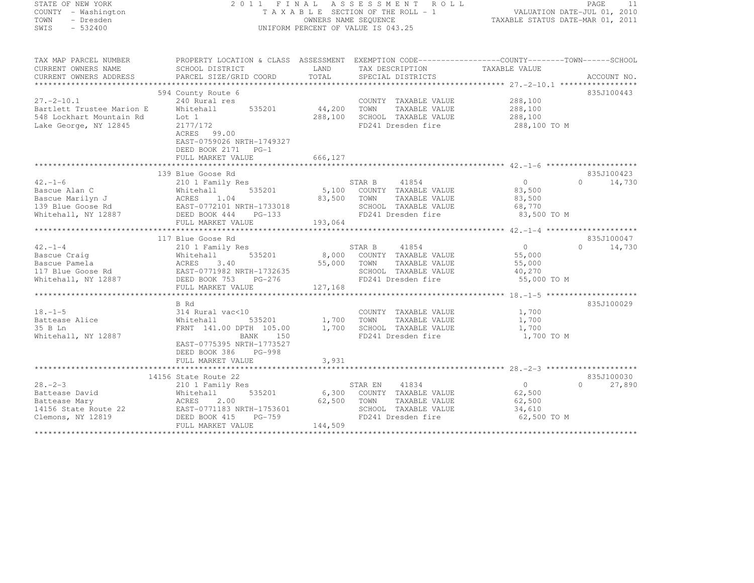| STATE OF NEW YORK         |                                                                                                |         | 2011 FINAL ASSESSMENT<br>R O L L   |                                  | PAGE<br>- 11                |
|---------------------------|------------------------------------------------------------------------------------------------|---------|------------------------------------|----------------------------------|-----------------------------|
| COUNTY - Washington       |                                                                                                |         | TAXABLE SECTION OF THE ROLL - 1    | VALUATION DATE-JUL 01, 2010      |                             |
| TOWN<br>- Dresden         |                                                                                                |         | OWNERS NAME SEQUENCE               | TAXABLE STATUS DATE-MAR 01, 2011 |                             |
| $-532400$<br>SWIS         |                                                                                                |         | UNIFORM PERCENT OF VALUE IS 043.25 |                                  |                             |
|                           |                                                                                                |         |                                    |                                  |                             |
|                           |                                                                                                |         |                                    |                                  |                             |
| TAX MAP PARCEL NUMBER     | PROPERTY LOCATION & CLASS ASSESSMENT EXEMPTION CODE---------------COUNTY-------TOWN-----SCHOOL |         |                                    |                                  |                             |
| CURRENT OWNERS NAME       | SCHOOL DISTRICT                                                                                | LAND    | TAX DESCRIPTION                    | TAXABLE VALUE                    |                             |
| CURRENT OWNERS ADDRESS    | PARCEL SIZE/GRID COORD                                                                         | TOTAL   | SPECIAL DISTRICTS                  |                                  | ACCOUNT NO.                 |
| **********************    |                                                                                                |         |                                    |                                  |                             |
|                           | 594 County Route 6                                                                             |         |                                    |                                  | 835J100443                  |
| $27. - 2 - 10.1$          | 240 Rural res                                                                                  |         | COUNTY TAXABLE VALUE               | 288,100                          |                             |
| Bartlett Trustee Marion E | 535201<br>Whitehall                                                                            | 44,200  | TOWN<br>TAXABLE VALUE              | 288,100                          |                             |
| 548 Lockhart Mountain Rd  | Lot 1                                                                                          | 288,100 | SCHOOL TAXABLE VALUE               | 288,100                          |                             |
| Lake George, NY 12845     | 2177/172                                                                                       |         | FD241 Dresden fire                 | 288,100 TO M                     |                             |
|                           | ACRES 99.00                                                                                    |         |                                    |                                  |                             |
|                           |                                                                                                |         |                                    |                                  |                             |
|                           | EAST-0759026 NRTH-1749327                                                                      |         |                                    |                                  |                             |
|                           | DEED BOOK 2171 PG-1                                                                            |         |                                    |                                  |                             |
|                           | FULL MARKET VALUE                                                                              | 666,127 |                                    |                                  |                             |
|                           |                                                                                                |         |                                    |                                  |                             |
|                           | 139 Blue Goose Rd                                                                              |         |                                    |                                  | 835J100423                  |
| $42. - 1 - 6$             | 210 1 Family Res                                                                               |         | STAR B<br>41854                    | $\overline{0}$                   | $0 \qquad \qquad$<br>14,730 |
| Bascue Alan C             | 535201<br>Whitehall                                                                            | 5,100   | COUNTY TAXABLE VALUE               | 83,500                           |                             |
| Bascue Marilyn J          | 1.04<br>ACRES                                                                                  | 83,500  | TOWN<br>TAXABLE VALUE              | 83,500                           |                             |
| 139 Blue Goose Rd         | EAST-0772101 NRTH-1733018                                                                      |         | SCHOOL TAXABLE VALUE               | 68,770                           |                             |
| Whitehall, NY 12887       | DEED BOOK 444<br>$PG-133$                                                                      |         | FD241 Dresden fire                 | 83,500 TO M                      |                             |
|                           | FULL MARKET VALUE                                                                              | 193,064 |                                    |                                  |                             |
|                           |                                                                                                |         |                                    |                                  |                             |
|                           | 117 Blue Goose Rd                                                                              |         |                                    |                                  | 835J100047                  |
| $42. -1 - 4$              | 210 1 Family Res                                                                               |         | 41854<br>STAR B                    | $\overline{0}$                   | 14,730<br>$\Omega$          |
| Bascue Craig              | 535201<br>Whitehall                                                                            | 8,000   | COUNTY TAXABLE VALUE               | 55,000                           |                             |
| Bascue Pamela             |                                                                                                | 55,000  | TOWN<br>TAXABLE VALUE              | 55,000                           |                             |
|                           | Whitehall 535201<br>ACRES 3.40<br>EAST-0771982 NRTH-1732635                                    |         |                                    |                                  |                             |
| 117 Blue Goose Rd         |                                                                                                |         | SCHOOL TAXABLE VALUE               | 40,270                           |                             |
| Whitehall, NY 12887       | DEED BOOK 753<br>PG-276                                                                        |         | FD241 Dresden fire                 | 55,000 TO M                      |                             |
|                           | FULL MARKET VALUE                                                                              | 127,168 |                                    |                                  |                             |
|                           |                                                                                                |         |                                    |                                  |                             |
|                           | B Rd                                                                                           |         |                                    |                                  | 835J100029                  |
| $18. - 1 - 5$             | 314 Rural vac<10                                                                               |         | COUNTY TAXABLE VALUE               | 1,700                            |                             |
| Battease Alice            | Whitehall<br>535201                                                                            | 1,700   | TOWN<br>TAXABLE VALUE              | 1,700                            |                             |
| 35 B Ln                   | FRNT 141.00 DPTH 105.00                                                                        | 1,700   | SCHOOL TAXABLE VALUE               | 1,700                            |                             |
| Whitehall, NY 12887       | BANK<br>150                                                                                    |         | FD241 Dresden fire                 | 1,700 TO M                       |                             |
|                           | EAST-0775395 NRTH-1773527                                                                      |         |                                    |                                  |                             |
|                           | DEED BOOK 386<br>PG-998                                                                        |         |                                    |                                  |                             |
|                           | FULL MARKET VALUE                                                                              | 3,931   |                                    |                                  |                             |
|                           | ****************************                                                                   |         |                                    |                                  |                             |
|                           | 14156 State Route 22                                                                           |         |                                    |                                  | 835J100030                  |
| $28 - 2 - 3$              | 210 1 Family Res                                                                               |         | 41834<br>STAR EN                   | $\overline{0}$                   | $\Omega$<br>27,890          |
| Battease David            | 535201<br>Whitehall                                                                            | 6,300   | COUNTY TAXABLE VALUE               | 62,500                           |                             |
| Battease Mary             | ACRES<br>2.00                                                                                  | 62,500  | TOWN<br>TAXABLE VALUE              | 62,500                           |                             |
|                           | EAST-0771183 NRTH-1753601                                                                      |         | SCHOOL TAXABLE VALUE               |                                  |                             |
| 14156 State Route 22      |                                                                                                |         |                                    | 34,610                           |                             |
| Clemons, NY 12819         | DEED BOOK 415<br>PG-759                                                                        |         | FD241 Dresden fire                 | 62,500 TO M                      |                             |
|                           | FULL MARKET VALUE                                                                              | 144,509 |                                    |                                  |                             |
|                           |                                                                                                |         |                                    |                                  |                             |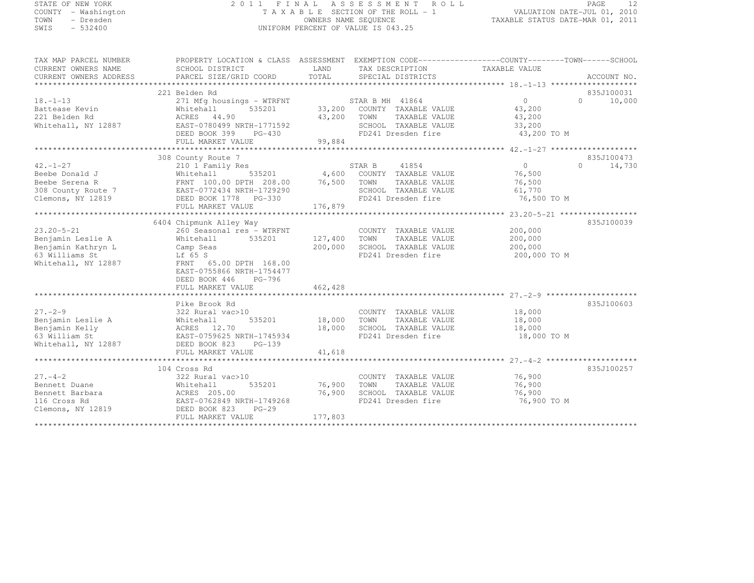# STATE OF NEW YORK 2 0 1 1 F I N A L A S S E S S M E N T R O L L PAGE <sup>12</sup> COUNTY - Washington T A X A B L E SECTION OF THE ROLL - 1 VALUATION DATE-JUL 01, 2010 TOWN - Dresden OWNERS NAME SEQUENCE TAXABLE STATUS DATE-MAR 01, 2011<br>- TRESDEN ON THE SEQUENCE TO A SECUENCE TO BE SERVED ON THE SEQUENCE OF SEXUE OF THE STATUS DATE MAR 01, 2011 SWIS - 532400 UNIFORM PERCENT OF VALUE IS 043.25

| TAX MAP PARCEL NUMBER  | PROPERTY LOCATION & CLASS ASSESSMENT EXEMPTION CODE---------------COUNTY-------TOWN-----SCHOOL |               |                             |                |                     |
|------------------------|------------------------------------------------------------------------------------------------|---------------|-----------------------------|----------------|---------------------|
| CURRENT OWNERS NAME    | SCHOOL DISTRICT                                                                                | LAND          | TAX DESCRIPTION             | TAXABLE VALUE  |                     |
| CURRENT OWNERS ADDRESS | PARCEL SIZE/GRID COORD                                                                         | TOTAL         | SPECIAL DISTRICTS           |                | ACCOUNT NO.         |
|                        |                                                                                                |               |                             |                |                     |
|                        | 221 Belden Rd                                                                                  |               |                             |                | 835J100031          |
| $18. - 1 - 13$         | 271 Mfg housings - WTRFNT                                                                      |               | STAR B MH 41864             | $\overline{0}$ | $\cap$<br>10,000    |
| Battease Kevin         | Whitehall<br>535201                                                                            |               | 33,200 COUNTY TAXABLE VALUE | 43,200         |                     |
| 221 Belden Rd          | ACRES 44.90                                                                                    | 43,200 TOWN   | TAXABLE VALUE               | 43,200         |                     |
| Whitehall, NY 12887    | EAST-0780499 NRTH-1771592                                                                      |               | SCHOOL TAXABLE VALUE        | 33,200         |                     |
|                        | DEED BOOK 399<br>PG-430                                                                        |               | FD241 Dresden fire          | 43,200 TO M    |                     |
|                        | FULL MARKET VALUE                                                                              | 99,884        |                             |                |                     |
|                        |                                                                                                |               |                             |                |                     |
|                        | 308 County Route 7                                                                             |               |                             |                | 835J100473          |
| $42. - 1 - 27$         | 210 1 Family Res                                                                               |               | STAR B<br>41854             | $\Omega$       | $\bigcap$<br>14,730 |
| Beebe Donald J         | 535201<br>Whitehall                                                                            |               | 4,600 COUNTY TAXABLE VALUE  | 76,500         |                     |
| Beebe Serena R         | FRNT 100.00 DPTH 208.00                                                                        | 76,500        | TOWN<br>TAXABLE VALUE       | 76,500         |                     |
|                        |                                                                                                |               | SCHOOL TAXABLE VALUE        |                |                     |
| 308 County Route 7     | EAST-0772434 NRTH-1729290                                                                      |               | FD241 Dresden fire          | 61,770         |                     |
| Clemons, NY 12819      | DEED BOOK 1778 PG-330                                                                          |               |                             | 76,500 TO M    |                     |
|                        | FULL MARKET VALUE                                                                              | 176,879       |                             |                |                     |
|                        |                                                                                                |               |                             |                |                     |
|                        | 6404 Chipmunk Alley Way                                                                        |               |                             |                | 835J100039          |
| $23.20 - 5 - 21$       | 260 Seasonal res - WTRFNT                                                                      |               | COUNTY TAXABLE VALUE        | 200,000        |                     |
| Benjamin Leslie A      | 535201<br>Whitehall                                                                            | 127,400       | TAXABLE VALUE<br>TOWN       | 200,000        |                     |
| Benjamin Kathryn L     | Camp Seas                                                                                      | 200,000       | SCHOOL TAXABLE VALUE        | 200,000        |                     |
| 63 Williams St         | Lf 65 S                                                                                        |               | FD241 Dresden fire          | 200,000 TO M   |                     |
| Whitehall, NY 12887    | FRNT 65.00 DPTH 168.00                                                                         |               |                             |                |                     |
|                        | EAST-0755866 NRTH-1754477                                                                      |               |                             |                |                     |
|                        | DEED BOOK 446<br>PG-796                                                                        |               |                             |                |                     |
|                        | FULL MARKET VALUE                                                                              | 462,428       |                             |                |                     |
|                        |                                                                                                |               |                             |                |                     |
|                        | Pike Brook Rd                                                                                  |               |                             |                | 835J100603          |
| $27. - 2 - 9$          | 322 Rural vac>10                                                                               |               | COUNTY TAXABLE VALUE        | 18,000         |                     |
| Benjamin Leslie A      | Whitehall                                                                                      | 535201 18,000 | TOWN<br>TAXABLE VALUE       | 18,000         |                     |
| Benjamin Kelly         | ACRES 12.70                                                                                    | 18,000        | SCHOOL TAXABLE VALUE        | 18,000         |                     |
| 63 William St          | EAST-0759625 NRTH-1745934                                                                      |               | FD241 Dresden fire          | 18,000 TO M    |                     |
| Whitehall, NY 12887    | DEED BOOK 823<br>$PG-139$                                                                      |               |                             |                |                     |
|                        | FULL MARKET VALUE                                                                              | 41,618        |                             |                |                     |
|                        |                                                                                                |               |                             |                |                     |
|                        | 104 Cross Rd                                                                                   |               |                             |                | 835J100257          |
| $27. - 4 - 2$          | 322 Rural vac>10                                                                               |               | COUNTY TAXABLE VALUE        | 76,900         |                     |
| Bennett Duane          | 535201<br>Whitehall                                                                            | 76,900        | TOWN<br>TAXABLE VALUE       | 76,900         |                     |
| Bennett Barbara        | ACRES 205.00                                                                                   | 76,900        | SCHOOL TAXABLE VALUE        | 76,900         |                     |
| 116 Cross Rd           | EAST-0762849 NRTH-1749268                                                                      |               | FD241 Dresden fire          | 76,900 TO M    |                     |
| Clemons, NY 12819      | DEED BOOK 823<br>$PG-29$                                                                       |               |                             |                |                     |
|                        | FULL MARKET VALUE                                                                              | 177,803       |                             |                |                     |
|                        |                                                                                                |               |                             |                |                     |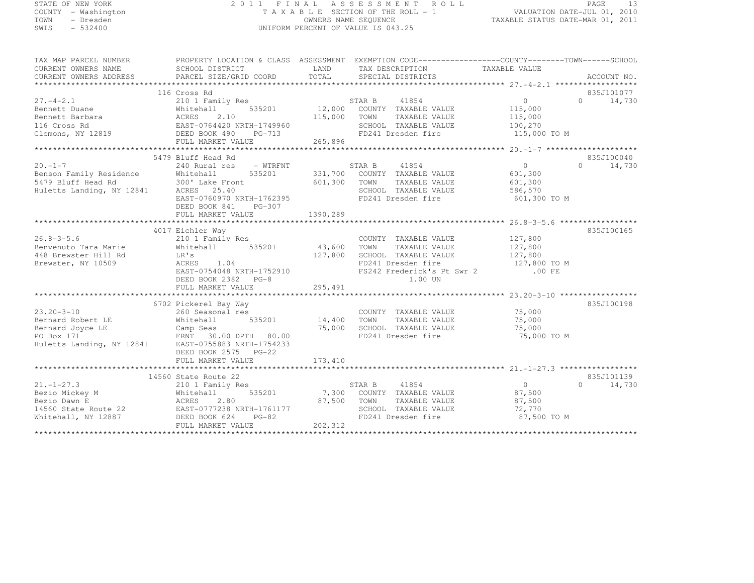# STATE OF NEW YORK 2 0 1 1 F I N A L A S S E S S M E N T R O L L PAGE <sup>13</sup> COUNTY - Washington T A X A B L E SECTION OF THE ROLL - 1 VALUATION DATE-JUL 01, 2010 TOWN - Dresden OWNERS NAME SEQUENCE TAXABLE STATUS DATE-MAR 01, 2011<br>- TRESDEN ON THE SEQUENCE TO A SECUENCE TO BE SERVED ON THE SEQUENCE OF SEXUE OF THE STATUS DATE MAR 01, 2011 SWIS - 532400 UNIFORM PERCENT OF VALUE IS 043.25

| TAX MAP PARCEL NUMBER<br>CURRENT OWNERS NAME<br>CURRENT OWNERS ADDRESS                                                                                                                                                                                                     | PROPERTY LOCATION & CLASS ASSESSMENT EXEMPTION CODE-----------------COUNTY-------TOWN------SCHOOL<br>SCHOOL DISTRICT<br>PARCEL SIZE/GRID COORD             | LAND<br>TOTAL                        | TAX DESCRIPTION TAXABLE VALUE SPECIAL DISTRICTS                                                                                      |                                                                 | ACCOUNT NO.                      |
|----------------------------------------------------------------------------------------------------------------------------------------------------------------------------------------------------------------------------------------------------------------------------|------------------------------------------------------------------------------------------------------------------------------------------------------------|--------------------------------------|--------------------------------------------------------------------------------------------------------------------------------------|-----------------------------------------------------------------|----------------------------------|
| And Tamily Res<br>Chemont Barbara<br>Bennett Barbara<br>116 Cross Rd<br>2.10<br>Clemons, NY 12819<br>2.10<br>2.10<br>2.10<br>2.10<br>2.2.10<br>2.2.10<br>2.2.10<br>2.2.10<br>2.2.10<br>2.2.10<br>2.2.10<br>2.2.2.10<br>2.2.2.10<br>2.2.2.10<br>2.2.2.10<br>2.2.2.10<br>2.2 | 116 Cross Rd<br>PG-713                                                                                                                                     | STAR B<br>115,000<br>TOWN<br>265,896 | 41854<br>12,000 COUNTY TAXABLE VALUE<br>TAXABLE VALUE<br>SCHOOL TAXABLE VALUE<br>FD241 Dresden fire                                  | $\overline{0}$<br>115,000<br>115,000<br>100,270<br>115,000 TO M | 835J101077<br>$0 \t 14,730$      |
|                                                                                                                                                                                                                                                                            |                                                                                                                                                            |                                      |                                                                                                                                      |                                                                 |                                  |
| $20 - 1 - 7$<br>20.-1-7<br>Benson Family Residence Mhitehall<br>5479 Bluff Head Rd<br>Huletts Landing, NY 12841 ACRES 25.40<br>RDCE 2760970 NPT                                                                                                                            | 5479 Bluff Head Rd<br>- WTRFNT<br>240 Rural res<br>535201<br>EAST-0760970 NRTH-1762395<br>DEED BOOK 841<br>PG-307<br>FULL MARKET VALUE                     | 601,300 TOWN<br>1390,289             | STAR B 41854<br>331,700 COUNTY TAXABLE VALUE<br>TAXABLE VALUE<br>SCHOOL TAXABLE VALUE<br>FD241 Dresden fire                          | 0<br>601,300<br>601,300<br>586,570<br>601,300 TO M              | 835J100040<br>$\Omega$<br>14,730 |
|                                                                                                                                                                                                                                                                            |                                                                                                                                                            | ****************                     |                                                                                                                                      |                                                                 |                                  |
| $26.8 - 3 - 5.6$<br>Benvenuto Tara Marie<br>448 Brewster Hill Rd<br>Brewster, NY 10509                                                                                                                                                                                     | 4017 Eichler Way<br>210 1 Family Res<br>535201<br>Whitehall<br>LR's<br>ACRES 1.04<br>EAST-0754048 NRTH-1752910<br>DEED BOOK 2382 PG-8<br>FULL MARKET VALUE | 43,600<br>TOWN<br>127,800<br>295,491 | COUNTY TAXABLE VALUE 127,800<br>TAXABLE VALUE<br>SCHOOL TAXABLE VALUE<br>FD241 Dresden fire<br>FS242 Frederick's Pt Swr 2<br>1.00 UN | 127,800<br>127,800<br>127,800 TO M<br>.00 FE                    | 835J100165                       |
|                                                                                                                                                                                                                                                                            |                                                                                                                                                            |                                      |                                                                                                                                      |                                                                 |                                  |
| $23.20 - 3 - 10$<br>Bernard Robert LE<br>Bernard Joyce LE Camp Seas<br>PO Box 171 FRNT 30.00 DPTH 80.00<br>Huletts Landing, NY 12841 EAST-0755883 NRTH-1754233                                                                                                             | 6702 Pickerel Bay Way<br>260 Seasonal res<br>535201<br>Whitehall<br>DEED BOOK 2575 PG-22                                                                   | 14,400 TOWN                          | COUNTY TAXABLE VALUE<br>TAXABLE VALUE<br>75,000 SCHOOL TAXABLE VALUE<br>FD241 Dresden fire                                           | 75,000<br>75,000<br>75,000<br>75,000 TO M                       | 835J100198                       |
|                                                                                                                                                                                                                                                                            | FULL MARKET VALUE                                                                                                                                          | 173,410                              |                                                                                                                                      |                                                                 |                                  |
|                                                                                                                                                                                                                                                                            | 14560 State Route 22                                                                                                                                       |                                      |                                                                                                                                      |                                                                 | 835J101139                       |
| $21. - 1 - 27.3$<br>210 1<br>Whiteh<br>ACRES<br>Bezio Mickey M<br>Bezio Dawn E<br>14560 State Route 22 EAST-0777238 NRTH-1761177<br>Whitehall, NY 12887 DEED BOOK 624 PG-82                                                                                                | 210 1 Family Res<br>535201<br>Whitehall<br>2.80<br>FULL MARKET VALUE                                                                                       | STAR B<br>87,500<br>TOWN<br>202,312  | 41854<br>7,300 COUNTY TAXABLE VALUE<br>TAXABLE VALUE<br>SCHOOL TAXABLE VALUE<br>FD241 Dresden fire                                   | $\overline{0}$<br>87,500<br>87,500<br>72,770<br>87,500 TO M     | $\bigcap$<br>14,730              |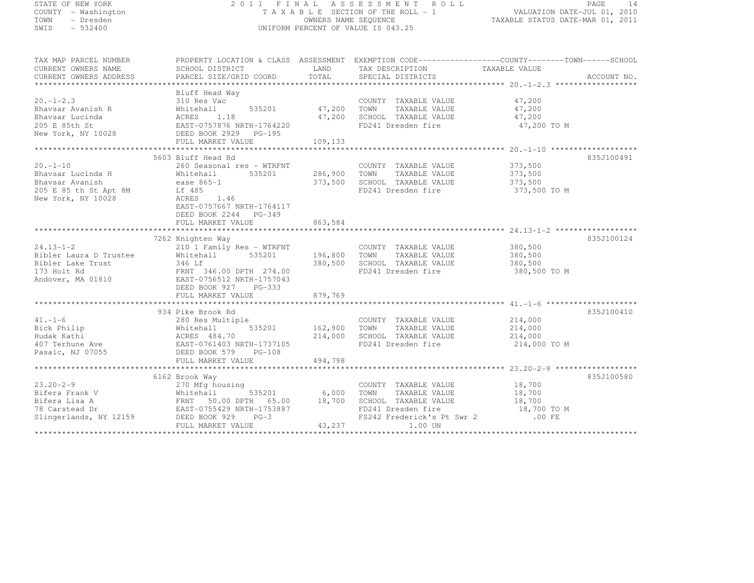| STATE OF NEW YORK<br>COUNTY - Washington<br>TOWN - Dresden<br>SWIS - 532400                          | 2011 FINAL ASSESSMENT ROLL<br>FINAL ASSESSMENT ROLL<br>TAXABLE SECTION OF THE ROLL -1 VALUATION DATE-JUL 01, 2010<br>OWNERS NAME SEQUENCE TAXABLE STATUS DATE-MAR 01, 2011<br>UNIFORM PERCENT OF VALUE IS 043.25                                                                       |                               |                                                                                                                                                    |                                               | PAGE<br>14  |
|------------------------------------------------------------------------------------------------------|----------------------------------------------------------------------------------------------------------------------------------------------------------------------------------------------------------------------------------------------------------------------------------------|-------------------------------|----------------------------------------------------------------------------------------------------------------------------------------------------|-----------------------------------------------|-------------|
| TAX MAP PARCEL NUMBER<br>CURRENT OWNERS NAME<br>CURRENT OWNERS ADDRESS                               | PROPERTY LOCATION & CLASS ASSESSMENT EXEMPTION CODE-----------------COUNTY-------TOWN------SCHOOL<br>SCHOOL DISTRICT<br>PARCEL SIZE/GRID COORD                                                                                                                                         | LAND<br>TOTAL                 | TAX DESCRIPTION TAXABLE VALUE<br>SPECIAL DISTRICTS                                                                                                 |                                               | ACCOUNT NO. |
|                                                                                                      | Bluff Head Way<br>20.-1-2.3 310 Res Vac<br>Bhavsar Avanish R Whitehall 535201 47,200<br>Bhavsar Lucinda ACRES 1.18 47,200<br>205 E 85th St EAST-0757876 NRTH-1764220<br>New York, NY 10028 DEED BOOK 2929 PG-195<br>109,133<br>109,133                                                 | 47,200<br>47,200              | COUNTY TAXABLE VALUE<br>TOWN<br>TAXABLE VALUE<br>SCHOOL TAXABLE VALUE<br>FD241 Dresden fire                                                        | 47,200<br>47,200<br>47,200<br>47,200 TO M     |             |
|                                                                                                      |                                                                                                                                                                                                                                                                                        |                               |                                                                                                                                                    |                                               |             |
| $20. -1 - 10$<br>Bhavsar Lucinda H<br>Bhavsar Avanish<br>205 E 85 th St Apt 8M<br>New York, NY 10028 | 5603 Bluff Head Rd<br>260 Seasonal res - WTRFNT<br>Whitehall<br>ease 865-1<br>535201<br>Lf 485<br>ACRES 1.46<br>EAST-0757667 NRTH-1764117<br>DEED BOOK 2244 PG-349                                                                                                                     | 373,500                       | COUNTY TAXABLE VALUE<br>286,900 TOWN TAXABLE VALUE<br>SCHOOL TAXABLE VALUE<br>FD241 Dresden fire                                                   | 373,500<br>373,500<br>373,500<br>373,500 TO M | 835J100491  |
|                                                                                                      | FULL MARKET VALUE                                                                                                                                                                                                                                                                      | 863,584                       |                                                                                                                                                    |                                               |             |
|                                                                                                      |                                                                                                                                                                                                                                                                                        |                               |                                                                                                                                                    |                                               |             |
| $24.13 - 1 - 2$                                                                                      | 7262 Knighten Way<br>210 1 Family Res - WTRFNT<br>Extra 1 Trustee<br>Bibler Laura D Trustee<br>Bibler Lake Trust<br>173 Holt Rd<br>Andover, MA 01810<br>EAST-0756512 NRTH-1757043<br>FRNT 346.00 DPTH 274.00<br>EAST-0756512 NRTH-1757043<br>DEED BOOK 927 PG-333<br>FULL MARKET VALUE | 196,800<br>380,500<br>879,769 | COUNTY TAXABLE VALUE<br>TOWN TAXABLE VALUE<br>SCHOOL TAXABLE VALUE<br>FD241 Dresden fire                                                           | 380,500<br>380,500<br>380,500<br>380,500 TO M | 835J100124  |
|                                                                                                      |                                                                                                                                                                                                                                                                                        |                               |                                                                                                                                                    |                                               |             |
| 41.-1-6<br>Bick Philip<br>Hudak Kathi<br>407 Terhune Ave<br>Pasaic, NJ 07055                         | 934 Pike Brook Rd<br>280 Res Multiple<br>Whitehall 535201<br>ACRES 484.70<br>EAST-0761403 NRTH-1737105<br>214,000<br>DEED BOOK 579 PG-108                                                                                                                                              | 162,900                       | COUNTY TAXABLE VALUE<br>TOWN TAXABLE VALUE<br>SCHOOL TAXABLE VALUE<br>FD241 Dresden fire                                                           | 214,000<br>214,000<br>214,000<br>214,000 TO M | 835J100410  |
|                                                                                                      | FULL MARKET VALUE                                                                                                                                                                                                                                                                      | 494,798                       |                                                                                                                                                    |                                               |             |
|                                                                                                      | 6162 Brook Way<br>FULL MARKET VALUE                                                                                                                                                                                                                                                    | 6,000<br>43,237               | COUNTY TAXABLE VALUE 18,700<br>TOWN<br>TAXABLE VALUE<br>SCHOOL TAXABLE VALUE<br>FD241 Dresden fire<br>FS242 Frederick's Pt Swr 2 .00 FE<br>1.00 UN | 18,700<br>18,700<br>18,700 TO M               | 835J100580  |
|                                                                                                      |                                                                                                                                                                                                                                                                                        |                               |                                                                                                                                                    |                                               |             |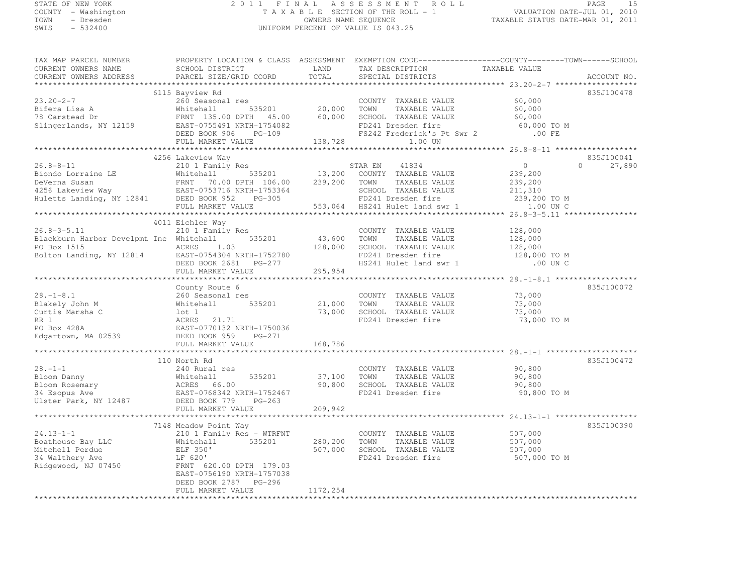# STATE OF NEW YORK 2 0 1 1 F I N A L A S S E S S M E N T R O L L PAGE <sup>15</sup> COUNTY - Washington T A X A B L E SECTION OF THE ROLL - 1 VALUATION DATE-JUL 01, 2010 TOWN - Dresden OWNERS NAME SEQUENCE TAXABLE STATUS DATE-MAR 01, 2011<br>- TRESDEN ON THE SEQUENCE TO A SECUENCE TO BE SERVED ON THE SEQUENCE OF SEXUE OF THE STATUS DATE MAR 01, 2011 SWIS - 532400 UNIFORM PERCENT OF VALUE IS 043.25

| TAX MAP PARCEL NUMBER                                                                                                                                                                                                                  |                                                                                        |          |                                                                                  | PROPERTY LOCATION & CLASS ASSESSMENT EXEMPTION CODE-----------------COUNTY-------TOWN------SCHOOL |
|----------------------------------------------------------------------------------------------------------------------------------------------------------------------------------------------------------------------------------------|----------------------------------------------------------------------------------------|----------|----------------------------------------------------------------------------------|---------------------------------------------------------------------------------------------------|
| CURRENT OWNERS NAME                                                                                                                                                                                                                    | SCHOOL DISTRICT<br><b>EXAMPLE DESCRIPTION OF STREET AND LAND</b>                       |          | TAX DESCRIPTION<br>SPECIAL DISTRICTS                                             |                                                                                                   |
| CURRENT OWNERS ADDRESS                                                                                                                                                                                                                 | PARCEL SIZE/GRID COORD                                                                 | TOTAL    | SPECIAL DISTRICTS                                                                | ACCOUNT NO.                                                                                       |
|                                                                                                                                                                                                                                        |                                                                                        |          |                                                                                  |                                                                                                   |
|                                                                                                                                                                                                                                        | 6115 Bayview Rd                                                                        |          |                                                                                  | 835J100478                                                                                        |
| $23.20 - 2 - 7$                                                                                                                                                                                                                        | 260 Seasonal res                                                                       |          | COUNTY TAXABLE VALUE 60,000                                                      |                                                                                                   |
|                                                                                                                                                                                                                                        |                                                                                        |          |                                                                                  | 60,000                                                                                            |
|                                                                                                                                                                                                                                        |                                                                                        |          |                                                                                  | 60,000                                                                                            |
|                                                                                                                                                                                                                                        |                                                                                        |          |                                                                                  | 60,000 TO M                                                                                       |
|                                                                                                                                                                                                                                        |                                                                                        |          | FS242 Frederick's Pt Swr 2 .00 FE                                                |                                                                                                   |
|                                                                                                                                                                                                                                        |                                                                                        |          |                                                                                  |                                                                                                   |
| 23.20-2-7<br>Bifera Lisa A Mhitehell 535201 20,000 TOWN IAAABLE VALUE<br>78 Carstead Dr FRNT 135.00 DPTH 45.00 60,000 SCHOOL TAXABLE VALUE<br>Slingerlands, NY 12159 EAST-0755491 NRTH-1754082 FD241 Dresden fire<br>DEED BOOK 906 PG- |                                                                                        |          |                                                                                  |                                                                                                   |
|                                                                                                                                                                                                                                        | 4256 Lakeview Way                                                                      |          |                                                                                  | 835J100041                                                                                        |
| $26.8 - 8 - 11$                                                                                                                                                                                                                        |                                                                                        |          | STAR EN 41834                                                                    | $\overline{0}$<br>$\Omega$<br>27,890                                                              |
| EMPTH 106.00 13,200 COUNIT IAAADDE VALUE<br>DeVerna Susan FRNT 70.00 DPTH 106.00 239,200 TOWN TAXABLE VALUE<br>4256 Lakeview Way EAST-0753716 NRTH-1753364 SCHOOL TAXABLE VALUE<br>Huletts Landing, NY 12841 DEED BOOK 952 PG-305 FD   |                                                                                        |          |                                                                                  | 239,200                                                                                           |
|                                                                                                                                                                                                                                        |                                                                                        |          |                                                                                  | 239, 200<br>211, 310                                                                              |
|                                                                                                                                                                                                                                        |                                                                                        |          |                                                                                  |                                                                                                   |
|                                                                                                                                                                                                                                        |                                                                                        |          |                                                                                  | 239,200 TO M                                                                                      |
|                                                                                                                                                                                                                                        |                                                                                        |          |                                                                                  | 1.00 UN C                                                                                         |
|                                                                                                                                                                                                                                        |                                                                                        |          |                                                                                  |                                                                                                   |
|                                                                                                                                                                                                                                        | 4011 Eichler Way                                                                       |          |                                                                                  |                                                                                                   |
| $26.8 - 3 - 5.11$                                                                                                                                                                                                                      | 210 1 Family Res                                                                       |          | COUNTY TAXABLE VALUE                                                             | 128,000                                                                                           |
|                                                                                                                                                                                                                                        |                                                                                        |          |                                                                                  | 128,000                                                                                           |
| Blackburn Harbor Develpmt Inc Whitehall 535201 43,600 TOWN TAXABLE VALUE<br>PO Box 1515 ACRES 1.03 128,000 SCHOOL TAXABLE VALUE<br>Bolton Landing, NY 12814 EAST-0754304 NRTH-1752780 FD241 Dresden fire<br>DEED BOOK 2681 PG-277 HS   |                                                                                        |          |                                                                                  |                                                                                                   |
|                                                                                                                                                                                                                                        |                                                                                        |          | FD241 Dresden fire                                                               | 128,000<br>128,000 TO M                                                                           |
|                                                                                                                                                                                                                                        |                                                                                        |          | HS241 Hulet land swr 1                                                           | .00 UN C                                                                                          |
|                                                                                                                                                                                                                                        | FULL MARKET VALUE 295,954                                                              |          |                                                                                  |                                                                                                   |
|                                                                                                                                                                                                                                        |                                                                                        |          |                                                                                  |                                                                                                   |
|                                                                                                                                                                                                                                        | County Route 6                                                                         |          |                                                                                  | 835J100072                                                                                        |
| $28. - 1 - 8.1$                                                                                                                                                                                                                        | 260 Seasonal res                                                                       |          |                                                                                  |                                                                                                   |
|                                                                                                                                                                                                                                        |                                                                                        |          | COUNTY TAXABLE VALUE<br>21,000 TOWN TAXABLE VALUE<br>COUNTY TAXABLE VALUE 73,000 | 73,000                                                                                            |
|                                                                                                                                                                                                                                        | 535201                                                                                 |          | 73,000 SCHOOL TAXABLE VALUE                                                      | 73,000                                                                                            |
|                                                                                                                                                                                                                                        | $ACRES$ 21.71                                                                          |          |                                                                                  |                                                                                                   |
| Blakely John M Whitehall 535201<br>Curtis Marsha C 1 ot 1<br>RR 1 ACRES 21.71<br>PO Box 428A EAST-0770132 NRTH-175003<br>Edgartown, MA 02539 DEED BOOK 959 PG-271                                                                      |                                                                                        |          | FD241 Dresden fire                                                               | 73,000 TO M                                                                                       |
|                                                                                                                                                                                                                                        | EAST-0770132 NRTH-1750036                                                              |          |                                                                                  |                                                                                                   |
|                                                                                                                                                                                                                                        |                                                                                        |          |                                                                                  |                                                                                                   |
|                                                                                                                                                                                                                                        | FULL MARKET VALUE                                                                      | 168,786  |                                                                                  |                                                                                                   |
|                                                                                                                                                                                                                                        |                                                                                        |          |                                                                                  |                                                                                                   |
|                                                                                                                                                                                                                                        | 110 North Rd                                                                           |          |                                                                                  | 835J100472                                                                                        |
| $28. - 1 - 1$                                                                                                                                                                                                                          | 240 Rural res                                                                          |          | COUNTY TAXABLE VALUE                                                             | 90,800                                                                                            |
|                                                                                                                                                                                                                                        |                                                                                        |          | 37,100 TOWN TAXABLE VALUE                                                        | 90,800                                                                                            |
|                                                                                                                                                                                                                                        |                                                                                        |          | 90,800 SCHOOL TAXABLE VALUE                                                      | 90,800                                                                                            |
|                                                                                                                                                                                                                                        |                                                                                        |          | FD241 Dresden fire                                                               | 90,800 TO M                                                                                       |
|                                                                                                                                                                                                                                        |                                                                                        |          |                                                                                  |                                                                                                   |
|                                                                                                                                                                                                                                        | FULL MARKET VALUE                                                                      | 209,942  |                                                                                  |                                                                                                   |
|                                                                                                                                                                                                                                        |                                                                                        |          |                                                                                  |                                                                                                   |
|                                                                                                                                                                                                                                        |                                                                                        |          |                                                                                  | 835J100390                                                                                        |
| $24.13 - 1 - 1$                                                                                                                                                                                                                        | Community Res - WIRENT<br>Community Res - WIRENT<br>Community Res - S35201<br>ELE 350' |          | COUNTY TAXABLE VALUE                                                             | 507,000                                                                                           |
| Boathouse Bay LLC                                                                                                                                                                                                                      |                                                                                        | 280,200  | TOWN<br>TAXABLE VALUE                                                            | 507,000                                                                                           |
| Mitchell Perdue                                                                                                                                                                                                                        |                                                                                        | 507,000  | SCHOOL TAXABLE VALUE                                                             | 507,000                                                                                           |
| 34 Walthery Ave<br>Ridgewood, NJ 07450                                                                                                                                                                                                 | LF 620'                                                                                |          | FD241 Dresden fire                                                               | 507,000 TO M                                                                                      |
|                                                                                                                                                                                                                                        | FRNT 620.00 DPTH 179.03                                                                |          |                                                                                  |                                                                                                   |
|                                                                                                                                                                                                                                        | EAST-0756190 NRTH-1757038                                                              |          |                                                                                  |                                                                                                   |
|                                                                                                                                                                                                                                        | DEED BOOK 2787 PG-296                                                                  |          |                                                                                  |                                                                                                   |
|                                                                                                                                                                                                                                        | FULL MARKET VALUE                                                                      | 1172,254 |                                                                                  |                                                                                                   |
|                                                                                                                                                                                                                                        |                                                                                        |          |                                                                                  |                                                                                                   |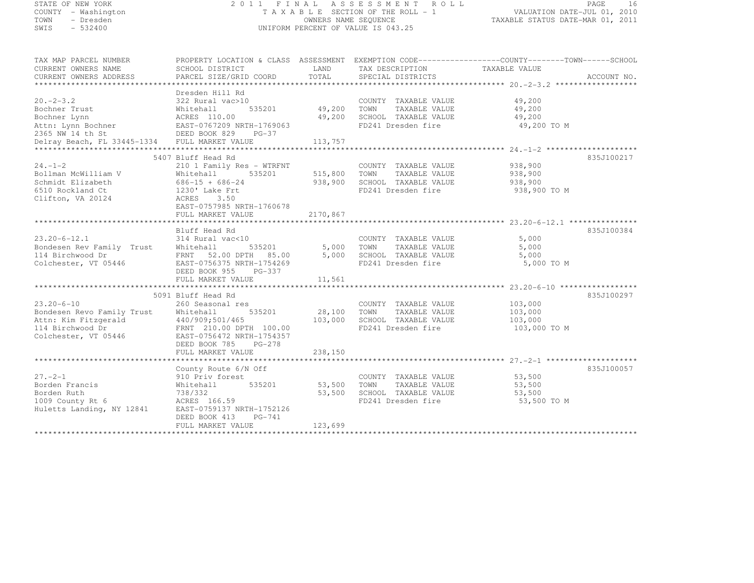| STATE OF NEW YORK                                                                                                                                            |                                                       |                                                                 | 2011 FINAL ASSESSMENT ROLL                          | PAGE                                                                                             | 16 |
|--------------------------------------------------------------------------------------------------------------------------------------------------------------|-------------------------------------------------------|-----------------------------------------------------------------|-----------------------------------------------------|--------------------------------------------------------------------------------------------------|----|
| COUNTY - Washington                                                                                                                                          | TAXABLE SECTION OF THE ROLL - 1                       | VALUATION DATE-JUL 01, 2010<br>TAXABLE STATUS DATE-MAR 01, 2011 |                                                     |                                                                                                  |    |
| TOWN<br>- Dresden                                                                                                                                            |                                                       |                                                                 | OWNERS NAME SEQUENCE                                |                                                                                                  |    |
| SWIS<br>$-532400$                                                                                                                                            |                                                       |                                                                 | UNIFORM PERCENT OF VALUE IS 043.25                  |                                                                                                  |    |
|                                                                                                                                                              |                                                       |                                                                 |                                                     |                                                                                                  |    |
| TAX MAP PARCEL NUMBER                                                                                                                                        |                                                       |                                                                 |                                                     | PROPERTY LOCATION & CLASS ASSESSMENT EXEMPTION CODE----------------COUNTY-------TOWN------SCHOOL |    |
| CURRENT OWNERS NAME                                                                                                                                          | SCHOOL DISTRICT                                       | LAND<br>TOTAL                                                   | TAX DESCRIPTION                                     | TAXABLE VALUE                                                                                    |    |
| CURRENT OWNERS ADDRESS                                                                                                                                       | PARCEL SIZE/GRID COORD                                |                                                                 | SPECIAL DISTRICTS                                   | ACCOUNT NO.                                                                                      |    |
|                                                                                                                                                              | Dresden Hill Rd                                       |                                                                 |                                                     |                                                                                                  |    |
|                                                                                                                                                              |                                                       |                                                                 | COUNTY TAXABLE VALUE                                | 49,200                                                                                           |    |
|                                                                                                                                                              |                                                       | 49,200 TOWN                                                     | TAXABLE VALUE                                       | 49,200                                                                                           |    |
|                                                                                                                                                              |                                                       | 49,200                                                          | SCHOOL TAXABLE VALUE                                | 49,200                                                                                           |    |
|                                                                                                                                                              |                                                       |                                                                 | FD241 Dresden fire                                  | 49,200 TO M                                                                                      |    |
|                                                                                                                                                              |                                                       |                                                                 |                                                     |                                                                                                  |    |
| Delray Beach, FL 33445-1334 FULL MARKET VALUE                                                                                                                |                                                       | 113,757                                                         |                                                     |                                                                                                  |    |
|                                                                                                                                                              |                                                       |                                                                 |                                                     |                                                                                                  |    |
|                                                                                                                                                              | 5407 Bluff Head Rd                                    |                                                                 |                                                     | 835J100217                                                                                       |    |
| $24. - 1 - 2$                                                                                                                                                | 210 1 Family Res - WTRFNT                             |                                                                 | COUNTY TAXABLE VALUE                                | 938,900                                                                                          |    |
| Bollman McWilliam V                                                                                                                                          |                                                       |                                                                 | 515,800 TOWN TAXABLE VALUE                          | 938,900                                                                                          |    |
| Schmidt Elizabeth                                                                                                                                            |                                                       | 938,900                                                         | SCHOOL TAXABLE VALUE                                | 938,900                                                                                          |    |
| 6510 Rockland Ct                                                                                                                                             | Whitehall 535201<br>686-15 + 686-24<br>1230' Lake Frt |                                                                 | FD241 Dresden fire                                  | 938,900 TO M                                                                                     |    |
| Clifton, VA 20124                                                                                                                                            | ACRES 3.50                                            |                                                                 |                                                     |                                                                                                  |    |
|                                                                                                                                                              | EAST-0757985 NRTH-1760678                             |                                                                 |                                                     |                                                                                                  |    |
|                                                                                                                                                              | FULL MARKET VALUE                                     | 2170,867                                                        |                                                     |                                                                                                  |    |
|                                                                                                                                                              |                                                       |                                                                 |                                                     |                                                                                                  |    |
|                                                                                                                                                              | Bluff Head Rd                                         |                                                                 |                                                     | 835J100384<br>5,000                                                                              |    |
|                                                                                                                                                              |                                                       |                                                                 | COUNTY TAXABLE VALUE<br>5,000 TOWN<br>TAXABLE VALUE | 5,000                                                                                            |    |
|                                                                                                                                                              |                                                       | 5,000                                                           | SCHOOL TAXABLE VALUE                                | 5,000                                                                                            |    |
|                                                                                                                                                              |                                                       |                                                                 | FD241 Dresden fire                                  | 5,000 TO M                                                                                       |    |
|                                                                                                                                                              | DEED BOOK 955 PG-337                                  |                                                                 |                                                     |                                                                                                  |    |
|                                                                                                                                                              | FULL MARKET VALUE                                     | 11,561                                                          |                                                     |                                                                                                  |    |
|                                                                                                                                                              |                                                       |                                                                 |                                                     |                                                                                                  |    |
|                                                                                                                                                              | 5091 Bluff Head Rd                                    |                                                                 |                                                     | 835J100297                                                                                       |    |
| $23.20 - 6 - 10$                                                                                                                                             | 260 Seasonal res                                      |                                                                 | COUNTY TAXABLE VALUE                                | 103,000                                                                                          |    |
|                                                                                                                                                              |                                                       | 28,100                                                          | TOWN<br>TAXABLE VALUE                               | 103,000                                                                                          |    |
| Bondesen Revo Family Trust<br>Attn: Kim Fitzgerald (10/909;501/465)<br>114 Birchwood Dr (10/909;501/465)<br>Colchester, VT 05446 (2007-0756472 NRTH-1754357) |                                                       | 103,000                                                         | SCHOOL TAXABLE VALUE                                | 103,000                                                                                          |    |
|                                                                                                                                                              |                                                       |                                                                 | FD241 Dresden fire                                  | 103,000 TO M                                                                                     |    |
|                                                                                                                                                              |                                                       |                                                                 |                                                     |                                                                                                  |    |
|                                                                                                                                                              | DEED BOOK 785<br>PG-278                               |                                                                 |                                                     |                                                                                                  |    |
|                                                                                                                                                              | FULL MARKET VALUE                                     | 238,150                                                         |                                                     |                                                                                                  |    |
|                                                                                                                                                              | County Route 6/N Off                                  |                                                                 |                                                     | 835J100057                                                                                       |    |
| $27. - 2 - 1$                                                                                                                                                | 910 Priv forest                                       |                                                                 | COUNTY TAXABLE VALUE                                | 53,500                                                                                           |    |
| Borden Francis                                                                                                                                               | Whitehall<br>535201                                   |                                                                 | 53,500 TOWN TAXABLE VALUE                           | 53,500                                                                                           |    |
| Borden Ruth                                                                                                                                                  |                                                       | 53,500                                                          | SCHOOL TAXABLE VALUE                                | 53,500                                                                                           |    |
| $1009$ County Rt $6$                                                                                                                                         | 738/332<br>ACRES 166.59                               |                                                                 | FD241 Dresden fire                                  | 53,500 TO M                                                                                      |    |
| Huletts Landing, NY 12841                                                                                                                                    | EAST-0759137 NRTH-1752126                             |                                                                 |                                                     |                                                                                                  |    |

FULL MARKET VALUE 123,699 \*\*\*\*\*\*\*\*\*\*\*\*\*\*\*\*\*\*\*\*\*\*\*\*\*\*\*\*\*\*\*\*\*\*\*\*\*\*\*\*\*\*\*\*\*\*\*\*\*\*\*\*\*\*\*\*\*\*\*\*\*\*\*\*\*\*\*\*\*\*\*\*\*\*\*\*\*\*\*\*\*\*\*\*\*\*\*\*\*\*\*\*\*\*\*\*\*\*\*\*\*\*\*\*\*\*\*\*\*\*\*\*\*\*\*\*\*\*\*\*\*\*\*\*\*\*\*\*\*\*\*\*

DEED BOOK 413 PG-741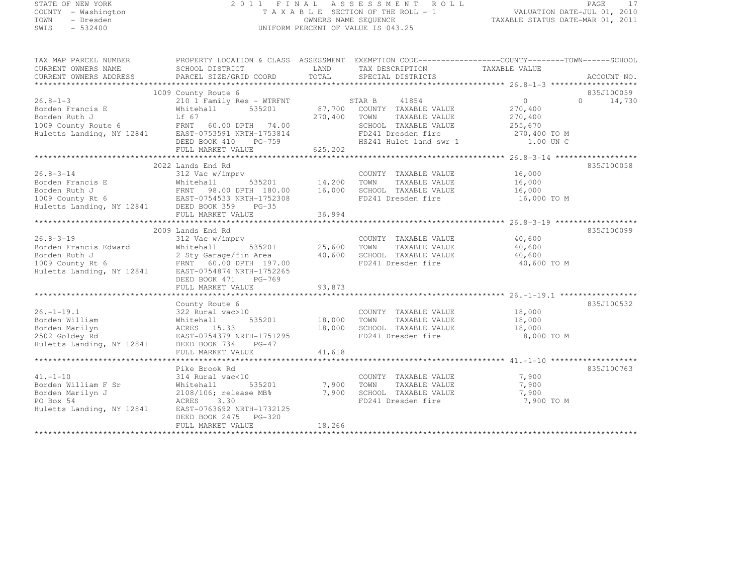# STATE OF NEW YORK 2 0 1 1 F I N A L A S S E S S M E N T R O L L PAGE <sup>17</sup> COUNTY - Washington T A X A B L E SECTION OF THE ROLL - 1 VALUATION DATE-JUL 01, 2010 TOWN - Dresden OWNERS NAME SEQUENCE TAXABLE STATUS DATE-MAR 01, 2011<br>- TRESDEN ON THE SEQUENCE TO A SECUENCE TO BE SERVED ON THE SEQUENCE OF SEXUE OF THE STATUS DATE MAR 01, 2011 SWIS - 532400 UNIFORM PERCENT OF VALUE IS 043.25

| TAX MAP PARCEL NUMBER | PROPERTY LOCATION & CLASS ASSESSMENT EXEMPTION CODE---------------COUNTY-------TOWN-----SCHOOL                                                                                                                                                                                                                                                                                                                    |          |                                                                                                                                       |             |               |
|-----------------------|-------------------------------------------------------------------------------------------------------------------------------------------------------------------------------------------------------------------------------------------------------------------------------------------------------------------------------------------------------------------------------------------------------------------|----------|---------------------------------------------------------------------------------------------------------------------------------------|-------------|---------------|
|                       |                                                                                                                                                                                                                                                                                                                                                                                                                   |          |                                                                                                                                       |             |               |
|                       | $\begin{tabular}{l c c c c c c} \hline $\angle \texttt{o}.\texttt{s$--1$--3} & $\multicolumn{3}{c }{\texttt{20.8--1$--3}} & $\multicolumn{3}{c }{\texttt{20.8--1$--3}} & $\multicolumn{3}{c }{\texttt{20.8--1$--3}} & $\multicolumn{3}{c }{\texttt{20.8--1$--3}} & $\multicolumn{3}{c }{\texttt{20.8--1$--3}} & $\multicolumn{3}{c }{\texttt{20.8--1$--3}} & $\multicolumn{3}{c }{\texttt{20.8--1$--3}} & $\mult$ |          |                                                                                                                                       |             |               |
|                       |                                                                                                                                                                                                                                                                                                                                                                                                                   |          |                                                                                                                                       |             | 835J100059    |
|                       |                                                                                                                                                                                                                                                                                                                                                                                                                   |          |                                                                                                                                       |             | $0 \t 14,730$ |
|                       |                                                                                                                                                                                                                                                                                                                                                                                                                   |          |                                                                                                                                       |             |               |
|                       |                                                                                                                                                                                                                                                                                                                                                                                                                   |          |                                                                                                                                       |             |               |
|                       |                                                                                                                                                                                                                                                                                                                                                                                                                   |          |                                                                                                                                       |             |               |
|                       |                                                                                                                                                                                                                                                                                                                                                                                                                   |          | SCHOOL TAXABLE VALUE $255,670$<br>FD241 Dresden fire $270,400$ TO M<br>HS241 Hulet land swr 1 1.00 UN C                               |             |               |
|                       |                                                                                                                                                                                                                                                                                                                                                                                                                   |          |                                                                                                                                       |             |               |
|                       | FULL MARKET VALUE                                                                                                                                                                                                                                                                                                                                                                                                 | 625, 202 |                                                                                                                                       |             |               |
|                       |                                                                                                                                                                                                                                                                                                                                                                                                                   |          |                                                                                                                                       |             |               |
|                       | 2022 Lands End Rd                                                                                                                                                                                                                                                                                                                                                                                                 |          |                                                                                                                                       |             | 835J100058    |
|                       |                                                                                                                                                                                                                                                                                                                                                                                                                   |          |                                                                                                                                       |             |               |
|                       |                                                                                                                                                                                                                                                                                                                                                                                                                   |          |                                                                                                                                       |             |               |
|                       |                                                                                                                                                                                                                                                                                                                                                                                                                   |          |                                                                                                                                       |             |               |
|                       |                                                                                                                                                                                                                                                                                                                                                                                                                   |          |                                                                                                                                       | 16,000 TO M |               |
|                       |                                                                                                                                                                                                                                                                                                                                                                                                                   |          |                                                                                                                                       |             |               |
|                       |                                                                                                                                                                                                                                                                                                                                                                                                                   |          |                                                                                                                                       |             |               |
|                       | 2009 Lands End Rd                                                                                                                                                                                                                                                                                                                                                                                                 |          |                                                                                                                                       |             | 835J100099    |
|                       | 26.8-3-19<br>Borden Francis Edward Mitehall 535201<br>Borden Ruth J<br>2 Sty Garage/fin Area 40,600<br>1009 County Rt 6 FRNT 60.00 DPTH 197.00<br>Huletts Landing, NY 12841 EAST-0754874 NRTH-1752265<br>RUTH POST 197.00<br>RUEL FD241 Dres                                                                                                                                                                      |          |                                                                                                                                       |             |               |
|                       |                                                                                                                                                                                                                                                                                                                                                                                                                   |          |                                                                                                                                       |             |               |
|                       |                                                                                                                                                                                                                                                                                                                                                                                                                   |          |                                                                                                                                       |             |               |
|                       |                                                                                                                                                                                                                                                                                                                                                                                                                   |          |                                                                                                                                       |             |               |
|                       |                                                                                                                                                                                                                                                                                                                                                                                                                   |          |                                                                                                                                       |             |               |
|                       | DEED BOOK 471 PG-769                                                                                                                                                                                                                                                                                                                                                                                              |          |                                                                                                                                       |             |               |
|                       |                                                                                                                                                                                                                                                                                                                                                                                                                   |          |                                                                                                                                       |             |               |
|                       |                                                                                                                                                                                                                                                                                                                                                                                                                   |          |                                                                                                                                       |             |               |
|                       | County Route 6                                                                                                                                                                                                                                                                                                                                                                                                    |          |                                                                                                                                       |             | 835J100532    |
| $26. - 1 - 19.1$      | $322$ Rural vac $>10$                                                                                                                                                                                                                                                                                                                                                                                             |          | COUNTY TAXABLE VALUE 18,000                                                                                                           |             |               |
|                       |                                                                                                                                                                                                                                                                                                                                                                                                                   |          |                                                                                                                                       |             |               |
|                       | Borden William<br>Borden Marilyn<br>2502 Goldey Rd<br>Huletts Landing, NY 12841<br>2502 Goldey Rd<br>2502 Goldey Rd<br>2502 Goldey Rd<br>2502 Goldey Rd<br>2502 Goldey Rd<br>2502 Book 734<br>2502 Book 734<br>26-47                                                                                                                                                                                              |          | 535201 18,000 TOWN TAXABLE VALUE 18,000<br>18,000 SCHOOL TAXABLE VALUE 18,000<br>TH-1751295 TH-1751295 FD241 Dresden fire 18,000 TO M |             |               |
|                       |                                                                                                                                                                                                                                                                                                                                                                                                                   |          |                                                                                                                                       |             |               |
|                       |                                                                                                                                                                                                                                                                                                                                                                                                                   |          |                                                                                                                                       |             |               |
|                       |                                                                                                                                                                                                                                                                                                                                                                                                                   |          |                                                                                                                                       |             |               |
|                       |                                                                                                                                                                                                                                                                                                                                                                                                                   |          |                                                                                                                                       |             |               |
|                       | Pike Brook Rd                                                                                                                                                                                                                                                                                                                                                                                                     |          |                                                                                                                                       |             | 835J100763    |
| $41. - 1 - 10$        | 314 Rural vac<10                                                                                                                                                                                                                                                                                                                                                                                                  |          | COUNTY TAXABLE VALUE 7,900                                                                                                            |             |               |
|                       |                                                                                                                                                                                                                                                                                                                                                                                                                   |          | TAXABLE VALUE<br>TOWN                                                                                                                 | 7,900       |               |
|                       | Borden William F Sr<br>Borden Marilyn J<br>PO Box 54<br>Huletts Landing, NY 12841<br>BORGES<br>BORGES<br>BORGES<br>BORGES<br>BORGES<br>BORGES<br>BORGES<br>BORGES<br>BORGES<br>BORGES<br>BORGES<br>BORGES<br>RIP-0763692 NRTH-1732125                                                                                                                                                                             |          | SCHOOL TAXABLE VALUE                                                                                                                  | 7,900       |               |
|                       |                                                                                                                                                                                                                                                                                                                                                                                                                   |          | FD241 Dresden fire                                                                                                                    | 7,900 TO M  |               |
|                       |                                                                                                                                                                                                                                                                                                                                                                                                                   |          |                                                                                                                                       |             |               |
|                       | DEED BOOK 2475 PG-320                                                                                                                                                                                                                                                                                                                                                                                             |          |                                                                                                                                       |             |               |
|                       | FULL MARKET VALUE                                                                                                                                                                                                                                                                                                                                                                                                 | 18,266   |                                                                                                                                       |             |               |
|                       |                                                                                                                                                                                                                                                                                                                                                                                                                   |          |                                                                                                                                       |             |               |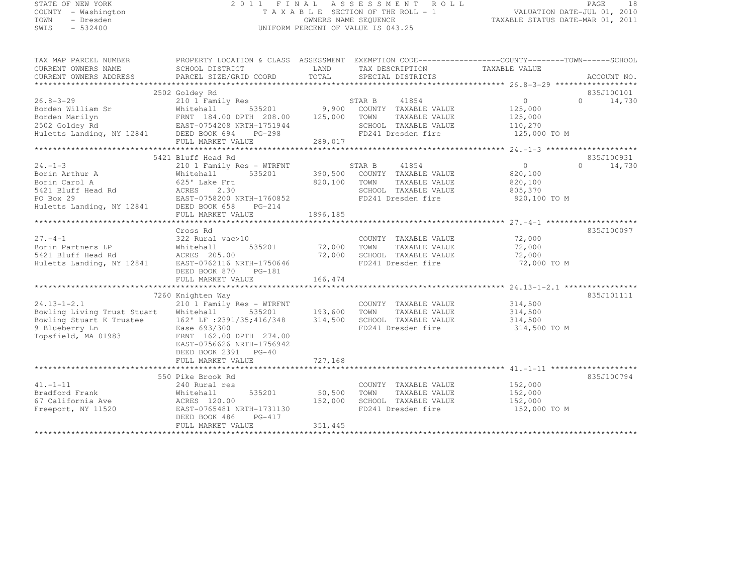# STATE OF NEW YORK 2 0 1 1 F I N A L A S S E S S M E N T R O L L PAGE <sup>18</sup> COUNTY - Washington T A X A B L E SECTION OF THE ROLL - 1 VALUATION DATE-JUL 01, 2010 TOWN - Dresden OWNERS NAME SEQUENCE TAXABLE STATUS DATE-MAR 01, 2011<br>- TRESDEN ON THE SEQUENCE TO A SECUENCE TO BE SERVED ON THE SEQUENCE OF SEXUE OF THE STATUS DATE MAR 01, 2011 SWIS - 532400 UNIFORM PERCENT OF VALUE IS 043.25

| TAX MAP PARCEL NUMBER<br>CURRENT OWNERS NAME<br>CURRENT OWNERS ADDRESS                                                                                                                                                         | SCHOOL DISTRICT<br>PARCEL SIZE/GRID COORD     | <b>EXAMPLE AND SERVICE STATE</b><br>TOTAL | TAX DESCRIPTION<br>SPECIAL DISTRICTS                                  | PROPERTY LOCATION & CLASS ASSESSMENT EXEMPTION CODE----------------COUNTY-------TOWN-----SCHOOL<br>TAXABLE VALUE | ACCOUNT NO.        |
|--------------------------------------------------------------------------------------------------------------------------------------------------------------------------------------------------------------------------------|-----------------------------------------------|-------------------------------------------|-----------------------------------------------------------------------|------------------------------------------------------------------------------------------------------------------|--------------------|
|                                                                                                                                                                                                                                |                                               |                                           |                                                                       |                                                                                                                  |                    |
|                                                                                                                                                                                                                                | 2502 Goldey Rd                                |                                           |                                                                       |                                                                                                                  | 835J100101         |
| $26.8 - 3 - 29$                                                                                                                                                                                                                | 210 1 Family Res                              |                                           |                                                                       | $0 \qquad \qquad$                                                                                                | 14,730<br>$\Omega$ |
| Borden William Sr                                                                                                                                                                                                              | s<br>535201<br>Whitehall                      |                                           | STAR B 41854<br>9,900 COUNTY TAXABLE VALUE                            | 125,000                                                                                                          |                    |
|                                                                                                                                                                                                                                |                                               | 125,000                                   | TOWN                                                                  | TAXABLE VALUE<br>125,000                                                                                         |                    |
|                                                                                                                                                                                                                                |                                               |                                           | SCHOOL TAXABLE VALUE                                                  | 110,270                                                                                                          |                    |
| Borden Marilyn<br>Panden Marilyn<br>2002 Goldey Rd<br>Huletts Landing, NY 12841<br>DEED BOOK 694 PG-298                                                                                                                        |                                               |                                           | FD241 Dresden fire                                                    | 125,000 TO M                                                                                                     |                    |
|                                                                                                                                                                                                                                | FULL MARKET VALUE                             | 289,017                                   |                                                                       |                                                                                                                  |                    |
|                                                                                                                                                                                                                                |                                               |                                           |                                                                       |                                                                                                                  |                    |
|                                                                                                                                                                                                                                | 5421 Bluff Head Rd                            |                                           |                                                                       |                                                                                                                  | 835J100931         |
| $24. -1 - 3$                                                                                                                                                                                                                   | 210 1 Family Res - WTRFNT                     |                                           | STAR B 41854                                                          | $\overline{0}$                                                                                                   | $\Omega$<br>14,730 |
|                                                                                                                                                                                                                                | Whitehall 535201 390,500 COUNTY TAXABLE VALUE |                                           |                                                                       | 820,100                                                                                                          |                    |
|                                                                                                                                                                                                                                |                                               | 820,100 TOWN                              |                                                                       | TAXABLE VALUE<br>820,100                                                                                         |                    |
|                                                                                                                                                                                                                                |                                               |                                           | SCHOOL TAXABLE VALUE                                                  | 805,370                                                                                                          |                    |
|                                                                                                                                                                                                                                |                                               |                                           | FD241 Dresden fire                                                    | 820,100 TO M                                                                                                     |                    |
| Exertion archives a series of the matter of the series of the series of the series of the series of the series of the series of the series of the series of the series of the series of the series of the series of the series |                                               |                                           |                                                                       |                                                                                                                  |                    |
|                                                                                                                                                                                                                                | FULL MARKET VALUE                             | 1896,185                                  |                                                                       |                                                                                                                  |                    |
|                                                                                                                                                                                                                                |                                               |                                           |                                                                       |                                                                                                                  |                    |
|                                                                                                                                                                                                                                | Cross Rd                                      |                                           |                                                                       |                                                                                                                  | 835J100097         |
| $27. - 4 - 1$                                                                                                                                                                                                                  | 322 Rural vac>10                              |                                           |                                                                       | COUNTY TAXABLE VALUE 72,000                                                                                      |                    |
| Borin Partners LP                                                                                                                                                                                                              | 535201                                        |                                           | 72,000 TOWN                                                           | 72,000                                                                                                           |                    |
| 5421 Bluff Head Rd                                                                                                                                                                                                             | Whitehall<br>ACRES 205<br>ACRES 205.00        |                                           | 72,000    TOWN      TAXABLE VALUE<br>72,000    SCHOOL   TAXABLE VALUE | 72,000                                                                                                           |                    |
| Huletts Landing, NY 12841                                                                                                                                                                                                      | EAST-0762116 NRTH-1750646                     |                                           | FD241 Dresden fire                                                    | 72,000 TO M                                                                                                      |                    |
|                                                                                                                                                                                                                                | DEED BOOK 870 PG-181                          |                                           |                                                                       |                                                                                                                  |                    |
|                                                                                                                                                                                                                                | FULL MARKET VALUE                             | 166, 474                                  |                                                                       |                                                                                                                  |                    |
|                                                                                                                                                                                                                                |                                               |                                           |                                                                       |                                                                                                                  |                    |
|                                                                                                                                                                                                                                | 7260 Knighten Way                             |                                           |                                                                       |                                                                                                                  | 835J101111         |
| $24.13 - 1 - 2.1$                                                                                                                                                                                                              | 210 1 Family Res - WTRFNT                     |                                           | COUNTY TAXABLE VALUE                                                  | 314,500                                                                                                          |                    |
| Bowling Living Trust Stuart                                                                                                                                                                                                    | Whitehall<br>535201                           | 193,600                                   | TOWN                                                                  | TAXABLE VALUE<br>314,500                                                                                         |                    |
| Bowling Stuart K Trustee                                                                                                                                                                                                       | 162' LF :2391/35;416/348 314,500              |                                           | SCHOOL TAXABLE VALUE                                                  | 314,500                                                                                                          |                    |
| 9 Blueberry Ln                                                                                                                                                                                                                 | Ease 693/300                                  |                                           | FD241 Dresden fire                                                    | 314,500 TO M                                                                                                     |                    |
| Topsfield, MA 01983                                                                                                                                                                                                            | FRNT 162.00 DPTH 274.00                       |                                           |                                                                       |                                                                                                                  |                    |
|                                                                                                                                                                                                                                | EAST-0756626 NRTH-1756942                     |                                           |                                                                       |                                                                                                                  |                    |
|                                                                                                                                                                                                                                | DEED BOOK 2391 PG-40                          |                                           |                                                                       |                                                                                                                  |                    |
|                                                                                                                                                                                                                                | FULL MARKET VALUE                             | 727,168                                   |                                                                       |                                                                                                                  |                    |
|                                                                                                                                                                                                                                |                                               |                                           |                                                                       |                                                                                                                  |                    |
|                                                                                                                                                                                                                                | 550 Pike Brook Rd                             |                                           |                                                                       |                                                                                                                  | 835J100794         |
| $41. -1 - 11$                                                                                                                                                                                                                  | 240 Rural res                                 |                                           | COUNTY TAXABLE VALUE                                                  | 152,000                                                                                                          |                    |
| Bradford Frank                                                                                                                                                                                                                 | 535201<br>Whitehall                           | 50, 500                                   | TOWN                                                                  | TAXABLE VALUE<br>152,000                                                                                         |                    |
| 67 California Ave                                                                                                                                                                                                              | ACRES 120.00                                  | 152,000                                   | SCHOOL TAXABLE VALUE                                                  | 152,000                                                                                                          |                    |
| Freeport, NY 11520                                                                                                                                                                                                             | EAST-0765481 NRTH-1731130                     |                                           | FD241 Dresden fire                                                    | 152,000 TO M                                                                                                     |                    |
|                                                                                                                                                                                                                                | $PG-417$<br>DEED BOOK 486                     |                                           |                                                                       |                                                                                                                  |                    |
|                                                                                                                                                                                                                                | FULL MARKET VALUE                             | 351,445                                   |                                                                       |                                                                                                                  |                    |
|                                                                                                                                                                                                                                |                                               |                                           |                                                                       |                                                                                                                  |                    |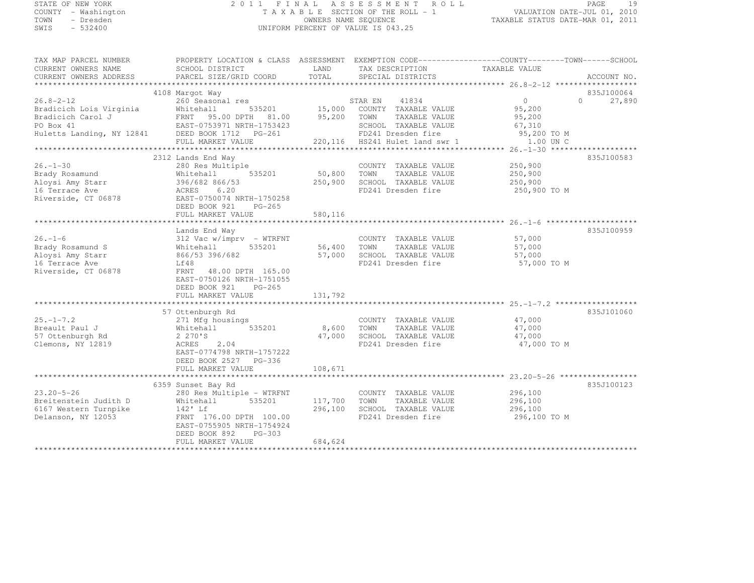STATE OF NEW IONS<br>COUNTY - Washington<br>TOWN - Dresden<br>----- - 532400

# STATE OF NEW YORK 2 0 1 1 F I N A L A S S E S S M E N T R O L L PAGE <sup>19</sup> COUNTY - Washington T A X A B L E SECTION OF THE ROLL - 1 VALUATION DATE-JUL 01, 2010 TOWN - Dresden OWNERS NAME SEQUENCE TAXABLE STATUS DATE-MAR 01, 2011<br>- TRESDEN ON THE SEQUENCE TO A SECUENCE TO BE SERVED ON THE SEQUENCE OF SEXUE OF THE STATUS DATE MAR 01, 2011

| TAX MAP PARCEL NUMBER<br>CURRENT OWNERS NAME<br>CURRENT OWNERS ADDRESS                                                                                              | PROPERTY LOCATION & CLASS ASSESSMENT EXEMPTION CODE-----------------COUNTY-------TOWN------SCHOOL<br>SCHOOL DISTRICT<br>PARCEL SIZE/GRID COORD | LAND<br>TOTAL        | TAX DESCRIPTION<br>SPECIAL DISTRICTS              | TAXABLE VALUE      | ACCOUNT NO.   |
|---------------------------------------------------------------------------------------------------------------------------------------------------------------------|------------------------------------------------------------------------------------------------------------------------------------------------|----------------------|---------------------------------------------------|--------------------|---------------|
|                                                                                                                                                                     |                                                                                                                                                |                      |                                                   |                    |               |
|                                                                                                                                                                     | 4108 Margot Way                                                                                                                                |                      |                                                   |                    | 835J100064    |
| $26.8 - 2 - 12$                                                                                                                                                     | 260 Seasonal res                                                                                                                               |                      | STAR EN 41834                                     | $\overline{0}$     | $0 \t 27,890$ |
| Bradicich Lois Virginia                                                                                                                                             | Whitehall                                                                                                                                      |                      | 535201 15,000 COUNTY TAXABLE VALUE 95,200         |                    |               |
| Bradicich Carol J                                                                                                                                                   | FRNT 95.00 DPTH 81.00 95,200 TOWN TAXABLE VALUE<br>EAST-0753971 NRTH-1753423 SCHOOL TAXABLE VALUE                                              |                      |                                                   | 95,200             |               |
|                                                                                                                                                                     |                                                                                                                                                |                      | SCHOOL TAXABLE VALUE                              | 67,310             |               |
| Bradicich Carol J<br>PO Box 41<br>Huletts Landing, NY 12841<br>EAST-0753971 NRTH-1753423<br>Huletts Landing, NY 12841<br>DEED BOOK 1712 PG-261<br>PUIL MAPKET VALUE |                                                                                                                                                |                      | FD241 Dresden fire                                | 95,200 TO M        |               |
|                                                                                                                                                                     | FULL MARKET VALUE                                                                                                                              |                      | 220, 116 HS241 Hulet land swr 1                   | 1.00 UN C          |               |
|                                                                                                                                                                     |                                                                                                                                                |                      |                                                   |                    |               |
|                                                                                                                                                                     | 2312 Lands End Way                                                                                                                             |                      |                                                   |                    | 835J100583    |
| $26. - 1 - 30$                                                                                                                                                      | 280 Res Multiple                                                                                                                               |                      | COUNTY TAXABLE VALUE                              | 250,900<br>250,900 |               |
| Brady Rosamund                                                                                                                                                      | Whitehall                                                                                                                                      | 535201 50,800 TOWN   | TAXABLE VALUE                                     |                    |               |
| Aloysi Amy Starr<br>16 Terrace Ave                                                                                                                                  | 396/682 866/53                                                                                                                                 | 250,900              | SCHOOL TAXABLE VALUE                              | 250,900            |               |
| 16 Terrace Ave                                                                                                                                                      | ACRES 6.20                                                                                                                                     |                      | FD241 Dresden fire                                | 250,900 TO M       |               |
| Riverside, CT 06878                                                                                                                                                 | EAST-0750074 NRTH-1750258                                                                                                                      |                      |                                                   |                    |               |
|                                                                                                                                                                     | DEED BOOK 921 PG-265                                                                                                                           |                      |                                                   |                    |               |
|                                                                                                                                                                     | FULL MARKET VALUE                                                                                                                              | 580,116              |                                                   |                    |               |
|                                                                                                                                                                     |                                                                                                                                                |                      |                                                   |                    |               |
|                                                                                                                                                                     | Lands End Way                                                                                                                                  |                      |                                                   |                    | 835J100959    |
| $26. - 1 - 6$                                                                                                                                                       | 312 Vac w/imprv - WTRFNT                                                                                                                       |                      | COUNTY TAXABLE VALUE 57,000                       |                    |               |
| Brady Rosamund S                                                                                                                                                    | 535201<br>Whitehall                                                                                                                            | 56,400 TOWN          | TAXABLE VALUE                                     | 57,000             |               |
| Aloysi Amy Starr                                                                                                                                                    | 866/53 396/682                                                                                                                                 |                      |                                                   | 57,000             |               |
| 16 Terrace Ave                                                                                                                                                      | Lf48                                                                                                                                           |                      | 57,000 SCHOOL TAXABLE VALUE<br>FD241 Dresden fire | 57,000 TO M        |               |
| Riverside, CT 06878                                                                                                                                                 | 48.00 DPTH 165.00<br>FRNT                                                                                                                      |                      |                                                   |                    |               |
|                                                                                                                                                                     | EAST-0750126 NRTH-1751055                                                                                                                      |                      |                                                   |                    |               |
|                                                                                                                                                                     | DEED BOOK 921 PG-265                                                                                                                           |                      |                                                   |                    |               |
|                                                                                                                                                                     | FULL MARKET VALUE                                                                                                                              | 131,792              |                                                   |                    |               |
|                                                                                                                                                                     |                                                                                                                                                |                      |                                                   |                    |               |
|                                                                                                                                                                     | 57 Ottenburgh Rd                                                                                                                               |                      |                                                   |                    | 835J101060    |
| $25. - 1 - 7.2$                                                                                                                                                     | 271 Mfg housings                                                                                                                               | COUNTY<br>8,600 TOWN | COUNTY TAXABLE VALUE                              | 47,000             |               |
| Breault Paul J                                                                                                                                                      | Whitehall 535201                                                                                                                               |                      | TAXABLE VALUE                                     | 47,000             |               |
| 57 Ottenburgh Rd                                                                                                                                                    | 2 270'S                                                                                                                                        | 47,000               | SCHOOL TAXABLE VALUE                              | 47,000             |               |
| Clemons, NY 12819                                                                                                                                                   | ACRES 2.04                                                                                                                                     |                      | FD241 Dresden fire                                | 47,000 TO M        |               |
|                                                                                                                                                                     | EAST-0774798 NRTH-1757222                                                                                                                      |                      |                                                   |                    |               |
|                                                                                                                                                                     | DEED BOOK 2527 PG-336                                                                                                                          |                      |                                                   |                    |               |
|                                                                                                                                                                     | FULL MARKET VALUE                                                                                                                              | 108,671              |                                                   |                    |               |
|                                                                                                                                                                     |                                                                                                                                                |                      |                                                   |                    |               |
|                                                                                                                                                                     | 6359 Sunset Bay Rd                                                                                                                             |                      |                                                   |                    | 835J100123    |
| $23.20 - 5 - 26$                                                                                                                                                    | 280 Res Multiple - WTRFNT                                                                                                                      |                      | COUNTY TAXABLE VALUE                              |                    |               |
| Breitenstein Judith D                                                                                                                                               | Whitehall 535201 117,700 TOWN                                                                                                                  |                      | TAXABLE VALUE                                     | 296,100<br>296,100 |               |
| 6167 Western Turnpike                                                                                                                                               | 142' Lf                                                                                                                                        | 296,100              | SCHOOL TAXABLE VALUE                              | 296,100            |               |
| Delanson, NY 12053                                                                                                                                                  | FRNT 176.00 DPTH 100.00                                                                                                                        |                      | FD241 Dresden fire                                | 296,100 TO M       |               |
|                                                                                                                                                                     | EAST-0755905 NRTH-1754924                                                                                                                      |                      |                                                   |                    |               |
|                                                                                                                                                                     | DEED BOOK 892 PG-303                                                                                                                           |                      |                                                   |                    |               |
|                                                                                                                                                                     | FULL MARKET VALUE                                                                                                                              | 684,624              |                                                   |                    |               |
|                                                                                                                                                                     |                                                                                                                                                |                      |                                                   |                    |               |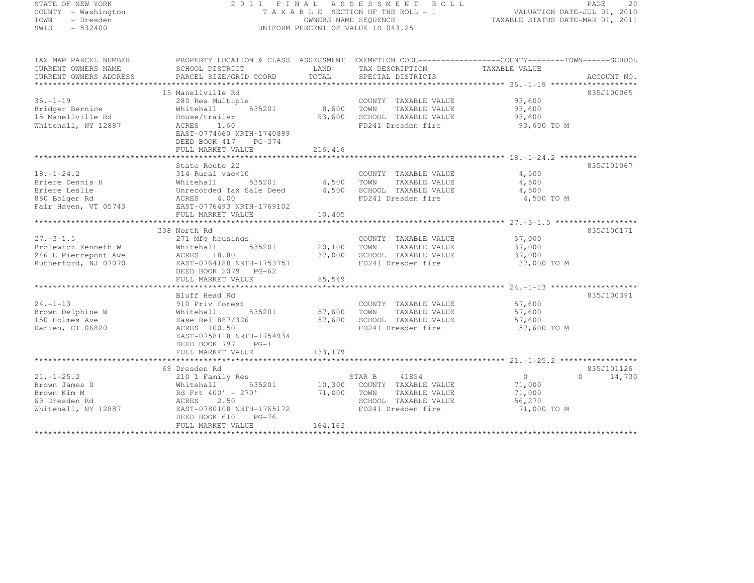## STATE OF NEW YORK 2 0 1 1 F I N A L A S S E S S M E N T R O L L PAGE <sup>20</sup> COUNTY - Washington T A X A B L E SECTION OF THE ROLL - 1 VALUATION DATE-JUL 01, 2010 TOWN - Dresden OWNERS NAME SEQUENCE TAXABLE STATUS DATE-MAR 01, 2011<br>- TRESDEN ON THE SEQUENCE TO A SECUENCE TO BE SERVED ON THE SEQUENCE OF SEXUE OF THE STATUS DATE MAR 01, 2011 SWIS - 532400 UNIFORM PERCENT OF VALUE IS 043.25

| TAX MAP PARCEL NUMBER                         | PROPERTY LOCATION & CLASS ASSESSMENT EXEMPTION CODE-----------------COUNTY-------TOWN------SCHOOL |                                        |                                                          |                |                             |
|-----------------------------------------------|---------------------------------------------------------------------------------------------------|----------------------------------------|----------------------------------------------------------|----------------|-----------------------------|
| CURRENT OWNERS NAME<br>CURRENT OWNERS ADDRESS | SCHOOL DISTRICT                                                                                   |                                        | LAND TAX DESCRIPTION                                     | TAXABLE VALUE  |                             |
|                                               |                                                                                                   |                                        |                                                          |                |                             |
|                                               | 15 Manellville Rd                                                                                 |                                        |                                                          |                | 835J100065                  |
| $35. - 1 - 19$                                | 280 Res Multiple                                                                                  |                                        | COUNTY TAXABLE VALUE 93,600                              |                |                             |
| Bridger Bernice                               | Whitehall                                                                                         | 535201 8,600 TOWN                      | TAXABLE VALUE 93,600                                     |                |                             |
| 15 Manellville Rd                             | House/trailer                                                                                     |                                        | 93,600 SCHOOL TAXABLE VALUE                              | 93,600         |                             |
| Whitehall, NY 12887                           | ACRES 1.60                                                                                        |                                        | FD241 Dresden fire                                       | 93,600 TO M    |                             |
|                                               | EAST-0774660 NRTH-1740899                                                                         |                                        |                                                          |                |                             |
|                                               | DEED BOOK 417 PG-374                                                                              |                                        |                                                          |                |                             |
|                                               | FULL MARKET VALUE                                                                                 | 216,416                                |                                                          |                |                             |
|                                               |                                                                                                   |                                        |                                                          |                |                             |
|                                               | State Route 22                                                                                    |                                        |                                                          |                | 835J101067                  |
| $18, -1 - 24.2$                               | 314 Rural vac<10                                                                                  |                                        | COUNTY TAXABLE VALUE                                     | 4,500          |                             |
| Briere Dennis H                               | 535201                                                                                            | $\frac{1}{4}$ , 500 TOWN<br>4.500 TOWN | TAXABLE VALUE                                            | 4,500          |                             |
| Briere Leslie                                 |                                                                                                   | 4,500                                  | SCHOOL TAXABLE VALUE                                     | 4,500          |                             |
| 880 Bolger Rd                                 |                                                                                                   |                                        | FD241 Dresden fire                                       | 4,500 TO M     |                             |
| Fair Haven, VT 05743                          | Whitehall 535201<br>Unrecorded Tax Sale Deed<br>ACRES 4.00<br>DEAST-0776493 NRTH-1769102          |                                        |                                                          |                |                             |
|                                               | FULL MARKET VALUE                                                                                 | 10,405                                 |                                                          |                |                             |
|                                               |                                                                                                   |                                        |                                                          |                |                             |
|                                               | 338 North Rd                                                                                      |                                        |                                                          |                | 835J100171                  |
| $27. -3 - 1.5$                                | 271 Mfg housings                                                                                  | 20,100                                 | COUNTY TAXABLE VALUE 37,000                              |                |                             |
| Brolewicz Kenneth W                           | 535201<br>Whitehall                                                                               |                                        | 20,100 TOWN<br>TAXABLE VALUE                             | 37,000         |                             |
| 246 E Pierrepont Ave                          | ACRES 18.80                                                                                       |                                        | 37,000 SCHOOL TAXABLE VALUE 37,000                       |                |                             |
| Rutherford, NJ 07070                          | EAST-0764188 NRTH-1753757                                                                         |                                        | FD241 Dresden fire                                       | 37,000 TO M    |                             |
|                                               | DEED BOOK 2079 PG-62                                                                              |                                        |                                                          |                |                             |
|                                               | FULL MARKET VALUE                                                                                 | 85,549                                 |                                                          |                |                             |
|                                               |                                                                                                   |                                        |                                                          |                |                             |
|                                               | Bluff Head Rd                                                                                     |                                        |                                                          |                | 835J100391                  |
| $24. - 1 - 13$                                | 910 Priv forest<br>535201 57,600 TOWN                                                             |                                        | COUNTY TAXABLE VALUE 57,600<br>TOWN TAXABLE VALUE 57.600 |                |                             |
| Brown Delphine W                              | Whitehall                                                                                         |                                        | TAXABLE VALUE                                            | 57,600         |                             |
| 150 Holmes Ave                                | Ease Rel 887/326                                                                                  |                                        | 57,600 SCHOOL TAXABLE VALUE 57,600                       |                |                             |
| Darien, CT 06820                              | ACRES 100.50                                                                                      |                                        | FD241 Dresden fire                                       | 57,600 TO M    |                             |
|                                               | EAST-0758118 NRTH-1754934                                                                         |                                        |                                                          |                |                             |
|                                               | DEED BOOK 797 PG-1                                                                                |                                        |                                                          |                |                             |
|                                               | FULL MARKET VALUE                                                                                 | 133,179                                |                                                          |                |                             |
|                                               | 69 Dresden Rd                                                                                     |                                        |                                                          |                | 835J101126                  |
| $21. - 1 - 25.2$                              | 210 1 Family Res                                                                                  |                                        | STAR B<br>41854                                          | $\overline{0}$ | 14,730<br>$0 \qquad \qquad$ |
| Brown James S                                 | 535201<br>Whitehall                                                                               |                                        | 10,300 COUNTY TAXABLE VALUE                              | 71,000         |                             |
| Brown Kim M                                   | Rd Frt 400' + 270'                                                                                |                                        | 71,000 TOWN<br>TAXABLE VALUE                             | 71,000         |                             |
| 69 Dresden Rd                                 | 2.50<br>ACRES                                                                                     |                                        | SCHOOL TAXABLE VALUE                                     | 56,270         |                             |
| Whitehall, NY 12887                           | EAST-0780108 NRTH-1765172                                                                         |                                        | FD241 Dresden fire                                       | 71,000 TO M    |                             |
|                                               | $PG-76$<br>DEED BOOK 610                                                                          |                                        |                                                          |                |                             |
|                                               | FULL MARKET VALUE                                                                                 | 164,162                                |                                                          |                |                             |
|                                               |                                                                                                   |                                        |                                                          |                |                             |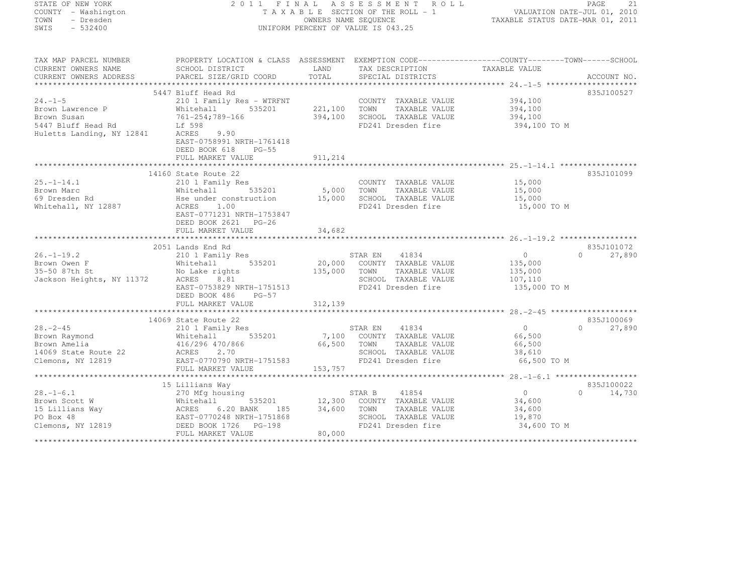| STATE OF NEW YORK |           |                     |  |
|-------------------|-----------|---------------------|--|
|                   |           | COUNTY - Washington |  |
| TOWN              |           | - Dresden           |  |
| SWTS              | $-532400$ |                     |  |

## STATE OF NEW YORK 2 0 1 1 F I N A L A S S E S S M E N T R O L L PAGE <sup>21</sup> COUNTY - Washington T A X A B L E SECTION OF THE ROLL - 1 VALUATION DATE-JUL 01, 2010 TOWN - Dresden OWNERS NAME SEQUENCE TAXABLE STATUS DATE-MAR 01, 2011<br>- TRESDEN ON THE SEQUENCE TO A SECUENCE TO BE SERVED ON THE SEQUENCE OF SEXUE OF THE STATUS DATE MAR 01, 2011 SWIS - 532400 - DISPONSITION OF VALUE IS 043.25

TAX MAP PARCEL NUMBER PROPERTY LOCATION & CLASS ASSESSMENT EXEMPTION CODE--------------------------------TOWN-------SCHOOL

| CURRENT OWNERS NAME                                                                                                                                                                                                            | SCHOOL DISTRICT           | LAND    | TAX DESCRIPTION                               | TAXABLE VALUE           |                        |
|--------------------------------------------------------------------------------------------------------------------------------------------------------------------------------------------------------------------------------|---------------------------|---------|-----------------------------------------------|-------------------------|------------------------|
| CURRENT OWNERS ADDRESS                                                                                                                                                                                                         | PARCEL SIZE/GRID COORD    | TOTAL   | SPECIAL DISTRICTS                             |                         | ACCOUNT NO.            |
|                                                                                                                                                                                                                                |                           |         |                                               |                         |                        |
|                                                                                                                                                                                                                                | 5447 Bluff Head Rd        |         |                                               |                         | 835J100527             |
| $24. -1 - 5$                                                                                                                                                                                                                   | 210 1 Family Res - WTRFNT |         | COUNTY TAXABLE VALUE                          | 394,100                 |                        |
| Brown Lawrence P                                                                                                                                                                                                               | Whitehall<br>535201       | 221,100 | TOWN<br>TAXABLE VALUE                         | 394,100                 |                        |
| Brown Susan                                                                                                                                                                                                                    | 761-254;789-166           | 394,100 | SCHOOL TAXABLE VALUE                          | 394,100                 |                        |
| 5447 Bluff Head Rd                                                                                                                                                                                                             | Lf 598                    |         | FD241 Dresden fire                            | 394,100 TO M            |                        |
| Huletts Landing, NY 12841                                                                                                                                                                                                      | 9.90<br>ACRES             |         |                                               |                         |                        |
|                                                                                                                                                                                                                                | EAST-0758991 NRTH-1761418 |         |                                               |                         |                        |
|                                                                                                                                                                                                                                | DEED BOOK 618<br>$PG-55$  |         |                                               |                         |                        |
|                                                                                                                                                                                                                                | FULL MARKET VALUE         | 911,214 |                                               |                         |                        |
|                                                                                                                                                                                                                                |                           |         |                                               |                         |                        |
|                                                                                                                                                                                                                                | 14160 State Route 22      |         |                                               |                         | 835J101099             |
| $25. - 1 - 14.1$                                                                                                                                                                                                               | 210 1 Family Res          |         | COUNTY TAXABLE VALUE                          | 15,000                  |                        |
| Brown Marc                                                                                                                                                                                                                     | Whitehall<br>535201       | 5,000   | TOWN<br>TAXABLE VALUE                         | 15,000                  |                        |
| 69 Dresden Rd                                                                                                                                                                                                                  | Hse under construction    | 15,000  | SCHOOL TAXABLE VALUE                          | 15,000                  |                        |
| Whitehall, NY 12887                                                                                                                                                                                                            | ACRES<br>1.00             |         | FD241 Dresden fire                            | 15,000 TO M             |                        |
|                                                                                                                                                                                                                                | EAST-0771231 NRTH-1753847 |         |                                               |                         |                        |
|                                                                                                                                                                                                                                | DEED BOOK 2621 PG-26      |         |                                               |                         |                        |
|                                                                                                                                                                                                                                | FULL MARKET VALUE         | 34,682  |                                               |                         |                        |
|                                                                                                                                                                                                                                |                           |         |                                               |                         |                        |
| $26. - 1 - 19.2$                                                                                                                                                                                                               | 2051 Lands End Rd         |         |                                               | $\circ$                 | 835J101072<br>$\Omega$ |
|                                                                                                                                                                                                                                | 210 1 Family Res          |         | STAR EN<br>41834                              |                         | 27,890                 |
| Example of the transformal and the material of the series of the series of the series of the series of the series of the series of the series of the series of the series of the series of the series of the series of the ser | 535201                    | 20,000  | COUNTY TAXABLE VALUE                          | 135,000                 |                        |
|                                                                                                                                                                                                                                | No Lake rights            | 135,000 | TOWN<br>TAXABLE VALUE<br>SCHOOL TAXABLE VALUE | 135,000                 |                        |
|                                                                                                                                                                                                                                | EAST-0753829 NRTH-1751513 |         | FD241 Dresden fire                            | 107,110<br>135,000 TO M |                        |
|                                                                                                                                                                                                                                | DEED BOOK 486<br>$PG-57$  |         |                                               |                         |                        |
|                                                                                                                                                                                                                                | FULL MARKET VALUE         | 312,139 |                                               |                         |                        |
|                                                                                                                                                                                                                                |                           |         |                                               |                         |                        |
|                                                                                                                                                                                                                                | 14069 State Route 22      |         |                                               |                         | 835J100069             |
| $28 - 2 - 45$                                                                                                                                                                                                                  | 210 1 Family Res          |         | STAR EN<br>41834                              | $0 \qquad$              | $\Omega$<br>27,890     |
| Brown Raymond                                                                                                                                                                                                                  | 535201<br>Whitehall       |         | 7,100 COUNTY TAXABLE VALUE                    | 66,500                  |                        |
| Brown Amelia                                                                                                                                                                                                                   | 416/296 470/866           | 66,500  | TOWN<br>TAXABLE VALUE                         | 66,500                  |                        |
| 14069 State Route 22                                                                                                                                                                                                           | 2.70<br>ACRES             |         | SCHOOL TAXABLE VALUE                          | 38,610                  |                        |
| Clemons, NY 12819                                                                                                                                                                                                              | EAST-0770790 NRTH-1751583 |         | FD241 Dresden fire                            | 66,500 TO M             |                        |
|                                                                                                                                                                                                                                | FULL MARKET VALUE         | 153,757 |                                               |                         |                        |
|                                                                                                                                                                                                                                |                           |         |                                               |                         |                        |
|                                                                                                                                                                                                                                | 15 Lillians Way           |         |                                               |                         | 835J100022             |
| $28. - 1 - 6.1$                                                                                                                                                                                                                | 270 Mfg housing           |         | 41854<br>STAR B                               | $\overline{0}$          | 14,730<br>$\Omega$     |
| Brown Scott W                                                                                                                                                                                                                  | Whitehall<br>535201       | 12,300  | COUNTY TAXABLE VALUE                          | 34,600                  |                        |
| 15 Lillians Way                                                                                                                                                                                                                | 6.20 BANK<br>ACRES<br>185 | 34,600  | TOWN<br>TAXABLE VALUE                         | 34,600                  |                        |
| PO Box 48                                                                                                                                                                                                                      | EAST-0770248 NRTH-1751868 |         | SCHOOL TAXABLE VALUE                          | 19,870                  |                        |
| Clemons, NY 12819                                                                                                                                                                                                              | DEED BOOK 1726<br>PG-198  |         | FD241 Dresden fire                            | 34,600 TO M             |                        |
|                                                                                                                                                                                                                                | FULL MARKET VALUE         | 80,000  |                                               |                         |                        |
|                                                                                                                                                                                                                                |                           |         |                                               |                         |                        |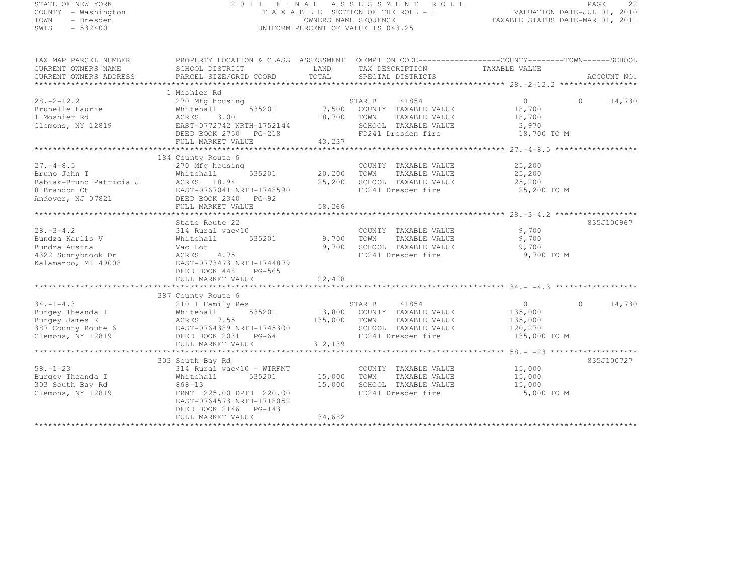| STATE OF NEW YORK<br>COUNTY - Washington<br>TOWN<br>- Dresden<br>SWIS<br>$-532400$               |                                                                                                                                                                 | OWNERS NAME SEOUENCE                    | 2011 FINAL ASSESSMENT ROLL<br>TAXABLE SECTION OF THE ROLL - 1<br>UNIFORM PERCENT OF VALUE IS 043.25                | TAXABLE STATUS DATE-MAR 01, 2011                                | PAGE<br>22<br>VALUATION DATE-JUL 01, 2010 |
|--------------------------------------------------------------------------------------------------|-----------------------------------------------------------------------------------------------------------------------------------------------------------------|-----------------------------------------|--------------------------------------------------------------------------------------------------------------------|-----------------------------------------------------------------|-------------------------------------------|
| TAX MAP PARCEL NUMBER<br>CURRENT OWNERS NAME<br>CURRENT OWNERS ADDRESS                           | PROPERTY LOCATION & CLASS ASSESSMENT EXEMPTION CODE----------------COUNTY-------TOWN------SCHOOL<br>SCHOOL DISTRICT<br>PARCEL SIZE/GRID COORD                   | LAND<br>TOTAL                           | TAX DESCRIPTION<br>SPECIAL DISTRICTS                                                                               | TAXABLE VALUE                                                   | ACCOUNT NO.                               |
| $28, -2 - 12, 2$<br>Brunelle Laurie<br>1 Moshier Rd<br>Clemons, NY 12819                         | 1 Moshier Rd<br>270 Mfg housing<br>Whitehall 535201<br>ACRES 3.00<br>EAST-0772742 NRTH-1752144<br>DEED BOOK 2750 PG-218<br>FULL MARKET VALUE                    | 18,700<br>43,237                        | 41854<br>STAR B<br>7,500 COUNTY TAXABLE VALUE<br>TOWN TAXABLE VALUE<br>SCHOOL TAXABLE VALUE<br>FD241 Dresden fire  | $\overline{0}$<br>18,700<br>18,700<br>3,970<br>18,700 TO M      | $0 \t 14,730$                             |
| $27. -4 - 8.5$                                                                                   | 184 County Route 6<br>270 Mfg housing<br>FULL MARKET VALUE                                                                                                      | 20,200<br>25,200<br>58,266              | COUNTY TAXABLE VALUE<br>TOWN<br>TAXABLE VALUE<br>SCHOOL TAXABLE VALUE<br>FD241 Dresden fire                        | 25,200<br>25,200<br>25,200<br>25,200 TO M                       |                                           |
| $28. - 3 - 4.2$<br>Bundza Karlis V<br>Bundza Austra<br>4322 Sunnybrook Dr<br>Kalamazoo, MI 49008 | State Route 22<br>314 Rural vac<10<br>Whitehall<br>Vac Lot<br>535201<br>ACRES 4.75<br>EAST-0773473 NRTH-1744879<br>DEED BOOK 448<br>PG-565<br>FULL MARKET VALUE | ***********<br>9,700<br>9,700<br>22,428 | COUNTY TAXABLE VALUE<br>TOWN<br>TAXABLE VALUE<br>SCHOOL TAXABLE VALUE<br>FD241 Dresden fire                        | 9,700<br>9,700<br>9,700<br>9,700 TO M                           | 835J100967                                |
| $34. - 1 - 4.3$<br>Burgey Theanda I<br>Burgey James K<br>387 County Route 6<br>Clemons, NY 12819 | 387 County Route 6<br>210 1 Family Res<br>Whitehall<br>535201<br>ACRES 7.55<br>EAST-0764389 NRTH-1745300<br>DEED BOOK 2031 PG-64<br>FULL MARKET VALUE           | 135,000<br>312,139                      | STAR B 41854<br>13,800 COUNTY TAXABLE VALUE<br>TOWN<br>TAXABLE VALUE<br>SCHOOL TAXABLE VALUE<br>FD241 Dresden fire | $\overline{0}$<br>135,000<br>135,000<br>120,270<br>135,000 TO M | $0 \t 14,730$                             |

FULL MARKET VALUE 34,682 \*\*\*\*\*\*\*\*\*\*\*\*\*\*\*\*\*\*\*\*\*\*\*\*\*\*\*\*\*\*\*\*\*\*\*\*\*\*\*\*\*\*\*\*\*\*\*\*\*\*\*\*\*\*\*\*\*\*\*\*\*\*\*\*\*\*\*\*\*\*\*\*\*\*\*\*\*\*\*\*\*\*\*\*\*\*\*\*\*\*\*\*\*\*\*\*\*\*\*\*\*\*\*\*\*\*\*\*\*\*\*\*\*\*\*\*\*\*\*\*\*\*\*\*\*\*\*\*\*\*\*\*

58.-1-23 314 Rural vac<10 - WTRFNT COUNTY TAXABLE VALUE 15,000 Burgey Theanda I Whitehall 535201 15,000 TOWN TAXABLE VALUE 15,000 303 South Bay Rd 868-13 15,000 SCHOOL TAXABLE VALUE 15,000 Clemons, NY 12819 FRNT 225.00 DPTH 220.00 FD241 Dresden fire 15,000 TO M

EAST-0764573 NRTH-1718052

DEED BOOK 2146 PG-143

303 South Bay Rd 835J100727

835J100727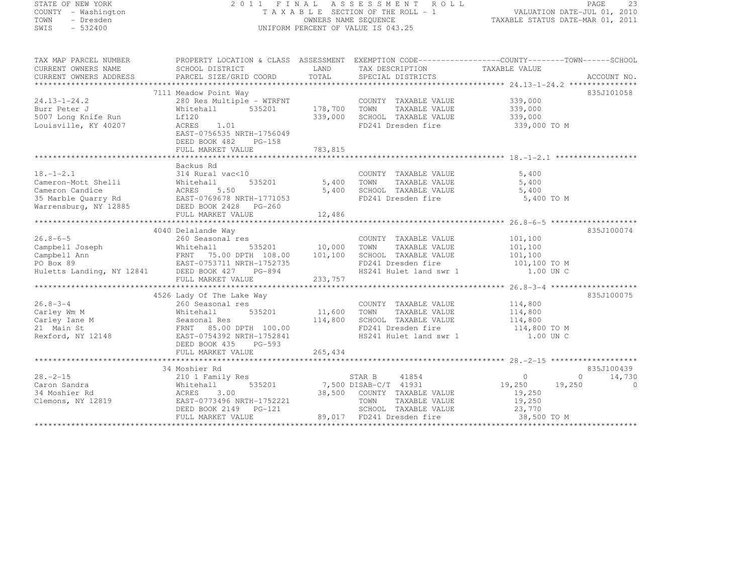# STATE OF NEW YORK 2 0 1 1 F I N A L A S S E S S M E N T R O L L PAGE <sup>23</sup> COUNTY - Washington T A X A B L E SECTION OF THE ROLL - 1 VALUATION DATE-JUL 01, 2010 TOWN - Dresden OWNERS NAME SEQUENCE TAXABLE STATUS DATE-MAR 01, 2011<br>- TRESDEN ON THE SEQUENCE TO A SECUENCE TO BE SERVED ON THE SEQUENCE OF SEXUE OF THE STATUS DATE MAR 01, 2011 SWIS - 532400 UNIFORM PERCENT OF VALUE IS 043.25

TAX MAP PARCEL NUMBER PROPERTY LOCATION & CLASS ASSESSMENT EXEMPTION CODE------------------COUNTY--------TOWN------SCHOOL CURRENT OWNERS NAME<br>
CURRENT OWNERS NAME SCHOOL DISTRICT LAND TAX DESCRIPTION TAXABLE VALUE<br>
CURRENT OWNERS ADDRESS PARCEL SIZE/GRID COORD TOTAL SPECIAL DISTRICTS CURRENT OWNERS ADDRESS PARCEL SIZE/GRID COORD TOTAL SPECIAL DISTRICTS ACCOUNT NO. \*\*\*\*\*\*\*\*\*\*\*\*\*\*\*\*\*\*\*\*\*\*\*\*\*\*\*\*\*\*\*\*\*\*\*\*\*\*\*\*\*\*\*\*\*\*\*\*\*\*\*\*\*\*\*\*\*\*\*\*\*\*\*\*\*\*\*\*\*\*\*\*\*\*\*\*\*\*\*\*\*\*\*\*\*\*\*\*\*\*\*\*\*\*\*\*\*\*\*\*\*\*\* 24.13-1-24.2 \*\*\*\*\*\*\*\*\*\*\*\*\*\*\*835J101058 7111 Meadow Point Way 835J10105824.13-1-24.2 280 Res Multiple - WTRFNT COUNTY TAXABLE VALUE 339,000 Burr Peter J (1992), 2006, 2006, 2007 Mitchall 539,000 178,700 TOWN TAXABLE VALUE 339,000<br>Essex Jurrel State of the State of the State of the State of the State of the State of the State of the State 5007 Long Knife Run Lf120 339,000 SCHOOL TAXABLE VALUE 339,000 Louisville, KY 40207 ACRES 1.01 FD241 Dresden fire 339,000 TO M EAST-0756535 NRTH-1756049 DEED BOOK 482 PG-158 FULL MARKET VALUE 783,815 \*\*\*\*\*\*\*\*\*\*\*\*\*\*\*\*\*\*\*\*\*\*\*\*\*\*\*\*\*\*\*\*\*\*\*\*\*\*\*\*\*\*\*\*\*\*\*\*\*\*\*\*\*\*\*\*\*\*\*\*\*\*\*\*\*\*\*\*\*\*\*\*\*\*\*\*\*\*\*\*\*\*\*\*\*\*\*\*\*\*\*\*\*\*\*\*\*\*\*\*\*\*\* 18.-1-2.1 \*\*\*\*\*\*\*\*\*\*\*\*\*\*\*\*\*\*Backus Rd<br>18.-1-2.1 314 Rural vac<10 COUNTY TAXABLE VALUE 5,400<br>- COUNTY TAXABLE VALUE 5,400 Cameron-Mott Shelli Whitehall 535201 5,400 TOWN TAXABLE VALUE 5,400 Cameron Candice ACRES 5.50 5,400 SCHOOL TAXABLE VALUE 5,400 35 Marble Quarry Rd EAST-0769678 NRTH-1771053 FD241 Dresden fire 5,400 TO M Warrensburg, NY 12885 DEED BOOK 2428 PG-260 FULL MARKET VALUE 12,486 \*\*\*\*\*\*\*\*\*\*\*\*\*\*\*\*\*\*\*\*\*\*\*\*\*\*\*\*\*\*\*\*\*\*\*\*\*\*\*\*\*\*\*\*\*\*\*\*\*\*\*\*\*\*\*\*\*\*\*\*\*\*\*\*\*\*\*\*\*\*\*\*\*\*\*\*\*\*\*\*\*\*\*\*\*\*\*\*\*\*\*\*\*\*\*\*\*\*\*\*\*\*\* 26.8-6-5 \*\*\*\*\*\*\*\*\*\*\*\*\*\*\*\*\*\*\*835J100074 4040 Delalande Way 835J10007426.8-6-5 260 Seasonal res COUNTY TAXABLE VALUE 101,100 Campbell Joseph Whitehall 535201 10,000 TOWN TAXABLE VALUE 101,100 Campbell Ann FRNT 75.00 DPTH 108.00 101,100 SCHOOL TAXABLE VALUE 101,100 PO Box 89 EAST-0753711 NRTH-1752735 FD241 Dresden fire 101,100 TO M Huletts Landing, NY 12841 DEED BOOK 427 PG-894 HS241 Hulet land swr 1 1.00 UN C FULL MARKET VALUE 233,757 \*\*\*\*\*\*\*\*\*\*\*\*\*\*\*\*\*\*\*\*\*\*\*\*\*\*\*\*\*\*\*\*\*\*\*\*\*\*\*\*\*\*\*\*\*\*\*\*\*\*\*\*\*\*\*\*\*\*\*\*\*\*\*\*\*\*\*\*\*\*\*\*\*\*\*\*\*\*\*\*\*\*\*\*\*\*\*\*\*\*\*\*\*\*\*\*\*\*\*\*\*\*\* 26.8-3-4 \*\*\*\*\*\*\*\*\*\*\*\*\*\*\*\*\*\*\*835J100075 4526 Lady Of The Lake Way 835J10007526.8-3-4 260 Seasonal res COUNTY TAXABLE VALUE 114,800 Carley Wm M Whitehall 535201 11,600 TOWN TAXABLE VALUE 114,800 Carley Iane M Seasonal Res 114,800 SCHOOL TAXABLE VALUE 114,800 21 Main St FRNT 85.00 DPTH 100.00 FD241 Dresden fire 114,800 TO M Rexford, NY 12148 EAST-0754392 NRTH-1752841 HS241 Hulet land swr 1 1.00 UN C DEED BOOK 435 PG-593 FULL MARKET VALUE 265,434 \*\*\*\*\*\*\*\*\*\*\*\*\*\*\*\*\*\*\*\*\*\*\*\*\*\*\*\*\*\*\*\*\*\*\*\*\*\*\*\*\*\*\*\*\*\*\*\*\*\*\*\*\*\*\*\*\*\*\*\*\*\*\*\*\*\*\*\*\*\*\*\*\*\*\*\*\*\*\*\*\*\*\*\*\*\*\*\*\*\*\*\*\*\*\*\*\*\*\*\*\*\*\* 28.-2-15 \*\*\*\*\*\*\*\*\*\*\*\*\*\*\*\*\*\*\* 34 Moshier Rd 835J100439 28.-2-15 210 1 Family Res STAR B <sup>41854</sup> <sup>0</sup> 0 14,730 Caron Sandra Whitehall 535201 7,500 DISAB-C/T <sup>41931</sup> 19,250 19,250 <sup>0</sup> 34 Moshier Rd ACRES 3.00 38,500 COUNTY TAXABLE VALUE 19,250 Clemons, NY 12819 EAST-0773496 NRTH-1752221 TOWN TAXABLE VALUE 19,250 DEED BOOK 2149 PG-121 SCHOOL TAXABLE VALUE 23,770 FULL MARKET VALUE 89,017 FD241 Dresden fire 38,500 TO M \*\*\*\*\*\*\*\*\*\*\*\*\*\*\*\*\*\*\*\*\*\*\*\*\*\*\*\*\*\*\*\*\*\*\*\*\*\*\*\*\*\*\*\*\*\*\*\*\*\*\*\*\*\*\*\*\*\*\*\*\*\*\*\*\*\*\*\*\*\*\*\*\*\*\*\*\*\*\*\*\*\*\*\*\*\*\*\*\*\*\*\*\*\*\*\*\*\*\*\*\*\*\*\*\*\*\*\*\*\*\*\*\*\*\*\*\*\*\*\*\*\*\*\*\*\*\*\*\*\*\*\*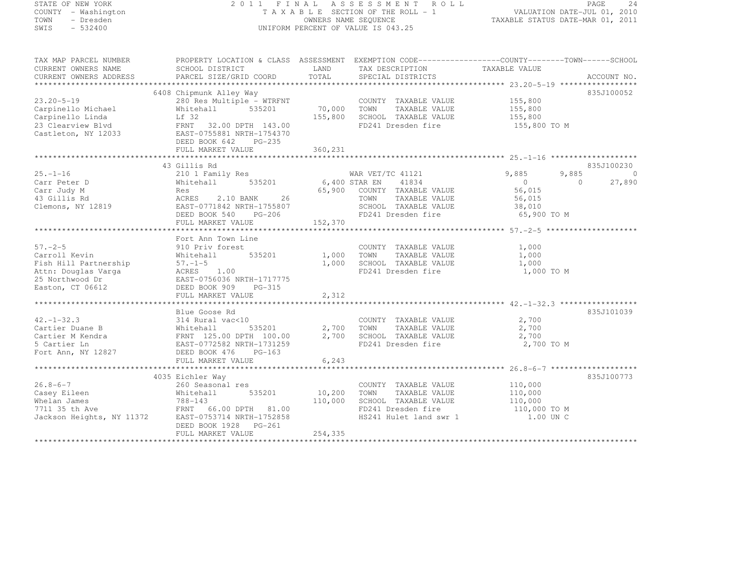## STATE OF NEW YORK 2 0 1 1 F I N A L A S S E S S M E N T R O L L PAGE <sup>24</sup> COUNTY - Washington T A X A B L E SECTION OF THE ROLL - 1 VALUATION DATE-JUL 01, 2010 TOWN - Dresden OWNERS NAME SEQUENCE TAXABLE STATUS DATE-MAR 01, 2011<br>- TRESDEN ON THE SEQUENCE TO A SECUENCE TO BE SERVED ON THE SEQUENCE OF SEXUE OF THE STATUS DATE MAR 01, 2011 SWIS - 532400 UNIFORM PERCENT OF VALUE IS 043.25

| TAX MAP PARCEL NUMBER                                                                                                                                                                                                  | PROPERTY LOCATION & CLASS ASSESSMENT EXEMPTION CODE-----------------COUNTY-------TOWN------SCHOOL |                      |                                                               |                                            |                    |
|------------------------------------------------------------------------------------------------------------------------------------------------------------------------------------------------------------------------|---------------------------------------------------------------------------------------------------|----------------------|---------------------------------------------------------------|--------------------------------------------|--------------------|
| CURRENT OWNERS NAME                                                                                                                                                                                                    | SCHOOL DISTRICT                                                                                   | LAND                 | TAX DESCRIPTION                                               | TAXABLE VALUE                              |                    |
|                                                                                                                                                                                                                        |                                                                                                   |                      |                                                               |                                            |                    |
|                                                                                                                                                                                                                        |                                                                                                   |                      |                                                               |                                            |                    |
|                                                                                                                                                                                                                        | 6408 Chipmunk Alley Way                                                                           |                      |                                                               |                                            | 835J100052         |
| $23.20 - 5 - 19$                                                                                                                                                                                                       | 280 Res Multiple - WTRFNT                                                                         |                      | COUNTY TAXABLE VALUE 155,800                                  |                                            |                    |
| Carpinello Michael                                                                                                                                                                                                     | Whitehall<br>535201                                                                               | 70,000               | TAXABLE VALUE 155,800<br>TOWN                                 |                                            |                    |
| Carpinello Linda                                                                                                                                                                                                       | Lf 32                                                                                             | 155,800              | SCHOOL TAXABLE VALUE                                          |                                            |                    |
|                                                                                                                                                                                                                        |                                                                                                   |                      | FD241 Dresden fire 155,800 TO M                               |                                            |                    |
| 23 Clearview Blvd<br>Castleton, NY 12033<br>Castleton, NY 12033<br>DEED BOOK 642 PG-235                                                                                                                                |                                                                                                   |                      |                                                               |                                            |                    |
|                                                                                                                                                                                                                        | DEED BOOK 642 PG-235                                                                              |                      |                                                               |                                            |                    |
|                                                                                                                                                                                                                        |                                                                                                   |                      |                                                               |                                            |                    |
|                                                                                                                                                                                                                        | 43 Gillis Rd                                                                                      |                      |                                                               |                                            | 835J100230         |
| $25. - 1 - 16$                                                                                                                                                                                                         | 210 1 Family Res 60 MAR VET/TC 41121                                                              |                      |                                                               | 9,885<br>9,885                             | $\bigcirc$         |
| Carr Peter D                                                                                                                                                                                                           | Whitehall                                                                                         | 535201 6,400 STAR EN | 41834                                                         |                                            | $\Omega$<br>27,890 |
| Carr Judy M                                                                                                                                                                                                            | Res                                                                                               |                      | 65,900 COUNTY TAXABLE VALUE                                   | $\begin{array}{c} 0 \\ 56,015 \end{array}$ |                    |
| 43 Gillis Rd                                                                                                                                                                                                           | 26<br>ACRES<br>2.10 BANK                                                                          |                      | TAXABLE VALUE<br>TOWN                                         | 56,015                                     |                    |
| Clemons, NY 12819                                                                                                                                                                                                      | EAST-0771842 NRTH-1755807                                                                         |                      |                                                               |                                            |                    |
|                                                                                                                                                                                                                        | DEED BOOK 540 PG-206                                                                              |                      | SCHOOL TAXABLE VALUE 38,010<br>FD241 Dresden fire 65,900 TO M |                                            |                    |
|                                                                                                                                                                                                                        | FULL MARKET VALUE                                                                                 | 152,370              |                                                               |                                            |                    |
|                                                                                                                                                                                                                        |                                                                                                   |                      |                                                               |                                            |                    |
|                                                                                                                                                                                                                        | Fort Ann Town Line                                                                                |                      |                                                               |                                            |                    |
| $57. - 2 - 5$                                                                                                                                                                                                          | 910 Priv forest                                                                                   |                      | COUNTY TAXABLE VALUE                                          | 1,000                                      |                    |
| Carroll Kevin                                                                                                                                                                                                          | Whitehall                                                                                         | 535201 1,000 TOWN    | TAXABLE VALUE                                                 | 1,000                                      |                    |
|                                                                                                                                                                                                                        |                                                                                                   |                      | 1,000 SCHOOL TAXABLE VALUE                                    | 1,000                                      |                    |
|                                                                                                                                                                                                                        |                                                                                                   |                      | FD241 Dresden fire                                            | 1,000 TO M                                 |                    |
|                                                                                                                                                                                                                        |                                                                                                   |                      |                                                               |                                            |                    |
|                                                                                                                                                                                                                        |                                                                                                   |                      |                                                               |                                            |                    |
|                                                                                                                                                                                                                        | FULL MARKET VALUE                                                                                 | 2,312                |                                                               |                                            |                    |
|                                                                                                                                                                                                                        |                                                                                                   |                      |                                                               |                                            |                    |
|                                                                                                                                                                                                                        | Blue Goose Rd                                                                                     |                      |                                                               |                                            | 835J101039         |
| $42. - 1 - 32.3$                                                                                                                                                                                                       | 314 Rural vac<10                                                                                  |                      | COUNTY TAXABLE VALUE<br>TOWN TAXABLE VALUE                    | $\frac{2}{2}$ , 700<br>2.700               |                    |
|                                                                                                                                                                                                                        |                                                                                                   | 535201 2,700 TOWN    |                                                               | 2,700                                      |                    |
|                                                                                                                                                                                                                        |                                                                                                   | 2,700                | SCHOOL TAXABLE VALUE 2,700                                    |                                            |                    |
| 42.-1-32.3<br>Cartier Duane B<br>Cartier M Kendra<br>Sample 2,700<br>S Cartier Ln<br>S Cartier Ln<br>S Cartier Ln<br>Cartier Ln<br>CAST-0772582 NRTH-1731259<br>CAST-0772582 NRTH-1731259<br>CAST-0772582 NRTH-1731259 |                                                                                                   |                      | FD241 Dresden fire                                            | 2,700 TO M                                 |                    |
| Fort Ann, NY 12827 DEED BOOK 476                                                                                                                                                                                       | $PG-163$                                                                                          |                      |                                                               |                                            |                    |
|                                                                                                                                                                                                                        |                                                                                                   |                      |                                                               |                                            |                    |
|                                                                                                                                                                                                                        | 4035 Eichler Way                                                                                  |                      |                                                               |                                            | 835J100773         |
| $26.8 - 6 - 7$                                                                                                                                                                                                         | 260 Seasonal res                                                                                  |                      | COUNTY TAXABLE VALUE 110,000                                  |                                            |                    |
| 26.8-0-7<br>Casey Eileen<br>In lan James                                                                                                                                                                               | 535201<br>Whitehall                                                                               | 10,200               | TOWN<br>TAXABLE VALUE                                         |                                            |                    |
|                                                                                                                                                                                                                        | 788-143                                                                                           | 110,000              | SCHOOL TAXABLE VALUE                                          | 110,000<br>110,000                         |                    |
|                                                                                                                                                                                                                        | FRNT 66.00 DPTH 81.00                                                                             |                      | FD241 Dresden fire 110,000 TO M                               |                                            |                    |
| Whelah James<br>7711 35 th Ave<br>Jackson Heights, NY 11372                                                                                                                                                            | EAST-0753714 NRTH-1752858                                                                         |                      | HS241 Hulet land swr 1                                        | 1.00 UN C                                  |                    |
|                                                                                                                                                                                                                        | DEED BOOK 1928 PG-261                                                                             |                      |                                                               |                                            |                    |
|                                                                                                                                                                                                                        | FULL MARKET VALUE                                                                                 | 254,335              |                                                               |                                            |                    |
|                                                                                                                                                                                                                        |                                                                                                   |                      |                                                               |                                            |                    |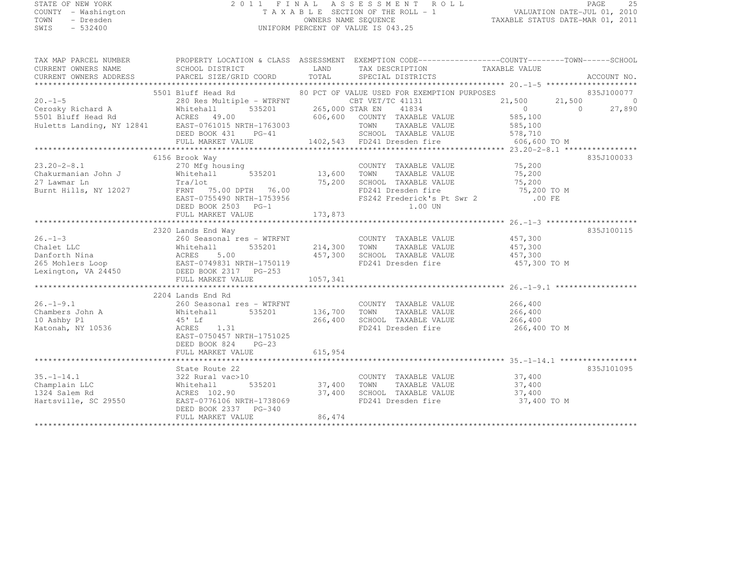# STATE OF NEW YORK 2 0 1 1 F I N A L A S S E S S M E N T R O L L PAGE <sup>25</sup> COUNTY - Washington T A X A B L E SECTION OF THE ROLL - 1 VALUATION DATE-JUL 01, 2010 TOWN - Dresden OWNERS NAME SEQUENCE TAXABLE STATUS DATE-MAR 01, 2011<br>- TRESDEN ON THE SEQUENCE TO A SECUENCE TO BE SERVED ON THE SEQUENCE OF SEXUE OF THE STATUS DATE MAR 01, 2011 SWIS - 532400 UNIFORM PERCENT OF VALUE IS 043.25

| TAX MAP PARCEL NUMBER THE PROPERTY LOCATION & CLASS ASSESSMENT EXEMPTION CODE----------------COUNTY-------TOWN-----SCHOOL                                                                                                                            |                           |        |             |            |
|------------------------------------------------------------------------------------------------------------------------------------------------------------------------------------------------------------------------------------------------------|---------------------------|--------|-------------|------------|
|                                                                                                                                                                                                                                                      |                           |        |             |            |
|                                                                                                                                                                                                                                                      |                           |        |             |            |
|                                                                                                                                                                                                                                                      |                           |        |             |            |
| 30 PCT OF VELUE USED FOR EXEMPTION PURPOSES<br>30 PCT OF VELT/TC 41131<br>20.1-1-5<br>280 Res Multiple - WTRFNT<br>CBD FOR EXEMPTION PURPOSES<br>280 Res Multiple - WTRFNT<br>CBD FOR EXEMPTION PURPOSES<br>21,500<br>21,500<br>21,500<br>21,500<br> |                           |        |             |            |
|                                                                                                                                                                                                                                                      |                           |        |             |            |
|                                                                                                                                                                                                                                                      |                           |        |             |            |
|                                                                                                                                                                                                                                                      |                           |        |             |            |
|                                                                                                                                                                                                                                                      |                           |        |             |            |
|                                                                                                                                                                                                                                                      |                           |        |             |            |
|                                                                                                                                                                                                                                                      |                           |        |             |            |
|                                                                                                                                                                                                                                                      |                           |        |             |            |
|                                                                                                                                                                                                                                                      | 6156 Brook Way            |        |             | 835J100033 |
|                                                                                                                                                                                                                                                      |                           |        |             |            |
|                                                                                                                                                                                                                                                      |                           |        |             |            |
|                                                                                                                                                                                                                                                      |                           |        |             |            |
|                                                                                                                                                                                                                                                      |                           |        |             |            |
|                                                                                                                                                                                                                                                      |                           |        |             |            |
|                                                                                                                                                                                                                                                      |                           |        |             |            |
|                                                                                                                                                                                                                                                      |                           |        |             |            |
|                                                                                                                                                                                                                                                      |                           |        |             |            |
|                                                                                                                                                                                                                                                      |                           |        |             |            |
|                                                                                                                                                                                                                                                      |                           |        |             |            |
|                                                                                                                                                                                                                                                      |                           |        |             |            |
|                                                                                                                                                                                                                                                      |                           |        |             |            |
|                                                                                                                                                                                                                                                      |                           |        |             |            |
| 2320 UNIX COUNTY TAXABLE VALUE<br>2320 UNIX TAXABLE VALUE<br>26.1-3 260 Seasonal res – WTRFNT<br>Chalet LLC Whitehall 535201 214,300 TOWN TAXABLE VALUE 457,300<br>265 Mohlers Loop EAST-0749831 NRTH-1750119 457,300 SCHOOL TAXABLE V               |                           |        |             |            |
|                                                                                                                                                                                                                                                      |                           |        |             |            |
|                                                                                                                                                                                                                                                      |                           |        |             |            |
|                                                                                                                                                                                                                                                      | 2204 Lands End Rd         |        |             |            |
|                                                                                                                                                                                                                                                      |                           |        |             |            |
|                                                                                                                                                                                                                                                      |                           |        |             |            |
|                                                                                                                                                                                                                                                      |                           |        |             |            |
|                                                                                                                                                                                                                                                      |                           |        |             |            |
|                                                                                                                                                                                                                                                      | EAST-0750457 NRTH-1751025 |        |             |            |
|                                                                                                                                                                                                                                                      | DEED BOOK 824 PG-23       |        |             |            |
|                                                                                                                                                                                                                                                      |                           |        |             |            |
|                                                                                                                                                                                                                                                      |                           |        |             |            |
|                                                                                                                                                                                                                                                      |                           |        |             | 835J101095 |
| 35.-1-14.1<br>37.400<br>Champlain LLC Whitehall 535201<br>37.400 TOWN TAXABLE VALUE 37,400<br>37.400 TOWN TAXABLE VALUE 37,400<br>37.400 ACRES 102.90<br>37.400 SCHOOL TAXABLE VALUE 37,400<br>37,400 SCHOOL TAXABLE VALUE 37,400<br>37,400 FD       |                           |        |             |            |
|                                                                                                                                                                                                                                                      |                           |        |             |            |
|                                                                                                                                                                                                                                                      |                           |        |             |            |
|                                                                                                                                                                                                                                                      |                           |        | 37,400 TO M |            |
|                                                                                                                                                                                                                                                      |                           |        |             |            |
|                                                                                                                                                                                                                                                      | FULL MARKET VALUE         | 86,474 |             |            |
|                                                                                                                                                                                                                                                      |                           |        |             |            |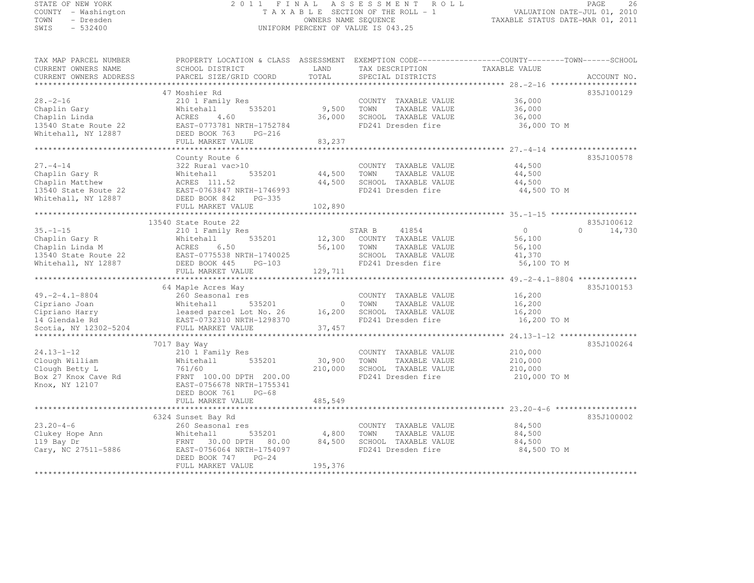# STATE OF NEW YORK 2 0 1 1 F I N A L A S S E S S M E N T R O L L PAGE <sup>26</sup> COUNTY - Washington T A X A B L E SECTION OF THE ROLL - 1 VALUATION DATE-JUL 01, 2010 TOWN - Dresden OWNERS NAME SEQUENCE TAXABLE STATUS DATE-MAR 01, 2011<br>- TRESDEN ON THE SEQUENCE TO A SECUENCE TO BE SERVED ON THE SEQUENCE OF SEXUE OF THE STATUS DATE MAR 01, 2011 SWIS - 532400 UNIFORM PERCENT OF VALUE IS 043.25

TAX MAP PARCEL NUMBER PROPERTY LOCATION & CLASS ASSESSMENT EXEMPTION CODE------------------COUNTY--------TOWN------SCHOOL

| CURRENT OWNERS NAME<br>CURRENT OWNERS ADDRESS | SCHOOL DISTRICT<br>PARCEL SIZE/GRID COORD | LAND<br>TOTAL | TAX DESCRIPTION<br>SPECIAL DISTRICTS | TAXABLE VALUE                                       | ACCOUNT NO.        |
|-----------------------------------------------|-------------------------------------------|---------------|--------------------------------------|-----------------------------------------------------|--------------------|
|                                               |                                           |               |                                      | ********** 28. - 2 - 16 ************                |                    |
|                                               | 47 Moshier Rd                             |               |                                      |                                                     | 835J100129         |
| $28. - 2 - 16$                                | 210 1 Family Res                          |               | COUNTY TAXABLE VALUE                 | 36,000                                              |                    |
| Chaplin Gary                                  | 535201<br>Whitehall                       | 9,500         | TOWN<br>TAXABLE VALUE                | 36,000                                              |                    |
| Chaplin Linda                                 | 4.60<br>ACRES                             | 36,000        | SCHOOL TAXABLE VALUE                 | 36,000                                              |                    |
| 13540 State Route 22                          | EAST-0773781 NRTH-1752784                 |               | FD241 Dresden fire                   | 36,000 TO M                                         |                    |
| Whitehall, NY 12887                           | DEED BOOK 763<br>PG-216                   |               |                                      |                                                     |                    |
|                                               | FULL MARKET VALUE                         | 83,237        |                                      |                                                     |                    |
|                                               | ***********************************       |               |                                      |                                                     |                    |
|                                               | County Route 6                            |               |                                      |                                                     | 835J100578         |
| $27. - 4 - 14$                                | 322 Rural vac>10                          |               | COUNTY TAXABLE VALUE                 | 44,500                                              |                    |
| Chaplin Gary R                                | Whitehall<br>535201                       | 44,500        | TAXABLE VALUE<br>TOWN                | 44,500                                              |                    |
| Chaplin Matthew                               | ACRES 111.52                              | 44,500        | SCHOOL TAXABLE VALUE                 | 44,500                                              |                    |
| 13540 State Route 22                          | EAST-0763847 NRTH-1746993                 |               | FD241 Dresden fire                   | 44,500 TO M                                         |                    |
| Whitehall, NY 12887                           | DEED BOOK 842<br>PG-335                   |               |                                      |                                                     |                    |
|                                               | FULL MARKET VALUE                         | 102,890       |                                      |                                                     |                    |
|                                               |                                           |               |                                      |                                                     |                    |
|                                               | 13540 State Route 22                      |               |                                      |                                                     | 835J100612         |
| $35. - 1 - 15$                                | 210 1 Family Res                          |               | 41854<br>STAR B                      | $\Omega$                                            | $\Omega$<br>14,730 |
| Chaplin Gary R                                | Whitehall<br>535201                       | 12,300        | COUNTY TAXABLE VALUE                 | 56,100                                              |                    |
| Chaplin Linda M                               | 6.50<br>ACRES                             | 56,100        | TOWN<br>TAXABLE VALUE                | 56,100                                              |                    |
| 13540 State Route 22                          | EAST-0775538 NRTH-1740025                 |               | SCHOOL TAXABLE VALUE                 | 41,370                                              |                    |
| Whitehall, NY 12887                           | DEED BOOK 445<br>$PG-103$                 |               | FD241 Dresden fire                   | 56,100 TO M                                         |                    |
|                                               | FULL MARKET VALUE                         | 129,711       |                                      |                                                     |                    |
|                                               | ***********************                   |               |                                      | ************** 49. - 2 - 4. 1 - 8804 ************** |                    |
|                                               | 64 Maple Acres Way                        |               |                                      |                                                     | 835J100153         |
| $49. -2 - 4.1 - 8804$                         | 260 Seasonal res                          |               | COUNTY TAXABLE VALUE                 | 16,200                                              |                    |
| Cipriano Joan                                 | 535201<br>Whitehall                       | 0             | TOWN<br>TAXABLE VALUE                | 16,200                                              |                    |
| Cipriano Harry                                | leased parcel Lot No. 26                  | 16,200        | SCHOOL TAXABLE VALUE                 | 16,200                                              |                    |
| 14 Glendale Rd                                | EAST-0732310 NRTH-1298370                 |               | FD241 Dresden fire                   | 16,200 TO M                                         |                    |
| Scotia, NY 12302-5204                         | FULL MARKET VALUE                         | 37,457        |                                      |                                                     |                    |
|                                               |                                           |               |                                      |                                                     |                    |
|                                               | 7017 Bay Way                              |               |                                      |                                                     | 835J100264         |
| $24.13 - 1 - 12$                              | 210 1 Family Res                          |               | COUNTY TAXABLE VALUE                 | 210,000                                             |                    |
| Clough William                                | Whitehall<br>535201                       | 30,900        | TOWN<br>TAXABLE VALUE                | 210,000                                             |                    |
| Clough Betty L                                | 761/60                                    | 210,000       | SCHOOL TAXABLE VALUE                 | 210,000                                             |                    |
| Box 27 Knox Cave Rd                           | FRNT 100.00 DPTH 200.00                   |               | FD241 Dresden fire                   | 210,000 TO M                                        |                    |
| Knox, NY 12107                                | EAST-0756678 NRTH-1755341                 |               |                                      |                                                     |                    |
|                                               | DEED BOOK 761<br>$PG-68$                  |               |                                      |                                                     |                    |
|                                               | FULL MARKET VALUE                         | 485,549       |                                      |                                                     |                    |
|                                               |                                           |               |                                      |                                                     |                    |
|                                               | 6324 Sunset Bay Rd                        |               |                                      |                                                     | 835J100002         |
| $23.20 - 4 - 6$                               | 260 Seasonal res                          |               | COUNTY TAXABLE VALUE                 | 84,500                                              |                    |
| Clukey Hope Ann                               | 535201<br>Whitehall                       | 4,800         | TOWN<br>TAXABLE VALUE                | 84,500                                              |                    |
| 119 Bay Dr                                    | 30.00 DPTH<br>FRNT<br>80.00               | 84,500        | SCHOOL TAXABLE VALUE                 | 84,500                                              |                    |
| Cary, NC 27511-5886                           | EAST-0756064 NRTH-1754097                 |               | FD241 Dresden fire                   | 84,500 TO M                                         |                    |
|                                               | DEED BOOK 747<br>$PG-24$                  |               |                                      |                                                     |                    |
|                                               | FULL MARKET VALUE                         | 195,376       |                                      |                                                     |                    |
|                                               |                                           |               |                                      |                                                     |                    |
|                                               |                                           |               |                                      |                                                     |                    |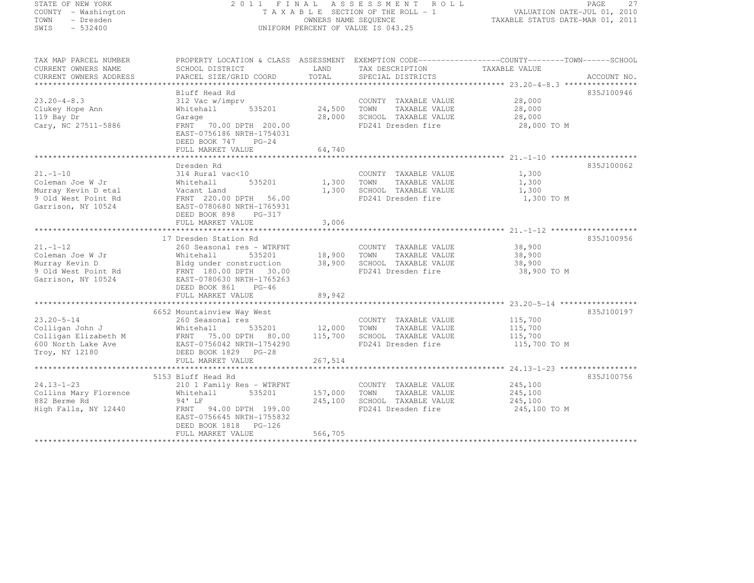# STATE OF NEW YORK 2 0 1 1 F I N A L A S S E S S M E N T R O L L PAGE <sup>27</sup> COUNTY - Washington T A X A B L E SECTION OF THE ROLL - 1 VALUATION DATE-JUL 01, 2010 TOWN - Dresden OWNERS NAME SEQUENCE TAXABLE STATUS DATE-MAR 01, 2011<br>- TRESDEN ON THE SEQUENCE TO A SECUENCE TO BE SERVED ON THE SEQUENCE OF SEXUE OF THE STATUS DATE MAR 01, 2011 SWIS - 532400 UNIFORM PERCENT OF VALUE IS 043.25

TAX MAP PARCEL NUMBER PROPERTY LOCATION & CLASS ASSESSMENT EXEMPTION CODE------------------COUNTY--------TOWN------SCHOOL

| PARCEL SIZE/GRID COORD<br>SPECIAL DISTRICTS<br>ACCOUNT NO.<br>Bluff Head Rd<br>835J100946<br>28,000<br>312 Vac w/imprv<br>COUNTY TAXABLE VALUE<br>535201<br>24,500<br>TOWN<br>TAXABLE VALUE<br>28,000<br>Whitehall<br>28,000<br>SCHOOL TAXABLE VALUE<br>28,000<br>Garage<br>FD241 Dresden fire<br>FRNT<br>70.00 DPTH 200.00<br>28,000 TO M<br>EAST-0756186 NRTH-1754031<br>DEED BOOK 747<br>$PG-24$<br>64,740<br>FULL MARKET VALUE<br>835J100062<br>Dresden Rd<br>314 Rural vac<10<br>1,300<br>COUNTY TAXABLE VALUE<br>1,300<br>TAXABLE VALUE<br>1,300<br>Whitehall<br>535201<br>TOWN<br>SCHOOL TAXABLE VALUE<br>Vacant Land<br>1,300<br>1,300<br>FRNT 220.00 DPTH<br>56.00<br>FD241 Dresden fire<br>1,300 TO M<br>EAST-0780680 NRTH-1765931<br>DEED BOOK 898<br>PG-317<br>FULL MARKET VALUE<br>3,006<br>17 Dresden Station Rd<br>835J100956<br>38,900<br>260 Seasonal res - WTRFNT<br>COUNTY TAXABLE VALUE<br>535201<br>18,900<br>TOWN<br>TAXABLE VALUE<br>38,900<br>Whitehall<br>Bldg under construction<br>38,900<br>SCHOOL TAXABLE VALUE<br>38,900<br>FRNT 180.00 DPTH 30.00<br>FD241 Dresden fire<br>38,900 TO M<br>EAST-0780630 NRTH-1765263<br>DEED BOOK 861<br>$PG-46$<br>FULL MARKET VALUE<br>89,942<br>835J100197<br>6652 Mountainview Way West<br>115,700<br>260 Seasonal res<br>COUNTY TAXABLE VALUE<br>Whitehall<br>535201<br>12,000<br>TOWN<br>TAXABLE VALUE<br>115,700<br>115,700<br>SCHOOL TAXABLE VALUE<br>Colligan Elizabeth M<br>FRNT<br>75.00 DPTH 80.00<br>115,700<br>EAST-0756042 NRTH-1754290<br>FD241 Dresden fire<br>115,700 TO M<br>DEED BOOK 1829 PG-28<br>267,514<br>FULL MARKET VALUE<br>******************** 24.13-1-23 ******************<br>835J100756<br>5153 Bluff Head Rd<br>210 1 Family Res - WTRFNT<br>COUNTY TAXABLE VALUE<br>245,100<br>Collins Mary Florence<br>Whitehall<br>535201<br>157,000<br>TOWN<br>TAXABLE VALUE<br>245,100<br>SCHOOL TAXABLE VALUE<br>94' LF<br>245,100<br>245,100<br>FRNT 94.00 DPTH 199.00<br>FD241 Dresden fire<br>High Falls, NY 12440<br>245,100 TO M<br>EAST-0756645 NRTH-1755832<br>DEED BOOK 1818<br>PG-126<br>566,705<br>FULL MARKET VALUE | CURRENT OWNERS NAME    | SCHOOL DISTRICT | LAND  | TAX DESCRIPTION | TAXABLE VALUE |  |
|----------------------------------------------------------------------------------------------------------------------------------------------------------------------------------------------------------------------------------------------------------------------------------------------------------------------------------------------------------------------------------------------------------------------------------------------------------------------------------------------------------------------------------------------------------------------------------------------------------------------------------------------------------------------------------------------------------------------------------------------------------------------------------------------------------------------------------------------------------------------------------------------------------------------------------------------------------------------------------------------------------------------------------------------------------------------------------------------------------------------------------------------------------------------------------------------------------------------------------------------------------------------------------------------------------------------------------------------------------------------------------------------------------------------------------------------------------------------------------------------------------------------------------------------------------------------------------------------------------------------------------------------------------------------------------------------------------------------------------------------------------------------------------------------------------------------------------------------------------------------------------------------------------------------------------------------------------------------------------------------------------------------------------------------------------------------------------------------------------------------|------------------------|-----------------|-------|-----------------|---------------|--|
|                                                                                                                                                                                                                                                                                                                                                                                                                                                                                                                                                                                                                                                                                                                                                                                                                                                                                                                                                                                                                                                                                                                                                                                                                                                                                                                                                                                                                                                                                                                                                                                                                                                                                                                                                                                                                                                                                                                                                                                                                                                                                                                      | CURRENT OWNERS ADDRESS |                 | TOTAL |                 |               |  |
|                                                                                                                                                                                                                                                                                                                                                                                                                                                                                                                                                                                                                                                                                                                                                                                                                                                                                                                                                                                                                                                                                                                                                                                                                                                                                                                                                                                                                                                                                                                                                                                                                                                                                                                                                                                                                                                                                                                                                                                                                                                                                                                      |                        |                 |       |                 |               |  |
|                                                                                                                                                                                                                                                                                                                                                                                                                                                                                                                                                                                                                                                                                                                                                                                                                                                                                                                                                                                                                                                                                                                                                                                                                                                                                                                                                                                                                                                                                                                                                                                                                                                                                                                                                                                                                                                                                                                                                                                                                                                                                                                      |                        |                 |       |                 |               |  |
|                                                                                                                                                                                                                                                                                                                                                                                                                                                                                                                                                                                                                                                                                                                                                                                                                                                                                                                                                                                                                                                                                                                                                                                                                                                                                                                                                                                                                                                                                                                                                                                                                                                                                                                                                                                                                                                                                                                                                                                                                                                                                                                      | $23.20 - 4 - 8.3$      |                 |       |                 |               |  |
|                                                                                                                                                                                                                                                                                                                                                                                                                                                                                                                                                                                                                                                                                                                                                                                                                                                                                                                                                                                                                                                                                                                                                                                                                                                                                                                                                                                                                                                                                                                                                                                                                                                                                                                                                                                                                                                                                                                                                                                                                                                                                                                      | Clukey Hope Ann        |                 |       |                 |               |  |
|                                                                                                                                                                                                                                                                                                                                                                                                                                                                                                                                                                                                                                                                                                                                                                                                                                                                                                                                                                                                                                                                                                                                                                                                                                                                                                                                                                                                                                                                                                                                                                                                                                                                                                                                                                                                                                                                                                                                                                                                                                                                                                                      | 119 Bay Dr             |                 |       |                 |               |  |
|                                                                                                                                                                                                                                                                                                                                                                                                                                                                                                                                                                                                                                                                                                                                                                                                                                                                                                                                                                                                                                                                                                                                                                                                                                                                                                                                                                                                                                                                                                                                                                                                                                                                                                                                                                                                                                                                                                                                                                                                                                                                                                                      | Cary, NC 27511-5886    |                 |       |                 |               |  |
|                                                                                                                                                                                                                                                                                                                                                                                                                                                                                                                                                                                                                                                                                                                                                                                                                                                                                                                                                                                                                                                                                                                                                                                                                                                                                                                                                                                                                                                                                                                                                                                                                                                                                                                                                                                                                                                                                                                                                                                                                                                                                                                      |                        |                 |       |                 |               |  |
|                                                                                                                                                                                                                                                                                                                                                                                                                                                                                                                                                                                                                                                                                                                                                                                                                                                                                                                                                                                                                                                                                                                                                                                                                                                                                                                                                                                                                                                                                                                                                                                                                                                                                                                                                                                                                                                                                                                                                                                                                                                                                                                      |                        |                 |       |                 |               |  |
|                                                                                                                                                                                                                                                                                                                                                                                                                                                                                                                                                                                                                                                                                                                                                                                                                                                                                                                                                                                                                                                                                                                                                                                                                                                                                                                                                                                                                                                                                                                                                                                                                                                                                                                                                                                                                                                                                                                                                                                                                                                                                                                      |                        |                 |       |                 |               |  |
|                                                                                                                                                                                                                                                                                                                                                                                                                                                                                                                                                                                                                                                                                                                                                                                                                                                                                                                                                                                                                                                                                                                                                                                                                                                                                                                                                                                                                                                                                                                                                                                                                                                                                                                                                                                                                                                                                                                                                                                                                                                                                                                      |                        |                 |       |                 |               |  |
|                                                                                                                                                                                                                                                                                                                                                                                                                                                                                                                                                                                                                                                                                                                                                                                                                                                                                                                                                                                                                                                                                                                                                                                                                                                                                                                                                                                                                                                                                                                                                                                                                                                                                                                                                                                                                                                                                                                                                                                                                                                                                                                      |                        |                 |       |                 |               |  |
|                                                                                                                                                                                                                                                                                                                                                                                                                                                                                                                                                                                                                                                                                                                                                                                                                                                                                                                                                                                                                                                                                                                                                                                                                                                                                                                                                                                                                                                                                                                                                                                                                                                                                                                                                                                                                                                                                                                                                                                                                                                                                                                      | $21. - 1 - 10$         |                 |       |                 |               |  |
|                                                                                                                                                                                                                                                                                                                                                                                                                                                                                                                                                                                                                                                                                                                                                                                                                                                                                                                                                                                                                                                                                                                                                                                                                                                                                                                                                                                                                                                                                                                                                                                                                                                                                                                                                                                                                                                                                                                                                                                                                                                                                                                      | Coleman Joe W Jr       |                 |       |                 |               |  |
|                                                                                                                                                                                                                                                                                                                                                                                                                                                                                                                                                                                                                                                                                                                                                                                                                                                                                                                                                                                                                                                                                                                                                                                                                                                                                                                                                                                                                                                                                                                                                                                                                                                                                                                                                                                                                                                                                                                                                                                                                                                                                                                      | Murray Kevin D etal    |                 |       |                 |               |  |
|                                                                                                                                                                                                                                                                                                                                                                                                                                                                                                                                                                                                                                                                                                                                                                                                                                                                                                                                                                                                                                                                                                                                                                                                                                                                                                                                                                                                                                                                                                                                                                                                                                                                                                                                                                                                                                                                                                                                                                                                                                                                                                                      | 9 Old West Point Rd    |                 |       |                 |               |  |
|                                                                                                                                                                                                                                                                                                                                                                                                                                                                                                                                                                                                                                                                                                                                                                                                                                                                                                                                                                                                                                                                                                                                                                                                                                                                                                                                                                                                                                                                                                                                                                                                                                                                                                                                                                                                                                                                                                                                                                                                                                                                                                                      | Garrison, NY 10524     |                 |       |                 |               |  |
|                                                                                                                                                                                                                                                                                                                                                                                                                                                                                                                                                                                                                                                                                                                                                                                                                                                                                                                                                                                                                                                                                                                                                                                                                                                                                                                                                                                                                                                                                                                                                                                                                                                                                                                                                                                                                                                                                                                                                                                                                                                                                                                      |                        |                 |       |                 |               |  |
|                                                                                                                                                                                                                                                                                                                                                                                                                                                                                                                                                                                                                                                                                                                                                                                                                                                                                                                                                                                                                                                                                                                                                                                                                                                                                                                                                                                                                                                                                                                                                                                                                                                                                                                                                                                                                                                                                                                                                                                                                                                                                                                      |                        |                 |       |                 |               |  |
|                                                                                                                                                                                                                                                                                                                                                                                                                                                                                                                                                                                                                                                                                                                                                                                                                                                                                                                                                                                                                                                                                                                                                                                                                                                                                                                                                                                                                                                                                                                                                                                                                                                                                                                                                                                                                                                                                                                                                                                                                                                                                                                      |                        |                 |       |                 |               |  |
|                                                                                                                                                                                                                                                                                                                                                                                                                                                                                                                                                                                                                                                                                                                                                                                                                                                                                                                                                                                                                                                                                                                                                                                                                                                                                                                                                                                                                                                                                                                                                                                                                                                                                                                                                                                                                                                                                                                                                                                                                                                                                                                      |                        |                 |       |                 |               |  |
|                                                                                                                                                                                                                                                                                                                                                                                                                                                                                                                                                                                                                                                                                                                                                                                                                                                                                                                                                                                                                                                                                                                                                                                                                                                                                                                                                                                                                                                                                                                                                                                                                                                                                                                                                                                                                                                                                                                                                                                                                                                                                                                      | $21. - 1 - 12$         |                 |       |                 |               |  |
|                                                                                                                                                                                                                                                                                                                                                                                                                                                                                                                                                                                                                                                                                                                                                                                                                                                                                                                                                                                                                                                                                                                                                                                                                                                                                                                                                                                                                                                                                                                                                                                                                                                                                                                                                                                                                                                                                                                                                                                                                                                                                                                      | Coleman Joe W Jr       |                 |       |                 |               |  |
|                                                                                                                                                                                                                                                                                                                                                                                                                                                                                                                                                                                                                                                                                                                                                                                                                                                                                                                                                                                                                                                                                                                                                                                                                                                                                                                                                                                                                                                                                                                                                                                                                                                                                                                                                                                                                                                                                                                                                                                                                                                                                                                      | Murray Kevin D         |                 |       |                 |               |  |
|                                                                                                                                                                                                                                                                                                                                                                                                                                                                                                                                                                                                                                                                                                                                                                                                                                                                                                                                                                                                                                                                                                                                                                                                                                                                                                                                                                                                                                                                                                                                                                                                                                                                                                                                                                                                                                                                                                                                                                                                                                                                                                                      | 9 Old West Point Rd    |                 |       |                 |               |  |
|                                                                                                                                                                                                                                                                                                                                                                                                                                                                                                                                                                                                                                                                                                                                                                                                                                                                                                                                                                                                                                                                                                                                                                                                                                                                                                                                                                                                                                                                                                                                                                                                                                                                                                                                                                                                                                                                                                                                                                                                                                                                                                                      | Garrison, NY 10524     |                 |       |                 |               |  |
|                                                                                                                                                                                                                                                                                                                                                                                                                                                                                                                                                                                                                                                                                                                                                                                                                                                                                                                                                                                                                                                                                                                                                                                                                                                                                                                                                                                                                                                                                                                                                                                                                                                                                                                                                                                                                                                                                                                                                                                                                                                                                                                      |                        |                 |       |                 |               |  |
|                                                                                                                                                                                                                                                                                                                                                                                                                                                                                                                                                                                                                                                                                                                                                                                                                                                                                                                                                                                                                                                                                                                                                                                                                                                                                                                                                                                                                                                                                                                                                                                                                                                                                                                                                                                                                                                                                                                                                                                                                                                                                                                      |                        |                 |       |                 |               |  |
|                                                                                                                                                                                                                                                                                                                                                                                                                                                                                                                                                                                                                                                                                                                                                                                                                                                                                                                                                                                                                                                                                                                                                                                                                                                                                                                                                                                                                                                                                                                                                                                                                                                                                                                                                                                                                                                                                                                                                                                                                                                                                                                      |                        |                 |       |                 |               |  |
|                                                                                                                                                                                                                                                                                                                                                                                                                                                                                                                                                                                                                                                                                                                                                                                                                                                                                                                                                                                                                                                                                                                                                                                                                                                                                                                                                                                                                                                                                                                                                                                                                                                                                                                                                                                                                                                                                                                                                                                                                                                                                                                      |                        |                 |       |                 |               |  |
|                                                                                                                                                                                                                                                                                                                                                                                                                                                                                                                                                                                                                                                                                                                                                                                                                                                                                                                                                                                                                                                                                                                                                                                                                                                                                                                                                                                                                                                                                                                                                                                                                                                                                                                                                                                                                                                                                                                                                                                                                                                                                                                      | $23.20 - 5 - 14$       |                 |       |                 |               |  |
|                                                                                                                                                                                                                                                                                                                                                                                                                                                                                                                                                                                                                                                                                                                                                                                                                                                                                                                                                                                                                                                                                                                                                                                                                                                                                                                                                                                                                                                                                                                                                                                                                                                                                                                                                                                                                                                                                                                                                                                                                                                                                                                      | Colligan John J        |                 |       |                 |               |  |
|                                                                                                                                                                                                                                                                                                                                                                                                                                                                                                                                                                                                                                                                                                                                                                                                                                                                                                                                                                                                                                                                                                                                                                                                                                                                                                                                                                                                                                                                                                                                                                                                                                                                                                                                                                                                                                                                                                                                                                                                                                                                                                                      |                        |                 |       |                 |               |  |
|                                                                                                                                                                                                                                                                                                                                                                                                                                                                                                                                                                                                                                                                                                                                                                                                                                                                                                                                                                                                                                                                                                                                                                                                                                                                                                                                                                                                                                                                                                                                                                                                                                                                                                                                                                                                                                                                                                                                                                                                                                                                                                                      | 600 North Lake Ave     |                 |       |                 |               |  |
|                                                                                                                                                                                                                                                                                                                                                                                                                                                                                                                                                                                                                                                                                                                                                                                                                                                                                                                                                                                                                                                                                                                                                                                                                                                                                                                                                                                                                                                                                                                                                                                                                                                                                                                                                                                                                                                                                                                                                                                                                                                                                                                      | Troy, NY 12180         |                 |       |                 |               |  |
|                                                                                                                                                                                                                                                                                                                                                                                                                                                                                                                                                                                                                                                                                                                                                                                                                                                                                                                                                                                                                                                                                                                                                                                                                                                                                                                                                                                                                                                                                                                                                                                                                                                                                                                                                                                                                                                                                                                                                                                                                                                                                                                      |                        |                 |       |                 |               |  |
|                                                                                                                                                                                                                                                                                                                                                                                                                                                                                                                                                                                                                                                                                                                                                                                                                                                                                                                                                                                                                                                                                                                                                                                                                                                                                                                                                                                                                                                                                                                                                                                                                                                                                                                                                                                                                                                                                                                                                                                                                                                                                                                      |                        |                 |       |                 |               |  |
|                                                                                                                                                                                                                                                                                                                                                                                                                                                                                                                                                                                                                                                                                                                                                                                                                                                                                                                                                                                                                                                                                                                                                                                                                                                                                                                                                                                                                                                                                                                                                                                                                                                                                                                                                                                                                                                                                                                                                                                                                                                                                                                      |                        |                 |       |                 |               |  |
|                                                                                                                                                                                                                                                                                                                                                                                                                                                                                                                                                                                                                                                                                                                                                                                                                                                                                                                                                                                                                                                                                                                                                                                                                                                                                                                                                                                                                                                                                                                                                                                                                                                                                                                                                                                                                                                                                                                                                                                                                                                                                                                      | $24.13 - 1 - 23$       |                 |       |                 |               |  |
|                                                                                                                                                                                                                                                                                                                                                                                                                                                                                                                                                                                                                                                                                                                                                                                                                                                                                                                                                                                                                                                                                                                                                                                                                                                                                                                                                                                                                                                                                                                                                                                                                                                                                                                                                                                                                                                                                                                                                                                                                                                                                                                      |                        |                 |       |                 |               |  |
|                                                                                                                                                                                                                                                                                                                                                                                                                                                                                                                                                                                                                                                                                                                                                                                                                                                                                                                                                                                                                                                                                                                                                                                                                                                                                                                                                                                                                                                                                                                                                                                                                                                                                                                                                                                                                                                                                                                                                                                                                                                                                                                      | 882 Berme Rd           |                 |       |                 |               |  |
|                                                                                                                                                                                                                                                                                                                                                                                                                                                                                                                                                                                                                                                                                                                                                                                                                                                                                                                                                                                                                                                                                                                                                                                                                                                                                                                                                                                                                                                                                                                                                                                                                                                                                                                                                                                                                                                                                                                                                                                                                                                                                                                      |                        |                 |       |                 |               |  |
|                                                                                                                                                                                                                                                                                                                                                                                                                                                                                                                                                                                                                                                                                                                                                                                                                                                                                                                                                                                                                                                                                                                                                                                                                                                                                                                                                                                                                                                                                                                                                                                                                                                                                                                                                                                                                                                                                                                                                                                                                                                                                                                      |                        |                 |       |                 |               |  |
|                                                                                                                                                                                                                                                                                                                                                                                                                                                                                                                                                                                                                                                                                                                                                                                                                                                                                                                                                                                                                                                                                                                                                                                                                                                                                                                                                                                                                                                                                                                                                                                                                                                                                                                                                                                                                                                                                                                                                                                                                                                                                                                      |                        |                 |       |                 |               |  |
|                                                                                                                                                                                                                                                                                                                                                                                                                                                                                                                                                                                                                                                                                                                                                                                                                                                                                                                                                                                                                                                                                                                                                                                                                                                                                                                                                                                                                                                                                                                                                                                                                                                                                                                                                                                                                                                                                                                                                                                                                                                                                                                      |                        |                 |       |                 |               |  |
|                                                                                                                                                                                                                                                                                                                                                                                                                                                                                                                                                                                                                                                                                                                                                                                                                                                                                                                                                                                                                                                                                                                                                                                                                                                                                                                                                                                                                                                                                                                                                                                                                                                                                                                                                                                                                                                                                                                                                                                                                                                                                                                      |                        |                 |       |                 |               |  |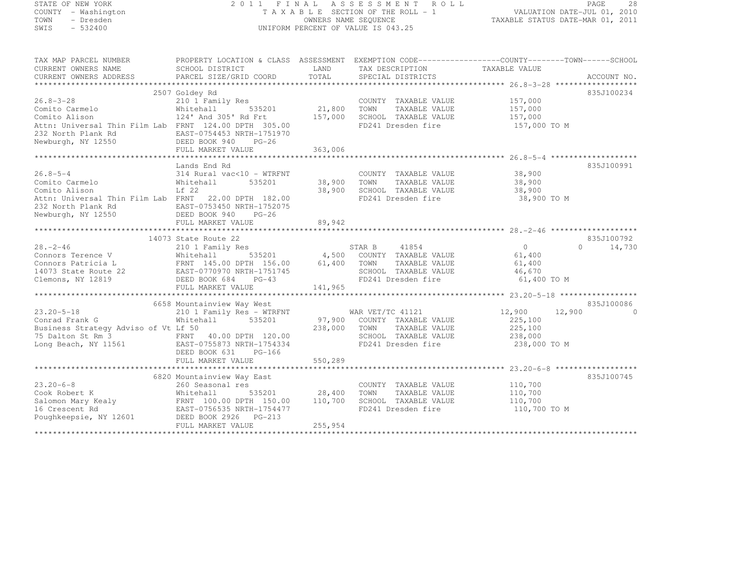# STATE OF NEW YORK 2 0 1 1 F I N A L A S S E S S M E N T R O L L PAGE <sup>28</sup> COUNTY - Washington T A X A B L E SECTION OF THE ROLL - 1 VALUATION DATE-JUL 01, 2010 TOWN - Dresden OWNERS NAME SEQUENCE TAXABLE STATUS DATE-MAR 01, 2011<br>- TRESDEN ON THE SEQUENCE TO A SECUENCE TO A SECUENCE THE SEQUENCE OF THE SECUENCE OF THE SECUENCE OF THE SECOND SWIS - 532400 UNIFORM PERCENT OF VALUE IS 043.25

| TAX MAP PARCEL NUMBER<br>CURRENT OWNERS NAME<br>CURRENT OWNERS ADDRESS                                                                                                                                                                                                     | PROPERTY LOCATION & CLASS ASSESSMENT EXEMPTION CODE----------------COUNTY-------TOWN-----SCHOOL<br>SCHOOL DISTRICT<br>PARCEL SIZE/GRID COORD | <b>EXAMPLE SERVICE SERVICE SERVICE SERVICE SERVICE SERVICE SERVICE SERVICE SERVICE SERVICE SERVICE SERVICE SERVICE</b><br>TOTAL | SPECIAL DISTRICTS           |                    | ACCOUNT NO.              |
|----------------------------------------------------------------------------------------------------------------------------------------------------------------------------------------------------------------------------------------------------------------------------|----------------------------------------------------------------------------------------------------------------------------------------------|---------------------------------------------------------------------------------------------------------------------------------|-----------------------------|--------------------|--------------------------|
|                                                                                                                                                                                                                                                                            |                                                                                                                                              |                                                                                                                                 |                             |                    |                          |
|                                                                                                                                                                                                                                                                            | 2507 Goldey Rd                                                                                                                               |                                                                                                                                 |                             |                    | 835J100234               |
| $26.8 - 3 - 28$                                                                                                                                                                                                                                                            | Goldey Ku<br>210 1 Family Res<br>Whitehall 535201 21,800                                                                                     |                                                                                                                                 | COUNTY TAXABLE VALUE        | 157,000<br>157,000 |                          |
|                                                                                                                                                                                                                                                                            |                                                                                                                                              |                                                                                                                                 | TAXABLE VALUE<br>TOWN       |                    |                          |
| 26.8-3-20<br>Comito Carmelo<br>Comito Alison                                                                                                                                                                                                                               | 124' And 305' Rd Frt 157,000                                                                                                                 |                                                                                                                                 | SCHOOL TAXABLE VALUE        | 157,000            |                          |
| Attn: Universal Thin Film Lab FRNT 124.00 DPTH 305.00                                                                                                                                                                                                                      |                                                                                                                                              |                                                                                                                                 | FD241 Dresden fire          | 157,000 TO M       |                          |
| 232 North Plank Rd                                                                                                                                                                                                                                                         | EAST-0754453 NRTH-1751970                                                                                                                    |                                                                                                                                 |                             |                    |                          |
| Newburgh, NY 12550                                                                                                                                                                                                                                                         | DEED BOOK 940<br>$PG-26$                                                                                                                     |                                                                                                                                 |                             |                    |                          |
|                                                                                                                                                                                                                                                                            | FULL MARKET VALUE                                                                                                                            | 363,006                                                                                                                         |                             |                    |                          |
|                                                                                                                                                                                                                                                                            |                                                                                                                                              |                                                                                                                                 |                             |                    |                          |
|                                                                                                                                                                                                                                                                            | Lands End Rd                                                                                                                                 |                                                                                                                                 |                             |                    | 835J100991               |
| $26.8 - 5 - 4$                                                                                                                                                                                                                                                             | 314 Rural vac<10 - WTRFNT                                                                                                                    |                                                                                                                                 | COUNTY TAXABLE VALUE 38,900 |                    |                          |
|                                                                                                                                                                                                                                                                            | 535201                                                                                                                                       | 38,900                                                                                                                          | TOWN<br>TAXABLE VALUE       | 38,900             |                          |
| Comito Carmelo<br>Comito Alison<br>Lf 22                                                                                                                                                                                                                                   |                                                                                                                                              | 38,900                                                                                                                          | SCHOOL TAXABLE VALUE        | 38,900             |                          |
| Attn: Universal Thin Film Lab FRNT 22.00 DPTH 182.00                                                                                                                                                                                                                       |                                                                                                                                              |                                                                                                                                 | FD241 Dresden fire          | 38,900 TO M        |                          |
| 232 North Plank Rd                                                                                                                                                                                                                                                         |                                                                                                                                              |                                                                                                                                 |                             |                    |                          |
| Newburgh, NY 12550                                                                                                                                                                                                                                                         | EAST-0753450 NRTH-1752075<br>DEED BOOK 940 PG-26                                                                                             |                                                                                                                                 |                             |                    |                          |
|                                                                                                                                                                                                                                                                            | FULL MARKET VALUE                                                                                                                            | 89,942                                                                                                                          |                             |                    |                          |
|                                                                                                                                                                                                                                                                            |                                                                                                                                              |                                                                                                                                 |                             |                    |                          |
|                                                                                                                                                                                                                                                                            | 14073 State Route 22                                                                                                                         |                                                                                                                                 |                             |                    | 835J100792               |
| $28. - 2 - 46$                                                                                                                                                                                                                                                             | 210 1 Family Res                                                                                                                             |                                                                                                                                 |                             | 0                  | $\Omega$<br>14,730       |
| Connors Terence V                                                                                                                                                                                                                                                          | Whitehall                                                                                                                                    |                                                                                                                                 |                             | 61,400             |                          |
|                                                                                                                                                                                                                                                                            |                                                                                                                                              | 61,400                                                                                                                          | TOWN<br>TAXABLE VALUE       | 61,400             |                          |
|                                                                                                                                                                                                                                                                            |                                                                                                                                              |                                                                                                                                 | SCHOOL TAXABLE VALUE        | 46,670             |                          |
| Connors Patricia L<br>14073 State Route 22<br>Clemons, NY 12819<br>DEED BOOK 684<br>PG-43<br>Clemons, NY 12819                                                                                                                                                             | DEED BOOK 684<br>$PG-43$                                                                                                                     |                                                                                                                                 | FD241 Dresden fire          | 61,400 TO M        |                          |
|                                                                                                                                                                                                                                                                            | FULL MARKET VALUE                                                                                                                            | 141,965                                                                                                                         |                             |                    |                          |
|                                                                                                                                                                                                                                                                            |                                                                                                                                              |                                                                                                                                 |                             |                    |                          |
|                                                                                                                                                                                                                                                                            | 6658 Mountainview Way West                                                                                                                   |                                                                                                                                 |                             |                    | 835J100086               |
| $23.20 - 5 - 18$                                                                                                                                                                                                                                                           | 210 1 Family Res - WTRFNT                                                                                                                    |                                                                                                                                 | WAR VET/TC 41121            | 12,900             | 12,900<br>$\overline{0}$ |
| Conrad Frank G                                                                                                                                                                                                                                                             | Whitehall<br>535201                                                                                                                          |                                                                                                                                 | 97,900 COUNTY TAXABLE VALUE | 225,100            |                          |
|                                                                                                                                                                                                                                                                            |                                                                                                                                              |                                                                                                                                 |                             | 225,100            |                          |
| Business Strategy Adviso of Vt Lf 50 238,000 70WN TAXABLE VALUE<br>75 Dalton St Rm 3 FRNT 40.00 DPTH 120.00 SCHOOL TAXABLE VALUE                                                                                                                                           |                                                                                                                                              |                                                                                                                                 |                             | 238,000            |                          |
| Long Beach, NY 11561 EAST-0755873 NRTH-1754334                                                                                                                                                                                                                             |                                                                                                                                              |                                                                                                                                 | FD241 Dresden fire          | 238,000 TO M       |                          |
|                                                                                                                                                                                                                                                                            | DEED BOOK 631 PG-166                                                                                                                         |                                                                                                                                 |                             |                    |                          |
|                                                                                                                                                                                                                                                                            |                                                                                                                                              |                                                                                                                                 |                             |                    |                          |
|                                                                                                                                                                                                                                                                            |                                                                                                                                              |                                                                                                                                 |                             |                    |                          |
|                                                                                                                                                                                                                                                                            |                                                                                                                                              |                                                                                                                                 |                             |                    | 835J100745               |
| $23.20 - 6 - 8$                                                                                                                                                                                                                                                            |                                                                                                                                              |                                                                                                                                 | COUNTY TAXABLE VALUE        |                    |                          |
| Cook Robert K                                                                                                                                                                                                                                                              | 6820 Mountainview Way East<br>260 Seasonal res<br>Whitehall 535201 28,400                                                                    |                                                                                                                                 | TAXABLE VALUE<br>TOWN       | 110,700<br>110,700 |                          |
|                                                                                                                                                                                                                                                                            |                                                                                                                                              |                                                                                                                                 | SCHOOL TAXABLE VALUE        | 110,700            |                          |
|                                                                                                                                                                                                                                                                            |                                                                                                                                              |                                                                                                                                 | FD241 Dresden fire          | 110,700 TO M       |                          |
| Salomon Mary Kealy<br>16 Crescent Rd EAST-0756535 NRTH-1754477<br>20,700<br>20,700<br>20,700<br>20,700<br>20,700<br>20,700<br>20,700<br>20,700<br>20,700<br>20,700<br>20,700<br>20,700<br>20,700<br>20,700<br>20,800<br>20,800<br>20,800<br>20,800<br>20,800<br>20,800<br> |                                                                                                                                              |                                                                                                                                 |                             |                    |                          |
|                                                                                                                                                                                                                                                                            | FULL MARKET VALUE                                                                                                                            | 255,954                                                                                                                         |                             |                    |                          |
|                                                                                                                                                                                                                                                                            |                                                                                                                                              |                                                                                                                                 |                             |                    |                          |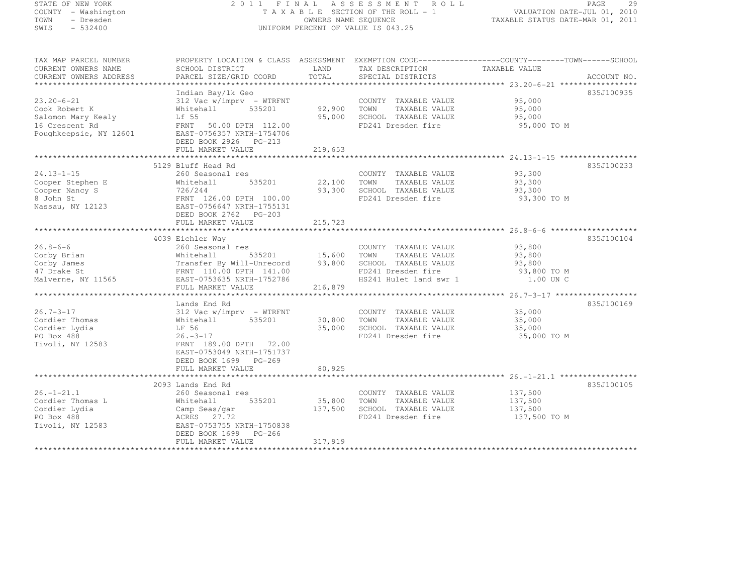STATE OF NEW IONA<br>COUNTY - Washington<br>TOWN - Dresden<br>----- - 532400

# STATE OF NEW YORK 2 0 1 1 F I N A L A S S E S S M E N T R O L L PAGE <sup>29</sup> COUNTY - Washington T A X A B L E SECTION OF THE ROLL - 1 VALUATION DATE-JUL 01, 2010 TOWN - Dresden OWNERS NAME SEQUENCE TAXABLE STATUS DATE-MAR 01, 2011<br>- TRESDEN ON THE SEQUENCE TO A SECUENCE TO A SECUENCE THE SEQUENCE OF THE SECUENCE OF THE SECUENCE OF THE SECOND

| TAX MAP PARCEL NUMBER<br>CURRENT OWNERS NAME<br>CURRENT OWNERS ADDRESS    | PROPERTY LOCATION & CLASS ASSESSMENT EXEMPTION CODE----------------COUNTY-------TOWN------SCHOOL<br>SCHOOL DISTRICT<br>PARCEL SIZE/GRID COORD | LAND<br>TOTAL    | TAX DESCRIPTION<br>SPECIAL DISTRICTS                                                        | TAXABLE VALUE                             | ACCOUNT NO. |
|---------------------------------------------------------------------------|-----------------------------------------------------------------------------------------------------------------------------------------------|------------------|---------------------------------------------------------------------------------------------|-------------------------------------------|-------------|
|                                                                           |                                                                                                                                               |                  |                                                                                             |                                           |             |
| $23.20 - 6 - 21$<br>Cook Robert K<br>Salomon Mary Kealy<br>16 Crescent Rd | Indian Bay/lk Geo<br>$312$ Vac w/imprv - WTRFNT<br>Whitehall<br>535201<br>Lf 55<br>FRNT<br>50.00 DPTH 112.00                                  | 92,900<br>95,000 | COUNTY TAXABLE VALUE<br>TOWN<br>TAXABLE VALUE<br>SCHOOL TAXABLE VALUE<br>FD241 Dresden fire | 95,000<br>95,000<br>95,000<br>95,000 TO M | 835J100935  |
| Poughkeepsie, NY 12601                                                    | EAST-0756357 NRTH-1754706<br>DEED BOOK 2926 PG-213<br>FULL MARKET VALUE                                                                       | 219,653          |                                                                                             |                                           |             |
|                                                                           |                                                                                                                                               |                  |                                                                                             |                                           |             |
|                                                                           | 5129 Bluff Head Rd                                                                                                                            |                  |                                                                                             |                                           | 835J100233  |
| $24.13 - 1 - 15$<br>Cooper Stephen E<br>Cooper Nancy S                    | 260 Seasonal res<br>535201<br>Whitehall<br>726/244                                                                                            | 22,100<br>93,300 | COUNTY TAXABLE VALUE<br>TOWN<br>TAXABLE VALUE<br>SCHOOL TAXABLE VALUE                       | 93,300<br>93,300<br>93,300                |             |
| 8 John St<br>Nassau, NY 12123                                             | FRNT 126.00 DPTH 100.00<br>EAST-0756647 NRTH-1755131<br>DEED BOOK 2762 PG-203<br>FULL MARKET VALUE                                            | 215,723          | FD241 Dresden fire                                                                          | 93,300 TO M                               |             |
|                                                                           |                                                                                                                                               |                  |                                                                                             |                                           |             |
|                                                                           |                                                                                                                                               |                  |                                                                                             |                                           |             |
| $26.8 - 6 - 6$                                                            | 4039 Eichler Way                                                                                                                              |                  |                                                                                             |                                           | 835J100104  |
| Corby Brian                                                               | 260 Seasonal res<br>Whitehall<br>535201                                                                                                       | 15,600           | COUNTY TAXABLE VALUE<br>TOWN<br>TAXABLE VALUE                                               | 93,800<br>93,800                          |             |
| Corby James                                                               | Transfer By Will-Unrecord                                                                                                                     | 93,800           | SCHOOL TAXABLE VALUE                                                                        | 93,800                                    |             |
| 47 Drake St                                                               | FRNT 110.00 DPTH 141.00                                                                                                                       |                  | FD241 Dresden fire                                                                          | 93,800 TO M                               |             |
| Malverne, NY 11565                                                        | EAST-0753635 NRTH-1752786                                                                                                                     |                  | HS241 Hulet land swr 1                                                                      | 1.00 UN C                                 |             |
|                                                                           | FULL MARKET VALUE                                                                                                                             | 216,879          |                                                                                             |                                           |             |
|                                                                           |                                                                                                                                               |                  |                                                                                             |                                           |             |
|                                                                           | Lands End Rd                                                                                                                                  |                  |                                                                                             |                                           | 835J100169  |
| $26.7 - 3 - 17$                                                           | $312$ Vac w/imprv - WTRFNT                                                                                                                    |                  | COUNTY TAXABLE VALUE                                                                        | 35,000                                    |             |
| Cordier Thomas                                                            | Whitehall<br>535201                                                                                                                           | 30,800           | TOWN<br>TAXABLE VALUE                                                                       | 35,000                                    |             |
| Cordier Lydia                                                             | LF 56                                                                                                                                         | 35,000           | SCHOOL TAXABLE VALUE                                                                        | 35,000                                    |             |
| PO Box 488                                                                | $26. -3 - 17$                                                                                                                                 |                  | FD241 Dresden fire                                                                          | 35,000 TO M                               |             |
| Tivoli, NY 12583                                                          | FRNT 189.00 DPTH 72.00<br>EAST-0753049 NRTH-1751737<br>DEED BOOK 1699 PG-269                                                                  | 80,925           |                                                                                             |                                           |             |
|                                                                           | FULL MARKET VALUE                                                                                                                             |                  |                                                                                             |                                           |             |
|                                                                           | 2093 Lands End Rd                                                                                                                             |                  |                                                                                             |                                           | 835J100105  |
| $26. - 1 - 21.1$                                                          | 260 Seasonal res                                                                                                                              |                  | COUNTY TAXABLE VALUE                                                                        | 137,500                                   |             |
| Cordier Thomas L                                                          | 535201<br>Whitehall                                                                                                                           | 35,800           | TOWN<br>TAXABLE VALUE                                                                       | 137,500                                   |             |
| Cordier Lydia                                                             | Camp Seas/gar                                                                                                                                 | 137,500          | SCHOOL TAXABLE VALUE                                                                        | 137,500                                   |             |
| PO Box 488                                                                | ACRES 27.72                                                                                                                                   |                  | FD241 Dresden fire                                                                          | 137,500 TO M                              |             |
| Tivoli, NY 12583                                                          | EAST-0753755 NRTH-1750838<br>DEED BOOK 1699 PG-266                                                                                            |                  |                                                                                             |                                           |             |
|                                                                           | FULL MARKET VALUE                                                                                                                             | 317,919          |                                                                                             |                                           |             |
|                                                                           |                                                                                                                                               |                  |                                                                                             |                                           |             |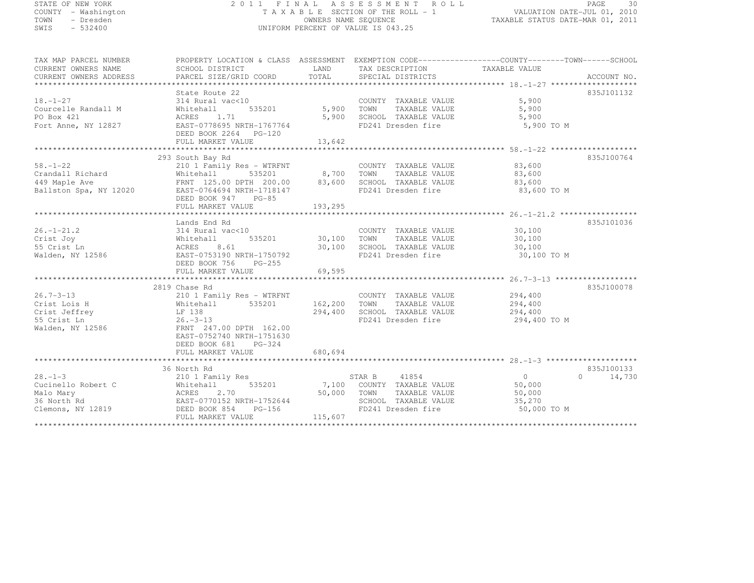# STATE OF NEW YORK 2 0 1 1 F I N A L A S S E S S M E N T R O L L PAGE <sup>30</sup> COUNTY - Washington T A X A B L E SECTION OF THE ROLL - 1 VALUATION DATE-JUL 01, 2010 TOWN - Dresden OWNERS NAME SEQUENCE TAXABLE STATUS DATE-MAR 01, 2011<br>- TRESDEN ON THE SEQUENCE TO A SECUENCE TO A SECUENCE THE SEQUENCE OF THE SECUENCE OF THE SECUENCE OF THE SECOND SWIS - 532400 UNIFORM PERCENT OF VALUE IS 043.25

| TAX MAP PARCEL NUMBER                                                                | PROPERTY LOCATION & CLASS ASSESSMENT EXEMPTION CODE----------------COUNTY-------TOWN-----SCHOOL                                                                                      |                        |                                                                                                           |                                                             |                     |
|--------------------------------------------------------------------------------------|--------------------------------------------------------------------------------------------------------------------------------------------------------------------------------------|------------------------|-----------------------------------------------------------------------------------------------------------|-------------------------------------------------------------|---------------------|
|                                                                                      | State Route 22                                                                                                                                                                       |                        |                                                                                                           |                                                             | 835J101132          |
| $18. - 1 - 27$<br>Courcelle Randall M<br>PO Box 421<br>Fort Anne, NY 12827           | 314 Rural vac<10<br>535201<br>Whitehall<br>ACRES 1.71<br>EAST-0778695 NRTH-1767764<br>DEED BOOK 2264 PG-120                                                                          | 5,900<br>5,900         | COUNTY TAXABLE VALUE<br>TOWN<br>TAXABLE VALUE<br>SCHOOL TAXABLE VALUE<br>FD241 Dresden fire               | 5,900<br>5,900<br>5,900<br>5,900 TO M                       |                     |
|                                                                                      | FULL MARKET VALUE                                                                                                                                                                    | 13,642                 |                                                                                                           |                                                             |                     |
|                                                                                      |                                                                                                                                                                                      | *****************      |                                                                                                           |                                                             |                     |
| $58. - 1 - 22$<br>Crandall Richard<br>449 Maple Ave<br>Ballston Spa, NY 12020        | 293 South Bay Rd<br>210 1 Family Res - WTRFNT<br>Whitehall 535201 8,700<br>FRNT 125.00 DPTH 200.00 83,600<br>EAST-0764694 NRTH-1718147<br>DEED BOOK 047 DO CO<br>DEED BOOK 947 PG-85 |                        | COUNTY TAXABLE VALUE 83,600<br>TOWN<br>TAXABLE VALUE<br>SCHOOL TAXABLE VALUE<br>FD241 Dresden fire        | 83,600<br>83,600<br>83,600 TO M                             | 835J100764          |
|                                                                                      |                                                                                                                                                                                      |                        |                                                                                                           |                                                             |                     |
| $26. - 1 - 21.2$<br>Crist Joy<br>55 Crist Ln<br>Walden, NY 12586                     | Lands End Rd<br>314 Rural vac<10<br>535201 30,100<br>Whitehall<br>ACRES<br>8.61<br>EAST-0753190 NRTH-1750792<br>DEED BOOK 756<br>$PG-255$<br>FULL MARKET VALUE                       | 30,100<br>69,595       | COUNTY TAXABLE VALUE<br>TOWN<br>TAXABLE VALUE<br>SCHOOL TAXABLE VALUE<br>FD241 Dresden fire               | 30,100<br>30,100<br>30,100<br>30,100 TO M                   | 835J101036          |
|                                                                                      |                                                                                                                                                                                      |                        |                                                                                                           |                                                             |                     |
| $26.7 - 3 - 13$<br>Crist Lois H<br>Crist Jeffrey<br>55 Crist Ln<br>Walden, NY 12586  | 2819 Chase Rd<br>210 1 Family Res - WTRFNT<br>535201<br>Whitehall<br>LF 138<br>$26. -3 - 13$<br>FRNT 247.00 DPTH 162.00<br>EAST-0752740 NRTH-1751630<br>DEED BOOK 681 PG-324         | 162,200<br>294,400     | COUNTY TAXABLE VALUE 294,400<br>TOWN<br>TAXABLE VALUE<br>SCHOOL TAXABLE VALUE<br>FD241 Dresden fire       | 294,400<br>294,400<br>294,400 TO M                          | 835J100078          |
|                                                                                      | FULL MARKET VALUE                                                                                                                                                                    | 680,694                |                                                                                                           |                                                             |                     |
|                                                                                      | 36 North Rd                                                                                                                                                                          |                        |                                                                                                           |                                                             | 835J100133          |
| $28. - 1 - 3$<br>Cucinello Robert C<br>Malo Mary<br>36 North Rd<br>Clemons, NY 12819 | 210 1 Family Res<br>535201<br>Whitehall<br>ACRES<br>2.70<br>EAST-0770152 NRTH-1752644<br>DEED BOOK 854 PG-156<br>FULL MARKET VALUE                                                   | 50,000 TOWN<br>115,607 | STAR B 41854<br>7,100 COUNTY TAXABLE VALUE<br>TAXABLE VALUE<br>SCHOOL TAXABLE VALUE<br>FD241 Dresden fire | $\overline{0}$<br>50,000<br>50,000<br>35,270<br>50,000 TO M | 14,730<br>$\bigcap$ |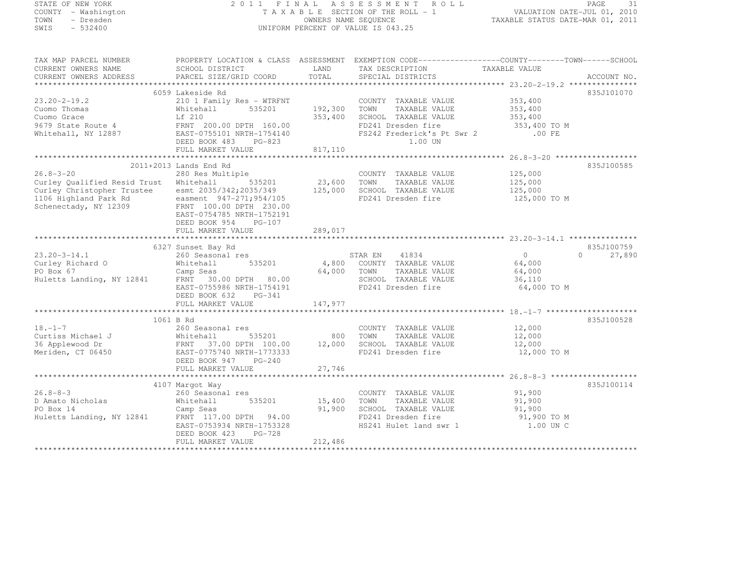| STATE OF NEW YORK                                                                                                                            |                                                                                                   |               | 2011 FINAL ASSESSMENT ROLL                    |                                  | PAGE<br>- 31                    |
|----------------------------------------------------------------------------------------------------------------------------------------------|---------------------------------------------------------------------------------------------------|---------------|-----------------------------------------------|----------------------------------|---------------------------------|
| COUNTY - Washington                                                                                                                          |                                                                                                   |               | T A X A B L E SECTION OF THE ROLL - 1         | VALUATION DATE-JUL 01, 2010      |                                 |
| TOWN<br>- Dresden                                                                                                                            |                                                                                                   |               | OWNERS NAME SEQUENCE                          | TAXABLE STATUS DATE-MAR 01, 2011 |                                 |
| $-532400$<br>SWIS                                                                                                                            |                                                                                                   |               | UNIFORM PERCENT OF VALUE IS 043.25            |                                  |                                 |
| TAX MAP PARCEL NUMBER                                                                                                                        | PROPERTY LOCATION & CLASS ASSESSMENT EXEMPTION CODE-----------------COUNTY-------TOWN------SCHOOL |               |                                               |                                  |                                 |
| CURRENT OWNERS NAME                                                                                                                          | SCHOOL DISTRICT                                                                                   | LAND          | TAX DESCRIPTION                               | TAXABLE VALUE                    |                                 |
| CURRENT OWNERS ADDRESS                                                                                                                       | PARCEL SIZE/GRID COORD                                                                            | TOTAL         | SPECIAL DISTRICTS                             |                                  | ACCOUNT NO.                     |
|                                                                                                                                              |                                                                                                   |               |                                               |                                  |                                 |
|                                                                                                                                              | 6059 Lakeside Rd                                                                                  |               |                                               |                                  | 835J101070                      |
| $23.20 - 2 - 19.2$                                                                                                                           | 210 1 Family Res - WTRFNT                                                                         | 192,300 TOWN  | COUNTY TAXABLE VALUE<br>TAXABLE VALUE         | 353,400<br>353,400               |                                 |
|                                                                                                                                              |                                                                                                   | 353,400       | SCHOOL TAXABLE VALUE                          | 353,400                          |                                 |
|                                                                                                                                              |                                                                                                   |               | FD241 Dresden fire                            | 353,400 TO M                     |                                 |
| Cuomo Thomas<br>Cuomo Thomas<br>Cuomo Grace<br>9679 State Route 4<br>Whitehall, NY 12887<br>Whitehall, NY 12887<br>EAST-0755101 NRTH-1754140 |                                                                                                   |               | FS242 Frederick's Pt Swr 2                    | $.00$ FE                         |                                 |
|                                                                                                                                              | DEED BOOK 483 PG-823                                                                              |               | 1.00 UN                                       |                                  |                                 |
|                                                                                                                                              | FULL MARKET VALUE                                                                                 | 817,110       |                                               |                                  |                                 |
|                                                                                                                                              |                                                                                                   |               |                                               |                                  |                                 |
|                                                                                                                                              | 2011+2013 Lands End Rd                                                                            |               |                                               |                                  | 835J100585                      |
| $26.8 - 3 - 20$                                                                                                                              | 280 Res Multiple                                                                                  |               | COUNTY TAXABLE VALUE                          | 125,000                          |                                 |
| Curley Qualified Resid Trust Whitehall                                                                                                       | 535201                                                                                            | 23,600        | TOWN<br>TAXABLE VALUE                         | 125,000                          |                                 |
| Curley Christopher Trustee                                                                                                                   | esmt 2035/342;2035/349                                                                            | 125,000       | SCHOOL TAXABLE VALUE                          | 125,000                          |                                 |
| 1106 Highland Park Rd                                                                                                                        | easment 947-271;954/105<br>easment 947-271;954/105<br>FRNT 100.00 DPTH 230.00                     |               | FD241 Dresden fire                            | 125,000 TO M                     |                                 |
| Schenectady, NY 12309                                                                                                                        |                                                                                                   |               |                                               |                                  |                                 |
|                                                                                                                                              | EAST-0754785 NRTH-1752191                                                                         |               |                                               |                                  |                                 |
|                                                                                                                                              | DEED BOOK 954<br>$PG-107$<br>FULL MARKET VALUE                                                    | 289,017       |                                               |                                  |                                 |
|                                                                                                                                              |                                                                                                   |               |                                               |                                  |                                 |
|                                                                                                                                              | 6327 Sunset Bay Rd                                                                                |               |                                               |                                  | 835J100759                      |
| 23.20-3-14.1                                                                                                                                 | 260 Seasonal res                                                                                  |               | STAR EN 41834                                 | $\overline{0}$                   | $\Omega$ and $\Omega$<br>27,890 |
| Curley Richard O                                                                                                                             | 535201<br>Whitehall                                                                               |               | 4,800 COUNTY TAXABLE VALUE                    | 64,000                           |                                 |
|                                                                                                                                              |                                                                                                   |               | 64,000 TOWN<br>TAXABLE VALUE                  | 64,000                           |                                 |
|                                                                                                                                              |                                                                                                   |               | SCHOOL TAXABLE VALUE                          | 36,110                           |                                 |
|                                                                                                                                              | EAST-0755986 NRTH-1754191                                                                         |               | FD241 Dresden fire                            | 64,000 TO M                      |                                 |
|                                                                                                                                              | DEED BOOK 632<br>PG-341                                                                           |               |                                               |                                  |                                 |
|                                                                                                                                              | FULL MARKET VALUE                                                                                 | 147,977       |                                               |                                  |                                 |
|                                                                                                                                              |                                                                                                   |               |                                               |                                  |                                 |
|                                                                                                                                              | 1061 B Rd                                                                                         |               |                                               |                                  | 835J100528                      |
| $18. - 1 - 7$                                                                                                                                | 260 Seasonal res                                                                                  |               | COUNTY TAXABLE VALUE                          | 12,000                           |                                 |
|                                                                                                                                              |                                                                                                   | 800           | TOWN<br>TAXABLE VALUE<br>SCHOOL TAXABLE VALUE | 12,000<br>12,000                 |                                 |
| Meriden, CT 06450                                                                                                                            |                                                                                                   |               | FD241 Dresden fire                            | 12,000 TO M                      |                                 |
|                                                                                                                                              | DEED BOOK 947<br>$PG-240$                                                                         |               |                                               |                                  |                                 |
|                                                                                                                                              | FULL MARKET VALUE                                                                                 | 27,746        |                                               |                                  |                                 |
|                                                                                                                                              |                                                                                                   |               |                                               |                                  |                                 |
|                                                                                                                                              | 4107 Margot Way                                                                                   |               |                                               |                                  | 835J100114                      |
| $26.8 - 8 - 3$                                                                                                                               | 260 Seasonal res                                                                                  |               | COUNTY TAXABLE VALUE                          | 91,900                           |                                 |
| D Amato Nicholas                                                                                                                             | Whitehall                                                                                         | 535201 15,400 | TOWN<br>TAXABLE VALUE                         | 91,900                           |                                 |
| PO Box 14                                                                                                                                    | Camp Seas                                                                                         | 91,900        | SCHOOL TAXABLE VALUE                          | 91,900                           |                                 |
|                                                                                                                                              |                                                                                                   |               |                                               |                                  |                                 |

Huletts Landing, NY 12841 FRNT 117.00 DPTH 94.00 FD241 Dresden fire 91,900 TO M

DEED BOOK 423 PG-728

EAST-0753934 NRTH-1753328 HS241 Hulet land swr 1 1.00 UN C

FULL MARKET VALUE 212,486 \*\*\*\*\*\*\*\*\*\*\*\*\*\*\*\*\*\*\*\*\*\*\*\*\*\*\*\*\*\*\*\*\*\*\*\*\*\*\*\*\*\*\*\*\*\*\*\*\*\*\*\*\*\*\*\*\*\*\*\*\*\*\*\*\*\*\*\*\*\*\*\*\*\*\*\*\*\*\*\*\*\*\*\*\*\*\*\*\*\*\*\*\*\*\*\*\*\*\*\*\*\*\*\*\*\*\*\*\*\*\*\*\*\*\*\*\*\*\*\*\*\*\*\*\*\*\*\*\*\*\*\*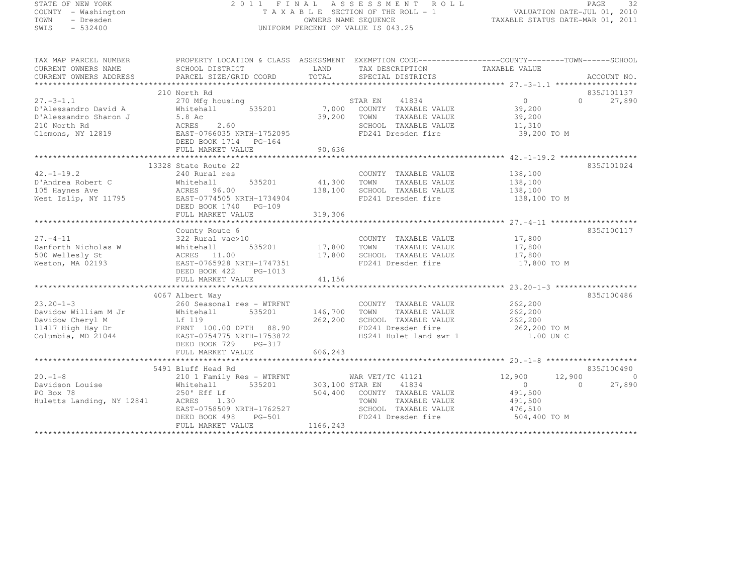## STATE OF NEW YORK 2 0 1 1 F I N A L A S S E S S M E N T R O L L PAGE <sup>32</sup> COUNTY - Washington T A X A B L E SECTION OF THE ROLL - 1 VALUATION DATE-JUL 01, 2010 TOWN - Dresden OWNERS NAME SEQUENCE TAXABLE STATUS DATE-MAR 01, 2011<br>- TRESDEN ON THE SEQUENCE TO A SECUENCE TO A SECUENCE THE SEQUENCE OF THE SECUENCE OF THE SECUENCE OF THE SECOND SWIS - 532400 UNIFORM PERCENT OF VALUE IS 043.25

| TAX MAP PARCEL NUMBER                                                            | PROPERTY LOCATION & CLASS ASSESSMENT EXEMPTION CODE-----------------COUNTY-------TOWN------SCHOOL |               |                                                                        |                       |                      |
|----------------------------------------------------------------------------------|---------------------------------------------------------------------------------------------------|---------------|------------------------------------------------------------------------|-----------------------|----------------------|
| CURRENT OWNERS NAME                                                              | SCHOOL DISTRICT                                                                                   |               | LAND TAX DESCRIPTION                                                   | TAXABLE VALUE         |                      |
| CURRENT OWNERS ADDRESS                                                           | PARCEL SIZE/GRID COORD TOTAL SPECIAL DISTRICTS                                                    |               |                                                                        |                       | ACCOUNT NO.          |
|                                                                                  |                                                                                                   |               |                                                                        |                       |                      |
|                                                                                  | 210 North Rd                                                                                      |               |                                                                        |                       | 835J101137           |
| $27. -3 - 1.1$                                                                   | 270 Mfg housing                                                                                   |               | STAR EN 41834<br>535201 7,000 COUNTY TAXABLE VALUE                     | $\overline{0}$        | 27,890<br>$\Omega$   |
| D'Alessandro David A                                                             | Whitehall                                                                                         |               |                                                                        | 39,200                |                      |
| D'Alessandro Sharon J                                                            | $5.8 \text{ Ac}$<br>5.8 Ac<br>ACRES 2.60                                                          | 39,200 TOWN   |                                                                        | TAXABLE VALUE 39, 200 |                      |
| 210 North Rd<br>Clemons, NY 12819                                                | EAST-0766035 NRTH-1752095                                                                         |               | SCHOOL TAXABLE VALUE<br>FD241 Dresden fire                             | 11,310                |                      |
|                                                                                  |                                                                                                   |               |                                                                        | 39,200 TO M           |                      |
|                                                                                  |                                                                                                   |               |                                                                        |                       |                      |
|                                                                                  |                                                                                                   |               |                                                                        |                       |                      |
|                                                                                  | 13328 State Route 22                                                                              |               |                                                                        |                       | 835J101024           |
| $42. - 1 - 19.2$                                                                 | 240 Rural res                                                                                     |               | COUNTY TAXABLE VALUE                                                   | 138,100               |                      |
|                                                                                  |                                                                                                   |               | TOWN<br>TAXABLE VALUE                                                  |                       |                      |
|                                                                                  |                                                                                                   | 535201 41,300 |                                                                        | 138,100<br>138,100    |                      |
|                                                                                  |                                                                                                   | 138,100       | SCHOOL TAXABLE VALUE                                                   |                       |                      |
|                                                                                  |                                                                                                   |               | FD241 Dresden fire 138,100 TO M                                        |                       |                      |
|                                                                                  | DEED BOOK 1740 PG-109                                                                             |               |                                                                        |                       |                      |
|                                                                                  | FULL MARKET VALUE                                                                                 | 319,306       |                                                                        |                       |                      |
|                                                                                  | County Route 6                                                                                    |               |                                                                        |                       | 835J100117           |
| $27. - 4 - 11$                                                                   | 322 Rural vac>10                                                                                  |               |                                                                        |                       |                      |
|                                                                                  | 535201                                                                                            | 17,800 TOWN   | COUNTY TAXABLE VALUE 17,800                                            |                       |                      |
| Danforth Nicholas W<br>500 Wellesly St                                           | Whitehall                                                                                         |               | 17,800 TOWN TAXABLE VALUE 17,800<br>17,800 SCHOOL TAXABLE VALUE 17,800 |                       |                      |
| Weston, MA 02193                                                                 | ACRES 11.00                                                                                       |               | FD241 Dresden fire                                                     |                       |                      |
|                                                                                  | EAST-0765928 NRTH-1747351                                                                         |               |                                                                        | 17,800 TO M           |                      |
|                                                                                  | DEED BOOK 422 PG-1013                                                                             |               |                                                                        |                       |                      |
|                                                                                  |                                                                                                   |               |                                                                        |                       |                      |
|                                                                                  | 4067 Albert Way                                                                                   |               |                                                                        |                       | 835J100486           |
| $23.20 - 1 - 3$                                                                  | 260 Seasonal res - WTRFNT                                                                         |               | COUNTY TAXABLE VALUE                                                   |                       |                      |
| Davidow William M Jr                                                             | 535201 146,700 TOWN<br>Whitehall                                                                  |               | TAXABLE VALUE                                                          | 262,200<br>262,200    |                      |
|                                                                                  |                                                                                                   |               |                                                                        |                       |                      |
|                                                                                  |                                                                                                   |               |                                                                        |                       |                      |
|                                                                                  |                                                                                                   |               | FD241 Dresden fire 262,200 TO M<br>HS241 Hulet land swr 1 1.00 UN C    |                       |                      |
|                                                                                  | DEED BOOK 729 PG-317                                                                              |               |                                                                        |                       |                      |
|                                                                                  |                                                                                                   |               |                                                                        |                       |                      |
|                                                                                  |                                                                                                   |               |                                                                        |                       |                      |
|                                                                                  | 5491 Bluff Head Rd                                                                                |               |                                                                        |                       | 835J100490           |
| $20. -1 - 8$                                                                     | 210 1 Family Res - WTRFNT                                                                         |               | WAR VET/TC 41121                                                       | 12,900<br>12,900      | $\overline{0}$       |
|                                                                                  | 535201 303,100 STAR EN                                                                            |               | 41834                                                                  | $\overline{0}$        | $\bigcirc$<br>27,890 |
|                                                                                  |                                                                                                   |               | 504,400 COUNTY TAXABLE VALUE                                           | 491,500               |                      |
| Davidson Louise<br>PO Box 78 250' Eff Lf<br>Huletts Landing, NY 12841 ACRES 1.30 |                                                                                                   |               | TOWN<br>TAXABLE VALUE                                                  | 491,500               |                      |
|                                                                                  | EAST-0758509 NRTH-1762527                                                                         |               | SCHOOL TAXABLE VALUE                                                   | 476,510               |                      |
|                                                                                  | $PG-501$<br>DEED BOOK 498                                                                         |               | FD241 Dresden fire                                                     | 504,400 TO M          |                      |
|                                                                                  | FULL MARKET VALUE                                                                                 | 1166, 243     |                                                                        |                       |                      |
|                                                                                  |                                                                                                   |               |                                                                        |                       |                      |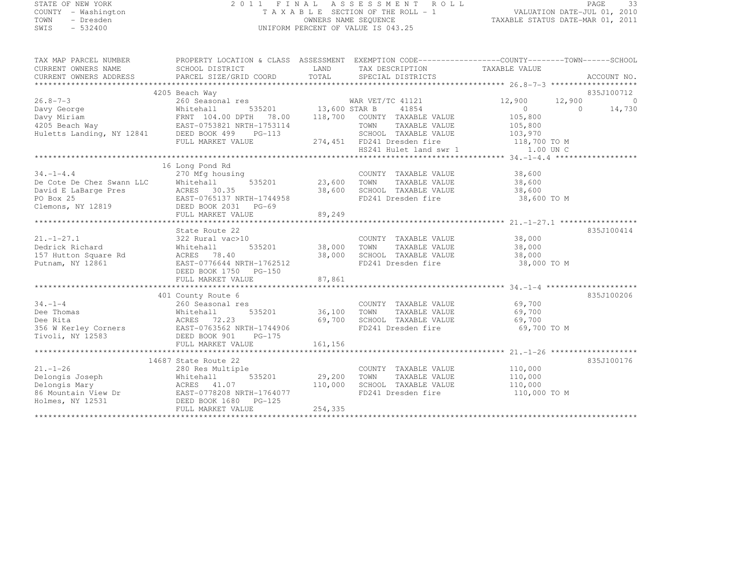## STATE OF NEW YORK 2 0 1 1 F I N A L A S S E S S M E N T R O L L PAGE <sup>33</sup> COUNTY - Washington T A X A B L E SECTION OF THE ROLL - 1 VALUATION DATE-JUL 01, 2010 TOWN - Dresden OWNERS NAME SEQUENCE TAXABLE STATUS DATE-MAR 01, 2011<br>- TRESDEN ON THE SEQUENCE TO A SECUENCE TO A SECUENCE THE SEQUENCE OF THE SECUENCE OF THE SECUENCE OF THE SECOND SWIS - 532400 UNIFORM PERCENT OF VALUE IS 043.25

| TAX MAP PARCEL NUMBER<br>CURRENT OWNERS NAME                                                                                                                                                                                                                | PROPERTY LOCATION & CLASS ASSESSMENT EXEMPTION CODE----------------COUNTY-------TOWN-----SCHOOL<br>SCHOOL DISTRICT                                    |                             | LAND TAX DESCRIPTION TAXABLE VALUE                |                       |            |            |
|-------------------------------------------------------------------------------------------------------------------------------------------------------------------------------------------------------------------------------------------------------------|-------------------------------------------------------------------------------------------------------------------------------------------------------|-----------------------------|---------------------------------------------------|-----------------------|------------|------------|
| - CURRENT OMNERS ADDRESS - PORCEL SIZE/GRID COORD - TOTAL - SPECIAL DISTRICTS - ACCOUNT NO .<br>- ARCEL SIZE/GRID COORD - TOTAL - SPECIAL DISTRICTS - ACCOUNT NO . ACCOUNT NO . AND ARCEL SIZE/GRID COORD - TOTAL - SPECIAL DISTR<br>CURRENT OWNERS ADDRESS |                                                                                                                                                       |                             |                                                   |                       |            |            |
|                                                                                                                                                                                                                                                             |                                                                                                                                                       |                             |                                                   |                       |            |            |
|                                                                                                                                                                                                                                                             | 4205 Beach Way<br>Among Deach Way<br>260 Seasonal res MAR VET/TC 41121<br>Whitehall 535201 13,600 STAR B 41854<br>TOM TAXABLE VALUE TOM TAXABLE VALUE |                             |                                                   |                       |            | 835J100712 |
| $26.8 - 7 - 3$                                                                                                                                                                                                                                              |                                                                                                                                                       |                             |                                                   | 12,900                | 12,900     | $\bigcirc$ |
| Davy George Mhitehall 535201<br>Davy Miriam FRNT 104.00 DPTH 78.00<br>4205 Beach Way EAST-0753821 NRTH-1753114<br>Huletts Landing, NY 12841 DEED BOOK 499 PG-113                                                                                            |                                                                                                                                                       |                             |                                                   | $\overline{0}$        | $\bigcirc$ | 14,730     |
|                                                                                                                                                                                                                                                             |                                                                                                                                                       |                             |                                                   | 105,800               |            |            |
|                                                                                                                                                                                                                                                             |                                                                                                                                                       |                             |                                                   | 105,800               |            |            |
|                                                                                                                                                                                                                                                             |                                                                                                                                                       |                             | SCHOOL TAXABLE VALUE                              | 103,970               |            |            |
|                                                                                                                                                                                                                                                             | FULL MARKET VALUE                                                                                                                                     |                             | 274,451 FD241 Dresden fire                        | 118,700 TO M          |            |            |
|                                                                                                                                                                                                                                                             |                                                                                                                                                       |                             | HS241 Hulet land swr 1 1.00 UN C                  |                       |            |            |
|                                                                                                                                                                                                                                                             |                                                                                                                                                       |                             |                                                   |                       |            |            |
|                                                                                                                                                                                                                                                             | 16 Long Pond Rd                                                                                                                                       |                             |                                                   |                       |            |            |
| $34. - 1 - 4.4$                                                                                                                                                                                                                                             | 270 Mfg housing                                                                                                                                       | COUNT<br>535201 23,600 TOWN | COUNTY TAXABLE VALUE 38,600                       |                       |            |            |
|                                                                                                                                                                                                                                                             |                                                                                                                                                       |                             | TAXABLE VALUE                                     | 38,600                |            |            |
|                                                                                                                                                                                                                                                             |                                                                                                                                                       |                             | 38,600 SCHOOL TAXABLE VALUE<br>FD241 Dresden fire | 38,600<br>38,600 TO M |            |            |
|                                                                                                                                                                                                                                                             |                                                                                                                                                       |                             |                                                   |                       |            |            |
| De Cote De Chez Swann LLC<br>David E LaBarge Pres<br>PO Box 25<br>Clemons, NY 12819<br>DEED BOOK 2031 PG-69<br>PO Box 25<br>DEED BOOK 2031 PG-69                                                                                                            |                                                                                                                                                       |                             |                                                   |                       |            |            |
|                                                                                                                                                                                                                                                             |                                                                                                                                                       |                             |                                                   |                       |            |            |
|                                                                                                                                                                                                                                                             |                                                                                                                                                       |                             |                                                   |                       |            |            |
|                                                                                                                                                                                                                                                             | State Route 22                                                                                                                                        |                             |                                                   |                       |            | 835J100414 |
| $21. - 1 - 27.1$                                                                                                                                                                                                                                            | 322 Rural vac>10                                                                                                                                      | COUNT<br>535201 38,000 TOWN | COUNTY TAXABLE VALUE                              | 38,000                |            |            |
| Dedrick Richard                                                                                                                                                                                                                                             | Whitehall                                                                                                                                             |                             | TAXABLE VALUE                                     | 38,000                |            |            |
| 157 Hutton Square Rd                                                                                                                                                                                                                                        | ACRES 78.40                                                                                                                                           | 38,000                      | SCHOOL TAXABLE VALUE 38,000                       |                       |            |            |
| Putnam, NY 12861                                                                                                                                                                                                                                            | EAST-0776644 NRTH-1762512                                                                                                                             |                             | FD241 Dresden fire                                | 38,000 TO M           |            |            |
|                                                                                                                                                                                                                                                             | DEED BOOK 1750 PG-150                                                                                                                                 |                             |                                                   |                       |            |            |
|                                                                                                                                                                                                                                                             |                                                                                                                                                       |                             |                                                   |                       |            |            |
|                                                                                                                                                                                                                                                             |                                                                                                                                                       |                             |                                                   |                       |            |            |
|                                                                                                                                                                                                                                                             | 401 County Route 6                                                                                                                                    |                             |                                                   |                       |            | 835J100206 |
| $34. - 1 - 4$                                                                                                                                                                                                                                               | 260 Seasonal res                                                                                                                                      |                             | COUNTY TAXABLE VALUE 69,700                       |                       |            |            |
| Dee Thomas                                                                                                                                                                                                                                                  | 535201 36,100 TOWN<br>Whitehall<br>ACRES 72.23                                                                                                        |                             | TAXABLE VALUE                                     | 69,700<br>69,700      |            |            |
| Dee Rita                                                                                                                                                                                                                                                    |                                                                                                                                                       | 69,700                      | SCHOOL TAXABLE VALUE                              | 69,700                |            |            |
| 356 W Kerley Corners EAST-0763562 NRTH-1744906                                                                                                                                                                                                              |                                                                                                                                                       |                             | FD241 Dresden fire                                | 69,700 TO M           |            |            |
| Tivoli, NY 12583 DEED BOOK 901                                                                                                                                                                                                                              | $PG-175$                                                                                                                                              |                             |                                                   |                       |            |            |
|                                                                                                                                                                                                                                                             | FULL MARKET VALUE                                                                                                                                     | 161,156                     |                                                   |                       |            |            |
|                                                                                                                                                                                                                                                             |                                                                                                                                                       |                             |                                                   |                       |            |            |
|                                                                                                                                                                                                                                                             | 14687 State Route 22                                                                                                                                  |                             |                                                   |                       |            | 835J100176 |
| $21. - 1 - 26$                                                                                                                                                                                                                                              | 280 Res Multiple                                                                                                                                      |                             | COUNTY TAXABLE VALUE 110,000                      |                       |            |            |
|                                                                                                                                                                                                                                                             |                                                                                                                                                       | 535201 29,200 TOWN          | TAXABLE VALUE                                     | 110,000               |            |            |
| Delongis Joseph Mhitehall 535201<br>Delongis Mary ACRES 41.07<br>86 Mountain View Dr EAST-0778208 NRTH-1764077<br>Holmes, NY 12531 DEED BOOK 1680 PG-125                                                                                                    |                                                                                                                                                       | 110,000                     | SCHOOL TAXABLE VALUE                              | 110,000               |            |            |
|                                                                                                                                                                                                                                                             |                                                                                                                                                       |                             | FD241 Dresden fire                                | 110,000 TO M          |            |            |
|                                                                                                                                                                                                                                                             |                                                                                                                                                       |                             |                                                   |                       |            |            |
|                                                                                                                                                                                                                                                             | FULL MARKET VALUE                                                                                                                                     | 254,335                     |                                                   |                       |            |            |
|                                                                                                                                                                                                                                                             |                                                                                                                                                       |                             |                                                   |                       |            |            |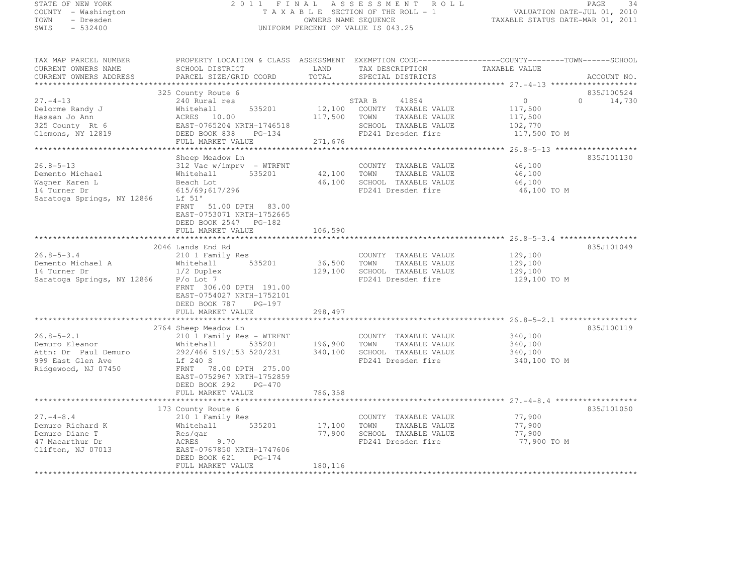## STATE OF NEW YORK 2 0 1 1 F I N A L A S S E S S M E N T R O L L PAGE <sup>34</sup> COUNTY - Washington T A X A B L E SECTION OF THE ROLL - 1 VALUATION DATE-JUL 01, 2010 TOWN - Dresden OWNERS NAME SEQUENCE TAXABLE STATUS DATE-MAR 01, 2011<br>- TRESDEN ON THE SEQUENCE TO A SECUENCE TO A SECUENCE THE SEQUENCE OF THE SECUENCE OF THE SECUENCE OF THE SECOND SWIS - 532400 UNIFORM PERCENT OF VALUE IS 043.25

| TAX MAP PARCEL NUMBER      | PROPERTY LOCATION & CLASS ASSESSMENT EXEMPTION CODE----------------COUNTY-------TOWN------SCHOOL |         |                                            |               |                     |
|----------------------------|--------------------------------------------------------------------------------------------------|---------|--------------------------------------------|---------------|---------------------|
| CURRENT OWNERS NAME        | SCHOOL DISTRICT                                                                                  | LAND    | TAX DESCRIPTION                            | TAXABLE VALUE |                     |
| CURRENT OWNERS ADDRESS     | PARCEL SIZE/GRID COORD                                                                           | TOTAL   | SPECIAL DISTRICTS                          |               | ACCOUNT NO.         |
|                            |                                                                                                  |         |                                            |               |                     |
|                            | 325 County Route 6                                                                               |         |                                            |               | 835J100524          |
| $27. - 4 - 13$             | 240 Rural res                                                                                    |         | STAR B<br>41854                            | $\circ$       | $\bigcap$<br>14,730 |
| Delorme Randy J            | 535201<br>Whitehall                                                                              | 12,100  | COUNTY TAXABLE VALUE                       | 117,500       |                     |
| Hassan Jo Ann              | ACRES 10.00                                                                                      | 117,500 | TOWN<br>TAXABLE VALUE                      | 117,500       |                     |
| 325 County Rt 6            | EAST-0765204 NRTH-1746518                                                                        |         | SCHOOL TAXABLE VALUE                       | 102,770       |                     |
| Clemons, NY 12819          | DEED BOOK 838<br>PG-134                                                                          |         | FD241 Dresden fire                         | 117,500 TO M  |                     |
|                            | FULL MARKET VALUE                                                                                | 271,676 |                                            |               |                     |
|                            |                                                                                                  |         |                                            |               |                     |
|                            | Sheep Meadow Ln                                                                                  |         |                                            |               | 835J101130          |
| $26.8 - 5 - 13$            | $312$ Vac w/imprv - WTRFNT                                                                       |         | COUNTY TAXABLE VALUE                       | 46,100        |                     |
| Demento Michael            | Whitehall<br>535201                                                                              | 42,100  | TAXABLE VALUE<br>TOWN                      | 46,100        |                     |
| Waqner Karen L             | Beach Lot                                                                                        | 46,100  | SCHOOL TAXABLE VALUE                       | 46,100        |                     |
| 14 Turner Dr               | 615/69;617/296                                                                                   |         | FD241 Dresden fire                         | 46,100 TO M   |                     |
| Saratoga Springs, NY 12866 | Lf 51'                                                                                           |         |                                            |               |                     |
|                            | FRNT 51.00 DPTH 83.00                                                                            |         |                                            |               |                     |
|                            | EAST-0753071 NRTH-1752665                                                                        |         |                                            |               |                     |
|                            | DEED BOOK 2547 PG-182                                                                            |         |                                            |               |                     |
|                            | FULL MARKET VALUE                                                                                | 106,590 |                                            |               |                     |
|                            |                                                                                                  |         |                                            |               |                     |
| $26.8 - 5 - 3.4$           | 2046 Lands End Rd                                                                                |         |                                            |               | 835J101049          |
|                            | 210 1 Family Res                                                                                 |         | COUNTY TAXABLE VALUE                       | 129,100       |                     |
| Demento Michael A          | 535201<br>Whitehall                                                                              | 36,500  | TAXABLE VALUE<br>TOWN                      | 129,100       |                     |
| 14 Turner Dr               | 1/2 Duplex<br>$P/O$ Lot $7$                                                                      | 129,100 | SCHOOL TAXABLE VALUE<br>FD241 Dresden fire | 129,100       |                     |
| Saratoga Springs, NY 12866 |                                                                                                  |         |                                            | 129,100 TO M  |                     |
|                            | FRNT 306.00 DPTH 191.00                                                                          |         |                                            |               |                     |
|                            | EAST-0754027 NRTH-1752101                                                                        |         |                                            |               |                     |
|                            | DEED BOOK 787<br>$PG-197$<br>FULL MARKET VALUE                                                   | 298,497 |                                            |               |                     |
|                            |                                                                                                  |         |                                            |               |                     |
|                            | 2764 Sheep Meadow Ln                                                                             |         |                                            |               | 835J100119          |
| $26.8 - 5 - 2.1$           | 210 1 Family Res - WTRFNT                                                                        |         | COUNTY TAXABLE VALUE                       | 340,100       |                     |
| Demuro Eleanor             | 535201<br>Whitehall                                                                              | 196,900 | TOWN<br>TAXABLE VALUE                      | 340,100       |                     |
| Attn: Dr Paul Demuro       | 292/466 519/153 520/231                                                                          | 340,100 | SCHOOL TAXABLE VALUE                       | 340,100       |                     |
| 999 East Glen Ave          | Lf 240 S                                                                                         |         | FD241 Dresden fire                         | 340,100 TO M  |                     |
| Ridgewood, NJ 07450        | FRNT 78.00 DPTH 275.00                                                                           |         |                                            |               |                     |
|                            | EAST-0752967 NRTH-1752859                                                                        |         |                                            |               |                     |
|                            | DEED BOOK 292<br>$PG-470$                                                                        |         |                                            |               |                     |
|                            | FULL MARKET VALUE                                                                                | 786,358 |                                            |               |                     |
|                            |                                                                                                  |         |                                            |               |                     |
|                            | 173 County Route 6                                                                               |         |                                            |               | 835J101050          |
| $27. - 4 - 8.4$            | 210 1 Family Res                                                                                 |         | COUNTY TAXABLE VALUE                       | 77,900        |                     |
| Demuro Richard K           | 535201<br>Whitehall                                                                              | 17,100  | TOWN<br>TAXABLE VALUE                      | 77,900        |                     |
| Demuro Diane T             | Res/gar                                                                                          | 77,900  | SCHOOL TAXABLE VALUE                       | 77,900        |                     |
| 47 Macarthur Dr            | ACRES<br>9.70                                                                                    |         | FD241 Dresden fire                         | 77,900 TO M   |                     |
| Clifton, NJ 07013          | EAST-0767850 NRTH-1747606                                                                        |         |                                            |               |                     |
|                            | DEED BOOK 621<br>$PG-174$                                                                        |         |                                            |               |                     |
|                            | FULL MARKET VALUE                                                                                | 180,116 |                                            |               |                     |
|                            |                                                                                                  |         |                                            |               |                     |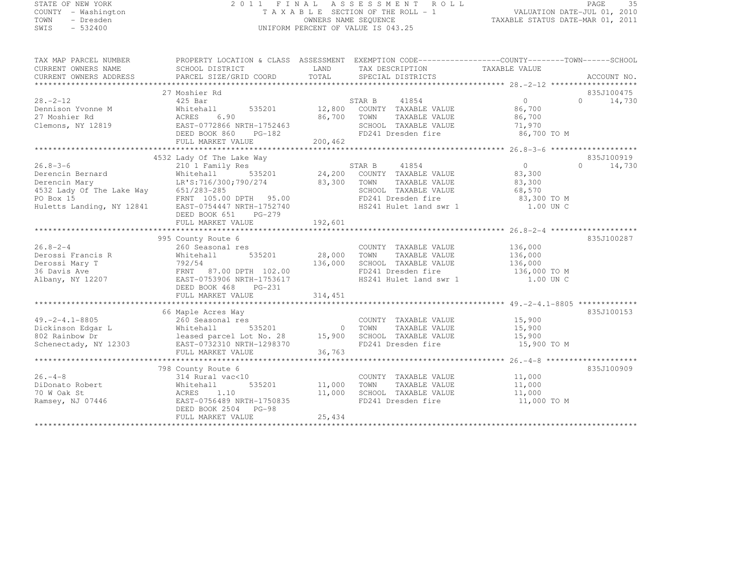# STATE OF NEW YORK 2 0 1 1 F I N A L A S S E S S M E N T R O L L PAGE <sup>35</sup> COUNTY - Washington T A X A B L E SECTION OF THE ROLL - 1 VALUATION DATE-JUL 01, 2010 TOWN - Dresden OWNERS NAME SEQUENCE TAXABLE STATUS DATE-MAR 01, 2011<br>- TRESDEN ON THE SEQUENCE TO A SECUENCE TO A SECUENCE THE SEQUENCE OF THE SECUENCE OF THE SECUENCE OF THE SECOND SWIS - 532400 UNIFORM PERCENT OF VALUE IS 043.25

| TAX MAP PARCEL NUMBER<br>CURRENT OWNERS NAME<br>CURRENT OWNERS ADDRESS                                                     | PROPERTY LOCATION & CLASS ASSESSMENT EXEMPTION CODE----------------COUNTY-------TOWN-----SCHOOL<br>SCHOOL DISTRICT<br>PARCEL SIZE/GRID COORD                                                                       | LAND<br>TOTAL                      | TAX DESCRIPTION TAXABLE VALUE<br>SPECIAL DISTRICTS                                                                                       |                                                                          |          | ACCOUNT NO.                               |
|----------------------------------------------------------------------------------------------------------------------------|--------------------------------------------------------------------------------------------------------------------------------------------------------------------------------------------------------------------|------------------------------------|------------------------------------------------------------------------------------------------------------------------------------------|--------------------------------------------------------------------------|----------|-------------------------------------------|
| $28. - 2 - 12$<br>Dennison Yvonne M<br>27 Moshier Rd<br>Clemons, NY 12819                                                  | 27 Moshier Rd<br>425 Bar<br>Whitehall<br>6.90<br>ACRES<br>EAST-0772866 NRTH-1752463<br>DEED BOOK 860<br>$PG-182$<br>FULL MARKET VALUE                                                                              | 535201 12,800<br>86,700<br>200,462 | STAR B<br>41854<br>COUNTY TAXABLE VALUE<br>TOWN<br>TAXABLE VALUE<br>SCHOOL TAXABLE VALUE<br>FD241 Dresden fire                           | $\Omega$<br>86,700<br>86,700<br>71,970<br>86,700 TO M                    |          | 835J100475<br>$0 \qquad \qquad$<br>14,730 |
| $26.8 - 3 - 6$<br>Derencin Bernard<br>Derencin Mary<br>4532 Lady Of The Lake Way<br>PO Box 15<br>Huletts Landing, NY 12841 | 4532 Lady Of The Lake Way<br>210 1 Family Res<br>Whitehall<br>535201<br>LR'S:716/300;790/274<br>651/283-285<br>FRNT 105.00 DPTH 95.00<br>EAST-0754447 NRTH-1752740<br>DEED BOOK 651<br>PG-279<br>FULL MARKET VALUE | 24,200<br>83,300<br>192,601        | STAR B<br>41854<br>COUNTY TAXABLE VALUE<br>TOWN<br>TAXABLE VALUE<br>SCHOOL TAXABLE VALUE<br>FD241 Dresden fire<br>HS241 Hulet land swr 1 | $\overline{0}$<br>83,300<br>83,300<br>68,570<br>83,300 TO M<br>1.00 UN C | $\Omega$ | 835J100919<br>14,730                      |
| $26.8 - 2 - 4$<br>Derossi Francis R<br>Derossi Mary T<br>36 Davis Ave<br>Albany, NY 12207                                  | 995 County Route 6<br>260 Seasonal res<br>535201<br>Whitehall<br>792/54<br>FRNT 87.00 DPTH 102.00<br>EAST-0753906 NRTH-1753617<br>DEED BOOK 468<br>PG-231<br>FULL MARKET VALUE                                     | 28,000<br>136,000<br>314,451       | COUNTY TAXABLE VALUE<br>TAXABLE VALUE<br>TOWN<br>SCHOOL TAXABLE VALUE<br>FD241 Dresden fire<br>HS241 Hulet land swr 1                    | 136,000<br>136,000<br>136,000<br>136,000 TO M<br>1.00 UN C               |          | 835J100287                                |
| $49. -2 - 4.1 - 8805$<br>Dickinson Edgar L<br>802 Rainbow Dr<br>Schenectady, NY 12303                                      | 66 Maple Acres Way<br>260 Seasonal res<br>535201<br>Whitehall<br>leased parcel Lot No. 28<br>EAST-0732310 NRTH-1298370<br>FULL MARKET VALUE                                                                        | $\circ$<br>15,900<br>36,763        | COUNTY TAXABLE VALUE<br>TOWN<br>TAXABLE VALUE<br>SCHOOL TAXABLE VALUE<br>FD241 Dresden fire                                              | 15,900<br>15,900<br>15,900<br>15,900 TO M                                |          | 835J100153                                |
| $26. - 4 - 8$<br>DiDonato Robert<br>70 W Oak St<br>Ramsey, NJ 07446                                                        | 798 County Route 6<br>314 Rural vac<10<br>535201<br>Whitehall<br>ACRES<br>1.10<br>EAST-0756489 NRTH-1750835<br>DEED BOOK 2504 PG-98<br>FULL MARKET VALUE                                                           | 11,000<br>11,000<br>25,434         | COUNTY TAXABLE VALUE<br>TOWN<br>TAXABLE VALUE<br>SCHOOL TAXABLE VALUE<br>FD241 Dresden fire                                              | 11,000<br>11,000<br>11,000<br>11,000 TO M                                |          | 835J100909                                |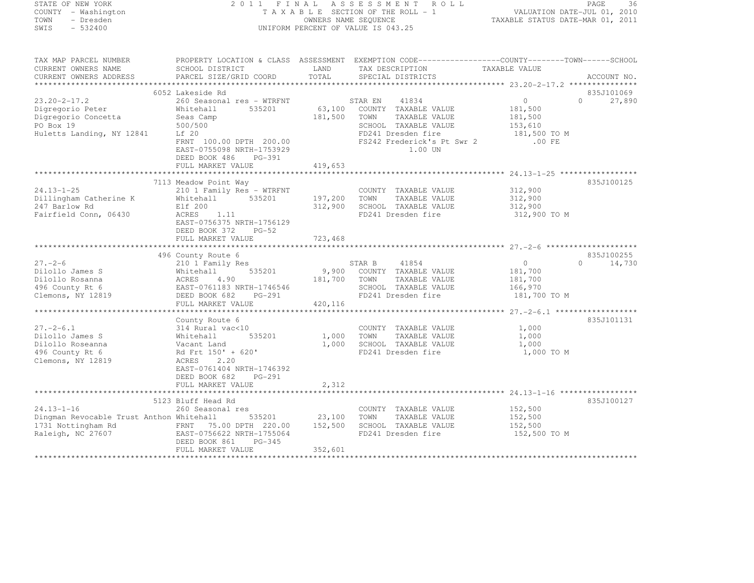STATE OF NEW YORK 2 0 1 1 F I N A L A S S E S S M E N T R O L L PAGE <sup>36</sup> COUNTY - Washington T A X A B L E SECTION OF THE ROLL - 1 VALUATION DATE-JUL 01, 2010 TOWN - Dresden OWNERS NAME SEQUENCE TAXABLE STATUS DATE-MAR 01, 2011<br>- TRESDEN ON THE SEQUENCE TO A SECUENCE TO A SECUENCE THE SEQUENCE OF THE SECUENCE OF THE SECUENCE OF THE SECOND SWIS - 532400 UNIFORM PERCENT OF VALUE IS 043.25 TAX MAP PARCEL NUMBER PROPERTY LOCATION & CLASS ASSESSMENT EXEMPTION CODE------------------COUNTY--------TOWN------SCHOOL CURRENT OWNERS NAME SCHOOL DISTRICT (CORRENT DIGHALL PRESCRIPTION TAXABLE VALUE CURRENT OWNERS ADDRESS PARCEL SIZE/GRID COORD TOTAL SPECIAL DISTRICTS CURRENT OWNERS ADDRESS PARCEL SIZE/GRID COORD TOTAL SPECIAL DISTRICTS ACCOUNT NO. \*\*\*\*\*\*\*\*\*\*\*\*\*\*\*\*\*\*\*\*\*\*\*\*\*\*\*\*\*\*\*\*\*\*\*\*\*\*\*\*\*\*\*\*\*\*\*\*\*\*\*\*\*\*\*\*\*\*\*\*\*\*\*\*\*\*\*\*\*\*\*\*\*\*\*\*\*\*\*\*\*\*\*\*\*\*\*\*\*\*\*\*\*\*\*\*\*\*\*\*\*\*\* 23.20-2-17.2 \*\*\*\*\*\*\*\*\*\*\*\*\*\*\*835J101069 6052 Lakeside Rd 835J101069 $0 \t 27.890$ 23.20-2-17.2 260 Seasonal res - WTRFNT STAR EN <sup>41834</sup> <sup>0</sup> 0 27,890 Digregorio Peter Whitehall 535201 63,100 COUNTY TAXABLE VALUE 181,500 Digregorio Concetta Seas Camp 181,500 TOWN TAXABLE VALUE 181,500 PO Box 19 500/500 500/500 SCHOOL TAXABLE VALUE 153,610 Huletts Landing, NY 12841 Lf 20 FD241 Dresden fire 181,500 TO M FRNT 100.00 DPTH 200.00 FS242 Frederick's Pt Swr 2 .00 FE EAST-0755098 NRTH-1753929 1.00 UN DEED BOOK 486 PG-391 FULL MARKET VALUE 419,653 \*\*\*\*\*\*\*\*\*\*\*\*\*\*\*\*\*\*\*\*\*\*\*\*\*\*\*\*\*\*\*\*\*\*\*\*\*\*\*\*\*\*\*\*\*\*\*\*\*\*\*\*\*\*\*\*\*\*\*\*\*\*\*\*\*\*\*\*\*\*\*\*\*\*\*\*\*\*\*\*\*\*\*\*\*\*\*\*\*\*\*\*\*\*\*\*\*\*\*\*\*\*\* 24.13-1-25 \*\*\*\*\*\*\*\*\*\*\*\*\*\*\*\*\*835J100125 7113 Meadow Point Way 835J10012524.13-1-25 210 1 Family Res - WTRFNT COUNTY TAXABLE VALUE 312,900 Dillingham Catherine K Whitehall 535201 197,200 TOWN TAXABLE VALUE 312,900 247 Barlow Rd Elf 200 312,900 SCHOOL TAXABLE VALUE 312,900 Fairfield Conn, 06430 ACRES 1.11 FD241 Dresden fire 312,900 TO M EAST-0756375 NRTH-1756129DEED BOOK 372 PG-52

 FULL MARKET VALUE 723,468 \*\*\*\*\*\*\*\*\*\*\*\*\*\*\*\*\*\*\*\*\*\*\*\*\*\*\*\*\*\*\*\*\*\*\*\*\*\*\*\*\*\*\*\*\*\*\*\*\*\*\*\*\*\*\*\*\*\*\*\*\*\*\*\*\*\*\*\*\*\*\*\*\*\*\*\*\*\*\*\*\*\*\*\*\*\*\*\*\*\*\*\*\*\*\*\*\*\*\*\*\*\*\* 27.-2-6 \*\*\*\*\*\*\*\*\*\*\*\*\*\*\*\*\*\*\*\* 496 County Route 6 835J10025527.-2-6 210 1 Family Res STAR B <sup>41854</sup> <sup>0</sup> 0 14,730 Dilollo James S Whitehall 535201 9,900 COUNTY TAXABLE VALUE 181,700 Dilollo Rosanna ACRES 4.90 181,700 TOWN TAXABLE VALUE 181,700 496 County Rt 6 EAST-0761183 NRTH-1746546 SCHOOL TAXABLE VALUE 166,970 Clemons, NY 12819 DEED BOOK 682 PG-291 FD241 Dresden fire 181,700 TO M FULL MARKET VALUE 420,116 \*\*\*\*\*\*\*\*\*\*\*\*\*\*\*\*\*\*\*\*\*\*\*\*\*\*\*\*\*\*\*\*\*\*\*\*\*\*\*\*\*\*\*\*\*\*\*\*\*\*\*\*\*\*\*\*\*\*\*\*\*\*\*\*\*\*\*\*\*\*\*\*\*\*\*\*\*\*\*\*\*\*\*\*\*\*\*\*\*\*\*\*\*\*\*\*\*\*\*\*\*\*\* 27.-2-6.1 \*\*\*\*\*\*\*\*\*\*\*\*\*\*\*\*\*\*835J101131 County Route 6 835J10113127.-2-6.1 314 Rural vac<10 COUNTY TAXABLE VALUE 1,000 Dilollo James S Whitehall 535201 1,000 TOWN TAXABLE VALUE 1,000 Dilollo Roseanna Vacant Land 1,000 SCHOOL TAXABLE VALUE 1,000 496 County Rt 6 Rd Frt 150' + 620' FD241 Dresden fire 1,000 TO M Clemons, NY 12819 ACRES 2.20 EAST-0761404 NRTH-1746392 DEED BOOK 682 PG-291 FULL MARKET VALUE 2,312 \*\*\*\*\*\*\*\*\*\*\*\*\*\*\*\*\*\*\*\*\*\*\*\*\*\*\*\*\*\*\*\*\*\*\*\*\*\*\*\*\*\*\*\*\*\*\*\*\*\*\*\*\*\*\*\*\*\*\*\*\*\*\*\*\*\*\*\*\*\*\*\*\*\*\*\*\*\*\*\*\*\*\*\*\*\*\*\*\*\*\*\*\*\*\*\*\*\*\*\*\*\*\* 24.13-1-16 \*\*\*\*\*\*\*\*\*\*\*\*\*\*\*\*\*835J100127 5123 Bluff Head Rd 835J10012724.13-1-16 260 Seasonal res COUNTY TAXABLE VALUE 152,500 Dingman Revocable Trust Anthon Whitehall 535201 23,100 TOWN TAXABLE VALUE 152,500 1731 Nottingham Rd FRNT 75.00 DPTH 220.00 152,500 SCHOOL TAXABLE VALUE 152,500<br>1731 Nottingham Rd Raleigh, NC 27607 EAST-0756622 NRTH-1755064 FD241 Dresden fire 152,500 TO M DEED BOOK 861 PG-345 FULL MARKET VALUE 352,601 \*\*\*\*\*\*\*\*\*\*\*\*\*\*\*\*\*\*\*\*\*\*\*\*\*\*\*\*\*\*\*\*\*\*\*\*\*\*\*\*\*\*\*\*\*\*\*\*\*\*\*\*\*\*\*\*\*\*\*\*\*\*\*\*\*\*\*\*\*\*\*\*\*\*\*\*\*\*\*\*\*\*\*\*\*\*\*\*\*\*\*\*\*\*\*\*\*\*\*\*\*\*\*\*\*\*\*\*\*\*\*\*\*\*\*\*\*\*\*\*\*\*\*\*\*\*\*\*\*\*\*\*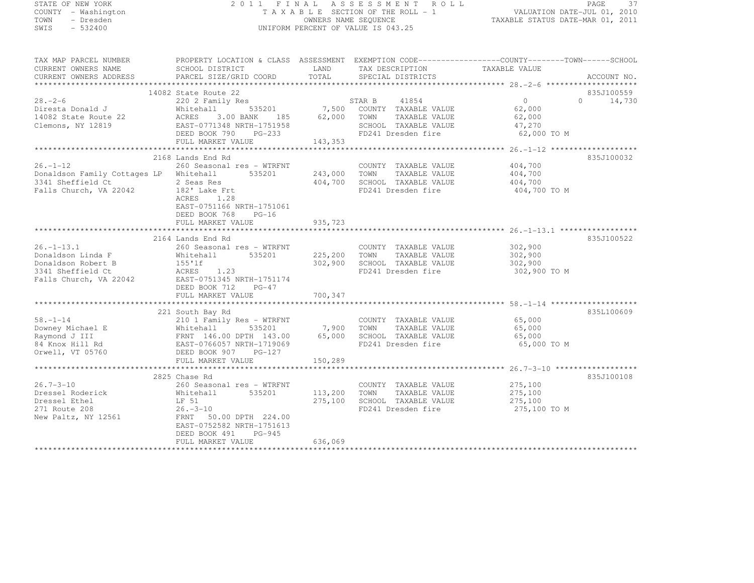# STATE OF NEW YORK 2 0 1 1 F I N A L A S S E S S M E N T R O L L PAGE <sup>37</sup> COUNTY - Washington T A X A B L E SECTION OF THE ROLL - 1 VALUATION DATE-JUL 01, 2010 TOWN - Dresden OWNERS NAME SEQUENCE TAXABLE STATUS DATE-MAR 01, 2011<br>- TRESDEN ON THE SEQUENCE TO A SECUENCE TO BE SERVED ON THE SEQUENCE OF SEXUE OF THE STATUS DATE MAR 01, 2011 SWIS - 532400 UNIFORM PERCENT OF VALUE IS 043.25

| TAX MAP PARCEL NUMBER<br>CURRENT OWNERS NAME<br>CURRENT OWNERS ADDRESS                                     | PROPERTY LOCATION & CLASS ASSESSMENT EXEMPTION CODE----------------COUNTY-------TOWN-----SCHOOL<br>SCHOOL DISTRICT<br>PARCEL SIZE/GRID COORD                                                          | LAND<br>TOTAL                 | TAX DESCRIPTION TAXABLE VALUE<br>SPECIAL DISTRICTS                                                             |                                                                         | ACCOUNT NO.          |
|------------------------------------------------------------------------------------------------------------|-------------------------------------------------------------------------------------------------------------------------------------------------------------------------------------------------------|-------------------------------|----------------------------------------------------------------------------------------------------------------|-------------------------------------------------------------------------|----------------------|
| $28. - 2 - 6$<br>Diresta Donald J<br>14082 State Route 22<br>Clemons, NY 12819                             | 14082 State Route 22<br>220 2 Family Res<br>535201<br>Whitehall<br>3.00 BANK<br>ACRES<br>185<br>EAST-0771348 NRTH-1751958<br>DEED BOOK 790<br>$PG-233$<br>FULL MARKET VALUE                           | 7,500<br>62,000<br>143,353    | STAR B<br>41854<br>COUNTY TAXABLE VALUE<br>TOWN<br>TAXABLE VALUE<br>SCHOOL TAXABLE VALUE<br>FD241 Dresden fire | $\overline{0}$<br>$\Omega$<br>62,000<br>62,000<br>47,270<br>62,000 TO M | 835J100559<br>14,730 |
| $26. - 1 - 12$<br>Donaldson Family Cottages LP Whitehall<br>3341 Sheffield Ct<br>Falls Church, VA 22042    | 2168 Lands End Rd<br>260 Seasonal res - WTRFNT<br>535201<br>2 Seas Res<br>182' Lake Frt<br>1.28<br>ACRES                                                                                              | 243,000<br>404,700            | COUNTY TAXABLE VALUE<br>TAXABLE VALUE<br>TOWN<br>SCHOOL TAXABLE VALUE<br>FD241 Dresden fire                    | 404,700<br>404,700<br>404,700<br>404,700 TO M                           | 835J100032           |
|                                                                                                            | EAST-0751166 NRTH-1751061<br>DEED BOOK 768<br>$PG-16$<br>FULL MARKET VALUE                                                                                                                            | 935,723                       |                                                                                                                |                                                                         |                      |
| $26. - 1 - 13.1$<br>Donaldson Linda F<br>Donaldson Robert B<br>3341 Sheffield Ct<br>Falls Church, VA 22042 | 2164 Lands End Rd<br>260 Seasonal res - WTRFNT<br>535201<br>Whitehall<br>155'lf<br>ACRES<br>1.23<br>EAST-0751345 NRTH-1751174<br>DEED BOOK 712<br>$PG-47$<br>FULL MARKET VALUE                        | 225,200<br>302,900<br>700,347 | COUNTY TAXABLE VALUE<br>TOWN<br>TAXABLE VALUE<br>SCHOOL TAXABLE VALUE<br>FD241 Dresden fire                    | 302,900<br>302,900<br>302,900<br>302,900 TO M                           | 835J100522           |
| $58. - 1 - 14$<br>Downey Michael E<br>Raymond J III<br>84 Knox Hill Rd<br>Orwell, VT 05760                 | 221 South Bay Rd<br>210 1 Family Res - WTRFNT<br>535201<br>Whitehall<br>FRNT 146.00 DPTH 143.00<br>EAST-0766057 NRTH-1719069<br>DEED BOOK 907<br>$PG-127$<br>FULL MARKET VALUE                        | 7,900<br>65,000<br>150,289    | COUNTY TAXABLE VALUE<br>TOWN<br>TAXABLE VALUE<br>SCHOOL TAXABLE VALUE<br>FD241 Dresden fire                    | 65,000<br>65,000<br>65,000<br>65,000 TO M                               | 835L100609           |
| $26.7 - 3 - 10$<br>Dressel Roderick<br>Dressel Ethel<br>271 Route 208<br>New Paltz, NY 12561               | 2825 Chase Rd<br>260 Seasonal res - WTRFNT<br>535201<br>Whitehall<br>LF 51<br>$26. -3 - 10$<br>FRNT<br>50.00 DPTH 224.00<br>EAST-0752582 NRTH-1751613<br>DEED BOOK 491<br>PG-945<br>FULL MARKET VALUE | 113,200<br>275,100<br>636,069 | COUNTY TAXABLE VALUE<br>TOWN<br>TAXABLE VALUE<br>SCHOOL TAXABLE VALUE<br>FD241 Dresden fire                    | 275,100<br>275,100<br>275,100<br>275,100 TO M                           | 835J100108           |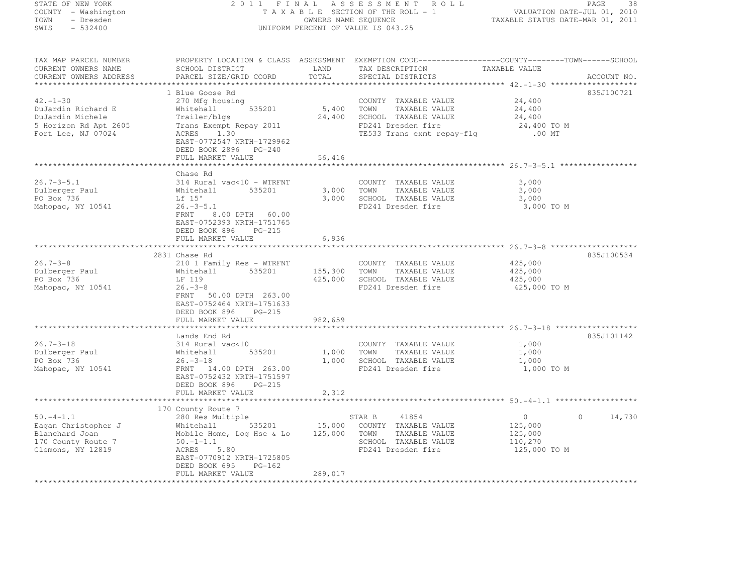| STATE OF NEW YORK                             |                                                                                                   |                | 2011 FINAL ASSESSMENT ROLL                              |                                                                 | PAGE<br>-38       |
|-----------------------------------------------|---------------------------------------------------------------------------------------------------|----------------|---------------------------------------------------------|-----------------------------------------------------------------|-------------------|
| COUNTY - Washington<br>TOWN<br>- Dresden      |                                                                                                   |                | TAXABLE SECTION OF THE ROLL - 1<br>OWNERS NAME SEQUENCE | VALUATION DATE-JUL 01, 2010<br>TAXABLE STATUS DATE-MAR 01, 2011 |                   |
| SWIS - 532400                                 |                                                                                                   |                | UNIFORM PERCENT OF VALUE IS 043.25                      |                                                                 |                   |
| TAX MAP PARCEL NUMBER                         | PROPERTY LOCATION & CLASS ASSESSMENT EXEMPTION CODE-----------------COUNTY-------TOWN------SCHOOL |                |                                                         |                                                                 |                   |
| CURRENT OWNERS NAME<br>CURRENT OWNERS ADDRESS | SCHOOL DISTRICT<br>PARCEL SIZE/GRID COORD                                                         | LAND<br>TOTAL  | TAX DESCRIPTION<br>SPECIAL DISTRICTS                    | TAXABLE VALUE                                                   | ACCOUNT NO.       |
|                                               |                                                                                                   |                |                                                         |                                                                 |                   |
| $42. - 1 - 30$                                | 1 Blue Goose Rd<br>270 Mfg housing                                                                |                | COUNTY TAXABLE VALUE                                    | 24,400                                                          | 835J100721        |
| DuJardin Richard E                            | 535201<br>Whitehall                                                                               |                | 5,400 TOWN TAXABLE VALUE                                | 24,400                                                          |                   |
| DuJardin Michele                              | Trailer/blqs                                                                                      | 24,400         | SCHOOL TAXABLE VALUE                                    | 24,400                                                          |                   |
| 5 Horizon Rd Apt 2605                         | Trans Exempt Repay 2011                                                                           |                | FD241 Dresden fire                                      | 24,400 TO M                                                     |                   |
| Fort Lee, NJ 07024                            | ACRES 1.30                                                                                        |                | TE533 Trans exmt repay-flg                              | $.00$ MT                                                        |                   |
|                                               | EAST-0772547 NRTH-1729962                                                                         |                |                                                         |                                                                 |                   |
|                                               | DEED BOOK 2896 PG-240                                                                             |                |                                                         |                                                                 |                   |
|                                               | FULL MARKET VALUE                                                                                 | 56,416         |                                                         |                                                                 |                   |
|                                               |                                                                                                   |                |                                                         |                                                                 |                   |
|                                               | Chase Rd                                                                                          |                |                                                         |                                                                 |                   |
| 26.7-3-5.1                                    |                                                                                                   |                | COUNTY TAXABLE VALUE                                    | 3,000<br>3,000                                                  |                   |
| Dulberger Paul<br>PO Box 736                  | 314 Rural vac<10 - WTRFNT<br>Whitehall 535201<br>Lf 15'                                           | 3,000<br>3,000 | TOWN<br>TAXABLE VALUE<br>SCHOOL TAXABLE VALUE           | 3,000                                                           |                   |
| Mahopac, NY 10541                             | 26.–3–5.1                                                                                         |                | FD241 Dresden fire                                      | 3,000 TO M                                                      |                   |
|                                               | FRNT<br>8.00 DPTH 60.00                                                                           |                |                                                         |                                                                 |                   |
|                                               | EAST-0752393 NRTH-1751765                                                                         |                |                                                         |                                                                 |                   |
|                                               | DEED BOOK 896<br>PG-215                                                                           |                |                                                         |                                                                 |                   |
|                                               | FULL MARKET VALUE                                                                                 | 6,936          |                                                         |                                                                 |                   |
|                                               |                                                                                                   |                |                                                         |                                                                 |                   |
|                                               | 2831 Chase Rd                                                                                     |                |                                                         |                                                                 | 835J100534        |
| $26.7 - 3 - 8$<br>Dulberger Paul              | 210 1 Family Res - WTRFNT<br>Whitehall 535201                                                     |                | COUNTY TAXABLE VALUE<br>155,300 TOWN<br>TAXABLE VALUE   | 425,000<br>425,000                                              |                   |
| PO Box 736                                    | LF 119                                                                                            | 425,000        | SCHOOL TAXABLE VALUE                                    | 425,000                                                         |                   |
| Mahopac, NY 10541                             | $26. -3 - 8$                                                                                      |                | FD241 Dresden fire                                      | 425,000 TO M                                                    |                   |
|                                               | FRNT 50.00 DPTH 263.00                                                                            |                |                                                         |                                                                 |                   |
|                                               | EAST-0752464 NRTH-1751633                                                                         |                |                                                         |                                                                 |                   |
|                                               | DEED BOOK 896<br>PG-215                                                                           |                |                                                         |                                                                 |                   |
|                                               | FULL MARKET VALUE                                                                                 | 982,659        |                                                         |                                                                 |                   |
|                                               |                                                                                                   |                |                                                         |                                                                 |                   |
|                                               | Lands End Rd                                                                                      |                |                                                         |                                                                 | 835J101142        |
| 26.7-3-18<br>Dulberger Paul                   | 314 Rural vac<10<br>535201                                                                        | 1,000          | COUNTY TAXABLE VALUE<br>TOWN<br>TAXABLE VALUE           | 1,000<br>1,000                                                  |                   |
| PO Box 736                                    | Whitehall<br>26.-3-18                                                                             | 1,000          | SCHOOL TAXABLE VALUE                                    | 1,000                                                           |                   |
| Mahopac, NY 10541                             | FRNT 14.00 DPTH 263.00                                                                            |                | FD241 Dresden fire                                      | 1,000 TO M                                                      |                   |
|                                               | EAST-0752432 NRTH-1751597                                                                         |                |                                                         |                                                                 |                   |
|                                               | DEED BOOK 896<br>PG-215                                                                           |                |                                                         |                                                                 |                   |
|                                               | FULL MARKET VALUE                                                                                 | 2,312          |                                                         |                                                                 |                   |
|                                               |                                                                                                   | **********     |                                                         | ******************************* 50.-4-1.1 ******************    |                   |
|                                               | 170 County Route 7                                                                                |                |                                                         |                                                                 |                   |
| $50 - 4 - 1.1$                                | 280 Res Multiple                                                                                  |                | STAR B<br>41854                                         | $\overline{0}$                                                  | $\circ$<br>14,730 |
| Eagan Christopher J                           | Whitehall 535201<br>Mobile Home, Log Hse & Lo<br>50.-1-1.1                                        |                | 15,000 COUNTY TAXABLE VALUE                             | 125,000                                                         |                   |
| Blanchard Joan<br>170 County Route 7          |                                                                                                   | 125,000        | TOWN<br>TAXABLE VALUE<br>SCHOOL TAXABLE VALUE           | 125,000<br>110,270                                              |                   |
| Clemons, NY 12819                             | ACRES<br>5.80                                                                                     |                | FD241 Dresden fire                                      | 125,000 TO M                                                    |                   |
|                                               | EAST-0770912 NRTH-1725805                                                                         |                |                                                         |                                                                 |                   |

FULL MARKET VALUE 289,017 \*\*\*\*\*\*\*\*\*\*\*\*\*\*\*\*\*\*\*\*\*\*\*\*\*\*\*\*\*\*\*\*\*\*\*\*\*\*\*\*\*\*\*\*\*\*\*\*\*\*\*\*\*\*\*\*\*\*\*\*\*\*\*\*\*\*\*\*\*\*\*\*\*\*\*\*\*\*\*\*\*\*\*\*\*\*\*\*\*\*\*\*\*\*\*\*\*\*\*\*\*\*\*\*\*\*\*\*\*\*\*\*\*\*\*\*\*\*\*\*\*\*\*\*\*\*\*\*\*\*\*\*

DEED BOOK 695 PG-162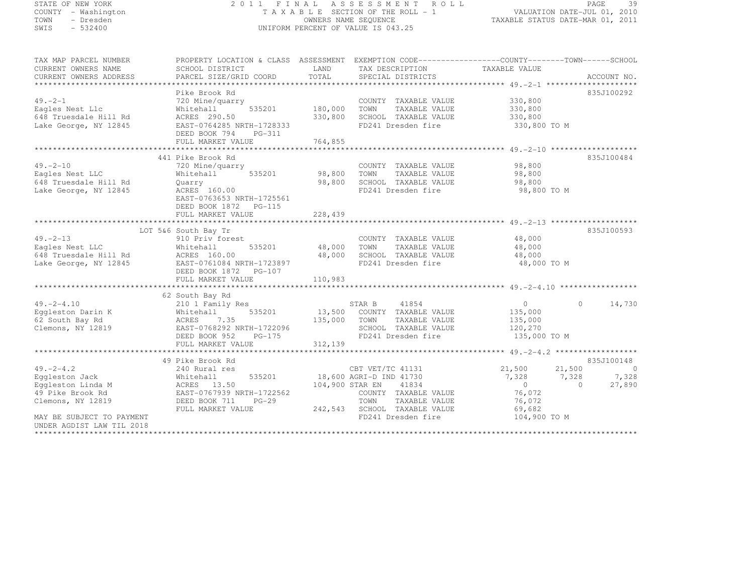| STATE OF NEW YORK                             |                                                                                                    |                 | 2011 FINAL ASSESSMENT ROLL                                 |                                                                 |         | PAGE<br>39     |
|-----------------------------------------------|----------------------------------------------------------------------------------------------------|-----------------|------------------------------------------------------------|-----------------------------------------------------------------|---------|----------------|
| COUNTY - Washington<br>TOWN                   |                                                                                                    |                 | TAXABLE SECTION OF THE ROLL - 1                            | VALUATION DATE-JUL 01, 2010<br>TAXABLE STATUS DATE-MAR 01, 2011 |         |                |
| - Dresden<br>SWIS<br>$-532400$                |                                                                                                    |                 | OWNERS NAME SEQUENCE<br>UNIFORM PERCENT OF VALUE IS 043.25 |                                                                 |         |                |
|                                               |                                                                                                    |                 |                                                            |                                                                 |         |                |
| TAX MAP PARCEL NUMBER                         | PROPERTY LOCATION & CLASS ASSESSMENT EXEMPTION CODE-----------------COUNTY--------TOWN------SCHOOL |                 |                                                            |                                                                 |         |                |
| CURRENT OWNERS NAME<br>CURRENT OWNERS ADDRESS | SCHOOL DISTRICT<br>PARCEL SIZE/GRID COORD                                                          | LAND<br>TOTAL   | TAX DESCRIPTION<br>SPECIAL DISTRICTS                       | TAXABLE VALUE                                                   |         | ACCOUNT NO.    |
|                                               |                                                                                                    |                 |                                                            |                                                                 |         |                |
|                                               | Pike Brook Rd                                                                                      |                 |                                                            |                                                                 |         | 835J100292     |
| 49.–2–1                                       | 720 Mine/quarry                                                                                    |                 | COUNTY TAXABLE VALUE                                       | 330,800                                                         |         |                |
| Eagles Nest Llc                               | 535201<br>Whitehall                                                                                | 180,000         | TOWN<br>TAXABLE VALUE                                      | 330,800                                                         |         |                |
| 648 Truesdale Hill Rd                         | ACRES 290.50                                                                                       | 330,800         | SCHOOL TAXABLE VALUE                                       | 330,800                                                         |         |                |
| Lake George, NY 12845                         | EAST-0764285 NRTH-1728333                                                                          |                 | FD241 Dresden fire                                         | 330,800 TO M                                                    |         |                |
|                                               | DEED BOOK 794 PG-311                                                                               | 764,855         |                                                            |                                                                 |         |                |
|                                               | FULL MARKET VALUE                                                                                  |                 |                                                            |                                                                 |         |                |
|                                               | 441 Pike Brook Rd                                                                                  |                 |                                                            |                                                                 |         | 835J100484     |
| 49.-2-10                                      | 720 Mine/quarry                                                                                    |                 | COUNTY TAXABLE VALUE                                       | 98,800                                                          |         |                |
| Eagles Nest LLC                               | 535201<br>Whitehall                                                                                | 98,800          | TOWN<br>TAXABLE VALUE                                      | 98,800                                                          |         |                |
| 648 Truesdale Hill Rd                         | Quarry                                                                                             | 98,800          | SCHOOL TAXABLE VALUE                                       | 98,800                                                          |         |                |
| Lake George, NY 12845                         | ACRES 160.00                                                                                       |                 | FD241 Dresden fire                                         | 98,800 TO M                                                     |         |                |
|                                               | EAST-0763653 NRTH-1725561                                                                          |                 |                                                            |                                                                 |         |                |
|                                               | DEED BOOK 1872 PG-115<br>FULL MARKET VALUE                                                         | 228,439         |                                                            |                                                                 |         |                |
|                                               |                                                                                                    |                 |                                                            |                                                                 |         |                |
|                                               | LOT 5&6 South Bay Tr                                                                               |                 |                                                            |                                                                 |         | 835J100593     |
| 49.-2-13                                      | 910 Priv forest                                                                                    |                 | COUNTY TAXABLE VALUE                                       | 48,000                                                          |         |                |
| Eagles Nest LLC                               | Whitehall<br>535201                                                                                | 48,000          | TOWN<br>TAXABLE VALUE                                      | 48,000                                                          |         |                |
| 648 Truesdale Hill Rd                         | ACRES 160.00                                                                                       | 48,000          | SCHOOL TAXABLE VALUE                                       | 48,000                                                          |         |                |
| Lake George, NY 12845                         | EAST-0761084 NRTH-1723897                                                                          |                 | FD241 Dresden fire                                         | 48,000 TO M                                                     |         |                |
|                                               | DEED BOOK 1872    PG-107<br>FULL MARKET VALUE                                                      | 110,983         |                                                            |                                                                 |         |                |
|                                               |                                                                                                    |                 |                                                            |                                                                 |         |                |
|                                               | 62 South Bay Rd                                                                                    |                 |                                                            |                                                                 |         |                |
| $49. - 2 - 4.10$                              | 210 1 Family Res                                                                                   |                 | 41854<br>STAR B                                            | $\circ$                                                         | $\circ$ | 14,730         |
| Eggleston Darin K<br>62 South Bay Rd          | 535201<br>Whitehall                                                                                | 13,500          | COUNTY TAXABLE VALUE                                       | 135,000                                                         |         |                |
| 62 South Bay Rd                               | 7.35<br>ACRES                                                                                      | 135,000         | TAXABLE VALUE<br>TOWN                                      | 135,000                                                         |         |                |
| Clemons, NY 12819                             | EAST-0768292 NRTH-1722096                                                                          |                 | SCHOOL TAXABLE VALUE                                       | 120,270                                                         |         |                |
|                                               | DEED BOOK 952<br>$PG-175$                                                                          |                 | FD241 Dresden fire                                         | 135,000 TO M                                                    |         |                |
|                                               | FULL MARKET VALUE                                                                                  | 312,139         |                                                            |                                                                 |         |                |
|                                               | 49 Pike Brook Rd                                                                                   |                 |                                                            |                                                                 |         | 835J100148     |
| $49. -2 - 4.2$                                | 240 Rural res                                                                                      |                 | CBT VET/TC 41131                                           | 21,500                                                          | 21,500  | $\overline{0}$ |
| Eqqleston Jack                                | 535201<br>Whitehall                                                                                |                 | 18,600 AGRI-D IND 41730                                    | 7,328                                                           | 7,328   | 7,328          |
| Eqqleston Linda M                             | ACRES 13.50<br>FAST-0767939 N                                                                      | 104,900 STAR EN | 41834                                                      | $\circ$                                                         | $\circ$ | 27,890         |
| 49 Pike Brook Rd                              | EAST-0767939 NRTH-1722562                                                                          |                 | COUNTY TAXABLE VALUE                                       | 76,072                                                          |         |                |
|                                               |                                                                                                    |                 |                                                            |                                                                 |         |                |

 FULL MARKET VALUE 242,543 SCHOOL TAXABLE VALUE 69,682 MAY BE SUBJECT TO PAYMENT **FD241** Dresden fire 104,900 TO M UNDER AGDIST LAW TIL 2018

\*\*\*\*\*\*\*\*\*\*\*\*\*\*\*\*\*\*\*\*\*\*\*\*\*\*\*\*\*\*\*\*\*\*\*\*\*\*\*\*\*\*\*\*\*\*\*\*\*\*\*\*\*\*\*\*\*\*\*\*\*\*\*\*\*\*\*\*\*\*\*\*\*\*\*\*\*\*\*\*\*\*\*\*\*\*\*\*\*\*\*\*\*\*\*\*\*\*\*\*\*\*\*\*\*\*\*\*\*\*\*\*\*\*\*\*\*\*\*\*\*\*\*\*\*\*\*\*\*\*\*\*

Clemons, NY 12819 DEED BOOK 711 PG-29 TOWN TAXABLE VALUE 76,072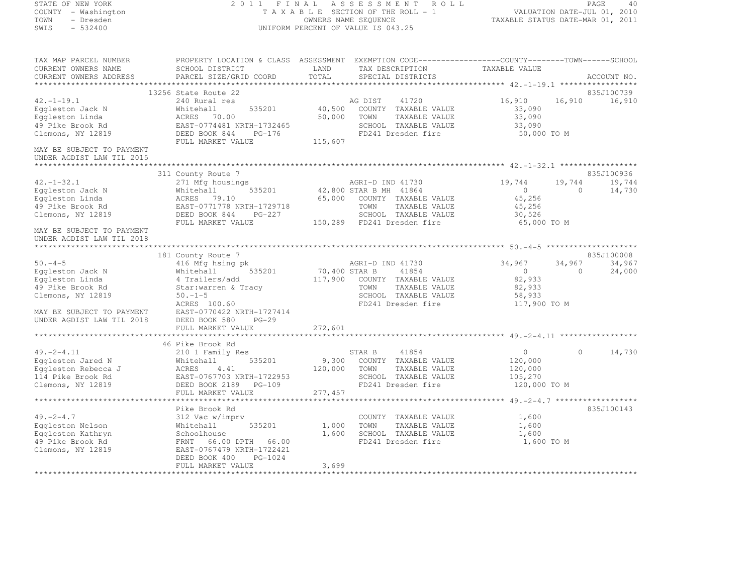# STATE OF NEW YORK 2 0 1 1 F I N A L A S S E S S M E N T R O L L PAGE <sup>40</sup> COUNTY - Washington T A X A B L E SECTION OF THE ROLL - 1 VALUATION DATE-JUL 01, 2010 TOWN - Dresden OWNERS NAME SEQUENCE TAXABLE STATUS DATE-MAR 01, 2011<br>- TRESDEN ON THE SEQUENCE TO A SECUENCE TO BE SERVED ON THE SEQUENCE OF SEXUE OF THE STATUS DATE MAR 01, 2011 SWIS - 532400 UNIFORM PERCENT OF VALUE IS 043.25

TAX MAP PARCEL NUMBER PROPERTY LOCATION & CLASS ASSESSMENT EXEMPTION CODE------------------COUNTY--------TOWN------SCHOOL

CURRENT OWNERS NAME SCHOOL DISTRICT LAND TAX DESCRIPTION TAXABLE VALUE<br>CURRENT OWNERS ADDRESS PARCEL SIZE/GRID COORD TOTAL SPECIAL DISTRICTS ACCOUNT NO. \*\*\*\*\*\*\*\*\*\*\*\*\*\*\*\*\*\*\*\*\*\*\*\*\*\*\*\*\*\*\*\*\*\*\*\*\*\*\*\*\*\*\*\*\*\*\*\*\*\*\*\*\*\*\*\*\*\*\*\*\*\*\*\*\*\*\*\*\*\*\*\*\*\*\*\*\*\*\*\*\*\*\*\*\*\*\*\*\*\*\*\*\*\*\*\*\*\*\*\*\*\*\* 42.-1-19.1 \*\*\*\*\*\*\*\*\*\*\*\*\*\*\*\*\* 13256 State Route 22 835J100739 42.-1-19.1 240 Rural res AG DIST <sup>41720</sup> 16,910 16,910 16,910 Eggleston Jack N Whitehall 535201 40,500 COUNTY TAXABLE VALUE 33,090 Eggleston Linda ACRES 70.00 50,000 TOWN TAXABLE VALUE 33,090 49 Pike Brook Rd EAST-0774481 NRTH-1732465 SCHOOL TAXABLE VALUE 33,090 Clemons, NY 12819 DEED BOOK 844 PG-176 FD241 Dresden fire 50,000 TO M FULL MARKET VALUE 115,607 MAY BE SUBJECT TO PAYMENT UNDER AGDIST LAW TIL 2015 \*\*\*\*\*\*\*\*\*\*\*\*\*\*\*\*\*\*\*\*\*\*\*\*\*\*\*\*\*\*\*\*\*\*\*\*\*\*\*\*\*\*\*\*\*\*\*\*\*\*\*\*\*\*\*\*\*\*\*\*\*\*\*\*\*\*\*\*\*\*\*\*\*\*\*\*\*\*\*\*\*\*\*\*\*\*\*\*\*\*\*\*\*\*\*\*\*\*\*\*\*\*\* 42.-1-32.1 \*\*\*\*\*\*\*\*\*\*\*\*\*\*\*\*\*----<br>835J100936 311 County Route 7 835J100936<br>271 Mfg housings AGRI-D IND 41730 19,744 19,744 19,744 19,744 19,744 19,744 19,744 Eggleston Jack N Whitehall 535201 42,800 STAR B MH <sup>41864</sup> <sup>0</sup> 0 14,730 Eggleston Linda ACRES 79.10 65,000 COUNTY TAXABLE VALUE 45,256 49 Pike Brook Rd EAST-0771778 NRTH-1729718 TOWN TAXABLE VALUE 45,256 Clemons, NY 12819 DEED BOOK 844 PG-227 SCHOOL TAXABLE VALUE 30,526 FULL MARKET VALUE 150,289 FD241 Dresden fire 65,000 TO M MAY BE SUBJECT TO PAYMENT UNDER AGDIST LAW TIL 2018 \*\*\*\*\*\*\*\*\*\*\*\*\*\*\*\*\*\*\*\*\*\*\*\*\*\*\*\*\*\*\*\*\*\*\*\*\*\*\*\*\*\*\*\*\*\*\*\*\*\*\*\*\*\*\*\*\*\*\*\*\*\*\*\*\*\*\*\*\*\*\*\*\*\*\*\*\*\*\*\*\*\*\*\*\*\*\*\*\*\*\*\*\*\*\*\*\*\*\*\*\*\*\* 50.-4-5 \*\*\*\*\*\*\*\*\*\*\*\*\*\*\*\*\*\*\*\* 181 County Route 7 835J100008 50.-4-5 416 Mfg hsing pk AGRI-D IND 41730 34,967 34,967 34,967 Eggleston Jack N Whitehall 535201 70,400 STAR B <sup>41854</sup> <sup>0</sup> 0 24,000 Eggleston Linda 4 Trailers/add 117,900 COUNTY TAXABLE VALUE 82,933 49 Pike Brook Rd Star:warren & Tracy TOWN TAXABLE VALUE 82,933 Clemons, NY 12819 50.-1-5 SCHOOL TAXABLE VALUE 58,933 ACRES 100.60 FD241 Dresden fire 117,900 TO M MAY BE SUBJECT TO PAYMENT EAST-0770422 NRTH-1727414 UNDER AGDIST LAW TIL 2018 DEED BOOK 580 PG-29 FULL MARKET VALUE 272,601 0NDER AGDISI EAN TIE EULL MOON JOUR 1992,601<br>FULL MARKET VALUE – 272,601<br>46 Pike Brook Rd – 46 Assemblance 46 ASS – 46 ASS – 46 ASS – 46 ASS – 46 ASS – 46 ASS – 46 ASS – 46 ASS – 46 ASS – 46 ASS – 46 ASS – 46 ASS – 46 ASS 46 Pike Brook Rd<br>-1-2-4.11 210 1 Family Res STAR B 41854 0 0 14,730<br>-210 14,730 0 14,730 Eggleston Jared N Whitehall 535201 9,300 COUNTY TAXABLE VALUE 120,000 Eggleston Rebecca J ACRES 4.41 120,000 TOWN TAXABLE VALUE 120,000 114 Pike Brook Rd EAST-0767703 NRTH-1722953 SCHOOL TAXABLE VALUE 105,270 Clemons, NY 12819 DEED BOOK 2189 PG-109 FD241 Dresden fire 120,000 TO M FULL MARKET VALUE 277,457 \*\*\*\*\*\*\*\*\*\*\*\*\*\*\*\*\*\*\*\*\*\*\*\*\*\*\*\*\*\*\*\*\*\*\*\*\*\*\*\*\*\*\*\*\*\*\*\*\*\*\*\*\*\*\*\*\*\*\*\*\*\*\*\*\*\*\*\*\*\*\*\*\*\*\*\*\*\*\*\*\*\*\*\*\*\*\*\*\*\*\*\*\*\*\*\*\*\*\*\*\*\*\* 49.-2-4.7 \*\*\*\*\*\*\*\*\*\*\*\*\*\*\*\*\*\* Pike Brook Rd 835J100143 49.-2-4.7 312 Vac w/imprv COUNTY TAXABLE VALUE 1,600 Eggleston Nelson Whitehall 535201 1,000 TOWN TAXABLE VALUE 1,600 Eggleston Kathryn Schoolhouse 1,600 SCHOOL TAXABLE VALUE 1,600 49 Pike Brook Rd FRNT 66.00 DPTH 66.00 FD241 Dresden fire 1,600 TO M Clemons, NY 12819 EAST-0767479 NRTH-1722421 DEED BOOK 400 PG-1024 FULL MARKET VALUE 3,699 \*\*\*\*\*\*\*\*\*\*\*\*\*\*\*\*\*\*\*\*\*\*\*\*\*\*\*\*\*\*\*\*\*\*\*\*\*\*\*\*\*\*\*\*\*\*\*\*\*\*\*\*\*\*\*\*\*\*\*\*\*\*\*\*\*\*\*\*\*\*\*\*\*\*\*\*\*\*\*\*\*\*\*\*\*\*\*\*\*\*\*\*\*\*\*\*\*\*\*\*\*\*\*\*\*\*\*\*\*\*\*\*\*\*\*\*\*\*\*\*\*\*\*\*\*\*\*\*\*\*\*\*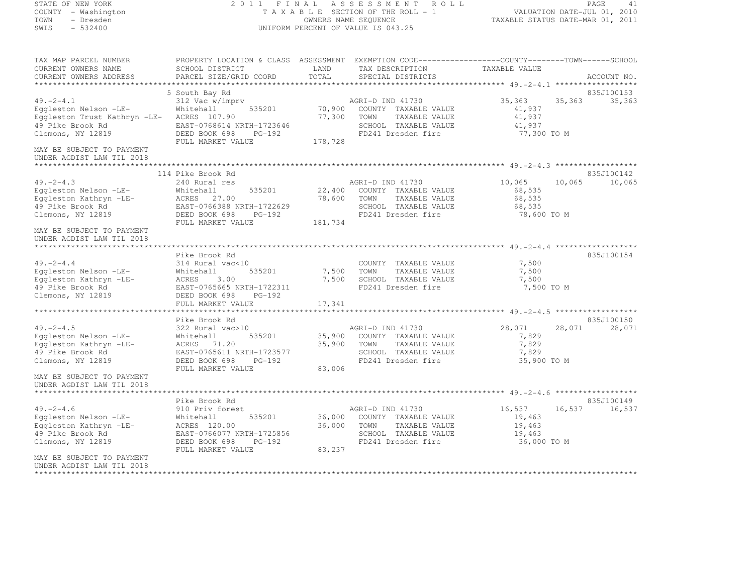STATE OF NEW YORK 2 0 1 1 F I N A L A S S E S S M E N T R O L L PAGE <sup>41</sup> COUNTY - Washington T A X A B L E SECTION OF THE ROLL - 1 VALUATION DATE-JUL 01, 2010 TOWN - Dresden OWNERS NAME SEQUENCE TAXABLE STATUS DATE-MAR 01, 2011<br>- TRESDEN ON THE SEQUENCE TO A SECUENCE TO BE SERVED ON THE SEQUENCE OF SEXUE OF THE STATUS DATE MAR 01, 2011 SWIS - 532400 UNIFORM PERCENT OF VALUE IS 043.25 TAX MAP PARCEL NUMBER PROPERTY LOCATION & CLASS ASSESSMENT EXEMPTION CODE------------------COUNTY--------TOWN------SCHOOL CURRENT OWNERS NAME<br>
CURRENT OWNERS NAME SCHOOL DISTRICT COORD TAX DESCRIPTION TAXABLE VALUE<br>
CURRENT OWNERS ADDRESS PARCEL SIZE/GRID COORD TOTAL SPECIAL DISTRICTS CURRENT OWNERS ADDRESS PARCEL SIZE/GRID COORD TOTAL SPECIAL DISTRICTS ACCOUNT NO. \*\*\*\*\*\*\*\*\*\*\*\*\*\*\*\*\*\*\*\*\*\*\*\*\*\*\*\*\*\*\*\*\*\*\*\*\*\*\*\*\*\*\*\*\*\*\*\*\*\*\*\*\*\*\*\*\*\*\*\*\*\*\*\*\*\*\*\*\*\*\*\*\*\*\*\*\*\*\*\*\*\*\*\*\*\*\*\*\*\*\*\*\*\*\*\*\*\*\*\*\*\*\* 49.-2-4.1 \*\*\*\*\*\*\*\*\*\*\*\*\*\*\*\*\*\* 5 South Bay Rd 835J100153 49.-2-4.1 312 Vac w/imprv AGRI-D IND 41730 35,363 35,363 35,363 Eggleston Nelson -LE- Whitehall 535201 70,900 COUNTY TAXABLE VALUE 41,937 Eggleston Trust Kathryn -LE- ACRES 107.90 77,300 TOWN TAXABLE VALUE 41,937 49 Pike Brook Rd EAST-0768614 NRTH-1723646 SCHOOL TAXABLE VALUE 41,937 Clemons, NY 12819 DEED BOOK 698 PG-192 FD241 Dresden fire 77,300 TO M FULL MARKET VALUE 178,728 MAY BE SUBJECT TO PAYMENT UNDER AGDIST LAW TIL 2018 \*\*\*\*\*\*\*\*\*\*\*\*\*\*\*\*\*\*\*\*\*\*\*\*\*\*\*\*\*\*\*\*\*\*\*\*\*\*\*\*\*\*\*\*\*\*\*\*\*\*\*\*\*\*\*\*\*\*\*\*\*\*\*\*\*\*\*\*\*\*\*\*\*\*\*\*\*\*\*\*\*\*\*\*\*\*\*\*\*\*\*\*\*\*\*\*\*\*\*\*\*\*\* 49.-2-4.3 \*\*\*\*\*\*\*\*\*\*\*\*\*\*\*\*\*\* 114 Pike Brook Rd 835J100142 49.-2-4.3 240 Rural res AGRI-D IND 41730 10,065 10,065 10,065 Eggleston Nelson -LE- Whitehall 535201 22,400 COUNTY TAXABLE VALUE 68,535 Eggleston Kathryn -LE- ACRES 27.00 78,600 TOWN TAXABLE VALUE 68,535 49 Pike Brook Rd EAST-0766388 NRTH-1722629 SCHOOL TAXABLE VALUE 68,535 Clemons, NY 12819 DEED BOOK 698 PG-192 FD241 Dresden fire 78,600 TO M FULL MARKET VALUE 181,734 MAY BE SUBJECT TO PAYMENT UNDER AGDIST LAW TIL 2018 \*\*\*\*\*\*\*\*\*\*\*\*\*\*\*\*\*\*\*\*\*\*\*\*\*\*\*\*\*\*\*\*\*\*\*\*\*\*\*\*\*\*\*\*\*\*\*\*\*\*\*\*\*\*\*\*\*\*\*\*\*\*\*\*\*\*\*\*\*\*\*\*\*\*\*\*\*\*\*\*\*\*\*\*\*\*\*\*\*\*\*\*\*\*\*\*\*\*\*\*\*\*\* 49.-2-4.4 \*\*\*\*\*\*\*\*\*\*\*\*\*\*\*\*\*\*835J100154 Pike Brook Rd 835J10015449.-2-4.4 314 Rural vac<10 COUNTY TAXABLE VALUE 7,500 Eggleston Nelson -LE- Whitehall 535201 7,500 TOWN TAXABLE VALUE 7,500 Eggleston Kathryn -LE- ACRES 3.00 7,500 SCHOOL TAXABLE VALUE 7,500 49 Pike Brook Rd EAST-0765665 NRTH-1722311 FD241 Dresden fire 7,500 TO M Clemons, NY 12819 DEED BOOK 698 PG-192 FULL MARKET VALUE 17,341 \*\*\*\*\*\*\*\*\*\*\*\*\*\*\*\*\*\*\*\*\*\*\*\*\*\*\*\*\*\*\*\*\*\*\*\*\*\*\*\*\*\*\*\*\*\*\*\*\*\*\*\*\*\*\*\*\*\*\*\*\*\*\*\*\*\*\*\*\*\*\*\*\*\*\*\*\*\*\*\*\*\*\*\*\*\*\*\*\*\*\*\*\*\*\*\*\*\*\*\*\*\*\* 49.-2-4.5 \*\*\*\*\*\*\*\*\*\*\*\*\*\*\*\*\*\* Pike Brook Rd 835J100150 49.-2-4.5 322 Rural vac>10 AGRI-D IND 41730 28,071 28,071 28,071 Eggleston Nelson -LE- Whitehall 535201 35,900 COUNTY TAXABLE VALUE 7,829 Eggleston Kathryn -LE- ACRES 71.20 35,900 TOWN TAXABLE VALUE 7,829 49 Pike Brook Rd EAST-0765611 NRTH-1723577 SCHOOL TAXABLE VALUE 7,829 Clemons, NY 12819 DEED BOOK 698 PG-192 FD241 Dresden fire 35,900 TO M FULL MARKET VALUE 83,006 MAY BE SUBJECT TO PAYMENT UNDER AGDIST LAW TIL 2018 \*\*\*\*\*\*\*\*\*\*\*\*\*\*\*\*\*\*\*\*\*\*\*\*\*\*\*\*\*\*\*\*\*\*\*\*\*\*\*\*\*\*\*\*\*\*\*\*\*\*\*\*\*\*\*\*\*\*\*\*\*\*\*\*\*\*\*\*\*\*\*\*\*\*\*\*\*\*\*\*\*\*\*\*\*\*\*\*\*\*\*\*\*\*\*\*\*\*\*\*\*\*\* 49.-2-4.6 \*\*\*\*\*\*\*\*\*\*\*\*\*\*\*\*\*\*Pike Brook Rd<br>16,537 16,537 16,537 16,537 16,537 16,537 16,537 16,537 16,537 16,537 16,537 16,537 16,537 16,537 16,537 16,53 Eggleston Nelson -LE- Whitehall 535201 36,000 COUNTY TAXABLE VALUE 19,463 Eggleston Kathryn -LE- ACRES 120.00 36,000 TOWN TAXABLE VALUE 19,463 49 Pike Brook Rd EAST-0766077 NRTH-1725856 SCHOOL TAXABLE VALUE 19,463 Clemons, NY 12819 DEED BOOK 698 PG-192 FD241 Dresden fire 36,000 TO M FULL MARKET VALUE 83,237 MAY BE SUBJECT TO PAYMENTUNDER AGDIST LAW TIL 2018

\*\*\*\*\*\*\*\*\*\*\*\*\*\*\*\*\*\*\*\*\*\*\*\*\*\*\*\*\*\*\*\*\*\*\*\*\*\*\*\*\*\*\*\*\*\*\*\*\*\*\*\*\*\*\*\*\*\*\*\*\*\*\*\*\*\*\*\*\*\*\*\*\*\*\*\*\*\*\*\*\*\*\*\*\*\*\*\*\*\*\*\*\*\*\*\*\*\*\*\*\*\*\*\*\*\*\*\*\*\*\*\*\*\*\*\*\*\*\*\*\*\*\*\*\*\*\*\*\*\*\*\*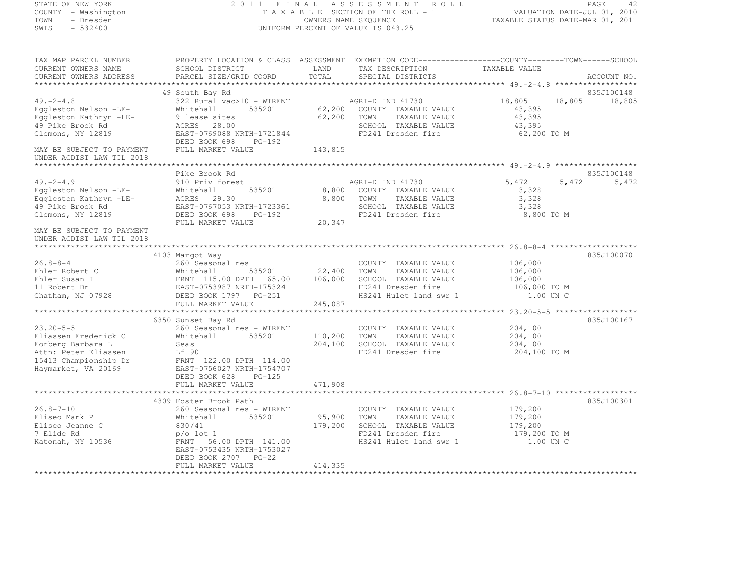# STATE OF NEW YORK 2 0 1 1 F I N A L A S S E S S M E N T R O L L PAGE <sup>42</sup> COUNTY - Washington T A X A B L E SECTION OF THE ROLL - 1 VALUATION DATE-JUL 01, 2010 TOWN - Dresden OWNERS NAME SEQUENCE TAXABLE STATUS DATE-MAR 01, 2011<br>- TRESDEN ON THE SEQUENCE TO A SECUENCE TO BE SERVED ON THE SEQUENCE OF SEXUE OF THE STATUS DATE MAR 01, 2011 SWIS - 532400 UNIFORM PERCENT OF VALUE IS 043.25

| TAX MAP PARCEL NUMBER                                  | PROPERTY LOCATION & CLASS ASSESSMENT EXEMPTION CODE-----------------COUNTY-------TOWN------SCHOOL               |         |                             |                  |             |
|--------------------------------------------------------|-----------------------------------------------------------------------------------------------------------------|---------|-----------------------------|------------------|-------------|
| CURRENT OWNERS NAME                                    | SCHOOL DISTRICT                                                                                                 | LAND    | TAX DESCRIPTION             | TAXABLE VALUE    |             |
| CURRENT OWNERS ADDRESS                                 | PARCEL SIZE/GRID COORD                                                                                          | TOTAL   | SPECIAL DISTRICTS           |                  | ACCOUNT NO. |
|                                                        |                                                                                                                 |         |                             |                  |             |
|                                                        | 49 South Bay Rd                                                                                                 |         |                             |                  | 835J100148  |
| $49. -2 - 4.8$                                         | 322 Rural vac>10 - WTRFNT<br>Whitehall                                                                          |         | AGRI-D IND 41730            | 18,805<br>18,805 | 18,805      |
| Eggleston Nelson -LE-                                  | 535201                                                                                                          |         | 62,200 COUNTY TAXABLE VALUE | 43,395           |             |
| Eqqleston Kathryn -LE-                                 | 9 lease sites                                                                                                   | 62,200  | TOWN<br>TAXABLE VALUE       | 43,395           |             |
| 49 Pike Brook Rd                                       | ACRES 28.00                                                                                                     |         | SCHOOL TAXABLE VALUE        | 43,395           |             |
| Clemons, NY 12819                                      | EAST-0769088 NRTH-1721844<br>DEED BOOK 698<br>PG-192                                                            |         | FD241 Dresden fire          | 62,200 TO M      |             |
| MAY BE SUBJECT TO PAYMENT<br>UNDER AGDIST LAW TIL 2018 | FULL MARKET VALUE                                                                                               | 143,815 |                             |                  |             |
|                                                        |                                                                                                                 |         |                             |                  |             |
|                                                        | Pike Brook Rd                                                                                                   |         |                             |                  | 835J100148  |
| $49. -2 - 4.9$                                         | 910 Priv forest                                                                                                 |         | AGRI-D IND 41730            | 5,472<br>5,472   | 5,472       |
|                                                        | Whitehall<br>535201                                                                                             |         | 8,800 COUNTY TAXABLE VALUE  | 3,328            |             |
| Eggleston Nelson -LE-<br>Eggleston Kathryn -LE-        | ACRES 29.30                                                                                                     | 8,800   | TOWN<br>TAXABLE VALUE       | 3,328            |             |
| 49 Pike Brook Rd                                       | EAST-0767053 NRTH-1723361                                                                                       |         | SCHOOL TAXABLE VALUE        | 3,328            |             |
| Clemons, NY 12819                                      | DEED BOOK 698<br>PG-192                                                                                         |         | FD241 Dresden fire          | 8,800 TO M       |             |
|                                                        | FULL MARKET VALUE                                                                                               | 20,347  |                             |                  |             |
| MAY BE SUBJECT TO PAYMENT<br>UNDER AGDIST LAW TIL 2018 |                                                                                                                 |         |                             |                  |             |
|                                                        |                                                                                                                 |         |                             |                  |             |
|                                                        | 4103 Margot Way                                                                                                 |         |                             |                  | 835J100070  |
| $26.8 - 8 - 4$                                         | 260 Seasonal res                                                                                                |         | COUNTY TAXABLE VALUE        | 106,000          |             |
| Ehler Robert C                                         |                                                                                                                 |         | TAXABLE VALUE<br>TOWN       | 106,000          |             |
| Ehler Susan I                                          |                                                                                                                 |         | SCHOOL TAXABLE VALUE        | 106,000          |             |
| 11 Robert Dr                                           | Whitehall 535201 22,400<br>FRNT 115.00 DPTH 65.00 106,000<br>EAST-0753987 NRTH-1753241<br>DEED BOOK 1797 PG-251 |         | FD241 Dresden fire          | 106,000 TO M     |             |
| Chatham, NJ 07928                                      |                                                                                                                 |         | HS241 Hulet land swr 1      | 1.00 UN C        |             |
|                                                        | FULL MARKET VALUE                                                                                               | 245,087 |                             |                  |             |
|                                                        |                                                                                                                 |         |                             |                  |             |
|                                                        | 6350 Sunset Bay Rd                                                                                              |         |                             |                  | 835J100167  |
| $23.20 - 5 - 5$                                        | 260 Seasonal res - WTRFNT                                                                                       |         | COUNTY TAXABLE VALUE        | 204,100          |             |
| Eliassen Frederick C                                   | 535201<br>Whitehall                                                                                             | 110,200 | TOWN<br>TAXABLE VALUE       | 204,100          |             |
| Forberg Barbara L                                      | Seas                                                                                                            | 204,100 | SCHOOL TAXABLE VALUE        | 204,100          |             |
| Attn: Peter Eliassen                                   | Lf 90                                                                                                           |         | FD241 Dresden fire          | 204,100 TO M     |             |
| 15413 Championship Dr                                  | FRNT 122.00 DPTH 114.00                                                                                         |         |                             |                  |             |
| Haymarket, VA 20169                                    | EAST-0756027 NRTH-1754707                                                                                       |         |                             |                  |             |
|                                                        | DEED BOOK 628<br>PG-125                                                                                         |         |                             |                  |             |
|                                                        | FULL MARKET VALUE                                                                                               | 471,908 |                             |                  |             |
|                                                        |                                                                                                                 |         |                             |                  |             |
|                                                        | 4309 Foster Brook Path                                                                                          |         |                             |                  | 835J100301  |
| $26.8 - 7 - 10$                                        | 260 Seasonal res - WTRFNT                                                                                       |         | COUNTY TAXABLE VALUE        | 179,200          |             |
| Eliseo Mark P                                          | 535201<br>Whitehall                                                                                             | 95,900  | TOWN<br>TAXABLE VALUE       | 179,200          |             |
| Eliseo Jeanne C                                        | 830/41                                                                                                          | 179,200 | SCHOOL TAXABLE VALUE        | 179,200          |             |
| 7 Elide Rd                                             | $p/\circ$ lot 1                                                                                                 |         | FD241 Dresden fire          | 179,200 TO M     |             |
| Katonah, NY 10536                                      | 141.00 FRNT 56.00 DPTH<br>FRNT 56.00 DPTH 141.00                                                                |         | HS241 Hulet land swr 1      | 1.00 UN C        |             |
|                                                        | EAST-0753435 NRTH-1753027                                                                                       |         |                             |                  |             |
|                                                        | DEED BOOK 2707 PG-22                                                                                            |         |                             |                  |             |
|                                                        | FULL MARKET VALUE                                                                                               | 414,335 |                             |                  |             |
|                                                        |                                                                                                                 |         |                             |                  |             |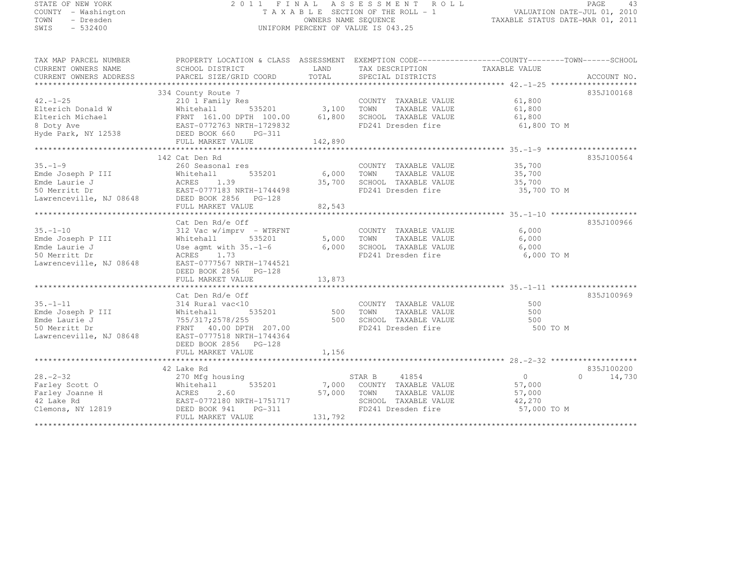# STATE OF NEW YORK 2 0 1 1 F I N A L A S S E S S M E N T R O L L PAGE <sup>43</sup> COUNTY - Washington T A X A B L E SECTION OF THE ROLL - 1 VALUATION DATE-JUL 01, 2010 TOWN - Dresden OWNERS NAME SEQUENCE TAXABLE STATUS DATE-MAR 01, 2011<br>- TRESDEN ON THE SEQUENCE TO A SECUENCE TO BE SERVED ON THE SEQUENCE OF SEXUE OF THE STATUS DATE MAR 01, 2011 SWIS - 532400 UNIFORM PERCENT OF VALUE IS 043.25

| TAX MAP PARCEL NUMBER<br>CURRENT OWNERS NAME<br>CURRENT OWNERS ADDRESS                                                                                                                                                                                                                                                                                                                                                         | PROPERTY LOCATION & CLASS ASSESSMENT EXEMPTION CODE-----------------COUNTY-------TOWN------SCHOOL<br>SCHOOL DISTRICT     |         | LAND TAX DESCRIPTION TAXABLE VALUE<br>COORD TOTAL SPECIAL DISTRICTS                                                                                      |                                         |               |
|--------------------------------------------------------------------------------------------------------------------------------------------------------------------------------------------------------------------------------------------------------------------------------------------------------------------------------------------------------------------------------------------------------------------------------|--------------------------------------------------------------------------------------------------------------------------|---------|----------------------------------------------------------------------------------------------------------------------------------------------------------|-----------------------------------------|---------------|
| Elterich Donald W (210 1 Family Res (210 1 Family Res (210 1 Family Res (210 1 Family Res (210 1 Family Res (210 1 Family Res (210 1 Family Res (210 1 Family Res (210 1 Family Res (210 1 Family Res (210 1 Family Res (210 2                                                                                                                                                                                                 |                                                                                                                          |         | FD241 Dresden fire 61,800 TO M                                                                                                                           |                                         | 835J100168    |
|                                                                                                                                                                                                                                                                                                                                                                                                                                | 142 Cat Den Rd                                                                                                           |         |                                                                                                                                                          |                                         | 835J100564    |
| $35. - 1 - 9$<br>Emde Joseph P III Whitehall 535201<br>Emde Laurie J ACRES 1.39<br>50 Merritt Dr EAST-0777183 NRTH-1744498<br>Lawrenceville, NJ 08648 DEED BOOK 2856 PG-128<br>FUIL MARKET VALUE                                                                                                                                                                                                                               | 260 Seasonal res                                                                                                         |         | COUNTY TAXABLE VALUE 35,700<br>535201 6,000 TOWN TAXABLE VALUE 35,700<br>35,700 SCHOOL TAXABLE VALUE 35,700<br>TH-1744498 FD241 Dresden fire 35,700 TO M |                                         |               |
|                                                                                                                                                                                                                                                                                                                                                                                                                                | Cat Den Rd/e Off                                                                                                         |         |                                                                                                                                                          |                                         | 835J100966    |
| $35. - 1 - 10$<br>Emde Joseph P III Whitehall<br>Emde Laurie J<br>50 Merritt Dr<br>Lawrenceville, NJ 08648 EAST-0777567 NRTH-1744521                                                                                                                                                                                                                                                                                           | 312 Vac w/imprv - WTRFNT<br>$535201$ 5,000 TOWN<br>Use agnt with $35. -1-6$ 6,000<br>ACRES 1.73<br>DEED BOOK 2856 PG-128 |         | COUNTY TAXABLE VALUE<br>TAXABLE VALUE                                                                                                                    | 6,000<br>6,000                          |               |
|                                                                                                                                                                                                                                                                                                                                                                                                                                |                                                                                                                          |         |                                                                                                                                                          |                                         |               |
| 35.-1-11 314 Rural vac<10<br>Emde Joseph P III 814 Rural vac<10<br>Emde Laurie J 755/317;2578/255 500<br>500 Merritt Dr FRNT 40.00 DPTH 207.00<br>Lawrenceville, NJ 08648 EAST-0777518 NRTH-1744364                                                                                                                                                                                                                            | Cat Den Rd/e Off<br>DEED BOOK 2856 PG-128                                                                                |         | VCOUNTY TAXABLE VALUE<br>vac<10 535201 500 TOWN TAXABLE VALUE 578/255 500 500 SCHOOL TAXABLE VALUE 500 500<br>FD241 Dresden fire                         | 500 TO M                                | 835J100969    |
|                                                                                                                                                                                                                                                                                                                                                                                                                                | FULL MARKET VALUE                                                                                                        | 1, 156  |                                                                                                                                                          |                                         |               |
|                                                                                                                                                                                                                                                                                                                                                                                                                                | 42 Lake Rd                                                                                                               |         |                                                                                                                                                          |                                         | 835J100200    |
| $\begin{tabular}{lllllllllllllllllll} \begin{tabular}{l} \bf 28.-2-32 & \tt 270~Mfg \; housing & \tt Starley & \tt S7AR & B \\ \bf Farley & \tt Scott & \tt Whitehall & \tt 535201 & \tt 7,000 & \tt COUNT\\ \bf Farley \; Joanne \; H & \tt ACKES & \tt 2.60 & \tt 57,000 & \tt TOWN \\ \tt 42 \; Lake \; Rd & \tt EAST-0772180 \; NRTH-1751717 & \tt 57,000 & \tt TOWN \\ \tt Clemons, \; NY \; 12819 & \tt DCED \; BOOK \;$ | FULL MARKET VALUE                                                                                                        | 131,792 | STAR B 41854<br>$\frac{535201}{7,000}$ 7,000 COUNTY TAXABLE VALUE 57,000<br>TAXABLE VALUE 57,000<br>SCHOOL TAXABLE VALUE<br>FD241 Dresden fire           | $\overline{0}$<br>42,270<br>57,000 TO M | $0 \t 14,730$ |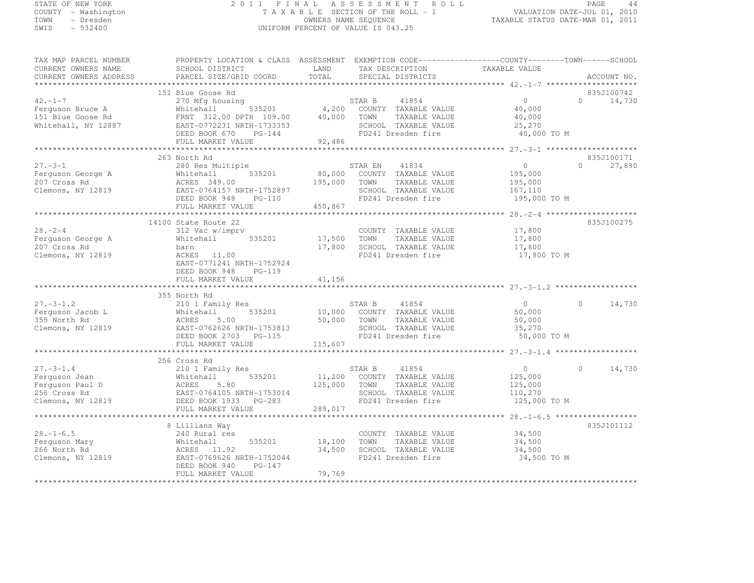# STATE OF NEW YORK 2 0 1 1 F I N A L A S S E S S M E N T R O L L PAGE <sup>44</sup> COUNTY - Washington T A X A B L E SECTION OF THE ROLL - 1 VALUATION DATE-JUL 01, 2010 TOWN - Dresden OWNERS NAME SEQUENCE TAXABLE STATUS DATE-MAR 01, 2011<br>- TRESDEN ON THE SEQUENCE TO A SECUENCE TO BE SERVED ON THE SEQUENCE OF SEXUE OF THE STATUS DATE MAR 01, 2011 SWIS - 532400 UNIFORM PERCENT OF VALUE IS 043.25

| TAX MAP PARCEL NUMBER                                | PROPERTY LOCATION & CLASS ASSESSMENT EXEMPTION CODE-----------------COUNTY-------TOWN------SCHOOL |               |                                                                         |                       |          |             |
|------------------------------------------------------|---------------------------------------------------------------------------------------------------|---------------|-------------------------------------------------------------------------|-----------------------|----------|-------------|
| CURRENT OWNERS NAME                                  | SCHOOL DISTRICT                                                                                   | LAND<br>TOTAL | TAX DESCRIPTION                                                         | TAXABLE VALUE         |          |             |
| CURRENT OWNERS ADDRESS                               | PARCEL SIZE/GRID COORD                                                                            |               | SPECIAL DISTRICTS                                                       |                       |          | ACCOUNT NO. |
|                                                      |                                                                                                   |               |                                                                         |                       |          |             |
|                                                      | 151 Blue Goose Rd                                                                                 |               |                                                                         | $\Omega$              | $\Omega$ | 835J100742  |
| $42. -1 - 7$                                         | 270 Mfg housing                                                                                   |               | STAR B<br>41854                                                         |                       |          | 14,730      |
| Ferquson Bruce A                                     | Whitehall                                                                                         |               |                                                                         | 40,000                |          |             |
| 151 Blue Goose Rd                                    | FRNT 312.00 DPTH 109.00                                                                           |               | TAXABLE VALUE                                                           | 40,000                |          |             |
| Whitehall, NY 12887                                  | EAST-0772231 NRTH-1733353                                                                         |               | SCHOOL TAXABLE VALUE<br>FD241 Dresden fire                              | 25,270<br>40,000 TO M |          |             |
|                                                      | DEED BOOK 670 PG-144                                                                              |               |                                                                         |                       |          |             |
|                                                      | FULL MARKET VALUE                                                                                 | 92,486        |                                                                         |                       |          |             |
|                                                      |                                                                                                   |               |                                                                         |                       |          |             |
| $27. - 3 - 1$                                        | 263 North Rd                                                                                      |               |                                                                         | $\overline{0}$        | $\Omega$ | 835J100171  |
|                                                      | 280 Res Multiple                                                                                  |               | STAR EN 41834<br>80,000 COUNTY TAXABLE VALUE                            |                       |          | 27,890      |
| Ferguson George A                                    | 535201<br>Whitehall                                                                               |               |                                                                         | 195,000               |          |             |
| 207 Cross Rd                                         |                                                                                                   |               |                                                                         | 195,000               |          |             |
| Clemons, NY 12819                                    |                                                                                                   |               | SCHOOL TAXABLE VALUE                                                    | 167,110               |          |             |
|                                                      | DEED BOOK 948 PG-110                                                                              |               | FD241 Dresden fire                                                      | 195,000 TO M          |          |             |
|                                                      | FULL MARKET VALUE                                                                                 | 450,867       |                                                                         |                       |          |             |
|                                                      |                                                                                                   |               |                                                                         |                       |          |             |
|                                                      | 14100 State Route 22                                                                              |               |                                                                         |                       |          | 835J100275  |
| $28 - 2 - 4$                                         | 312 Vac w/imprv                                                                                   |               | COUNTY TAXABLE VALUE                                                    | 17,800                |          |             |
| Ferguson George A                                    | Whitehall 535201                                                                                  | 17,500 TOWN   | TAXABLE VALUE                                                           | 17,800                |          |             |
| 207 Cross Rd                                         | barn                                                                                              |               | 17,800 SCHOOL TAXABLE VALUE                                             | 17,800                |          |             |
| Clemons, NY 12819                                    | ACRES 11.00                                                                                       |               | FD241 Dresden fire                                                      | 17,800 TO M           |          |             |
|                                                      | EAST-0771241 NRTH-1752924                                                                         |               |                                                                         |                       |          |             |
|                                                      | DEED BOOK 948 PG-119                                                                              |               |                                                                         |                       |          |             |
|                                                      | FULL MARKET VALUE                                                                                 | 41, 156       |                                                                         |                       |          |             |
|                                                      |                                                                                                   |               |                                                                         |                       |          |             |
|                                                      | Extern Rd<br>210 1 Family Res<br>Whitehall 5352<br>ACRES 5.00<br>EAST-0760600                     |               |                                                                         |                       |          |             |
| $27. - 3 - 1.2$                                      |                                                                                                   |               | STAR B<br>41854                                                         | $\overline{0}$        | $\Omega$ | 14,730      |
| Ferquson Jacob L                                     | 535201                                                                                            |               | 10,000 COUNTY TAXABLE VALUE                                             | 50,000                |          |             |
| 355 North Rd                                         |                                                                                                   |               |                                                                         | 50,000                |          |             |
| Clemons, NY 12819                                    | EAST-0762626 NRTH-1753813                                                                         |               | 50,000 TOWN TAXABLE VALUE<br>SCHOOL TAXABLE VALUE<br>FD241 Dresden fire | 35,270                |          |             |
|                                                      | DEED BOOK 2703 PG-115                                                                             |               | FD241 Dresden fire                                                      | 50,000 TO M           |          |             |
|                                                      | FULL MARKET VALUE                                                                                 | 115,607       |                                                                         |                       |          |             |
|                                                      |                                                                                                   |               |                                                                         |                       |          |             |
|                                                      | 256 Cross Rd                                                                                      |               |                                                                         |                       |          |             |
| $27. -3 - 1.4$                                       | 210 1 Family Res                                                                                  |               | STAR B 41854                                                            | 0                     | $\Omega$ | 14,730      |
| Ferguson Jean                                        | 535201<br>Whitehall<br>Whiteha<br>ACRES                                                           |               | 11,200 COUNTY TAXABLE VALUE                                             | 125,000               |          |             |
| Ferguson Paul D<br>256 Cross Rd<br>Clemons, NY 12819 | 5.80                                                                                              |               | 125,000 TOWN TAXABLE VALUE                                              | 125,000               |          |             |
|                                                      | EAST-0764105 NRTH-1753014                                                                         |               | SCHOOL TAXABLE VALUE                                                    | 110,270               |          |             |
|                                                      | DEED BOOK 1933 PG-283                                                                             |               | FD241 Dresden fire                                                      | 125,000 TO M          |          |             |
|                                                      | FULL MARKET VALUE                                                                                 | 289,017       |                                                                         |                       |          |             |
|                                                      |                                                                                                   |               |                                                                         |                       |          |             |
|                                                      | 8 Lillians Way                                                                                    |               |                                                                         |                       |          | 835J101112  |
| $28. - 1 - 6.5$                                      | 240 Rural res                                                                                     |               | COUNTY TAXABLE VALUE                                                    | 34,500                |          |             |
| Ferquson Mary                                        | Whitehall<br>535201                                                                               | 18,100        | TOWN<br>TAXABLE VALUE                                                   | 34,500                |          |             |
| 266 North Rd                                         | ACRES 11.92                                                                                       | 34,500        | SCHOOL TAXABLE VALUE                                                    | 34,500                |          |             |
| Clemons, NY 12819                                    | EAST-0769626 NRTH-1752044                                                                         |               | FD241 Dresden fire                                                      | 34,500 TO M           |          |             |
|                                                      | DEED BOOK 940<br>PG-147                                                                           |               |                                                                         |                       |          |             |
|                                                      | FULL MARKET VALUE                                                                                 | 79,769        |                                                                         |                       |          |             |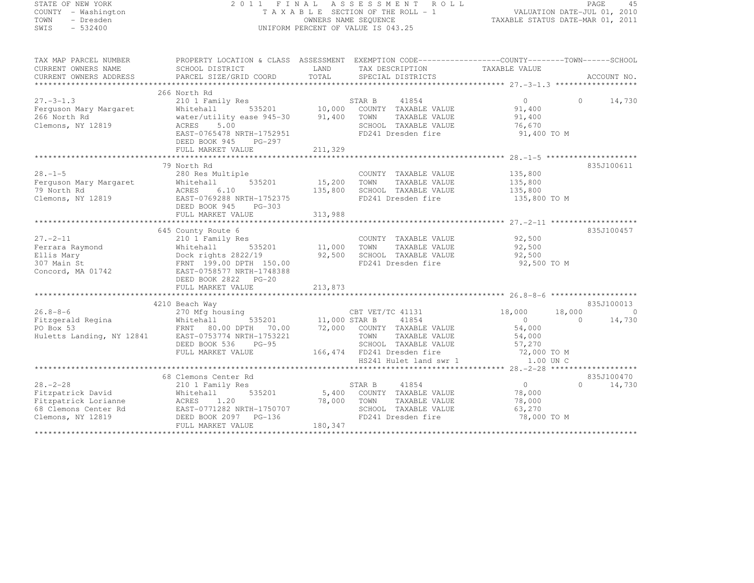# STATE OF NEW YORK 2 0 1 1 F I N A L A S S E S S M E N T R O L L PAGE <sup>45</sup> COUNTY - Washington T A X A B L E SECTION OF THE ROLL - 1 VALUATION DATE-JUL 01, 2010 TOWN - Dresden OWNERS NAME SEQUENCE TAXABLE STATUS DATE-MAR 01, 2011<br>- TRESDEN ON THE SEQUENCE TO A SECUENCE TO BE SERVED ON THE SEQUENCE OF SEXUE OF THE STATUS DATE MAR 01, 2011 SWIS - 532400 UNIFORM PERCENT OF VALUE IS 043.25

TAX MAP PARCEL NUMBER PROPERTY LOCATION & CLASS ASSESSMENT EXEMPTION CODE------------------COUNTY--------TOWN------SCHOOL

| CURRENT OWNERS NAME<br>CURRENT OWNERS ADDRESS                                                            | SCHOOL DISTRICT<br>PARCEL SIZE/GRID COORD                                                                                                                                                           | LAND<br>TOTAL                     | TAX DESCRIPTION<br>SPECIAL DISTRICTS                                                                                                                                          | TAXABLE VALUE                                                             | ACCOUNT NO.                         |
|----------------------------------------------------------------------------------------------------------|-----------------------------------------------------------------------------------------------------------------------------------------------------------------------------------------------------|-----------------------------------|-------------------------------------------------------------------------------------------------------------------------------------------------------------------------------|---------------------------------------------------------------------------|-------------------------------------|
|                                                                                                          |                                                                                                                                                                                                     |                                   |                                                                                                                                                                               |                                                                           |                                     |
|                                                                                                          | 266 North Rd                                                                                                                                                                                        |                                   |                                                                                                                                                                               |                                                                           |                                     |
| $27. - 3 - 1.3$<br>Ferguson Mary Margaret<br>266 North Rd<br>Clemons, NY 12819                           | 210 1 Family Res<br>535201 10,000<br>ity ease 945-30 91,400<br>Whitehall<br>water/utility ease 945-30<br>5.00<br>ACRES<br>EAST-0765478 NRTH-1752951<br>DEED BOOK 945<br>PG-297<br>FULL MARKET VALUE | 211,329                           | 41854<br>STAR B<br>COUNTY TAXABLE VALUE<br>TOWN<br>TAXABLE VALUE<br>SCHOOL TAXABLE VALUE<br>FD241 Dresden fire                                                                | $\circ$<br>91,400<br>91,400<br>76,670<br>91,400 TO M                      | 14,730<br>$\Omega$                  |
|                                                                                                          |                                                                                                                                                                                                     |                                   |                                                                                                                                                                               |                                                                           |                                     |
| $28 - 1 - 5$<br>Ferquson Mary Margaret<br>79 North Rd<br>Clemons, NY 12819                               | 79 North Rd<br>280 Res Multiple<br>535201<br>Whitehall<br>6.10<br>ACRES<br>EAST-0769288 NRTH-1752375<br>DEED BOOK 945<br>PG-303<br>FULL MARKET VALUE                                                | 15,200 TOWN<br>135,800<br>313,988 | COUNTY TAXABLE VALUE<br>TAXABLE VALUE<br>SCHOOL TAXABLE VALUE<br>FD241 Dresden fire                                                                                           | 135,800<br>135,800<br>135,800<br>135,800 TO M                             | 835J100611                          |
|                                                                                                          | 645 County Route 6                                                                                                                                                                                  |                                   |                                                                                                                                                                               |                                                                           | 835J100457                          |
| $27. - 2 - 11$<br>Ferrara Raymond<br>Ellis Mary<br>307 Main St<br>Concord, MA 01742                      | 210 1 Family Res<br>535201<br>Whitehall 5352<br>Dock rights 2822/19<br>FRNT 199.00 DPTH 150.00<br>EAST-0758577 NRTH-1748388<br>EAST-0758577 NRTH-1748388<br>DEED BOOK 2822 PG-20                    | 11,000<br>92,500                  | COUNTY TAXABLE VALUE<br>TAXABLE VALUE<br>TOWN<br>SCHOOL TAXABLE VALUE<br>FD241 Dresden fire                                                                                   | 92,500<br>92,500<br>92,500<br>92,500 TO M                                 |                                     |
|                                                                                                          |                                                                                                                                                                                                     |                                   |                                                                                                                                                                               |                                                                           | 835J100013                          |
| $26.8 - 8 - 6$                                                                                           | 4210 Beach Way<br>$\begin{tabular}{ll} \bf CBT & \tt VET/TC \\ \bf 535201 & 11,000 & \tt STAR & B \\ \end{tabular}$<br>270 Mfg housing<br>DEED BOOK 536<br>$PG-95$<br>FULL MARKET VALUE             |                                   | CBT VET/TC 41131<br>41854<br>72,000 COUNTY TAXABLE VALUE<br>TOWN<br>TAXABLE VALUE<br>SCHOOL TAXABLE VALUE<br>166,474 FD241 Dresden fire 72,000 TO M<br>HS241 Hulet land swr 1 | 18,000<br>18,000<br>$\bigcirc$<br>54,000<br>54,000<br>57,270<br>1.00 UN C | $\mathcal{C}$<br>$\Omega$<br>14,730 |
|                                                                                                          |                                                                                                                                                                                                     |                                   |                                                                                                                                                                               |                                                                           |                                     |
| $28. - 2 - 28$<br>Fitzpatrick David<br>Fitzpatrick Lorianne<br>68 Clemons Center Rd<br>Clemons, NY 12819 | 68 Clemons Center Rd<br>210 1 Family Res<br>Whitehall<br>1.20<br>ACRES<br>EAST-0771282 NRTH-1750707<br>DEED BOOK 2097 PG-136<br>FULL MARKET VALUE                                                   | 78,000 TOWN<br>SCHOOL<br>180,347  | 41854<br>STAR B<br>535201 5,400 COUNTY TAXABLE VALUE<br>TAXABLE VALUE<br>SCHOOL TAXABLE VALUE<br>FD241 Dresden fire                                                           | $\overline{0}$<br>78,000<br>78,000<br>63,270<br>78,000 TO M               | 835J100470<br>$\Omega$<br>14,730    |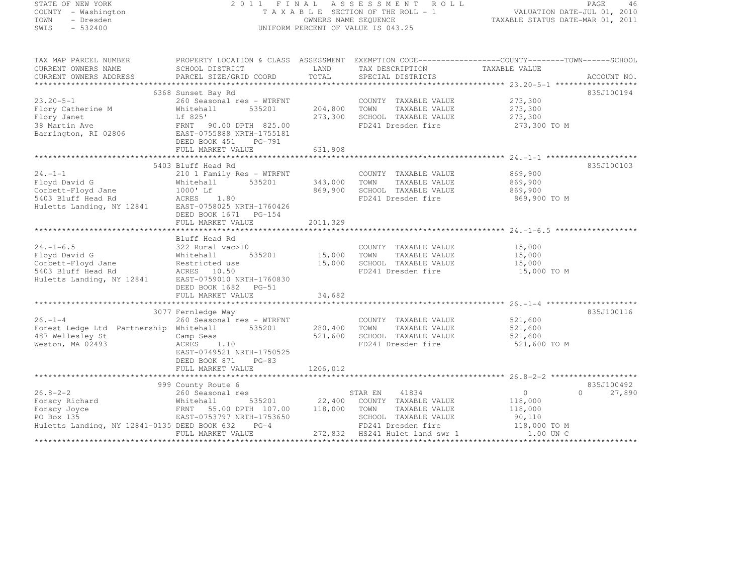# STATE OF NEW YORK 2 0 1 1 F I N A L A S S E S S M E N T R O L L PAGE <sup>46</sup> COUNTY - Washington T A X A B L E SECTION OF THE ROLL - 1 VALUATION DATE-JUL 01, 2010 TOWN - Dresden OWNERS NAME SEQUENCE TAXABLE STATUS DATE-MAR 01, 2011<br>- TRESDEN ON THE SEQUENCE TO A SECUENCE TO BE SERVED ON THE SEQUENCE OF SEXUE OF THE STATUS DATE MAR 01, 2011 SWIS - 532400 UNIFORM PERCENT OF VALUE IS 043.25

| TAX MAP PARCEL NUMBER                                                 | PROPERTY LOCATION & CLASS ASSESSMENT EXEMPTION CODE----------------COUNTY-------TOWN------SCHOOL |                    |                                                        |                        |                                  |
|-----------------------------------------------------------------------|--------------------------------------------------------------------------------------------------|--------------------|--------------------------------------------------------|------------------------|----------------------------------|
| CURRENT OWNERS NAME                                                   | SCHOOL DISTRICT                                                                                  | LAND               | TAX DESCRIPTION                                        | TAXABLE VALUE          |                                  |
| CURRENT OWNERS ADDRESS                                                | PARCEL SIZE/GRID COORD                                                                           | TOTAL              | SPECIAL DISTRICTS                                      |                        | ACCOUNT NO.                      |
|                                                                       | 6368 Sunset Bay Rd                                                                               |                    |                                                        |                        | 835J100194                       |
| $23.20 - 5 - 1$                                                       | 260 Seasonal res - WTRFNT                                                                        |                    | COUNTY TAXABLE VALUE 273,300                           |                        |                                  |
| Flory Catherine M                                                     | 535201<br>Whitehall                                                                              | 204,800            | TOWN<br>TAXABLE VALUE                                  | 273,300                |                                  |
| Flory Janet                                                           | Lf 825'                                                                                          |                    | 273,300 SCHOOL TAXABLE VALUE                           | 273,300                |                                  |
| 38 Martin Ave                                                         | FRNT 90.00 DPTH 825.00<br>FRNT 90.00 DPTH 825.00                                                 |                    | FD241 Dresden fire                                     | 273,300 TO M           |                                  |
| Barrington, RI 02806                                                  | EAST-0755888 NRTH-1755181                                                                        |                    |                                                        |                        |                                  |
|                                                                       | DEED BOOK 451 PG-791                                                                             |                    |                                                        |                        |                                  |
|                                                                       | FULL MARKET VALUE                                                                                | 631,908            |                                                        |                        |                                  |
|                                                                       |                                                                                                  |                    |                                                        |                        |                                  |
|                                                                       | 5403 Bluff Head Rd                                                                               |                    |                                                        |                        | 835J100103                       |
| $24. -1 - 1$                                                          | 210 1 Family Res - WTRFNT                                                                        |                    | COUNTY TAXABLE VALUE                                   | 869,900                |                                  |
| Floyd David G                                                         | 535201<br>Whitehall                                                                              | 343,000 TOWN       | TAXABLE VALUE                                          | 869,900                |                                  |
| Corbett-Floyd Jane                                                    | 1000' Lf<br>1000'Lt<br>ACRES 1.80                                                                |                    | 869,900 SCHOOL TAXABLE VALUE 869,900                   |                        |                                  |
| 5403 Bluff Head Rd                                                    |                                                                                                  |                    | FD241 Dresden fire                                     | 869,900 TO M           |                                  |
| Huletts Landing, NY 12841                                             | EAST-0758025 NRTH-1760426                                                                        |                    |                                                        |                        |                                  |
|                                                                       | DEED BOOK 1671 PG-154                                                                            |                    |                                                        |                        |                                  |
|                                                                       | FULL MARKET VALUE                                                                                | 2011,329           |                                                        |                        |                                  |
|                                                                       |                                                                                                  |                    |                                                        |                        |                                  |
|                                                                       | Bluff Head Rd                                                                                    |                    |                                                        |                        |                                  |
| $24. - 1 - 6.5$                                                       | 322 Rural vac>10                                                                                 |                    | COUNTY TAXABLE VALUE                                   | 15,000                 |                                  |
| Floyd David G                                                         | Whitehall                                                                                        | 535201 15,000 TOWN | TAXABLE VALUE                                          | 15,000                 |                                  |
|                                                                       | Restricted use                                                                                   |                    | 15,000 SCHOOL TAXABLE VALUE                            | 15,000                 |                                  |
|                                                                       | ACRES 10.50                                                                                      |                    | FD241 Dresden fire                                     | 15,000 TO M            |                                  |
| Corbett-Floyd Jane<br>5403 Bluff Head Rd<br>Huletts Landing, NY 12841 | EAST-0759010 NRTH-1760830                                                                        |                    |                                                        |                        |                                  |
|                                                                       | DEED BOOK 1682 PG-51                                                                             |                    |                                                        |                        |                                  |
|                                                                       |                                                                                                  |                    |                                                        |                        |                                  |
|                                                                       |                                                                                                  |                    |                                                        |                        |                                  |
|                                                                       | 3077 Fernledge Way                                                                               |                    |                                                        |                        | 835J100116                       |
| $26. - 1 - 4$                                                         | 260 Seasonal res - WTRFNT                                                                        |                    | COUNTY TAXABLE VALUE                                   | 521,600                |                                  |
| Forest Ledge Ltd Partnership Whitehall                                | 535201 280,400                                                                                   |                    | TOWN<br>TAXABLE VALUE                                  | 521,600                |                                  |
| 487 Wellesley St                                                      | Camp Seas                                                                                        | 521,600            | SCHOOL TAXABLE VALUE                                   | 521,600                |                                  |
| Weston, MA 02493                                                      | ACRES 1.10                                                                                       |                    | FD241 Dresden fire                                     | 521,600 TO M           |                                  |
|                                                                       | EAST-0749521 NRTH-1750525                                                                        |                    |                                                        |                        |                                  |
|                                                                       | DEED BOOK 871 PG-83                                                                              |                    |                                                        |                        |                                  |
|                                                                       | FULL MARKET VALUE                                                                                | 1206,012           |                                                        |                        |                                  |
|                                                                       |                                                                                                  |                    |                                                        |                        |                                  |
| $26.8 - 2 - 2$                                                        | 999 County Route 6                                                                               |                    |                                                        | $\overline{0}$         | 835J100492<br>$\Omega$<br>27,890 |
|                                                                       | 260 Seasonal res<br>Whitehall                                                                    |                    | 41834<br>STAR EN<br>535201 22,400 COUNTY TAXABLE VALUE | 118,000                |                                  |
| Forscy Richard<br>Forscy Joyce<br>PO Box 135                          | FRNT 55.00 DPTH 107.00 118,000                                                                   |                    | TOWN<br>TAXABLE VALUE                                  | 118,000                |                                  |
|                                                                       |                                                                                                  |                    |                                                        |                        |                                  |
| Huletts Landing, NY 12841-0135 DEED BOOK 632                          | EAST-0753797 NRTH-1753650<br>$PG-4$                                                              |                    | SCHOOL TAXABLE VALUE                                   | 90,110<br>118,000 TO M |                                  |
|                                                                       | FULL MARKET VALUE                                                                                |                    | FD241 Dresden fire<br>272,832 HS241 Hulet land swr 1   | 1.00 UN C              |                                  |
|                                                                       |                                                                                                  |                    |                                                        |                        |                                  |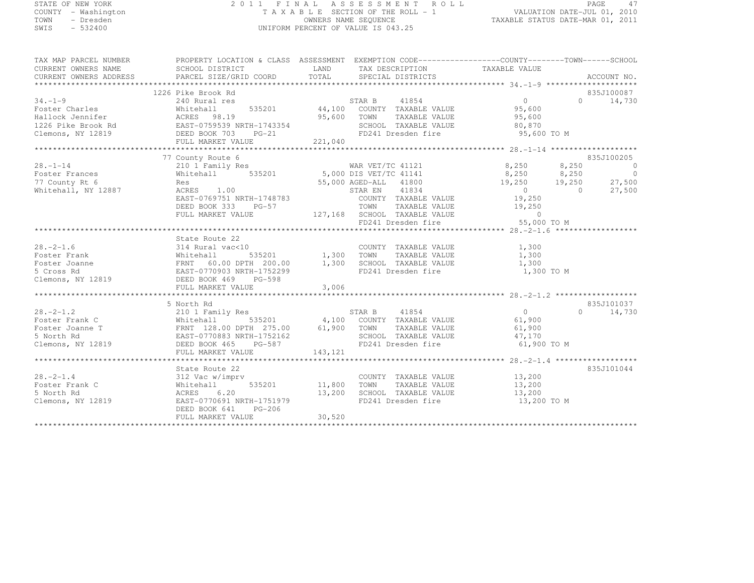# STATE OF NEW YORK 2 0 1 1 F I N A L A S S E S S M E N T R O L L PAGE <sup>47</sup> COUNTY - Washington T A X A B L E SECTION OF THE ROLL - 1 VALUATION DATE-JUL 01, 2010 TOWN - Dresden OWNERS NAME SEQUENCE TAXABLE STATUS DATE-MAR 01, 2011<br>- TRESDEN ON THE SEQUENCE TO A SECUENCE TO BE SERVED ON THE SEQUENCE OF SEXUE OF THE STATUS DATE MAR 01, 2011 SWIS - 532400 UNIFORM PERCENT OF VALUE IS 043.25

| TAX MAP PARCEL NUMBER | PROPERTY LOCATION & CLASS  ASSESSMENT  EXEMPTION CODE-----------------COUNTY-------TOWN------SCHOOL                                                                                                                                                                 |         |                                                          |             |               |
|-----------------------|---------------------------------------------------------------------------------------------------------------------------------------------------------------------------------------------------------------------------------------------------------------------|---------|----------------------------------------------------------|-------------|---------------|
|                       |                                                                                                                                                                                                                                                                     |         |                                                          |             |               |
|                       |                                                                                                                                                                                                                                                                     |         |                                                          |             |               |
|                       |                                                                                                                                                                                                                                                                     |         |                                                          |             |               |
|                       | 1226 Pike Brook Rd                                                                                                                                                                                                                                                  |         |                                                          |             | 835J100087    |
| $34. -1 - 9$          |                                                                                                                                                                                                                                                                     |         |                                                          |             | $0 \t 14,730$ |
|                       |                                                                                                                                                                                                                                                                     |         |                                                          |             |               |
|                       |                                                                                                                                                                                                                                                                     |         |                                                          |             |               |
|                       |                                                                                                                                                                                                                                                                     |         |                                                          |             |               |
|                       |                                                                                                                                                                                                                                                                     |         |                                                          |             |               |
|                       |                                                                                                                                                                                                                                                                     |         |                                                          |             |               |
|                       |                                                                                                                                                                                                                                                                     |         |                                                          |             |               |
|                       |                                                                                                                                                                                                                                                                     |         |                                                          |             |               |
|                       | 77 County Route 6                                                                                                                                                                                                                                                   |         |                                                          |             | 835J100205    |
|                       | 28.-1-14<br>Foster Frances<br>To Bester Frances<br>210 1 Family Res<br>210 1 Family Res<br>210 1 Family Res<br>210 1 Family Res<br>210 1 Family Res<br>210 1 Family Res<br>210 1 Family Res<br>210 1 Family Res<br>210 1 Family Res<br>210 1 Family Re              |         |                                                          |             |               |
|                       |                                                                                                                                                                                                                                                                     |         |                                                          |             |               |
|                       |                                                                                                                                                                                                                                                                     |         |                                                          |             |               |
|                       |                                                                                                                                                                                                                                                                     |         |                                                          |             |               |
|                       |                                                                                                                                                                                                                                                                     |         |                                                          |             |               |
|                       |                                                                                                                                                                                                                                                                     |         |                                                          |             |               |
|                       | DEED BOOK 333 PG-57 TOWN TAXABLE VALUE 19,250<br>FULL MARKET VALUE 127,168 SCHOOL TAXABLE VALUE 0<br>FD241 Dresden fire 55,000 TO M                                                                                                                                 |         |                                                          |             |               |
|                       |                                                                                                                                                                                                                                                                     |         |                                                          |             |               |
|                       |                                                                                                                                                                                                                                                                     |         |                                                          |             |               |
|                       | State Route 22                                                                                                                                                                                                                                                      |         |                                                          |             |               |
|                       |                                                                                                                                                                                                                                                                     |         |                                                          |             |               |
|                       |                                                                                                                                                                                                                                                                     |         |                                                          |             |               |
|                       | 28.-2-1.6<br>Foster Frank Mitchall 314 Rural vac<10<br>Foster Joanne Frank Mitchall 535201 1,300 TOWN TAXABLE VALUE 1,300<br>Foster Joanne FRNT 60.00 DPTH 200.00 1,300 SCHOOL TAXABLE VALUE 1,300<br>5 Cross Rd EAST-0770903 NRTH-17                               |         |                                                          |             |               |
|                       |                                                                                                                                                                                                                                                                     |         |                                                          |             |               |
|                       |                                                                                                                                                                                                                                                                     |         |                                                          |             |               |
|                       |                                                                                                                                                                                                                                                                     |         |                                                          |             |               |
|                       |                                                                                                                                                                                                                                                                     |         |                                                          |             |               |
|                       | 5 North Rd                                                                                                                                                                                                                                                          |         |                                                          |             | 835J101037    |
|                       |                                                                                                                                                                                                                                                                     |         |                                                          |             | $0 \t 14,730$ |
|                       |                                                                                                                                                                                                                                                                     |         |                                                          |             |               |
|                       |                                                                                                                                                                                                                                                                     |         |                                                          |             |               |
|                       |                                                                                                                                                                                                                                                                     |         | TOWN TAXABLE VALUE 61,900<br>SCHOOL TAXABLE VALUE 47,170 |             |               |
|                       |                                                                                                                                                                                                                                                                     |         | FD241 Dresden fire 61,900 TO M                           |             |               |
|                       | FULL MARKET VALUE                                                                                                                                                                                                                                                   | 143,121 |                                                          |             |               |
|                       |                                                                                                                                                                                                                                                                     |         |                                                          |             |               |
|                       | State Route 22                                                                                                                                                                                                                                                      |         |                                                          |             | 835J101044    |
|                       | blate Route 22<br>312 Vac w/imprv                                                                                                                                                                                                                                   |         |                                                          |             |               |
|                       | 28.-2-1.4<br>28.-2-1.4<br>28.-2-1.4<br>28.-2-1.4<br>28.-2-1.4<br>28.-2-1.4<br>28.-2-1.4<br>28.-2-1.4<br>28.200<br>28.-2-1.4<br>28.200<br>28.200<br>28.200<br>28.200<br>28.200<br>28.200<br>28.200<br>28.200<br>28.200<br>28.200<br>28.200<br>28.200<br>28.200<br>28 |         |                                                          |             |               |
|                       |                                                                                                                                                                                                                                                                     |         |                                                          |             |               |
|                       |                                                                                                                                                                                                                                                                     |         |                                                          | 13,200 TO M |               |
|                       |                                                                                                                                                                                                                                                                     |         |                                                          |             |               |
|                       | DEED BOOK 641 PG-206                                                                                                                                                                                                                                                |         |                                                          |             |               |
|                       | FULL MARKET VALUE                                                                                                                                                                                                                                                   | 30,520  |                                                          |             |               |
|                       |                                                                                                                                                                                                                                                                     |         |                                                          |             |               |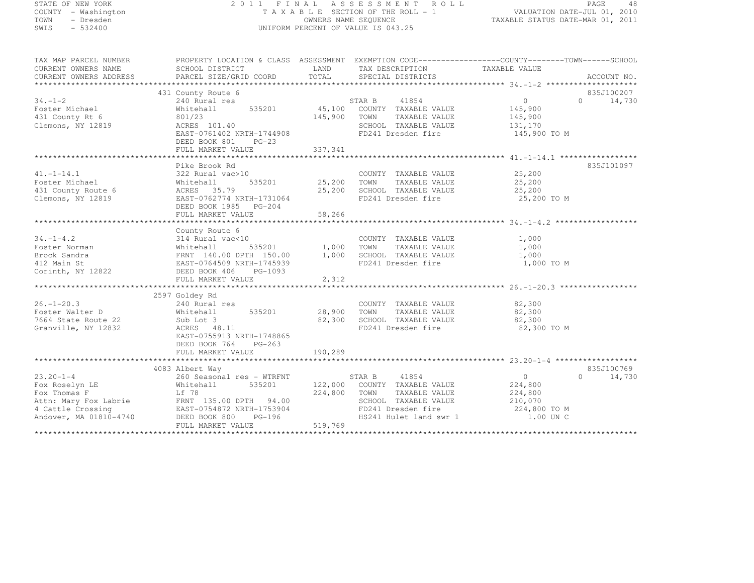# STATE OF NEW YORK 2 0 1 1 F I N A L A S S E S S M E N T R O L L PAGE <sup>48</sup> COUNTY - Washington T A X A B L E SECTION OF THE ROLL - 1 VALUATION DATE-JUL 01, 2010 TOWN - Dresden OWNERS NAME SEQUENCE TAXABLE STATUS DATE-MAR 01, 2011<br>- TRESDEN ON THE SEQUENCE TO A SECUENCE TO BE SERVED ON THE SEQUENCE OF SEXUE OF THE STATUS DATE MAR 01, 2011 SWIS - 532400 UNIFORM PERCENT OF VALUE IS 043.25

| TAX MAP PARCEL NUMBER<br>CURRENT OWNERS NAME<br>CURRENT OWNERS ADDRESS | PROPERTY LOCATION & CLASS ASSESSMENT EXEMPTION CODE----------------COUNTY-------TOWN-----SCHOOL<br>SCHOOL DISTRICT<br><b>Example 12</b> LAND<br>PARCEL SIZE/GRID COORD | TOTAL         | TAX DESCRIPTION<br>SPECIAL DISTRICTS         | TAXABLE VALUE             | ACCOUNT NO.         |
|------------------------------------------------------------------------|------------------------------------------------------------------------------------------------------------------------------------------------------------------------|---------------|----------------------------------------------|---------------------------|---------------------|
|                                                                        |                                                                                                                                                                        |               |                                              |                           |                     |
|                                                                        | 431 County Route 6                                                                                                                                                     |               |                                              |                           | 835J100207          |
| $34. - 1 - 2$                                                          | 240 Rural res                                                                                                                                                          |               | STAR B<br>41854                              | 0                         | 14,730<br>$\Omega$  |
| Foster Michael                                                         | 535201<br>Whitehall                                                                                                                                                    |               | 45,100 COUNTY TAXABLE VALUE                  | 145,900                   |                     |
| 431 County Rt 6                                                        | 801/23                                                                                                                                                                 | 145,900       | TOWN<br>TAXABLE VALUE                        | 145,900                   |                     |
| Clemons, NY 12819                                                      | ACRES 101.40                                                                                                                                                           |               | SCHOOL TAXABLE VALUE                         | 131,170                   |                     |
|                                                                        | EAST-0761402 NRTH-1744908                                                                                                                                              |               | FD241 Dresden fire                           | 145,900 TO M              |                     |
|                                                                        | DEED BOOK 801<br>$PG-23$                                                                                                                                               |               |                                              |                           |                     |
|                                                                        |                                                                                                                                                                        |               |                                              |                           |                     |
|                                                                        |                                                                                                                                                                        |               |                                              |                           |                     |
|                                                                        | Pike Brook Rd                                                                                                                                                          |               |                                              |                           | 835J101097          |
| $41. - 1 - 14.1$                                                       | 322 Rural vac>10                                                                                                                                                       |               | COUNTY TAXABLE VALUE                         | 25,200                    |                     |
| Foster Michael                                                         | Whitehall                                                                                                                                                              | 535201 25,200 | TOWN<br>TAXABLE VALUE                        | 25,200                    |                     |
| 431 County Route 6                                                     | ACRES 35.79                                                                                                                                                            | 25,200        | SCHOOL TAXABLE VALUE                         | 25,200                    |                     |
| Clemons, NY 12819                                                      | EAST-0762774 NRTH-1731064                                                                                                                                              |               | FD241 Dresden fire                           | 25,200 TO M               |                     |
|                                                                        | DEED BOOK 1985 PG-204                                                                                                                                                  |               |                                              |                           |                     |
|                                                                        | FULL MARKET VALUE                                                                                                                                                      | 58,266        |                                              |                           |                     |
|                                                                        |                                                                                                                                                                        |               |                                              |                           |                     |
|                                                                        |                                                                                                                                                                        |               |                                              |                           |                     |
|                                                                        | County Route 6                                                                                                                                                         |               |                                              |                           |                     |
| $34. - 1 - 4.2$                                                        | 314 Rural vac<10                                                                                                                                                       |               | COUNTY TAXABLE VALUE                         | 1,000                     |                     |
| Foster Norman                                                          | 535201<br>Whitehall<br>Whitehall 535201<br>FRNT 140.00 DPTH 150.00                                                                                                     | 1,000 TOWN    | TAXABLE VALUE                                | 1,000                     |                     |
| Brock Sandra                                                           |                                                                                                                                                                        | 1,000         | SCHOOL TAXABLE VALUE                         | 1,000                     |                     |
| 412 Main St                                                            | EAST-0764509 NRTH-1745939                                                                                                                                              |               | FD241 Dresden fire                           | 1,000 TO M                |                     |
| Corinth, NY 12822                                                      | DEED BOOK 406 PG-1093                                                                                                                                                  |               |                                              |                           |                     |
|                                                                        | FULL MARKET VALUE                                                                                                                                                      | 2,312         |                                              |                           |                     |
|                                                                        |                                                                                                                                                                        |               |                                              |                           |                     |
|                                                                        | 2597 Goldey Rd                                                                                                                                                         |               |                                              |                           |                     |
| $26. - 1 - 20.3$                                                       | 240 Rural res                                                                                                                                                          |               | COUNTY TAXABLE VALUE                         | 82,300                    |                     |
| Foster Walter D                                                        | 535201<br>Whitehall                                                                                                                                                    | 28,900        | TAXABLE VALUE<br>TOWN                        | 82,300                    |                     |
| 7664 State Route 22                                                    | Sub Lot 3                                                                                                                                                              | 82,300        | SCHOOL TAXABLE VALUE                         | 82,300                    |                     |
| Granville, NY 12832                                                    | ACRES 48.11                                                                                                                                                            |               | FD241 Dresden fire                           | 82,300 TO M               |                     |
|                                                                        | EAST-0755913 NRTH-1748865                                                                                                                                              |               |                                              |                           |                     |
|                                                                        | DEED BOOK 764<br>PG-263                                                                                                                                                |               |                                              |                           |                     |
|                                                                        | FULL MARKET VALUE                                                                                                                                                      | 190,289       |                                              |                           |                     |
|                                                                        |                                                                                                                                                                        |               |                                              |                           |                     |
|                                                                        | 4083 Albert Way                                                                                                                                                        |               |                                              |                           | 835J100769          |
| $23.20 - 1 - 4$                                                        | 260 Seasonal res - WTRFNT                                                                                                                                              |               | 41854<br>STAR B                              | $\circ$                   | $\bigcap$<br>14,730 |
| Fox Roselyn LE                                                         | 535201<br>Whitehall                                                                                                                                                    | 122,000       | COUNTY TAXABLE VALUE                         | 224,800                   |                     |
| Fox Thomas F                                                           | Lf 78                                                                                                                                                                  | 224,800       | TAXABLE VALUE<br>TOWN                        | 224,800                   |                     |
| Attn: Mary Fox Labrie                                                  | FRNT 135.00 DPTH 94.00                                                                                                                                                 |               | SCHOOL TAXABLE VALUE                         | 210,070                   |                     |
| 4 Cattle Crossing                                                      | EAST-0754872 NRTH-1753904                                                                                                                                              |               |                                              |                           |                     |
| Andover, MA 01810-4740                                                 | $PG-196$<br>DEED BOOK 800                                                                                                                                              |               | FD241 Dresden fire<br>HS241 Hulet land swr 1 | 224,800 TO M<br>1.00 UN C |                     |
|                                                                        |                                                                                                                                                                        |               |                                              |                           |                     |
|                                                                        | FULL MARKET VALUE                                                                                                                                                      | 519,769       |                                              |                           |                     |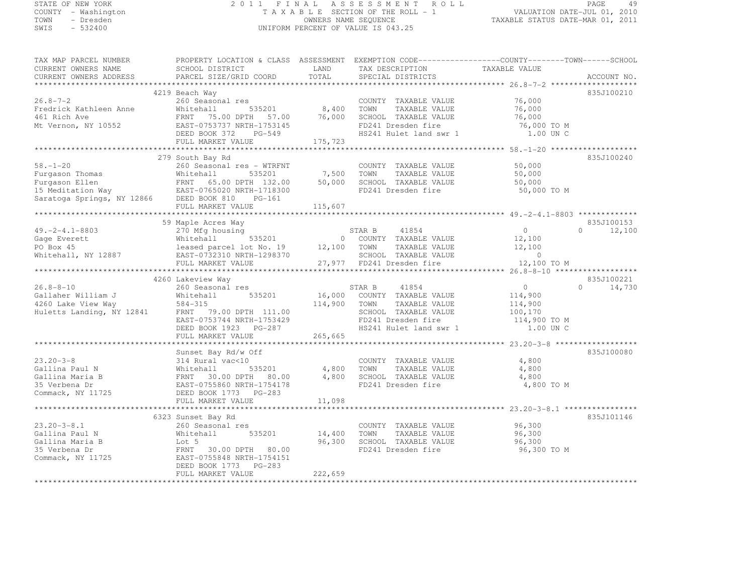#### STATE OF NEW YORK 2 0 1 1 F I N A L A S S E S S M E N T R O L L PAGE <sup>49</sup> COUNTY - Washington T A X A B L E SECTION OF THE ROLL - 1 VALUATION DATE-JUL 01, 2010 TOWN - Dresden OWNERS NAME SEQUENCE TAXABLE STATUS DATE-MAR 01, 2011<br>- TRESDEN ON THE SEQUENCE TO A SECUENCE TO BE SERVED ON THE SEQUENCE OF SEXUE OF THE STATUS DATE MAR 01, 2011 SWIS - 532400 UNIFORM PERCENT OF VALUE IS 043.25

| TAX MAP PARCEL NUMBER                                                                                                                                                                                                                                                                                                                                                                                  | PROPERTY LOCATION & CLASS ASSESSMENT EXEMPTION CODE-----------------COUNTY-------TOWN------SCHOOL             |                    |                                                                                                                                                                   |                      |                        |
|--------------------------------------------------------------------------------------------------------------------------------------------------------------------------------------------------------------------------------------------------------------------------------------------------------------------------------------------------------------------------------------------------------|---------------------------------------------------------------------------------------------------------------|--------------------|-------------------------------------------------------------------------------------------------------------------------------------------------------------------|----------------------|------------------------|
| CURRENT OWNERS NAME                                                                                                                                                                                                                                                                                                                                                                                    | SCHOOL DISTRICT                                                                                               |                    | LAND TAX DESCRIPTION TAXABLE VALUE<br>TOTAL SPECIAL DISTRICTS TAXABLE VALUE                                                                                       |                      |                        |
| CURRENT OWNERS ADDRESS                                                                                                                                                                                                                                                                                                                                                                                 | ECHOOL DISINESS                                                                                               |                    |                                                                                                                                                                   |                      | ACCOUNT NO.            |
|                                                                                                                                                                                                                                                                                                                                                                                                        |                                                                                                               |                    |                                                                                                                                                                   |                      |                        |
|                                                                                                                                                                                                                                                                                                                                                                                                        | 4219 Beach Way                                                                                                |                    |                                                                                                                                                                   |                      | 835J100210             |
| $26.8 - 7 - 2$                                                                                                                                                                                                                                                                                                                                                                                         | 260 Seasonal res                                                                                              |                    | COUNTY TAXABLE VALUE                                                                                                                                              | 76,000               |                        |
| Fredrick Kathleen Anne                                                                                                                                                                                                                                                                                                                                                                                 | Whitehall                                                                                                     | 535201 8,400       | TAXABLE VALUE<br>TOWN                                                                                                                                             | 76,000               |                        |
| 461 Rich Ave                                                                                                                                                                                                                                                                                                                                                                                           | FRNT 75.00 DPTH 57.00                                                                                         | 76,000             | SCHOOL TAXABLE VALUE                                                                                                                                              | 76,000               |                        |
| Mt Vernon, NY 10552 EAST-0753737 NRTH-1753145                                                                                                                                                                                                                                                                                                                                                          |                                                                                                               |                    |                                                                                                                                                                   |                      |                        |
|                                                                                                                                                                                                                                                                                                                                                                                                        | EAS1-0753737 NRTH-1753145<br>DEED BOOK 372 PG-549                                                             |                    |                                                                                                                                                                   |                      |                        |
|                                                                                                                                                                                                                                                                                                                                                                                                        | FULL MARKET VALUE                                                                                             | 175,723            |                                                                                                                                                                   |                      |                        |
|                                                                                                                                                                                                                                                                                                                                                                                                        |                                                                                                               |                    |                                                                                                                                                                   |                      |                        |
| Eurgason Thomas (260 Seasonal res – WTRFNT (COUNTY TAXABLE VALUE)<br>Furgason Ellen (132.00 50,000 SCHOOL TAXABLE VALUE)<br>50,000 SCHOOL TAXABLE VALUE (15 Meditation Way (12866 DEED BOOK 810 PG-161 FO241 Dresden fire<br>FIII.I.                                                                                                                                                                   | 279 South Bay Rd                                                                                              |                    |                                                                                                                                                                   |                      | 835J100240             |
|                                                                                                                                                                                                                                                                                                                                                                                                        |                                                                                                               |                    |                                                                                                                                                                   | 50,000               |                        |
|                                                                                                                                                                                                                                                                                                                                                                                                        |                                                                                                               |                    |                                                                                                                                                                   | 50,000               |                        |
|                                                                                                                                                                                                                                                                                                                                                                                                        |                                                                                                               |                    |                                                                                                                                                                   | 50,000               |                        |
|                                                                                                                                                                                                                                                                                                                                                                                                        |                                                                                                               |                    |                                                                                                                                                                   | 50,000 TO M          |                        |
|                                                                                                                                                                                                                                                                                                                                                                                                        |                                                                                                               |                    |                                                                                                                                                                   |                      |                        |
|                                                                                                                                                                                                                                                                                                                                                                                                        |                                                                                                               | 115,607            |                                                                                                                                                                   |                      |                        |
|                                                                                                                                                                                                                                                                                                                                                                                                        |                                                                                                               |                    |                                                                                                                                                                   |                      |                        |
|                                                                                                                                                                                                                                                                                                                                                                                                        | 59 Maple Acres Way                                                                                            |                    |                                                                                                                                                                   |                      | 835J100153             |
|                                                                                                                                                                                                                                                                                                                                                                                                        |                                                                                                               |                    |                                                                                                                                                                   |                      |                        |
|                                                                                                                                                                                                                                                                                                                                                                                                        |                                                                                                               |                    |                                                                                                                                                                   |                      |                        |
|                                                                                                                                                                                                                                                                                                                                                                                                        |                                                                                                               |                    |                                                                                                                                                                   |                      |                        |
|                                                                                                                                                                                                                                                                                                                                                                                                        |                                                                                                               |                    |                                                                                                                                                                   |                      |                        |
|                                                                                                                                                                                                                                                                                                                                                                                                        |                                                                                                               |                    |                                                                                                                                                                   |                      |                        |
| $\begin{array}{lllllllllllllllll} \hline & & & & & & & 59\ \text{Maple Aeres Way} & & & & & & & & & 835J100153 \\ \text{Gage Everett} & & & & & & & & & & 535201 & & & 0 & & 12,100 \\ \text{PO Box 45} & & & & & & & & & & 535201 & & 0 & & 12,100 \\ \text{Whitehall} & & & & & & & & & 535201 & & 0 & & 12,100 \\ \text{PO Box 45} & & & & & & & & & 12887 & & \text{EULL MARKET VAUE} & & & & & 1$ |                                                                                                               |                    |                                                                                                                                                                   |                      |                        |
|                                                                                                                                                                                                                                                                                                                                                                                                        | 4260 Lakeview Way                                                                                             |                    |                                                                                                                                                                   | $\overline{0}$       | 835J100221<br>$\Omega$ |
| $26.8 - 8 - 10$                                                                                                                                                                                                                                                                                                                                                                                        |                                                                                                               |                    |                                                                                                                                                                   |                      | 14,730                 |
|                                                                                                                                                                                                                                                                                                                                                                                                        |                                                                                                               |                    |                                                                                                                                                                   |                      |                        |
|                                                                                                                                                                                                                                                                                                                                                                                                        |                                                                                                               |                    |                                                                                                                                                                   |                      |                        |
|                                                                                                                                                                                                                                                                                                                                                                                                        |                                                                                                               |                    |                                                                                                                                                                   |                      |                        |
|                                                                                                                                                                                                                                                                                                                                                                                                        |                                                                                                               |                    | COUNTY TAXABLE VALUE 114,900<br>TOWN TAXABLE VALUE 114,900<br>SCHOOL TAXABLE VALUE 114,900<br>FD241 Dresden fire 114,900 TO M<br>HS241 Hulet land swr 1 1 00 UN C | 1.00 UN C            |                        |
| 26.8-8-10<br>Gallaher William J<br>4260 Lake View Way<br>Huletts Landing, NY 12841<br>ERNT 79.00 DPTH 111.00<br>EAST-0753744 NRTH-1753429<br>DEED BOOK 1923 PG-287<br>PG-287<br>265,665<br>HS241<br>265,665                                                                                                                                                                                            | FULL MARKET VALUE 265,665                                                                                     |                    | HS241 Hulet land swr 1                                                                                                                                            |                      |                        |
|                                                                                                                                                                                                                                                                                                                                                                                                        |                                                                                                               |                    |                                                                                                                                                                   |                      |                        |
|                                                                                                                                                                                                                                                                                                                                                                                                        | Sunset Bay Rd/w Off                                                                                           |                    |                                                                                                                                                                   |                      | 835J100080             |
| $23.20 - 3 - 8$                                                                                                                                                                                                                                                                                                                                                                                        |                                                                                                               |                    | COUNTY TAXABLE VALUE                                                                                                                                              | 4,800                |                        |
| Gallina Paul N                                                                                                                                                                                                                                                                                                                                                                                         | $535201$ 4,800 TOWN                                                                                           |                    | TAXABLE VALUE                                                                                                                                                     | 4,800                |                        |
| Gallina Maria B                                                                                                                                                                                                                                                                                                                                                                                        | FRNT 30.00 DPTH 80.00 4,800 SCHOOL TAXABLE VALUE                                                              |                    |                                                                                                                                                                   | 4,800                |                        |
| 35 Verbena Dr                                                                                                                                                                                                                                                                                                                                                                                          |                                                                                                               |                    | FD241 Dresden fire                                                                                                                                                | 4,800 TO M           |                        |
| Commack, NY 11725                                                                                                                                                                                                                                                                                                                                                                                      |                                                                                                               |                    |                                                                                                                                                                   |                      |                        |
|                                                                                                                                                                                                                                                                                                                                                                                                        | Whitehall<br>FRNT 30.00 DPTH 80.00<br>EAST-0755860 NRTH-1754178<br>FRNT BOOK 1773 PG-283<br>FULL MARKET VALUE | 11,098             |                                                                                                                                                                   |                      |                        |
|                                                                                                                                                                                                                                                                                                                                                                                                        |                                                                                                               |                    |                                                                                                                                                                   |                      |                        |
|                                                                                                                                                                                                                                                                                                                                                                                                        | 6323 Sunset Bay Rd                                                                                            |                    |                                                                                                                                                                   |                      | 835J101146             |
| $23.20 - 3 - 8.1$                                                                                                                                                                                                                                                                                                                                                                                      | Albert Day Kd<br>260 Seasonal res<br>White' II                                                                |                    | COUNTY TAXABLE VALUE                                                                                                                                              | 96,300               |                        |
| Gallina Paul N                                                                                                                                                                                                                                                                                                                                                                                         | Whitehall                                                                                                     | 535201 14,400 TOWN |                                                                                                                                                                   | TAXABLE VALUE 96,300 |                        |
| Gallina Maria B                                                                                                                                                                                                                                                                                                                                                                                        | Lot 5                                                                                                         |                    | 96,300 SCHOOL TAXABLE VALUE                                                                                                                                       | 96,300               |                        |
| Saille Maria B<br>35 Verbena Dr<br>Commack, NY 11725                                                                                                                                                                                                                                                                                                                                                   | FRNT 30.00 DPTH 80.00                                                                                         |                    | FD241 Dresden fire                                                                                                                                                | 96,300 TO M          |                        |
|                                                                                                                                                                                                                                                                                                                                                                                                        | EAST-0755848 NRTH-1754151                                                                                     |                    |                                                                                                                                                                   |                      |                        |
|                                                                                                                                                                                                                                                                                                                                                                                                        | DEED BOOK 1773 PG-283                                                                                         |                    |                                                                                                                                                                   |                      |                        |
|                                                                                                                                                                                                                                                                                                                                                                                                        | FULL MARKET VALUE                                                                                             | 222,659            |                                                                                                                                                                   |                      |                        |
|                                                                                                                                                                                                                                                                                                                                                                                                        |                                                                                                               |                    |                                                                                                                                                                   |                      |                        |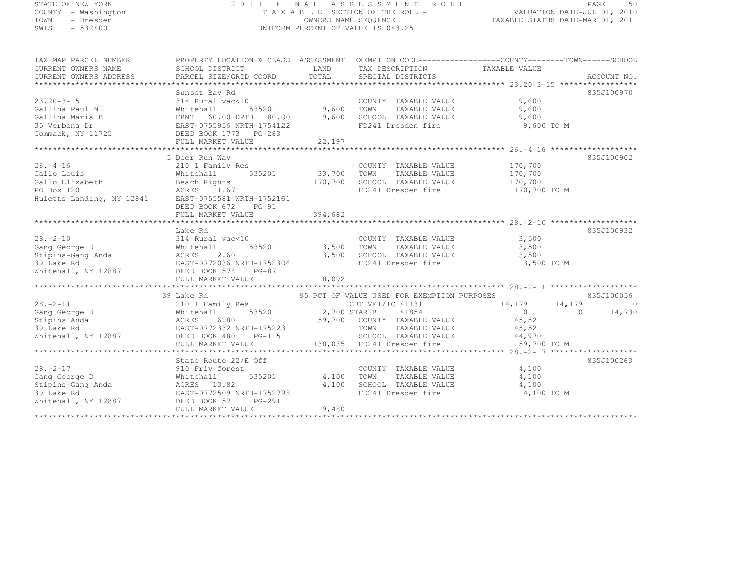#### STATE OF NEW YORK 2 0 1 1 F I N A L A S S E S S M E N T R O L L PAGE <sup>50</sup> COUNTY - Washington T A X A B L E SECTION OF THE ROLL - 1 VALUATION DATE-JUL 01, 2010 TOWN - Dresden OWNERS NAME SEQUENCE TAXABLE STATUS DATE-MAR 01, 2011<br>- TRESDEN ON THE SEQUENCE TO A SECUENCE TO BE SERVED ON THE SEQUENCE OF SEXUE OF THE STATUS DATE MAR 01, 2011 SWIS - 532400 UNIFORM PERCENT OF VALUE IS 043.25

| TAX MAP PARCEL NUMBER                                                                                                          | PROPERTY LOCATION & CLASS ASSESSMENT EXEMPTION CODE-----------------COUNTY-------TOWN------SCHOOL |                    |                                                                  |                      |                      |
|--------------------------------------------------------------------------------------------------------------------------------|---------------------------------------------------------------------------------------------------|--------------------|------------------------------------------------------------------|----------------------|----------------------|
|                                                                                                                                |                                                                                                   |                    |                                                                  |                      |                      |
|                                                                                                                                |                                                                                                   |                    |                                                                  |                      |                      |
|                                                                                                                                | Sunset Bay Rd                                                                                     |                    |                                                                  |                      | 835J100970           |
| $23.20 - 3 - 15$                                                                                                               | 314 Rural vac<10                                                                                  |                    | COUNTY TAXABLE VALUE                                             | 9,600                |                      |
| Gallina Paul N                                                                                                                 | Whitehall                                                                                         |                    | TOWN<br>TAXABLE VALUE                                            | 9,600                |                      |
| Gallina Maria B                                                                                                                | 535201 9,600<br>DPTH 80.00 9,600<br>FRNT 60.00 DPTH 80.00                                         |                    | SCHOOL TAXABLE VALUE                                             | 9,600                |                      |
| 35 Verbena Dr                                                                                                                  | EAST-0755956 NRTH-1754122                                                                         |                    | FD241 Dresden fire                                               | 9,600 TO M           |                      |
| Commack, NY 11725                                                                                                              | DEED BOOK 1773 PG-283                                                                             |                    |                                                                  |                      |                      |
|                                                                                                                                | FULL MARKET VALUE                                                                                 | 22,197             |                                                                  |                      |                      |
|                                                                                                                                |                                                                                                   |                    |                                                                  |                      |                      |
|                                                                                                                                | 5 Deer Run Way                                                                                    |                    |                                                                  |                      | 835J100902           |
| $26. - 4 - 16$                                                                                                                 | 210 1 Family Res                                                                                  |                    | COUNTY TAXABLE VALUE 170,700                                     |                      |                      |
| Gallo Louis                                                                                                                    | Whitehall                                                                                         | 535201 33,700 TOWN | TAXABLE VALUE                                                    | 170,700              |                      |
| Gallo Elizabeth                                                                                                                | Beach Rights                                                                                      | 170,700            | SCHOOL TAXABLE VALUE                                             | 170,700              |                      |
| PO Box 120                                                                                                                     | ACRES 1.67                                                                                        |                    | FD241 Dresden fire                                               | 170,700 TO M         |                      |
| Huletts Landing, NY 12841                                                                                                      | EAST-0755581 NRTH-1752161                                                                         |                    |                                                                  |                      |                      |
|                                                                                                                                | DEED BOOK 672<br>$PG-91$                                                                          |                    |                                                                  |                      |                      |
|                                                                                                                                |                                                                                                   |                    |                                                                  |                      |                      |
|                                                                                                                                |                                                                                                   |                    |                                                                  |                      |                      |
|                                                                                                                                | Lake Rd                                                                                           |                    |                                                                  |                      | 835J100932           |
| $28 - 2 - 10$                                                                                                                  | 314 Rural vac<10                                                                                  |                    |                                                                  | 3,500                |                      |
| Gang George D                                                                                                                  | Whitehall                                                                                         | 535201 3,500 TOWN  | COUNTY TAXABLE VALUE<br>TOWN      TAXABLE VALUE                  | 3,500                |                      |
|                                                                                                                                | ACRES<br>2.60                                                                                     | 3,500              | SCHOOL TAXABLE VALUE                                             | 3,500                |                      |
|                                                                                                                                | EAST-0772036 NRTH-1752306                                                                         |                    | FD241 Dresden fire                                               | 3,500 TO M           |                      |
| stipins-Gang Anda<br>39 Lake Rd<br>Whitehall, NY 12887                                                                         | DEED BOOK 578 PG-87                                                                               |                    |                                                                  |                      |                      |
|                                                                                                                                | FULL MARKET VALUE                                                                                 | 8,092              |                                                                  |                      |                      |
|                                                                                                                                |                                                                                                   |                    |                                                                  |                      |                      |
|                                                                                                                                | 39 Lake Rd                                                                                        |                    | 95 PCT OF VALUE USED FOR EXEMPTION PURPOSES                      |                      | 835J100056           |
| $28. - 2 - 11$                                                                                                                 | 210 1 Family Res                                                                                  |                    | CBT VET/TC 41131                                                 | 14,179               | 14,179<br>$\bigcirc$ |
| 28.-2-11 210 1 Family Res<br>Gang George D Whitehall 535201<br>Stipins Anda ACRES 6.80<br>39 Lake Rd EAST-0772332 NRTH-1752231 | $12,700$ STAR B                                                                                   |                    | 41854                                                            | $\overline{0}$       | 14,730<br>$\Omega$   |
|                                                                                                                                |                                                                                                   |                    | 59,700 COUNTY TAXABLE VALUE                                      | 45,521               |                      |
|                                                                                                                                |                                                                                                   |                    | TOWN                                                             | TAXABLE VALUE 45,521 |                      |
| Whitehall, NY 12887                                                                                                            | DEED BOOK 480<br>PG-115                                                                           |                    |                                                                  |                      |                      |
|                                                                                                                                | FULL MARKET VALUE                                                                                 |                    | SCHOOL TAXABLE VALUE 44,970<br>138,035 FD241 Dresden fire 59,700 | 59,700 TO M          |                      |
|                                                                                                                                |                                                                                                   |                    |                                                                  |                      |                      |
|                                                                                                                                | State Route 22/E Off                                                                              |                    |                                                                  |                      | 835J100263           |
| $28, -2 - 17$                                                                                                                  | 910 Priv forest                                                                                   |                    | COUNTY TAXABLE VALUE                                             | 4,100                |                      |
| Gang George D                                                                                                                  | Whitehall                                                                                         | 535201 4,100       | TOWN<br>TAXABLE VALUE                                            | 4,100                |                      |
| Stipins-Gang Anda                                                                                                              | ACRES 13.82                                                                                       | 4,100              | SCHOOL TAXABLE VALUE                                             | 4,100                |                      |
| 39 Lake Rd                                                                                                                     | EAST-0772509 NRTH-1752798                                                                         |                    | FD241 Dresden fire                                               | 4,100 TO M           |                      |
| Whitehall, NY 12887                                                                                                            | DEED BOOK 571<br>PG-291                                                                           |                    |                                                                  |                      |                      |
|                                                                                                                                | FULL MARKET VALUE                                                                                 | 9,480              |                                                                  |                      |                      |
|                                                                                                                                |                                                                                                   |                    |                                                                  |                      |                      |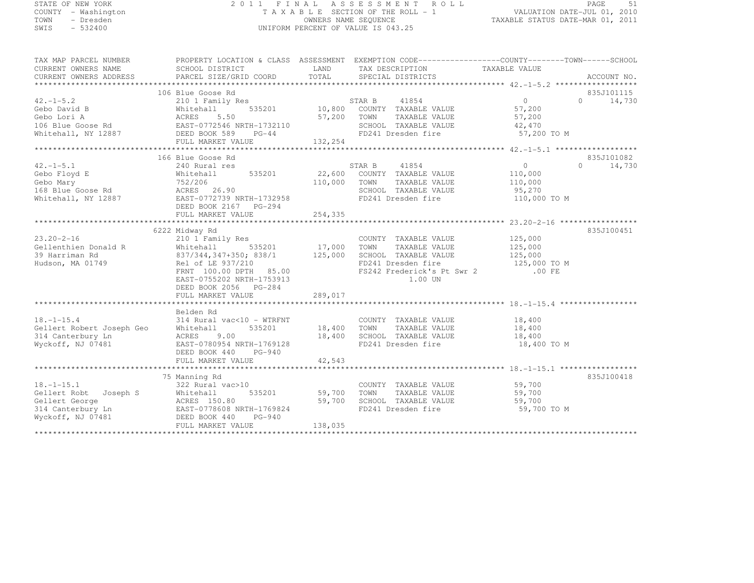# STATE OF NEW YORK 2 0 1 1 F I N A L A S S E S S M E N T R O L L PAGE <sup>51</sup> COUNTY - Washington T A X A B L E SECTION OF THE ROLL - 1 VALUATION DATE-JUL 01, 2010 TOWN - Dresden OWNERS NAME SEQUENCE TAXABLE STATUS DATE-MAR 01, 2011<br>- TRESDEN ON THE SEQUENCE TO A SECUENCE TO BE SERVED ON THE SEQUENCE OF SEXUE OF THE STATUS DATE MAR 01, 2011 SWIS - 532400 UNIFORM PERCENT OF VALUE IS 043.25

| TAX MAP PARCEL NUMBER<br>CURRENT OWNERS NAME<br>CURRENT OWNERS ADDRESS                                | PROPERTY LOCATION & CLASS ASSESSMENT EXEMPTION CODE----------------COUNTY-------TOWN-----SCHOOL<br>SCHOOL DISTRICT<br>PARCEL SIZE/GRID COORD                                                                                   | LAND<br>TOTAL                               | TAX DESCRIPTION TAXABLE VALUE<br>SPECIAL DISTRICTS                                                                                   |                                                                                                                     | ACCOUNT NO.                      |
|-------------------------------------------------------------------------------------------------------|--------------------------------------------------------------------------------------------------------------------------------------------------------------------------------------------------------------------------------|---------------------------------------------|--------------------------------------------------------------------------------------------------------------------------------------|---------------------------------------------------------------------------------------------------------------------|----------------------------------|
| $42. - 1 - 5.2$<br>Gebo David B<br>Gebo Lori A                                                        | 106 Blue Goose Rd<br>210 1 Family Res<br>535201<br>Whitehall<br>ACRES<br>5.50<br>FULL MARKET VALUE                                                                                                                             | 10,800<br>57,200<br>132,254                 | STAR B<br>41854<br>COUNTY TAXABLE VALUE<br>TOWN<br>TAXABLE VALUE<br>SCHOOL TAXABLE VALUE<br>FD241 Dresden fire                       | $\bigcirc$<br>57,200<br>57,200<br>42,470<br>57,200 TO M                                                             | 835J101115<br>$\Omega$<br>14,730 |
| $42. -1 - 5.1$<br>Gebo Floyd E<br>Gebo Mary<br>168 Blue Goose Rd<br>Whitehall, NY 12887               | ***************************<br>166 Blue Goose Rd<br>240 Rural res<br>535201<br>Whitehall<br>752/206<br>ACRES 26.90<br>EAST-0772739 NRTH-1732958<br>DEED BOOK 2167 PG-294<br>FULL MARKET VALUE<br>***************************** | 22,600<br>110,000<br>254,335<br>*********** | 41854<br>STAR B<br>COUNTY TAXABLE VALUE<br>TAXABLE VALUE<br>TOWN<br>SCHOOL TAXABLE VALUE<br>FD241 Dresden fire                       | $\overline{0}$<br>110,000<br>110,000<br>95,270<br>110,000 TO M<br>******************** 23.20-2-16 ***************** | 835J101082<br>$\Omega$<br>14,730 |
| $23.20 - 2 - 16$<br>Gellenthien Donald R<br>39 Harriman Rd<br>Hudson, MA 01749                        | 6222 Midway Rd<br>210 1 Family Res<br>Whitehall<br>535201<br>837/344,347+350; 838/1<br>Rel of LE 937/210<br>FRNT 100.00 DPTH<br>85.00<br>EAST-0755202 NRTH-1753913<br>DEED BOOK 2056 PG-284<br>FULL MARKET VALUE               | 17,000<br>125,000<br>289,017                | COUNTY TAXABLE VALUE<br>TOWN<br>TAXABLE VALUE<br>SCHOOL TAXABLE VALUE<br>FD241 Dresden fire<br>FS242 Frederick's Pt Swr 2<br>1.00 UN | 125,000<br>125,000<br>125,000<br>125,000 TO M<br>.00 FE                                                             | 835J100451                       |
| $18. - 1 - 15.4$<br>Gellert Robert Joseph Geo<br>314 Canterbury Ln<br>Wyckoff, NJ 07481               | ***********************<br>Belden Rd<br>314 Rural vac<10 - WTRFNT<br>Whitehall<br>535201<br>ACRES<br>9.00<br>EAST-0780954 NRTH-1769128<br>DEED BOOK 440<br>$PG-940$<br>FULL MARKET VALUE                                       | *************<br>18,400<br>18,400<br>42,543 | COUNTY TAXABLE VALUE<br>TOWN<br>TAXABLE VALUE<br>SCHOOL TAXABLE VALUE<br>FD241 Dresden fire                                          | 18,400<br>18,400<br>18,400<br>18,400 TO M                                                                           |                                  |
| $18. - 1 - 15.1$<br>Gellert Robt Joseph S<br>Gellert George<br>314 Canterbury Ln<br>Wyckoff, NJ 07481 | 75 Manning Rd<br>322 Rural vac>10<br>Whitehall<br>535201<br>ACRES 150.80<br>EAST-0778608 NRTH-1769824<br>DEED BOOK 440<br>$PG-940$<br>FULL MARKET VALUE                                                                        | 59,700<br>59,700<br>138,035                 | COUNTY TAXABLE VALUE<br>TAXABLE VALUE<br>TOWN<br>SCHOOL TAXABLE VALUE<br>FD241 Dresden fire                                          | 59,700<br>59,700<br>59,700<br>59,700 TO M                                                                           | 835J100418                       |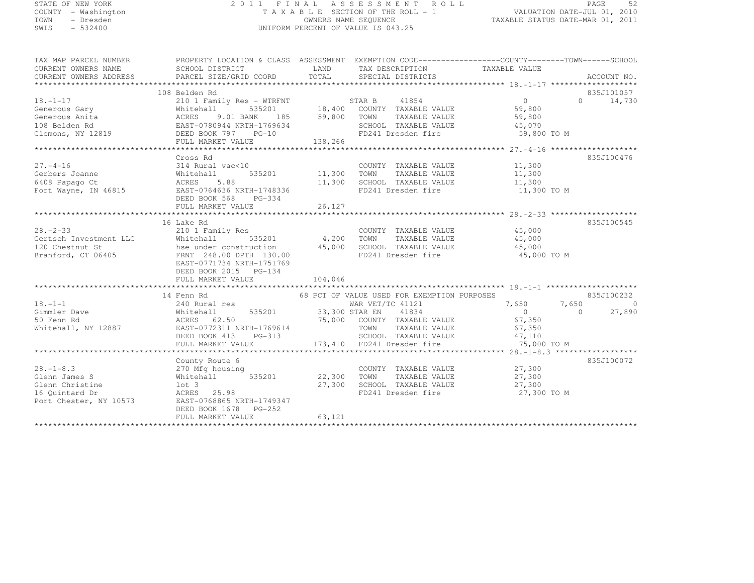#### STATE OF NEW YORK 2 0 1 1 F I N A L A S S E S S M E N T R O L L PAGE <sup>52</sup> COUNTY - Washington T A X A B L E SECTION OF THE ROLL - 1 VALUATION DATE-JUL 01, 2010 TOWN - Dresden OWNERS NAME SEQUENCE TAXABLE STATUS DATE-MAR 01, 2011<br>- TRESDEN ON THE SEQUENCE TO A SECUENCE TO BE SERVED ON THE SEQUENCE OF SEXUE OF THE STATUS DATE MAR 01, 2011 SWIS - 532400 UNIFORM PERCENT OF VALUE IS 043.25

| TAX MAP PARCEL NUMBER<br>CURRENT OWNERS NAME<br>CURRENT OWNERS ADDRESS                                                                                                                                                                                                                                                                                                                                                                | PROPERTY LOCATION & CLASS ASSESSMENT EXEMPTION CODE-----------------COUNTY-------TOWN------SCHOOL |        |                                                                                                     |             |               |
|---------------------------------------------------------------------------------------------------------------------------------------------------------------------------------------------------------------------------------------------------------------------------------------------------------------------------------------------------------------------------------------------------------------------------------------|---------------------------------------------------------------------------------------------------|--------|-----------------------------------------------------------------------------------------------------|-------------|---------------|
|                                                                                                                                                                                                                                                                                                                                                                                                                                       | 108 Belden Rd                                                                                     |        |                                                                                                     |             | 835J101057    |
|                                                                                                                                                                                                                                                                                                                                                                                                                                       |                                                                                                   |        |                                                                                                     |             | $0 \t 14,730$ |
|                                                                                                                                                                                                                                                                                                                                                                                                                                       |                                                                                                   |        |                                                                                                     |             |               |
|                                                                                                                                                                                                                                                                                                                                                                                                                                       |                                                                                                   |        |                                                                                                     |             |               |
|                                                                                                                                                                                                                                                                                                                                                                                                                                       |                                                                                                   |        |                                                                                                     |             |               |
|                                                                                                                                                                                                                                                                                                                                                                                                                                       |                                                                                                   |        |                                                                                                     | 59,800 TO M |               |
| $\begin{tabular}{lllllllllllllllllllll} \multicolumn{3}{c }{\textbf{18. -1-17}} & $\textbf{10.00}\text{ }\mathrm{J0.01}\text{ } & $\textbf{10.01}\text{ } & $\textbf{10.02}\text{ } & $\textbf{1.02}\text{ } & $\textbf{1.03}\text{ } & $\textbf{1.04}\text{ } & $\textbf{1.05}\text{ } & $\textbf{1.06}\text{ } & $\textbf{1.07}\text{ } & $\textbf{1.08}\text{ } & $\textbf{1.08}\text{ } & $\textbf{1.09}\text{ } & $\textbf{1.09$ |                                                                                                   |        |                                                                                                     |             |               |
|                                                                                                                                                                                                                                                                                                                                                                                                                                       |                                                                                                   |        |                                                                                                     |             |               |
|                                                                                                                                                                                                                                                                                                                                                                                                                                       | Cross Rd                                                                                          |        |                                                                                                     |             | 835J100476    |
| $27. - 4 - 16$                                                                                                                                                                                                                                                                                                                                                                                                                        | 314 Rural vac<10                                                                                  |        | COUNTY TAXABLE VALUE 11,300                                                                         |             |               |
|                                                                                                                                                                                                                                                                                                                                                                                                                                       |                                                                                                   |        |                                                                                                     |             |               |
|                                                                                                                                                                                                                                                                                                                                                                                                                                       |                                                                                                   |        |                                                                                                     |             |               |
| Cerbers Joanne<br>6408 Papago Ct (ACRES 5.88 11,300 SCHOOL TAXABLE VALUE 11,300 IONN TAXABLE VALUE 11,300 IONN TAXABLE VALUE 11,300<br>Fort Wayne, IN 46815 EAST-0764636 NRTH-1748336 FD241 Dresden fire 11,300 TOM 11,300 TOM                                                                                                                                                                                                        |                                                                                                   |        |                                                                                                     |             |               |
|                                                                                                                                                                                                                                                                                                                                                                                                                                       | DEED BOOK 568 PG-334                                                                              |        |                                                                                                     |             |               |
|                                                                                                                                                                                                                                                                                                                                                                                                                                       |                                                                                                   |        |                                                                                                     |             |               |
|                                                                                                                                                                                                                                                                                                                                                                                                                                       |                                                                                                   |        |                                                                                                     |             |               |
|                                                                                                                                                                                                                                                                                                                                                                                                                                       | 16 Lake Rd                                                                                        |        |                                                                                                     |             | 835J100545    |
|                                                                                                                                                                                                                                                                                                                                                                                                                                       |                                                                                                   |        |                                                                                                     |             |               |
|                                                                                                                                                                                                                                                                                                                                                                                                                                       |                                                                                                   |        |                                                                                                     |             |               |
|                                                                                                                                                                                                                                                                                                                                                                                                                                       |                                                                                                   |        |                                                                                                     |             |               |
| 28.-2-33<br>Gertsch Investment LLC<br>210 1 Family Res<br>Whitehall 535201 4,200 TOWN TAXABLE VALUE 45,000<br>120 Chestnut St<br>45,000<br>Branford, CT 06405<br>Branford, CT 06405<br>ERNT 248.00 DPTH 130.00<br>FRNT 248.00 DPTH 130.00<br>PD241                                                                                                                                                                                    |                                                                                                   |        |                                                                                                     |             |               |
|                                                                                                                                                                                                                                                                                                                                                                                                                                       | EAST-0771734 NRTH-1751769                                                                         |        |                                                                                                     |             |               |
|                                                                                                                                                                                                                                                                                                                                                                                                                                       |                                                                                                   |        |                                                                                                     |             |               |
|                                                                                                                                                                                                                                                                                                                                                                                                                                       |                                                                                                   |        |                                                                                                     |             |               |
|                                                                                                                                                                                                                                                                                                                                                                                                                                       |                                                                                                   |        |                                                                                                     |             |               |
|                                                                                                                                                                                                                                                                                                                                                                                                                                       | 14 Fenn Rd                                                                                        |        | 68 PCT OF VALUE USED FOR EXEMPTION PURPOSES                                                         |             | 835J100232    |
|                                                                                                                                                                                                                                                                                                                                                                                                                                       |                                                                                                   |        |                                                                                                     |             |               |
|                                                                                                                                                                                                                                                                                                                                                                                                                                       |                                                                                                   |        |                                                                                                     |             |               |
|                                                                                                                                                                                                                                                                                                                                                                                                                                       |                                                                                                   |        |                                                                                                     |             |               |
|                                                                                                                                                                                                                                                                                                                                                                                                                                       |                                                                                                   |        |                                                                                                     |             |               |
|                                                                                                                                                                                                                                                                                                                                                                                                                                       |                                                                                                   |        |                                                                                                     |             |               |
|                                                                                                                                                                                                                                                                                                                                                                                                                                       |                                                                                                   |        |                                                                                                     |             |               |
| $\begin{tabular}{lllllllllllll} 18.-1-1 & 14\; \text{Ferm} & 0.85201 & 0.85201 & 0.85201 & 0.85201 & 0.85201 & 0.85201 & 0.85201 & 0.85201 & 0.85201 & 0.85201 & 0.85201 & 0.85201 & 0.85201 & 0.85201 & 0.85201 & 0.85201 & 0.85201 & 0.85201 & 0.85201 & 0.85201 & 0.852$                                                                                                                                                           |                                                                                                   |        |                                                                                                     |             |               |
|                                                                                                                                                                                                                                                                                                                                                                                                                                       | County Route 6                                                                                    |        |                                                                                                     |             | 835J100072    |
|                                                                                                                                                                                                                                                                                                                                                                                                                                       |                                                                                                   |        | COUNTY TAXABLE VALUE 27,300                                                                         |             |               |
|                                                                                                                                                                                                                                                                                                                                                                                                                                       |                                                                                                   |        | 27,300 TOWN TAXABLE VALUE 27,300<br>27,300 SCHOOL TAXABLE VALUE 27,300<br>FD241 Dresden fire 27,300 |             |               |
|                                                                                                                                                                                                                                                                                                                                                                                                                                       |                                                                                                   |        |                                                                                                     |             |               |
|                                                                                                                                                                                                                                                                                                                                                                                                                                       |                                                                                                   |        | FD241 Dresden fire 27,300 TO M                                                                      |             |               |
| 28.-1-8.3<br>COUNT<br>Glenn James S<br>COUNT<br>Glenn Christine<br>16 Quintard Dr<br>27, 300<br>Port Chester, NY 10573<br>EAST-07688565 NRTH-1749347<br>Port Chester, NY 10573<br>Port Chester, NY 10573<br>Port Chester, NY 10573<br>Port Chester, NY                                                                                                                                                                                |                                                                                                   |        |                                                                                                     |             |               |
|                                                                                                                                                                                                                                                                                                                                                                                                                                       | DEED BOOK 1678 PG-252                                                                             |        |                                                                                                     |             |               |
|                                                                                                                                                                                                                                                                                                                                                                                                                                       | FULL MARKET VALUE                                                                                 | 63,121 |                                                                                                     |             |               |
|                                                                                                                                                                                                                                                                                                                                                                                                                                       |                                                                                                   |        |                                                                                                     |             |               |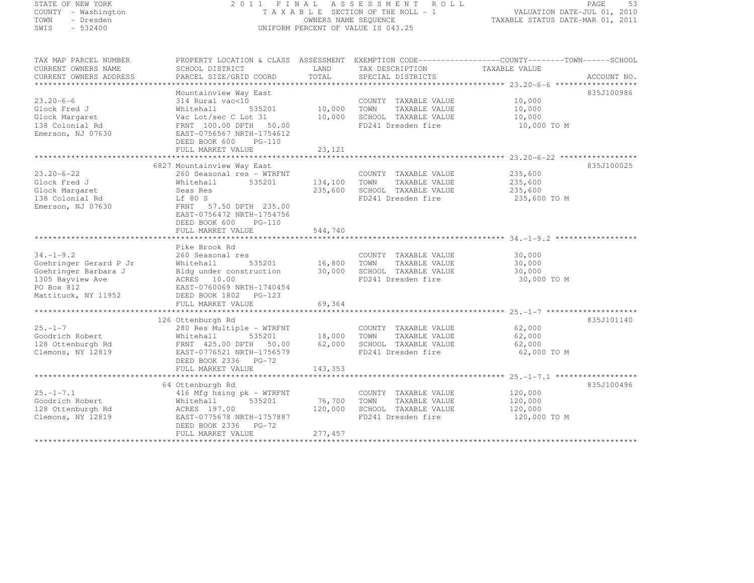#### STATE OF NEW YORK 2 0 1 1 F I N A L A S S E S S M E N T R O L L PAGE <sup>53</sup> COUNTY - Washington T A X A B L E SECTION OF THE ROLL - 1 VALUATION DATE-JUL 01, 2010 TOWN - Dresden OWNERS NAME SEQUENCE TAXABLE STATUS DATE-MAR 01, 2011<br>- TRESDEN ON THE SEQUENCE TO A SECUENCE TO BE SERVED ON THE SEQUENCE OF SEXUE OF THE STATUS DATE MAR 01, 2011 SWIS - 532400 UNIFORM PERCENT OF VALUE IS 043.25

| TAX MAP PARCEL NUMBER<br>CURRENT OWNERS NAME | PROPERTY LOCATION & CLASS ASSESSMENT EXEMPTION CODE----------------COUNTY-------TOWN------SCHOOL<br>SCHOOL DISTRICT | LAND<br>TOTAL | TAX DESCRIPTION       | TAXABLE VALUE |             |
|----------------------------------------------|---------------------------------------------------------------------------------------------------------------------|---------------|-----------------------|---------------|-------------|
| CURRENT OWNERS ADDRESS                       | PARCEL SIZE/GRID COORD                                                                                              |               | SPECIAL DISTRICTS     |               | ACCOUNT NO. |
| $23.20 - 6 - 6$                              | Mountainview Way East<br>314 Rural vac<10                                                                           |               | COUNTY TAXABLE VALUE  | 10,000        | 835J100986  |
| Glock Fred J                                 | Whitehall<br>535201                                                                                                 | 10,000        | TOWN<br>TAXABLE VALUE | 10,000        |             |
| Glock Margaret                               | Vac Lot/sec C Lot 31                                                                                                | 10,000        | SCHOOL TAXABLE VALUE  | 10,000        |             |
| 138 Colonial Rd                              | FRNT 100.00 DPTH 50.00                                                                                              |               | FD241 Dresden fire    | 10,000 TO M   |             |
| Emerson, NJ 07630                            | EAST-0756567 NRTH-1754612                                                                                           |               |                       |               |             |
|                                              | DEED BOOK 600 PG-110<br>FULL MARKET VALUE                                                                           | 23,121        |                       |               |             |
|                                              |                                                                                                                     |               |                       |               |             |
|                                              | 6827 Mountainview Way East                                                                                          |               |                       |               | 835J100025  |
| $23.20 - 6 - 22$                             | 260 Seasonal res - WTRFNT                                                                                           |               | COUNTY TAXABLE VALUE  | 235,600       |             |
| Glock Fred J                                 | 535201<br>Whitehall                                                                                                 | 134,100       | TOWN<br>TAXABLE VALUE | 235,600       |             |
| Glock Margaret                               | Seas Res                                                                                                            | 235,600       | SCHOOL TAXABLE VALUE  | 235,600       |             |
| 138 Colonial Rd                              | Lf 80 S                                                                                                             |               | FD241 Dresden fire    | 235,600 TO M  |             |
| Emerson, NJ 07630                            | FRNT 57.50 DPTH 235.00                                                                                              |               |                       |               |             |
|                                              | EAST-0756472 NRTH-1754756<br>DEED BOOK 600<br>$PG-110$                                                              |               |                       |               |             |
|                                              | FULL MARKET VALUE                                                                                                   | 544,740       |                       |               |             |
|                                              |                                                                                                                     |               |                       |               |             |
|                                              | Pike Brook Rd                                                                                                       |               |                       |               |             |
| $34. - 1 - 9.2$                              | 260 Seasonal res                                                                                                    |               | COUNTY TAXABLE VALUE  | 30,000        |             |
| Goehringer Gerard P Jr                       | 535201<br>Whitehall                                                                                                 | 16,800        | TOWN TAXABLE VALUE    | 30,000        |             |
| Goehringer Barbara J                         | Bldg under construction                                                                                             | 30,000        | SCHOOL TAXABLE VALUE  | 30,000        |             |
| 1305 Bayview Ave<br>PO Box 812               | ACRES 10.00<br>EAST-0760069 NRTH-1740454                                                                            |               | FD241 Dresden fire    | 30,000 TO M   |             |
| Mattituck, NY 11952                          | DEED BOOK 1802    PG-123                                                                                            |               |                       |               |             |
|                                              | FULL MARKET VALUE                                                                                                   | 69,364        |                       |               |             |
|                                              |                                                                                                                     |               |                       |               |             |
|                                              | 126 Ottenburgh Rd                                                                                                   |               |                       |               | 835J101140  |
| $25. - 1 - 7$                                | 280 Res Multiple - WTRFNT                                                                                           |               | COUNTY TAXABLE VALUE  | 62,000        |             |
| Goodrich Robert                              | Whitehall<br>535201                                                                                                 | 18,000        | TOWN<br>TAXABLE VALUE | 62,000        |             |
| 128 Ottenburgh Rd                            | FRNT 425.00 DPTH 50.00 62,000                                                                                       |               | SCHOOL TAXABLE VALUE  | 62,000        |             |
| Clemons, NY 12819                            | EAST-0776521 NRTH-1756579<br>DEED BOOK 2336 PG-72                                                                   |               | FD241 Dresden fire    | 62,000 TO M   |             |
|                                              | FULL MARKET VALUE                                                                                                   | 143,353       |                       |               |             |
|                                              |                                                                                                                     |               |                       |               |             |
|                                              | 64 Ottenburgh Rd                                                                                                    |               |                       |               | 835J100496  |
| $25. - 1 - 7.1$                              | 416 Mfg hsing pk - WTRFNT                                                                                           |               | COUNTY TAXABLE VALUE  | 120,000       |             |
| Goodrich Robert                              | 535201<br>Whitehall                                                                                                 | 76,700        | TOWN<br>TAXABLE VALUE | 120,000       |             |
| 128 Ottenburgh Rd                            | ACRES 197.00                                                                                                        | 120,000       | SCHOOL TAXABLE VALUE  | 120,000       |             |
| Clemons, NY 12819                            | EAST-0775678 NRTH-1757887                                                                                           |               | FD241 Dresden fire    | 120,000 TO M  |             |
|                                              | DEED BOOK 2336 PG-72<br>FULL MARKET VALUE                                                                           | 277,457       |                       |               |             |
|                                              |                                                                                                                     |               |                       |               |             |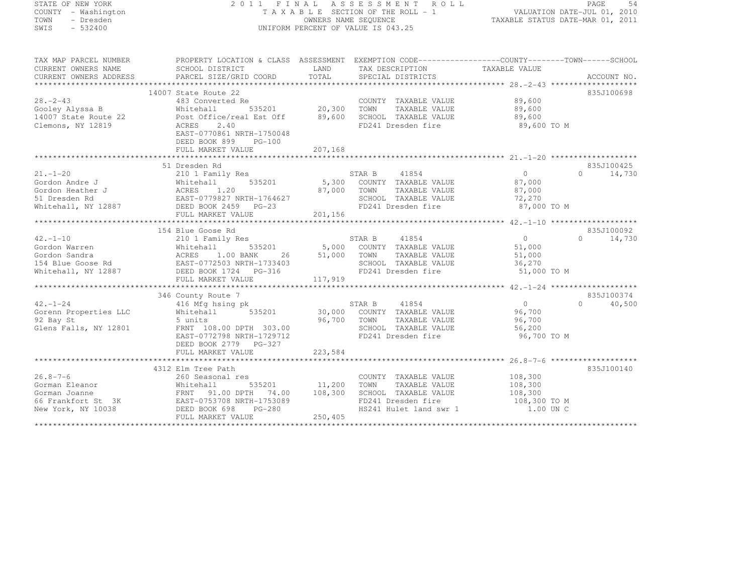# STATE OF NEW YORK 2 0 1 1 F I N A L A S S E S S M E N T R O L L PAGE <sup>54</sup> COUNTY - Washington T A X A B L E SECTION OF THE ROLL - 1 VALUATION DATE-JUL 01, 2010 TOWN - Dresden OWNERS NAME SEQUENCE TAXABLE STATUS DATE-MAR 01, 2011<br>- TRESDEN ON THE SEQUENCE TO A SECUENCE TO A SECUENCE THE SEQUENCE OF THE SECUENCE OF THE SECUENCE OF THE SECOND SWIS - 532400 UNIFORM PERCENT OF VALUE IS 043.25

TAX MAP PARCEL NUMBER PROPERTY LOCATION & CLASS ASSESSMENT EXEMPTION CODE------------------COUNTY--------TOWN------SCHOOL

| CURRENT OWNERS NAME<br>CURRENT OWNERS ADDRESS                                  | SCHOOL DISTRICT<br>PARCEL SIZE/GRID COORD                                                                                                                                                                                                                                   | LAND<br>TOTAL        | TAX DESCRIPTION<br>SPECIAL DISTRICTS                                                                                                    | TAXABLE VALUE                                               | ACCOUNT NO.        |
|--------------------------------------------------------------------------------|-----------------------------------------------------------------------------------------------------------------------------------------------------------------------------------------------------------------------------------------------------------------------------|----------------------|-----------------------------------------------------------------------------------------------------------------------------------------|-------------------------------------------------------------|--------------------|
|                                                                                |                                                                                                                                                                                                                                                                             |                      |                                                                                                                                         |                                                             |                    |
| $28. - 2 - 43$<br>Gooley Alyssa B<br>14007 State Route 22<br>Clemons, NY 12819 | 14007 State Route 22<br>483 Converted Re<br>535201 20,300<br>Whitehall<br>Post Office/real Est Off<br>2.40<br>ACRES<br>EAST-0770861 NRTH-1750048<br>DEED BOOK 899<br>PG-100<br>FULL MARKET VALUE                                                                            | 89,600<br>207,168    | COUNTY TAXABLE VALUE<br>TOWN<br>TAXABLE VALUE<br>SCHOOL TAXABLE VALUE<br>FD241 Dresden fire                                             | 89,600<br>89,600<br>89,600<br>89,600 TO M                   | 835J100698         |
|                                                                                | 51 Dresden Rd                                                                                                                                                                                                                                                               |                      |                                                                                                                                         |                                                             | 835J100425         |
| $21. - 1 - 20$<br>Gordon Andre J<br>Gordon Heather J<br>51 Dresden Rd          | 210 1 Family Res<br>Whitehall 535201<br>ACRES 1.20<br>EAST-0779827 NRTH-1764627<br>Whitehall, NY 12887 DEED BOOK 2459 PG-23                                                                                                                                                 | 87,000               | STAR B<br>41854<br>5,300 COUNTY TAXABLE VALUE<br>TOWN<br>TAXABLE VALUE<br>SCHOOL TAXABLE VALUE 72,270<br>FD241 Dresden fire 87,000 TO M | $\overline{0}$<br>87,000<br>87,000                          | $\Omega$<br>14,730 |
|                                                                                | 154 Blue Goose Rd                                                                                                                                                                                                                                                           |                      |                                                                                                                                         |                                                             | 835J100092         |
| $42. - 1 - 10$                                                                 | 210 1 Family Res<br>FULL MARKET VALUE                                                                                                                                                                                                                                       | 26 51,000<br>117,919 | STAR B<br>41854<br>535201 5,000 COUNTY TAXABLE VALUE<br>TOWN<br>TAXABLE VALUE<br>SCHOOL TAXABLE VALUE<br>FD241 Dresden fire             | $\overline{0}$<br>51,000<br>51,000<br>36,270<br>51,000 TO M | $\Omega$<br>14,730 |
|                                                                                | 346 County Route 7                                                                                                                                                                                                                                                          |                      |                                                                                                                                         |                                                             | 835J100374         |
| $42. - 1 - 24$<br>Gorenn Properties LLC<br>92 Bay St<br>Glens Falls, NY 12801  | 416 Mfg hsing pk<br>535201<br>Whitehall<br>5 units<br>FRNT 108.00 DPTH 303.00<br>EAST-0772798 NRTH-1729712<br>DEED BOOK 2779 PG-327                                                                                                                                         | 96,700               | 41854<br>STAR B<br>30,000 COUNTY TAXABLE VALUE<br>TOWN<br>TAXABLE VALUE<br>SCHOOL TAXABLE VALUE<br>FD241 Dresden fire                   | $\overline{0}$<br>96,700<br>96,700<br>56,200<br>96,700 TO M | 40,500<br>$\Omega$ |
|                                                                                | FULL MARKET VALUE                                                                                                                                                                                                                                                           | 223,584              |                                                                                                                                         |                                                             |                    |
|                                                                                | 4312 Elm Tree Path<br>16.8-7-6<br>30 Seasonal 100 Seasonal 100<br>30 Seasonal 100 Seasonal 100<br>30 Seasonal 100 Seasonal 100<br>35201<br>36 Frankfort St 3K<br>66 Frankfort St 3K<br>10038<br>20 DEED BOOK 698 PG-280<br>20 PG-280<br>20 PG-280<br>20 PG-280<br>20 PG-280 | 11,200<br>108,300    | COUNTY TAXABLE VALUE<br>TOWN TAXABLE VALUE<br>SCHOOL TAXABLE VALUE<br>FD241 Dresden fire<br>HS241 Hulet land swr 1                      | 108,300<br>108,300<br>108,300<br>108,300 TO M<br>1.00 UN C  | 835J100140         |
|                                                                                |                                                                                                                                                                                                                                                                             | 250,405              |                                                                                                                                         |                                                             |                    |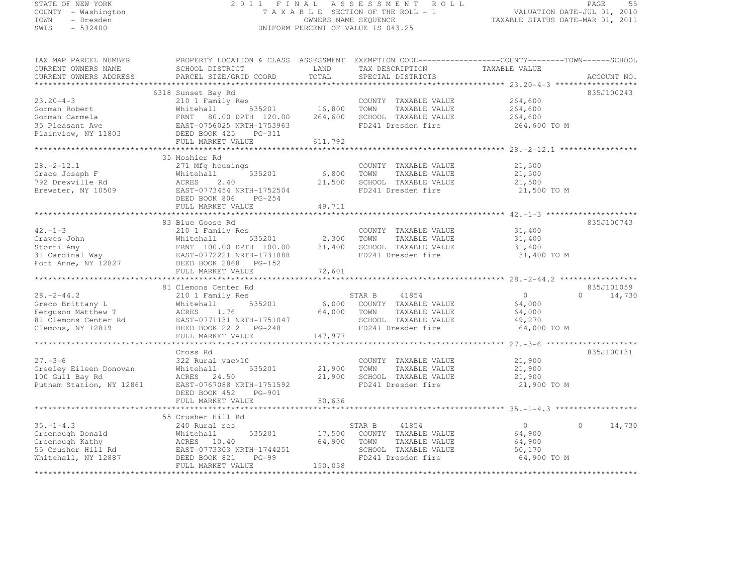# STATE OF NEW YORK 2 0 1 1 F I N A L A S S E S S M E N T R O L L PAGE <sup>55</sup> COUNTY - Washington T A X A B L E SECTION OF THE ROLL - 1 VALUATION DATE-JUL 01, 2010 TOWN - Dresden OWNERS NAME SEQUENCE TAXABLE STATUS DATE-MAR 01, 2011<br>- TRESDEN ON THE SEQUENCE TO A SECUENCE TO A SECUENCE THE SEQUENCE OF THE SECUENCE OF THE SECUENCE OF THE SECOND SWIS - 532400 UNIFORM PERCENT OF VALUE IS 043.25

| TAX MAP PARCEL NUMBER                                                                                                                                                                                                                         | PROPERTY LOCATION & CLASS ASSESSMENT EXEMPTION CODE---------------COUNTY-------TOWN------SCHOOL |             |                              |                |                    |
|-----------------------------------------------------------------------------------------------------------------------------------------------------------------------------------------------------------------------------------------------|-------------------------------------------------------------------------------------------------|-------------|------------------------------|----------------|--------------------|
| CURRENT OWNERS NAME                                                                                                                                                                                                                           | SCHOOL DISTRICT                                                                                 | LAND        | TAX DESCRIPTION              | TAXABLE VALUE  |                    |
| CURRENT OWNERS ADDRESS                                                                                                                                                                                                                        | PARCEL SIZE/GRID COORD                                                                          | TOTAL       | SPECIAL DISTRICTS            |                | ACCOUNT NO.        |
|                                                                                                                                                                                                                                               |                                                                                                 |             |                              |                |                    |
|                                                                                                                                                                                                                                               | 6318 Sunset Bay Rd                                                                              |             |                              |                | 835J100243         |
|                                                                                                                                                                                                                                               |                                                                                                 |             |                              |                |                    |
| $23.20 - 4 - 3$                                                                                                                                                                                                                               | 210 1 Family Res                                                                                |             | COUNTY TAXABLE VALUE         | 264,600        |                    |
| Gorman Robert                                                                                                                                                                                                                                 |                                                                                                 |             | TOWN<br>TAXABLE VALUE        | 264,600        |                    |
| Gorman Carmela                                                                                                                                                                                                                                | Whitehall 535201 16,800<br>FRNT 80.00 DPTH 120.00 264,600                                       |             | SCHOOL TAXABLE VALUE         | 264,600        |                    |
|                                                                                                                                                                                                                                               | EAST-0756025 NRTH-1753963                                                                       |             | FD241 Dresden fire           | 264,600 TO M   |                    |
|                                                                                                                                                                                                                                               | PG-311                                                                                          |             |                              |                |                    |
|                                                                                                                                                                                                                                               | FULL MARKET VALUE                                                                               | 611,792     |                              |                |                    |
|                                                                                                                                                                                                                                               |                                                                                                 |             |                              |                |                    |
|                                                                                                                                                                                                                                               |                                                                                                 |             |                              |                |                    |
|                                                                                                                                                                                                                                               | 35 Moshier Rd                                                                                   |             |                              |                |                    |
| $28. -2 - 12.1$                                                                                                                                                                                                                               | 271 Mfg housings                                                                                |             | COUNTY TAXABLE VALUE         | 21,500         |                    |
| Grace Joseph F                                                                                                                                                                                                                                | Whitehall 535201<br>ACRES 2.40<br>EAST-0773454 NRTH-1752504                                     | 6,800 TOWN  | TAXABLE VALUE                | 21,500         |                    |
| 792 Drewville Rd                                                                                                                                                                                                                              |                                                                                                 |             | 21,500 SCHOOL TAXABLE VALUE  | 21,500         |                    |
| Brewster, NY 10509                                                                                                                                                                                                                            |                                                                                                 |             | FD241 Dresden fire           | 21,500 TO M    |                    |
|                                                                                                                                                                                                                                               |                                                                                                 |             |                              |                |                    |
|                                                                                                                                                                                                                                               | PG-254<br>DEED BOOK 806                                                                         |             |                              |                |                    |
|                                                                                                                                                                                                                                               | FULL MARKET VALUE                                                                               | 49,711      |                              |                |                    |
|                                                                                                                                                                                                                                               |                                                                                                 |             |                              |                |                    |
|                                                                                                                                                                                                                                               | 83 Blue Goose Rd                                                                                |             |                              |                | 835J100743         |
| $42. -1 - 3$                                                                                                                                                                                                                                  | 210 1 Family Res                                                                                |             | COUNTY TAXABLE VALUE         | 31,400         |                    |
| Graves John<br>Storti Amy Mhitehall 535201<br>Storti Amy FRNT 100.00 DPTH 100.00<br>Storti Amy FRNT 100.00 DPTH 100.00<br>SCHOOL TAXABLE VALUE<br>STORT AME FOR SCHOOL TAXABLE VALUE<br>FOR TAXABLE VALUE<br>FOR TAXABLE VALUE<br>FOR TAXABLE |                                                                                                 |             |                              | 31,400         |                    |
|                                                                                                                                                                                                                                               |                                                                                                 |             |                              |                |                    |
|                                                                                                                                                                                                                                               |                                                                                                 |             |                              | 31,400         |                    |
|                                                                                                                                                                                                                                               |                                                                                                 |             | FD241 Dresden fire           | 31,400 TO M    |                    |
|                                                                                                                                                                                                                                               |                                                                                                 |             |                              |                |                    |
|                                                                                                                                                                                                                                               | FULL MARKET VALUE                                                                               | 72,601      |                              |                |                    |
|                                                                                                                                                                                                                                               |                                                                                                 |             |                              |                |                    |
|                                                                                                                                                                                                                                               | 81 Clemons Center Rd                                                                            |             |                              |                | 835J101059         |
|                                                                                                                                                                                                                                               |                                                                                                 |             |                              |                | $\Omega$           |
| $28 - 2 - 44.2$                                                                                                                                                                                                                               | 210 1 Family Res                                                                                |             | STAR B 41854                 | $\overline{0}$ | 14,730             |
| Greco Brittany L                                                                                                                                                                                                                              | 535201<br>Whitehall                                                                             |             | 6,000 COUNTY TAXABLE VALUE   | 64,000         |                    |
| Ferquson Matthew T                                                                                                                                                                                                                            | 1.76<br>ACRES                                                                                   | 64,000 TOWN | TAXABLE VALUE                | 64,000         |                    |
| 81 Clemons Center Rd                                                                                                                                                                                                                          | EAST-0771131 NRTH-1751047                                                                       |             | SCHOOL TAXABLE VALUE         | 49,270         |                    |
| Clemons, NY 12819                                                                                                                                                                                                                             |                                                                                                 |             | FD241 Dresden fire           | 64,000 TO M    |                    |
|                                                                                                                                                                                                                                               | FULL MARKET VALUE                                                                               | 147,977     |                              |                |                    |
|                                                                                                                                                                                                                                               |                                                                                                 |             |                              |                |                    |
|                                                                                                                                                                                                                                               |                                                                                                 |             |                              |                |                    |
|                                                                                                                                                                                                                                               | Cross Rd                                                                                        |             |                              |                | 835J100131         |
| $27. - 3 - 6$                                                                                                                                                                                                                                 | 322 Rural vac>10                                                                                |             | COUNTY TAXABLE VALUE 21,900  |                |                    |
| Greeley Eileen Donovan                                                                                                                                                                                                                        | 535201<br>Whitehall                                                                             |             | 21,900 TOWN<br>TAXABLE VALUE | 21,900         |                    |
| 100 Gull Bay Rd                                                                                                                                                                                                                               | ACRES 24.50                                                                                     |             | 21,900 SCHOOL TAXABLE VALUE  | 21,900         |                    |
| Putnam Station, NY 12861                                                                                                                                                                                                                      | EAST-0767088 NRTH-1751592                                                                       |             | FD241 Dresden fire           | 21,900 TO M    |                    |
|                                                                                                                                                                                                                                               |                                                                                                 |             |                              |                |                    |
|                                                                                                                                                                                                                                               | DEED BOOK 452<br>PG-901                                                                         |             |                              |                |                    |
|                                                                                                                                                                                                                                               | FULL MARKET VALUE                                                                               | 50,636      |                              |                |                    |
|                                                                                                                                                                                                                                               |                                                                                                 |             |                              |                |                    |
|                                                                                                                                                                                                                                               | 55 Crusher Hill Rd                                                                              |             |                              |                |                    |
| $35. - 1 - 4.3$                                                                                                                                                                                                                               | 240 Rural res                                                                                   |             | STAR B<br>41854              | $\overline{0}$ | $\Omega$<br>14,730 |
| Greenough Donald                                                                                                                                                                                                                              | 535201<br>Whitehall                                                                             |             | 17,500 COUNTY TAXABLE VALUE  | 64,900         |                    |
|                                                                                                                                                                                                                                               |                                                                                                 | 64,900      | TOWN<br>TAXABLE VALUE        | 64,900         |                    |
| Greenough Kathy                                                                                                                                                                                                                               |                                                                                                 |             |                              |                |                    |
|                                                                                                                                                                                                                                               | ACRES 10.40                                                                                     |             |                              |                |                    |
| 55 Crusher Hill Rd                                                                                                                                                                                                                            | EAST-0773303 NRTH-1744251                                                                       |             | SCHOOL TAXABLE VALUE         | 50,170         |                    |
| Whitehall, NY 12887                                                                                                                                                                                                                           | DEED BOOK 821<br>$PG-99$                                                                        |             | FD241 Dresden fire           | 64,900 TO M    |                    |
|                                                                                                                                                                                                                                               | FULL MARKET VALUE                                                                               | 150,058     |                              |                |                    |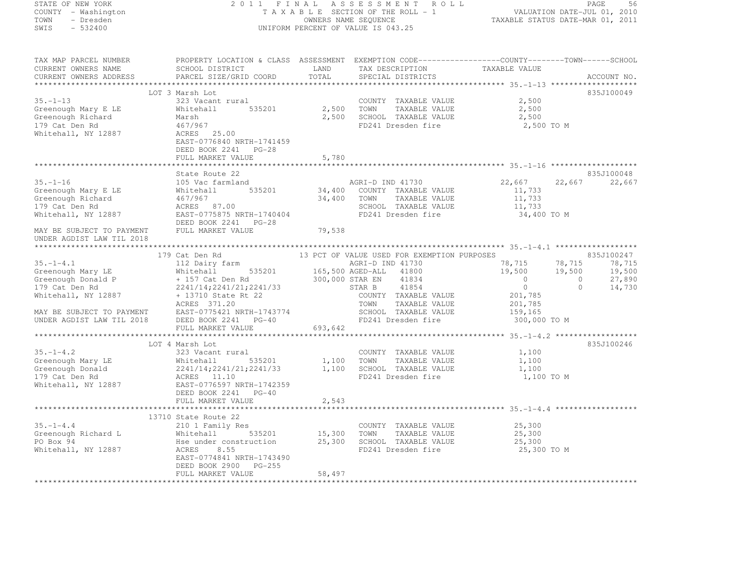STATE OF NEW YORK 2 0 1 1 F I N A L A S S E S S M E N T R O L L PAGE <sup>56</sup> COUNTY - Washington T A X A B L E SECTION OF THE ROLL - 1 VALUATION DATE-JUL 01, 2010 TOWN - Dresden OWNERS NAME SEQUENCE TAXABLE STATUS DATE-MAR 01, 2011<br>- TRESDEN ON THE SEQUENCE TO A SECUENCE TO A SECUENCE THE SEQUENCE OF THE SECUENCE OF THE SECUENCE OF THE SECOND SWIS - 532400 UNIFORM PERCENT OF VALUE IS 043.25 TAX MAP PARCEL NUMBER PROPERTY LOCATION & CLASS ASSESSMENT EXEMPTION CODE------------------COUNTY--------TOWN------SCHOOL CURRENT OWNERS NAME SCHOOL DISTRICT LAND TAX DESCRIPTION TAXABLE VALUE<br>CURRENT OWNERS ADDRESS PARCEL SIZE/GRID COORD TOTAL SPECIAL DISTRICTS ACCOUNT NO. \*\*\*\*\*\*\*\*\*\*\*\*\*\*\*\*\*\*\*\*\*\*\*\*\*\*\*\*\*\*\*\*\*\*\*\*\*\*\*\*\*\*\*\*\*\*\*\*\*\*\*\*\*\*\*\*\*\*\*\*\*\*\*\*\*\*\*\*\*\*\*\*\*\*\*\*\*\*\*\*\*\*\*\*\*\*\*\*\*\*\*\*\*\*\*\*\*\*\*\*\*\*\* 35.-1-13 \*\*\*\*\*\*\*\*\*\*\*\*\*\*\*\*\*\*\*835J100049 LOT 3 Marsh Lot 835J10004935.-1-13 323 Vacant rural COUNTY TAXABLE VALUE 2,500 Greenough Mary E LE Whitehall 535201 2,500 TOWN TAXABLE VALUE 2,500 Greenough Richard Marsh 2,500 SCHOOL TAXABLE VALUE 2,500 179 Cat Den Rd 467/967 (1892)<br>179 Cat Den Rd 467/967 (1896) 179 Cat Den Robert ED241 Dresden fire 1990 2,500 TO M Whitehall, NY 12887<br>
EAST-0776840 NRTH-1741459<br>DEED BOOK 2241 PG-28<br>
DEED BOOK 2241 PG-28 FULL MARKET VALUE 5,780 \*\*\*\*\*\*\*\*\*\*\*\*\*\*\*\*\*\*\*\*\*\*\*\*\*\*\*\*\*\*\*\*\*\*\*\*\*\*\*\*\*\*\*\*\*\*\*\*\*\*\*\*\*\*\*\*\*\*\*\*\*\*\*\*\*\*\*\*\*\*\*\*\*\*\*\*\*\*\*\*\*\*\*\*\*\*\*\*\*\*\*\*\*\*\*\*\*\*\*\*\*\*\* 35.-1-16 \*\*\*\*\*\*\*\*\*\*\*\*\*\*\*\*\*\*\* State Route 22 835J100048 35.-1-16 105 Vac farmland AGRI-D IND 41730 22,667 22,667 22,667 Greenough Mary E LE Whitehall 535201 34,400 COUNTY TAXABLE VALUE 11,733 Greenough Richard 467/967 34,400 TOWN TAXABLE VALUE 11,733 179 Cat Den Rd ACRES 87.00 SCHOOL TAXABLE VALUE 11,733 Whitehall, NY 12887 EAST-0775875 NRTH-1740404 FD241 Dresden fire 34,400 TO M DEED BOOK 2241 PG-28 Whitehall, NY 12887<br>DEED BOOK 2241 PG-28<br>MAY BE SUBJECT TO PAYMENT FULL MARKET VALUE 79,538 UNDER AGDIST LAW TIL 2018 \*\*\*\*\*\*\*\*\*\*\*\*\*\*\*\*\*\*\*\*\*\*\*\*\*\*\*\*\*\*\*\*\*\*\*\*\*\*\*\*\*\*\*\*\*\*\*\*\*\*\*\*\*\*\*\*\*\*\*\*\*\*\*\*\*\*\*\*\*\*\*\*\*\*\*\*\*\*\*\*\*\*\*\*\*\*\*\*\*\*\*\*\*\*\*\*\*\*\*\*\*\*\* 35.-1-4.1 \*\*\*\*\*\*\*\*\*\*\*\*\*\*\*\*\*\* 179 Cat Den Rd 13 PCT OF VALUE USED FOR EXEMPTION PURPOSES 835J100247 35.-1-4.1 112 Dairy farm AGRI-D IND 41730 78,715 78,715 78,715 Greenough Mary LE Whitehall 535201 165,500 AGED-ALL <sup>41800</sup> 19,500 19,500 19,500 Greenough Donald P + 157 Cat Den Rd 300,000 STAR EN 41834 0 0 27,890<br>The State of the State of Cat Den Research 2007 0 27,890 179 Cat Den Rd 2008 (2241/14;2241/21;2241/33 STAR B 41854 0 0 14,730 14,730 0 14,730 Whitehall, NY 12887 + 13710 State Rt 22 COUNTY TAXABLE VALUE 201,785 ACRES 371.20<br>
TOWN TAXABLE VALUE 201,785<br>
TOWN TAXABLE VALUE 201,785 MAY BE SUBJECT TO PAYMENT EAST-0775421 NRTH-1743774 SCHOOL TAXABLE VALUE 159,165 UNDER AGDIST LAW TIL 2018 DEED BOOK 2241 PG-40 FD241 Dresden fire 300,000 TO M FULL MARKET VALUE 693,642 \*\*\*\*\*\*\*\*\*\*\*\*\*\*\*\*\*\*\*\*\*\*\*\*\*\*\*\*\*\*\*\*\*\*\*\*\*\*\*\*\*\*\*\*\*\*\*\*\*\*\*\*\*\*\*\*\*\*\*\*\*\*\*\*\*\*\*\*\*\*\*\*\*\*\*\*\*\*\*\*\*\*\*\*\*\*\*\*\*\*\*\*\*\*\*\*\*\*\*\*\*\*\* 35.-1-4.2 \*\*\*\*\*\*\*\*\*\*\*\*\*\*\*\*\*\*835J100246 LOT 4 Marsh Lot 835J10024635.-1-4.2 323 Vacant rural COUNTY TAXABLE VALUE 1,100 Greenough Mary LE Whitehall 535201 1,100 TOWN TAXABLE VALUE 1,100 Greenough Donald 2241/14;2241/21;2241/33 1,100 SCHOOL TAXABLE VALUE 1,100 179 Cat Den Rd ACRES 11.10 FD241 Dresden fire 1,100 TO M Whitehall, NY 12887 EAST-0776597 NRTH-1742359 DEED BOOK 2241 PG-40 FULL MARKET VALUE 2,543 \*\*\*\*\*\*\*\*\*\*\*\*\*\*\*\*\*\*\*\*\*\*\*\*\*\*\*\*\*\*\*\*\*\*\*\*\*\*\*\*\*\*\*\*\*\*\*\*\*\*\*\*\*\*\*\*\*\*\*\*\*\*\*\*\*\*\*\*\*\*\*\*\*\*\*\*\*\*\*\*\*\*\*\*\*\*\*\*\*\*\*\*\*\*\*\*\*\*\*\*\*\*\* 35.-1-4.4 \*\*\*\*\*\*\*\*\*\*\*\*\*\*\*\*\*\*13710 State Route 22<br>25,300 210 1 Family Res COUNTY TAXABLE VALUE<br>25,300 2010 25,300 2011 2011 2021 25,300 Greenough Richard L Whitehall 535201 15,300 TOWN TAXABLE VALUE 25,300 PO Box 94 hse under construction 25,300 SCHOOL TAXABLE VALUE 25,300 Whitehall, NY 12887 ACRES 8.55 FD241 Dresden fire 25,300 TO M EAST-0774841 NRTH-1743490 DEED BOOK 2900 PG-255 FULL MARKET VALUE 58,497

\*\*\*\*\*\*\*\*\*\*\*\*\*\*\*\*\*\*\*\*\*\*\*\*\*\*\*\*\*\*\*\*\*\*\*\*\*\*\*\*\*\*\*\*\*\*\*\*\*\*\*\*\*\*\*\*\*\*\*\*\*\*\*\*\*\*\*\*\*\*\*\*\*\*\*\*\*\*\*\*\*\*\*\*\*\*\*\*\*\*\*\*\*\*\*\*\*\*\*\*\*\*\*\*\*\*\*\*\*\*\*\*\*\*\*\*\*\*\*\*\*\*\*\*\*\*\*\*\*\*\*\*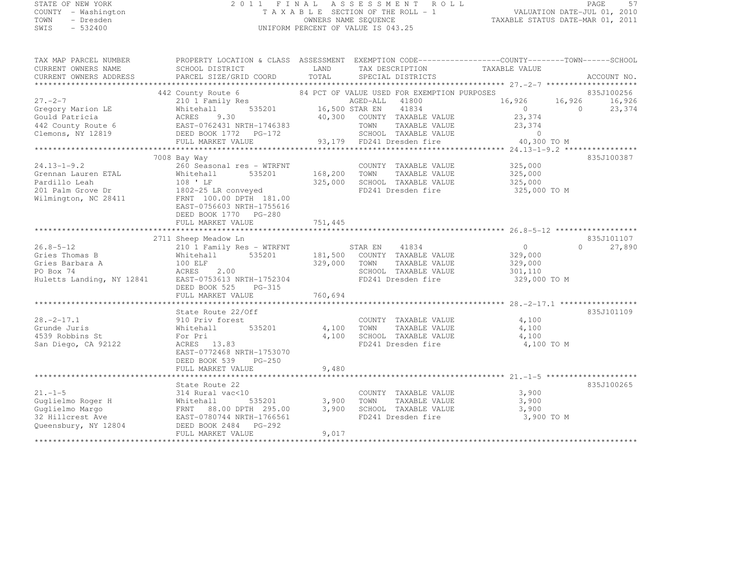# STATE OF NEW YORK 2 0 1 1 F I N A L A S S E S S M E N T R O L L PAGE <sup>57</sup> COUNTY - Washington T A X A B L E SECTION OF THE ROLL - 1 VALUATION DATE-JUL 01, 2010 TOWN - Dresden OWNERS NAME SEQUENCE TAXABLE STATUS DATE-MAR 01, 2011<br>- TRESDEN ON THE SEQUENCE TO A SECUENCE TO A SECUENCE THE SEQUENCE OF THE SECUENCE OF THE SECUENCE OF THE SECOND SWIS - 532400 UNIFORM PERCENT OF VALUE IS 043.25

TAX MAP PARCEL NUMBER PROPERTY LOCATION & CLASS ASSESSMENT EXEMPTION CODE------------------COUNTY--------TOWN------SCHOOL

| CURRENT OWNERS NAME<br>CURRENT OWNERS ADDRESS | SCHOOL DISTRICT<br>PARCEL SIZE/GRID COORD                                                                                                                                                                   | LAND<br>TOTAL | TAX DESCRIPTION<br>SPECIAL DISTRICTS |                              | TAXABLE VALUE        | ACCOUNT NO.        |
|-----------------------------------------------|-------------------------------------------------------------------------------------------------------------------------------------------------------------------------------------------------------------|---------------|--------------------------------------|------------------------------|----------------------|--------------------|
|                                               |                                                                                                                                                                                                             |               |                                      |                              |                      |                    |
|                                               | 442 County Route 6<br>County Route 6 84 PCT OF VALUE USED FOR EXEMPTION PURPOSES                                                                                                                            |               |                                      |                              |                      | 835J100256         |
| $27. -2 - 7$                                  |                                                                                                                                                                                                             |               |                                      |                              | 16,926 16,926 16,926 |                    |
| Gregory Marion LE                             |                                                                                                                                                                                                             |               | 16,500 STAR EN 41834                 |                              | $\overline{0}$       | $\Omega$<br>23,374 |
| Gould Patricia                                |                                                                                                                                                                                                             |               | 40,300 COUNTY TAXABLE VALUE          |                              | 23,374               |                    |
| 442 County Route 6                            | Whitehall 535201<br>ACRES 9.30<br>EAST-0762431 NRTH-1746383                                                                                                                                                 |               | TOWN                                 | TAXABLE VALUE                | 23,374               |                    |
|                                               |                                                                                                                                                                                                             |               |                                      |                              |                      |                    |
|                                               |                                                                                                                                                                                                             |               |                                      |                              |                      |                    |
|                                               | 11 OCHOOL TAXABLE VALUE 100000 OBED BOOK 1772 PG-172 SCHOOL TAXABLE VALUE 100000 ON TO M<br>FULL MARKET VALUE 93,179 FD241 Dresden fire 40,300 TO M FULL MARKET VALUE 93,179 FD241 Dresden fire 40,300 TO M |               |                                      |                              |                      |                    |
|                                               | 7008 Bay Way                                                                                                                                                                                                |               |                                      |                              |                      | 835J100387         |
| $24.13 - 1 - 9.2$                             | 260 Seasonal res - WTRFNT                                                                                                                                                                                   |               |                                      | COUNTY TAXABLE VALUE 325,000 |                      |                    |
|                                               |                                                                                                                                                                                                             | 168,200       | TOWN                                 | TAXABLE VALUE                | 325,000              |                    |
|                                               |                                                                                                                                                                                                             | 325,000       | SCHOOL TAXABLE VALUE                 |                              | 325,000              |                    |
|                                               | Grennan Lauren ETAL Mhitehall 535201<br>Pardillo Leah 108 'LF<br>201 Palm Grove Dr 1802-25 LR conveyed<br>Wilmington, NC 28411 FRNT 100.00 DPTH 181.00                                                      |               | FD241 Dresden fire                   |                              | 325,000 TO M         |                    |
|                                               |                                                                                                                                                                                                             |               |                                      |                              |                      |                    |
|                                               | EAST-0756603 NRTH-1755616                                                                                                                                                                                   |               |                                      |                              |                      |                    |
|                                               | DEED BOOK 1770 PG-280                                                                                                                                                                                       |               |                                      |                              |                      |                    |
|                                               | FULL MARKET VALUE                                                                                                                                                                                           | 751,445       |                                      |                              |                      |                    |
|                                               |                                                                                                                                                                                                             |               |                                      |                              |                      |                    |
|                                               | 2711 Sheep Meadow Ln                                                                                                                                                                                        |               |                                      |                              |                      | 835J101107         |
| 26.8-5-12                                     | 210 1 Family Res - WTRFNT                                                                                                                                                                                   |               | STAR EN<br>41834                     |                              | $\overline{0}$       | $\Omega$<br>27,890 |
| Gries Thomas B                                | 535201<br>Whitehall                                                                                                                                                                                         |               | 181,500 COUNTY TAXABLE VALUE         |                              | 329,000              |                    |
| Gries Barbara A                               | $100$ ELF                                                                                                                                                                                                   | 329,000       | TOWN                                 | TAXABLE VALUE                | 329,000              |                    |
|                                               |                                                                                                                                                                                                             |               | SCHOOL TAXABLE VALUE                 |                              | 301,110              |                    |
|                                               |                                                                                                                                                                                                             |               | FD241 Dresden fire                   |                              | 329,000 TO M         |                    |
|                                               | DEED BOOK 525<br>$PG-315$                                                                                                                                                                                   |               |                                      |                              |                      |                    |
|                                               |                                                                                                                                                                                                             |               |                                      |                              |                      |                    |
|                                               |                                                                                                                                                                                                             |               |                                      |                              |                      |                    |
|                                               | State Route 22/Off                                                                                                                                                                                          |               |                                      |                              |                      | 835J101109         |
| $28, -2 - 17, 1$                              |                                                                                                                                                                                                             |               |                                      | COUNTY TAXABLE VALUE         | 4,100                |                    |
| Grunde Juris                                  | 910 Priv forest<br>Whitehall<br>535201                                                                                                                                                                      | 4,100         | TOWN                                 | TAXABLE VALUE                | 4,100                |                    |
| 4539 Robbins St                               | For Pri                                                                                                                                                                                                     | 4,100         | SCHOOL TAXABLE VALUE                 |                              | 4,100                |                    |
| San Diego, CA 92122                           | $ACRES$ 13.83                                                                                                                                                                                               |               | FD241 Dresden fire                   |                              | 4,100 TO M           |                    |
|                                               | EAST-0772468 NRTH-1753070                                                                                                                                                                                   |               |                                      |                              |                      |                    |
|                                               | DEED BOOK 539<br><b>PG-250</b>                                                                                                                                                                              |               |                                      |                              |                      |                    |
|                                               | FULL MARKET VALUE                                                                                                                                                                                           | 9,480         |                                      |                              |                      |                    |
|                                               |                                                                                                                                                                                                             |               |                                      |                              |                      |                    |
|                                               | State Route 22                                                                                                                                                                                              |               |                                      |                              |                      | 835J100265         |
|                                               |                                                                                                                                                                                                             |               |                                      | COUNTY TAXABLE VALUE         | 3,900                |                    |
|                                               | 535201                                                                                                                                                                                                      |               | 3,900 TOWN TAXABLE VALUE             |                              | 3,900                |                    |
|                                               |                                                                                                                                                                                                             | 3,900         | SCHOOL TAXABLE VALUE                 |                              | 3,900                |                    |
|                                               |                                                                                                                                                                                                             |               | FD241 Dresden fire                   |                              | 3,900 TO M           |                    |
|                                               |                                                                                                                                                                                                             |               |                                      |                              |                      |                    |
|                                               | FULL MARKET VALUE                                                                                                                                                                                           | 9,017         |                                      |                              |                      |                    |
|                                               |                                                                                                                                                                                                             |               |                                      |                              |                      |                    |
|                                               |                                                                                                                                                                                                             |               |                                      |                              |                      |                    |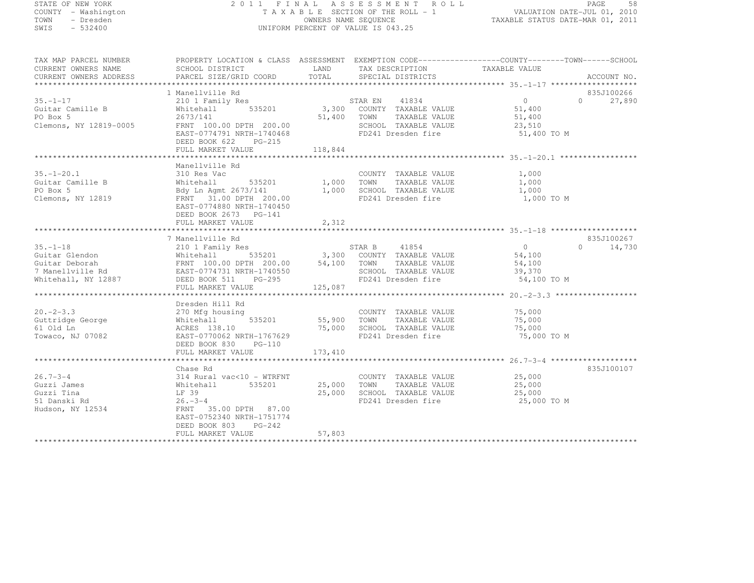# STATE OF NEW YORK 2 0 1 1 F I N A L A S S E S S M E N T R O L L PAGE <sup>58</sup> COUNTY - Washington T A X A B L E SECTION OF THE ROLL - 1 VALUATION DATE-JUL 01, 2010 TOWN - Dresden OWNERS NAME SEQUENCE TAXABLE STATUS DATE-MAR 01, 2011<br>- TRESDEN ON THE SEQUENCE TO A SECUENCE TO A SECUENCE THE SEQUENCE OF THE SECUENCE OF THE SECUENCE OF THE SECOND SWIS - 532400 UNIFORM PERCENT OF VALUE IS 043.25

| TAX MAP PARCEL NUMBER<br>CURRENT OWNERS NAME<br>CURRENT OWNERS ADDRESS                                                                                                                                                                                                       | PROPERTY LOCATION & CLASS ASSESSMENT EXEMPTION CODE-----------------COUNTY-------TOWN------SCHOOL<br>SCHOOL DISTRICT<br><b>EXAMPLE DESCRIPTION OF STREET AND LAND</b><br>PARCEL SIZE/GRID COORD TOTAL |         | TAX DESCRIPTION TAXABLE VALUE<br>SPECIAL DISTRICTS<br>SPECIAL DISTRICTS                                |                                           | ACCOUNT NO.                               |
|------------------------------------------------------------------------------------------------------------------------------------------------------------------------------------------------------------------------------------------------------------------------------|-------------------------------------------------------------------------------------------------------------------------------------------------------------------------------------------------------|---------|--------------------------------------------------------------------------------------------------------|-------------------------------------------|-------------------------------------------|
|                                                                                                                                                                                                                                                                              |                                                                                                                                                                                                       |         |                                                                                                        |                                           |                                           |
| $35. - 1 - 17$<br>Guitar Camille B<br>PO Box 5<br>Clemons, NY 12819-0005                                                                                                                                                                                                     | 1 Manellville Rd<br>210 1 Family Res<br>Whitehall<br>DEED BOOK 622 PG-215                                                                                                                             |         |                                                                                                        | 51,400 TO M                               | 835J100266<br>27,890<br>$0 \qquad \qquad$ |
|                                                                                                                                                                                                                                                                              |                                                                                                                                                                                                       |         |                                                                                                        |                                           |                                           |
|                                                                                                                                                                                                                                                                              |                                                                                                                                                                                                       |         |                                                                                                        |                                           |                                           |
| $35. - 1 - 20.1$<br>Guitar Camille B<br>PO Box 5<br>Clemons, NY 12819                                                                                                                                                                                                        | Manellville Rd<br>310 Res Vac<br>Whitehall 535201 1,000 TOWN TAXABLE VALUE<br>EAST-0774880 NRTH-1740450<br>DEED BOOK 2673 PG-141                                                                      |         | COUNTY TAXABLE VALUE                                                                                   | 1,000<br>1,000<br>1,000<br>1,000 TO M     |                                           |
| ${\small \newline \text{c}}\xspace_{\text{PUL}}$ which will serve that the set of the set of the set of the set of the set of the set of the set of the set of the set of the set of the set of the set of the set of the set of the set of the set of t                     |                                                                                                                                                                                                       |         |                                                                                                        |                                           |                                           |
|                                                                                                                                                                                                                                                                              | 7 Manellville Rd                                                                                                                                                                                      |         |                                                                                                        |                                           | 835J100267                                |
| 35.-1-18<br>Guitar Glendon Mhitehall 535201 STAR B 41854 0<br>Guitar Deborah FRNT 100.00 DPTH 200.00 54,100 TOWN TAXABLE VALUE 54,100<br>7 Manellville Rd EAST-0774731 NRTH-1740550 SCHOOL TAXABLE VALUE 54,100<br>Whitehall, NY 12887                                       | FULL MARKET VALUE                                                                                                                                                                                     | 125,087 |                                                                                                        | 54,100 TO M                               | $0 \t 14,730$                             |
|                                                                                                                                                                                                                                                                              |                                                                                                                                                                                                       |         |                                                                                                        |                                           |                                           |
| Guttridge George<br>Guttridge George<br>The Mhitehall<br>The Milenall<br>The Monday Milenall<br>The Milenall<br>The Milenall<br>The Milenall<br>The Milenall<br>The Milenall<br>The Milenall<br>The Milenall<br>The Milenall<br>The Section of the Milen<br>Towaco, NJ 07082 | Dresden Hill Rd<br>using<br>535201 55,900 TOWN<br>EAST-0770062 NRTH-1767629<br>DEED BOOK 830 PG-110<br>FULL MARKET VALUE                                                                              | 173,410 | COUNTY TAXABLE VALUE<br>TAXABLE VALUE<br>75,000 SCHOOL TAXABLE VALUE<br>FD241 Dresden fire             | 75,000<br>75,000<br>75,000<br>75,000 TO M |                                           |
|                                                                                                                                                                                                                                                                              |                                                                                                                                                                                                       |         |                                                                                                        |                                           |                                           |
| $26.7 - 3 - 4$<br>Guzzi James<br>Guzzi Tina<br>51 Danski Rd<br>Hudson, NY 12534                                                                                                                                                                                              | Chase Rd<br>314 Rural vac<10 - WTRFNT<br>Whitehall 535201<br>LF 39<br>$26. -3 -4$<br>FRNT 35.00 DPTH 87.00<br>EAST-0752340 NRTH-1751774<br>DEED BOOK 803 PG-242                                       | 25,000  | COUNTY TAXABLE VALUE 25,000<br>25,000 TOWN TAXABLE VALUE<br>SCHOOL TAXABLE VALUE<br>FD241 Dresden fire | 25,000<br>25,000<br>25,000 TO M           | 835J100107                                |
|                                                                                                                                                                                                                                                                              | FULL MARKET VALUE                                                                                                                                                                                     | 57,803  |                                                                                                        |                                           |                                           |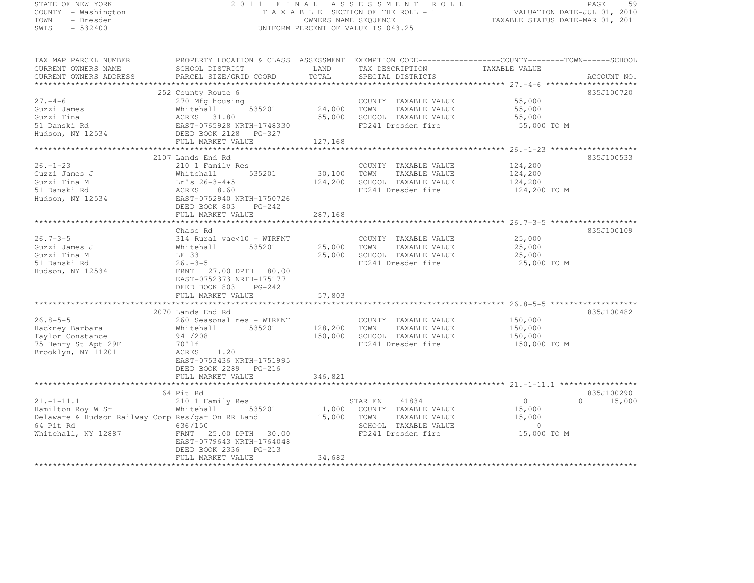| STATE OF NEW YORK |           |                     |  |
|-------------------|-----------|---------------------|--|
|                   |           | COUNTY - Washington |  |
| TOWN              |           | - Dresden           |  |
| SWIS              | $-532400$ |                     |  |

# STATE OF NEW YORK 2 0 1 1 F I N A L A S S E S S M E N T R O L L PAGE <sup>59</sup> COUNTY - Washington T A X A B L E SECTION OF THE ROLL - 1 VALUATION DATE-JUL 01, 2010 TOWN - Dresden OWNERS NAME SEQUENCE TAXABLE STATUS DATE-MAR 01, 2011<br>- TRESDEN ON THE SEQUENCE TO A SECUENCE TO A SECUENCE THE SEQUENCE OF THE SECUENCE OF THE SECUENCE OF THE SECOND SWIS - 532400 UNIFORM PERCENT OF VALUE IS 043.25

| TAX MAP PARCEL NUMBER                             |                                                                                       |                      | PROPERTY LOCATION & CLASS ASSESSMENT EXEMPTION CODE----------------COUNTY-------TOWN-----SCHOOL |                |               |
|---------------------------------------------------|---------------------------------------------------------------------------------------|----------------------|-------------------------------------------------------------------------------------------------|----------------|---------------|
| CURRENT OWNERS NAME                               | SCHOOL DISTRICT                                                                       | LAND                 | TAX DESCRIPTION                                                                                 | TAXABLE VALUE  |               |
| CURRENT OWNERS ADDRESS                            | PARCEL SIZE/GRID COORD                                                                | TOTAL                | SPECIAL DISTRICTS                                                                               |                | ACCOUNT NO.   |
|                                                   |                                                                                       |                      |                                                                                                 |                |               |
|                                                   | 252 County Route 6                                                                    |                      |                                                                                                 |                | 835J100720    |
| $27. - 4 - 6$                                     | 270 Mfg housing                                                                       |                      | COUNTY TAXABLE VALUE                                                                            | 55,000         |               |
| Guzzi James                                       | Whitehall 535201<br>ACRES 31.80<br>EAST-0765928 NRTH-1748330<br>DEED BOOK 2128 PG-327 | $535201$ 24,000 TOWN | TAXABLE VALUE                                                                                   | 55,000         |               |
| Guzzi Tina                                        |                                                                                       | 55,000               | SCHOOL TAXABLE VALUE                                                                            | 55,000         |               |
| 51 Danski Rd                                      |                                                                                       |                      | FD241 Dresden fire                                                                              | 55,000 TO M    |               |
| Hudson, NY 12534                                  | DEED BOOK 2128 PG-327                                                                 |                      |                                                                                                 |                |               |
|                                                   | FULL MARKET VALUE                                                                     | 127,168              |                                                                                                 |                |               |
|                                                   |                                                                                       |                      |                                                                                                 |                |               |
|                                                   | 2107 Lands End Rd                                                                     |                      |                                                                                                 |                | 835J100533    |
| $26. - 1 - 23$                                    | 210 1 Family Res                                                                      |                      | COUNTY TAXABLE VALUE                                                                            | 124,200        |               |
| Guzzi James J                                     | Whitehall 535201                                                                      | 30,100               | TAXABLE VALUE<br>TOWN                                                                           | 124,200        |               |
| Guzzi Tina M                                      | $Lr's 26-3-4+5$                                                                       | 124,200              | SCHOOL TAXABLE VALUE                                                                            | 124,200        |               |
| 51 Danski Rd                                      | ACRES<br>8.60                                                                         |                      | FD241 Dresden fire                                                                              | 124,200 TO M   |               |
| Hudson, NY 12534                                  | EAST-0752940 NRTH-1750726                                                             |                      |                                                                                                 |                |               |
|                                                   | DEED BOOK 803 PG-242                                                                  |                      |                                                                                                 |                |               |
|                                                   | FULL MARKET VALUE                                                                     | 287,168              |                                                                                                 |                |               |
|                                                   |                                                                                       |                      |                                                                                                 |                |               |
|                                                   | Chase Rd                                                                              |                      |                                                                                                 |                | 835J100109    |
| $26.7 - 3 - 5$                                    | $314$ Rural vac<10 - WTRFNT                                                           |                      | COUNTY TAXABLE VALUE                                                                            | 25,000         |               |
| Guzzi James J                                     | 535201<br>Whitehall                                                                   | 25,000 TOWN          | TAXABLE VALUE                                                                                   | 25,000         |               |
| Guzzi Tina M                                      | LF 33                                                                                 |                      | 25,000 SCHOOL TAXABLE VALUE                                                                     | 25,000         |               |
| 51 Danski Rd                                      | $26. - 3 - 5$                                                                         |                      | FD241 Dresden fire                                                                              | 25,000 TO M    |               |
| Hudson, NY 12534                                  | FRNT 27.00 DPTH 80.00                                                                 |                      |                                                                                                 |                |               |
|                                                   | EAST-0752373 NRTH-1751771                                                             |                      |                                                                                                 |                |               |
|                                                   | DEED BOOK 803 PG-242                                                                  |                      |                                                                                                 |                |               |
|                                                   | FULL MARKET VALUE                                                                     | 57,803               |                                                                                                 |                |               |
|                                                   |                                                                                       |                      |                                                                                                 |                |               |
|                                                   | 2070 Lands End Rd                                                                     |                      |                                                                                                 |                | 835J100482    |
| $26.8 - 5 - 5$                                    | 260 Seasonal res - WTRFNT                                                             |                      | COUNTY TAXABLE VALUE                                                                            | 150,000        |               |
| Hackney Barbara                                   | 535201 128,200 TOWN<br>Whitehall                                                      |                      | TAXABLE VALUE                                                                                   | 150,000        |               |
| Taylor Constance                                  | 941/208                                                                               | 150,000              | SCHOOL TAXABLE VALUE                                                                            | 150,000        |               |
| 75 Henry St Apt 29F                               | 70'lf                                                                                 |                      | FD241 Dresden fire                                                                              | 150,000 TO M   |               |
| Brooklyn, NY 11201                                | ACRES<br>1.20                                                                         |                      |                                                                                                 |                |               |
|                                                   | EAST-0753436 NRTH-1751995                                                             |                      |                                                                                                 |                |               |
|                                                   | DEED BOOK 2289 PG-216                                                                 |                      |                                                                                                 |                |               |
|                                                   |                                                                                       | 346,821              |                                                                                                 |                |               |
|                                                   | FULL MARKET VALUE                                                                     |                      |                                                                                                 |                |               |
|                                                   |                                                                                       |                      |                                                                                                 |                | 835J100290    |
| $21. -1 - 11.1$                                   | 64 Pit Rd                                                                             |                      | STAR EN 41834                                                                                   | $\Omega$       | $0 \t 15,000$ |
|                                                   | 210 1 Family Res                                                                      |                      |                                                                                                 |                |               |
| Hamilton Roy W Sr                                 | Whitehall                                                                             |                      | 535201 1,000 COUNTY TAXABLE VALUE                                                               | 15,000         |               |
| Delaware & Hudson Railway Corp Res/gar On RR Land |                                                                                       | 15,000 TOWN          | TAXABLE VALUE                                                                                   | 15,000         |               |
| 64 Pit Rd                                         | 636/150                                                                               |                      | SCHOOL TAXABLE VALUE                                                                            | $\overline{0}$ |               |
| Whitehall, NY 12887                               | FRNT 25.00 DPTH 30.00                                                                 |                      | FD241 Dresden fire                                                                              | 15,000 TO M    |               |
|                                                   | EAST-0779643 NRTH-1764048                                                             |                      |                                                                                                 |                |               |
|                                                   | DEED BOOK 2336 PG-213                                                                 |                      |                                                                                                 |                |               |
|                                                   | FULL MARKET VALUE                                                                     | 34,682               |                                                                                                 |                |               |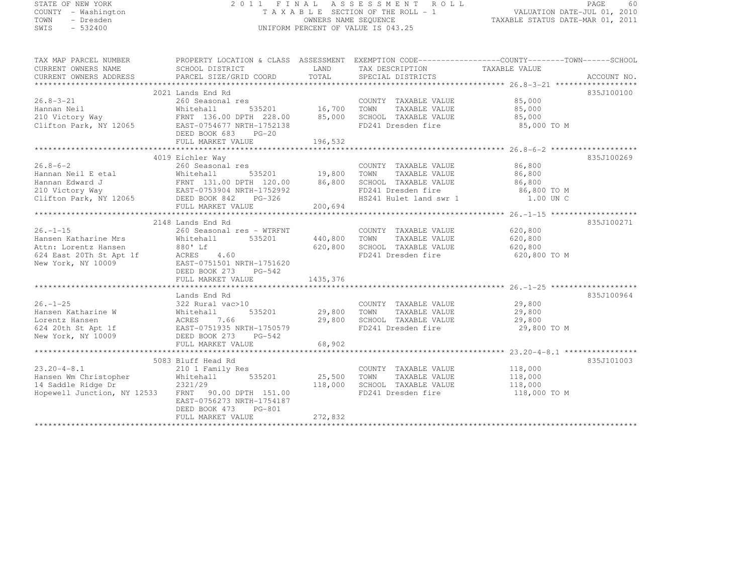# STATE OF NEW YORK 2 0 1 1 F I N A L A S S E S S M E N T R O L L PAGE <sup>60</sup> COUNTY - Washington T A X A B L E SECTION OF THE ROLL - 1 VALUATION DATE-JUL 01, 2010 TOWN - Dresden OWNERS NAME SEQUENCE TAXABLE STATUS DATE-MAR 01, 2011<br>- TRESDEN OWNERS NAME STATUS OF THE SEQUENCE OF THE SEQUENCE OF TAXABLE STATUS DATE-MAR 01, 2011 SWIS - 532400 UNIFORM PERCENT OF VALUE IS 043.25

| TAX MAP PARCEL NUMBER                                                                                                                                                                                                                | PROPERTY LOCATION & CLASS ASSESSMENT EXEMPTION CODE-----------------COUNTY-------TOWN------SCHOOL |                         |                                                              |                                                |            |
|--------------------------------------------------------------------------------------------------------------------------------------------------------------------------------------------------------------------------------------|---------------------------------------------------------------------------------------------------|-------------------------|--------------------------------------------------------------|------------------------------------------------|------------|
| CURRENT OWNERS NAME                                                                                                                                                                                                                  | SCHOOL DISTRICT                                                                                   |                         | LAND TAX DESCRIPTION                                         | TAXABLE VALUE                                  |            |
| CURRENT OWNERS ADDRESS                                                                                                                                                                                                               |                                                                                                   |                         |                                                              |                                                |            |
|                                                                                                                                                                                                                                      | 2021 Lands End Rd                                                                                 |                         |                                                              |                                                | 835J100100 |
| $26.8 - 3 - 21$                                                                                                                                                                                                                      | 260 Seasonal res                                                                                  | s<br>535201 16,700 TOWN |                                                              |                                                |            |
| Hannan Neil                                                                                                                                                                                                                          | Whitehall                                                                                         |                         | COUNTY TAXABLE VALUE $85,000$<br>TOWN TAXABLE VALUE $85,000$ |                                                |            |
|                                                                                                                                                                                                                                      |                                                                                                   |                         |                                                              |                                                |            |
| 210 Victory Way FRNT 136.00 DPTH 228.00 85,000 SCHOOL TAXABLE VALUE 85,000 SCHOOL TAXABLE VALUE 85,000 Clifton Park, NY 12065 EAST-0754677 NRTH-1752138                                                                              |                                                                                                   |                         |                                                              | 85,000 TO M                                    |            |
|                                                                                                                                                                                                                                      | DEED BOOK 683 PG-20                                                                               |                         |                                                              |                                                |            |
|                                                                                                                                                                                                                                      |                                                                                                   |                         |                                                              |                                                |            |
|                                                                                                                                                                                                                                      |                                                                                                   |                         |                                                              |                                                |            |
|                                                                                                                                                                                                                                      | 4019 Eichler Way                                                                                  |                         |                                                              |                                                | 835J100269 |
| $26.8 - 6 - 2$                                                                                                                                                                                                                       | 260 Seasonal res                                                                                  | s<br>535201 19,800 TOWN | COUNTY TAXABLE VALUE 86,800                                  |                                                |            |
|                                                                                                                                                                                                                                      |                                                                                                   |                         |                                                              |                                                |            |
|                                                                                                                                                                                                                                      |                                                                                                   |                         |                                                              |                                                |            |
|                                                                                                                                                                                                                                      |                                                                                                   |                         |                                                              |                                                |            |
| 26.8-6-2 260 Seasonal res COUNTY TAXABLE VALUE 86,800<br>Hannan Neil Eetal Whitehall 535201 19,800 TOWN TAXABLE VALUE 86,800<br>Hannan Edward J FRNT 131.00 DPTH 120.00 86,800 SCHOOL TAXABLE VALUE 86,800<br>210 Victory Way EAST-0 |                                                                                                   |                         |                                                              |                                                |            |
|                                                                                                                                                                                                                                      |                                                                                                   |                         |                                                              |                                                |            |
|                                                                                                                                                                                                                                      |                                                                                                   |                         |                                                              |                                                |            |
| $26. -1 - 15$                                                                                                                                                                                                                        | 2148 Lands End Rd                                                                                 |                         |                                                              |                                                | 835J100271 |
|                                                                                                                                                                                                                                      | 260 Seasonal res - WTRFNT                                                                         |                         | COUNTY TAXABLE VALUE 620,800                                 | 620,800                                        |            |
| Hansen Katharine Mrs                                                                                                                                                                                                                 | Whitehall<br>535201                                                                               | 440,800 TOWN            | TAXABLE VALUE                                                |                                                |            |
|                                                                                                                                                                                                                                      |                                                                                                   |                         | 620,800 SCHOOL TAXABLE VALUE 620,800                         |                                                |            |
| Attn: Lorentz Hansen<br>624 East 20Th St Apt 1f (ACRES 4.60<br>New York, NY 10009 (EAST-0751501 NRTH-1751620)                                                                                                                        |                                                                                                   |                         | FD241 Dresden fire                                           | 620,800 TO M                                   |            |
|                                                                                                                                                                                                                                      | DEED BOOK 273 PG-542                                                                              |                         |                                                              |                                                |            |
|                                                                                                                                                                                                                                      | FULL MARKET VALUE                                                                                 | 1435,376                |                                                              |                                                |            |
|                                                                                                                                                                                                                                      |                                                                                                   |                         |                                                              |                                                |            |
|                                                                                                                                                                                                                                      | Lands End Rd                                                                                      |                         |                                                              |                                                | 835J100964 |
|                                                                                                                                                                                                                                      |                                                                                                   |                         | COUNTY TAXABLE VALUE 29,800                                  |                                                |            |
|                                                                                                                                                                                                                                      | 535201 29,800                                                                                     |                         | TOWN                                                         | TAXABLE VALUE 29,800                           |            |
|                                                                                                                                                                                                                                      |                                                                                                   | 29,800                  | SCHOOL TAXABLE VALUE                                         | 29,800                                         |            |
|                                                                                                                                                                                                                                      |                                                                                                   |                         | FD241 Dresden fire                                           | 29,800 TO M                                    |            |
|                                                                                                                                                                                                                                      |                                                                                                   |                         |                                                              |                                                |            |
|                                                                                                                                                                                                                                      | FULL MARKET VALUE                                                                                 | 68,902                  |                                                              |                                                |            |
|                                                                                                                                                                                                                                      |                                                                                                   |                         |                                                              |                                                |            |
|                                                                                                                                                                                                                                      | 5083 Bluff Head Rd                                                                                |                         |                                                              |                                                | 835J101003 |
| $23.20 - 4 - 8.1$                                                                                                                                                                                                                    | 210 1 Family Res                                                                                  |                         | COUNTY TAXABLE VALUE 118,000                                 |                                                |            |
|                                                                                                                                                                                                                                      | 535201<br>Whitehall                                                                               | 25,500                  | TOWN                                                         | TAXABLE VALUE 118,000<br>TAXABLE VALUE 118,000 |            |
| Hansen Wm Christopher<br>14 Saddle Ridge Dr<br>Hopewell Junction, NY 12533                                                                                                                                                           | 2321/29                                                                                           |                         | 118,000 SCHOOL TAXABLE VALUE                                 |                                                |            |
|                                                                                                                                                                                                                                      | FRNT<br>90.00 DPTH 151.00                                                                         |                         | FD241 Dresden fire 118,000 TO M                              |                                                |            |
|                                                                                                                                                                                                                                      | EAST-0756273 NRTH-1754187                                                                         |                         |                                                              |                                                |            |
|                                                                                                                                                                                                                                      | DEED BOOK 473 PG-801<br>FULL MARKET VALUE                                                         |                         |                                                              |                                                |            |
|                                                                                                                                                                                                                                      |                                                                                                   | 272,832                 |                                                              |                                                |            |
|                                                                                                                                                                                                                                      |                                                                                                   |                         |                                                              |                                                |            |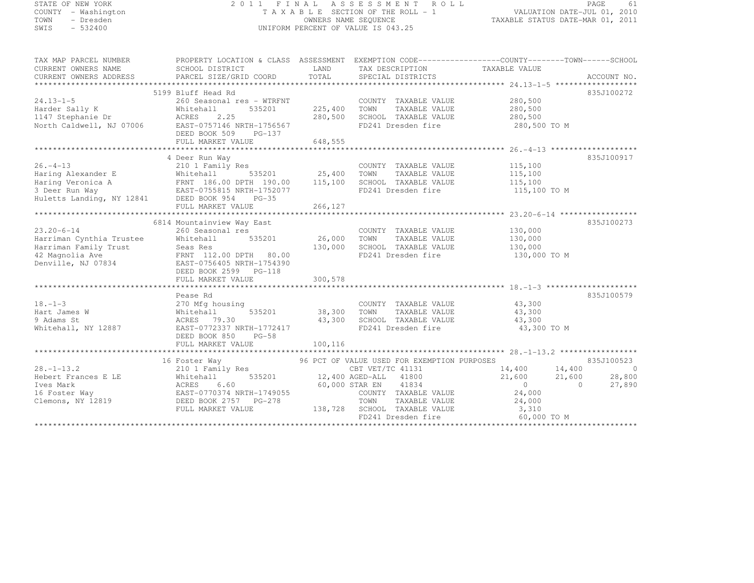| STATE OF NEW YORK |           |                     |  |
|-------------------|-----------|---------------------|--|
|                   |           | COUNTY - Washington |  |
| TOWN              |           | - Dresden           |  |
| SWIS              | $-532400$ |                     |  |

#### STATE OF NEW YORK 2 0 1 1 F I N A L A S S E S S M E N T R O L L PAGE <sup>61</sup> COUNTY - Washington T A X A B L E SECTION OF THE ROLL - 1 VALUATION DATE-JUL 01, 2010 TOWN - Dresden OWNERS NAME SEQUENCE TAXABLE STATUS DATE-MAR 01, 2011<br>- TRESDEN OWNERS NAME STATUS OF THE SEQUENCE OF THE SEQUENCE OF TAXABLE STATUS DATE-MAR 01, 2011 SWIS - 532400 CONTROL CONTROL CONTROL UNIFORM PERCENT OF VALUE IS 043.25

| TAX MAP PARCEL NUMBER<br>CURRENT OWNERS NAME<br>CURRENT OWNERS ADDRESS                                                                                                                                                              | SCHOOL DISTRICT<br>PARCEL SIZE/GRID COORD | LAND<br>TOTAL | TAX DESCRIPTION TAXABLE VALUE<br>SPECIAL DISTRICTS  | PROPERTY LOCATION & CLASS ASSESSMENT EXEMPTION CODE-----------------COUNTY-------TOWN------SCHOOL | ACCOUNT NO.    |
|-------------------------------------------------------------------------------------------------------------------------------------------------------------------------------------------------------------------------------------|-------------------------------------------|---------------|-----------------------------------------------------|---------------------------------------------------------------------------------------------------|----------------|
|                                                                                                                                                                                                                                     |                                           |               |                                                     |                                                                                                   |                |
|                                                                                                                                                                                                                                     | 5199 Bluff Head Rd                        |               |                                                     |                                                                                                   | 835J100272     |
| $24.13 - 1 - 5$                                                                                                                                                                                                                     | 260 Seasonal res - WTRFNT                 |               | COUNTY TAXABLE VALUE                                | 280,500                                                                                           |                |
|                                                                                                                                                                                                                                     | 535201<br>Whitehall                       | 225,400       | TOWN<br>TAXABLE VALUE                               | 280,500                                                                                           |                |
| Harder Sally K<br>1147 Stephanie Dr                                                                                                                                                                                                 | 2.25<br>ACRES                             | 280,500       | SCHOOL TAXABLE VALUE                                | 280,500                                                                                           |                |
| North Caldwell, NJ 07006                                                                                                                                                                                                            | EAST-0757146 NRTH-1756567                 |               | FD241 Dresden fire                                  | 280,500 TO M                                                                                      |                |
|                                                                                                                                                                                                                                     | DEED BOOK 509 PG-137                      |               |                                                     |                                                                                                   |                |
|                                                                                                                                                                                                                                     | FULL MARKET VALUE                         | 648,555       |                                                     |                                                                                                   |                |
|                                                                                                                                                                                                                                     |                                           |               |                                                     |                                                                                                   |                |
|                                                                                                                                                                                                                                     | 4 Deer Run Way                            |               |                                                     |                                                                                                   | 835J100917     |
| $26. - 4 - 13$                                                                                                                                                                                                                      | 210 1 Family Res                          |               | COUNTY TAXABLE VALUE                                | 115,100                                                                                           |                |
|                                                                                                                                                                                                                                     |                                           |               |                                                     | 115,100<br>115,100                                                                                |                |
|                                                                                                                                                                                                                                     |                                           |               |                                                     |                                                                                                   |                |
| Haring Alexander E Whitehall 535201 25,400 TOWN TAXABLE VALUE<br>Haring Veronica A FRNT 186.00 DPTH 190.00 115,100 SCHOOL TAXABLE VALUE<br>3 Deer Run Way EAST-0755815 NRTH-1752077 FD241 Dresden fire<br>Huletts Landing, NY 12841 |                                           |               | FD241 Dresden fire                                  | 115,100 TO M                                                                                      |                |
|                                                                                                                                                                                                                                     |                                           |               |                                                     |                                                                                                   |                |
|                                                                                                                                                                                                                                     |                                           |               |                                                     |                                                                                                   |                |
|                                                                                                                                                                                                                                     |                                           |               |                                                     |                                                                                                   |                |
|                                                                                                                                                                                                                                     | 6814 Mountainview Way East                |               |                                                     |                                                                                                   | 835J100273     |
| $23.20 - 6 - 14$                                                                                                                                                                                                                    | 260 Seasonal res                          |               | COUNTY TAXABLE VALUE                                | 130,000                                                                                           |                |
| Harriman Cynthia Trustee                                                                                                                                                                                                            | 535201 26,000<br>Whitehall                |               | TOWN<br>TAXABLE VALUE                               | 130,000                                                                                           |                |
| Harriman Family Trust                                                                                                                                                                                                               |                                           | 130,000       | SCHOOL TAXABLE VALUE                                | 130,000                                                                                           |                |
| 42 Magnolia Ave                                                                                                                                                                                                                     |                                           |               | FD241 Dresden fire                                  | 130,000 TO M                                                                                      |                |
| Denville, NJ 07834                                                                                                                                                                                                                  | EAST-0756405 NRTH-1754390                 |               |                                                     |                                                                                                   |                |
|                                                                                                                                                                                                                                     | DEED BOOK 2599 PG-118                     |               |                                                     |                                                                                                   |                |
|                                                                                                                                                                                                                                     | FULL MARKET VALUE                         | 300,578       |                                                     |                                                                                                   |                |
|                                                                                                                                                                                                                                     |                                           |               |                                                     |                                                                                                   |                |
|                                                                                                                                                                                                                                     | Pease Rd                                  |               |                                                     |                                                                                                   | 835J100579     |
| $18. - 1 - 3$                                                                                                                                                                                                                       | 270 Mfg housing                           |               | COUNTY TAXABLE VALUE 43,300                         |                                                                                                   |                |
| Hart James W                                                                                                                                                                                                                        | 535201<br>Whitehall                       | 38,300 TOWN   | TAXABLE VALUE                                       | 43,300                                                                                            |                |
| 9 Adams St                                                                                                                                                                                                                          | ACRES 79.30                               |               | 43,300 SCHOOL TAXABLE VALUE                         | 43,300                                                                                            |                |
| Whitehall, NY 12887                                                                                                                                                                                                                 | EAST-0772337 NRTH-1772417                 |               | FD241 Dresden fire                                  | 43,300 TO M                                                                                       |                |
|                                                                                                                                                                                                                                     | DEED BOOK 850<br>$PG-58$                  |               |                                                     |                                                                                                   |                |
|                                                                                                                                                                                                                                     | FULL MARKET VALUE                         | 100,116       |                                                     |                                                                                                   |                |
|                                                                                                                                                                                                                                     |                                           |               |                                                     |                                                                                                   |                |
|                                                                                                                                                                                                                                     | 16 Foster Way                             |               | 96 PCT OF VALUE USED FOR EXEMPTION PURPOSES         |                                                                                                   | 835J100523     |
| $28. - 1 - 13.2$                                                                                                                                                                                                                    | 210 1 Family Res                          |               | CBT VET/TC 41131                                    | 14,400 14,400                                                                                     | $\overline{0}$ |
| Hebert Frances E LE                                                                                                                                                                                                                 | Whitel<br>ACRES<br>Whitehall              |               | 535201 12,400 AGED-ALL 41800                        | 21,600<br>21,600                                                                                  | 28,800         |
| Ives Mark                                                                                                                                                                                                                           | 6.60                                      |               | 60,000 STAR EN 41834                                | $\sim$ 0<br>$\bigcap$                                                                             | 27,890         |
| 16 Foster Way<br>Clemons, NY 12819<br>DEED BOOK 2757 PG-278                                                                                                                                                                         |                                           |               | COUNTY TAXABLE VALUE                                | 24,000                                                                                            |                |
|                                                                                                                                                                                                                                     |                                           |               | TOWN<br>TAXABLE VILLE<br>TAXABLE VALUE<br>--- VALUE | 24,000                                                                                            |                |
|                                                                                                                                                                                                                                     | FULL MARKET VALUE                         |               | 138,728 SCHOOL TAXABLE VALUE                        | 3,310                                                                                             |                |
|                                                                                                                                                                                                                                     |                                           |               | FD241 Dresden fire                                  | 60,000 TO M                                                                                       |                |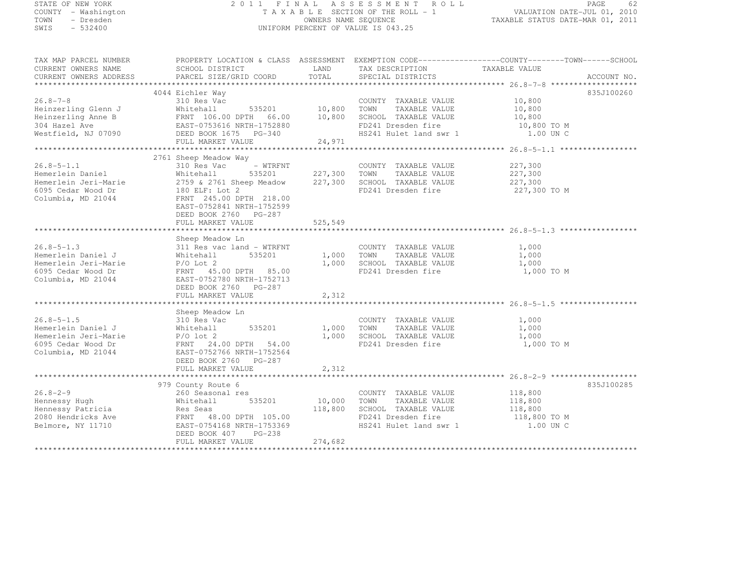# STATE OF NEW YORK 2 0 1 1 F I N A L A S S E S S M E N T R O L L PAGE <sup>62</sup> COUNTY - Washington T A X A B L E SECTION OF THE ROLL - 1 VALUATION DATE-JUL 01, 2010 TOWN - Dresden OWNERS NAME SEQUENCE TAXABLE STATUS DATE-MAR 01, 2011<br>- TRESDEN OWNERS NAME STATUS OF THE SEQUENCE OF THE SEQUENCE OF TAXABLE STATUS DATE-MAR 01, 2011 SWIS - 532400 UNIFORM PERCENT OF VALUE IS 043.25

| TAX MAP PARCEL NUMBER<br>CURRENT OWNERS NAME<br>CURRENT OWNERS ADDRESS                                                                                                                              |                                                                                                                                                                                        |         |                                                                                                                            | PROPERTY LOCATION & CLASS ASSESSMENT EXEMPTION CODE-----------------COUNTY-------TOWN------SCHOOL<br>ACCOUNT NO. |
|-----------------------------------------------------------------------------------------------------------------------------------------------------------------------------------------------------|----------------------------------------------------------------------------------------------------------------------------------------------------------------------------------------|---------|----------------------------------------------------------------------------------------------------------------------------|------------------------------------------------------------------------------------------------------------------|
| $26.8 - 7 - 8$<br>Heinzerling Glenn J                                                                                                                                                               | 4044 Eichler Way<br>310 Res Vac<br>Whitehall                                                                                                                                           |         | COUNTY TAXABLE VALUE 10,800<br>535201 10,800 TOWN TAXABLE VALUE 10,800 TOWN TAXABLE VALUE 10,800                           | 835J100260                                                                                                       |
|                                                                                                                                                                                                     |                                                                                                                                                                                        |         |                                                                                                                            |                                                                                                                  |
| $26.8 - 5 - 1.1$<br>Hemerlein Daniel<br>Hemerlein Jeri-Marie $2759 \& 2761$ Sheep Meadow $227,300$ SCHOOL TAXABLE VALUE $227,300$<br>6095 Cedar Wood Dr<br>Columbia, MD 21044<br>Columbia, MD 21044 | 2761 Sheep Meadow Way<br>310 Res Vac<br>Whitehall<br>180 ELF: Lot 2<br>FRNT 245.00 DPTH 218.00<br>EAST-0752841 NRTH-1752599<br>DEED BOOK 2760 PG-287<br>FULL MARKET VALUE              | 525,549 | FD241 Dresden fire                                                                                                         | 227,300<br>227,300<br>227,300 TO M                                                                               |
|                                                                                                                                                                                                     |                                                                                                                                                                                        |         |                                                                                                                            |                                                                                                                  |
| $26.8 - 5 - 1.3$<br>Hemerlein Daniel J<br>Hemerlein Jeri-Marie<br>6095 Cedar Wood Dr<br>Columbia, MD 21044                                                                                          | Sheep Meadow Ln<br>311 Res vac land - WTRFNT<br>535201<br>Whitehall<br>$P/O$ Lot 2<br>FRNT 45.00 DPTH 85.00<br>EAST-0752780 NRTH-1752713<br>DEED BOOK 2760 PG-287<br>FULL MARKET VALUE | 2,312   | COUNTY TAXABLE VALUE 1,000<br>1,000 TOWN TAXABLE VALUE<br>1,000 SCHOOL TAXABLE VALUE                                       | $\frac{1}{1}$ , 000<br>$\frac{1}{1}$ , 000<br>FD241 Dresden fire 1,000 TO M                                      |
|                                                                                                                                                                                                     |                                                                                                                                                                                        |         |                                                                                                                            |                                                                                                                  |
| 26.8-5-1.5<br>Hemerlein Daniel J<br>Hemerlein Jeri-Marie<br>P/O lot 2<br>6095 Cedar Wood Dr<br>Columbia, $MD 21044$                                                                                 | Sheep Meadow Ln<br>310 Res Vac<br>310 Res Vac<br>Whitehall<br>FRNT 24.00 DPTH 54.00<br>EAST-0752766 NRTH-1752564<br>DEED BOOK 2760 PG-287<br>FULL MARKET VALUE                         | 2,312   | COUNTY TAXABLE VALUE 1,000<br>535201 1,000 TOWN TAXABLE VALUE 1,000 1,000 SCHOOL TAXABLE VALUE 1,000<br>FD241 Dresden fire | 1,000 TO M                                                                                                       |
|                                                                                                                                                                                                     |                                                                                                                                                                                        |         |                                                                                                                            |                                                                                                                  |
| $26.8 - 2 - 9$<br>Hennessy Hugh<br>Hennessy Patricia<br>2080 Hendricks Ave<br>Belmore, NY 11710                                                                                                     | 979 County Route 6<br>260 Seasonal res<br>535201<br>Whitehall<br>EAST-0754168 NRTH-1753369<br>DEED BOOK 407 PG-238                                                                     |         | COUNTY TAXABLE VALUE<br>10,000 TOWN TAXABLE VALUE<br>COUNTY TAXABLE VALUE                                                  | 835J100285<br>118,800<br>118,800<br>HS241 Hulet land swr 1 1.00 UN C                                             |
|                                                                                                                                                                                                     | FULL MARKET VALUE                                                                                                                                                                      | 274,682 |                                                                                                                            |                                                                                                                  |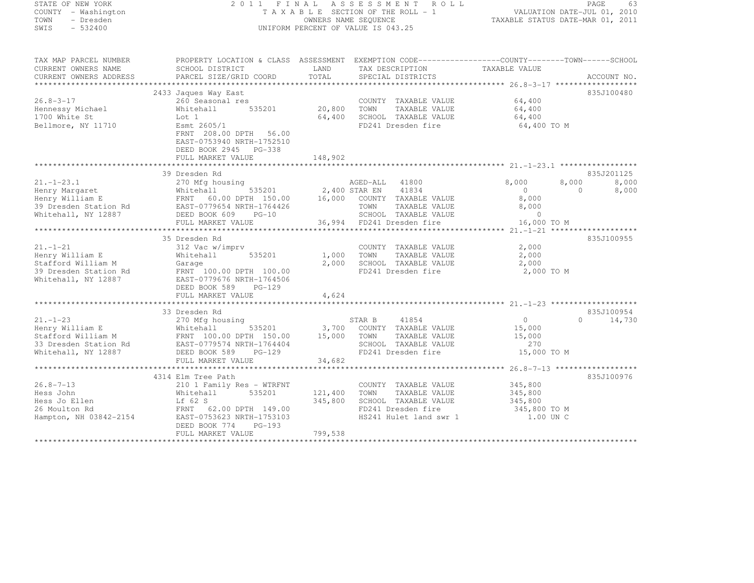| STATE OF NEW YORK      |                                                                                                                                                                                                                                            |             | 2011 FINAL ASSESSMENT ROLL         |                                                                          | PAGE<br>63         |
|------------------------|--------------------------------------------------------------------------------------------------------------------------------------------------------------------------------------------------------------------------------------------|-------------|------------------------------------|--------------------------------------------------------------------------|--------------------|
| COUNTY - Washington    |                                                                                                                                                                                                                                            |             | TAXABLE SECTION OF THE ROLL - 1    | 0 L L<br>VALUATION DATE-JUL 01, 2010<br>TAXABLE STATUS DATE-MAR 01, 2011 |                    |
| TOWN - Dresden         |                                                                                                                                                                                                                                            |             | OWNERS NAME SEQUENCE               |                                                                          |                    |
| SWIS<br>$-532400$      |                                                                                                                                                                                                                                            |             | UNIFORM PERCENT OF VALUE IS 043.25 |                                                                          |                    |
|                        |                                                                                                                                                                                                                                            |             |                                    |                                                                          |                    |
| TAX MAP PARCEL NUMBER  | PROPERTY LOCATION & CLASS ASSESSMENT EXEMPTION CODE-----------------COUNTY-------TOWN------SCHOOL                                                                                                                                          |             |                                    |                                                                          |                    |
| CURRENT OWNERS NAME    | SCHOOL DISTRICT                                                                                                                                                                                                                            | LAND        | TAX DESCRIPTION                    | TAXABLE VALUE                                                            |                    |
| CURRENT OWNERS ADDRESS | PARCEL SIZE/GRID COORD                                                                                                                                                                                                                     | TOTAL       | SPECIAL DISTRICTS                  |                                                                          | ACCOUNT NO.        |
|                        |                                                                                                                                                                                                                                            |             |                                    |                                                                          |                    |
|                        | 2433 Jaques Way East                                                                                                                                                                                                                       |             |                                    |                                                                          | 835J100480         |
| $26.8 - 3 - 17$        |                                                                                                                                                                                                                                            |             | COUNTY TAXABLE VALUE               | 64,400                                                                   |                    |
| Hennessy Michael       | 535201                                                                                                                                                                                                                                     | 20,800 TOWN | TAXABLE VALUE                      | 64,400                                                                   |                    |
| 1700 White St          |                                                                                                                                                                                                                                            | 64,400      | SCHOOL TAXABLE VALUE               | 64,400                                                                   |                    |
| Bellmore, NY 11710     | 260 Seasonal res<br>Whitehall 5<br>Lot 1<br>Esmt 2605/1                                                                                                                                                                                    |             | FD241 Dresden fire                 | 64,400 TO M                                                              |                    |
|                        | FRNT 208.00 DPTH 56.00                                                                                                                                                                                                                     |             |                                    |                                                                          |                    |
|                        | EAST-0753940 NRTH-1752510                                                                                                                                                                                                                  |             |                                    |                                                                          |                    |
|                        | DEED BOOK 2945 PG-338                                                                                                                                                                                                                      |             |                                    |                                                                          |                    |
|                        | FULL MARKET VALUE                                                                                                                                                                                                                          | 148,902     |                                    |                                                                          |                    |
|                        |                                                                                                                                                                                                                                            |             |                                    |                                                                          |                    |
|                        | 39 Dresden Rd                                                                                                                                                                                                                              |             |                                    |                                                                          | 835J201125         |
|                        | 21.-1-23.1<br>Henry Margaret 270 Mfg housing<br>Henry William E FRNT 60.00 DPTH 150.00 16,000 COUNTY TAXABLE VALUE<br>39 Dresden Station Rd EAST-0779654 NRTH-1764426 TOWN TAXABLE VALUE<br>2,400 STAR EN 41834<br>2,400 STAR EN 41834<br> |             |                                    | 8,000                                                                    | 8,000<br>8,000     |
|                        |                                                                                                                                                                                                                                            |             |                                    | $\overline{0}$                                                           | $\circ$<br>8,000   |
|                        |                                                                                                                                                                                                                                            |             |                                    | 8,000                                                                    |                    |
|                        |                                                                                                                                                                                                                                            |             | TAXABLE VALUE                      | 8,000                                                                    |                    |
|                        |                                                                                                                                                                                                                                            |             |                                    | $\sim$ 0                                                                 |                    |
|                        | FULL MARKET VALUE                                                                                                                                                                                                                          |             | 36,994 FD241 Dresden fire          | 16,000 TO M                                                              |                    |
|                        |                                                                                                                                                                                                                                            |             |                                    |                                                                          |                    |
|                        | 35 Dresden Rd                                                                                                                                                                                                                              |             |                                    |                                                                          | 835J100955         |
| $21. - 1 - 21$         | 312 Vac w/imprv                                                                                                                                                                                                                            |             | COUNTY TAXABLE VALUE               | 2,000                                                                    |                    |
| Henry William E        | 535201<br>Whitehall                                                                                                                                                                                                                        |             | 1,000 TOWN<br>TAXABLE VALUE        | 2,000                                                                    |                    |
| Stafford William M     |                                                                                                                                                                                                                                            | 2,000       | SCHOOL TAXABLE VALUE               | 2,000                                                                    |                    |
| 39 Dresden Station Rd  | Garage<br>FRNT 100.00 DPTH 100.00<br>EAST-0779676 NRTH-1764506                                                                                                                                                                             |             | FD241 Dresden fire                 | 2,000 TO M                                                               |                    |
| Whitehall, NY 12887    |                                                                                                                                                                                                                                            |             |                                    |                                                                          |                    |
|                        | DEED BOOK 589 PG-129                                                                                                                                                                                                                       |             |                                    |                                                                          |                    |
|                        | FULL MARKET VALUE                                                                                                                                                                                                                          | 4,624       |                                    |                                                                          |                    |
|                        |                                                                                                                                                                                                                                            |             |                                    |                                                                          |                    |
|                        | 33 Dresden Rd                                                                                                                                                                                                                              |             |                                    |                                                                          | 835J100954         |
| $21. - 1 - 23$         | 270 Mfg housing                                                                                                                                                                                                                            |             | STAR B 41854                       | $\overline{0}$                                                           | 14,730<br>$\Omega$ |
|                        |                                                                                                                                                                                                                                            |             | 3,700 COUNTY TAXABLE VALUE         | 15,000                                                                   |                    |
|                        |                                                                                                                                                                                                                                            |             | TOWN TAXABLE VALUE                 | 15,000                                                                   |                    |
|                        |                                                                                                                                                                                                                                            |             | SCHOOL TAXABLE VALUE               | 270                                                                      |                    |
| Whitehall, NY 12887    | DEED BOOK 589<br>PG-129                                                                                                                                                                                                                    |             | FD241 Dresden fire                 | 15,000 TO M                                                              |                    |
|                        | FULL MARKET VALUE                                                                                                                                                                                                                          | 34,682      |                                    |                                                                          |                    |
|                        |                                                                                                                                                                                                                                            |             |                                    |                                                                          |                    |
|                        | 4314 Elm Tree Path                                                                                                                                                                                                                         |             |                                    |                                                                          | 835J100976         |
| $26.8 - 7 - 13$        |                                                                                                                                                                                                                                            |             | COUNTY TAXABLE VALUE               | 345,800                                                                  |                    |
| Hess John              |                                                                                                                                                                                                                                            | 121,400     | TOWN TAXABLE VALUE                 | 345,800                                                                  |                    |
| Hess Jo Ellen          |                                                                                                                                                                                                                                            | 345,800     | SCHOOL TAXABLE VALUE               | 345,800                                                                  |                    |
| 26 Moulton Rd          |                                                                                                                                                                                                                                            |             | FD241 Dresden fire                 | 345,800 TO M                                                             |                    |
| Hampton, NH 03842-2154 | 210 1 Family Res - WTRFNT<br>210 1 Family Res - WTRFNT<br>Whitehall 535201<br>Lf 62 S<br>FRNT 62.00 DPTH 149.00<br>EAST-0753623 NRTH-1753103                                                                                               |             | HS241 Hulet land swr 1             | 1.00 UN C                                                                |                    |
|                        | DEED BOOK 774<br>PG-193                                                                                                                                                                                                                    |             |                                    |                                                                          |                    |
|                        | FULL MARKET VALUE                                                                                                                                                                                                                          | 799,538     |                                    |                                                                          |                    |
|                        |                                                                                                                                                                                                                                            |             |                                    |                                                                          |                    |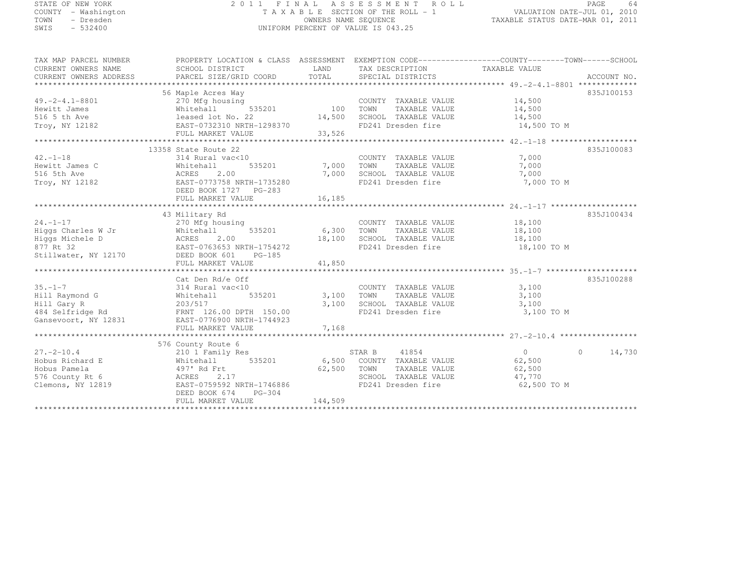| STATE OF NEW YORK                  |                                                                                                                 |                      |                                                                                                                                             |                                  | PAGE<br>-64 |  |
|------------------------------------|-----------------------------------------------------------------------------------------------------------------|----------------------|---------------------------------------------------------------------------------------------------------------------------------------------|----------------------------------|-------------|--|
| COUNTY - Washington                | 2011 FINAL ASSESSMENT ROLL<br>VALUATION DATE-JUL 01, 2010<br>TAXABLE SECTION OF THE ROLL - 1                    |                      |                                                                                                                                             |                                  |             |  |
| TOWN<br>- Dresden                  |                                                                                                                 | OWNERS NAME SEQUENCE |                                                                                                                                             |                                  |             |  |
| SWIS<br>$-532400$                  |                                                                                                                 |                      | UNIFORM PERCENT OF VALUE IS 043.25                                                                                                          | TAXABLE STATUS DATE-MAR 01, 2011 |             |  |
|                                    |                                                                                                                 |                      |                                                                                                                                             |                                  |             |  |
| TAX MAP PARCEL NUMBER              | PROPERTY LOCATION & CLASS ASSESSMENT EXEMPTION CODE-----------------COUNTY-------TOWN------SCHOOL               |                      |                                                                                                                                             |                                  |             |  |
| CURRENT OWNERS NAME                | SCHOOL DISTRICT                                                                                                 |                      | LAND TAX DESCRIPTION TAXABLE VALUE                                                                                                          |                                  |             |  |
|                                    |                                                                                                                 |                      |                                                                                                                                             |                                  |             |  |
|                                    |                                                                                                                 |                      |                                                                                                                                             |                                  |             |  |
|                                    | 56 Maple Acres Way                                                                                              |                      |                                                                                                                                             |                                  | 835J100153  |  |
| $49. -2 - 4.1 - 8801$              | s way<br>using 535201 100 100MN<br>270 Mfg housing                                                              |                      | COUNTY TAXABLE VALUE 14,500<br>100 TOWN TAXABLE VALUE 14,500<br>14,500 SCHOOL TAXABLE VALUE 14,500<br>298370 FD241 Dresden fire 14,500 TO M |                                  |             |  |
| Hewitt James                       |                                                                                                                 |                      |                                                                                                                                             |                                  |             |  |
| 516 5 th Ave<br>Troy, NY 12182     | Whitehall 535201<br>1eased lot No. 22<br>2 EAST-0732310 NRTH-1298370                                            |                      |                                                                                                                                             |                                  |             |  |
|                                    |                                                                                                                 |                      |                                                                                                                                             |                                  |             |  |
|                                    |                                                                                                                 |                      |                                                                                                                                             |                                  |             |  |
|                                    | 13358 State Route 22                                                                                            |                      |                                                                                                                                             |                                  | 835J100083  |  |
| $42. - 1 - 18$                     | 314 Rural vac<10                                                                                                |                      | COUNTY TAXABLE VALUE 7,000                                                                                                                  |                                  |             |  |
| Hewitt James C                     | Whitehall                                                                                                       | 535201 7,000 TOWN    | TAXABLE VALUE                                                                                                                               | 7,000                            |             |  |
| 516 5th Ave                        | ACRES 2.00                                                                                                      | 7,000                | SCHOOL TAXABLE VALUE                                                                                                                        | 7,000                            |             |  |
| Troy, NY 12182                     | EAST-0773758 NRTH-1735280                                                                                       |                      | FD241 Dresden fire                                                                                                                          | 7,000 TO M                       |             |  |
|                                    | DEED BOOK 1727    PG-283                                                                                        |                      |                                                                                                                                             |                                  |             |  |
|                                    | FULL MARKET VALUE                                                                                               | 16, 185              |                                                                                                                                             |                                  |             |  |
|                                    |                                                                                                                 |                      |                                                                                                                                             |                                  |             |  |
|                                    | 43 Military Rd                                                                                                  |                      |                                                                                                                                             |                                  | 835J100434  |  |
| $24. -1 - 17$                      | 270 Mfg housing                                                                                                 |                      | COUNTY TAXABLE VALUE 18,100                                                                                                                 |                                  |             |  |
|                                    | Higgs Charles W Jr Whitehall 535201 6,300 TOWN                                                                  |                      |                                                                                                                                             | TAXABLE VALUE 18,100             |             |  |
| Higgs Michele D<br>877 Rt 32       | ACRES<br>2.00<br>EAST-0763653 NRTH-1754272                                                                      | 18,100               | SCHOOL TAXABLE VALUE 18,100<br>FD241 Dresden fire 18,100 TO M                                                                               |                                  |             |  |
| Stillwater, NY 12170 DEED BOOK 601 | PG-185                                                                                                          |                      |                                                                                                                                             |                                  |             |  |
|                                    | FULL MARKET VALUE                                                                                               | 41,850               |                                                                                                                                             |                                  |             |  |
|                                    |                                                                                                                 |                      |                                                                                                                                             |                                  |             |  |
|                                    | Cat Den Rd/e Off                                                                                                |                      |                                                                                                                                             |                                  | 835J100288  |  |
| $35. - 1 - 7$                      | 314 Rural vac<10                                                                                                |                      | COUNTY TAXABLE VALUE                                                                                                                        | 3,100                            |             |  |
| $11411$ Darmand $\alpha$           | ות דו-הו-ב-דוגות החול מהורים החול להורים בחינו-והורים להורים והורים והורים והורים והורים והורים והורים והורים ה |                      |                                                                                                                                             |                                  |             |  |

| Hill Raymond G       | 535201<br>Whitehall       | 3,100<br>TAXABLE VALUE<br>TOWN   | 3,100              |
|----------------------|---------------------------|----------------------------------|--------------------|
| Hill Gary R          | 203/517                   | 3,100<br>SCHOOL<br>TAXABLE VALUE | 3.100              |
| 484 Selfridge Rd     | FRNT 126.00 DPTH 150.00   | FD241 Dresden fire               | 3,100 TO M         |
| Gansevoort, NY 12831 | EAST-0776900 NRTH-1744923 |                                  |                    |
|                      | FULL MARKET VALUE         | 7,168                            |                    |
|                      |                           |                                  |                    |
|                      | 576 County Route 6        |                                  |                    |
| $27. - 2 - 10.4$     | 210 1 Family Res          | 41854<br>STAR B                  | 14,730<br>$\Omega$ |
| Hobus Richard E      | 535201<br>Whitehall       | 6,500<br>COUNTY<br>TAXABLE VALUE | 62,500             |
| Hobus Pamela         | 497' Rd Frt               | 62,500<br>TOWN<br>TAXABLE VALUE  | 62,500             |
| 576 County Rt 6      | ACRES 2.17                | SCHOOL<br>TAXABLE VALUE          | 47.770             |
| Clemons, NY 12819    | EAST-0759592 NRTH-1746886 | FD241 Dresden fire               | 62,500 TO M        |
|                      | DEED BOOK 674<br>PG-304   |                                  |                    |
|                      | FULL MARKET VALUE         | 144,509                          |                    |
|                      |                           |                                  |                    |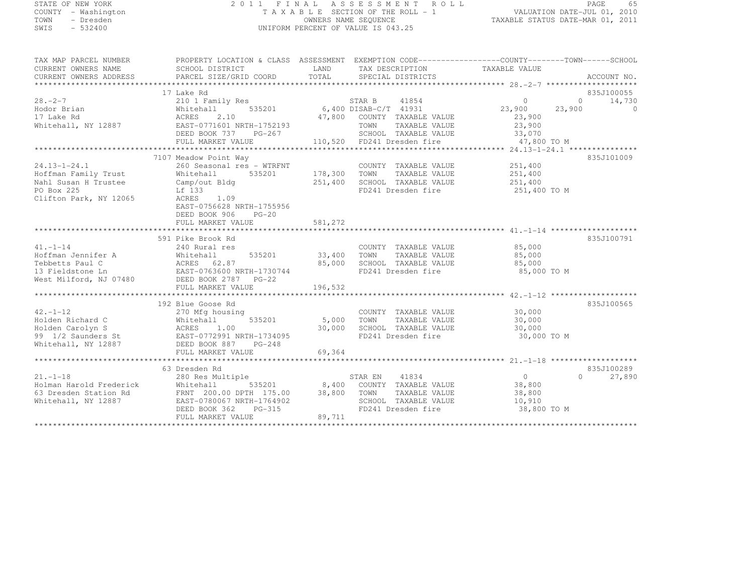# STATE OF NEW YORK 2 0 1 1 F I N A L A S S E S S M E N T R O L L PAGE <sup>65</sup> COUNTY - Washington T A X A B L E SECTION OF THE ROLL - 1 VALUATION DATE-JUL 01, 2010 TOWN - Dresden OWNERS NAME SEQUENCE TAXABLE STATUS DATE-MAR 01, 2011<br>- TRESDEN OWNERS NAME STATUS OF THE SEQUENCE OF THE SEQUENCE OF TAXABLE STATUS DATE-MAR 01, 2011 SWIS - 532400 UNIFORM PERCENT OF VALUE IS 043.25

| TAX MAP PARCEL NUMBER<br>CURRENT OWNERS NAME<br>CURRENT OWNERS ADDRESS                                                                                                                                                                          | PROPERTY LOCATION & CLASS ASSESSMENT EXEMPTION CODE-----------------COUNTY-------TOWN------SCHOOL<br>SCHOOL DISTRICT |                   | LAND TAX DESCRIPTION TAXABLE VALUE                                                                                                                                                                             |                    |                                  |
|-------------------------------------------------------------------------------------------------------------------------------------------------------------------------------------------------------------------------------------------------|----------------------------------------------------------------------------------------------------------------------|-------------------|----------------------------------------------------------------------------------------------------------------------------------------------------------------------------------------------------------------|--------------------|----------------------------------|
|                                                                                                                                                                                                                                                 |                                                                                                                      |                   |                                                                                                                                                                                                                |                    |                                  |
| $28. - 2 - 7$                                                                                                                                                                                                                                   | 17 Lake Rd<br>210 1 Family Res                                                                                       |                   | (1y Res 535201 535201 535201 535201 535201 535201 5 12 12 13 14 15 16 16 17 18 18 19 19 19 19 19 19 1                                                                                                          | $\Omega$           | 835J100055<br>$\Omega$<br>14,730 |
| Hodor Brian                                                                                                                                                                                                                                     | Whitehall                                                                                                            |                   |                                                                                                                                                                                                                | 23,900<br>23,900   | $\Omega$                         |
| 17 Lake Rd                                                                                                                                                                                                                                      | Whiteh<br>ACRES<br>2.10                                                                                              |                   | 47,800 COUNTY TAXABLE VALUE                                                                                                                                                                                    | 23,900             |                                  |
| Whitehall, NY 12887 EAST-0771601 NRTH-1752193                                                                                                                                                                                                   |                                                                                                                      |                   | TOWN<br>TAXABLE VALUE                                                                                                                                                                                          | 23,900             |                                  |
|                                                                                                                                                                                                                                                 | DEED BOOK 737 PG-267                                                                                                 |                   |                                                                                                                                                                                                                |                    |                                  |
|                                                                                                                                                                                                                                                 | FULL MARKET VALUE                                                                                                    |                   |                                                                                                                                                                                                                |                    |                                  |
|                                                                                                                                                                                                                                                 |                                                                                                                      |                   |                                                                                                                                                                                                                |                    |                                  |
|                                                                                                                                                                                                                                                 | 7107 Meadow Point Way                                                                                                |                   |                                                                                                                                                                                                                |                    | 835J101009                       |
| $24.13 - 1 - 24.1$                                                                                                                                                                                                                              | 260 Seasonal res - WTRFNT                                                                                            |                   | COUNTY TAXABLE VALUE 251,400                                                                                                                                                                                   |                    |                                  |
|                                                                                                                                                                                                                                                 |                                                                                                                      |                   | 535201 178,300 TOWN TAXABLE VALUE                                                                                                                                                                              |                    |                                  |
| Hoffman Family Trust<br>Nahl Susan H Trustee Camp/out Bldg<br>PO Box 225 Lf 133<br>Clifton Park, NY 12065 ACRES 1.09                                                                                                                            | ut Bldg $1.09$                                                                                                       |                   | 251,400 SCHOOL TAXABLE VALUE                                                                                                                                                                                   | 251,400<br>251,400 |                                  |
|                                                                                                                                                                                                                                                 |                                                                                                                      |                   | FD241 Dresden fire 251,400 TO M                                                                                                                                                                                |                    |                                  |
|                                                                                                                                                                                                                                                 |                                                                                                                      |                   |                                                                                                                                                                                                                |                    |                                  |
|                                                                                                                                                                                                                                                 | EAST-0756628 NRTH-1755956                                                                                            |                   |                                                                                                                                                                                                                |                    |                                  |
|                                                                                                                                                                                                                                                 | DEED BOOK 906<br>$PG-20$                                                                                             |                   |                                                                                                                                                                                                                |                    |                                  |
|                                                                                                                                                                                                                                                 | FULL MARKET VALUE                                                                                                    | 581,272           |                                                                                                                                                                                                                |                    |                                  |
|                                                                                                                                                                                                                                                 |                                                                                                                      |                   |                                                                                                                                                                                                                |                    |                                  |
|                                                                                                                                                                                                                                                 | 591 Pike Brook Rd                                                                                                    |                   |                                                                                                                                                                                                                |                    | 835J100791                       |
| $41. -1 - 14$                                                                                                                                                                                                                                   | 240 Rural res                                                                                                        |                   | COUNTY TAXABLE VALUE 85,000                                                                                                                                                                                    |                    |                                  |
|                                                                                                                                                                                                                                                 |                                                                                                                      |                   |                                                                                                                                                                                                                |                    |                                  |
|                                                                                                                                                                                                                                                 |                                                                                                                      |                   |                                                                                                                                                                                                                |                    |                                  |
| Hoffman Jennifer A<br>Tebbetts Paul C<br>Tebbetts Paul C<br>Tebbetts Paul C<br>Tebbetts Paul C<br>EAST-0763600 NRTH-1730744<br>West Milford, NJ 07480<br>DEED BOOK 2787<br>DEED BOOK 2787<br>PG-22<br>PG-22<br>PG-22<br>PEED BOOK 2787<br>PG-22 |                                                                                                                      |                   |                                                                                                                                                                                                                | 85,000 TO M        |                                  |
|                                                                                                                                                                                                                                                 |                                                                                                                      |                   |                                                                                                                                                                                                                |                    |                                  |
|                                                                                                                                                                                                                                                 | FULL MARKET VALUE                                                                                                    | 196,532           |                                                                                                                                                                                                                |                    |                                  |
|                                                                                                                                                                                                                                                 |                                                                                                                      |                   |                                                                                                                                                                                                                |                    |                                  |
|                                                                                                                                                                                                                                                 | 192 Blue Goose Rd                                                                                                    |                   |                                                                                                                                                                                                                |                    | 835J100565                       |
| $42. - 1 - 12$                                                                                                                                                                                                                                  | 270 Mfg housing                                                                                                      |                   | COUNTY TAXABLE VALUE                                                                                                                                                                                           | 30,000             |                                  |
|                                                                                                                                                                                                                                                 |                                                                                                                      | 535201 5,000 TOWN | TAXABLE VALUE                                                                                                                                                                                                  | 30,000             |                                  |
| 42.1-1-12<br>Holden Richard C (Mittehall 535201<br>Holden Carolyn S (Mittehall 535201<br>99 1/2 Saunders St (Mittehall, NY 12887) (DEED BOOK 887 PG-248                                                                                         |                                                                                                                      | 30,000            | SCHOOL TAXABLE VALUE 30,000                                                                                                                                                                                    |                    |                                  |
|                                                                                                                                                                                                                                                 |                                                                                                                      |                   | FD241 Dresden fire                                                                                                                                                                                             | 30,000 TO M        |                                  |
|                                                                                                                                                                                                                                                 |                                                                                                                      |                   |                                                                                                                                                                                                                |                    |                                  |
|                                                                                                                                                                                                                                                 | FULL MARKET VALUE                                                                                                    | 69,364            |                                                                                                                                                                                                                |                    |                                  |
|                                                                                                                                                                                                                                                 |                                                                                                                      |                   |                                                                                                                                                                                                                |                    |                                  |
|                                                                                                                                                                                                                                                 | 63 Dresden Rd                                                                                                        |                   |                                                                                                                                                                                                                |                    | 835J100289                       |
| $21. - 1 - 18$                                                                                                                                                                                                                                  | 280 Res Multiple                                                                                                     |                   | $\begin{array}{cccc}\n\texttt{S} & \texttt{S} & \texttt{S} & \texttt{S} & \texttt{S} & \texttt{S} \\ \texttt{S35201} & \texttt{S400} & \texttt{COUNTY} & \texttt{TAXABLE VALUE} & \texttt{VALUE}\n\end{array}$ | $\overline{0}$     | $\Omega$<br>27,890               |
| Holman Harold Frederick Mhitehall                                                                                                                                                                                                               |                                                                                                                      |                   |                                                                                                                                                                                                                | 38,800             |                                  |
|                                                                                                                                                                                                                                                 |                                                                                                                      |                   | TAXABLE VALUE                                                                                                                                                                                                  | 38,800             |                                  |
|                                                                                                                                                                                                                                                 |                                                                                                                      |                   |                                                                                                                                                                                                                | 10,910             |                                  |
| And march 12887<br>Whitehall, NY 12887<br>Whitehall, NY 12887<br>EAST-0780067 NRTH-1764902<br>DEED BOOK 362 PG-315<br>PED BOOK 362 PG-315                                                                                                       |                                                                                                                      |                   | SCHOOL TAXABLE VALUE<br>FD241 Dresden fire                                                                                                                                                                     | 38,800 TO M        |                                  |
|                                                                                                                                                                                                                                                 | FULL MARKET VALUE                                                                                                    | 89,711            |                                                                                                                                                                                                                |                    |                                  |
|                                                                                                                                                                                                                                                 |                                                                                                                      |                   |                                                                                                                                                                                                                |                    |                                  |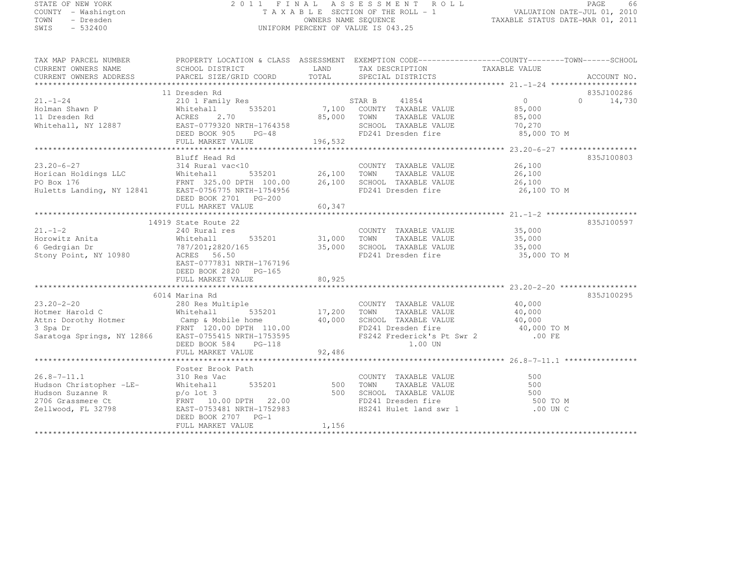# STATE OF NEW YORK 2 0 1 1 F I N A L A S S E S S M E N T R O L L PAGE <sup>66</sup> COUNTY - Washington T A X A B L E SECTION OF THE ROLL - 1 VALUATION DATE-JUL 01, 2010 TOWN - Dresden OWNERS NAME SEQUENCE TAXABLE STATUS DATE-MAR 01, 2011<br>- TRESDEN OWNERS NAME STATUS OF THE SEQUENCE OF THE SEQUENCE OF TAXABLE STATUS DATE-MAR 01, 2011 SWIS - 532400 UNIFORM PERCENT OF VALUE IS 043.25

| TAX MAP PARCEL NUMBER                                                                                                                                                                                                                                                                                                                                                                                                       | PROPERTY LOCATION & CLASS ASSESSMENT EXEMPTION CODE----------------COUNTY-------TOWN-----SCHOOL                                                                            |                            |                                                                                                                                             |                                                             |                                           |
|-----------------------------------------------------------------------------------------------------------------------------------------------------------------------------------------------------------------------------------------------------------------------------------------------------------------------------------------------------------------------------------------------------------------------------|----------------------------------------------------------------------------------------------------------------------------------------------------------------------------|----------------------------|---------------------------------------------------------------------------------------------------------------------------------------------|-------------------------------------------------------------|-------------------------------------------|
| $21. - 1 - 24$                                                                                                                                                                                                                                                                                                                                                                                                              | 11 Dresden Rd<br>11 Dresden Ru<br>210 1 Family Res<br>Whitehall 535201 7,100 COUNTY TAXABLE VALUE<br>25 200 TOMM TAXABLE VALUE<br>DEED BOOK 905 PG-48<br>FULL MARKET VALUE | 196,532                    | 85,000 TOWN<br>TAXABLE VALUE<br>SCHOOL TAXABLE VALUE<br>FD241 Dresden fire                                                                  | $\overline{0}$<br>85,000<br>85,000<br>70,270<br>85,000 TO M | 835J100286<br>$0 \qquad \qquad$<br>14,730 |
| $23.20 - 6 - 27$<br>$\begin{array}{ccccccccc} 23.20-6-27 & 314 \text{ Rural vac} & & & & \text{COUNTY TAXABLE VALUE} & & 26,100 \\ \text{Horizontal} & 535201 & 535201 & 26,100 & \text{TOWN} & \text{TAXABLE VALUE} & & 26,100 \\ \text{PO Box 176} & \text{FNNT} & 325.00 \text{ DPTH} & 100.00 & 26,100 & \text{SCHOOL TAXABLE VALUE} & & 26,100 \\ \text{Huletts Landing, NY 12841} & \text{ESTS-0756} & \text{NRTH-17$ | Bluff Head Rd<br>314 Rural vac<10<br>DEED BOOK 2701 PG-200                                                                                                                 |                            | COUNTY TAXABLE VALUE 26,100<br>FD241 Dresden fire 26,100 TO M                                                                               |                                                             | 835J100803                                |
| $21. - 1 - 2$<br>Horowitz Anita<br>Stony Point, NY 10980                                                                                                                                                                                                                                                                                                                                                                    | 14919 State Route 22<br>240 Rural res<br>Whitehall<br>ACRES 56.50<br>EAST-0777831 NRTH-1767196<br>DEED BOOK 2820 PG-165                                                    |                            | COUNTY TAXABLE VALUE 35,000<br>TOWN TAXABLE VALUE 35,000<br>$35,000$ SCHOOL TAXABLE VALUE $35,000$ FD241 Dragdan fine<br>FD241 Dresden fire | 35,000 TO M                                                 | 835J100597                                |
| $23.20 - 2 - 20$<br>Hotmer Harold C<br>Activity increment of the computation of the computation of the computation of the computation of the computation of the computation of the computation of the computation of the computation of the computation of the comput                                                                                                                                                       | 6014 Marina Rd<br>ltiple COUNT<br>535201 17,200 TOWN<br>280 Res Multiple<br>Whitehall<br>DEED BOOK 584 PG-118                                                              |                            | COUNTY TAXABLE VALUE 40,000<br>TOWN TAXABLE VALUE 40.000<br>TAXABLE VALUE<br>1.00 UN                                                        | 40,000                                                      | 835J100295                                |
| $26.8 - 7 - 11.1$<br>Hudson Christopher -LE-<br>Zellwood, FL 32798                                                                                                                                                                                                                                                                                                                                                          | Foster Brook Path<br>310 Res Vac<br>Whitehall<br>EAST-0753481 NRTH-1752983<br>DEED BOOK 2707 PG-1<br>FULL MARKET VALUE                                                     | 535201 500<br>500<br>1,156 | COUNTY TAXABLE VALUE<br>TAXABLE VALUE<br>TOWN<br>SCHOOL TAXABLE VALUE<br>FD241 Dresden fire<br>HS241 Hulet land swr 1                       | 500<br>500<br>500<br>500 TO M<br>$.00$ UN C                 |                                           |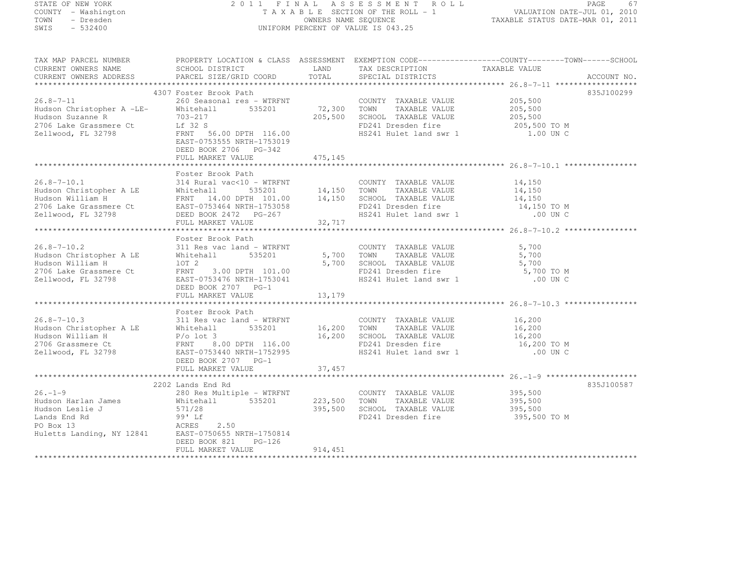| STATE OF NEW YORK |  |                     |  |
|-------------------|--|---------------------|--|
|                   |  | COUNTY - Washington |  |
| TOWN              |  | - Dresden           |  |
| SMTS              |  | $-532400$           |  |

#### STATE OF NEW YORK 2 0 1 1 F I N A L A S S E S S M E N T R O L L PAGE <sup>67</sup> COUNTY - Washington T A X A B L E SECTION OF THE ROLL - 1 VALUATION DATE-JUL 01, 2010 TOWN - Dresden OWNERS NAME SEQUENCE TAXABLE STATUS DATE-MAR 01, 2011<br>- TRESDEN OWNERS NAME STATUS OF THE SEQUENCE OF THE SEQUENCE OF TAXABLE STATUS DATE-MAR 01, 2011 SWIS - 532400 CONTROL CONTROL CONTROL UNIFORM PERCENT OF VALUE IS 043.25

| TAX MAP PARCEL NUMBER<br>CURRENT OWNERS NAME                                                                                                                                                                                                          | SCHOOL DISTRICT                     LAND        TAX DESCRIPTION                  TAXABLE VALUE                                                                             |         |                                                                     | PROPERTY LOCATION & CLASS ASSESSMENT EXEMPTION CODE-----------------COUNTY-------TOWN------SCHOOL |
|-------------------------------------------------------------------------------------------------------------------------------------------------------------------------------------------------------------------------------------------------------|----------------------------------------------------------------------------------------------------------------------------------------------------------------------------|---------|---------------------------------------------------------------------|---------------------------------------------------------------------------------------------------|
|                                                                                                                                                                                                                                                       |                                                                                                                                                                            |         |                                                                     |                                                                                                   |
| $26.8 - 7 - 11$                                                                                                                                                                                                                                       | 4307 Foster Brook Path                                                                                                                                                     |         |                                                                     | 835J100299                                                                                        |
| Hudson Christopher A -LE-<br>Hudson Suzanne P<br>Hudson Suzanne R                                                                                                                                                                                     | 260 Seasonal res – WTRFNT<br>260 Seasonal res – WTRFNT<br>205,500 TOWN TAXABLE VALUE 205,500<br>205,500 TOWN TAXABLE VALUE 205,500<br>205,500 SCHOOL TAXABLE VALUE 205,500 |         |                                                                     |                                                                                                   |
| 2706 Lake Grassmere Ct<br>Zellwood, FL 32798                                                                                                                                                                                                          | - 7<br>FRNT 56.00 DPTH 116.00<br>EAST-0753555 NPTH 1356666<br>DEED BOOK 2706 PG-342<br>FULL MARKET VALUE 475,145                                                           |         | FD241 Dresden fire 205,500 TO M<br>HS241 Hulet land swr 1 1.00 UN C |                                                                                                   |
|                                                                                                                                                                                                                                                       |                                                                                                                                                                            |         |                                                                     |                                                                                                   |
| 26.8-7-10.1 314 Rural vac<10 - WTRFNT COUNTY TAXABLE VALUE<br>Hudson Christopher A LE Whitehall 535201 14,150 TOWN TAXABLE VALUE<br>Hudson William H FRNT 14.00 DPTH 101.00 14,150 SCHOOL TAXABLE VALUE<br>2706 Lake Grassmere Ct EA                  | Foster Brook Path                                                                                                                                                          |         |                                                                     |                                                                                                   |
|                                                                                                                                                                                                                                                       |                                                                                                                                                                            |         | COUNTY TAXABLE VALUE 14,150                                         |                                                                                                   |
|                                                                                                                                                                                                                                                       |                                                                                                                                                                            |         | TAXABLE VALUE 14,150<br>TAXABLE VALUE 14,150                        |                                                                                                   |
|                                                                                                                                                                                                                                                       |                                                                                                                                                                            |         |                                                                     |                                                                                                   |
|                                                                                                                                                                                                                                                       |                                                                                                                                                                            |         | FD241 Dresden fire 14,150 TO M<br>HS241 Hulet land swr 1 00 UN C    |                                                                                                   |
|                                                                                                                                                                                                                                                       |                                                                                                                                                                            |         |                                                                     |                                                                                                   |
|                                                                                                                                                                                                                                                       |                                                                                                                                                                            |         |                                                                     |                                                                                                   |
|                                                                                                                                                                                                                                                       | Foster Brook Path                                                                                                                                                          |         |                                                                     |                                                                                                   |
| $26.8 - 7 - 10.2$                                                                                                                                                                                                                                     | 311 Res vac land – WTRFNT COUNT<br>Whitehall 535201 5,700 TOWN<br>10T 2                                                                                                    |         | COUNTY TAXABLE VALUE                                                | 5,700                                                                                             |
| Hudson Christopher A LE                                                                                                                                                                                                                               |                                                                                                                                                                            |         | TAXABLE VALUE                                                       | 5,700                                                                                             |
| Hudson William H                                                                                                                                                                                                                                      | lot 2                                                                                                                                                                      |         | 5,700 SCHOOL TAXABLE VALUE                                          | 5,700                                                                                             |
| 2706 Lake Grassmere Ct<br>Zellwood, FL 32798                                                                                                                                                                                                          |                                                                                                                                                                            |         | $FD241$ Dresden fire $5,700$ TO M                                   |                                                                                                   |
| Zellwood, FL 32798                                                                                                                                                                                                                                    | 10T 2 5, 700<br>FRNT 3.00 DPTH 101.00<br>EAST-0753476 NRTH-1753041                                                                                                         |         | HS241 Hulet land swr 1                                              | $.00$ UN C                                                                                        |
|                                                                                                                                                                                                                                                       | DEED BOOK 2707 PG-1                                                                                                                                                        |         |                                                                     |                                                                                                   |
|                                                                                                                                                                                                                                                       |                                                                                                                                                                            |         |                                                                     |                                                                                                   |
|                                                                                                                                                                                                                                                       |                                                                                                                                                                            |         |                                                                     |                                                                                                   |
|                                                                                                                                                                                                                                                       |                                                                                                                                                                            |         |                                                                     |                                                                                                   |
|                                                                                                                                                                                                                                                       |                                                                                                                                                                            |         |                                                                     |                                                                                                   |
|                                                                                                                                                                                                                                                       |                                                                                                                                                                            |         |                                                                     |                                                                                                   |
|                                                                                                                                                                                                                                                       |                                                                                                                                                                            |         |                                                                     |                                                                                                   |
|                                                                                                                                                                                                                                                       |                                                                                                                                                                            |         |                                                                     |                                                                                                   |
|                                                                                                                                                                                                                                                       |                                                                                                                                                                            |         |                                                                     |                                                                                                   |
|                                                                                                                                                                                                                                                       |                                                                                                                                                                            |         |                                                                     |                                                                                                   |
|                                                                                                                                                                                                                                                       |                                                                                                                                                                            |         |                                                                     |                                                                                                   |
|                                                                                                                                                                                                                                                       | 2202 Lands End Rd                                                                                                                                                          |         |                                                                     | 835J100587                                                                                        |
| $26. - 1 - 9$                                                                                                                                                                                                                                         | 280 Res Multiple - WTRFNT                                                                                                                                                  |         | COUNTY TAXABLE VALUE 395,500                                        |                                                                                                   |
| Hudson Harlan James                                                                                                                                                                                                                                   |                                                                                                                                                                            |         |                                                                     |                                                                                                   |
| Hudson Leslie J<br>Lands End Rd<br>PO Box 13<br>Huletts Landing, NY 12841<br>Huletts Landing, NY 12841<br>Huletts Landing, NY 12841<br>Huletts Landing, NY 12841<br>Huletts Landing, NY 12841<br>Huletts Landing, NY 12841<br>$\frac{175.0814}{20000$ | 280 Res Multiple - WTRFNT COUNTY IAXABLE VALUE<br>Whitehall 535201 223,500 TOWN TAXABLE VALUE 395,500<br>205 500 SCHOOL TAXABLE VALUE 395,500                              |         |                                                                     |                                                                                                   |
|                                                                                                                                                                                                                                                       | 2.50                                                                                                                                                                       |         | FD241 Dresden fire 395,500 TO M                                     |                                                                                                   |
|                                                                                                                                                                                                                                                       |                                                                                                                                                                            |         |                                                                     |                                                                                                   |
|                                                                                                                                                                                                                                                       |                                                                                                                                                                            |         |                                                                     |                                                                                                   |
|                                                                                                                                                                                                                                                       | DEED BOOK 821 PG-126                                                                                                                                                       |         |                                                                     |                                                                                                   |
|                                                                                                                                                                                                                                                       | FULL MARKET VALUE                                                                                                                                                          | 914,451 |                                                                     |                                                                                                   |
|                                                                                                                                                                                                                                                       |                                                                                                                                                                            |         |                                                                     |                                                                                                   |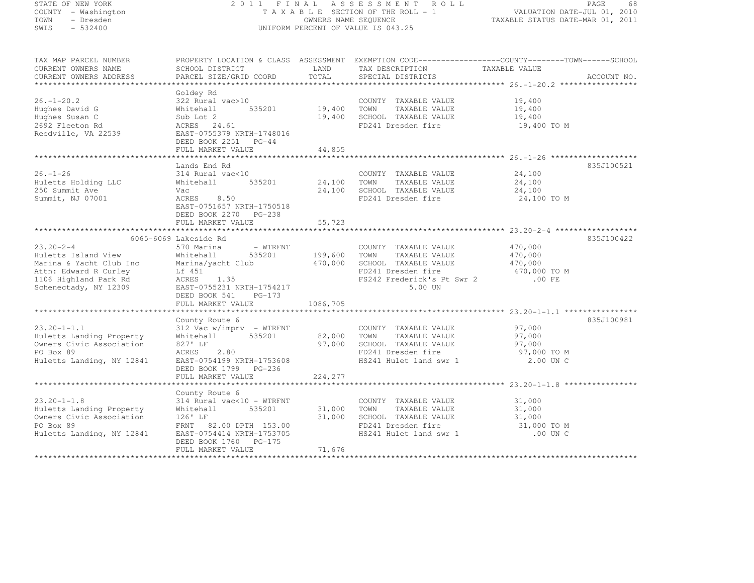| STATE OF NEW YORK<br>COUNTY - Washington<br>TOWN<br>- Dresden<br>SWIS<br>$-532400$                                                           | 2011 FINAL<br>A S S E S S M E N T<br>R O L L<br>TAXABLE SECTION OF THE ROLL - 1<br>OWNERS NAME SEQUENCE<br>UNIFORM PERCENT OF VALUE IS 043.25                                    |                    |                                                                                                                                      | PAGE<br>-68<br>VALUATION DATE-JUL 01, 2010<br>TAXABLE STATUS DATE-MAR 01, 2011                                                  |  |
|----------------------------------------------------------------------------------------------------------------------------------------------|----------------------------------------------------------------------------------------------------------------------------------------------------------------------------------|--------------------|--------------------------------------------------------------------------------------------------------------------------------------|---------------------------------------------------------------------------------------------------------------------------------|--|
| TAX MAP PARCEL NUMBER<br>CURRENT OWNERS NAME<br>CURRENT OWNERS ADDRESS                                                                       | SCHOOL DISTRICT<br>PARCEL SIZE/GRID COORD                                                                                                                                        | LAND<br>TOTAL      | TAX DESCRIPTION<br>SPECIAL DISTRICTS                                                                                                 | PROPERTY LOCATION & CLASS ASSESSMENT EXEMPTION CODE----------------COUNTY-------TOWN-----SCHOOL<br>TAXABLE VALUE<br>ACCOUNT NO. |  |
| $26. - 1 - 20.2$<br>Hughes David G<br>Hughes Susan C<br>2692 Fleeton Rd<br>Reedville, VA 22539                                               | Goldey Rd<br>322 Rural vac>10<br>535201<br>Whitehall<br>Sub Lot 2<br>ACRES 24.61<br>EAST-0755379 NRTH-1748016<br>DEED BOOK 2251 PG-44                                            | 19,400<br>19,400   | COUNTY TAXABLE VALUE<br>TOWN<br>TAXABLE VALUE<br>SCHOOL TAXABLE VALUE<br>FD241 Dresden fire                                          | 19,400<br>19,400<br>19,400<br>19,400 TO M                                                                                       |  |
|                                                                                                                                              | FULL MARKET VALUE                                                                                                                                                                | 44,855             |                                                                                                                                      |                                                                                                                                 |  |
| $26. - 1 - 26$<br>Huletts Holding LLC<br>250 Summit Ave<br>Summit, NJ 07001                                                                  | Lands End Rd<br>314 Rural vac<10<br>535201<br>Whitehall<br>Vac<br>ACRES<br>8.50<br>EAST-0751657 NRTH-1750518<br>DEED BOOK 2270 PG-238                                            | 24,100<br>24,100   | COUNTY TAXABLE VALUE<br>TOWN<br>TAXABLE VALUE<br>SCHOOL TAXABLE VALUE<br>FD241 Dresden fire                                          | 835J100521<br>24,100<br>24,100<br>24,100<br>24,100 TO M                                                                         |  |
|                                                                                                                                              | FULL MARKET VALUE                                                                                                                                                                | 55,723             |                                                                                                                                      |                                                                                                                                 |  |
|                                                                                                                                              |                                                                                                                                                                                  |                    |                                                                                                                                      |                                                                                                                                 |  |
| $23.20 - 2 - 4$<br>Huletts Island View<br>Marina & Yacht Club Inc<br>Attn: Edward R Curley<br>1106 Highland Park Rd<br>Schenectady, NY 12309 | 6065-6069 Lakeside Rd<br>570 Marina<br>- WTRFNT<br>535201<br>Whitehall<br>Marina/yacht Club<br>Lf 451<br>1.35<br>ACRES<br>EAST-0755231 NRTH-1754217<br>DEED BOOK 541<br>$PG-173$ | 199,600<br>470,000 | COUNTY TAXABLE VALUE<br>TOWN<br>TAXABLE VALUE<br>SCHOOL TAXABLE VALUE<br>FD241 Dresden fire<br>FS242 Frederick's Pt Swr 2<br>5.00 UN | 835J100422<br>470,000<br>470,000<br>470,000<br>470,000 TO M<br>$.00$ FE                                                         |  |
|                                                                                                                                              | FULL MARKET VALUE                                                                                                                                                                | 1086,705           |                                                                                                                                      |                                                                                                                                 |  |
| $23.20 - 1 - 1.1$<br>Huletts Landing Property<br>Owners Civic Association<br>PO Box 89<br>Huletts Landing, NY 12841                          | County Route 6<br>$312$ Vac w/imprv - WTRFNT<br>535201<br>Whitehall<br>827' LF<br>2.80<br>ACRES<br>EAST-0754199 NRTH-1753608<br>DEED BOOK 1799 PG-236                            | 82,000<br>97,000   | COUNTY TAXABLE VALUE<br>TAXABLE VALUE<br>TOWN<br>SCHOOL TAXABLE VALUE<br>FD241 Dresden fire<br>HS241 Hulet land swr 1                | 835J100981<br>97,000<br>97,000<br>97,000<br>97,000 TO M<br>2.00 UN C                                                            |  |
|                                                                                                                                              | FULL MARKET VALUE                                                                                                                                                                | 224,277            |                                                                                                                                      |                                                                                                                                 |  |
| $23.20 - 1 - 1.8$<br>Huletts Landing Property<br>Owners Civic Association<br>PO Box 89<br>Huletts Landing, NY 12841                          | County Route 6<br>314 Rural vac<10 - WTRFNT<br>Whitehall<br>535201<br>$126'$ LF<br>FRNT 82.00 DPTH 153.00<br>EAST-0754414 NRTH-1753705<br>DEED BOOK 1760 PG-175                  | 31,000<br>31,000   | COUNTY TAXABLE VALUE<br>TOWN<br>TAXABLE VALUE<br>SCHOOL TAXABLE VALUE<br>FD241 Dresden fire<br>HS241 Hulet land swr 1                | 31,000<br>31,000<br>31,000<br>31,000 TO M<br>.00 UN C                                                                           |  |
| ************************                                                                                                                     | FULL MARKET VALUE                                                                                                                                                                | 71,676             |                                                                                                                                      |                                                                                                                                 |  |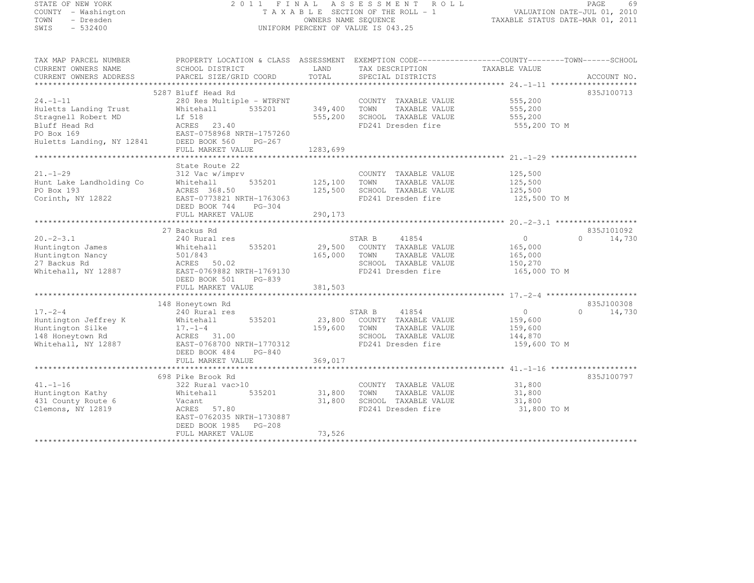|        | STATE OF NEW YORK |  |
|--------|-------------------|--|
| COUNTY | - Washington      |  |
| TOWN   | - Dresden         |  |
| SMTS   | $-532400$         |  |

# STATE OF NEW YORK 2 0 1 1 F I N A L A S S E S S M E N T R O L L PAGE <sup>69</sup> COUNTY - Washington T A X A B L E SECTION OF THE ROLL - 1 VALUATION DATE-JUL 01, 2010 TOWN - Dresden OWNERS NAME SEQUENCE TAXABLE STATUS DATE-MAR 01, 2011<br>- TRESDEN OWNERS NAME STATUS OF THE SEQUENCE OF THE SEQUENCE OF TAXABLE STATUS DATE-MAR 01, 2011 SWIS - 532400 UNIFORM PERCENT OF VALUE IS 043.25

TAX MAP PARCEL NUMBER PROPERTY LOCATION & CLASS ASSESSMENT EXEMPTION CODE--------------------------------TOWN-------SCHOOL

| CURRENT OWNERS NAME       | SCHOOL DISTRICT           | LAND     | TAX DESCRIPTION       | TAXABLE VALUE  |                        |
|---------------------------|---------------------------|----------|-----------------------|----------------|------------------------|
| CURRENT OWNERS ADDRESS    | PARCEL SIZE/GRID COORD    | TOTAL    | SPECIAL DISTRICTS     |                | ACCOUNT NO.            |
|                           |                           |          |                       |                |                        |
|                           | 5287 Bluff Head Rd        |          |                       |                | 835J100713             |
| $24. - 1 - 11$            | 280 Res Multiple - WTRFNT |          | COUNTY TAXABLE VALUE  | 555,200        |                        |
| Huletts Landing Trust     | 535201<br>Whitehall       | 349,400  | TAXABLE VALUE<br>TOWN | 555,200        |                        |
| Stragnell Robert MD       | Lf 518                    | 555,200  | SCHOOL TAXABLE VALUE  | 555,200        |                        |
| Bluff Head Rd             | <b>ACRES</b><br>23.40     |          | FD241 Dresden fire    | 555,200 TO M   |                        |
| PO Box 169                | EAST-0758968 NRTH-1757260 |          |                       |                |                        |
| Huletts Landing, NY 12841 | DEED BOOK 560<br>$PG-267$ |          |                       |                |                        |
|                           | FULL MARKET VALUE         | 1283,699 |                       |                |                        |
|                           |                           |          |                       |                |                        |
|                           | State Route 22            |          |                       |                |                        |
| $21. - 1 - 29$            | 312 Vac w/imprv           |          | COUNTY TAXABLE VALUE  | 125,500        |                        |
| Hunt Lake Landholding Co  | Whitehall<br>535201       | 125,100  | TAXABLE VALUE<br>TOWN | 125,500        |                        |
| PO Box 193                | ACRES 368.50              | 125,500  | SCHOOL TAXABLE VALUE  | 125,500        |                        |
| Corinth, NY 12822         | EAST-0773821 NRTH-1763063 |          | FD241 Dresden fire    | 125,500 TO M   |                        |
|                           | DEED BOOK 744<br>$PG-304$ |          |                       |                |                        |
|                           | FULL MARKET VALUE         | 290,173  |                       |                |                        |
|                           |                           |          |                       |                |                        |
| $20. -2 - 3.1$            | 27 Backus Rd              |          | 41854                 |                | 835J101092<br>$\Omega$ |
|                           | 240 Rural res             |          | STAR B                | $\circ$        | 14,730                 |
| Huntington James          | 535201<br>Whitehall       | 29,500   | COUNTY TAXABLE VALUE  | 165,000        |                        |
| Huntington Nancy          | 501/843                   | 165,000  | TOWN<br>TAXABLE VALUE | 165,000        |                        |
| 27 Backus Rd              | ACRES 50.02               |          | SCHOOL TAXABLE VALUE  | 150,270        |                        |
| Whitehall, NY 12887       | EAST-0769882 NRTH-1769130 |          | FD241 Dresden fire    | 165,000 TO M   |                        |
|                           | DEED BOOK 501<br>$PG-839$ | 381,503  |                       |                |                        |
|                           | FULL MARKET VALUE         |          |                       |                |                        |
|                           | 148 Honeytown Rd          |          |                       |                | 835J100308             |
| $17. - 2 - 4$             | 240 Rural res             |          | STAR B<br>41854       | $\overline{0}$ | 14,730<br>$\Omega$     |
| Huntington Jeffrey K      | 535201<br>Whitehall       | 23,800   | COUNTY TAXABLE VALUE  | 159,600        |                        |
| Huntington Silke          | $17. - 1 - 4$             | 159,600  | TOWN<br>TAXABLE VALUE | 159,600        |                        |
| 148 Honeytown Rd          | ACRES 31.00               |          | SCHOOL TAXABLE VALUE  | 144,870        |                        |
| Whitehall, NY 12887       | EAST-0768700 NRTH-1770312 |          | FD241 Dresden fire    | 159,600 TO M   |                        |
|                           | DEED BOOK 484<br>$PG-840$ |          |                       |                |                        |
|                           | FULL MARKET VALUE         | 369,017  |                       |                |                        |
|                           |                           |          |                       |                |                        |
|                           | 698 Pike Brook Rd         |          |                       |                | 835J100797             |
| $41. - 1 - 16$            | 322 Rural vac>10          |          | COUNTY TAXABLE VALUE  | 31,800         |                        |
| Huntington Kathy          | 535201<br>Whitehall       | 31,800   | TOWN<br>TAXABLE VALUE | 31,800         |                        |
| 431 County Route 6        | Vacant                    | 31,800   | SCHOOL TAXABLE VALUE  | 31,800         |                        |
| Clemons, NY 12819         | ACRES 57.80               |          | FD241 Dresden fire    | 31,800 TO M    |                        |
|                           | EAST-0762035 NRTH-1730887 |          |                       |                |                        |
|                           | DEED BOOK 1985<br>PG-208  |          |                       |                |                        |
|                           | FULL MARKET VALUE         | 73,526   |                       |                |                        |
|                           |                           |          |                       |                |                        |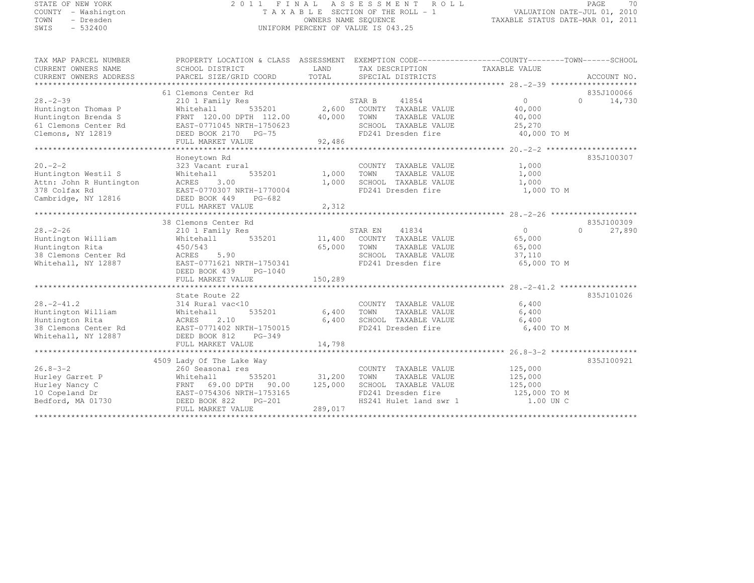# STATE OF NEW YORK 2 0 1 1 F I N A L A S S E S S M E N T R O L L PAGE <sup>70</sup> COUNTY - Washington T A X A B L E SECTION OF THE ROLL - 1 VALUATION DATE-JUL 01, 2010 TOWN - Dresden OWNERS NAME SEQUENCE TAXABLE STATUS DATE-MAR 01, 2011<br>- TRESDEN OWNERS NAME STATUS OF THE SEQUENCE OF THE SEQUENCE OF TAXABLE STATUS DATE-MAR 01, 2011 SWIS - 532400 UNIFORM PERCENT OF VALUE IS 043.25

| TAX MAP PARCEL NUMBER<br>CURRENT OWNERS NAME<br>CURRENT OWNERS ADDRESS | PROPERTY LOCATION & CLASS ASSESSMENT EXEMPTION CODE-----------------COUNTY-------TOWN------SCHOOL<br>SCHOOL DISTRICT<br>PARCEL SIZE/GRID COORD | LAND<br>TOTAL | TAX DESCRIPTION TAXABLE VALUE<br>SPECIAL DISTRICTS                  |                | ACCOUNT NO.        |
|------------------------------------------------------------------------|------------------------------------------------------------------------------------------------------------------------------------------------|---------------|---------------------------------------------------------------------|----------------|--------------------|
|                                                                        |                                                                                                                                                |               |                                                                     |                |                    |
|                                                                        | 61 Clemons Center Rd                                                                                                                           |               |                                                                     |                | 835J100066         |
| $28 - 2 - 39$                                                          | 210 1 Family Res                                                                                                                               |               | STAR B<br>41854                                                     | $\bigcap$      | $\Omega$<br>14,730 |
| Huntington Thomas P                                                    | Whitehall                                                                                                                                      |               | 535201 2,600 COUNTY TAXABLE VALUE                                   | 40,000         |                    |
| Huntington Brenda S                                                    | FRNT 120.00 DPTH 112.00 40,000                                                                                                                 |               | TOWN<br>TAXABLE VALUE                                               | 40,000         |                    |
| 61 Clemons Center Rd                                                   | EAST-0771045 NRTH-1750623                                                                                                                      |               | SCHOOL TAXABLE VALUE                                                | 25,270         |                    |
| Clemons, NY 12819                                                      | DEED BOOK 2170 PG-75                                                                                                                           |               | FD241 Dresden fire                                                  | 40,000 TO M    |                    |
|                                                                        | FULL MARKET VALUE                                                                                                                              | 92,486        |                                                                     |                |                    |
|                                                                        |                                                                                                                                                |               |                                                                     |                |                    |
|                                                                        | Honeytown Rd                                                                                                                                   |               |                                                                     |                | 835J100307         |
| $20 - 2 - 2$                                                           | 323 Vacant rural                                                                                                                               |               | COUNTY TAXABLE VALUE                                                | 1,000          |                    |
| Huntington Westil S                                                    | 535201<br>Whitehall                                                                                                                            | 1,000 TOWN    | TAXABLE VALUE                                                       | 1,000          |                    |
| Attn: John R Huntington                                                | ACRES<br>3.00                                                                                                                                  | 1,000         | SCHOOL TAXABLE VALUE                                                | 1,000          |                    |
|                                                                        | EAST-0770307 NRTH-1770004                                                                                                                      |               | FD241 Dresden fire                                                  | 1,000 TO M     |                    |
|                                                                        |                                                                                                                                                |               |                                                                     |                |                    |
|                                                                        | FULL MARKET VALUE                                                                                                                              | 2,312         |                                                                     |                |                    |
|                                                                        |                                                                                                                                                |               |                                                                     |                |                    |
|                                                                        | 38 Clemons Center Rd                                                                                                                           |               |                                                                     |                | 835J100309         |
| $28. - 2 - 26$                                                         | 210 1 Family Res                                                                                                                               |               | STAR EN<br>41834                                                    | $\overline{0}$ | $\Omega$<br>27,890 |
| Huntington William                                                     | Whitehall 535201                                                                                                                               |               | 11,400 COUNTY TAXABLE VALUE                                         | 65,000         |                    |
| Huntington Rita                                                        | 450/543                                                                                                                                        | 65,000 TOWN   | TAXABLE VALUE                                                       | 65,000         |                    |
| 38 Clemons Center Rd                                                   | 5.90<br>ACRES                                                                                                                                  |               | SCHOOL TAXABLE VALUE                                                | 37,110         |                    |
| Whitehall, NY 12887                                                    | EAST-0771621 NRTH-1750341                                                                                                                      |               | FD241 Dresden fire                                                  | 65,000 TO M    |                    |
|                                                                        | DEED BOOK 439 PG-1040                                                                                                                          |               |                                                                     |                |                    |
|                                                                        |                                                                                                                                                |               |                                                                     |                |                    |
|                                                                        |                                                                                                                                                |               |                                                                     |                |                    |
|                                                                        | State Route 22                                                                                                                                 |               |                                                                     |                | 835J101026         |
| $28. - 2 - 41.2$                                                       | 314 Rural vac<10                                                                                                                               |               | COUNTY TAXABLE VALUE                                                | 6,400          |                    |
| Huntington William                                                     | 535201<br>Whitehall                                                                                                                            | 6,400         | TOWN<br>TAXABLE VALUE                                               | 6,400          |                    |
| Huntington Rita                                                        | 2.10<br>ACRES                                                                                                                                  | 6,400         | SCHOOL TAXABLE VALUE                                                | 6,400          |                    |
| 38 Clemons Center Rd                                                   | EAST-0771402 NRTH-1750015                                                                                                                      |               | FD241 Dresden fire                                                  | 6,400 TO M     |                    |
| Whitehall, NY 12887                                                    | DEED BOOK 812<br>PG-349                                                                                                                        |               |                                                                     |                |                    |
|                                                                        | FULL MARKET VALUE                                                                                                                              | 14,798        |                                                                     |                |                    |
|                                                                        |                                                                                                                                                |               |                                                                     |                |                    |
|                                                                        | 4509 Lady Of The Lake Way                                                                                                                      |               |                                                                     |                | 835J100921         |
| $26.8 - 3 - 2$                                                         | 260 Seasonal res                                                                                                                               |               | COUNTY TAXABLE VALUE                                                | 125,000        |                    |
| Hurley Garret P                                                        | Whitehall                                                                                                                                      | 535201 31,200 | TOWN<br>TAXABLE VALUE                                               | 125,000        |                    |
| Hurley Nancy C                                                         | FRNT 69.00 DPTH 90.00 125,000                                                                                                                  |               | SCHOOL TAXABLE VALUE                                                | 125,000        |                    |
| 10 Copeland Dr<br>10 Copeland Dr<br>Bedford, MA 01730                  | EAST-0754306 NRTH-1753165                                                                                                                      |               | FD241 Dresden fire 125,000 TO M<br>HS241 Hulet land swr 1 1.00 UN C |                |                    |
|                                                                        | DEED BOOK 822<br>PG-201                                                                                                                        |               |                                                                     |                |                    |
|                                                                        | FULL MARKET VALUE                                                                                                                              | 289,017       |                                                                     |                |                    |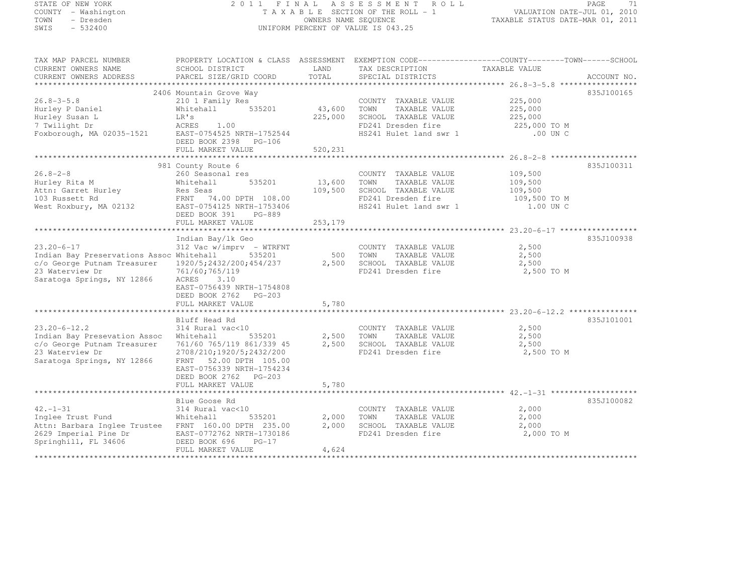#### STATE OF NEW YORK 2 0 1 1 F I N A L A S S E S S M E N T R O L L PAGE <sup>71</sup> COUNTY - Washington T A X A B L E SECTION OF THE ROLL - 1 VALUATION DATE-JUL 01, 2010 TOWN - Dresden OWNERS NAME SEQUENCE TAXABLE STATUS DATE-MAR 01, 2011<br>- TRESDEN OWNERS NAME STATUS OF THE SEQUENCE OF THE SEQUENCE OF TAXABLE STATUS DATE-MAR 01, 2011 SWIS - 532400 UNIFORM PERCENT OF VALUE IS 043.25

| TAX MAP PARCEL NUMBER                                                                                      | PROPERTY LOCATION & CLASS ASSESSMENT EXEMPTION CODE-----------------COUNTY-------TOWN------SCHOOL    |                                             |                                 |                         |            |  |  |  |
|------------------------------------------------------------------------------------------------------------|------------------------------------------------------------------------------------------------------|---------------------------------------------|---------------------------------|-------------------------|------------|--|--|--|
| CURRENT OWNERS NAME                                                                                        | SCHOOL DISTRICT                                                                                      | LAND                                        | TAX DESCRIPTION TAXABLE VALUE   |                         |            |  |  |  |
|                                                                                                            |                                                                                                      |                                             |                                 |                         |            |  |  |  |
|                                                                                                            |                                                                                                      |                                             |                                 |                         |            |  |  |  |
|                                                                                                            | 2406 Mountain Grove Way                                                                              |                                             |                                 |                         | 835J100165 |  |  |  |
| $26.8 - 3 - 5.8$                                                                                           | 210 1 Family Res <sup>2</sup> 600 COUNTY TAXABLE VALUE<br>Whitehall 535201 43,600 TOWN TAXABLE VALUE |                                             | COUNTY TAXABLE VALUE 225,000    |                         |            |  |  |  |
| Hurley P Daniel                                                                                            |                                                                                                      |                                             |                                 | 225,000                 |            |  |  |  |
|                                                                                                            |                                                                                                      | 225,000                                     | SCHOOL TAXABLE VALUE            | 225,000                 |            |  |  |  |
|                                                                                                            |                                                                                                      |                                             | FD241 Dresden fire              | 225,000 TO M            |            |  |  |  |
| Hurley Susan L<br>T Twilight Dr<br>T Twilight Dr<br>Foxborough, MA 02035-1521<br>EAST-0754525 NRTH-1752544 |                                                                                                      |                                             | HS241 Hulet land swr 1 .00 UN C |                         |            |  |  |  |
|                                                                                                            | DEED BOOK 2398 PG-106                                                                                |                                             |                                 |                         |            |  |  |  |
|                                                                                                            | FULL MARKET VALUE                                                                                    | 520,231                                     |                                 |                         |            |  |  |  |
|                                                                                                            |                                                                                                      |                                             |                                 |                         |            |  |  |  |
|                                                                                                            | 981 County Route 6                                                                                   |                                             |                                 |                         | 835J100311 |  |  |  |
| $26.8 - 2 - 8$                                                                                             | 260 Seasonal res                                                                                     |                                             | COUNTY TAXABLE VALUE            | 109,500                 |            |  |  |  |
| Hurley Rita M                                                                                              | 535201<br>Whitehall                                                                                  | 13,600                                      | TOWN<br>TAXABLE VALUE           | 109,500                 |            |  |  |  |
| Attn: Garret Hurley                                                                                        | Res Seas                                                                                             | 109,500                                     | SCHOOL TAXABLE VALUE            | 109,500<br>109,500 TO M |            |  |  |  |
| 103 Russett Rd                                                                                             | FRNT 74.00 DPTH 108.00                                                                               |                                             | FD241 Dresden fire              |                         |            |  |  |  |
| West Roxbury, MA 02132                                                                                     | EAST-0754125 NRTH-1753406                                                                            |                                             | HS241 Hulet land swr 1          | 1.00 UN C               |            |  |  |  |
|                                                                                                            | DEED BOOK 391 PG-889                                                                                 |                                             |                                 |                         |            |  |  |  |
|                                                                                                            | FULL MARKET VALUE                                                                                    | 253,179                                     |                                 |                         |            |  |  |  |
|                                                                                                            |                                                                                                      |                                             |                                 |                         |            |  |  |  |
|                                                                                                            | Indian Bay/lk Geo                                                                                    |                                             |                                 |                         | 835J100938 |  |  |  |
| $23.20 - 6 - 17$                                                                                           | 312 Vac w/imprv - WTRFNT                                                                             |                                             | COUNTY TAXABLE VALUE            | 2,500                   |            |  |  |  |
| Indian Bay Preservations Assoc Whitehall                                                                   | Whitehall 535201 500 TOWN TAXABLE VALUE<br>1920/5;2432/200;454/237 2,500 SCHOOL TAXABLE VALUE        | 500 TOWN                                    |                                 | 2,500<br>2,500          |            |  |  |  |
| c/o George Putnam Treasurer                                                                                |                                                                                                      |                                             |                                 |                         |            |  |  |  |
| 23 Waterview Dr                                                                                            | 761/60;765/119                                                                                       |                                             | FD241 Dresden fire              | 2,500 TO M              |            |  |  |  |
| Saratoga Springs, NY 12866                                                                                 | ACRES 3.10                                                                                           |                                             |                                 |                         |            |  |  |  |
|                                                                                                            | EAST-0756439 NRTH-1754808                                                                            |                                             |                                 |                         |            |  |  |  |
|                                                                                                            | DEED BOOK 2762 PG-203                                                                                |                                             |                                 |                         |            |  |  |  |
|                                                                                                            | FULL MARKET VALUE                                                                                    | 5,780                                       |                                 |                         |            |  |  |  |
|                                                                                                            | Bluff Head Rd                                                                                        |                                             |                                 |                         | 835J101001 |  |  |  |
| $23.20 - 6 - 12.2$                                                                                         | 314 Rural vac<10                                                                                     |                                             | COUNTY TAXABLE VALUE            | 2,500                   |            |  |  |  |
| Indian Bay Presevation Assoc                                                                               | Whitehall                                                                                            |                                             | TAXABLE VALUE                   | 2,500                   |            |  |  |  |
| c/o George Putnam Treasurer                                                                                | 761/60 765/119 861/339 45                                                                            | 535201 2,500 TOWN<br>861/339 45 2,500 SCHOC | SCHOOL TAXABLE VALUE            | 2,500                   |            |  |  |  |
| 23 Waterview Dr                                                                                            | 2708/210;1920/5;2432/200                                                                             |                                             | FD241 Dresden fire 2,500 TO M   |                         |            |  |  |  |
| Saratoga Springs, NY 12866                                                                                 | FRNT 52.00 DPTH 105.00                                                                               |                                             |                                 |                         |            |  |  |  |
|                                                                                                            | EAST-0756339 NRTH-1754234                                                                            |                                             |                                 |                         |            |  |  |  |
|                                                                                                            | DEED BOOK 2762 PG-203                                                                                |                                             |                                 |                         |            |  |  |  |
|                                                                                                            | FULL MARKET VALUE                                                                                    | 5,780                                       |                                 |                         |            |  |  |  |
|                                                                                                            |                                                                                                      |                                             |                                 |                         |            |  |  |  |
|                                                                                                            | Blue Goose Rd                                                                                        |                                             |                                 |                         | 835J100082 |  |  |  |
| $42. - 1 - 31$                                                                                             | 314 Rural vac<10                                                                                     |                                             | COUNTY TAXABLE VALUE            | 2,000                   |            |  |  |  |
| Inglee Trust Fund                                                                                          | Whitehall<br>535201                                                                                  | 2,000                                       | TOWN<br>TAXABLE VALUE           | 2,000                   |            |  |  |  |
| Attn: Barbara Inglee Trustee FRNT 160.00 DPTH 235.00                                                       |                                                                                                      | 2,000                                       | SCHOOL TAXABLE VALUE            | 2,000                   |            |  |  |  |
|                                                                                                            | EAST-0772762 NRTH-1730186                                                                            |                                             | FD241 Dresden fire              | 2,000 TO M              |            |  |  |  |
| 2629 Imperial Pine Dr<br>Springhill, FL 34606<br>Springhill, FL 34606                                      | DEED BOOK 696<br>$PG-17$                                                                             |                                             |                                 |                         |            |  |  |  |
|                                                                                                            | FULL MARKET VALUE                                                                                    | 4,624                                       |                                 |                         |            |  |  |  |
|                                                                                                            |                                                                                                      |                                             |                                 |                         |            |  |  |  |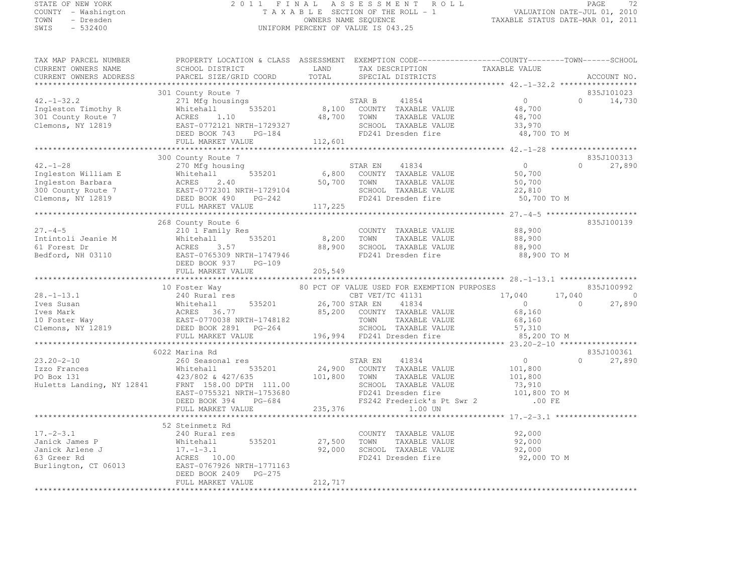# STATE OF NEW YORK 2 0 1 1 F I N A L A S S E S S M E N T R O L L PAGE <sup>72</sup> COUNTY - Washington T A X A B L E SECTION OF THE ROLL - 1 VALUATION DATE-JUL 01, 2010 TOWN - Dresden OWNERS NAME SEQUENCE TAXABLE STATUS DATE-MAR 01, 2011<br>- TRESDEN OWNERS NAME STATUS OF THE SEQUENCE OF THE SEQUENCE OF TAXABLE STATUS DATE-MAR 01, 2011 SWIS - 532400 UNIFORM PERCENT OF VALUE IS 043.25

| TAX MAP PARCEL NUMBER<br>CURRENT OWNERS NAME<br>CURRENT OWNERS ADDRESS                                                                                                                                                                                                                                                                                                                                                           | PROPERTY LOCATION & CLASS ASSESSMENT EXEMPTION CODE-----------------COUNTY-------TOWN------SCHOOL<br>SCHOOL DISTRICT<br>PARCEL SIZE/GRID COORD | LAND<br>TOTAL | TAX DESCRIPTION<br>SPECIAL DISTRICTS                                                                                                          | TAXABLE VALUE                             |                          | ACCOUNT NO.          |
|----------------------------------------------------------------------------------------------------------------------------------------------------------------------------------------------------------------------------------------------------------------------------------------------------------------------------------------------------------------------------------------------------------------------------------|------------------------------------------------------------------------------------------------------------------------------------------------|---------------|-----------------------------------------------------------------------------------------------------------------------------------------------|-------------------------------------------|--------------------------|----------------------|
|                                                                                                                                                                                                                                                                                                                                                                                                                                  |                                                                                                                                                |               |                                                                                                                                               |                                           |                          |                      |
| $42. - 1 - 32.2$                                                                                                                                                                                                                                                                                                                                                                                                                 | 301 County Route 7<br>271 Mfg housings                                                                                                         |               |                                                                                                                                               | $\bigcap$                                 | $\Omega$                 | 835J101023<br>14,730 |
| Ingleston Timothy R<br>301 County Route 7<br>Clemons, NY 12819                                                                                                                                                                                                                                                                                                                                                                   | Whitehall                                                                                                                                      | 48,700        | $535201 \qquad 8,100 \qquad \text{COUNTY} \qquad \text{TAXABLE VALUE}$<br>TOWN<br>TAXABLE VALUE<br>SCHOOL TAXABLE VALUE<br>FD241 Dresden fire | 48,700<br>48,700<br>33,970<br>48,700 TO M |                          |                      |
|                                                                                                                                                                                                                                                                                                                                                                                                                                  |                                                                                                                                                | 112,601       |                                                                                                                                               |                                           |                          |                      |
|                                                                                                                                                                                                                                                                                                                                                                                                                                  |                                                                                                                                                |               |                                                                                                                                               |                                           |                          |                      |
|                                                                                                                                                                                                                                                                                                                                                                                                                                  | 300 County Route 7                                                                                                                             |               |                                                                                                                                               |                                           |                          | 835J100313           |
| $42. - 1 - 28$                                                                                                                                                                                                                                                                                                                                                                                                                   | 270 Mfg housing                                                                                                                                |               | STAR EN 41834<br>535201 6,800 COUNTY TAXABLE VALUE                                                                                            | $\overline{0}$                            | $\cap$                   | 27,890               |
| Ingleston William E<br>Thitehall 535201<br>Ingleston Barbara<br>300 County Route 7<br>Clemons, NY 12819<br>Clemons, NY 12819<br>CLED BOOK 490<br>PG-242                                                                                                                                                                                                                                                                          |                                                                                                                                                |               |                                                                                                                                               | 50,700                                    |                          |                      |
|                                                                                                                                                                                                                                                                                                                                                                                                                                  |                                                                                                                                                |               | 50,700 TOWN TAXABLE VALUE<br>RTH-1729104 SCHOOL TAXABLE VALUE<br>PG-242 FD241 Dresden fire<br>TAXABLE VALUE                                   | 50,700                                    |                          |                      |
|                                                                                                                                                                                                                                                                                                                                                                                                                                  |                                                                                                                                                |               |                                                                                                                                               | 22,810                                    |                          |                      |
|                                                                                                                                                                                                                                                                                                                                                                                                                                  | FULL MARKET VALUE                                                                                                                              | 117,225       |                                                                                                                                               | 50,700 TO M                               |                          |                      |
|                                                                                                                                                                                                                                                                                                                                                                                                                                  |                                                                                                                                                |               |                                                                                                                                               |                                           |                          |                      |
|                                                                                                                                                                                                                                                                                                                                                                                                                                  | 268 County Route 6                                                                                                                             |               |                                                                                                                                               |                                           |                          | 835J100139           |
| $27. - 4 - 5$                                                                                                                                                                                                                                                                                                                                                                                                                    | 210 1 Family Res<br>Whitehall 535201                                                                                                           |               | COUNTY TAXABLE VALUE                                                                                                                          | 88,900                                    |                          |                      |
|                                                                                                                                                                                                                                                                                                                                                                                                                                  |                                                                                                                                                | 8,200 TOWN    | TAXABLE VALUE                                                                                                                                 | 88,900                                    |                          |                      |
| The Theorem Control of The Montenall Control of The Montenall Control of The Montenall Control of The Montenal<br>Bedford, NH 03110 EAST-0765309 NRTH-1747946                                                                                                                                                                                                                                                                    |                                                                                                                                                | 88,900        | SCHOOL TAXABLE VALUE                                                                                                                          | 88,900                                    |                          |                      |
|                                                                                                                                                                                                                                                                                                                                                                                                                                  |                                                                                                                                                |               | FD241 Dresden fire                                                                                                                            | 88,900 TO M                               |                          |                      |
|                                                                                                                                                                                                                                                                                                                                                                                                                                  | DEED BOOK 937 PG-109                                                                                                                           |               |                                                                                                                                               |                                           |                          |                      |
|                                                                                                                                                                                                                                                                                                                                                                                                                                  | FULL MARKET VALUE                                                                                                                              | 205,549       |                                                                                                                                               |                                           |                          |                      |
|                                                                                                                                                                                                                                                                                                                                                                                                                                  |                                                                                                                                                |               |                                                                                                                                               |                                           |                          |                      |
|                                                                                                                                                                                                                                                                                                                                                                                                                                  | 10 Foster Way                                                                                                                                  |               | 80 PCT OF VALUE USED FOR EXEMPTION PURPOSES                                                                                                   |                                           |                          | 835J100992           |
|                                                                                                                                                                                                                                                                                                                                                                                                                                  |                                                                                                                                                |               |                                                                                                                                               | 17,040<br>$\sim$ 0                        | 17,040<br>$\overline{0}$ | $\sim$ 0<br>27,890   |
|                                                                                                                                                                                                                                                                                                                                                                                                                                  |                                                                                                                                                |               |                                                                                                                                               | 68,160                                    |                          |                      |
|                                                                                                                                                                                                                                                                                                                                                                                                                                  |                                                                                                                                                |               |                                                                                                                                               | 68,160                                    |                          |                      |
|                                                                                                                                                                                                                                                                                                                                                                                                                                  |                                                                                                                                                |               |                                                                                                                                               | 57,310                                    |                          |                      |
| $\begin{tabular}{lllllllllllllllllllllll} \hline 28.-1-13.1 & 240 \; \text{Kural res} \\ \hline \text{Ives Susan} & \text{Whitehall} & 535201 & 26,700 \; \text{STAR EN} & 41834 \\ \text{Ives Mark} & \text{ACRES} & 36.77 & 85,200 & \text{COUNTY} & \text{TAXABLE VALUE} \\ \hline 10 \; \text{Foster Way} & \text{EAST}-0770038 \; \text{NRTH}-1748182 & \text{TOWN} & \text{TAXABLE VALUE} \\ \text{Clemons, NY} & \text{D$ |                                                                                                                                                |               |                                                                                                                                               | 85,200 TO M                               |                          |                      |
|                                                                                                                                                                                                                                                                                                                                                                                                                                  |                                                                                                                                                |               |                                                                                                                                               |                                           |                          |                      |
|                                                                                                                                                                                                                                                                                                                                                                                                                                  | 6022 Marina Rd                                                                                                                                 |               |                                                                                                                                               |                                           |                          | 835J100361           |
| $23.20 - 2 - 10$                                                                                                                                                                                                                                                                                                                                                                                                                 | 260 Seasonal res                                                                                                                               |               | STAR EN 41834<br>24,900 COUNTY TAXABLE VALUE                                                                                                  | $\overline{0}$                            | $\Omega$                 | 27,890               |
|                                                                                                                                                                                                                                                                                                                                                                                                                                  |                                                                                                                                                |               |                                                                                                                                               |                                           |                          |                      |
|                                                                                                                                                                                                                                                                                                                                                                                                                                  |                                                                                                                                                |               |                                                                                                                                               |                                           |                          |                      |
|                                                                                                                                                                                                                                                                                                                                                                                                                                  |                                                                                                                                                |               |                                                                                                                                               |                                           |                          |                      |
|                                                                                                                                                                                                                                                                                                                                                                                                                                  |                                                                                                                                                |               |                                                                                                                                               |                                           |                          |                      |
|                                                                                                                                                                                                                                                                                                                                                                                                                                  |                                                                                                                                                |               |                                                                                                                                               |                                           |                          |                      |
|                                                                                                                                                                                                                                                                                                                                                                                                                                  |                                                                                                                                                |               |                                                                                                                                               |                                           |                          |                      |
|                                                                                                                                                                                                                                                                                                                                                                                                                                  | 52 Steinmetz Rd                                                                                                                                |               |                                                                                                                                               |                                           |                          |                      |
| $17. - 2 - 3.1$                                                                                                                                                                                                                                                                                                                                                                                                                  | 240 Rural res                                                                                                                                  |               | COUNTY TAXABLE VALUE                                                                                                                          | 92,000                                    |                          |                      |
| Janick James P                                                                                                                                                                                                                                                                                                                                                                                                                   | 535201                                                                                                                                         | 27,500        | TOWN<br>TAXABLE VALUE                                                                                                                         | 92,000                                    |                          |                      |
| Janick Arlene J                                                                                                                                                                                                                                                                                                                                                                                                                  | Whitehall<br>Whitehall<br>17.-1-3.1                                                                                                            | 92,000        | SCHOOL TAXABLE VALUE                                                                                                                          | 92,000                                    |                          |                      |
| 63 Greer Rd                                                                                                                                                                                                                                                                                                                                                                                                                      | ACRES 10.00                                                                                                                                    |               | FD241 Dresden fire                                                                                                                            | 92,000 TO M                               |                          |                      |
| Burlington, CT 06013                                                                                                                                                                                                                                                                                                                                                                                                             | EAST-0767926 NRTH-1771163                                                                                                                      |               |                                                                                                                                               |                                           |                          |                      |
|                                                                                                                                                                                                                                                                                                                                                                                                                                  |                                                                                                                                                |               |                                                                                                                                               |                                           |                          |                      |
|                                                                                                                                                                                                                                                                                                                                                                                                                                  | DEED BOOK 2409 PG-275<br>FULL MARKET VALUE                                                                                                     | 212,717       |                                                                                                                                               |                                           |                          |                      |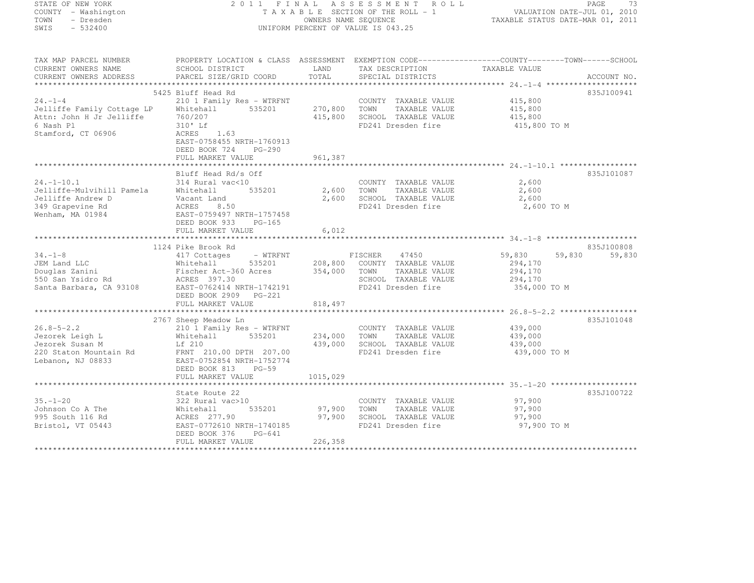| STATE OF NEW YORK<br>COUNTY - Washington  |                                                                                                                                |         | 2011 FINAL ASSESSMENT ROLL<br>FINAL ASSESSMENT ROLL ROLL PAGE 73<br>TAXABLE SECTION OF THE ROLL - 1 VALUATION DATE-JUL 01, 2010<br>OWNERS NAME SEQUENCE . |                         | PAGE<br>73       |
|-------------------------------------------|--------------------------------------------------------------------------------------------------------------------------------|---------|-----------------------------------------------------------------------------------------------------------------------------------------------------------|-------------------------|------------------|
| TOWN - Dresden<br>SWIS - 532400           | UNIFORM PERCENT OF VALUE IS 043.25                                                                                             |         |                                                                                                                                                           |                         |                  |
|                                           | TAX MAP PARCEL NUMBER         PROPERTY LOCATION & CLASS ASSESSMENT EXEMPTION CODE----------------COUNTY-------TOWN------SCHOOL |         |                                                                                                                                                           |                         |                  |
| CURRENT OWNERS NAME                       | SCHOOL DISTRICT                                                                                                                | LAND    | TAX DESCRIPTION                                                                                                                                           | TAXABLE VALUE           |                  |
| CURRENT OWNERS ADDRESS                    | PARCEL SIZE/GRID COORD                                                                                                         | TOTAL   | SPECIAL DISTRICTS                                                                                                                                         |                         | ACCOUNT NO.      |
|                                           |                                                                                                                                |         |                                                                                                                                                           |                         |                  |
|                                           | 5425 Bluff Head Rd                                                                                                             |         |                                                                                                                                                           |                         | 835J100941       |
| $24. - 1 - 4$                             | 210 1 Family Res - WTRFNT                                                                                                      |         | COUNTY TAXABLE VALUE                                                                                                                                      | 415,800                 |                  |
|                                           |                                                                                                                                |         | 270,800 TOWN TAXABLE VALUE<br>415,800 SCHOOL TAXABLE VALUE                                                                                                | 415,800<br>415,800      |                  |
| 6 Nash Pl                                 | 310' Lf                                                                                                                        |         | FD241 Dresden fire                                                                                                                                        | 415,800 TO M            |                  |
| Stamford, CT 06906                        | ACRES 1.63<br>EAST-0758455 NRTH-1760913                                                                                        |         |                                                                                                                                                           |                         |                  |
|                                           | DEED BOOK 724 PG-290<br>FULL MARKET VALUE                                                                                      | 961,387 |                                                                                                                                                           |                         |                  |
|                                           |                                                                                                                                |         |                                                                                                                                                           |                         |                  |
|                                           | Bluff Head Rd/s Off                                                                                                            |         |                                                                                                                                                           |                         | 835J101087       |
| $24. -1 - 10.1$                           | 314 Rural vac<10                                                                                                               |         | COUNTY TAXABLE VALUE                                                                                                                                      | 2,600                   |                  |
|                                           | 535201                                                                                                                         |         | 2,600 TOWN TAXABLE VALUE                                                                                                                                  | 2,600                   |                  |
|                                           |                                                                                                                                |         | 2,600 SCHOOL TAXABLE VALUE                                                                                                                                | 2,600                   |                  |
| Wenham, MA 01984                          | EAST-0759497 NRTH-1757458                                                                                                      |         | FD241 Dresden fire                                                                                                                                        | 2,600 TO M              |                  |
|                                           | DEED BOOK 933 PG-165                                                                                                           |         |                                                                                                                                                           |                         |                  |
|                                           | FULL MARKET VALUE                                                                                                              | 6,012   |                                                                                                                                                           |                         |                  |
|                                           |                                                                                                                                |         |                                                                                                                                                           |                         |                  |
|                                           | 1124 Pike Brook Rd                                                                                                             |         |                                                                                                                                                           |                         | 835J100808       |
| $34. -1 - 8$                              |                                                                                                                                |         |                                                                                                                                                           | 59,830                  | 59,830<br>59,830 |
|                                           |                                                                                                                                |         |                                                                                                                                                           | 294,170                 |                  |
|                                           |                                                                                                                                |         | 354,000 TOWN TAXABLE VALUE                                                                                                                                | 294,170                 |                  |
|                                           | Santa Barbara, CA 93108 EAST-0762414 NRTH-1742191                                                                              |         | SCHOOL TAXABLE VALUE<br>FD241 Dresden fire                                                                                                                | 294,170<br>354,000 TO M |                  |
|                                           | DEED BOOK 2909 PG-221                                                                                                          |         |                                                                                                                                                           |                         |                  |
|                                           | FULL MARKET VALUE                                                                                                              | 818,497 |                                                                                                                                                           |                         |                  |
|                                           |                                                                                                                                |         |                                                                                                                                                           |                         |                  |
|                                           | 2767 Sheep Meadow Ln                                                                                                           |         |                                                                                                                                                           |                         | 835J101048       |
| $26.8 - 5 - 2.2$                          | 210 1 Family Res - WTRFNT                                                                                                      |         | COUNTY TAXABLE VALUE                                                                                                                                      | 439,000                 |                  |
| Jezorek Leigh L                           | Whitehall 535201                                                                                                               | 234,000 | TOWN TAXABLE VALUE                                                                                                                                        | 439,000                 |                  |
| Jezorek Susan M<br>220 Staton Mountain Rd | Lf 210<br>FRNT 210.00 DPTH 207.00                                                                                              | 439,000 | SCHOOL TAXABLE VALUE<br>FD241 Dresden fire                                                                                                                | 439,000<br>439,000 TO M |                  |
| Lebanon, NJ 08833                         | EAST-0752854 NRTH-1752774                                                                                                      |         |                                                                                                                                                           |                         |                  |
|                                           | DEED BOOK 813 PG-59                                                                                                            |         |                                                                                                                                                           |                         |                  |
|                                           |                                                                                                                                |         |                                                                                                                                                           |                         |                  |
|                                           |                                                                                                                                |         |                                                                                                                                                           |                         |                  |
|                                           | State Route 22                                                                                                                 |         |                                                                                                                                                           |                         | 835J100722       |
|                                           |                                                                                                                                |         | COUNTY TAXABLE VALUE                                                                                                                                      | 97,900                  |                  |
|                                           |                                                                                                                                | 97,900  | TOWN TAXABLE VALUE                                                                                                                                        | 97,900                  |                  |
|                                           |                                                                                                                                | 97,900  | SCHOOL TAXABLE VALUE<br>FD241 Dresden fire                                                                                                                | 97,900<br>97,900 TO M   |                  |
| Bristol, VT 05443                         | DEED BOOK 376<br>PG-641<br>FULL MARKET VALUE                                                                                   | 226,358 |                                                                                                                                                           |                         |                  |
|                                           |                                                                                                                                |         |                                                                                                                                                           |                         |                  |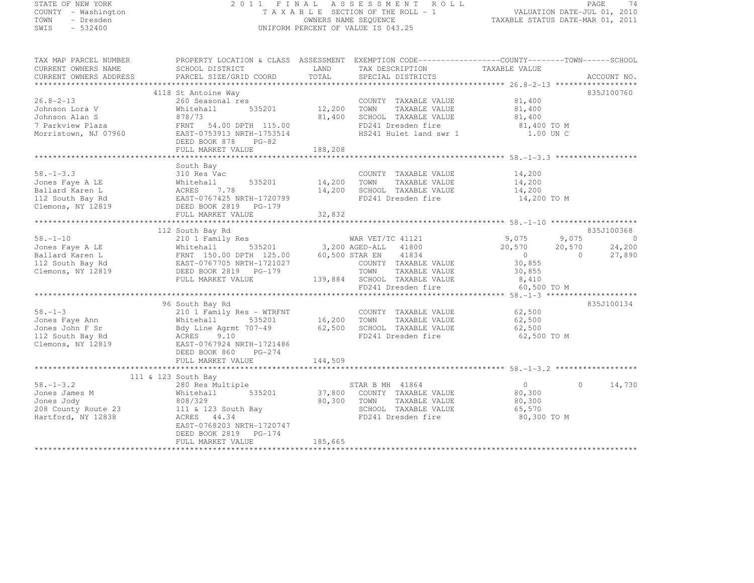# STATE OF NEW YORK 2 0 1 1 F I N A L A S S E S S M E N T R O L L PAGE <sup>74</sup> COUNTY - Washington T A X A B L E SECTION OF THE ROLL - 1 VALUATION DATE-JUL 01, 2010 TOWN - Dresden OWNERS NAME SEQUENCE TAXABLE STATUS DATE-MAR 01, 2011<br>- TRESDEN ON THE SEQUENCE TO A SECUENCE TO BE SERVED ON THE SEQUENCE OF SEXUE OF THE STATUS DATE MAR 01, 2011 SWIS - 532400 UNIFORM PERCENT OF VALUE IS 043.25

| TAX MAP PARCEL NUMBER<br>CURRENT OWNERS NAME                                                    | SCHOOL DISTRICT                                                                                                                                                                            | LAND                            | PROPERTY LOCATION & CLASS ASSESSMENT EXEMPTION CODE-----------------COUNTY-------TOWN------SCHOOL<br>TAX DESCRIPTION                                                                    | TAXABLE VALUE                                                                 |                                                                   |
|-------------------------------------------------------------------------------------------------|--------------------------------------------------------------------------------------------------------------------------------------------------------------------------------------------|---------------------------------|-----------------------------------------------------------------------------------------------------------------------------------------------------------------------------------------|-------------------------------------------------------------------------------|-------------------------------------------------------------------|
| CURRENT OWNERS ADDRESS                                                                          | PARCEL SIZE/GRID COORD                                                                                                                                                                     | TOTAL                           | SPECIAL DISTRICTS                                                                                                                                                                       |                                                                               | ACCOUNT NO.                                                       |
|                                                                                                 |                                                                                                                                                                                            |                                 |                                                                                                                                                                                         |                                                                               |                                                                   |
| $26.8 - 2 - 13$<br>Johnson Lora V<br>Johnson Alan S<br>7 Parkview Plaza<br>Morristown, NJ 07960 | 4118 St Antoine Way<br>260 Seasonal res<br>535201<br>Whitehall<br>878/73<br>FRNT 54.00 DPTH 115.00<br>EAST-0753913 NRTH-1753514<br>DEED BOOK 878<br>PG-82<br>FULL MARKET VALUE             | 12,200 TOWN<br>188,208          | COUNTY TAXABLE VALUE<br>TAXABLE VALUE<br>81,400 SCHOOL TAXABLE VALUE<br>FD241 Dresden fire<br>HS241 Hulet land swr 1                                                                    | 81,400<br>81,400<br>81,400<br>81,400 TO M<br>1.00 UN C                        | 835J100760                                                        |
|                                                                                                 | South Bay                                                                                                                                                                                  |                                 |                                                                                                                                                                                         |                                                                               |                                                                   |
| $58. - 1 - 3.3$<br>Jones Faye A LE<br>Ballard Karen L<br>112 South Bay Rd<br>Clemons, NY 12819  | 310 Res Vac<br>535201<br>Whitehall<br>7.78<br>ACRES<br>EAST-0767425 NRTH-1720799<br>DEED BOOK 2819 PG-179<br>FULL MARKET VALUE                                                             | 14,200 TOWN<br>14,200<br>32,832 | COUNTY TAXABLE VALUE<br>TAXABLE VALUE<br>SCHOOL TAXABLE VALUE<br>FD241 Dresden fire                                                                                                     | 14,200<br>14,200<br>14,200<br>14,200 TO M                                     |                                                                   |
|                                                                                                 | 112 South Bay Rd                                                                                                                                                                           |                                 |                                                                                                                                                                                         |                                                                               | 835J100368                                                        |
| $58. - 1 - 10$<br>Jones Faye A LE<br>Ballard Karen L<br>112 South Bay Rd<br>Clemons, NY 12819   | 210 1 Family Res<br>Whitehall<br>FRNT 150.00 DPTH 125.00<br>EAST-0767705 NRTH-1721027<br>DEED BOOK 2819 PG-179<br>FULL MARKET VALUE                                                        |                                 | WAR VET/TC 41121<br>535201 3,200 AGED-ALL 41800<br>H 125.00 60,500 STAR EN 41834<br>COUNTY TAXABLE VALUE<br>TOWN<br>TAXABLE VALUE<br>139,884 SCHOOL TAXABLE VALUE<br>FD241 Dresden fire | 9,075<br>20,570<br>$\overline{0}$<br>30,855<br>30,855<br>8,410<br>60,500 TO M | 9,075<br>$\overline{0}$<br>24,200<br>20,570<br>$\Omega$<br>27,890 |
|                                                                                                 |                                                                                                                                                                                            |                                 |                                                                                                                                                                                         |                                                                               |                                                                   |
| $58. - 1 - 3$<br>Jones Faye Ann<br>Jones John F Sr<br>112 South Bay Rd<br>Clemons, NY 12819     | 96 South Bay Rd<br>210 1 Family Res - WTRFNT<br>Whitehall<br>535201<br>Bdy Line Agrmt 707-49<br>ACRES<br>9.10<br>EAST-0767924 NRTH-1721486<br>DEED BOOK 860<br>PG-274<br>FULL MARKET VALUE | 16,200 TOWN<br>144,509          | COUNTY TAXABLE VALUE<br>TAXABLE VALUE<br>62,500 SCHOOL TAXABLE VALUE<br>FD241 Dresden fire                                                                                              | 62,500<br>62,500<br>62,500<br>62,500 TO M                                     | 835J100134                                                        |
|                                                                                                 |                                                                                                                                                                                            |                                 |                                                                                                                                                                                         |                                                                               |                                                                   |
| $58. - 1 - 3.2$<br>Jones James M<br>Jones Jody<br>208 County Route 23<br>Hartford, NY 12838     | 111 & 123 South Bay<br>280 Res Multiple<br>535201<br>Whitehall<br>808/329<br>111 & 123 South Bay<br>ACRES 44.34<br>EAST-0768203 NRTH-1720747<br>DEED BOOK 2819 PG-174<br>FULL MARKET VALUE | 37,800<br>80,300<br>185,665     | STAR B MH 41864<br>COUNTY TAXABLE VALUE<br>TOWN<br>TAXABLE VALUE<br>SCHOOL TAXABLE VALUE<br>FD241 Dresden fire                                                                          | $\overline{0}$<br>80,300<br>80,300<br>65,570<br>80,300 TO M                   | 14,730<br>$\Omega$                                                |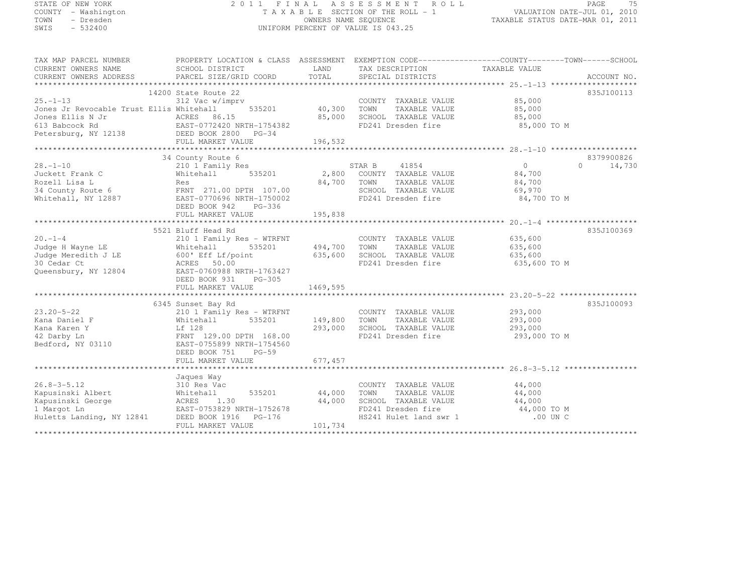# STATE OF NEW YORK 2 0 1 1 F I N A L A S S E S S M E N T R O L L PAGE <sup>75</sup> COUNTY - Washington T A X A B L E SECTION OF THE ROLL - 1 VALUATION DATE-JUL 01, 2010 TOWN - Dresden OWNERS NAME SEQUENCE TAXABLE STATUS DATE-MAR 01, 2011<br>- TRESDEN ON THE SEQUENCE TO A SECUENCE TO BE SERVED ON THE SEQUENCE OF SEXUE OF THE STATUS DATE MAR 01, 2011 SWIS - 532400 UNIFORM PERCENT OF VALUE IS 043.25

| TAX MAP PARCEL NUMBER<br>CURRENT OWNERS NAME<br>CURRENT OWNERS ADDRESS                                  | PROPERTY LOCATION & CLASS ASSESSMENT<br>SCHOOL DISTRICT<br>PARCEL SIZE/GRID COORD                                                                                                         | LAND<br>TOTAL                 | EXEMPTION CODE-----------------COUNTY-------TOWN------SCHOOL<br>TAX DESCRIPTION TAXABLE VALUE<br>SPECIAL DISTRICTS                                                                                                               |                                                                | ACCOUNT NO.                      |
|---------------------------------------------------------------------------------------------------------|-------------------------------------------------------------------------------------------------------------------------------------------------------------------------------------------|-------------------------------|----------------------------------------------------------------------------------------------------------------------------------------------------------------------------------------------------------------------------------|----------------------------------------------------------------|----------------------------------|
| $25. - 1 - 13$<br>Jones Jr Revocable Trust Ellis Whitehall                                              | 14200 State Route 22<br>312 Vac w/imprv<br>535201<br>FULL MARKET VALUE                                                                                                                    | 40,300<br>85,000<br>196,532   | COUNTY TAXABLE VALUE<br>TAXABLE VALUE<br>TOWN<br>SCHOOL TAXABLE VALUE<br>FD241 Dresden fire                                                                                                                                      | 85,000<br>85,000<br>85,000<br>85,000 TO M                      | 835J100113                       |
|                                                                                                         |                                                                                                                                                                                           |                               |                                                                                                                                                                                                                                  |                                                                |                                  |
| $28. - 1 - 10$<br>Juckett Frank C<br>Rozell Lisa L<br>34 County Route 6<br>Whitehall, NY 12887          | 34 County Route 6<br>210 1 Family Res<br>535201<br>Whitehall<br>Res<br>FRNT 271.00 DPTH 107.00<br>EAST-0770696 NRTH-1750002<br>DEED BOOK 942<br>PG-336                                    | 2,800<br>84,700               | STAR B<br>41854<br>COUNTY TAXABLE VALUE<br>TOWN<br>TAXABLE VALUE<br>SCHOOL TAXABLE VALUE<br>FD241 Dresden fire                                                                                                                   | $0 \qquad \qquad$<br>84,700<br>84,700<br>69,970<br>84,700 TO M | 8379900826<br>14,730<br>$\Omega$ |
|                                                                                                         | FULL MARKET VALUE                                                                                                                                                                         | 195,838                       |                                                                                                                                                                                                                                  |                                                                |                                  |
|                                                                                                         |                                                                                                                                                                                           |                               |                                                                                                                                                                                                                                  |                                                                |                                  |
| $20. -1 - 4$<br>Judge H Wayne LE<br>Judge Meredith J LE<br>30 Cedar Ct<br>Queensbury, NY 12804          | 5521 Bluff Head Rd<br>210 1 Family Res - WTRFNT<br>Whitehall<br>535201<br>600' Eff Lf/point<br>ACRES 50.00<br>EAST-0760988 NRTH-1763427<br>DEED BOOK 931<br>PG-305                        | 494,700<br>635,600            | COUNTY TAXABLE VALUE<br>TOWN<br>TAXABLE VALUE<br>SCHOOL TAXABLE VALUE<br>FD241 Dresden fire                                                                                                                                      | 635,600<br>635,600<br>635,600<br>635,600 TO M                  | 835J100369                       |
|                                                                                                         | FULL MARKET VALUE                                                                                                                                                                         | 1469,595                      |                                                                                                                                                                                                                                  |                                                                |                                  |
|                                                                                                         |                                                                                                                                                                                           |                               |                                                                                                                                                                                                                                  |                                                                |                                  |
| $23.20 - 5 - 22$<br>Kana Daniel F<br>Kana Karen Y<br>42 Darby Ln<br>Bedford, NY 03110                   | 6345 Sunset Bay Rd<br>210 1 Family Res - WTRFNT<br>535201<br>Whitehall<br>Lf 128<br>FRNT 129.00 DPTH 168.00<br>EAST-0755899 NRTH-1754560<br>DEED BOOK 751<br>$PG-59$<br>FULL MARKET VALUE | 149,800<br>293,000<br>677,457 | COUNTY TAXABLE VALUE<br>TOWN<br>TAXABLE VALUE<br>SCHOOL TAXABLE VALUE<br>FD241 Dresden fire                                                                                                                                      | 293,000<br>293,000<br>293,000<br>293,000 TO M                  | 835J100093                       |
|                                                                                                         |                                                                                                                                                                                           |                               |                                                                                                                                                                                                                                  |                                                                |                                  |
| $26.8 - 3 - 5.12$<br>Kapusinski Albert<br>Kapusinski George<br>1 Margot Ln<br>Huletts Landing, NY 12841 | Jaques Way<br>310 Res Vac<br>535201<br>Whitehall<br>ACRES<br>1.30<br>EAST-0753829 NRTH-1752678<br>DEED BOOK 1916    PG-176<br>FULL MARKET VALUE                                           | 44,000<br>44,000<br>101,734   | COUNTY TAXABLE VALUE<br>TOWN<br>TAXABLE VALUE<br>SCHOOL TAXABLE VALUE<br>${\tt FD241~Dresden~fire} \hspace{1.5cm} {\tt 44,000~TO~M} \hspace{1.5cm} \\ {\tt HS241~Hulet~land~swr~1} \hspace{1.5cm} {\tt .00~UN~C} \hspace{1.5cm}$ | 44,000<br>44,000<br>44,000                                     |                                  |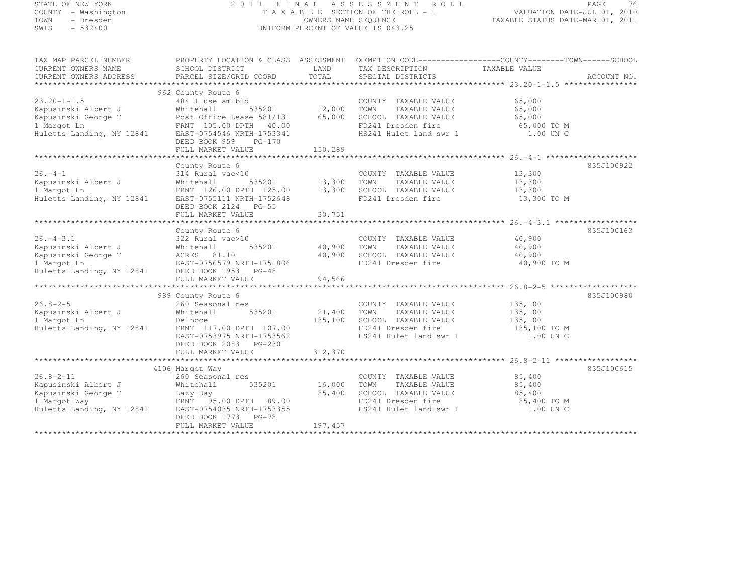# STATE OF NEW YORK 2 0 1 1 F I N A L A S S E S S M E N T R O L L PAGE <sup>76</sup> COUNTY - Washington T A X A B L E SECTION OF THE ROLL - 1 VALUATION DATE-JUL 01, 2010 TOWN - Dresden OWNERS NAME SEQUENCE TAXABLE STATUS DATE-MAR 01, 2011<br>- TRESDEN ON THE SEQUENCE TO A SECUENCE TO BE SERVED ON THE SEQUENCE OF SEXUE OF THE STATUS DATE MAR 01, 2011 SWIS - 532400 UNIFORM PERCENT OF VALUE IS 043.25

| TAX MAP PARCEL NUMBER<br>CURRENT OWNERS NAME<br>CURRENT OWNERS ADDRESS                                      | PROPERTY LOCATION & CLASS ASSESSMENT EXEMPTION CODE----------------COUNTY-------TOWN-----SCHOOL<br>SCHOOL DISTRICT<br>PARCEL SIZE/GRID COORD                                   | LAND<br>TOTAL               | TAX DESCRIPTION<br>SPECIAL DISTRICTS                                                                                  | TAXABLE VALUE                                                                                    | ACCOUNT NO. |
|-------------------------------------------------------------------------------------------------------------|--------------------------------------------------------------------------------------------------------------------------------------------------------------------------------|-----------------------------|-----------------------------------------------------------------------------------------------------------------------|--------------------------------------------------------------------------------------------------|-------------|
|                                                                                                             |                                                                                                                                                                                |                             |                                                                                                                       |                                                                                                  |             |
| $23.20 - 1 - 1.5$<br>Kapusinski Albert J<br>Kapusinski George T<br>1 Margot Ln<br>Huletts Landing, NY 12841 | 962 County Route 6<br>484 1 use sm bld<br>535201<br>Whitehall<br>Post Office Lease 581/131<br>FRNT 105.00 DPTH 40.00<br>EAST-0754546 NRTH-1753341<br>DEED BOOK 959<br>$PG-170$ | 12,000<br>65,000            | COUNTY TAXABLE VALUE<br>TOWN<br>TAXABLE VALUE<br>SCHOOL TAXABLE VALUE                                                 | 65,000<br>65,000<br>65,000<br>FD241 Dresden fire 65,000 TO M<br>HS241 Hulet land swr 1 1.00 UN C |             |
|                                                                                                             |                                                                                                                                                                                |                             |                                                                                                                       |                                                                                                  |             |
|                                                                                                             |                                                                                                                                                                                |                             |                                                                                                                       |                                                                                                  |             |
| $26. -4 - 1$<br>Kapusinski Albert J<br>1 Margot Ln<br>Huletts Landing, NY 12841                             | County Route 6<br>314 Rural vac<10<br>Whitehall<br>FRNT 126.00 DPTH 125.00<br>EAST-0755111 NRTH-1752648<br>DEED BOOK 2124 PG-55                                                | $535201$ 13,300<br>13,300   | COUNTY TAXABLE VALUE<br>TOWN<br>TAXABLE VALUE<br>SCHOOL TAXABLE VALUE<br>FD241 Dresden fire                           | 13,300<br>13,300<br>13,300<br>13,300 TO M                                                        | 835J100922  |
|                                                                                                             | FULL MARKET VALUE                                                                                                                                                              | 30,751                      |                                                                                                                       |                                                                                                  |             |
|                                                                                                             | County Route 6                                                                                                                                                                 |                             |                                                                                                                       |                                                                                                  | 835J100163  |
| $26. - 4 - 3.1$<br>Kapusinski Albert J<br>Kapusinski George T<br>1 Margot Ln<br>Huletts Landing, NY 12841   | 322 Rural vac>10<br>535201<br>Whitehall<br>ACRES 81.10<br>EAST-0756579 NRTH-1751806<br>DEED BOOK 1953 PG-48<br>FULL MARKET VALUE                                               | 40,900<br>40,900<br>94,566  | COUNTY TAXABLE VALUE<br>TAXABLE VALUE<br>TOWN<br>SCHOOL TAXABLE VALUE<br>FD241 Dresden fire                           | 40,900<br>40,900<br>40,900<br>40,900 TO M                                                        |             |
|                                                                                                             |                                                                                                                                                                                |                             |                                                                                                                       |                                                                                                  |             |
| $26.8 - 2 - 5$<br>Kapusinski Albert J<br>1 Margot Ln<br>Huletts Landing, NY 12841                           | 989 County Route 6<br>260 Seasonal res<br>Whitehall<br>535201<br>Delnoce<br>FRNT 117.00 DPTH 107.00<br>EAST-0753975 NRTH-1753562<br>DEED BOOK 2083 PG-230                      | 21,400<br>135,100           | COUNTY TAXABLE VALUE<br>TOWN<br>TAXABLE VALUE<br>SCHOOL TAXABLE VALUE                                                 | 135,100<br>135,100<br>135,100                                                                    | 835J100980  |
|                                                                                                             | FULL MARKET VALUE                                                                                                                                                              | 312,370                     |                                                                                                                       |                                                                                                  |             |
|                                                                                                             |                                                                                                                                                                                |                             |                                                                                                                       |                                                                                                  |             |
| $26.8 - 2 - 11$<br>Kapusinski Albert J<br>Kapusinski George T<br>1 Margot Way<br>Huletts Landing, NY 12841  | 4106 Margot Way<br>260 Seasonal res<br>Whitehall<br>535201<br>Lazy Day<br>FRNT 95.00 DPTH 89.00<br>EAST-0754035 NRTH-1753355<br>DEED BOOK 1773 PG-78<br>FULL MARKET VALUE      | 16,000<br>85,400<br>197,457 | COUNTY TAXABLE VALUE<br>TOWN<br>TAXABLE VALUE<br>SCHOOL TAXABLE VALUE<br>FD241 Dresden fire<br>HS241 Hulet land swr 1 | 85,400<br>85,400<br>85,400<br>85,400 TO M<br>1.00 UN C                                           | 835J100615  |
|                                                                                                             |                                                                                                                                                                                |                             |                                                                                                                       |                                                                                                  |             |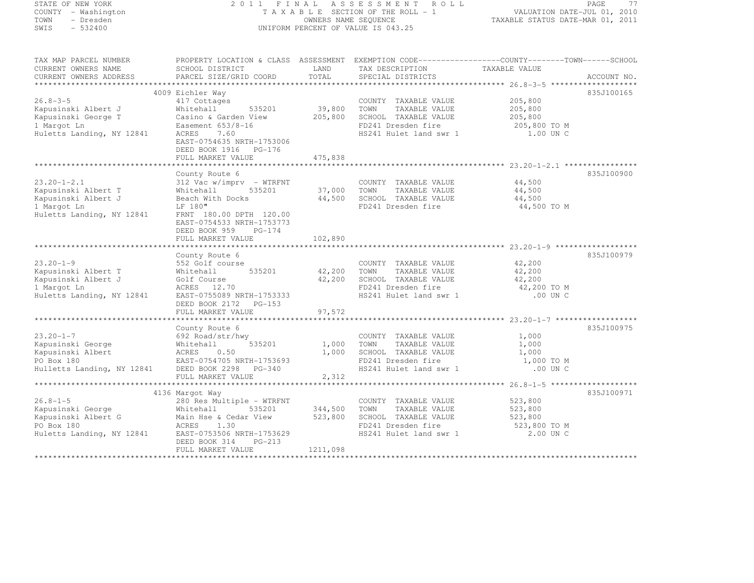# STATE OF NEW YORK 2 0 1 1 F I N A L A S S E S S M E N T R O L L PAGE <sup>77</sup> COUNTY - Washington T A X A B L E SECTION OF THE ROLL - 1 VALUATION DATE-JUL 01, 2010 TOWN - Dresden OWNERS NAME SEQUENCE TAXABLE STATUS DATE-MAR 01, 2011<br>- TRESDEN ON THE SEQUENCE TO A SECUENCE TO BE SERVED ON THE SEQUENCE OF SEXUE OF THE STATUS DATE MAR 01, 2011 SWIS - 532400 UNIFORM PERCENT OF VALUE IS 043.25

| TAX MAP PARCEL NUMBER<br>CURRENT OWNERS NAME<br>CURRENT OWNERS ADDRESS                                                                    | PROPERTY LOCATION & CLASS ASSESSMENT EXEMPTION CODE-----------------COUNTY--------TOWN------SCHOOL<br>SCHOOL DISTRICT<br>PARCEL SIZE/GRID COORD                                  | LAND<br>TOTAL              | TAX DESCRIPTION<br>SPECIAL DISTRICTS                                                                                  | TAXABLE VALUE                                              | ACCOUNT NO. |
|-------------------------------------------------------------------------------------------------------------------------------------------|----------------------------------------------------------------------------------------------------------------------------------------------------------------------------------|----------------------------|-----------------------------------------------------------------------------------------------------------------------|------------------------------------------------------------|-------------|
|                                                                                                                                           |                                                                                                                                                                                  |                            |                                                                                                                       |                                                            |             |
| $26.8 - 3 - 5$<br>Kapusinski Albert J<br>Kapusinski George T                                                                              | 4009 Eichler Way<br>417 Cottages<br>Whitehall<br>535201<br>Casino & Garden View<br>Easement 653/8-16                                                                             | 39,800<br>205,800          | COUNTY TAXABLE VALUE<br>TOWN<br>TAXABLE VALUE<br>SCHOOL TAXABLE VALUE<br>FD241 Dresden fire                           | 205,800<br>205,800<br>205,800                              | 835J100165  |
| 1 Margot Ln<br>Huletts Landing, NY 12841                                                                                                  | ACRES<br>7.60<br>EAST-0754635 NRTH-1753006<br>DEED BOOK 1916 PG-176<br>FULL MARKET VALUE                                                                                         | 475,838                    | HS241 Hulet land swr 1                                                                                                | 205,800 TO M<br>1.00 UN C                                  |             |
|                                                                                                                                           |                                                                                                                                                                                  |                            |                                                                                                                       |                                                            |             |
| $23.20 - 1 - 2.1$<br>Kapusinski Albert T<br>Kapusinski Albert J<br>1 Margot Ln<br>Huletts Landing, NY 12841                               | County Route 6<br>312 Vac w/imprv - WTRFNT<br>Whitehall<br>535201<br>Beach With Docks<br>LF 180"<br>FRNT 180.00 DPTH 120.00<br>EAST-0754533 NRTH-1753773<br>DEED BOOK 959 PG-174 | 37,000<br>44,500           | COUNTY TAXABLE VALUE<br>TOWN<br>TAXABLE VALUE<br>SCHOOL TAXABLE VALUE<br>FD241 Dresden fire                           | 44,500<br>44,500<br>44,500<br>44,500 TO M                  | 835J100900  |
|                                                                                                                                           | FULL MARKET VALUE                                                                                                                                                                | 102,890                    |                                                                                                                       |                                                            |             |
|                                                                                                                                           |                                                                                                                                                                                  |                            |                                                                                                                       |                                                            |             |
| $23.20 - 1 - 9$<br>Kapusinski Albert T<br>Kapusinski Albert J<br>1 Margot Ln<br>Huletts Landing, NY 12841                                 | County Route 6<br>552 Golf course<br>535201<br>Whitehall<br>Golf Course<br>ACRES 12.70<br>EAST-0755089 NRTH-1753333<br>DEED BOOK 2172 PG-153<br>FULL MARKET VALUE                | 42,200<br>42,200<br>97,572 | COUNTY TAXABLE VALUE<br>TOWN<br>TAXABLE VALUE<br>SCHOOL TAXABLE VALUE<br>FD241 Dresden fire<br>HS241 Hulet land swr 1 | 42,200<br>42,200<br>42,200<br>42,200 TO M<br>.00 UN C      | 835J100979  |
|                                                                                                                                           |                                                                                                                                                                                  |                            |                                                                                                                       |                                                            |             |
| $23.20 - 1 - 7$<br>Kapusinski George<br>Kapusinski Albert<br>PO Box 180<br>PO Box 180<br>Hulletts Landing, NY 12841 DEED BOOK 2298 PG-340 | County Route 6<br>692 Road/str/hwy<br>Whitehall<br>535201<br>ACRES<br>0.50<br>EAST-0754705 NRTH-1753693<br>FULL MARKET VALUE                                                     | 1,000<br>1,000<br>2,312    | COUNTY TAXABLE VALUE<br>TOWN<br>TAXABLE VALUE<br>SCHOOL TAXABLE VALUE<br>FD241 Dresden fire<br>HS241 Hulet land swr 1 | 1,000<br>1,000<br>1,000<br>1,000 TO M<br>.00 UN C          | 835J100975  |
|                                                                                                                                           |                                                                                                                                                                                  |                            |                                                                                                                       |                                                            |             |
| $26.8 - 1 - 5$<br>Kapusinski George<br>Kapusinski Albert G<br>PO Box 180<br>Huletts Landing, NY 12841                                     | 4136 Margot Way<br>280 Res Multiple - WTRFNT<br>Whitehall<br>535201<br>Main Hse & Cedar View<br>ACRES 1.30<br>EAST-0753506 NRTH-1753629<br>DEED BOOK 314<br>PG-213               | 344,500<br>523,800         | COUNTY TAXABLE VALUE<br>TAXABLE VALUE<br>TOWN<br>SCHOOL TAXABLE VALUE<br>FD241 Dresden fire<br>HS241 Hulet land swr 1 | 523,800<br>523,800<br>523,800<br>523,800 TO M<br>2.00 UN C | 835J100971  |
|                                                                                                                                           | FULL MARKET VALUE                                                                                                                                                                | 1211,098                   |                                                                                                                       |                                                            |             |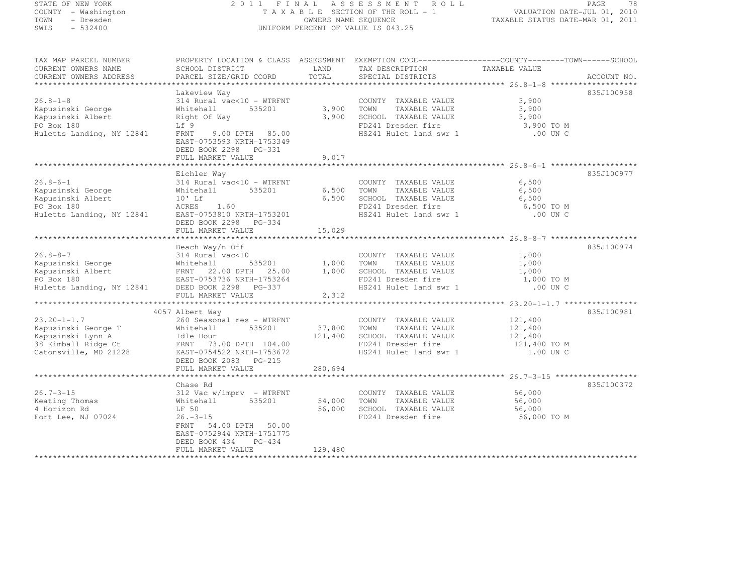# STATE OF NEW YORK 2 0 1 1 F I N A L A S S E S S M E N T R O L L PAGE <sup>78</sup> COUNTY - Washington T A X A B L E SECTION OF THE ROLL - 1 VALUATION DATE-JUL 01, 2010 TOWN - Dresden OWNERS NAME SEQUENCE TAXABLE STATUS DATE-MAR 01, 2011<br>- TRESDEN ON THE SEQUENCE TO A SECUENCE TO BE SERVED ON THE SEQUENCE OF SEXUE OF THE STATUS DATE MAR 01, 2011 SWIS - 532400 UNIFORM PERCENT OF VALUE IS 043.25

| TAX MAP PARCEL NUMBER<br>CURRENT OWNERS NAME | PROPERTY LOCATION & CLASS ASSESSMENT EXEMPTION CODE-----------------COUNTY-------TOWN------SCHOOL<br>SCHOOL DISTRICT | LAND    | TAX DESCRIPTION        | TAXABLE VALUE |             |
|----------------------------------------------|----------------------------------------------------------------------------------------------------------------------|---------|------------------------|---------------|-------------|
| CURRENT OWNERS ADDRESS                       | PARCEL SIZE/GRID COORD                                                                                               | TOTAL   | SPECIAL DISTRICTS      |               | ACCOUNT NO. |
|                                              |                                                                                                                      |         |                        |               |             |
|                                              | Lakeview Way                                                                                                         |         |                        |               | 835J100958  |
| $26.8 - 1 - 8$                               | 314 Rural vac<10 - WTRFNT                                                                                            |         | COUNTY TAXABLE VALUE   | 3,900         |             |
| Kapusinski George                            | 535201<br>Whitehall                                                                                                  | 3,900   | TOWN<br>TAXABLE VALUE  | 3,900         |             |
| Kapusinski Albert                            | Right Of Way                                                                                                         | 3,900   | SCHOOL TAXABLE VALUE   | 3,900         |             |
| PO Box 180                                   | Lf 9                                                                                                                 |         | FD241 Dresden fire     | 3,900 TO M    |             |
| Huletts Landing, NY 12841                    | 9.00 DPTH 85.00<br>FRNT<br>EAST-0753593 NRTH-1753349<br>DEED BOOK 2298 PG-331                                        |         | HS241 Hulet land swr 1 | .00 UN C      |             |
|                                              | FULL MARKET VALUE                                                                                                    | 9,017   |                        |               |             |
|                                              |                                                                                                                      |         |                        |               | 835J100977  |
| $26.8 - 6 - 1$                               | Eichler Way<br>$314$ Rural vac<10 - WTRFNT                                                                           |         | COUNTY TAXABLE VALUE   | 6,500         |             |
| Kapusinski George                            | Whitehall<br>535201                                                                                                  | 6,500   | TOWN<br>TAXABLE VALUE  | 6,500         |             |
| Kapusinski Albert                            | $10'$ Lf                                                                                                             | 6,500   | SCHOOL TAXABLE VALUE   | 6,500         |             |
| PO Box 180                                   | ACRES<br>1.60                                                                                                        |         | FD241 Dresden fire     | 6,500 TO M    |             |
|                                              | EAST-0753810 NRTH-1753201                                                                                            |         | HS241 Hulet land swr 1 | .00 UN C      |             |
| Huletts Landing, NY 12841                    | DEED BOOK 2298 PG-334                                                                                                |         |                        |               |             |
|                                              | FULL MARKET VALUE                                                                                                    | 15,029  |                        |               |             |
|                                              |                                                                                                                      |         |                        |               |             |
|                                              | Beach Way/n Off                                                                                                      |         |                        |               | 835J100974  |
| $26.8 - 8 - 7$                               | 314 Rural vac<10                                                                                                     |         | COUNTY TAXABLE VALUE   | 1,000         |             |
| Kapusinski George                            | Whitehall<br>535201                                                                                                  | 1,000   | TAXABLE VALUE<br>TOWN  | 1,000         |             |
| Kapusinski Albert                            | FRNT 22.00 DPTH 25.00                                                                                                | 1,000   | SCHOOL TAXABLE VALUE   | 1,000         |             |
| PO Box 180                                   | EAST-0753736 NRTH-1753264                                                                                            |         | FD241 Dresden fire     | 1,000 TO M    |             |
| Huletts Landing, NY 12841                    | DEED BOOK 2298 PG-337                                                                                                |         | HS241 Hulet land swr 1 | .00 UN C      |             |
|                                              | FULL MARKET VALUE                                                                                                    | 2,312   |                        |               |             |
|                                              |                                                                                                                      |         |                        |               |             |
|                                              | 4057 Albert Way                                                                                                      |         |                        |               | 835J100981  |
| $23.20 - 1 - 1.7$                            | 260 Seasonal res - WTRFNT                                                                                            |         | COUNTY TAXABLE VALUE   | 121,400       |             |
| Kapusinski George T                          | 535201<br>Whitehall                                                                                                  | 37,800  | TOWN<br>TAXABLE VALUE  | 121,400       |             |
| Kapusinski Lynn A                            | Idle Hour                                                                                                            | 121,400 | SCHOOL TAXABLE VALUE   | 121,400       |             |
| 38 Kimball Ridge Ct                          | FRNT 73.00 DPTH 104.00                                                                                               |         | FD241 Dresden fire     | 121,400 TO M  |             |
| Catonsville, MD 21228                        | EAST-0754522 NRTH-1753672                                                                                            |         | HS241 Hulet land swr 1 | 1.00 UN C     |             |
|                                              | DEED BOOK 2083 PG-215                                                                                                |         |                        |               |             |
|                                              | FULL MARKET VALUE                                                                                                    | 280,694 |                        |               |             |
|                                              |                                                                                                                      |         |                        |               |             |
|                                              | Chase Rd                                                                                                             |         |                        |               | 835J100372  |
| $26.7 - 3 - 15$                              | $312$ Vac w/imprv - WTRFNT                                                                                           |         | COUNTY TAXABLE VALUE   | 56,000        |             |
| Keating Thomas                               | 535201<br>Whitehall                                                                                                  | 54,000  | TOWN<br>TAXABLE VALUE  | 56,000        |             |
| 4 Horizon Rd                                 | LF 50                                                                                                                | 56,000  | SCHOOL TAXABLE VALUE   | 56,000        |             |
| Fort Lee, NJ 07024                           | $26. - 3 - 15$                                                                                                       |         | FD241 Dresden fire     | 56,000 TO M   |             |
|                                              | 54.00 DPTH 50.00<br>FRNT                                                                                             |         |                        |               |             |
|                                              | EAST-0752944 NRTH-1751775                                                                                            |         |                        |               |             |
|                                              | DEED BOOK 434<br>PG-434                                                                                              |         |                        |               |             |
|                                              | FULL MARKET VALUE                                                                                                    | 129,480 |                        |               |             |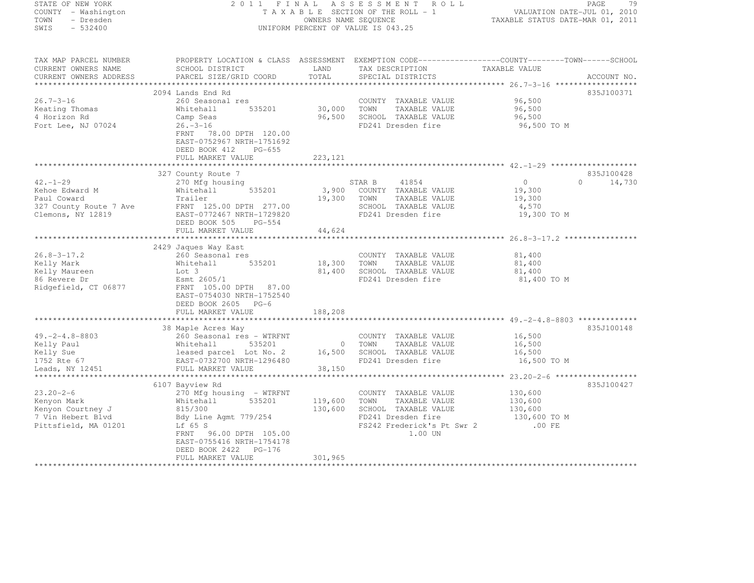| STATE OF NEW YORK<br>COUNTY - Washington<br>TOWN<br>- Dresden<br>$-532400$<br>SWIS                                             | 2011 FINAL<br>A S S E S S M E N T<br>ROLL<br>T A X A B L E SECTION OF THE ROLL - 1<br>OWNERS NAME SEQUENCE<br>UNIFORM PERCENT OF VALUE IS 043.25                                                                                                     |                                                           |                                                                                                                                      | 79<br>PAGE<br>VALUATION DATE-JUL 01, 2010<br>TAXABLE STATUS DATE-MAR 01, 2011                                                     |
|--------------------------------------------------------------------------------------------------------------------------------|------------------------------------------------------------------------------------------------------------------------------------------------------------------------------------------------------------------------------------------------------|-----------------------------------------------------------|--------------------------------------------------------------------------------------------------------------------------------------|-----------------------------------------------------------------------------------------------------------------------------------|
| TAX MAP PARCEL NUMBER<br>CURRENT OWNERS NAME<br>CURRENT OWNERS ADDRESS<br>*************************                            | SCHOOL DISTRICT<br>PARCEL SIZE/GRID COORD                                                                                                                                                                                                            | LAND<br>TOTAL                                             | TAX DESCRIPTION<br>SPECIAL DISTRICTS                                                                                                 | PROPERTY LOCATION & CLASS ASSESSMENT EXEMPTION CODE-----------------COUNTY-------TOWN------SCHOOL<br>TAXABLE VALUE<br>ACCOUNT NO. |
| $26.7 - 3 - 16$<br>Keating Thomas<br>4 Horizon Rd<br>Fort Lee, NJ 07024                                                        | 2094 Lands End Rd<br>260 Seasonal res<br>Whitehall<br>535201<br>Camp Seas<br>$26. - 3 - 16$<br>FRNT 78.00 DPTH 120.00<br>EAST-0752967 NRTH-1751692                                                                                                   | 30,000<br>96,500                                          | COUNTY TAXABLE VALUE<br>TOWN<br>TAXABLE VALUE<br>SCHOOL TAXABLE VALUE<br>FD241 Dresden fire                                          | 835J100371<br>96,500<br>96,500<br>96,500<br>96,500 TO M                                                                           |
|                                                                                                                                | DEED BOOK 412<br>PG-655<br>FULL MARKET VALUE                                                                                                                                                                                                         | 223, 121                                                  |                                                                                                                                      |                                                                                                                                   |
| $42. - 1 - 29$<br>Kehoe Edward M<br>Paul Coward<br>327 County Route 7 Ave<br>Clemons, NY 12819                                 | 327 County Route 7<br>270 Mfg housing<br>Whitehall<br>535201<br>Trailer<br>FRNT 125.00 DPTH 277.00<br>EAST-0772467 NRTH-1729820                                                                                                                      | 3,900<br>19,300                                           | STAR B<br>41854<br>COUNTY TAXABLE VALUE<br>TOWN<br>TAXABLE VALUE<br>SCHOOL TAXABLE VALUE<br>FD241 Dresden fire                       | 835J100428<br>$\circ$<br>$\Omega$<br>14,730<br>19,300<br>19,300<br>4,570<br>19,300 TO M                                           |
|                                                                                                                                | DEED BOOK 505 PG-554<br>FULL MARKET VALUE                                                                                                                                                                                                            | 44,624                                                    |                                                                                                                                      |                                                                                                                                   |
| $26.8 - 3 - 17.2$<br>Kelly Mark<br>Kelly Maureen<br>86 Revere Dr<br>Ridgefield, CT 06877                                       | 2429 Jaques Way East<br>260 Seasonal res<br>535201<br>Whitehall<br>Lot 3<br>Esmt 2605/1<br>FRNT 105.00 DPTH 87.00<br>EAST-0754030 NRTH-1752540<br>DEED BOOK 2605 PG-6<br>FULL MARKET VALUE                                                           | 18,300<br>81,400<br>188,208                               | COUNTY TAXABLE VALUE<br>TOWN<br>TAXABLE VALUE<br>SCHOOL TAXABLE VALUE<br>FD241 Dresden fire                                          | 81,400<br>81,400<br>81,400<br>81,400 TO M                                                                                         |
| $49. -2 - 4.8 - 8803$<br>Kelly Paul<br>Kelly Sue<br>1752 Rte 67<br>Leads, NY 12451                                             | 38 Maple Acres Way<br>260 Seasonal res - WTRFNT<br>Whitehall<br>535201<br>leased parcel Lot No. 2<br>EAST-0732700 NRTH-1296480<br>FULL MARKET VALUE<br>***************************                                                                   | $\overline{0}$<br>16,500<br>38,150<br>******************* | COUNTY TAXABLE VALUE<br>TOWN<br>TAXABLE VALUE<br>SCHOOL TAXABLE VALUE<br>FD241 Dresden fire                                          | 835J100148<br>16,500<br>16,500<br>16,500<br>16,500 TO M                                                                           |
| $23.20 - 2 - 6$<br>Kenyon Mark<br>Kenyon Courtney J<br>7 Vin Hebert Blvd<br>Pittsfield, MA 01201<br>************************** | 6107 Bayview Rd<br>270 Mfg housing - WTRFNT<br>535201<br>Whitehall<br>815/300<br>Bdy Line Agmt 779/254<br>Lf 65 S<br>FRNT<br>96.00 DPTH 105.00<br>EAST-0755416 NRTH-1754178<br>DEED BOOK 2422 PG-176<br>FULL MARKET VALUE<br>*********************** | 119,600<br>130,600<br>301,965<br>***************          | COUNTY TAXABLE VALUE<br>TOWN<br>TAXABLE VALUE<br>SCHOOL TAXABLE VALUE<br>FD241 Dresden fire<br>FS242 Frederick's Pt Swr 2<br>1.00 UN | 835J100427<br>130,600<br>130,600<br>130,600<br>130,600 TO M<br>.00 FE                                                             |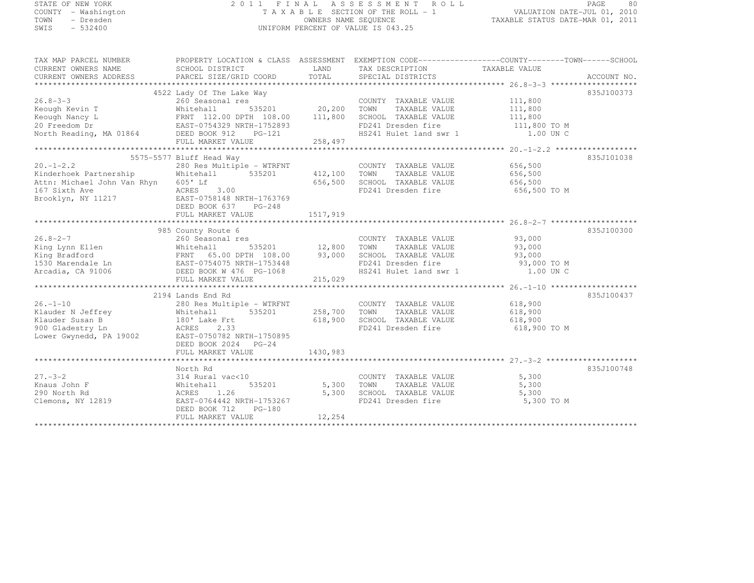# STATE OF NEW YORK 2 0 1 1 F I N A L A S S E S S M E N T R O L L PAGE <sup>80</sup> COUNTY - Washington T A X A B L E SECTION OF THE ROLL - 1 VALUATION DATE-JUL 01, 2010 TOWN - Dresden OWNERS NAME SEQUENCE TAXABLE STATUS DATE-MAR 01, 2011<br>- TRESDEN ON THE SEQUENCE TO A SECUENCE TO BE SERVED ON THE SEQUENCE OF SEXUE OF THE STATUS DATE MAR 01, 2011 SWIS - 532400 UNIFORM PERCENT OF VALUE IS 043.25

| TAX MAP PARCEL NUMBER                                                                                                                                                                                                                                                                                                                                                                                                                                      | PROPERTY LOCATION & CLASS ASSESSMENT EXEMPTION CODE-----------------COUNTY-------TOWN------SCHOOL                                                    |                   |                                                                                                                                                                                                                                |            |            |
|------------------------------------------------------------------------------------------------------------------------------------------------------------------------------------------------------------------------------------------------------------------------------------------------------------------------------------------------------------------------------------------------------------------------------------------------------------|------------------------------------------------------------------------------------------------------------------------------------------------------|-------------------|--------------------------------------------------------------------------------------------------------------------------------------------------------------------------------------------------------------------------------|------------|------------|
| CURRENT OWNERS NAME                                                                                                                                                                                                                                                                                                                                                                                                                                        | SCHOOL DISTRICT                     LAND        TAX DESCRIPTION                 TAXABLE VALUE                                                        |                   |                                                                                                                                                                                                                                |            |            |
| CURRENT OWNERS ADDRESS                                                                                                                                                                                                                                                                                                                                                                                                                                     |                                                                                                                                                      |                   |                                                                                                                                                                                                                                |            |            |
|                                                                                                                                                                                                                                                                                                                                                                                                                                                            |                                                                                                                                                      |                   |                                                                                                                                                                                                                                |            |            |
|                                                                                                                                                                                                                                                                                                                                                                                                                                                            | 4522 Lady Of The Lake Way<br>260 Seasonal res and the COUNTY TAXABLE VALUE<br>20,200 TOWN TAXABLE VALUE 111,800<br>20,200 TOWN TAXABLE VALUE 111,800 |                   |                                                                                                                                                                                                                                |            | 835J100373 |
| 26.8-3-3 260 Seasonal res cOUNTY TAXABLE VALUE 111,800<br>Keough Kevin T Whitehall 535201 20,200 TOWN TAXABLE VALUE 111,800<br>Keough Nancy L FRNT 112.00 DPTH 108.00 111,800 SCHOOL TAXABLE VALUE 111,800<br>20 Freedom Dr EAST-075                                                                                                                                                                                                                       |                                                                                                                                                      |                   |                                                                                                                                                                                                                                |            |            |
|                                                                                                                                                                                                                                                                                                                                                                                                                                                            |                                                                                                                                                      |                   |                                                                                                                                                                                                                                |            |            |
|                                                                                                                                                                                                                                                                                                                                                                                                                                                            |                                                                                                                                                      |                   |                                                                                                                                                                                                                                |            |            |
|                                                                                                                                                                                                                                                                                                                                                                                                                                                            |                                                                                                                                                      |                   |                                                                                                                                                                                                                                |            |            |
|                                                                                                                                                                                                                                                                                                                                                                                                                                                            |                                                                                                                                                      |                   | FD241 Dresden fire 111,800 TO M<br>HS241 Hulet land swr 1 1.00 UN C                                                                                                                                                            |            |            |
|                                                                                                                                                                                                                                                                                                                                                                                                                                                            |                                                                                                                                                      |                   |                                                                                                                                                                                                                                |            |            |
|                                                                                                                                                                                                                                                                                                                                                                                                                                                            |                                                                                                                                                      |                   |                                                                                                                                                                                                                                |            |            |
|                                                                                                                                                                                                                                                                                                                                                                                                                                                            | 5575-5577 Bluff Head Way                                                                                                                             |                   |                                                                                                                                                                                                                                |            | 835J101038 |
| 20.-1-2.2<br>280 Res Multiple - WTRFNT COUNTY TAXABLE VALUE<br>280 Res Multiple - WTRFNT 212,100 TOWN TAXABLE VALUE 656,500<br>280 Res Multiple - WTRFNT 212,100 TOWN TAXABLE VALUE 656,500<br>280 Res Multiple - WTRFNT 212,100 TOWN                                                                                                                                                                                                                      |                                                                                                                                                      |                   |                                                                                                                                                                                                                                |            |            |
|                                                                                                                                                                                                                                                                                                                                                                                                                                                            |                                                                                                                                                      |                   |                                                                                                                                                                                                                                |            |            |
|                                                                                                                                                                                                                                                                                                                                                                                                                                                            |                                                                                                                                                      |                   | 112,1888 12000 12000 12000 12000 12000 12000 12000 12000 12000 12000 12000 12000 12000 12000 12000 12000 1200<br>656,500 12000 12000 12000 12000 12000 12000 12000 12000 12000 12000 12000 12000 12000 12000 12000 12000 12000 |            |            |
| $\begin{tabular}{lllllllll} \multicolumn{2}{c}{\begin{tabular}{l} \multicolumn{2}{c}{\begin{tabular}{l} \multicolumn{2}{c}{\multicolumn{2}{c}{\text{if} & $0.00$\colon$} & $10$ & $100$\colon$ \\ \multicolumn{2}{c}{\multicolumn{2}{c}{\text{if} & $100$\colon$} & $100$\colon$ \\ \multicolumn{2}{c}{\text{Brooklyn, NY 11217}} & & & & & & & & & \\ \multicolumn{2}{c}{\text{BCRES}} & & & & 3.00$\quad$ \\ \multicolumn{2}{c}{\text{Brootkyn, NY 1121$ |                                                                                                                                                      |                   | FD241 Dresden fire 656,500 TO M                                                                                                                                                                                                |            |            |
|                                                                                                                                                                                                                                                                                                                                                                                                                                                            |                                                                                                                                                      |                   |                                                                                                                                                                                                                                |            |            |
|                                                                                                                                                                                                                                                                                                                                                                                                                                                            |                                                                                                                                                      |                   |                                                                                                                                                                                                                                |            |            |
|                                                                                                                                                                                                                                                                                                                                                                                                                                                            |                                                                                                                                                      |                   |                                                                                                                                                                                                                                |            |            |
|                                                                                                                                                                                                                                                                                                                                                                                                                                                            |                                                                                                                                                      |                   |                                                                                                                                                                                                                                |            |            |
|                                                                                                                                                                                                                                                                                                                                                                                                                                                            |                                                                                                                                                      |                   |                                                                                                                                                                                                                                |            | 835J100300 |
| $26.8 - 2 - 7$                                                                                                                                                                                                                                                                                                                                                                                                                                             |                                                                                                                                                      |                   | COUNTY TAXABLE VALUE 93,000<br>TOWN TAXABLE VALUE 93,000                                                                                                                                                                       |            |            |
|                                                                                                                                                                                                                                                                                                                                                                                                                                                            |                                                                                                                                                      |                   |                                                                                                                                                                                                                                |            |            |
|                                                                                                                                                                                                                                                                                                                                                                                                                                                            |                                                                                                                                                      |                   |                                                                                                                                                                                                                                |            |            |
|                                                                                                                                                                                                                                                                                                                                                                                                                                                            |                                                                                                                                                      |                   |                                                                                                                                                                                                                                |            |            |
|                                                                                                                                                                                                                                                                                                                                                                                                                                                            |                                                                                                                                                      |                   |                                                                                                                                                                                                                                |            |            |
|                                                                                                                                                                                                                                                                                                                                                                                                                                                            |                                                                                                                                                      |                   |                                                                                                                                                                                                                                |            |            |
|                                                                                                                                                                                                                                                                                                                                                                                                                                                            |                                                                                                                                                      |                   |                                                                                                                                                                                                                                |            |            |
|                                                                                                                                                                                                                                                                                                                                                                                                                                                            | 2194 Lands End Rd                                                                                                                                    |                   |                                                                                                                                                                                                                                |            | 835J100437 |
|                                                                                                                                                                                                                                                                                                                                                                                                                                                            |                                                                                                                                                      |                   |                                                                                                                                                                                                                                |            |            |
|                                                                                                                                                                                                                                                                                                                                                                                                                                                            |                                                                                                                                                      |                   |                                                                                                                                                                                                                                |            |            |
|                                                                                                                                                                                                                                                                                                                                                                                                                                                            |                                                                                                                                                      |                   |                                                                                                                                                                                                                                |            |            |
|                                                                                                                                                                                                                                                                                                                                                                                                                                                            |                                                                                                                                                      |                   | FD241 Dresden fire 618,900 TO M                                                                                                                                                                                                |            |            |
| 26.-1-10<br>280 Rands End Mitple - WTRFNT<br>280 Rander N Jeffrey<br>258,700 TOWN TAXABLE VALUE<br>258,700 TOWN TAXABLE VALUE<br>258,700 TOWN TAXABLE VALUE<br>258,700 TOWN TAXABLE VALUE<br>258,700 TOWN TAXABLE VALUE<br>258,700 TOWN TAXABL                                                                                                                                                                                                             |                                                                                                                                                      |                   |                                                                                                                                                                                                                                |            |            |
|                                                                                                                                                                                                                                                                                                                                                                                                                                                            | DEED BOOK 2024 PG-24                                                                                                                                 |                   |                                                                                                                                                                                                                                |            |            |
|                                                                                                                                                                                                                                                                                                                                                                                                                                                            |                                                                                                                                                      |                   |                                                                                                                                                                                                                                |            |            |
|                                                                                                                                                                                                                                                                                                                                                                                                                                                            |                                                                                                                                                      |                   |                                                                                                                                                                                                                                |            |            |
|                                                                                                                                                                                                                                                                                                                                                                                                                                                            |                                                                                                                                                      |                   |                                                                                                                                                                                                                                |            | 835J100748 |
| $27. - 3 - 2$                                                                                                                                                                                                                                                                                                                                                                                                                                              | North Rd<br>314 Rural vac<10                                                                                                                         |                   | COUNTY TAXABLE VALUE 5,300                                                                                                                                                                                                     |            |            |
| Knaus John F                                                                                                                                                                                                                                                                                                                                                                                                                                               | Whitehall                                                                                                                                            | 535201 5,300 TOWN | TAXABLE VALUE                                                                                                                                                                                                                  | 5,300      |            |
|                                                                                                                                                                                                                                                                                                                                                                                                                                                            | ACRES<br>1.26                                                                                                                                        |                   | 5,300 SCHOOL TAXABLE VALUE 5,300                                                                                                                                                                                               |            |            |
| 290 North Rd<br>Clemons, NY 12819                                                                                                                                                                                                                                                                                                                                                                                                                          | - ----<br>רא22,47 נזירי<br>EAST-0764442 NRTH-1753267                                                                                                 |                   | FD241 Dresden fire                                                                                                                                                                                                             | 5,300 TO M |            |
|                                                                                                                                                                                                                                                                                                                                                                                                                                                            | DEED BOOK 712 PG-180                                                                                                                                 |                   |                                                                                                                                                                                                                                |            |            |
|                                                                                                                                                                                                                                                                                                                                                                                                                                                            | FULL MARKET VALUE                                                                                                                                    | 12,254            |                                                                                                                                                                                                                                |            |            |
|                                                                                                                                                                                                                                                                                                                                                                                                                                                            |                                                                                                                                                      |                   |                                                                                                                                                                                                                                |            |            |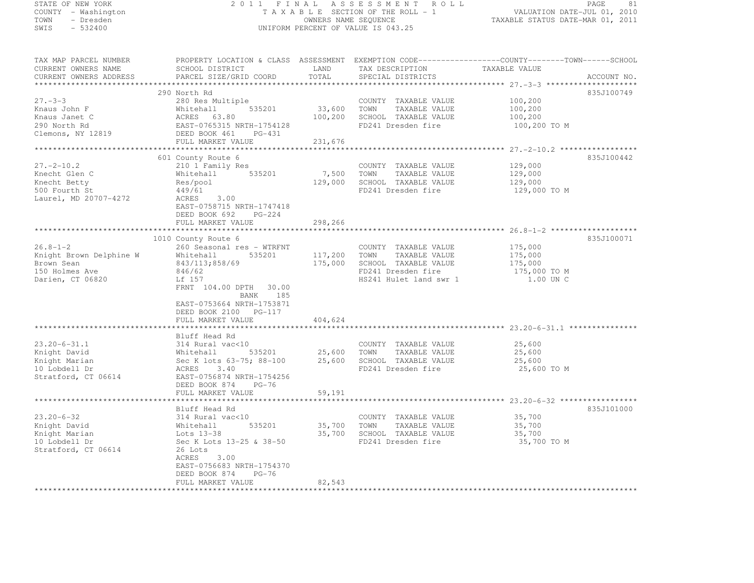STATE OF NEW YORK 2 0 1 1 F I N A L A S S E S S M E N T R O L L PAGE <sup>81</sup> COUNTY - Washington  $\begin{array}{ccc} 1 & 0 & 0 \\ 0 & 0 & 0 \end{array}$  T A X A B L E SECTION OF THE ROLL - 1 OWNERS NAME SEQUENCE TOWN - Dresden OWNERS NAME SEQUENCE TAXABLE STATUS DATE-MAR 01, 2011 UNIFORM PERCENT OF VALUE IS 043.25 TAX MAP PARCEL NUMBER PROPERTY LOCATION & CLASS ASSESSMENT EXEMPTION CODE------------------COUNTY--------TOWN------SCHOOL

| TUV LIUT TURCER MOLIDER<br>CURRENT OWNERS NAME                    | INVISIVE BOCALION & CBASS ASSESSMENT EASTERING CODS<br>SCHOOL DISTRICT LAND TAX DESCRIPTION<br>PARCEL SIZE/GRID COORD TOTAL SPECIAL DISTRICTS |             |                                                                                                 | COUNTI T<br>TAXABLE VALUE |  |
|-------------------------------------------------------------------|-----------------------------------------------------------------------------------------------------------------------------------------------|-------------|-------------------------------------------------------------------------------------------------|---------------------------|--|
| CURRENT OWNERS ADDRESS                                            |                                                                                                                                               |             |                                                                                                 | ACCOUNT NO.               |  |
|                                                                   |                                                                                                                                               |             |                                                                                                 |                           |  |
|                                                                   | 290 North Rd                                                                                                                                  |             |                                                                                                 | 835J100749                |  |
| $27. - 3 - 3$                                                     | 280 Res Multiple                                                                                                                              |             | COUNTY TAXABLE VALUE                                                                            | 100,200                   |  |
|                                                                   |                                                                                                                                               |             | 33,600 TOWN TAXABLE VALUE                                                                       |                           |  |
|                                                                   |                                                                                                                                               | 100,200     | SCHOOL TAXABLE VALUE                                                                            | 100,200<br>100,200        |  |
|                                                                   |                                                                                                                                               |             | FD241 Dresden fire                                                                              | 100,200 TO M              |  |
|                                                                   |                                                                                                                                               |             |                                                                                                 |                           |  |
|                                                                   | FULL MARKET VALUE                                                                                                                             | 231,676     |                                                                                                 |                           |  |
|                                                                   |                                                                                                                                               |             |                                                                                                 |                           |  |
|                                                                   | 601 County Route 6                                                                                                                            |             |                                                                                                 | 835J100442                |  |
| $27. - 2 - 10.2$                                                  | 210 1 Family Res                                                                                                                              |             | COUNTY TAXABLE VALUE                                                                            | 129,000                   |  |
| Knecht Glen C                                                     | Whitehall 535201                                                                                                                              | 7,500 TOWN  | TAXABLE VALUE                                                                                   | 129,000                   |  |
| Knecht Betty                                                      | Res/pool                                                                                                                                      | 129,000     | SCHOOL TAXABLE VALUE                                                                            | 129,000                   |  |
| 500 Fourth St                                                     | 449/61                                                                                                                                        |             | FD241 Dresden fire                                                                              | 129,000 TO M              |  |
| Laurel, MD 20707-4272                                             | ACRES 3.00                                                                                                                                    |             |                                                                                                 |                           |  |
|                                                                   | EAST-0758715 NRTH-1747418                                                                                                                     |             |                                                                                                 |                           |  |
|                                                                   | DEED BOOK 692 PG-224                                                                                                                          |             |                                                                                                 |                           |  |
|                                                                   | FULL MARKET VALUE                                                                                                                             | 298,266     |                                                                                                 |                           |  |
|                                                                   |                                                                                                                                               |             |                                                                                                 |                           |  |
|                                                                   | 1010 County Route 6                                                                                                                           |             |                                                                                                 | 835J100071                |  |
| 26.8-1-2<br>Knight Brown Delphine W Whitehall<br>$843/113,858/69$ | 260 Seasonal res - WTRFNT                                                                                                                     |             |                                                                                                 |                           |  |
|                                                                   |                                                                                                                                               |             | COUNTY TAXABLE VALUE 175,000<br>TOWN TAXABLE VALUE 175,000<br>535201 117,200 TOWN TAXABLE VALUE |                           |  |
|                                                                   |                                                                                                                                               | 175,000     | SCHOOL TAXABLE VALUE                                                                            |                           |  |
| 150 Holmes Ave                                                    | 846/62                                                                                                                                        |             | FD241 Dresden fire                                                                              | 175,000<br>175,000 TO M   |  |
| Darien, CT 06820                                                  | Lf 157                                                                                                                                        |             | HS241 Hulet land swr 1                                                                          | 1.00 UN C                 |  |
|                                                                   | FRNT 104.00 DPTH 30.00                                                                                                                        |             |                                                                                                 |                           |  |
|                                                                   | BANK 185                                                                                                                                      |             |                                                                                                 |                           |  |
|                                                                   | EAST-0753664 NRTH-1753871                                                                                                                     |             |                                                                                                 |                           |  |
|                                                                   | DEED BOOK 2100 PG-117                                                                                                                         |             |                                                                                                 |                           |  |
|                                                                   | FULL MARKET VALUE                                                                                                                             | 404,624     |                                                                                                 |                           |  |
|                                                                   |                                                                                                                                               |             |                                                                                                 |                           |  |
|                                                                   | Bluff Head Rd                                                                                                                                 |             |                                                                                                 |                           |  |
| $23.20 - 6 - 31.1$                                                | 314 Rural vac<10                                                                                                                              |             | COUNTY TAXABLE VALUE                                                                            | 25,600                    |  |
| Knight David                                                      | Whitehall                                                                                                                                     |             | 535201 25,600 TOWN TAXABLE VALUE                                                                | 25,600                    |  |
| Knight Marian                                                     | Sec K lots 63-75; 88-100 25,600 SCHOOL TAXABLE VALUE                                                                                          |             |                                                                                                 | 25,600                    |  |
| 10 Lobdell Dr                                                     | ACRES 3.40                                                                                                                                    |             | FD241 Dresden fire                                                                              | 25,600 TO M               |  |
| Stratford, CT 06614                                               | EAST-0756874 NRTH-1754256                                                                                                                     |             |                                                                                                 |                           |  |
|                                                                   | DEED BOOK 874<br>PG-76                                                                                                                        |             |                                                                                                 |                           |  |
|                                                                   | FULL MARKET VALUE                                                                                                                             | 59,191      |                                                                                                 |                           |  |
|                                                                   |                                                                                                                                               |             |                                                                                                 |                           |  |
|                                                                   | Bluff Head Rd                                                                                                                                 |             |                                                                                                 | 835J101000                |  |
| $23.20 - 6 - 32$                                                  | 314 Rural vac<10                                                                                                                              |             | COUNTY TAXABLE VALUE                                                                            | 35,700                    |  |
| Knight David                                                      | Whitehall<br>535201                                                                                                                           | 35,700 TOWN | TAXABLE VALUE                                                                                   | 35,700                    |  |
| Knight Marian                                                     |                                                                                                                                               |             | 35,700 SCHOOL TAXABLE VALUE                                                                     | 35,700                    |  |
| 10 Lobdell Dr                                                     | Lots 13-38<br>Sec K Lots<br>Sec K Lots 13-25 & 38-50                                                                                          |             | FD241 Dresden fire                                                                              | 35,700 TO M               |  |
| Stratford, CT 06614                                               | 26 Lots                                                                                                                                       |             |                                                                                                 |                           |  |
|                                                                   | ACRES<br>3.00                                                                                                                                 |             |                                                                                                 |                           |  |
|                                                                   | EAST-0756683 NRTH-1754370                                                                                                                     |             |                                                                                                 |                           |  |
|                                                                   | DEED BOOK 874<br>$PG-76$                                                                                                                      |             |                                                                                                 |                           |  |
|                                                                   | FULL MARKET VALUE                                                                                                                             | 82,543      |                                                                                                 |                           |  |
|                                                                   |                                                                                                                                               |             |                                                                                                 |                           |  |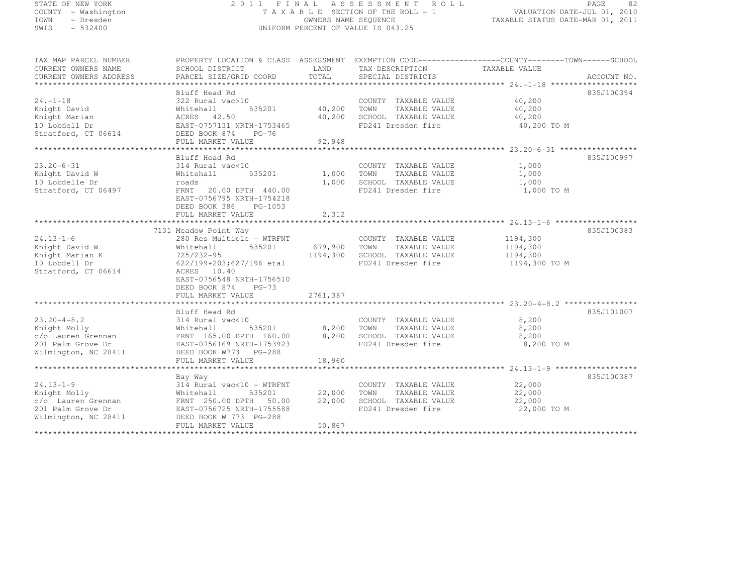| STATE OF NEW YORK |           |                     |  |
|-------------------|-----------|---------------------|--|
|                   |           | COUNTY - Washington |  |
| TOWN              |           | - Dresden           |  |
| SMTS              | $-532400$ |                     |  |

### STATE OF NEW YORK 2 0 1 1 F I N A L A S S E S S M E N T R O L L PAGE <sup>82</sup> COUNTY - Washington T A X A B L E SECTION OF THE ROLL - 1 VALUATION DATE-JUL 01, 2010 TOWN - Dresden OWNERS NAME SEQUENCE TAXABLE STATUS DATE-MAR 01, 2011<br>- TRESDEN ON THE SEQUENCE TO A SECUENCE TO BE SERVED ON THE SEQUENCE OF SEXUE OF THE STATUS DATE MAR 01, 2011 SWIS - 532400 CONTROL CONTROL CONTROL UNIFORM PERCENT OF VALUE IS 043.25

TAX MAP PARCEL NUMBER PROPERTY LOCATION & CLASS ASSESSMENT EXEMPTION CODE--------------------------------TOWN-------SCHOOL

| CURRENT OWNERS NAME    | SCHOOL DISTRICT           | LAND     | TAX DESCRIPTION       | TAXABLE VALUE |             |
|------------------------|---------------------------|----------|-----------------------|---------------|-------------|
| CURRENT OWNERS ADDRESS | PARCEL SIZE/GRID COORD    | TOTAL    | SPECIAL DISTRICTS     |               | ACCOUNT NO. |
|                        |                           |          |                       |               |             |
|                        | Bluff Head Rd             |          |                       |               | 835J100394  |
| $24. -1 - 18$          | 322 Rural vac>10          |          | COUNTY TAXABLE VALUE  | 40,200        |             |
| Knight David           | Whitehall<br>535201       | 40,200   | TOWN<br>TAXABLE VALUE | 40,200        |             |
| Knight Marian          | ACRES 42.50               | 40,200   | SCHOOL TAXABLE VALUE  | 40,200        |             |
| 10 Lobdell Dr          | EAST-0757131 NRTH-1753465 |          | FD241 Dresden fire    | 40,200 TO M   |             |
| Stratford, CT 06614    | DEED BOOK 874<br>$PG-76$  |          |                       |               |             |
|                        | FULL MARKET VALUE         | 92,948   |                       |               |             |
|                        |                           |          |                       |               |             |
|                        | Bluff Head Rd             |          |                       |               | 835J100997  |
| $23.20 - 6 - 31$       | 314 Rural vac<10          |          | COUNTY TAXABLE VALUE  | 1,000         |             |
| Knight David W         | 535201<br>Whitehall       | 1,000    | TOWN<br>TAXABLE VALUE | 1,000         |             |
| 10 Lobdelle Dr         | roads                     | 1,000    | SCHOOL TAXABLE VALUE  | 1,000         |             |
| Stratford, CT 06497    | FRNT<br>20.00 DPTH 440.00 |          | FD241 Dresden fire    | 1,000 TO M    |             |
|                        | EAST-0756795 NRTH-1754218 |          |                       |               |             |
|                        | DEED BOOK 386<br>PG-1053  |          |                       |               |             |
|                        | FULL MARKET VALUE         | 2,312    |                       |               |             |
|                        |                           |          |                       |               |             |
|                        | 7131 Meadow Point Way     |          |                       |               | 835J100383  |
| $24.13 - 1 - 6$        | 280 Res Multiple - WTRFNT |          | COUNTY TAXABLE VALUE  | 1194,300      |             |
| Knight David W         | Whitehall<br>535201       |          | TOWN<br>TAXABLE VALUE |               |             |
|                        |                           | 679,900  |                       | 1194,300      |             |
| Knight Marian K        | 725/232-95                | 1194,300 | SCHOOL TAXABLE VALUE  | 1194,300      |             |
| 10 Lobdell Dr          | 622/199+203;627/196 etal  |          | FD241 Dresden fire    | 1194,300 TO M |             |
| Stratford, CT 06614    | ACRES<br>10.40            |          |                       |               |             |
|                        | EAST-0756548 NRTH-1756510 |          |                       |               |             |
|                        | DEED BOOK 874<br>$PG-73$  |          |                       |               |             |
|                        | FULL MARKET VALUE         | 2761,387 |                       |               |             |
|                        |                           |          |                       |               |             |
|                        | Bluff Head Rd             |          |                       |               | 835J101007  |
| $23.20 - 4 - 8.2$      | 314 Rural vac<10          |          | COUNTY TAXABLE VALUE  | 8,200         |             |
| Knight Molly           | 535201<br>Whitehall       | 8,200    | TOWN<br>TAXABLE VALUE | 8,200         |             |
| c/o Lauren Grennan     | FRNT 165.00 DPTH 160.00   | 8,200    | SCHOOL TAXABLE VALUE  | 8,200         |             |
| 201 Palm Grove Dr      | EAST-0756169 NRTH-1753923 |          | FD241 Dresden fire    | 8,200 TO M    |             |
| Wilmington, NC 28411   | DEED BOOK W773<br>PG-288  |          |                       |               |             |
|                        | FULL MARKET VALUE         | 18,960   |                       |               |             |
|                        |                           |          |                       |               |             |
|                        | Bay Way                   |          |                       |               | 835J100387  |
| $24.13 - 1 - 9$        | 314 Rural vac<10 - WTRFNT |          | COUNTY TAXABLE VALUE  | 22,000        |             |
| Knight Molly           | 535201<br>Whitehall       | 22,000   | TOWN<br>TAXABLE VALUE | 22,000        |             |
| c/o Lauren Grennan     | FRNT 250.00 DPTH 50.00    | 22,000   | SCHOOL TAXABLE VALUE  | 22,000        |             |
| 201 Palm Grove Dr      | EAST-0756725 NRTH-1755588 |          | FD241 Dresden fire    | 22,000 TO M   |             |
| Wilmington, NC 28411   | DEED BOOK W 773 PG-288    |          |                       |               |             |
|                        | FULL MARKET VALUE         | 50,867   |                       |               |             |
|                        |                           |          |                       |               |             |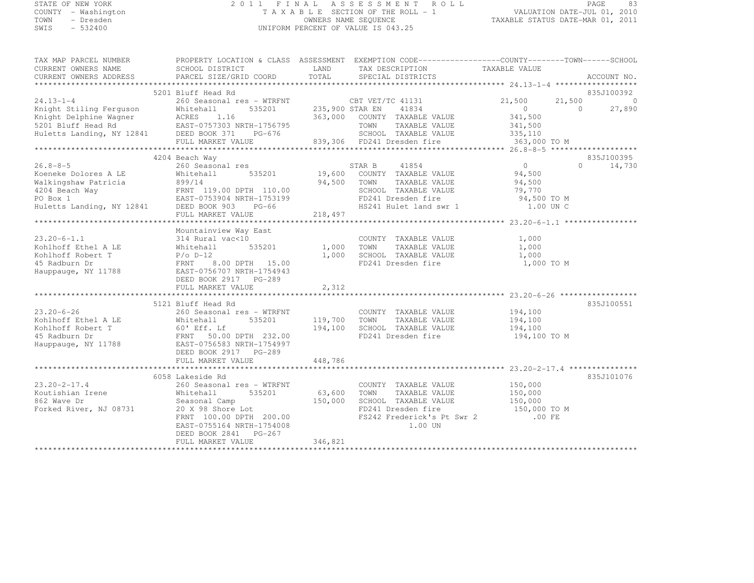# STATE OF NEW YORK 2 0 1 1 F I N A L A S S E S S M E N T R O L L PAGE <sup>83</sup> COUNTY - Washington T A X A B L E SECTION OF THE ROLL - 1 VALUATION DATE-JUL 01, 2010 TOWN - Dresden OWNERS NAME SEQUENCE TAXABLE STATUS DATE-MAR 01, 2011<br>- TRESDEN ON THE SEQUENCE TO A SECUENCE TO BE SERVED ON THE SEQUENCE OF SEXUE OF THE STATUS DATE MAR 01, 2011 SWIS - 532400 UNIFORM PERCENT OF VALUE IS 043.25

| TAX MAP PARCEL NUMBER                                                                                                                                                                                                                      | PROPERTY LOCATION & CLASS ASSESSMENT EXEMPTION CODE-----------------COUNTY-------TOWN------SCHOOL                            |                   |                                                                                                                                                     |                    |                        |
|--------------------------------------------------------------------------------------------------------------------------------------------------------------------------------------------------------------------------------------------|------------------------------------------------------------------------------------------------------------------------------|-------------------|-----------------------------------------------------------------------------------------------------------------------------------------------------|--------------------|------------------------|
|                                                                                                                                                                                                                                            |                                                                                                                              |                   |                                                                                                                                                     |                    |                        |
|                                                                                                                                                                                                                                            |                                                                                                                              |                   |                                                                                                                                                     |                    |                        |
|                                                                                                                                                                                                                                            |                                                                                                                              |                   |                                                                                                                                                     |                    |                        |
|                                                                                                                                                                                                                                            | 5201 Bluff Head Rd                                                                                                           |                   |                                                                                                                                                     |                    | 835J100392             |
| 24.13-1-4 260 Seasonal res - WTRFNT CBT VET/TC 41131<br>Knight Stiling Ferguson Whitehall 535201 235,900 STAR EN 41834<br>Knight Delphine Wagner ACRES 1.16 363,000 COUNTY TAXABLE VALUE<br>5201 Bluff Head Rd EAST-0757303 NRTH-175       | 260 Seasonal res – WTRFNT CBT VET/TC 41131 21,500<br>Whitehall 535201 235,900 STAR EN 41834 20RES 116 262.000 CONVEY TANGERS |                   |                                                                                                                                                     |                    | $21,500$ 0<br>0 27,890 |
|                                                                                                                                                                                                                                            |                                                                                                                              |                   |                                                                                                                                                     |                    |                        |
|                                                                                                                                                                                                                                            |                                                                                                                              |                   |                                                                                                                                                     | 341,500            |                        |
|                                                                                                                                                                                                                                            |                                                                                                                              |                   |                                                                                                                                                     | 341,500<br>335,110 |                        |
|                                                                                                                                                                                                                                            |                                                                                                                              |                   |                                                                                                                                                     |                    |                        |
|                                                                                                                                                                                                                                            | FULL MARKET VALUE 839,306 FD241 Dresden fire 363,000 TO M                                                                    |                   |                                                                                                                                                     |                    |                        |
|                                                                                                                                                                                                                                            |                                                                                                                              |                   |                                                                                                                                                     |                    |                        |
|                                                                                                                                                                                                                                            | 4204 Beach Way                                                                                                               |                   |                                                                                                                                                     |                    | 835J100395             |
| $26.8 - 8 - 5$                                                                                                                                                                                                                             |                                                                                                                              |                   |                                                                                                                                                     |                    | $\Omega$<br>14,730     |
|                                                                                                                                                                                                                                            |                                                                                                                              |                   |                                                                                                                                                     |                    |                        |
|                                                                                                                                                                                                                                            |                                                                                                                              |                   |                                                                                                                                                     |                    |                        |
|                                                                                                                                                                                                                                            |                                                                                                                              |                   |                                                                                                                                                     |                    |                        |
|                                                                                                                                                                                                                                            |                                                                                                                              |                   |                                                                                                                                                     |                    |                        |
| CONTROLLE SOLUTION COUNTY TAXABLE VALUE<br>CONSERVANCE COUNTY TAXABLE VALUE<br>Malkingshaw Patricia a 899/14<br>4204 Beach Way FRNT 119.00 DPTH 110.00<br>PO Box 1<br>Huetts Landing, NY 12841 DESED BOX 1<br>Huetts Landing, NY 12841 DES |                                                                                                                              |                   |                                                                                                                                                     |                    |                        |
|                                                                                                                                                                                                                                            | FULL MARKET VALUE                                                                                                            | 218,497           |                                                                                                                                                     |                    |                        |
|                                                                                                                                                                                                                                            |                                                                                                                              |                   |                                                                                                                                                     |                    |                        |
|                                                                                                                                                                                                                                            | Mountainview Way East<br>314 Rural vac<10                                                                                    |                   |                                                                                                                                                     |                    |                        |
| $23.20 - 6 - 1.1$                                                                                                                                                                                                                          |                                                                                                                              |                   | COUNTY TAXABLE VALUE 1,000                                                                                                                          |                    |                        |
|                                                                                                                                                                                                                                            |                                                                                                                              | 535201 1,000 TOWN | TAXABLE VALUE 1,000                                                                                                                                 |                    |                        |
|                                                                                                                                                                                                                                            |                                                                                                                              |                   | 1,000 SCHOOL TAXABLE VALUE 1,000<br>FD241 Dresden fire 1,000 TO M                                                                                   |                    |                        |
|                                                                                                                                                                                                                                            |                                                                                                                              |                   |                                                                                                                                                     |                    |                        |
| Explorer The Mitchall 535201<br>Kohlhoff Ethel A LE Mitchall 535201<br>Kohlhoff Robert T P/o D-12<br>45 Radburn Dr FRNT 8.00 DPTH 15.00<br>Hauppauge, NY 11788 EAST-0756707 NRTH-1754943<br>DEED BOOK 2917 PG-289                          |                                                                                                                              |                   |                                                                                                                                                     |                    |                        |
|                                                                                                                                                                                                                                            | DEED BOOK 2917 PG-289                                                                                                        |                   |                                                                                                                                                     |                    |                        |
|                                                                                                                                                                                                                                            | FULL MARKET VALUE                                                                                                            | 2,312             |                                                                                                                                                     |                    |                        |
|                                                                                                                                                                                                                                            |                                                                                                                              |                   |                                                                                                                                                     |                    |                        |
|                                                                                                                                                                                                                                            | 5121 Bluff Head Rd                                                                                                           |                   |                                                                                                                                                     |                    | 835J100551             |
|                                                                                                                                                                                                                                            |                                                                                                                              |                   |                                                                                                                                                     |                    |                        |
|                                                                                                                                                                                                                                            |                                                                                                                              |                   |                                                                                                                                                     |                    |                        |
|                                                                                                                                                                                                                                            |                                                                                                                              |                   |                                                                                                                                                     |                    |                        |
|                                                                                                                                                                                                                                            |                                                                                                                              |                   | FD241 Dresden fire 194,100 TO M                                                                                                                     |                    |                        |
|                                                                                                                                                                                                                                            |                                                                                                                              |                   |                                                                                                                                                     |                    |                        |
|                                                                                                                                                                                                                                            | DEED BOOK 2917 PG-289                                                                                                        |                   |                                                                                                                                                     |                    |                        |
|                                                                                                                                                                                                                                            | FULL MARKET VALUE                                                                                                            | 448,786           |                                                                                                                                                     |                    |                        |
|                                                                                                                                                                                                                                            |                                                                                                                              |                   |                                                                                                                                                     |                    |                        |
|                                                                                                                                                                                                                                            | 6058 Lakeside Rd                                                                                                             |                   |                                                                                                                                                     |                    | 835J101076             |
| $23.20 - 2 - 17.4$                                                                                                                                                                                                                         | 260 Seasonal res - WTRFNT                                                                                                    |                   | COUNTY TAXABLE VALUE 150,000                                                                                                                        |                    |                        |
|                                                                                                                                                                                                                                            |                                                                                                                              |                   |                                                                                                                                                     |                    |                        |
| Koutishian Irene 1999 - Whitehall Movement Seasonal Camp                                                                                                                                                                                   |                                                                                                                              |                   |                                                                                                                                                     |                    |                        |
| Forked River, NJ 08731                                                                                                                                                                                                                     |                                                                                                                              |                   | FOR THE STRIP OF THE SALE OF THE STRIP OF THE STRIP OF THE STRIP OF THE STRIP OF THE STRIP OF THE STRIP OF THE<br>FS242 Frederick's Pt Swr 2 .00 FE |                    |                        |
|                                                                                                                                                                                                                                            |                                                                                                                              |                   |                                                                                                                                                     |                    |                        |
|                                                                                                                                                                                                                                            |                                                                                                                              |                   |                                                                                                                                                     |                    |                        |
|                                                                                                                                                                                                                                            | DEED BOOK 2841 PG-267                                                                                                        |                   |                                                                                                                                                     |                    |                        |
|                                                                                                                                                                                                                                            | FULL MARKET VALUE                                                                                                            | 346,821           |                                                                                                                                                     |                    |                        |
|                                                                                                                                                                                                                                            |                                                                                                                              |                   |                                                                                                                                                     |                    |                        |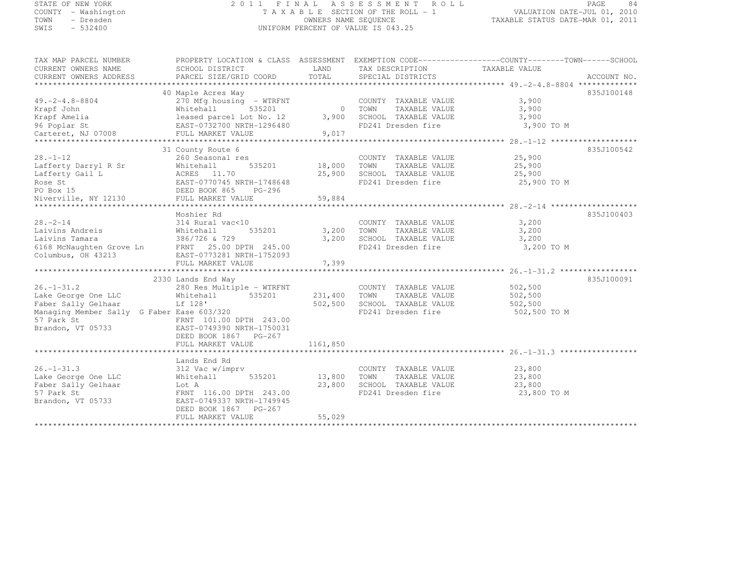# STATE OF NEW YORK 2 0 1 1 F I N A L A S S E S S M E N T R O L L PAGE <sup>84</sup> COUNTY - Washington T A X A B L E SECTION OF THE ROLL - 1 VALUATION DATE-JUL 01, 2010 TOWN - Dresden OWNERS NAME SEQUENCE TAXABLE STATUS DATE-MAR 01, 2011<br>- TRESDEN ON THE SEQUENCE TO A SECUENCE TO BE SERVED ON THE SEQUENCE OF SEXUE OF THE STATUS DATE MAR 01, 2011 SWIS - 532400 UNIFORM PERCENT OF VALUE IS 043.25

| TAX MAP PARCEL NUMBER<br>CURRENT OWNERS NAME<br>CURRENT OWNERS ADDRESS                                                                          | PROPERTY LOCATION & CLASS ASSESSMENT EXEMPTION CODE----------------COUNTY-------TOWN-----SCHOOL<br>SCHOOL DISTRICT<br>PARCEL SIZE/GRID COORD                                            | LAND<br>TOTAL                  | TAX DESCRIPTION<br>SPECIAL DISTRICTS                                                        | TAXABLE VALUE                                 | ACCOUNT NO. |
|-------------------------------------------------------------------------------------------------------------------------------------------------|-----------------------------------------------------------------------------------------------------------------------------------------------------------------------------------------|--------------------------------|---------------------------------------------------------------------------------------------|-----------------------------------------------|-------------|
| $49. -2 - 4.8 - 8804$<br>Krapf John<br>Krapf Amelia<br>96 Poplar St<br>Carteret, NJ 07008                                                       | 40 Maple Acres Way<br>270 Mfg housing - WTRFNT<br>535201<br>Whitehall<br>leased parcel Lot No. 12<br>EAST-0732700 NRTH-1296480<br>FULL MARKET VALUE                                     | $\Omega$<br>3,900<br>9,017     | COUNTY TAXABLE VALUE<br>TOWN<br>TAXABLE VALUE<br>SCHOOL TAXABLE VALUE<br>FD241 Dresden fire | 3,900<br>3,900<br>3,900<br>3,900 TO M         | 835J100148  |
| *************************<br>$28. - 1 - 12$<br>Lafferty Darryl R Sr<br>Lafferty Gail L<br>Rose St<br>PO Box 15<br>Niverville, NY 12130          | 31 County Route 6<br>260 Seasonal res<br>535201<br>Whitehall<br>ACRES 11.70<br>EAST-0770745 NRTH-1748648<br>DEED BOOK 865<br>$PG-296$<br>FULL MARKET VALUE                              | 18,000<br>25,900<br>59,884     | COUNTY TAXABLE VALUE<br>TAXABLE VALUE<br>TOWN<br>SCHOOL TAXABLE VALUE<br>FD241 Dresden fire | 25,900<br>25,900<br>25,900<br>25,900 TO M     | 835J100542  |
| $28. - 2 - 14$<br>Laivins Andreis<br>Laivins Tamara<br>6168 McNaughten Grove Ln<br>Columbus, OH 43213                                           | Moshier Rd<br>314 Rural vac<10<br>Whitehall<br>535201<br>386/726 & 729<br>FRNT 25.00 DPTH 245.00<br>EAST-0773281 NRTH-1752093<br>FULL MARKET VALUE                                      | 3,200<br>3,200<br>7,399        | COUNTY TAXABLE VALUE<br>TOWN<br>TAXABLE VALUE<br>SCHOOL TAXABLE VALUE<br>FD241 Dresden fire | 3,200<br>3,200<br>3,200<br>3,200 TO M         | 835J100403  |
| $26. - 1 - 31.2$<br>Lake George One LLC<br>Faber Sally Gelhaar<br>Managing Member Sally G Faber Ease 603/320<br>57 Park St<br>Brandon, VT 05733 | 2330 Lands End Way<br>280 Res Multiple - WTRFNT<br>535201<br>Whitehall<br>Lf 128'<br>FRNT 101.00 DPTH 243.00<br>EAST-0749390 NRTH-1750031<br>DEED BOOK 1867 PG-267<br>FULL MARKET VALUE | 231,400<br>502,500<br>1161,850 | COUNTY TAXABLE VALUE<br>TOWN<br>TAXABLE VALUE<br>SCHOOL TAXABLE VALUE<br>FD241 Dresden fire | 502,500<br>502,500<br>502,500<br>502,500 TO M | 835J100091  |
| $26. - 1 - 31.3$<br>Lake George One LLC<br>Faber Sally Gelhaar<br>57 Park St<br>Brandon, VT 05733                                               | Lands End Rd<br>312 Vac w/imprv<br>Whitehall<br>535201<br>Lot A<br>FRNT 116.00 DPTH 243.00<br>EAST-0749337 NRTH-1749945<br>DEED BOOK 1867 PG-267<br>FULL MARKET VALUE                   | 13,800<br>23,800<br>55,029     | COUNTY TAXABLE VALUE<br>TOWN<br>TAXABLE VALUE<br>SCHOOL TAXABLE VALUE<br>FD241 Dresden fire | 23,800<br>23,800<br>23,800<br>23,800 TO M     |             |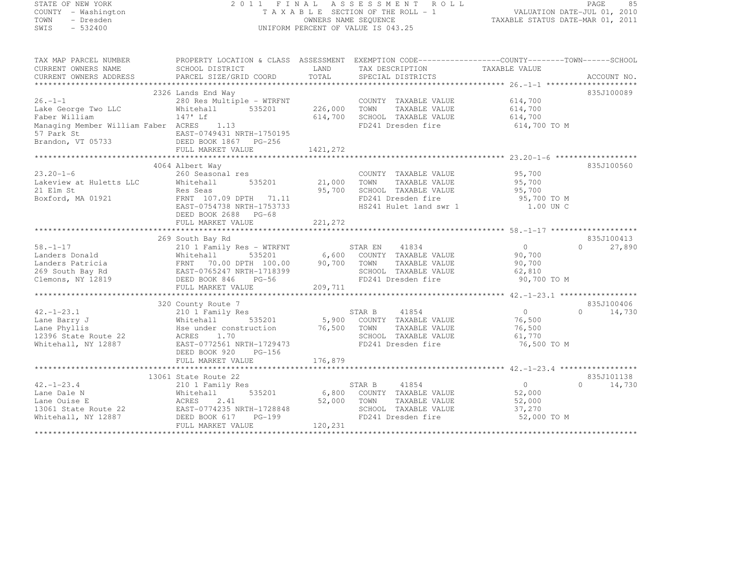# STATE OF NEW YORK 2 0 1 1 F I N A L A S S E S S M E N T R O L L PAGE <sup>85</sup> COUNTY - Washington T A X A B L E SECTION OF THE ROLL - 1 VALUATION DATE-JUL 01, 2010 TOWN - Dresden OWNERS NAME SEQUENCE TAXABLE STATUS DATE-MAR 01, 2011<br>- TRESDEN ON THE SEQUENCE TO A SECUENCE TO BE SERVED ON THE SEQUENCE OF SEXUE OF THE STATUS DATE MAR 01, 2011 SWIS - 532400 UNIFORM PERCENT OF VALUE IS 043.25

| TAX MAP PARCEL NUMBER<br>CURRENT OWNERS NAME<br>CURRENT OWNERS ADDRESS                          | PROPERTY LOCATION & CLASS ASSESSMENT EXEMPTION CODE----------------COUNTY-------TOWN-----SCHOOL<br>SCHOOL DISTRICT<br>PARCEL SIZE/GRID COORD                  | LAND<br>TOTAL              | TAX DESCRIPTION<br>SPECIAL DISTRICTS                                                                                        | TAXABLE VALUE                                               | ACCOUNT NO.                      |
|-------------------------------------------------------------------------------------------------|---------------------------------------------------------------------------------------------------------------------------------------------------------------|----------------------------|-----------------------------------------------------------------------------------------------------------------------------|-------------------------------------------------------------|----------------------------------|
|                                                                                                 |                                                                                                                                                               |                            |                                                                                                                             |                                                             |                                  |
| $26. - 1 - 1$<br>Lake George Two LLC<br>Faber William                                           | 2326 Lands End Way<br>280 Res Multiple - WTRFNT<br>535201<br>Whitehall<br>147' Lf                                                                             | 226,000<br>614,700         | COUNTY TAXABLE VALUE<br>TAXABLE VALUE<br>TOWN<br>SCHOOL TAXABLE VALUE                                                       | 614,700<br>614,700<br>614,700                               | 835J100089                       |
| Managing Member William Faber ACRES<br>57 Park St<br>Brandon, VT 05733                          | 1.13<br>EAST-0749431 NRTH-1750195<br>DEED BOOK 1867 PG-256<br>FULL MARKET VALUE                                                                               | 1421, 272                  | FD241 Dresden fire                                                                                                          | 614,700 TO M                                                |                                  |
|                                                                                                 |                                                                                                                                                               |                            |                                                                                                                             |                                                             |                                  |
| $23.20 - 1 - 6$<br>Lakeview at Huletts LLC                                                      | 4064 Albert Way<br>260 Seasonal res<br>Whitehall<br>535201                                                                                                    | 21,000                     | COUNTY TAXABLE VALUE<br>TOWN<br>TAXABLE VALUE                                                                               | 95,700<br>95,700                                            | 835J100560                       |
| 21 Elm St<br>Boxford, MA 01921                                                                  | Res Seas<br>FRNT 107.09 DPTH 71.11<br>EAST-0754738 NRTH-1753733<br>DEED BOOK 2688 PG-68                                                                       | 95,700                     | SCHOOL TAXABLE VALUE<br>FD241 Dresden fire<br>HS241 Hulet land swr 1                                                        | 95,700<br>95,700 TO M<br>1.00 UN C                          |                                  |
|                                                                                                 |                                                                                                                                                               |                            |                                                                                                                             |                                                             |                                  |
|                                                                                                 |                                                                                                                                                               |                            |                                                                                                                             |                                                             |                                  |
|                                                                                                 | 269 South Bay Rd                                                                                                                                              |                            |                                                                                                                             |                                                             | 835J100413                       |
| $58. - 1 - 17$<br>Landers Donald<br>Landers Patricia<br>269 South Bay Rd<br>Clemons, NY 12819   | 210 1 Family Res - WTRFNT<br>535201<br>Whitehall<br>FRNT<br>70.00 DPTH 100.00<br>EAST-0765247 NRTH-1718399                                                    | 6,600<br>90,700            | 41834<br>STAR EN<br>COUNTY TAXABLE VALUE<br>TOWN<br>TAXABLE VALUE<br>SCHOOL TAXABLE VALUE                                   | $\overline{0}$<br>90,700<br>90,700<br>62,810                | $\Omega$<br>27,890               |
|                                                                                                 | DEED BOOK 846<br>$PG-56$                                                                                                                                      |                            | FD241 Dresden fire                                                                                                          | 90,700 TO M                                                 |                                  |
|                                                                                                 | FULL MARKET VALUE                                                                                                                                             | 209,711                    |                                                                                                                             |                                                             |                                  |
|                                                                                                 |                                                                                                                                                               |                            |                                                                                                                             |                                                             |                                  |
|                                                                                                 | 320 County Route 7                                                                                                                                            |                            |                                                                                                                             |                                                             | 835J100406                       |
| $42. - 1 - 23.1$<br>Lane Barry J<br>Lane Phyllis<br>12396 State Route 22<br>Whitehall, NY 12887 | 210 1 Family Res<br>Whitehall<br>Hse under construction<br>1.70<br>ACRES<br>EAST-0772561 NRTH-1729473<br>DEED BOOK 920<br>PG-156                              | 76,500                     | STAR B<br>41854<br>535201 5,900 COUNTY TAXABLE VALUE<br>TOWN<br>TAXABLE VALUE<br>SCHOOL TAXABLE VALUE<br>FD241 Dresden fire | $\overline{0}$<br>76,500<br>76,500<br>61,770<br>76,500 TO M | $\Omega$<br>14,730               |
|                                                                                                 | FULL MARKET VALUE                                                                                                                                             | 176,879                    |                                                                                                                             |                                                             |                                  |
|                                                                                                 |                                                                                                                                                               |                            |                                                                                                                             |                                                             |                                  |
| $42. - 1 - 23.4$<br>Lane Dale N<br>Lane Ouise E<br>13061 State Route 22<br>Whitehall, NY 12887  | 13061 State Route 22<br>210 1 Family Res<br>535201<br>Whitehall<br>2.41<br>ACRES<br>EAST-0774235 NRTH-1728848<br>DEED BOOK 617<br>PG-199<br>FULL MARKET VALUE | 6,800<br>52,000<br>120,231 | 41854<br>STAR B<br>COUNTY TAXABLE VALUE<br>TOWN<br>TAXABLE VALUE<br>SCHOOL TAXABLE VALUE<br>FD241 Dresden fire              | $\overline{0}$<br>52,000<br>52,000<br>37,270<br>52,000 TO M | 835J101138<br>$\Omega$<br>14,730 |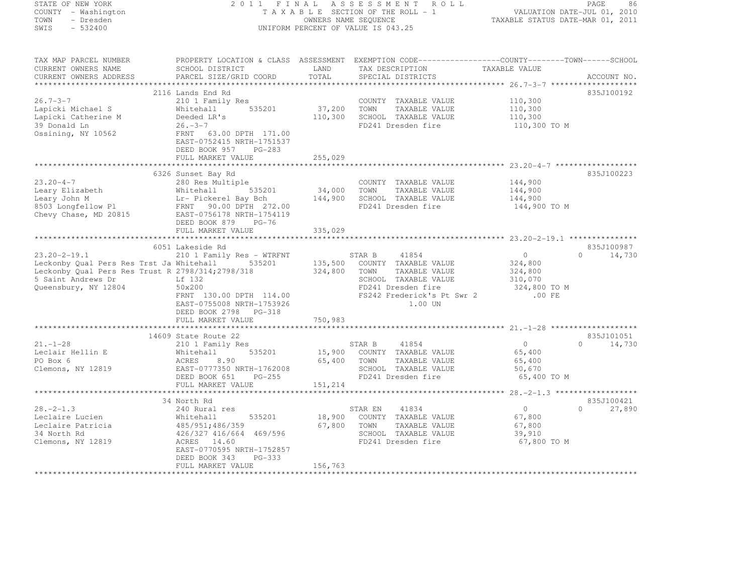# STATE OF NEW YORK 2 0 1 1 F I N A L A S S E S S M E N T R O L L PAGE <sup>86</sup> COUNTY - Washington T A X A B L E SECTION OF THE ROLL - 1 VALUATION DATE-JUL 01, 2010 TOWN - Dresden OWNERS NAME SEQUENCE TAXABLE STATUS DATE-MAR 01, 2011<br>- TRESDEN ON THE SEQUENCE TO A SECUENCE TO BE SERVED ON THE SEQUENCE OF SEXUE OF THE STATUS DATE MAR 01, 2011 SWIS - 532400 UNIFORM PERCENT OF VALUE IS 043.25

| TAX MAP PARCEL NUMBER                            |                                                                                                                                             |             | PROPERTY LOCATION & CLASS ASSESSMENT EXEMPTION CODE-----------------COUNTY-------TOWN------SCHOOL |                    |                             |
|--------------------------------------------------|---------------------------------------------------------------------------------------------------------------------------------------------|-------------|---------------------------------------------------------------------------------------------------|--------------------|-----------------------------|
| CURRENT OWNERS NAME                              | SCHOOL DISTRICT                                                                                                                             | LAND        | TAX DESCRIPTION<br>TAXABLE VALUE                                                                  |                    |                             |
| CURRENT OWNERS ADDRESS                           | PARCEL SIZE/GRID COORD                                                                                                                      | TOTAL       | SPECIAL DISTRICTS                                                                                 |                    | ACCOUNT NO.                 |
|                                                  |                                                                                                                                             |             |                                                                                                   |                    |                             |
|                                                  | 2116 Lands End Rd                                                                                                                           |             |                                                                                                   |                    | 835J100192                  |
| $26.7 - 3 - 7$                                   | 210 1 Family Res                                                                                                                            |             | COUNTY TAXABLE VALUE                                                                              | 110,300            |                             |
| Lapicki Michael S                                | Whitehall 535201                                                                                                                            | 37,200      | TAXABLE VALUE<br>TOWN                                                                             | 110,300            |                             |
| Lapicki Catherine M                              | Deeded LR's                                                                                                                                 | 110,300     | SCHOOL TAXABLE VALUE                                                                              | 110,300            |                             |
| 39 Donald Ln                                     | $26. -3 - 7$                                                                                                                                |             | FD241 Dresden fire                                                                                | 110,300 TO M       |                             |
| Ossining, NY 10562                               | FRNT 63.00 DPTH 171.00                                                                                                                      |             |                                                                                                   |                    |                             |
|                                                  | EAST-0752415 NRTH-1751537                                                                                                                   |             |                                                                                                   |                    |                             |
|                                                  | DEED BOOK 957 PG-283                                                                                                                        |             |                                                                                                   |                    |                             |
|                                                  | FULL MARKET VALUE                                                                                                                           | 255,029     |                                                                                                   |                    |                             |
|                                                  |                                                                                                                                             |             |                                                                                                   |                    | 835J100223                  |
| $23.20 - 4 - 7$                                  | 6326 Sunset Bay Rd<br>280 Res Multiple                                                                                                      |             |                                                                                                   |                    |                             |
|                                                  |                                                                                                                                             |             | COUNTY TAXABLE VALUE                                                                              | 144,900            |                             |
| Leary Elizabeth<br>Leary John M                  |                                                                                                                                             |             |                                                                                                   | 144,900<br>144,900 |                             |
| 8503 Longfellow Pl                               |                                                                                                                                             |             |                                                                                                   |                    |                             |
| Chevy Chase, MD 20815 EAST-0756178 NRTH-1754119  | Whitehall 535201 54,000 JUNIN 100022 JANUE<br>Lr-Pickerel Bay Bch 144,900 SCHOOL TAXABLE VALUE<br>FRNT 90.00 DPTH 272.00 FD241 Dresden fire |             |                                                                                                   | 144,900 TO M       |                             |
|                                                  | DEED BOOK 879 PG-76                                                                                                                         |             |                                                                                                   |                    |                             |
|                                                  | FULL MARKET VALUE                                                                                                                           | 335,029     |                                                                                                   |                    |                             |
|                                                  |                                                                                                                                             |             |                                                                                                   |                    |                             |
|                                                  | 6051 Lakeside Rd                                                                                                                            |             |                                                                                                   |                    | 835J100987                  |
| $23.20 - 2 - 19.1$                               |                                                                                                                                             |             |                                                                                                   | $\overline{0}$     | $0 \t 14,730$               |
| Leckonby Qual Pers Res Trst Ja Whitehall 535201  | 210 1 Family Res – WTRFNT STAR B 41854<br>Whitehall 535201 135,500 COUNTY TAXABLE VALUE<br>2798/314;2798/318 324,800 TOWN TAXABLE VALUE     |             |                                                                                                   |                    |                             |
| Leckonby Qual Pers Res Trust R 2798/314;2798/318 |                                                                                                                                             |             |                                                                                                   | 324,800<br>324,800 |                             |
| 5 Saint Andrews Dr                               | Lf 132                                                                                                                                      |             | SCHOOL TAXABLE VALUE                                                                              | 310,070            |                             |
| Queensbury, NY 12804                             | 50x200                                                                                                                                      |             | FD241 Dresden fire                                                                                | 324,800 TO M       |                             |
|                                                  | FRNT 130.00 DPTH 114.00                                                                                                                     |             | FS242 Frederick's Pt Swr 2                                                                        | .00 FE             |                             |
|                                                  | EAST-0755008 NRTH-1753926                                                                                                                   |             | 1.00 UN                                                                                           |                    |                             |
|                                                  | DEED BOOK 2798 PG-318                                                                                                                       |             |                                                                                                   |                    |                             |
|                                                  | FULL MARKET VALUE                                                                                                                           | 750,983     |                                                                                                   |                    |                             |
|                                                  |                                                                                                                                             |             |                                                                                                   |                    |                             |
|                                                  | 14609 State Route 22                                                                                                                        |             |                                                                                                   |                    | 835J101051                  |
| $21. - 1 - 28$                                   | 210 1 Family Res                                                                                                                            |             | 41854<br>STAR B                                                                                   | $\overline{0}$     | $\Omega$<br>14,730          |
| Leclair Hellin E                                 | Whitehall                                                                                                                                   |             | 535201 15,900 COUNTY TAXABLE VALUE                                                                | 65,400             |                             |
| PO Box 6                                         | 8.90                                                                                                                                        | 65,400 TOWN | TAXABLE VALUE                                                                                     | 65,400             |                             |
| Clemons, NY 12819                                | wnite<br>ACRES<br>EACT                                                                                                                      |             | SCHOOL TAXABLE VALUE                                                                              | 50,670             |                             |
|                                                  | EAST-0777350 NRTH-1762008<br>DEED BOOK 651 PG-255                                                                                           |             | FD241 Dresden fire                                                                                | 65,400 TO M        |                             |
|                                                  | FULL MARKET VALUE                                                                                                                           | 151,214     |                                                                                                   |                    |                             |
|                                                  |                                                                                                                                             |             |                                                                                                   |                    |                             |
|                                                  | 34 North Rd                                                                                                                                 |             |                                                                                                   |                    | 835J100421                  |
| $28 - 2 - 1.3$                                   | 240 Rural res                                                                                                                               |             | STAR EN<br>41834                                                                                  | $\overline{0}$     | 27,890<br>$0 \qquad \qquad$ |
| Leclaire Lucien                                  | Whitehall<br>535201                                                                                                                         |             | 18,900 COUNTY TAXABLE VALUE                                                                       | 67,800             |                             |
| Leclaire Patricia                                | 485/951; 486/359                                                                                                                            |             | 67,800 TOWN<br>TAXABLE VALUE                                                                      | 67,800             |                             |
| 34 North Rd                                      | 426/327 416/664 469/596                                                                                                                     |             | SCHOOL TAXABLE VALUE                                                                              | 39,910             |                             |
| Clemons, NY 12819                                | ACRES 14.60                                                                                                                                 |             | FD241 Dresden fire                                                                                | 67,800 TO M        |                             |
|                                                  | EAST-0770595 NRTH-1752857                                                                                                                   |             |                                                                                                   |                    |                             |
|                                                  | DEED BOOK 343<br>PG-333                                                                                                                     |             |                                                                                                   |                    |                             |
|                                                  | FULL MARKET VALUE                                                                                                                           | 156,763     |                                                                                                   |                    |                             |
|                                                  |                                                                                                                                             |             |                                                                                                   |                    |                             |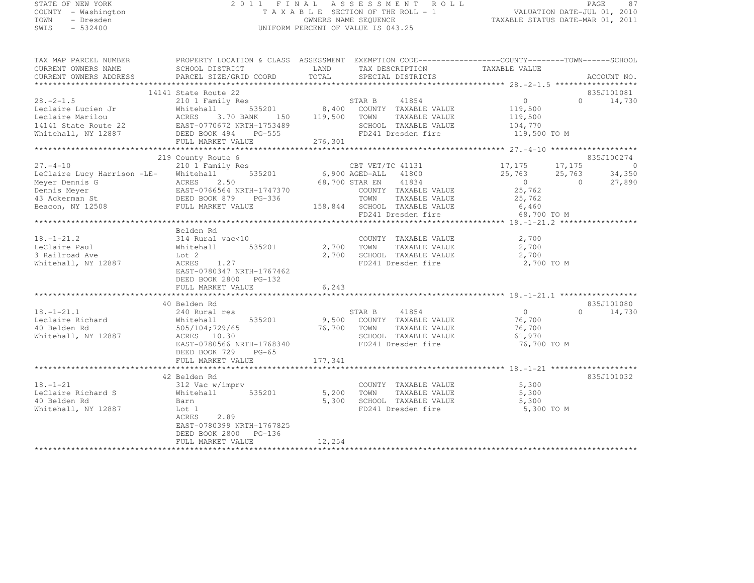### STATE OF NEW YORK 2 0 1 1 F I N A L A S S E S S M E N T R O L L PAGE <sup>87</sup> COUNTY - Washington T A X A B L E SECTION OF THE ROLL - 1 VALUATION DATE-JUL 01, 2010 TOWN - Dresden OWNERS NAME SEQUENCE TAXABLE STATUS DATE-MAR 01, 2011<br>- TRESDEN ON THE SEQUENCE TO A SECUENCE TO BE SERVED ON THE SEQUENCE OF SEXUE OF THE STATUS DATE MAR 01, 2011 SWIS - 532400 UNIFORM PERCENT OF VALUE IS 043.25

| TAX MAP PARCEL NUMBER                                                                                                                                                                       | PROPERTY LOCATION & CLASS ASSESSMENT EXEMPTION CODE-----------------COUNTY-------TOWN------SCHOOL |              |                                            |                                                  |                    |
|---------------------------------------------------------------------------------------------------------------------------------------------------------------------------------------------|---------------------------------------------------------------------------------------------------|--------------|--------------------------------------------|--------------------------------------------------|--------------------|
| CURRENT OWNERS NAME                                                                                                                                                                         | SCHOOL DISTRICT                                                                                   | <b>LAND</b>  | TAX DESCRIPTION                            | TAXABLE VALUE                                    |                    |
|                                                                                                                                                                                             |                                                                                                   |              |                                            |                                                  |                    |
|                                                                                                                                                                                             | 14141 State Route 22                                                                              |              |                                            |                                                  | 835J101081         |
| $28. -2 - 1.5$                                                                                                                                                                              | 210 1 Family Res                                                                                  |              | STAR B 41854                               | $\overline{0}$                                   | 0 $14,730$         |
|                                                                                                                                                                                             |                                                                                                   |              | 535201 8,400 COUNTY TAXABLE VALUE          |                                                  |                    |
|                                                                                                                                                                                             |                                                                                                   |              | 119,500 TOWN TAXABLE VALUE                 | 119,500<br>119,500                               |                    |
|                                                                                                                                                                                             |                                                                                                   |              | SCHOOL TAXABLE VALUE                       | 104,770                                          |                    |
| Containe Lucien Jr and Maitehall 535201 8,400<br>Leclaire Marilou ACRES 3.70 BANK 150 119,500<br>14141 State Route 22 EAST-0770672 NRTH-1753489<br>Whitehall, NY 12887 DEED BOOK 494 PG-555 |                                                                                                   |              | FD241 Dresden fire                         | 119,500 TO M                                     |                    |
|                                                                                                                                                                                             | FULL MARKET VALUE                                                                                 | 276,301      |                                            |                                                  |                    |
|                                                                                                                                                                                             |                                                                                                   |              |                                            |                                                  |                    |
|                                                                                                                                                                                             | 219 County Route 6                                                                                |              |                                            |                                                  | 835J100274         |
| $27. - 4 - 10$                                                                                                                                                                              | 210 1 Family Res                                                                                  |              | CBT VET/TC 41131 17,175 17,175 0           |                                                  |                    |
| LeClaire Lucy Harrison -LE-                                                                                                                                                                 | Whitehall                                                                                         |              | 535201 6,900 AGED-ALL 41800                | $25,763$ $25,763$ $34,350$<br>0 0 27,890         |                    |
|                                                                                                                                                                                             |                                                                                                   |              | 68,700 STAR EN 41834                       |                                                  |                    |
|                                                                                                                                                                                             |                                                                                                   |              | COUNTY TAXABLE VALUE                       | 25,762                                           |                    |
|                                                                                                                                                                                             |                                                                                                   |              | TOWN<br>TAXABLE VALUE                      | 25,762                                           |                    |
|                                                                                                                                                                                             |                                                                                                   |              | 158,844 SCHOOL TAXABLE VALUE 6,460         |                                                  |                    |
|                                                                                                                                                                                             |                                                                                                   |              | FD241 Dresden fire                         | 68,700 TO M                                      |                    |
|                                                                                                                                                                                             |                                                                                                   |              |                                            |                                                  |                    |
|                                                                                                                                                                                             | Belden Rd<br>314 Rural vac<10                                                                     |              |                                            |                                                  |                    |
| $18. - 1 - 21.2$                                                                                                                                                                            |                                                                                                   |              | COUNTY TAXABLE VALUE 2,700                 |                                                  |                    |
| LeClaire Paul                                                                                                                                                                               | 535201<br>Whitehall                                                                               | 2,700 TOWN   | TAXABLE VALUE                              | 2,700<br>$\frac{2}{2}$ , 700                     |                    |
| 3 Railroad Ave                                                                                                                                                                              |                                                                                                   |              | 2,700 SCHOOL TAXABLE VALUE                 |                                                  |                    |
| Whitehall, NY 12887                                                                                                                                                                         | 1.27<br>ACRES                                                                                     |              | FD241 Dresden fire 2,700 TO M              |                                                  |                    |
|                                                                                                                                                                                             | EAST-0780347 NRTH-1767462                                                                         |              |                                            |                                                  |                    |
|                                                                                                                                                                                             | DEED BOOK 2800 PG-132<br>FULL MARKET VALUE                                                        | 6,243        |                                            |                                                  |                    |
|                                                                                                                                                                                             | *********************************                                                                 | ************ |                                            |                                                  |                    |
|                                                                                                                                                                                             | 40 Belden Rd                                                                                      |              |                                            |                                                  | 835J101080         |
| $18. - 1 - 21.1$                                                                                                                                                                            | 240 Rural res                                                                                     |              | STAR B 41854                               |                                                  | $\Omega$<br>14,730 |
|                                                                                                                                                                                             | 535201<br>Whitehall                                                                               |              | 9,500 COUNTY TAXABLE VALUE                 | $\begin{smallmatrix}0\0\76,700\end{smallmatrix}$ |                    |
| Leclaire Richard<br>40 Belden Rd<br>40 Belden Rd                                                                                                                                            | 505/104;729/65                                                                                    |              | 76,700 TOWN<br>TAXABLE VALUE               | 76,700                                           |                    |
| Whitehall, NY 12887                                                                                                                                                                         | ACRES 10.30                                                                                       |              |                                            | 61,970                                           |                    |
|                                                                                                                                                                                             | EAST-0780566 NRTH-1768340                                                                         |              | SCHOOL TAXABLE VALUE<br>FD241 Dresden fire | 76,700 TO M                                      |                    |
|                                                                                                                                                                                             | DEED BOOK 729<br>$PG-65$                                                                          |              |                                            |                                                  |                    |
|                                                                                                                                                                                             | FULL MARKET VALUE                                                                                 | 177,341      |                                            |                                                  |                    |
|                                                                                                                                                                                             |                                                                                                   |              |                                            |                                                  |                    |
|                                                                                                                                                                                             | 42 Belden Rd                                                                                      |              |                                            |                                                  | 835J101032         |
| $18. - 1 - 21$                                                                                                                                                                              | 312 Vac w/imprv                                                                                   |              | COUNTY TAXABLE VALUE                       | 5,300                                            |                    |
| LeClaire Richard S                                                                                                                                                                          | 312 Vac w/imprv<br>Whitehall<br>535201                                                            |              | 5,200 TOWN<br>TAXABLE VALUE                | 5,300                                            |                    |
| 40 Belden Rd                                                                                                                                                                                | Barn                                                                                              | 5,300        | SCHOOL TAXABLE VALUE                       | 5,300                                            |                    |
| Whitehall, NY 12887                                                                                                                                                                         | Lot 1                                                                                             |              | FD241 Dresden fire                         | 5,300 TO M                                       |                    |
|                                                                                                                                                                                             | 2.89<br>ACRES                                                                                     |              |                                            |                                                  |                    |
|                                                                                                                                                                                             | EAST-0780399 NRTH-1767825                                                                         |              |                                            |                                                  |                    |
|                                                                                                                                                                                             | DEED BOOK 2800 PG-136                                                                             |              |                                            |                                                  |                    |
|                                                                                                                                                                                             | FULL MARKET VALUE                                                                                 | 12,254       |                                            |                                                  |                    |
|                                                                                                                                                                                             |                                                                                                   |              |                                            |                                                  |                    |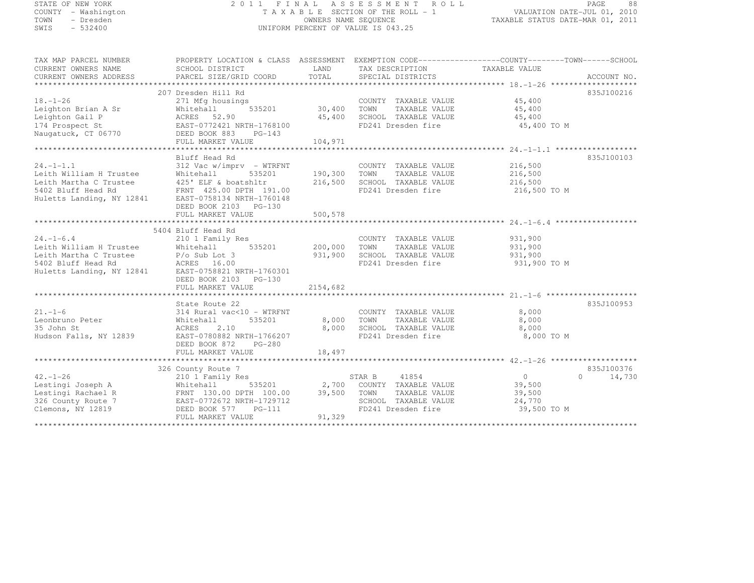### STATE OF NEW YORK 2 0 1 1 F I N A L A S S E S S M E N T R O L L PAGE <sup>88</sup> COUNTY - Washington T A X A B L E SECTION OF THE ROLL - 1 VALUATION DATE-JUL 01, 2010 TOWN - Dresden OWNERS NAME SEQUENCE TAXABLE STATUS DATE-MAR 01, 2011<br>- TRESDEN ON THE SEQUENCE TO A SECUENCE TO BE SERVED ON THE SEQUENCE OF SEXUE OF THE STATUS DATE MAR 01, 2011 SWIS - 532400 UNIFORM PERCENT OF VALUE IS 043.25

| TAX MAP PARCEL NUMBER                                                                                                                                                                                                                                                                                                                                                                                                                                                                                                  | PROPERTY LOCATION & CLASS ASSESSMENT EXEMPTION CODE-----------------COUNTY-------TOWN------SCHOOL |                         |                                                          |                    |               |
|------------------------------------------------------------------------------------------------------------------------------------------------------------------------------------------------------------------------------------------------------------------------------------------------------------------------------------------------------------------------------------------------------------------------------------------------------------------------------------------------------------------------|---------------------------------------------------------------------------------------------------|-------------------------|----------------------------------------------------------|--------------------|---------------|
| CURRENT OWNERS NAME                                                                                                                                                                                                                                                                                                                                                                                                                                                                                                    | SCHOOL DISTRICT                                                                                   |                         | LAND TAX DESCRIPTION                                     | TAXABLE VALUE      |               |
| $\begin{minipage}{.45\textwidth} \begin{minipage}{.45\textwidth} \begin{minipage}{.45\textwidth} \begin{minipage}{.45\textwidth} \begin{minipage}{.45\textwidth} \begin{minipage}{.45\textwidth} \begin{minipage}{.45\textwidth} \begin{minipage}{.45\textwidth} \begin{minipage}{.45\textwidth} \begin{minipage}{.45\textwidth} \begin{minipage}{.45\textwidth} \begin{minipage}{.45\textwidth} \begin{minipage}{.45\textwidth} \begin{minipage}{.45\textwidth} \begin{minipage}{.45\textwidth} \begin{minipage}{.45$ |                                                                                                   |                         |                                                          |                    |               |
|                                                                                                                                                                                                                                                                                                                                                                                                                                                                                                                        |                                                                                                   |                         |                                                          |                    |               |
|                                                                                                                                                                                                                                                                                                                                                                                                                                                                                                                        | 207 Dresden Hill Rd                                                                               |                         |                                                          |                    | 835J100216    |
| $18. - 1 - 26$                                                                                                                                                                                                                                                                                                                                                                                                                                                                                                         | 271 Mfg housings                                                                                  | s<br>535201 30,400 TOWN | COUNTY TAXABLE VALUE 45,400<br>TOWN TAXABLE VALUE 45,400 |                    |               |
|                                                                                                                                                                                                                                                                                                                                                                                                                                                                                                                        |                                                                                                   |                         |                                                          |                    |               |
|                                                                                                                                                                                                                                                                                                                                                                                                                                                                                                                        |                                                                                                   | 45,400                  | SCHOOL TAXABLE VALUE 45,400                              |                    |               |
|                                                                                                                                                                                                                                                                                                                                                                                                                                                                                                                        |                                                                                                   |                         | FD241 Dresden fire                                       | 45,400 TO M        |               |
| 18.-1-26<br>Leighton Brian A Sr<br>Leighton Gail P<br>174 Prospect St<br>Naugatuck, CT 06770<br>Naugatuck, CT 06770<br>DEED BOOK 883<br>PG-143                                                                                                                                                                                                                                                                                                                                                                         |                                                                                                   |                         |                                                          |                    |               |
|                                                                                                                                                                                                                                                                                                                                                                                                                                                                                                                        |                                                                                                   |                         |                                                          |                    |               |
|                                                                                                                                                                                                                                                                                                                                                                                                                                                                                                                        |                                                                                                   |                         |                                                          |                    |               |
|                                                                                                                                                                                                                                                                                                                                                                                                                                                                                                                        | Bluff Head Rd                                                                                     |                         |                                                          |                    | 835J100103    |
| $24. - 1 - 1.1$                                                                                                                                                                                                                                                                                                                                                                                                                                                                                                        | 312 Vac w/imprv - WTRFNT                                                                          |                         | COUNTY TAXABLE VALUE 216,500                             |                    |               |
|                                                                                                                                                                                                                                                                                                                                                                                                                                                                                                                        |                                                                                                   |                         | 535201 190,300 TOWN TAXABLE VALUE                        | 216,500            |               |
|                                                                                                                                                                                                                                                                                                                                                                                                                                                                                                                        |                                                                                                   |                         | 216,500 SCHOOL TAXABLE VALUE 216,500                     |                    |               |
|                                                                                                                                                                                                                                                                                                                                                                                                                                                                                                                        |                                                                                                   |                         | FD241 Dresden fire 216,500 TO M                          |                    |               |
| 24.-1-1.1 312 Vac w/imprv - WTRFNT<br>Leith William H Trustee Whitehall 535201 190,300<br>Leith Martha C Trustee 425' ELF & boatshltr 216,500<br>5402 Bluff Head Rd FRNT 425.00 DPTH 191.00<br>Huletts Landing, NY 12841 EAST-0758134                                                                                                                                                                                                                                                                                  |                                                                                                   |                         |                                                          |                    |               |
|                                                                                                                                                                                                                                                                                                                                                                                                                                                                                                                        | DEED BOOK 2103 PG-130                                                                             |                         |                                                          |                    |               |
|                                                                                                                                                                                                                                                                                                                                                                                                                                                                                                                        |                                                                                                   |                         |                                                          |                    |               |
|                                                                                                                                                                                                                                                                                                                                                                                                                                                                                                                        |                                                                                                   |                         |                                                          |                    |               |
|                                                                                                                                                                                                                                                                                                                                                                                                                                                                                                                        |                                                                                                   |                         |                                                          |                    |               |
| $24. -1 - 6.4$                                                                                                                                                                                                                                                                                                                                                                                                                                                                                                         | 5404 Bluff Head Rd<br>210 1 Family Res                                                            |                         |                                                          |                    |               |
| Leith William H Trustee Mhitehall 535201 200,000 TOWN                                                                                                                                                                                                                                                                                                                                                                                                                                                                  |                                                                                                   |                         | COUNTY TAXABLE VALUE                                     | 931,900<br>931,900 |               |
|                                                                                                                                                                                                                                                                                                                                                                                                                                                                                                                        |                                                                                                   |                         | TAXABLE VALUE                                            |                    |               |
| Leith Martha C Trustee<br>5402 Bluff Head Rd<br>Huletts Landing, NY 12841<br>EAST-0758821 NRTH-1760301                                                                                                                                                                                                                                                                                                                                                                                                                 | 931,900                                                                                           |                         | SCHOOL TAXABLE VALUE 931,900                             |                    |               |
|                                                                                                                                                                                                                                                                                                                                                                                                                                                                                                                        |                                                                                                   |                         | FD241 Dresden fire                                       | 931,900 TO M       |               |
|                                                                                                                                                                                                                                                                                                                                                                                                                                                                                                                        |                                                                                                   |                         |                                                          |                    |               |
|                                                                                                                                                                                                                                                                                                                                                                                                                                                                                                                        | DEED BOOK 2103 PG-130                                                                             |                         |                                                          |                    |               |
|                                                                                                                                                                                                                                                                                                                                                                                                                                                                                                                        |                                                                                                   |                         |                                                          |                    |               |
|                                                                                                                                                                                                                                                                                                                                                                                                                                                                                                                        |                                                                                                   |                         |                                                          |                    |               |
|                                                                                                                                                                                                                                                                                                                                                                                                                                                                                                                        |                                                                                                   |                         |                                                          |                    | 835J100953    |
|                                                                                                                                                                                                                                                                                                                                                                                                                                                                                                                        |                                                                                                   |                         | COUNTY TAXABLE VALUE                                     | 8,000              |               |
|                                                                                                                                                                                                                                                                                                                                                                                                                                                                                                                        | 535201 8,000 TOWN                                                                                 |                         | TAXABLE VALUE                                            | 8,000              |               |
|                                                                                                                                                                                                                                                                                                                                                                                                                                                                                                                        |                                                                                                   |                         | SCHOOL TAXABLE VALUE                                     | 8,000              |               |
|                                                                                                                                                                                                                                                                                                                                                                                                                                                                                                                        |                                                                                                   |                         | FD241 Dresden fire                                       | 8,000 TO M         |               |
|                                                                                                                                                                                                                                                                                                                                                                                                                                                                                                                        | DEED BOOK 872<br>$PG-280$                                                                         |                         |                                                          |                    |               |
|                                                                                                                                                                                                                                                                                                                                                                                                                                                                                                                        | FULL MARKET VALUE                                                                                 | 18,497                  |                                                          |                    |               |
|                                                                                                                                                                                                                                                                                                                                                                                                                                                                                                                        |                                                                                                   |                         |                                                          |                    |               |
|                                                                                                                                                                                                                                                                                                                                                                                                                                                                                                                        | 326 County Route 7                                                                                |                         |                                                          |                    | 835J100376    |
| $42. - 1 - 26$                                                                                                                                                                                                                                                                                                                                                                                                                                                                                                         | 210 1 Family Res                                                                                  |                         | $STAR B$ 41854                                           | $\sim$ 0 $\sim$ 0  | $0 \t 14,730$ |
| Lestingi Joseph A                                                                                                                                                                                                                                                                                                                                                                                                                                                                                                      | Whitehall                                                                                         |                         | 535201 2,700 COUNTY TAXABLE VALUE 39,500                 |                    |               |
|                                                                                                                                                                                                                                                                                                                                                                                                                                                                                                                        |                                                                                                   |                         | TAXABLE VALUE                                            | 39,500             |               |
|                                                                                                                                                                                                                                                                                                                                                                                                                                                                                                                        |                                                                                                   |                         |                                                          | 24,770             |               |
|                                                                                                                                                                                                                                                                                                                                                                                                                                                                                                                        |                                                                                                   |                         | SCHOOL TAXABLE VALUE<br>FD241 Dresden fire               | 39,500 TO M        |               |
|                                                                                                                                                                                                                                                                                                                                                                                                                                                                                                                        | FULL MARKET VALUE                                                                                 | 91,329                  |                                                          |                    |               |
|                                                                                                                                                                                                                                                                                                                                                                                                                                                                                                                        |                                                                                                   |                         |                                                          |                    |               |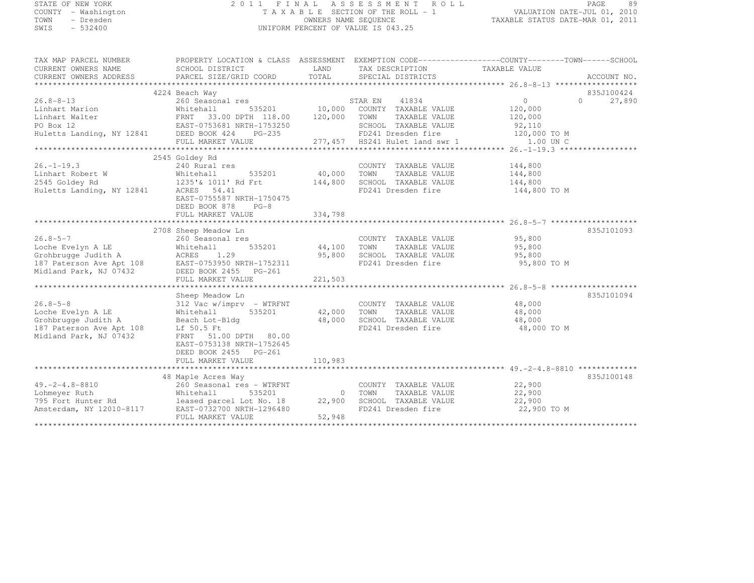### STATE OF NEW YORK 2 0 1 1 F I N A L A S S E S S M E N T R O L L PAGE <sup>89</sup> COUNTY - Washington T A X A B L E SECTION OF THE ROLL - 1 VALUATION DATE-JUL 01, 2010 TOWN - Dresden OWNERS NAME SEQUENCE TAXABLE STATUS DATE-MAR 01, 2011<br>- TRESDEN ON THE SEQUENCE TO A SECUENCE TO BE SERVED ON THE SEQUENCE OF SEXUE OF THE STATUS DATE MAR 01, 2011 SWIS - 532400 UNIFORM PERCENT OF VALUE IS 043.25

| TAX MAP PARCEL NUMBER                                                                                                                                                                                                                  |                                                                                                                |                         | PROPERTY LOCATION & CLASS ASSESSMENT EXEMPTION CODE----------------COUNTY-------TOWN-----SCHOOL |                           |                   |             |
|----------------------------------------------------------------------------------------------------------------------------------------------------------------------------------------------------------------------------------------|----------------------------------------------------------------------------------------------------------------|-------------------------|-------------------------------------------------------------------------------------------------|---------------------------|-------------------|-------------|
| CURRENT OWNERS NAME                                                                                                                                                                                                                    | SCHOOL DISTRICT                                                                                                |                         | LAND TAX DESCRIPTION                                                                            | TAXABLE VALUE             |                   |             |
| CURRENT OWNERS ADDRESS                                                                                                                                                                                                                 | $\verb!PARCEL SIZE/GRID COORD \hspace*{0.5cm} TOTAL \hspace*{0.5cm} \verb!SPECIAL DISTRIBUTS! \hspace*{0.5cm}$ |                         |                                                                                                 |                           |                   | ACCOUNT NO. |
|                                                                                                                                                                                                                                        |                                                                                                                |                         |                                                                                                 |                           |                   |             |
|                                                                                                                                                                                                                                        | 4224 Beach Way                                                                                                 |                         |                                                                                                 |                           |                   | 835J100424  |
|                                                                                                                                                                                                                                        |                                                                                                                |                         |                                                                                                 | $\overline{0}$<br>120,000 | $0 \qquad \qquad$ | 27,890      |
|                                                                                                                                                                                                                                        |                                                                                                                |                         | TAXABLE VALUE 120,000                                                                           |                           |                   |             |
|                                                                                                                                                                                                                                        |                                                                                                                |                         |                                                                                                 |                           |                   |             |
|                                                                                                                                                                                                                                        |                                                                                                                |                         | SCHOOL TAXABLE VALUE 92,110<br>FD241 Dresden fire 120,000 TO M                                  |                           |                   |             |
|                                                                                                                                                                                                                                        |                                                                                                                |                         | 277,457 HS241 Hulet land swr 1 1.00 UN C                                                        |                           |                   |             |
|                                                                                                                                                                                                                                        |                                                                                                                |                         |                                                                                                 |                           |                   |             |
|                                                                                                                                                                                                                                        | 2545 Goldey Rd                                                                                                 |                         |                                                                                                 |                           |                   |             |
|                                                                                                                                                                                                                                        |                                                                                                                |                         | COUNTY TAXABLE VALUE 144,800                                                                    |                           |                   |             |
|                                                                                                                                                                                                                                        |                                                                                                                | COUNTY<br>40,000 TOWN   |                                                                                                 |                           |                   |             |
|                                                                                                                                                                                                                                        |                                                                                                                |                         | 40,000 TOWN TAXABLE VALUE 144,800<br>144,800 SCHOOL TAXABLE VALUE 144,800                       |                           |                   |             |
| Huletts Landing, NY 12841                                                                                                                                                                                                              | ACRES 54.41                                                                                                    |                         | FD241 Dresden fire 144,800 TO M                                                                 |                           |                   |             |
|                                                                                                                                                                                                                                        | EAST-0755587 NRTH-1750475                                                                                      |                         |                                                                                                 |                           |                   |             |
|                                                                                                                                                                                                                                        | DEED BOOK 878 PG-8                                                                                             |                         |                                                                                                 |                           |                   |             |
|                                                                                                                                                                                                                                        | FULL MARKET VALUE                                                                                              | 334,798                 |                                                                                                 |                           |                   |             |
|                                                                                                                                                                                                                                        |                                                                                                                |                         |                                                                                                 |                           |                   |             |
|                                                                                                                                                                                                                                        | 2708 Sheep Meadow Ln                                                                                           |                         |                                                                                                 |                           |                   | 835J101093  |
| $26.8 - 5 - 7$                                                                                                                                                                                                                         | 260 Seasonal res                                                                                               | s<br>535201 44,100 TOWN | COUNTY TAXABLE VALUE 95,800<br>TOWN TAXABLE VALUE 95,800                                        |                           |                   |             |
|                                                                                                                                                                                                                                        |                                                                                                                |                         |                                                                                                 |                           |                   |             |
|                                                                                                                                                                                                                                        |                                                                                                                |                         | 95,800 SCHOOL TAXABLE VALUE 95,800                                                              |                           |                   |             |
|                                                                                                                                                                                                                                        |                                                                                                                |                         | FD241 Dresden fire                                                                              | 95,800 TO M               |                   |             |
| 26.8-5-7<br>Loche Evelyn A LE Mhitehall 535201<br>Grohbrugge Judith A ACRES 1.29<br>187 Paterson Ave Apt 108 EAST-0753950 NRTH-1752311<br>Midland Park, NJ 07432 DEED BOOK 2455 PG-261                                                 |                                                                                                                |                         |                                                                                                 |                           |                   |             |
|                                                                                                                                                                                                                                        | FULL MARKET VALUE                                                                                              | 221,503                 |                                                                                                 |                           |                   |             |
|                                                                                                                                                                                                                                        |                                                                                                                |                         |                                                                                                 |                           |                   |             |
|                                                                                                                                                                                                                                        | 312 Vac w/imprv – WTRFNT<br>312 Vac w/imprv – WTRFNT<br>Whitehall 535201 42,000 TOWN<br>Beach Lot-Bldg (1999)  |                         |                                                                                                 |                           |                   | 835J101094  |
| $26.8 - 5 - 8$                                                                                                                                                                                                                         |                                                                                                                |                         | COUNTY TAXABLE VALUE 48,000                                                                     |                           |                   |             |
| Loche Evelyn A LE                                                                                                                                                                                                                      |                                                                                                                |                         | TAXABLE VALUE                                                                                   | 48,000                    |                   |             |
| Grohbrugge Judith A                                                                                                                                                                                                                    | Beach Lot-Bldg<br>$I f = 50.5 F +$                                                                             |                         | 48,000 SCHOOL TAXABLE VALUE 48,000<br>FD241 Drasdan fire 49,000                                 |                           |                   |             |
| 187 Paterson Ave Apt 108 Lf 50.5 Ft<br>Midland Park, NJ 07432 FRNT 51.0                                                                                                                                                                |                                                                                                                |                         | FD241 Dresden fire                                                                              | 48,000 TO M               |                   |             |
| Midland Park, NJ 07432                                                                                                                                                                                                                 | FRNT 51.00 DPTH 80.00                                                                                          |                         |                                                                                                 |                           |                   |             |
|                                                                                                                                                                                                                                        | EAST-0753138 NRTH-1752645                                                                                      |                         |                                                                                                 |                           |                   |             |
|                                                                                                                                                                                                                                        | DEED BOOK 2455 PG-261                                                                                          |                         |                                                                                                 |                           |                   |             |
|                                                                                                                                                                                                                                        | FULL MARKET VALUE                                                                                              | 110,983                 |                                                                                                 |                           |                   |             |
|                                                                                                                                                                                                                                        |                                                                                                                |                         |                                                                                                 |                           |                   |             |
|                                                                                                                                                                                                                                        | 48 Maple Acres Way                                                                                             |                         |                                                                                                 |                           |                   | 835J100148  |
| 49.-2-4.8-8810 260 Seasonal res - WTRFNT COUNTY TAXABLE VALUE<br>Lohmeyer Ruth Whitehall 535201 0 TOWN TAXABLE VALUE<br>795 Fort Hunter Rd leased parcel Lot No. 18 22,900 SCHOOL TAXABLE VALUE<br>22,900 SCHOOL TAXABLE VALUE<br>22,9 |                                                                                                                |                         | COUNTY TAXABLE VALUE 22,900                                                                     |                           |                   |             |
|                                                                                                                                                                                                                                        |                                                                                                                |                         | TAXABLE VALUE 22,900                                                                            |                           |                   |             |
|                                                                                                                                                                                                                                        |                                                                                                                |                         |                                                                                                 | 22,900                    |                   |             |
|                                                                                                                                                                                                                                        |                                                                                                                |                         |                                                                                                 | 22,900 TO M               |                   |             |
|                                                                                                                                                                                                                                        | FULL MARKET VALUE                                                                                              | 52,948                  |                                                                                                 |                           |                   |             |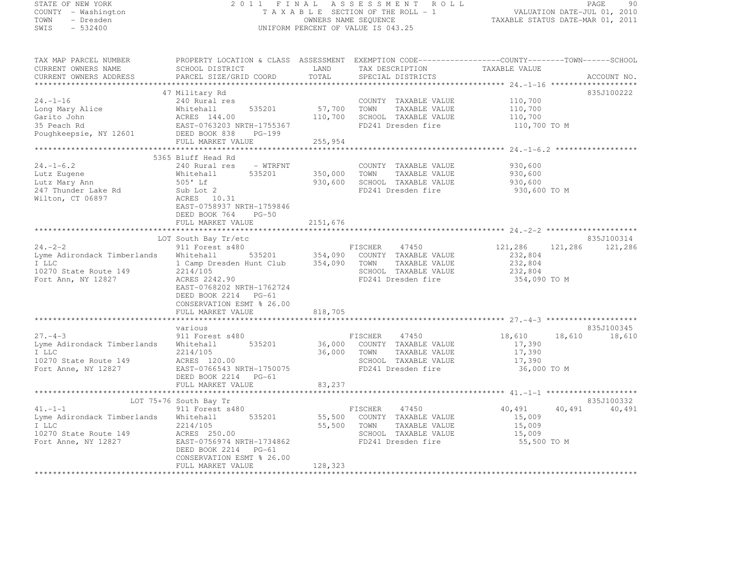| STATE OF NEW YORK                                                                                                                                                                                                                      |                                                                  |             | 2011 FINAL ASSESSMENT ROLL                                                                                                              |                    | PAGE<br>-90     |
|----------------------------------------------------------------------------------------------------------------------------------------------------------------------------------------------------------------------------------------|------------------------------------------------------------------|-------------|-----------------------------------------------------------------------------------------------------------------------------------------|--------------------|-----------------|
| COUNTY - Washington<br>TOWN - Dresden                                                                                                                                                                                                  |                                                                  |             | T A X A B L E SECTION OF THE ROLL - 1<br>T A X A B L E SECTION OF THE ROLL - 1<br>OWNERS NAME SEQUENCE TAXABLE STATUS DATE-MAR 01, 2011 |                    |                 |
| SWIS - 532400                                                                                                                                                                                                                          |                                                                  |             | UNIFORM PERCENT OF VALUE IS 043.25                                                                                                      |                    |                 |
| TAX MAP PARCEL NUMBER                                                                                                                                                                                                                  |                                                                  |             |                                                                                                                                         |                    |                 |
| CURRENT OWNERS NAME                                                                                                                                                                                                                    |                                                                  |             |                                                                                                                                         |                    |                 |
| CURRENT OWNERS ADDRESS                                                                                                                                                                                                                 |                                                                  |             |                                                                                                                                         |                    |                 |
|                                                                                                                                                                                                                                        |                                                                  |             |                                                                                                                                         |                    |                 |
|                                                                                                                                                                                                                                        | 47 Military Rd                                                   |             |                                                                                                                                         |                    | 835J100222      |
| 24.-1-16                                                                                                                                                                                                                               | 240 Rural res                                                    |             | COUNTY TAXABLE VALUE                                                                                                                    | 110,700            |                 |
| Long Mary Alice Mhitehall 535201 57,700 TOWN TAXABLE VALUE<br>Garito John ACRES 144.00 110,700 SCHOOL TAXABLE VALUE<br>35 Peach Rd EAST-0763203 NRTH-1755367 FD241 Dresden fire<br>Poughkeepsie, NY 12601 DEED BOOK 838 PG-199         |                                                                  |             |                                                                                                                                         | 110,700<br>110,700 |                 |
|                                                                                                                                                                                                                                        |                                                                  |             |                                                                                                                                         | 110,700 TO M       |                 |
|                                                                                                                                                                                                                                        |                                                                  |             |                                                                                                                                         |                    |                 |
|                                                                                                                                                                                                                                        | FULL MARKET VALUE 255,954                                        |             |                                                                                                                                         |                    |                 |
|                                                                                                                                                                                                                                        |                                                                  |             |                                                                                                                                         |                    |                 |
|                                                                                                                                                                                                                                        | 5365 Bluff Head Rd                                               |             |                                                                                                                                         |                    |                 |
| $24. - 1 - 6.2$                                                                                                                                                                                                                        | 240 Rural res - WTRFNT                                           |             | COUNTY TAXABLE VALUE                                                                                                                    | 930,600            |                 |
| Lutz Eugene<br>Lutz Mary Ann                                                                                                                                                                                                           | Whitehall<br>505' Lf                                             |             | 535201 350,000 TOWN TAXABLE VALUE                                                                                                       | 930,600            |                 |
|                                                                                                                                                                                                                                        |                                                                  |             | 930,600 SCHOOL TAXABLE VALUE                                                                                                            | 930,600            |                 |
| 247 Thunder Lake Rd                                                                                                                                                                                                                    |                                                                  |             | FD241 Dresden fire                                                                                                                      | 930,600 TO M       |                 |
| Wilton, CT 06897                                                                                                                                                                                                                       |                                                                  |             |                                                                                                                                         |                    |                 |
|                                                                                                                                                                                                                                        | Sub Lot 2<br>ACRES 10.31<br>EAST-0758937 NRTH-1759846<br>$PG-50$ |             |                                                                                                                                         |                    |                 |
|                                                                                                                                                                                                                                        | DEED BOOK 764<br>FULL MARKET VALUE                               | 2151,676    |                                                                                                                                         |                    |                 |
|                                                                                                                                                                                                                                        |                                                                  |             |                                                                                                                                         |                    |                 |
|                                                                                                                                                                                                                                        | LOT South Bay Tr/etc                                             |             |                                                                                                                                         |                    | 835J100314      |
| $24. -2 - 2$                                                                                                                                                                                                                           | 911 Forest s480                                                  |             | FISCHER 47450                                                                                                                           | 121,286            | 121,286 121,286 |
|                                                                                                                                                                                                                                        |                                                                  |             |                                                                                                                                         | 232,804            |                 |
| EISCHER 47450<br>Lyme Adirondack Timberlands Whitehall 535201 354,090 COUNTY TAXABLE VALUE<br>I LLC 1 Camp Dresden Hunt Club 354,090 TOWN TAXABLE VALUE<br>10270 State Route 149 2214/105 SCHOOL TAXABLE VALUE<br>Fort Ann, NY 12827 A |                                                                  |             |                                                                                                                                         | 232,804            |                 |
|                                                                                                                                                                                                                                        |                                                                  |             |                                                                                                                                         | 232,804            |                 |
|                                                                                                                                                                                                                                        |                                                                  |             |                                                                                                                                         | 354,090 TO M       |                 |
|                                                                                                                                                                                                                                        | EAST-0768202 NRTH-1762724                                        |             |                                                                                                                                         |                    |                 |
|                                                                                                                                                                                                                                        | DEED BOOK 2214 PG-61<br>CONSERVATION ESMT % 26.00                |             |                                                                                                                                         |                    |                 |
|                                                                                                                                                                                                                                        | FULL MARKET VALUE                                                | 818,705     |                                                                                                                                         |                    |                 |
|                                                                                                                                                                                                                                        |                                                                  |             |                                                                                                                                         |                    |                 |
|                                                                                                                                                                                                                                        | various                                                          |             |                                                                                                                                         |                    | 835J100345      |
| $27. - 4 - 3$                                                                                                                                                                                                                          | 911 Forest s480                                                  |             | FISCHER 47450                                                                                                                           | 18,610             | 18,610 18,610   |
| Lyme Adirondack Timberlands Whitehall 535201                                                                                                                                                                                           |                                                                  |             | 36,000 COUNTY TAXABLE VALUE                                                                                                             | 17,390             |                 |
| I LLC                                                                                                                                                                                                                                  |                                                                  | 36,000 TOWN | TAXABLE VALUE                                                                                                                           | 17,390             |                 |
| 10270 State Route 149                                                                                                                                                                                                                  | 2214/105<br>ACRES 120.00<br>EAST-0766543 NRTH-1750075            |             | SCHOOL TAXABLE VALUE<br>FD241 Dresden fire                                                                                              | 17,390             |                 |
| Fort Anne, NY 12827                                                                                                                                                                                                                    |                                                                  |             |                                                                                                                                         | 36,000 TO M        |                 |
|                                                                                                                                                                                                                                        | DEED BOOK 2214 PG-61<br>FULL MARKET VALUE                        | 83,237      |                                                                                                                                         |                    |                 |
|                                                                                                                                                                                                                                        |                                                                  |             |                                                                                                                                         |                    |                 |
|                                                                                                                                                                                                                                        | LOT 75+76 South Bay Tr                                           |             |                                                                                                                                         |                    | 835J100332      |
| 41. $-1-1$                                                                                                                                                                                                                             | 911 Forest s480                                                  |             | FISCHER 47450                                                                                                                           | 40,491             | 40,491 40,491   |
| Lyme Adirondack Timberlands Whitehall 535201                                                                                                                                                                                           |                                                                  |             | 55,500 COUNTY TAXABLE VALUE                                                                                                             | 15,009             |                 |
|                                                                                                                                                                                                                                        |                                                                  | 55,500 TOWN | TAXABLE VALUE                                                                                                                           | 15,009             |                 |
|                                                                                                                                                                                                                                        |                                                                  |             | SCHOOL TAXABLE VALUE                                                                                                                    | 15,009             |                 |
| 1 LLC 35, 2214/105 55, 2214/105 55, 55, 10270 State Route 149 ACRES 250.00 55, 10270 State Route 149 ACRES 250.00 55, 10270 ST                                                                                                         |                                                                  |             | FD241 Dresden fire                                                                                                                      | 55,500 TO M        |                 |

FULL MARKET VALUE 128,323 \*\*\*\*\*\*\*\*\*\*\*\*\*\*\*\*\*\*\*\*\*\*\*\*\*\*\*\*\*\*\*\*\*\*\*\*\*\*\*\*\*\*\*\*\*\*\*\*\*\*\*\*\*\*\*\*\*\*\*\*\*\*\*\*\*\*\*\*\*\*\*\*\*\*\*\*\*\*\*\*\*\*\*\*\*\*\*\*\*\*\*\*\*\*\*\*\*\*\*\*\*\*\*\*\*\*\*\*\*\*\*\*\*\*\*\*\*\*\*\*\*\*\*\*\*\*\*\*\*\*\*\*

CONSERVATION ESMT % 26.00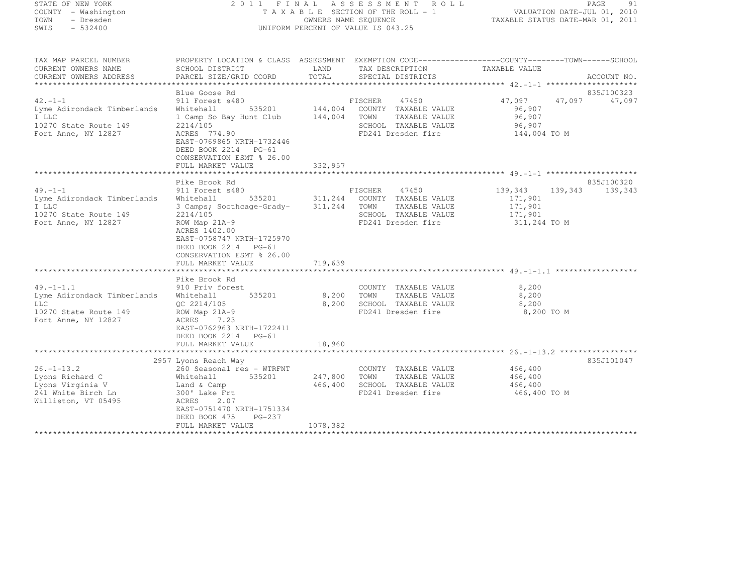#### STATE OF NEW YORK 2 0 1 1 F I N A L A S S E S S M E N T R O L L PAGE <sup>91</sup> COUNTY - Washington T A X A B L E SECTION OF THE ROLL - 1 VALUATION DATE-JUL 01, 2010 TOWN - Dresden OWNERS NAME SEQUENCE TAXABLE STATUS DATE-MAR 01, 2011<br>- TRESDEN ON THE SEQUENCE TO A SECUENCE TO BE SERVED ON THE SEQUENCE OF SEXUE OF THE STATUS DATE MAR 01, 2011 SWIS - 532400 UNIFORM PERCENT OF VALUE IS 043.25

| TAX MAP PARCEL NUMBER                                                                                 |                                                                                                                                                                                                     |                           | PROPERTY LOCATION & CLASS ASSESSMENT EXEMPTION CODE----------------COUNTY-------TOWN-----SCHOOL                         |                                                             |                      |
|-------------------------------------------------------------------------------------------------------|-----------------------------------------------------------------------------------------------------------------------------------------------------------------------------------------------------|---------------------------|-------------------------------------------------------------------------------------------------------------------------|-------------------------------------------------------------|----------------------|
| CURRENT OWNERS NAME                                                                                   | SCHOOL DISTRICT                                                                                                                                                                                     | LAND                      | TAX DESCRIPTION                                                                                                         | TAXABLE VALUE                                               |                      |
| CURRENT OWNERS ADDRESS                                                                                | PARCEL SIZE/GRID COORD                                                                                                                                                                              | TOTAL                     | SPECIAL DISTRICTS                                                                                                       |                                                             | ACCOUNT NO.          |
|                                                                                                       |                                                                                                                                                                                                     |                           |                                                                                                                         |                                                             |                      |
| $42. -1 - 1$<br>Lyme Adirondack Timberlands<br>I LLC<br>10270 State Route 149<br>Fort Anne, NY 12827  | Blue Goose Rd<br>911 Forest s480<br>Whitehall<br>1 Camp So Bay Hunt Club 144,004 TOWN<br>2214/105<br>ACRES 774.90<br>EAST-0769865 NRTH-1732446<br>DEED BOOK 2214 PG-61<br>CONSERVATION ESMT % 26.00 |                           | FISCHER<br>47450<br>535201 144,004 COUNTY TAXABLE VALUE<br>TAXABLE VALUE<br>SCHOOL TAXABLE VALUE<br>FD241 Dresden fire  | 47,097 47,097<br>96,907<br>96,907<br>96,907<br>144,004 TO M | 835J100323<br>47,097 |
|                                                                                                       | FULL MARKET VALUE                                                                                                                                                                                   | 332,957                   |                                                                                                                         |                                                             |                      |
|                                                                                                       |                                                                                                                                                                                                     |                           |                                                                                                                         |                                                             |                      |
|                                                                                                       | Pike Brook Rd                                                                                                                                                                                       |                           |                                                                                                                         |                                                             | 835J100320           |
| $49. - 1 - 1$<br>Lyme Adirondack Timberlands<br>I LLC<br>10270 State Route 149<br>Fort Anne, NY 12827 | 911 Forest s480<br>Whitehall<br>3 Camps; Soothcage-Grady-<br>2214/105<br>ROW Map 21A-9<br>ACRES 1402.00<br>EAST-0758747 NRTH-1725970<br>DEED BOOK 2214 PG-61<br>CONSERVATION ESMT % 26.00           | 311,244 TOWN              | FISCHER<br>47450<br>535201 311, 244 COUNTY TAXABLE VALUE<br>TAXABLE VALUE<br>SCHOOL TAXABLE VALUE<br>FD241 Dresden fire | 139,343<br>171,901<br>171,901<br>171,901<br>311,244 TO M    | 139,343<br>139,343   |
|                                                                                                       | FULL MARKET VALUE                                                                                                                                                                                   | 719,639                   |                                                                                                                         |                                                             |                      |
|                                                                                                       | Pike Brook Rd                                                                                                                                                                                       |                           |                                                                                                                         |                                                             |                      |
| $49. -1 - 1.1$<br>Lyme Adirondack Timberlands<br>LLC<br>10270 State Route 149<br>Fort Anne, NY 12827  | 910 Priv forest<br>535201<br>Whitehall<br>QC 2214/105<br>$ROW$ Map $21A-9$<br>7.23<br>ACRES<br>EAST-0762963 NRTH-1722411<br>DEED BOOK 2214 PG-61<br>FULL MARKET VALUE                               | 8,200<br>8,200<br>18,960  | COUNTY TAXABLE VALUE<br>TOWN<br>TAXABLE VALUE<br>SCHOOL TAXABLE VALUE<br>FD241 Dresden fire                             | 8,200<br>8,200<br>8,200<br>8,200 TO M                       |                      |
|                                                                                                       |                                                                                                                                                                                                     |                           |                                                                                                                         |                                                             |                      |
| $26. - 1 - 13.2$<br>Lyons Richard C<br>Lyons Virginia V<br>241 White Birch Ln<br>Williston, VT 05495  | 2957 Lyons Reach Way<br>260 Seasonal res - WTRFNT<br>Whitehall<br>Land & Camp<br>300' Lake Frt<br>ACRES<br>2.07<br>EAST-0751470 NRTH-1751334<br>$PG-237$<br>DEED BOOK 475                           | 535201 247,800<br>466,400 | COUNTY TAXABLE VALUE<br>TOWN<br>TAXABLE VALUE<br>SCHOOL TAXABLE VALUE<br>FD241 Dresden fire                             | 466,400<br>466,400<br>466,400<br>466,400 TO M               | 835J101047           |
|                                                                                                       | FULL MARKET VALUE                                                                                                                                                                                   | 1078,382                  |                                                                                                                         |                                                             |                      |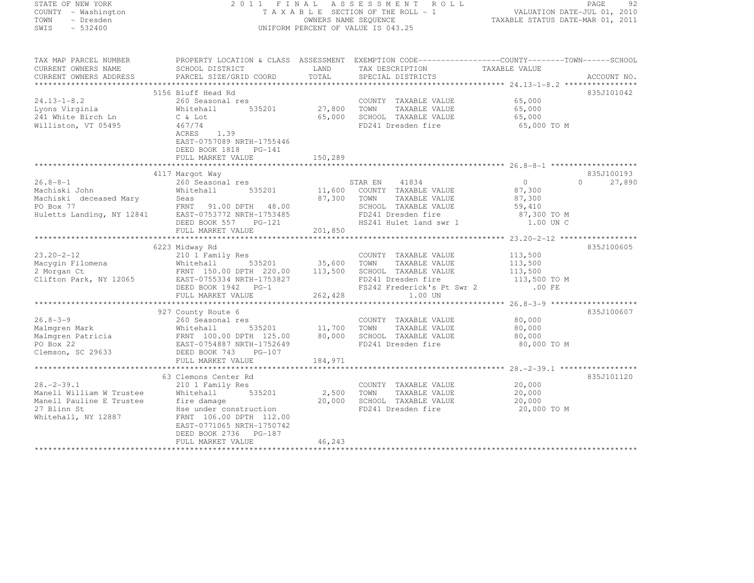| STATE OF NEW YORK         | 2 0 1 1                                                                                         | FINAL                                       | A S S E S S M E N T<br>R O L L     |                                                    | 92<br>PAGE         |
|---------------------------|-------------------------------------------------------------------------------------------------|---------------------------------------------|------------------------------------|----------------------------------------------------|--------------------|
| COUNTY - Washington       |                                                                                                 |                                             | TAXABLE SECTION OF THE ROLL - 1    | VALUATION DATE-JUL 01, 2010                        |                    |
| TOWN<br>- Dresden         |                                                                                                 | OWNERS NAME SEQUENCE                        |                                    | TAXABLE STATUS DATE-MAR 01, 2011                   |                    |
| SWIS<br>$-532400$         |                                                                                                 |                                             | UNIFORM PERCENT OF VALUE IS 043.25 |                                                    |                    |
|                           |                                                                                                 |                                             |                                    |                                                    |                    |
| TAX MAP PARCEL NUMBER     | PROPERTY LOCATION & CLASS ASSESSMENT EXEMPTION CODE----------------COUNTY-------TOWN-----SCHOOL |                                             |                                    |                                                    |                    |
| CURRENT OWNERS NAME       | SCHOOL DISTRICT                                                                                 | LAND                                        | TAX DESCRIPTION                    | TAXABLE VALUE                                      |                    |
| CURRENT OWNERS ADDRESS    | PARCEL SIZE/GRID COORD                                                                          | TOTAL                                       | SPECIAL DISTRICTS                  |                                                    | ACCOUNT NO.        |
|                           |                                                                                                 |                                             |                                    |                                                    |                    |
|                           | 5156 Bluff Head Rd                                                                              |                                             |                                    |                                                    | 835J101042         |
| $24.13 - 1 - 8.2$         | 260 Seasonal res                                                                                |                                             | COUNTY TAXABLE VALUE               | 65,000                                             |                    |
| Lyons Virginia            | 535201<br>Whitehall                                                                             | 27,800                                      | TAXABLE VALUE<br>TOWN              | 65,000                                             |                    |
| 241 White Birch Ln        | C & Lot                                                                                         | 65,000                                      | SCHOOL TAXABLE VALUE               | 65,000                                             |                    |
| Williston, VT 05495       | 467/74                                                                                          |                                             | FD241 Dresden fire                 | 65,000 TO M                                        |                    |
|                           | ACRES<br>1.39                                                                                   |                                             |                                    |                                                    |                    |
|                           | EAST-0757089 NRTH-1755446                                                                       |                                             |                                    |                                                    |                    |
|                           | DEED BOOK 1818 PG-141                                                                           |                                             |                                    |                                                    |                    |
|                           | FULL MARKET VALUE                                                                               | 150,289                                     |                                    |                                                    |                    |
|                           |                                                                                                 |                                             |                                    |                                                    |                    |
|                           | 4117 Margot Way                                                                                 |                                             |                                    |                                                    | 835J100193         |
| $26.8 - 8 - 1$            | 260 Seasonal res                                                                                |                                             | STAR EN<br>41834                   | $\circ$                                            | 27,890<br>$\Omega$ |
| Machiski John             | Whitehall<br>535201                                                                             | 11,600                                      | COUNTY TAXABLE VALUE               | 87,300                                             |                    |
| Machiski deceased Mary    | Seas                                                                                            | 87,300                                      | TAXABLE VALUE<br>TOWN              | 87,300                                             |                    |
| PO Box 77                 | FRNT 91.00 DPTH 48.00                                                                           |                                             | SCHOOL TAXABLE VALUE               | 59,410                                             |                    |
| Huletts Landing, NY 12841 | EAST-0753772 NRTH-1753485                                                                       |                                             | FD241 Dresden fire                 | 87,300 TO M                                        |                    |
|                           | DEED BOOK 557<br>$PG-121$                                                                       |                                             | HS241 Hulet land swr 1             | 1.00 UN C                                          |                    |
|                           | FULL MARKET VALUE                                                                               | 201,850                                     |                                    |                                                    |                    |
|                           |                                                                                                 |                                             |                                    | $23.20 - 2 - 12$ **                                | ***********        |
|                           | 6223 Midway Rd                                                                                  |                                             |                                    |                                                    | 835J100605         |
| $23.20 - 2 - 12$          | 210 1 Family Res                                                                                |                                             | COUNTY TAXABLE VALUE               | 113,500                                            |                    |
| Macygin Filomena          | 535201<br>Whitehall                                                                             | 35,600                                      | TOWN<br>TAXABLE VALUE              | 113,500                                            |                    |
| 2 Morgan Ct               | FRNT 150.00 DPTH 220.00                                                                         | 113,500                                     | SCHOOL TAXABLE VALUE               | 113,500                                            |                    |
| Clifton Park, NY 12065    | EAST-0755334 NRTH-1753827                                                                       |                                             | FD241 Dresden fire                 | 113,500 TO M                                       |                    |
|                           | DEED BOOK 1942 PG-1                                                                             |                                             | FS242 Frederick's Pt Swr 2         | $.00$ FE                                           |                    |
|                           | FULL MARKET VALUE                                                                               | 262,428                                     | 1.00 UN                            |                                                    |                    |
|                           |                                                                                                 |                                             |                                    |                                                    |                    |
|                           | 927 County Route 6                                                                              |                                             |                                    |                                                    | 835J100607         |
| $26.8 - 3 - 9$            | 260 Seasonal res                                                                                |                                             | COUNTY TAXABLE VALUE               | 80,000                                             |                    |
| Malmgren Mark             | 535201<br>Whitehall                                                                             | 11,700                                      | TAXABLE VALUE<br>TOWN              | 80,000                                             |                    |
| Malmqren Patricia         | FRNT 100.00 DPTH 125.00                                                                         | 80,000                                      | SCHOOL TAXABLE VALUE               | 80,000                                             |                    |
| PO Box 22                 | EAST-0754887 NRTH-1752649                                                                       |                                             | FD241 Dresden fire                 | 80,000 TO M                                        |                    |
| Clemson, SC 29633         | DEED BOOK 743<br>$PG-107$                                                                       |                                             |                                    |                                                    |                    |
|                           | FULL MARKET VALUE                                                                               | 184,971                                     |                                    |                                                    |                    |
|                           |                                                                                                 |                                             |                                    | ******************** 28. -2-39.1 ***************** |                    |
|                           | 63 Clemons Center Rd                                                                            |                                             |                                    |                                                    | 835J101120         |
| $28. - 2 - 39.1$          | 210 1 Family Res                                                                                |                                             | COUNTY TAXABLE VALUE               | 20,000                                             |                    |
| Manell William W Trustee  | Whitehall<br>535201                                                                             | 2,500                                       | TOWN<br>TAXABLE VALUE              | 20,000                                             |                    |
| Manell Pauline E Trustee  | fire damage                                                                                     | 20,000                                      | SCHOOL TAXABLE VALUE               | 20,000                                             |                    |
| 27 Blinn St               | Hse under construction                                                                          |                                             | FD241 Dresden fire                 |                                                    |                    |
| Whitehall, NY 12887       | FRNT 106.00 DPTH 112.00                                                                         |                                             |                                    | 20,000 TO M                                        |                    |
|                           | EAST-0771065 NRTH-1750742                                                                       |                                             |                                    |                                                    |                    |
|                           |                                                                                                 |                                             |                                    |                                                    |                    |
|                           | DEED BOOK 2736<br>PG-187                                                                        |                                             |                                    |                                                    |                    |
|                           | FULL MARKET VALUE<br>++++++++++++++++++++++                                                     | 46,243<br>بله بله بله بله بله بله بله بله ب |                                    |                                                    |                    |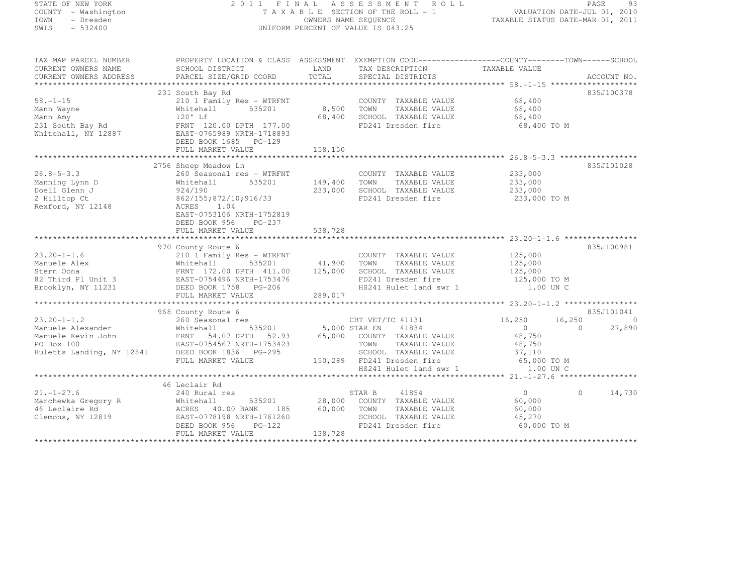# STATE OF NEW YORK 2 0 1 1 F I N A L A S S E S S M E N T R O L L PAGE <sup>93</sup> COUNTY - Washington T A X A B L E SECTION OF THE ROLL - 1 VALUATION DATE-JUL 01, 2010 TOWN - Dresden OWNERS NAME SEQUENCE TAXABLE STATUS DATE-MAR 01, 2011<br>- TRESDEN ON THE SEQUENCE TO A SECUENCE TO BE SERVED ON THE SEQUENCE OF SEXUE OF THE STATUS DATE MAR 01, 2011 SWIS - 532400 UNIFORM PERCENT OF VALUE IS 043.25

| TAX MAP PARCEL NUMBER<br>CURRENT OWNERS NAME                                                                  | PROPERTY LOCATION & CLASS ASSESSMENT EXEMPTION CODE-----------------COUNTY-------TOWN------SCHOOL<br>SCHOOL DISTRICT                                                                                                                                                                                                                                                                       |                         | LAND TAX DESCRIPTION                                                                                                                  | TAXABLE VALUE                                               |                                                 |
|---------------------------------------------------------------------------------------------------------------|--------------------------------------------------------------------------------------------------------------------------------------------------------------------------------------------------------------------------------------------------------------------------------------------------------------------------------------------------------------------------------------------|-------------------------|---------------------------------------------------------------------------------------------------------------------------------------|-------------------------------------------------------------|-------------------------------------------------|
| CURRENT OWNERS ADDRESS                                                                                        | PARCEL SIZE/GRID COORD                                                                                                                                                                                                                                                                                                                                                                     | TOTAL                   | SPECIAL DISTRICTS                                                                                                                     |                                                             | ACCOUNT NO.                                     |
|                                                                                                               | 231 South Bay Rd                                                                                                                                                                                                                                                                                                                                                                           |                         |                                                                                                                                       |                                                             | 835J100378                                      |
| $58. - 1 - 15$<br>Mann Wayne                                                                                  | 210 1 Family Res - WTRFNT<br>535201<br>Whitehall<br>Mann Amy<br>231 South Bay Rd<br>231 South Bay Rd<br>231 South Bay Rd<br>231 South Bay Rd<br>2887 - 2765989 NRTH-1718893<br>2887-0765989 NRTH-1718893<br>2006 1685 PG-129<br>DEED BOOK 1685 PG-129                                                                                                                                      | 8,500 TOWN              | COUNTY TAXABLE VALUE 68,400<br>TAXABLE VALUE<br>68,400 SCHOOL TAXABLE VALUE<br>FD241 Dresden fire                                     | 68,400<br>68,400<br>68,400 TO M                             |                                                 |
|                                                                                                               | FULL MARKET VALUE                                                                                                                                                                                                                                                                                                                                                                          | 158,150                 |                                                                                                                                       |                                                             |                                                 |
|                                                                                                               | 2756 Sheep Meadow Ln                                                                                                                                                                                                                                                                                                                                                                       |                         |                                                                                                                                       |                                                             | 835J101028                                      |
| $26.8 - 5 - 3.3$<br>Manning Lynn D<br>Doell Glenn J<br>2 Hilltop Ct<br>Rexford, NY 12148                      | 260 Seasonal res - WTRFNT<br>535201<br>Whitehall<br>924/190<br>862/155; 872/10; 916/33<br>ACRES<br>1.04<br>EAST-0753106 NRTH-1752819<br>DEED BOOK 956<br>PG-237                                                                                                                                                                                                                            | 149,400 TOWN<br>233,000 | COUNTY TAXABLE VALUE<br>TOWN TAXABLE VALUE 233,000<br>SCHOOL TAXABLE VALUE 233,000<br>FD241 Dresden fire                              | 233,000 TO M                                                |                                                 |
|                                                                                                               | FULL MARKET VALUE                                                                                                                                                                                                                                                                                                                                                                          | 538,728                 |                                                                                                                                       |                                                             |                                                 |
|                                                                                                               | 970 County Route 6                                                                                                                                                                                                                                                                                                                                                                         |                         |                                                                                                                                       |                                                             | 835J100981                                      |
|                                                                                                               | $\begin{tabular}{lllllllllllll} \multicolumn{3}{c c c c c} \multicolumn{3}{c c c c} \multicolumn{3}{c c c c} \multicolumn{3}{c c c c} \multicolumn{3}{c c c c} \multicolumn{3}{c c c c} \multicolumn{3}{c c c c} \multicolumn{3}{c c c c} \multicolumn{3}{c c c c} \multicolumn{3}{c c c c} \multicolumn{3}{c c c c} \multicolumn{3}{c c c c} \multicolumn{3}{c c c c} \multicolumn{3}{c $ |                         |                                                                                                                                       |                                                             |                                                 |
|                                                                                                               |                                                                                                                                                                                                                                                                                                                                                                                            |                         |                                                                                                                                       |                                                             |                                                 |
| $23.20 - 1 - 1.2$<br>Manuele Alexander<br>Manuele Kort II                                                     | 968 County Route 6<br>260 Seasonal res<br>Whitehall<br>Manuele Kevin John (ERNT 54.07 DPTH 52.93 65,000 COUNTY TAXABLE VALUE 48,750<br>PO Box 100 EAST-0754567 NRTH-1753423 TOWN TAXABLE VALUE 48,750<br>Huletts Landing, NY 12841 DEED BOOK 1836 PG-295 SCHOOL TAXABLE VALUE 37,110<br>FULL MARKET VALUE                                                                                  |                         |                                                                                                                                       | 16,250<br>16,250<br>$\Omega$                                | 835J101041<br>$\bigcirc$<br>$\bigcap$<br>27,890 |
|                                                                                                               |                                                                                                                                                                                                                                                                                                                                                                                            |                         | 150,289 FD241 Dresden fire 65,000 TO M<br>HS241 Hulet land swr 1 1.00 UN C                                                            |                                                             |                                                 |
|                                                                                                               |                                                                                                                                                                                                                                                                                                                                                                                            |                         |                                                                                                                                       |                                                             |                                                 |
| $21. - 1 - 27.6$<br>Marchewka Gregory R Mhitehall 535<br>46 Leclaire Rd MCRES 40.00 BANK<br>Clemons, NY 12819 | 46 Leclair Rd<br>240 Rural res<br>EAST-0778198 NRTH-1761260<br>DEED BOOK 956<br>PG-122<br>FULL MARKET VALUE                                                                                                                                                                                                                                                                                | 138,728                 | STAR B 41854<br>535201 28,000 COUNTY TAXABLE VALUE<br>4NK 185 60,000 TOWN TAXABLE VALUE<br>SCHOOL TAXABLE VALUE<br>FD241 Dresden fire | $\overline{0}$<br>60,000<br>60,000<br>45,270<br>60,000 TO M | $\Omega$<br>14,730                              |
|                                                                                                               |                                                                                                                                                                                                                                                                                                                                                                                            |                         |                                                                                                                                       |                                                             |                                                 |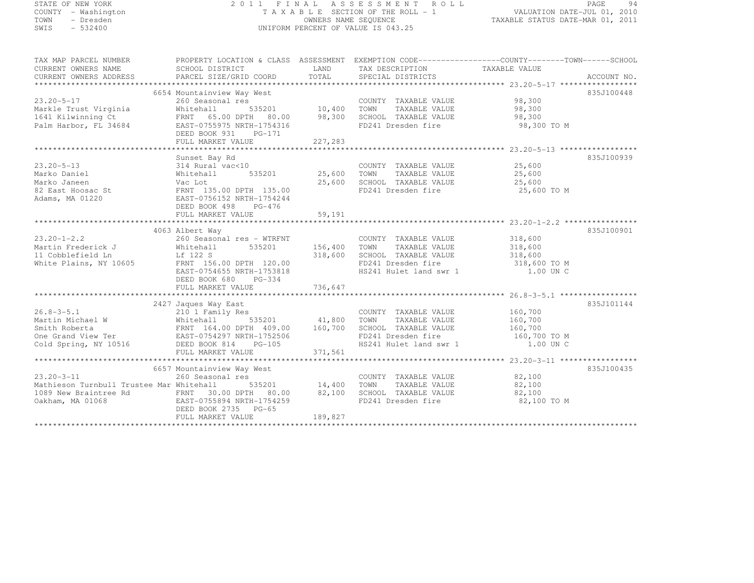STATE OF NEW YORK 2 0 1 1 F I N A L A S S E S S M E N T R O L L PAGE <sup>94</sup> COUNTY - Washington T A X A B L E SECTION OF THE ROLL - 1 VALUATION DATE-JUL 01, 2010 TOWN - Dresden OWNERS NAME SEQUENCE TAXABLE STATUS DATE-MAR 01, 2011<br>- TRESDEN ON THE SEQUENCE TO A SECUENCE TO BE SERVED ON THE SEQUENCE OF SEXUE OF THE STATUS DATE MAR 01, 2011 SWIS - 532400 UNIFORM PERCENT OF VALUE IS 043.25

| TAX MAP PARCEL NUMBER<br>CURRENT OWNERS NAME<br>CURRENT OWNERS ADDRESS                                                                                                                                                 | PROPERTY LOCATION & CLASS ASSESSMENT EXEMPTION CODE-----------------COUNTY-------TOWN------SCHOOL                    |                    | TAX DESCRIPTION TAXABLE VALUE                                                                       |                                               |            |
|------------------------------------------------------------------------------------------------------------------------------------------------------------------------------------------------------------------------|----------------------------------------------------------------------------------------------------------------------|--------------------|-----------------------------------------------------------------------------------------------------|-----------------------------------------------|------------|
| $23.20 - 5 - 17$<br>Markle Trust Virginia<br>1641 Kilwinning Ct<br>Palm Harbor, FL 34684                                                                                                                               | FRNT 65.00 DPTH 80.00<br>EAST-0755975 NRTH-1754316<br>DEED BOOK 931<br>$PG-171$<br>FULL MARKET VALUE                 | 98,300<br>227,283  | COUNTY TAXABLE VALUE 98,300<br>TOWN<br>SCHOOL TAXABLE VALUE<br>FD241 Dresden fire                   | TAXABLE VALUE 98,300<br>98,300<br>98,300 TO M | 835J100448 |
| $23.20 - 5 - 13$<br>Marko Daniel<br>Adams, MA 01220                                                                                                                                                                    | Sunset Bay Rd<br>sunset Bay Rd<br>314 Rural vac<10<br>Whitehall<br>EAST-0756152 NRTH-1754244<br>DEED BOOK 498 PG-476 | 535201 25,600 TOWN | COUNTY TAXABLE VALUE 25,600                                                                         | TAXABLE VALUE 25,600                          | 835J100939 |
|                                                                                                                                                                                                                        |                                                                                                                      |                    |                                                                                                     |                                               |            |
| $23.20 - 1 - 2.2$<br>Martin Frederick J<br>11 Cobblefield Ln<br>11 Cobblefield Ln<br>Lf 122 S<br>White Plains, NY 10605                                                                                                | 4063 Albert Way                                                                                                      |                    | FD241 Dresden fire $318,600$ TO M                                                                   | 1.00 UN C                                     | 835J100901 |
|                                                                                                                                                                                                                        | 2427 Jaques Way East                                                                                                 |                    |                                                                                                     |                                               | 835J101144 |
| 26.8-3-5.1<br>Martin Michael W 210 1 Family Res<br>Smith Roberta FRNT 164.00 DPTH 409.00 160,700<br>One Grand View Ter EAST-0754297 NRTH-1752506<br>Cold Spring, NY 10516 DEED BOOK 814 PG-105                         |                                                                                                                      |                    | SCHOOL TAXABLE VALUE 160,700<br>FD241 Dresden fire 160,700 TO M<br>HS241 Hulet land swr 1 1.00 UN C |                                               |            |
|                                                                                                                                                                                                                        |                                                                                                                      |                    |                                                                                                     |                                               |            |
| $23.20 - 3 - 11$<br>Mathieson Turnbull Trustee Mar Whitehall<br>1089 New Braintree Rd FRNT 30.00 DPTH 80.00 82,100 SCHOOL TAXABLE VALUE 82,100<br>0akham, MA 01068 EAST-0755894 NRTH-1754259 FD241 Dresden fire 82,100 | DEED BOOK 2735 PG-65<br>FULL MARKET VALUE                                                                            | 189,827            | COUNTY TAXABLE VALUE 82,100<br>TOWN TAXABLE VALUE 82,100                                            | 82,100 TO M                                   | 835J100435 |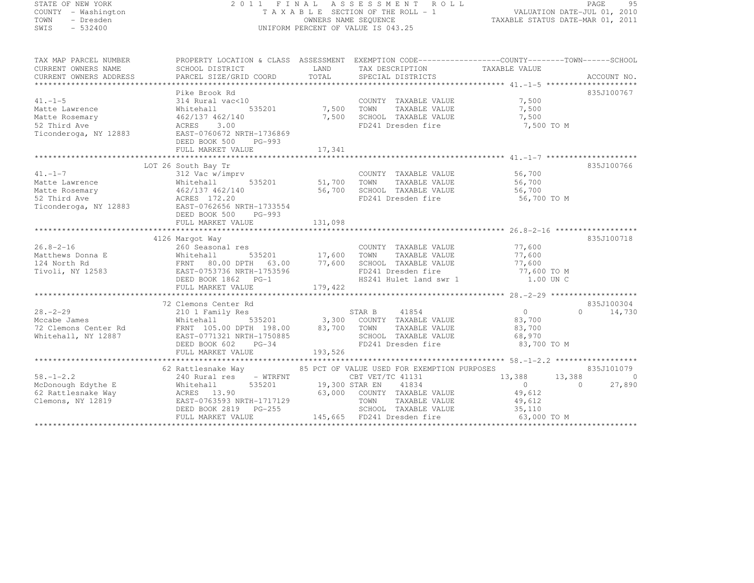SHIP - Washington<br>TOWN - Dresden<br>ERRAND

# STATE OF NEW YORK 2 0 1 1 F I N A L A S S E S S M E N T R O L L PAGE <sup>95</sup> COUNTY - Washington T A X A B L E SECTION OF THE ROLL - 1 VALUATION DATE-JUL 01, 2010 TOWN - Dresden OWNERS NAME SEQUENCE TAXABLE STATUS DATE-MAR 01, 2011<br>- TRESDEN ON THE SEQUENCE TO A SECUENCE TO BE SERVED ON THE SEQUENCE OF SEXUE OF THE STATUS DATE MAR 01, 2011

| TAX MAP PARCEL NUMBER<br>CURRENT OWNERS NAME<br>CONNERS ADDRESS DESCEL SIZE/GRID COORD TOTAL SECCIAL DISTRICTS ACCOUNT NO.<br>TOTAL SECCIAL DISTRICTS ACCOUNT NO. ACCOUNT ACCOUNT NO. A SECTAL DISTRICTS ACCOUNT NO.                                                                                                                                         | PROPERII HOOL<br>SCHOOL DISTRICT<br>ALALLAST                   |         | LAND TAX DESCRIPTION TAXABLE VALUE<br>COORD TOTAL SPECIAL DISTRICTS                                                              | PROPERTY LOCATION & CLASS ASSESSMENT EXEMPTION CODE-----------------COUNTY-------TOWN------SCHOOL |                |
|--------------------------------------------------------------------------------------------------------------------------------------------------------------------------------------------------------------------------------------------------------------------------------------------------------------------------------------------------------------|----------------------------------------------------------------|---------|----------------------------------------------------------------------------------------------------------------------------------|---------------------------------------------------------------------------------------------------|----------------|
|                                                                                                                                                                                                                                                                                                                                                              |                                                                |         |                                                                                                                                  |                                                                                                   |                |
|                                                                                                                                                                                                                                                                                                                                                              | Pike Brook Rd                                                  |         |                                                                                                                                  |                                                                                                   | 835J100767     |
| $41. - 1 - 5$                                                                                                                                                                                                                                                                                                                                                | 314 Rural vac<10                                               |         | COUNTY TAXABLE VALUE 7,500                                                                                                       |                                                                                                   |                |
|                                                                                                                                                                                                                                                                                                                                                              |                                                                |         | Rd<br>vac<10 COUNTY TAXABLE VALUE<br>535201 7,500 TOWN TAXABLE VALUE<br>7,500 SCHOOL TAXABLE VALUE<br>7,500 SCHOOL TAXABLE VALUE | 7,500                                                                                             |                |
|                                                                                                                                                                                                                                                                                                                                                              | 7,500                                                          |         |                                                                                                                                  | 7,500                                                                                             |                |
|                                                                                                                                                                                                                                                                                                                                                              |                                                                |         | FD241 Dresden fire                                                                                                               | 7,500 TO M                                                                                        |                |
| Matte Lawrence<br>Matte Rosemary<br>Matte Rosemary<br>52 Third Ave<br>Ticonderoga, NY 12883<br>Ticonderoga, NY 12883<br>FAST-0760672 NRTH-1736869<br>FAST-0760672 NRTH-1736869<br>FAST-0760672 NRTH-1736869<br>FEED BOOK 500                                                                                                                                 |                                                                |         |                                                                                                                                  |                                                                                                   |                |
|                                                                                                                                                                                                                                                                                                                                                              | DEED BOOK 500 PG-993                                           |         |                                                                                                                                  |                                                                                                   |                |
| ${\small \newline} {\small \newline} {\tiny FULL} {\tiny{ MARKET} \atop 17,341}$ ${\small \newline}$                                                                                                                                                                                                                                                         |                                                                |         |                                                                                                                                  |                                                                                                   |                |
|                                                                                                                                                                                                                                                                                                                                                              |                                                                |         |                                                                                                                                  |                                                                                                   |                |
| 41.-1-7<br>Al.-1-7<br>Matte Lawrence<br>Matte Express of 700<br>Matte Rosemary<br>Matte Rosemary<br>Matte Rosemary<br>462/137 462/140<br>462/137 462/140<br>56,700<br>56,700<br>56,700<br>56,700<br>56,700<br>FD241 Dresden fire<br>FD241 Dresden fire<br>56,7                                                                                               |                                                                |         |                                                                                                                                  |                                                                                                   | 835J100766     |
|                                                                                                                                                                                                                                                                                                                                                              |                                                                |         |                                                                                                                                  |                                                                                                   |                |
|                                                                                                                                                                                                                                                                                                                                                              |                                                                |         |                                                                                                                                  |                                                                                                   |                |
|                                                                                                                                                                                                                                                                                                                                                              |                                                                |         |                                                                                                                                  |                                                                                                   |                |
|                                                                                                                                                                                                                                                                                                                                                              |                                                                |         |                                                                                                                                  | 56,700 TO M                                                                                       |                |
|                                                                                                                                                                                                                                                                                                                                                              |                                                                |         |                                                                                                                                  |                                                                                                   |                |
|                                                                                                                                                                                                                                                                                                                                                              | DEED BOOK 500<br>PG-993                                        |         |                                                                                                                                  |                                                                                                   |                |
|                                                                                                                                                                                                                                                                                                                                                              | FULL MARKET VALUE                                              | 131,098 |                                                                                                                                  |                                                                                                   |                |
|                                                                                                                                                                                                                                                                                                                                                              |                                                                |         |                                                                                                                                  |                                                                                                   |                |
|                                                                                                                                                                                                                                                                                                                                                              |                                                                |         |                                                                                                                                  |                                                                                                   | 835J100718     |
| $26.8 - 2 - 16$                                                                                                                                                                                                                                                                                                                                              | 4126 Margot Way                                                |         | COUNTY TAXABLE VALUE 77,600                                                                                                      |                                                                                                   |                |
| 260 Seasor<br>Whitehall                                                                                                                                                                                                                                                                                                                                      |                                                                |         |                                                                                                                                  |                                                                                                   |                |
| Matthews Donna E                                                                                                                                                                                                                                                                                                                                             |                                                                |         |                                                                                                                                  |                                                                                                   |                |
|                                                                                                                                                                                                                                                                                                                                                              |                                                                |         |                                                                                                                                  |                                                                                                   |                |
| 124 North Rd FRNT 80.00 DPTH 63.00 77,600 SCHOOL TAXABLE VALUE 77,600 77,600 TAXABLE VALUE 77,600 TO M<br>Tivoli, NY 12583 EAST-0753736 NRTH-1753596 FD241 Dresden fire 77,600 TO M<br>DEED BOOK 1862 PG-1 HS241 Hulet land swr 1 1.                                                                                                                         |                                                                |         |                                                                                                                                  |                                                                                                   |                |
|                                                                                                                                                                                                                                                                                                                                                              |                                                                |         |                                                                                                                                  |                                                                                                   |                |
|                                                                                                                                                                                                                                                                                                                                                              |                                                                |         |                                                                                                                                  |                                                                                                   |                |
|                                                                                                                                                                                                                                                                                                                                                              |                                                                |         |                                                                                                                                  |                                                                                                   |                |
|                                                                                                                                                                                                                                                                                                                                                              |                                                                |         |                                                                                                                                  |                                                                                                   | 835J100304     |
|                                                                                                                                                                                                                                                                                                                                                              |                                                                |         |                                                                                                                                  | $\overline{O}$                                                                                    | $0 \t 14,730$  |
|                                                                                                                                                                                                                                                                                                                                                              |                                                                |         |                                                                                                                                  |                                                                                                   |                |
| 38.-2-29<br>2001 Family Res<br>2101 Family Res<br>2101 Family Res<br>2101 Family Res<br>2101 Family Res<br>2101 Family Res<br>2101 Family Res<br>2101 Family Res<br>2101 Family Res<br>2101 Family Res<br>2101 Family Res<br>2101 Family Res<br>2101 Fam                                                                                                     |                                                                |         |                                                                                                                                  |                                                                                                   |                |
|                                                                                                                                                                                                                                                                                                                                                              |                                                                |         |                                                                                                                                  |                                                                                                   |                |
|                                                                                                                                                                                                                                                                                                                                                              |                                                                |         |                                                                                                                                  | FD241 Dresden fire 83,700 TO M                                                                    |                |
|                                                                                                                                                                                                                                                                                                                                                              | FULL MARKET VALUE                                              | 193,526 |                                                                                                                                  |                                                                                                   |                |
|                                                                                                                                                                                                                                                                                                                                                              |                                                                |         |                                                                                                                                  |                                                                                                   |                |
|                                                                                                                                                                                                                                                                                                                                                              | 62 Rattlesnake Way 65 PCT OF VALUE USED FOR EXEMPTION PURPOSES |         |                                                                                                                                  |                                                                                                   | 835J101079     |
|                                                                                                                                                                                                                                                                                                                                                              |                                                                |         |                                                                                                                                  | 13,388 13,388                                                                                     | $\overline{0}$ |
| $\text{A}^{\text{2}}$ $\text{A}^{\text{3}}$ $\text{A}^{\text{4}}$ $\text{B}$ $\text{C}^{\text{4}}$ $\text{C}^{\text{4}}$ $\text{C}^{\text{4}}$ $\text{C}^{\text{4}}$ $\text{C}^{\text{4}}$ $\text{C}^{\text{4}}$ $\text{C}^{\text{4}}$ $\text{C}^{\text{4}}$ $\text{D}^{\text{4}}$ $\text{D}^{\text{4}}$ $\text{D}^{\text{4}}$ $\text{D}^{\text{4}}$ $\text$ |                                                                |         |                                                                                                                                  | $\overline{0}$<br>$\sim$ 0                                                                        | 27,890         |
|                                                                                                                                                                                                                                                                                                                                                              |                                                                |         |                                                                                                                                  |                                                                                                   |                |
|                                                                                                                                                                                                                                                                                                                                                              |                                                                |         |                                                                                                                                  |                                                                                                   |                |
| 62 Rattlesnake Way (1997)<br>Clemons, NY 12819 (1997) EAST-0763593 NRTH-1717129 (1997) (1997) TOWN TAXABLE VALUE<br>DEED BOOK 2819 PG-255 (1998) SCHOOL TAXABLE VALUE (1997) (1997) (1998)                                                                                                                                                                   |                                                                |         |                                                                                                                                  |                                                                                                   |                |
|                                                                                                                                                                                                                                                                                                                                                              | FULL MARKET VALUE                                              |         |                                                                                                                                  | 145,665 FD241 Dresden fire 63,000 TO M                                                            |                |
|                                                                                                                                                                                                                                                                                                                                                              |                                                                |         |                                                                                                                                  |                                                                                                   |                |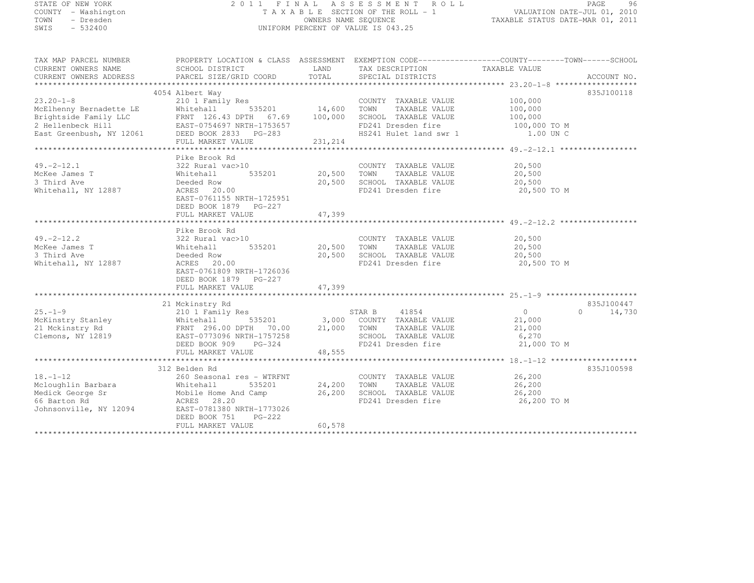|      | STATE OF NEW YORK   | 2011 FINAL ASSESSMENT ROLL         | 96<br>PAGE                       |
|------|---------------------|------------------------------------|----------------------------------|
|      | COUNTY - Washington | TAXABLE SECTION OF THE ROLL - 1    | VALUATION DATE-JUL 01, 2010      |
| TOWN | - Dresden           | OWNERS NAME SEQUENCE               | TAXABLE STATUS DATE-MAR 01, 2011 |
| SWIS | $-532400$           | UNIFORM PERCENT OF VALUE IS 043.25 |                                  |
|      |                     |                                    |                                  |

| TAX MAP PARCEL NUMBER                                                                                                                                                                                                                                                                                                                                                                                    | PROPERTY LOCATION & CLASS ASSESSMENT EXEMPTION CODE-----------------COUNTY-------TOWN------SCHOOL                             |                    |                                                                                                   |        |               |
|----------------------------------------------------------------------------------------------------------------------------------------------------------------------------------------------------------------------------------------------------------------------------------------------------------------------------------------------------------------------------------------------------------|-------------------------------------------------------------------------------------------------------------------------------|--------------------|---------------------------------------------------------------------------------------------------|--------|---------------|
| CURRENT OWNERS NAME                                                                                                                                                                                                                                                                                                                                                                                      | SCHOOL DISTRICT THE LAND TAX DESCRIPTION TAXABLE VALUE                                                                        |                    |                                                                                                   |        |               |
| CURRENT OWNERS ADDRESS                                                                                                                                                                                                                                                                                                                                                                                   |                                                                                                                               |                    |                                                                                                   |        |               |
|                                                                                                                                                                                                                                                                                                                                                                                                          |                                                                                                                               |                    |                                                                                                   |        |               |
| 4054 Albert Way<br>23.20-1-8 210 1 Family Res COUNTY TAXABLE VALUE 100,000<br>McElhenny Bernadette LE Whitehall 535201 14,600 TOWN TAXABLE VALUE 100,000<br>Brightside Family LLC FRNT 126.43 DPTH 67.69 100,000 SCHOOL TAXABLE VALUE 1                                                                                                                                                                  |                                                                                                                               |                    |                                                                                                   |        | 835J100118    |
|                                                                                                                                                                                                                                                                                                                                                                                                          |                                                                                                                               |                    |                                                                                                   |        |               |
|                                                                                                                                                                                                                                                                                                                                                                                                          |                                                                                                                               |                    |                                                                                                   |        |               |
|                                                                                                                                                                                                                                                                                                                                                                                                          |                                                                                                                               |                    |                                                                                                   |        |               |
|                                                                                                                                                                                                                                                                                                                                                                                                          |                                                                                                                               |                    |                                                                                                   |        |               |
|                                                                                                                                                                                                                                                                                                                                                                                                          |                                                                                                                               |                    |                                                                                                   |        |               |
| Example Family LLC EXTERNE 126.43 DPTH 67.69 100,000 SCHOOL TAXABLE VALUE<br>2 Hellenbeck Hill EAST-0754697 NRTH-1753657 FD241 Dresden fire 100,000 TO M<br>East Greenbush, NY 12061 DEED BOOK 2833 PG-283 HS241 Hulet land swr 1                                                                                                                                                                        |                                                                                                                               |                    |                                                                                                   |        |               |
|                                                                                                                                                                                                                                                                                                                                                                                                          |                                                                                                                               |                    |                                                                                                   |        |               |
| $49. -2 - 12.1$                                                                                                                                                                                                                                                                                                                                                                                          | Pike Brook Rd                                                                                                                 |                    | COUNTY TAXABLE VALUE                                                                              | 20,500 |               |
|                                                                                                                                                                                                                                                                                                                                                                                                          | 322 Rural vac>10 COUNT<br>Whitehall 535201 20,500 TOWN                                                                        |                    | TAXABLE VALUE 20,500                                                                              |        |               |
| McKee James T<br>3 Third Ave<br>3 Third Ave                                                                                                                                                                                                                                                                                                                                                              |                                                                                                                               |                    |                                                                                                   |        |               |
| Whitehall, NY 12887                                                                                                                                                                                                                                                                                                                                                                                      |                                                                                                                               |                    |                                                                                                   |        |               |
|                                                                                                                                                                                                                                                                                                                                                                                                          | EAST-0761155 NRTH-1725951                                                                                                     |                    |                                                                                                   |        |               |
|                                                                                                                                                                                                                                                                                                                                                                                                          |                                                                                                                               |                    |                                                                                                   |        |               |
|                                                                                                                                                                                                                                                                                                                                                                                                          | DEED BOOK 1879    PG-227<br>FULL MARKET VALUE                                                                                 |                    |                                                                                                   |        |               |
|                                                                                                                                                                                                                                                                                                                                                                                                          |                                                                                                                               | 47,399             |                                                                                                   |        |               |
|                                                                                                                                                                                                                                                                                                                                                                                                          | Pike Brook Rd                                                                                                                 |                    |                                                                                                   |        |               |
| $49. -2 - 12.2$                                                                                                                                                                                                                                                                                                                                                                                          |                                                                                                                               |                    |                                                                                                   |        |               |
| McKee James T                                                                                                                                                                                                                                                                                                                                                                                            |                                                                                                                               |                    | COUNTY TAXABLE VALUE 20,500                                                                       | 20,500 |               |
| 3 Third Ave                                                                                                                                                                                                                                                                                                                                                                                              | 322 Rural vac>10 COUNTY TAXABLE VALUE<br>Whitehall 535201 20,500 TOWN TAXABLE VALUE<br>Deeded Row 20,500 SCHOOL TAXABLE VALUE |                    |                                                                                                   |        |               |
| Whitehall, NY 12887                                                                                                                                                                                                                                                                                                                                                                                      | Deeded Row<br>ACRES 20.00                                                                                                     |                    | 20,500 SCHOOL TAXABLE VALUE 20,500<br>FD241 Dresden fire 20,500<br>FD241 Dresden fire 20,500 TO M |        |               |
|                                                                                                                                                                                                                                                                                                                                                                                                          | EAST-0761809 NRTH-1726036                                                                                                     |                    |                                                                                                   |        |               |
|                                                                                                                                                                                                                                                                                                                                                                                                          | DEED BOOK 1879 PG-227                                                                                                         |                    |                                                                                                   |        |               |
|                                                                                                                                                                                                                                                                                                                                                                                                          |                                                                                                                               |                    |                                                                                                   |        |               |
|                                                                                                                                                                                                                                                                                                                                                                                                          |                                                                                                                               |                    |                                                                                                   |        |               |
|                                                                                                                                                                                                                                                                                                                                                                                                          | 21 Mckinstry Rd                                                                                                               |                    |                                                                                                   |        | 835J100447    |
| $25. - 1 - 9$                                                                                                                                                                                                                                                                                                                                                                                            |                                                                                                                               |                    |                                                                                                   |        | $0 \t 14,730$ |
|                                                                                                                                                                                                                                                                                                                                                                                                          |                                                                                                                               |                    |                                                                                                   |        |               |
|                                                                                                                                                                                                                                                                                                                                                                                                          |                                                                                                                               |                    |                                                                                                   |        |               |
|                                                                                                                                                                                                                                                                                                                                                                                                          |                                                                                                                               |                    |                                                                                                   |        |               |
|                                                                                                                                                                                                                                                                                                                                                                                                          |                                                                                                                               |                    |                                                                                                   |        |               |
|                                                                                                                                                                                                                                                                                                                                                                                                          |                                                                                                                               |                    |                                                                                                   |        |               |
| $\begin{array}{lllllllllllllll} \text{Z5.}-1-9 & \text{Z10 I family } \text{KBS} & \text{SIAK B} & 41\,004 & \text{MAE} & 0 & 0 & 14,100 \\ \text{McKinstry Stanley} & \text{Whitehall} & \text{S35201} & 3,000 & \text{COUNTY TAXABLE VALUE} & 21,000 & 21 \\ \text{21 Mckinstry Rd} & \text{FRNT } 296.00 \text{ DPTH} & 70.00 & 21,000 & \text{TONN TAXABLE VALUE} & 21,000 \\ \text{Clemons, NY 128$ |                                                                                                                               |                    |                                                                                                   |        |               |
|                                                                                                                                                                                                                                                                                                                                                                                                          | 312 Belden Rd                                                                                                                 |                    |                                                                                                   |        | 835J100598    |
| $18. - 1 - 12$                                                                                                                                                                                                                                                                                                                                                                                           | 260 Seasonal res - WTRFNT                                                                                                     |                    | COUNTY TAXABLE VALUE 26,200                                                                       |        |               |
|                                                                                                                                                                                                                                                                                                                                                                                                          |                                                                                                                               | 535201 24,200 TOWN |                                                                                                   |        |               |
|                                                                                                                                                                                                                                                                                                                                                                                                          |                                                                                                                               |                    |                                                                                                   |        |               |
|                                                                                                                                                                                                                                                                                                                                                                                                          |                                                                                                                               |                    | 26,200 SCHOOL TAXABLE VALUE 26,200<br>FD241 Dresden fire 26,200 TO M                              |        |               |
| Meloughlin Barbara<br>Meloughlin Barbara<br>Medick George Sr<br>Medick George Sr<br>Medick George Sr<br>Medick George Sr<br>Medick ACRES<br>Medick ACRES<br>28.20<br>Medick ACRES<br>28.20<br>Medick ACRES<br>28.20<br>MEDICAL BAST-0781380<br>NRTH-177302                                                                                                                                               |                                                                                                                               |                    |                                                                                                   |        |               |
|                                                                                                                                                                                                                                                                                                                                                                                                          | DEED BOOK 751 PG-222                                                                                                          |                    |                                                                                                   |        |               |
|                                                                                                                                                                                                                                                                                                                                                                                                          | FULL MARKET VALUE                                                                                                             | 60,578             |                                                                                                   |        |               |
|                                                                                                                                                                                                                                                                                                                                                                                                          |                                                                                                                               |                    |                                                                                                   |        |               |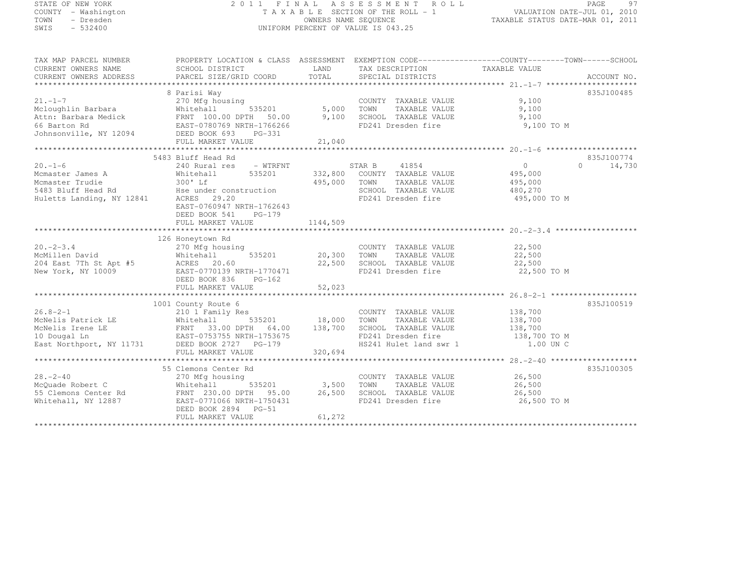# STATE OF NEW YORK 2 0 1 1 F I N A L A S S E S S M E N T R O L L PAGE <sup>97</sup> COUNTY - Washington T A X A B L E SECTION OF THE ROLL - 1 VALUATION DATE-JUL 01, 2010 TOWN - Dresden OWNERS NAME SEQUENCE TAXABLE STATUS DATE-MAR 01, 2011<br>- TRESDEN ON THE SEQUENCE TO A SECUENCE TO BE SERVED ON THE SEQUENCE OF SEXUE OF THE STATUS DATE MAR 01, 2011 SWIS - 532400 UNIFORM PERCENT OF VALUE IS 043.25

| TAX MAP PARCEL NUMBER<br>CURRENT OWNERS NAME<br>CURRENT OWNERS ADDRESS                                                                                                                                                                                                       | PROPERTY LOCATION & CLASS ASSESSMENT EXEMPTION CODE----------------COUNTY-------TOWN------SCHOOL<br>SCHOOL DISTRICT |                   | LAND TAX DESCRIPTION TAXABLE VALUE                                  |                            |            |
|------------------------------------------------------------------------------------------------------------------------------------------------------------------------------------------------------------------------------------------------------------------------------|---------------------------------------------------------------------------------------------------------------------|-------------------|---------------------------------------------------------------------|----------------------------|------------|
|                                                                                                                                                                                                                                                                              |                                                                                                                     |                   |                                                                     |                            |            |
|                                                                                                                                                                                                                                                                              | 8 Parisi Way                                                                                                        |                   |                                                                     |                            | 835J100485 |
|                                                                                                                                                                                                                                                                              |                                                                                                                     |                   | COUNTY TAXABLE VALUE                                                | 9,100                      |            |
|                                                                                                                                                                                                                                                                              |                                                                                                                     |                   | TOWN      TAXABLE VALUE<br>SCHOOL   TAXABLE VALUE                   | 9,100                      |            |
|                                                                                                                                                                                                                                                                              |                                                                                                                     |                   |                                                                     | 9,100                      |            |
|                                                                                                                                                                                                                                                                              |                                                                                                                     |                   | FD241 Dresden fire                                                  | 9,100 TO M                 |            |
| 21.-1-7<br>Mcloughlin Barbara<br>Mcloughlin Barbara<br>Mcloughlin Barbara<br>Mitehall 535201 5,000<br>Attn: Barbara Medick<br>FRNT 100.00 DPTH 50.00 9,100<br>66 Barton Rd EAST-0780769 NRTH-1766266<br>Johnsonville, NY 12094<br>DEED BOOK 693                              |                                                                                                                     |                   |                                                                     |                            |            |
|                                                                                                                                                                                                                                                                              |                                                                                                                     |                   |                                                                     |                            |            |
|                                                                                                                                                                                                                                                                              |                                                                                                                     |                   |                                                                     |                            |            |
|                                                                                                                                                                                                                                                                              | 5483 Bluff Head Rd                                                                                                  |                   |                                                                     |                            | 835J100774 |
| $20. -1 - 6$                                                                                                                                                                                                                                                                 | 240 Rural res - WTRFNT                                                                                              |                   | STAR B<br>41854                                                     | $\overline{0}$<br>$\Omega$ | 14,730     |
| Mcmaster James A<br>Mcmaster Trudie                                                                                                                                                                                                                                          | 535201<br>Whitehall                                                                                                 |                   | 332,800 COUNTY TAXABLE VALUE                                        | 495,000<br>495,000         |            |
|                                                                                                                                                                                                                                                                              | 300' Lf                                                                                                             | 495,000 TOWN      | TAXABLE VALUE                                                       |                            |            |
|                                                                                                                                                                                                                                                                              |                                                                                                                     |                   | SCHOOL TAXABLE VALUE 480,270                                        |                            |            |
| 5483 Bluff Head Rd<br>Huletts Landing, NY 12841 ACRES 29.20                                                                                                                                                                                                                  |                                                                                                                     |                   | FD241 Dresden fire 495,000 TO M                                     |                            |            |
|                                                                                                                                                                                                                                                                              | EAST-0760947 NRTH-1762643                                                                                           |                   |                                                                     |                            |            |
|                                                                                                                                                                                                                                                                              | DEED BOOK 541<br>PG-179                                                                                             |                   |                                                                     |                            |            |
|                                                                                                                                                                                                                                                                              | FULL MARKET VALUE                                                                                                   | 1144,509          |                                                                     |                            |            |
|                                                                                                                                                                                                                                                                              |                                                                                                                     |                   |                                                                     |                            |            |
|                                                                                                                                                                                                                                                                              | 126 Honeytown Rd                                                                                                    |                   |                                                                     |                            |            |
| $20. -2 - 3.4$                                                                                                                                                                                                                                                               | noneytown kd<br>270 Mfg housing                                                                                     |                   | COUNTY TAXABLE VALUE 22,500                                         |                            |            |
|                                                                                                                                                                                                                                                                              |                                                                                                                     |                   |                                                                     |                            |            |
|                                                                                                                                                                                                                                                                              |                                                                                                                     |                   |                                                                     |                            |            |
| 20.27,500<br>20.300 TOWN TAXABLE VALUE<br>22,500<br>22,500<br>New York, NY 10009<br>22,500<br>22,500<br>22,500<br>22,500<br>22,500<br>22,500<br>22,500<br>22,500<br>22,500<br>22,500<br>22,500<br>22,500<br>22,500<br>22,500<br>22,500<br>22,500<br>22,500<br>22,500<br>22,5 |                                                                                                                     |                   |                                                                     | 22,500 TO M                |            |
|                                                                                                                                                                                                                                                                              | DEED BOOK 836<br>$PG-162$                                                                                           |                   |                                                                     |                            |            |
|                                                                                                                                                                                                                                                                              |                                                                                                                     |                   |                                                                     |                            |            |
|                                                                                                                                                                                                                                                                              |                                                                                                                     |                   |                                                                     |                            |            |
|                                                                                                                                                                                                                                                                              | 1001 County Route 6                                                                                                 |                   |                                                                     |                            | 835J100519 |
|                                                                                                                                                                                                                                                                              |                                                                                                                     |                   | COUNTY TAXABLE VALUE 138,700                                        |                            |            |
|                                                                                                                                                                                                                                                                              |                                                                                                                     |                   | TAXABLE VALUE 138,700<br>TOWN                                       |                            |            |
| 16.8-2-1<br>McNelis Patrick LE Monitohall 535201<br>McNelis Irene LE FRNT 33.00 DPTH 64.00<br>10 Dougal Ln EAST-0753755 NRTH-1753675                                                                                                                                         |                                                                                                                     | 138,700           |                                                                     |                            |            |
|                                                                                                                                                                                                                                                                              |                                                                                                                     |                   | SCHOOL TAXABLE VALUE 138,700<br>FD241 Dresden fire 138,700 TO M     |                            |            |
| East Northport, NY 11731 DEED BOOK 2727 PG-179                                                                                                                                                                                                                               |                                                                                                                     |                   | FD241 Dresden fire 138,700 TO M<br>HS241 Hulet land swr 1 1.00 UN C |                            |            |
|                                                                                                                                                                                                                                                                              |                                                                                                                     |                   |                                                                     |                            |            |
|                                                                                                                                                                                                                                                                              |                                                                                                                     |                   |                                                                     |                            |            |
|                                                                                                                                                                                                                                                                              | 55 Clemons Center Rd                                                                                                |                   |                                                                     |                            | 835J100305 |
| $28 - 2 - 40$                                                                                                                                                                                                                                                                | 270 Mfg housing                                                                                                     |                   |                                                                     |                            |            |
| z z v mrg no<br>Whitehall<br>McQuade Robert C                                                                                                                                                                                                                                |                                                                                                                     | 535201 3,500 TOWN | COUNTY TAXABLE VALUE<br>TOWN TAXABLE VALUE 26,500                   |                            |            |
|                                                                                                                                                                                                                                                                              |                                                                                                                     |                   | SCHOOL TAXABLE VALUE 26,500                                         |                            |            |
| 55 Clemons Center Rd<br>FRNT 230.00 DPTH 95.00 26,500<br>Whitehall, NY 12887 EAST-0771066 NRTH-1750431                                                                                                                                                                       |                                                                                                                     |                   | FD241 Dresden fire                                                  | 26,500 TO M                |            |
|                                                                                                                                                                                                                                                                              | DEED BOOK 2894 PG-51                                                                                                |                   |                                                                     |                            |            |
|                                                                                                                                                                                                                                                                              | FULL MARKET VALUE                                                                                                   | 61,272            |                                                                     |                            |            |
|                                                                                                                                                                                                                                                                              |                                                                                                                     |                   |                                                                     |                            |            |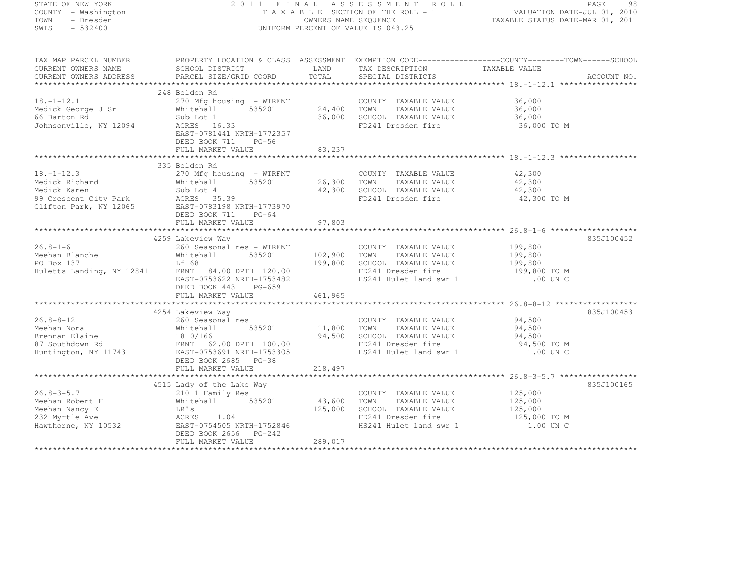| STATE OF NEW YORK                  |                                                     |                      | 2011 FINAL ASSESSMENT ROLL         |                                                                                                 |
|------------------------------------|-----------------------------------------------------|----------------------|------------------------------------|-------------------------------------------------------------------------------------------------|
| COUNTY - Washington                |                                                     |                      | TAXABLE SECTION OF THE ROLL - 1    | PAGE 98<br>VALUATION DATE-JUL 01, 2010<br>TAXABLE STATUS DATE-MAR 01, 2011                      |
| TOWN<br>- Dresden                  |                                                     |                      | OWNERS NAME SEQUENCE               |                                                                                                 |
| $-532400$<br>SWIS                  |                                                     |                      | UNIFORM PERCENT OF VALUE IS 043.25 |                                                                                                 |
|                                    |                                                     |                      |                                    |                                                                                                 |
| TAX MAP PARCEL NUMBER              |                                                     |                      |                                    | PROPERTY LOCATION & CLASS ASSESSMENT EXEMPTION CODE----------------COUNTY-------TOWN-----SCHOOL |
| CURRENT OWNERS NAME                | SCHOOL DISTRICT                                     | LAND                 | TAX DESCRIPTION TAXABLE VALUE      |                                                                                                 |
| CURRENT OWNERS ADDRESS             | PARCEL SIZE/GRID COORD                              | TOTAL                | SPECIAL DISTRICTS                  | ACCOUNT NO.                                                                                     |
|                                    |                                                     |                      |                                    |                                                                                                 |
|                                    | 248 Belden Rd                                       |                      |                                    |                                                                                                 |
| $18, -1 - 12, 1$                   | 270 Mfg housing - WTRFNT                            |                      | COUNTY TAXABLE VALUE               | 36,000                                                                                          |
| Medick George J Sr<br>66 Barton Rd | 535201<br>Whitehall                                 | 24,400               | TOWN<br>TAXABLE VALUE              | 36,000                                                                                          |
|                                    | Sub Lot 1                                           | 36,000               | SCHOOL TAXABLE VALUE               | 36,000                                                                                          |
| Johnsonville, NY 12094             | ACRES 16.33                                         |                      | FD241 Dresden fire                 | 36,000 TO M                                                                                     |
|                                    | EAST-0781441 NRTH-1772357                           |                      |                                    |                                                                                                 |
|                                    | DEED BOOK 711<br>PG-56                              |                      |                                    |                                                                                                 |
|                                    | FULL MARKET VALUE                                   | 83,237               |                                    |                                                                                                 |
|                                    |                                                     |                      |                                    |                                                                                                 |
|                                    | 335 Belden Rd                                       |                      |                                    |                                                                                                 |
| $18. - 1 - 12.3$                   | 270 Mfg housing - WTRFNT                            |                      | COUNTY TAXABLE VALUE               | 42,300                                                                                          |
| Medick Richard                     | 535201<br>Whitehall                                 | 26,300               | TAXABLE VALUE<br>TOWN              | 42,300                                                                                          |
| Medick Karen                       | Sub Lot 4                                           | 42,300               | SCHOOL TAXABLE VALUE               | 42,300                                                                                          |
| 99 Crescent City Park              | ACRES 35.39                                         |                      | FD241 Dresden fire                 | 42,300 TO M                                                                                     |
|                                    | Clifton Park, NY 12065 EAST-0783198 NRTH-1773970    |                      |                                    |                                                                                                 |
|                                    | DEED BOOK 711<br>$PG-64$                            |                      |                                    |                                                                                                 |
|                                    | FULL MARKET VALUE                                   | 97,803               |                                    |                                                                                                 |
|                                    |                                                     |                      |                                    |                                                                                                 |
|                                    | 4259 Lakeview Way                                   |                      |                                    | 835J100452                                                                                      |
| $26.8 - 1 - 6$                     | 260 Seasonal res - WTRFNT                           |                      | COUNTY TAXABLE VALUE               | 199,800                                                                                         |
| Meehan Blanche<br>PO Box 137       | 535201<br>Whitehall                                 | 102,900              | TOWN<br>TAXABLE VALUE              | 199,800                                                                                         |
|                                    | Lf 68                                               | 199,800              | SCHOOL TAXABLE VALUE               | 199,800                                                                                         |
|                                    | Huletts Landing, NY 12841 FRNT 84.00 DPTH 120.00    |                      | FD241 Dresden fire                 | 199,800 TO M                                                                                    |
|                                    | EAST-0753622 NRTH-1753482                           |                      | HS241 Hulet land swr 1             | 1.00 UN C                                                                                       |
|                                    | DEED BOOK 443 PG-659                                |                      |                                    |                                                                                                 |
|                                    | FULL MARKET VALUE                                   | 461,965              |                                    |                                                                                                 |
|                                    |                                                     |                      |                                    |                                                                                                 |
|                                    | 4254 Lakeview Way                                   |                      |                                    | 835J100453                                                                                      |
| $26.8 - 8 - 12$                    | 260 Seasonal res                                    |                      | COUNTY TAXABLE VALUE               | 94,500                                                                                          |
| Meehan Nora                        | 535201<br>Whitehall                                 | 11,800               | TAXABLE VALUE<br>TOWN              | 94,500                                                                                          |
| Brennan Elaine                     | 1810/166                                            | 94,500               | SCHOOL TAXABLE VALUE               | 94,500                                                                                          |
| 87 Southdown Rd                    | FRNT 62.00 DPTH 100.00<br>EAST-0753691 NRTH-1753305 |                      | FD241 Dresden fire                 | 94,500 TO M                                                                                     |
| Huntington, NY 11743               |                                                     |                      | HS241 Hulet land swr 1             | 1.00 UN C                                                                                       |
|                                    | DEED BOOK 2685 PG-38                                |                      |                                    |                                                                                                 |
|                                    | FULL MARKET VALUE                                   | 218,497              |                                    |                                                                                                 |
|                                    |                                                     |                      |                                    |                                                                                                 |
|                                    | 4515 Lady of the Lake Way                           |                      |                                    | 835J100165                                                                                      |
| $26.8 - 3 - 5.7$                   |                                                     |                      | COUNTY TAXABLE VALUE               | 125,000                                                                                         |
| Meehan Robert F                    | 210 1 Family Res<br>Whitehall 535201                | 43,600               | TOWN<br>TAXABLE VALUE              | 125,000                                                                                         |
| Meehan Nancy E                     | LR's                                                | 125,000              | SCHOOL TAXABLE VALUE               | 125,000                                                                                         |
| 232 Myrtle Ave                     | ----<br>ACRES 1.04<br>EAST-0754505 NRTH-1752846     |                      | FD241 Dresden fire                 | 125,000 TO M                                                                                    |
| Hawthorne, NY 10532                |                                                     |                      | HS241 Hulet land swr 1             | 1.00 UN C                                                                                       |
|                                    | DEED BOOK 2656<br>PG-242                            |                      |                                    |                                                                                                 |
|                                    | FULL MARKET VALUE                                   | 289,017              |                                    |                                                                                                 |
|                                    |                                                     | ******************** |                                    |                                                                                                 |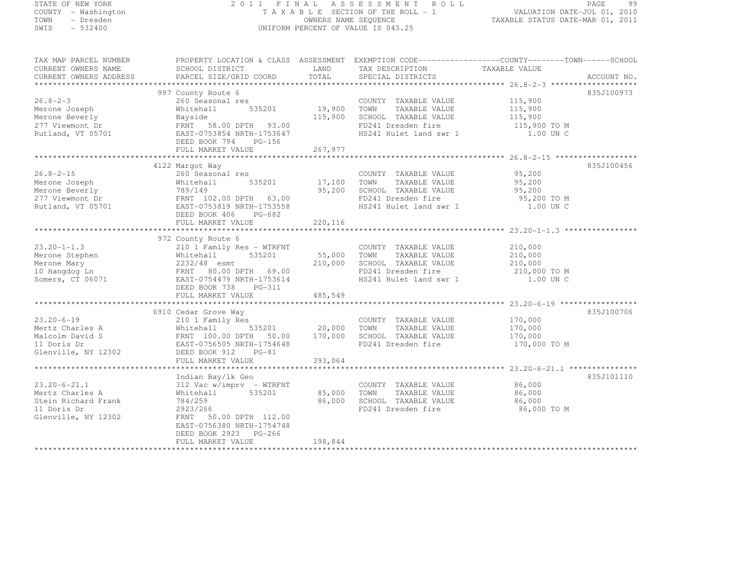# STATE OF NEW YORK 2 0 1 1 F I N A L A S S E S S M E N T R O L L PAGE <sup>99</sup> COUNTY - Washington T A X A B L E SECTION OF THE ROLL - 1 VALUATION DATE-JUL 01, 2010 TOWN - Dresden OWNERS NAME SEQUENCE TAXABLE STATUS DATE-MAR 01, 2011<br>- TRESDEN ON THE SEQUENCE TO A SECUENCE TO BE SERVED ON THE SEQUENCE OF SEXUE OF THE STATUS DATE MAR 01, 2011 SWIS - 532400 UNIFORM PERCENT OF VALUE IS 043.25

| TAX MAP PARCEL NUMBER                                                                                                                                                                                                                  | PROPERTY LOCATION & CLASS ASSESSMENT EXEMPTION CODE----------------COUNTY-------TOWN------SCHOOL |         |                                                                                               |                  |             |
|----------------------------------------------------------------------------------------------------------------------------------------------------------------------------------------------------------------------------------------|--------------------------------------------------------------------------------------------------|---------|-----------------------------------------------------------------------------------------------|------------------|-------------|
| CURRENT OWNERS NAME                                                                                                                                                                                                                    | SCHOOL DISTRICT TAND TAX DESCRIPTION                                                             |         |                                                                                               | TAXABLE VALUE    |             |
| CURRENT OWNERS ADDRESS                                                                                                                                                                                                                 | PARCEL SIZE/GRID COORD TOTAL                                                                     |         | SPECIAL DISTRICTS                                                                             |                  | ACCOUNT NO. |
|                                                                                                                                                                                                                                        |                                                                                                  |         |                                                                                               |                  |             |
|                                                                                                                                                                                                                                        | 997 County Route 6                                                                               |         |                                                                                               |                  | 835J100973  |
| $26.8 - 2 - 3$                                                                                                                                                                                                                         |                                                                                                  |         |                                                                                               |                  |             |
|                                                                                                                                                                                                                                        |                                                                                                  |         |                                                                                               |                  |             |
|                                                                                                                                                                                                                                        |                                                                                                  |         |                                                                                               |                  |             |
|                                                                                                                                                                                                                                        |                                                                                                  |         | FD241 Dresden fire 115,900 TO M<br>HS241 Hulet land swr 1 1.00 UN C<br>HS241 Hulet land swr 1 |                  |             |
| Nerone Joseph Mitehall 535201 19,900 TOWN IAAADLE VALUE<br>Merone Beverly Bayside 115,900 SCHOOL TAXABLE VALUE<br>277 Viewmont Dr FRNT 58.00 DPTH 93.00 FD241 Dresden fire<br>Rutland, VT 05701 EAST-0753854 NRTH-1753647 HS241 Hule   |                                                                                                  |         |                                                                                               |                  |             |
|                                                                                                                                                                                                                                        | FULL MARKET VALUE                                                                                | 267,977 |                                                                                               |                  |             |
|                                                                                                                                                                                                                                        |                                                                                                  |         |                                                                                               |                  |             |
|                                                                                                                                                                                                                                        | 4122 Margot Way                                                                                  |         |                                                                                               |                  | 835J100456  |
| $26.8 - 2 - 15$                                                                                                                                                                                                                        | 260 Seasonal res                                                                                 |         | COUNTY TAXABLE VALUE 95,200                                                                   |                  |             |
|                                                                                                                                                                                                                                        |                                                                                                  |         |                                                                                               |                  |             |
|                                                                                                                                                                                                                                        |                                                                                                  |         |                                                                                               |                  |             |
|                                                                                                                                                                                                                                        |                                                                                                  |         |                                                                                               |                  |             |
|                                                                                                                                                                                                                                        |                                                                                                  |         |                                                                                               |                  |             |
|                                                                                                                                                                                                                                        | DEED BOOK 406<br>PG-682                                                                          |         |                                                                                               |                  |             |
|                                                                                                                                                                                                                                        | FULL MARKET VALUE                                                                                | 220,116 |                                                                                               |                  |             |
|                                                                                                                                                                                                                                        |                                                                                                  |         |                                                                                               |                  |             |
|                                                                                                                                                                                                                                        | 972 County Route 6                                                                               |         |                                                                                               |                  |             |
|                                                                                                                                                                                                                                        |                                                                                                  |         |                                                                                               |                  |             |
|                                                                                                                                                                                                                                        |                                                                                                  |         |                                                                                               |                  |             |
|                                                                                                                                                                                                                                        |                                                                                                  |         |                                                                                               |                  |             |
|                                                                                                                                                                                                                                        |                                                                                                  |         | FD241 Dresden fire 210,000 TO M<br>HS241 Hulet land swr 1 1.00 UN C                           |                  |             |
|                                                                                                                                                                                                                                        |                                                                                                  |         |                                                                                               |                  |             |
|                                                                                                                                                                                                                                        | DEED BOOK 738 PG-311                                                                             |         |                                                                                               |                  |             |
|                                                                                                                                                                                                                                        | FULL MARKET VALUE                                                                                | 485,549 |                                                                                               |                  |             |
|                                                                                                                                                                                                                                        |                                                                                                  |         |                                                                                               |                  |             |
|                                                                                                                                                                                                                                        |                                                                                                  |         |                                                                                               |                  | 835J100706  |
|                                                                                                                                                                                                                                        |                                                                                                  |         |                                                                                               |                  |             |
|                                                                                                                                                                                                                                        |                                                                                                  |         |                                                                                               |                  |             |
|                                                                                                                                                                                                                                        |                                                                                                  |         |                                                                                               |                  |             |
|                                                                                                                                                                                                                                        |                                                                                                  |         |                                                                                               |                  |             |
| 23.20-6-19<br>Mertz Charles A 210 1 Family Res<br>Mertz Charles A Whitehall 535201 20,000 TOWN TAXABLE VALUE 170,000<br>Malcolm David S FRNT 100.00 DPTH 50.00 170,000 SCHOOL TAXABLE VALUE 170,000<br>11 Doris Dr EAST-0756505 NRTH-1 | FULL MARKET VALUE                                                                                | 393,064 |                                                                                               |                  |             |
|                                                                                                                                                                                                                                        |                                                                                                  |         |                                                                                               |                  |             |
|                                                                                                                                                                                                                                        | Indian Bay/lk Geo                                                                                |         |                                                                                               |                  | 835J101110  |
| $23.20 - 6 - 21.1$                                                                                                                                                                                                                     | 312 Vac w/imprv - WTRFNT                                                                         |         | COUNTY TAXABLE VALUE 86,000                                                                   |                  |             |
| Mertz Charles A                                                                                                                                                                                                                        | Whitehall 535201                                                                                 |         | 85,000 TOWN TAXABLE VALUE                                                                     |                  |             |
| Stein Richard Frank                                                                                                                                                                                                                    | 784/259                                                                                          | 86,000  | SCHOOL TAXABLE VALUE                                                                          | 86,000<br>86,000 |             |
| 11 Doris Dr                                                                                                                                                                                                                            | 2923/266                                                                                         |         | FD241 Dresden fire 86,000 TO M                                                                |                  |             |
| Glenville, NY 12302                                                                                                                                                                                                                    | FRNT 50.00 DPTH 112.00                                                                           |         |                                                                                               |                  |             |
|                                                                                                                                                                                                                                        | EAST-0756380 NRTH-1754748                                                                        |         |                                                                                               |                  |             |
|                                                                                                                                                                                                                                        | DEED BOOK 2923 PG-266                                                                            |         |                                                                                               |                  |             |
|                                                                                                                                                                                                                                        | FULL MARKET VALUE                                                                                | 198,844 |                                                                                               |                  |             |
|                                                                                                                                                                                                                                        |                                                                                                  |         |                                                                                               |                  |             |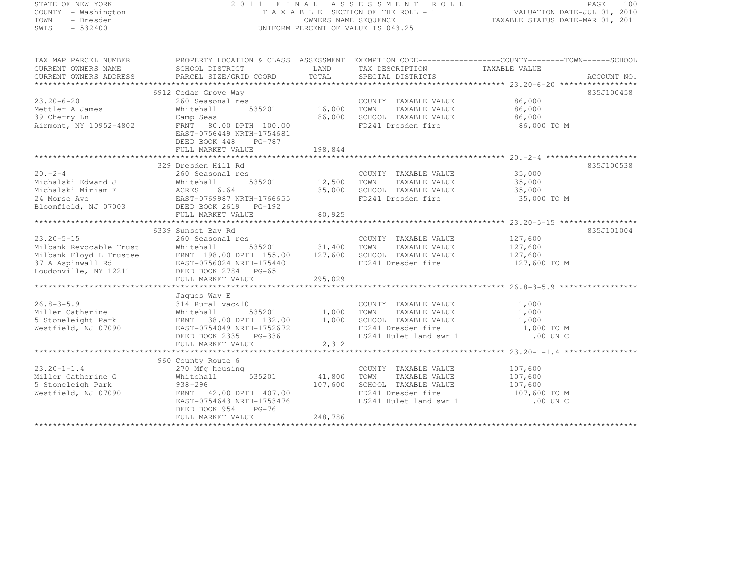# STATE OF NEW YORK 2 0 1 1 F I N A L A S S E S S M E N T R O L L PAGE <sup>100</sup> COUNTY - Washington T A X A B L E SECTION OF THE ROLL - 1 VALUATION DATE-JUL 01, 2010 TOWN - Dresden OWNERS NAME SEQUENCE TAXABLE STATUS DATE-MAR 01, 2011<br>- TRESDEN ON THE SEQUENCE TO A SECUENCE TO A SECUENCE THE SEQUENCE OF THE SECUENCE OF THE SECUENCE OF THE SECOND SWIS - 532400 UNIFORM PERCENT OF VALUE IS 043.25

| LAND TAX DESCRIPTION TAXABLE VALUE<br>CURRENT OWNERS NAME<br>SCHOOL DISTRICT<br>-CURRENT OWNERS ADDRESS PARCEL SIZE/GRID COORD TOTAL SPECIAL DISTRICTS (2000 ACCOUNT NO ACCOUNT NO ACCOUNT NO ACCOUNT NO ACCOUNT NO ACCOUNT NO A SERVER ALL SERVER AND RESERVE AND A SERVER SERVER AND RESERVE AND HER SERVER<br>CURRENT OWNERS ADDRESS<br>6912 Cedar Grove Way<br>835J100458<br>COUNTY TAXABLE VALUE 86,000<br>TOWN TAXABLE VALUE 86.000<br>260 Seasonal res<br>Mettler A James<br>Whitehall<br>TAXABLE VALUE<br>86,000<br>86,000 SCHOOL TAXABLE VALUE 86,000<br>Camp Seas<br>Airmont, NY 10952-4802<br>FRNT 80.00 DPTH 100.00<br>FD241 Dresden fire 86,000 TO M<br>EAST-0756449 NRTH-1754681<br>DEED BOOK 448 PG-787<br>329 Dresden Hill Rd<br>835J100538<br>COUNTY TAXABLE VALUE 35,000<br>s<br>535201 12,500 TOWN TAXABLE VALUE<br>$20 - 2 - 4$<br>260 Seasonal res<br>Michalski Edward J Whitehall<br>35,000<br>35,000<br>FD241 Dresden fire<br>835J101004<br>$\begin{tabular}{lllllllllllllllllllll} & & & & & & & 6339\!\!\! & \texttt{Sanset Bay Rd} & & & & & & & \texttt{COUNTY} \\ & & & & & 260\!\!\! & \texttt{Seasonal res} & & & & & \texttt{COUNTY} \\ \texttt{Milbank Revocable Trust} & & \texttt{Whitehall} & & 535201 & & 31,400 & \texttt{TOWN} \\ \texttt{Milbank Floyd L Trustee} & & \texttt{FRNT} & 198.00\!\!\! & \texttt{DPFH} & 155.00 & 127,600 & \texttt{SCHOOL} \\ 37 A Aspin$<br>COUNTY TAXABLE VALUE 127,600<br>TOWN TAXABLE VALUE 127,600<br>SCHOOL TAXABLE VALUE 127,600<br>FD241 Dresden fire 127,600 TO M<br>Jaques Way E<br>Westfield, NJ 07090<br>EAST-0754049 NRTH-1752672<br>DEED BOOK 2335 PG-336<br>FD241 Dresden fire 1,000 TO M<br>HS241 Hulet land swr 1 1.000 UN C<br>2,312<br>FULL MARKET VALUE<br>960 County Route 6<br>$23.20 - 1 - 1.4$<br>COUNTY TAXABLE VALUE 107,600<br>270 Mfg housing<br>Whitehal<br>938–296<br>Whitehall 535201 41,800<br>Miller Catherine G<br>TAXABLE VALUE<br>TOWN<br>107,600<br>107,600<br>107,600<br>5 Stoneleigh Park<br>SCHOOL TAXABLE VALUE<br>Westfield, NJ 07090<br>FRNT 42.00 DPTH 407.00<br>FD241 Dresden fire 107,600 TO M<br>EAST-0754643 NRTH-1753476<br>HS241 Hulet land swr 1<br>1.00 UN C<br>DEED BOOK 954 PG-76<br>248,786 | TAX MAP PARCEL NUMBER | PROPERTY LOCATION & CLASS ASSESSMENT EXEMPTION CODE----------------COUNTY-------TOWN-----SCHOOL |  |  |
|------------------------------------------------------------------------------------------------------------------------------------------------------------------------------------------------------------------------------------------------------------------------------------------------------------------------------------------------------------------------------------------------------------------------------------------------------------------------------------------------------------------------------------------------------------------------------------------------------------------------------------------------------------------------------------------------------------------------------------------------------------------------------------------------------------------------------------------------------------------------------------------------------------------------------------------------------------------------------------------------------------------------------------------------------------------------------------------------------------------------------------------------------------------------------------------------------------------------------------------------------------------------------------------------------------------------------------------------------------------------------------------------------------------------------------------------------------------------------------------------------------------------------------------------------------------------------------------------------------------------------------------------------------------------------------------------------------------------------------------------------------------------------------------------------------------------------------------------------------------------------------------------------------------------------------------------------------------------------------------------------------------------------------------------------------------------------------------------------------------------------------------------------------------------------------------------------------------------|-----------------------|-------------------------------------------------------------------------------------------------|--|--|
|                                                                                                                                                                                                                                                                                                                                                                                                                                                                                                                                                                                                                                                                                                                                                                                                                                                                                                                                                                                                                                                                                                                                                                                                                                                                                                                                                                                                                                                                                                                                                                                                                                                                                                                                                                                                                                                                                                                                                                                                                                                                                                                                                                                                                        |                       |                                                                                                 |  |  |
|                                                                                                                                                                                                                                                                                                                                                                                                                                                                                                                                                                                                                                                                                                                                                                                                                                                                                                                                                                                                                                                                                                                                                                                                                                                                                                                                                                                                                                                                                                                                                                                                                                                                                                                                                                                                                                                                                                                                                                                                                                                                                                                                                                                                                        |                       |                                                                                                 |  |  |
|                                                                                                                                                                                                                                                                                                                                                                                                                                                                                                                                                                                                                                                                                                                                                                                                                                                                                                                                                                                                                                                                                                                                                                                                                                                                                                                                                                                                                                                                                                                                                                                                                                                                                                                                                                                                                                                                                                                                                                                                                                                                                                                                                                                                                        |                       |                                                                                                 |  |  |
|                                                                                                                                                                                                                                                                                                                                                                                                                                                                                                                                                                                                                                                                                                                                                                                                                                                                                                                                                                                                                                                                                                                                                                                                                                                                                                                                                                                                                                                                                                                                                                                                                                                                                                                                                                                                                                                                                                                                                                                                                                                                                                                                                                                                                        |                       |                                                                                                 |  |  |
|                                                                                                                                                                                                                                                                                                                                                                                                                                                                                                                                                                                                                                                                                                                                                                                                                                                                                                                                                                                                                                                                                                                                                                                                                                                                                                                                                                                                                                                                                                                                                                                                                                                                                                                                                                                                                                                                                                                                                                                                                                                                                                                                                                                                                        | $23.20 - 6 - 20$      |                                                                                                 |  |  |
|                                                                                                                                                                                                                                                                                                                                                                                                                                                                                                                                                                                                                                                                                                                                                                                                                                                                                                                                                                                                                                                                                                                                                                                                                                                                                                                                                                                                                                                                                                                                                                                                                                                                                                                                                                                                                                                                                                                                                                                                                                                                                                                                                                                                                        |                       |                                                                                                 |  |  |
|                                                                                                                                                                                                                                                                                                                                                                                                                                                                                                                                                                                                                                                                                                                                                                                                                                                                                                                                                                                                                                                                                                                                                                                                                                                                                                                                                                                                                                                                                                                                                                                                                                                                                                                                                                                                                                                                                                                                                                                                                                                                                                                                                                                                                        | 39 Cherry Ln          |                                                                                                 |  |  |
|                                                                                                                                                                                                                                                                                                                                                                                                                                                                                                                                                                                                                                                                                                                                                                                                                                                                                                                                                                                                                                                                                                                                                                                                                                                                                                                                                                                                                                                                                                                                                                                                                                                                                                                                                                                                                                                                                                                                                                                                                                                                                                                                                                                                                        |                       |                                                                                                 |  |  |
|                                                                                                                                                                                                                                                                                                                                                                                                                                                                                                                                                                                                                                                                                                                                                                                                                                                                                                                                                                                                                                                                                                                                                                                                                                                                                                                                                                                                                                                                                                                                                                                                                                                                                                                                                                                                                                                                                                                                                                                                                                                                                                                                                                                                                        |                       |                                                                                                 |  |  |
|                                                                                                                                                                                                                                                                                                                                                                                                                                                                                                                                                                                                                                                                                                                                                                                                                                                                                                                                                                                                                                                                                                                                                                                                                                                                                                                                                                                                                                                                                                                                                                                                                                                                                                                                                                                                                                                                                                                                                                                                                                                                                                                                                                                                                        |                       |                                                                                                 |  |  |
|                                                                                                                                                                                                                                                                                                                                                                                                                                                                                                                                                                                                                                                                                                                                                                                                                                                                                                                                                                                                                                                                                                                                                                                                                                                                                                                                                                                                                                                                                                                                                                                                                                                                                                                                                                                                                                                                                                                                                                                                                                                                                                                                                                                                                        |                       |                                                                                                 |  |  |
|                                                                                                                                                                                                                                                                                                                                                                                                                                                                                                                                                                                                                                                                                                                                                                                                                                                                                                                                                                                                                                                                                                                                                                                                                                                                                                                                                                                                                                                                                                                                                                                                                                                                                                                                                                                                                                                                                                                                                                                                                                                                                                                                                                                                                        |                       |                                                                                                 |  |  |
|                                                                                                                                                                                                                                                                                                                                                                                                                                                                                                                                                                                                                                                                                                                                                                                                                                                                                                                                                                                                                                                                                                                                                                                                                                                                                                                                                                                                                                                                                                                                                                                                                                                                                                                                                                                                                                                                                                                                                                                                                                                                                                                                                                                                                        |                       |                                                                                                 |  |  |
|                                                                                                                                                                                                                                                                                                                                                                                                                                                                                                                                                                                                                                                                                                                                                                                                                                                                                                                                                                                                                                                                                                                                                                                                                                                                                                                                                                                                                                                                                                                                                                                                                                                                                                                                                                                                                                                                                                                                                                                                                                                                                                                                                                                                                        |                       |                                                                                                 |  |  |
|                                                                                                                                                                                                                                                                                                                                                                                                                                                                                                                                                                                                                                                                                                                                                                                                                                                                                                                                                                                                                                                                                                                                                                                                                                                                                                                                                                                                                                                                                                                                                                                                                                                                                                                                                                                                                                                                                                                                                                                                                                                                                                                                                                                                                        |                       |                                                                                                 |  |  |
|                                                                                                                                                                                                                                                                                                                                                                                                                                                                                                                                                                                                                                                                                                                                                                                                                                                                                                                                                                                                                                                                                                                                                                                                                                                                                                                                                                                                                                                                                                                                                                                                                                                                                                                                                                                                                                                                                                                                                                                                                                                                                                                                                                                                                        |                       |                                                                                                 |  |  |
|                                                                                                                                                                                                                                                                                                                                                                                                                                                                                                                                                                                                                                                                                                                                                                                                                                                                                                                                                                                                                                                                                                                                                                                                                                                                                                                                                                                                                                                                                                                                                                                                                                                                                                                                                                                                                                                                                                                                                                                                                                                                                                                                                                                                                        |                       |                                                                                                 |  |  |
|                                                                                                                                                                                                                                                                                                                                                                                                                                                                                                                                                                                                                                                                                                                                                                                                                                                                                                                                                                                                                                                                                                                                                                                                                                                                                                                                                                                                                                                                                                                                                                                                                                                                                                                                                                                                                                                                                                                                                                                                                                                                                                                                                                                                                        |                       |                                                                                                 |  |  |
|                                                                                                                                                                                                                                                                                                                                                                                                                                                                                                                                                                                                                                                                                                                                                                                                                                                                                                                                                                                                                                                                                                                                                                                                                                                                                                                                                                                                                                                                                                                                                                                                                                                                                                                                                                                                                                                                                                                                                                                                                                                                                                                                                                                                                        |                       |                                                                                                 |  |  |
|                                                                                                                                                                                                                                                                                                                                                                                                                                                                                                                                                                                                                                                                                                                                                                                                                                                                                                                                                                                                                                                                                                                                                                                                                                                                                                                                                                                                                                                                                                                                                                                                                                                                                                                                                                                                                                                                                                                                                                                                                                                                                                                                                                                                                        |                       |                                                                                                 |  |  |
|                                                                                                                                                                                                                                                                                                                                                                                                                                                                                                                                                                                                                                                                                                                                                                                                                                                                                                                                                                                                                                                                                                                                                                                                                                                                                                                                                                                                                                                                                                                                                                                                                                                                                                                                                                                                                                                                                                                                                                                                                                                                                                                                                                                                                        |                       |                                                                                                 |  |  |
|                                                                                                                                                                                                                                                                                                                                                                                                                                                                                                                                                                                                                                                                                                                                                                                                                                                                                                                                                                                                                                                                                                                                                                                                                                                                                                                                                                                                                                                                                                                                                                                                                                                                                                                                                                                                                                                                                                                                                                                                                                                                                                                                                                                                                        |                       |                                                                                                 |  |  |
|                                                                                                                                                                                                                                                                                                                                                                                                                                                                                                                                                                                                                                                                                                                                                                                                                                                                                                                                                                                                                                                                                                                                                                                                                                                                                                                                                                                                                                                                                                                                                                                                                                                                                                                                                                                                                                                                                                                                                                                                                                                                                                                                                                                                                        |                       |                                                                                                 |  |  |
|                                                                                                                                                                                                                                                                                                                                                                                                                                                                                                                                                                                                                                                                                                                                                                                                                                                                                                                                                                                                                                                                                                                                                                                                                                                                                                                                                                                                                                                                                                                                                                                                                                                                                                                                                                                                                                                                                                                                                                                                                                                                                                                                                                                                                        |                       |                                                                                                 |  |  |
|                                                                                                                                                                                                                                                                                                                                                                                                                                                                                                                                                                                                                                                                                                                                                                                                                                                                                                                                                                                                                                                                                                                                                                                                                                                                                                                                                                                                                                                                                                                                                                                                                                                                                                                                                                                                                                                                                                                                                                                                                                                                                                                                                                                                                        |                       |                                                                                                 |  |  |
|                                                                                                                                                                                                                                                                                                                                                                                                                                                                                                                                                                                                                                                                                                                                                                                                                                                                                                                                                                                                                                                                                                                                                                                                                                                                                                                                                                                                                                                                                                                                                                                                                                                                                                                                                                                                                                                                                                                                                                                                                                                                                                                                                                                                                        |                       |                                                                                                 |  |  |
|                                                                                                                                                                                                                                                                                                                                                                                                                                                                                                                                                                                                                                                                                                                                                                                                                                                                                                                                                                                                                                                                                                                                                                                                                                                                                                                                                                                                                                                                                                                                                                                                                                                                                                                                                                                                                                                                                                                                                                                                                                                                                                                                                                                                                        |                       |                                                                                                 |  |  |
|                                                                                                                                                                                                                                                                                                                                                                                                                                                                                                                                                                                                                                                                                                                                                                                                                                                                                                                                                                                                                                                                                                                                                                                                                                                                                                                                                                                                                                                                                                                                                                                                                                                                                                                                                                                                                                                                                                                                                                                                                                                                                                                                                                                                                        |                       |                                                                                                 |  |  |
|                                                                                                                                                                                                                                                                                                                                                                                                                                                                                                                                                                                                                                                                                                                                                                                                                                                                                                                                                                                                                                                                                                                                                                                                                                                                                                                                                                                                                                                                                                                                                                                                                                                                                                                                                                                                                                                                                                                                                                                                                                                                                                                                                                                                                        |                       |                                                                                                 |  |  |
|                                                                                                                                                                                                                                                                                                                                                                                                                                                                                                                                                                                                                                                                                                                                                                                                                                                                                                                                                                                                                                                                                                                                                                                                                                                                                                                                                                                                                                                                                                                                                                                                                                                                                                                                                                                                                                                                                                                                                                                                                                                                                                                                                                                                                        |                       |                                                                                                 |  |  |
|                                                                                                                                                                                                                                                                                                                                                                                                                                                                                                                                                                                                                                                                                                                                                                                                                                                                                                                                                                                                                                                                                                                                                                                                                                                                                                                                                                                                                                                                                                                                                                                                                                                                                                                                                                                                                                                                                                                                                                                                                                                                                                                                                                                                                        |                       |                                                                                                 |  |  |
|                                                                                                                                                                                                                                                                                                                                                                                                                                                                                                                                                                                                                                                                                                                                                                                                                                                                                                                                                                                                                                                                                                                                                                                                                                                                                                                                                                                                                                                                                                                                                                                                                                                                                                                                                                                                                                                                                                                                                                                                                                                                                                                                                                                                                        |                       |                                                                                                 |  |  |
|                                                                                                                                                                                                                                                                                                                                                                                                                                                                                                                                                                                                                                                                                                                                                                                                                                                                                                                                                                                                                                                                                                                                                                                                                                                                                                                                                                                                                                                                                                                                                                                                                                                                                                                                                                                                                                                                                                                                                                                                                                                                                                                                                                                                                        |                       |                                                                                                 |  |  |
|                                                                                                                                                                                                                                                                                                                                                                                                                                                                                                                                                                                                                                                                                                                                                                                                                                                                                                                                                                                                                                                                                                                                                                                                                                                                                                                                                                                                                                                                                                                                                                                                                                                                                                                                                                                                                                                                                                                                                                                                                                                                                                                                                                                                                        |                       |                                                                                                 |  |  |
|                                                                                                                                                                                                                                                                                                                                                                                                                                                                                                                                                                                                                                                                                                                                                                                                                                                                                                                                                                                                                                                                                                                                                                                                                                                                                                                                                                                                                                                                                                                                                                                                                                                                                                                                                                                                                                                                                                                                                                                                                                                                                                                                                                                                                        |                       |                                                                                                 |  |  |
|                                                                                                                                                                                                                                                                                                                                                                                                                                                                                                                                                                                                                                                                                                                                                                                                                                                                                                                                                                                                                                                                                                                                                                                                                                                                                                                                                                                                                                                                                                                                                                                                                                                                                                                                                                                                                                                                                                                                                                                                                                                                                                                                                                                                                        |                       |                                                                                                 |  |  |
|                                                                                                                                                                                                                                                                                                                                                                                                                                                                                                                                                                                                                                                                                                                                                                                                                                                                                                                                                                                                                                                                                                                                                                                                                                                                                                                                                                                                                                                                                                                                                                                                                                                                                                                                                                                                                                                                                                                                                                                                                                                                                                                                                                                                                        |                       |                                                                                                 |  |  |
|                                                                                                                                                                                                                                                                                                                                                                                                                                                                                                                                                                                                                                                                                                                                                                                                                                                                                                                                                                                                                                                                                                                                                                                                                                                                                                                                                                                                                                                                                                                                                                                                                                                                                                                                                                                                                                                                                                                                                                                                                                                                                                                                                                                                                        |                       |                                                                                                 |  |  |
|                                                                                                                                                                                                                                                                                                                                                                                                                                                                                                                                                                                                                                                                                                                                                                                                                                                                                                                                                                                                                                                                                                                                                                                                                                                                                                                                                                                                                                                                                                                                                                                                                                                                                                                                                                                                                                                                                                                                                                                                                                                                                                                                                                                                                        |                       |                                                                                                 |  |  |
|                                                                                                                                                                                                                                                                                                                                                                                                                                                                                                                                                                                                                                                                                                                                                                                                                                                                                                                                                                                                                                                                                                                                                                                                                                                                                                                                                                                                                                                                                                                                                                                                                                                                                                                                                                                                                                                                                                                                                                                                                                                                                                                                                                                                                        |                       |                                                                                                 |  |  |
|                                                                                                                                                                                                                                                                                                                                                                                                                                                                                                                                                                                                                                                                                                                                                                                                                                                                                                                                                                                                                                                                                                                                                                                                                                                                                                                                                                                                                                                                                                                                                                                                                                                                                                                                                                                                                                                                                                                                                                                                                                                                                                                                                                                                                        |                       |                                                                                                 |  |  |
|                                                                                                                                                                                                                                                                                                                                                                                                                                                                                                                                                                                                                                                                                                                                                                                                                                                                                                                                                                                                                                                                                                                                                                                                                                                                                                                                                                                                                                                                                                                                                                                                                                                                                                                                                                                                                                                                                                                                                                                                                                                                                                                                                                                                                        |                       |                                                                                                 |  |  |
|                                                                                                                                                                                                                                                                                                                                                                                                                                                                                                                                                                                                                                                                                                                                                                                                                                                                                                                                                                                                                                                                                                                                                                                                                                                                                                                                                                                                                                                                                                                                                                                                                                                                                                                                                                                                                                                                                                                                                                                                                                                                                                                                                                                                                        |                       |                                                                                                 |  |  |
|                                                                                                                                                                                                                                                                                                                                                                                                                                                                                                                                                                                                                                                                                                                                                                                                                                                                                                                                                                                                                                                                                                                                                                                                                                                                                                                                                                                                                                                                                                                                                                                                                                                                                                                                                                                                                                                                                                                                                                                                                                                                                                                                                                                                                        |                       | FULL MARKET VALUE                                                                               |  |  |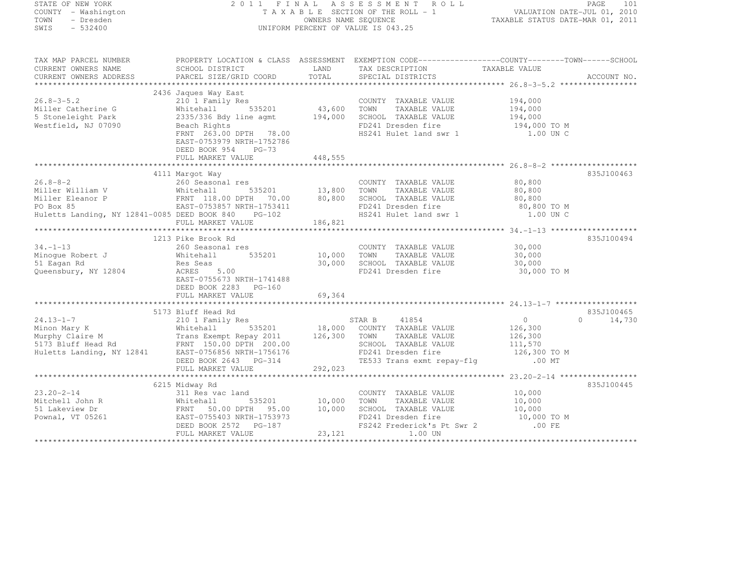| STATE OF NEW YORK                         |                                                                                                                                                                                                                                                                                                |         | T A A B A S A S A S A B N T ROLL<br>T A X A B L E SECTION OF THE ROLL - 1<br>OWNERS NAME STATUS DATE-JUL 01, 2010<br>TAXABLE STATUS DATE-MAR 01, 2011<br>2011 FINAL ASSESSMENT ROLL |                                                     |             |
|-------------------------------------------|------------------------------------------------------------------------------------------------------------------------------------------------------------------------------------------------------------------------------------------------------------------------------------------------|---------|-------------------------------------------------------------------------------------------------------------------------------------------------------------------------------------|-----------------------------------------------------|-------------|
| COUNTY - Washington                       |                                                                                                                                                                                                                                                                                                |         |                                                                                                                                                                                     |                                                     |             |
| TOWN<br>- Dresden                         |                                                                                                                                                                                                                                                                                                |         |                                                                                                                                                                                     |                                                     |             |
| SWIS<br>$-532400$                         |                                                                                                                                                                                                                                                                                                |         | UNIFORM PERCENT OF VALUE IS 043.25                                                                                                                                                  |                                                     |             |
|                                           |                                                                                                                                                                                                                                                                                                |         |                                                                                                                                                                                     |                                                     |             |
|                                           | TAX MAP PARCEL NUMBER THE PROPERTY LOCATION & CLASS ASSESSMENT EXEMPTION CODE----------------COUNTY--------TOWN------SCHOOL                                                                                                                                                                    |         |                                                                                                                                                                                     |                                                     |             |
| CURRENT OWNERS NAME                       | SCHOOL DISTRICT                                                                                                                                                                                                                                                                                | LAND    | TAX DESCRIPTION TAXABLE VALUE<br>SPECIAL DISTRICTS                                                                                                                                  |                                                     |             |
| CURRENT OWNERS ADDRESS                    | PARCEL SIZE/GRID COORD                                                                                                                                                                                                                                                                         | TOTAL   | SPECIAL DISTRICTS                                                                                                                                                                   |                                                     | ACCOUNT NO. |
|                                           |                                                                                                                                                                                                                                                                                                |         |                                                                                                                                                                                     |                                                     |             |
|                                           | 210 1 Family Res<br>Whitehall 535201 43,600 TOWN TAXABLE VALUE<br>2335/336 Bdy line agmt 194,000 SCHOOL TAXABLE VALUE<br>Beach Rights 2000 FR121 Procedure:                                                                                                                                    |         |                                                                                                                                                                                     |                                                     |             |
| $26.8 - 3 - 5.2$                          |                                                                                                                                                                                                                                                                                                |         |                                                                                                                                                                                     |                                                     |             |
| Miller Catherine G                        |                                                                                                                                                                                                                                                                                                |         |                                                                                                                                                                                     | 194,000<br>194,000                                  |             |
|                                           |                                                                                                                                                                                                                                                                                                |         |                                                                                                                                                                                     |                                                     |             |
| 5 Stoneleight Park<br>Westfield, NJ 07090 |                                                                                                                                                                                                                                                                                                |         | FD241 Dresden fire                                                                                                                                                                  | 194,000<br>194,000 TO M                             |             |
|                                           | FRNT 263.00 DPTH 78.00                                                                                                                                                                                                                                                                         |         | HS241 Hulet land swr 1                                                                                                                                                              | 1.00 UN C                                           |             |
|                                           | EAST-0753979 NRTH-1752786                                                                                                                                                                                                                                                                      |         |                                                                                                                                                                                     |                                                     |             |
|                                           | DEED BOOK 954 PG-73                                                                                                                                                                                                                                                                            |         |                                                                                                                                                                                     |                                                     |             |
|                                           | FULL MARKET VALUE                                                                                                                                                                                                                                                                              | 448,555 |                                                                                                                                                                                     |                                                     |             |
|                                           |                                                                                                                                                                                                                                                                                                |         |                                                                                                                                                                                     |                                                     |             |
|                                           | 4111 Marqot Way                                                                                                                                                                                                                                                                                |         |                                                                                                                                                                                     |                                                     | 835J100463  |
| $26.8 - 8 - 2$                            | 260 Seasonal res                                                                                                                                                                                                                                                                               |         | COUNTY TAXABLE VALUE                                                                                                                                                                | 80,800                                              |             |
|                                           | $1122$<br>535201 13,800 TOWN                                                                                                                                                                                                                                                                   |         | TAXABLE VALUE                                                                                                                                                                       | 80,800                                              |             |
|                                           |                                                                                                                                                                                                                                                                                                |         | SCHOOL TAXABLE VALUE                                                                                                                                                                | 80,800                                              |             |
|                                           |                                                                                                                                                                                                                                                                                                |         |                                                                                                                                                                                     | 80,800 TO M                                         |             |
|                                           | Huletts Landing, NY 12841-0085 DEED BOOK 840 PG-102                                                                                                                                                                                                                                            |         | FD241 Dresden fire<br>HS241 Hulet land swr 1                                                                                                                                        | 1.00 UN C                                           |             |
|                                           | FULL MARKET VALUE                                                                                                                                                                                                                                                                              | 186,821 |                                                                                                                                                                                     |                                                     |             |
|                                           |                                                                                                                                                                                                                                                                                                |         |                                                                                                                                                                                     |                                                     |             |
|                                           | 1213 Pike Brook Rd                                                                                                                                                                                                                                                                             |         |                                                                                                                                                                                     |                                                     | 835J100494  |
|                                           |                                                                                                                                                                                                                                                                                                |         |                                                                                                                                                                                     |                                                     |             |
|                                           |                                                                                                                                                                                                                                                                                                |         | COUNTY TAXABLE VALUE<br>535201 10,000 TOWN TAXABLE VALUE                                                                                                                            | 30,000<br>30,000                                    |             |
|                                           |                                                                                                                                                                                                                                                                                                |         |                                                                                                                                                                                     |                                                     |             |
|                                           |                                                                                                                                                                                                                                                                                                | 30,000  | SCHOOL TAXABLE VALUE                                                                                                                                                                | 30,000                                              |             |
| Queensbury, NY 12804                      |                                                                                                                                                                                                                                                                                                |         | FD241 Dresden fire                                                                                                                                                                  | 30,000 TO M                                         |             |
|                                           | EAST-0755673 NRTH-1741488                                                                                                                                                                                                                                                                      |         |                                                                                                                                                                                     |                                                     |             |
|                                           | DEED BOOK 2283 PG-160                                                                                                                                                                                                                                                                          |         |                                                                                                                                                                                     |                                                     |             |
|                                           | FULL MARKET VALUE                                                                                                                                                                                                                                                                              | 69,364  |                                                                                                                                                                                     |                                                     |             |
|                                           |                                                                                                                                                                                                                                                                                                |         |                                                                                                                                                                                     |                                                     |             |
|                                           | 5173 Bluff Head Rd<br>24.13-1-7<br>21/3 Bluff Head Rd<br>Murphy Claire M<br>Murphy Claire M<br>210 1 Family Res<br>210 1 Family Res<br>535201<br>535201<br>200.00<br>2011<br>200.00<br>2011<br>200.00<br>200.00<br>200.00<br>200.00<br>200.00<br>200.00<br>200.00<br>200.00<br>200.00<br>200.0 |         |                                                                                                                                                                                     |                                                     | 835J100465  |
|                                           |                                                                                                                                                                                                                                                                                                |         | STAR B 41854                                                                                                                                                                        | $\overline{0}$<br>$\circ$<br>$126,300$<br>$126,300$ | 14,730      |
|                                           |                                                                                                                                                                                                                                                                                                |         |                                                                                                                                                                                     |                                                     |             |
|                                           |                                                                                                                                                                                                                                                                                                |         |                                                                                                                                                                                     |                                                     |             |
|                                           |                                                                                                                                                                                                                                                                                                |         |                                                                                                                                                                                     | 111,570                                             |             |
|                                           |                                                                                                                                                                                                                                                                                                |         | FD241 Dresden fire                                                                                                                                                                  | 126,300 TO M                                        |             |
|                                           | DEED BOOK 2643 PG-314                                                                                                                                                                                                                                                                          |         | TE533 Trans exmt repay-flg .00 MT                                                                                                                                                   |                                                     |             |
|                                           | FULL MARKET VALUE                                                                                                                                                                                                                                                                              | 292,023 |                                                                                                                                                                                     |                                                     |             |
|                                           |                                                                                                                                                                                                                                                                                                |         |                                                                                                                                                                                     |                                                     |             |
|                                           | 6215 Midway Rd                                                                                                                                                                                                                                                                                 |         |                                                                                                                                                                                     |                                                     | 835J100445  |
|                                           | 23.20-2-14<br>Mitchell John R 311 Res vac land<br>51 Lakeview Dr FRNT 50.00 DPTH 95.00<br>FOWNAL, VT 05261<br>FOWNAL POWER TRNT DON'S ARTH-1753973                                                                                                                                             |         | COUNTY TAXABLE VALUE                                                                                                                                                                | 10,000                                              |             |
|                                           |                                                                                                                                                                                                                                                                                                | 10,000  | TOWN<br>TAXABLE VALUE                                                                                                                                                               | 10,000                                              |             |
|                                           |                                                                                                                                                                                                                                                                                                | 10,000  | SCHOOL TAXABLE VALUE                                                                                                                                                                | 10,000                                              |             |
|                                           |                                                                                                                                                                                                                                                                                                |         | FD241 Dresden fire                                                                                                                                                                  | 10,000 TO M                                         |             |
|                                           | DEED BOOK 2572 PG-187                                                                                                                                                                                                                                                                          |         | FS242 Frederick's Pt Swr 2 .00 FE                                                                                                                                                   |                                                     |             |
|                                           | FULL MARKET VALUE                                                                                                                                                                                                                                                                              | 23, 121 | 1.00 UN                                                                                                                                                                             |                                                     |             |
|                                           |                                                                                                                                                                                                                                                                                                |         |                                                                                                                                                                                     |                                                     |             |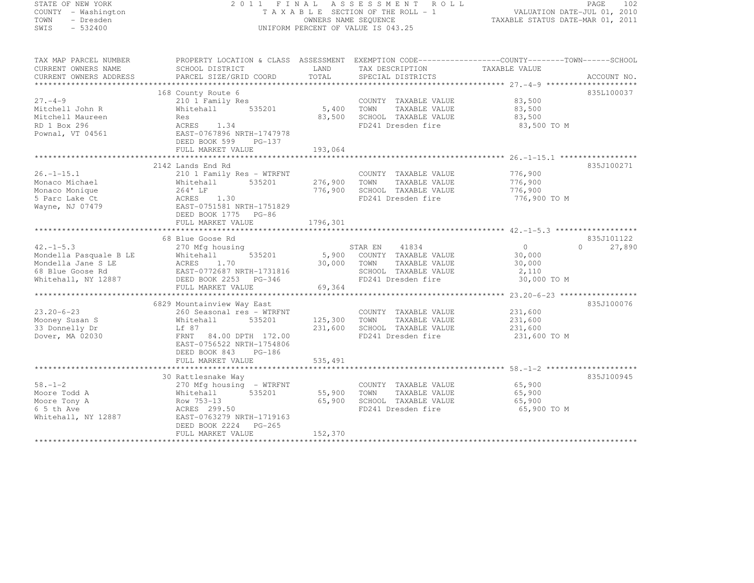### STATE OF NEW YORK 2 0 1 1 F I N A L A S S E S S M E N T R O L L PAGE <sup>102</sup> COUNTY - Washington T A X A B L E SECTION OF THE ROLL - 1 VALUATION DATE-JUL 01, 2010 TOWN - Dresden OWNERS NAME SEQUENCE TAXABLE STATUS DATE-MAR 01, 2011<br>- TRESDEN ON THE SEQUENCE TO A SECUENCE TO A SECUENCE THE SEQUENCE OF THE SECUENCE OF THE SECUENCE OF THE SECOND SWIS - 532400 UNIFORM PERCENT OF VALUE IS 043.25

| TAX MAP PARCEL NUMBER  | PROPERTY LOCATION & CLASS ASSESSMENT EXEMPTION CODE-----------------COUNTY-------TOWN------SCHOOL |          |                            |               |                    |
|------------------------|---------------------------------------------------------------------------------------------------|----------|----------------------------|---------------|--------------------|
| CURRENT OWNERS NAME    | SCHOOL DISTRICT                                                                                   | LAND     | TAX DESCRIPTION            | TAXABLE VALUE |                    |
| CURRENT OWNERS ADDRESS | PARCEL SIZE/GRID COORD                                                                            | TOTAL    | SPECIAL DISTRICTS          |               | ACCOUNT NO.        |
|                        |                                                                                                   |          |                            |               |                    |
|                        | 168 County Route 6                                                                                |          |                            |               | 835L100037         |
| $27. -4 - 9$           | 210 1 Family Res                                                                                  |          | COUNTY TAXABLE VALUE       | 83,500        |                    |
| Mitchell John R        | 535201<br>Whitehall                                                                               | 5,400    | TOWN<br>TAXABLE VALUE      | 83,500        |                    |
| Mitchell Maureen       | Res                                                                                               | 83,500   | SCHOOL TAXABLE VALUE       | 83,500        |                    |
| RD 1 Box 296           | ACRES 1.34                                                                                        |          | FD241 Dresden fire         | 83,500 TO M   |                    |
| Pownal, VT 04561       | EAST-0767896 NRTH-1747978                                                                         |          |                            |               |                    |
|                        | DEED BOOK 599<br>$PG-137$                                                                         |          |                            |               |                    |
|                        | FULL MARKET VALUE                                                                                 | 193,064  |                            |               |                    |
|                        |                                                                                                   |          |                            |               |                    |
|                        | 2142 Lands End Rd                                                                                 |          |                            |               | 835J100271         |
| $26. - 1 - 15.1$       | 210 1 Family Res - WTRFNT                                                                         |          | COUNTY TAXABLE VALUE       | 776,900       |                    |
| Monaco Michael         | 535201<br>Whitehall                                                                               | 276,900  | TOWN<br>TAXABLE VALUE      | 776,900       |                    |
| Monaco Monique         | 264' LF                                                                                           | 776,900  | SCHOOL TAXABLE VALUE       | 776,900       |                    |
| 5 Parc Lake Ct         | 1.30<br>ACRES                                                                                     |          | FD241 Dresden fire         | 776,900 TO M  |                    |
| Wayne, NJ 07479        | EAST-0751581 NRTH-1751829                                                                         |          |                            |               |                    |
|                        | DEED BOOK 1775 PG-86                                                                              |          |                            |               |                    |
|                        | FULL MARKET VALUE                                                                                 | 1796,301 |                            |               |                    |
|                        |                                                                                                   |          |                            |               |                    |
|                        | 68 Blue Goose Rd                                                                                  |          |                            |               | 835J101122         |
| $42. -1 - 5.3$         | 270 Mfg housing                                                                                   |          | 41834<br>STAR EN           | 0             | 27,890<br>$\Omega$ |
| Mondella Pasquale B LE | 535201<br>Whitehall                                                                               |          | 5,900 COUNTY TAXABLE VALUE | 30,000        |                    |
| Mondella Jane S LE     | 1.70<br>ACRES                                                                                     | 30,000   | TOWN<br>TAXABLE VALUE      | 30,000        |                    |
| 68 Blue Goose Rd       | EAST-0772687 NRTH-1731816                                                                         |          | SCHOOL TAXABLE VALUE       | 2,110         |                    |
| Whitehall, NY 12887    | DEED BOOK 2253 PG-346                                                                             |          | FD241 Dresden fire         | 30,000 TO M   |                    |
|                        | FULL MARKET VALUE                                                                                 | 69,364   |                            |               |                    |
|                        |                                                                                                   |          |                            |               |                    |
|                        | 6829 Mountainview Way East                                                                        |          |                            |               | 835J100076         |
| $23.20 - 6 - 23$       | 260 Seasonal res - WTRFNT                                                                         |          | COUNTY TAXABLE VALUE       | 231,600       |                    |
| Mooney Susan S         | 535201<br>Whitehall                                                                               | 125,300  | TOWN<br>TAXABLE VALUE      | 231,600       |                    |
| 33 Donnelly Dr         | Lf 87                                                                                             | 231,600  | SCHOOL TAXABLE VALUE       | 231,600       |                    |
| Dover, MA 02030        | FRNT<br>84.00 DPTH 172.00                                                                         |          | FD241 Dresden fire         | 231,600 TO M  |                    |
|                        | EAST-0756522 NRTH-1754806                                                                         |          |                            |               |                    |
|                        | DEED BOOK 843<br>PG-186                                                                           |          |                            |               |                    |
|                        | FULL MARKET VALUE                                                                                 | 535,491  |                            |               |                    |
|                        |                                                                                                   |          |                            |               |                    |
|                        | 30 Rattlesnake Way                                                                                |          |                            |               | 835J100945         |
| $58. - 1 - 2$          | 270 Mfg housing - WTRFNT                                                                          |          | COUNTY TAXABLE VALUE       | 65,900        |                    |
| Moore Todd A           | 535201<br>Whitehall                                                                               | 55,900   | TOWN<br>TAXABLE VALUE      | 65,900        |                    |
| Moore Tony A           | Row 753-13                                                                                        | 65,900   | SCHOOL TAXABLE VALUE       | 65,900        |                    |
| 6 5 th Ave             | ACRES 299.50                                                                                      |          | FD241 Dresden fire         | 65,900 TO M   |                    |
| Whitehall, NY 12887    | EAST-0763279 NRTH-1719163                                                                         |          |                            |               |                    |
|                        | DEED BOOK 2224 PG-265                                                                             |          |                            |               |                    |
|                        | FULL MARKET VALUE                                                                                 | 152,370  |                            |               |                    |
|                        |                                                                                                   |          |                            |               |                    |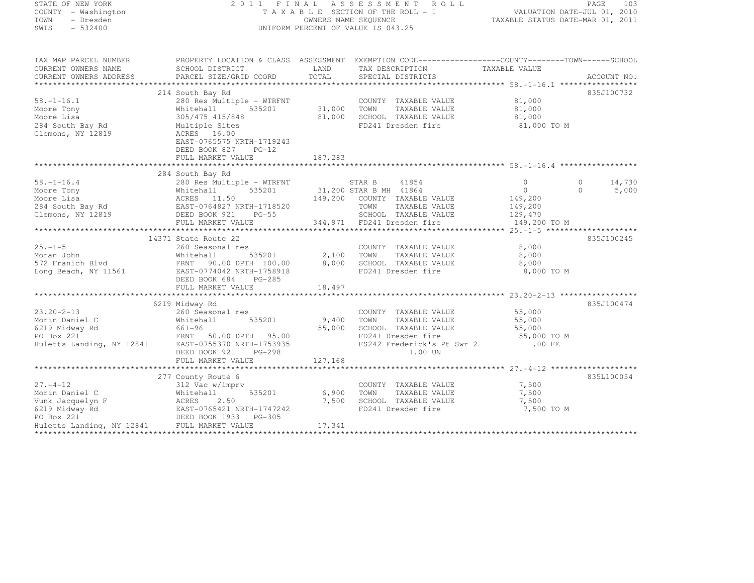| STATE OF NEW YORK           |                                                                                                  |         | 2011 FINAL ASSESSMENT ROLL            |                                  | 103<br>PAGE                 |
|-----------------------------|--------------------------------------------------------------------------------------------------|---------|---------------------------------------|----------------------------------|-----------------------------|
| COUNTY - Washington         |                                                                                                  |         | T A X A B L E SECTION OF THE ROLL - 1 |                                  | VALUATION DATE-JUL 01, 2010 |
| TOWN<br>- Dresden           |                                                                                                  |         | OWNERS NAME SEOUENCE                  | TAXABLE STATUS DATE-MAR 01, 2011 |                             |
| SWIS<br>$-532400$           |                                                                                                  |         | UNIFORM PERCENT OF VALUE IS 043.25    |                                  |                             |
|                             |                                                                                                  |         |                                       |                                  |                             |
| TAX MAP PARCEL NUMBER       | PROPERTY LOCATION & CLASS ASSESSMENT EXEMPTION CODE---------------COUNTY--------TOWN------SCHOOL |         |                                       |                                  |                             |
| CURRENT OWNERS NAME         | SCHOOL DISTRICT                                                                                  | LAND    | TAX DESCRIPTION                       | TAXABLE VALUE                    |                             |
| CURRENT OWNERS ADDRESS      | PARCEL SIZE/GRID COORD                                                                           | TOTAL   | SPECIAL DISTRICTS                     |                                  | ACCOUNT NO.                 |
|                             |                                                                                                  |         |                                       |                                  |                             |
|                             | 214 South Bay Rd                                                                                 |         |                                       |                                  | 835J100732                  |
| $58. - 1 - 16.1$            | 280 Res Multiple - WTRFNT                                                                        |         | COUNTY TAXABLE VALUE                  | 81,000                           |                             |
| Moore Tony                  | 535201<br>Whitehall                                                                              | 31,000  | TOWN<br>TAXABLE VALUE                 | 81,000                           |                             |
| Moore Lisa                  | 305/475 415/848                                                                                  | 81,000  | SCHOOL TAXABLE VALUE                  | 81,000                           |                             |
| 284 South Bay Rd            | Multiple Sites                                                                                   |         | FD241 Dresden fire                    | 81,000 TO M                      |                             |
| Clemons, NY 12819           | ACRES 16.00                                                                                      |         |                                       |                                  |                             |
|                             | EAST-0765575 NRTH-1719243                                                                        |         |                                       |                                  |                             |
|                             | DEED BOOK 827<br>$PG-12$                                                                         |         |                                       |                                  |                             |
|                             | FULL MARKET VALUE                                                                                | 187,283 |                                       |                                  |                             |
|                             |                                                                                                  |         |                                       |                                  |                             |
|                             | 284 South Bay Rd                                                                                 |         |                                       |                                  |                             |
| $58, -1 - 16, 4$            | 280 Res Multiple - WTRFNT                                                                        |         | 41854<br>STAR B                       | $\circ$                          | 14,730<br>$\circ$           |
| Moore Tony                  | 535201<br>Whitehall                                                                              |         | 31,200 STAR B MH 41864                | $\Omega$                         | 5,000<br>$\cap$             |
| Moore Lisa                  | ACRES 11.30<br>EAST-0764827 NRTH-1718520                                                         |         | 149,200 COUNTY TAXABLE VALUE          | 149,200                          |                             |
| 284 South Bay Rd            |                                                                                                  |         | TOWN<br>TAXABLE VALUE                 | 149,200                          |                             |
| Clemons, NY 12819           | DEED BOOK 921<br>$PG-55$                                                                         |         | SCHOOL TAXABLE VALUE                  | 129,470                          |                             |
|                             | FULL MARKET VALUE                                                                                |         | 344,971 FD241 Dresden fire            | 149,200 TO M                     |                             |
|                             |                                                                                                  |         |                                       |                                  |                             |
|                             | 14371 State Route 22                                                                             |         |                                       |                                  | 835J100245                  |
| $25. - 1 - 5$<br>Moran John | 260 Seasonal res                                                                                 |         | COUNTY TAXABLE VALUE                  | 8,000                            |                             |
|                             | 535201<br>Whitehall                                                                              | 2,100   | TOWN<br>TAXABLE VALUE                 | 8,000                            |                             |
| 572 Franich Blvd            | FRNT 90.00 DPTH 100.00<br>EAST-0774042 NRTH-1758918                                              | 8,000   | SCHOOL TAXABLE VALUE                  | 8,000                            |                             |
| Long Beach, NY 11561        |                                                                                                  |         | FD241 Dresden fire                    | 8,000 TO M                       |                             |
|                             | DEED BOOK 684<br>$PG-285$<br>FULL MARKET VALUE                                                   | 18,497  |                                       |                                  |                             |
|                             |                                                                                                  |         |                                       |                                  |                             |
|                             | 6219 Midway Rd                                                                                   |         |                                       |                                  | 835J100474                  |
|                             |                                                                                                  |         |                                       |                                  |                             |

| $23.20 - 2 - 13$                            | 260 Seasonal res          |         | COUNTY<br>TAXABLE VALUE    | 55,000      |            |
|---------------------------------------------|---------------------------|---------|----------------------------|-------------|------------|
| Morin Daniel C                              | 535201<br>Whitehall       | 9,400   | TOWN<br>TAXABLE VALUE      | 55,000      |            |
| 6219 Midway Rd                              | 661-96                    | 55,000  | SCHOOL TAXABLE VALUE       | 55,000      |            |
| PO Box 221                                  | FRNT 50.00 DPTH 95.00     |         | FD241 Dresden fire         | 55,000 TO M |            |
| Huletts Landing, NY 12841                   | EAST-0755370 NRTH-1753935 |         | FS242 Frederick's Pt Swr 2 | .00 FE      |            |
|                                             | DEED BOOK 921 PG-298      |         | 1.00 UN                    |             |            |
|                                             | FULL MARKET VALUE         | 127,168 |                            |             |            |
|                                             |                           |         |                            |             |            |
|                                             | 277 County Route 6        |         |                            |             | 835L100054 |
| $27. - 4 - 12$                              | 312 Vac w/imprv           |         | TAXABLE VALUE<br>COUNTY    | 7,500       |            |
| Morin Daniel C                              | 535201<br>Whitehall       | 6,900   | TOWN<br>TAXABLE VALUE      | 7,500       |            |
| Vunk Jacquelyn F                            | ACRES 2.50                | 7,500   | SCHOOL TAXABLE VALUE       | 7,500       |            |
| 6219 Midway Rd                              | EAST-0765421 NRTH-1747242 |         | FD241 Dresden fire         | 7,500 TO M  |            |
| PO Box 221                                  | DEED BOOK 1933 PG-305     |         |                            |             |            |
| Huletts Landing, NY 12841 FULL MARKET VALUE |                           | 17,341  |                            |             |            |
|                                             |                           |         |                            |             |            |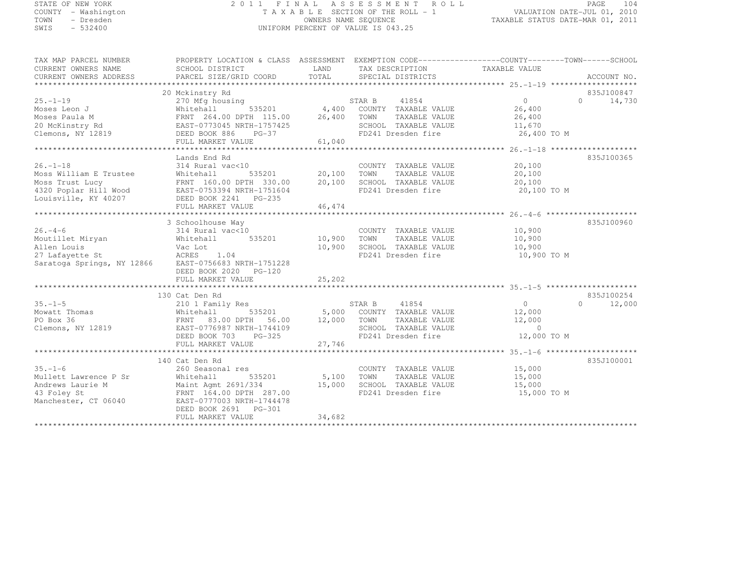# STATE OF NEW YORK 2 0 1 1 F I N A L A S S E S S M E N T R O L L PAGE <sup>104</sup> COUNTY - Washington T A X A B L E SECTION OF THE ROLL - 1 VALUATION DATE-JUL 01, 2010 TOWN - Dresden OWNERS NAME SEQUENCE TAXABLE STATUS DATE-MAR 01, 2011<br>- TRESDEN ON THE SEQUENCE TO A SECUENCE TO A SECUENCE THE SEQUENCE OF THE SECUENCE OF THE SECUENCE OF THE SECOND SWIS - 532400 UNIFORM PERCENT OF VALUE IS 043.25

| TAX MAP PARCEL NUMBER                                                                                                                                                                                                                                                                                                                                                                                                                                                                                            | PROPERTY LOCATION & CLASS ASSESSMENT EXEMPTION CODE-----------------COUNTY-------TOWN------SCHOOL |        |                                                          |                                              |                    |
|------------------------------------------------------------------------------------------------------------------------------------------------------------------------------------------------------------------------------------------------------------------------------------------------------------------------------------------------------------------------------------------------------------------------------------------------------------------------------------------------------------------|---------------------------------------------------------------------------------------------------|--------|----------------------------------------------------------|----------------------------------------------|--------------------|
| CURRENT OWNERS NAME                                                                                                                                                                                                                                                                                                                                                                                                                                                                                              | SCHOOL DISTRICT TAND TAX DESCRIPTION                                                              |        |                                                          | TAXABLE VALUE                                |                    |
| -CURRENT OWNERS ADDRESS PARCEL SIZE/GRID COORD TOTAL SPECIAL DISTRICTS AND ACCOUNT NO ACCOUNT NO ACCOUNT NO ACCOUNT NO ACCOUNT NO ACCOUNT NO A SERVER A THE SERVER SERVER AND RELATION ASSESS AND A SERVER SERVER ASSESSED ON<br>CURRENT OWNERS ADDRESS                                                                                                                                                                                                                                                          |                                                                                                   |        |                                                          |                                              |                    |
|                                                                                                                                                                                                                                                                                                                                                                                                                                                                                                                  |                                                                                                   |        |                                                          |                                              |                    |
|                                                                                                                                                                                                                                                                                                                                                                                                                                                                                                                  | 20 Mckinstry Rd                                                                                   |        |                                                          |                                              | 835J100847         |
| $25. - 1 - 19$                                                                                                                                                                                                                                                                                                                                                                                                                                                                                                   | 270 Mfg housing                                                                                   |        |                                                          | $\begin{array}{c} 0 \\ 26 & 400 \end{array}$ | $0 \t 14,730$      |
|                                                                                                                                                                                                                                                                                                                                                                                                                                                                                                                  |                                                                                                   |        |                                                          | 26,400                                       |                    |
|                                                                                                                                                                                                                                                                                                                                                                                                                                                                                                                  |                                                                                                   |        |                                                          | 26,400                                       |                    |
|                                                                                                                                                                                                                                                                                                                                                                                                                                                                                                                  |                                                                                                   |        | SCHOOL TAXABLE VALUE 11,670<br>FD241 Dresden fire 16,400 |                                              |                    |
|                                                                                                                                                                                                                                                                                                                                                                                                                                                                                                                  |                                                                                                   |        |                                                          | 26,400 TO M                                  |                    |
| Moses Paula M (Martenall 535201) (4,400 COUNTY TAXABLE VALUE<br>Moses Paula M (Martenall 535201) (26,400 TOWN TAXABLE VALUE<br>20 McKinstry Rd (Martenall EAST-0773045 NRTH-1757425) (26,400 TOWN TAXABLE VALUE<br>Clemons, NY 12819                                                                                                                                                                                                                                                                             |                                                                                                   |        |                                                          |                                              |                    |
| $\begin{tabular}{lllllllllllll} \multicolumn{3}{c}{\begin{tabular}{l} \multicolumn{3}{c}{\begin{tabular}{l} \multicolumn{3}{c}{\begin{tabular}{l} \multicolumn{3}{c}{\begin{tabular}{l} \multicolumn{3}{c}{\begin{tabular}{l} \multicolumn{3}{c}{\begin{tabular}{l} \multicolumn{3}{c}{\begin{tabular}{l} \multicolumn{3}{c}{\begin{tabular}{l} \multicolumn{3}{c}{\begin{tabular}{l} \multicolumn{3}{c}{\begin{tabular}{l} \multicolumn{3}{c}{\begin{tabular}{l} \multicolumn{3}{c}{\begin{tabular}{l} \multic$ |                                                                                                   |        |                                                          |                                              |                    |
|                                                                                                                                                                                                                                                                                                                                                                                                                                                                                                                  |                                                                                                   |        |                                                          |                                              | 835J100365         |
|                                                                                                                                                                                                                                                                                                                                                                                                                                                                                                                  |                                                                                                   |        | COUNTY TAXABLE VALUE 20,100                              |                                              |                    |
|                                                                                                                                                                                                                                                                                                                                                                                                                                                                                                                  |                                                                                                   |        |                                                          | 20,100                                       |                    |
|                                                                                                                                                                                                                                                                                                                                                                                                                                                                                                                  |                                                                                                   |        |                                                          | 20,100                                       |                    |
|                                                                                                                                                                                                                                                                                                                                                                                                                                                                                                                  |                                                                                                   |        | FD241 Dresden fire 20,100 TO M                           |                                              |                    |
|                                                                                                                                                                                                                                                                                                                                                                                                                                                                                                                  |                                                                                                   |        |                                                          |                                              |                    |
|                                                                                                                                                                                                                                                                                                                                                                                                                                                                                                                  |                                                                                                   |        |                                                          |                                              |                    |
|                                                                                                                                                                                                                                                                                                                                                                                                                                                                                                                  |                                                                                                   |        |                                                          |                                              |                    |
|                                                                                                                                                                                                                                                                                                                                                                                                                                                                                                                  | 3 Schoolhouse Way                                                                                 |        |                                                          |                                              | 835J100960         |
| $26. - 4 - 6$                                                                                                                                                                                                                                                                                                                                                                                                                                                                                                    | 314 Rural vac<10                                                                                  |        | COUNTY TAXABLE VALUE 10,900                              |                                              |                    |
| Moutillet Miryan<br>Allen Louis                                                                                                                                                                                                                                                                                                                                                                                                                                                                                  | 535201 10,900 TOWN                                                                                |        | TAXABLE VALUE                                            |                                              |                    |
|                                                                                                                                                                                                                                                                                                                                                                                                                                                                                                                  | Whitehall<br>Vac Lot                                                                              |        | 10,900 SCHOOL TAXABLE VALUE                              | 10,900<br>10,900                             |                    |
|                                                                                                                                                                                                                                                                                                                                                                                                                                                                                                                  |                                                                                                   |        | FD241 Dresden fire 10,900 TO M                           |                                              |                    |
| ACRES 1.04<br>Saratoga Springs, NY 12866 EAST-0756683 NRTH-1751228                                                                                                                                                                                                                                                                                                                                                                                                                                               |                                                                                                   |        |                                                          |                                              |                    |
|                                                                                                                                                                                                                                                                                                                                                                                                                                                                                                                  | DEED BOOK 2020 PG-120                                                                             |        |                                                          |                                              |                    |
|                                                                                                                                                                                                                                                                                                                                                                                                                                                                                                                  |                                                                                                   |        |                                                          |                                              |                    |
|                                                                                                                                                                                                                                                                                                                                                                                                                                                                                                                  |                                                                                                   |        |                                                          |                                              |                    |
|                                                                                                                                                                                                                                                                                                                                                                                                                                                                                                                  | 130 Cat Den Rd                                                                                    |        |                                                          |                                              | 835J100254         |
| $35. - 1 - 5$                                                                                                                                                                                                                                                                                                                                                                                                                                                                                                    |                                                                                                   |        |                                                          | $\overline{0}$                               | $\Omega$<br>12,000 |
|                                                                                                                                                                                                                                                                                                                                                                                                                                                                                                                  |                                                                                                   |        |                                                          | 12,000                                       |                    |
|                                                                                                                                                                                                                                                                                                                                                                                                                                                                                                                  |                                                                                                   |        | TAXABLE VALUE 12,000                                     |                                              |                    |
| Clemons, NY 12819                                                                                                                                                                                                                                                                                                                                                                                                                                                                                                |                                                                                                   |        |                                                          | $\overline{0}$                               |                    |
|                                                                                                                                                                                                                                                                                                                                                                                                                                                                                                                  |                                                                                                   |        |                                                          | 12,000 TO M                                  |                    |
|                                                                                                                                                                                                                                                                                                                                                                                                                                                                                                                  |                                                                                                   |        |                                                          |                                              |                    |
|                                                                                                                                                                                                                                                                                                                                                                                                                                                                                                                  |                                                                                                   |        |                                                          |                                              |                    |
|                                                                                                                                                                                                                                                                                                                                                                                                                                                                                                                  | 140 Cat Den Rd                                                                                    |        |                                                          |                                              | 835J100001         |
| $35. - 1 - 6$                                                                                                                                                                                                                                                                                                                                                                                                                                                                                                    | 260 Seasonal res                                                                                  |        | COUNTY TAXABLE VALUE 15,000                              |                                              |                    |
|                                                                                                                                                                                                                                                                                                                                                                                                                                                                                                                  |                                                                                                   |        |                                                          | 15,000                                       |                    |
|                                                                                                                                                                                                                                                                                                                                                                                                                                                                                                                  |                                                                                                   |        | TOWN      TAXABLE VALUE<br>SCHOOL   TAXABLE VALUE        | 15,000                                       |                    |
|                                                                                                                                                                                                                                                                                                                                                                                                                                                                                                                  |                                                                                                   |        | FD241 Dresden fire 15,000 TO M                           |                                              |                    |
|                                                                                                                                                                                                                                                                                                                                                                                                                                                                                                                  |                                                                                                   |        |                                                          |                                              |                    |
|                                                                                                                                                                                                                                                                                                                                                                                                                                                                                                                  | DEED BOOK 2691 PG-301                                                                             |        |                                                          |                                              |                    |
|                                                                                                                                                                                                                                                                                                                                                                                                                                                                                                                  | FULL MARKET VALUE                                                                                 | 34,682 |                                                          |                                              |                    |
|                                                                                                                                                                                                                                                                                                                                                                                                                                                                                                                  |                                                                                                   |        |                                                          |                                              |                    |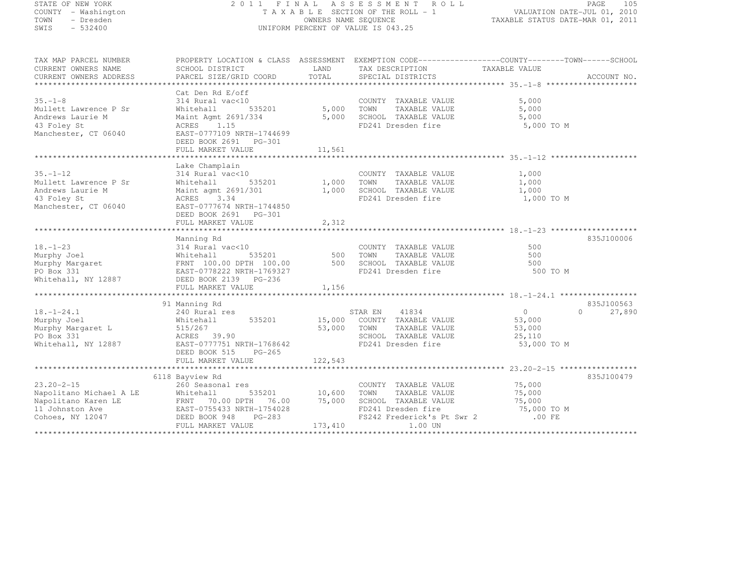### STATE OF NEW YORK 2 0 1 1 F I N A L A S S E S S M E N T R O L L PAGE <sup>105</sup> COUNTY - Washington T A X A B L E SECTION OF THE ROLL - 1 VALUATION DATE-JUL 01, 2010 TOWN - Dresden OWNERS NAME SEQUENCE TAXABLE STATUS DATE-MAR 01, 2011<br>- TRESDEN ON THE SEQUENCE TO A SECUENCE TO A SECUENCE THE SEQUENCE OF THE SECUENCE OF THE SECUENCE OF THE SECOND SWIS - 532400 UNIFORM PERCENT OF VALUE IS 043.25

| TAX MAP PARCEL NUMBER               |                                            |             | PROPERTY LOCATION & CLASS ASSESSMENT EXEMPTION CODE----------------COUNTY-------TOWN------SCHOOL |                |                    |
|-------------------------------------|--------------------------------------------|-------------|--------------------------------------------------------------------------------------------------|----------------|--------------------|
| CURRENT OWNERS NAME                 | SCHOOL DISTRICT                            | LAND        | TAX DESCRIPTION                                                                                  | TAXABLE VALUE  |                    |
| CURRENT OWNERS ADDRESS              |                                            | TOTAL       |                                                                                                  |                |                    |
|                                     | Cat Den Rd E/off                           |             |                                                                                                  |                |                    |
| $35. - 1 - 8$                       | 314 Rural vac<10                           |             | COUNTY TAXABLE VALUE                                                                             | 5,000          |                    |
| Mullett Lawrence P Sr               | 535201<br>Whitehall                        | 5,000 TOWN  | TAXABLE VALUE                                                                                    | 5,000          |                    |
| Andrews Laurie M                    | Maint Agmt 2691/334                        | 5,000       | SCHOOL TAXABLE VALUE                                                                             | 5,000          |                    |
| 43 Foley St<br>Manchester, CT 06040 | 1.15<br>ACRES<br>EAST-0777109 NRTH-1744699 |             | FD241 Dresden fire                                                                               | 5,000 TO M     |                    |
|                                     | DEED BOOK 2691 PG-301                      |             |                                                                                                  |                |                    |
|                                     |                                            |             |                                                                                                  |                |                    |
|                                     | FULL MARKET VALUE $11,561$ $11,561$        |             |                                                                                                  |                |                    |
|                                     | Lake Champlain                             |             |                                                                                                  |                |                    |
| $35. - 1 - 12$                      | 314 Rural vac<10                           |             | COUNTY TAXABLE VALUE                                                                             | 1,000          |                    |
| Mullett Lawrence P Sr               | Whitehall<br>535201                        | 1,000       | TOWN<br>TAXABLE VALUE                                                                            | 1,000          |                    |
| Andrews Laurie M                    | Maint agmt 2691/301                        | 1,000       | SCHOOL TAXABLE VALUE                                                                             | 1,000          |                    |
| 43 Foley St                         | 3.34<br>ACRES                              |             | FD241 Dresden fire                                                                               | 1,000 TO M     |                    |
| Manchester, CT 06040                | EAST-0777674 NRTH-1744850                  |             |                                                                                                  |                |                    |
|                                     | DEED BOOK 2691 PG-301                      |             |                                                                                                  |                |                    |
|                                     | FULL MARKET VALUE                          | 2,312       |                                                                                                  |                |                    |
|                                     |                                            |             |                                                                                                  |                |                    |
|                                     | Manning Rd                                 |             |                                                                                                  |                | 835J100006         |
| $18. - 1 - 23$                      | 314 Rural vac<10                           |             | COUNTY TAXABLE VALUE                                                                             | 500            |                    |
| Murphy Joel                         | Whitehall                                  | 535201 500  | TOWN<br>TAXABLE VALUE                                                                            | 500            |                    |
| Murphy Margaret<br>PO Box 331       | FRNT 100.00 DPTH 100.00                    | 500         | SCHOOL TAXABLE VALUE                                                                             | 500            |                    |
| PO Box 331                          | EAST-0778222 NRTH-1769327                  |             | FD241 Dresden fire                                                                               | 500 TO M       |                    |
| Whitehall, NY 12887                 | DEED BOOK 2139 PG-236                      |             |                                                                                                  |                |                    |
|                                     | FULL MARKET VALUE                          | 1,156       |                                                                                                  |                |                    |
|                                     |                                            |             |                                                                                                  |                | 835J100563         |
| $18. - 1 - 24.1$                    | 91 Manning Rd<br>240 Rural res             |             | 41834<br>STAR EN                                                                                 | $\overline{0}$ | 27,890<br>$\Omega$ |
| Murphy Joel                         | 535201<br>Whitehall                        |             | 15,000 COUNTY TAXABLE VALUE                                                                      | 53,000         |                    |
| Murphy Margaret L                   | 515/267                                    | 53,000 TOWN | TAXABLE VALUE                                                                                    | 53,000         |                    |
| PO Box 331                          | ACRES 39.90                                |             | SCHOOL TAXABLE VALUE                                                                             | 25,110         |                    |
| Whitehall, NY 12887                 | EAST-0777751 NRTH-1768642                  |             | FD241 Dresden fire                                                                               | 53,000 TO M    |                    |
|                                     | DEED BOOK 515 PG-265                       |             |                                                                                                  |                |                    |
|                                     | FULL MARKET VALUE                          | 122,543     |                                                                                                  |                |                    |
|                                     |                                            |             |                                                                                                  |                |                    |
|                                     | 6118 Bayview Rd                            |             |                                                                                                  |                | 835J100479         |
| $23.20 - 2 - 15$                    | 260 Seasonal res                           |             | COUNTY TAXABLE VALUE                                                                             | 75,000         |                    |
| Napolitano Michael A LE             | 535201<br>Whitehall                        | 10,600      | TOWN<br>TAXABLE VALUE                                                                            | 75,000         |                    |
| Napolitano Karen LE                 | FRNT 70.00 DPTH<br>76.00                   | 75,000      | SCHOOL TAXABLE VALUE                                                                             | 75,000         |                    |
| 11 Johnston Ave                     | EAST-0755433 NRTH-1754028                  |             | FD241 Dresden fire 75,000 TO<br>FS242 Frederick's Pt Swr 2 .00 FE                                | 75,000 TO M    |                    |
| Cohoes, NY 12047                    | DEED BOOK 948<br>PG-283                    |             |                                                                                                  |                |                    |
|                                     | FULL MARKET VALUE                          | 173,410     | 1.00 UN                                                                                          |                |                    |
|                                     |                                            |             |                                                                                                  |                |                    |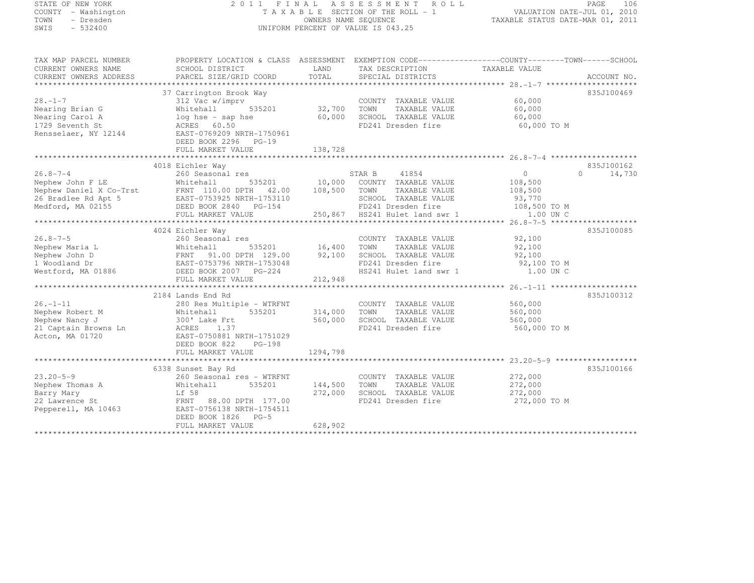STATE OF NEW IONAL<br>COUNTY - Washington<br>TOWN - Dresden<br>E22400

# STATE OF NEW YORK 2 0 1 1 F I N A L A S S E S S M E N T R O L L PAGE <sup>106</sup> COUNTY - Washington T A X A B L E SECTION OF THE ROLL - 1 VALUATION DATE-JUL 01, 2010 TOWN - Dresden OWNERS NAME SEQUENCE TAXABLE STATUS DATE-MAR 01, 2011<br>- TRESDEN ON THE SEQUENCE TO A SECUENCE TO A SECUENCE THE SEQUENCE OF THE SECUENCE OF THE SECUENCE OF THE SECOND

| TAX MAP PARCEL NUMBER<br>CURRENT OWNERS NAME<br>CURRENT OWNERS ADDRESS | PROPERTY LOCATION & CLASS ASSESSMENT EXEMPTION CODE----------------COUNTY-------TOWN------SCHOOL<br>SCHOOL DISTRICT<br>PARCEL SIZE/GRID COORD | LAND<br>TOTAL | TAX DESCRIPTION<br>SPECIAL DISTRICTS | TAXABLE VALUE | ACCOUNT NO.        |
|------------------------------------------------------------------------|-----------------------------------------------------------------------------------------------------------------------------------------------|---------------|--------------------------------------|---------------|--------------------|
|                                                                        |                                                                                                                                               |               |                                      |               |                    |
| $28. -1 - 7$                                                           | 37 Carrington Brook Way<br>312 Vac w/imprv                                                                                                    |               | COUNTY TAXABLE VALUE                 | 60,000        | 835J100469         |
| Nearing Brian G                                                        | 535201<br>Whitehall                                                                                                                           | 32,700        | TAXABLE VALUE<br>TOWN                | 60,000        |                    |
| Nearing Carol A                                                        |                                                                                                                                               | 60,000        | SCHOOL TAXABLE VALUE                 | 60,000        |                    |
| 1729 Seventh St                                                        | log hse - sap hse<br>ACRES 60.50                                                                                                              |               | FD241 Dresden fire                   | 60,000 TO M   |                    |
| Rensselaer, NY 12144                                                   | EAST-0769209 NRTH-1750961                                                                                                                     |               |                                      |               |                    |
|                                                                        | DEED BOOK 2296 PG-19                                                                                                                          |               |                                      |               |                    |
|                                                                        | FULL MARKET VALUE                                                                                                                             | 138,728       |                                      |               |                    |
|                                                                        |                                                                                                                                               |               |                                      |               |                    |
|                                                                        | 4018 Eichler Way                                                                                                                              |               |                                      |               | 835J100162         |
| $26.8 - 7 - 4$                                                         | 260 Seasonal res                                                                                                                              |               | STAR B<br>41854                      | $\circ$       | 14,730<br>$\Omega$ |
| Nephew John F LE                                                       | Whitehall                                                                                                                                     | 535201 10,000 | COUNTY TAXABLE VALUE                 | 108,500       |                    |
| Nephew Daniel X Co-Trst                                                | FRNT 110.00 DPTH 42.00                                                                                                                        | 108,500       | TOWN<br>TAXABLE VALUE                | 108,500       |                    |
| 26 Bradlee Rd Apt 5                                                    | EAST-0753925 NRTH-1753110                                                                                                                     |               | SCHOOL TAXABLE VALUE                 | 93,770        |                    |
| Medford, MA 02155                                                      | DEED BOOK 2840 PG-154                                                                                                                         |               | FD241 Dresden fire                   | 108,500 TO M  |                    |
|                                                                        | FULL MARKET VALUE                                                                                                                             |               | 250,867 HS241 Hulet land swr 1       | 1.00 UN C     |                    |
|                                                                        |                                                                                                                                               |               |                                      |               |                    |
|                                                                        | 4024 Eichler Way                                                                                                                              |               |                                      |               | 835J100085         |
| $26.8 - 7 - 5$                                                         | 260 Seasonal res                                                                                                                              |               | COUNTY TAXABLE VALUE                 | 92,100        |                    |
| Nephew Maria L                                                         | 535201<br>Whitehall                                                                                                                           | 16,400        | TAXABLE VALUE<br>TOWN                | 92,100        |                    |
| Nephew John D                                                          | FRNT 91.00 DPTH 129.00                                                                                                                        | 92,100        | SCHOOL TAXABLE VALUE                 | 92,100        |                    |
| 1 Woodland Dr                                                          | EAST-0753796 NRTH-1753048                                                                                                                     |               | FD241 Dresden fire                   | 92,100 TO M   |                    |
|                                                                        |                                                                                                                                               |               |                                      |               |                    |
| Westford, MA 01886                                                     | DEED BOOK 2007 PG-224<br>FULL MARKET VALUE                                                                                                    | 212,948       | HS241 Hulet land swr 1               | 1.00 UN C     |                    |
|                                                                        |                                                                                                                                               |               |                                      |               |                    |
|                                                                        | 2184 Lands End Rd                                                                                                                             |               |                                      |               | 835J100312         |
| $26. - 1 - 11$                                                         | 280 Res Multiple - WTRFNT                                                                                                                     |               | COUNTY TAXABLE VALUE                 | 560,000       |                    |
| Nephew Robert M                                                        | Whitehall<br>535201                                                                                                                           | 314,000       | TOWN<br>TAXABLE VALUE                | 560,000       |                    |
| Nephew Nancy J                                                         | 300' Lake Frt                                                                                                                                 | 560,000       | SCHOOL TAXABLE VALUE                 | 560,000       |                    |
| 21 Captain Browns Ln                                                   | ACRES<br>1.37                                                                                                                                 |               | FD241 Dresden fire                   | 560,000 TO M  |                    |
| Acton, MA 01720                                                        | EAST-0750881 NRTH-1751029                                                                                                                     |               |                                      |               |                    |
|                                                                        | DEED BOOK 822<br>$PG-198$                                                                                                                     |               |                                      |               |                    |
|                                                                        |                                                                                                                                               | 1294,798      |                                      |               |                    |
|                                                                        | FULL MARKET VALUE                                                                                                                             |               |                                      |               |                    |
|                                                                        | 6338 Sunset Bay Rd                                                                                                                            |               |                                      |               | 835J100166         |
| $23.20 - 5 - 9$                                                        |                                                                                                                                               |               |                                      |               |                    |
|                                                                        | 260 Seasonal res - WTRFNT                                                                                                                     |               | COUNTY TAXABLE VALUE                 | 272,000       |                    |
| Nephew Thomas A                                                        | Whitehall<br>535201                                                                                                                           | 144,500       | TOWN<br>TAXABLE VALUE                | 272,000       |                    |
| Barry Mary                                                             | Lf 58                                                                                                                                         | 272,000       | SCHOOL TAXABLE VALUE                 | 272,000       |                    |
| 22 Lawrence St                                                         | FRNT<br>88.00 DPTH 177.00                                                                                                                     |               | FD241 Dresden fire                   | 272,000 TO M  |                    |
| Pepperell, MA 10463                                                    | EAST-0756138 NRTH-1754511                                                                                                                     |               |                                      |               |                    |
|                                                                        | DEED BOOK 1826 PG-5                                                                                                                           |               |                                      |               |                    |
|                                                                        | FULL MARKET VALUE                                                                                                                             | 628,902       |                                      |               |                    |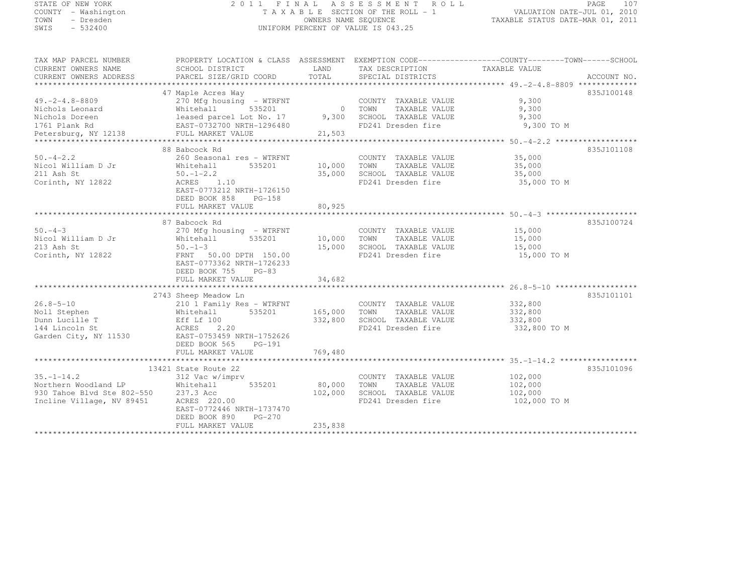| STATE OF NEW YORK<br>COUNTY - Washington<br>TOWN<br>- Dresden<br>SWIS<br>$-532400$                  | 2011 FINAL ASSESSMENT ROLL<br>TAXABLE SECTION OF THE ROLL - 1<br>UNIFORM PERCENT OF VALUE IS 043.25                                                                                                 | 107<br>PAGE<br>VALUATION DATE-JUL 01, 2010<br>TAXABLE STATUS DATE-MAR 01, 2011 |                                                                                                     |                                               |             |
|-----------------------------------------------------------------------------------------------------|-----------------------------------------------------------------------------------------------------------------------------------------------------------------------------------------------------|--------------------------------------------------------------------------------|-----------------------------------------------------------------------------------------------------|-----------------------------------------------|-------------|
| TAX MAP PARCEL NUMBER<br>CURRENT OWNERS NAME<br>CURRENT OWNERS ADDRESS                              | PROPERTY LOCATION & CLASS ASSESSMENT EXEMPTION CODE---------------COUNTY--------TOWN------SCHOOL<br>SCHOOL DISTRICT<br>PARCEL SIZE/GRID COORD                                                       | LAND<br>TOTAL                                                                  | TAX DESCRIPTION<br>SPECIAL DISTRICTS                                                                | TAXABLE VALUE                                 | ACCOUNT NO. |
| $49. -2 - 4.8 - 8809$<br>Nichols Leonard<br>Nichols Doreen<br>1761 Plank Rd<br>Petersburg, NY 12138 | 47 Maple Acres Way<br>270 Mfg housing - WTRFNT<br>Whitehall<br>535201<br>leased parcel Lot No. 17<br>EAST-0732700 NRTH-1296480<br>FULL MARKET VALUE                                                 | 21,503                                                                         | COUNTY TAXABLE VALUE<br>0 TOWN<br>TAXABLE VALUE<br>9,300 SCHOOL TAXABLE VALUE<br>FD241 Dresden fire | 9,300<br>9,300<br>9,300<br>9,300 TO M         | 835J100148  |
| $50. -4 - 2.2$<br>Nicol William D Jr<br>211 Ash St<br>Corinth, NY 12822                             | 88 Babcock Rd<br>260 Seasonal res - WTRFNT<br>535201<br>Whitehall<br>$50. - 1 - 2.2$<br>ACRES<br>1.10<br>EAST-0773212 NRTH-1726150<br>DEED BOOK 858<br>PG-158<br>FULL MARKET VALUE                  | 10,000 TOWN<br>35,000<br>80,925                                                | COUNTY TAXABLE VALUE<br>TAXABLE VALUE<br>SCHOOL TAXABLE VALUE<br>FD241 Dresden fire                 | 35,000<br>35,000<br>35,000<br>35,000 TO M     | 835J101108  |
| $50 - 4 - 3$<br>Nicol William D Jr<br>213 Ash St<br>Corinth, NY 12822                               | 87 Babcock Rd<br>270 Mfg housing - WTRFNT<br>Whitehall<br>535201<br>$50. - 1 - 3$<br>FRNT 50.00 DPTH 150.00<br>EAST-0773362 NRTH-1726233<br>DEED BOOK 755 PG-83<br>FULL MARKET VALUE                | 10,000<br>15,000<br>34,682                                                     | COUNTY TAXABLE VALUE<br>TOWN<br>TAXABLE VALUE<br>SCHOOL TAXABLE VALUE<br>FD241 Dresden fire         | 15,000<br>15,000<br>15,000<br>15,000 TO M     | 835J100724  |
| $26.8 - 5 - 10$<br>Noll Stephen<br>Dunn Lucille T<br>144 Lincoln St<br>Garden City, NY 11530        | 2743 Sheep Meadow Ln<br>210 1 Family Res - WTRFNT<br>535201<br>Whitehall<br>Eff Lf 100<br>ACRES 2.20<br>EAST-0753459 NRTH-1752626<br>DEED BOOK 565<br>PG-191<br>FULL MARKET VALUE                   | 332,800<br>769,480                                                             | COUNTY TAXABLE VALUE<br>165,000 TOWN<br>TAXABLE VALUE<br>SCHOOL TAXABLE VALUE<br>FD241 Dresden fire | 332,800<br>332,800<br>332,800<br>332,800 TO M | 835J101101  |
| $35. - 1 - 14.2$<br>Northern Woodland LP<br>930 Tahoe Blvd Ste 802-550<br>Incline Village, NV 89451 | ***********************<br>13421 State Route 22<br>312 Vac w/imprv<br>535201<br>Whitehall<br>237.3 Acc<br>ACRES 220.00<br>EAST-0772446 NRTH-1737470<br>DEED BOOK 890<br>PG-270<br>FULL MARKET VALUE | 80,000<br>102,000<br>235,838                                                   | COUNTY TAXABLE VALUE<br>TAXABLE VALUE<br>TOWN<br>SCHOOL TAXABLE VALUE<br>FD241 Dresden fire         | 102,000<br>102,000<br>102,000<br>102,000 TO M | 835J101096  |
|                                                                                                     |                                                                                                                                                                                                     |                                                                                |                                                                                                     |                                               |             |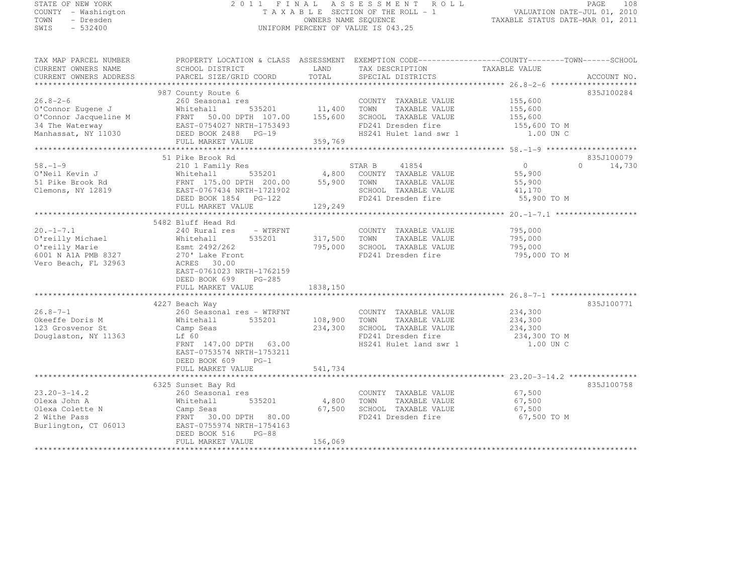| STATE OF NEW YORK |  |                     |  |
|-------------------|--|---------------------|--|
|                   |  | COUNTY - Washington |  |
| TOWN              |  | - Dresden           |  |
| SWIS              |  | $-532400$           |  |

## STATE OF NEW YORK 2 0 1 1 F I N A L A S S E S S M E N T R O L L PAGE <sup>108</sup> COUNTY - Washington T A X A B L E SECTION OF THE ROLL - 1 VALUATION DATE-JUL 01, 2010 TOWN - Dresden OWNERS NAME SEQUENCE TAXABLE STATUS DATE-MAR 01, 2011<br>- TRESDEN ON THE SEQUENCE TO A SECUENCE TO A SECUENCE THE SEQUENCE OF THE SECUENCE OF THE SECUENCE OF THE SECOND SWIS - 532400 - DISPONSITY OF VALUE IS 043.25

| TAX MAP PARCEL NUMBER | PROPERTY LOCATION & CLASS ASSESSMENT EXEMPTION CODE-----------------COUNTY-------TOWN------SCHOOL                                                                                                                                                                                  |                     |                                                                                               |                        |                    |
|-----------------------|------------------------------------------------------------------------------------------------------------------------------------------------------------------------------------------------------------------------------------------------------------------------------------|---------------------|-----------------------------------------------------------------------------------------------|------------------------|--------------------|
|                       |                                                                                                                                                                                                                                                                                    |                     |                                                                                               |                        |                    |
|                       |                                                                                                                                                                                                                                                                                    |                     |                                                                                               |                        |                    |
|                       |                                                                                                                                                                                                                                                                                    |                     |                                                                                               |                        |                    |
|                       | 987 County Route 6                                                                                                                                                                                                                                                                 |                     |                                                                                               |                        | 835J100284         |
|                       | 26.8–2–6<br>26.8–2–6<br>26.8–2–6<br>26.8–2–6<br>26.8–2–6<br>26.8–2–6<br>26.8–2–6<br>26.8–2–6<br>26.8–2–6<br>26.8–2–6<br>26.8–2–6<br>26.8–201<br>25.9–201<br>25.600<br>27.00<br>27.00<br>27.00<br>27.00<br>27.00<br>27.00<br>27.00<br>27.00<br>27.00<br>27.00<br>27.00<br>27.00<br> |                     | COUNTY TAXABLE VALUE 155,600                                                                  |                        |                    |
|                       |                                                                                                                                                                                                                                                                                    |                     |                                                                                               | 155,600<br>155,600     |                    |
|                       |                                                                                                                                                                                                                                                                                    |                     |                                                                                               |                        |                    |
|                       |                                                                                                                                                                                                                                                                                    |                     | $FD241$ Dresden fire $155,600$ TO M<br>$\frac{15241}{100 \text{ FM C}}$                       |                        |                    |
|                       |                                                                                                                                                                                                                                                                                    |                     |                                                                                               | 1.00 UN C              |                    |
|                       | FULL MARKET VALUE                                                                                                                                                                                                                                                                  | 359,769             |                                                                                               |                        |                    |
|                       |                                                                                                                                                                                                                                                                                    |                     |                                                                                               |                        |                    |
|                       | 51 Pike Brook Rd                                                                                                                                                                                                                                                                   |                     |                                                                                               |                        | 835J100079         |
| $58. - 1 - 9$         |                                                                                                                                                                                                                                                                                    |                     |                                                                                               | $\Omega$               | $\Omega$<br>14,730 |
|                       |                                                                                                                                                                                                                                                                                    |                     |                                                                                               | 55,900                 |                    |
|                       |                                                                                                                                                                                                                                                                                    |                     |                                                                                               | 55,900                 |                    |
|                       |                                                                                                                                                                                                                                                                                    |                     | SCHOOL TAXABLE VALUE 41,170                                                                   |                        |                    |
|                       |                                                                                                                                                                                                                                                                                    |                     | FD241 Dresden fire 55,900 TO M                                                                |                        |                    |
|                       | 0'Neil Kevin J<br>0'Neil Kevin J<br>51 Pike Brook Rd<br>12819 EAST-0767434 NRTH-1721902<br>EEED BOOK 1854 PG-122 PD241 Dresden fire<br>FULL MARKET VALUE<br>FULL MARKET VALUE<br>29,249<br>PULL MARKET VALUE<br>29,249<br>PULL MARKET VALUE<br>29,24                               |                     |                                                                                               |                        |                    |
|                       |                                                                                                                                                                                                                                                                                    |                     |                                                                                               |                        |                    |
|                       | 5482 Bluff Head Rd                                                                                                                                                                                                                                                                 |                     |                                                                                               |                        |                    |
| $20. -1 - 7.1$        | 240 Rural res<br>- WTRFNT                                                                                                                                                                                                                                                          |                     | COUNTY TAXABLE VALUE                                                                          |                        |                    |
| O'reilly Michael      | Whitehall                                                                                                                                                                                                                                                                          | 535201 317,500 TOWN | TAXABLE VALUE                                                                                 | 795,000<br>795,000     |                    |
| O'reilly Marie        |                                                                                                                                                                                                                                                                                    |                     | 795,000 SCHOOL TAXABLE VALUE 795,000                                                          |                        |                    |
| 6001 N A1A PMB 8327   |                                                                                                                                                                                                                                                                                    |                     | FD241 Dresden fire                                                                            | 795,000 TO M           |                    |
| Vero Beach, FL 32963  | ACRES 30.00                                                                                                                                                                                                                                                                        |                     |                                                                                               |                        |                    |
|                       | EAST-0761023 NRTH-1762159                                                                                                                                                                                                                                                          |                     |                                                                                               |                        |                    |
|                       | DEED BOOK 699<br>PG-285                                                                                                                                                                                                                                                            |                     |                                                                                               |                        |                    |
|                       | FULL MARKET VALUE                                                                                                                                                                                                                                                                  | 1838,150            |                                                                                               |                        |                    |
|                       |                                                                                                                                                                                                                                                                                    |                     |                                                                                               |                        |                    |
|                       | 4227 Beach Way                                                                                                                                                                                                                                                                     |                     |                                                                                               |                        | 835J100771         |
| $26.8 - 7 - 1$        | 260 Seasonal res - WTRFNT                                                                                                                                                                                                                                                          |                     | COUNTY TAXABLE VALUE 234,300                                                                  |                        |                    |
| Okeeffe Doris M       | 535201<br>Whitehall                                                                                                                                                                                                                                                                |                     | 108,900 TOWN TAXABLE VALUE                                                                    |                        |                    |
| 123 Grosvenor St      | Camp Seas                                                                                                                                                                                                                                                                          |                     | 234,300 SCHOOL TAXABLE VALUE                                                                  | $234,300$<br>$234,300$ |                    |
| Douglaston, NY 11363  | Lf 60                                                                                                                                                                                                                                                                              |                     |                                                                                               |                        |                    |
|                       | FRNT 147.00 DPTH 63.00                                                                                                                                                                                                                                                             |                     | FD241 Dresden fire 234,300 TO M<br>HS241 Hulet land swr 1 1.00 UN C<br>HS241 Hulet land swr 1 |                        |                    |
|                       | EAST-0753574 NRTH-1753211                                                                                                                                                                                                                                                          |                     |                                                                                               |                        |                    |
|                       | DEED BOOK 609 PG-1                                                                                                                                                                                                                                                                 |                     |                                                                                               |                        |                    |
|                       | FULL MARKET VALUE                                                                                                                                                                                                                                                                  | 541,734             |                                                                                               |                        |                    |
|                       |                                                                                                                                                                                                                                                                                    |                     |                                                                                               |                        |                    |
|                       | 6325 Sunset Bay Rd                                                                                                                                                                                                                                                                 |                     |                                                                                               |                        | 835J100758         |
| $23.20 - 3 - 14.2$    | 260 Seasonal res                                                                                                                                                                                                                                                                   |                     |                                                                                               |                        |                    |
| Olexa John A          | Whitehall                                                                                                                                                                                                                                                                          |                     | s<br>535201 4,800 TOWN TAXABLE VALUE                                                          | 67,500<br>67,500       |                    |
| Olexa Colette N       |                                                                                                                                                                                                                                                                                    |                     |                                                                                               |                        |                    |
| 2 Withe Pass          | Camp Seas<br>FRNT 30.00 DPTH 80.00                                                                                                                                                                                                                                                 |                     | 67,500 SCHOOL TAXABLE VALUE<br>FD241 Dresden fire<br>FD241 Dresden fire                       | 67,500<br>67,500 TO M  |                    |
| Burlington, CT 06013  | EAST-0755974 NRTH-1754163                                                                                                                                                                                                                                                          |                     |                                                                                               |                        |                    |
|                       | DEED BOOK 516 PG-88                                                                                                                                                                                                                                                                |                     |                                                                                               |                        |                    |
|                       | FULL MARKET VALUE                                                                                                                                                                                                                                                                  | 156,069             |                                                                                               |                        |                    |
|                       |                                                                                                                                                                                                                                                                                    |                     |                                                                                               |                        |                    |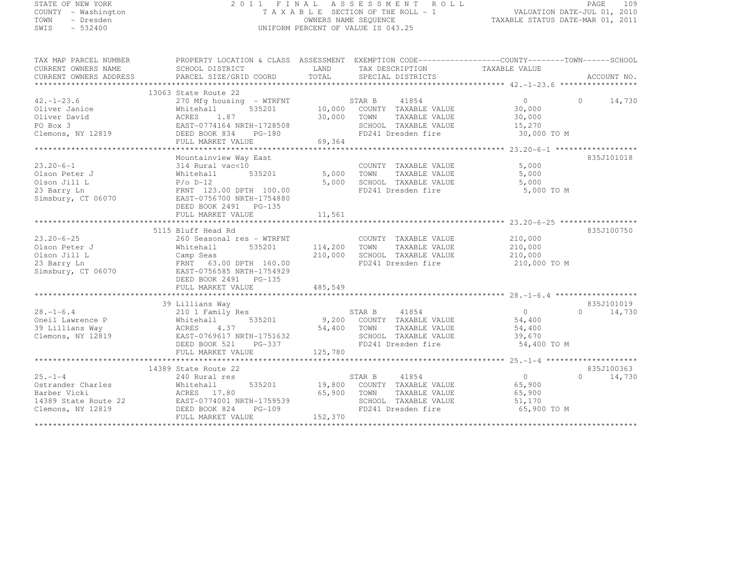| STATE OF NEW YORK                                                                                                                                                                                                                                                                                           |                                                                                               |       | 2011 FINAL ASSESSMENT ROLL                                        |                      | PAGE       | 109 |
|-------------------------------------------------------------------------------------------------------------------------------------------------------------------------------------------------------------------------------------------------------------------------------------------------------------|-----------------------------------------------------------------------------------------------|-------|-------------------------------------------------------------------|----------------------|------------|-----|
| - Washington<br>COUNTY                                                                                                                                                                                                                                                                                      |                                                                                               |       | T A X A B L E SECTION OF THE ROLL - 1 VALUATION DATE-JUL 01, 2010 |                      |            |     |
| TOWN<br>- Dresden                                                                                                                                                                                                                                                                                           |                                                                                               |       | OWNERS NAME SEQUENCE TAXABLE STATUS DATE-MAR 01, 2011             |                      |            |     |
| $-532400$<br>SWIS                                                                                                                                                                                                                                                                                           |                                                                                               |       | UNIFORM PERCENT OF VALUE IS 043.25                                |                      |            |     |
|                                                                                                                                                                                                                                                                                                             |                                                                                               |       |                                                                   |                      |            |     |
| TAX MAP PARCEL NUMBER THE PROPERTY LOCATION & CLASS ASSESSMENT EXEMPTION CODE---------------COUNTY--------TOWN------SCHOOL                                                                                                                                                                                  |                                                                                               |       |                                                                   |                      |            |     |
| CURRENT OWNERS NAME                                                                                                                                                                                                                                                                                         | SCHOOL DISTRICT                     LAND        TAX DESCRIPTION                 TAXABLE VALUE |       |                                                                   |                      |            |     |
|                                                                                                                                                                                                                                                                                                             |                                                                                               |       |                                                                   |                      |            |     |
|                                                                                                                                                                                                                                                                                                             |                                                                                               |       |                                                                   |                      |            |     |
|                                                                                                                                                                                                                                                                                                             | 13063 State Route 22                                                                          |       |                                                                   |                      |            |     |
| $42. - 1 - 23.6$                                                                                                                                                                                                                                                                                            | 270 Mfg housing - WTRFNT STAR B 41854                                                         |       |                                                                   | $\overline{0}$ 0     | 14,730     |     |
|                                                                                                                                                                                                                                                                                                             | Whitehall 535201 10,000 COUNTY TAXABLE VALUE 30,000                                           |       |                                                                   |                      |            |     |
|                                                                                                                                                                                                                                                                                                             |                                                                                               |       |                                                                   | TAXABLE VALUE 30,000 |            |     |
| PO Box 3                                                                                                                                                                                                                                                                                                    | EAST-0774164 NRTH-1728508                                                                     |       | SCHOOL TAXABLE VALUE 15,270                                       |                      |            |     |
| Clemons, NY 12819 DEED BOOK 834 PG-180                                                                                                                                                                                                                                                                      |                                                                                               |       | FD241 Dresden fire 30,000 TO M                                    |                      |            |     |
|                                                                                                                                                                                                                                                                                                             |                                                                                               |       |                                                                   |                      |            |     |
|                                                                                                                                                                                                                                                                                                             |                                                                                               |       |                                                                   |                      |            |     |
|                                                                                                                                                                                                                                                                                                             | Mountainview Way East                                                                         |       |                                                                   |                      | 835J101018 |     |
| $23.20 - 6 - 1$                                                                                                                                                                                                                                                                                             | 314 Rural vac<10                                                                              |       | COUNTY TAXABLE VALUE                                              | 5,000                |            |     |
|                                                                                                                                                                                                                                                                                                             |                                                                                               |       | TAXABLE VALUE<br>TOWN                                             | 5,000                |            |     |
| Olson Jill L                                                                                                                                                                                                                                                                                                | $P/O$ D-12                                                                                    | 5,000 | SCHOOL TAXABLE VALUE                                              | 5,000                |            |     |
| 23 Barry Ln                                                                                                                                                                                                                                                                                                 | FRNT 123.00 DPTH 100.00                                                                       |       | FD241 Dresden fire 5,000 TO M                                     |                      |            |     |
| $\mathbf{r}$ , $\mathbf{r}$ , $\mathbf{r}$ , $\mathbf{r}$ , $\mathbf{r}$ , $\mathbf{r}$ , $\mathbf{r}$ , $\mathbf{r}$ , $\mathbf{r}$ , $\mathbf{r}$ , $\mathbf{r}$ , $\mathbf{r}$ , $\mathbf{r}$ , $\mathbf{r}$ , $\mathbf{r}$ , $\mathbf{r}$ , $\mathbf{r}$ , $\mathbf{r}$ , $\mathbf{r}$ , $\mathbf{r}$ , |                                                                                               |       |                                                                   |                      |            |     |

Simsbury, CT 06070 EAST-0756700 NRTH-1754880

DEED BOOK 2491 PG-135

|                               | FULL MARKET VALUE                            | 11,561   |        |                                   |                |         |            |
|-------------------------------|----------------------------------------------|----------|--------|-----------------------------------|----------------|---------|------------|
|                               |                                              |          |        |                                   |                |         |            |
|                               | 5115 Bluff Head Rd                           |          |        |                                   |                |         | 835J100750 |
| $23.20 - 6 - 25$              | 260 Seasonal res - WTRFNT                    |          |        | COUNTY TAXABLE VALUE              | 210,000        |         |            |
| Olson Peter J                 | 535201 114,200<br>Whitehall                  |          | TOWN   | TAXABLE VALUE                     | 210,000        |         |            |
| Olson Jill L<br>Camp Seas     |                                              | 210,000  |        | SCHOOL TAXABLE VALUE              | 210,000        |         |            |
| 23 Barry Ln                   | FRNT 63.00 DPTH 160.00                       |          |        | FD241 Dresden fire                | 210,000 TO M   |         |            |
| Simsbury, CT 06070            | EAST-0756585 NRTH-1754929                    |          |        |                                   |                |         |            |
|                               | DEED BOOK 2491 PG-135                        |          |        |                                   |                |         |            |
|                               | FULL MARKET VALUE                            | 485,549  |        |                                   |                |         |            |
|                               |                                              |          |        |                                   |                |         |            |
|                               | 39 Lillians Way                              |          |        |                                   |                |         | 835J101019 |
| $28. - 1 - 6.4$               | 210 1 Family Res                             |          | STAR B | 41854                             | $\overline{0}$ | $\circ$ | 14,730     |
| Whitehall<br>Oneil Lawrence P |                                              |          |        | 535201 9,200 COUNTY TAXABLE VALUE | 54,400         |         |            |
| 39 Lillians Way               | ACRES 4.37                                   | 54,400   | TOWN   | TAXABLE VALUE                     | 54,400         |         |            |
| Clemons, NY 12819             | EAST-0769617 NRTH-1751632                    |          |        | SCHOOL TAXABLE VALUE              | 39,670         |         |            |
|                               | DEED BOOK 521<br>$PG-337$                    |          |        | FD241 Dresden fire 54,400 TO M    |                |         |            |
|                               | FULL MARKET VALUE                            | 125,780  |        |                                   |                |         |            |
|                               |                                              |          |        |                                   |                |         |            |
|                               | 14389 State Route 22                         |          |        |                                   |                |         | 835J100363 |
| $25. - 1 - 4$                 | 240 Rural res                                |          | STAR B | 41854                             | $\Omega$       | $\circ$ | 14,730     |
| Ostrander Charles             | 535201 19,800<br>es Whitehall<br>ACRES 17.80 |          |        | COUNTY TAXABLE VALUE              | 65,900         |         |            |
| Barber Vicki                  |                                              | 65,900   | TOWN   | TAXABLE VALUE                     | 65,900         |         |            |
| 14389 State Route 22          | EAST-0774001 NRTH-1759539                    |          |        | SCHOOL TAXABLE VALUE              | 51,170         |         |            |
| Clemons, NY 12819             | DEED BOOK 824                                | $PG-109$ |        | FD241 Dresden fire                | 65,900 TO M    |         |            |
|                               | FULL MARKET VALUE                            | 152,370  |        |                                   |                |         |            |
|                               | ********************                         |          |        |                                   |                |         |            |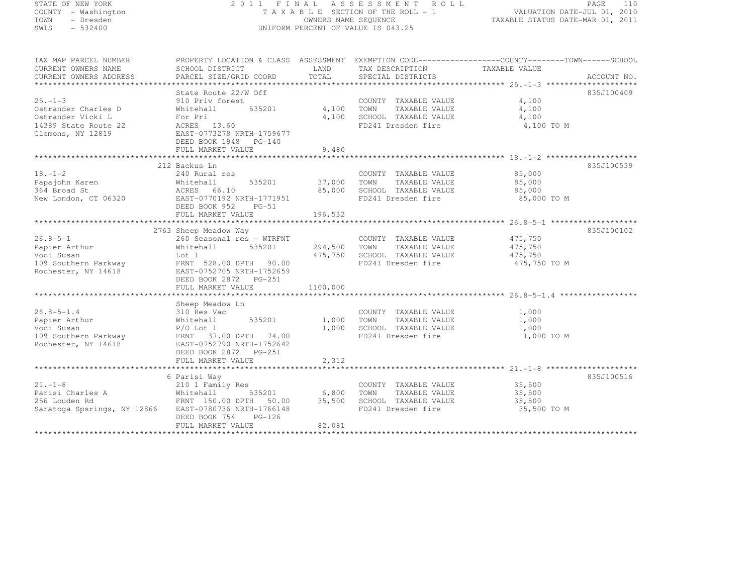| STATE OF NEW YORK   |  |           |
|---------------------|--|-----------|
| COUNTY - Washington |  |           |
| TOWN                |  | - Dresden |
| SWIS                |  | $-532400$ |

#### STATE OF NEW YORK 2 0 1 1 F I N A L A S S E S S M E N T R O L L PAGE <sup>110</sup> COUNTY - Washington T A X A B L E SECTION OF THE ROLL - 1 VALUATION DATE-JUL 01, 2010 TOWN - Dresden OWNERS NAME SEQUENCE TAXABLE STATUS DATE-MAR 01, 2011<br>- TRESDEN ON THE SEQUENCE TO A SECUENCE TO BE SERVED ON THE SEQUENCE OF SEXUE OF THE STATUS DATE MAR 01, 2011 SWIS - 532400 UNIFORM PERCENT OF VALUE IS 043.25

| TAX MAP PARCEL NUMBER<br>CURRENT OWNERS NAME<br>CURRENT OWNERS ADDRESS                                 | PROPERTY LOCATION & CLASS ASSESSMENT EXEMPTION CODE----------------COUNTY-------TOWN------SCHOOL<br>SCHOOL DISTRICT<br>PARCEL SIZE/GRID COORD                              | LAND<br>TOTAL             | TAX DESCRIPTION TAXABLE VALUE<br>SPECIAL DISTRICTS                                                  |                                               | ACCOUNT NO. |
|--------------------------------------------------------------------------------------------------------|----------------------------------------------------------------------------------------------------------------------------------------------------------------------------|---------------------------|-----------------------------------------------------------------------------------------------------|-----------------------------------------------|-------------|
| $25. - 1 - 3$<br>Ostrander Charles D<br>Ostrander Vicki L<br>14389 State Route 22<br>Clemons, NY 12819 | State Route 22/W Off<br>910 Priv forest<br>535201<br>Whitehall<br>For Pri<br>ACRES 13.60<br>EAST-0773278 NRTH-1759677<br>DEED BOOK 1948 PG-140                             | 4,100<br>4,100            | COUNTY TAXABLE VALUE<br>TAXABLE VALUE<br>TOWN<br>SCHOOL TAXABLE VALUE<br>FD241 Dresden fire         | 4,100<br>4,100<br>4,100<br>4,100 TO M         | 835J100409  |
|                                                                                                        | FULL MARKET VALUE                                                                                                                                                          | 9,480                     |                                                                                                     |                                               |             |
|                                                                                                        |                                                                                                                                                                            |                           |                                                                                                     |                                               |             |
|                                                                                                        | 212 Backus Ln                                                                                                                                                              |                           |                                                                                                     |                                               | 835J100539  |
| $18. - 1 - 2$<br>Papajohn Karen<br>364 Broad St<br>New London, CT 06320                                | 240 Rural res<br>535201<br>Whitehall<br>ACRES 66.10<br>EAST-0770192 NRTH-1771951<br>DEED BOOK 952<br>$PG-51$                                                               | 37,000<br>85,000          | COUNTY TAXABLE VALUE<br>TOWN<br>TAXABLE VALUE<br>SCHOOL TAXABLE VALUE<br>FD241 Dresden fire         | 85,000<br>85,000<br>85,000<br>85,000 TO M     |             |
|                                                                                                        | FULL MARKET VALUE                                                                                                                                                          | 196,532                   |                                                                                                     |                                               |             |
|                                                                                                        |                                                                                                                                                                            |                           |                                                                                                     |                                               |             |
|                                                                                                        | 2763 Sheep Meadow Way                                                                                                                                                      |                           |                                                                                                     |                                               | 835J100102  |
| $26.8 - 5 - 1$<br>Papier Arthur<br>Voci Susan<br>109 Southern Parkway<br>Rochester, NY 14618           | 260 Seasonal res - WTRFNT<br>535201<br>Whitehall<br>Lot 1<br>FRNT 528.00 DPTH 90.00<br>EAST-0752705 NRTH-1752659<br>DEED BOOK 2872 PG-251                                  | 294,500                   | COUNTY TAXABLE VALUE<br>TOWN<br>TAXABLE VALUE<br>475,750 SCHOOL TAXABLE VALUE<br>FD241 Dresden fire | 475,750<br>475,750<br>475,750<br>475,750 TO M |             |
|                                                                                                        | FULL MARKET VALUE                                                                                                                                                          | 1100,000                  |                                                                                                     |                                               |             |
|                                                                                                        |                                                                                                                                                                            |                           |                                                                                                     |                                               |             |
| $26.8 - 5 - 1.4$<br>Papier Arthur<br>Voci Susan<br>109 Southern Parkway<br>Rochester, NY 14618         | Sheep Meadow Ln<br>310 Res Vac<br>Whitehall<br>535201<br>$P/O$ Lot $1$<br>FRNT 37.00 DPTH 74.00<br>EAST-0752790 NRTH-1752642<br>DEED BOOK 2872 PG-251<br>FULL MARKET VALUE | 1,000<br>1,000<br>2,312   | COUNTY TAXABLE VALUE<br>TOWN<br>TAXABLE VALUE<br>SCHOOL TAXABLE VALUE<br>FD241 Dresden fire         | 1,000<br>1,000<br>1,000<br>1,000 TO M         |             |
|                                                                                                        |                                                                                                                                                                            |                           |                                                                                                     |                                               |             |
| $21 - 1 - 8$<br>$21. -1 - 6$<br>Parisi Charles A<br>Saratoga Spsrings, NY 12866                        | 6 Parisi Way<br>210 1 Family Res<br>Whitehall<br>535201<br>FRNT 150.00 DPTH 50.00<br>EAST-0780736 NRTH-1766148<br>DEED BOOK 754<br>$PG-126$<br>FULL MARKET VALUE           | 6,800<br>35,500<br>82,081 | COUNTY TAXABLE VALUE<br>TAXABLE VALUE<br>TOWN<br>SCHOOL TAXABLE VALUE<br>FD241 Dresden fire         | 35,500<br>35,500<br>35,500<br>35,500 TO M     | 835J100516  |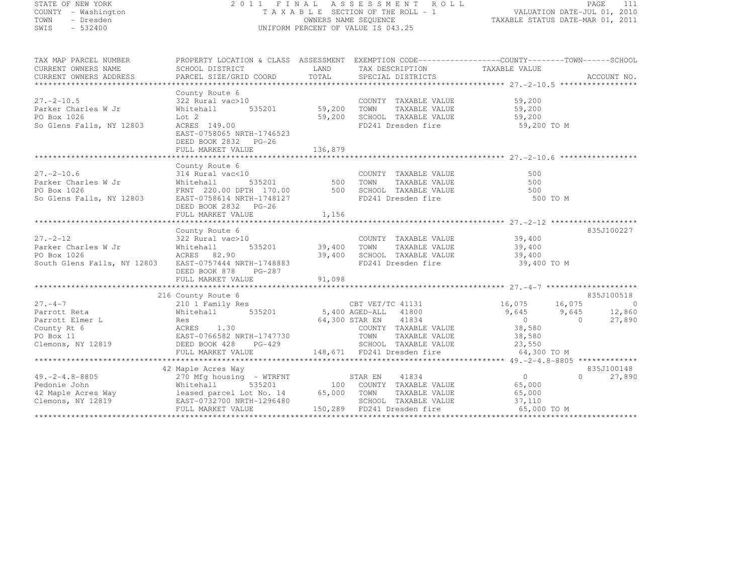| STATE OF NEW YORK   |  |           |
|---------------------|--|-----------|
| COUNTY - Washington |  |           |
| TOWN                |  | - Dresden |
| SWIS                |  | $-532400$ |

# STATE OF NEW YORK 2 0 1 1 F I N A L A S S E S S M E N T R O L L PAGE <sup>111</sup> COUNTY - Washington T A X A B L E SECTION OF THE ROLL - 1 VALUATION DATE-JUL 01, 2010 TOWN - Dresden OWNERS NAME SEQUENCE TAXABLE STATUS DATE-MAR 01, 2011<br>- TRESDEN ON THE SEQUENCE TO A SECUENCE TO BE SERVED ON THE SEQUENCE OF SEXUE OF THE STATUS DATE MAR 01, 2011 SWIS - 532400 UNIFORM PERCENT OF VALUE IS 043.25

| CURRENT OWNERS NAME                                                                                                                                       | SCHOOL DISTRICT                                                                | LAND    | TAX DESCRIPTION                                                       | TAXABLE VALUE                              |                              |
|-----------------------------------------------------------------------------------------------------------------------------------------------------------|--------------------------------------------------------------------------------|---------|-----------------------------------------------------------------------|--------------------------------------------|------------------------------|
| CURRENT OWNERS ADDRESS                                                                                                                                    | PARCEL SIZE/GRID COORD                                                         | TOTAL   | SPECIAL DISTRICTS                                                     |                                            | ACCOUNT NO.                  |
|                                                                                                                                                           |                                                                                |         |                                                                       |                                            |                              |
| $27. - 2 - 10.5$<br>Parker Charles W Jr<br>PO Box 1026                                                                                                    | County Route 6<br>322 Rural vac>10<br>535201 59,200<br>Whitehall<br>Lot 2      | 59,200  | COUNTY TAXABLE VALUE<br>TAXABLE VALUE<br>TOWN                         | 59,200<br>59,200                           |                              |
| So Glens Falls, NY 12803                                                                                                                                  | ACRES 149.00<br>EAST-0758065 NRTH-1746523<br>DEED BOOK 2832 PG-26              |         | SCHOOL TAXABLE VALUE<br>FD241 Dresden fire                            | 59,200<br>59,200 TO M<br>59,200 TO M       |                              |
|                                                                                                                                                           | FULL MARKET VALUE                                                              | 136,879 |                                                                       |                                            |                              |
|                                                                                                                                                           |                                                                                |         |                                                                       |                                            |                              |
| $27. - 2 - 10.6$<br>Parker Charles W Jr<br>PO Box 1026                                                                                                    | County Route 6<br>314 Rural vac<10<br>Whitehall<br>FRNT 220.00 DPTH 170.00 500 |         | COUNTY TAXABLE VALUE<br>TAXABLE VALUE<br>TOWN<br>SCHOOL TAXABLE VALUE | 500<br>500<br>500                          |                              |
| So Glens Falls, NY 12803                                                                                                                                  | EAST-0758614 NRTH-1748127<br>DEED BOOK 2832 PG-26<br>FULL MARKET VALUE         | 1,156   | FD241 Dresden fire                                                    | 500 TO M                                   |                              |
|                                                                                                                                                           |                                                                                |         |                                                                       |                                            |                              |
|                                                                                                                                                           | County Route 6                                                                 |         |                                                                       |                                            | 835J100227                   |
| $27. - 2 - 12$                                                                                                                                            | 322 Rural vac>10                                                               |         | COUNTY TAXABLE VALUE 39,400                                           |                                            |                              |
| Parker Charles W Jr<br>ACRES 82.90<br>PO Box 1026                                                                                                         | 535201 39,400<br>Whitehall                                                     |         | TOWN TAXABLE VALUE                                                    | 39,400                                     |                              |
| South Glens Falls, NY 12803 EAST-0757444 NRTH-1748883                                                                                                     | DEED BOOK 878 PG-287                                                           | 39,400  | SCHOOL TAXABLE VALUE 39,400<br>FD241 Dresden fire                     | 39,400 TO M                                |                              |
|                                                                                                                                                           |                                                                                |         |                                                                       |                                            |                              |
|                                                                                                                                                           |                                                                                |         |                                                                       |                                            |                              |
| $27 - 4 - 7$                                                                                                                                              | 216 County Route 6                                                             |         | CBT VET/TC 41131 16,075 16,075                                        |                                            | 835J100518<br>$\overline{0}$ |
| Parrott Reta                                                                                                                                              | 210 1 Family Res<br>Whitehall                                                  |         | 535201 5,400 AGED-ALL 41800                                           | $9,645$ $9,645$                            | 12,860                       |
|                                                                                                                                                           |                                                                                |         | 64,300 STAR EN 41834                                                  |                                            | 27,890<br>$\overline{0}$     |
|                                                                                                                                                           |                                                                                |         | COUNTY TAXABLE VALUE                                                  | $\begin{array}{c} 0 \\ 38,580 \end{array}$ |                              |
|                                                                                                                                                           |                                                                                |         | TOWN                                                                  | TAXABLE VALUE 38,580                       |                              |
| Clemons, NY 12819 DEED BOOK 428                                                                                                                           | $PG-429$                                                                       |         | SCHOOL TAXABLE VALUE 23,550                                           |                                            |                              |
|                                                                                                                                                           |                                                                                |         |                                                                       |                                            |                              |
|                                                                                                                                                           |                                                                                |         |                                                                       |                                            |                              |
|                                                                                                                                                           | 42 Maple Acres Way                                                             |         |                                                                       |                                            | 835J100148                   |
| $49. -2 - 4.8 - 8805$                                                                                                                                     | 270 Mfg housing - WTRFNT STAR EN                                               |         | 41834                                                                 | $\overline{0}$                             | $\Omega$<br>27,890           |
|                                                                                                                                                           |                                                                                |         | 100 COUNTY TAXABLE VALUE                                              | 65,000                                     |                              |
| Pedonie John Mhitehall 535201 100 COUNTY<br>42 Maple Acres Way leased parcel Lot No. 14 65,000 TOWN<br>Clemons, NY 12819 EAST-0732700 NRTH-1296480 SCHOOL |                                                                                |         | TAXABLE VALUE                                                         | 65,000                                     |                              |
|                                                                                                                                                           |                                                                                |         | SCHOOL TAXABLE VALUE                                                  | 37,110                                     |                              |
|                                                                                                                                                           | FULL MARKET VALUE                                                              |         | 150,289 FD241 Dresden fire                                            | 65,000 TO M                                |                              |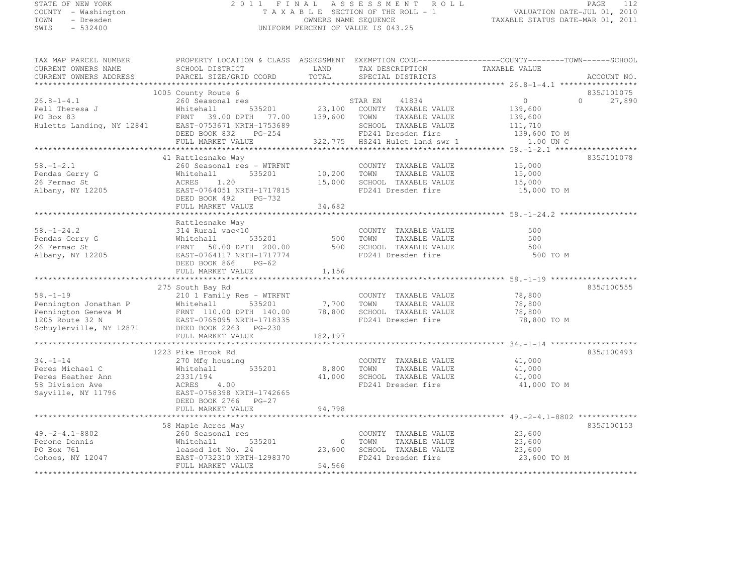# STATE OF NEW YORK 2 0 1 1 F I N A L A S S E S S M E N T R O L L PAGE <sup>112</sup> COUNTY - Washington T A X A B L E SECTION OF THE ROLL - 1 VALUATION DATE-JUL 01, 2010 TOWN - Dresden OWNERS NAME SEQUENCE TAXABLE STATUS DATE-MAR 01, 2011<br>- TRESDEN ON THE SEQUENCE TO A SECUENCE TO BE SERVED ON THE SEQUENCE OF SEXUE OF THE STATUS DATE MAR 01, 2011 SWIS - 532400 UNIFORM PERCENT OF VALUE IS 043.25

| CURRENT OWNERS NAME       | SCHOOL DISTRICT           | LAND    | TAX DESCRIPTION                | TAXABLE VALUE       |             |
|---------------------------|---------------------------|---------|--------------------------------|---------------------|-------------|
| CURRENT OWNERS ADDRESS    | PARCEL SIZE/GRID COORD    | TOTAL   | SPECIAL DISTRICTS              |                     | ACCOUNT NO. |
|                           |                           |         |                                |                     |             |
|                           | 1005 County Route 6       |         |                                |                     | 835J101075  |
| $26.8 - 1 - 4.1$          | 260 Seasonal res          |         | 41834<br>STAR EN               | $\circ$<br>$\Omega$ | 27,890      |
| Pell Theresa J            | 535201<br>Whitehall       |         | 23,100 COUNTY TAXABLE VALUE    | 139,600             |             |
| PO Box 83                 | FRNT 39.00 DPTH<br>77.00  | 139,600 | TOWN<br>TAXABLE VALUE          | 139,600             |             |
| Huletts Landing, NY 12841 | EAST-0753671 NRTH-1753689 |         | SCHOOL TAXABLE VALUE           | 111,710             |             |
|                           | DEED BOOK 832<br>$PG-254$ |         | FD241 Dresden fire             | 139,600 TO M        |             |
|                           | FULL MARKET VALUE         |         | 322,775 HS241 Hulet land swr 1 | 1.00 UN C           |             |
|                           |                           |         |                                |                     |             |
|                           | 41 Rattlesnake Way        |         |                                |                     | 835J101078  |
| $58. - 1 - 2.1$           | 260 Seasonal res - WTRFNT |         | COUNTY TAXABLE VALUE           | 15,000              |             |
| Pendas Gerry G            | Whitehall<br>535201       | 10,200  | TAXABLE VALUE<br>TOWN          | 15,000              |             |
| 26 Fermac St              | ACRES<br>1.20             | 15,000  | SCHOOL TAXABLE VALUE           | 15,000              |             |
| Albany, NY 12205          | EAST-0764051 NRTH-1717815 |         | FD241 Dresden fire             | 15,000 TO M         |             |
|                           | DEED BOOK 492<br>PG-732   |         |                                |                     |             |
|                           | FULL MARKET VALUE         | 34,682  |                                |                     |             |
|                           |                           |         |                                |                     |             |
|                           | Rattlesnake Way           |         |                                |                     |             |
| $58. - 1 - 24.2$          | 314 Rural vac<10          |         | COUNTY TAXABLE VALUE           | 500                 |             |
| Pendas Gerry G            | 535201<br>Whitehall       | 500     | TOWN<br>TAXABLE VALUE          | 500                 |             |
| 26 Fermac St              | FRNT 50.00 DPTH 200.00    | 500     | SCHOOL TAXABLE VALUE           | 500                 |             |
| Albany, NY 12205          | EAST-0764117 NRTH-1717774 |         | FD241 Dresden fire             | 500 TO M            |             |
|                           | DEED BOOK 866<br>$PG-62$  |         |                                |                     |             |
|                           | FULL MARKET VALUE         | 1,156   |                                |                     |             |
|                           |                           |         |                                |                     |             |
|                           | 275 South Bay Rd          |         |                                |                     | 835J100555  |
| $58. - 1 - 19$            | 210 1 Family Res - WTRFNT |         | COUNTY TAXABLE VALUE           | 78,800              |             |
| Pennington Jonathan P     | Whitehall<br>535201       | 7,700   | TOWN<br>TAXABLE VALUE          | 78,800              |             |
| Pennington Geneva M       | FRNT 110.00 DPTH 140.00   | 78,800  | SCHOOL TAXABLE VALUE           | 78,800              |             |
| 1205 Route 32 N           | EAST-0765095 NRTH-1718335 |         | FD241 Dresden fire             | 78,800 TO M         |             |
| Schuylerville, NY 12871   | DEED BOOK 2263 PG-230     |         |                                |                     |             |
|                           | FULL MARKET VALUE         | 182,197 |                                |                     |             |
|                           |                           |         |                                |                     |             |
|                           | 1223 Pike Brook Rd        |         |                                |                     | 835J100493  |
| $34. - 1 - 14$            | 270 Mfg housing           |         | COUNTY TAXABLE VALUE           | 41,000              |             |
| Peres Michael C           | Whitehall<br>535201       | 8,800   | TOWN<br>TAXABLE VALUE          | 41,000              |             |
| Peres Heather Ann         | 2331/194                  | 41,000  | SCHOOL TAXABLE VALUE           | 41,000              |             |
| 58 Division Ave           | ACRES<br>4.00             |         | FD241 Dresden fire             | 41,000 TO M         |             |
| Sayville, NY 11796        | EAST-0758398 NRTH-1742665 |         |                                |                     |             |
|                           | DEED BOOK 2766 PG-27      |         |                                |                     |             |
|                           | FULL MARKET VALUE         | 94,798  |                                |                     |             |
|                           |                           |         |                                |                     |             |
|                           | 58 Maple Acres Way        |         |                                |                     | 835J100153  |
| $49. -2 - 4.1 - 8802$     | 260 Seasonal res          |         | COUNTY TAXABLE VALUE           | 23,600              |             |
| Perone Dennis             | 535201<br>Whitehall       | $\circ$ | TOWN<br>TAXABLE VALUE          | 23,600              |             |
| PO Box 761                | leased lot No. 24         | 23,600  | SCHOOL TAXABLE VALUE           | 23,600              |             |
| Cohoes, NY 12047          | EAST-0732310 NRTH-1298370 |         | FD241 Dresden fire             | 23,600 TO M         |             |
|                           | FULL MARKET VALUE         | 54,566  |                                |                     |             |
|                           |                           |         |                                |                     |             |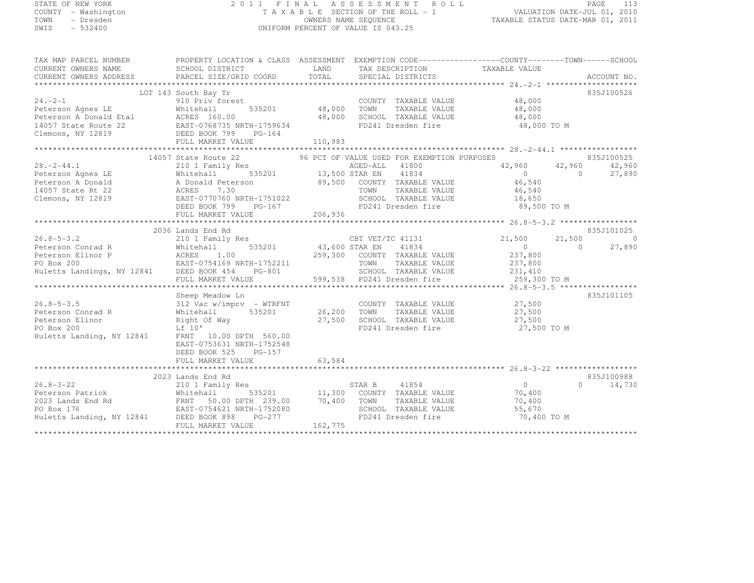#### STATE OF NEW YORK 2 0 1 1 F I N A L A S S E S S M E N T R O L L PAGE <sup>113</sup> COUNTY - Washington T A X A B L E SECTION OF THE ROLL - 1 VALUATION DATE-JUL 01, 2010 TOWN - Dresden OWNERS NAME SEQUENCE TAXABLE STATUS DATE-MAR 01, 2011<br>- TRESDEN ON THE SEQUENCE TO A SECUENCE TO BE SERVED ON THE SEQUENCE OF SEXUE OF THE STATUS DATE MAR 01, 2011 SWIS - 532400 UNIFORM PERCENT OF VALUE IS 043.25

| TAX MAP PARCEL NUMBER                                                                                                                                                                                                                                                       | PROPERTY LOCATION & CLASS ASSESSMENT EXEMPTION CODE-----------------COUNTY-------TOWN------SCHOOL                                                                                                                                                             |         |                                                          |             |               |
|-----------------------------------------------------------------------------------------------------------------------------------------------------------------------------------------------------------------------------------------------------------------------------|---------------------------------------------------------------------------------------------------------------------------------------------------------------------------------------------------------------------------------------------------------------|---------|----------------------------------------------------------|-------------|---------------|
| CORRENT OWNERS NAME SCHOOL DISTRICT CORRENT OWNERS NAME SCHOOL DISTRICT CORRENT OWNERS NAME SCHOOL DISTRICT LAND TAX DESCRIPTION TAXABLE VALUE (CORRENT OWNERS ADDRESS PARCEL SIZE/GRID COORD TOTAL SPECIAL DISTRICTS ACCOUNT                                               |                                                                                                                                                                                                                                                               |         |                                                          |             |               |
|                                                                                                                                                                                                                                                                             |                                                                                                                                                                                                                                                               |         |                                                          |             |               |
|                                                                                                                                                                                                                                                                             |                                                                                                                                                                                                                                                               |         |                                                          |             |               |
|                                                                                                                                                                                                                                                                             | South Bay Tr<br>910 Priv forest COUNT<br>Whitehall 535201 48,000 TOWN<br>LOT 143 South Bay Tr                                                                                                                                                                 |         |                                                          |             | 835J100526    |
| $24 - 2 - 1$                                                                                                                                                                                                                                                                |                                                                                                                                                                                                                                                               |         | COUNTY TAXABLE VALUE 48,000<br>TOWN TAXABLE VALUE 48,000 |             |               |
|                                                                                                                                                                                                                                                                             |                                                                                                                                                                                                                                                               |         |                                                          |             |               |
|                                                                                                                                                                                                                                                                             |                                                                                                                                                                                                                                                               |         |                                                          |             |               |
|                                                                                                                                                                                                                                                                             |                                                                                                                                                                                                                                                               |         |                                                          | 48,000 TO M |               |
|                                                                                                                                                                                                                                                                             |                                                                                                                                                                                                                                                               |         |                                                          |             |               |
|                                                                                                                                                                                                                                                                             |                                                                                                                                                                                                                                                               |         |                                                          |             |               |
|                                                                                                                                                                                                                                                                             |                                                                                                                                                                                                                                                               |         |                                                          |             |               |
|                                                                                                                                                                                                                                                                             | $\begin{tabular}{lllllllll} \bf 14057 \text{ State Route 22} & \text{96 PCT OF VALUE USB FOR EXEMPITION PURPOSES} & \text{835J100525} \\ \bf 210 1 Family Res & \text{AGED-ALL} & \text{41800} & \text{42,960} & \text{42,960} & \text{42,960} \end{tabular}$ |         |                                                          |             |               |
|                                                                                                                                                                                                                                                                             |                                                                                                                                                                                                                                                               |         |                                                          |             |               |
|                                                                                                                                                                                                                                                                             |                                                                                                                                                                                                                                                               |         |                                                          |             | 27,890        |
|                                                                                                                                                                                                                                                                             |                                                                                                                                                                                                                                                               |         |                                                          |             |               |
|                                                                                                                                                                                                                                                                             |                                                                                                                                                                                                                                                               |         |                                                          |             |               |
|                                                                                                                                                                                                                                                                             |                                                                                                                                                                                                                                                               |         |                                                          |             |               |
|                                                                                                                                                                                                                                                                             |                                                                                                                                                                                                                                                               |         |                                                          |             |               |
| 28.-2-44.1<br>214057 State Referson Agnes LE<br>210 1 Family Res<br>210 13,500 STAR EN 41800<br>21057 State Rt 22<br>21057 State Rt 22<br>216 22<br>216 22<br>22 2006 22 201 21 22<br>22 201 22 201 22<br>22 201 22 201 22<br>22 201 22 201 22<br>22 2<br>FULL MARKET VALUE |                                                                                                                                                                                                                                                               |         |                                                          |             |               |
|                                                                                                                                                                                                                                                                             |                                                                                                                                                                                                                                                               |         |                                                          |             |               |
|                                                                                                                                                                                                                                                                             | 2036 Lands End Rd                                                                                                                                                                                                                                             |         |                                                          |             | 835J101025    |
|                                                                                                                                                                                                                                                                             |                                                                                                                                                                                                                                                               |         |                                                          |             |               |
|                                                                                                                                                                                                                                                                             |                                                                                                                                                                                                                                                               |         |                                                          |             |               |
|                                                                                                                                                                                                                                                                             |                                                                                                                                                                                                                                                               |         |                                                          |             |               |
|                                                                                                                                                                                                                                                                             |                                                                                                                                                                                                                                                               |         |                                                          |             |               |
|                                                                                                                                                                                                                                                                             |                                                                                                                                                                                                                                                               |         |                                                          |             |               |
|                                                                                                                                                                                                                                                                             |                                                                                                                                                                                                                                                               |         |                                                          |             |               |
|                                                                                                                                                                                                                                                                             |                                                                                                                                                                                                                                                               |         |                                                          |             |               |
| 312 Vac w/imprv - WTRFNT<br>26.8-5-3.5<br>27,500<br>Peterson Conrad R<br>Peterson Elinor<br>27,500<br>Peterson Elinor<br>27,500<br>PO Box 200<br>27,500<br>ED241 Dresden fire<br>27,500<br>27,500<br>ED241 Dresden fire<br>27,500<br>27,500<br>27,500<br>27,500<br>         |                                                                                                                                                                                                                                                               |         |                                                          |             | 835J101105    |
|                                                                                                                                                                                                                                                                             |                                                                                                                                                                                                                                                               |         |                                                          |             |               |
|                                                                                                                                                                                                                                                                             |                                                                                                                                                                                                                                                               |         |                                                          |             |               |
|                                                                                                                                                                                                                                                                             |                                                                                                                                                                                                                                                               |         |                                                          |             |               |
|                                                                                                                                                                                                                                                                             |                                                                                                                                                                                                                                                               |         |                                                          | 27,500 TO M |               |
|                                                                                                                                                                                                                                                                             |                                                                                                                                                                                                                                                               |         |                                                          |             |               |
|                                                                                                                                                                                                                                                                             | EAST-0753631 NRTH-1752548                                                                                                                                                                                                                                     |         |                                                          |             |               |
|                                                                                                                                                                                                                                                                             | DEED BOOK 525 PG-157                                                                                                                                                                                                                                          |         |                                                          |             |               |
|                                                                                                                                                                                                                                                                             |                                                                                                                                                                                                                                                               |         |                                                          |             |               |
|                                                                                                                                                                                                                                                                             |                                                                                                                                                                                                                                                               |         |                                                          |             |               |
|                                                                                                                                                                                                                                                                             |                                                                                                                                                                                                                                                               |         |                                                          |             | 835J100988    |
|                                                                                                                                                                                                                                                                             |                                                                                                                                                                                                                                                               |         |                                                          |             | $0 \t 14,730$ |
|                                                                                                                                                                                                                                                                             |                                                                                                                                                                                                                                                               |         |                                                          |             |               |
|                                                                                                                                                                                                                                                                             |                                                                                                                                                                                                                                                               |         |                                                          |             |               |
|                                                                                                                                                                                                                                                                             |                                                                                                                                                                                                                                                               |         |                                                          |             |               |
|                                                                                                                                                                                                                                                                             |                                                                                                                                                                                                                                                               |         |                                                          | 70,400 TO M |               |
|                                                                                                                                                                                                                                                                             | FULL MARKET VALUE                                                                                                                                                                                                                                             | 162,775 |                                                          |             |               |
|                                                                                                                                                                                                                                                                             |                                                                                                                                                                                                                                                               |         |                                                          |             |               |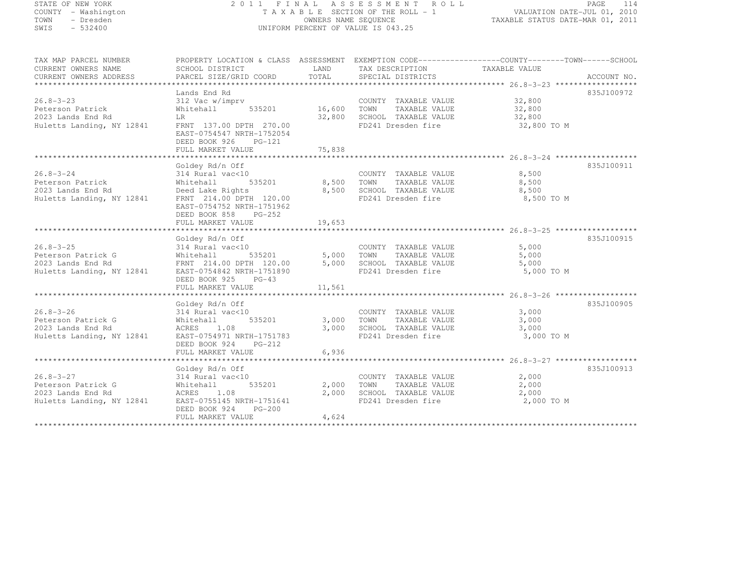#### STATE OF NEW YORK 2 0 1 1 F I N A L A S S E S S M E N T R O L L PAGE <sup>114</sup> COUNTY - Washington T A X A B L E SECTION OF THE ROLL - 1 VALUATION DATE-JUL 01, 2010 TOWN - Dresden OWNERS NAME SEQUENCE TAXABLE STATUS DATE-MAR 01, 2011<br>- TRESDEN ON THE SEQUENCE TO A SECUENCE TO BE SERVED ON THE SEQUENCE OF SEXUE OF THE STATUS DATE MAR 01, 2011 SWIS - 532400 UNIFORM PERCENT OF VALUE IS 043.25

| TAX MAP PARCEL NUMBER                          | PROPERTY LOCATION & CLASS ASSESSMENT EXEMPTION CODE-----------------COUNTY-------TOWN------SCHOOL  |                          |                                                          |               |            |
|------------------------------------------------|----------------------------------------------------------------------------------------------------|--------------------------|----------------------------------------------------------|---------------|------------|
| CURRENT OWNERS NAME                            | SCHOOL DISTRICT                                                                                    | LAND                     | TAX DESCRIPTION                                          | TAXABLE VALUE |            |
| CURRENT OWNERS ADDRESS                         |                                                                                                    |                          |                                                          |               |            |
|                                                |                                                                                                    |                          |                                                          |               |            |
|                                                | Lands End Rd                                                                                       |                          |                                                          |               | 835J100972 |
| $26.8 - 3 - 23$                                | 312 Vac w/imprv                                                                                    | COUNT<br>201 16,600 TOWN | COUNTY TAXABLE VALUE 32,800<br>TOWN TAXABLE VALUE 32.800 |               |            |
| Peterson Patrick                               | 535201<br>Whitehall                                                                                |                          | TAXABLE VALUE                                            | 32,800        |            |
| 2023 Lands End Rd                              | <b>LR</b>                                                                                          |                          | 32,800 SCHOOL TAXABLE VALUE 32,800                       |               |            |
| Huletts Landing, NY 12841                      | FRNT 137.00 DPTH 270.00                                                                            |                          | FD241 Dresden fire                                       | 32,800 TO M   |            |
|                                                | EAST-0754547 NRTH-1752054                                                                          |                          |                                                          |               |            |
|                                                | DEED BOOK 926<br>$PG-121$                                                                          |                          |                                                          |               |            |
|                                                |                                                                                                    |                          |                                                          |               |            |
|                                                |                                                                                                    |                          |                                                          |               |            |
|                                                | Goldey Rd/n Off                                                                                    |                          |                                                          |               | 835J100911 |
| $26.8 - 3 - 24$                                | 314 Rural vac<10                                                                                   |                          | COUNTY TAXABLE VALUE                                     | 8,500         |            |
| Peterson Patrick                               | Whitehall                                                                                          | 535201 8,500 TOWN        | TAXABLE VALUE                                            | 8,500         |            |
|                                                | Deed Lake Rights                                                                                   |                          | 8,500 SCHOOL TAXABLE VALUE                               | 8,500         |            |
| 2023 Lands End Rd<br>Huletts Landing, NY 12841 | FRNT 214.00 DPTH 120.00                                                                            |                          | FD241 Dresden fire                                       | 8,500 TO M    |            |
|                                                | EAST-0754752 NRTH-1751962                                                                          |                          |                                                          |               |            |
|                                                | DEED BOOK 858<br>PG-252                                                                            |                          |                                                          |               |            |
|                                                | FULL MARKET VALUE                                                                                  | 19,653                   |                                                          |               |            |
|                                                |                                                                                                    |                          |                                                          |               |            |
|                                                | Goldey Rd/n Off                                                                                    |                          |                                                          |               | 835J100915 |
| $26.8 - 3 - 25$                                | 314 Rural vac<10                                                                                   |                          | COUNTY TAXABLE VALUE                                     | 5,000         |            |
| Peterson Patrick G                             | Whitehall                                                                                          | 535201 5,000 TOWN        | TAXABLE VALUE                                            | 5,000         |            |
| 2023 Lands End Rd                              |                                                                                                    |                          |                                                          | 5,000         |            |
| Huletts Landing, NY 12841                      | FRNT 214.00 DPTH 120.00 5,000 SCHOOL TAXABLE VALUE<br>EAST-0754842 NRTH-1751890 FD241 Dresden fire |                          |                                                          | 5,000 TO M    |            |
|                                                | DEED BOOK 925 PG-43                                                                                |                          |                                                          |               |            |
|                                                |                                                                                                    |                          |                                                          |               |            |
| FULL MARKET VALUE $11,561$ $11,561$            |                                                                                                    |                          |                                                          |               |            |
|                                                |                                                                                                    |                          |                                                          |               | 835J100905 |
| $26.8 - 3 - 26$                                | Goldey Rd/n Off                                                                                    |                          |                                                          | 3,000         |            |
|                                                | 314 Rural vac<10<br>535201                                                                         |                          | COUNTY TAXABLE VALUE                                     |               |            |
| Peterson Patrick G                             | Whitehall                                                                                          | 3,000 TOWN               | TAXABLE VALUE                                            | 3,000         |            |
| Huletts Landing, NY 12841                      | ACRES<br>1.08                                                                                      | 3,000                    | SCHOOL TAXABLE VALUE                                     | 3,000         |            |
|                                                | EAST-0754971 NRTH-1751783                                                                          |                          | FD241 Dresden fire                                       | 3,000 TO M    |            |
|                                                | DEED BOOK 924<br>$PG-212$                                                                          |                          |                                                          |               |            |
|                                                | FULL MARKET VALUE                                                                                  | 6,936                    |                                                          |               |            |
|                                                |                                                                                                    |                          |                                                          |               |            |
|                                                | Goldey Rd/n Off                                                                                    |                          |                                                          |               | 835J100913 |
| $26.8 - 3 - 27$                                | 314 Rural vac<10                                                                                   |                          | COUNTY TAXABLE VALUE                                     | 2,000         |            |
| Peterson Patrick G                             | 535201<br>Whitehall                                                                                | 2,000 TOWN               | TAXABLE VALUE                                            | 2,000         |            |
| 2023 Lands End Rd<br>Huletts Landing, NY 12841 | ACRES<br>1.08                                                                                      | 2,000                    | SCHOOL TAXABLE VALUE                                     | 2,000         |            |
|                                                | EAST-0755145 NRTH-1751641                                                                          |                          | FD241 Dresden fire                                       | 2,000 TO M    |            |
|                                                | DEED BOOK 924<br>$PG-200$                                                                          |                          |                                                          |               |            |
|                                                | FULL MARKET VALUE                                                                                  | 4,624                    |                                                          |               |            |
|                                                |                                                                                                    |                          |                                                          |               |            |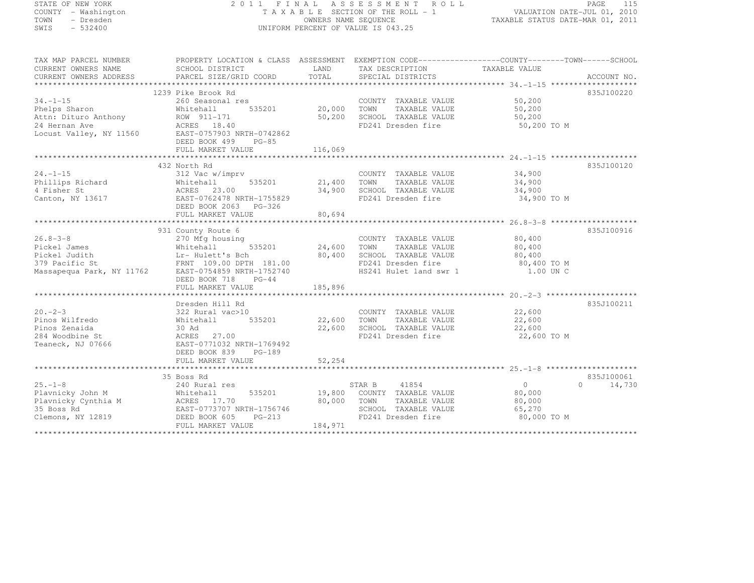#### STATE OF NEW YORK 2 0 1 1 F I N A L A S S E S S M E N T R O L L PAGE <sup>115</sup> COUNTY - Washington T A X A B L E SECTION OF THE ROLL - 1 VALUATION DATE-JUL 01, 2010 TOWN - Dresden OWNERS NAME SEQUENCE TAXABLE STATUS DATE-MAR 01, 2011<br>- TRESDEN ON THE SEQUENCE TO A SECUENCE TO BE SERVED ON THE SEQUENCE OF SEXUE OF THE STATUS DATE MAR 01, 2011 SWIS - 532400 UNIFORM PERCENT OF VALUE IS 043.25

| TAX MAP PARCEL NUMBER  | PROPERTY LOCATION & CLASS ASSESSMENT EXEMPTION CODE-----------------COUNTY-------TOWN------SCHOOL                                                                                                                                                    |         |                                                                          |                                       |                             |
|------------------------|------------------------------------------------------------------------------------------------------------------------------------------------------------------------------------------------------------------------------------------------------|---------|--------------------------------------------------------------------------|---------------------------------------|-----------------------------|
| CURRENT OWNERS NAME    | SCHOOL DISTRICT TAND TAX DESCRIPTION TAXABLE VALUE                                                                                                                                                                                                   |         |                                                                          |                                       |                             |
| CURRENT OWNERS ADDRESS |                                                                                                                                                                                                                                                      |         |                                                                          |                                       |                             |
|                        |                                                                                                                                                                                                                                                      |         |                                                                          |                                       |                             |
|                        | 1239 Pike Brook Rd                                                                                                                                                                                                                                   |         |                                                                          |                                       | 835J100220                  |
| $34. -1 - 15$          |                                                                                                                                                                                                                                                      |         | COUNTY TAXABLE VALUE 50,200                                              |                                       |                             |
|                        |                                                                                                                                                                                                                                                      |         |                                                                          |                                       |                             |
|                        |                                                                                                                                                                                                                                                      |         |                                                                          |                                       |                             |
|                        |                                                                                                                                                                                                                                                      |         |                                                                          | 50,200 TO M                           |                             |
|                        | -1-10<br>Phelps Sharon Michael Political Property 20,000 TOWN TAXABLE VALUE<br>20,000 TOWN TAXABLE VALUE<br>20,000 TOWN TAXABLE VALUE<br>50,200 SCHOOL TAXABLE VALUE<br>50,200 SCHOOL TAXABLE VALUE<br>50,200 SCHOOL TAXABLE VALUE<br>50,200         |         |                                                                          |                                       |                             |
|                        | DEED BOOK 499 PG-85                                                                                                                                                                                                                                  |         |                                                                          |                                       |                             |
|                        |                                                                                                                                                                                                                                                      |         |                                                                          |                                       |                             |
|                        | ${\small \newline \text{FULL} \text{MARKET} \newline \text{116,069} \newline \text{136,069} \newline }$                                                                                                                                              |         |                                                                          |                                       |                             |
|                        | 432 North Rd                                                                                                                                                                                                                                         |         |                                                                          |                                       | 835J100120                  |
|                        |                                                                                                                                                                                                                                                      |         | COUNTY TAXABLE VALUE 34,900                                              |                                       |                             |
|                        |                                                                                                                                                                                                                                                      |         |                                                                          |                                       |                             |
|                        |                                                                                                                                                                                                                                                      |         |                                                                          | 34,900<br>34,900                      |                             |
|                        | 24.-1-15<br>Phillips Richard 312 Vac w/imprv<br>4 Fisher St 23.00<br>Canton, NY 13617<br>Canton, NY 13617<br>Canton, NY 13617<br>Canton, NY 13617<br>Canton, NY 13617<br>Canton, NY 13617<br>Canton, NY 13617<br>Canton, NY 13617<br>Canton, NY 1361 |         | FD241 Dresden fire 34,900 TO M                                           |                                       |                             |
|                        | DEED BOOK 2063 PG-326                                                                                                                                                                                                                                |         |                                                                          |                                       |                             |
|                        | FULL MARKET VALUE                                                                                                                                                                                                                                    | 80,694  |                                                                          |                                       |                             |
|                        |                                                                                                                                                                                                                                                      |         |                                                                          |                                       |                             |
|                        | 931 County Route 6                                                                                                                                                                                                                                   |         |                                                                          |                                       | 835J100916                  |
| $26.8 - 3 - 8$         | 270 Mfg housing                                                                                                                                                                                                                                      |         | using<br>535201 24,600 TOWN TAXABLE VALUE<br>COUNTY TAXABLE VALUE 80,400 |                                       |                             |
|                        | 26.8-3-8 270 Mfg housing<br>Pickel James Whitehall 535201 24,600 TOWN TAXABLE VALUE 80,400<br>Pickel Judith Lr-Hulett's Bch 80,400 SCHOOL TAXABLE VALUE 80,400<br>379 Pacific St FRNT 109.00 DPTH 181.00<br>Massapequa Park, NY 11762                |         |                                                                          |                                       |                             |
|                        |                                                                                                                                                                                                                                                      |         |                                                                          |                                       |                             |
|                        |                                                                                                                                                                                                                                                      |         |                                                                          |                                       |                             |
|                        |                                                                                                                                                                                                                                                      |         |                                                                          |                                       |                             |
|                        | DEED BOOK 718<br>$PG-44$                                                                                                                                                                                                                             |         |                                                                          |                                       |                             |
|                        | FULL MARKET VALUE                                                                                                                                                                                                                                    | 185,896 |                                                                          |                                       |                             |
|                        |                                                                                                                                                                                                                                                      |         |                                                                          |                                       |                             |
|                        | Dresden Hill Rd                                                                                                                                                                                                                                      |         |                                                                          |                                       | 835J100211                  |
| $20. -2 - 3$           | Dresden Hill Rd<br>322 Rural vac>10                                                                                                                                                                                                                  |         | COUNTY TAXABLE VALUE 22,600                                              |                                       |                             |
| Pinos Wilfredo         | Whitehall 535201 22,600 TOWN                                                                                                                                                                                                                         |         |                                                                          | TAXABLE VALUE 22,600                  |                             |
| Pinos Zenaida          |                                                                                                                                                                                                                                                      |         |                                                                          |                                       |                             |
| 284 Woodbine St        | 30 Ad<br>22,600 SCHOOL TAXABLE VALUE<br>FD241 Dresden fire                                                                                                                                                                                           |         |                                                                          | 22,600<br>22,600 TO M                 |                             |
|                        | Teaneck, NJ 07666 EAST-0771032 NRTH-1769492                                                                                                                                                                                                          |         |                                                                          |                                       |                             |
|                        | DEED BOOK 839 PG-189                                                                                                                                                                                                                                 |         |                                                                          |                                       |                             |
|                        |                                                                                                                                                                                                                                                      |         |                                                                          |                                       |                             |
|                        |                                                                                                                                                                                                                                                      |         |                                                                          |                                       |                             |
|                        | 35 Boss Rd                                                                                                                                                                                                                                           |         |                                                                          |                                       | 835J100061                  |
|                        | Boss Rd<br>240 Rural res                                                                                                                                                                                                                             |         |                                                                          | $\begin{matrix}0\\80,000\end{matrix}$ | $0 \qquad \qquad$<br>14,730 |
|                        |                                                                                                                                                                                                                                                      |         |                                                                          |                                       |                             |
|                        |                                                                                                                                                                                                                                                      |         |                                                                          | TAXABLE VALUE 80,000                  |                             |
|                        |                                                                                                                                                                                                                                                      |         |                                                                          | 65,270                                |                             |
|                        |                                                                                                                                                                                                                                                      |         | SCHOOL TAXABLE VALUE<br>FD241 Dresden fire                               | 80,000 TO M                           |                             |
|                        | FULL MARKET VALUE                                                                                                                                                                                                                                    | 184,971 |                                                                          |                                       |                             |
|                        |                                                                                                                                                                                                                                                      |         |                                                                          |                                       |                             |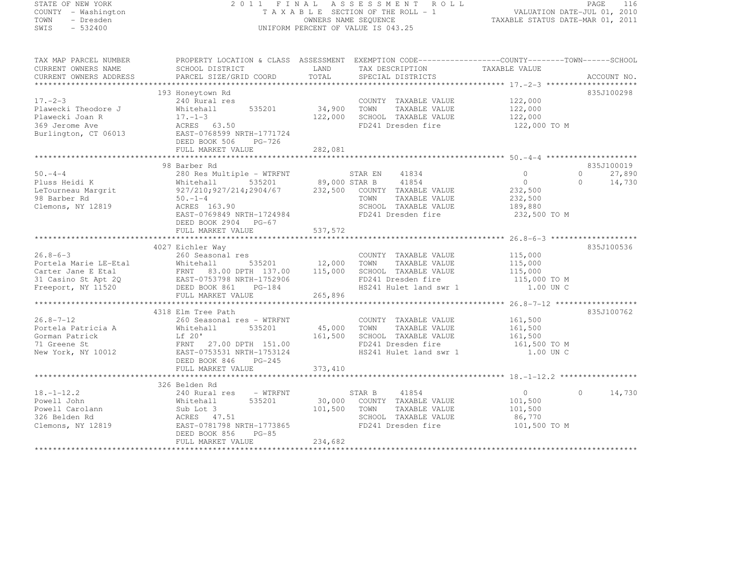# STATE OF NEW YORK 2 0 1 1 F I N A L A S S E S S M E N T R O L L PAGE <sup>116</sup> COUNTY - Washington T A X A B L E SECTION OF THE ROLL - 1 VALUATION DATE-JUL 01, 2010 TOWN - Dresden OWNERS NAME SEQUENCE TAXABLE STATUS DATE-MAR 01, 2011<br>- TRESDEN ON THE SEQUENCE TO A SECUENCE TO BE SERVED ON THE SEQUENCE OF SEXUE OF THE STATUS DATE MAR 01, 2011 SWIS - 532400 UNIFORM PERCENT OF VALUE IS 043.25

| TAX MAP PARCEL NUMBER<br>CURRENT OWNERS NAME<br>CURRENT OWNERS ADDRESS                            | SCHOOL DISTRICT<br><b>EXAMPLE SERVICE SERVICE SERVICE SERVICE SERVICE SERVICE SERVICE SERVICE SERVICE SERVICE SERVICE SERVICE SERVICE</b><br>PARCEL SIZE/GRID COORD            | TAX DESCRIPTION<br>TOTAL<br>SPECIAL DISTRICTS                                                                                                                                                | PROPERTY LOCATION & CLASS ASSESSMENT EXEMPTION CODE----------------COUNTY-------TOWN-----SCHOOL<br>TAXABLE VALUE<br>ACCOUNT NO. |
|---------------------------------------------------------------------------------------------------|--------------------------------------------------------------------------------------------------------------------------------------------------------------------------------|----------------------------------------------------------------------------------------------------------------------------------------------------------------------------------------------|---------------------------------------------------------------------------------------------------------------------------------|
| $17. - 2 - 3$<br>Plawecki Theodore J<br>Plawecki Joan R<br>369 Jerome Ave<br>Burlington, CT 06013 | 193 Honeytown Rd<br>240 Rural res<br>535201 34,900<br>Whitehall<br>$17. - 1 - 3$<br>ACRES 63.50<br>EAST-0768599 NRTH-1771724<br>DEED BOOK 506<br>PG-726<br>FULL MARKET VALUE   | COUNTY TAXABLE VALUE 122,000<br>TOWN<br>TAXABLE VALUE<br>122,000 SCHOOL TAXABLE VALUE<br>FD241 Dresden fire<br>282,081                                                                       | 835J100298<br>122,000<br>122,000<br>122,000 TO M                                                                                |
| $50 - 4 - 4$<br>Pluss Heidi K                                                                     | 98 Barber Rd                                                                                                                                                                   | --------- ---<br>280 Res Multiple - WTRFNT 59,000 STAR B 41854<br>927/210;927/214;2904/67 232,500 COUNTY TAXABLE VALUE                                                                       | 835J100019<br>$0 \qquad \qquad$<br>27,890<br>$\circ$<br>0<br>$\Omega$<br>14,730                                                 |
| LeTourneau Margrit<br>98 Barber Rd<br>98 Barber Rd<br>Clemons, NY 12819                           | $50. -1 - 4$<br>ACRES 163.90<br>EAST-0769849 NRTH-1724984<br>DEED BOOK 2904 PG-67                                                                                              | TOWN<br>TAXABLE VALUE<br>SCHOOL TAXABLE VALUE<br>FD241 Dresden fire                                                                                                                          | 232,500<br>232,500<br>189,880<br>232,500 TO M                                                                                   |
|                                                                                                   | FULL MARKET VALUE                                                                                                                                                              | 537, 572                                                                                                                                                                                     |                                                                                                                                 |
|                                                                                                   | 4027 Eichler Way                                                                                                                                                               |                                                                                                                                                                                              | 835J100536                                                                                                                      |
| $26.8 - 6 - 3$<br>Portela Marie LE-Etal                                                           | 260 Seasonal res<br>Whitehall<br>Carter Jane E Etal FRNT 83.00 DPTH 137.00 115,000<br>31 Casino St Apt 2Q EAST-0753798 NRTH-1752906<br>Freeport, NY 11520 DEED BOOK 861 PG-184 | COUNTY TAXABLE VALUE<br>12,000 TOWN 535201 12,000 TOWN<br>TAXABLE VALUE<br>SCHOOL TAXABLE VALUE<br>SCHOOL TAXABLE VALUE 115,000<br>FD241 Dresden fire 115,000 TO M<br>HS241 Hulet land swr 1 | 115,000<br>115,000<br>1.00 UN C                                                                                                 |
|                                                                                                   | FULL MARKET VALUE                                                                                                                                                              | 265,896                                                                                                                                                                                      |                                                                                                                                 |
| $26.8 - 7 - 12$<br>Portela Patricia A<br>Gorman Patrick<br>71 Greene St<br>New York, NY 10012     | 4318 Elm Tree Path<br>260 Seasonal res - WTRFNT<br>535201<br>Whitehall<br>Lf 20' 161,50<br>FRNT 27.00 DPTH 151.00<br>EAST-0753531 NRTH-1753124<br>DEED BOOK 846 PG-245         | COUNTY TAXABLE VALUE<br>$45,000$ TOWN<br>TAXABLE VALUE<br>161,500<br>SCHOOL TAXABLE VALUE<br>FD241 Dresden fire<br>HS241 Hulet land swr 1                                                    | 835J100762<br>161,500<br>161,500<br>161,500<br>161,500 TO M<br>1.00 UN C                                                        |
|                                                                                                   | FULL MARKET VALUE                                                                                                                                                              | 373, 410                                                                                                                                                                                     |                                                                                                                                 |
|                                                                                                   | 326 Belden Rd                                                                                                                                                                  |                                                                                                                                                                                              |                                                                                                                                 |
| $18. - 1 - 12.2$<br>Powell John<br>Powell Carolann<br>326 Belden Rd<br>Clemons, NY 12819          | 240 Rural res - WTRFNT<br>535201<br>Whitehall<br>Sub Lot 3<br>ACRES 47.51<br>EAST-0781798 NRTH-1773865<br>$PG-85$<br>DEED BOOK 856<br>FULL MARKET VALUE                        | STAR B 41854<br>30,000 COUNTY TAXABLE VALUE<br>101,500<br>TOWN<br>TAXABLE VALUE<br>SCHOOL TAXABLE VALUE<br>FD241 Dresden fire<br>234,682                                                     | 14,730<br>$\overline{0}$<br>$\Omega$<br>101,500<br>101,500<br>86,770<br>101,500 TO M                                            |
|                                                                                                   |                                                                                                                                                                                |                                                                                                                                                                                              |                                                                                                                                 |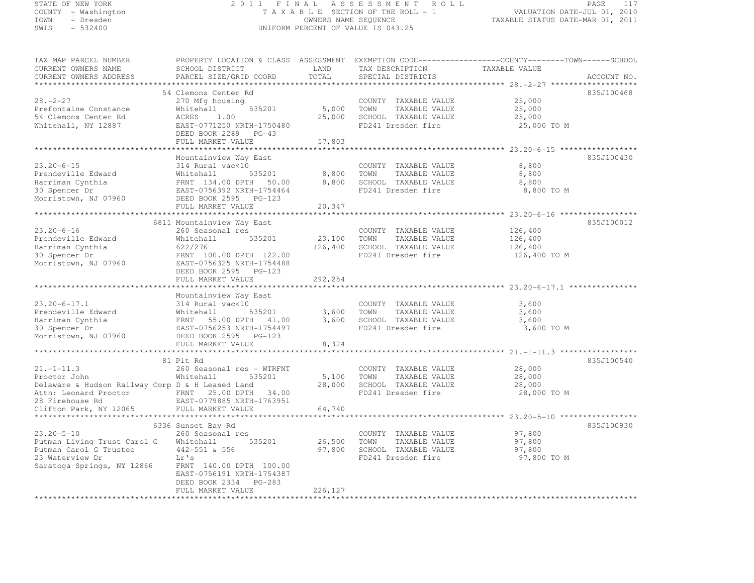## STATE OF NEW YORK 2 0 1 1 F I N A L A S S E S S M E N T R O L L PAGE <sup>117</sup> COUNTY - Washington T A X A B L E SECTION OF THE ROLL - 1 VALUATION DATE-JUL 01, 2010 TOWN - Dresden OWNERS NAME SEQUENCE TAXABLE STATUS DATE-MAR 01, 2011<br>- TRESDEN ON THE SEQUENCE TO A SECUENCE TO BE SERVED ON THE SEQUENCE OF SEXUE OF THE STATUS DATE MAR 01, 2011 SWIS - 532400 UNIFORM PERCENT OF VALUE IS 043.25

| CURRENT OWNERS NAME                                      | SCHOOL DISTRICT                                 | LAND    | TAX DESCRIPTION       | TAXABLE VALUE |  |
|----------------------------------------------------------|-------------------------------------------------|---------|-----------------------|---------------|--|
| CURRENT OWNERS ADDRESS                                   | PARCEL SIZE/GRID COORD                          | TOTAL   | SPECIAL DISTRICTS     | ACCOUNT NO.   |  |
| *********************                                    |                                                 |         |                       |               |  |
|                                                          | 54 Clemons Center Rd                            |         |                       | 835J100468    |  |
| $28. - 2 - 27$                                           | 270 Mfg housing                                 |         | COUNTY TAXABLE VALUE  | 25,000        |  |
| Prefontaine Constance                                    | 535201<br>Whitehall                             | 5,000   | TOWN<br>TAXABLE VALUE | 25,000        |  |
| 54 Clemons Center Rd                                     | ACRES<br>1.00                                   | 25,000  | SCHOOL TAXABLE VALUE  | 25,000        |  |
|                                                          |                                                 |         |                       |               |  |
| Whitehall, NY 12887                                      | EAST-0771250 NRTH-1750480                       |         | FD241 Dresden fire    | 25,000 TO M   |  |
|                                                          | DEED BOOK 2289 PG-43                            |         |                       |               |  |
|                                                          | FULL MARKET VALUE                               | 57,803  |                       |               |  |
|                                                          |                                                 |         |                       |               |  |
|                                                          | Mountainview Way East                           |         |                       | 835J100430    |  |
| $23.20 - 6 - 15$                                         | 314 Rural vac<10                                |         | COUNTY TAXABLE VALUE  | 8,800         |  |
| Prendeville Edward                                       | 535201<br>Whitehall                             | 8,800   | TAXABLE VALUE<br>TOWN | 8,800         |  |
| Harriman Cynthia                                         | FRNT 134.00 DPTH 50.00                          | 8,800   | SCHOOL TAXABLE VALUE  | 8,800         |  |
| 30 Spencer Dr                                            | EAST-0756392 NRTH-1754464                       |         | FD241 Dresden fire    | 8,800 TO M    |  |
| Morristown, NJ 07960                                     | DEED BOOK 2595 PG-123                           |         |                       |               |  |
|                                                          | FULL MARKET VALUE                               | 20,347  |                       |               |  |
|                                                          |                                                 |         |                       |               |  |
|                                                          |                                                 |         |                       |               |  |
|                                                          | 6811 Mountainview Way East                      |         |                       | 835J100012    |  |
| $23.20 - 6 - 16$                                         | 260 Seasonal res                                |         | COUNTY TAXABLE VALUE  | 126,400       |  |
| Prendeville Edward                                       | 535201<br>Whitehall                             | 23,100  | TOWN<br>TAXABLE VALUE | 126,400       |  |
| Harriman Cynthia                                         | 622/276                                         | 126,400 | SCHOOL TAXABLE VALUE  | 126,400       |  |
| 30 Spencer Dr                                            | FRNT 100.00 DPTH 122.00                         |         | FD241 Dresden fire    | 126,400 TO M  |  |
| Morristown, NJ 07960                                     | EAST-0756325 NRTH-1754488                       |         |                       |               |  |
|                                                          | DEED BOOK 2595 PG-123                           |         |                       |               |  |
|                                                          | FULL MARKET VALUE                               | 292,254 |                       |               |  |
|                                                          | **********************                          |         |                       |               |  |
|                                                          | Mountainview Way East                           |         |                       |               |  |
| $23.20 - 6 - 17.1$                                       | 314 Rural vac<10                                |         | COUNTY TAXABLE VALUE  | 3,600         |  |
|                                                          |                                                 |         |                       |               |  |
| Prendeville Edward                                       | Whitehall<br>535201                             | 3,600   | TOWN<br>TAXABLE VALUE | 3,600         |  |
| Harriman Cynthia                                         | FRNT 55.00 DPTH<br>41.00                        | 3,600   | SCHOOL TAXABLE VALUE  | 3,600         |  |
| 30 Spencer Dr                                            | EAST-0756253 NRTH-1754497                       |         | FD241 Dresden fire    | 3,600 TO M    |  |
| Morristown, NJ 07960                                     | DEED BOOK 2595 PG-123                           |         |                       |               |  |
|                                                          | FULL MARKET VALUE                               | 8,324   |                       |               |  |
|                                                          | **************************                      |         |                       |               |  |
|                                                          | 81 Pit Rd                                       |         |                       | 835J100540    |  |
| $21. -1 - 11.3$                                          | 260 Seasonal res - WTRFNT                       |         | COUNTY TAXABLE VALUE  | 28,000        |  |
| Proctor John                                             | Whitehall<br>535201                             | 5,100   | TOWN<br>TAXABLE VALUE | 28,000        |  |
| Delaware & Hudson Railway Corp D & H Leased Land         |                                                 | 28,000  | SCHOOL TAXABLE VALUE  | 28,000        |  |
|                                                          | 34.00                                           |         | FD241 Dresden fire    | 28,000 TO M   |  |
| Attn: Leonard Proctor FRNT 25.00 DPTH<br>28 Firehouse Rd | EAST-0779885 NRTH-1763951                       |         |                       |               |  |
|                                                          |                                                 |         |                       |               |  |
| Clifton Park, NY 12065                                   | FULL MARKET VALUE<br>*************************  | 64,740  |                       |               |  |
|                                                          |                                                 |         |                       |               |  |
|                                                          |                                                 |         |                       | 835J100930    |  |
|                                                          | 6336 Sunset Bay Rd                              |         |                       |               |  |
| $23.20 - 5 - 10$                                         | 260 Seasonal res                                |         | COUNTY TAXABLE VALUE  | 97,800        |  |
| Putman Living Trust Carol G                              | Whitehall<br>535201                             | 26,500  | TOWN<br>TAXABLE VALUE | 97,800        |  |
| Putman Carol G Trustee                                   | 442-551 & 556                                   | 97,800  | SCHOOL TAXABLE VALUE  | 97,800        |  |
| 23 Waterview Dr                                          | Lr's                                            |         | FD241 Dresden fire    | 97,800 TO M   |  |
|                                                          | FRNT 140.00 DPTH 100.00                         |         |                       |               |  |
| Saratoga Springs, NY 12866                               |                                                 |         |                       |               |  |
|                                                          | EAST-0756191 NRTH-1754387                       |         |                       |               |  |
|                                                          | DEED BOOK 2334<br>$PG-283$<br>FULL MARKET VALUE | 226,127 |                       |               |  |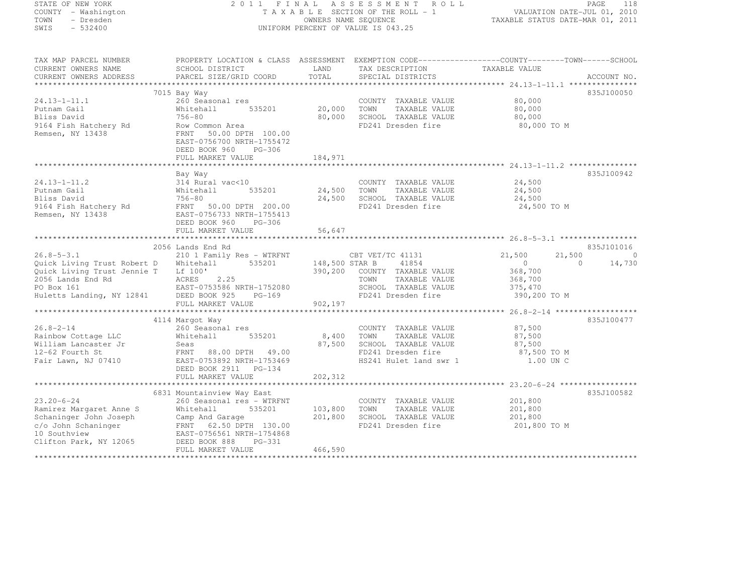#### STATE OF NEW YORK 2 0 1 1 F I N A L A S S E S S M E N T R O L L PAGE <sup>118</sup> COUNTY - Washington T A X A B L E SECTION OF THE ROLL - 1 VALUATION DATE-JUL 01, 2010 TOWN - Dresden OWNERS NAME SEQUENCE TAXABLE STATUS DATE-MAR 01, 2011<br>- TRESDEN ON THE SEQUENCE TO A SECUENCE TO BE SERVED ON THE SEQUENCE OF SEXUE OF THE STATUS DATE MAR 01, 2011 SWIS - 532400 CONTEXT CONTEXT OF VALUE IS 043.25

| CURRENT OWNERS NAME                                                                                                                    | SCHOOL DISTRICT                                                                                                                                                                                                                      | LAND                          | TAX DESCRIPTION                                                                                                       | TAXABLE VALUE                                          |                                              |
|----------------------------------------------------------------------------------------------------------------------------------------|--------------------------------------------------------------------------------------------------------------------------------------------------------------------------------------------------------------------------------------|-------------------------------|-----------------------------------------------------------------------------------------------------------------------|--------------------------------------------------------|----------------------------------------------|
| CURRENT OWNERS ADDRESS                                                                                                                 | PARCEL SIZE/GRID COORD                                                                                                                                                                                                               | TOTAL                         | SPECIAL DISTRICTS                                                                                                     |                                                        | ACCOUNT NO.                                  |
|                                                                                                                                        |                                                                                                                                                                                                                                      |                               |                                                                                                                       |                                                        |                                              |
| 24.13-1-11.1<br>Putnam Gail<br>Bliss David<br>9164 Fish Hatchery Rd<br>Remsen, NY 13438                                                | 7015 Bay Way<br>260 Seasonal res<br>535201<br>Whitehall<br>756-80<br>Row Common Area<br>FRNT 50.00 DPTH 100.00<br>EAST-0756700 NRTH-1755472<br>DEED BOOK 960<br>PG-306<br>FULL MARKET VALUE                                          | 20,000<br>80,000<br>184,971   | COUNTY TAXABLE VALUE<br>TOWN<br>TAXABLE VALUE<br>SCHOOL TAXABLE VALUE<br>FD241 Dresden fire                           | 80,000<br>80,000<br>80,000<br>80,000 TO M              | 835J100050                                   |
|                                                                                                                                        | Bay Way                                                                                                                                                                                                                              |                               |                                                                                                                       |                                                        | 835J100942                                   |
| 24.13-1-11.2<br>Putnam Gail<br>Bliss David<br>9164 Fish Hatchery Rd<br>Remsen, NY 13438                                                | 314 Rural vac<10<br>535201<br>Whitehall<br>756-80<br>FRNT 50.00 DPTH 200.00<br>EAST-0756733 NRTH-1755413<br>DEED BOOK 960<br>PG-306<br>FULL MARKET VALUE                                                                             | 24,500<br>24,500<br>56,647    | COUNTY TAXABLE VALUE<br>TOWN<br>TAXABLE VALUE<br>SCHOOL TAXABLE VALUE<br>FD241 Dresden fire                           | 24,500<br>24,500<br>24,500<br>24,500 TO M              |                                              |
|                                                                                                                                        |                                                                                                                                                                                                                                      | * * * * * * * * * * * * *     |                                                                                                                       |                                                        |                                              |
| $26.8 - 5 - 3.1$<br>Quick Living Trust Robert D<br>Quick Living Trust Jennie T<br>2056 Lands End Rd                                    | 2056 Lands End Rd<br>210 1 Family Res - WTRFNT<br>535201<br>Whitehall<br>Lf 100'<br>ACRES 2.25                                                                                                                                       | 148,500 STAR B<br>390,200     | CBT VET/TC 41131<br>41854<br>COUNTY TAXABLE VALUE<br>TOWN<br>TAXABLE VALUE                                            | 21,500<br>21,500<br>$\Omega$<br>368,700<br>368,700     | 835J101016<br>$\Omega$<br>14,730<br>$\Omega$ |
| PO Box 161<br>Huletts Landing, NY 12841 DEED BOOK 925                                                                                  | EAST-0753586 NRTH-1752080<br>PG-169<br>FULL MARKET VALUE                                                                                                                                                                             | 902,197                       | SCHOOL TAXABLE VALUE<br>FD241 Dresden fire                                                                            | 375,470<br>390,200 TO M                                |                                              |
|                                                                                                                                        | 4114 Margot Way                                                                                                                                                                                                                      |                               |                                                                                                                       |                                                        | 835J100477                                   |
| $26.8 - 2 - 14$<br>Rainbow Cottage LLC<br>William Lancaster Jr<br>12-62 Fourth St<br>Fair Lawn, NJ 07410                               | 260 Seasonal res<br>Whitehall<br>535201<br>Seas<br>FRNT 88.00 DPTH 49.00<br>EAST-0753892 NRTH-1753469<br>DEED BOOK 2911 PG-134                                                                                                       | 8,400<br>87,500               | COUNTY TAXABLE VALUE<br>TOWN<br>TAXABLE VALUE<br>SCHOOL TAXABLE VALUE<br>FD241 Dresden fire<br>HS241 Hulet land swr 1 | 87,500<br>87,500<br>87,500<br>87,500 TO M<br>1.00 UN C |                                              |
|                                                                                                                                        | FULL MARKET VALUE                                                                                                                                                                                                                    | 202,312                       |                                                                                                                       |                                                        |                                              |
|                                                                                                                                        |                                                                                                                                                                                                                                      |                               |                                                                                                                       |                                                        |                                              |
| $23.20 - 6 - 24$<br>Ramirez Marqaret Anne S<br>Schaninger John Joseph<br>c/o John Schaninger<br>10 Southview<br>Clifton Park, NY 12065 | 6831 Mountainview Way East<br>260 Seasonal res - WTRFNT<br>535201<br>Whitehall<br>Camp And Garage<br>ERNT 62.50 DPTH 130.00<br>EAST-0756561 WRTH 130.00<br>EAST-0756561 NRTH-1754868<br>DEED BOOK 888<br>PG-331<br>FULL MARKET VALUE | 103,800<br>201,800<br>466,590 | COUNTY TAXABLE VALUE<br>TOWN<br>TAXABLE VALUE<br>SCHOOL TAXABLE VALUE<br>FD241 Dresden fire                           | 201,800<br>201,800<br>201,800<br>201,800 TO M          | 835J100582                                   |
|                                                                                                                                        |                                                                                                                                                                                                                                      |                               |                                                                                                                       |                                                        |                                              |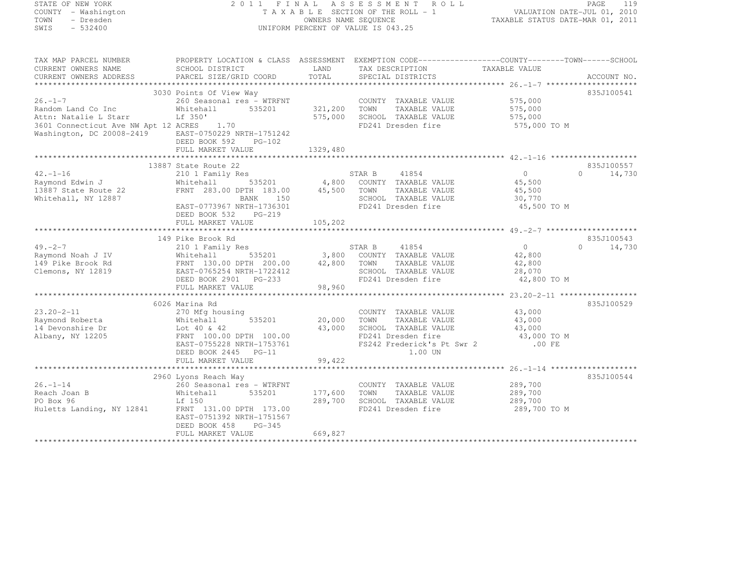#### STATE OF NEW YORK 2 0 1 1 F I N A L A S S E S S M E N T R O L L PAGE <sup>119</sup> COUNTY - Washington T A X A B L E SECTION OF THE ROLL - 1 VALUATION DATE-JUL 01, 2010 TOWN - Dresden OWNERS NAME SEQUENCE TAXABLE STATUS DATE-MAR 01, 2011<br>- TRESDEN ON THE SEQUENCE TO A SECUENCE TO BE SERVED ON THE SEQUENCE OF SEXUE OF THE STATUS DATE MAR 01, 2011 SWIS - 532400 UNIFORM PERCENT OF VALUE IS 043.25

| TAX MAP PARCEL NUMBER                                                                                                                                                                                                                                                                                                                                                                                                                                        |                                     |                    | PROPERTY LOCATION & CLASS ASSESSMENT EXEMPTION CODE----------------COUNTY-------TOWN------SCHOOL |                    |                    |
|--------------------------------------------------------------------------------------------------------------------------------------------------------------------------------------------------------------------------------------------------------------------------------------------------------------------------------------------------------------------------------------------------------------------------------------------------------------|-------------------------------------|--------------------|--------------------------------------------------------------------------------------------------|--------------------|--------------------|
| CURRENT OWNERS NAME                                                                                                                                                                                                                                                                                                                                                                                                                                          | SCHOOL DISTRICT                     | LAND               | TAX DESCRIPTION                                                                                  | TAXABLE VALUE      |                    |
| $\begin{minipage}{0.5cm} \begin{minipage}{0.5cm} \begin{minipage}{0.5cm} \begin{minipage}{0.5cm} \begin{minipage}{0.5cm} \begin{minipage}{0.5cm} \begin{minipage}{0.5cm} \begin{minipage}{0.5cm} \begin{minipage}{0.5cm} \begin{minipage}{0.5cm} \begin{minipage}{0.5cm} \begin{minipage}{0.5cm} \begin{minipage}{0.5cm} \begin{minipage}{0.5cm} \begin{minipage}{0.5cm} \begin{minipage}{0.5cm} \begin{minipage}{0.5cm} \begin{minipage}{0.5cm} \begin{min$ |                                     |                    |                                                                                                  |                    |                    |
|                                                                                                                                                                                                                                                                                                                                                                                                                                                              |                                     |                    |                                                                                                  |                    |                    |
|                                                                                                                                                                                                                                                                                                                                                                                                                                                              | 3030 Points Of View Way             |                    |                                                                                                  |                    | 835J100541         |
| $26. -1 - 7$                                                                                                                                                                                                                                                                                                                                                                                                                                                 | 260 Seasonal res - WTRFNT           |                    | COUNTY TAXABLE VALUE                                                                             | 575,000            |                    |
| Random Land Co Inc                                                                                                                                                                                                                                                                                                                                                                                                                                           | 535201<br>Whitehall                 | 321,200            | TOWN<br>TAXABLE VALUE                                                                            | 575,000            |                    |
| Attn: Natalie L Starr                                                                                                                                                                                                                                                                                                                                                                                                                                        | Lf 350'                             | 575,000            | SCHOOL TAXABLE VALUE                                                                             | 575,000            |                    |
| 3601 Connecticut Ave NW Apt 12 ACRES 1.70                                                                                                                                                                                                                                                                                                                                                                                                                    |                                     |                    | FD241 Dresden fire                                                                               | 575,000 TO M       |                    |
| Washington, DC 20008-2419 EAST-0750229 NRTH-1751242                                                                                                                                                                                                                                                                                                                                                                                                          |                                     |                    |                                                                                                  |                    |                    |
|                                                                                                                                                                                                                                                                                                                                                                                                                                                              | DEED BOOK 592<br>$PG-102$           |                    |                                                                                                  |                    |                    |
|                                                                                                                                                                                                                                                                                                                                                                                                                                                              | FULL MARKET VALUE                   | 1329,480           |                                                                                                  |                    |                    |
|                                                                                                                                                                                                                                                                                                                                                                                                                                                              |                                     |                    |                                                                                                  |                    |                    |
|                                                                                                                                                                                                                                                                                                                                                                                                                                                              | 13887 State Route 22                |                    |                                                                                                  |                    | 835J100557         |
| $42. - 1 - 16$                                                                                                                                                                                                                                                                                                                                                                                                                                               | 210 1 Family Res                    |                    | STAR B<br>41854                                                                                  | $\overline{0}$     | $\Omega$<br>14,730 |
| Raymond Edwin J                                                                                                                                                                                                                                                                                                                                                                                                                                              | Whitehall                           |                    | 535201 4,800 COUNTY TAXABLE VALUE                                                                | 45,500             |                    |
| 13887 State Route 22                                                                                                                                                                                                                                                                                                                                                                                                                                         | FRNT 283.00 DPTH 183.00 45,500 TOWN |                    | TAXABLE VALUE                                                                                    | 45,500             |                    |
| Whitehall, NY 12887                                                                                                                                                                                                                                                                                                                                                                                                                                          | BANK 150                            |                    | SCHOOL TAXABLE VALUE                                                                             | 30,770             |                    |
|                                                                                                                                                                                                                                                                                                                                                                                                                                                              | EAST-0773967 NRTH-1736301           |                    | FD241 Dresden fire                                                                               | 45,500 TO M        |                    |
|                                                                                                                                                                                                                                                                                                                                                                                                                                                              | DEED BOOK 532 PG-219                |                    |                                                                                                  |                    |                    |
|                                                                                                                                                                                                                                                                                                                                                                                                                                                              | FULL MARKET VALUE                   | 105,202            |                                                                                                  |                    |                    |
|                                                                                                                                                                                                                                                                                                                                                                                                                                                              |                                     |                    |                                                                                                  |                    |                    |
|                                                                                                                                                                                                                                                                                                                                                                                                                                                              | 149 Pike Brook Rd                   |                    |                                                                                                  |                    | 835J100543         |
| $49. -2 - 7$                                                                                                                                                                                                                                                                                                                                                                                                                                                 | 210 1 Family Res                    |                    | 41854<br>STAR B                                                                                  | $\overline{0}$     | $\Omega$<br>14,730 |
| Raymond Noah J IV                                                                                                                                                                                                                                                                                                                                                                                                                                            | Whitehall                           |                    | 535201 3,800 COUNTY TAXABLE VALUE                                                                | 42,800             |                    |
| 149 Pike Brook Rd                                                                                                                                                                                                                                                                                                                                                                                                                                            | FRNT 130.00 DPTH 200.00 42,800 TOWN |                    | TAXABLE VALUE                                                                                    | 42,800             |                    |
| Clemons, NY 12819                                                                                                                                                                                                                                                                                                                                                                                                                                            | EAST-0765254 NRTH-1722412           |                    | SCHOOL TAXABLE VALUE                                                                             | 28,070             |                    |
|                                                                                                                                                                                                                                                                                                                                                                                                                                                              | DEED BOOK 2901 PG-233               |                    | FD241 Dresden fire                                                                               | 42,800 TO M        |                    |
|                                                                                                                                                                                                                                                                                                                                                                                                                                                              | FULL MARKET VALUE                   | 98,960             |                                                                                                  |                    |                    |
|                                                                                                                                                                                                                                                                                                                                                                                                                                                              |                                     |                    |                                                                                                  |                    |                    |
|                                                                                                                                                                                                                                                                                                                                                                                                                                                              | 6026 Marina Rd                      |                    |                                                                                                  |                    | 835J100529         |
| $23.20 - 2 - 11$                                                                                                                                                                                                                                                                                                                                                                                                                                             | 270 Mfg housing                     |                    | COUNTY TAXABLE VALUE                                                                             | 43,000             |                    |
| Raymond Roberta                                                                                                                                                                                                                                                                                                                                                                                                                                              | 535201                              | 20,000             | TOWN<br>TAXABLE VALUE                                                                            | 43,000             |                    |
| Whitehall<br>Lot 40 & 42<br>14 Devonshire Dr                                                                                                                                                                                                                                                                                                                                                                                                                 |                                     | 43,000             | SCHOOL TAXABLE VALUE                                                                             | 43,000             |                    |
| Albany, NY 12205                                                                                                                                                                                                                                                                                                                                                                                                                                             | FRNT 100.00 DPTH 100.00             |                    | FD241 Dresden fire                                                                               | 43,000 TO M        |                    |
|                                                                                                                                                                                                                                                                                                                                                                                                                                                              | EAST-0755228 NRTH-1753761           |                    | FS242 Frederick's Pt Swr 2                                                                       | .00 FE             |                    |
|                                                                                                                                                                                                                                                                                                                                                                                                                                                              | DEED BOOK 2445 PG-11                |                    | 1.00 UN                                                                                          |                    |                    |
|                                                                                                                                                                                                                                                                                                                                                                                                                                                              | FULL MARKET VALUE                   | 99,422             |                                                                                                  |                    |                    |
|                                                                                                                                                                                                                                                                                                                                                                                                                                                              |                                     |                    |                                                                                                  |                    |                    |
|                                                                                                                                                                                                                                                                                                                                                                                                                                                              | 2960 Lyons Reach Way                |                    |                                                                                                  |                    | 835J100544         |
| $26. - 1 - 14$                                                                                                                                                                                                                                                                                                                                                                                                                                               | 260 Seasonal res - WTRFNT           |                    | COUNTY TAXABLE VALUE                                                                             | 289,700            |                    |
|                                                                                                                                                                                                                                                                                                                                                                                                                                                              |                                     |                    |                                                                                                  |                    |                    |
| Reach Joan B<br>PO Box 96                                                                                                                                                                                                                                                                                                                                                                                                                                    | 535201<br>Whitehall<br>Lf 150       | 177,600<br>289,700 | TOWN<br>TAXABLE VALUE<br>SCHOOL TAXABLE VALUE                                                    | 289,700<br>289,700 |                    |
| Huletts Landing, NY 12841 FRNT 131.00 DPTH 173.00                                                                                                                                                                                                                                                                                                                                                                                                            |                                     |                    |                                                                                                  |                    |                    |
|                                                                                                                                                                                                                                                                                                                                                                                                                                                              |                                     |                    | FD241 Dresden fire                                                                               | 289,700 TO M       |                    |
|                                                                                                                                                                                                                                                                                                                                                                                                                                                              | EAST-0751392 NRTH-1751567           |                    |                                                                                                  |                    |                    |
|                                                                                                                                                                                                                                                                                                                                                                                                                                                              | DEED BOOK 458<br>$PG-345$           |                    |                                                                                                  |                    |                    |
|                                                                                                                                                                                                                                                                                                                                                                                                                                                              | FULL MARKET VALUE                   | 669,827            |                                                                                                  |                    |                    |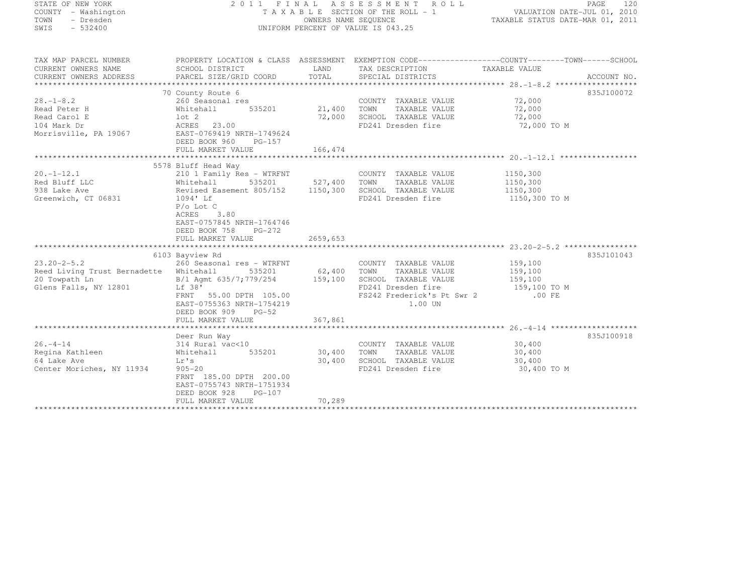| STATE OF NEW YORK |  |                     |  |
|-------------------|--|---------------------|--|
|                   |  | COUNTY - Washington |  |
| TOWN              |  | - Dresden           |  |
| SWIS              |  | $-532400$           |  |

#### STATE OF NEW YORK 2 0 1 1 F I N A L A S S E S S M E N T R O L L PAGE <sup>120</sup> COUNTY - Washington T A X A B L E SECTION OF THE ROLL - 1 VALUATION DATE-JUL 01, 2010 TOWN - Dresden OWNERS NAME SEQUENCE TAXABLE STATUS DATE-MAR 01, 2011<br>- TRESDEN ON THE SEQUENCE TO A SECUENCE TO BE SERVED ON THE SEQUENCE OF SEXUE OF THE STATUS DATE MAR 01, 2011 SWIS - 532400 - DISPORM PERCENT OF VALUE IS 043.25

| TAX MAP PARCEL NUMBER<br>CURRENT OWNERS NAME<br>CURRENT OWNERS ADDRESS | SCHOOL DISTRICT<br>PARCEL SIZE/GRID COORD                                                       | LAND<br>TOTAL | PROPERTY LOCATION & CLASS ASSESSMENT EXEMPTION CODE----------------COUNTY-------TOWN-----SCHOOL<br>TAX DESCRIPTION TAXABLE VALUE<br>SPECIAL DISTRICTS |                  | ACCOUNT NO. |
|------------------------------------------------------------------------|-------------------------------------------------------------------------------------------------|---------------|-------------------------------------------------------------------------------------------------------------------------------------------------------|------------------|-------------|
|                                                                        |                                                                                                 |               |                                                                                                                                                       |                  |             |
|                                                                        | 70 County Route 6                                                                               |               |                                                                                                                                                       |                  | 835J100072  |
| $28. - 1 - 8.2$<br>Read Peter H                                        | 260 Seasonal res<br>535201<br>Whitehall                                                         | 21,400        | COUNTY TAXABLE VALUE<br>TOWN<br>TAXABLE VALUE                                                                                                         | 72,000<br>72,000 |             |
| Read Carol E                                                           | lot 2                                                                                           | 72,000        | SCHOOL TAXABLE VALUE                                                                                                                                  | 72,000           |             |
| 104 Mark Dr                                                            | ACRES 23.00                                                                                     |               | FD241 Dresden fire                                                                                                                                    | 72,000 TO M      |             |
| Morrisville, PA 19067                                                  | EAST-0769419 NRTH-1749624<br>DEED BOOK 960<br>$PG-157$<br>FULL MARKET VALUE                     | 166,474       |                                                                                                                                                       |                  |             |
|                                                                        |                                                                                                 |               |                                                                                                                                                       |                  |             |
|                                                                        | 5578 Bluff Head Way                                                                             |               |                                                                                                                                                       |                  |             |
| $20. - 1 - 12.1$                                                       | 210 1 Family Res - WTRFNT                                                                       |               | COUNTY TAXABLE VALUE                                                                                                                                  | 1150,300         |             |
| Red Bluff LLC                                                          | 535201 527,400<br>Whitehall                                                                     |               | TOWN<br>TAXABLE VALUE                                                                                                                                 | 1150,300         |             |
| 938 Lake Ave                                                           | Revised Easement 805/152                                                                        | 1150,300      | SCHOOL TAXABLE VALUE                                                                                                                                  | 1150,300         |             |
| Greenwich, CT 06831                                                    | 1094' Lf                                                                                        |               | FD241 Dresden fire                                                                                                                                    | 1150,300 TO M    |             |
|                                                                        | $P/O$ Lot $C$<br>3.80<br>ACRES<br>EAST-0757845 NRTH-1764746<br>DEED BOOK 758<br>$PG-272$        |               |                                                                                                                                                       |                  |             |
|                                                                        | FULL MARKET VALUE                                                                               | 2659,653      |                                                                                                                                                       |                  |             |
|                                                                        |                                                                                                 |               |                                                                                                                                                       |                  |             |
|                                                                        | 6103 Bayview Rd                                                                                 |               |                                                                                                                                                       |                  | 835J101043  |
| $23.20 - 2 - 5.2$                                                      | 260 Seasonal res - WTRFNT                                                                       |               | COUNTY TAXABLE VALUE                                                                                                                                  | 159,100          |             |
| Reed Living Trust Bernadette Whitehall                                 |                                                                                                 | 535201 62,400 | TOWN<br>TAXABLE VALUE                                                                                                                                 | 159,100          |             |
| 20 Towpath Ln                                                          | B/1 Agmt 635/7;779/254                                                                          | 159,100       | SCHOOL TAXABLE VALUE                                                                                                                                  | 159,100          |             |
| Glens Falls, NY 12801                                                  | Lf 38'                                                                                          |               | FD241 Dresden fire                                                                                                                                    | 159,100 TO M     |             |
|                                                                        | FRNT 55.00 DPTH 105.00<br>EAST-0755363 NRTH-1754219<br>DEED BOOK 909<br>$PG-52$                 |               | FS242 Frederick's Pt Swr 2<br>1.00 UN                                                                                                                 | .00 FE           |             |
|                                                                        | FULL MARKET VALUE                                                                               | 367,861       |                                                                                                                                                       |                  |             |
|                                                                        |                                                                                                 |               |                                                                                                                                                       |                  |             |
|                                                                        | Deer Run Way                                                                                    |               |                                                                                                                                                       | 30,400           | 835J100918  |
| $26. - 4 - 14$                                                         | 314 Rural vac<10                                                                                |               | COUNTY TAXABLE VALUE                                                                                                                                  |                  |             |
| Regina Kathleen                                                        | Whitehall<br>535201                                                                             | 30,400        | TAXABLE VALUE<br>TOWN                                                                                                                                 | 30,400           |             |
| 64 Lake Ave                                                            | Lr's                                                                                            | 30,400        | SCHOOL TAXABLE VALUE                                                                                                                                  | 30,400           |             |
| Center Moriches, NY 11934                                              | $905 - 20$<br>FRNT 185.00 DPTH 200.00<br>EAST-0755743 NRTH-1751934<br>DEED BOOK 928<br>$PG-107$ |               | FD241 Dresden fire                                                                                                                                    | 30,400 TO M      |             |
|                                                                        | FULL MARKET VALUE                                                                               | 70,289        |                                                                                                                                                       |                  |             |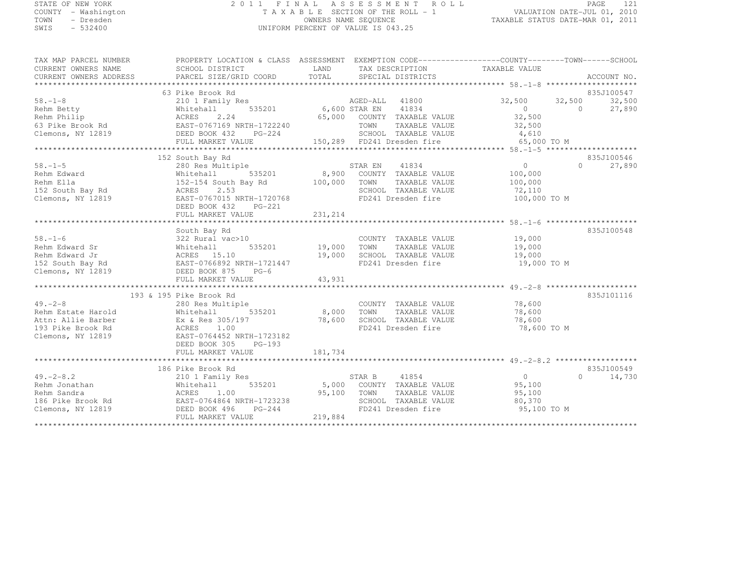# STATE OF NEW YORK 2 0 1 1 F I N A L A S S E S S M E N T R O L L PAGE <sup>121</sup> COUNTY - Washington T A X A B L E SECTION OF THE ROLL - 1 VALUATION DATE-JUL 01, 2010 TOWN - Dresden OWNERS NAME SEQUENCE TAXABLE STATUS DATE-MAR 01, 2011<br>- TRESDEN ON THE SEQUENCE TO A SECUENCE TO BE SERVED ON THE SEQUENCE OF SEXUE OF THE STATUS DATE MAR 01, 2011 SWIS - 532400 UNIFORM PERCENT OF VALUE IS 043.25

| TAX MAP PARCEL NUMBER<br>CURRENT OWNERS NAME<br>CURRENT OWNERS ADDRESS                                                                                                                                                                                                                                                                                                                                                                           | PROPERTY LOCATION & CLASS ASSESSMENT EXEMPTION CODE----------------COUNTY-------TOWN-----SCHOOL<br>SCHOOL DISTRICT<br>PARCEL SIZE/GRID COORD                                     | <b>EXAMPLE IN THE EXAMPLE IN THE EXAMPLE IN THE EXAMPLE IN THE EXAMPLE IN THE EXAMPLE IN THE EXAMPLE IN THE EXAMPLE IN</b> | TAX DESCRIPTION TAXABLE VALUE<br>TOTAL SPECIAL DISTRICTS                                                                                   |                                                                                                                         | ACCOUNT NO.                      |
|--------------------------------------------------------------------------------------------------------------------------------------------------------------------------------------------------------------------------------------------------------------------------------------------------------------------------------------------------------------------------------------------------------------------------------------------------|----------------------------------------------------------------------------------------------------------------------------------------------------------------------------------|----------------------------------------------------------------------------------------------------------------------------|--------------------------------------------------------------------------------------------------------------------------------------------|-------------------------------------------------------------------------------------------------------------------------|----------------------------------|
| $58. - 1 - 8$<br>Exam Betty<br>Rehm Betty<br>Rehm Betty<br>63 Pike Brook Rd<br>Clemons, NY 12819<br>Clemons, NY 12819<br>Clemons, NY 12819<br>CLEMARKET VALUE                                                                                                                                                                                                                                                                                    | 63 Pike Brook Rd<br>210 1 Family Res<br>FULL MARKET VALUE                                                                                                                        |                                                                                                                            | AGED-ALL 41800<br>535201 6,600 STAR EN 41834<br>24 65.000 COUNTY TIME<br>65,000 COUNTY TAXABLE VALUE<br>TOWN<br>TAXABLE VALUE              | $32,500$ $32,500$<br>$\begin{array}{ccc} 0 & & & 0 \end{array}$<br>$\begin{array}{c} 0 \\ 32,500 \end{array}$<br>32,500 | 835J100547<br>32,500<br>27,890   |
| $58. - 1 - 5$<br>Clemons, NY 12819                                                                                                                                                                                                                                                                                                                                                                                                               | 152 South Bay Rd<br>280 Res Multiple<br>Whitehall 535201<br>ACRES<br>2.53<br>EAST-0767015 NRTH-1720768<br>DEED BOOK 432<br>PG-221                                                | 100,000 TOWN                                                                                                               | STAR EN<br>41834<br>8,900 COUNTY TAXABLE VALUE<br>TAXABLE VALUE<br>SCHOOL TAXABLE VALUE 72,110<br>FD241 Dresden fire                       | $\overline{0}$<br>100,000<br>100,000<br>100,000 TO M                                                                    | 835J100546<br>27,890<br>$\Omega$ |
| $58. - 1 - 6$<br>$\begin{tabular}{lllllllllllll} \textbf{58.}--1-6 & 322 Rural vac>10 & COUNTY TAXABLE VALUE & 19,000 \\ \textbf{Rehm Edward Sr & Whitehall & 535201 & 19,000 TOWN & TAXABLE VALUE & 19,000 \\ \textbf{Rehm Edward Jr & ACRES & 15.10 & 19,000 & 19,000 & SCHOOL TAXABLE VALUE & 19,000 \\ \textbf{Rehm Edward Jr & & ACRES & 15.10 & 19,000 & SCHOOL TAXABLE VALUE & 19,000 \\ \textbf{EMS } & & & & & & & & & \\ \textbf{19.0$ | South Bay Rd<br>$322$ Rural vac $>10$                                                                                                                                            |                                                                                                                            | COUNTY TAXABLE VALUE 19,000<br>TOWN TAXABLE VALUE 19,000                                                                                   |                                                                                                                         | 835J100548                       |
| $49. -2 - 8$<br>Rehm Estate Harold<br>Attn: Allie Barber<br>193 Pike Brook Rd<br>Clemons, NY 12819                                                                                                                                                                                                                                                                                                                                               | 193 & 195 Pike Brook Rd<br>280 Res Multiple<br>Whitehall 535201<br>Ex & Res 305/197<br>ACRES 1.00<br>EAST-0764452 NRTH-1723182<br>DEED BOOK 305<br>$PG-193$<br>FULL MARKET VALUE | <sup>3</sup><br>535201 8,000 TOWN<br>181,734                                                                               | COUNTY TAXABLE VALUE<br>TAXABLE VALUE<br>$78,600$ SCHOOL TAXABLE VALUE $78,600$<br>FD241 Dresden fire $78,600$<br>FD241 Dresden fire       | 78,600<br>78,600<br>78,600 TO M                                                                                         | 835J101116                       |
| $49. -2 - 8.2$<br>Rehm Jonathan<br>Rehm Sandra<br>Rehm Sandra<br>Rehm Sandra<br>16 Pike Brook Rd<br>Clemons, NY 12819<br>2000 COUNT<br>2000 COUNT<br>2000 COUNT<br>2000 COUNT<br>2000 COUNT<br>2000 COUNT<br>2000 COUNT<br>2000 COUNT<br>2000 COUNT<br>2000 COUNT<br>2000 COUNT<br>                                                                                                                                                              | 186 Pike Brook Rd<br>210 1 Family Res<br>FULL MARKET VALUE                                                                                                                       | 219,884                                                                                                                    | STAR B 41854<br>535201 5,000 COUNTY TAXABLE VALUE<br>TOWN TAXABLE VALUE 95,100<br>SCHOOL TAXABLE VALUE 80,370<br>FD241 Dresden fire 95,100 | $\sim$ 0<br>95,100<br>95,100 TO M                                                                                       | 835J100549<br>$\Omega$<br>14,730 |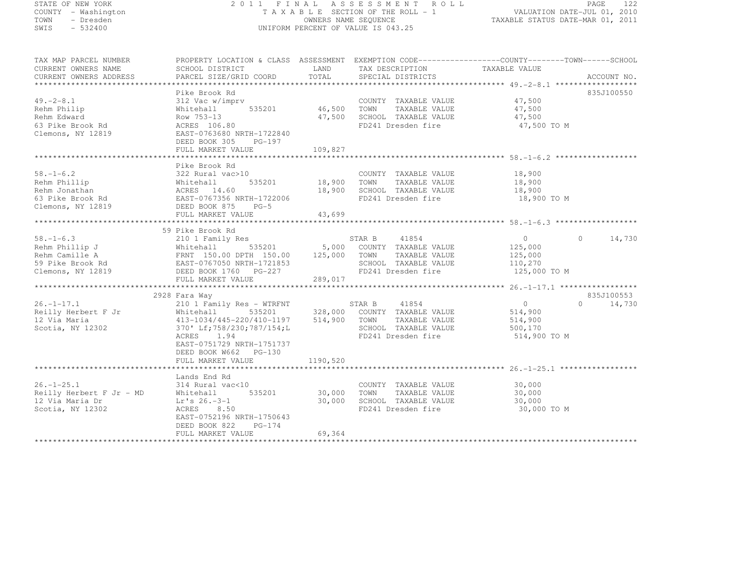## STATE OF NEW YORK 2 0 1 1 F I N A L A S S E S S M E N T R O L L PAGE <sup>122</sup> COUNTY - Washington T A X A B L E SECTION OF THE ROLL - 1 VALUATION DATE-JUL 01, 2010 TOWN - Dresden OWNERS NAME SEQUENCE TAXABLE STATUS DATE-MAR 01, 2011<br>- TRESDEN ON THE SEQUENCE TO A SECUENCE TO BE SERVED ON THE SEQUENCE OF SEXUE OF THE STATUS DATE MAR 01, 2011 SWIS - 532400 UNIFORM PERCENT OF VALUE IS 043.25

| CURRENT OWNERS NAME      | SCHOOL DISTRICT                                                                    | LAND     | TAX DESCRIPTION            | TAXABLE VALUE  |                             |
|--------------------------|------------------------------------------------------------------------------------|----------|----------------------------|----------------|-----------------------------|
| CURRENT OWNERS ADDRESS   | PARCEL SIZE/GRID COORD                                                             | TOTAL    | SPECIAL DISTRICTS          |                | ACCOUNT NO.                 |
|                          |                                                                                    |          |                            |                |                             |
|                          | Pike Brook Rd                                                                      |          |                            |                | 835J100550                  |
| $49. -2 - 8.1$           | 312 Vac w/imprv                                                                    |          | COUNTY TAXABLE VALUE       | 47,500         |                             |
| Rehm Philip              | Whitehall<br>535201                                                                | 46,500   | TOWN<br>TAXABLE VALUE      | 47,500         |                             |
| Rehm Edward              | Row 753-13                                                                         | 47,500   | SCHOOL TAXABLE VALUE       | 47,500         |                             |
| 63 Pike Brook Rd         | ACRES 106.80                                                                       |          | FD241 Dresden fire         | 47,500 TO M    |                             |
| Clemons, NY 12819        | EAST-0763680 NRTH-1722840                                                          |          |                            |                |                             |
|                          | DEED BOOK 305<br>PG-197                                                            |          |                            |                |                             |
|                          | FULL MARKET VALUE                                                                  | 109,827  |                            |                |                             |
|                          |                                                                                    |          |                            |                |                             |
|                          | Pike Brook Rd                                                                      |          |                            |                |                             |
| $58. - 1 - 6.2$          | 322 Rural vac>10                                                                   |          | COUNTY TAXABLE VALUE       | 18,900         |                             |
| Rehm Phillip             |                                                                                    | 18,900   | TOWN<br>TAXABLE VALUE      | 18,900         |                             |
| Rehm Jonathan            |                                                                                    | 18,900   | SCHOOL TAXABLE VALUE       | 18,900         |                             |
| 63 Pike Brook Rd         | Whitehall 535201<br>ACRES 14.60<br>EAST-0767356 NRTH-1722006                       |          | FD241 Dresden fire         | 18,900 TO M    |                             |
|                          | $PG-5$                                                                             |          |                            |                |                             |
| Clemons, NY 12819        | DEED BOOK 875                                                                      |          |                            |                |                             |
|                          | FULL MARKET VALUE                                                                  | 43,699   |                            |                |                             |
|                          |                                                                                    |          |                            |                |                             |
|                          | 59 Pike Brook Rd                                                                   |          |                            |                |                             |
| $58. - 1 - 6.3$          | 210 1 Family Res                                                                   |          | STAR B<br>41854            | $\overline{0}$ | 14,730<br>$\Omega$          |
| Rehm Phillip J           | 535201<br>Whitehall 535201<br>FRNT 150.00 DPTH 150.00<br>EAST-0767050 NRTH-1721853 |          | 5,000 COUNTY TAXABLE VALUE | 125,000        |                             |
| Rehm Camille A           | FRNT 150.00 DPTH 150.00 125,000                                                    |          | TOWN<br>TAXABLE VALUE      | 125,000        |                             |
| 59 Pike Brook Rd         |                                                                                    |          | SCHOOL TAXABLE VALUE       | 110,270        |                             |
| Clemons, NY 12819        | DEED BOOK 1760 PG-227                                                              |          | FD241 Dresden fire         | 125,000 TO M   |                             |
|                          | FULL MARKET VALUE                                                                  | 289,017  |                            |                |                             |
|                          |                                                                                    |          |                            |                |                             |
|                          | 2928 Fara Way                                                                      |          |                            |                | 835J100553                  |
| $26. - 1 - 17.1$         | 210 1 Family Res - WTRFNT                                                          |          | STAR B<br>41854            | $\overline{0}$ | $0 \qquad \qquad$<br>14,730 |
| Reilly Herbert F Jr      | 535201<br>Whitehall                                                                | 328,000  | COUNTY TAXABLE VALUE       | 514,900        |                             |
| 12 Via Maria             | 413-1034/445-220/410-1197                                                          | 514,900  | TOWN<br>TAXABLE VALUE      | 514,900        |                             |
| Scotia, NY 12302         | 370' Lf; 758/230; 787/154; L                                                       |          | SCHOOL TAXABLE VALUE       | 500,170        |                             |
|                          | 1.94<br>ACRES                                                                      |          | FD241 Dresden fire         | 514,900 TO M   |                             |
|                          | EAST-0751729 NRTH-1751737                                                          |          |                            |                |                             |
|                          | DEED BOOK W662 PG-130                                                              |          |                            |                |                             |
|                          | FULL MARKET VALUE                                                                  | 1190,520 |                            |                |                             |
|                          |                                                                                    |          |                            |                |                             |
|                          | Lands End Rd                                                                       |          |                            |                |                             |
| $26. - 1 - 25.1$         | 314 Rural vac<10                                                                   |          | COUNTY TAXABLE VALUE       | 30,000         |                             |
| Reilly Herbert F Jr - MD |                                                                                    |          |                            |                |                             |
|                          | 535201<br>Whitehall                                                                | 30,000   | TOWN<br>TAXABLE VALUE      | 30,000         |                             |
| 12 Via Maria Dr          | $Lr's 26.-3-1$                                                                     | 30,000   | SCHOOL TAXABLE VALUE       | 30,000         |                             |
| Scotia, NY 12302         | 8.50<br>ACRES                                                                      |          | FD241 Dresden fire         | 30,000 TO M    |                             |
|                          | EAST-0752196 NRTH-1750643                                                          |          |                            |                |                             |
|                          | DEED BOOK 822<br>PG-174                                                            |          |                            |                |                             |
|                          | FULL MARKET VALUE                                                                  | 69,364   |                            |                |                             |
|                          |                                                                                    |          |                            |                |                             |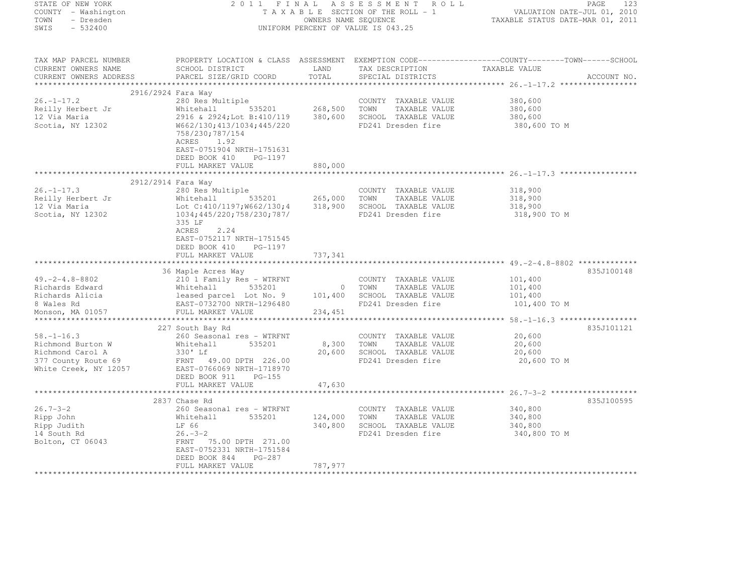| STATE OF NEW YORK                      | 2011 FINAL                                                                                       |                      | A S S E S S M E N T<br>R O L L     |                                                         | PAGE<br>-123 |
|----------------------------------------|--------------------------------------------------------------------------------------------------|----------------------|------------------------------------|---------------------------------------------------------|--------------|
| COUNTY - Washington                    |                                                                                                  |                      | TAXABLE SECTION OF THE ROLL - 1    | VALUATION DATE-JUL 01, 2010                             |              |
| TOWN<br>- Dresden<br>$-532400$<br>SWIS |                                                                                                  | OWNERS NAME SEQUENCE | UNIFORM PERCENT OF VALUE IS 043.25 | TAXABLE STATUS DATE-MAR 01, 2011                        |              |
|                                        |                                                                                                  |                      |                                    |                                                         |              |
| TAX MAP PARCEL NUMBER                  | PROPERTY LOCATION & CLASS ASSESSMENT EXEMPTION CODE----------------COUNTY-------TOWN------SCHOOL |                      |                                    |                                                         |              |
| CURRENT OWNERS NAME                    | SCHOOL DISTRICT                                                                                  | LAND                 | TAX DESCRIPTION                    | TAXABLE VALUE                                           |              |
| CURRENT OWNERS ADDRESS                 | PARCEL SIZE/GRID COORD                                                                           | TOTAL                | SPECIAL DISTRICTS                  |                                                         | ACCOUNT NO.  |
|                                        |                                                                                                  |                      |                                    |                                                         |              |
| $26. - 1 - 17.2$                       | 2916/2924 Fara Way<br>280 Res Multiple                                                           |                      | COUNTY TAXABLE VALUE               | 380,600                                                 |              |
| Reilly Herbert Jr                      | Whitehall 535201                                                                                 | 268,500              | TOWN<br>TAXABLE VALUE              | 380,600                                                 |              |
| 12 Via Maria                           | 2916 & 2924; Lot B:410/119                                                                       | 380,600              | SCHOOL TAXABLE VALUE               | 380,600                                                 |              |
| Scotia, NY 12302                       | W662/130;413/1034;445/220                                                                        |                      | FD241 Dresden fire                 | 380,600 TO M                                            |              |
|                                        | 758/230;787/154<br>ACRES<br>1.92                                                                 |                      |                                    |                                                         |              |
|                                        | EAST-0751904 NRTH-1751631                                                                        |                      |                                    |                                                         |              |
|                                        | DEED BOOK 410 PG-1197                                                                            |                      |                                    |                                                         |              |
|                                        | FULL MARKET VALUE                                                                                | 880,000              |                                    |                                                         |              |
|                                        |                                                                                                  |                      |                                    | ******************** 26.-1-17.3 *****                   |              |
|                                        | 2912/2914 Fara Way                                                                               |                      |                                    |                                                         |              |
| $26. - 1 - 17.3$                       | 280 Res Multiple                                                                                 |                      | COUNTY TAXABLE VALUE               | 318,900                                                 |              |
| Reilly Herbert Jr                      | Whitehall 535201                                                                                 | 265,000              | TOWN<br>TAXABLE VALUE              | 318,900                                                 |              |
| 12 Via Maria                           | Lot C:410/1197;W662/130;4                                                                        | 318,900              | SCHOOL TAXABLE VALUE               | 318,900                                                 |              |
| Scotia, NY 12302                       | 1034;445/220;758/230;787/<br>335 LF                                                              |                      | FD241 Dresden fire                 | 318,900 TO M                                            |              |
|                                        | 2.24<br>ACRES                                                                                    |                      |                                    |                                                         |              |
|                                        | EAST-0752117 NRTH-1751545                                                                        |                      |                                    |                                                         |              |
|                                        | DEED BOOK 410<br>PG-1197                                                                         |                      |                                    |                                                         |              |
|                                        | FULL MARKET VALUE                                                                                | 737,341              |                                    |                                                         |              |
|                                        |                                                                                                  |                      |                                    |                                                         |              |
|                                        | 36 Maple Acres Way                                                                               |                      |                                    |                                                         | 835J100148   |
| $49. -2 - 4.8 - 8802$                  | 210 1 Family Res - WTRFNT                                                                        |                      | COUNTY TAXABLE VALUE               | 101,400                                                 |              |
| Richards Edward                        | Whitehall<br>535201                                                                              | $\overline{0}$       | TAXABLE VALUE<br>TOWN              | 101,400                                                 |              |
| Richards Alicia                        | leased parcel Lot No. 9                                                                          | 101,400              | SCHOOL TAXABLE VALUE               | 101,400                                                 |              |
| 8 Wales Rd                             | EAST-0732700 NRTH-1296480                                                                        |                      | FD241 Dresden fire                 | 101,400 TO M                                            |              |
| Monson, MA 01057                       | FULL MARKET VALUE                                                                                | 234,451              |                                    |                                                         |              |
|                                        |                                                                                                  |                      |                                    | ************************* 58. -1-16.3 ***************** |              |
|                                        | 227 South Bay Rd                                                                                 |                      |                                    |                                                         | 835J101121   |
| $58. - 1 - 16.3$                       | 260 Seasonal res - WTRFNT                                                                        |                      | COUNTY TAXABLE VALUE               | 20,600                                                  |              |
| Richmond Burton W                      | 535201<br>Whitehall                                                                              | 8,300                | TAXABLE VALUE<br>TOWN              | 20,600                                                  |              |
| Richmond Carol A                       | 330' Lf                                                                                          | 20,600               | SCHOOL TAXABLE VALUE               | 20,600                                                  |              |
| 377 County Route 69                    | FRNT 49.00 DPTH 226.00                                                                           |                      | FD241 Dresden fire                 | 20,600 TO M                                             |              |
| White Creek, NY 12057                  | EAST-0766069 NRTH-1718970<br>DEED BOOK 911<br>$PG-155$                                           |                      |                                    |                                                         |              |
|                                        | FULL MARKET VALUE                                                                                | 47,630               |                                    |                                                         |              |
|                                        | ***********************                                                                          |                      |                                    | *********** 26.7-3-2 *******                            |              |
|                                        | 2837 Chase Rd                                                                                    |                      |                                    |                                                         | 835J100595   |
| $26.7 - 3 - 2$                         | 260 Seasonal res - WTRFNT                                                                        |                      | COUNTY TAXABLE VALUE               | 340,800                                                 |              |
| Ripp John                              | 535201<br>Whitehall                                                                              | 124,000              | TOWN<br>TAXABLE VALUE              | 340,800                                                 |              |
| Ripp Judith                            | LF 66                                                                                            | 340,800              | SCHOOL TAXABLE VALUE               | 340,800                                                 |              |
| 14 South Rd                            | $26. -3 - 2$                                                                                     |                      | FD241 Dresden fire                 | 340,800 TO M                                            |              |
| Bolton, CT 06043                       | FRNT 75.00 DPTH 271.00                                                                           |                      |                                    |                                                         |              |
|                                        | EAST-0752331 NRTH-1751584                                                                        |                      |                                    |                                                         |              |
|                                        | DEED BOOK 844<br>PG-287                                                                          |                      |                                    |                                                         |              |
|                                        | FULL MARKET VALUE                                                                                | 787,977              |                                    |                                                         |              |
|                                        | .                                                                                                |                      |                                    |                                                         |              |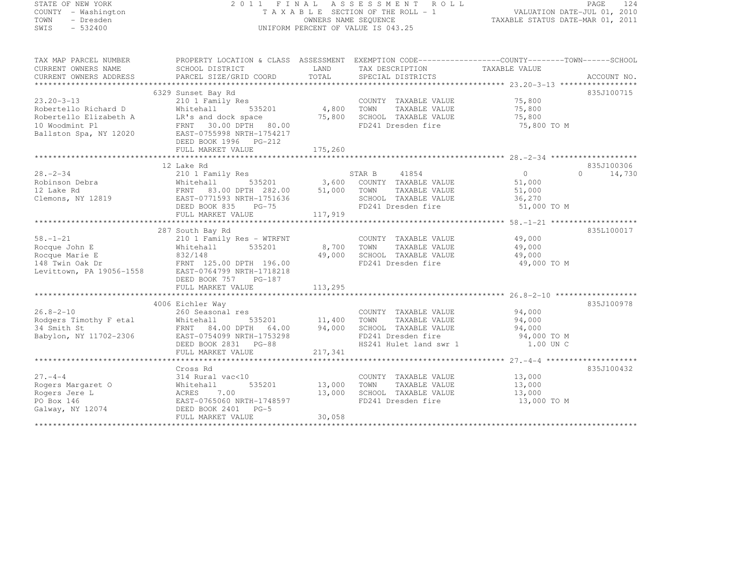# STATE OF NEW YORK 2 0 1 1 F I N A L A S S E S S M E N T R O L L PAGE <sup>124</sup> COUNTY - Washington T A X A B L E SECTION OF THE ROLL - 1 VALUATION DATE-JUL 01, 2010 TOWN - Dresden OWNERS NAME SEQUENCE TAXABLE STATUS DATE-MAR 01, 2011<br>- TRESDEN ON THE SEQUENCE TO A SECUENCE TO BE SERVED ON THE SEQUENCE OF SEXUE OF THE STATUS DATE MAR 01, 2011 SWIS - 532400 UNIFORM PERCENT OF VALUE IS 043.25

| CURRENT OWNERS NAME      | SCHOOL DISTRICT             | LAND    | TAX DESCRIPTION        | TAXABLE VALUE |                    |
|--------------------------|-----------------------------|---------|------------------------|---------------|--------------------|
| CURRENT OWNERS ADDRESS   | PARCEL SIZE/GRID COORD      | TOTAL   | SPECIAL DISTRICTS      |               | ACCOUNT NO.        |
|                          |                             |         |                        |               |                    |
|                          | 6329 Sunset Bay Rd          |         |                        |               | 835J100715         |
| $23.20 - 3 - 13$         | 210 1 Family Res            |         | COUNTY TAXABLE VALUE   | 75,800        |                    |
| Robertello Richard D     | Whitehall<br>535201         | 4,800   | TOWN<br>TAXABLE VALUE  | 75,800        |                    |
| Robertello Elizabeth A   | LR's and dock space         | 75,800  | SCHOOL TAXABLE VALUE   | 75,800        |                    |
| 10 Woodmint Pl           | 30.00 DPTH 80.00<br>FRNT    |         | FD241 Dresden fire     | 75,800 TO M   |                    |
| Ballston Spa, NY 12020   | EAST-0755998 NRTH-1754217   |         |                        |               |                    |
|                          | DEED BOOK 1996    PG-212    |         |                        |               |                    |
|                          | FULL MARKET VALUE           | 175,260 |                        |               |                    |
|                          |                             |         |                        |               |                    |
|                          | 12 Lake Rd                  |         |                        |               | 835J100306         |
| $28 - 2 - 34$            | 210 1 Family Res            |         | 41854<br>STAR B        | $\circ$       | $\Omega$<br>14,730 |
| Robinson Debra           | Whitehall<br>535201         | 3,600   | COUNTY TAXABLE VALUE   | 51,000        |                    |
| 12 Lake Rd               | 83.00 DPTH 282.00<br>FRNT   | 51,000  | TOWN<br>TAXABLE VALUE  | 51,000        |                    |
| Clemons, NY 12819        | EAST-0771593 NRTH-1751636   |         | SCHOOL TAXABLE VALUE   | 36,270        |                    |
|                          | DEED BOOK 835<br>$PG-75$    |         | FD241 Dresden fire     | 51,000 TO M   |                    |
|                          | FULL MARKET VALUE           | 117,919 |                        |               |                    |
|                          |                             |         |                        |               |                    |
|                          | 287 South Bay Rd            |         |                        |               | 835L100017         |
| $58. - 1 - 21$           | 210 1 Family Res - WTRFNT   |         | COUNTY TAXABLE VALUE   | 49,000        |                    |
| Rocque John E            | 535201<br>Whitehall         | 8,700   | TAXABLE VALUE<br>TOWN  | 49,000        |                    |
| Rocque Marie E           | 832/148                     | 49,000  | SCHOOL TAXABLE VALUE   | 49,000        |                    |
| 148 Twin Oak Dr          | FRNT 125.00 DPTH 196.00     |         | FD241 Dresden fire     | 49,000 TO M   |                    |
| Levittown, PA 19056-1558 | EAST-0764799 NRTH-1718218   |         |                        |               |                    |
|                          | DEED BOOK 757<br>$PG-187$   |         |                        |               |                    |
|                          | FULL MARKET VALUE           | 113,295 |                        |               |                    |
|                          |                             |         |                        |               |                    |
|                          | 4006 Eichler Way            |         |                        |               | 835J100978         |
| $26.8 - 2 - 10$          | 260 Seasonal res            |         | COUNTY TAXABLE VALUE   | 94,000        |                    |
| Rodgers Timothy F etal   | 535201<br>Whitehall         | 11,400  | TAXABLE VALUE<br>TOWN  | 94,000        |                    |
| 34 Smith St              | 84.00 DPTH<br>64.00<br>FRNT | 94,000  | SCHOOL TAXABLE VALUE   | 94,000        |                    |
| Babylon, NY 11702-2306   | EAST-0754099 NRTH-1753298   |         | FD241 Dresden fire     | 94,000 TO M   |                    |
|                          | DEED BOOK 2831 PG-88        |         | HS241 Hulet land swr 1 | 1.00 UN C     |                    |
|                          | FULL MARKET VALUE           | 217,341 |                        |               |                    |
|                          |                             |         |                        |               |                    |
|                          | Cross Rd                    |         |                        |               | 835J100432         |
| $27. - 4 - 4$            | 314 Rural vac<10            |         | COUNTY TAXABLE VALUE   | 13,000        |                    |
| Rogers Margaret O        | 535201<br>Whitehall         | 13,000  | TOWN<br>TAXABLE VALUE  | 13,000        |                    |
| Rogers Jere L            | ACRES<br>7.00               | 13,000  | SCHOOL TAXABLE VALUE   | 13,000        |                    |
| PO Box 146               | EAST-0765060 NRTH-1748597   |         | FD241 Dresden fire     | 13,000 TO M   |                    |
| Galway, NY 12074         | DEED BOOK 2401<br>$PG-5$    |         |                        |               |                    |
|                          | FULL MARKET VALUE           | 30,058  |                        |               |                    |
|                          |                             |         |                        |               |                    |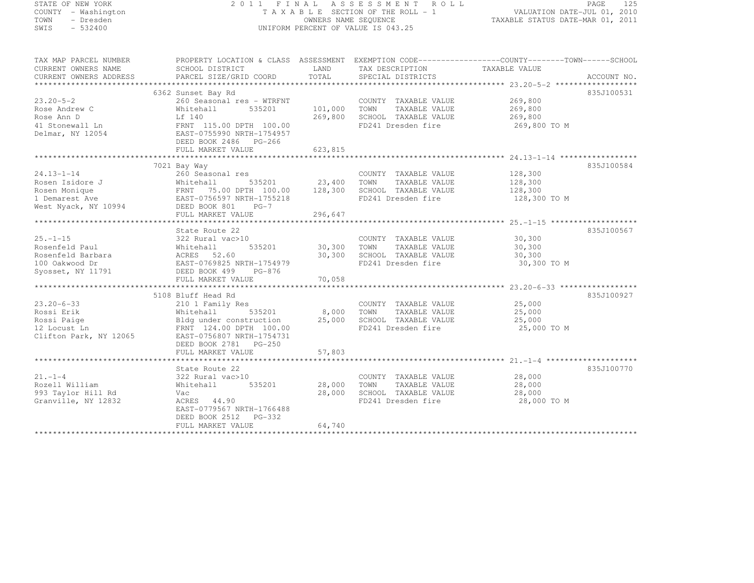## STATE OF NEW YORK 2 0 1 1 F I N A L A S S E S S M E N T R O L L PAGE <sup>125</sup> COUNTY - Washington T A X A B L E SECTION OF THE ROLL - 1 VALUATION DATE-JUL 01, 2010 TOWN - Dresden OWNERS NAME SEQUENCE TAXABLE STATUS DATE-MAR 01, 2011<br>- TRESDEN ON THE SEQUENCE TO A SECUENCE TO BE SERVED ON THE SEQUENCE OF SEXUE OF THE STATUS DATE MAR 01, 2011 SWIS - 532400 UNIFORM PERCENT OF VALUE IS 043.25

| TAX MAP PARCEL NUMBER                                 | PROPERTY LOCATION & CLASS ASSESSMENT EXEMPTION CODE-----------------COUNTY-------TOWN------SCHOOL                                                                                                                                                                                                                                |                       |                                                                           |                    |            |
|-------------------------------------------------------|----------------------------------------------------------------------------------------------------------------------------------------------------------------------------------------------------------------------------------------------------------------------------------------------------------------------------------|-----------------------|---------------------------------------------------------------------------|--------------------|------------|
| CURRENT OWNERS NAME                                   | SCHOOL DISTRICT                                                                                                                                                                                                                                                                                                                  |                       | LAND TAX DESCRIPTION                                                      | TAXABLE VALUE      |            |
| CURRENT OWNERS ADDRESS                                |                                                                                                                                                                                                                                                                                                                                  |                       |                                                                           |                    |            |
|                                                       |                                                                                                                                                                                                                                                                                                                                  |                       |                                                                           |                    |            |
|                                                       | 6362 Sunset Bay Rd                                                                                                                                                                                                                                                                                                               |                       |                                                                           |                    | 835J100531 |
| $23.20 - 5 - 2$                                       | 260 Seasonal res - WTRFNT                                                                                                                                                                                                                                                                                                        |                       | COUNTY TAXABLE VALUE 269,800                                              |                    |            |
| Rose Andrew C                                         | Whitehall<br>535201                                                                                                                                                                                                                                                                                                              | 101,000 TOWN          | TAXABLE VALUE                                                             | 269,800            |            |
|                                                       |                                                                                                                                                                                                                                                                                                                                  |                       | 269,800 SCHOOL TAXABLE VALUE 269,800                                      |                    |            |
|                                                       |                                                                                                                                                                                                                                                                                                                                  |                       | FD241 Dresden fire                                                        | 269,800 TO M       |            |
|                                                       |                                                                                                                                                                                                                                                                                                                                  |                       |                                                                           |                    |            |
|                                                       | DEED BOOK 2486 PG-266                                                                                                                                                                                                                                                                                                            |                       |                                                                           |                    |            |
|                                                       | FULL MARKET VALUE                                                                                                                                                                                                                                                                                                                | 623,815               |                                                                           |                    |            |
|                                                       |                                                                                                                                                                                                                                                                                                                                  |                       |                                                                           |                    |            |
|                                                       | 7021 Bay Way                                                                                                                                                                                                                                                                                                                     |                       |                                                                           |                    | 835J100584 |
| $24.13 - 1 - 14$                                      | 260 Seasonal res                                                                                                                                                                                                                                                                                                                 |                       | COUNTY TAXABLE VALUE                                                      | 128,300            |            |
|                                                       |                                                                                                                                                                                                                                                                                                                                  |                       |                                                                           | 128,300<br>128,300 |            |
|                                                       |                                                                                                                                                                                                                                                                                                                                  |                       |                                                                           |                    |            |
|                                                       |                                                                                                                                                                                                                                                                                                                                  |                       | FD241 Dresden fire 128,300 TO M                                           |                    |            |
|                                                       | Rosen Isidore J<br>Rosen Monique FRNT 75.00 DPTH 100.00 128,300 TOWN TAXABLE VALUE<br>Rosen Monique FRNT 75.00 DPTH 100.00 128,300 SCHOOL TAXABLE VALUE<br>1 Demarest Ave EAST-0756597 NRTH-1755218 FD241 Dresden fire<br>West Nyack,                                                                                            |                       |                                                                           |                    |            |
|                                                       | FULL MARKET VALUE                                                                                                                                                                                                                                                                                                                | 296,647               |                                                                           |                    |            |
|                                                       |                                                                                                                                                                                                                                                                                                                                  |                       |                                                                           |                    |            |
|                                                       | State Route 22                                                                                                                                                                                                                                                                                                                   |                       |                                                                           |                    | 835J100567 |
|                                                       |                                                                                                                                                                                                                                                                                                                                  |                       | COUNTY TAXABLE VALUE 30,300                                               |                    |            |
|                                                       |                                                                                                                                                                                                                                                                                                                                  | COUNTY<br>30,300 TOWN | TAXABLE VALUE                                                             | 30,300             |            |
|                                                       |                                                                                                                                                                                                                                                                                                                                  |                       | 30,300 SCHOOL TAXABLE VALUE                                               | 30,300             |            |
|                                                       |                                                                                                                                                                                                                                                                                                                                  |                       | FD241 Dresden fire                                                        | 30,300 TO M        |            |
|                                                       |                                                                                                                                                                                                                                                                                                                                  |                       |                                                                           |                    |            |
|                                                       |                                                                                                                                                                                                                                                                                                                                  |                       |                                                                           |                    |            |
|                                                       |                                                                                                                                                                                                                                                                                                                                  |                       |                                                                           |                    |            |
|                                                       | 5108 Bluff Head Rd                                                                                                                                                                                                                                                                                                               |                       |                                                                           |                    | 835J100927 |
| $23.20 - 6 - 33$                                      | 210 1 Family Res                                                                                                                                                                                                                                                                                                                 |                       |                                                                           |                    |            |
| Rossi Erik                                            | $\frac{1}{2}$ $\frac{1}{2}$ $\frac{1}{2}$ $\frac{1}{2}$ $\frac{1}{2}$ $\frac{1}{2}$ $\frac{1}{2}$ $\frac{1}{2}$ $\frac{1}{2}$ $\frac{1}{2}$ $\frac{1}{2}$ $\frac{1}{2}$ $\frac{1}{2}$ $\frac{1}{2}$ $\frac{1}{2}$ $\frac{1}{2}$ $\frac{1}{2}$ $\frac{1}{2}$ $\frac{1}{2}$ $\frac{1}{2}$ $\frac{1}{2}$ $\frac{1}{2}$<br>Whitehall |                       | COUNTY TAXABLE VALUE 25,000<br>TOWN TAXABLE VALUE 25.000<br>TAXABLE VALUE | 25,000             |            |
|                                                       | Bldg under construction<br>25,000 SCHOOL TAXABLE VALUE                                                                                                                                                                                                                                                                           |                       |                                                                           | 25,000             |            |
| Rossi Paige<br>12 Locust Ln<br>Clifton Park, NY 12065 | FRNT 124.00 DPTH 100.00                                                                                                                                                                                                                                                                                                          |                       | FD241 Dresden fire                                                        | 25,000 TO M        |            |
|                                                       | EAST-0756807 NRTH-1754731                                                                                                                                                                                                                                                                                                        |                       |                                                                           |                    |            |
|                                                       | DEED BOOK 2781 PG-250                                                                                                                                                                                                                                                                                                            |                       |                                                                           |                    |            |
|                                                       |                                                                                                                                                                                                                                                                                                                                  |                       |                                                                           |                    |            |
|                                                       |                                                                                                                                                                                                                                                                                                                                  |                       |                                                                           |                    |            |
|                                                       |                                                                                                                                                                                                                                                                                                                                  |                       |                                                                           |                    | 835J100770 |
|                                                       | State Route 22                                                                                                                                                                                                                                                                                                                   |                       |                                                                           |                    |            |
| $21. - 1 - 4$                                         | 322 Rural vac>10                                                                                                                                                                                                                                                                                                                 |                       | COUNTY TAXABLE VALUE                                                      | 28,000             |            |
| Rozell William                                        | 535201 28,000<br>Whitehall                                                                                                                                                                                                                                                                                                       |                       | TOWN<br>TAXABLE VALUE                                                     | 28,000             |            |
| 993 Taylor Hill Rd                                    | Vac                                                                                                                                                                                                                                                                                                                              | 28,000                | SCHOOL TAXABLE VALUE                                                      | 28,000             |            |
| Granville, NY 12832                                   | ACRES 44.90                                                                                                                                                                                                                                                                                                                      |                       | FD241 Dresden fire                                                        | 28,000 TO M        |            |
|                                                       | EAST-0779567 NRTH-1766488                                                                                                                                                                                                                                                                                                        |                       |                                                                           |                    |            |
|                                                       | DEED BOOK 2512 PG-332                                                                                                                                                                                                                                                                                                            |                       |                                                                           |                    |            |
|                                                       | FULL MARKET VALUE                                                                                                                                                                                                                                                                                                                | 64,740                |                                                                           |                    |            |
|                                                       |                                                                                                                                                                                                                                                                                                                                  |                       |                                                                           |                    |            |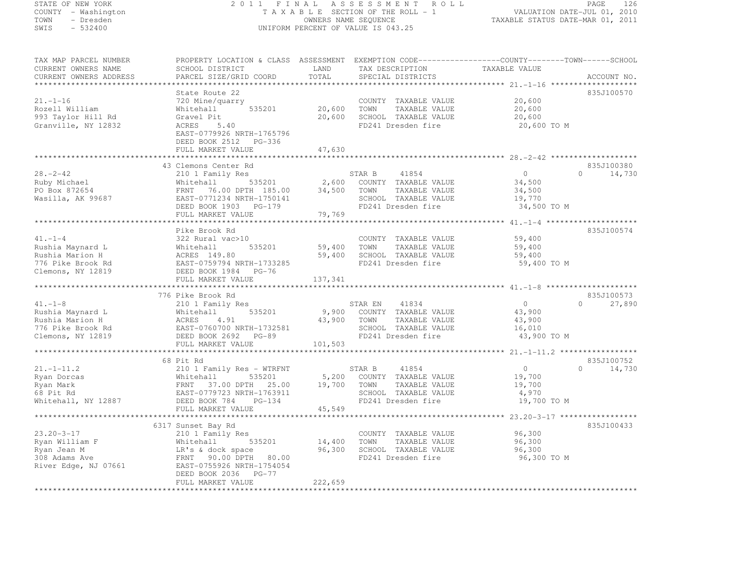# STATE OF NEW YORK 2 0 1 1 F I N A L A S S E S S M E N T R O L L PAGE <sup>126</sup> COUNTY - Washington T A X A B L E SECTION OF THE ROLL - 1 VALUATION DATE-JUL 01, 2010 TOWN - Dresden OWNERS NAME SEQUENCE TAXABLE STATUS DATE-MAR 01, 2011<br>- TRESDEN ON THE SEQUENCE TO A SECUENCE TO BE SERVED ON THE SEQUENCE OF SEXUE OF THE STATUS DATE MAR 01, 2011 SWIS - 532400 UNIFORM PERCENT OF VALUE IS 043.25

| CURRENT OWNERS NAME<br>CURRENT OWNERS ADDRESS                                                                                                              | SCHOOL DISTRICT<br>PARCEL SIZE/GRID COORD                     | LAND<br>TOTAL | TAX DESCRIPTION<br>SPECIAL DISTRICTS | TAXABLE VALUE  | ACCOUNT NO.        |
|------------------------------------------------------------------------------------------------------------------------------------------------------------|---------------------------------------------------------------|---------------|--------------------------------------|----------------|--------------------|
| $21. - 1 - 16$                                                                                                                                             | State Route 22<br>720 Mine/quarry                             |               | COUNTY TAXABLE VALUE                 | 20,600         | 835J100570         |
| Rozell William                                                                                                                                             | 535201<br>Whitehall                                           | 20,600        | TOWN<br>TAXABLE VALUE                | 20,600         |                    |
| 993 Taylor Hill Rd                                                                                                                                         | Gravel Pit                                                    | 20,600        | SCHOOL TAXABLE VALUE                 | 20,600         |                    |
| Granville, NY 12832                                                                                                                                        | ACRES 5.40                                                    |               | FD241 Dresden fire                   | 20,600 TO M    |                    |
|                                                                                                                                                            | EAST-0779926 NRTH-1765796                                     |               |                                      |                |                    |
|                                                                                                                                                            | DEED BOOK 2512 PG-336                                         |               |                                      |                |                    |
|                                                                                                                                                            | FULL MARKET VALUE                                             | 47,630        |                                      |                |                    |
|                                                                                                                                                            |                                                               |               |                                      |                |                    |
|                                                                                                                                                            | 43 Clemons Center Rd                                          |               |                                      |                | 835J100380         |
| $28. - 2 - 42$                                                                                                                                             | 210 1 Family Res                                              |               | STAR B<br>41854                      | 0              | $\Omega$<br>14,730 |
| Ruby Michael                                                                                                                                               | 535201<br>Whitehall                                           | 2,600         | COUNTY TAXABLE VALUE                 | 34,500         |                    |
| PO Box 872654                                                                                                                                              | FRNT 76.00 DPTH 185.00 34,500                                 |               | TOWN<br>TAXABLE VALUE                | 34,500         |                    |
| Wasilla, AK 99687                                                                                                                                          | EAST-0771234 NRTH-1750141                                     |               | SCHOOL TAXABLE VALUE                 | 19,770         |                    |
|                                                                                                                                                            | DEED BOOK 1903 PG-179                                         |               | FD241 Dresden fire                   | 34,500 TO M    |                    |
|                                                                                                                                                            | FULL MARKET VALUE                                             | 79,769        |                                      |                |                    |
|                                                                                                                                                            |                                                               |               |                                      |                |                    |
|                                                                                                                                                            | Pike Brook Rd                                                 |               |                                      |                | 835J100574         |
| $41. -1 - 4$                                                                                                                                               | 322 Rural vac>10                                              |               | COUNTY TAXABLE VALUE                 | 59,400         |                    |
| Rushia Maynard L                                                                                                                                           |                                                               | 59,400        | TOWN<br>TAXABLE VALUE                | 59,400         |                    |
| Rushia Marion H                                                                                                                                            | Whitehall 535201<br>ACRES 149.80<br>EAST-0759794 NRTH-1733285 | 59,400        | SCHOOL TAXABLE VALUE                 | 59,400         |                    |
| 776 Pike Brook Rd                                                                                                                                          |                                                               |               | FD241 Dresden fire                   | 59,400 TO M    |                    |
| Clemons, NY 12819                                                                                                                                          | DEED BOOK 1984 PG-76                                          |               |                                      |                |                    |
|                                                                                                                                                            |                                                               |               |                                      |                |                    |
|                                                                                                                                                            |                                                               |               |                                      |                |                    |
|                                                                                                                                                            | FULL MARKET VALUE                                             | 137,341       |                                      |                |                    |
|                                                                                                                                                            |                                                               |               |                                      |                |                    |
|                                                                                                                                                            | 776 Pike Brook Rd                                             |               |                                      |                | 835J100573         |
| $41. -1 - 8$                                                                                                                                               | 210 1 Family Res                                              |               | 41834<br>STAR EN                     | $\overline{0}$ | $\Omega$<br>27,890 |
|                                                                                                                                                            | 535201                                                        |               | 9,900 COUNTY TAXABLE VALUE           | 43,900         |                    |
|                                                                                                                                                            |                                                               | 43,900        | TOWN<br>TAXABLE VALUE                | 43,900         |                    |
|                                                                                                                                                            | EAST-0760700 NRTH-1732581                                     |               | SCHOOL TAXABLE VALUE                 | 16,010         |                    |
| Rushia Maynard L<br>Rushia Marion H<br>776 Pike Brook Rd<br>776 Pike Brook Rd<br>776 Pike Brook Rd<br>776 Pike Brook Rd<br>776 Pike Brook Rd<br>2692 PG-89 |                                                               |               | FD241 Dresden fire                   | 43,900 TO M    |                    |
|                                                                                                                                                            | FULL MARKET VALUE                                             | 101,503       |                                      |                |                    |
|                                                                                                                                                            |                                                               |               |                                      |                |                    |
|                                                                                                                                                            | 68 Pit Rd                                                     |               |                                      |                | 835J100752         |
| $21. - 1 - 11.2$                                                                                                                                           | 210 1 Family Res - WTRFNT                                     |               | 41854<br>STAR B                      | 0              | $\Omega$<br>14,730 |
| Ryan Dorcas                                                                                                                                                | Whitehall<br>535201                                           | 5,200         | COUNTY TAXABLE VALUE                 | 19,700         |                    |
| Ryan Mark                                                                                                                                                  | FRNT<br>37.00 DPTH 25.00                                      | 19,700        | TOWN<br>TAXABLE VALUE                | 19,700         |                    |
| 68 Pit Rd                                                                                                                                                  | EAST-0779723 NRTH-1763911                                     |               | SCHOOL TAXABLE VALUE                 | 4,970          |                    |
| Whitehall, NY 12887                                                                                                                                        | DEED BOOK 784 PG-134                                          |               | FD241 Dresden fire                   | 19,700 TO M    |                    |
|                                                                                                                                                            | FULL MARKET VALUE                                             | 45,549        |                                      |                |                    |
|                                                                                                                                                            |                                                               |               |                                      |                |                    |
|                                                                                                                                                            | 6317 Sunset Bay Rd                                            |               |                                      |                | 835J100433         |
| $23.20 - 3 - 17$                                                                                                                                           | 210 1 Family Res                                              |               | COUNTY TAXABLE VALUE                 | 96,300         |                    |
| Ryan William F                                                                                                                                             | 535201<br>Whitehall                                           | 14,400        | TOWN<br>TAXABLE VALUE                | 96,300         |                    |
| Ryan Jean M                                                                                                                                                | LR's & dock space                                             | 96,300        | SCHOOL TAXABLE VALUE                 | 96,300         |                    |
| 308 Adams Ave                                                                                                                                              | FRNT 90.00 DPTH 80.00                                         |               | FD241 Dresden fire                   | 96,300 TO M    |                    |
| River Edge, NJ 07661                                                                                                                                       | EAST-0755926 NRTH-1754054                                     |               |                                      |                |                    |
|                                                                                                                                                            | DEED BOOK 2036 PG-77                                          |               |                                      |                |                    |
|                                                                                                                                                            | FULL MARKET VALUE                                             | 222,659       |                                      |                |                    |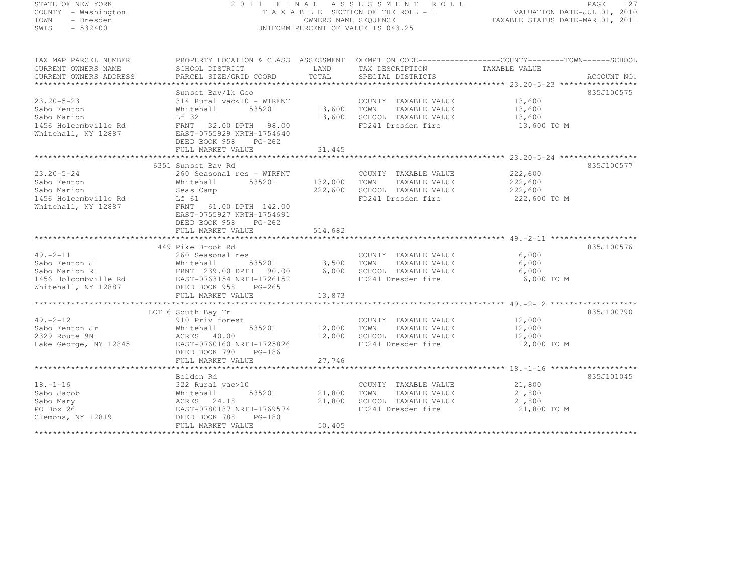| STATE OF NEW YORK                           |                           |                      | 2011 FINAL ASSESSMENT ROLL         | PAGE<br>127                                                                                     |
|---------------------------------------------|---------------------------|----------------------|------------------------------------|-------------------------------------------------------------------------------------------------|
| COUNTY - Washington                         |                           |                      | TAXABLE SECTION OF THE ROLL - 1    | VALUATION DATE-JUL 01, 2010                                                                     |
| - Dresden<br>TOWN                           |                           | OWNERS NAME SEQUENCE |                                    | TAXABLE STATUS DATE-MAR 01, 2011                                                                |
| $-532400$<br>SWIS                           |                           |                      | UNIFORM PERCENT OF VALUE IS 043.25 |                                                                                                 |
|                                             |                           |                      |                                    |                                                                                                 |
|                                             |                           |                      |                                    |                                                                                                 |
| TAX MAP PARCEL NUMBER                       |                           |                      |                                    | PROPERTY LOCATION & CLASS ASSESSMENT EXEMPTION CODE----------------COUNTY-------TOWN-----SCHOOL |
| CURRENT OWNERS NAME                         | SCHOOL DISTRICT           | LAND                 | TAX DESCRIPTION                    | TAXABLE VALUE                                                                                   |
| CURRENT OWNERS ADDRESS                      | PARCEL SIZE/GRID COORD    | TOTAL                | SPECIAL DISTRICTS                  | ACCOUNT NO.                                                                                     |
|                                             |                           |                      |                                    |                                                                                                 |
|                                             | Sunset Bay/lk Geo         |                      |                                    | 835J100575                                                                                      |
| $23.20 - 5 - 23$                            | 314 Rural vac<10 - WTRFNT |                      | COUNTY TAXABLE VALUE               | 13,600                                                                                          |
| Sabo Fenton                                 | Whitehall 535201          | 13,600               | TOWN<br>TAXABLE VALUE              | 13,600                                                                                          |
| Sabo Marion                                 | Lf 32                     | 13,600               | SCHOOL TAXABLE VALUE               | 13,600                                                                                          |
| 1456 Holcombville Rd                        | FRNT 32.00 DPTH 98.00     |                      | FD241 Dresden fire                 | 13,600 TO M                                                                                     |
| Whitehall, NY 12887                         | EAST-0755929 NRTH-1754640 |                      |                                    |                                                                                                 |
|                                             | DEED BOOK 958<br>$PG-262$ |                      |                                    |                                                                                                 |
|                                             | FULL MARKET VALUE         | 31,445               |                                    |                                                                                                 |
|                                             |                           |                      |                                    |                                                                                                 |
|                                             | 6351 Sunset Bay Rd        |                      |                                    | 835J100577                                                                                      |
| $23.20 - 5 - 24$                            | 260 Seasonal res - WTRFNT |                      | COUNTY TAXABLE VALUE               | 222,600                                                                                         |
| Sabo Fenton                                 | 535201<br>Whitehall       | 132,000              | TAXABLE VALUE<br>TOWN              | 222,600                                                                                         |
| Sabo Marion                                 | Seas Camp                 | 222,600              | SCHOOL TAXABLE VALUE               | 222,600                                                                                         |
| 1456 Holcombville Rd                        | Lf 61                     |                      | FD241 Dresden fire                 | 222,600 TO M                                                                                    |
|                                             |                           |                      |                                    |                                                                                                 |
| Whitehall, NY 12887                         | FRNT 61.00 DPTH 142.00    |                      |                                    |                                                                                                 |
|                                             | EAST-0755927 NRTH-1754691 |                      |                                    |                                                                                                 |
|                                             | DEED BOOK 958<br>PG-262   |                      |                                    |                                                                                                 |
|                                             | FULL MARKET VALUE         | 514,682              |                                    |                                                                                                 |
|                                             |                           |                      |                                    |                                                                                                 |
|                                             | 449 Pike Brook Rd         |                      |                                    | 835J100576                                                                                      |
| $49. -2 - 11$                               | 260 Seasonal res          |                      | COUNTY TAXABLE VALUE               | 6,000                                                                                           |
| Sabo Fenton J                               | Whitehall<br>535201       | 3,500                | TAXABLE VALUE<br>TOWN              | 6,000                                                                                           |
| Sabo Marion R                               | FRNT 239.00 DPTH 90.00    | 6,000                | SCHOOL TAXABLE VALUE               | 6,000                                                                                           |
| 1456 Holcombville Rd<br>Whitehall, NY 12887 | EAST-0763154 NRTH-1726152 |                      | FD241 Dresden fire                 | 6,000 TO M                                                                                      |
|                                             | DEED BOOK 958<br>$PG-265$ |                      |                                    |                                                                                                 |
|                                             | FULL MARKET VALUE         | 13,873               |                                    |                                                                                                 |
|                                             |                           |                      |                                    |                                                                                                 |
|                                             | LOT 6 South Bay Tr        |                      |                                    | 835J100790                                                                                      |
| $49. -2 - 12$                               | 910 Priv forest           |                      | COUNTY TAXABLE VALUE               | 12,000                                                                                          |
| Sabo Fenton Jr                              | 535201<br>Whitehall       | 12,000               | TOWN<br>TAXABLE VALUE              | 12,000                                                                                          |
| 2329 Route 9N                               | ACRES 40.00               | 12,000               | SCHOOL TAXABLE VALUE               | 12,000                                                                                          |
| Lake George, NY 12845                       | EAST-0760160 NRTH-1725826 |                      | FD241 Dresden fire                 | 12,000 TO M                                                                                     |
|                                             | DEED BOOK 790 PG-186      |                      |                                    |                                                                                                 |
|                                             | FULL MARKET VALUE         | 27,746               |                                    |                                                                                                 |
|                                             |                           |                      |                                    |                                                                                                 |
|                                             | Belden Rd                 |                      |                                    | 835J101045                                                                                      |
| $18. - 1 - 16$                              | 322 Rural vac>10          |                      | COUNTY TAXABLE VALUE               | 21,800                                                                                          |
| Sabo Jacob                                  | Whitehall<br>535201       | 21,800               | TOWN<br>TAXABLE VALUE              | 21,800                                                                                          |
| Sabo Mary                                   | ACRES 24.18               | 21,800               | SCHOOL TAXABLE VALUE               | 21,800                                                                                          |
| PO Box 26                                   | EAST-0780137 NRTH-1769574 |                      | FD241 Dresden fire                 | 21,800 TO M                                                                                     |
| Clemons, NY 12819                           | DEED BOOK 788<br>$PG-180$ |                      |                                    |                                                                                                 |
|                                             | FULL MARKET VALUE         | 50,405               |                                    |                                                                                                 |

FULL MARKET VALUE 50,405 \*\*\*\*\*\*\*\*\*\*\*\*\*\*\*\*\*\*\*\*\*\*\*\*\*\*\*\*\*\*\*\*\*\*\*\*\*\*\*\*\*\*\*\*\*\*\*\*\*\*\*\*\*\*\*\*\*\*\*\*\*\*\*\*\*\*\*\*\*\*\*\*\*\*\*\*\*\*\*\*\*\*\*\*\*\*\*\*\*\*\*\*\*\*\*\*\*\*\*\*\*\*\*\*\*\*\*\*\*\*\*\*\*\*\*\*\*\*\*\*\*\*\*\*\*\*\*\*\*\*\*\*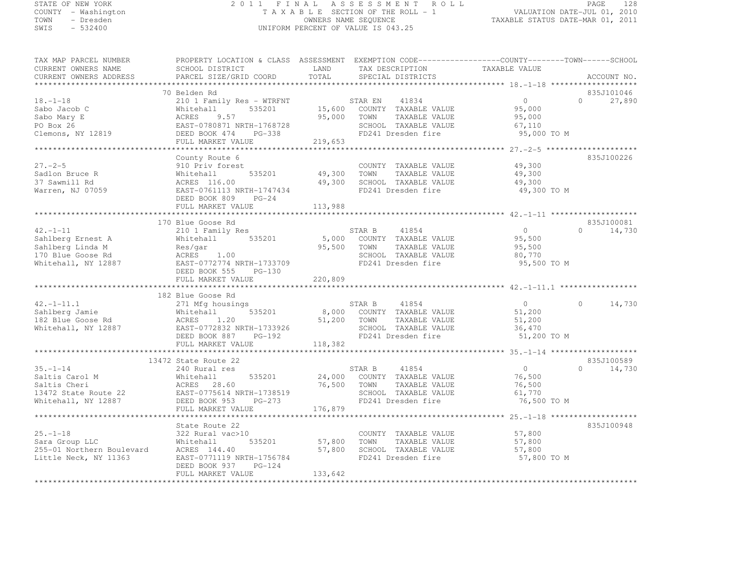## STATE OF NEW YORK 2 0 1 1 F I N A L A S S E S S M E N T R O L L PAGE <sup>128</sup> COUNTY - Washington T A X A B L E SECTION OF THE ROLL - 1 VALUATION DATE-JUL 01, 2010 TOWN - Dresden OWNERS NAME SEQUENCE TAXABLE STATUS DATE-MAR 01, 2011<br>- TRESDEN ON THE SEQUENCE TO A SECUENCE TO BE SERVED ON THE SEQUENCE OF SEXUE OF THE STATUS DATE MAR 01, 2011 SWIS - 532400 UNIFORM PERCENT OF VALUE IS 043.25

| CURRENT OWNERS NAME<br>CURRENT OWNERS ADDRESS | SCHOOL DISTRICT<br>PARCEL SIZE/GRID COORD | LAND<br>TOTAL | TAX DESCRIPTION<br>SPECIAL DISTRICTS | TAXABLE VALUE  | ACCOUNT NO.        |
|-----------------------------------------------|-------------------------------------------|---------------|--------------------------------------|----------------|--------------------|
| ********************************              |                                           |               |                                      |                |                    |
|                                               | 70 Belden Rd                              |               |                                      |                | 835J101046         |
| $18. - 1 - 18$                                | 210 1 Family Res - WTRFNT                 |               | STAR EN<br>41834                     | $\circ$        | $\Omega$<br>27,890 |
| Sabo Jacob C                                  | 535201<br>Whitehall                       |               | 15,600 COUNTY TAXABLE VALUE          | 95,000         |                    |
| Sabo Mary E                                   | ACRES<br>9.57                             | 95,000        | TOWN<br>TAXABLE VALUE                | 95,000         |                    |
|                                               |                                           |               |                                      |                |                    |
| PO Box 26                                     | EAST-0780871 NRTH-1768728                 |               | SCHOOL TAXABLE VALUE                 | 67,110         |                    |
| Clemons, NY 12819                             | DEED BOOK 474<br>PG-338                   |               | FD241 Dresden fire                   | 95,000 TO M    |                    |
|                                               | FULL MARKET VALUE                         | 219,653       |                                      |                |                    |
|                                               |                                           |               |                                      |                |                    |
|                                               | County Route 6                            |               |                                      |                | 835J100226         |
| $27. - 2 - 5$                                 | 910 Priv forest                           |               | COUNTY TAXABLE VALUE                 | 49,300         |                    |
| Sadlon Bruce R                                | 535201<br>Whitehall                       | 49,300        | TOWN<br>TAXABLE VALUE                | 49,300         |                    |
| 37 Sawmill Rd                                 | ACRES 116.00                              | 49,300        | SCHOOL TAXABLE VALUE                 | 49,300         |                    |
| Warren, NJ 07059                              | EAST-0761113 NRTH-1747434                 |               | FD241 Dresden fire                   | 49,300 TO M    |                    |
|                                               | DEED BOOK 809<br>$PG-24$                  |               |                                      |                |                    |
|                                               | FULL MARKET VALUE                         | 113,988       |                                      |                |                    |
|                                               |                                           |               |                                      |                |                    |
|                                               | 170 Blue Goose Rd                         |               |                                      |                | 835J100081         |
| $42. -1 - 11$                                 | 210 1 Family Res                          |               | 41854<br>STAR B                      | $\Omega$       | $\Omega$<br>14,730 |
| Sahlberg Ernest A                             | 535201<br>Whitehall                       |               | 5,000 COUNTY TAXABLE VALUE           | 95,500         |                    |
| Sahlberg Linda M                              | Res/gar                                   | 95,500        | TOWN<br>TAXABLE VALUE                | 95,500         |                    |
| 170 Blue Goose Rd                             | ACRES<br>1.00                             |               | SCHOOL TAXABLE VALUE                 | 80,770         |                    |
| Whitehall, NY 12887                           | EAST-0772774 NRTH-1733709                 |               | FD241 Dresden fire                   | 95,500 TO M    |                    |
|                                               | DEED BOOK 555<br>PG-130                   |               |                                      |                |                    |
|                                               | FULL MARKET VALUE                         | 220,809       |                                      |                |                    |
|                                               |                                           |               |                                      |                |                    |
|                                               |                                           |               |                                      |                |                    |
|                                               |                                           |               |                                      |                |                    |
|                                               | 182 Blue Goose Rd                         |               |                                      |                |                    |
| $42. -1 - 11.1$                               | 271 Mfg housings                          |               | STAR B<br>41854                      | $\circ$        | 14,730<br>$\cap$   |
| Sahlberg Jamie                                | 535201<br>Whitehall                       |               | 8,000 COUNTY TAXABLE VALUE           | 51,200         |                    |
| 182 Blue Goose Rd                             | 1.20<br>ACRES                             | 51,200 TOWN   | TAXABLE VALUE                        | 51,200         |                    |
| Whitehall, NY 12887                           | EAST-0772832 NRTH-1733926                 |               | SCHOOL TAXABLE VALUE                 | 36,470         |                    |
|                                               | DEED BOOK 887<br>PG-192                   |               | FD241 Dresden fire                   | 51,200 TO M    |                    |
|                                               | FULL MARKET VALUE                         | 118,382       |                                      |                |                    |
|                                               |                                           |               |                                      |                |                    |
|                                               | 13472 State Route 22                      |               |                                      |                | 835J100589         |
| $35. - 1 - 14$                                | 240 Rural res                             |               | STAR B<br>41854                      | $\overline{0}$ | $\Omega$<br>14,730 |
| Saltis Carol M                                | 535201<br>Whitehall                       |               | 24,000 COUNTY TAXABLE VALUE          | 76,500         |                    |
| Saltis Cheri                                  | ACRES 28.60                               | 76,500        | TOWN<br>TAXABLE VALUE                | 76,500         |                    |
| 13472 State Route 22                          | EAST-0775614 NRTH-1738519                 |               | SCHOOL TAXABLE VALUE                 | 61,770         |                    |
| Whitehall, NY 12887                           | PG-273<br>DEED BOOK 953                   |               | FD241 Dresden fire                   | 76,500 TO M    |                    |
|                                               | FULL MARKET VALUE                         | 176,879       |                                      |                |                    |
|                                               |                                           |               |                                      |                |                    |
|                                               | State Route 22                            |               |                                      |                | 835J100948         |
| $25. - 1 - 18$                                | 322 Rural vac>10                          |               | COUNTY TAXABLE VALUE                 | 57,800         |                    |
| Sara Group LLC                                | 535201<br>Whitehall                       | 57,800        | TOWN<br>TAXABLE VALUE                | 57,800         |                    |
| 255-01 Northern Boulevard                     | ACRES 144.40                              | 57,800        | SCHOOL TAXABLE VALUE                 | 57,800         |                    |
| Little Neck, NY 11363                         | EAST-0771119 NRTH-1756784                 |               | FD241 Dresden fire                   | 57,800 TO M    |                    |
|                                               | DEED BOOK 937<br>$PG-124$                 |               |                                      |                |                    |
|                                               | FULL MARKET VALUE                         | 133,642       |                                      |                |                    |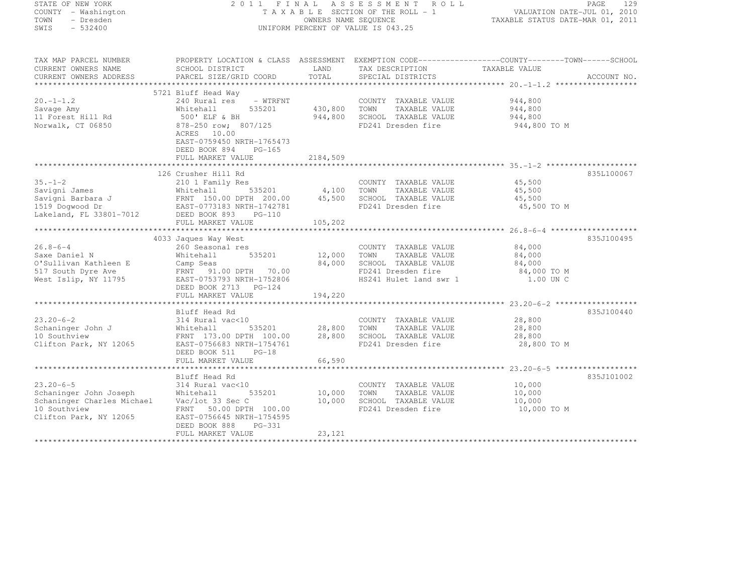| STATE OF NEW YORK<br>COUNTY - Washington<br>TOWN<br>- Dresden<br>SWIS<br>$-532400$                                | 2011<br>FINAL                                                                                                                                                                                |                                            | A S S E S S M E N T<br>R O L L<br>TAXABLE SECTION OF THE ROLL - 1<br>OWNERS NAME SEQUENCE<br>UNIFORM PERCENT OF VALUE IS 043.25 | VALUATION DATE-JUL 01, 2010<br>TAXABLE STATUS DATE-MAR 01, 2011 | PAGE<br>129 |
|-------------------------------------------------------------------------------------------------------------------|----------------------------------------------------------------------------------------------------------------------------------------------------------------------------------------------|--------------------------------------------|---------------------------------------------------------------------------------------------------------------------------------|-----------------------------------------------------------------|-------------|
| TAX MAP PARCEL NUMBER<br>CURRENT OWNERS NAME<br>CURRENT OWNERS ADDRESS                                            | PROPERTY LOCATION & CLASS ASSESSMENT EXEMPTION CODE-----------------COUNTY-------TOWN-----SCHOOL<br>SCHOOL DISTRICT<br>PARCEL SIZE/GRID COORD                                                | LAND<br>TOTAL                              | TAX DESCRIPTION<br>SPECIAL DISTRICTS                                                                                            | TAXABLE VALUE                                                   | ACCOUNT NO. |
|                                                                                                                   |                                                                                                                                                                                              |                                            |                                                                                                                                 |                                                                 |             |
| $20. -1 - 1.2$<br>Savage Amy<br>11 Forest Hill Rd<br>Norwalk, CT 06850                                            | 5721 Bluff Head Way<br>240 Rural res<br>- WTRFNT<br>Whitehall<br>535201<br>500' ELF & BH<br>878-250 row; 807/125<br>ACRES<br>10.00<br>EAST-0759450 NRTH-1765473<br>DEED BOOK 894<br>$PG-165$ | 430,800<br>944,800                         | COUNTY TAXABLE VALUE<br>TOWN<br>TAXABLE VALUE<br>SCHOOL TAXABLE VALUE<br>FD241 Dresden fire                                     | 944,800<br>944,800<br>944,800<br>944,800 TO M                   |             |
|                                                                                                                   | FULL MARKET VALUE                                                                                                                                                                            | 2184,509                                   |                                                                                                                                 |                                                                 |             |
| $35. - 1 - 2$<br>Savigni James<br>Savigni Barbara J<br>1519 Dogwood Dr<br>Lakeland, FL 33801-7012                 | 126 Crusher Hill Rd<br>210 1 Family Res<br>535201<br>Whitehall<br>FRNT 150.00 DL.m.<br>EAST-0773183 NRTH-1742781<br>FULL MARKET VALUE                                                        | 4,100<br>45,500<br>105,202                 | COUNTY TAXABLE VALUE<br>TOWN<br>TAXABLE VALUE<br>SCHOOL TAXABLE VALUE<br>FD241 Dresden fire                                     | 45,500<br>45,500<br>45,500<br>45,500 TO M                       | 835L100067  |
|                                                                                                                   | 4033 Jaques Way West                                                                                                                                                                         |                                            |                                                                                                                                 |                                                                 | 835J100495  |
| $26.8 - 6 - 4$<br>Saxe Daniel N<br>O'Sullivan Kathleen E<br>517 South Dyre Ave<br>West Islip, NY 11795            | 260 Seasonal res<br>Whitehall<br>535201<br>Camp Seas<br>FRNT 91.00 DPTH 70.00<br>EAST-0753793 NRTH-1752806<br>DEED BOOK 2713 PG-124                                                          | 12,000<br>84,000                           | COUNTY TAXABLE VALUE<br>TOWN<br>TAXABLE VALUE<br>SCHOOL TAXABLE VALUE<br>FD241 Dresden fire<br>HS241 Hulet land swr 1           | 84,000<br>84,000<br>84,000<br>84,000 TO M<br>1.00 UN C          |             |
|                                                                                                                   | FULL MARKET VALUE                                                                                                                                                                            | 194,220                                    |                                                                                                                                 |                                                                 |             |
| $23.20 - 6 - 2$<br>Schaninger John J<br>10 Southview<br>Clifton Park, NY 12065                                    | Bluff Head Rd<br>314 Rural vac<10<br>Whitehall<br>535201<br>FRNT 173.00 DPTH 100.00<br>EAST-0756683 NRTH-1754761<br>DEED BOOK 511<br>$PG-18$<br>FULL MARKET VALUE                            | ************<br>28,800<br>28,800<br>66,590 | COUNTY TAXABLE VALUE<br>TOWN<br>TAXABLE VALUE<br>SCHOOL TAXABLE VALUE<br>FD241 Dresden fire                                     | 28,800<br>28,800<br>28,800<br>28,800 TO M                       | 835J100440  |
|                                                                                                                   |                                                                                                                                                                                              |                                            |                                                                                                                                 |                                                                 | 835J101002  |
| $23.20 - 6 - 5$<br>Schaninger John Joseph<br>Schaninger Charles Michael<br>10 Southview<br>Clifton Park, NY 12065 | Bluff Head Rd<br>314 Rural vac<10<br>Whitehall<br>535201<br>Vac/lot 33 Sec C<br>FRNT<br>50.00 DPTH 100.00<br>EAST-0756645 NRTH-1754595<br>DEED BOOK 888<br>PG-331                            | 10,000<br>10,000                           | COUNTY TAXABLE VALUE<br>TOWN<br>TAXABLE VALUE<br>SCHOOL TAXABLE VALUE<br>FD241 Dresden fire                                     | 10,000<br>10,000<br>10,000<br>10,000 TO M                       |             |
|                                                                                                                   | FULL MARKET VALUE                                                                                                                                                                            | 23,121                                     |                                                                                                                                 |                                                                 |             |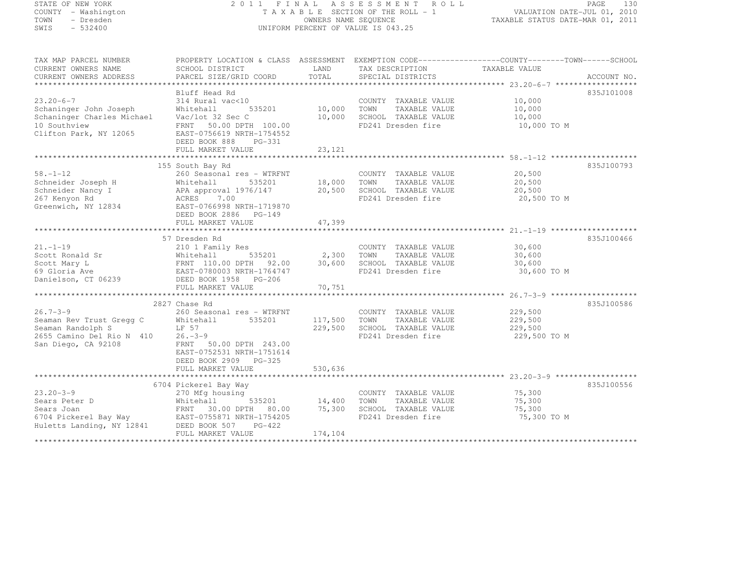# STATE OF NEW YORK 2 0 1 1 F I N A L A S S E S S M E N T R O L L PAGE <sup>130</sup> COUNTY - Washington T A X A B L E SECTION OF THE ROLL - 1 VALUATION DATE-JUL 01, 2010 TOWN - Dresden OWNERS NAME SEQUENCE TAXABLE STATUS DATE-MAR 01, 2011<br>- TRESDEN ON THE SEQUENCE TO A SECUENCE TO A SECUENCE THE SEQUENCE OF THE SECUENCE OF THE SECUENCE OF THE SECOND SWIS - 532400 UNIFORM PERCENT OF VALUE IS 043.25

| TAX MAP PARCEL NUMBER<br>CURRENT OWNERS NAME<br>CURRENT OWNERS ADDRESS                                                            | SCHOOL DISTRICT<br>PARCEL SIZE/GRID COORD                                                                                                                                       | LAND<br>TOTAL                      | TAX DESCRIPTION<br>SPECIAL DISTRICTS                                                        | PROPERTY LOCATION & CLASS ASSESSMENT EXEMPTION CODE----------------COUNTY-------TOWN-----SCHOOL<br>TAXABLE VALUE | ACCOUNT NO. |
|-----------------------------------------------------------------------------------------------------------------------------------|---------------------------------------------------------------------------------------------------------------------------------------------------------------------------------|------------------------------------|---------------------------------------------------------------------------------------------|------------------------------------------------------------------------------------------------------------------|-------------|
|                                                                                                                                   |                                                                                                                                                                                 |                                    |                                                                                             |                                                                                                                  |             |
| $23.20 - 6 - 7$<br>Schaninger John Joseph<br>Schaninger Charles Michael<br>10 Southview<br>Clifton Park, NY 12065                 | Bluff Head Rd<br>314 Rural vac<10<br>Whitehall<br>Vac/lot 32 Sec C<br>FRNT 50.00 DPTH 100.00<br>EAST-0756619 NRTH-1754552<br>DEED BOOK 888 PG-331<br>FULL MARKET VALUE          | 535201 10,000<br>10,000<br>23, 121 | COUNTY TAXABLE VALUE<br>TOWN<br>TAXABLE VALUE<br>SCHOOL TAXABLE VALUE<br>FD241 Dresden fire | 10,000<br>10,000<br>10,000<br>10,000 TO M                                                                        | 835J101008  |
|                                                                                                                                   |                                                                                                                                                                                 |                                    |                                                                                             |                                                                                                                  |             |
| $58. - 1 - 12$<br>Schneider Joseph H<br>Schneider Nancy I<br>267 Kenyon Rd<br>Greenwich, NY 12834                                 | 155 South Bay Rd<br>260 Seasonal res - WTRFNT<br>535201<br>Whitehall<br>APA approval 1976/147<br>ACRES 7.00<br>EAST-0766998 NRTH-1719870<br>DEED BOOK 2886 PG-149               | 18,000 TOWN                        | COUNTY TAXABLE VALUE<br>TAXABLE VALUE<br>20,500 SCHOOL TAXABLE VALUE<br>FD241 Dresden fire  | 20,500<br>20,500<br>20,500<br>20,500 TO M                                                                        | 835J100793  |
|                                                                                                                                   | FULL MARKET VALUE                                                                                                                                                               | 47,399                             |                                                                                             |                                                                                                                  |             |
|                                                                                                                                   |                                                                                                                                                                                 |                                    |                                                                                             |                                                                                                                  |             |
| $21. - 1 - 19$<br>Scott Ronald Sr<br>Scott Mary L<br>69 Gloria Ave<br>Danielson, CT 06239                                         | 57 Dresden Rd<br>210 1 Family Res<br>Whitehall<br>FRNT 110.00 DPTH 92.00 30,600<br>EAST-0780003 NRTH-1764747<br>DEED BOOK 1958 PG-206                                           | 535201 2,300 TOWN                  | COUNTY TAXABLE VALUE<br>TAXABLE VALUE<br>SCHOOL TAXABLE VALUE<br>FD241 Dresden fire         | $30,600$<br>$30,600$<br>30,600<br>30,600 TO M                                                                    | 835J100466  |
|                                                                                                                                   |                                                                                                                                                                                 |                                    |                                                                                             |                                                                                                                  |             |
| $26.7 - 3 - 9$<br>Seaman Rev Trust Gregg C<br>Seaman Randolph S<br>2655 Camino Del Rio N 410 26.-3-9<br>San Diego, CA 92108       | 2827 Chase Rd<br>260 Seasonal res - WTRFNT<br>535201<br>Whitehall<br>LF 57<br>FRNT 50.00 DPTH 243.00<br>EAST-0752531 NRTH-1751614<br>DEED BOOK 2909 PG-325<br>FULL MARKET VALUE | 117,500<br>229,500<br>530,636      | COUNTY TAXABLE VALUE<br>TOWN<br>TAXABLE VALUE<br>SCHOOL TAXABLE VALUE<br>FD241 Dresden fire | 229,500<br>229,500<br>229,500<br>229,500 TO M                                                                    | 835J100586  |
|                                                                                                                                   |                                                                                                                                                                                 |                                    |                                                                                             |                                                                                                                  |             |
| $23.20 - 3 - 9$<br>Sears Peter D<br>Sears Joan<br>6704 Pickerel Bay Way<br>Huletts Landing, NY 12841<br>Huletts Landing, NY 12841 | 6704 Pickerel Bay Way<br>270 Mfg housing<br>Whitehall<br>FRNT 30.00 DPTH 80.00 75,300<br>EAST-0755871 NRTH-1754205<br>DEED BOOK 507 PG-422<br>FULL MARKET VALUE                 | 535201 14,400<br>174,104           | COUNTY TAXABLE VALUE<br>TOWN<br>TAXABLE VALUE<br>SCHOOL TAXABLE VALUE<br>FD241 Dresden fire | 75,300<br>75,300<br>75,300<br>75,300 TO M                                                                        | 835J100556  |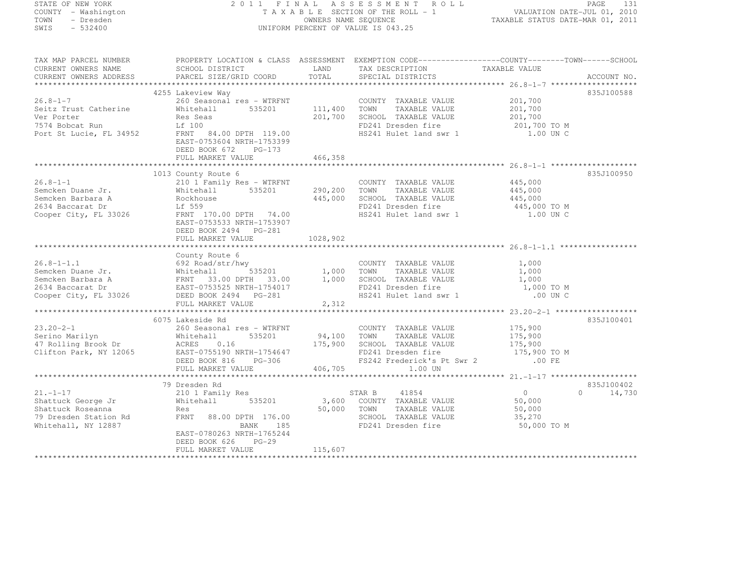| STATE OF NEW YORK |  |                     |  |
|-------------------|--|---------------------|--|
|                   |  | COUNTY - Washington |  |
| TOWN              |  | - Dresden           |  |
| SMTS              |  | $-532400$           |  |

#### STATE OF NEW YORK 2 0 1 1 F I N A L A S S E S S M E N T R O L L PAGE <sup>131</sup> COUNTY - Washington T A X A B L E SECTION OF THE ROLL - 1 VALUATION DATE-JUL 01, 2010 TOWN - Dresden OWNERS NAME SEQUENCE TAXABLE STATUS DATE-MAR 01, 2011<br>- TRESDEN ON THE SEQUENCE TO A SECUENCE TO A SECUENCE THE SEQUENCE OF THE SECUENCE OF THE SECUENCE OF THE SECOND SWIS - 532400 UNIFORM PERCENT OF VALUE IS 043.25

| TAX MAP PARCEL NUMBER                                                                                                                                                                                                                  |                                                                                             |          | PROPERTY LOCATION & CLASS ASSESSMENT EXEMPTION CODE-----------------COUNTY-------TOWN------SCHOOL                  |                     |                    |
|----------------------------------------------------------------------------------------------------------------------------------------------------------------------------------------------------------------------------------------|---------------------------------------------------------------------------------------------|----------|--------------------------------------------------------------------------------------------------------------------|---------------------|--------------------|
|                                                                                                                                                                                                                                        |                                                                                             |          |                                                                                                                    |                     |                    |
|                                                                                                                                                                                                                                        |                                                                                             |          |                                                                                                                    |                     |                    |
|                                                                                                                                                                                                                                        |                                                                                             |          |                                                                                                                    |                     |                    |
|                                                                                                                                                                                                                                        | 4255 Lakeview Way                                                                           |          |                                                                                                                    |                     | 835J100588         |
| $26.8 - 1 - 7$                                                                                                                                                                                                                         | 260 Seasonal res - WTRFNT COUNTY<br>Whitehall 535201 111,400 TOWN                           |          | COUNTY TAXABLE VALUE                                                                                               | 201,700             |                    |
| Seitz Trust Catherine                                                                                                                                                                                                                  |                                                                                             |          | TAXABLE VALUE                                                                                                      | 201,700             |                    |
| Ver Porter                                                                                                                                                                                                                             | Res Seas                                                                                    |          | 201,700 SCHOOL TAXABLE VALUE                                                                                       | 201,700             |                    |
| 7574 Bobcat Run                                                                                                                                                                                                                        | Lf 100                                                                                      |          | FD241 Dresden fire                                                                                                 | 201,700 TO M        |                    |
| Port St Lucie, FL 34952 FRNT 84.00 DPTH 119.00                                                                                                                                                                                         | EAST-0753604 NRTH-1753399<br>DEED BOOK 672 PG-173                                           |          | HS241 Hulet land swr 1 1.00 UN C                                                                                   |                     |                    |
|                                                                                                                                                                                                                                        | FULL MARKET VALUE                                                                           | 466,358  |                                                                                                                    |                     |                    |
|                                                                                                                                                                                                                                        |                                                                                             |          |                                                                                                                    |                     |                    |
|                                                                                                                                                                                                                                        | 1013 County Route 6                                                                         |          |                                                                                                                    |                     | 835J100950         |
| $26.8 - 1 - 1$                                                                                                                                                                                                                         | 210 1 Family Res - WTRFNT COUNT<br>Whitehall 535201 290,200 TOWN<br>Rockhouse 445,000 SCHOC |          | COUNTY TAXABLE VALUE                                                                                               | 445,000             |                    |
| Semcken Duane Jr.                                                                                                                                                                                                                      |                                                                                             |          | TAXABLE VALUE                                                                                                      | 445,000             |                    |
| Semcken Barbara A                                                                                                                                                                                                                      | Whitehall<br>Rockhouse                                                                      |          | SCHOOL TAXABLE VALUE                                                                                               | 445,000             |                    |
|                                                                                                                                                                                                                                        |                                                                                             |          |                                                                                                                    |                     |                    |
| zos4 Baccarat Dr<br>Cooper City, FL 33026                                                                                                                                                                                              | Lf 559<br>FRNT 170.00 DPTH 74.00                                                            |          | FD241 Dresden fire 445,000 TO M<br>HS241 Hulet land swr 1 1.00 UN C                                                |                     |                    |
|                                                                                                                                                                                                                                        | EAST-0753533 NRTH-1753907<br>DEED BOOK 2494 PG-281<br>FULL MARKET VALUE                     | 1028,902 |                                                                                                                    |                     |                    |
|                                                                                                                                                                                                                                        |                                                                                             |          |                                                                                                                    |                     |                    |
|                                                                                                                                                                                                                                        | County Route 6                                                                              |          |                                                                                                                    |                     |                    |
|                                                                                                                                                                                                                                        |                                                                                             |          | COUNTY TAXABLE VALUE 1,000                                                                                         |                     |                    |
|                                                                                                                                                                                                                                        |                                                                                             |          | TAXABLE VALUE                                                                                                      | 1,000               |                    |
|                                                                                                                                                                                                                                        |                                                                                             |          |                                                                                                                    | $\frac{1}{1}$ , 000 |                    |
|                                                                                                                                                                                                                                        |                                                                                             |          | FD241 Dresden fire                                                                                                 | 1,000 TO M          |                    |
| 26.8-1-1.1 692 Road/str/hwy<br>Semcken Duane Jr. Whitehall 535201 1,000 TOWN TAXABLE VALUE<br>Semcken Barbara A FRNT 33.00 DPTH 33.00 1,000 SCHOOL TAXABLE VALUE<br>2634 Baccarat Dr EAST-0753525 NRTH-1754017 FD241 Dresden fire<br>C |                                                                                             |          | HS241 Hulet land swr 1                                                                                             | .00 UN C            |                    |
|                                                                                                                                                                                                                                        | FULL MARKET VALUE                                                                           | 2,312    |                                                                                                                    |                     |                    |
|                                                                                                                                                                                                                                        |                                                                                             |          |                                                                                                                    |                     |                    |
|                                                                                                                                                                                                                                        | 6075 Lakeside Rd                                                                            |          |                                                                                                                    |                     | 835J100401         |
| $23.20 - 2 - 1$                                                                                                                                                                                                                        | 260 Seasonal res - WTRFNT                                                                   |          | COUNTY TAXABLE VALUE 175,900                                                                                       |                     |                    |
| zo.zo-z-1<br>Serino Marilyn<br>47 Rolling Brook Dr<br>1155-117                                                                                                                                                                         | 535201<br>Whitehall                                                                         |          | 94,100 TOWN TAXABLE VALUE                                                                                          |                     |                    |
|                                                                                                                                                                                                                                        | 0.16<br>ACRES                                                                               |          | 175,900 SCHOOL TAXABLE VALUE                                                                                       | 175,900<br>175,900  |                    |
| Clifton Park, NY 12065                                                                                                                                                                                                                 |                                                                                             |          |                                                                                                                    |                     |                    |
|                                                                                                                                                                                                                                        |                                                                                             |          | EAST-0755190 NRTH-1754647 FD241 Dresden fire 175,900 TO M<br>DEED BOOK 816 PG-306 FS242 Frederick's Pt Swr 2 00 FE |                     |                    |
|                                                                                                                                                                                                                                        | FULL MARKET VALUE                                                                           | 406,705  | 1.00 UN                                                                                                            |                     |                    |
|                                                                                                                                                                                                                                        |                                                                                             |          |                                                                                                                    |                     |                    |
|                                                                                                                                                                                                                                        | 79 Dresden Rd                                                                               |          |                                                                                                                    |                     | 835J100402         |
| $21. - 1 - 17$                                                                                                                                                                                                                         | 210 1 Family Res                                                                            |          | STAR B<br>41854                                                                                                    | $\overline{0}$      | $\Omega$<br>14,730 |
| Shattuck George Jr                                                                                                                                                                                                                     | 535201<br>Whitehall                                                                         |          | 3,600 COUNTY TAXABLE VALUE                                                                                         | 50,000              |                    |
| Shattuck Roseanna                                                                                                                                                                                                                      | Res                                                                                         |          | 50,000 TOWN<br>TAXABLE VALUE                                                                                       | 50,000              |                    |
| 79 Dresden Station Rd                                                                                                                                                                                                                  | FRNT<br>88.00 DPTH 176.00                                                                   |          | SCHOOL TAXABLE VALUE                                                                                               | 35, 270             |                    |
| Whitehall, NY 12887                                                                                                                                                                                                                    | BANK 185                                                                                    |          | FD241 Dresden fire                                                                                                 | 50,000 TO M         |                    |
|                                                                                                                                                                                                                                        | EAST-0780263 NRTH-1765244                                                                   |          |                                                                                                                    |                     |                    |
|                                                                                                                                                                                                                                        | DEED BOOK 626<br>$PG-29$                                                                    |          |                                                                                                                    |                     |                    |
|                                                                                                                                                                                                                                        | FULL MARKET VALUE                                                                           | 115,607  |                                                                                                                    |                     |                    |
|                                                                                                                                                                                                                                        |                                                                                             |          |                                                                                                                    |                     |                    |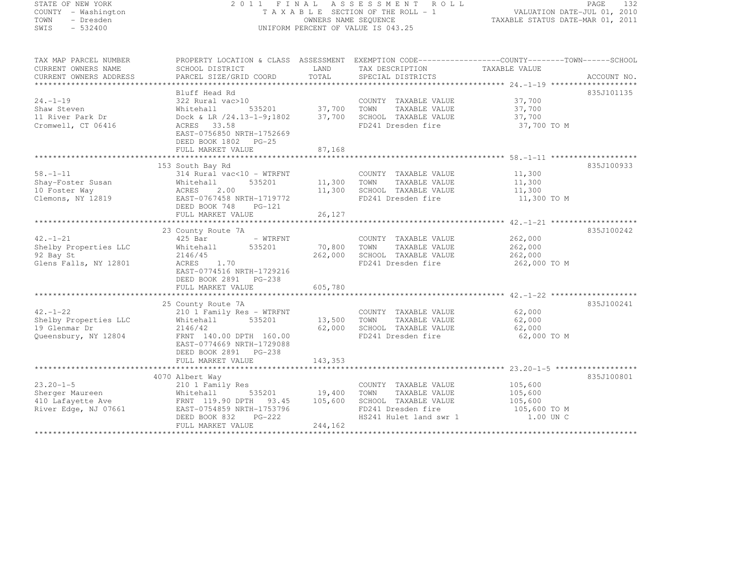# STATE OF NEW YORK 2 0 1 1 F I N A L A S S E S S M E N T R O L L PAGE <sup>132</sup> COUNTY - Washington T A X A B L E SECTION OF THE ROLL - 1 VALUATION DATE-JUL 01, 2010 TOWN - Dresden OWNERS NAME SEQUENCE TAXABLE STATUS DATE-MAR 01, 2011<br>- TRESDEN ON THE SEQUENCE TO A SECUENCE TO A SECUENCE THE SEQUENCE OF THE SECUENCE OF THE SECUENCE OF THE SECOND SWIS - 532400 UNIFORM PERCENT OF VALUE IS 043.25

| TAX MAP PARCEL NUMBER  | PROPERTY LOCATION & CLASS ASSESSMENT EXEMPTION CODE-----------------COUNTY-------TOWN------SCHOOL |                          |                                                   |                      |            |
|------------------------|---------------------------------------------------------------------------------------------------|--------------------------|---------------------------------------------------|----------------------|------------|
| CURRENT OWNERS NAME    | SCHOOL DISTRICT                                                                                   |                          | LAND TAX DESCRIPTION                              | TAXABLE VALUE        |            |
| CURRENT OWNERS ADDRESS |                                                                                                   |                          |                                                   |                      |            |
|                        |                                                                                                   |                          |                                                   |                      |            |
|                        | Bluff Head Rd                                                                                     |                          |                                                   |                      | 835J101135 |
| $24. -1 - 19$          | 322 Rural vac>10                                                                                  | 0<br>535201 537,700 TOWN | COUNTY TAXABLE VALUE 37,700                       | TAXABLE VALUE 37,700 |            |
| Shaw Steven            | Whitehall                                                                                         |                          |                                                   |                      |            |
| 11 River Park Dr       | Dock & LR /24.13-1-9;1802 37,700 SCHOOL TAXABLE VALUE                                             |                          |                                                   | 37,700               |            |
| Cromwell, CT 06416     | ACRES 33.58                                                                                       |                          | FD241 Dresden fire                                | 37,700 TO M          |            |
|                        | EAST-0756850 NRTH-1752669                                                                         |                          |                                                   |                      |            |
|                        | DEED BOOK 1802 PG-25                                                                              |                          |                                                   |                      |            |
|                        |                                                                                                   |                          |                                                   |                      |            |
|                        | 153 South Bay Rd                                                                                  |                          |                                                   |                      | 835J100933 |
| $58. - 1 - 11$         | 314 Rural vac<10 - WTRFNT                                                                         |                          | COUNTY TAXABLE VALUE                              | 11,300               |            |
|                        |                                                                                                   |                          |                                                   |                      |            |
| Shay-Foster Susan      | Whitehall<br>535201<br>Whiteh<br>ACRES                                                            | 11,300 TOWN              | TAXABLE VALUE<br>SCHOOL TAXABLE VALUE             | 11,300<br>11,300     |            |
| 10 Foster Way          | 2.00                                                                                              | 11,300                   |                                                   |                      |            |
| Clemons, NY 12819      | EAST-0767458 NRTH-1719772                                                                         |                          | FD241 Dresden fire                                | 11,300 TO M          |            |
|                        | DEED BOOK 748 PG-121                                                                              | 26,127                   |                                                   |                      |            |
|                        | FULL MARKET VALUE                                                                                 |                          |                                                   |                      |            |
|                        | 23 County Route 7A                                                                                |                          |                                                   |                      | 835J100242 |
| $42. - 1 - 21$         | 425 Bar<br>- WTRFNT                                                                               |                          | COUNTY TAXABLE VALUE                              | 262,000              |            |
| Shelby Properties LLC  | Whitehall 535201                                                                                  | 70,800 TOWN              | TAXABLE VALUE                                     | 262,000              |            |
| 92 Bay St              | 2146/45                                                                                           |                          | 262,000 SCHOOL TAXABLE VALUE 262,000              |                      |            |
| Glens Falls, NY 12801  | ACRES 1.70                                                                                        |                          | FD241 Dresden fire                                | 262,000 TO M         |            |
|                        | EAST-0774516 NRTH-1729216                                                                         |                          |                                                   |                      |            |
|                        | DEED BOOK 2891 PG-238                                                                             |                          |                                                   |                      |            |
|                        | FULL MARKET VALUE                                                                                 | 605,780                  |                                                   |                      |            |
|                        |                                                                                                   |                          |                                                   |                      |            |
|                        | 25 County Route 7A                                                                                |                          |                                                   |                      | 835J100241 |
| $42. - 1 - 22$         | 210 1 Family Res - WTRFNT                                                                         |                          | COUNTY TAXABLE VALUE                              | 62,000               |            |
| Shelby Properties LLC  | 535201<br>Whitehall                                                                               | 13,500 TOWN              | TAXABLE VALUE                                     | 62,000               |            |
| 19 Glenmar Dr          | 2146/42                                                                                           |                          |                                                   | 62,000               |            |
| Queensbury, NY 12804   | FRNT 140.00 DPTH 160.00                                                                           |                          | 62,000 SCHOOL TAXABLE VALUE<br>FD241 Dresden fire | 62,000 TO M          |            |
|                        | EAST-0774669 NRTH-1729088                                                                         |                          |                                                   |                      |            |
|                        | DEED BOOK 2891 PG-238                                                                             |                          |                                                   |                      |            |
|                        |                                                                                                   |                          |                                                   |                      |            |
|                        |                                                                                                   |                          |                                                   |                      |            |
|                        | 4070 Albert Way                                                                                   |                          |                                                   |                      | 835J100801 |
| $23.20 - 1 - 5$        | 210 1 Family Res                                                                                  |                          | COUNTY TAXABLE VALUE                              | 105,600              |            |
| Sherger Maureen        | $535201$ 19,400<br>Whitehall                                                                      |                          | TOWN<br>TAXABLE VALUE                             | 105,600              |            |
|                        | 410 Lafayette Ave FRNT 119.90 DPTH 93.45 105,600                                                  |                          | SCHOOL TAXABLE VALUE 105,600                      |                      |            |
| River Edge, NJ 07661   | EAST-0754859 NRTH-1753796                                                                         |                          |                                                   |                      |            |
|                        | DEED BOOK 832 PG-222                                                                              |                          |                                                   |                      |            |
|                        | FULL MARKET VALUE                                                                                 | 244,162                  |                                                   |                      |            |
|                        |                                                                                                   |                          |                                                   |                      |            |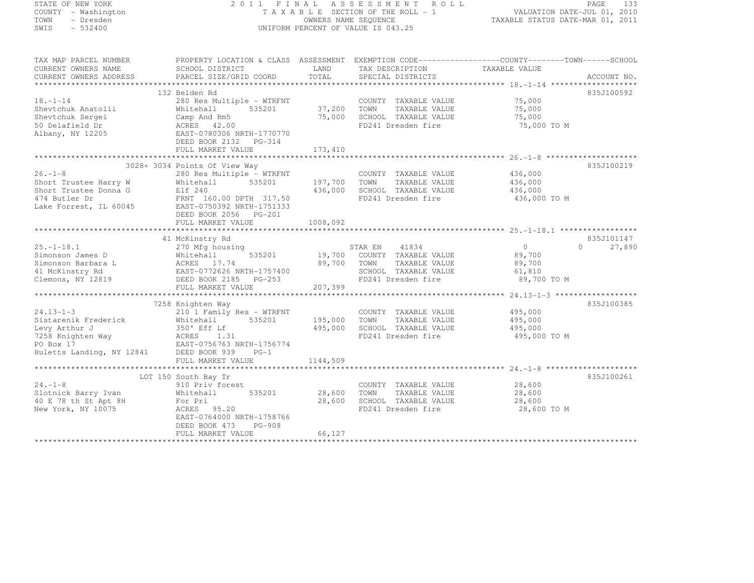# STATE OF NEW YORK 2 0 1 1 F I N A L A S S E S S M E N T R O L L PAGE <sup>133</sup> COUNTY - Washington T A X A B L E SECTION OF THE ROLL - 1 VALUATION DATE-JUL 01, 2010 TOWN - Dresden OWNERS NAME SEQUENCE TAXABLE STATUS DATE-MAR 01, 2011<br>- TRESDEN ON THE SEQUENCE TO A SECUENCE TO A SECUENCE THE SEQUENCE OF THE SECUENCE OF THE SECUENCE OF THE SECOND SWIS - 532400 UNIFORM PERCENT OF VALUE IS 043.25

| TAX MAP PARCEL NUMBER                                      | PROPERTY LOCATION & CLASS ASSESSMENT EXEMPTION CODE-----------------COUNTY-------TOWN------SCHOOL |                        |                                               |                         |                     |
|------------------------------------------------------------|---------------------------------------------------------------------------------------------------|------------------------|-----------------------------------------------|-------------------------|---------------------|
| CURRENT OWNERS NAME                                        | SCHOOL DISTRICT                                                                                   | LAND<br>TOTAL          | TAX DESCRIPTION                               | TAXABLE VALUE           | ACCOUNT NO.         |
| CURRENT OWNERS ADDRESS                                     | PARCEL SIZE/GRID COORD                                                                            |                        | SPECIAL DISTRICTS                             |                         |                     |
|                                                            | 132 Belden Rd                                                                                     |                        |                                               |                         | 835J100592          |
| $18. - 1 - 14$                                             | 280 Res Multiple - WTRFNT                                                                         |                        | COUNTY TAXABLE VALUE                          | 75,000                  |                     |
| Shevtchuk Anatolii                                         | 535201<br>Whitehall                                                                               | 37,200                 | TOWN<br>TAXABLE VALUE                         | 75,000                  |                     |
| Shevtchuk Sergei                                           | Camp And Rm5                                                                                      | 75,000                 | SCHOOL TAXABLE VALUE                          | 75,000                  |                     |
| 50 Delafield Dr                                            | ACRES 42.00                                                                                       |                        | FD241 Dresden fire                            | 75,000 TO M             |                     |
| Albany, NY 12205                                           | EAST-0780306 NRTH-1770770<br>DEED BOOK 2132 PG-314                                                |                        |                                               |                         |                     |
|                                                            | FULL MARKET VALUE                                                                                 | 173,410                |                                               |                         |                     |
|                                                            |                                                                                                   |                        |                                               |                         |                     |
|                                                            | 3028+ 3034 Points Of View Way                                                                     |                        |                                               |                         | 835J100219          |
| $26. - 1 - 8$                                              | 280 Res Multiple - WTRFNT                                                                         |                        | COUNTY TAXABLE VALUE                          | 436,000                 |                     |
| Short Trustee Harry W                                      | Whitehall<br>535201                                                                               | 197,700                | TOWN<br>TAXABLE VALUE                         | 436,000                 |                     |
| Short Trustee Donna G                                      | Elf 240                                                                                           | 436,000                | SCHOOL TAXABLE VALUE                          | 436,000                 |                     |
| 474 Butler Dr                                              | FRNT 160.00 DPTH 317.50<br>EAST-0750392 NRTH-1751333                                              |                        | FD241 Dresden fire                            | 436,000 TO M            |                     |
| Lake Forrest, IL 60045                                     | DEED BOOK 2056 PG-201                                                                             |                        |                                               |                         |                     |
|                                                            | FULL MARKET VALUE                                                                                 | 1008,092               |                                               |                         |                     |
|                                                            |                                                                                                   |                        |                                               |                         |                     |
|                                                            | 41 McKinstry Rd                                                                                   |                        |                                               |                         | 835J101147          |
| $25. - 1 - 18.1$                                           | 270 Mfg housing                                                                                   |                        | STAR EN 41834                                 | $0 \qquad \qquad$       | 27,890<br>$\bigcap$ |
| Simonson James D                                           | 535201<br>Whitehall                                                                               | 89,700 TOWN            | 19,700 COUNTY TAXABLE VALUE                   | 89,700                  |                     |
| Simonson Barbara L                                         |                                                                                                   |                        | TAXABLE VALUE<br>SCHOOL TAXABLE VALUE         | 89,700<br>61,810        |                     |
| Simonson Barbara L<br>41 McKinstry Rd<br>Clemons, NY 12819 | ACRES 17.74<br>EAST-0772626 NRTH-1757400<br>John 2007 2185 PG-253                                 |                        | FD241 Dresden fire                            | 89,700 TO M             |                     |
|                                                            | FULL MARKET VALUE                                                                                 |                        |                                               |                         |                     |
|                                                            |                                                                                                   | $207,399$<br>********* |                                               |                         |                     |
|                                                            | 7258 Knighten Way                                                                                 |                        |                                               |                         | 835J100385          |
| $24.13 - 1 - 3$                                            | 210 1 Family Res - WTRFNT                                                                         |                        | COUNTY TAXABLE VALUE                          | 495,000                 |                     |
| Sistarenik Frederick                                       | Whitehall 535201                                                                                  | 195,000                | TAXABLE VALUE<br>TOWN                         | 495,000                 |                     |
| Levy Arthur J                                              | 350' Eff Lf<br>ACRES 1.31                                                                         | 495,000                | SCHOOL TAXABLE VALUE<br>FD241 Dresden fire    | 495,000<br>495,000 TO M |                     |
| 7258 Knighten Way<br>PO Box 17<br>PO Box 17                | EAST-0756763 NRTH-1756774                                                                         |                        |                                               |                         |                     |
| Huletts Landing, NY 12841 DEED BOOK 939                    | $PG-1$                                                                                            |                        |                                               |                         |                     |
|                                                            | FULL MARKET VALUE                                                                                 | 1144,509               |                                               |                         |                     |
|                                                            |                                                                                                   |                        |                                               |                         |                     |
|                                                            | LOT 150 South Bay Tr                                                                              |                        |                                               |                         | 835J100261          |
| $24. -1 - 8$                                               | 910 Priv forest                                                                                   |                        | COUNTY TAXABLE VALUE                          | 28,600                  |                     |
| Slotnick Barry Ivan<br>40 E 78 th St Apt 8H                | 535201<br>Whitehall<br>For Pri                                                                    | 28,600<br>28,600       | TAXABLE VALUE<br>TOWN<br>SCHOOL TAXABLE VALUE | 28,600<br>28,600        |                     |
| New York, NY 10075                                         | ACRES 95.20                                                                                       |                        | FD241 Dresden fire                            | 28,600 TO M             |                     |
|                                                            | EAST-0764000 NRTH-1758766                                                                         |                        |                                               |                         |                     |
|                                                            | DEED BOOK 473<br>PG-908                                                                           |                        |                                               |                         |                     |
|                                                            | FULL MARKET VALUE                                                                                 | 66,127                 |                                               |                         |                     |
|                                                            |                                                                                                   |                        |                                               |                         |                     |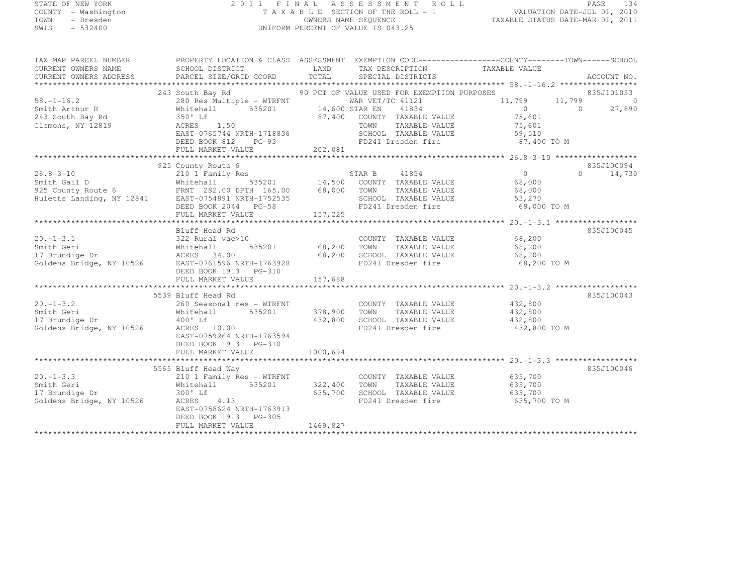## STATE OF NEW YORK 2 0 1 1 F I N A L A S S E S S M E N T R O L L PAGE <sup>134</sup> COUNTY - Washington T A X A B L E SECTION OF THE ROLL - 1 VALUATION DATE-JUL 01, 2010 TOWN - Dresden OWNERS NAME SEQUENCE TAXABLE STATUS DATE-MAR 01, 2011<br>- TRESDEN ON THE SEQUENCE TO A SECUENCE TO A SECUENCE THE SEQUENCE OF THE SECUENCE OF THE SECUENCE OF THE SECOND SWIS - 532400 UNIFORM PERCENT OF VALUE IS 043.25

| TAX MAP PARCEL NUMBER<br>CURRENT OWNERS NAME<br>CURRENT OWNERS ADDRESS                                                                                | PROPERTY LOCATION & CLASS ASSESSMENT EXEMPTION CODE----------------COUNTY-------TOWN-----SCHOOL<br>SCHOOL DISTRICT<br>PARCEL SIZE/GRID COORD                                                                                                                              | LAND<br>TOTAL                      | TAX DESCRIPTION TAXABLE VALUE<br>SPECIAL DISTRICTS                                                                                                                      |                                                                           | ACCOUNT NO.                                    |
|-------------------------------------------------------------------------------------------------------------------------------------------------------|---------------------------------------------------------------------------------------------------------------------------------------------------------------------------------------------------------------------------------------------------------------------------|------------------------------------|-------------------------------------------------------------------------------------------------------------------------------------------------------------------------|---------------------------------------------------------------------------|------------------------------------------------|
| $58. - 1 - 16.2$<br>Smith Arthur R<br>243 South Bay Rd<br>243 South Bay Rd<br>Clemons, NY 12819                                                       | 243 South Bay Rd<br>280 Res Multiple - WTRFNT<br>535201<br>Whitehall<br>350' Lf<br>1.50<br>ACRES<br>EAST-0765744 NRTH-1718836<br>DEED BOOK 812 PG-93<br>${\small \newline \text{FULL} \text{ MARKET} \text{ } 202,081 \text{ } \newline \text{F5.3-10} \text{ } 208,081}$ | 14,600 STAR EN<br>87,400           | 90 PCT OF VALUE USED FOR EXEMPTION PURPOSES<br>WAR VET/TC 41121<br>41834<br>COUNTY TAXABLE VALUE<br>TOWN<br>TAXABLE VALUE<br>SCHOOL TAXABLE VALUE<br>FD241 Dresden fire | 11,799<br>11,799<br>$\Omega$<br>75,601<br>75,601<br>59,510<br>87,400 TO M | 835J101053<br>$\bigcirc$<br>27,890<br>$\Omega$ |
|                                                                                                                                                       |                                                                                                                                                                                                                                                                           |                                    |                                                                                                                                                                         |                                                                           |                                                |
| $26.8 - 3 - 10$<br>Smith Gail D Whitehall 535201<br>925 County Route 6 FRNT 282.00 DPTH 165.00<br>Huletts Landing, NY 12841 EAST-0754891 NRTH-1752535 | 925 County Route 6<br>210 1 Family Res<br>FRNT 282.00 DPTH 165.00<br>DEED BOOK 2044 PG-58<br>FULL MARKET VALUE                                                                                                                                                            | 535201 14,500<br>68,000<br>157,225 | 41854<br>STAR B<br>COUNTY TAXABLE VALUE<br>TOWN<br>TAXABLE VALUE<br>SCHOOL TAXABLE VALUE<br>FD241 Dresden fire                                                          | 0<br>68,000<br>68,000<br>53,270<br>68,000 TO M                            | 835J100094<br>$\Omega$<br>14,730               |
|                                                                                                                                                       |                                                                                                                                                                                                                                                                           |                                    |                                                                                                                                                                         |                                                                           |                                                |
| $20. -1 - 3.1$<br>Smith Geri<br>17 Brundige Dr<br>Goldens Bridge, NY 10526                                                                            | Bluff Head Rd<br>322 Rural vac>10<br>535201<br>Whitehall<br>ACRES 34.00<br>EAST-0761596 NRTH-1763928<br>DEED BOOK 1913 PG-310<br>FULL MARKET VALUE                                                                                                                        | 68,200<br>68,200<br>157,688        | COUNTY TAXABLE VALUE 68,200<br>TOWN<br>TAXABLE VALUE<br>SCHOOL TAXABLE VALUE<br>FD241 Dresden fire                                                                      | 68,200<br>68,200<br>68,200 TO M                                           | 835J100045                                     |
|                                                                                                                                                       | 5539 Bluff Head Rd                                                                                                                                                                                                                                                        |                                    |                                                                                                                                                                         |                                                                           | 835J100043                                     |
| $20. -1 - 3.2$<br>Smith Geri<br>17 Brundige Dr<br>Goldens Bridge, NY 10526                                                                            | 260 Seasonal res - WTRFNT<br>535201<br>Whitehall<br>$400'$ Lf<br>ACRES 10.00<br>EAST-0759264 NRTH-1763594<br>DEED BOOK 1913 PG-310                                                                                                                                        | 378,900<br>432,800                 | COUNTY TAXABLE VALUE<br>TAXABLE VALUE<br>TOWN<br>SCHOOL TAXABLE VALUE<br>FD241 Dresden fire                                                                             | 432,800<br>432,800<br>432,800<br>432,800 TO M                             |                                                |
|                                                                                                                                                       | FULL MARKET VALUE                                                                                                                                                                                                                                                         | 1000,694                           |                                                                                                                                                                         |                                                                           |                                                |
|                                                                                                                                                       |                                                                                                                                                                                                                                                                           |                                    |                                                                                                                                                                         |                                                                           |                                                |
| $20. -1 - 3.3$<br>Smith Geri<br>17 Brundige Dr<br>Goldens Bridge, NY 10526                                                                            | 5565 Bluff Head Way<br>210 1 Family Res - WTRFNT<br>Whitehall<br>535201<br>300' Lf<br>ACRES 4.13<br>EAST-0758624 NRTH-1763913<br>DEED BOOK 1913 PG-305<br>FULL MARKET VALUE                                                                                               | 322,400<br>635,700<br>1469,827     | COUNTY TAXABLE VALUE<br>TAXABLE VALUE<br>TOWN<br>SCHOOL TAXABLE VALUE<br>FD241 Dresden fire                                                                             | 635,700<br>635,700<br>635,700<br>635,700 TO M                             | 835J100046                                     |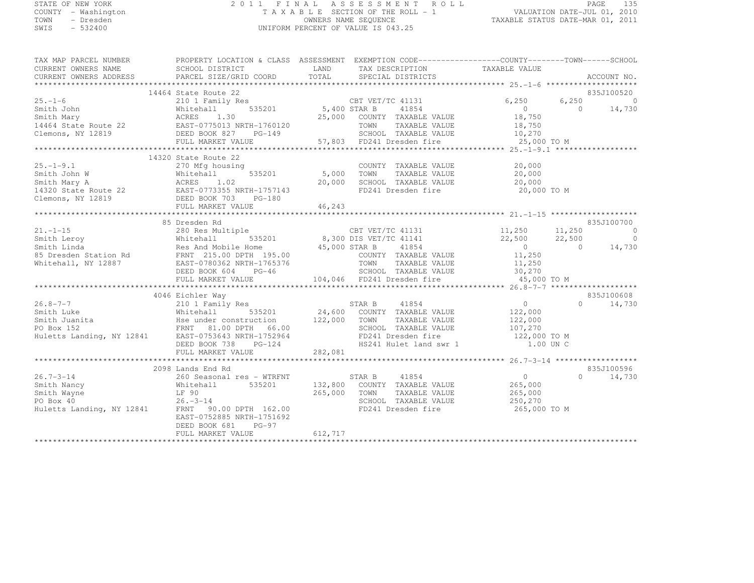#### STATE OF NEW YORK 2 0 1 1 F I N A L A S S E S S M E N T R O L L PAGE <sup>135</sup> COUNTY - Washington T A X A B L E SECTION OF THE ROLL - 1 VALUATION DATE-JUL 01, 2010 TOWN - Dresden OWNERS NAME SEQUENCE TAXABLE STATUS DATE-MAR 01, 2011 UNIFORM PERCENT OF VALUE IS 043.25

|                     | TAX MAP PARCEL NUMBER          PROPERTY LOCATION & CLASS ASSESSMENT EXEMPTION CODE------------------COUNTY-------TOWN------SCHOOL CURRENT OWNERS NAME            SCHOOL DISTRICT           LAND     TAX DESCRIPTION<br>- A POIRT CORRENT OWNERS NAME SCHOOL DISTRICT LAND LAND TAX DESCRIPTION TAXABLE VALUE<br>CURRENT OWNERS ADDRESS PARCEL SIZE/GRID COORD IOTAL SPECIAL DISTRICTS ACCOURTY ACCOUNTY ACCOUNTY PART OF THE SCHOOL DISTRICTS                        | ACCOUNT NO.         |
|---------------------|----------------------------------------------------------------------------------------------------------------------------------------------------------------------------------------------------------------------------------------------------------------------------------------------------------------------------------------------------------------------------------------------------------------------------------------------------------------------|---------------------|
|                     |                                                                                                                                                                                                                                                                                                                                                                                                                                                                      |                     |
|                     |                                                                                                                                                                                                                                                                                                                                                                                                                                                                      |                     |
|                     |                                                                                                                                                                                                                                                                                                                                                                                                                                                                      |                     |
|                     |                                                                                                                                                                                                                                                                                                                                                                                                                                                                      |                     |
|                     |                                                                                                                                                                                                                                                                                                                                                                                                                                                                      |                     |
|                     |                                                                                                                                                                                                                                                                                                                                                                                                                                                                      |                     |
|                     |                                                                                                                                                                                                                                                                                                                                                                                                                                                                      |                     |
|                     |                                                                                                                                                                                                                                                                                                                                                                                                                                                                      |                     |
|                     |                                                                                                                                                                                                                                                                                                                                                                                                                                                                      |                     |
|                     | FD241 Dresden fire 20,000 TO M                                                                                                                                                                                                                                                                                                                                                                                                                                       |                     |
|                     |                                                                                                                                                                                                                                                                                                                                                                                                                                                                      |                     |
| 85 Dresden Rd       |                                                                                                                                                                                                                                                                                                                                                                                                                                                                      | 835J100700          |
|                     |                                                                                                                                                                                                                                                                                                                                                                                                                                                                      |                     |
|                     |                                                                                                                                                                                                                                                                                                                                                                                                                                                                      |                     |
|                     |                                                                                                                                                                                                                                                                                                                                                                                                                                                                      |                     |
|                     |                                                                                                                                                                                                                                                                                                                                                                                                                                                                      |                     |
|                     |                                                                                                                                                                                                                                                                                                                                                                                                                                                                      |                     |
|                     |                                                                                                                                                                                                                                                                                                                                                                                                                                                                      |                     |
|                     |                                                                                                                                                                                                                                                                                                                                                                                                                                                                      |                     |
|                     |                                                                                                                                                                                                                                                                                                                                                                                                                                                                      | 835J100608          |
|                     |                                                                                                                                                                                                                                                                                                                                                                                                                                                                      | $0 \t 14,730$       |
|                     |                                                                                                                                                                                                                                                                                                                                                                                                                                                                      |                     |
|                     |                                                                                                                                                                                                                                                                                                                                                                                                                                                                      |                     |
|                     |                                                                                                                                                                                                                                                                                                                                                                                                                                                                      |                     |
|                     |                                                                                                                                                                                                                                                                                                                                                                                                                                                                      |                     |
|                     |                                                                                                                                                                                                                                                                                                                                                                                                                                                                      |                     |
|                     |                                                                                                                                                                                                                                                                                                                                                                                                                                                                      |                     |
| 2098 Lands End Rd   |                                                                                                                                                                                                                                                                                                                                                                                                                                                                      | 835J100596          |
|                     |                                                                                                                                                                                                                                                                                                                                                                                                                                                                      | $\bigcap$<br>14,730 |
|                     |                                                                                                                                                                                                                                                                                                                                                                                                                                                                      |                     |
|                     |                                                                                                                                                                                                                                                                                                                                                                                                                                                                      |                     |
|                     |                                                                                                                                                                                                                                                                                                                                                                                                                                                                      |                     |
| DEED BOOK 681 PG-97 | $\begin{tabular}{lllllllllllll} \multicolumn{3}{c }{26.7-3-14} & \multicolumn{3}{c }{26.9\text{ columns }} \text{End }\text{KQ} & \multicolumn{3}{c }{26.8\text{ columns }} \text{G0} & \multicolumn{3}{c }{26.8\text{ columns }} \text{G0} & \multicolumn{3}{c }{26.8\text{ columns }} \text{G0} & \multicolumn{3}{c }{26.8\text{ columns }} \text{G0} & \multicolumn{3}{c }{26.8\text{ columns }} \text{G0} & \multicolumn{3}{c }{26.8\text{ columns }} \text{G0}$ |                     |
| FULL MARKET VALUE   | 612, 717                                                                                                                                                                                                                                                                                                                                                                                                                                                             |                     |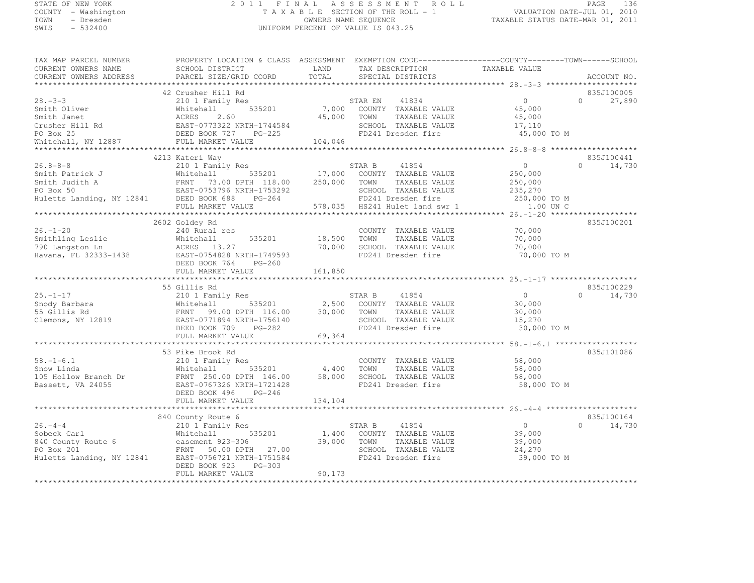#### STATE OF NEW YORK 2 0 1 1 F I N A L A S S E S S M E N T R O L L PAGE <sup>136</sup> COUNTY - Washington T A X A B L E SECTION OF THE ROLL - 1 VALUATION DATE-JUL 01, 2010 COUNTY - Washington TAXABLE SECTION OF THE ROLL - 1<br>
TAXABLE SECTION OF THE ROLL - 1<br>
OWNERS NAME SEQUENCE TAXABLE STATUS DATE-MAR 01, 2011<br>
SWIS - 532400 TAXABLE STATUS DATE-MAR 01, 2011 UNIFORM PERCENT OF VALUE IS 043.25

| TAX MAP PARCEL NUMBER                                                                                                                                                                                                                                                | PROPERTY LOCATION & CLASS ASSESSMENT EXEMPTION CODE-----------------COUNTY-------TOWN------SCHOOL |             |                                                       |                       |                             |
|----------------------------------------------------------------------------------------------------------------------------------------------------------------------------------------------------------------------------------------------------------------------|---------------------------------------------------------------------------------------------------|-------------|-------------------------------------------------------|-----------------------|-----------------------------|
| CURRENT OWNERS NAME                                                                                                                                                                                                                                                  | SCHOOL DISTRICT                                                                                   | LAND        | TAX DESCRIPTION                                       | TAXABLE VALUE         |                             |
| CURRENT OWNERS ADDRESS                                                                                                                                                                                                                                               | PARCEL SIZE/GRID COORD                                                                            | TOTAL       | SPECIAL DISTRICTS                                     |                       | ACCOUNT NO.                 |
|                                                                                                                                                                                                                                                                      |                                                                                                   |             |                                                       |                       |                             |
|                                                                                                                                                                                                                                                                      | 42 Crusher Hill Rd                                                                                |             |                                                       | $\Omega$              | 835J100005<br>$\Omega$      |
| $28 - 3 - 3$                                                                                                                                                                                                                                                         | 210 1 Family Res                                                                                  |             | 41834<br>STAR EN<br>535201 7,000 COUNTY TAXABLE VALUE |                       | 27,890                      |
| Smith Oliver                                                                                                                                                                                                                                                         | Whitehall                                                                                         |             |                                                       | 45,000                |                             |
|                                                                                                                                                                                                                                                                      |                                                                                                   | 45,000      | TOWN<br>TAXABLE VALUE                                 | 45,000                |                             |
| Smith Janet<br>Crusher Hill Rd<br>PO Box 25<br>PO Box 25<br>PO Box 25<br>PO Box 25<br>PO Box 25<br>PO Box 25<br>PO Box 25<br>PO Box 25<br>PO Box 25<br>PO Box 25<br>PO Box 25<br>PO Box 25<br>PO Box 25<br>PO BOX 25<br>PO BOX 25<br>PO BOX 25<br>PO BOX 25<br>PO BO |                                                                                                   |             | SCHOOL TAXABLE VALUE<br>FD241 Dresden fire            | 17,110<br>45,000 TO M |                             |
| Whitehall, NY 12887                                                                                                                                                                                                                                                  |                                                                                                   |             |                                                       |                       |                             |
|                                                                                                                                                                                                                                                                      | FULL MARKET VALUE 104,046                                                                         |             |                                                       |                       |                             |
|                                                                                                                                                                                                                                                                      | 4213 Kateri Way                                                                                   |             |                                                       |                       | 835J100441                  |
| $26.8 - 8 - 8$                                                                                                                                                                                                                                                       |                                                                                                   |             |                                                       | $\overline{0}$        | $0 \qquad \qquad$<br>14,730 |
|                                                                                                                                                                                                                                                                      |                                                                                                   |             |                                                       | 250,000               |                             |
|                                                                                                                                                                                                                                                                      |                                                                                                   |             |                                                       | 250,000               |                             |
|                                                                                                                                                                                                                                                                      |                                                                                                   |             |                                                       | 235,270               |                             |
|                                                                                                                                                                                                                                                                      |                                                                                                   |             |                                                       | 250,000 TO M          |                             |
|                                                                                                                                                                                                                                                                      |                                                                                                   |             |                                                       | 1.00 UN C             |                             |
| 36.8-8-8<br>Smith Patrick J<br>Smith Judith A<br>FRNT 73.00 DPTH 118.00 250,000 TOWN TAXABLE VALUE<br>PO Box 50<br>EAST-0753796 NRTH-1753292<br>Huletts Landing, NY 12841 DEED BOOK 688 PG-264<br>FULL MARKET VALUE<br>FULL MARKET VALUE<br>FULL                     |                                                                                                   |             |                                                       |                       |                             |
|                                                                                                                                                                                                                                                                      | 2602 Goldey Rd                                                                                    |             |                                                       |                       | 835J100201                  |
| $26. - 1 - 20$                                                                                                                                                                                                                                                       | 240 Rural res                                                                                     |             | COUNTY TAXABLE VALUE                                  | 70,000                |                             |
| 26.-1-20<br>Smithling Leslie Mhitehall<br>790 Langston Ln ACRES 13.27<br>Havana, FL 32333-1438 EAST-0754828 N<br>REST-0764828 N                                                                                                                                      | 535201                                                                                            | 18,500      | TOWN<br>TAXABLE VALUE                                 | 70,000                |                             |
|                                                                                                                                                                                                                                                                      |                                                                                                   | 70,000      | SCHOOL TAXABLE VALUE                                  | 70,000                |                             |
|                                                                                                                                                                                                                                                                      | EAST-0754828 NRTH-1749593                                                                         |             | FD241 Dresden fire                                    | 70,000 TO M           |                             |
|                                                                                                                                                                                                                                                                      | DEED BOOK 764<br>PG-260                                                                           |             |                                                       |                       |                             |
|                                                                                                                                                                                                                                                                      | FULL MARKET VALUE                                                                                 | 161,850     |                                                       |                       |                             |
|                                                                                                                                                                                                                                                                      |                                                                                                   |             |                                                       |                       |                             |
|                                                                                                                                                                                                                                                                      | 55 Gillis Rd                                                                                      |             |                                                       |                       | 835J100229                  |
| $25. - 1 - 17$                                                                                                                                                                                                                                                       | 210 1 Family Res                                                                                  |             | 41854<br>STAR B                                       | $\overline{0}$        | $\Omega$<br>14,730          |
|                                                                                                                                                                                                                                                                      |                                                                                                   |             | $2,500$ COUNTY TAXABLE VALUE                          | 30,000                |                             |
|                                                                                                                                                                                                                                                                      |                                                                                                   | 30,000      | TOWN<br>TAXABLE VALUE                                 | 30,000                |                             |
| 20.-1-17<br>Snody Barbara<br>55 Gillis Rd FRNT 99.00 DPTH 116.00<br>Clemons, NY 12819<br>EAST-0771894 NRTH-1756140<br>FRNT 99.00 DPTH 116.00<br>EAST-0771894 NRTH-1756140                                                                                            |                                                                                                   |             | SCHOOL TAXABLE VALUE                                  | 15,270                |                             |
|                                                                                                                                                                                                                                                                      | DEED BOOK 709 PG-282                                                                              |             | FD241 Dresden fire                                    | 30,000 TO M           |                             |
|                                                                                                                                                                                                                                                                      | FULL MARKET VALUE                                                                                 | 69,364      |                                                       |                       |                             |
|                                                                                                                                                                                                                                                                      |                                                                                                   |             |                                                       |                       |                             |
|                                                                                                                                                                                                                                                                      | 53 Pike Brook Rd                                                                                  |             |                                                       |                       | 835J101086                  |
| $58. - 1 - 6.1$                                                                                                                                                                                                                                                      | 210 1 Family Res                                                                                  |             | COUNTY TAXABLE VALUE                                  | 58,000                |                             |
| Snow Linda                                                                                                                                                                                                                                                           | $535201$ 4,400<br>Whitehall                                                                       |             | TOWN<br>TAXABLE VALUE                                 | 58,000                |                             |
| 105 Hollow Branch Dr                                                                                                                                                                                                                                                 | FRNT 250.00 DPTH 146.00<br>EAST-0767326 NRTH-1721428                                              | 58,000      | SCHOOL TAXABLE VALUE                                  | 58,000                |                             |
| Bassett, VA 24055                                                                                                                                                                                                                                                    |                                                                                                   |             | FD241 Dresden fire                                    | 58,000 TO M           |                             |
|                                                                                                                                                                                                                                                                      | $PG-246$<br>DEED BOOK 496                                                                         |             |                                                       |                       |                             |
|                                                                                                                                                                                                                                                                      | FULL MARKET VALUE                                                                                 | 134,104     |                                                       |                       |                             |
|                                                                                                                                                                                                                                                                      |                                                                                                   |             |                                                       |                       |                             |
| $26. -4 - 4$                                                                                                                                                                                                                                                         | 840 County Route 6                                                                                | STAR B      |                                                       | $\overline{0}$        | 835J100164                  |
|                                                                                                                                                                                                                                                                      | 210 1 Family Res                                                                                  |             | 41854                                                 |                       | $0 \t 14,730$               |
| Sobeck Carl                                                                                                                                                                                                                                                          | 535201<br>Whitehall                                                                               | 39,000 TOWN | 1,400 COUNTY TAXABLE VALUE                            | 39,000                |                             |
| SODECK CALL<br>840 County Route 6 easement 923-306<br>PO Box 201<br>PO Box 201                                                                                                                                                                                       |                                                                                                   |             | TAXABLE VALUE                                         | 39,000                |                             |
| FO BOX 201<br>Huletts Landing, NY 12841 EAST-0756721 NRTH-1751584                                                                                                                                                                                                    | FRNT 50.00 DPTH 27.00                                                                             |             | SCHOOL TAXABLE VALUE<br>FD241 Dresden fire            | 24,270<br>39,000 TO M |                             |
|                                                                                                                                                                                                                                                                      | DEED BOOK 923<br>PG-303                                                                           |             |                                                       |                       |                             |
|                                                                                                                                                                                                                                                                      | FULL MARKET VALUE                                                                                 | 90,173      |                                                       |                       |                             |
|                                                                                                                                                                                                                                                                      |                                                                                                   |             |                                                       |                       |                             |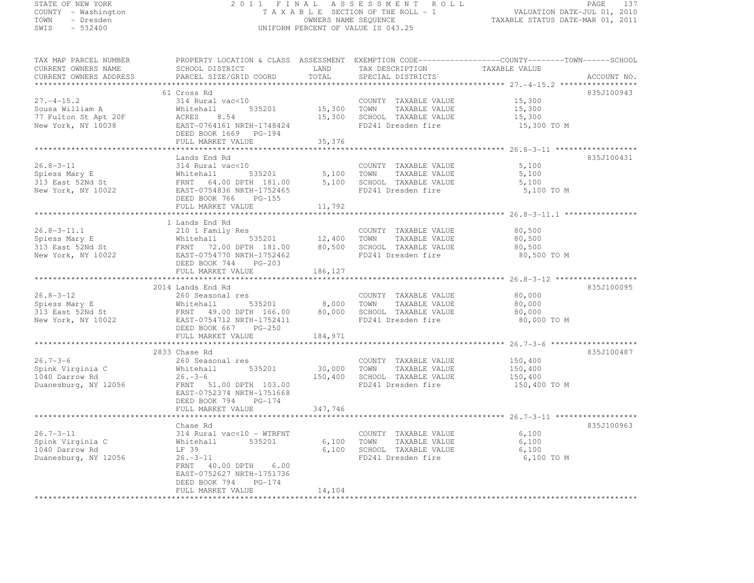# STATE OF NEW YORK 2 0 1 1 F I N A L A S S E S S M E N T R O L L PAGE <sup>137</sup> COUNTY - Washington T A X A B L E SECTION OF THE ROLL - 1 VALUATION DATE-JUL 01, 2010 TOWN - Dresden OWNERS NAME SEQUENCE TAXABLE STATUS DATE-MAR 01, 2011<br>- TRESDEN ON THE SEQUENCE TO A SECUENCE TO A SECUENCE THE SEQUENCE OF THE SECUENCE OF THE SECUENCE OF THE SECOND SWIS - 532400 UNIFORM PERCENT OF VALUE IS 043.25

| CURRENT OWNERS NAME                                                                                                                                                                                                                                | SCHOOL DISTRICT           | LAND       | TAX DESCRIPTION             | TAXABLE VALUE |             |
|----------------------------------------------------------------------------------------------------------------------------------------------------------------------------------------------------------------------------------------------------|---------------------------|------------|-----------------------------|---------------|-------------|
| CURRENT OWNERS ADDRESS                                                                                                                                                                                                                             | PARCEL SIZE/GRID COORD    | TOTAL      | SPECIAL DISTRICTS           |               | ACCOUNT NO. |
|                                                                                                                                                                                                                                                    |                           |            |                             |               |             |
|                                                                                                                                                                                                                                                    | 61 Cross Rd               |            |                             |               | 835J100943  |
| $27. -4 - 15.2$                                                                                                                                                                                                                                    | 314 Rural vac<10          |            | COUNTY TAXABLE VALUE        | 15,300        |             |
| Sousa William A                                                                                                                                                                                                                                    | 535201 15,300 TOWN        |            | TAXABLE VALUE               | 15,300        |             |
| 77 Fulton St Apt 20F                                                                                                                                                                                                                               | Whitehall<br>ACRES 8.54   |            | 15,300 SCHOOL TAXABLE VALUE | 15,300        |             |
| New York, NY 10038                                                                                                                                                                                                                                 | EAST-0764161 NRTH-1748424 |            | FD241 Dresden fire          | 15,300 TO M   |             |
|                                                                                                                                                                                                                                                    | DEED BOOK 1669 PG-194     |            |                             |               |             |
|                                                                                                                                                                                                                                                    |                           |            |                             |               |             |
|                                                                                                                                                                                                                                                    | FULL MARKET VALUE         | 35,376     |                             |               |             |
|                                                                                                                                                                                                                                                    |                           |            |                             |               |             |
|                                                                                                                                                                                                                                                    | Lands End Rd              |            |                             |               | 835J100431  |
| $26.8 - 3 - 11$                                                                                                                                                                                                                                    | 314 Rural vac<10          |            | COUNTY TAXABLE VALUE        | 5,100         |             |
|                                                                                                                                                                                                                                                    |                           | 5,100 TOWN | TAXABLE VALUE               | 5,100         |             |
|                                                                                                                                                                                                                                                    |                           |            | 5,100 SCHOOL TAXABLE VALUE  | 5,100         |             |
|                                                                                                                                                                                                                                                    |                           |            | FD241 Dresden fire          | 5,100 TO M    |             |
|                                                                                                                                                                                                                                                    | DEED BOOK 766 PG-155      |            |                             |               |             |
|                                                                                                                                                                                                                                                    | FULL MARKET VALUE         | 11,792     |                             |               |             |
|                                                                                                                                                                                                                                                    |                           |            |                             |               |             |
|                                                                                                                                                                                                                                                    | 1 Lands End Rd            |            |                             |               |             |
|                                                                                                                                                                                                                                                    | 210 1 Family Res          |            | COUNTY TAXABLE VALUE 80,500 |               |             |
|                                                                                                                                                                                                                                                    |                           |            |                             | 80,500        |             |
|                                                                                                                                                                                                                                                    |                           |            |                             |               |             |
|                                                                                                                                                                                                                                                    |                           |            |                             | 80,500        |             |
| Spiess Mary E<br>Spiess Mary E<br>Whitehall 535201 12,400 TOWN TAXABLE VALUE<br>313 East 52Nd St<br>FRNT 72.00 DPTH 181.00 80,500 SCHOOL TAXABLE VALUE<br>New York, NY 10022 EAST-0754770 NRTH-1752462 FD241 Dresden fire<br>New York, NY          |                           |            |                             | 80,500 TO M   |             |
|                                                                                                                                                                                                                                                    | DEED BOOK 744<br>PG-203   |            |                             |               |             |
|                                                                                                                                                                                                                                                    | FULL MARKET VALUE         | 186,127    |                             |               |             |
|                                                                                                                                                                                                                                                    |                           |            |                             |               |             |
|                                                                                                                                                                                                                                                    | 2014 Lands End Rd         |            |                             |               | 835J100095  |
| $26.8 - 3 - 12$                                                                                                                                                                                                                                    | 260 Seasonal res          |            | COUNTY TAXABLE VALUE        | 80,000        |             |
|                                                                                                                                                                                                                                                    |                           |            |                             | 80,000        |             |
|                                                                                                                                                                                                                                                    |                           |            |                             | 80,000        |             |
| Spiess Mary E<br>313 East 52Nd St<br>313 East 52Nd St<br>313 East 52Nd St<br>313 East 52Nd St<br>313 East 52Nd St<br>313 East 52Nd St<br>322 EAST -075411 2NRTH -1752411<br>329 EAST -0767412 NRTH -1752411<br>329 EP241 Dresden fire<br>3241 Dres |                           |            |                             | 80,000 TO M   |             |
|                                                                                                                                                                                                                                                    | DEED BOOK 667 PG-250      |            |                             |               |             |
|                                                                                                                                                                                                                                                    | FULL MARKET VALUE         | 184,971    |                             |               |             |
|                                                                                                                                                                                                                                                    |                           |            |                             |               |             |
|                                                                                                                                                                                                                                                    | 2833 Chase Rd             |            |                             |               | 835J100487  |
| $26.7 - 3 - 6$                                                                                                                                                                                                                                     | 260 Seasonal res          |            | COUNTY TAXABLE VALUE        | 150,400       |             |
|                                                                                                                                                                                                                                                    | 535201<br>Whitehall       |            | 30,000 TOWN TAXABLE VALUE   | 150,400       |             |
|                                                                                                                                                                                                                                                    |                           |            |                             |               |             |
|                                                                                                                                                                                                                                                    | $26. -3 - 6$              | 150,400    | SCHOOL TAXABLE VALUE        | 150,400       |             |
| Spink Virginia C<br>1040 Darrow Rd<br>Duanesburg, NY 12056                                                                                                                                                                                         | FRNT 51.00 DPTH 103.00    |            | FD241 Dresden fire          | 150,400 TO M  |             |
|                                                                                                                                                                                                                                                    | EAST-0752374 NRTH-1751668 |            |                             |               |             |
|                                                                                                                                                                                                                                                    | DEED BOOK 794 PG-174      |            |                             |               |             |
|                                                                                                                                                                                                                                                    | FULL MARKET VALUE         | 347,746    |                             |               |             |
|                                                                                                                                                                                                                                                    |                           |            |                             |               |             |
|                                                                                                                                                                                                                                                    | Chase Rd                  |            |                             |               | 835J100963  |
| $26.7 - 3 - 11$                                                                                                                                                                                                                                    | 314 Rural vac<10 - WTRFNT |            | COUNTY TAXABLE VALUE        | 6,100         |             |
| Spink Virginia C                                                                                                                                                                                                                                   | Whitehall<br>535201       | 6,100 TOWN | TAXABLE VALUE               | 6,100         |             |
| 1040 Darrow Rd                                                                                                                                                                                                                                     | LF 39                     |            | 6,100 SCHOOL TAXABLE VALUE  | 6,100         |             |
| Duanesburg, NY 12056                                                                                                                                                                                                                               | $26. -3 - 11$             |            | FD241 Dresden fire          | 6,100 TO M    |             |
|                                                                                                                                                                                                                                                    | FRNT 40.00 DPTH 6.00      |            |                             |               |             |
|                                                                                                                                                                                                                                                    | EAST-0752627 NRTH-1751736 |            |                             |               |             |
|                                                                                                                                                                                                                                                    | DEED BOOK 794 PG-174      |            |                             |               |             |
|                                                                                                                                                                                                                                                    | FULL MARKET VALUE         | 14,104     |                             |               |             |
|                                                                                                                                                                                                                                                    |                           |            |                             |               |             |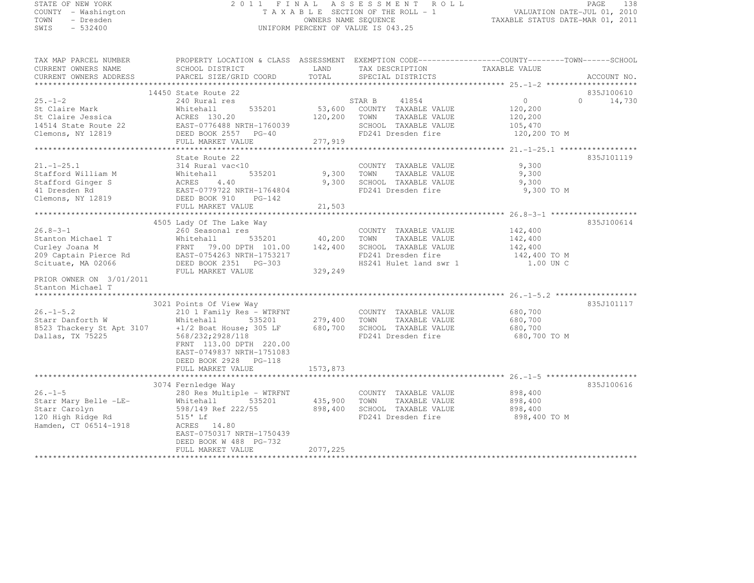#### STATE OF NEW YORK 2 0 1 1 F I N A L A S S E S S M E N T R O L L PAGE <sup>138</sup> COUNTY - Washington T A X A B L E SECTION OF THE ROLL - 1 VALUATION DATE-JUL 01, 2010 TOWN - Dresden OWNERS NAME SEQUENCE TAXABLE STATUS DATE-MAR 01, 2011<br>- TRESDEN ON THE SEQUENCE TO A SECUENCE TO A SECUENCE THE SEQUENCE OF THE SECUENCE OF THE SECUENCE OF THE SECOND SWIS - 532400 UNIFORM PERCENT OF VALUE IS 043.25

| TAX MAP PARCEL NUMBER                             | PROPERTY LOCATION & CLASS ASSESSMENT EXEMPTION CODE-----------------COUNTY-------TOWN------SCHOOL |              |                              |                    |                    |
|---------------------------------------------------|---------------------------------------------------------------------------------------------------|--------------|------------------------------|--------------------|--------------------|
| CURRENT OWNERS NAME                               | SCHOOL DISTRICT                                                                                   | LAND         | TAX DESCRIPTION              | TAXABLE VALUE      |                    |
| CURRENT OWNERS ADDRESS                            | PARCEL SIZE/GRID COORD                                                                            | TOTAL        | SPECIAL DISTRICTS            |                    | ACCOUNT NO.        |
|                                                   |                                                                                                   |              |                              |                    |                    |
|                                                   | 14450 State Route 22                                                                              |              |                              |                    | 835J100610         |
| $25. - 1 - 2$                                     | 240 Rural res                                                                                     |              | STAR B<br>41854              | $\circ$            | $\Omega$<br>14,730 |
| St Claire Mark                                    | 535201<br>Whitehall                                                                               |              | 53,600 COUNTY TAXABLE VALUE  | 120,200            |                    |
| St Claire Jessica                                 | ACRES 130.20                                                                                      | 120,200 TOWN | TAXABLE VALUE                | 120,200            |                    |
| 14514 State Route 22                              | EAST-0776488 NRTH-1760039                                                                         |              | SCHOOL TAXABLE VALUE         | 105,470            |                    |
| Clemons, NY 12819                                 | DEED BOOK 2557 PG-40                                                                              |              | FD241 Dresden fire           | 120,200 TO M       |                    |
|                                                   | FULL MARKET VALUE                                                                                 | 277,919      |                              |                    |                    |
|                                                   |                                                                                                   |              |                              |                    |                    |
| S<br>31.<br>Whit,<br>ACRES<br>EAST<br>Pr          | State Route 22                                                                                    |              |                              |                    | 835J101119         |
| $21. - 1 - 25.1$                                  | 314 Rural vac<10                                                                                  |              | COUNTY TAXABLE VALUE         | 9,300              |                    |
| Stafford William M                                | Whitehall<br>535201                                                                               |              | 9,300 TOWN<br>TAXABLE VALUE  | 9,300              |                    |
| Stafford Ginger S                                 | 4.40                                                                                              |              | 9,300 SCHOOL TAXABLE VALUE   | 9,300              |                    |
| 41 Dresden Rd                                     | EAST-0779722 NRTH-1764804                                                                         |              | FD241 Dresden fire           | 9,300 TO M         |                    |
| Clemons, NY 12819                                 | DEED BOOK 910<br>$PG-142$                                                                         |              |                              |                    |                    |
|                                                   | FULL MARKET VALUE                                                                                 | 21,503       |                              |                    |                    |
|                                                   |                                                                                                   |              |                              |                    |                    |
|                                                   | 4505 Lady Of The Lake Way                                                                         |              |                              |                    | 835J100614         |
| $26.8 - 3 - 1$                                    | 260 Seasonal res                                                                                  |              | COUNTY TAXABLE VALUE 142,400 |                    |                    |
| Stanton Michael T                                 | Whitehall<br>535201                                                                               |              | 40,200 TOWN TAXABLE VALUE    | 142,400<br>142,400 |                    |
| Curley Joana M                                    | FRNT 79.00 DPTH 101.00                                                                            | 142,400      | SCHOOL TAXABLE VALUE         |                    |                    |
| 209 Captain Pierce Rd                             | EAST-0754263 NRTH-1753217                                                                         |              | FD241 Dresden fire           | 142,400 TO M       |                    |
| Scituate, MA 02066                                | DEED BOOK 2351 PG-303                                                                             |              | HS241 Hulet land swr 1       | 1.00 UN C          |                    |
|                                                   | FULL MARKET VALUE                                                                                 | 329,249      |                              |                    |                    |
| PRIOR OWNER ON 3/01/2011                          |                                                                                                   |              |                              |                    |                    |
| Stanton Michael T                                 |                                                                                                   |              |                              |                    |                    |
|                                                   |                                                                                                   |              |                              |                    |                    |
|                                                   | 3021 Points Of View Way                                                                           |              |                              |                    | 835J101117         |
| $26. - 1 - 5.2$                                   | 210 1 Family Res - WTRFNT                                                                         |              | COUNTY TAXABLE VALUE         | 680,700            |                    |
| Starr Danforth W                                  | Whitehall<br>535201                                                                               | 279,400      | TAXABLE VALUE<br>TOWN        | 680,700            |                    |
| 8523 Thackery St Apt 3107 +1/2 Boat House; 305 LF |                                                                                                   | 680,700      | SCHOOL TAXABLE VALUE         | 680,700            |                    |
| Dallas, TX 75225                                  | 568/232;2928/118                                                                                  |              | FD241 Dresden fire           | 680,700 TO M       |                    |
|                                                   | FRNT 113.00 DPTH 220.00                                                                           |              |                              |                    |                    |
|                                                   | EAST-0749837 NRTH-1751083                                                                         |              |                              |                    |                    |
|                                                   | DEED BOOK 2928 PG-118                                                                             |              |                              |                    |                    |
|                                                   | FULL MARKET VALUE                                                                                 | 1573,873     |                              |                    |                    |
|                                                   |                                                                                                   |              |                              |                    |                    |
|                                                   | 3074 Fernledge Way                                                                                |              |                              |                    | 835J100616         |
| $26. - 1 - 5$                                     | 280 Res Multiple - WTRFNT                                                                         |              | COUNTY TAXABLE VALUE         | 898,400            |                    |
| Starr Mary Belle -LE-                             | Whitehall<br>535201                                                                               | 435,900      | TOWN<br>TAXABLE VALUE        | 898,400            |                    |
| Starr Carolyn                                     | 598/149 Ref 222/55                                                                                | 898,400      | SCHOOL TAXABLE VALUE         | 898,400            |                    |
| 120 High Ridge Rd                                 | 515' Lf                                                                                           |              | FD241 Dresden fire           | 898,400 TO M       |                    |
| Hamden, CT 06514-1918                             | ACRES 14.80                                                                                       |              |                              |                    |                    |
|                                                   | EAST-0750317 NRTH-1750439                                                                         |              |                              |                    |                    |
|                                                   | DEED BOOK W 488 PG-732                                                                            |              |                              |                    |                    |
|                                                   | FULL MARKET VALUE                                                                                 | 2077, 225    |                              |                    |                    |
|                                                   |                                                                                                   |              |                              |                    |                    |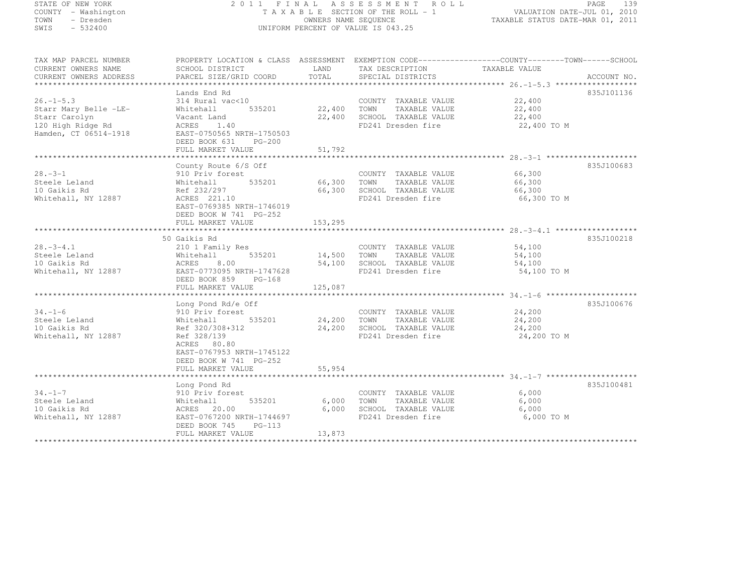## STATE OF NEW YORK 2 0 1 1 F I N A L A S S E S S M E N T R O L L PAGE <sup>139</sup> COUNTY - Washington T A X A B L E SECTION OF THE ROLL - 1 VALUATION DATE-JUL 01, 2010 TOWN - Dresden OWNERS NAME SEQUENCE TAXABLE STATUS DATE-MAR 01, 2011<br>- TRESDEN ON THE SEQUENCE TO A SECUENCE TO A SECUENCE THE SEQUENCE OF THE SECUENCE OF THE SECUENCE OF THE SECOND SWIS - 532400 UNIFORM PERCENT OF VALUE IS 043.25

| TAX MAP PARCEL NUMBER  | PROPERTY LOCATION & CLASS ASSESSMENT EXEMPTION CODE-----------------COUNTY-------TOWN------SCHOOL |               |                                                   |                       |            |
|------------------------|---------------------------------------------------------------------------------------------------|---------------|---------------------------------------------------|-----------------------|------------|
| CURRENT OWNERS NAME    | SCHOOL DISTRICT                                                                                   | LAND          | TAX DESCRIPTION                                   | TAXABLE VALUE         |            |
| CURRENT OWNERS ADDRESS |                                                                                                   |               |                                                   |                       |            |
|                        |                                                                                                   |               |                                                   |                       |            |
|                        | Lands End Rd                                                                                      |               |                                                   |                       | 835J101136 |
| $26. - 1 - 5.3$        | 314 Rural vac<10                                                                                  |               | COUNTY TAXABLE VALUE 22,400                       |                       |            |
| Starr Mary Belle -LE-  | Whitehall                                                                                         | 535201 22,400 | TOWN TAXABLE VALUE 22,400                         |                       |            |
| Starr Carolyn          | Vacant Land                                                                                       |               | 22,400 SCHOOL TAXABLE VALUE<br>FD241 Dresden fire | 22,400                |            |
| 120 High Ridge Rd      | ACRES<br>1.40                                                                                     |               |                                                   | 22,400 TO M           |            |
| Hamden, CT 06514-1918  | EAST-0750565 NRTH-1750503                                                                         |               |                                                   |                       |            |
|                        | DEED BOOK 631<br>$PG-200$                                                                         |               |                                                   |                       |            |
|                        | FULL MARKET VALUE                                                                                 | 51,792        |                                                   |                       |            |
|                        |                                                                                                   |               |                                                   |                       | 835J100683 |
| $28 - 3 - 1$           | County Route 6/S Off<br>910 Priv forest                                                           |               | COUNTY TAXABLE VALUE 66,300                       |                       |            |
| Steele Leland          | Whitehall 535201 66,300 TOWN TAXABLE VALUE 66,300                                                 |               |                                                   |                       |            |
| 10 Gaikis Rd           |                                                                                                   |               |                                                   |                       |            |
| Whitehall, NY 12887    | Ref 232/297<br>ACRES 221.10                                                                       |               | 66,300 SCHOOL TAXABLE VALUE<br>FD241 Dresden fire | 66,300<br>66,300 TO M |            |
|                        | EAST-0769385 NRTH-1746019                                                                         |               |                                                   |                       |            |
|                        | DEED BOOK W 741 PG-252                                                                            |               |                                                   |                       |            |
|                        | FULL MARKET VALUE                                                                                 | 153, 295      |                                                   |                       |            |
|                        |                                                                                                   |               |                                                   |                       |            |
|                        | 50 Gaikis Rd                                                                                      |               |                                                   |                       | 835J100218 |
| $28. - 3 - 4.1$        | 210 1 Family Res                                                                                  |               | COUNTY TAXABLE VALUE 54,100                       |                       |            |
| Steele Leland          | Whitehall                                                                                         |               | $535201$ 14,500 TOWN TAXABLE VALUE                |                       |            |
| 10 Gaikis Rd           | ACRES                                                                                             |               | 8.00 54,100 SCHOOL TAXABLE VALUE 54,100           |                       |            |
| Whitehall, NY 12887    | EAST-0773095 NRTH-1747628                                                                         |               | FD241 Dresden fire                                | 54,100 TO M           |            |
|                        | DEED BOOK 859 PG-168                                                                              |               |                                                   |                       |            |
|                        | FULL MARKET VALUE                                                                                 | 125,087       |                                                   |                       |            |
|                        |                                                                                                   |               |                                                   |                       |            |
|                        | Long Pond Rd/e Off                                                                                |               |                                                   |                       | 835J100676 |
| $34. - 1 - 6$          | 910 Priv forest                                                                                   |               | COUNTY TAXABLE VALUE 24,200                       |                       |            |
| Steele Leland          | 535201 24,200<br>Whitehall                                                                        |               | TOWN<br>TAXABLE VALUE                             | 24,200                |            |
| 10 Gaikis Rd           | Ref 320/308+312                                                                                   | 24,200        | SCHOOL TAXABLE VALUE                              | 24,200                |            |
| Whitehall, NY 12887    | Ref 328/139                                                                                       |               | FD241 Dresden fire                                | 24,200 TO M           |            |
|                        | ACRES 80.80                                                                                       |               |                                                   |                       |            |
|                        | EAST-0767953 NRTH-1745122                                                                         |               |                                                   |                       |            |
|                        | DEED BOOK W 741 PG-252                                                                            |               |                                                   |                       |            |
|                        |                                                                                                   |               |                                                   |                       |            |
|                        |                                                                                                   |               |                                                   |                       |            |
|                        | Long Pond Rd                                                                                      |               |                                                   |                       | 835J100481 |
| $34. -1 - 7$           | 910 Priv forest                                                                                   |               | COUNTY TAXABLE VALUE                              | 6,000                 |            |
| Steele Leland          | 535201<br>Whitehall                                                                               | 6,000         | TOWN<br>TAXABLE VALUE                             | 6,000                 |            |
| 10 Gaikis Rd           | ACRES 20.00                                                                                       | 6,000         | SCHOOL TAXABLE VALUE                              | 6,000                 |            |
| Whitehall, NY 12887    | EAST-0767200 NRTH-1744697                                                                         |               | FD241 Dresden fire                                | 6,000 TO M            |            |
|                        | DEED BOOK 745 PG-113                                                                              |               |                                                   |                       |            |
|                        | FULL MARKET VALUE                                                                                 | 13,873        |                                                   |                       |            |
|                        |                                                                                                   |               |                                                   |                       |            |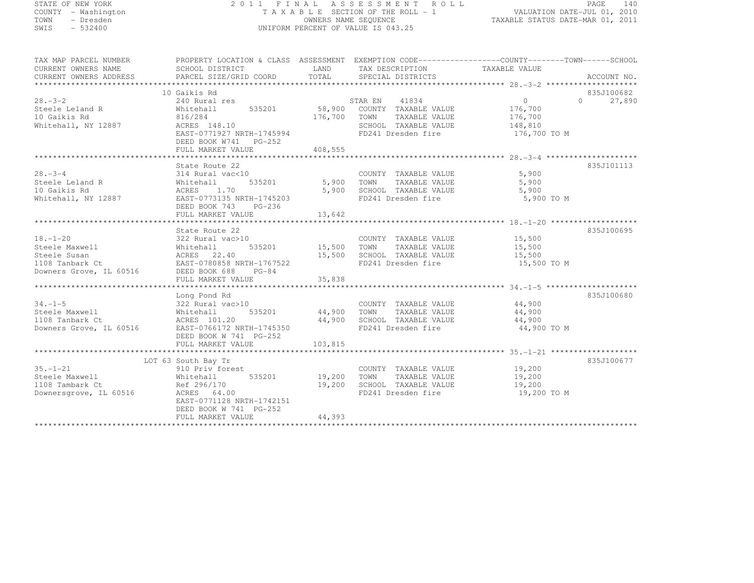# STATE OF NEW YORK 2 0 1 1 F I N A L A S S E S S M E N T R O L L PAGE <sup>140</sup> COUNTY - Washington T A X A B L E SECTION OF THE ROLL - 1 VALUATION DATE-JUL 01, 2010 TOWN - Dresden OWNERS NAME SEQUENCE TAXABLE STATUS DATE-MAR 01, 2011<br>- TRESDEN ON THE SEQUENCE TO A SECUENCE TO A SECUENCE THE SEQUENCE OF THE SECUENCE OF THE SECUENCE OF THE SECOND SWIS - 532400 UNIFORM PERCENT OF VALUE IS 043.25

| SCHOOL DISTRICT TAND TAX DESCRIPTION<br>TAXABLE VALUE<br>CURRENT OWNERS ADDRESS<br>10 Gaikis Rd<br>835J100682<br>240 Rural res<br>240 Rural res<br>535201 58,900 COUNTY TAXABLE VALUE 176,700<br>$28 - 3 - 2$<br>27,890<br>$\overline{0}$<br>zo.-5-z<br>Steele Leland R<br>an sa bagin na kalendar<br>816/284<br>RES 148.10<br>EAST-0771927 NRTH-1745994<br>EAST-0771927 NRTH-1745994<br>EAST-0771927 NRTH-1745994<br>EAST-0771927 NRTH-1745994<br>FD241 Dresden fire 176,700 TO M<br>Whitehall, NY 12887<br>DEED BOOK W741 PG-252<br>FULL MARKET VALUE 408,555<br>835J101113<br>State Route 22<br>314 Rural vac<10<br>Whitehall 535201 5,900 TOWN TAXABLE VALUE<br>$28. - 3 - 4$<br>5,900<br>28.-3-4<br>Steele Leland R<br>10 Gaikis Rd<br>Whitehall, NY 12887<br>The EAST-0773135 NRTH-1745203<br>DEED BOOK 743<br>PG-236<br>PG-236<br>5,900<br>5,900 SCHOOL ----------- ---------<br>5,900 SCHOOL TAXABLE VALUE 5,900<br>FD241 Dresder fine<br>FD241 Dresden fire<br>5,900 TO M<br>${\small \newline \text{FULL} \text{ MARKET} \text{ 13,642} \text{ 13,444} \text{ 148,4548} \text{ 158,4648} \text{ 178,4788} \text{ 188,4888} \text{ 198,4888} \text{ 198,4888} \text{ 198,4888} \text{ 198,4888} \text{ 198,4888} \text{ 198,4888} \text{ 198,4888} \text{ 198,4888} \text{ 198,4888} \text{ 198,4888$<br>835J100695<br>State Route 22<br>State Route 22<br>322 Rural vac>10<br>18.-1-20<br>Steele Maxwell Mhitehall 535201<br>Steele Susan ACRES 22.40<br>15,500 SCHOOL TAXABLE VALUE 15,500 108 Tanbark Ct EAST-0780858 NRTH-1767522<br>Downers Grove, IL 60516<br>2000 DEED BOOK 688 PG-84 PD241 Dresden fire 15<br>15,500 TO M<br>835J100680<br>Long Pond Rd<br>34.-1-5<br>Steele Maxwell<br>Steele Maxwell<br>108 Tanbark Ct (160516)<br>2008 Mitehall<br>2009 50001 Mitehall<br>201.2009 44,900 5CHOOL TAXABLE VALUE<br>24,900 5CHOOL TAXABLE VALUE<br>24,900 5CHOOL TAXABLE VALUE<br>24,900 5CHOOL TAXABLE VA<br>COUNTY TAXABLE VALUE 44,900<br>TOWN       TAXABLE VALUE 44,900<br>44,900 SCHOOL TAXABLE VALUE 44,900<br>FD241 Dresden fire 44,900<br>44,900 TO M<br>DEED BOOK W 741 PG-252<br>835J100677<br>LOT 63 South Bay Tr<br>COUNTY TAXABLE VALUE 19,200<br>$35. - 1 - 21$ | TAX MAP PARCEL NUMBER | PROPERTY LOCATION & CLASS ASSESSMENT EXEMPTION CODE-----------------COUNTY-------TOWN------SCHOOL |  |  |
|--------------------------------------------------------------------------------------------------------------------------------------------------------------------------------------------------------------------------------------------------------------------------------------------------------------------------------------------------------------------------------------------------------------------------------------------------------------------------------------------------------------------------------------------------------------------------------------------------------------------------------------------------------------------------------------------------------------------------------------------------------------------------------------------------------------------------------------------------------------------------------------------------------------------------------------------------------------------------------------------------------------------------------------------------------------------------------------------------------------------------------------------------------------------------------------------------------------------------------------------------------------------------------------------------------------------------------------------------------------------------------------------------------------------------------------------------------------------------------------------------------------------------------------------------------------------------------------------------------------------------------------------------------------------------------------------------------------------------------------------------------------------------------------------------------------------------------------------------------------------------------------------------------------------------------------------------------------------------------------------------------------------------------------------------------------------------------------------------------------------------------------------------------------------------------------------------|-----------------------|---------------------------------------------------------------------------------------------------|--|--|
|                                                                                                                                                                                                                                                                                                                                                                                                                                                                                                                                                                                                                                                                                                                                                                                                                                                                                                                                                                                                                                                                                                                                                                                                                                                                                                                                                                                                                                                                                                                                                                                                                                                                                                                                                                                                                                                                                                                                                                                                                                                                                                                                                                                                  | CURRENT OWNERS NAME   |                                                                                                   |  |  |
|                                                                                                                                                                                                                                                                                                                                                                                                                                                                                                                                                                                                                                                                                                                                                                                                                                                                                                                                                                                                                                                                                                                                                                                                                                                                                                                                                                                                                                                                                                                                                                                                                                                                                                                                                                                                                                                                                                                                                                                                                                                                                                                                                                                                  |                       |                                                                                                   |  |  |
|                                                                                                                                                                                                                                                                                                                                                                                                                                                                                                                                                                                                                                                                                                                                                                                                                                                                                                                                                                                                                                                                                                                                                                                                                                                                                                                                                                                                                                                                                                                                                                                                                                                                                                                                                                                                                                                                                                                                                                                                                                                                                                                                                                                                  |                       |                                                                                                   |  |  |
|                                                                                                                                                                                                                                                                                                                                                                                                                                                                                                                                                                                                                                                                                                                                                                                                                                                                                                                                                                                                                                                                                                                                                                                                                                                                                                                                                                                                                                                                                                                                                                                                                                                                                                                                                                                                                                                                                                                                                                                                                                                                                                                                                                                                  |                       |                                                                                                   |  |  |
|                                                                                                                                                                                                                                                                                                                                                                                                                                                                                                                                                                                                                                                                                                                                                                                                                                                                                                                                                                                                                                                                                                                                                                                                                                                                                                                                                                                                                                                                                                                                                                                                                                                                                                                                                                                                                                                                                                                                                                                                                                                                                                                                                                                                  |                       |                                                                                                   |  |  |
|                                                                                                                                                                                                                                                                                                                                                                                                                                                                                                                                                                                                                                                                                                                                                                                                                                                                                                                                                                                                                                                                                                                                                                                                                                                                                                                                                                                                                                                                                                                                                                                                                                                                                                                                                                                                                                                                                                                                                                                                                                                                                                                                                                                                  |                       |                                                                                                   |  |  |
|                                                                                                                                                                                                                                                                                                                                                                                                                                                                                                                                                                                                                                                                                                                                                                                                                                                                                                                                                                                                                                                                                                                                                                                                                                                                                                                                                                                                                                                                                                                                                                                                                                                                                                                                                                                                                                                                                                                                                                                                                                                                                                                                                                                                  | 10 Gaikis Rd          |                                                                                                   |  |  |
|                                                                                                                                                                                                                                                                                                                                                                                                                                                                                                                                                                                                                                                                                                                                                                                                                                                                                                                                                                                                                                                                                                                                                                                                                                                                                                                                                                                                                                                                                                                                                                                                                                                                                                                                                                                                                                                                                                                                                                                                                                                                                                                                                                                                  |                       |                                                                                                   |  |  |
|                                                                                                                                                                                                                                                                                                                                                                                                                                                                                                                                                                                                                                                                                                                                                                                                                                                                                                                                                                                                                                                                                                                                                                                                                                                                                                                                                                                                                                                                                                                                                                                                                                                                                                                                                                                                                                                                                                                                                                                                                                                                                                                                                                                                  |                       |                                                                                                   |  |  |
|                                                                                                                                                                                                                                                                                                                                                                                                                                                                                                                                                                                                                                                                                                                                                                                                                                                                                                                                                                                                                                                                                                                                                                                                                                                                                                                                                                                                                                                                                                                                                                                                                                                                                                                                                                                                                                                                                                                                                                                                                                                                                                                                                                                                  |                       |                                                                                                   |  |  |
|                                                                                                                                                                                                                                                                                                                                                                                                                                                                                                                                                                                                                                                                                                                                                                                                                                                                                                                                                                                                                                                                                                                                                                                                                                                                                                                                                                                                                                                                                                                                                                                                                                                                                                                                                                                                                                                                                                                                                                                                                                                                                                                                                                                                  |                       |                                                                                                   |  |  |
|                                                                                                                                                                                                                                                                                                                                                                                                                                                                                                                                                                                                                                                                                                                                                                                                                                                                                                                                                                                                                                                                                                                                                                                                                                                                                                                                                                                                                                                                                                                                                                                                                                                                                                                                                                                                                                                                                                                                                                                                                                                                                                                                                                                                  |                       |                                                                                                   |  |  |
|                                                                                                                                                                                                                                                                                                                                                                                                                                                                                                                                                                                                                                                                                                                                                                                                                                                                                                                                                                                                                                                                                                                                                                                                                                                                                                                                                                                                                                                                                                                                                                                                                                                                                                                                                                                                                                                                                                                                                                                                                                                                                                                                                                                                  |                       |                                                                                                   |  |  |
|                                                                                                                                                                                                                                                                                                                                                                                                                                                                                                                                                                                                                                                                                                                                                                                                                                                                                                                                                                                                                                                                                                                                                                                                                                                                                                                                                                                                                                                                                                                                                                                                                                                                                                                                                                                                                                                                                                                                                                                                                                                                                                                                                                                                  |                       |                                                                                                   |  |  |
|                                                                                                                                                                                                                                                                                                                                                                                                                                                                                                                                                                                                                                                                                                                                                                                                                                                                                                                                                                                                                                                                                                                                                                                                                                                                                                                                                                                                                                                                                                                                                                                                                                                                                                                                                                                                                                                                                                                                                                                                                                                                                                                                                                                                  |                       |                                                                                                   |  |  |
|                                                                                                                                                                                                                                                                                                                                                                                                                                                                                                                                                                                                                                                                                                                                                                                                                                                                                                                                                                                                                                                                                                                                                                                                                                                                                                                                                                                                                                                                                                                                                                                                                                                                                                                                                                                                                                                                                                                                                                                                                                                                                                                                                                                                  |                       |                                                                                                   |  |  |
|                                                                                                                                                                                                                                                                                                                                                                                                                                                                                                                                                                                                                                                                                                                                                                                                                                                                                                                                                                                                                                                                                                                                                                                                                                                                                                                                                                                                                                                                                                                                                                                                                                                                                                                                                                                                                                                                                                                                                                                                                                                                                                                                                                                                  |                       |                                                                                                   |  |  |
|                                                                                                                                                                                                                                                                                                                                                                                                                                                                                                                                                                                                                                                                                                                                                                                                                                                                                                                                                                                                                                                                                                                                                                                                                                                                                                                                                                                                                                                                                                                                                                                                                                                                                                                                                                                                                                                                                                                                                                                                                                                                                                                                                                                                  |                       |                                                                                                   |  |  |
|                                                                                                                                                                                                                                                                                                                                                                                                                                                                                                                                                                                                                                                                                                                                                                                                                                                                                                                                                                                                                                                                                                                                                                                                                                                                                                                                                                                                                                                                                                                                                                                                                                                                                                                                                                                                                                                                                                                                                                                                                                                                                                                                                                                                  |                       |                                                                                                   |  |  |
|                                                                                                                                                                                                                                                                                                                                                                                                                                                                                                                                                                                                                                                                                                                                                                                                                                                                                                                                                                                                                                                                                                                                                                                                                                                                                                                                                                                                                                                                                                                                                                                                                                                                                                                                                                                                                                                                                                                                                                                                                                                                                                                                                                                                  |                       |                                                                                                   |  |  |
|                                                                                                                                                                                                                                                                                                                                                                                                                                                                                                                                                                                                                                                                                                                                                                                                                                                                                                                                                                                                                                                                                                                                                                                                                                                                                                                                                                                                                                                                                                                                                                                                                                                                                                                                                                                                                                                                                                                                                                                                                                                                                                                                                                                                  |                       |                                                                                                   |  |  |
|                                                                                                                                                                                                                                                                                                                                                                                                                                                                                                                                                                                                                                                                                                                                                                                                                                                                                                                                                                                                                                                                                                                                                                                                                                                                                                                                                                                                                                                                                                                                                                                                                                                                                                                                                                                                                                                                                                                                                                                                                                                                                                                                                                                                  |                       |                                                                                                   |  |  |
|                                                                                                                                                                                                                                                                                                                                                                                                                                                                                                                                                                                                                                                                                                                                                                                                                                                                                                                                                                                                                                                                                                                                                                                                                                                                                                                                                                                                                                                                                                                                                                                                                                                                                                                                                                                                                                                                                                                                                                                                                                                                                                                                                                                                  |                       |                                                                                                   |  |  |
|                                                                                                                                                                                                                                                                                                                                                                                                                                                                                                                                                                                                                                                                                                                                                                                                                                                                                                                                                                                                                                                                                                                                                                                                                                                                                                                                                                                                                                                                                                                                                                                                                                                                                                                                                                                                                                                                                                                                                                                                                                                                                                                                                                                                  |                       |                                                                                                   |  |  |
|                                                                                                                                                                                                                                                                                                                                                                                                                                                                                                                                                                                                                                                                                                                                                                                                                                                                                                                                                                                                                                                                                                                                                                                                                                                                                                                                                                                                                                                                                                                                                                                                                                                                                                                                                                                                                                                                                                                                                                                                                                                                                                                                                                                                  |                       |                                                                                                   |  |  |
|                                                                                                                                                                                                                                                                                                                                                                                                                                                                                                                                                                                                                                                                                                                                                                                                                                                                                                                                                                                                                                                                                                                                                                                                                                                                                                                                                                                                                                                                                                                                                                                                                                                                                                                                                                                                                                                                                                                                                                                                                                                                                                                                                                                                  |                       |                                                                                                   |  |  |
|                                                                                                                                                                                                                                                                                                                                                                                                                                                                                                                                                                                                                                                                                                                                                                                                                                                                                                                                                                                                                                                                                                                                                                                                                                                                                                                                                                                                                                                                                                                                                                                                                                                                                                                                                                                                                                                                                                                                                                                                                                                                                                                                                                                                  |                       |                                                                                                   |  |  |
|                                                                                                                                                                                                                                                                                                                                                                                                                                                                                                                                                                                                                                                                                                                                                                                                                                                                                                                                                                                                                                                                                                                                                                                                                                                                                                                                                                                                                                                                                                                                                                                                                                                                                                                                                                                                                                                                                                                                                                                                                                                                                                                                                                                                  |                       |                                                                                                   |  |  |
|                                                                                                                                                                                                                                                                                                                                                                                                                                                                                                                                                                                                                                                                                                                                                                                                                                                                                                                                                                                                                                                                                                                                                                                                                                                                                                                                                                                                                                                                                                                                                                                                                                                                                                                                                                                                                                                                                                                                                                                                                                                                                                                                                                                                  |                       |                                                                                                   |  |  |
|                                                                                                                                                                                                                                                                                                                                                                                                                                                                                                                                                                                                                                                                                                                                                                                                                                                                                                                                                                                                                                                                                                                                                                                                                                                                                                                                                                                                                                                                                                                                                                                                                                                                                                                                                                                                                                                                                                                                                                                                                                                                                                                                                                                                  |                       |                                                                                                   |  |  |
|                                                                                                                                                                                                                                                                                                                                                                                                                                                                                                                                                                                                                                                                                                                                                                                                                                                                                                                                                                                                                                                                                                                                                                                                                                                                                                                                                                                                                                                                                                                                                                                                                                                                                                                                                                                                                                                                                                                                                                                                                                                                                                                                                                                                  |                       |                                                                                                   |  |  |
|                                                                                                                                                                                                                                                                                                                                                                                                                                                                                                                                                                                                                                                                                                                                                                                                                                                                                                                                                                                                                                                                                                                                                                                                                                                                                                                                                                                                                                                                                                                                                                                                                                                                                                                                                                                                                                                                                                                                                                                                                                                                                                                                                                                                  |                       |                                                                                                   |  |  |
|                                                                                                                                                                                                                                                                                                                                                                                                                                                                                                                                                                                                                                                                                                                                                                                                                                                                                                                                                                                                                                                                                                                                                                                                                                                                                                                                                                                                                                                                                                                                                                                                                                                                                                                                                                                                                                                                                                                                                                                                                                                                                                                                                                                                  |                       |                                                                                                   |  |  |
|                                                                                                                                                                                                                                                                                                                                                                                                                                                                                                                                                                                                                                                                                                                                                                                                                                                                                                                                                                                                                                                                                                                                                                                                                                                                                                                                                                                                                                                                                                                                                                                                                                                                                                                                                                                                                                                                                                                                                                                                                                                                                                                                                                                                  |                       |                                                                                                   |  |  |
|                                                                                                                                                                                                                                                                                                                                                                                                                                                                                                                                                                                                                                                                                                                                                                                                                                                                                                                                                                                                                                                                                                                                                                                                                                                                                                                                                                                                                                                                                                                                                                                                                                                                                                                                                                                                                                                                                                                                                                                                                                                                                                                                                                                                  |                       |                                                                                                   |  |  |
|                                                                                                                                                                                                                                                                                                                                                                                                                                                                                                                                                                                                                                                                                                                                                                                                                                                                                                                                                                                                                                                                                                                                                                                                                                                                                                                                                                                                                                                                                                                                                                                                                                                                                                                                                                                                                                                                                                                                                                                                                                                                                                                                                                                                  |                       |                                                                                                   |  |  |
|                                                                                                                                                                                                                                                                                                                                                                                                                                                                                                                                                                                                                                                                                                                                                                                                                                                                                                                                                                                                                                                                                                                                                                                                                                                                                                                                                                                                                                                                                                                                                                                                                                                                                                                                                                                                                                                                                                                                                                                                                                                                                                                                                                                                  |                       |                                                                                                   |  |  |
|                                                                                                                                                                                                                                                                                                                                                                                                                                                                                                                                                                                                                                                                                                                                                                                                                                                                                                                                                                                                                                                                                                                                                                                                                                                                                                                                                                                                                                                                                                                                                                                                                                                                                                                                                                                                                                                                                                                                                                                                                                                                                                                                                                                                  |                       | 910 Priv forest                                                                                   |  |  |
| JJ. 1-41<br>Steele Maxwell<br>1108 Tambark Ct<br>Whitehall 535201 19,200 TOWN<br>Ref 296/170 19,200 SCHOC<br>19,200 TOWN TAXABLE VALUE<br>19,200 SCHOOL TAXABLE VALUE<br>19,200                                                                                                                                                                                                                                                                                                                                                                                                                                                                                                                                                                                                                                                                                                                                                                                                                                                                                                                                                                                                                                                                                                                                                                                                                                                                                                                                                                                                                                                                                                                                                                                                                                                                                                                                                                                                                                                                                                                                                                                                                  |                       |                                                                                                   |  |  |
| 19,200<br>1100 Iampark Ct<br>Downersgrove, IL 60516 RCRES 64.00                                                                                                                                                                                                                                                                                                                                                                                                                                                                                                                                                                                                                                                                                                                                                                                                                                                                                                                                                                                                                                                                                                                                                                                                                                                                                                                                                                                                                                                                                                                                                                                                                                                                                                                                                                                                                                                                                                                                                                                                                                                                                                                                  |                       |                                                                                                   |  |  |
| FD241 Dresden fire 19,200 TO M                                                                                                                                                                                                                                                                                                                                                                                                                                                                                                                                                                                                                                                                                                                                                                                                                                                                                                                                                                                                                                                                                                                                                                                                                                                                                                                                                                                                                                                                                                                                                                                                                                                                                                                                                                                                                                                                                                                                                                                                                                                                                                                                                                   |                       |                                                                                                   |  |  |
| EAST-0771128 NRTH-1742151                                                                                                                                                                                                                                                                                                                                                                                                                                                                                                                                                                                                                                                                                                                                                                                                                                                                                                                                                                                                                                                                                                                                                                                                                                                                                                                                                                                                                                                                                                                                                                                                                                                                                                                                                                                                                                                                                                                                                                                                                                                                                                                                                                        |                       |                                                                                                   |  |  |
| DEED BOOK W 741 PG-252                                                                                                                                                                                                                                                                                                                                                                                                                                                                                                                                                                                                                                                                                                                                                                                                                                                                                                                                                                                                                                                                                                                                                                                                                                                                                                                                                                                                                                                                                                                                                                                                                                                                                                                                                                                                                                                                                                                                                                                                                                                                                                                                                                           |                       |                                                                                                   |  |  |
| 44,393<br>FULL MARKET VALUE                                                                                                                                                                                                                                                                                                                                                                                                                                                                                                                                                                                                                                                                                                                                                                                                                                                                                                                                                                                                                                                                                                                                                                                                                                                                                                                                                                                                                                                                                                                                                                                                                                                                                                                                                                                                                                                                                                                                                                                                                                                                                                                                                                      |                       |                                                                                                   |  |  |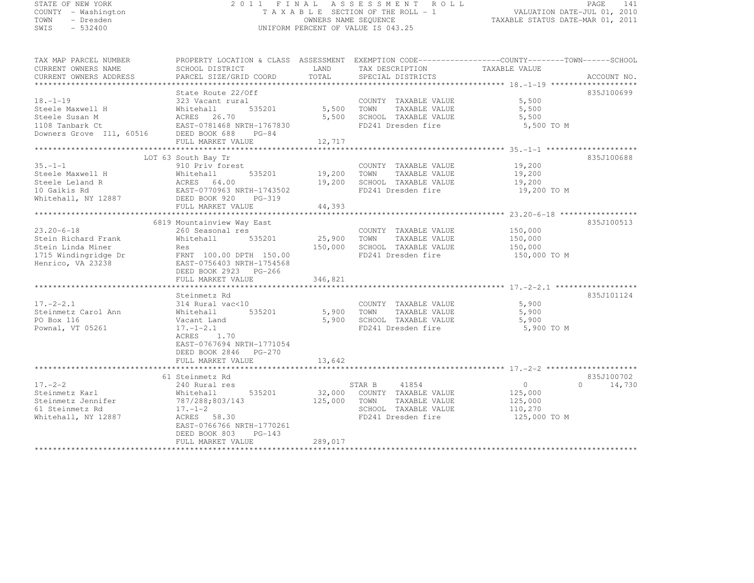#### STATE OF NEW YORK 2 0 1 1 F I N A L A S S E S S M E N T R O L L PAGE <sup>141</sup> COUNTY - Washington T A X A B L E SECTION OF THE ROLL - 1 VALUATION DATE-JUL 01, 2010 TOWN - Dresden OWNERS NAME SEQUENCE TAXABLE STATUS DATE-MAR 01, 2011<br>- TRESDEN ON THE SEQUENCE TO A SECUENCE TO BE SERVED ON THE SEQUENCE OF SEXUE OF THE STATUS DATE MAR 01, 2011 SWIS - 532400 UNIFORM PERCENT OF VALUE IS 043.25

| CURRENT OWNERS NAME<br>CURRENT OWNERS ADDRESS                                                             | SCHOOL DISTRICT<br>PARCEL SIZE/GRID COORD                                                                                                                                                 | LAND<br>TOTAL                | TAX DESCRIPTION<br>SPECIAL DISTRICTS                                                                           | TAXABLE VALUE                                            | ACCOUNT NO.                      |
|-----------------------------------------------------------------------------------------------------------|-------------------------------------------------------------------------------------------------------------------------------------------------------------------------------------------|------------------------------|----------------------------------------------------------------------------------------------------------------|----------------------------------------------------------|----------------------------------|
| ****************************                                                                              |                                                                                                                                                                                           |                              |                                                                                                                |                                                          |                                  |
| $18. - 1 - 19$<br>Steele Maxwell H<br>Steele Susan M<br>1108 Tanbark Ct<br>Downers Grove Ill, 60516       | State Route 22/Off<br>323 Vacant rural<br>535201<br>Whitehall<br>ACRES 26.70<br>EAST-0781468 NRTH-1767830<br>DEED BOOK 688<br>$PG-84$                                                     | 5,500<br>5,500               | COUNTY TAXABLE VALUE<br>TOWN<br>TAXABLE VALUE<br>SCHOOL TAXABLE VALUE<br>FD241 Dresden fire                    | 5,500<br>5,500<br>5,500<br>5,500 TO M                    | 835J100699                       |
|                                                                                                           | FULL MARKET VALUE                                                                                                                                                                         | 12,717                       |                                                                                                                |                                                          |                                  |
|                                                                                                           |                                                                                                                                                                                           |                              |                                                                                                                |                                                          |                                  |
|                                                                                                           | LOT 63 South Bay Tr                                                                                                                                                                       |                              |                                                                                                                |                                                          | 835J100688                       |
| $35. - 1 - 1$<br>Steele Maxwell H<br>Steele Leland R<br>10 Gaikis Rd<br>Whitehall, NY 12887               | 910 Priv forest<br>535201<br>Whitehall<br>ACRES 64.00<br>EAST-0770963 NRTH-1743502<br>DEED BOOK 920 PG-319                                                                                | 19,200<br>19,200             | COUNTY TAXABLE VALUE<br>TOWN<br>TAXABLE VALUE<br>SCHOOL TAXABLE VALUE<br>FD241 Dresden fire                    | 19,200<br>19,200<br>19,200<br>19,200 TO M                |                                  |
|                                                                                                           | FULL MARKET VALUE                                                                                                                                                                         | 44,393                       |                                                                                                                |                                                          |                                  |
|                                                                                                           |                                                                                                                                                                                           |                              |                                                                                                                |                                                          |                                  |
| $23.20 - 6 - 18$<br>Stein Richard Frank<br>Stein Linda Miner<br>1715 Windingridge Dr<br>Henrico, VA 23238 | 6819 Mountainview Way East<br>260 Seasonal res<br>535201<br>Whitehall<br>Res<br>FRNT 100.00 DPTH 150.00<br>EAST-0756403 NRTH-1754568<br>DEED BOOK 2923 PG-266<br>FULL MARKET VALUE        | 25,900<br>150,000<br>346,821 | COUNTY TAXABLE VALUE<br>TOWN<br>TAXABLE VALUE<br>SCHOOL TAXABLE VALUE<br>FD241 Dresden fire                    | 150,000<br>150,000<br>150,000<br>150,000 TO M            | 835J100513                       |
|                                                                                                           |                                                                                                                                                                                           |                              |                                                                                                                |                                                          | 835J101124                       |
| $17. - 2 - 2.1$<br>Steinmetz Carol Ann<br>PO Box 116<br>Pownal, VT 05261                                  | Steinmetz Rd<br>314 Rural vac<10<br>535201<br>Whitehall<br>Vacant Land<br>$17. - 1 - 2.1$<br>1.70<br>ACRES<br>EAST-0767694 NRTH-1771054<br>DEED BOOK 2846 PG-270<br>FULL MARKET VALUE     | 5,900<br>13,642              | COUNTY TAXABLE VALUE<br>5,900 TOWN TAXABLE VALUE<br>SCHOOL TAXABLE VALUE<br>FD241 Dresden fire                 | 5,900<br>5,900<br>5,900<br>5,900 TO M                    |                                  |
|                                                                                                           |                                                                                                                                                                                           |                              |                                                                                                                |                                                          |                                  |
| $17. - 2 - 2$<br>Steinmetz Karl<br>Steinmetz Jennifer<br>61 Steinmetz Rd<br>Whitehall, NY 12887           | 61 Steinmetz Rd<br>240 Rural res<br>Whitehall<br>535201<br>787/288;803/143<br>$17. - 1 - 2$<br>ACRES 58.30<br>EAST-0766766 NRTH-1770261<br>DEED BOOK 803<br>$PG-143$<br>FULL MARKET VALUE | 32,000<br>125,000<br>289,017 | STAR B<br>41854<br>COUNTY TAXABLE VALUE<br>TOWN<br>TAXABLE VALUE<br>SCHOOL TAXABLE VALUE<br>FD241 Dresden fire | $\circ$<br>125,000<br>125,000<br>110,270<br>125,000 TO M | 835J100702<br>14,730<br>$\Omega$ |
|                                                                                                           |                                                                                                                                                                                           |                              |                                                                                                                |                                                          |                                  |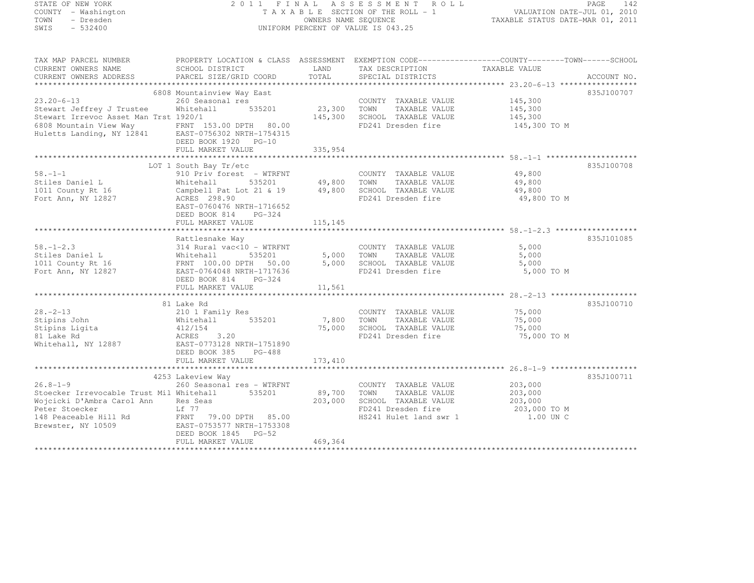# STATE OF NEW YORK 2 0 1 1 F I N A L A S S E S S M E N T R O L L PAGE <sup>142</sup> COUNTY - Washington T A X A B L E SECTION OF THE ROLL - 1 VALUATION DATE-JUL 01, 2010 TOWN - Dresden OWNERS NAME SEQUENCE TAXABLE STATUS DATE-MAR 01, 2011<br>- TRESDEN ON THE SEQUENCE TO A SECUENCE TO BE SERVED ON THE SEQUENCE OF SEXUE OF THE STATUS DATE MAR 01, 2011 SWIS - 532400 UNIFORM PERCENT OF VALUE IS 043.25

| TAX MAP PARCEL NUMBER                                                                                | PROPERTY LOCATION & CLASS ASSESSMENT EXEMPTION CODE-----------------COUNTY-------TOWN------SCHOOL |                   |                                               |                    |             |
|------------------------------------------------------------------------------------------------------|---------------------------------------------------------------------------------------------------|-------------------|-----------------------------------------------|--------------------|-------------|
| CURRENT OWNERS NAME<br>CURRENT OWNERS ADDRESS                                                        | SCHOOL DISTRICT<br>PARCEL SIZE/GRID COORD                                                         | LAND<br>TOTAL     | TAX DESCRIPTION<br>SPECIAL DISTRICTS          | TAXABLE VALUE      | ACCOUNT NO. |
|                                                                                                      |                                                                                                   |                   |                                               |                    |             |
|                                                                                                      | 6808 Mountainview Way East                                                                        |                   |                                               |                    | 835J100707  |
| $23.20 - 6 - 13$                                                                                     | 260 Seasonal res                                                                                  |                   | COUNTY TAXABLE VALUE                          | 145,300            |             |
| Stewart Jeffrey J Trustee                                                                            | 535201<br>Whitehall                                                                               | 23,300            | TOWN<br>TAXABLE VALUE                         | 145,300            |             |
| Stewart Irrevoc Asset Man Trst 1920/1                                                                |                                                                                                   | 145,300           | SCHOOL TAXABLE VALUE                          | 145,300            |             |
| 6808 Mountain View Way FRNT 153.00 DPTH 80.00<br>Huletts Landing, NY 12841 EAST-0756302 NRTH-1754315 | DEED BOOK 1920 PG-10                                                                              |                   | FD241 Dresden fire                            | 145,300 TO M       |             |
|                                                                                                      | FULL MARKET VALUE                                                                                 | 335,954           |                                               |                    |             |
|                                                                                                      |                                                                                                   |                   |                                               |                    |             |
|                                                                                                      | LOT 1 South Bay Tr/etc                                                                            |                   |                                               |                    | 835J100708  |
| $58. - 1 - 1$                                                                                        | 910 Priv forest - WTRFNT                                                                          |                   | COUNTY TAXABLE VALUE                          | 49,800             |             |
| Stiles Daniel L                                                                                      | Whitehall<br>535201                                                                               | 49,800            | TOWN<br>TAXABLE VALUE                         | 49,800             |             |
| 1011 County Rt 16                                                                                    | Campbell Pat Lot 21 & 19                                                                          | 49,800            | SCHOOL TAXABLE VALUE                          | 49,800             |             |
| Fort Ann, NY 12827                                                                                   | ACRES 298.90<br>EAST-0760476 NRTH-1716652<br>DEED BOOK 814<br>$PG-324$                            |                   | FD241 Dresden fire                            | 49,800 TO M        |             |
|                                                                                                      | FULL MARKET VALUE                                                                                 | 115,145           |                                               |                    |             |
|                                                                                                      |                                                                                                   |                   |                                               |                    |             |
| $58. - 1 - 2.3$                                                                                      | Rattlesnake Way<br>314 Rural vac<10 - WTRFNT                                                      |                   |                                               | 5,000              | 835J101085  |
| Stiles Daniel L                                                                                      | 535201<br>Whitehall                                                                               | 5,000             | COUNTY TAXABLE VALUE<br>TOWN<br>TAXABLE VALUE | 5,000              |             |
| 1011 County Rt 16                                                                                    | FRNT 100.00 DPTH 50.00                                                                            | 5,000             | SCHOOL TAXABLE VALUE                          | 5,000              |             |
| Fort Ann, NY 12827                                                                                   | EAST-0764048 NRTH-1717636                                                                         |                   | FD241 Dresden fire                            | 5,000 TO M         |             |
|                                                                                                      | DEED BOOK 814 PG-324                                                                              |                   |                                               |                    |             |
|                                                                                                      | FULL MARKET VALUE                                                                                 | 11,561            |                                               |                    |             |
|                                                                                                      |                                                                                                   |                   |                                               |                    |             |
|                                                                                                      | 81 Lake Rd                                                                                        |                   |                                               |                    | 835J100710  |
| $28. - 2 - 13$                                                                                       | 210 1 Family Res                                                                                  |                   | COUNTY TAXABLE VALUE                          | 75,000             |             |
| Stipins John                                                                                         | 535201<br>Whitehall                                                                               | 7,800             | TOWN<br>TAXABLE VALUE                         | 75,000             |             |
| Stipins Ligita                                                                                       | 412/154                                                                                           | 75,000            | SCHOOL TAXABLE VALUE                          | 75,000             |             |
| 81 Lake Rd                                                                                           | 3.20<br>ACRES                                                                                     |                   | FD241 Dresden fire                            | 75,000 TO M        |             |
| Whitehall, NY 12887                                                                                  | EAST-0773128 NRTH-1751890                                                                         |                   |                                               |                    |             |
|                                                                                                      | DEED BOOK 385<br>$PG-488$                                                                         |                   |                                               |                    |             |
|                                                                                                      | FULL MARKET VALUE                                                                                 | 173,410           |                                               |                    |             |
|                                                                                                      |                                                                                                   |                   |                                               |                    |             |
| $26.8 - 1 - 9$                                                                                       | 4253 Lakeview Way                                                                                 |                   |                                               |                    | 835J100711  |
| Stoecker Irrevocable Trust Mil Whitehall 535201                                                      | 260 Seasonal res - WTRFNT                                                                         |                   | COUNTY TAXABLE VALUE<br>TOWN<br>TAXABLE VALUE | 203,000            |             |
| Wojcicki D'Ambra Carol Ann                                                                           | Res Seas                                                                                          | 89,700<br>203,000 | SCHOOL TAXABLE VALUE                          | 203,000<br>203,000 |             |
| Peter Stoecker                                                                                       | Lf 77                                                                                             |                   | FD241 Dresden fire                            | 203,000 TO M       |             |
| 148 Peaceable Hill Rd                                                                                | FRNT<br>79.00 DPTH 85.00                                                                          |                   | HS241 Hulet land swr 1                        | 1.00 UN C          |             |
| Brewster, NY 10509                                                                                   | EAST-0753577 NRTH-1753308                                                                         |                   |                                               |                    |             |
|                                                                                                      | DEED BOOK 1845 PG-52                                                                              |                   |                                               |                    |             |
|                                                                                                      | FULL MARKET VALUE                                                                                 | 469,364           |                                               |                    |             |
|                                                                                                      |                                                                                                   |                   |                                               |                    |             |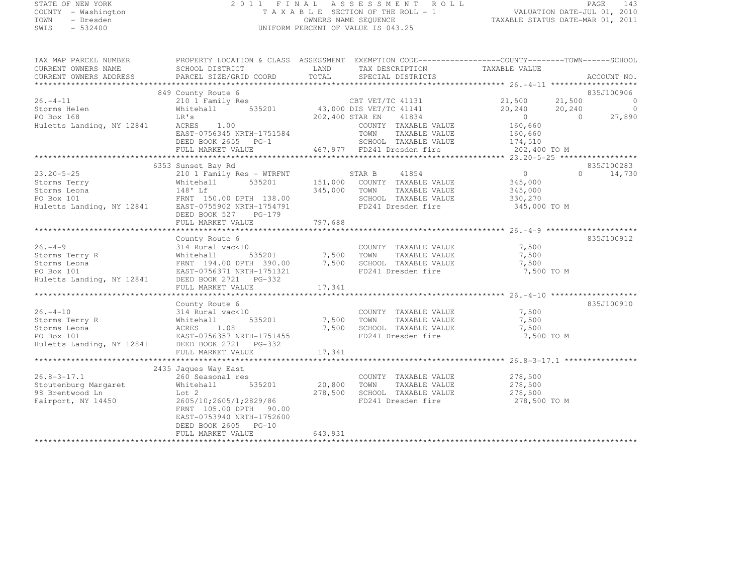SUBART - WASHINGTON<br>TOWN - Dresden<br>SWIS - 532400

# STATE OF NEW YORK 2 0 1 1 F I N A L A S S E S S M E N T R O L L PAGE <sup>143</sup> COUNTY - Washington T A X A B L E SECTION OF THE ROLL - 1 VALUATION DATE-JUL 01, 2010 TOWN - Dresden OWNERS NAME SEQUENCE TAXABLE STATUS DATE-MAR 01, 2011<br>- TRESDEN ON THE SEQUENCE TO A SECUENCE TO BE SERVED ON THE SEQUENCE OF SEXUE OF THE STATUS DATE MAR 01, 2011

| TAX MAP PARCEL NUMBER<br>CURRENT OWNERS NAME                                                                                                                                                                                                                                                                                                                                                                                                                                        | PROPERTY LOCATION & CLASS ASSESSMENT EXEMPTION CODE-----------------COUNTY-------TOWN------SCHOOL<br>PROPERTY LOCATION<br>SCHOOL DISTRICT                                                                                   |         |                                                                |              |               |
|-------------------------------------------------------------------------------------------------------------------------------------------------------------------------------------------------------------------------------------------------------------------------------------------------------------------------------------------------------------------------------------------------------------------------------------------------------------------------------------|-----------------------------------------------------------------------------------------------------------------------------------------------------------------------------------------------------------------------------|---------|----------------------------------------------------------------|--------------|---------------|
| CURRENT OWNERS ADDRESS                                                                                                                                                                                                                                                                                                                                                                                                                                                              |                                                                                                                                                                                                                             |         |                                                                |              | ACCOUNT NO.   |
|                                                                                                                                                                                                                                                                                                                                                                                                                                                                                     |                                                                                                                                                                                                                             |         |                                                                |              |               |
| 849 County Route 6<br>210 1 Family Res<br>210 1 Family Res<br>21,500<br>21,500<br>21,500<br>21,500<br>21,500<br>21,500<br>21,500<br>21,500<br>21,500<br>21,500<br>21,500<br>21,500<br>21,500<br>21,500<br>21,500<br>21,500<br>21,500<br>21,500<br>21,500<br>21,500<br>21,890                                                                                                                                                                                                        |                                                                                                                                                                                                                             |         |                                                                |              |               |
|                                                                                                                                                                                                                                                                                                                                                                                                                                                                                     |                                                                                                                                                                                                                             |         |                                                                |              |               |
|                                                                                                                                                                                                                                                                                                                                                                                                                                                                                     | ACRES 1.00 COUNTY TAXABLE VALUE 160,660<br>EAST-0756345 NRTH-1751584 TOWN TAXABLE VALUE 160,660<br>DEED BOOK 2655 PG-1 467,977 FD241 Dresden fire 202,400 TO M<br>FULL MARKET VALUE 467,977 FD241 Dresden fire 202,400 TO M |         |                                                                |              |               |
|                                                                                                                                                                                                                                                                                                                                                                                                                                                                                     |                                                                                                                                                                                                                             |         |                                                                |              |               |
|                                                                                                                                                                                                                                                                                                                                                                                                                                                                                     |                                                                                                                                                                                                                             |         |                                                                |              |               |
|                                                                                                                                                                                                                                                                                                                                                                                                                                                                                     | 6353 Sunset Bay Rd                                                                                                                                                                                                          |         |                                                                |              | 835J100283    |
|                                                                                                                                                                                                                                                                                                                                                                                                                                                                                     |                                                                                                                                                                                                                             |         |                                                                |              | $0 \t 14,730$ |
|                                                                                                                                                                                                                                                                                                                                                                                                                                                                                     |                                                                                                                                                                                                                             |         |                                                                |              |               |
|                                                                                                                                                                                                                                                                                                                                                                                                                                                                                     |                                                                                                                                                                                                                             |         |                                                                |              |               |
|                                                                                                                                                                                                                                                                                                                                                                                                                                                                                     |                                                                                                                                                                                                                             |         |                                                                |              |               |
|                                                                                                                                                                                                                                                                                                                                                                                                                                                                                     | DEED BOOK 527 PG-179                                                                                                                                                                                                        |         |                                                                |              |               |
|                                                                                                                                                                                                                                                                                                                                                                                                                                                                                     |                                                                                                                                                                                                                             |         |                                                                |              |               |
| County Review 6<br>County Review 6<br>Storms Terry R<br>Storms Leona FRNT 194.00 DPTH 390.00<br>PO Box 101<br>Huletts Landing, NY 12841<br>DEED TORING THE 1751321<br>FINIT 194.00 DPTH 390.00<br>FRNT 194.00 DPTH 390.00<br>T,500<br>TORING TAXAB                                                                                                                                                                                                                                  |                                                                                                                                                                                                                             |         |                                                                |              |               |
|                                                                                                                                                                                                                                                                                                                                                                                                                                                                                     |                                                                                                                                                                                                                             |         |                                                                |              | 835J100912    |
|                                                                                                                                                                                                                                                                                                                                                                                                                                                                                     |                                                                                                                                                                                                                             |         |                                                                |              |               |
|                                                                                                                                                                                                                                                                                                                                                                                                                                                                                     |                                                                                                                                                                                                                             |         |                                                                |              |               |
|                                                                                                                                                                                                                                                                                                                                                                                                                                                                                     |                                                                                                                                                                                                                             |         |                                                                | 7,500 TO M   |               |
|                                                                                                                                                                                                                                                                                                                                                                                                                                                                                     |                                                                                                                                                                                                                             |         |                                                                |              |               |
|                                                                                                                                                                                                                                                                                                                                                                                                                                                                                     |                                                                                                                                                                                                                             |         |                                                                |              |               |
|                                                                                                                                                                                                                                                                                                                                                                                                                                                                                     |                                                                                                                                                                                                                             |         |                                                                |              |               |
| $\begin{tabular}{lllllllllllllllllll} \multicolumn{3}{c}{\begin{tabular}{l}c}{\begin{tabular}{l}c}{\begin{tabular}{l}c}{\begin{tabular}{l}c}{\begin{tabular}{l}c}{\begin{tabular}{l}c}{\begin{tabular}{l}c}{\begin{tabular}{l}c}{\begin{tabular}{l}c}{\begin{tabular}{l}c}{\begin{tabular}{l}c}{\begin{tabular}{l}c}{\begin{tabular}{l}c}{\begin{tabular}{l}c}{\begin{tabular}{l}c}{\begin{tabular}{l}c}{\begin{tabular}{l}c}{\begin{tabular}{l}c}{\begin{tabular}{l}c}{\begin{tab$ |                                                                                                                                                                                                                             |         |                                                                |              | 835J100910    |
|                                                                                                                                                                                                                                                                                                                                                                                                                                                                                     |                                                                                                                                                                                                                             |         | COUNTY TAXABLE VALUE                                           | 7,500        |               |
|                                                                                                                                                                                                                                                                                                                                                                                                                                                                                     |                                                                                                                                                                                                                             |         | TAXABLE VALUE                                                  | 7,500        |               |
|                                                                                                                                                                                                                                                                                                                                                                                                                                                                                     |                                                                                                                                                                                                                             |         |                                                                | 7,500        |               |
|                                                                                                                                                                                                                                                                                                                                                                                                                                                                                     |                                                                                                                                                                                                                             |         | FD241 Dresden fire 7,500 TO M                                  |              |               |
|                                                                                                                                                                                                                                                                                                                                                                                                                                                                                     |                                                                                                                                                                                                                             |         |                                                                |              |               |
|                                                                                                                                                                                                                                                                                                                                                                                                                                                                                     | FULL MARKET VALUE                                                                                                                                                                                                           | 17,341  |                                                                |              |               |
|                                                                                                                                                                                                                                                                                                                                                                                                                                                                                     |                                                                                                                                                                                                                             |         |                                                                |              |               |
|                                                                                                                                                                                                                                                                                                                                                                                                                                                                                     | 2435 Jaques Way East                                                                                                                                                                                                        |         |                                                                |              |               |
|                                                                                                                                                                                                                                                                                                                                                                                                                                                                                     |                                                                                                                                                                                                                             |         | COUNTY TAXABLE VALUE $278,500$<br>TOWN TAXABLE VALUE $278,500$ |              |               |
| 26.8-3-17.1 2455 bayles may hast<br>260 Seasonal res COUNTY<br>38 Brentwood Ln Lot 2 278,500 SCHOOL<br>Fairport, NY 14450 205/10;2605/1;2829/86 FD241 Dr                                                                                                                                                                                                                                                                                                                            |                                                                                                                                                                                                                             |         |                                                                |              |               |
|                                                                                                                                                                                                                                                                                                                                                                                                                                                                                     | Lot 2 $278,500$ SCHOOL TAXABLE VALUE $278,500$<br>2605/10;2605/1;2829/86 FD241 Dresden fire $278,500$                                                                                                                       |         |                                                                | 278,500 TO M |               |
|                                                                                                                                                                                                                                                                                                                                                                                                                                                                                     | FRNT 105.00 DPTH 90.00<br>EAST-0753940 NRTH-1752600<br>DEED BOOK 2605 PG-10                                                                                                                                                 |         | FD241 Dresden fire                                             |              |               |
|                                                                                                                                                                                                                                                                                                                                                                                                                                                                                     | FULL MARKET VALUE                                                                                                                                                                                                           | 643,931 |                                                                |              |               |
|                                                                                                                                                                                                                                                                                                                                                                                                                                                                                     |                                                                                                                                                                                                                             |         |                                                                |              |               |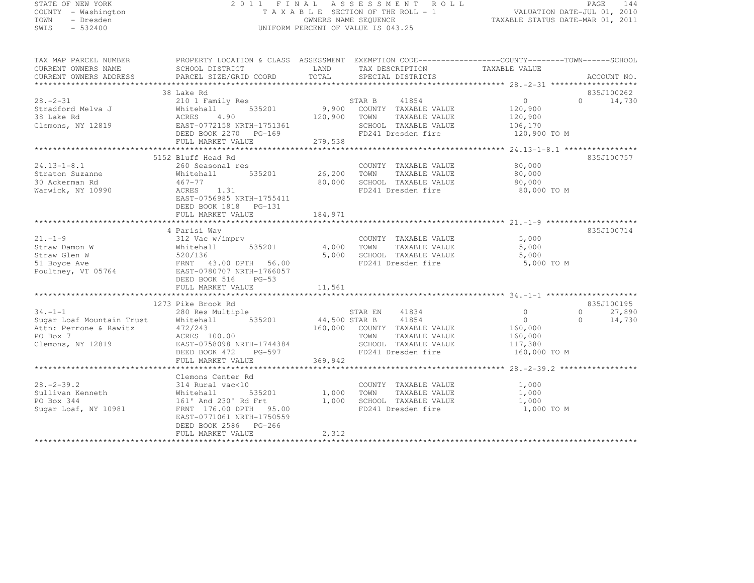# STATE OF NEW YORK 2 0 1 1 F I N A L A S S E S S M E N T R O L L PAGE <sup>144</sup> COUNTY - Washington T A X A B L E SECTION OF THE ROLL - 1 VALUATION DATE-JUL 01, 2010 TOWN - Dresden OWNERS NAME SEQUENCE TAXABLE STATUS DATE-MAR 01, 2011<br>- TRESDEN ON THE SEQUENCE TO A SECUENCE TO BE SERVED ON THE SEQUENCE OF SEXUE OF THE STATUS DATE MAR 01, 2011 SWIS - 532400 UNIFORM PERCENT OF VALUE IS 043.25

| CURRENT OWNERS NAME       | SCHOOL DISTRICT                                    | LAND          | TAX DESCRIPTION              | TAXABLE VALUE  |                    |
|---------------------------|----------------------------------------------------|---------------|------------------------------|----------------|--------------------|
| CURRENT OWNERS ADDRESS    | PARCEL SIZE/GRID COORD                             | TOTAL         | SPECIAL DISTRICTS            |                | ACCOUNT NO.        |
|                           |                                                    |               |                              |                |                    |
|                           | 38 Lake Rd                                         |               |                              |                | 835J100262         |
| $28. - 2 - 31$            | 210 1 Family Res                                   |               | STAR B<br>41854              | $\overline{0}$ | $\Omega$<br>14,730 |
| Stradford Melva J         | 535201<br>Whitehall                                | 9,900         | COUNTY TAXABLE VALUE         | 120,900        |                    |
| 38 Lake Rd                | ACRES<br>4.90                                      | 120,900       | TOWN<br>TAXABLE VALUE        | 120,900        |                    |
| Clemons, NY 12819         | EAST-0772158 NRTH-1751361                          |               | SCHOOL TAXABLE VALUE         | 106,170        |                    |
|                           | DEED BOOK 2270 PG-169                              |               | FD241 Dresden fire           | 120,900 TO M   |                    |
|                           | FULL MARKET VALUE                                  | 279,538       |                              |                |                    |
|                           |                                                    |               |                              |                |                    |
|                           | 5152 Bluff Head Rd                                 |               |                              |                | 835J100757         |
| $24.13 - 1 - 8.1$         | 260 Seasonal res                                   |               | COUNTY TAXABLE VALUE         | 80,000         |                    |
| Straton Suzanne           | Whitehall<br>535201                                | 26,200        | TOWN<br>TAXABLE VALUE        | 80,000         |                    |
| 30 Ackerman Rd            | $467 - 77$                                         | 80,000        | SCHOOL TAXABLE VALUE         | 80,000         |                    |
| Warwick, NY 10990         | ACRES<br>1.31                                      |               | FD241 Dresden fire           | 80,000 TO M    |                    |
|                           | EAST-0756985 NRTH-1755411                          |               |                              |                |                    |
|                           | DEED BOOK 1818 PG-131                              |               |                              |                |                    |
|                           | FULL MARKET VALUE                                  | 184,971       |                              |                |                    |
|                           |                                                    |               |                              |                |                    |
|                           | 4 Parisi Way                                       |               |                              |                | 835J100714         |
| $21. - 1 - 9$             | 312 Vac w/imprv                                    |               | COUNTY TAXABLE VALUE         | 5,000          |                    |
| Straw Damon W             | 535201<br>Whitehall                                | 4,000         | TAXABLE VALUE<br>TOWN        | 5,000          |                    |
| Straw Glen W              | 520/136                                            | 5,000         | SCHOOL TAXABLE VALUE         | 5,000          |                    |
| 51 Boyce Ave              | FRNT 43.00 DPTH 56.00                              |               | FD241 Dresden fire           | 5,000 TO M     |                    |
| Poultney, VT 05764        | EAST-0780707 NRTH-1766057                          |               |                              |                |                    |
|                           | DEED BOOK 516<br>$PG-53$                           |               |                              |                |                    |
|                           | FULL MARKET VALUE                                  | 11,561        |                              |                |                    |
|                           |                                                    |               |                              |                |                    |
|                           | 1273 Pike Brook Rd                                 |               |                              |                | 835J100195         |
| $34. -1 -1$               | 280 Res Multiple                                   |               | STAR EN<br>41834             | $\circ$        | 27,890<br>$\circ$  |
| Sugar Loaf Mountain Trust | Whitehall<br>535201                                | 44,500 STAR B | 41854                        | $\circ$        | $\Omega$<br>14,730 |
| Attn: Perrone & Rawitz    | 472/243                                            |               | 160,000 COUNTY TAXABLE VALUE | 160,000        |                    |
| PO Box 7                  | ACRES 100.00                                       |               | TOWN<br>TAXABLE VALUE        | 160,000        |                    |
| Clemons, NY 12819         | EAST-0758098 NRTH-1744384                          |               | SCHOOL TAXABLE VALUE         | 117,380        |                    |
|                           | DEED BOOK 472<br>PG-597                            |               | FD241 Dresden fire           | 160,000 TO M   |                    |
|                           | FULL MARKET VALUE                                  | 369,942       |                              |                |                    |
|                           |                                                    |               |                              |                |                    |
|                           | Clemons Center Rd                                  |               |                              |                |                    |
| $28. - 2 - 39.2$          | 314 Rural vac<10                                   |               | COUNTY TAXABLE VALUE         | 1,000          |                    |
| Sullivan Kenneth          | 535201                                             | 1,000         | TAXABLE VALUE                | 1,000          |                    |
| PO Box 344                | Whitehall<br>161' And 230' Rd Frt                  | 1,000         | TOWN<br>SCHOOL TAXABLE VALUE | 1,000          |                    |
|                           | FRNT 176.00 DPTH 95.00                             |               | FD241 Dresden fire           | 1,000 TO M     |                    |
| Sugar Loaf, NY 10981      |                                                    |               |                              |                |                    |
|                           | EAST-0771061 NRTH-1750559<br>DEED BOOK 2586 PG-266 |               |                              |                |                    |
|                           |                                                    | 2,312         |                              |                |                    |
|                           | FULL MARKET VALUE                                  |               |                              |                |                    |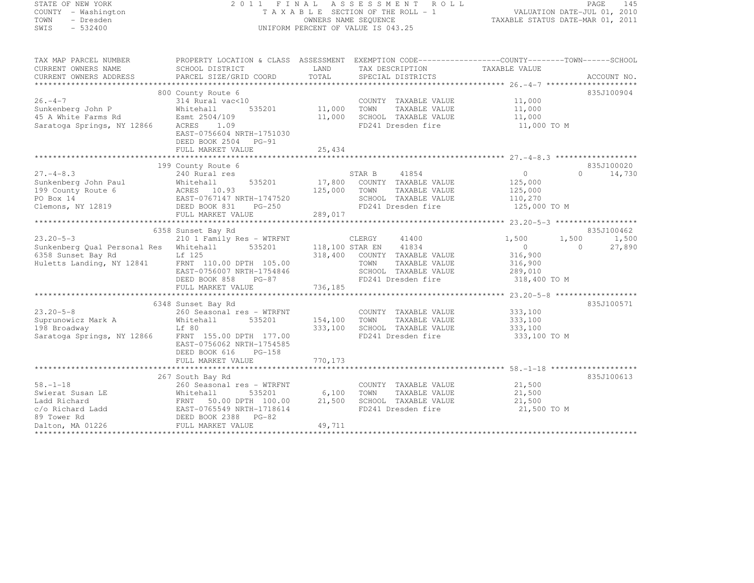# STATE OF NEW YORK 2 0 1 1 F I N A L A S S E S S M E N T R O L L PAGE <sup>145</sup> COUNTY - Washington T A X A B L E SECTION OF THE ROLL - 1 VALUATION DATE-JUL 01, 2010 TOWN - Dresden OWNERS NAME SEQUENCE TAXABLE STATUS DATE-MAR 01, 2011<br>- TRESDEN ON THE SEQUENCE TO A SECUENCE TO BE SERVED ON THE SEQUENCE OF SEXUE OF THE STATUS DATE MAR 01, 2011 SWIS - 532400 UNIFORM PERCENT OF VALUE IS 043.25

| TAX MAP PARCEL NUMBER                  | PROPERTY LOCATION & CLASS ASSESSMENT EXEMPTION CODE----------------COUNTY-------TOWN-----SCHOOL  |               |                              |                            |                    |
|----------------------------------------|--------------------------------------------------------------------------------------------------|---------------|------------------------------|----------------------------|--------------------|
| CURRENT OWNERS NAME                    | SCHOOL DISTRICT                                                                                  | LAND          | TAX DESCRIPTION              | TAXABLE VALUE              |                    |
| CURRENT OWNERS ADDRESS                 |                                                                                                  | TOTAL         |                              |                            |                    |
|                                        |                                                                                                  |               |                              |                            |                    |
|                                        | 800 County Route 6                                                                               |               |                              |                            | 835J100904         |
| $26. -4 - 7$                           | $314$ Rural vac<10                                                                               |               | COUNTY TAXABLE VALUE         | 11,000                     |                    |
| Sunkenberg John P                      | Whitehall                                                                                        | 535201 11,000 | TOWN<br>TAXABLE VALUE        | 11,000                     |                    |
| 45 A White Farms Rd                    | Esmt 2504/109                                                                                    | 11,000        | SCHOOL TAXABLE VALUE         | 11,000                     |                    |
| Saratoga Springs, NY 12866             | ACRES<br>1.09                                                                                    |               | FD241 Dresden fire           |                            |                    |
|                                        | EAST-0756604 NRTH-1751030                                                                        |               |                              | $11,000$ TO M              |                    |
|                                        | DEED BOOK 2504 PG-91                                                                             |               |                              |                            |                    |
|                                        | FULL MARKET VALUE                                                                                | 25,434        |                              |                            |                    |
|                                        |                                                                                                  |               |                              |                            |                    |
|                                        | 199 County Route 6                                                                               |               |                              |                            | 835J100020         |
| $27. - 4 - 8.3$                        |                                                                                                  |               | STAR B<br>41854              | $\overline{0}$             | $\Omega$<br>14,730 |
|                                        | 240 Rural res                                                                                    |               |                              |                            |                    |
| Sunkenberg John Paul                   |                                                                                                  |               | 17,800 COUNTY TAXABLE VALUE  | 125,000                    |                    |
| 199 County Route 6                     |                                                                                                  | 125,000       | TOWN<br>TAXABLE VALUE        | 125,000                    |                    |
| PO Box 14                              |                                                                                                  |               | SCHOOL TAXABLE VALUE         | 110,270                    |                    |
| Clemons, NY 12819                      | Whitehall 535201<br>ACRES 10.93<br>EAST-0767147 NRTH-1747520<br>DEED BOOK 831 PG-250<br>$PG-250$ |               | FD241 Dresden fire           | 125,000 TO M               |                    |
|                                        | FULL MARKET VALUE                                                                                | 289,017       |                              |                            |                    |
|                                        |                                                                                                  |               |                              |                            |                    |
|                                        | 6358 Sunset Bay Rd                                                                               |               |                              |                            | 835J100462         |
| $23.20 - 5 - 3$                        | 210 1 Family Res - WTRFNT                                                                        |               | CLERGY<br>41400              | 1,500<br>1,500             | 1,500              |
| Sunkenberg Qual Personal Res Whitehall |                                                                                                  |               | 535201 118,100 STAR EN 41834 | $\overline{0}$<br>$\Omega$ | 27,890             |
| 6358 Sunset Bay Rd                     | Lf 125                                                                                           |               | 318,400 COUNTY TAXABLE VALUE | 316,900                    |                    |
| Huletts Landing, NY 12841              | FRNT 110.00 DPTH 105.00                                                                          |               | TOWN<br>TAXABLE VALUE        | 316,900                    |                    |
|                                        | EAST-0756007 NRTH-1754846                                                                        |               | SCHOOL TAXABLE VALUE         | 289,010                    |                    |
|                                        | $PG-87$<br>DEED BOOK 858                                                                         |               | FD241 Dresden fire           | 318,400 TO M               |                    |
|                                        | FULL MARKET VALUE                                                                                | 736,185       |                              |                            |                    |
|                                        |                                                                                                  |               |                              |                            |                    |
|                                        | 6348 Sunset Bay Rd                                                                               |               |                              |                            | 835J100571         |
| $23.20 - 5 - 8$                        | 260 Seasonal res - WTRFNT                                                                        |               | COUNTY TAXABLE VALUE 333,100 |                            |                    |
| Suprunowicz Mark A                     | 535201<br>Whitehall                                                                              | 154,100       | TAXABLE VALUE<br>TOWN        | 333,100                    |                    |
| 198 Broadway                           | Lf 80                                                                                            | 333,100       | SCHOOL TAXABLE VALUE         | 333,100                    |                    |
| Saratoga Springs, NY 12866             | FRNT 155.00 DPTH 177.00                                                                          |               | FD241 Dresden fire           | 333,100 TO M               |                    |
|                                        | EAST-0756062 NRTH-1754585                                                                        |               |                              |                            |                    |
|                                        | DEED BOOK 616<br>PG-158                                                                          |               |                              |                            |                    |
|                                        | FULL MARKET VALUE                                                                                | 770, 173      |                              |                            |                    |
|                                        |                                                                                                  |               |                              |                            |                    |
|                                        | 267 South Bay Rd                                                                                 |               |                              |                            | 835J100613         |
| $58. - 1 - 18$                         |                                                                                                  |               |                              |                            |                    |
|                                        | 260 Seasonal res - WTRFNT                                                                        |               | COUNTY TAXABLE VALUE         | 21,500                     |                    |
| Swierat Susan LE                       | Whitehall<br>535201                                                                              | 6,100         | TOWN<br>TAXABLE VALUE        | 21,500                     |                    |
| Ladd Richard                           | FRNT 50.00 DPTH 100.00                                                                           | 21,500        | SCHOOL TAXABLE VALUE         | 21,500                     |                    |
| c/o Richard Ladd                       | EAST-0765549 NRTH-1718614                                                                        |               | FD241 Dresden fire           | 21,500 TO M                |                    |
| 89 Tower Rd                            | DEED BOOK 2388 PG-82                                                                             |               |                              |                            |                    |
| Dalton, MA 01226                       | FULL MARKET VALUE                                                                                | 49,711        |                              |                            |                    |
|                                        |                                                                                                  |               |                              |                            |                    |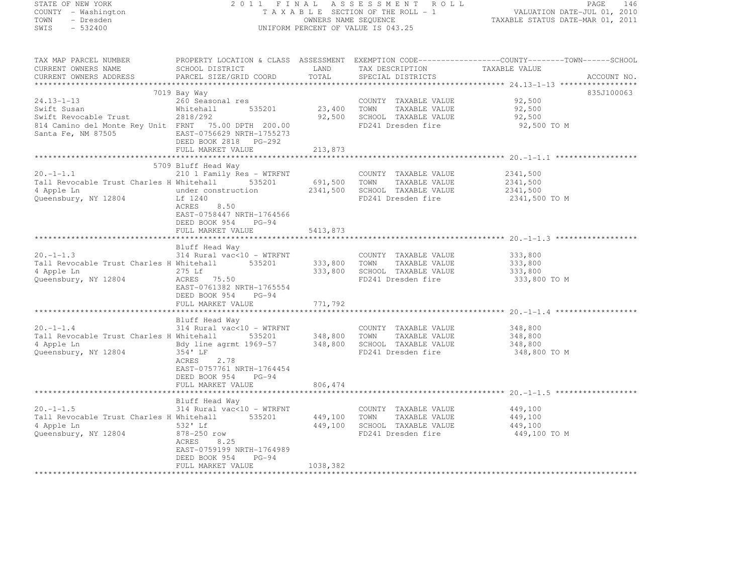#### STATE OF NEW YORK 2 0 1 1 F I N A L A S S E S S M E N T R O L L PAGE <sup>146</sup> COUNTY - Washington T A X A B L E SECTION OF THE ROLL - 1 VALUATION DATE-JUL 01, 2010 TOWN - Dresden OWNERS NAME SEQUENCE TAXABLE STATUS DATE-MAR 01, 2011<br>- TRESDEN ON THE SEQUENCE TO A SECUENCE TO BE SERVED ON THE SEQUENCE OF SEXUE OF THE STATUS DATE MAR 01, 2011 SWIS - 532400 UNIFORM PERCENT OF VALUE IS 043.25

| TAX MAP PARCEL NUMBER                                                                                                                          |                                                     |              |                               | PROPERTY LOCATION & CLASS ASSESSMENT EXEMPTION CODE----------------COUNTY-------TOWN------SCHOOL |
|------------------------------------------------------------------------------------------------------------------------------------------------|-----------------------------------------------------|--------------|-------------------------------|--------------------------------------------------------------------------------------------------|
| CURRENT OWNERS NAME                                                                                                                            | SCHOOL DISTRICT                                     | LAND         | TAX DESCRIPTION               | TAXABLE VALUE                                                                                    |
| CURRENT OWNERS ADDRESS                                                                                                                         | PARCEL SIZE/GRID COORD                              | TOTAL        | SPECIAL DISTRICTS             | ACCOUNT NO.                                                                                      |
|                                                                                                                                                | 7019 Bay Way                                        |              |                               | 835J100063                                                                                       |
| $24.13 - 1 - 13$                                                                                                                               | 260 Seasonal res                                    |              | COUNTY TAXABLE VALUE          | 92,500                                                                                           |
| Swift Susan                                                                                                                                    | Whitehall<br>535201                                 | 23,400 TOWN  | TAXABLE VALUE                 | 92,500                                                                                           |
| Swift Revocable Trust                                                                                                                          | 2818/292                                            | 92,500       | SCHOOL TAXABLE VALUE          | 92,500                                                                                           |
| 814 Camino del Monte Rey Unit FRNT 75.00 DPTH 200.00                                                                                           |                                                     |              | FD241 Dresden fire            | 92,500 TO M                                                                                      |
| Santa Fe, NM 87505 EAST-0756629 NRTH-1755273                                                                                                   |                                                     |              |                               |                                                                                                  |
|                                                                                                                                                | DEED BOOK 2818 PG-292                               |              |                               |                                                                                                  |
|                                                                                                                                                | FULL MARKET VALUE                                   | 213,873      |                               |                                                                                                  |
|                                                                                                                                                | 5709 Bluff Head Way                                 |              |                               |                                                                                                  |
| $20. -1 - 1.1$                                                                                                                                 | 210 1 Family Res - WTRFNT                           |              | COUNTY TAXABLE VALUE          | 2341,500                                                                                         |
| Tall Revocable Trust Charles H Whitehall 535201                                                                                                |                                                     | 691,500 TOWN | TAXABLE VALUE                 | 2341,500                                                                                         |
|                                                                                                                                                |                                                     |              | 2341,500 SCHOOL TAXABLE VALUE | 2341,500                                                                                         |
| 4 Apple Ln<br>Queensbury, NY 12804 Lf 1240                                                                                                     |                                                     |              | FD241 Dresden fire            | 2341,500 TO M                                                                                    |
|                                                                                                                                                | 8.50<br>ACRES                                       |              |                               |                                                                                                  |
|                                                                                                                                                | EAST-0758447 NRTH-1764566                           |              |                               |                                                                                                  |
|                                                                                                                                                | DEED BOOK 954 PG-94                                 |              |                               |                                                                                                  |
|                                                                                                                                                | FULL MARKET VALUE                                   | 5413,873     |                               |                                                                                                  |
|                                                                                                                                                | Bluff Head Way                                      |              |                               |                                                                                                  |
| $20. -1 - 1.3$                                                                                                                                 | 314 Rural vac<10 - WTRFNT                           |              | COUNTY TAXABLE VALUE          | 333,800                                                                                          |
| Tall Revocable Trust Charles H Whitehall 535201                                                                                                |                                                     | 333,800 TOWN | TAXABLE VALUE                 | 333,800                                                                                          |
| 4 Apple Ln                                                                                                                                     | 275 Lf                                              | 333,800      | SCHOOL TAXABLE VALUE          | 333,800                                                                                          |
| Queensbury, NY 12804                                                                                                                           | ACRES 75.50                                         |              | FD241 Dresden fire            | 333,800 TO M                                                                                     |
|                                                                                                                                                | EAST-0761382 NRTH-1765554                           |              |                               |                                                                                                  |
|                                                                                                                                                | DEED BOOK 954 PG-94                                 |              |                               |                                                                                                  |
|                                                                                                                                                | FULL MARKET VALUE                                   | 771,792      |                               |                                                                                                  |
|                                                                                                                                                | Bluff Head Way                                      |              |                               |                                                                                                  |
|                                                                                                                                                |                                                     |              | COUNTY TAXABLE VALUE          | 348,800                                                                                          |
| 20.-1-1.4 20.-1-1.4 Tax and the set of the country TAXABLE VALUE<br>Tall Revocable Trust Charles H Whitehall 535201 348,800 TOWN TAXABLE VALUE |                                                     |              |                               | 348,800                                                                                          |
| 4 Apple Ln                                                                                                                                     | Bdy line agrmt 1969-57 348,800 SCHOOL TAXABLE VALUE |              |                               | 348,800                                                                                          |
| Queensbury, NY 12804                                                                                                                           | 354' LF                                             |              | FD241 Dresden fire            | 348,800 TO M                                                                                     |
|                                                                                                                                                | ACRES<br>2.78                                       |              |                               |                                                                                                  |
|                                                                                                                                                | EAST-0757761 NRTH-1764454                           |              |                               |                                                                                                  |
|                                                                                                                                                | DEED BOOK 954<br>$PG-94$                            |              |                               |                                                                                                  |
|                                                                                                                                                | FULL MARKET VALUE                                   | 806,474      |                               |                                                                                                  |
|                                                                                                                                                | Bluff Head Way                                      |              |                               |                                                                                                  |
| $20. -1 - 1.5$                                                                                                                                 | 314 Rural vac<10 - WTRFNT                           |              | COUNTY TAXABLE VALUE          | 449,100                                                                                          |
| Tall Revocable Trust Charles H Whitehall 535201                                                                                                |                                                     | 449,100 TOWN | TAXABLE VALUE                 | 449,100                                                                                          |
| 4 Apple Ln                                                                                                                                     | 532' Lf                                             |              | 449,100 SCHOOL TAXABLE VALUE  | 449,100                                                                                          |
| Queensbury, NY 12804                                                                                                                           | 878-250 row                                         |              | FD241 Dresden fire            | 449,100 TO M                                                                                     |
|                                                                                                                                                | ACRES<br>8.25                                       |              |                               |                                                                                                  |
|                                                                                                                                                | EAST-0759199 NRTH-1764989                           |              |                               |                                                                                                  |
|                                                                                                                                                | DEED BOOK 954 PG-94<br>FULL MARKET VALUE            | 1038,382     |                               |                                                                                                  |
|                                                                                                                                                |                                                     |              |                               |                                                                                                  |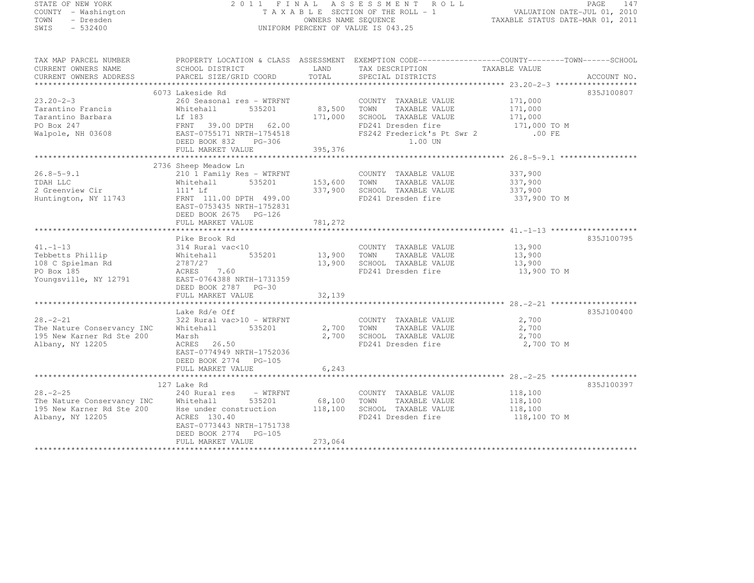|      |          | TATE OF NEW YORK   |  |  |
|------|----------|--------------------|--|--|
|      |          | OUNTY - Washington |  |  |
| 'OWN |          | - Dresden          |  |  |
| WIS  | - 532400 |                    |  |  |

# STATE OF NEW YORK 2 0 1 1 F I N A L A S S E S S M E N T R O L L PAGE <sup>147</sup> COUNTY - Washington T A X A B L E SECTION OF THE ROLL - 1 VALUATION DATE-JUL 01, 2010 TOWN - Dresden OWNERS NAME SEQUENCE TAXABLE STATUS DATE-MAR 01, 2011<br>- TRESDEN ON THE SEQUENCE TO A SECUENCE TO BE SERVED ON THE SEQUENCE OF SEXUE OF THE STATUS DATE MAR 01, 2011 SWIS - 532400 UNIFORM PERCENT OF VALUE IS 043.25

TAX MAP PARCEL NUMBER PROPERTY LOCATION & CLASS ASSESSMENT EXEMPTION CODE---------------------------------TOWN-------SCHOOL

| CURRENT OWNERS NAME<br>CURRENT OWNERS ADDRESS                                                 | SCHOOL DISTRICT<br>PARCEL SIZE/GRID COORD                                                                                                                                                   | LAND<br>TOTAL                 | TAX DESCRIPTION<br>SPECIAL DISTRICTS                                                                                                 | TAXABLE VALUE                                             | ACCOUNT NO. |
|-----------------------------------------------------------------------------------------------|---------------------------------------------------------------------------------------------------------------------------------------------------------------------------------------------|-------------------------------|--------------------------------------------------------------------------------------------------------------------------------------|-----------------------------------------------------------|-------------|
|                                                                                               |                                                                                                                                                                                             |                               |                                                                                                                                      |                                                           |             |
|                                                                                               | 6073 Lakeside Rd                                                                                                                                                                            |                               |                                                                                                                                      |                                                           | 835J100807  |
| $23.20 - 2 - 3$<br>Tarantino Francis<br>Tarantino Barbara<br>PO Box 247<br>Walpole, NH 03608  | 260 Seasonal res - WTRFNT<br>Whitehall<br>535201<br>Lf 183<br>FRNT 39.00 DPTH 62.00<br>EAST-0755171 NRTH-1754518<br>DEED BOOK 832<br>PG-306                                                 | 83,500<br>171,000             | COUNTY TAXABLE VALUE<br>TOWN<br>TAXABLE VALUE<br>SCHOOL TAXABLE VALUE<br>FD241 Dresden fire<br>FS242 Frederick's Pt Swr 2<br>1.00 UN | 171,000<br>171,000<br>171,000<br>171,000 TO M<br>$.00$ FE |             |
|                                                                                               | FULL MARKET VALUE                                                                                                                                                                           | 395,376                       |                                                                                                                                      |                                                           |             |
|                                                                                               |                                                                                                                                                                                             |                               |                                                                                                                                      |                                                           |             |
| $26.8 - 5 - 9.1$<br>TDAH LLC<br>2 Greenview Cir<br>Huntington, NY 11743                       | 2736 Sheep Meadow Ln<br>210 1 Family Res - WTRFNT<br>535201<br>Whitehall<br>$111'$ Lf<br>FRNT 111.00 DPTH 499.00<br>EAST-0753435 NRTH-1752831<br>DEED BOOK 2675 PG-126<br>FULL MARKET VALUE | 153,600<br>337,900<br>781,272 | COUNTY TAXABLE VALUE<br>TOWN<br>TAXABLE VALUE<br>SCHOOL TAXABLE VALUE<br>FD241 Dresden fire                                          | 337,900<br>337,900<br>337,900<br>337,900 TO M             |             |
|                                                                                               |                                                                                                                                                                                             |                               |                                                                                                                                      |                                                           |             |
| $41. -1 - 13$<br>Tebbetts Phillip<br>108 C Spielman Rd<br>PO Box 185<br>Youngsville, NY 12791 | Pike Brook Rd<br>314 Rural vac<10<br>535201<br>Whitehall<br>2787/27<br>7.60<br>ACRES<br>EAST-0764388 NRTH-1731359<br>DEED BOOK 2787 PG-30<br>FULL MARKET VALUE                              | 13,900<br>13,900<br>32,139    | COUNTY TAXABLE VALUE<br>TAXABLE VALUE<br>TOWN<br>SCHOOL TAXABLE VALUE<br>FD241 Dresden fire                                          | 13,900<br>13,900<br>13,900<br>13,900 TO M                 | 835J100795  |
|                                                                                               |                                                                                                                                                                                             |                               |                                                                                                                                      |                                                           |             |
| $28. - 2 - 21$<br>The Nature Conservancy INC<br>195 New Karner Rd Ste 200<br>Albany, NY 12205 | Lake Rd/e Off<br>322 Rural vac>10 - WTRFNT<br>Whitehall<br>535201<br>Marsh<br>ACRES<br>26.50<br>EAST-0774949 NRTH-1752036<br>DEED BOOK 2774 PG-105                                          | 2,700<br>2,700                | COUNTY TAXABLE VALUE<br>TOWN<br>TAXABLE VALUE<br>SCHOOL TAXABLE VALUE<br>FD241 Dresden fire                                          | 2,700<br>2,700<br>2,700<br>2,700 TO M                     | 835J100400  |
|                                                                                               | FULL MARKET VALUE                                                                                                                                                                           | 6, 243                        |                                                                                                                                      |                                                           |             |
|                                                                                               |                                                                                                                                                                                             |                               |                                                                                                                                      |                                                           |             |
| $28. - 2 - 25$<br>The Nature Conservancy INC<br>195 New Karner Rd Ste 200<br>Albany, NY 12205 | 127 Lake Rd<br>240 Rural res<br>- WTRFNT<br>535201<br>Whitehall<br>Hse under construction<br>ACRES 130.40<br>EAST-0773443 NRTH-1751738<br>DEED BOOK 2774 PG-105                             | 68,100<br>118,100             | COUNTY TAXABLE VALUE<br>TOWN<br>TAXABLE VALUE<br>SCHOOL TAXABLE VALUE<br>FD241 Dresden fire                                          | 118,100<br>118,100<br>118,100<br>118,100 TO M             | 835J100397  |
|                                                                                               | FULL MARKET VALUE                                                                                                                                                                           | 273,064                       |                                                                                                                                      |                                                           |             |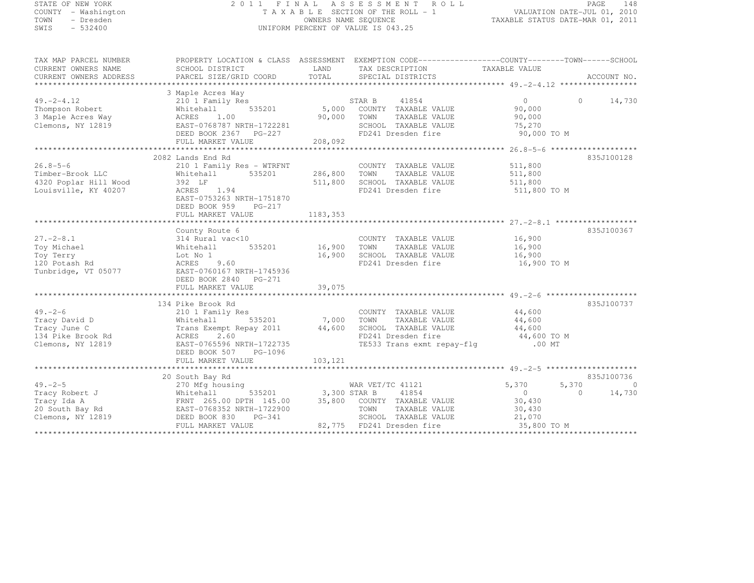| STATE OF NEW YORK<br>COUNTY - Washington<br>TOWN - Dresden      |                                                                                                                                                                                                                               |                     | 2011 FINAL ASSESSMENT ROLL<br>TAXABLE SECTION OF THE ROLL - 1<br>OWNERS NAME SEQUENCE                                                      | VALUATION DATE-JUL 01, 2010<br>TAXABLE STATUS DATE-MAR 01, 2011 | PAGE     | 148                      |
|-----------------------------------------------------------------|-------------------------------------------------------------------------------------------------------------------------------------------------------------------------------------------------------------------------------|---------------------|--------------------------------------------------------------------------------------------------------------------------------------------|-----------------------------------------------------------------|----------|--------------------------|
| SWIS<br>$-532400$                                               |                                                                                                                                                                                                                               |                     | UNIFORM PERCENT OF VALUE IS 043.25                                                                                                         |                                                                 |          |                          |
| TAX MAP PARCEL NUMBER<br>CURRENT OWNERS NAME                    | SCHOOL DISTRICT                                                                                                                                                                                                               | LAND                | PROPERTY LOCATION & CLASS ASSESSMENT EXEMPTION CODE----------------COUNTY-------TOWN------SCHOOL<br>TAX DESCRIPTION TAXABLE VALUE          |                                                                 |          |                          |
| CURRENT OWNERS ADDRESS                                          | PARCEL SIZE/GRID COORD                                                                                                                                                                                                        | TOTAL               | SPECIAL DISTRICTS                                                                                                                          |                                                                 |          | ACCOUNT NO.              |
|                                                                 | 3 Maple Acres Way                                                                                                                                                                                                             |                     |                                                                                                                                            |                                                                 |          |                          |
|                                                                 |                                                                                                                                                                                                                               |                     | FD241 Dresden fire                                                                                                                         | $\overline{0}$<br>90,000<br>90,000<br>75,270<br>90,000 TO M     |          | 0 $14,730$               |
|                                                                 |                                                                                                                                                                                                                               |                     |                                                                                                                                            |                                                                 |          |                          |
| $26.8 - 5 - 6$<br>4320 Poplar Hill Wood<br>Louisville, KY 40207 | 2082 Lands End Rd<br>210 1 Family Res - WTRFNT<br>Timber-Brook LLC Whitehall 535201<br>392 LF<br>ACRES 1.94<br>EAST-0753263 NRTH-1751870<br>DEED BOOK 959<br>PG-217<br>FULL MARKET VALUE<br>County Route 6                    | 511,800<br>1183,353 | COUNTY TAXABLE VALUE<br>286,800 TOWN TAXABLE VALUE<br>SCHOOL TAXABLE VALUE<br>FD241 Dresden fire                                           | 511,800<br>511,800<br>511,800<br>511,800 TO M                   |          | 835J100128<br>835J100367 |
|                                                                 | 27.-2-8.1<br>Toy Michael 314 Rural vac<10<br>Toy Terry 100 Mhitehall 535201<br>Toy Terry 105077<br>120 Potash Rd ACRES 9.60<br>Tunbridge, VT 05077<br>DEED BOOK 2840 PG-271<br>DEED BOOK 2840 PG-271<br>DEED BOOK 2840 PG-271 | 16,900              | COUNTY TAXABLE VALUE<br>16,900 TOWN TAXABLE VALUE<br>SCHOOL TAXABLE VALUE<br>FD241 Dresden fire                                            | 16,900<br>16,900<br>16,900<br>16,900 TO M                       |          |                          |
|                                                                 |                                                                                                                                                                                                                               |                     |                                                                                                                                            |                                                                 |          |                          |
|                                                                 | 134 Pike Brook Rd                                                                                                                                                                                                             | 44,600              | COUNTY TAXABLE VALUE<br>535201 7,000 TOWN TAXABLE VALUE<br>SCHOOL TAXABLE VALUE<br>FD241 Dresden fire<br>TE533 Trans exmt repay-flg .00 MT | $44,600$<br>$44,600$<br>44,600<br>44,600 TO M                   |          | 835J100737               |
|                                                                 | 20 South Bay Rd                                                                                                                                                                                                               |                     |                                                                                                                                            |                                                                 |          | 835J100736               |
| 49.–2–5<br>Tracy Robert J                                       | 270 Mfg housing<br>Whitehall                                                                                                                                                                                                  |                     | WAR VET/TC 41121<br>$\frac{1}{2}$ 535201 3,300 STAR B 41854                                                                                | 5,370<br>$\Omega$<br>$\sim$ $\sim$ $\sim$                       | $\sim$ 0 | 5,370 0<br>14,730        |

FULL MARKET VALUE 82,775 FD241 Dresden fire 35,800 TO M \*\*\*\*\*\*\*\*\*\*\*\*\*\*\*\*\*\*\*\*\*\*\*\*\*\*\*\*\*\*\*\*\*\*\*\*\*\*\*\*\*\*\*\*\*\*\*\*\*\*\*\*\*\*\*\*\*\*\*\*\*\*\*\*\*\*\*\*\*\*\*\*\*\*\*\*\*\*\*\*\*\*\*\*\*\*\*\*\*\*\*\*\*\*\*\*\*\*\*\*\*\*\*\*\*\*\*\*\*\*\*\*\*\*\*\*\*\*\*\*\*\*\*\*\*\*\*\*\*\*\*\*

Tracy Ida A FRNT 265.00 DPTH 145.00 35,800 COUNTY TAXABLE VALUE 30,430<br>Tracy Ida A FRIT 265.00 DPTH 145.00 35,800 COUNTY TAXABLE VALUE 20 South Bay Rd EAST-0768352 NRTH-1722900 TOWN TAXABLE VALUE 30,430 Clemons, NY 12819 DEED BOOK 830 PG-341 SCHOOL TAXABLE VALUE 21,070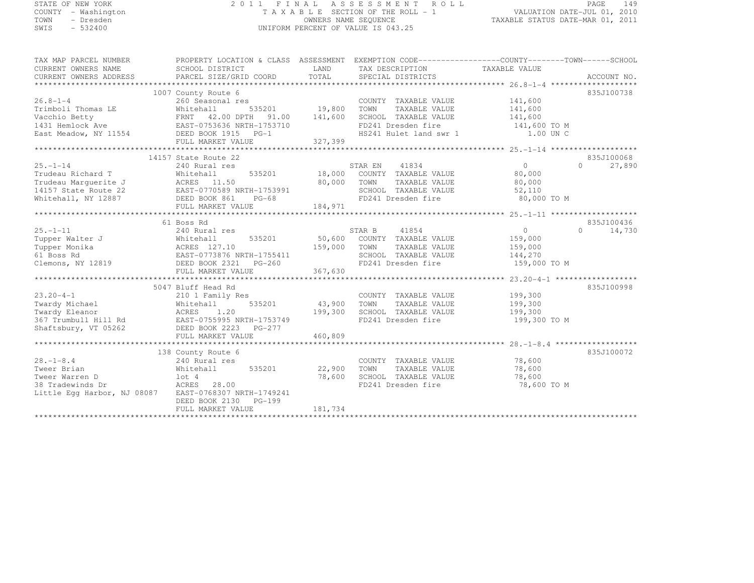#### STATE OF NEW YORK 2 0 1 1 F I N A L A S S E S S M E N T R O L L PAGE <sup>149</sup> COUNTY - Washington T A X A B L E SECTION OF THE ROLL - 1 VALUATION DATE-JUL 01, 2010 TOWN - Dresden OWNERS NAME SEQUENCE TAXABLE STATUS DATE-MAR 01, 2011<br>- TRESDEN ON THE SEQUENCE TO A SECUENCE TO BE SERVED ON THE SEQUENCE OF SEXUE OF THE STATUS DATE MAR 01, 2011 SWIS - 532400 UNIFORM PERCENT OF VALUE IS 043.25

| TAX MAP PARCEL NUMBER                                                                                                                                                                                                                                                                                                                                                                                                                                                                  | PROPERTY LOCATION & CLASS ASSESSMENT EXEMPTION CODE-----------------COUNTY-------TOWN------SCHOOL |                                                                                                                                                                                                                                 |                                           |                    |                    |
|----------------------------------------------------------------------------------------------------------------------------------------------------------------------------------------------------------------------------------------------------------------------------------------------------------------------------------------------------------------------------------------------------------------------------------------------------------------------------------------|---------------------------------------------------------------------------------------------------|---------------------------------------------------------------------------------------------------------------------------------------------------------------------------------------------------------------------------------|-------------------------------------------|--------------------|--------------------|
| CURRENT OWNERS NAME                                                                                                                                                                                                                                                                                                                                                                                                                                                                    | SCHOOL DISTRICT                                                                                   |                                                                                                                                                                                                                                 | LAND TAX DESCRIPTION                      | TAXABLE VALUE      |                    |
| $\begin{minipage}{0.5cm} \begin{minipage}{0.5cm} \begin{minipage}{0.5cm} \begin{minipage}{0.5cm} \begin{minipage}{0.5cm} \begin{minipage}{0.5cm} \begin{minipage}{0.5cm} \begin{minipage}{0.5cm} \begin{minipage}{0.5cm} \begin{minipage}{0.5cm} \begin{minipage}{0.5cm} \begin{minipage}{0.5cm} \begin{minipage}{0.5cm} \begin{minipage}{0.5cm} \begin{minipage}{0.5cm} \begin{minipage}{0.5cm} \begin{minipage}{0.5cm} \begin{minipage}{0.5cm} \begin{min$<br>CURRENT OWNERS ADDRESS |                                                                                                   |                                                                                                                                                                                                                                 |                                           |                    |                    |
|                                                                                                                                                                                                                                                                                                                                                                                                                                                                                        |                                                                                                   |                                                                                                                                                                                                                                 |                                           |                    |                    |
|                                                                                                                                                                                                                                                                                                                                                                                                                                                                                        | 1007 County Route 6                                                                               |                                                                                                                                                                                                                                 |                                           |                    | 835J100738         |
| $26.8 - 1 - 4$                                                                                                                                                                                                                                                                                                                                                                                                                                                                         | 260 Seasonal res                                                                                  |                                                                                                                                                                                                                                 | COUNTY TAXABLE VALUE                      | 141,600            |                    |
| Trimboli Thomas LE                                                                                                                                                                                                                                                                                                                                                                                                                                                                     |                                                                                                   | 535201 19,800                                                                                                                                                                                                                   | TOWN<br>TAXABLE VALUE                     | 141,600<br>141,600 |                    |
| Vacchio Betty                                                                                                                                                                                                                                                                                                                                                                                                                                                                          | Whitehall   535201   19,800<br>FRNT   42.00DPTH   91.00   141,600                                 |                                                                                                                                                                                                                                 | SCHOOL TAXABLE VALUE                      |                    |                    |
| 1431 Hemlock Ave                                                                                                                                                                                                                                                                                                                                                                                                                                                                       | EAST-0753636 NRTH-1753710                                                                         |                                                                                                                                                                                                                                 | FD241 Dresden fire 141,600 TO M           |                    |                    |
| East Meadow, NY 11554                                                                                                                                                                                                                                                                                                                                                                                                                                                                  | DEED BOOK 1915 PG-1                                                                               |                                                                                                                                                                                                                                 | HS241 Hulet land swr 1                    | 1.00 UN C          |                    |
|                                                                                                                                                                                                                                                                                                                                                                                                                                                                                        | FULL MARKET VALUE                                                                                 | 327,399                                                                                                                                                                                                                         |                                           |                    |                    |
|                                                                                                                                                                                                                                                                                                                                                                                                                                                                                        |                                                                                                   |                                                                                                                                                                                                                                 |                                           |                    |                    |
|                                                                                                                                                                                                                                                                                                                                                                                                                                                                                        | 14157 State Route 22                                                                              |                                                                                                                                                                                                                                 |                                           |                    | 835J100068         |
| $25. - 1 - 14$                                                                                                                                                                                                                                                                                                                                                                                                                                                                         | 240 Rural res                                                                                     |                                                                                                                                                                                                                                 | 41834<br>STAR EN                          | $0 \qquad \qquad$  | $\Omega$<br>27,890 |
| Trudeau Richard T                                                                                                                                                                                                                                                                                                                                                                                                                                                                      | Whitehall                                                                                         |                                                                                                                                                                                                                                 | 535201 18,000 COUNTY TAXABLE VALUE 80,000 |                    |                    |
| Trudeau Marguerite J<br>14157 State Route 22<br>Whitehall, NY 12887<br>14157 State Route 22<br>2008 861 PM PG-68<br>2008 861 PG-68<br>2008 861 PG-68                                                                                                                                                                                                                                                                                                                                   |                                                                                                   | $80,000$<br>RTH-1753991                                                                                                                                                                                                         | TOWN<br>TAXABLE VALUE                     | 80,000             |                    |
|                                                                                                                                                                                                                                                                                                                                                                                                                                                                                        |                                                                                                   |                                                                                                                                                                                                                                 | SCHOOL TAXABLE VALUE                      | 52,110             |                    |
|                                                                                                                                                                                                                                                                                                                                                                                                                                                                                        |                                                                                                   | e de la companya de la companya de la companya de la companya de la companya de la companya de la companya de<br>La companya de la companya de la companya de la companya de la companya de la companya de la companya de la co | FD241 Dresden fire                        | 80,000 TO M        |                    |
|                                                                                                                                                                                                                                                                                                                                                                                                                                                                                        |                                                                                                   |                                                                                                                                                                                                                                 |                                           |                    |                    |
|                                                                                                                                                                                                                                                                                                                                                                                                                                                                                        |                                                                                                   |                                                                                                                                                                                                                                 |                                           |                    |                    |
|                                                                                                                                                                                                                                                                                                                                                                                                                                                                                        | 61 Boss Rd                                                                                        |                                                                                                                                                                                                                                 |                                           |                    | 835J100436         |
| $25. - 1 - 11$                                                                                                                                                                                                                                                                                                                                                                                                                                                                         | 240 Rural res                                                                                     |                                                                                                                                                                                                                                 | STAR B<br>41854                           | $\overline{0}$     | $\Omega$<br>14,730 |
| Tupper Walter J                                                                                                                                                                                                                                                                                                                                                                                                                                                                        |                                                                                                   |                                                                                                                                                                                                                                 | 50,600 COUNTY TAXABLE VALUE               | 159,000            |                    |
| Tupper Monika                                                                                                                                                                                                                                                                                                                                                                                                                                                                          | J<br>Whitehall 535201<br>ACRES 127.10<br>EAST-0773876 NRTH-1755411<br>BEED BOOK 2321 PG-260       | 159,000                                                                                                                                                                                                                         | TOWN<br>TAXABLE VALUE                     | 159,000            |                    |
| 61 Boss Rd                                                                                                                                                                                                                                                                                                                                                                                                                                                                             |                                                                                                   |                                                                                                                                                                                                                                 | SCHOOL TAXABLE VALUE                      | 144,270            |                    |
| Clemons, NY 12819                                                                                                                                                                                                                                                                                                                                                                                                                                                                      |                                                                                                   |                                                                                                                                                                                                                                 | FD241 Dresden fire                        | 159,000 TO M       |                    |
|                                                                                                                                                                                                                                                                                                                                                                                                                                                                                        |                                                                                                   |                                                                                                                                                                                                                                 |                                           |                    |                    |
|                                                                                                                                                                                                                                                                                                                                                                                                                                                                                        |                                                                                                   |                                                                                                                                                                                                                                 |                                           |                    |                    |
|                                                                                                                                                                                                                                                                                                                                                                                                                                                                                        | 5047 Bluff Head Rd                                                                                |                                                                                                                                                                                                                                 |                                           |                    | 835J100998         |
| $23.20 - 4 - 1$                                                                                                                                                                                                                                                                                                                                                                                                                                                                        | 210 1 Family Res                                                                                  |                                                                                                                                                                                                                                 | COUNTY TAXABLE VALUE                      | 199,300            |                    |
|                                                                                                                                                                                                                                                                                                                                                                                                                                                                                        |                                                                                                   | 535201 43,900                                                                                                                                                                                                                   | TOWN<br>TAXABLE VALUE                     | 199,300            |                    |
| Twardy Michael Mhitehall 535201<br>Twardy Eleanor ACRES 1.20<br>367 Trumbull Hill Rd EAST-0755995 NRTH-1753749                                                                                                                                                                                                                                                                                                                                                                         |                                                                                                   | 199,300                                                                                                                                                                                                                         | SCHOOL TAXABLE VALUE                      | 199,300            |                    |
|                                                                                                                                                                                                                                                                                                                                                                                                                                                                                        |                                                                                                   |                                                                                                                                                                                                                                 | FD241 Dresden fire                        | 199,300 TO M       |                    |
| Shaftsbury, VT 05262                                                                                                                                                                                                                                                                                                                                                                                                                                                                   | DEED BOOK 2223 PG-277                                                                             |                                                                                                                                                                                                                                 |                                           |                    |                    |
|                                                                                                                                                                                                                                                                                                                                                                                                                                                                                        | FULL MARKET VALUE                                                                                 | 460,809                                                                                                                                                                                                                         |                                           |                    |                    |
|                                                                                                                                                                                                                                                                                                                                                                                                                                                                                        |                                                                                                   |                                                                                                                                                                                                                                 |                                           |                    |                    |
|                                                                                                                                                                                                                                                                                                                                                                                                                                                                                        | 138 County Route 6                                                                                |                                                                                                                                                                                                                                 |                                           |                    | 835J100072         |
| $28. - 1 - 8.4$                                                                                                                                                                                                                                                                                                                                                                                                                                                                        | 240 Rural res                                                                                     |                                                                                                                                                                                                                                 | COUNTY TAXABLE VALUE 78,600               |                    |                    |
| Tweer Brian                                                                                                                                                                                                                                                                                                                                                                                                                                                                            | 535201<br>Whitehall                                                                               | 22,900                                                                                                                                                                                                                          | TOWN<br>TAXABLE VALUE                     | 78,600             |                    |
| Tweer Warren D                                                                                                                                                                                                                                                                                                                                                                                                                                                                         | $1$ ot 4                                                                                          | 78,600                                                                                                                                                                                                                          | SCHOOL TAXABLE VALUE                      | 78,600             |                    |
| 38 Tradewinds Dr                                                                                                                                                                                                                                                                                                                                                                                                                                                                       | ACRES 28.00                                                                                       |                                                                                                                                                                                                                                 | FD241 Dresden fire                        | 78,600 TO M        |                    |
| Little Eqq Harbor, NJ 08087 EAST-0768307 NRTH-1749241                                                                                                                                                                                                                                                                                                                                                                                                                                  |                                                                                                   |                                                                                                                                                                                                                                 |                                           |                    |                    |
|                                                                                                                                                                                                                                                                                                                                                                                                                                                                                        | DEED BOOK 2130<br>PG-199                                                                          |                                                                                                                                                                                                                                 |                                           |                    |                    |
|                                                                                                                                                                                                                                                                                                                                                                                                                                                                                        | FULL MARKET VALUE                                                                                 | 181,734                                                                                                                                                                                                                         |                                           |                    |                    |
|                                                                                                                                                                                                                                                                                                                                                                                                                                                                                        |                                                                                                   |                                                                                                                                                                                                                                 |                                           |                    |                    |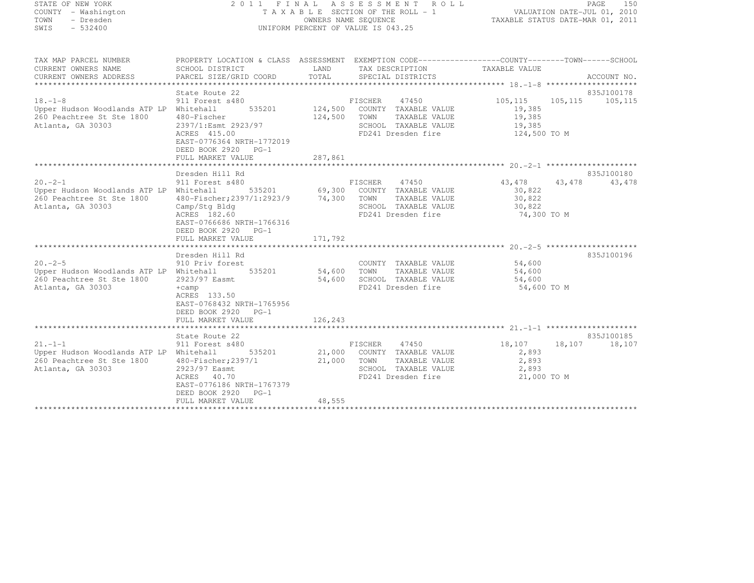# STATE OF NEW YORK 2 0 1 1 F I N A L A S S E S S M E N T R O L L PAGE <sup>150</sup> COUNTY - Washington T A X A B L E SECTION OF THE ROLL - 1 VALUATION DATE-JUL 01, 2010 TOWN - Dresden OWNERS NAME SEQUENCE TAXABLE STATUS DATE-MAR 01, 2011<br>- TRESDEN ON THE SEQUENCE TO A SECUENCE TO BE SERVED ON THE SEQUENCE OF SEXUE OF THE STATUS DATE MAR 01, 2011 SWIS - 532400 UNIFORM PERCENT OF VALUE IS 043.25

TAX MAP PARCEL NUMBER PROPERTY LOCATION & CLASS ASSESSMENT EXEMPTION CODE------------------COUNTY--------TOWN------SCHOOL

CURRENT OWNERS NAME<br>
CURRENT OWNERS NAME SCHOOL DISTRICT LAND TAX DESCRIPTION TAXABLE VALUE<br>
CURRENT OWNERS ADDRESS PARCEL SIZE/GRID COORD TOTAL SPECIAL DISTRICTS CURRENT OWNERS ADDRESS PARCEL SIZE/GRID COORD TOTAL SPECIAL DISTRICTS ACCOUNT NO. \*\*\*\*\*\*\*\*\*\*\*\*\*\*\*\*\*\*\*\*\*\*\*\*\*\*\*\*\*\*\*\*\*\*\*\*\*\*\*\*\*\*\*\*\*\*\*\*\*\*\*\*\*\*\*\*\*\*\*\*\*\*\*\*\*\*\*\*\*\*\*\*\*\*\*\*\*\*\*\*\*\*\*\*\*\*\*\*\*\*\*\*\*\*\*\*\*\*\*\*\*\*\* 18.-1-8 \*\*\*\*\*\*\*\*\*\*\*\*\*\*\*\*\*\*\*\*835J100178 State Route 22<br>11.5 835J100178 835J100178<br>105,115 105,115 905,115 911 Forest s480 925001 101 Forest state of the Society of Transport of Transport of T Upper Hudson Woodlands ATP LP Whitehall 535201 124,500 COUNTY TAXABLE VALUE 19,385 260 Peachtree St Ste 1800 480-Fischer 124,500 TOWN TAXABLE VALUE 19,385 Atlanta, GA 30303 2397/1:Esmt 2923/97 SCHOOL TAXABLE VALUE 19,385 ACRES 415.00 FD241 Dresden fire 124,500 TO M EAST-0776364 NRTH-1772019 DEED BOOK 2920 PG-1 FULL MARKET VALUE 287,861 \*\*\*\*\*\*\*\*\*\*\*\*\*\*\*\*\*\*\*\*\*\*\*\*\*\*\*\*\*\*\*\*\*\*\*\*\*\*\*\*\*\*\*\*\*\*\*\*\*\*\*\*\*\*\*\*\*\*\*\*\*\*\*\*\*\*\*\*\*\*\*\*\*\*\*\*\*\*\*\*\*\*\*\*\*\*\*\*\*\*\*\*\*\*\*\*\*\*\*\*\*\*\* 20.-2-1 \*\*\*\*\*\*\*\*\*\*\*\*\*\*\*\*\*\*\*\*835J100180 Dresden Hill Rd<br>20.-2-1 911 Forest s480 FISCHER 47450 43,478 43,478 43,478 43,478<br>- 20.000 43,478 43,478 43,478 43,478 43,478 43,478 43,478 43,478 43,478 43,478 43,478 43,478 43,478 43,478 43 Upper Hudson Woodlands ATP LP Whitehall 535201 69,300 COUNTY TAXABLE VALUE 30,822 260 Peachtree St Ste 1800 480-Fischer;2397/1:2923/9 74,300 TOWN TAXABLE VALUE 30,822 Atlanta, GA 30303 Camp/Stg Bldg SCHOOL TAXABLE VALUE 30,822 ACRES 182.60 FD241 Dresden fire 74,300 TO M EAST-0766686 NRTH-1766316 DEED BOOK 2920 PG-1 FULL MARKET VALUE 171,792 \*\*\*\*\*\*\*\*\*\*\*\*\*\*\*\*\*\*\*\*\*\*\*\*\*\*\*\*\*\*\*\*\*\*\*\*\*\*\*\*\*\*\*\*\*\*\*\*\*\*\*\*\*\*\*\*\*\*\*\*\*\*\*\*\*\*\*\*\*\*\*\*\*\*\*\*\*\*\*\*\*\*\*\*\*\*\*\*\*\*\*\*\*\*\*\*\*\*\*\*\*\*\* 20.-2-5 \*\*\*\*\*\*\*\*\*\*\*\*\*\*\*\*\*\*\*\*835J100196 Dresden Hill Rd 835J10019620.-2-5 910 Priv forest COUNTY TAXABLE VALUE 54,600 Upper Hudson Woodlands ATP LP Whitehall 535201 54,600 TOWN TAXABLE VALUE 54,600 260 Peachtree St Ste 1800 2923/97 Easmt 54,600 SCHOOL TAXABLE VALUE 54,600 Atlanta, GA 30303 +camp +camp +camp +camp = FD241 Dresden fire 54,600 TO M ACRES 133.50 EAST-0768432 NRTH-1765956 DEED BOOK 2920 PG-1 FULL MARKET VALUE 126,243 \*\*\*\*\*\*\*\*\*\*\*\*\*\*\*\*\*\*\*\*\*\*\*\*\*\*\*\*\*\*\*\*\*\*\*\*\*\*\*\*\*\*\*\*\*\*\*\*\*\*\*\*\*\*\*\*\*\*\*\*\*\*\*\*\*\*\*\*\*\*\*\*\*\*\*\*\*\*\*\*\*\*\*\*\*\*\*\*\*\*\*\*\*\*\*\*\*\*\*\*\*\*\* 21.-1-1 \*\*\*\*\*\*\*\*\*\*\*\*\*\*\*\*\*\*\*\* State Route 22 835J100185 21.-1-1 911 Forest s480 FISCHER <sup>47450</sup> 18,107 18,107 18,107 Upper Hudson Woodlands ATP LP Whitehall 535201 21,000 COUNTY TAXABLE VALUE 2,893 260 Peachtree St Ste 1800 480-Fischer;2397/1 21,000 TOWN TAXABLE VALUE 2,893 Atlanta, GA 30303 2923/97 Easmt SCHOOL TAXABLE VALUE 2,893 ACRES 40.70<br>EAST-0776186 NRTH-1767379 FD241 Dresden fire 21,000 TO M<br>PERP POOK 3838 PC 1 DEED BOOK 2920 PG-1 FULL MARKET VALUE 48,555 \*\*\*\*\*\*\*\*\*\*\*\*\*\*\*\*\*\*\*\*\*\*\*\*\*\*\*\*\*\*\*\*\*\*\*\*\*\*\*\*\*\*\*\*\*\*\*\*\*\*\*\*\*\*\*\*\*\*\*\*\*\*\*\*\*\*\*\*\*\*\*\*\*\*\*\*\*\*\*\*\*\*\*\*\*\*\*\*\*\*\*\*\*\*\*\*\*\*\*\*\*\*\*\*\*\*\*\*\*\*\*\*\*\*\*\*\*\*\*\*\*\*\*\*\*\*\*\*\*\*\*\*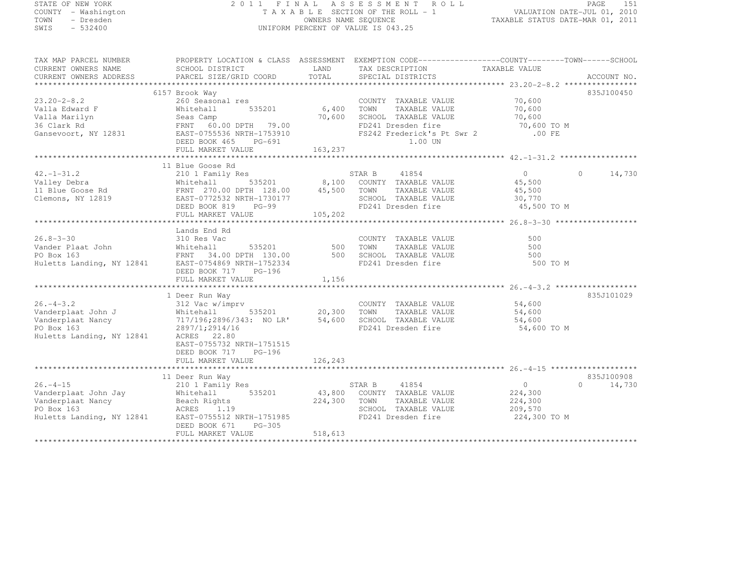# STATE OF NEW YORK 2 0 1 1 F I N A L A S S E S S M E N T R O L L PAGE <sup>151</sup> COUNTY - Washington T A X A B L E SECTION OF THE ROLL - 1 VALUATION DATE-JUL 01, 2010 TOWN - Dresden OWNERS NAME SEQUENCE TAXABLE STATUS DATE-MAR 01, 2011<br>- TRESDEN ON THE SEQUENCE TO A SECUENCE TO BE SERVED ON THE SEQUENCE OF SEXUE OF THE STATUS DATE MAR 01, 2011 SWIS - 532400 UNIFORM PERCENT OF VALUE IS 043.25

TAX MAP PARCEL NUMBER PROPERTY LOCATION & CLASS ASSESSMENT EXEMPTION CODE------------------COUNTY--------TOWN------SCHOOL

| CURRENT OWNERS NAME       | SCHOOL DISTRICT           | LAND    | TAX DESCRIPTION            | TAXABLE VALUE |                    |
|---------------------------|---------------------------|---------|----------------------------|---------------|--------------------|
| CURRENT OWNERS ADDRESS    | PARCEL SIZE/GRID COORD    | TOTAL   | SPECIAL DISTRICTS          |               | ACCOUNT NO.        |
|                           |                           |         |                            |               |                    |
|                           | 6157 Brook Way            |         |                            |               | 835J100450         |
| $23.20 - 2 - 8.2$         | 260 Seasonal res          |         | COUNTY TAXABLE VALUE       | 70,600        |                    |
| Valla Edward F            | 535201<br>Whitehall       | 6,400   | TOWN<br>TAXABLE VALUE      | 70,600        |                    |
| Valla Marilyn             | Seas Camp                 | 70,600  | SCHOOL TAXABLE VALUE       | 70,600        |                    |
| 36 Clark Rd               | FRNT 60.00 DPTH 79.00     |         | FD241 Dresden fire         | 70,600 TO M   |                    |
| Gansevoort, NY 12831      | EAST-0755536 NRTH-1753910 |         | FS242 Frederick's Pt Swr 2 | .00 FE        |                    |
|                           | DEED BOOK 465<br>PG-691   |         | 1.00 UN                    |               |                    |
|                           | FULL MARKET VALUE         | 163,237 |                            |               |                    |
|                           | 11 Blue Goose Rd          |         |                            |               |                    |
| $42. - 1 - 31.2$          | 210 1 Family Res          |         | STAR B<br>41854            | $\circ$       | $\Omega$<br>14,730 |
| Valley Debra              | 535201<br>Whitehall       | 8,100   | COUNTY TAXABLE VALUE       | 45,500        |                    |
| 11 Blue Goose Rd          | FRNT 270.00 DPTH 128.00   | 45,500  | TOWN<br>TAXABLE VALUE      | 45,500        |                    |
| Clemons, NY 12819         | EAST-0772532 NRTH-1730177 |         | SCHOOL TAXABLE VALUE       | 30,770        |                    |
|                           | DEED BOOK 819<br>$PG-99$  |         | FD241 Dresden fire         | 45,500 TO M   |                    |
|                           | FULL MARKET VALUE         | 105,202 |                            |               |                    |
|                           |                           |         |                            |               |                    |
|                           | Lands End Rd              |         |                            |               |                    |
| $26.8 - 3 - 30$           | 310 Res Vac               |         | COUNTY TAXABLE VALUE       | 500           |                    |
| Vander Plaat John         | Whitehall<br>535201       | 500     | TOWN<br>TAXABLE VALUE      | 500           |                    |
| PO Box 163                | FRNT 34.00 DPTH 130.00    | 500     | SCHOOL TAXABLE VALUE       | 500           |                    |
| Huletts Landing, NY 12841 | EAST-0754869 NRTH-1752334 |         | FD241 Dresden fire         | 500 TO M      |                    |
|                           | DEED BOOK 717<br>PG-196   |         |                            |               |                    |
|                           | FULL MARKET VALUE         | 1,156   |                            |               |                    |
|                           |                           |         |                            |               |                    |
|                           | 1 Deer Run Way            |         |                            |               | 835J101029         |
| $26. - 4 - 3.2$           | 312 Vac w/imprv           |         | COUNTY TAXABLE VALUE       | 54,600        |                    |
| Vanderplaat John J        | Whitehall<br>535201       | 20,300  | TOWN<br>TAXABLE VALUE      | 54,600        |                    |
| Vanderplaat Nancy         | 717/196;2896/343: NO LR'  | 54,600  | SCHOOL TAXABLE VALUE       | 54,600        |                    |
| PO Box 163                | 2897/1;2914/16            |         | FD241 Dresden fire         | 54,600 TO M   |                    |
| Huletts Landing, NY 12841 | ACRES 22.80               |         |                            |               |                    |
|                           | EAST-0755732 NRTH-1751515 |         |                            |               |                    |
|                           | DEED BOOK 717<br>$PG-196$ |         |                            |               |                    |
|                           |                           |         |                            |               |                    |
|                           |                           |         |                            |               |                    |
|                           | 11 Deer Run Way           |         |                            |               | 835J100908         |
| $26. - 4 - 15$            | 210 1 Family Res          |         | STAR B<br>41854            | $\circ$       | $\Omega$<br>14,730 |
| Vanderplaat John Jay      | 535201<br>Whitehall       | 43,800  | COUNTY TAXABLE VALUE       | 224,300       |                    |
| Vanderplaat Nancy         | Beach Rights              | 224,300 | TOWN<br>TAXABLE VALUE      | 224,300       |                    |
| PO Box 163                | ACRES<br>1.19             |         | SCHOOL TAXABLE VALUE       | 209,570       |                    |
| Huletts Landing, NY 12841 | EAST-0755512 NRTH-1751985 |         | FD241 Dresden fire         | 224,300 TO M  |                    |
|                           | PG-305<br>DEED BOOK 671   |         |                            |               |                    |
|                           | FULL MARKET VALUE         | 518,613 |                            |               |                    |
|                           |                           |         |                            |               |                    |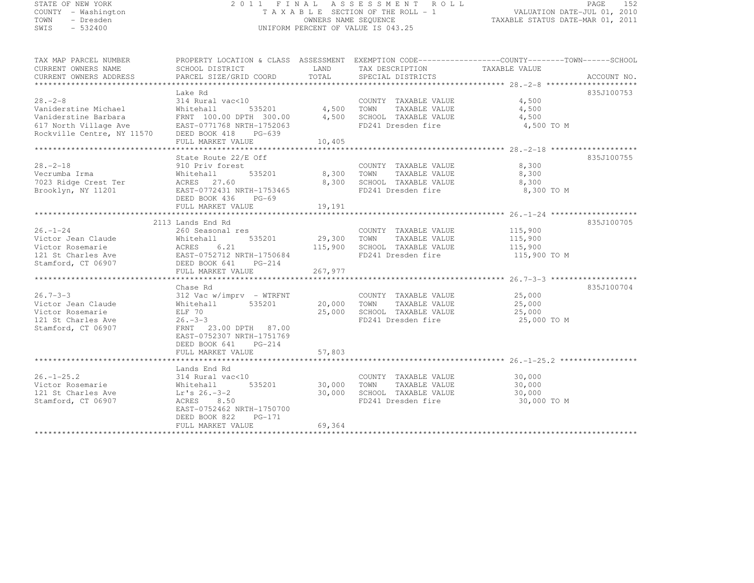# STATE OF NEW YORK 2 0 1 1 F I N A L A S S E S S M E N T R O L L PAGE <sup>152</sup> COUNTY - Washington T A X A B L E SECTION OF THE ROLL - 1 VALUATION DATE-JUL 01, 2010 TOWN - Dresden OWNERS NAME SEQUENCE TAXABLE STATUS DATE-MAR 01, 2011<br>- TRESDEN ON THE SEQUENCE TO A SECUENCE TO BE SERVED ON THE SEQUENCE OF SEXUE OF THE STATUS DATE MAR 01, 2011 SWIS - 532400 UNIFORM PERCENT OF VALUE IS 043.25

| TAX MAP PARCEL NUMBER                                                                                                                                       | PROPERTY LOCATION & CLASS ASSESSMENT EXEMPTION CODE----------------COUNTY-------TOWN------SCHOOL |             |                                                                                                                                                                                                                                                       |                     |            |
|-------------------------------------------------------------------------------------------------------------------------------------------------------------|--------------------------------------------------------------------------------------------------|-------------|-------------------------------------------------------------------------------------------------------------------------------------------------------------------------------------------------------------------------------------------------------|---------------------|------------|
| CURRENT OWNERS NAME                                                                                                                                         |                                                                                                  |             | TAX DESCRIPTION                                                                                                                                                                                                                                       | TAXABLE VALUE       |            |
| CURRENT OWNERS ADDRESS                                                                                                                                      |                                                                                                  |             |                                                                                                                                                                                                                                                       |                     |            |
|                                                                                                                                                             |                                                                                                  |             |                                                                                                                                                                                                                                                       |                     |            |
|                                                                                                                                                             | Lake Rd                                                                                          |             |                                                                                                                                                                                                                                                       |                     | 835J100753 |
| $28 - 2 - 8$                                                                                                                                                | 314 Rural vac<10                                                                                 |             | $\begin{array}{ccccccccc}\n & & & & & & \text{COUNTY} & \text{TAXABLE VALUE} & & & & & 4,500 \\  & & & & & 4,500 & \text{TOWN} & & & & \text{TAXABLE VALUE} & & & & 4,500 \\  & & & & & & & & & & 4,500 \\ \end{array}$<br>COUNTY TAXABLE VALUE 4,500 |                     |            |
| Vaniderstine Michael                                                                                                                                        | Whitehall                                                                                        |             |                                                                                                                                                                                                                                                       |                     |            |
|                                                                                                                                                             |                                                                                                  |             |                                                                                                                                                                                                                                                       | 4,500               |            |
|                                                                                                                                                             |                                                                                                  |             |                                                                                                                                                                                                                                                       | 4,500 TO M          |            |
|                                                                                                                                                             |                                                                                                  |             |                                                                                                                                                                                                                                                       |                     |            |
|                                                                                                                                                             |                                                                                                  |             |                                                                                                                                                                                                                                                       |                     |            |
|                                                                                                                                                             |                                                                                                  |             |                                                                                                                                                                                                                                                       |                     |            |
|                                                                                                                                                             | State Route 22/E Off                                                                             |             |                                                                                                                                                                                                                                                       |                     | 835J100755 |
| $28. - 2 - 18$                                                                                                                                              |                                                                                                  |             |                                                                                                                                                                                                                                                       |                     |            |
|                                                                                                                                                             | 910 Priv forest                                                                                  |             | COUNTY TAXABLE VALUE                                                                                                                                                                                                                                  | 8,300               |            |
|                                                                                                                                                             | 535201 8,300 TOWN                                                                                |             |                                                                                                                                                                                                                                                       | TAXABLE VALUE 8,300 |            |
|                                                                                                                                                             |                                                                                                  |             | 8,300 SCHOOL TAXABLE VALUE                                                                                                                                                                                                                            | 8,300               |            |
|                                                                                                                                                             |                                                                                                  |             | FD241 Dresden fire                                                                                                                                                                                                                                    | 8,300 TO M          |            |
|                                                                                                                                                             | DEED BOOK 436<br>$PG-69$                                                                         |             |                                                                                                                                                                                                                                                       |                     |            |
|                                                                                                                                                             | FULL MARKET VALUE                                                                                | 19,191      |                                                                                                                                                                                                                                                       |                     |            |
|                                                                                                                                                             |                                                                                                  |             |                                                                                                                                                                                                                                                       |                     |            |
|                                                                                                                                                             | 2113 Lands End Rd                                                                                |             |                                                                                                                                                                                                                                                       |                     | 835J100705 |
| $26. - 1 - 24$                                                                                                                                              | 260 Seasonal res                                                                                 |             | COUNTY TAXABLE VALUE 115,900                                                                                                                                                                                                                          |                     |            |
|                                                                                                                                                             |                                                                                                  |             |                                                                                                                                                                                                                                                       |                     |            |
| Victor Jean Claude<br>Victor Rosemarie (1994) Mitchall 535201<br>121 St Charles Ave (1995-1202) NRTH-1750684<br>121 St Charles Ave (1996-1203) NRTH-1750684 |                                                                                                  |             | 535201 29,300 TOWN TAXABLE VALUE 115,900<br>21 115,900 SCHOOL TAXABLE VALUE 115,900<br>115,900 SCHOOL TAXABLE VALUE<br>FD241 Dresden fire                                                                                                             |                     |            |
|                                                                                                                                                             |                                                                                                  |             | FD241 Dresden fire 115,900 TO M                                                                                                                                                                                                                       |                     |            |
| Stamford, CT 06907 DEED BOOK 641 PG-214                                                                                                                     |                                                                                                  |             |                                                                                                                                                                                                                                                       |                     |            |
|                                                                                                                                                             |                                                                                                  |             |                                                                                                                                                                                                                                                       |                     |            |
|                                                                                                                                                             |                                                                                                  |             |                                                                                                                                                                                                                                                       |                     |            |
|                                                                                                                                                             | Chase Rd                                                                                         |             |                                                                                                                                                                                                                                                       |                     | 835J100704 |
| $26.7 - 3 - 3$                                                                                                                                              | 312 Vac w/imprv - WTRFNT                                                                         |             | COUNTY TAXABLE VALUE 25,000                                                                                                                                                                                                                           |                     |            |
| Victor Jean Claude                                                                                                                                          | Whitehall 535201                                                                                 | 20,000 TOWN | TAXABLE VALUE                                                                                                                                                                                                                                         | 25,000              |            |
| Victor Rosemarie                                                                                                                                            | ELF 70                                                                                           |             | 25,000 SCHOOL TAXABLE VALUE                                                                                                                                                                                                                           | 25,000              |            |
| 121 St Charles Ave                                                                                                                                          | $26. - 3 - 3$                                                                                    |             | FD241 Dresden fire                                                                                                                                                                                                                                    | 25,000 TO M         |            |
|                                                                                                                                                             |                                                                                                  |             |                                                                                                                                                                                                                                                       |                     |            |
| Stamford, CT 06907                                                                                                                                          | FRNT 23.00 DPTH 87.00                                                                            |             |                                                                                                                                                                                                                                                       |                     |            |
|                                                                                                                                                             | EAST-0752307 NRTH-1751769                                                                        |             |                                                                                                                                                                                                                                                       |                     |            |
|                                                                                                                                                             | DEED BOOK 641 PG-214                                                                             |             |                                                                                                                                                                                                                                                       |                     |            |
|                                                                                                                                                             |                                                                                                  |             |                                                                                                                                                                                                                                                       |                     |            |
|                                                                                                                                                             |                                                                                                  |             |                                                                                                                                                                                                                                                       |                     |            |
|                                                                                                                                                             | Lands End Rd                                                                                     |             |                                                                                                                                                                                                                                                       |                     |            |
| $26. - 1 - 25.2$                                                                                                                                            | 314 Rural vac<10                                                                                 |             | COUNTY TAXABLE VALUE 30,000                                                                                                                                                                                                                           |                     |            |
| Victor Rosemarie                                                                                                                                            | 535201 30,000<br>Whitehall<br>Lr's 26.-3-2                                                       |             | TOWN<br>TAXABLE VALUE                                                                                                                                                                                                                                 | 30,000              |            |
| 121 St Charles Ave                                                                                                                                          |                                                                                                  | 30,000      | SCHOOL TAXABLE VALUE                                                                                                                                                                                                                                  | 30,000              |            |
| Stamford, CT 06907                                                                                                                                          | ACRES 8.50                                                                                       |             | FD241 Dresden fire                                                                                                                                                                                                                                    | 30,000 TO M         |            |
|                                                                                                                                                             | EAST-0752462 NRTH-1750700                                                                        |             |                                                                                                                                                                                                                                                       |                     |            |
|                                                                                                                                                             | DEED BOOK 822<br>PG-171                                                                          |             |                                                                                                                                                                                                                                                       |                     |            |
|                                                                                                                                                             | FULL MARKET VALUE                                                                                | 69,364      |                                                                                                                                                                                                                                                       |                     |            |
|                                                                                                                                                             |                                                                                                  |             |                                                                                                                                                                                                                                                       |                     |            |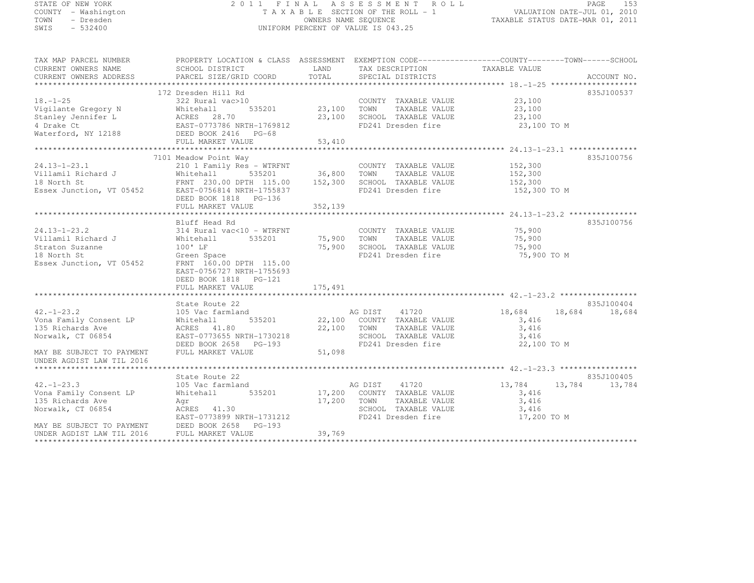# STATE OF NEW YORK 2 0 1 1 F I N A L A S S E S S M E N T R O L L PAGE <sup>153</sup> COUNTY - Washington T A X A B L E SECTION OF THE ROLL - 1 VALUATION DATE-JUL 01, 2010 TOWN - Dresden OWNERS NAME SEQUENCE TAXABLE STATUS DATE-MAR 01, 2011<br>- TRESDEN ON THE SEQUENCE TO A SECUENCE TO BE SERVED ON THE SEQUENCE OF SEXUE OF THE STATUS DATE MAR 01, 2011 SWIS - 532400 UNIFORM PERCENT OF VALUE IS 043.25

| TAX MAP PARCEL NUMBER                                                                                                                                                                                                                                         | PROPERTY LOCATION & CLASS ASSESSMENT EXEMPTION CODE----------------COUNTY-------TOWN-----SCHOOL |             |                                                            |                       |               |
|---------------------------------------------------------------------------------------------------------------------------------------------------------------------------------------------------------------------------------------------------------------|-------------------------------------------------------------------------------------------------|-------------|------------------------------------------------------------|-----------------------|---------------|
| CURRENT OWNERS NAME                                                                                                                                                                                                                                           | SCHOOL DISTRICT                                                                                 | LAND        | TAX DESCRIPTION                                            | TAXABLE VALUE         |               |
|                                                                                                                                                                                                                                                               |                                                                                                 |             |                                                            |                       |               |
|                                                                                                                                                                                                                                                               | 172 Dresden Hill Rd                                                                             |             |                                                            |                       | 835J100537    |
| $18. - 1 - 25$                                                                                                                                                                                                                                                | 322 Rural vac>10                                                                                |             | COUNTY TAXABLE VALUE 23,100                                |                       |               |
| Vigilante Gregory N                                                                                                                                                                                                                                           |                                                                                                 |             | TAXABLE VALUE                                              | 23,100                |               |
| Stanley Jennifer L                                                                                                                                                                                                                                            |                                                                                                 |             | 23,100 SCHOOL TAXABLE VALUE                                | 23,100                |               |
| 4 Drake Ct                                                                                                                                                                                                                                                    |                                                                                                 |             | FD241 Dresden fire                                         | 23,100 TO M           |               |
| Waterford, NY 12188                                                                                                                                                                                                                                           | Whitehall 535201<br>ACRES 28.70<br>EAST-0773786 NRTH-1769812<br>DEED BOOK 2416 PG-68            |             |                                                            |                       |               |
|                                                                                                                                                                                                                                                               | FULL MARKET VALUE                                                                               | 53,410      |                                                            |                       |               |
|                                                                                                                                                                                                                                                               |                                                                                                 |             |                                                            |                       |               |
|                                                                                                                                                                                                                                                               | 7101 Meadow Point Way                                                                           |             |                                                            |                       | 835J100756    |
| $24.13 - 1 - 23.1$                                                                                                                                                                                                                                            | 210 1 Family Res - WTRFNT COUNT<br>Whitehall 535201 36,800 TOWN                                 |             | COUNTY TAXABLE VALUE 152,300<br>TOWN TAXABLE VALUE 152,300 |                       |               |
| Villamil Richard J                                                                                                                                                                                                                                            |                                                                                                 |             |                                                            |                       |               |
|                                                                                                                                                                                                                                                               |                                                                                                 |             |                                                            |                       |               |
| 18 North St<br>18 North St<br>Essex Junction, VT 05452<br>Essex Junction, VT 05452<br>Essex Junction, VT 05452<br>Essex Junction, VT 05452<br>Essex Junction, VT 05452<br>$\frac{152,300}{152,300}$<br>$\frac{152,300}{152,300}$<br>$\frac{152,300}{152,300}$ |                                                                                                 |             |                                                            | 152,300 TO M          |               |
|                                                                                                                                                                                                                                                               | DEED BOOK 1818 PG-136                                                                           |             |                                                            |                       |               |
|                                                                                                                                                                                                                                                               | FULL MARKET VALUE                                                                               | 352, 139    |                                                            |                       |               |
|                                                                                                                                                                                                                                                               |                                                                                                 |             |                                                            |                       |               |
| $24.13 - 1 - 23.2$                                                                                                                                                                                                                                            | Bluff Head Rd<br>314 Rural vac<10 - WTRFNT                                                      |             | COUNTY TAXABLE VALUE 75,900                                |                       | 835J100756    |
| Villamil Richard J                                                                                                                                                                                                                                            | 535201 75,900 TOWN                                                                              |             | TAXABLE VALUE                                              |                       |               |
| Straton Suzanne                                                                                                                                                                                                                                               | Whitehall<br>$100'$ LF                                                                          |             | 75,900 SCHOOL TAXABLE VALUE                                | 75,900                |               |
| a Tanzania (1999)<br>18 North St                                                                                                                                                                                                                              | Green Space<br>Green Space                                                                      |             | FD241 Dresden fire                                         | 75,900<br>75,900 TO M |               |
|                                                                                                                                                                                                                                                               | FRNT 160.00 DPTH 115.00                                                                         |             |                                                            |                       |               |
| Essex Junction, VT 05452                                                                                                                                                                                                                                      | EAST-0756727 NRTH-1755693                                                                       |             |                                                            |                       |               |
|                                                                                                                                                                                                                                                               | DEED BOOK 1818 PG-121                                                                           |             |                                                            |                       |               |
|                                                                                                                                                                                                                                                               |                                                                                                 |             |                                                            |                       |               |
|                                                                                                                                                                                                                                                               |                                                                                                 |             |                                                            |                       |               |
|                                                                                                                                                                                                                                                               | State Route 22                                                                                  |             |                                                            |                       | 835J100404    |
| $42. - 1 - 23.2$                                                                                                                                                                                                                                              | 105 Vac farmland                                                                                |             | AG DIST 41720                                              | 18,684                | 18,684 18,684 |
| Vona Family Consent LP                                                                                                                                                                                                                                        | Whitehall                                                                                       |             | 535201 22,100 COUNTY TAXABLE VALUE                         | 3,416                 |               |
| 135 Richards Ave                                                                                                                                                                                                                                              | ACRES 41.80                                                                                     |             | 22,100 TOWN<br>TAXABLE VALUE                               | 3,416                 |               |
| Norwalk, CT 06854                                                                                                                                                                                                                                             | EAST-0773655 NRTH-1730218                                                                       |             | SCHOOL TAXABLE VALUE                                       | 3,416                 |               |
|                                                                                                                                                                                                                                                               | DEED BOOK 2658 PG-193                                                                           |             | FD241 Dresden fire                                         | 22,100 TO M           |               |
| MAY BE SUBJECT TO PAYMENT                                                                                                                                                                                                                                     | FULL MARKET VALUE                                                                               | 51,098      |                                                            |                       |               |
| UNDER AGDIST LAW TIL 2016                                                                                                                                                                                                                                     |                                                                                                 |             |                                                            |                       |               |
|                                                                                                                                                                                                                                                               |                                                                                                 |             |                                                            |                       |               |
|                                                                                                                                                                                                                                                               | State Route 22                                                                                  |             |                                                            |                       | 835J100405    |
| $42. - 1 - 23.3$                                                                                                                                                                                                                                              | 105 Vac farmland                                                                                |             | AG DIST 41720                                              | 13,784                | 13,784 13,784 |
| Vona Family Consent LP                                                                                                                                                                                                                                        | Whitehall                                                                                       |             | 535201 17,200 COUNTY TAXABLE VALUE                         | 3,416                 |               |
| 135 Richards Ave                                                                                                                                                                                                                                              | Aqr                                                                                             | 17,200 TOWN | TAXABLE VALUE                                              | 3,416                 |               |
| Norwalk, CT 06854                                                                                                                                                                                                                                             | $ACRES$ 41.30                                                                                   |             | SCHOOL TAXABLE VALUE                                       | 3,416                 |               |
|                                                                                                                                                                                                                                                               | EAST-0773899 NRTH-1731212                                                                       |             | FD241 Dresden fire                                         | 17,200 TO M           |               |
| MAY BE SUBJECT TO PAYMENT                                                                                                                                                                                                                                     | DEED BOOK 2658 PG-193                                                                           |             |                                                            |                       |               |
| UNDER AGDIST LAW TIL 2016                                                                                                                                                                                                                                     | FULL MARKET VALUE                                                                               | 39,769      |                                                            |                       |               |
|                                                                                                                                                                                                                                                               |                                                                                                 |             |                                                            |                       |               |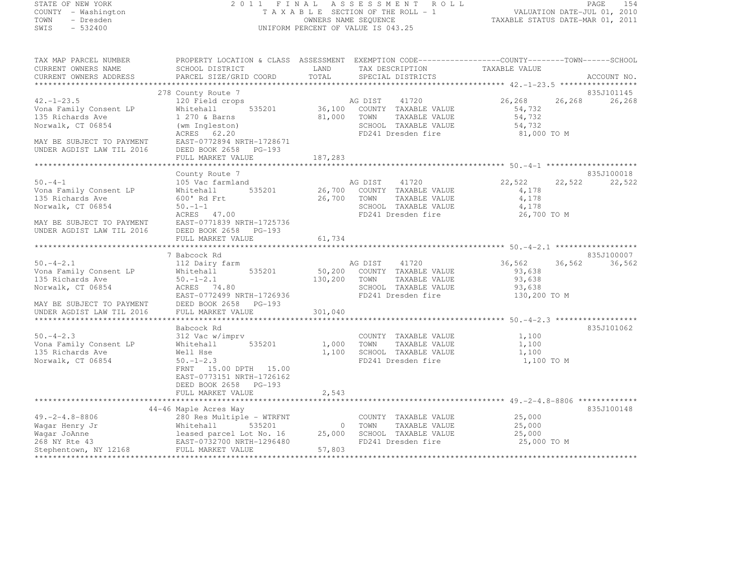# STATE OF NEW YORK 2 0 1 1 F I N A L A S S E S S M E N T R O L L PAGE <sup>154</sup> COUNTY - Washington T A X A B L E SECTION OF THE ROLL - 1 VALUATION DATE-JUL 01, 2010 TOWN - Dresden OWNERS NAME SEQUENCE TAXABLE STATUS DATE-MAR 01, 2011<br>- TRESDEN ON THE SEQUENCE TO A SECUENCE TO BE SERVED ON THE SEQUENCE OF SEXUE OF THE STATUS DATE MAR 01, 2011 SWIS - 532400 UNIFORM PERCENT OF VALUE IS 043.25

| TAX MAP PARCEL NUMBER<br>CURRENT OWNERS NAME<br>CURRENT OWNERS ADDRESS                                                                      | SCHOOL DISTRICT<br>PARCEL SIZE/GRID COORD                                                                                                                          | LAND<br>TOTAL    | PROPERTY LOCATION & CLASS ASSESSMENT EXEMPTION CODE-----------------COUNTY-------TOWN------SCHOOL<br>TAX DESCRIPTION<br>SPECIAL DISTRICTS | TAXABLE VALUE                                        |        | ACCOUNT NO. |
|---------------------------------------------------------------------------------------------------------------------------------------------|--------------------------------------------------------------------------------------------------------------------------------------------------------------------|------------------|-------------------------------------------------------------------------------------------------------------------------------------------|------------------------------------------------------|--------|-------------|
|                                                                                                                                             |                                                                                                                                                                    |                  |                                                                                                                                           |                                                      |        |             |
|                                                                                                                                             | 278 County Route 7                                                                                                                                                 |                  |                                                                                                                                           |                                                      |        | 835J101145  |
| $42. - 1 - 23.5$<br>Vona Family Consent LP<br>135 Richards Ave                                                                              | 120 Field crops<br>535201<br>Whitehall<br>1 270 & Barns                                                                                                            | 81,000 TOWN      | AG DIST 41720<br>36,100 COUNTY TAXABLE VALUE<br>TAXABLE VALUE                                                                             | 26,268<br>54,732<br>54,732                           | 26,268 | 26,268      |
| Norwalk, CT 06854                                                                                                                           | (wm Ingleston)<br>ACRES 62.20                                                                                                                                      |                  | SCHOOL TAXABLE VALUE<br>FD241 Dresden fire                                                                                                | 54,732<br>81,000 TO M                                |        |             |
| MAY BE SUBJECT TO PAYMENT<br>UNDER AGDIST LAW TIL 2016                                                                                      | EAST-0772894 NRTH-1728671<br>DEED BOOK 2658 PG-193<br>FULL MARKET VALUE                                                                                            | 187,283          |                                                                                                                                           |                                                      |        |             |
|                                                                                                                                             |                                                                                                                                                                    |                  |                                                                                                                                           |                                                      |        |             |
|                                                                                                                                             | County Route 7                                                                                                                                                     |                  |                                                                                                                                           |                                                      |        | 835J100018  |
| $50. -4 - 1$<br>Vona Family Consent LP<br>135 Richards Ave<br>Norwalk, CT 06854<br>MAY BE SUBJECT TO PAYMENT                                | 105 Vac farmland<br>535201<br>Whitehall<br>600' Rd Frt<br>$50. -1 -1$<br>ACRES 47.00<br>EAST-0771839 NRTH-1725736                                                  | 26,700<br>26,700 | 41720<br>AG DIST<br>COUNTY TAXABLE VALUE<br>TOWN<br>TAXABLE VALUE<br>SCHOOL TAXABLE VALUE<br>FD241 Dresden fire                           | 22,522<br>4,178<br>4,178<br>4,178<br>26,700 TO M     | 22,522 | 22,522      |
| UNDER AGDIST LAW TIL 2016                                                                                                                   | DEED BOOK 2658 PG-193                                                                                                                                              |                  |                                                                                                                                           |                                                      |        |             |
|                                                                                                                                             | FULL MARKET VALUE                                                                                                                                                  | 61,734           |                                                                                                                                           |                                                      |        |             |
|                                                                                                                                             | 7 Babcock Rd                                                                                                                                                       |                  |                                                                                                                                           |                                                      |        | 835J100007  |
| $50. -4 - 2.1$<br>Vona Family Consent LP<br>135 Richards Ave<br>Norwalk, CT 06854<br>MAY BE SUBJECT TO PAYMENT<br>UNDER AGDIST LAW TIL 2016 | 112 Dairy farm<br>535201<br>Whitehall<br>$50. - 1 - 2.1$<br>ACRES 74.80<br>EAST-0772499 NRTH-1726936<br>DEED BOOK 2658 PG-193<br>FULL MARKET VALUE                 | 301,040          | AG DIST 41720<br>50,200 COUNTY TAXABLE VALUE<br>130,200 TOWN<br>TAXABLE VALUE<br>SCHOOL TAXABLE VALUE<br>FD241 Dresden fire               | 36,562<br>93.638<br>93,638<br>93,638<br>130,200 TO M | 36,562 | 36,562      |
|                                                                                                                                             |                                                                                                                                                                    |                  |                                                                                                                                           |                                                      |        |             |
| $50. -4 - 2.3$<br>Vona Family Consent LP<br>135 Richards Ave<br>Norwalk, CT 06854                                                           | Babcock Rd<br>312 Vac w/imprv<br>535201<br>Whitehall<br>Well Hse<br>$50. - 1 - 2.3$<br>FRNT 15.00 DPTH 15.00<br>EAST-0773151 NRTH-1726162<br>DEED BOOK 2658 PG-193 | 1,100            | COUNTY TAXABLE VALUE<br>1,000 TOWN<br>TAXABLE VALUE<br>SCHOOL TAXABLE VALUE<br>FD241 Dresden fire                                         | 1,100<br>1,100<br>1,100<br>1,100 TO M                |        | 835J101062  |
|                                                                                                                                             | FULL MARKET VALUE                                                                                                                                                  | 2,543            |                                                                                                                                           |                                                      |        |             |
|                                                                                                                                             |                                                                                                                                                                    |                  | ************************************ 49.-2-4.8-8806 **************                                                                        |                                                      |        |             |
|                                                                                                                                             | 44-46 Maple Acres Way                                                                                                                                              |                  |                                                                                                                                           |                                                      |        | 835J100148  |
| $49. -2 - 4.8 - 8806$<br>Waqar Henry Jr<br>Waqar JoAnne                                                                                     | 280 Res Multiple - WTRFNT<br>Whitehall<br>535201<br>leased parcel Lot No. 16 25,000                                                                                |                  | COUNTY TAXABLE VALUE<br>0 TOWN<br>TAXABLE VALUE<br>SCHOOL TAXABLE VALUE                                                                   | 25,000<br>25,000<br>25,000                           |        |             |
| 268 NY Rte 43<br>Stephentown, NY 12168                                                                                                      | EAST-0732700 NRTH-1296480<br>FULL MARKET VALUE                                                                                                                     | 57,803           | FD241 Dresden fire                                                                                                                        | 25,000 TO M                                          |        |             |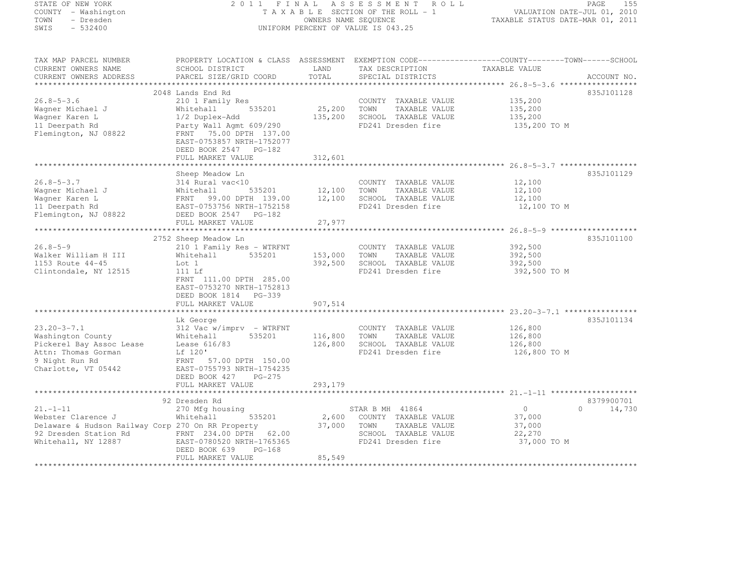STATE OF NEW YORK 2 0 1 1 F I N A L A S S E S S M E N T R O L L PAGE <sup>155</sup> COUNTY - Washington T A X A B L E SECTION OF THE ROLL - 1 VALUATION DATE-JUL 01, 2010 TOWN - Dresden OWNERS NAME SEQUENCE TAXABLE STATUS DATE-MAR 01, 2011<br>- TRESDEN ON THE SEQUENCE TO A SECUENCE TO BE SERVED ON THE SEQUENCE OF SEXUE OF THE STATUS DATE MAR 01, 2011 SIALE OF NEW LONG<br>
COUNTY – Washington<br>
TAXABLE SECTION OF THE ROLL –<br>
TOWN – Dresden<br>
SWIS – 532400 TAX MAP PARCEL NUMBER PROPERTY LOCATION & CLASS ASSESSMENT EXEMPTION CODE------------------COUNTY--------TOWN------SCHOOL CURRENT OWNERS NAME SCHOOL DISTRICT LAND TAX DESCRIPTION TAXABLE VALUE CURRENT OWNERS ADDRESS PARCEL SIZE/GRID COORD TOTAL SPECIAL DISTRICTS ACCOUNT NO. \*\*\*\*\*\*\*\*\*\*\*\*\*\*\*\*\*\*\*\*\*\*\*\*\*\*\*\*\*\*\*\*\*\*\*\*\*\*\*\*\*\*\*\*\*\*\*\*\*\*\*\*\*\*\*\*\*\*\*\*\*\*\*\*\*\*\*\*\*\*\*\*\*\*\*\*\*\*\*\*\*\*\*\*\*\*\*\*\*\*\*\*\*\*\*\*\*\*\*\*\*\*\* 26.8-5-3.6 \*\*\*\*\*\*\*\*\*\*\*\*\*\*\*\*\*835J101128 2048 Lands End Rd 835J10112826.8-5-3.6 210 1 Family Res COUNTY TAXABLE VALUE 135,200 Wagner Michael J Whitehall 535201 25,200 TOWN TAXABLE VALUE 135,200 Wagner Karen L 1/2 Duplex-Add 135,200 SCHOOL TAXABLE VALUE 135,200 11 Deerpath Rd Party Wall Agmt 609/290 FD241 Dresden fire 135,200 TO M

| Flemington, NJ 08822                              | FRNT<br>75.00 DPTH 137.00<br>EAST-0753857 NRTH-1752077<br>DEED BOOK 2547 PG-182<br>FULL MARKET VALUE | 312,601 |                       |                     |            |
|---------------------------------------------------|------------------------------------------------------------------------------------------------------|---------|-----------------------|---------------------|------------|
|                                                   |                                                                                                      |         |                       |                     |            |
|                                                   | Sheep Meadow Ln                                                                                      |         |                       |                     | 835J101129 |
| $26.8 - 5 - 3.7$                                  | 314 Rural vac<10                                                                                     |         | COUNTY TAXABLE VALUE  | 12,100              |            |
| Wagner Michael J                                  | Whitehall<br>535201                                                                                  | 12,100  | TOWN<br>TAXABLE VALUE | 12,100              |            |
| Waqner Karen L                                    | 99.00 DPTH 139.00<br>FRNT                                                                            | 12,100  | SCHOOL TAXABLE VALUE  | 12,100              |            |
| 11 Deerpath Rd                                    | EAST-0753756 NRTH-1752158                                                                            |         | FD241 Dresden fire    | 12,100 TO M         |            |
| Flemington, NJ 08822                              | DEED BOOK 2547 PG-182                                                                                |         |                       |                     |            |
|                                                   | FULL MARKET VALUE                                                                                    | 27,977  |                       |                     |            |
|                                                   |                                                                                                      |         |                       |                     |            |
|                                                   | 2752 Sheep Meadow Ln                                                                                 |         |                       |                     | 835J101100 |
| $26.8 - 5 - 9$                                    | 210 1 Family Res - WTRFNT                                                                            |         | COUNTY TAXABLE VALUE  | 392,500             |            |
| Walker William H III                              | 535201<br>Whitehall                                                                                  | 153,000 | TOWN<br>TAXABLE VALUE | 392,500             |            |
| 1153 Route 44-45                                  | Lot 1                                                                                                | 392,500 | SCHOOL TAXABLE VALUE  | 392,500             |            |
| Clintondale, NY 12515                             | 111 Lf                                                                                               |         | FD241 Dresden fire    | 392,500 TO M        |            |
|                                                   | FRNT 111.00 DPTH 285.00                                                                              |         |                       |                     |            |
|                                                   | EAST-0753270 NRTH-1752813                                                                            |         |                       |                     |            |
|                                                   | DEED BOOK 1814 PG-339<br>FULL MARKET VALUE                                                           |         |                       |                     |            |
|                                                   |                                                                                                      | 907,514 |                       |                     |            |
|                                                   | Lk George                                                                                            |         |                       |                     | 835J101134 |
| $23.20 - 3 - 7.1$                                 | $312$ Vac w/imprv - WTRFNT                                                                           |         | COUNTY TAXABLE VALUE  | 126,800             |            |
| Washington County                                 | 535201<br>Whitehall                                                                                  | 116,800 | TOWN<br>TAXABLE VALUE | 126,800             |            |
| Pickerel Bay Assoc Lease                          | Lease 616/83                                                                                         | 126,800 | SCHOOL TAXABLE VALUE  | 126,800             |            |
| Attn: Thomas Gorman                               | Lf 120'                                                                                              |         | FD241 Dresden fire    | 126,800 TO M        |            |
| 9 Night Run Rd                                    | 57.00 DPTH 150.00<br>FRNT                                                                            |         |                       |                     |            |
| Charlotte, VT 05442                               | EAST-0755793 NRTH-1754235                                                                            |         |                       |                     |            |
|                                                   | DEED BOOK 427<br>$PG-275$                                                                            |         |                       |                     |            |
|                                                   | FULL MARKET VALUE                                                                                    | 293,179 |                       |                     |            |
|                                                   |                                                                                                      |         |                       |                     |            |
|                                                   | 92 Dresden Rd                                                                                        |         |                       |                     | 8379900701 |
| $21. - 1 - 11$                                    | 270 Mfg housing                                                                                      |         | STAR B MH 41864       | $\circ$<br>$\Omega$ | 14,730     |
| Webster Clarence J                                | Whitehall<br>535201                                                                                  | 2,600   | COUNTY TAXABLE VALUE  | 37,000              |            |
| Delaware & Hudson Railway Corp 270 On RR Property |                                                                                                      | 37,000  | TOWN<br>TAXABLE VALUE | 37,000              |            |
| 92 Dresden Station Rd                             | FRNT 234.00 DPTH<br>62.00                                                                            |         | SCHOOL TAXABLE VALUE  | 22,270              |            |
| Whitehall, NY 12887                               | EAST-0780520 NRTH-1765365                                                                            |         | FD241 Dresden fire    | 37,000 TO M         |            |
|                                                   | $PG-168$<br>DEED BOOK 639                                                                            |         |                       |                     |            |
|                                                   | FULL MARKET VALUE                                                                                    | 85,549  |                       |                     |            |
|                                                   |                                                                                                      |         |                       |                     |            |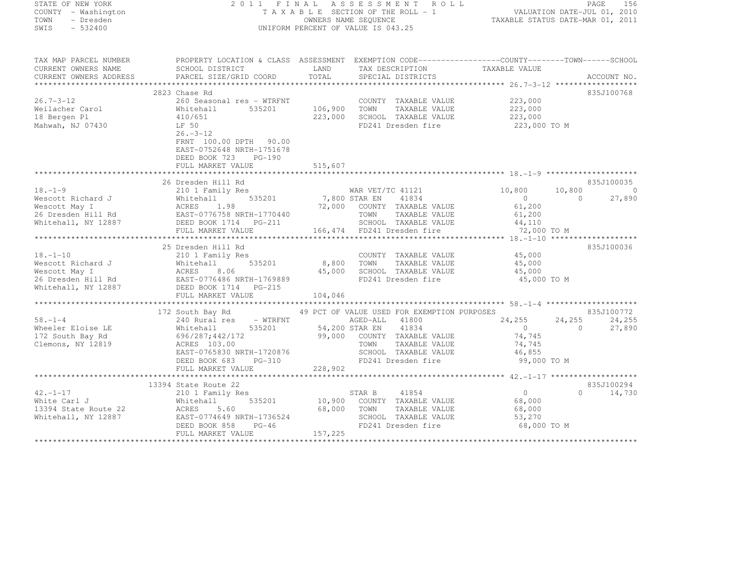| STATE OF NEW YORK   |  |           |
|---------------------|--|-----------|
| COUNTY - Washington |  |           |
| TOWN                |  | - Dresden |
| SWTS                |  | $-532400$ |

#### STATE OF NEW YORK 2 0 1 1 F I N A L A S S E S S M E N T R O L L PAGE <sup>156</sup> COUNTY - Washington T A X A B L E SECTION OF THE ROLL - 1 VALUATION DATE-JUL 01, 2010 TOWN - Dresden OWNERS NAME SEQUENCE TAXABLE STATUS DATE-MAR 01, 2011<br>- TRESDEN ON THE SEQUENCE TO A SECUENCE TO BE SERVED ON THE SEQUENCE OF SEXUE OF THE STATUS DATE MAR 01, 2011 SWIS - 532400 CONTRORM PERCENT OF VALUE IS 043.25

| TAX MAP PARCEL NUMBER                                                                                       | PROPERTY LOCATION & CLASS ASSESSMENT EXEMPTION CODE-----------------COUNTY-------TOWN------SCHOOL                                                                                                                                                    |            |                                                                           |                                  |                |
|-------------------------------------------------------------------------------------------------------------|------------------------------------------------------------------------------------------------------------------------------------------------------------------------------------------------------------------------------------------------------|------------|---------------------------------------------------------------------------|----------------------------------|----------------|
| CURRENT OWNERS NAME                                                                                         | SCHOOL DISTRICT                                                                                                                                                                                                                                      |            | LAND TAX DESCRIPTION TAXABLE VALUE                                        |                                  |                |
|                                                                                                             |                                                                                                                                                                                                                                                      |            |                                                                           |                                  |                |
|                                                                                                             |                                                                                                                                                                                                                                                      |            |                                                                           |                                  |                |
|                                                                                                             | 2823 Chase Rd                                                                                                                                                                                                                                        |            |                                                                           |                                  | 835J100768     |
| $26.7 - 3 - 12$                                                                                             | 260 Seasonal res - WTRFNT                                                                                                                                                                                                                            |            | COUNTY TAXABLE VALUE 223,000                                              |                                  |                |
| Weilacher Carol                                                                                             | Whitehall<br>535201                                                                                                                                                                                                                                  | 106,900    | TOWN<br>TAXABLE VALUE                                                     | 223,000                          |                |
| 18 Bergen Pl                                                                                                | 410/651                                                                                                                                                                                                                                              | 223,000    | SCHOOL TAXABLE VALUE                                                      | 223,000                          |                |
| Mahwah, NJ 07430                                                                                            | LF 50                                                                                                                                                                                                                                                |            |                                                                           | FD241 Dresden fire 223,000 TO M  |                |
|                                                                                                             | $26. - 3 - 12$                                                                                                                                                                                                                                       |            |                                                                           |                                  |                |
|                                                                                                             | FRNT 100.00 DPTH 90.00                                                                                                                                                                                                                               |            |                                                                           |                                  |                |
|                                                                                                             | EAST-0752648 NRTH-1751678                                                                                                                                                                                                                            |            |                                                                           |                                  |                |
|                                                                                                             | DEED BOOK 723 PG-190                                                                                                                                                                                                                                 |            |                                                                           |                                  |                |
|                                                                                                             |                                                                                                                                                                                                                                                      |            |                                                                           |                                  |                |
|                                                                                                             |                                                                                                                                                                                                                                                      |            |                                                                           |                                  |                |
|                                                                                                             | 26 Dresden Hill Rd                                                                                                                                                                                                                                   |            |                                                                           |                                  | 835J100035     |
| $18, -1 - 9$                                                                                                | 210 1 Family Res                                                                                                                                                                                                                                     |            | s<br>535201 7,800 STAR EN 41834                                           | 10,800<br>10,800                 | $\overline{0}$ |
|                                                                                                             | 18.-1-9<br>Wescott Richard J<br>Wescott May I<br>26 Dresden Hill Rd<br>Whitehall, NY 12887<br>26 Dresden Hill Rd<br>26 Dresden Hill Rd<br>26 Dresden Hill Rd<br>26 Dresden Hill Rd<br>26 Dresden Hill Rd<br>26 Dresden Hill Rd<br>26 Dresden Hill Rd |            |                                                                           | $\overline{0}$<br>$\overline{0}$ | 27,890         |
|                                                                                                             |                                                                                                                                                                                                                                                      |            | 72,000 COUNTY TAXABLE VALUE                                               | 61,200                           |                |
|                                                                                                             |                                                                                                                                                                                                                                                      |            | TOWN TAXABLE VALUE                                                        | 61,200                           |                |
|                                                                                                             |                                                                                                                                                                                                                                                      |            | SOHOOL TAXABLE VALUE 44,110                                               |                                  |                |
|                                                                                                             | FULL MARKET VALUE                                                                                                                                                                                                                                    |            | 166,474 FD241 Dresden fire                                                | 72,000 TO M                      |                |
|                                                                                                             |                                                                                                                                                                                                                                                      |            |                                                                           |                                  |                |
|                                                                                                             | 25 Dresden Hill Rd                                                                                                                                                                                                                                   |            |                                                                           |                                  | 835J100036     |
| $18. - 1 - 10$                                                                                              | 210 1 Family Res                                                                                                                                                                                                                                     |            | COUNTY TAXABLE VALUE 45,000                                               |                                  |                |
|                                                                                                             | Wescott Richard J<br>Wescott May I Mitehall 535201<br>26 Dresden Hill Rd EAST-0776486 NRTH-1769889<br>Whitehall, NY 12887 DEED BOOK 1714 PG-215<br>FIII MAPKET VALUE                                                                                 | 8,800 TOWN | TAXABLE VALUE                                                             | 45,000                           |                |
|                                                                                                             |                                                                                                                                                                                                                                                      |            | 45,000 SCHOOL TAXABLE VALUE 45,000<br>FD241 Dresden fire 45,000 TO M      |                                  |                |
|                                                                                                             |                                                                                                                                                                                                                                                      |            |                                                                           |                                  |                |
|                                                                                                             |                                                                                                                                                                                                                                                      |            |                                                                           |                                  |                |
|                                                                                                             | FULL MARKET VALUE                                                                                                                                                                                                                                    | 104,046    |                                                                           |                                  |                |
|                                                                                                             |                                                                                                                                                                                                                                                      |            |                                                                           |                                  |                |
|                                                                                                             | 172 South Bay Rd 49 PCT OF VALUE USED FOR EXEMPTION PURPOSES                                                                                                                                                                                         |            |                                                                           |                                  | 835J100772     |
| $58. - 1 - 4$                                                                                               |                                                                                                                                                                                                                                                      |            |                                                                           | $24, 255$ $24, 255$ 0            | 24,255         |
| Wheeler Eloise LE                                                                                           | Whitehall                                                                                                                                                                                                                                            |            |                                                                           |                                  | 27,890         |
|                                                                                                             | 172 South Bay Rd 696/287;442/172                                                                                                                                                                                                                     |            | 99,000 COUNTY TAXABLE VALUE                                               | 74,745                           |                |
| Clemons, NY 12819                                                                                           | Clemons, NY 12819 (CRES 103.00 TOWN TAXABLE VALUE 74, 745<br>EAST-0765830 NRTH-1720876 SCHOOL TAXABLE VALUE 46, 855<br>DEED BOOK 683 PG-310 228, 902<br>FULL MARKET VALUE 228, 902<br>FULL MARKET VALUE 228, 902                                     |            |                                                                           |                                  |                |
|                                                                                                             |                                                                                                                                                                                                                                                      |            |                                                                           |                                  |                |
|                                                                                                             |                                                                                                                                                                                                                                                      |            |                                                                           |                                  |                |
|                                                                                                             |                                                                                                                                                                                                                                                      |            |                                                                           |                                  |                |
|                                                                                                             |                                                                                                                                                                                                                                                      |            |                                                                           |                                  |                |
|                                                                                                             | 13394 State Route 22                                                                                                                                                                                                                                 |            |                                                                           |                                  | 835J100294     |
| $42. - 1 - 17$                                                                                              | 210 1 Family Res                                                                                                                                                                                                                                     |            | 41854<br>STAR B                                                           | $\overline{0}$                   | $0 \t 14,730$  |
| 42.-1-17 210 1<br>White Carl J Whiteh<br>13394 State Route 22 ACRES<br>Whitehall, NY 12887 EAST-0<br>PEST-0 | Whitehall                                                                                                                                                                                                                                            |            | 535201 10,900 COUNTY TAXABLE VALUE<br>60 68.000 70mm mayoring the transit | 68,000                           |                |
|                                                                                                             | 5.60                                                                                                                                                                                                                                                 |            |                                                                           | 68,000                           |                |
|                                                                                                             | EAST-0774649 NRTH-1736524<br>DEED BOOK 858 PG-46                                                                                                                                                                                                     |            | SCHOOL TAXABLE VALUE                                                      | 53,270                           |                |
|                                                                                                             |                                                                                                                                                                                                                                                      |            | FD241 Dresden fire                                                        | 68,000 TO M                      |                |
|                                                                                                             | FULL MARKET VALUE                                                                                                                                                                                                                                    | 157,225    |                                                                           |                                  |                |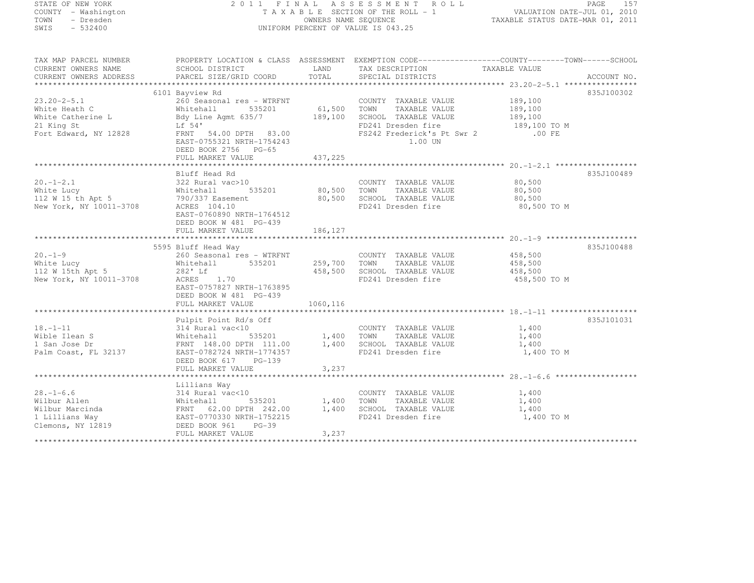| STATE OF NEW YORK       |                                                                                                                                             |             | 2011 FINAL ASSESSMENT ROLL                                  |                                  | PAGE 157    |
|-------------------------|---------------------------------------------------------------------------------------------------------------------------------------------|-------------|-------------------------------------------------------------|----------------------------------|-------------|
| COUNTY - Washington     |                                                                                                                                             |             | TAXABLE SECTION OF THE ROLL - 1 VALUATION DATE-JUL 01, 2010 |                                  |             |
| TOWN<br>- Dresden       |                                                                                                                                             |             | OWNERS NAME SEQUENCE                                        | TAXABLE STATUS DATE-MAR 01, 2011 |             |
| SWIS - 532400           |                                                                                                                                             |             | UNIFORM PERCENT OF VALUE IS 043.25                          |                                  |             |
|                         |                                                                                                                                             |             |                                                             |                                  |             |
|                         | TAX MAP PARCEL NUMBER THE PROPERTY LOCATION & CLASS ASSESSMENT EXEMPTION CODE---------------COUNTY--------TOWN------SCHOOL                  |             |                                                             |                                  |             |
|                         | CURRENT OWNERS NAME                 SCHOOL DISTRICT<br>CURRENT OWNERS ADDRESS             PARCEL SIZE/GRID COORD                            | LAND        | TAX DESCRIPTION TAXABLE VALUE                               |                                  |             |
|                         |                                                                                                                                             | TOTAL       | SPECIAL DISTRICTS                                           |                                  | ACCOUNT NO. |
|                         |                                                                                                                                             |             |                                                             |                                  |             |
|                         | 6101 Bayview Rd                                                                                                                             |             |                                                             |                                  | 835J100302  |
| $23.20 - 2 - 5.1$       | 260 Seasonal res - WTRFNT<br>260 Seasonal res – WTRFNT<br>Whitehall 535201 61<br>Bdy Line Agmt 635/7 189<br>Lf 54'<br>FRNT 54.00 DPTH 83.00 |             | COUNTY TAXABLE VALUE 189,100                                |                                  |             |
| White Heath C           |                                                                                                                                             | 61,500 TOWN | TAXABLE VALUE                                               | 189,100                          |             |
| White Catherine L       |                                                                                                                                             | 189,100     | SCHOOL TAXABLE VALUE                                        | 189,100                          |             |
| 21 King St              |                                                                                                                                             |             | FD241 Dresden fire                                          | 189,100 TO M                     |             |
| Fort Edward, NY 12828   |                                                                                                                                             |             | FS242 Frederick's Pt Swr 2                                  | $.00$ FE                         |             |
|                         | EAST-0755321 NRTH-1754243                                                                                                                   |             | 1.00 UN                                                     |                                  |             |
|                         | DEED BOOK 2756 PG-65                                                                                                                        |             |                                                             |                                  |             |
|                         | FULL MARKET VALUE                                                                                                                           | 437,225     |                                                             |                                  |             |
|                         |                                                                                                                                             |             |                                                             |                                  |             |
|                         | Bluff Head Rd                                                                                                                               |             |                                                             |                                  | 835J100489  |
|                         |                                                                                                                                             |             | COUNTY TAXABLE VALUE                                        | 80,500                           |             |
|                         | 535201 80,500                                                                                                                               |             | TOWN TAXABLE VALUE 80,500                                   |                                  |             |
|                         |                                                                                                                                             |             | 80,500 SCHOOL TAXABLE VALUE                                 | 80,500                           |             |
|                         |                                                                                                                                             |             | FD241 Dresden fire                                          | 80,500 TO M                      |             |
|                         | EAST-0760890 NRTH-1764512                                                                                                                   |             |                                                             |                                  |             |
|                         | DEED BOOK W 481 PG-439                                                                                                                      |             |                                                             |                                  |             |
|                         | FULL MARKET VALUE                                                                                                                           | 186,127     |                                                             |                                  |             |
|                         |                                                                                                                                             |             |                                                             |                                  | 835J100488  |
| $20. - 1 - 9$           | 5595 Bluff Head Way                                                                                                                         |             | COUNTY TAXABLE VALUE 458,500                                |                                  |             |
| White Lucy              |                                                                                                                                             |             | 259,700 TOWN TAXABLE VALUE                                  |                                  |             |
| 112 W 15th Apt 5        | 9999 Bluit nead way<br>260 Seasonal res - WTRFNT<br>Whitehall 535201<br>282' Lf                                                             | 458,500     | SCHOOL TAXABLE VALUE                                        | 458,500<br>458,500               |             |
| New York, NY 10011-3708 | ACRES 1.70                                                                                                                                  |             | FD241 Dresden fire                                          | 458,500 TO M                     |             |
|                         | EAST-0757827 NRTH-1763895                                                                                                                   |             |                                                             |                                  |             |
|                         | DEED BOOK W 481 PG-439                                                                                                                      |             |                                                             |                                  |             |
|                         | FULL MARKET VALUE                                                                                                                           | 1060,116    |                                                             |                                  |             |
|                         |                                                                                                                                             |             |                                                             |                                  |             |
|                         | Pulpit Point Rd/s Off                                                                                                                       |             |                                                             |                                  | 835J101031  |
| $18. - 1 - 11$          |                                                                                                                                             |             | COUNTY TAXABLE VALUE 1,400                                  |                                  |             |
| Wible Ilean S           | 314 Rural vac<10<br>Whitehall 535201<br>FRNT 148.00 DPTH 111.00                                                                             |             | 1,400 TOWN TAXABLE VALUE                                    | 1,400                            |             |
| 1 San Jose Dr           |                                                                                                                                             | 1,400       | SCHOOL TAXABLE VALUE                                        | 1,400                            |             |
| Palm Coast, FL 32137    | EAST-0782724 NRTH-1774357                                                                                                                   |             | FD241 Dresden fire                                          | 1,400 TO M                       |             |
|                         | DEED BOOK 617 PG-139                                                                                                                        |             |                                                             |                                  |             |
|                         | FULL MARKET VALUE                                                                                                                           | 3,237       |                                                             |                                  |             |
|                         |                                                                                                                                             |             |                                                             |                                  |             |

FULL MARKET VALUE 3,237 \*\*\*\*\*\*\*\*\*\*\*\*\*\*\*\*\*\*\*\*\*\*\*\*\*\*\*\*\*\*\*\*\*\*\*\*\*\*\*\*\*\*\*\*\*\*\*\*\*\*\*\*\*\*\*\*\*\*\*\*\*\*\*\*\*\*\*\*\*\*\*\*\*\*\*\*\*\*\*\*\*\*\*\*\*\*\*\*\*\*\*\*\*\*\*\*\*\*\*\*\*\*\* 28.-1-6.6 \*\*\*\*\*\*\*\*\*\*\*\*\*\*\*\*\*\*

FULL MARKET VALUE 3,237 \*\*\*\*\*\*\*\*\*\*\*\*\*\*\*\*\*\*\*\*\*\*\*\*\*\*\*\*\*\*\*\*\*\*\*\*\*\*\*\*\*\*\*\*\*\*\*\*\*\*\*\*\*\*\*\*\*\*\*\*\*\*\*\*\*\*\*\*\*\*\*\*\*\*\*\*\*\*\*\*\*\*\*\*\*\*\*\*\*\*\*\*\*\*\*\*\*\*\*\*\*\*\*\*\*\*\*\*\*\*\*\*\*\*\*\*\*\*\*\*\*\*\*\*\*\*\*\*\*\*\*\*

 Lillians Way 28.-1-6.6 314 Rural vac<10 COUNTY TAXABLE VALUE 1,400 Wilbur Allen Wilbur († 1935)<br>1,400 Million - Whitehall 1,400 IOWN TAXABLE VALUE 1,400<br>1,400 Million - Prime 1,400 Million - Prime 1,400 Million - Prime 1,400 Million - Prime 1,400 Million - Prime Wilbur Marcinda FRNT 62.00 DPTH 242.00 1,400 SCHOOL TAXABLE VALUE 1,400 1 Lillians Way 1,400 TO M EAST-0770330 NRTH-1752215 FD241 Dresden fire 1,400 TO M<br>-

Clemons, NY 12819 DEED BOOK 961 PG-39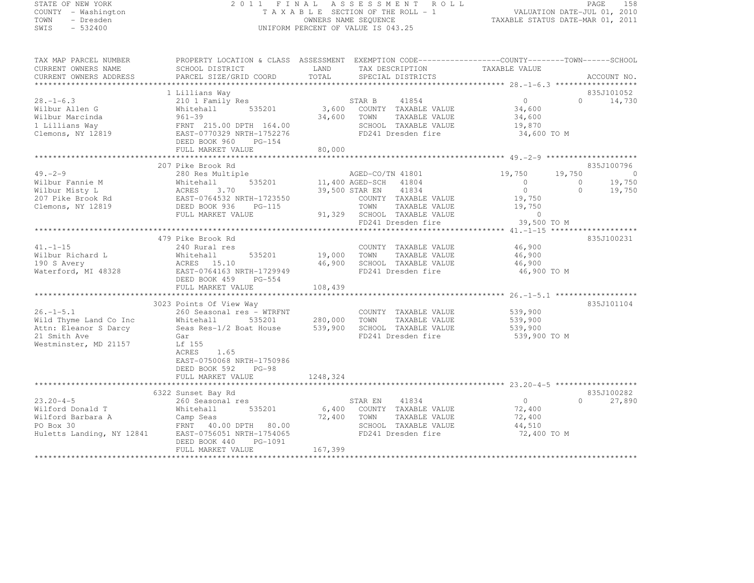# STATE OF NEW YORK 2 0 1 1 F I N A L A S S E S S M E N T R O L L PAGE <sup>158</sup> COUNTY - Washington T A X A B L E SECTION OF THE ROLL - 1 VALUATION DATE-JUL 01, 2010 TOWN - Dresden OWNERS NAME SEQUENCE TAXABLE STATUS DATE-MAR 01, 2011<br>- TRESDEN ON THE SEQUENCE TO A SECUENCE TO BE SERVED ON THE SEQUENCE OF SEXUE OF THE STATUS DATE MAR 01, 2011 SWIS - 532400 UNIFORM PERCENT OF VALUE IS 043.25

| TAX MAP PARCEL NUMBER                                                                                                                          | PROPERTY LOCATION & CLASS ASSESSMENT EXEMPTION CODE----------------COUNTY-------TOWN-----SCHOOL |          |                                                                                                                                                                                                                                                                                                                                                      |                            |                                     |
|------------------------------------------------------------------------------------------------------------------------------------------------|-------------------------------------------------------------------------------------------------|----------|------------------------------------------------------------------------------------------------------------------------------------------------------------------------------------------------------------------------------------------------------------------------------------------------------------------------------------------------------|----------------------------|-------------------------------------|
|                                                                                                                                                |                                                                                                 |          |                                                                                                                                                                                                                                                                                                                                                      |                            |                                     |
|                                                                                                                                                | 1 Lillians Way                                                                                  |          |                                                                                                                                                                                                                                                                                                                                                      |                            | 835J101052                          |
| $28. - 1 - 6.3$<br>Wilbur Allen G<br>Wilbur Marcinda                                                                                           | 210 1 Family Res<br>535201<br>Whitehall<br>$961 - 39$                                           |          | $\begin{tabular}{lcccccc} \multicolumn{2}{c}{\text{STAR B}} & & & 41854 & & & & 0 \\ \multicolumn{2}{c}{3,600} & & \multicolumn{2}{c}{\text{COUNTY}} & \multicolumn{2}{c}{\text{TAXABLE VALUE}} & & & 34,600 \\ \multicolumn{2}{c}{3,600} & & \multicolumn{2}{c}{\text{TOMN}} & & \multicolumn{2}{c}{\text{TAXABLE VALUE}} & & 34,600 \end{tabular}$ |                            | $0 \t 14,730$                       |
| 1 Lillians Way<br>Clemons, NY 12819<br>EAST-0770329 NRTH-1752276                                                                               | DEED BOOK 960 PG-154                                                                            |          | SCHOOL TAXABLE VALUE<br>FD241 Dresden fire                                                                                                                                                                                                                                                                                                           | 19,870<br>34,600 TO M      |                                     |
|                                                                                                                                                | FULL MARKET VALUE                                                                               | 80,000   |                                                                                                                                                                                                                                                                                                                                                      |                            |                                     |
|                                                                                                                                                |                                                                                                 |          |                                                                                                                                                                                                                                                                                                                                                      |                            |                                     |
| $49. -2 - 9$                                                                                                                                   | 207 Pike Brook Rd                                                                               |          |                                                                                                                                                                                                                                                                                                                                                      | 19,750<br>19,750           | 835J100796                          |
|                                                                                                                                                | 280 Res Multiple<br>Whitehall 535201                                                            |          | AGED-CO/TN 41801<br>11,400 AGED-SCH 41804                                                                                                                                                                                                                                                                                                            | $\overline{0}$<br>$\sim$ 0 |                                     |
|                                                                                                                                                |                                                                                                 |          | 39,500 STAR EN 41834                                                                                                                                                                                                                                                                                                                                 |                            | $0$<br>19,750<br>19,750<br>$\Omega$ |
|                                                                                                                                                |                                                                                                 |          | COUNTY TAXABLE VALUE                                                                                                                                                                                                                                                                                                                                 | $19,750$<br>$-750$         |                                     |
| Wilbur Fannie M<br>Whitehall 535201<br>Whitehall 535201<br>207 Pike Brook Rd<br>Clemons, NY 12819<br>DEED BOOK 936 PG-115                      |                                                                                                 |          | TOWN                                                                                                                                                                                                                                                                                                                                                 | TAXABLE VALUE 19,750       |                                     |
|                                                                                                                                                | FULL MARKET VALUE                                                                               |          | 91,329 SCHOOL TAXABLE VALUE<br>FD241 Dresden fire                                                                                                                                                                                                                                                                                                    | $\sim$ 0                   |                                     |
|                                                                                                                                                |                                                                                                 |          |                                                                                                                                                                                                                                                                                                                                                      | 39,500 TO M                |                                     |
|                                                                                                                                                |                                                                                                 |          |                                                                                                                                                                                                                                                                                                                                                      |                            |                                     |
| $41. - 1 - 15$                                                                                                                                 | 479 Pike Brook Rd<br>240 Rural res                                                              |          | COUNTY TAXABLE VALUE 46,900                                                                                                                                                                                                                                                                                                                          |                            | 835J100231                          |
| Wilbur Richard L                                                                                                                               | 535201 19,000 TOWN                                                                              |          | TAXABLE VALUE                                                                                                                                                                                                                                                                                                                                        | 46,900                     |                                     |
| 190 S Avery                                                                                                                                    | Whitenaii<br>ACRES 15.10<br>2764163 NRTH-1                                                      |          | 46,900 SCHOOL TAXABLE VALUE                                                                                                                                                                                                                                                                                                                          | 46,900                     |                                     |
| Waterford, MI 48328                                                                                                                            | EAST-0764163 NRTH-1729949                                                                       |          | FD241 Dresden fire                                                                                                                                                                                                                                                                                                                                   | 46,900 TO M                |                                     |
|                                                                                                                                                | DEED BOOK 459 PG-554                                                                            |          |                                                                                                                                                                                                                                                                                                                                                      |                            |                                     |
|                                                                                                                                                | FULL MARKET VALUE                                                                               | 108,439  |                                                                                                                                                                                                                                                                                                                                                      |                            |                                     |
|                                                                                                                                                |                                                                                                 |          |                                                                                                                                                                                                                                                                                                                                                      |                            |                                     |
| $26. - 1 - 5.1$                                                                                                                                | 3023 Points Of View Way<br>260 Seasonal res - WTRFNT                                            |          | COUNTY TAXABLE VALUE                                                                                                                                                                                                                                                                                                                                 | 539,900                    | 835J101104                          |
| Wild Thyme Land Co Inc                                                                                                                         | 535201 280,000 TOWN<br>Whitehall                                                                |          | TAXABLE VALUE                                                                                                                                                                                                                                                                                                                                        | 539,900                    |                                     |
| Attn: Eleanor S Darcy                                                                                                                          | coup and the seasure of the Sample of San House 539,900<br>Gar                                  |          | SCHOOL TAXABLE VALUE                                                                                                                                                                                                                                                                                                                                 | 539,900                    |                                     |
| 21 Smith Ave                                                                                                                                   | Gar                                                                                             |          | FD241 Dresden fire                                                                                                                                                                                                                                                                                                                                   | 539,900 TO M               |                                     |
| Westminster, MD 21157                                                                                                                          | Lf 155                                                                                          |          |                                                                                                                                                                                                                                                                                                                                                      |                            |                                     |
|                                                                                                                                                | <b>ACRES</b><br>1.65                                                                            |          |                                                                                                                                                                                                                                                                                                                                                      |                            |                                     |
|                                                                                                                                                | EAST-0750068 NRTH-1750986                                                                       |          |                                                                                                                                                                                                                                                                                                                                                      |                            |                                     |
|                                                                                                                                                | DEED BOOK 592<br>$PG-98$                                                                        | 1248,324 |                                                                                                                                                                                                                                                                                                                                                      |                            |                                     |
|                                                                                                                                                | FULL MARKET VALUE                                                                               |          |                                                                                                                                                                                                                                                                                                                                                      |                            |                                     |
|                                                                                                                                                | 6322 Sunset Bay Rd                                                                              |          |                                                                                                                                                                                                                                                                                                                                                      |                            | 835J100282                          |
| $23.20 - 4 - 5$                                                                                                                                | 260 Seasonal res                                                                                |          |                                                                                                                                                                                                                                                                                                                                                      | $\sim$ 0                   | $\Omega$<br>27,890                  |
| Wilford Donald T                                                                                                                               | Whitehall<br>535201                                                                             |          | STAR EN 41834<br>6,400 COUNTY TAXABLE VALUE                                                                                                                                                                                                                                                                                                          | 72,400                     |                                     |
| Wilford Barbara A Camp Seas 72,400 TOWN<br>PO Box 30 FRNT 40.00 DPTH 80.00 SCHOO:<br>Huletts Landing, NY 12841 EAST-0756051_NRTH-1754065 FD241 |                                                                                                 |          | TAXABLE VALUE                                                                                                                                                                                                                                                                                                                                        | 72,400                     |                                     |
|                                                                                                                                                |                                                                                                 |          | SCHOOL TAXABLE VALUE                                                                                                                                                                                                                                                                                                                                 | 44,510                     |                                     |
|                                                                                                                                                |                                                                                                 |          | FD241 Dresden fire                                                                                                                                                                                                                                                                                                                                   | 72,400 TO M                |                                     |
|                                                                                                                                                | DEED BOOK 440 PG-1091<br>FULL MARKET VALUE                                                      | 167,399  |                                                                                                                                                                                                                                                                                                                                                      |                            |                                     |
|                                                                                                                                                |                                                                                                 |          |                                                                                                                                                                                                                                                                                                                                                      |                            |                                     |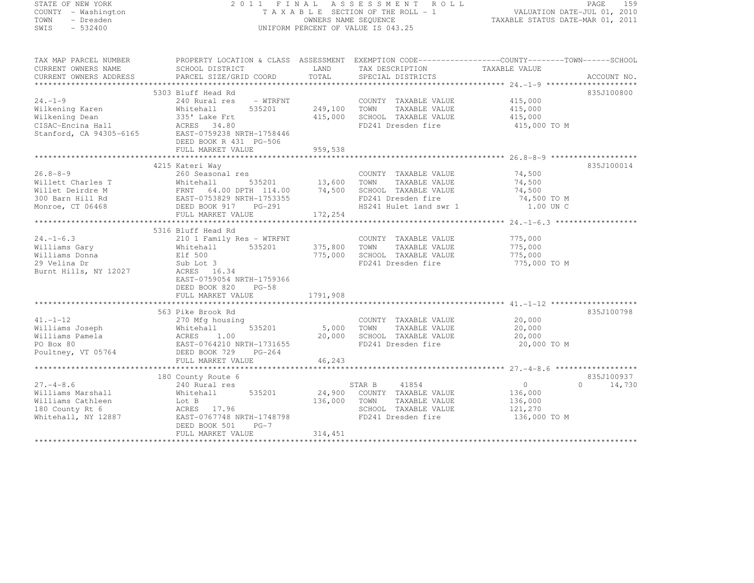| STATE OF NEW YORK                                              |                                                                                                             |                      | 2011 FINAL ASSESSMENT ROLL                                                       | VALUATION DATE-JUL 01, 2010      | 159<br>PAGE                 |
|----------------------------------------------------------------|-------------------------------------------------------------------------------------------------------------|----------------------|----------------------------------------------------------------------------------|----------------------------------|-----------------------------|
| COUNTY - Washington<br>- Dresden<br>TOWN                       |                                                                                                             | OWNERS NAME SEQUENCE | T A X A B L E SECTION OF THE ROLL - 1                                            | TAXABLE STATUS DATE-MAR 01, 2011 |                             |
| $-532400$<br>SWIS                                              |                                                                                                             |                      | UNIFORM PERCENT OF VALUE IS 043.25                                               |                                  |                             |
|                                                                |                                                                                                             |                      |                                                                                  |                                  |                             |
| TAX MAP PARCEL NUMBER                                          | PROPERTY LOCATION & CLASS ASSESSMENT EXEMPTION CODE---------------COUNTY-------TOWN-----SCHOOL              |                      |                                                                                  |                                  |                             |
| CURRENT OWNERS NAME                                            | SCHOOL DISTRICT                                                                                             | LAND                 | TAX DESCRIPTION TAXABLE VALUE                                                    |                                  |                             |
| CURRENT OWNERS ADDRESS                                         | PARCEL SIZE/GRID COORD                                                                                      | TOTAL                | SPECIAL DISTRICTS                                                                |                                  | ACCOUNT NO.                 |
| **********************                                         |                                                                                                             |                      |                                                                                  |                                  |                             |
|                                                                | 5303 Bluff Head Rd                                                                                          |                      |                                                                                  |                                  | 835J100800                  |
| $24. - 1 - 9$<br>Wilkening Karen                               | 240 Rural res<br>- WTRFNT<br>535201<br>Whitehall                                                            | 249,100 TOWN         | COUNTY TAXABLE VALUE<br>TAXABLE VALUE                                            | 415,000<br>415,000               |                             |
| Wilkening Dean                                                 | 335' Lake Frt                                                                                               |                      | 415,000 SCHOOL TAXABLE VALUE                                                     | 415,000                          |                             |
|                                                                | ACRES 34.80                                                                                                 |                      | FD241 Dresden fire                                                               | 415,000 TO M                     |                             |
| wiikening Dean<br>CISAC-Encina Hall<br>Stanford, CA 94305–6165 | EAST-0759238 NRTH-1758446                                                                                   |                      |                                                                                  |                                  |                             |
|                                                                | DEED BOOK R 431 PG-506                                                                                      |                      |                                                                                  |                                  |                             |
|                                                                | FULL MARKET VALUE                                                                                           | 959,538              |                                                                                  |                                  |                             |
|                                                                | **************************                                                                                  |                      |                                                                                  |                                  |                             |
|                                                                | 4215 Kateri Way                                                                                             |                      |                                                                                  |                                  | 835J100014                  |
| $26.8 - 8 - 9$                                                 | 260 Seasonal res                                                                                            |                      | COUNTY TAXABLE VALUE                                                             | 74,500                           |                             |
| Willett Charles T                                              |                                                                                                             | 13,600 TOWN          | TAXABLE VALUE                                                                    | 74,500                           |                             |
| Willet Deirdre M                                               |                                                                                                             |                      | 74,500 SCHOOL TAXABLE VALUE                                                      | 74,500                           |                             |
| 300 Barn Hill Rd                                               | Whitehall<br>FRNT 64.00 DPTH 114.00<br>FRNT 64.00 DPTH 114.00<br>EAST-0753829 NRTH-1753355<br>DEED BOOK 017 |                      | FD241 Dresden fire                                                               | 74,500 TO M                      |                             |
| Monroe, CT 06468                                               | DEED BOOK 917 PG-291                                                                                        |                      | HS241 Hulet land swr 1                                                           | 1.00 UN C                        |                             |
|                                                                | FULL MARKET VALUE                                                                                           | 172,254              |                                                                                  |                                  |                             |
|                                                                |                                                                                                             |                      |                                                                                  |                                  |                             |
| $24. - 1 - 6.3$                                                | 5316 Bluff Head Rd                                                                                          |                      | COUNTY TAXABLE VALUE                                                             |                                  |                             |
| Williams Gary                                                  | 210 1 Family Res - WTRFNT<br>Whitehall 535201                                                               |                      |                                                                                  | 775,000<br>775,000               |                             |
| Williams Donna                                                 |                                                                                                             |                      |                                                                                  | 775,000                          |                             |
| 29 Velina Dr                                                   | WILL.<br>Elf 500<br>Tub Lot<br>Sub Lot 3                                                                    |                      | 375,800 TOWN TAXABLE VALUE<br>775,000 SCHOOL TAXABLE VALUE<br>FD241 Dresden fire | 775,000 TO M                     |                             |
| Burnt Hills, NY 12027                                          | ACRES 16.34                                                                                                 |                      |                                                                                  |                                  |                             |
|                                                                | EAST-0759054 NRTH-1759366                                                                                   |                      |                                                                                  |                                  |                             |
|                                                                | DEED BOOK 820 PG-58                                                                                         |                      |                                                                                  |                                  |                             |
|                                                                | FULL MARKET VALUE                                                                                           | 1791,908             |                                                                                  |                                  |                             |
|                                                                |                                                                                                             |                      |                                                                                  |                                  |                             |
|                                                                | 563 Pike Brook Rd                                                                                           |                      |                                                                                  |                                  | 835J100798                  |
| $41. - 1 - 12$                                                 | 270 Mfg housing                                                                                             |                      | COUNTY TAXABLE VALUE                                                             | 20,000                           |                             |
| Williams Joseph                                                | Ph<br>Ph<br>1.00<br>EAST-0764210 NRTH-1731655                                                               | 5,000 TOWN           | TAXABLE VALUE                                                                    | 20,000                           |                             |
| Williams Pamela                                                |                                                                                                             | 20,000               | SCHOOL TAXABLE VALUE                                                             | 20,000                           |                             |
| PO Box 80                                                      |                                                                                                             |                      | FD241 Dresden fire                                                               | 20,000 TO M                      |                             |
| Poultney, VT 05764                                             | DEED BOOK 729<br>PG-264                                                                                     |                      |                                                                                  |                                  |                             |
|                                                                | FULL MARKET VALUE                                                                                           | 46,243               |                                                                                  |                                  |                             |
|                                                                | 180 County Route 6                                                                                          |                      |                                                                                  |                                  | 835J100937                  |
| $27. - 4 - 8.6$                                                | 240 Rural res                                                                                               |                      | STAR B<br>41854                                                                  | $\overline{0}$                   | $0 \qquad \qquad$<br>14,730 |
| Williams Marshall                                              | 535201<br>Whitehall                                                                                         |                      | 24,900 COUNTY TAXABLE VALUE                                                      | 136,000                          |                             |
| Williams Cathleen                                              | Lot B                                                                                                       | 136,000 TOWN         | TAXABLE VALUE                                                                    | 136,000                          |                             |
| 180 County Rt 6                                                | ACRES 17.96                                                                                                 |                      | SCHOOL TAXABLE VALUE                                                             | 121,270                          |                             |
| Whitehall, NY 12887                                            | EAST-0767748 NRTH-1748798                                                                                   |                      | FD241 Dresden fire                                                               | 136,000 TO M                     |                             |
|                                                                | DEED BOOK 501 PG-7                                                                                          |                      |                                                                                  |                                  |                             |

FULL MARKET VALUE 314,451 \*\*\*\*\*\*\*\*\*\*\*\*\*\*\*\*\*\*\*\*\*\*\*\*\*\*\*\*\*\*\*\*\*\*\*\*\*\*\*\*\*\*\*\*\*\*\*\*\*\*\*\*\*\*\*\*\*\*\*\*\*\*\*\*\*\*\*\*\*\*\*\*\*\*\*\*\*\*\*\*\*\*\*\*\*\*\*\*\*\*\*\*\*\*\*\*\*\*\*\*\*\*\*\*\*\*\*\*\*\*\*\*\*\*\*\*\*\*\*\*\*\*\*\*\*\*\*\*\*\*\*\*

DEED BOOK 501 PG-7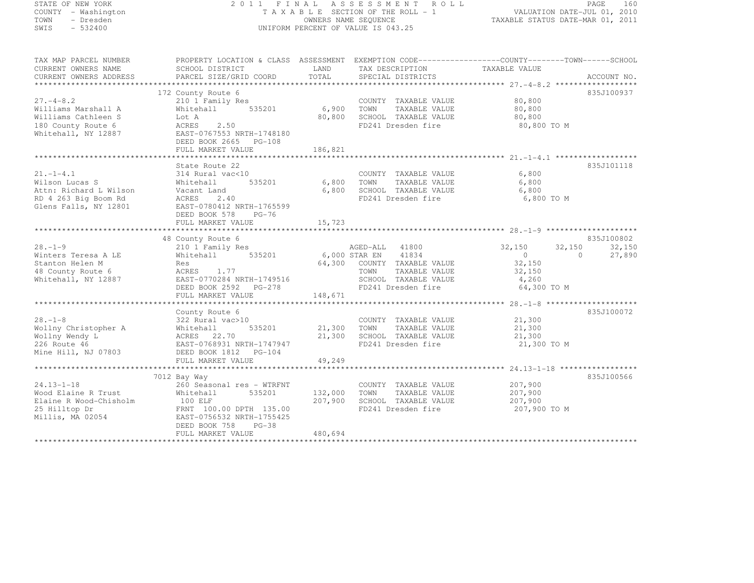| STATE OF NEW YORK |  |                     |  |
|-------------------|--|---------------------|--|
|                   |  | COUNTY - Washington |  |
| TOWN              |  | - Dresden           |  |
| SWIS              |  | $-532400$           |  |

### STATE OF NEW YORK 2 0 1 1 F I N A L A S S E S S M E N T R O L L PAGE <sup>160</sup> COUNTY - Washington T A X A B L E SECTION OF THE ROLL - 1 VALUATION DATE-JUL 01, 2010 TOWN - Dresden OWNERS NAME SEQUENCE TAXABLE STATUS DATE-MAR 01, 2011<br>- TRESDEN ON THE SEQUENCE TO A SECUENCE TO BE SERVED ON THE SEQUENCE OF SEXUE OF THE STATUS DATE MAR 01, 2011 SWIS - 532400 - DISPONSITION OF VALUE IS 043.25

TAX MAP PARCEL NUMBER PROPERTY LOCATION & CLASS ASSESSMENT EXEMPTION CODE--------------------------------TOWN-------SCHOOL

| CURRENT OWNERS NAME    | SCHOOL DISTRICT                               | LAND          | TAX DESCRIPTION       | TAXABLE VALUE              |             |
|------------------------|-----------------------------------------------|---------------|-----------------------|----------------------------|-------------|
| CURRENT OWNERS ADDRESS | PARCEL SIZE/GRID COORD                        | TOTAL         | SPECIAL DISTRICTS     |                            | ACCOUNT NO. |
|                        |                                               |               |                       |                            |             |
|                        | 172 County Route 6                            |               |                       |                            | 835J100937  |
| $27. - 4 - 8.2$        | 210 1 Family Res                              |               | COUNTY TAXABLE VALUE  | 80,800                     |             |
| Williams Marshall A    | 535201<br>Whitehall                           | 6,900         | TOWN<br>TAXABLE VALUE | 80,800                     |             |
| Williams Cathleen S    | Lot A                                         | 80,800        | SCHOOL TAXABLE VALUE  | 80,800                     |             |
| 180 County Route 6     | 2.50<br>ACRES                                 |               | FD241 Dresden fire    | 80,800 TO M                |             |
| Whitehall, NY 12887    | EAST-0767553 NRTH-1748180                     |               |                       |                            |             |
|                        | DEED BOOK 2665 PG-108                         |               |                       |                            |             |
|                        | FULL MARKET VALUE                             | 186,821       |                       |                            |             |
|                        |                                               |               |                       |                            |             |
|                        | State Route 22                                |               |                       |                            | 835J101118  |
| $21. - 1 - 4.1$        | 314 Rural vac<10                              |               | COUNTY TAXABLE VALUE  | 6,800                      |             |
| Wilson Lucas S         | Whitehall<br>535201                           | 6,800         | TAXABLE VALUE<br>TOWN | 6,800                      |             |
| Attn: Richard L Wilson | Vacant Land                                   | 6,800         | SCHOOL TAXABLE VALUE  | 6,800                      |             |
| RD 4 263 Big Boom Rd   | 2.40<br>ACRES                                 |               | FD241 Dresden fire    | 6,800 TO M                 |             |
| Glens Falls, NY 12801  | EAST-0780412 NRTH-1765599                     |               |                       |                            |             |
|                        | DEED BOOK 578<br>$PG-76$                      |               |                       |                            |             |
|                        | FULL MARKET VALUE                             | 15,723        |                       |                            |             |
|                        |                                               |               |                       |                            |             |
|                        | 48 County Route 6                             |               |                       |                            | 835J100802  |
| $28 - 1 - 9$           | 210 1 Family Res                              |               | AGED-ALL 41800        | 32,150<br>32,150           | 32,150      |
| Winters Teresa A LE    | 535201<br>Whitehall                           | 6,000 STAR EN | 41834                 | $\overline{0}$<br>$\Omega$ | 27,890      |
| Stanton Helen M        | Res                                           | 64,300        | COUNTY TAXABLE VALUE  | 32,150                     |             |
| 48 County Route 6      | 1.77<br>ACRES                                 |               | TOWN<br>TAXABLE VALUE | 32,150                     |             |
| Whitehall, NY 12887    | EAST-0770284 NRTH-1749516                     |               | SCHOOL TAXABLE VALUE  | 4,260                      |             |
|                        | DEED BOOK 2592 PG-278                         |               | FD241 Dresden fire    | 64,300 TO M                |             |
|                        | FULL MARKET VALUE                             | 148,671       |                       |                            |             |
|                        |                                               |               |                       |                            |             |
|                        | County Route 6                                |               |                       |                            | 835J100072  |
| $28. - 1 - 8$          | 322 Rural vac>10                              |               | COUNTY TAXABLE VALUE  | 21,300                     |             |
| Wollny Christopher A   | 535201<br>Whitehall                           | 21,300        | TOWN<br>TAXABLE VALUE | 21,300                     |             |
| Wollny Wendy L         | ACRES 22.70                                   | 21,300        | SCHOOL TAXABLE VALUE  | 21,300                     |             |
| 226 Route 46           | EAST-0768931 NRTH-1747947                     |               | FD241 Dresden fire    | 21,300 TO M                |             |
| Mine Hill, NJ 07803    | DEED BOOK 1812    PG-104                      |               |                       |                            |             |
|                        | FULL MARKET VALUE<br>************************ | 49,249        |                       |                            |             |
|                        |                                               |               |                       |                            |             |
|                        | 7012 Bay Way                                  |               |                       |                            | 835J100566  |
| $24.13 - 1 - 18$       | 260 Seasonal res - WTRFNT                     |               | COUNTY TAXABLE VALUE  | 207,900                    |             |
| Wood Elaine R Trust    | 535201<br>Whitehall                           | 132,000       | TOWN<br>TAXABLE VALUE | 207,900                    |             |
| Elaine R Wood-Chisholm | 100 ELF                                       | 207,900       | SCHOOL TAXABLE VALUE  | 207,900                    |             |
| 25 Hilltop Dr          | FRNT 100.00 DPTH 135.00                       |               | FD241 Dresden fire    | 207,900 TO M               |             |
| Millis, MA 02054       | EAST-0756532 NRTH-1755425                     |               |                       |                            |             |
|                        | DEED BOOK 758<br>$PG-38$                      |               |                       |                            |             |
|                        | FULL MARKET VALUE                             | 480,694       |                       |                            |             |
|                        |                                               |               |                       |                            |             |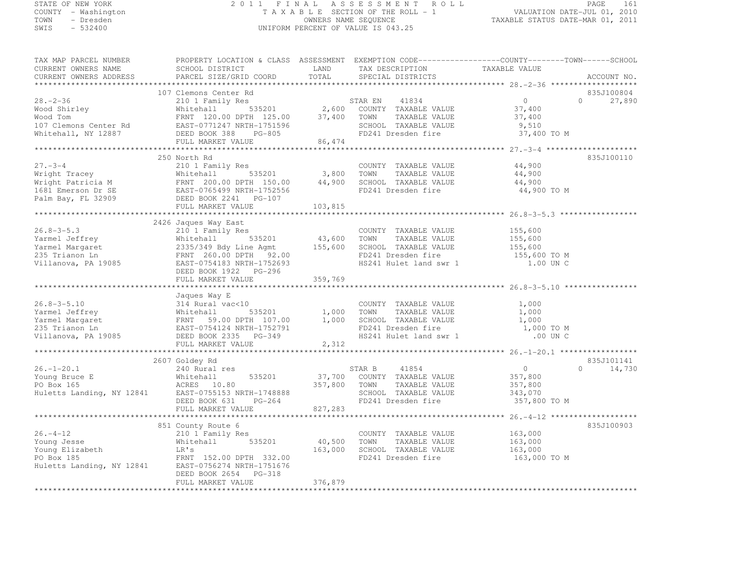# STATE OF NEW YORK 2 0 1 1 F I N A L A S S E S S M E N T R O L L PAGE <sup>161</sup> COUNTY - Washington T A X A B L E SECTION OF THE ROLL - 1 VALUATION DATE-JUL 01, 2010 TOWN - Dresden OWNERS NAME SEQUENCE TAXABLE STATUS DATE-MAR 01, 2011<br>- TRESDEN ON THE SEQUENCE TO A SECUENCE TO BE SERVED ON THE SEQUENCE OF SEXUE OF THE STATUS DATE MAR 01, 2011 SWIS - 532400 UNIFORM PERCENT OF VALUE IS 043.25

| TAX MAP PARCEL NUMBER                                                                                                                                                                                                                                                                                                                                                                             | PROPERTY LOCATION & CLASS ASSESSMENT EXEMPTION CODE-----------------COUNTY-------TOWN------SCHOOL |         |  |            |
|---------------------------------------------------------------------------------------------------------------------------------------------------------------------------------------------------------------------------------------------------------------------------------------------------------------------------------------------------------------------------------------------------|---------------------------------------------------------------------------------------------------|---------|--|------------|
| CORRENT OWNERS NAME<br>CORRENT OWNERS NAME<br>CORRENT OWNERS ADDRESS BARCEL SIZE/GRID COORD TOTAL SPECIAL DISTRICTS ACCOUNT NO.<br>TAX DESCRIPTION TAXABLE VALUE ACCOUNT NO.<br>TAX DESCRIPTION TAXABLE VALUE ACCOUNT NO.<br>TAXABLE VAL                                                                                                                                                          |                                                                                                   |         |  |            |
|                                                                                                                                                                                                                                                                                                                                                                                                   |                                                                                                   |         |  |            |
|                                                                                                                                                                                                                                                                                                                                                                                                   | 107 Clemons Center Rd                                                                             |         |  | 835J100804 |
|                                                                                                                                                                                                                                                                                                                                                                                                   |                                                                                                   |         |  |            |
|                                                                                                                                                                                                                                                                                                                                                                                                   |                                                                                                   |         |  |            |
|                                                                                                                                                                                                                                                                                                                                                                                                   |                                                                                                   |         |  |            |
|                                                                                                                                                                                                                                                                                                                                                                                                   |                                                                                                   |         |  |            |
|                                                                                                                                                                                                                                                                                                                                                                                                   |                                                                                                   |         |  |            |
|                                                                                                                                                                                                                                                                                                                                                                                                   |                                                                                                   |         |  |            |
|                                                                                                                                                                                                                                                                                                                                                                                                   |                                                                                                   |         |  |            |
|                                                                                                                                                                                                                                                                                                                                                                                                   | 250 North Rd                                                                                      |         |  | 835J100110 |
|                                                                                                                                                                                                                                                                                                                                                                                                   |                                                                                                   |         |  |            |
|                                                                                                                                                                                                                                                                                                                                                                                                   |                                                                                                   |         |  |            |
|                                                                                                                                                                                                                                                                                                                                                                                                   |                                                                                                   |         |  |            |
|                                                                                                                                                                                                                                                                                                                                                                                                   |                                                                                                   |         |  |            |
|                                                                                                                                                                                                                                                                                                                                                                                                   |                                                                                                   |         |  |            |
|                                                                                                                                                                                                                                                                                                                                                                                                   |                                                                                                   |         |  |            |
|                                                                                                                                                                                                                                                                                                                                                                                                   |                                                                                                   |         |  |            |
|                                                                                                                                                                                                                                                                                                                                                                                                   | 2426 Jaques Way East                                                                              |         |  |            |
|                                                                                                                                                                                                                                                                                                                                                                                                   |                                                                                                   |         |  |            |
|                                                                                                                                                                                                                                                                                                                                                                                                   |                                                                                                   |         |  |            |
|                                                                                                                                                                                                                                                                                                                                                                                                   |                                                                                                   |         |  |            |
|                                                                                                                                                                                                                                                                                                                                                                                                   |                                                                                                   |         |  |            |
|                                                                                                                                                                                                                                                                                                                                                                                                   |                                                                                                   |         |  |            |
| $\begin{tabular}{lllllllllllll} \multicolumn{3}{c}{26.8-3-5.3} & 2426 Jacques Way East & 210 1 Family Res & 210 1 Family Res & 355201 & 43,600 TOWN TAXABLE VALUE & 155,600 \\ \multicolumn{3}{c}{Yarmel Jefferson} & 155,600 & 10000 & 10000 & 10000 \\ \multicolumn{3}{c}{Yarmel Margaret} & 2353 Trianon Ln & 2357-0754183 NRTH-1752693} & 155,600 & 155,600 \\ \multicolumn{3}{c}{Yallanova,$ |                                                                                                   |         |  |            |
|                                                                                                                                                                                                                                                                                                                                                                                                   |                                                                                                   |         |  |            |
|                                                                                                                                                                                                                                                                                                                                                                                                   |                                                                                                   |         |  |            |
| 36.8-3-5.10<br>37 AMABLE VALUE<br>26.8-3-5.10<br>27 AMABLE VALUE<br>27 AMABLE VALUE<br>27 AMABLE VALUE<br>27 AMABLE VALUE<br>27 AMABLE VALUE<br>27 AMABLE VALUE<br>27 AMABLE VALUE<br>27 AMABLE VALUE<br>27 AMABLE VALUE<br>27 AMABLE VALUE<br>27 AMABLE                                                                                                                                          |                                                                                                   |         |  |            |
|                                                                                                                                                                                                                                                                                                                                                                                                   |                                                                                                   |         |  |            |
|                                                                                                                                                                                                                                                                                                                                                                                                   |                                                                                                   |         |  |            |
|                                                                                                                                                                                                                                                                                                                                                                                                   |                                                                                                   |         |  |            |
|                                                                                                                                                                                                                                                                                                                                                                                                   |                                                                                                   |         |  |            |
|                                                                                                                                                                                                                                                                                                                                                                                                   |                                                                                                   |         |  |            |
|                                                                                                                                                                                                                                                                                                                                                                                                   |                                                                                                   |         |  |            |
|                                                                                                                                                                                                                                                                                                                                                                                                   |                                                                                                   |         |  |            |
|                                                                                                                                                                                                                                                                                                                                                                                                   | 2607 Goldey Rd                                                                                    |         |  | 835J101141 |
|                                                                                                                                                                                                                                                                                                                                                                                                   |                                                                                                   |         |  |            |
| $\begin{tabular}{lllllllllllll} \multicolumn{3}{c }{26.1-20.1} & 2607\; \text{Goldey Rd} & 240\; \text{Rural res} & 535201 & 535201 & 37,700\; \text{COUNTY TAXABLE VALUE} & 357,800 & 0 & 14,730 \\ \text{Young Bruce E} & \text{Wiltonian} & 535201 & 37,700\; \text{COUNTY TAXABLE VALUE} & 357,800 & 0 & 14,730 \\ \text{PO Box 165} & \text{ACRES} & 10.80 & 5357,8$                         |                                                                                                   |         |  |            |
|                                                                                                                                                                                                                                                                                                                                                                                                   |                                                                                                   |         |  |            |
|                                                                                                                                                                                                                                                                                                                                                                                                   |                                                                                                   |         |  |            |
|                                                                                                                                                                                                                                                                                                                                                                                                   |                                                                                                   |         |  |            |
|                                                                                                                                                                                                                                                                                                                                                                                                   |                                                                                                   |         |  |            |
|                                                                                                                                                                                                                                                                                                                                                                                                   |                                                                                                   |         |  |            |
|                                                                                                                                                                                                                                                                                                                                                                                                   |                                                                                                   |         |  | 835J100903 |
|                                                                                                                                                                                                                                                                                                                                                                                                   |                                                                                                   |         |  |            |
|                                                                                                                                                                                                                                                                                                                                                                                                   |                                                                                                   |         |  |            |
|                                                                                                                                                                                                                                                                                                                                                                                                   |                                                                                                   |         |  |            |
|                                                                                                                                                                                                                                                                                                                                                                                                   |                                                                                                   |         |  |            |
|                                                                                                                                                                                                                                                                                                                                                                                                   |                                                                                                   |         |  |            |
|                                                                                                                                                                                                                                                                                                                                                                                                   | DEED BOOK 2654 PG-318                                                                             |         |  |            |
|                                                                                                                                                                                                                                                                                                                                                                                                   | FULL MARKET VALUE                                                                                 | 376,879 |  |            |
|                                                                                                                                                                                                                                                                                                                                                                                                   |                                                                                                   |         |  |            |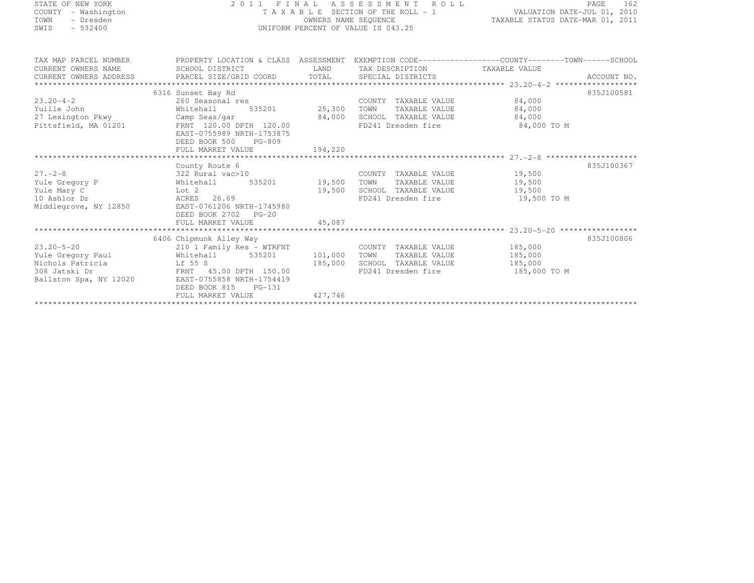| STATE OF NEW YORK |           |                     |  |
|-------------------|-----------|---------------------|--|
|                   |           | COUNTY - Washington |  |
| TOWN              |           | - Dresden           |  |
| SMTS              | $-532400$ |                     |  |

# STATE OF NEW YORK 2 0 1 1 F I N A L A S S E S S M E N T R O L L PAGE <sup>162</sup> COUNTY - Washington T A X A B L E SECTION OF THE ROLL - 1 VALUATION DATE-JUL 01, 2010 TOWN - Dresden OWNERS NAME SEQUENCE TAXABLE STATUS DATE-MAR 01, 2011<br>- TRESDEN ON THE SEQUENCE TO A SECUENCE TO BE SERVED ON THE SEQUENCE OF SEXUE OF THE STATUS DATE MAR 01, 2011 SWIS - 532400 UNIFORM PERCENT OF VALUE IS 043.25

| TAX MAP PARCEL NUMBER  | PROPERTY LOCATION & CLASS ASSESSMENT EXEMPTION CODE---------------COUNTY-------TOWN-----SCHOOL                                                                                                                                                                                                                                                                                                                                                                                |                                    |            |
|------------------------|-------------------------------------------------------------------------------------------------------------------------------------------------------------------------------------------------------------------------------------------------------------------------------------------------------------------------------------------------------------------------------------------------------------------------------------------------------------------------------|------------------------------------|------------|
| CURRENT OWNERS NAME    | SCHOOL DISTRICT                                                                                                                                                                                                                                                                                                                                                                                                                                                               | LAND TAX DESCRIPTION TAXABLE VALUE |            |
|                        |                                                                                                                                                                                                                                                                                                                                                                                                                                                                               |                                    |            |
|                        | $\begin{minipage}{.4cm} \begin{minipage}{.4cm} \begin{minipage}{.4cm} \begin{minipage}{.4cm} \begin{minipage}{.4cm} \begin{minipage}{.4cm} \begin{minipage}{.4cm} \begin{minipage}{.4cm} \begin{minipage}{.4cm} \begin{minipage}{.4cm} \begin{minipage}{.4cm} \begin{minipage}{.4cm} \begin{minipage}{.4cm} \begin{minipage}{.4cm} \begin{minipage}{.4cm} \begin{minipage}{.4cm} \begin{minipage}{.4cm} \begin{minipage}{.4cm} \begin{minipage}{.4cm} \begin{minipage}{.4cm}$ |                                    |            |
|                        | 6316 Sunset Bay Rd                                                                                                                                                                                                                                                                                                                                                                                                                                                            |                                    | 835J100581 |
|                        |                                                                                                                                                                                                                                                                                                                                                                                                                                                                               | COUNTY TAXABLE VALUE 84,000        |            |
|                        | 23.20-4-2 260 Seasonal res COUNT<br>Yuille John Mhitehall 535201 25,300 TOWN                                                                                                                                                                                                                                                                                                                                                                                                  | TAXABLE VALUE 84,000               |            |
|                        | 27 Lexington Pkwy Camp Seas/gar 84,000 SCHOOL TAXABLE VALUE 84,000                                                                                                                                                                                                                                                                                                                                                                                                            |                                    |            |
|                        | Pittsfield, MA 01201 FRNT 120.00 DPTH 120.00                                                                                                                                                                                                                                                                                                                                                                                                                                  | FD241 Dresden fire 84,000 TO M     |            |
|                        | EAST-0755989 NRTH-1753875                                                                                                                                                                                                                                                                                                                                                                                                                                                     |                                    |            |
|                        | DEED BOOK 500 PG-809                                                                                                                                                                                                                                                                                                                                                                                                                                                          |                                    |            |
|                        | FULL MARKET VALUE 194,220                                                                                                                                                                                                                                                                                                                                                                                                                                                     |                                    |            |
|                        |                                                                                                                                                                                                                                                                                                                                                                                                                                                                               |                                    |            |
|                        | County Route 6                                                                                                                                                                                                                                                                                                                                                                                                                                                                |                                    | 835J100367 |
|                        | 27.-2-8<br>Yule Gregory P 322 Rural vac>10<br>Yule Gregory P Mhitehall 535201 19,500 TOWN TAXABLE VALUE 19,500<br>Yule Mary C Lot 2 19,500 SCHOOL TAXABLE VALUE 19,500<br>10 Ashlor Dr ACRES 26.69 FD241 Dresden fire 19,500                                                                                                                                                                                                                                                  | COUNTY TAXABLE VALUE 19,500        |            |
|                        |                                                                                                                                                                                                                                                                                                                                                                                                                                                                               |                                    |            |
|                        |                                                                                                                                                                                                                                                                                                                                                                                                                                                                               |                                    |            |
|                        |                                                                                                                                                                                                                                                                                                                                                                                                                                                                               | FD241 Dresden fire 19,500 TO M     |            |
|                        | Middlegrove, NY 12850 EAST-0761206 NRTH-1745980                                                                                                                                                                                                                                                                                                                                                                                                                               |                                    |            |
|                        | DEED BOOK 2702 PG-20                                                                                                                                                                                                                                                                                                                                                                                                                                                          |                                    |            |
|                        | FULL MARKET VALUE 45,087                                                                                                                                                                                                                                                                                                                                                                                                                                                      |                                    |            |
|                        |                                                                                                                                                                                                                                                                                                                                                                                                                                                                               |                                    |            |
|                        | 6406 Chipmunk Alley Way                                                                                                                                                                                                                                                                                                                                                                                                                                                       |                                    | 835J100806 |
|                        | 210 1 Family Res - WTRFNT COUNTY TAXABLE VALUE 185,000<br>23.20-5-20 210 1 Family Res - WTRFNT COUNTY TAXABLE VALUE 185,000<br>Yule Gregory Paul Whitehall 535201 101,000 TOWN TAXABLE VALUE 185,000<br>Nichols Patricia Lf 55 S 185,000 SCHOOL TAXABLE VALUE 185,000<br>308 Jatski Dr                                                                                                                                                                                        |                                    |            |
|                        |                                                                                                                                                                                                                                                                                                                                                                                                                                                                               |                                    |            |
|                        |                                                                                                                                                                                                                                                                                                                                                                                                                                                                               |                                    |            |
|                        |                                                                                                                                                                                                                                                                                                                                                                                                                                                                               | FD241 Dresden fire 185,000 TO M    |            |
| Ballston Spa, NY 12020 | EAST-0755858 NRTH-1754419                                                                                                                                                                                                                                                                                                                                                                                                                                                     |                                    |            |
|                        | DEED BOOK 815 PG-131                                                                                                                                                                                                                                                                                                                                                                                                                                                          |                                    |            |
|                        | FULL MARKET VALUE 427,746                                                                                                                                                                                                                                                                                                                                                                                                                                                     |                                    |            |
|                        |                                                                                                                                                                                                                                                                                                                                                                                                                                                                               |                                    |            |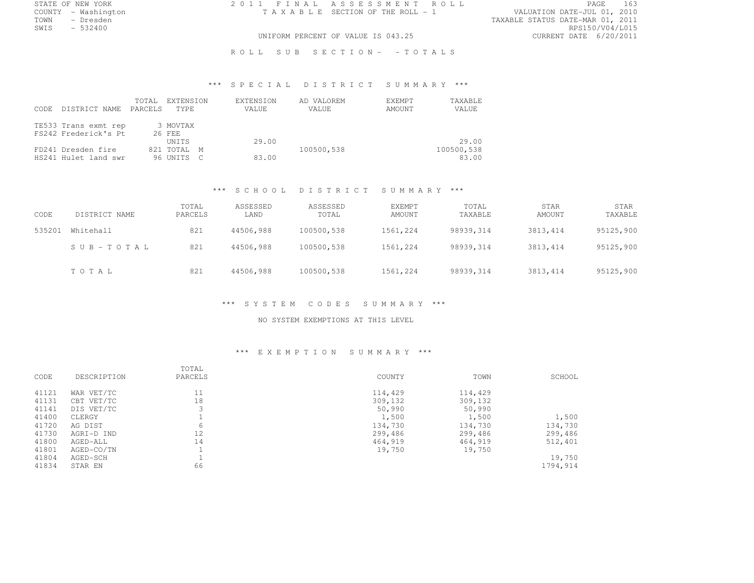COUNTY - Washington  $T A X A B L E$  SECTION OF THE ROLL - 1 TOWN - Dresden

STATE OF NEW YORK 2 0 1 1 F I N A L A S S E S S M E N T R O L L PAGE <sup>163</sup>

TOWN - Dresden TAXABLE STATUS DATE-MAR 01, 2011 SWIS - 532400 RPS150/V04/L015 UNIFORM PERCENT OF VALUE IS 043.25

ROLL SUB SECTION- - TOTALS

# \*\*\* S P E C I A L D I S T R I C T S U M M A R Y \*\*\*

| CODE. | DISTRICT NAME                                | TOTAL<br>PARCELS | EXTENSION<br>TYPF.          | EXTENSION<br>VALUE | AD VALOREM<br>VALUE | EXEMPT<br>TAXABLE<br>AMOUNT<br>VALUE |
|-------|----------------------------------------------|------------------|-----------------------------|--------------------|---------------------|--------------------------------------|
|       | TE533 Trans exmt rep<br>FS242 Frederick's Pt |                  | 3 MOVTAX<br>26 FEE<br>UNTTS | 29.00              |                     | 29.00                                |
|       | FD241 Dresden fire<br>HS241 Hulet land swr   |                  | 821 TOTAL M<br>96 UNITS C   | 83.00              | 100500,538          | 100500,538<br>83.00                  |

#### \*\*\* S C H O O L D I S T R I C T S U M M A R Y \*\*\*

| CODE   | DISTRICT NAME | TOTAL<br>PARCELS | ASSESSED<br>LAND | ASSESSED<br>TOTAL | <b>EXEMPT</b><br>AMOUNT | TOTAL<br>TAXABLE | <b>STAR</b><br>AMOUNT | STAR<br>TAXABLE |
|--------|---------------|------------------|------------------|-------------------|-------------------------|------------------|-----------------------|-----------------|
| 535201 | Whitehall     | 821              | 44506,988        | 100500,538        | 1561,224                | 98939.314        | 3813, 414             | 95125,900       |
|        | SUB-TOTAL     | 821              | 44506,988        | 100500,538        | 1561,224                | 98939,314        | 3813, 414             | 95125,900       |
|        | TOTAL         | 821              | 44506,988        | 100500,538        | 1561,224                | 98939,314        | 3813, 414             | 95125,900       |

#### \*\*\* S Y S T E M C O D E S S U M M A R Y \*\*\*

#### NO SYSTEM EXEMPTIONS AT THIS LEVEL

#### \*\*\* E X E M P T I O N S U M M A R Y \*\*\*

| CODE  | DESCRIPTION | TOTAL<br>PARCELS | COUNTY  | TOWN    | SCHOOL   |
|-------|-------------|------------------|---------|---------|----------|
|       |             |                  |         |         |          |
| 41121 | WAR VET/TC  | 11               | 114,429 | 114,429 |          |
| 41131 | CBT VET/TC  | 18               | 309,132 | 309,132 |          |
| 41141 | DIS VET/TC  | 3                | 50,990  | 50,990  |          |
| 41400 | CLERGY      |                  | 1,500   | 1,500   | 1,500    |
| 41720 | AG DIST     | 6                | 134,730 | 134,730 | 134,730  |
| 41730 | AGRI-D IND  | 12               | 299,486 | 299,486 | 299,486  |
| 41800 | AGED-ALL    | 14               | 464,919 | 464,919 | 512,401  |
| 41801 | AGED-CO/TN  |                  | 19,750  | 19,750  |          |
| 41804 | AGED-SCH    |                  |         |         | 19,750   |
| 41834 | STAR EN     | 66               |         |         | 1794,914 |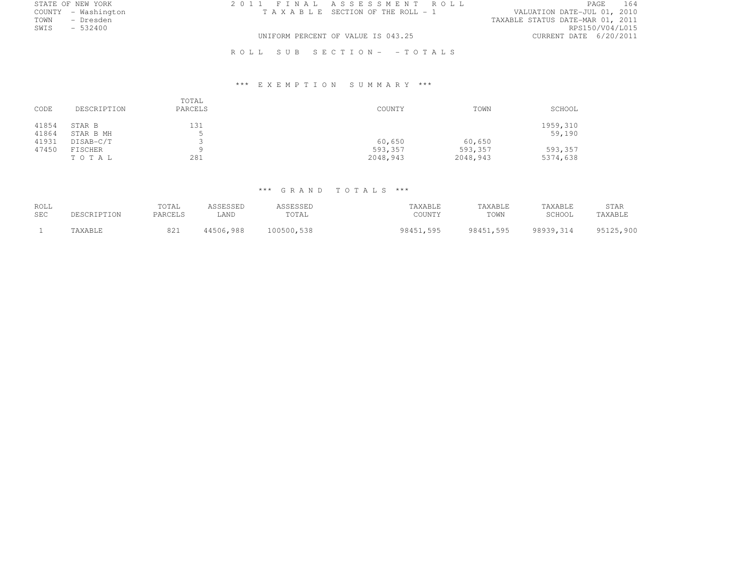| STATE OF NEW YORK   |  | 2011 FINAL ASSESSMENT ROLL         |                                  | PAGE.           | 164 |
|---------------------|--|------------------------------------|----------------------------------|-----------------|-----|
| COUNTY - Washington |  | TAXABLE SECTION OF THE ROLL - 1    | VALUATION DATE-JUL 01, 2010      |                 |     |
| TOWN<br>- Dresden   |  |                                    | TAXABLE STATUS DATE-MAR 01, 2011 |                 |     |
| SWIS<br>$-532400$   |  |                                    |                                  | RPS150/V04/L015 |     |
|                     |  | UNIFORM PERCENT OF VALUE IS 043.25 | CURRENT DATE 6/20/2011           |                 |     |

R O L L S U B S E C T I O N - - T O T A L S

# \*\*\* E X E M P T I O N S U M M A R Y \*\*\*

| CODE           | DESCRIPTION         | TOTAL<br>PARCELS | COUNTY              | TOWN                | SCHOOL              |
|----------------|---------------------|------------------|---------------------|---------------------|---------------------|
| 41854<br>41864 | STAR B<br>STAR B MH | 131<br>ъ.<br>ر   |                     |                     | 1959,310<br>59,190  |
| 41931          | DISAB-C/T           | ینه              | 60,650              | 60,650              |                     |
| 47450          | FISCHER<br>TOTAL    | a<br>281         | 593,357<br>2048,943 | 593,357<br>2048,943 | 593,357<br>5374,638 |

# \*\*\* G R A N D T O T A L S \*\*\*

| ROLL       | DESCRIPTION | TOTAL   | ASSESSED  | ASSESSED   | TAXABLE   | TAXABLE   | TAXABLE   | <b>STAR</b> |
|------------|-------------|---------|-----------|------------|-----------|-----------|-----------|-------------|
| <b>SEC</b> |             | PARCELS | LAND      | TOTAL      | COUNTY    | TOWN      | SCHOOL    | TAXABLE     |
|            | TAXABLE     | 821     | 44506,988 | 100500,538 | 98451.595 | 98451,595 | 98939,314 | 95125,900   |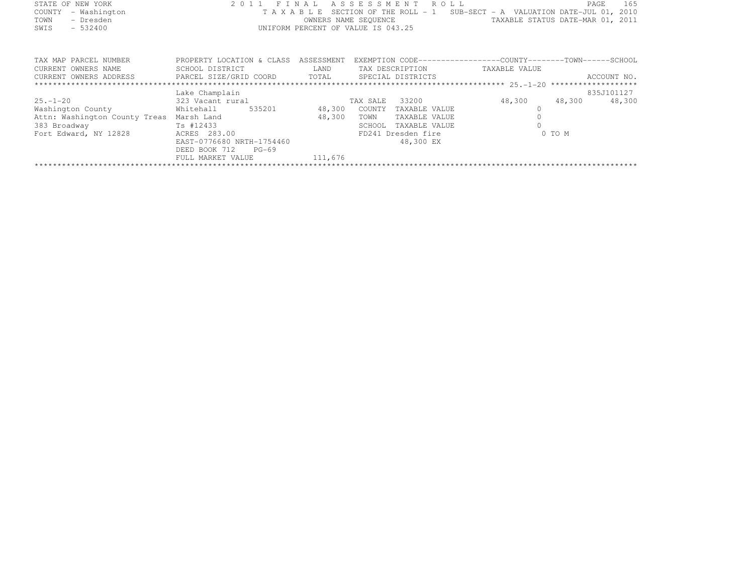|      | STATE OF NEW YORK   | 2011 FINAL ASSESSMENT ROLL                                                     |                                  | PAGE | - 165 |
|------|---------------------|--------------------------------------------------------------------------------|----------------------------------|------|-------|
|      | COUNTY - Washington | T A X A B L E SECTION OF THE ROLL - 1 SUB-SECT - A VALUATION DATE-JUL 01, 2010 |                                  |      |       |
| TOWN | - Dresden           | OWNERS NAME SEOUENCE                                                           | TAXABLE STATUS DATE-MAR 01, 2011 |      |       |
| SWIS | $-532400$           | UNIFORM PERCENT OF VALUE IS 043.25                                             |                                  |      |       |
|      |                     |                                                                                |                                  |      |       |
|      |                     |                                                                                |                                  |      |       |

| TAX MAP PARCEL NUMBER<br>CURRENT OWNERS NAME | PROPERTY LOCATION & CLASS<br>SCHOOL DISTRICT | ASSESSMENT<br>LAND |          | TAX DESCRIPTION    | EXEMPTION CODE------------------COUNTY-------TOWN------SCHOOL<br>TAXABLE VALUE |        |             |
|----------------------------------------------|----------------------------------------------|--------------------|----------|--------------------|--------------------------------------------------------------------------------|--------|-------------|
| CURRENT OWNERS ADDRESS                       | PARCEL SIZE/GRID COORD                       | TOTAL              |          | SPECIAL DISTRICTS  |                                                                                |        | ACCOUNT NO. |
|                                              |                                              |                    |          |                    |                                                                                |        |             |
|                                              | Lake Champlain                               |                    |          |                    |                                                                                |        | 835J101127  |
| $25. - 1 - 20$                               | 323 Vacant rural                             |                    | TAX SALE | 33200              | 48,300                                                                         | 48,300 | 48,300      |
| Washington County                            | Whitehall<br>535201                          | 48,300             | COUNTY   | TAXABLE VALUE      |                                                                                |        |             |
| Attn: Washington County Treas                | Marsh Land                                   | 48,300             | TOWN     | TAXABLE VALUE      |                                                                                |        |             |
| 383 Broadway                                 | Ts #12433                                    |                    | SCHOOL   | TAXABLE VALUE      |                                                                                |        |             |
| Fort Edward, NY 12828                        | ACRES 283.00                                 |                    |          | FD241 Dresden fire |                                                                                | 0 TO M |             |
|                                              | EAST-0776680 NRTH-1754460                    |                    |          | 48,300 EX          |                                                                                |        |             |
|                                              | DEED BOOK 712<br>$PG-69$                     |                    |          |                    |                                                                                |        |             |
|                                              | FULL MARKET VALUE                            | 111,676            |          |                    |                                                                                |        |             |
|                                              |                                              |                    |          |                    |                                                                                |        |             |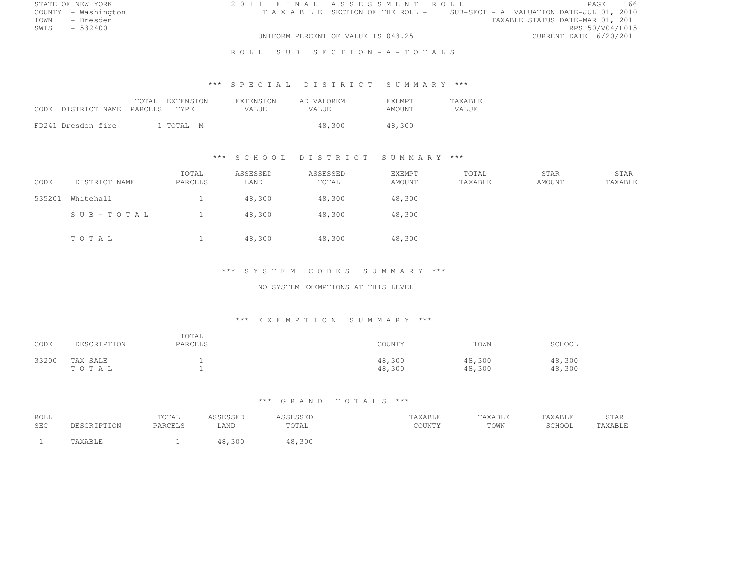| STATE OF NEW YORK |                     |  |  | 2011 FINAL ASSESSMENT ROLL                                                     |  |                                  |                        | PAGE. | 166 |
|-------------------|---------------------|--|--|--------------------------------------------------------------------------------|--|----------------------------------|------------------------|-------|-----|
|                   | COUNTY - Washington |  |  | T A X A B L E SECTION OF THE ROLL - 1 SUB-SECT - A VALUATION DATE-JUL 01, 2010 |  |                                  |                        |       |     |
| TOWN              | - Dresden           |  |  |                                                                                |  | TAXABLE STATUS DATE-MAR 01, 2011 |                        |       |     |
| SWIS              | $-532400$           |  |  |                                                                                |  |                                  | RPS150/V04/L015        |       |     |
|                   |                     |  |  | UNIFORM PERCENT OF VALUE IS 043.25                                             |  |                                  | CURRENT DATE 6/20/2011 |       |     |
|                   |                     |  |  | ROLL SUB SECTION-A-TOTALS                                                      |  |                                  |                        |       |     |

# \*\*\* S P E C I A L D I S T R I C T S U M M A R Y \*\*\*

| CODE DISTRICT NAME PARCELS | TOTAL. | EXTENSION<br>TYPE. | <b>EXTENSION</b><br>VALUE. | AD VALOREM<br><b>VALUE</b> | <b>EXEMPT</b><br>AMOUNT | <b>TAXABLE</b><br><b>VALUE</b> |
|----------------------------|--------|--------------------|----------------------------|----------------------------|-------------------------|--------------------------------|
| FD241 Dresden fire         |        | 1 TOTAL M          |                            | 48,300                     | 48,300                  |                                |

# \*\*\* S C H O O L D I S T R I C T S U M M A R Y \*\*\*

| CODE   | DISTRICT NAME | TOTAL<br>PARCELS | ASSESSED<br>LAND | ASSESSED<br>TOTAL | EXEMPT<br>AMOUNT | TOTAL<br>TAXABLE | STAR<br>AMOUNT | STAR<br>TAXABLE |
|--------|---------------|------------------|------------------|-------------------|------------------|------------------|----------------|-----------------|
| 535201 | Whitehall     |                  | 48,300           | 48,300            | 48,300           |                  |                |                 |
|        | SUB-TOTAL     |                  | 48,300           | 48,300            | 48,300           |                  |                |                 |
|        | TOTAL         |                  | 48,300           | 48,300            | 48,300           |                  |                |                 |

#### \*\*\* S Y S T E M C O D E S S U M M A R Y \*\*\*

### NO SYSTEM EXEMPTIONS AT THIS LEVEL

# \*\*\* E X E M P T I O N S U M M A R Y \*\*\*

| CODE  | DESCRIPTION       | TOTAL<br>PARCELS | COUNTY           | TOWN             | SCHOOL           |
|-------|-------------------|------------------|------------------|------------------|------------------|
| 33200 | TAX SALE<br>TOTAL |                  | 48,300<br>48,300 | 48,300<br>48,300 | 48,300<br>48,300 |

# \*\*\* G R A N D T O T A L S \*\*\*

| ROLL<br><b>SEC</b> | <b>DESCRIPTION</b> | TOTAL<br>PARCELS | <b>ICCFCCFF</b><br>שטטט<br>LAND | <b>COLCOLI</b><br>תטטטשטר<br>TOTAL | TAXABLE<br>COUNTY | TAXABLE<br>TOWN | TAXABLE<br>SCHOOL | <b>STAR</b><br>the contract of the contract of the<br>TAXABLE |
|--------------------|--------------------|------------------|---------------------------------|------------------------------------|-------------------|-----------------|-------------------|---------------------------------------------------------------|
|                    | TAXABLE            |                  | 48,300                          | 48,300                             |                   |                 |                   |                                                               |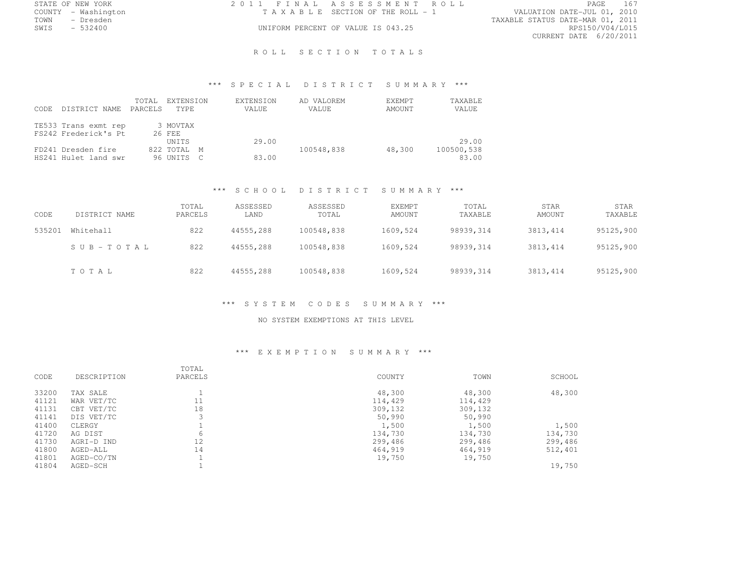| STATE OF NEW YORK   | 2011 FINAL ASSESSMENT ROLL         | 167<br>PAGE                      |
|---------------------|------------------------------------|----------------------------------|
| COUNTY - Washington | TAXABLE SECTION OF THE ROLL - 1    | VALUATION DATE-JUL 01, 2010      |
| TOWN<br>- Dresden   |                                    | TAXABLE STATUS DATE-MAR 01, 2011 |
| SWIS<br>$-532400$   | UNIFORM PERCENT OF VALUE IS 043.25 | RPS150/V04/L015                  |
|                     |                                    | CURRENT DATE 6/20/2011           |

ROLL SECTION TOTALS

# \*\*\* S P E C I A L D I S T R I C T S U M M A R Y \*\*\*

| CODE. | DISTRICT NAME                                | TOTAL<br>PARCELS | EXTENSION<br>TYPE. | EXTENSION<br>VALUE | AD VALOREM<br>VALUE | EXEMPT<br>AMOUNT | TAXABLE<br>VALUE |
|-------|----------------------------------------------|------------------|--------------------|--------------------|---------------------|------------------|------------------|
|       | TE533 Trans exmt rep<br>FS242 Frederick's Pt |                  | 3 MOVTAX<br>26 FEE |                    |                     |                  |                  |
|       |                                              |                  | <b>UNTTS</b>       | 29.00              |                     |                  | 29.00            |
|       | FD241 Dresden fire                           |                  | 822 TOTAL M        |                    | 100548.838          | 48,300           | 100500,538       |
|       | HS241 Hulet land swr                         |                  | 96 UNITS C         | 83.00              |                     |                  | 83.00            |

#### \*\*\* S C H O O L D I S T R I C T S U M M A R Y \*\*\*

| CODE   | DISTRICT NAME | TOTAL<br>PARCELS | ASSESSED<br>LAND | ASSESSED<br>TOTAL | <b>EXEMPT</b><br><b>AMOUNT</b> | TOTAL<br>TAXABLE | <b>STAR</b><br>AMOUNT | <b>STAR</b><br>TAXABLE |
|--------|---------------|------------------|------------------|-------------------|--------------------------------|------------------|-----------------------|------------------------|
| 535201 | Whitehall     | 822              | 44555,288        | 100548,838        | 1609,524                       | 98939,314        | 3813, 414             | 95125,900              |
|        | SUB-TOTAL     | 822              | 44555,288        | 100548,838        | 1609,524                       | 98939,314        | 3813, 414             | 95125,900              |
|        | TOTAL         | 822              | 44555.288        | 100548,838        | 1609,524                       | 98939,314        | 3813, 414             | 95125,900              |

# \*\*\* S Y S T E M C O D E S S U M M A R Y \*\*\*

#### NO SYSTEM EXEMPTIONS AT THIS LEVEL

# \*\*\* E X E M P T I O N S U M M A R Y \*\*\*

|       |             | TOTAL   |         |         |         |
|-------|-------------|---------|---------|---------|---------|
| CODE  | DESCRIPTION | PARCELS | COUNTY  | TOWN    | SCHOOL  |
| 33200 | TAX SALE    |         | 48,300  | 48,300  | 48,300  |
| 41121 | WAR VET/TC  | 11      | 114,429 | 114,429 |         |
| 41131 | CBT VET/TC  | 18      | 309,132 | 309,132 |         |
| 41141 | DIS VET/TC  | 3       | 50,990  | 50,990  |         |
| 41400 | CLERGY      |         | 1,500   | 1,500   | 1,500   |
| 41720 | AG DIST     | 6       | 134,730 | 134,730 | 134,730 |
| 41730 | AGRI-D IND  | 12      | 299,486 | 299,486 | 299,486 |
| 41800 | AGED-ALL    | 14      | 464,919 | 464,919 | 512,401 |
| 41801 | AGED-CO/TN  |         | 19,750  | 19,750  |         |
| 41804 | AGED-SCH    |         |         |         | 19,750  |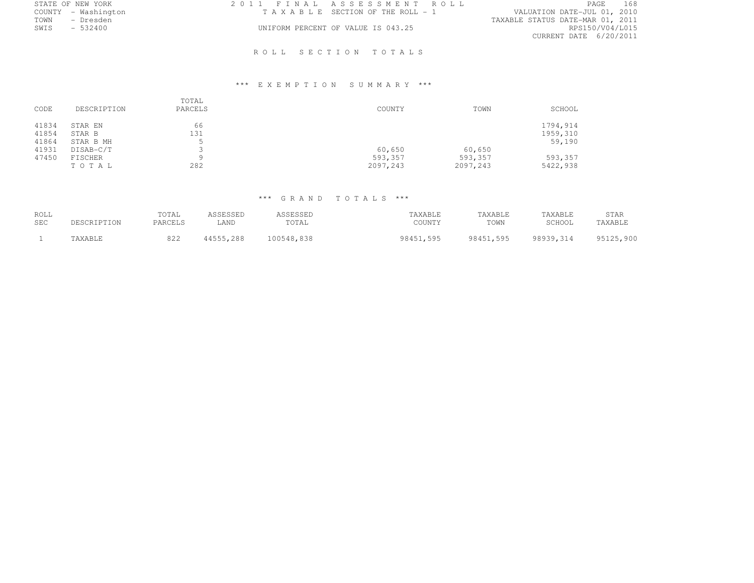| 2011 FINAL ASSESSMENT ROLL         | 168<br>PAGE                      |
|------------------------------------|----------------------------------|
| TAXABLE SECTION OF THE ROLL - 1    | VALUATION DATE-JUL 01, 2010      |
|                                    | TAXABLE STATUS DATE-MAR 01, 2011 |
| UNIFORM PERCENT OF VALUE IS 043.25 | RPS150/V04/L015                  |
|                                    | CURRENT DATE 6/20/2011           |
|                                    |                                  |

# ROLL SECTION TOTALS

# \*\*\* E X E M P T I O N S U M M A R Y \*\*\*

| CODE           | DESCRIPTION            | TOTAL<br>PARCELS | COUNTY               | TOWN                | SCHOOL               |
|----------------|------------------------|------------------|----------------------|---------------------|----------------------|
| 41834<br>41854 | STAR EN<br>STAR B      | 66<br>131        |                      |                     | 1794,914<br>1959,310 |
| 41864<br>41931 | STAR B MH<br>DISAB-C/T |                  | 60,650               | 60,650              | 59,190               |
| 47450          | FISCHER<br>TOTAL       | a<br>282         | 593,357<br>2097, 243 | 593,357<br>2097,243 | 593,357<br>5422,938  |

# \*\*\* G R A N D T O T A L S \*\*\*

| ROLL<br><b>SEC</b> | DESCRIPTION | TOTAL<br>PARCELS | ASSESSED<br>∟AND | ASSESSED<br>TOTAL | TAXABLE<br>COUNTY | TAXABLE<br>TOWN | TAXABLE<br>SCHOOL | <b>STAR</b><br>TAXABLE |
|--------------------|-------------|------------------|------------------|-------------------|-------------------|-----------------|-------------------|------------------------|
|                    | TAXABLE     | 822              | 44555,288        | 100548,838        | 98451.595         | 98451.595       | 98939.314         | 95125,900              |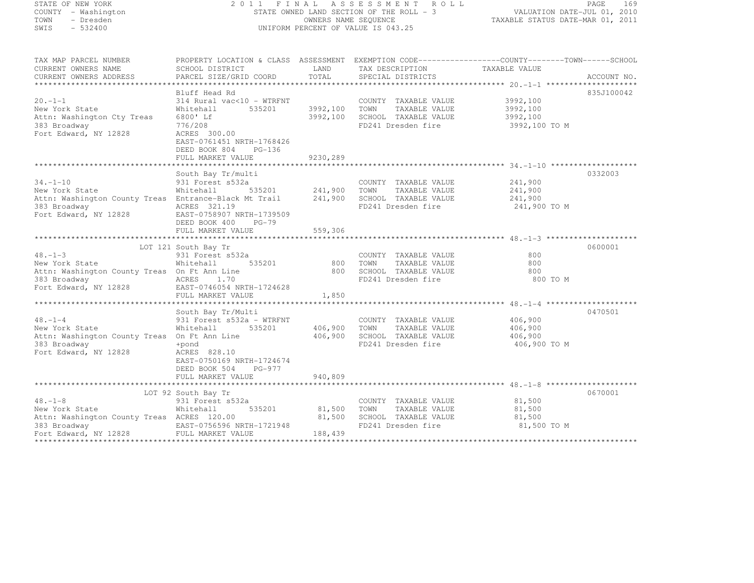| STATE OF NEW YORK<br>COUNTY - Washington<br>TOWN<br>- Dresden                            | 2011 FINAL                             |                                    | ASSESSMENT ROLL                                | STATE OWNED LAND SECTION OF THE ROLL - 3<br>OWNERS NAME SEQUENCE<br>TAXABLE STATUS DATE-MAR 01, 2011 | PAGE<br>169 |
|------------------------------------------------------------------------------------------|----------------------------------------|------------------------------------|------------------------------------------------|------------------------------------------------------------------------------------------------------|-------------|
| SWIS<br>$-532400$                                                                        |                                        |                                    | UNIFORM PERCENT OF VALUE IS 043.25             |                                                                                                      |             |
| TAX MAP PARCEL NUMBER                                                                    |                                        |                                    |                                                | PROPERTY LOCATION & CLASS ASSESSMENT EXEMPTION CODE----------------COUNTY-------TOWN-----SCHOOL      |             |
| CURRENT OWNERS NAME                                                                      | SCHOOL DISTRICT                        | LAND                               | TAX DESCRIPTION TAXABLE VALUE                  |                                                                                                      |             |
| CURRENT OWNERS ADDRESS                                                                   | PARCEL SIZE/GRID COORD                 | TOTAL                              | SPECIAL DISTRICTS                              |                                                                                                      | ACCOUNT NO. |
|                                                                                          |                                        |                                    |                                                |                                                                                                      |             |
|                                                                                          | Bluff Head Rd                          |                                    |                                                |                                                                                                      | 835J100042  |
| $20. -1 - 1$                                                                             | 314 Rural vac<10 - WTRFNT<br>535201    |                                    | COUNTY TAXABLE VALUE                           | 3992,100                                                                                             |             |
| New York State<br>Attn: Washington Cty Treas                                             | Whitehall<br>6800' Lf                  | 3992,100 TOWN                      | TAXABLE VALUE<br>3992,100 SCHOOL TAXABLE VALUE | 3992,100<br>3992,100                                                                                 |             |
| 383 Broadway                                                                             | 776/208                                |                                    | FD241 Dresden fire                             | 3992,100 TO M                                                                                        |             |
| Fort Edward, NY 12828                                                                    | ACRES 300.00                           |                                    |                                                |                                                                                                      |             |
|                                                                                          | EAST-0761451 NRTH-1768426              |                                    |                                                |                                                                                                      |             |
|                                                                                          | DEED BOOK 804<br>$PG-136$              |                                    |                                                |                                                                                                      |             |
|                                                                                          | FULL MARKET VALUE                      | 9230,289                           |                                                |                                                                                                      |             |
|                                                                                          |                                        |                                    |                                                |                                                                                                      | 0332003     |
| $34. -1 - 10$                                                                            | South Bay Tr/multi<br>931 Forest s532a |                                    | COUNTY TAXABLE VALUE                           | 241,900                                                                                              |             |
| New York State                                                                           | Whitehall                              |                                    | TOWN<br>TAXABLE VALUE                          |                                                                                                      |             |
| Attn: Washington County Treas Entrance-Black Mt Trail                                    |                                        | 535201 241,900<br>At Trail 241,900 | SCHOOL TAXABLE VALUE                           | 241,900<br>241,900                                                                                   |             |
| 383 Broadway                                                                             | ACRES 321.19                           |                                    | FD241 Dresden fire                             | 241,900 TO M                                                                                         |             |
| Fort Edward, NY 12828 EAST-0758907 NRTH-1739509                                          |                                        |                                    |                                                |                                                                                                      |             |
|                                                                                          | DEED BOOK 400 PG-79                    |                                    |                                                |                                                                                                      |             |
|                                                                                          | FULL MARKET VALUE                      | 559,306                            |                                                |                                                                                                      |             |
|                                                                                          | LOT 121 South Bay Tr                   |                                    |                                                |                                                                                                      | 0600001     |
| $48. -1 - 3$                                                                             | 931 Forest s532a                       |                                    | COUNTY TAXABLE VALUE                           | 800                                                                                                  |             |
| New York State                                                                           | 535201<br>Whitehall                    | 800 TOWN                           | TAXABLE VALUE                                  | 800                                                                                                  |             |
| Attn: Washington County Treas On Ft Ann Line                                             |                                        |                                    | 800 SCHOOL TAXABLE VALUE                       | 800                                                                                                  |             |
| 383 Broadway<br>Fort Edward, NY 12828                                                    | ACRES 1.70                             |                                    | FD241 Dresden fire                             | 800 TO M                                                                                             |             |
|                                                                                          | EAST-0746054 NRTH-1724628              |                                    |                                                |                                                                                                      |             |
|                                                                                          | FULL MARKET VALUE                      | 1,850                              |                                                |                                                                                                      |             |
|                                                                                          | South Bay Tr/Multi                     |                                    |                                                |                                                                                                      | 0470501     |
| $48. -1 - 4$                                                                             | 931 Forest s532a - WTRFNT              |                                    | COUNTY TAXABLE VALUE                           | 406,900                                                                                              |             |
| New York State                                                                           | 535201<br>Whitehall                    | 406,900                            | TOWN<br>TAXABLE VALUE                          | 406,900                                                                                              |             |
| Attn: Washington County Treas On Ft Ann Line                                             |                                        | 406,900                            | SCHOOL TAXABLE VALUE                           | 406,900                                                                                              |             |
| 383 Broadway                                                                             | +pond                                  |                                    | FD241 Dresden fire                             | 406,900 TO M                                                                                         |             |
| Fort Edward, NY 12828                                                                    | ACRES 828.10                           |                                    |                                                |                                                                                                      |             |
|                                                                                          | EAST-0750169 NRTH-1724674              |                                    |                                                |                                                                                                      |             |
|                                                                                          | DEED BOOK 504<br>PG-977                |                                    |                                                |                                                                                                      |             |
|                                                                                          | FULL MARKET VALUE                      | 940,809                            |                                                |                                                                                                      |             |
|                                                                                          | LOT 92 South Bay Tr                    |                                    |                                                |                                                                                                      | 0670001     |
| $48. - 1 - 8$                                                                            | 931 Forest s532a                       |                                    | COUNTY TAXABLE VALUE                           | 81,500                                                                                               |             |
| New York State                                                                           | 535201<br>Whitehall                    | 81,500                             | TOWN<br>TAXABLE VALUE                          | 81,500                                                                                               |             |
| Attn: Washington County Treas ACRES 120.00                                               |                                        | 81,500                             | SCHOOL TAXABLE VALUE                           | 81,500                                                                                               |             |
| 383 Broadway <b>EAST-0756596 NRTH-1721948</b><br>Fort Edward, NY 12828 FULL MARKET VALUE |                                        |                                    | FD241 Dresden fire                             | 81,500 TO M                                                                                          |             |
|                                                                                          |                                        | 188,439                            |                                                |                                                                                                      |             |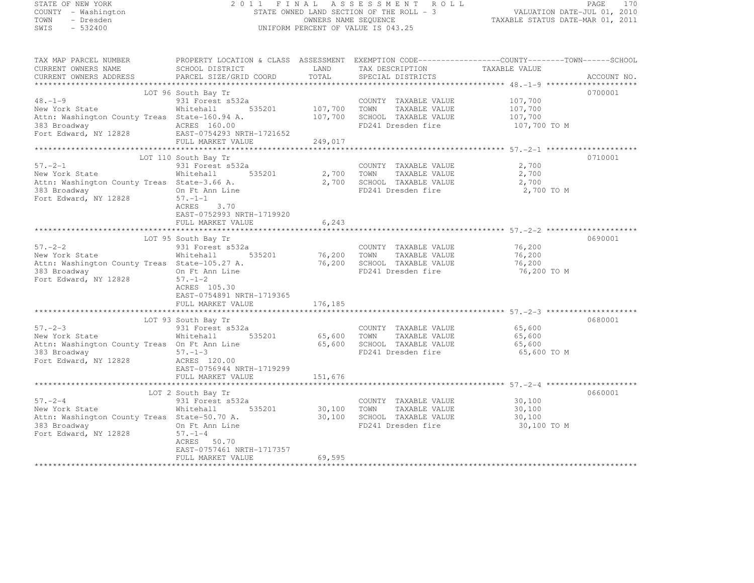| STATE OF NEW YORK                  |                                                                                                                                                                                                                                      |        | 2011 FINAL ASSESSMENT ROLL                                                                                                                                                         |                                                                                                                                                                                                                                                                                                                                                                                                | PAGE<br>170 |
|------------------------------------|--------------------------------------------------------------------------------------------------------------------------------------------------------------------------------------------------------------------------------------|--------|------------------------------------------------------------------------------------------------------------------------------------------------------------------------------------|------------------------------------------------------------------------------------------------------------------------------------------------------------------------------------------------------------------------------------------------------------------------------------------------------------------------------------------------------------------------------------------------|-------------|
| COUNTY - Washington                |                                                                                                                                                                                                                                      |        | FAGE ITO STATE OWNED LAND SECTION OF THE ROLL - 3<br>STATE OWNED LAND SECTION OF THE ROLL - 3<br>CHARABLE STATUS DATE-JUL 01, 2010<br>INMERGENT OF MANAGE STATUS DATE-MAR 01, 2011 |                                                                                                                                                                                                                                                                                                                                                                                                |             |
| TOWN - Dresden<br>SWIS - 532400    |                                                                                                                                                                                                                                      |        | UNIFORM PERCENT OF VALUE IS 043.25                                                                                                                                                 |                                                                                                                                                                                                                                                                                                                                                                                                |             |
|                                    |                                                                                                                                                                                                                                      |        |                                                                                                                                                                                    |                                                                                                                                                                                                                                                                                                                                                                                                |             |
|                                    | TAX MAP PARCEL NUMBER THE PROPERTY LOCATION & CLASS ASSESSMENT EXEMPTION CODE----------------COUNTY--------TOWN------SCHOOL                                                                                                          |        |                                                                                                                                                                                    |                                                                                                                                                                                                                                                                                                                                                                                                |             |
|                                    |                                                                                                                                                                                                                                      |        |                                                                                                                                                                                    |                                                                                                                                                                                                                                                                                                                                                                                                |             |
|                                    |                                                                                                                                                                                                                                      |        |                                                                                                                                                                                    |                                                                                                                                                                                                                                                                                                                                                                                                | ACCOUNT NO. |
|                                    |                                                                                                                                                                                                                                      |        |                                                                                                                                                                                    |                                                                                                                                                                                                                                                                                                                                                                                                | 0700001     |
|                                    |                                                                                                                                                                                                                                      |        |                                                                                                                                                                                    | 107,700                                                                                                                                                                                                                                                                                                                                                                                        |             |
|                                    |                                                                                                                                                                                                                                      |        |                                                                                                                                                                                    | 107,700                                                                                                                                                                                                                                                                                                                                                                                        |             |
|                                    |                                                                                                                                                                                                                                      |        |                                                                                                                                                                                    | $\frac{107}{107}$ , 700                                                                                                                                                                                                                                                                                                                                                                        |             |
|                                    |                                                                                                                                                                                                                                      |        |                                                                                                                                                                                    | 107,700 TO M                                                                                                                                                                                                                                                                                                                                                                                   |             |
|                                    | 931 Forest s532a COUNTY TAXABLE VALUE<br>Mew York State Mhitehall 535201 107,700 TOWN TAXABLE VALUE<br>Attn: Washington County Treas State-160.94 A. 107,700 SCHOOL TAXABLE VALUE<br>Theodor fire and ACRES 160.00 Fort Edward, NY 1 |        |                                                                                                                                                                                    |                                                                                                                                                                                                                                                                                                                                                                                                |             |
|                                    |                                                                                                                                                                                                                                      |        |                                                                                                                                                                                    |                                                                                                                                                                                                                                                                                                                                                                                                |             |
|                                    |                                                                                                                                                                                                                                      |        |                                                                                                                                                                                    |                                                                                                                                                                                                                                                                                                                                                                                                |             |
| $57. - 2 - 1$                      | LOT 110 South Bay Tr<br>South Bay Tr<br>931 Forest s532a                                                                                                                                                                             |        | COUNTY TAXABLE VALUE                                                                                                                                                               | 2,700                                                                                                                                                                                                                                                                                                                                                                                          | 0710001     |
| New York State                     |                                                                                                                                                                                                                                      |        |                                                                                                                                                                                    |                                                                                                                                                                                                                                                                                                                                                                                                |             |
|                                    | Whitehall 535201 2,700 TOWN TAXABLE VALUE $2,700$<br>State-3.66 A. 2,700 SCHOOL TAXABLE VALUE $2,700$<br>On Ft App Line<br>Attn: Washington County Treas State-3.66 A.                                                               |        |                                                                                                                                                                                    |                                                                                                                                                                                                                                                                                                                                                                                                |             |
| 383 Broadway                       | On Ft Ann Line                                                                                                                                                                                                                       |        | FD241 Dresden fire 2,700 TO M                                                                                                                                                      |                                                                                                                                                                                                                                                                                                                                                                                                |             |
| Fort Edward, NY 12828 $57. -1 -1$  |                                                                                                                                                                                                                                      |        |                                                                                                                                                                                    |                                                                                                                                                                                                                                                                                                                                                                                                |             |
|                                    | ACRES 3.70                                                                                                                                                                                                                           |        |                                                                                                                                                                                    |                                                                                                                                                                                                                                                                                                                                                                                                |             |
|                                    | EAST-0752993 NRTH-1719920                                                                                                                                                                                                            |        |                                                                                                                                                                                    |                                                                                                                                                                                                                                                                                                                                                                                                |             |
|                                    | FULL MARKET VALUE                                                                                                                                                                                                                    | 6,243  |                                                                                                                                                                                    |                                                                                                                                                                                                                                                                                                                                                                                                |             |
|                                    |                                                                                                                                                                                                                                      |        |                                                                                                                                                                                    |                                                                                                                                                                                                                                                                                                                                                                                                |             |
|                                    | LOT 95 South Bay Tr<br>931 Forest s532a<br>LOT 95 South Bay Tr                                                                                                                                                                       |        |                                                                                                                                                                                    |                                                                                                                                                                                                                                                                                                                                                                                                | 0690001     |
| $57 - 2 - 2$                       |                                                                                                                                                                                                                                      |        | COUNTY TAXABLE VALUE                                                                                                                                                               | 76,200                                                                                                                                                                                                                                                                                                                                                                                         |             |
| New York State                     |                                                                                                                                                                                                                                      |        |                                                                                                                                                                                    | 76,200<br>76,200                                                                                                                                                                                                                                                                                                                                                                               |             |
| 383 Broadway                       | Sui roiest sould be 16,200 TOWN TAXABLE VALUE<br>s State-105.27 A. 76,200 SCHOOL TAXABLE VALUE<br>On Ft Ann Line FD241 Dresden fire<br>Attn: Washington County Treas State-105.27 A.                                                 |        |                                                                                                                                                                                    | 76,200 TO M                                                                                                                                                                                                                                                                                                                                                                                    |             |
| Fort Edward, NY 12828              | On Ft Ann Line<br>$57. - 1 - 2$                                                                                                                                                                                                      |        |                                                                                                                                                                                    |                                                                                                                                                                                                                                                                                                                                                                                                |             |
|                                    | ACRES 105.30                                                                                                                                                                                                                         |        |                                                                                                                                                                                    |                                                                                                                                                                                                                                                                                                                                                                                                |             |
|                                    | EAST-0754891 NRTH-1719365                                                                                                                                                                                                            |        |                                                                                                                                                                                    |                                                                                                                                                                                                                                                                                                                                                                                                |             |
|                                    | FULL MARKET VALUE 176,185                                                                                                                                                                                                            |        |                                                                                                                                                                                    |                                                                                                                                                                                                                                                                                                                                                                                                |             |
|                                    |                                                                                                                                                                                                                                      |        |                                                                                                                                                                                    |                                                                                                                                                                                                                                                                                                                                                                                                |             |
|                                    | LOT 93 South Bay Tr                                                                                                                                                                                                                  |        |                                                                                                                                                                                    |                                                                                                                                                                                                                                                                                                                                                                                                | 0680001     |
| $57 - 2 - 3$                       | EUI 53 SOUNTY TAXABLE VALUE<br>Whitehall 535201 65,600 TOWN TAXABLE VALUE                                                                                                                                                            |        | COUNTY TAXABLE VALUE 65,600                                                                                                                                                        |                                                                                                                                                                                                                                                                                                                                                                                                |             |
| New York State                     |                                                                                                                                                                                                                                      |        |                                                                                                                                                                                    | 65,600                                                                                                                                                                                                                                                                                                                                                                                         |             |
|                                    | Attn: Washington County Treas On Ft Ann Line                         65,600   SCHOOL  TAXABLE VALUE                                                                                                                                  |        |                                                                                                                                                                                    | 65,600                                                                                                                                                                                                                                                                                                                                                                                         |             |
| 383 Broadway                       | $57. - 1 - 3$                                                                                                                                                                                                                        |        | FD241 Dresden fire                                                                                                                                                                 | 65,600 TO M                                                                                                                                                                                                                                                                                                                                                                                    |             |
| Fort Edward, NY 12828 ACRES 120.00 | EAST-0756944 NRTH-1719299                                                                                                                                                                                                            |        |                                                                                                                                                                                    |                                                                                                                                                                                                                                                                                                                                                                                                |             |
|                                    | FULL MARKET VALUE 151,676                                                                                                                                                                                                            |        |                                                                                                                                                                                    |                                                                                                                                                                                                                                                                                                                                                                                                |             |
|                                    |                                                                                                                                                                                                                                      |        |                                                                                                                                                                                    |                                                                                                                                                                                                                                                                                                                                                                                                |             |
|                                    | LOT 2 South Bay Tr                                                                                                                                                                                                                   |        |                                                                                                                                                                                    |                                                                                                                                                                                                                                                                                                                                                                                                | 0660001     |
| $57 - 2 - 4$                       | 931 Forest s532a                                                                                                                                                                                                                     |        | COUNTY TAXABLE VALUE                                                                                                                                                               | 30,100                                                                                                                                                                                                                                                                                                                                                                                         |             |
| New York State                     | Whitehall 535201 30,100 TOWN                                                                                                                                                                                                         |        | TAXABLE VALUE                                                                                                                                                                      | 30,100                                                                                                                                                                                                                                                                                                                                                                                         |             |
|                                    | Attn: Washington County Treas State-50.70 A.                                                                                                                                                                                         | 30,100 | SCHOOL TAXABLE VALUE                                                                                                                                                               | 30,100<br>$\overline{a}$ $\overline{a}$ $\overline{a}$ $\overline{a}$ $\overline{a}$ $\overline{a}$ $\overline{a}$ $\overline{a}$ $\overline{a}$ $\overline{a}$ $\overline{a}$ $\overline{a}$ $\overline{a}$ $\overline{a}$ $\overline{a}$ $\overline{a}$ $\overline{a}$ $\overline{a}$ $\overline{a}$ $\overline{a}$ $\overline{a}$ $\overline{a}$ $\overline{a}$ $\overline{a}$ $\overline{$ |             |
|                                    |                                                                                                                                                                                                                                      |        |                                                                                                                                                                                    |                                                                                                                                                                                                                                                                                                                                                                                                |             |

383 Broadway On Ft Ann Line FD241 Dresden fire 30,100 TO M

\*\*\*\*\*\*\*\*\*\*\*\*\*\*\*\*\*\*\*\*\*\*\*\*\*\*\*\*\*\*\*\*\*\*\*\*\*\*\*\*\*\*\*\*\*\*\*\*\*\*\*\*\*\*\*\*\*\*\*\*\*\*\*\*\*\*\*\*\*\*\*\*\*\*\*\*\*\*\*\*\*\*\*\*\*\*\*\*\*\*\*\*\*\*\*\*\*\*\*\*\*\*\*\*\*\*\*\*\*\*\*\*\*\*\*\*\*\*\*\*\*\*\*\*\*\*\*\*\*\*\*\*

ACRES 50.70 EAST-0757461 NRTH-1717357

FULL MARKET VALUE 69,595

Fort Edward, NY 12828 57.-1-4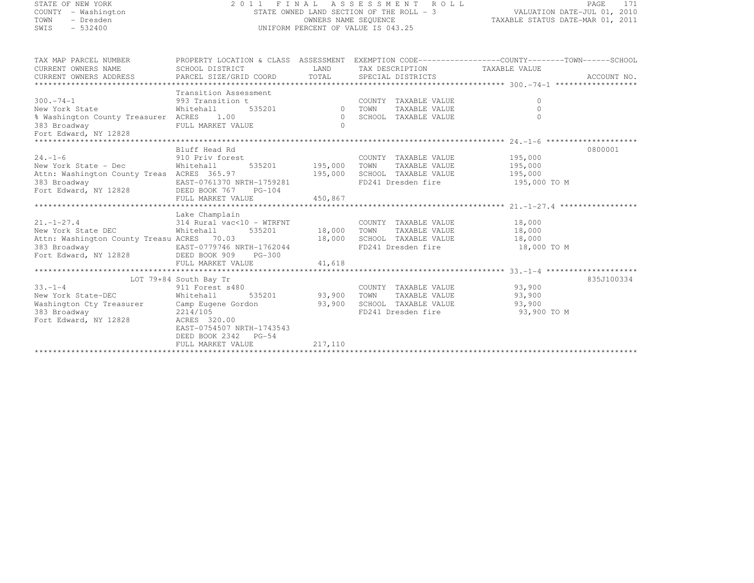| STATE OF NEW YORK<br>COUNTY - Washington<br>TOWN<br>- Dresden<br>SWIS<br>$-532400$                                                          | 2011 FINAL ASSESSMENT ROLL<br>STATE OWNED LAND SECTION OF THE ROLL - 3<br>UNIFORM PERCENT OF VALUE IS 043.25                     | PAGE<br>171<br>VALUATION DATE-JUL 01, 2010<br>TAXABLE STATUS DATE-MAR 01, 2011 |                                                                                                                                                        |                                           |             |
|---------------------------------------------------------------------------------------------------------------------------------------------|----------------------------------------------------------------------------------------------------------------------------------|--------------------------------------------------------------------------------|--------------------------------------------------------------------------------------------------------------------------------------------------------|-------------------------------------------|-------------|
| TAX MAP PARCEL NUMBER                                                                                                                       | PROPERTY LOCATION & CLASS ASSESSMENT EXEMPTION CODE----------------COUNTY-------TOWN------SCHOOL                                 |                                                                                |                                                                                                                                                        |                                           |             |
|                                                                                                                                             |                                                                                                                                  |                                                                                | TAX DESCRIPTION TAXABLE VALUE<br>SPECIAL DISTRICTS                                                                                                     |                                           | ACCOUNT NO. |
| $300 - 74 - 1$<br>New York State<br>% Washington County Treasurer ACRES 1.00<br>383 Broadway<br>Fort Edward, NY 12828                       | Transition Assessment<br>993 Transition t<br>on t COUNT COUNT<br>Whitehall<br>FULL MARKET VALUE                                  | $\Omega$<br>$\bigcap$                                                          | COUNTY TAXABLE VALUE<br>TAXABLE VALUE<br>SCHOOL TAXABLE VALUE                                                                                          | $\circ$<br>$\Omega$<br>$\Omega$           |             |
| Attn: Washington County Treas ACRES 365.97<br>383 Broadway<br>Fort Edward, NY 12828                                                         | Bluff Head Rd                                                                                                                    | 195,000                                                                        | COUNTY TAXABLE VALUE<br>535201                 195,000     TOWN       TAXABLE VALUE<br>SCHOOL TAXABLE VALUE 195,000<br>FD241 Dresden fire 195,000 TO M | 195,000<br>195,000                        | 0800001     |
| $21. - 1 - 27.4$<br>New York State DEC<br>Attn: Washington County Treasu ACRES 70.03<br>383 Broadway<br>Fort Edward, NY 12828 DEED BOOK 909 | Lake Champlain<br>314 Rural vac<10 - WTRFNT<br>Whitehall<br>535201<br>EAST-0779746 NRTH-1762044<br>$PG-300$<br>FULL MARKET VALUE | 18,000<br>18,000<br>41,618                                                     | COUNTY TAXABLE VALUE<br>TOWN<br>TAXABLE VALUE<br>SCHOOL TAXABLE VALUE<br>FD241 Dresden fire                                                            | 18,000<br>18,000<br>18,000<br>18,000 TO M |             |
| LOT 79+84 South Bay Tr<br>$33. - 1 - 4$<br>New York State-DEC<br>Fort Edward, NY 12828                                                      | 911 Forest s480<br>535201<br>Whitehall<br>ACRES 320.00<br>EAST-0754507 NRTH-1743543<br>DEED BOOK 2342 PG-54<br>FULL MARKET VALUE | 93,900<br>93,900<br>217,110                                                    | COUNTY TAXABLE VALUE 93,900<br>TAXABLE VALUE<br>TOWN<br>SCHOOL TAXABLE VALUE<br>FD241 Dresden fire                                                     | 93,900<br>93,900<br>93,900 TO M           | 835J100334  |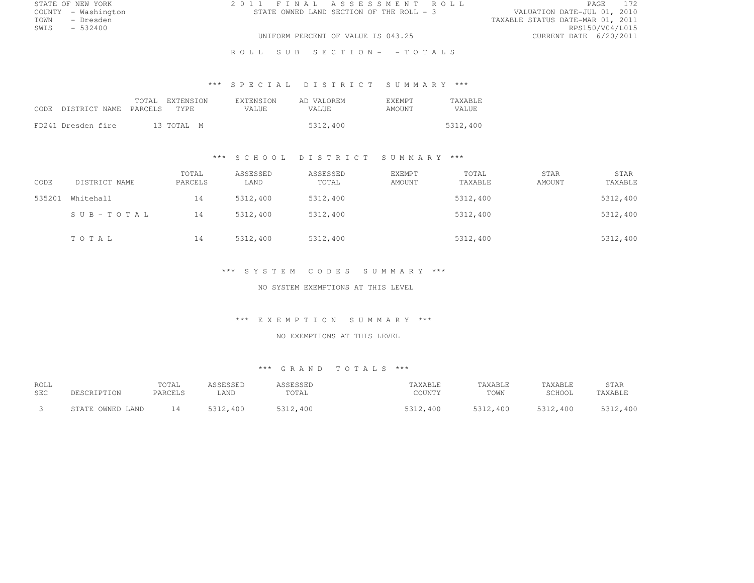| STATE OF NEW YORK   | 2011 FINAL ASSESSMENT ROLL               | <b>PAGE</b>                      |
|---------------------|------------------------------------------|----------------------------------|
| COUNTY - Washington | STATE OWNED LAND SECTION OF THE ROLL - 3 | VALUATION DATE-JUL 01, 2010      |
| - Dresden<br>TOWN   |                                          | TAXABLE STATUS DATE-MAR 01, 2011 |
| $-532400$<br>SWIS   |                                          | RPS150/V04/L015                  |
|                     | UNIFORM PERCENT OF VALUE IS 043.25       | CURRENT DATE 6/20/2011           |
|                     |                                          |                                  |

R O L L S U B S E C T I O N - - T O T A L S

# \*\*\* S P E C I A L D I S T R I C T S U M M A R Y \*\*\*

| CODE DISTRICT NAME PARCELS | TOTAL EXTENSION<br>TYPE. | <b>EXTENSION</b><br>VALUE. | AD VALOREM<br>VALUE. | <b>F.XEMPT</b><br>AMOUNT | <b>TAXABLE</b><br><b>VALUE</b> |
|----------------------------|--------------------------|----------------------------|----------------------|--------------------------|--------------------------------|
| FD241 Dresden fire         | 13 TOTAL M               |                            | 5312,400             |                          | 5312,400                       |

# \*\*\* S C H O O L D I S T R I C T S U M M A R Y \*\*\*

| CODE   | DISTRICT NAME | TOTAL<br>PARCELS | ASSESSED<br>LAND | ASSESSED<br>TOTAL | <b>EXEMPT</b><br>AMOUNT | TOTAL<br>TAXABLE | STAR<br>AMOUNT | STAR<br>TAXABLE |
|--------|---------------|------------------|------------------|-------------------|-------------------------|------------------|----------------|-----------------|
| 535201 | Whitehall     | 14               | 5312,400         | 5312,400          |                         | 5312,400         |                | 5312,400        |
|        | SUB-TOTAL     | 14               | 5312,400         | 5312,400          |                         | 5312,400         |                | 5312,400        |
|        | TOTAL         | 14               | 5312,400         | 5312,400          |                         | 5312,400         |                | 5312,400        |

# \*\*\* S Y S T E M C O D E S S U M M A R Y \*\*\*

#### NO SYSTEM EXEMPTIONS AT THIS LEVEL

#### \*\*\* E X E M P T I O N S U M M A R Y \*\*\*

#### NO EXEMPTIONS AT THIS LEVEL

# \*\*\* G R A N D T O T A L S \*\*\*

| <b>ROLL</b> | DESCRIPTION      | TOTAL   | ASSESSED | ASSESSED | TAXABLE  | TAXABLE  | TAXABLE  | <b>STAR</b> |
|-------------|------------------|---------|----------|----------|----------|----------|----------|-------------|
| SEC         |                  | PARCELS | LAND     | TOTAL    | COUNTY   | TOWN     | SCHOOL   | TAXABLE     |
|             | STATE OWNED LAND | 14      | 5312,400 | 5312,400 | 5312,400 | 5312,400 | 5312,400 | 5312,400    |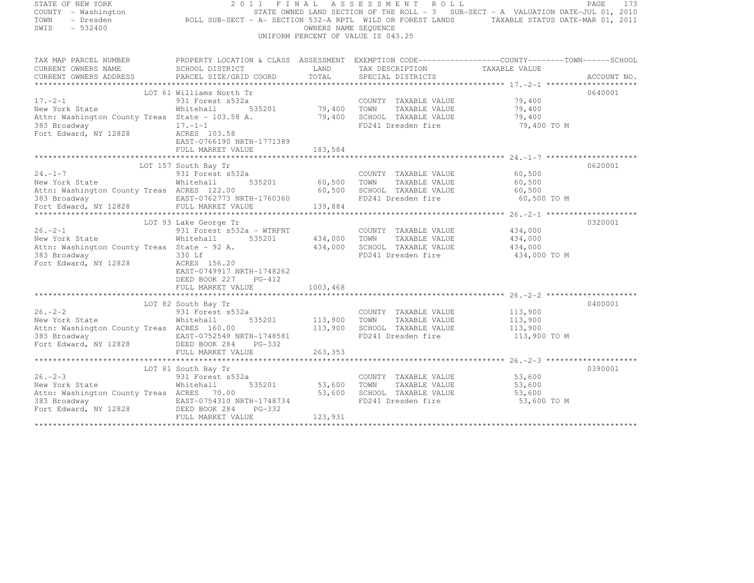| STATE OF NEW YORK                                           | 2011                                                                                                                        | FINAL                | ASSESSMENT ROLL                                                                   |                         | PAGE<br>173 |
|-------------------------------------------------------------|-----------------------------------------------------------------------------------------------------------------------------|----------------------|-----------------------------------------------------------------------------------|-------------------------|-------------|
| COUNTY - Washington                                         |                                                                                                                             |                      | STATE OWNED LAND SECTION OF THE ROLL - 3 SUB-SECT - A VALUATION DATE-JUL 01, 2010 |                         |             |
| TOWN<br>- Dresden                                           | ROLL SUB-SECT - A- SECTION 532-A RPTL WILD OR FOREST LANDS TAXABLE STATUS DATE-MAR 01, 2011                                 |                      |                                                                                   |                         |             |
| SWIS<br>$-532400$                                           |                                                                                                                             | OWNERS NAME SEQUENCE |                                                                                   |                         |             |
|                                                             |                                                                                                                             |                      | UNIFORM PERCENT OF VALUE IS 043.25                                                |                         |             |
|                                                             |                                                                                                                             |                      |                                                                                   |                         |             |
|                                                             |                                                                                                                             |                      |                                                                                   |                         |             |
|                                                             | TAX MAP PARCEL NUMBER THE PROPERTY LOCATION & CLASS ASSESSMENT EXEMPTION CODE----------------COUNTY--------TOWN------SCHOOL |                      |                                                                                   |                         |             |
| CURRENT OWNERS NAME                                         | SCHOOL DISTRICT                                                                                                             | LAND                 | TAX DESCRIPTION                                                                   | TAXABLE VALUE           |             |
| CURRENT OWNERS ADDRESS                                      | PARCEL SIZE/GRID COORD                                                                                                      | TOTAL                | SPECIAL DISTRICTS                                                                 |                         | ACCOUNT NO. |
|                                                             |                                                                                                                             |                      |                                                                                   |                         |             |
|                                                             | LOT 61 Williams North Tr                                                                                                    |                      |                                                                                   |                         | 0640001     |
| $17. - 2 - 1$                                               | 931 Forest s532a                                                                                                            |                      | COUNTY TAXABLE VALUE                                                              | 79,400                  |             |
| New York State                                              | 535201<br>Whitehall                                                                                                         | 79,400 TOWN          | TAXABLE VALUE                                                                     | 79,400                  |             |
|                                                             | Attn: Washington County Treas State - 103.58 A.                                                                             | 79,400               | SCHOOL TAXABLE VALUE                                                              | 79,400                  |             |
| 383 Broadway                                                | $17. - 1 - 1$                                                                                                               |                      | FD241 Dresden fire                                                                | 79,400 TO M             |             |
| Fort Edward, NY 12828                                       | ACRES 103.58                                                                                                                |                      |                                                                                   |                         |             |
|                                                             | EAST-0766190 NRTH-1771389                                                                                                   |                      |                                                                                   |                         |             |
|                                                             | FULL MARKET VALUE                                                                                                           | 183,584              |                                                                                   |                         |             |
|                                                             |                                                                                                                             |                      |                                                                                   |                         |             |
|                                                             | LOT 157 South Bay Tr                                                                                                        |                      |                                                                                   |                         | 0620001     |
| $24. -1 - 7$                                                | 931 Forest s532a                                                                                                            |                      | COUNTY TAXABLE VALUE                                                              | 60,500                  |             |
| New York State                                              | Whitehall<br>535201                                                                                                         | 60,500               | TOWN<br>TAXABLE VALUE                                                             | 60,500                  |             |
| Attn: Washington County Treas ACRES 122.00                  |                                                                                                                             | 60,500               | SCHOOL TAXABLE VALUE                                                              | 60,500                  |             |
| 383 Broadway                                                | EAST-0762773 NRTH-1760360                                                                                                   |                      | FD241 Dresden fire                                                                | 60,500 TO M             |             |
| Fort Edward, NY 12828                                       | FULL MARKET VALUE                                                                                                           | 139,884              |                                                                                   |                         |             |
|                                                             |                                                                                                                             |                      |                                                                                   |                         | 0320001     |
| $26. -2 - 1$                                                | LOT 93 Lake George Tr                                                                                                       |                      |                                                                                   |                         |             |
|                                                             | 931 Forest s532a - WTRFNT<br>Whitehall<br>535201                                                                            |                      | COUNTY TAXABLE VALUE<br>TOWN<br>TAXABLE VALUE                                     | 434,000                 |             |
| New York State                                              |                                                                                                                             | 434,000<br>434,000   | SCHOOL TAXABLE VALUE                                                              | 434,000                 |             |
| Attn: Washington County Treas State - 92 A.<br>383 Broadway | 330 Lf                                                                                                                      |                      | FD241 Dresden fire                                                                | 434,000<br>434,000 TO M |             |
| Fort Edward, NY 12828                                       | ACRES 156.20                                                                                                                |                      |                                                                                   |                         |             |
|                                                             | EAST-0749917 NRTH-1748262                                                                                                   |                      |                                                                                   |                         |             |
|                                                             | DEED BOOK 227 PG-412                                                                                                        |                      |                                                                                   |                         |             |
|                                                             | FULL MARKET VALUE                                                                                                           | 1003,468             |                                                                                   |                         |             |
|                                                             |                                                                                                                             |                      |                                                                                   |                         |             |
|                                                             | LOT 82 South Bay Tr                                                                                                         |                      |                                                                                   |                         | 0400001     |
| $26. -2 - 2$                                                | 931 Forest s532a                                                                                                            |                      | COUNTY TAXABLE VALUE                                                              | 113,900                 |             |
| New York State                                              | 535201<br>Whitehall                                                                                                         | 113,900              | TOWN<br>TAXABLE VALUE                                                             | 113,900                 |             |
| Attn: Washington County Treas ACRES 160.00                  |                                                                                                                             | 113,900              | SCHOOL TAXABLE VALUE                                                              | 113,900                 |             |
| 383 Broadway                                                | EAST-0752549 NRTH-1748581                                                                                                   |                      | FD241 Dresden fire                                                                | 113,900 TO M            |             |
| Fort Edward, NY 12828 DEED BOOK 284                         | PG-332                                                                                                                      |                      |                                                                                   |                         |             |
|                                                             | FULL MARKET VALUE                                                                                                           | 263,353              |                                                                                   |                         |             |
|                                                             |                                                                                                                             |                      |                                                                                   |                         |             |
|                                                             | LOT 81 South Bay Tr                                                                                                         |                      |                                                                                   |                         | 0390001     |
| $26. - 2 - 3$                                               | 931 Forest s532a                                                                                                            |                      | COUNTY TAXABLE VALUE                                                              | 53,600                  |             |
| New York State                                              | 535201<br>Whitehall                                                                                                         | 53,600               | TOWN<br>TAXABLE VALUE                                                             | 53,600                  |             |
| Attn: Washington County Treas ACRES 70.00                   |                                                                                                                             | 53,600               | SCHOOL TAXABLE VALUE                                                              | 53,600                  |             |
|                                                             |                                                                                                                             |                      | FD241 Dresden fire                                                                | 53,600 TO M             |             |
|                                                             |                                                                                                                             |                      |                                                                                   |                         |             |
|                                                             | FULL MARKET VALUE                                                                                                           | 123,931              |                                                                                   |                         |             |
|                                                             |                                                                                                                             |                      |                                                                                   |                         |             |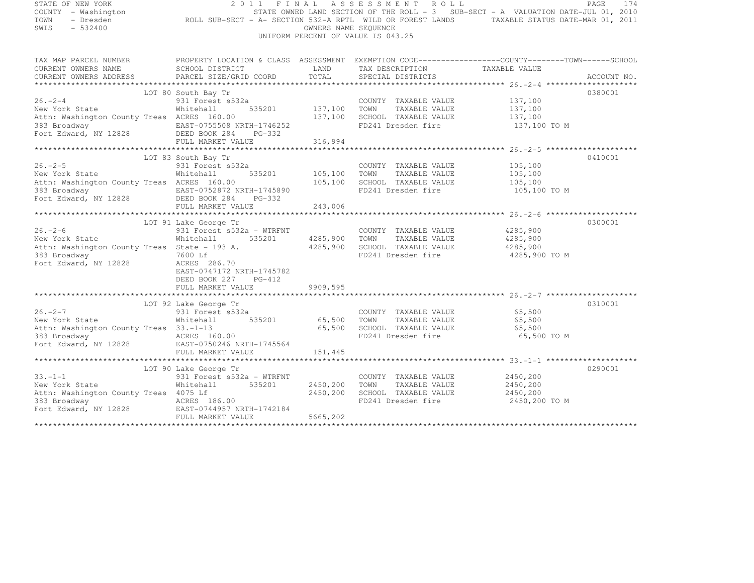| STATE OF NEW YORK<br>COUNTY - Washington<br>- Dresden<br>TOWN<br>SWIS<br>$-532400$                                                  | 2011<br>ROLL SUB-SECT - A- SECTION 532-A RPTL WILD OR FOREST LANDS TAXABLE STATUS DATE-MAR 01, 2011                                                                                         | FINAL                                | ASSESSMENT ROLL<br>STATE OWNED LAND SECTION OF THE ROLL - 3 SUB-SECT - A VALUATION DATE-JUL 01, 2010<br>OWNERS NAME SEQUENCE<br>UNIFORM PERCENT OF VALUE IS 043.25 |                                                                  | PAGE<br>174 |
|-------------------------------------------------------------------------------------------------------------------------------------|---------------------------------------------------------------------------------------------------------------------------------------------------------------------------------------------|--------------------------------------|--------------------------------------------------------------------------------------------------------------------------------------------------------------------|------------------------------------------------------------------|-------------|
| CURRENT OWNERS NAME<br>CURRENT OWNERS ADDRESS                                                                                       | TAX MAP PARCEL NUMBER PROPERTY LOCATION & CLASS ASSESSMENT EXEMPTION CODE---------------COUNTY-------TOWN-----SCHOOL<br>SCHOOL DISTRICT<br>PARCEL SIZE/GRID COORD                           | LAND<br>TOTAL                        | TAX DESCRIPTION TAXABLE VALUE<br>SPECIAL DISTRICTS                                                                                                                 |                                                                  | ACCOUNT NO. |
|                                                                                                                                     |                                                                                                                                                                                             |                                      |                                                                                                                                                                    |                                                                  |             |
| $26. -2 - 4$<br>New York State<br>Attn: Washington County Treas ACRES 160.00                                                        | LOT 80 South Bay Tr<br>931 Forest s532a<br>Whitehall                                                                                                                                        | 535201 137,100<br>137,100            | COUNTY TAXABLE VALUE 137,100<br>TOWN<br>TAXABLE VALUE<br>SCHOOL TAXABLE VALUE<br>FD241 Dresden fire                                                                | 137,100<br>137,100<br>137,100 TO M                               | 0380001     |
|                                                                                                                                     | FULL MARKET VALUE                                                                                                                                                                           | 316,994                              |                                                                                                                                                                    |                                                                  |             |
| $26. -2 - 5$<br>New York State<br>Attn: Washington County Treas ACRES 160.00<br>383 Broadway<br>Fort Edward, NY 12828 DEED BOOK 284 | LOT 83 South Bay Tr<br>931 Forest s532a<br>Whitehall<br>EAST-0752872 NRTH-1745890<br>PG-332<br>FULL MARKET VALUE                                                                            | 535201 105,100<br>105,100<br>243,006 | COUNTY TAXABLE VALUE<br>TOWN<br>TAXABLE VALUE<br>SCHOOL TAXABLE VALUE                                                                                              | 105,100<br>105,100<br>105,100<br>FD241 Dresden fire 105,100 TO M | 0410001     |
|                                                                                                                                     |                                                                                                                                                                                             |                                      |                                                                                                                                                                    |                                                                  |             |
| $26. - 2 - 6$<br>New York State<br>Attn: Washington County Treas State - 193 A.<br>383 Broadway<br>Fort Edward, NY 12828            | LOT 91 Lake George Tr<br>931 Forest s532a - WTRFNT<br>Whitehall<br>535201<br>7600 Lf<br>ACRES 286.70<br>EAST-0747172 NRTH-1745782<br>DEED BOOK 227 PG-412                                   | 4285,900<br>4285,900                 | COUNTY TAXABLE VALUE<br>TOWN<br>TAXABLE VALUE<br>SCHOOL TAXABLE VALUE<br>FD241 Dresden fire                                                                        | 4285,900<br>4285,900<br>4285,900<br>4285,900 TO M                | 0300001     |
|                                                                                                                                     | FULL MARKET VALUE                                                                                                                                                                           | 9909,595                             |                                                                                                                                                                    |                                                                  |             |
|                                                                                                                                     |                                                                                                                                                                                             |                                      |                                                                                                                                                                    |                                                                  |             |
| $26. -2 - 7$<br>New York State<br>Attn: Washington County Treas 33.-1-13<br>383 Broadway                                            | LOT 92 Lake George Tr<br>931 Forest s532a<br>Whitehall 535201 65,500 TOWN<br>ACRES 160.00<br>Fort Edward, NY 12828 EAST-0750246 NRTH-1745564                                                | 65,500                               | COUNTY TAXABLE VALUE 65,500<br>TAXABLE VALUE<br>SCHOOL TAXABLE VALUE<br>FD241 Dresden fire                                                                         | 65,500<br>65,500<br>65,500 TO M                                  | 0310001     |
|                                                                                                                                     | FULL MARKET VALUE                                                                                                                                                                           | 151,445                              |                                                                                                                                                                    |                                                                  |             |
|                                                                                                                                     |                                                                                                                                                                                             |                                      |                                                                                                                                                                    |                                                                  |             |
| $33. - 1 - 1$<br>New York State<br>Attn: Washington County Treas 4075 Lf                                                            | LOT 90 Lake George Tr<br>931 Forest s532a - WTRFNT<br>Whitehall<br>535201<br>383 Broadway <b>12828</b> ACRES 186.00<br>Fort Edward, NY 12828 EAST-0744957 NRTH-1742184<br>FULL MARKET VALUE | 2450,200<br>2450,200<br>5665,202     | COUNTY TAXABLE VALUE<br>TOWN<br>TAXABLE VALUE<br>SCHOOL TAXABLE VALUE<br>FD241 Dresden fire                                                                        | 2450,200<br>2450,200<br>2450,200<br>2450,200 TO M                | 0290001     |
|                                                                                                                                     |                                                                                                                                                                                             |                                      |                                                                                                                                                                    |                                                                  |             |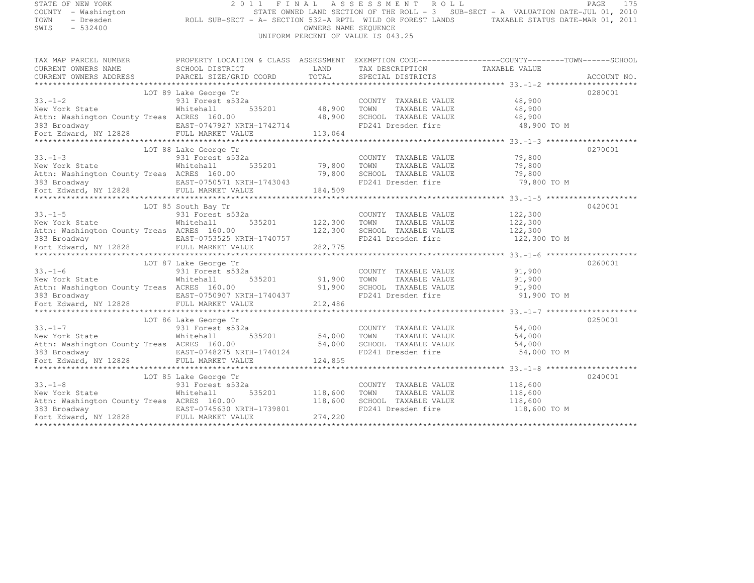| STATE OF NEW YORK<br>COUNTY - Washington<br>- Dresden<br>TOWN<br>SWIS<br>$-532400$ | 2 0 1 1 1 N A D AS SUB-SECT - A VALUATION DATE-JUL 01, 2010<br>ROLL SUB-SECT - A- SECTION 532-A RPTL WILD OR FOREST LANDS TAXABLE STATUS DATE-MAR 01, 2011 | OWNERS NAME SEQUENCE | 2011 FINAL ASSESSMENT ROLL<br>UNIFORM PERCENT OF VALUE IS 043.25 |               |                               | 175<br>PAGE |
|------------------------------------------------------------------------------------|------------------------------------------------------------------------------------------------------------------------------------------------------------|----------------------|------------------------------------------------------------------|---------------|-------------------------------|-------------|
|                                                                                    |                                                                                                                                                            |                      |                                                                  |               |                               |             |
|                                                                                    | TAX MAP PARCEL NUMBER THE PROPERTY LOCATION & CLASS ASSESSMENT EXEMPTION CODE---------------COUNTY--------TOWN------SCHOOL                                 |                      |                                                                  |               |                               |             |
| CURRENT OWNERS NAME                                                                | SCHOOL DISTRICT                                                                                                                                            | LAND<br>TOTAL        |                                                                  |               | TAX DESCRIPTION TAXABLE VALUE |             |
| CURRENT OWNERS ADDRESS                                                             | PARCEL SIZE/GRID COORD                                                                                                                                     |                      | SPECIAL DISTRICTS                                                |               |                               | ACCOUNT NO. |
|                                                                                    | LOT 89 Lake George Tr                                                                                                                                      |                      |                                                                  |               |                               | 0280001     |
| $33 - 1 - 2$                                                                       | 931 Forest s532a                                                                                                                                           |                      | COUNTY TAXABLE VALUE                                             |               | 48,900                        |             |
| New York State                                                                     | 535201<br>Whitehall                                                                                                                                        | 48,900               | TOWN                                                             | TAXABLE VALUE | 48,900                        |             |
| Attn: Washington County Treas ACRES 160.00                                         |                                                                                                                                                            | 48,900               | SCHOOL TAXABLE VALUE                                             |               | 48,900                        |             |
|                                                                                    |                                                                                                                                                            |                      |                                                                  |               |                               |             |
|                                                                                    |                                                                                                                                                            |                      |                                                                  |               |                               |             |
|                                                                                    | LOT 88 Lake George Tr                                                                                                                                      |                      |                                                                  |               |                               | 0270001     |
| $33 - 1 - 3$                                                                       | 931 Forest s532a                                                                                                                                           |                      | COUNTY TAXABLE VALUE                                             |               | 79,800                        |             |
| New York State                                                                     | Whitehall                                                                                                                                                  | 535201 79,800        | TOWN                                                             | TAXABLE VALUE | 79,800                        |             |
| Attn: Washington County Treas ACRES 160.00                                         |                                                                                                                                                            | 79,800               | SCHOOL TAXABLE VALUE                                             |               | 79,800                        |             |
|                                                                                    |                                                                                                                                                            |                      |                                                                  |               |                               |             |
|                                                                                    |                                                                                                                                                            |                      |                                                                  |               |                               |             |
|                                                                                    |                                                                                                                                                            |                      |                                                                  |               |                               |             |
| $33. - 1 - 5$                                                                      | LOT 85 South Bay Tr<br>931 Forest s532a                                                                                                                    |                      | COUNTY TAXABLE VALUE                                             |               | 122,300                       | 0420001     |
| New York State                                                                     | Whitehall<br>535201                                                                                                                                        | 122,300              | TOWN                                                             | TAXABLE VALUE | 122,300                       |             |
| Attn: Washington County Treas ACRES 160.00                                         |                                                                                                                                                            | 122,300              | SCHOOL TAXABLE VALUE                                             |               | 122,300                       |             |
|                                                                                    |                                                                                                                                                            |                      |                                                                  |               |                               |             |
|                                                                                    |                                                                                                                                                            |                      |                                                                  |               |                               |             |
|                                                                                    |                                                                                                                                                            |                      |                                                                  |               |                               |             |
| $33 - 1 - 6$                                                                       | LOT 87 Lake George Tr                                                                                                                                      |                      |                                                                  |               |                               | 0260001     |
| New York State                                                                     | 931 Forest s532a<br>535201<br>Whitehall                                                                                                                    | 91,900               | COUNTY TAXABLE VALUE<br>TOWN                                     | TAXABLE VALUE | 91,900<br>91,900              |             |
| Attn: Washington County Treas ACRES 160.00                                         |                                                                                                                                                            | 91,900               | SCHOOL TAXABLE VALUE                                             |               | 91,900                        |             |
|                                                                                    |                                                                                                                                                            |                      |                                                                  |               |                               |             |
|                                                                                    |                                                                                                                                                            |                      |                                                                  |               |                               |             |
|                                                                                    |                                                                                                                                                            |                      |                                                                  |               |                               |             |
|                                                                                    | LOT 86 Lake George Tr                                                                                                                                      |                      |                                                                  |               |                               | 0250001     |
| $33. - 1 - 7$                                                                      | 931 Forest s532a                                                                                                                                           |                      | COUNTY TAXABLE VALUE                                             |               | 54,000                        |             |
| New York State                                                                     | 535201<br>Whitehall                                                                                                                                        | 54,000               | TOWN                                                             | TAXABLE VALUE | 54,000                        |             |
| Attn: Washington County Treas ACRES 160.00                                         |                                                                                                                                                            | 54,000               | SCHOOL TAXABLE VALUE                                             |               | 54,000                        |             |
|                                                                                    |                                                                                                                                                            |                      |                                                                  |               |                               |             |
|                                                                                    |                                                                                                                                                            |                      |                                                                  |               |                               |             |
|                                                                                    | LOT 85 Lake George Tr                                                                                                                                      |                      |                                                                  |               |                               | 0240001     |
| $33 - 1 - 8$                                                                       | 931 Forest s532a                                                                                                                                           |                      | COUNTY TAXABLE VALUE                                             |               | 118,600                       |             |
| New York State                                                                     | Whitehall<br>535201                                                                                                                                        | 118,600              | TOWN                                                             | TAXABLE VALUE | 118,600                       |             |
| Attn: Washington County Treas ACRES 160.00                                         |                                                                                                                                                            | 118,600              | SCHOOL TAXABLE VALUE                                             |               | 118,600                       |             |
|                                                                                    |                                                                                                                                                            |                      | FD241 Dresden fire                                               |               | 118,600 TO M                  |             |
|                                                                                    |                                                                                                                                                            | 274,220              |                                                                  |               |                               |             |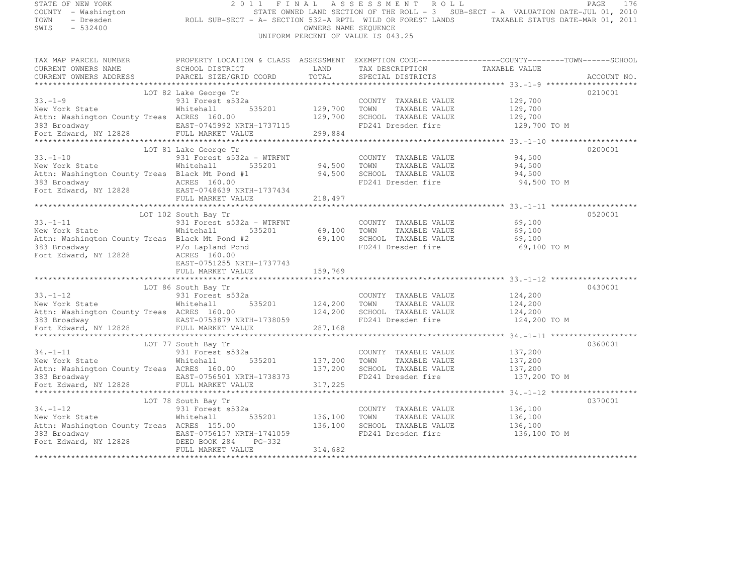| STATE OF NEW YORK                              | 2011<br>FINAL                                                                                      |                      | ASSESSMENT ROLL                    |                                                                                             | PAGE<br>176 |
|------------------------------------------------|----------------------------------------------------------------------------------------------------|----------------------|------------------------------------|---------------------------------------------------------------------------------------------|-------------|
| COUNTY - Washington                            |                                                                                                    |                      |                                    | STATE OWNED LAND SECTION OF THE ROLL - $3$ SUB-SECT - A VALUATION DATE-JUL 01, 2010         |             |
| TOWN<br>- Dresden                              |                                                                                                    |                      |                                    | ROLL SUB-SECT - A- SECTION 532-A RPTL WILD OR FOREST LANDS TAXABLE STATUS DATE-MAR 01, 2011 |             |
| SWIS<br>$-532400$                              |                                                                                                    | OWNERS NAME SEQUENCE |                                    |                                                                                             |             |
|                                                |                                                                                                    |                      | UNIFORM PERCENT OF VALUE IS 043.25 |                                                                                             |             |
|                                                |                                                                                                    |                      |                                    |                                                                                             |             |
| TAX MAP PARCEL NUMBER                          | PROPERTY LOCATION & CLASS ASSESSMENT EXEMPTION CODE-----------------COUNTY--------TOWN------SCHOOL |                      |                                    |                                                                                             |             |
| CURRENT OWNERS NAME                            | SCHOOL DISTRICT                                                                                    | LAND                 | TAX DESCRIPTION TAXABLE VALUE      |                                                                                             |             |
| CURRENT OWNERS ADDRESS                         | PARCEL SIZE/GRID COORD                                                                             | TOTAL                | SPECIAL DISTRICTS                  |                                                                                             | ACCOUNT NO. |
|                                                |                                                                                                    |                      |                                    |                                                                                             |             |
|                                                | LOT 82 Lake George Tr                                                                              |                      |                                    |                                                                                             | 0210001     |
| $33. - 1 - 9$                                  | 931 Forest s532a                                                                                   |                      | COUNTY TAXABLE VALUE               | 129,700                                                                                     |             |
| New York State                                 | 535201<br>Whitehall                                                                                | 129,700              | TOWN<br>TAXABLE VALUE              | 129,700                                                                                     |             |
| Attn: Washington County Treas ACRES 160.00     |                                                                                                    | 129,700              | SCHOOL TAXABLE VALUE               | 129,700                                                                                     |             |
|                                                | EAST-0745992 NRTH-1737115                                                                          |                      | FD241 Dresden fire                 | 129,700 TO M                                                                                |             |
|                                                |                                                                                                    | 299,884              |                                    |                                                                                             |             |
|                                                |                                                                                                    |                      |                                    |                                                                                             |             |
|                                                | LOT 81 Lake George Tr                                                                              |                      |                                    |                                                                                             | 0200001     |
| $33. - 1 - 10$                                 | 931 Forest s532a - WTRFNT                                                                          |                      | COUNTY TAXABLE VALUE               | 94,500                                                                                      |             |
| New York State                                 | Whitehall<br>535201                                                                                | 94,500               | TOWN<br>TAXABLE VALUE              | 94,500                                                                                      |             |
| Attn: Washington County Treas Black Mt Pond #1 |                                                                                                    | 94,500               | SCHOOL TAXABLE VALUE               | 94,500                                                                                      |             |
| 383 Broadway                                   | ACRES 160.00                                                                                       |                      | FD241 Dresden fire                 | 94,500 TO M                                                                                 |             |
| Fort Edward, NY 12828                          | EAST-0748639 NRTH-1737434                                                                          |                      |                                    |                                                                                             |             |
|                                                | FULL MARKET VALUE                                                                                  | 218,497              |                                    |                                                                                             |             |
|                                                |                                                                                                    |                      |                                    |                                                                                             |             |
|                                                | LOT 102 South Bay Tr                                                                               |                      |                                    |                                                                                             | 0520001     |
| $33. - 1 - 11$                                 | 931 Forest s532a - WTRFNT                                                                          |                      | COUNTY TAXABLE VALUE               | 69,100                                                                                      |             |
| New York State                                 | 535201<br>Whitehall                                                                                | 69,100               | TOWN<br>TAXABLE VALUE              | 69,100                                                                                      |             |
| Attn: Washington County Treas Black Mt Pond #2 |                                                                                                    | 69,100               | SCHOOL TAXABLE VALUE               | 69,100                                                                                      |             |
| 383 Broadway                                   | P/o Lapland Pond                                                                                   |                      | FD241 Dresden fire                 | 69,100 TO M                                                                                 |             |
| Fort Edward, NY 12828                          | ACRES 160.00                                                                                       |                      |                                    |                                                                                             |             |
|                                                | EAST-0751255 NRTH-1737743                                                                          |                      |                                    |                                                                                             |             |
|                                                | FULL MARKET VALUE                                                                                  | 159,769              |                                    |                                                                                             |             |
|                                                |                                                                                                    |                      |                                    |                                                                                             |             |
|                                                | LOT 86 South Bay Tr                                                                                |                      |                                    |                                                                                             | 0430001     |
| $33. - 1 - 12$                                 | 931 Forest s532a                                                                                   |                      | COUNTY TAXABLE VALUE               | 124,200                                                                                     |             |
| New York State                                 | 535201<br>Whitehall                                                                                | 124,200              | TOWN<br>TAXABLE VALUE              | 124,200                                                                                     |             |
| Attn: Washington County Treas ACRES 160.00     |                                                                                                    | 124,200              | SCHOOL TAXABLE VALUE               | 124,200                                                                                     |             |
| 383 Broadway                                   | EAST-0753879 NRTH-1738059                                                                          |                      | FD241 Dresden fire                 | 124,200 TO M                                                                                |             |
| Fort Edward, NY 12828                          | FULL MARKET VALUE                                                                                  | 287,168              |                                    |                                                                                             |             |
|                                                |                                                                                                    |                      |                                    |                                                                                             |             |
|                                                | LOT 77 South Bay Tr                                                                                |                      |                                    |                                                                                             | 0360001     |
| $34. - 1 - 11$                                 | 931 Forest s532a                                                                                   |                      | COUNTY TAXABLE VALUE               | 137,200                                                                                     |             |
| New York State                                 | Whitehall<br>535201                                                                                | 137,200              | TOWN<br>TAXABLE VALUE              | 137,200                                                                                     |             |
| Attn: Washington County Treas ACRES 160.00     |                                                                                                    | 137,200              | SCHOOL TAXABLE VALUE               | 137,200                                                                                     |             |
| 383 Broadway                                   | EAST-0756501 NRTH-1738373                                                                          |                      | FD241 Dresden fire                 | 137,200 TO M                                                                                |             |
| Fort Edward, NY 12828                          | FULL MARKET VALUE                                                                                  | 317,225              |                                    |                                                                                             |             |
|                                                | *************************                                                                          | *******************  |                                    |                                                                                             |             |
|                                                | LOT 78 South Bay Tr                                                                                |                      |                                    |                                                                                             | 0370001     |
| $34. - 1 - 12$                                 | 931 Forest s532a                                                                                   |                      | COUNTY TAXABLE VALUE               | 136,100                                                                                     |             |
| New York State                                 | Whitehall<br>535201                                                                                | 136,100              | TOWN<br>TAXABLE VALUE              | 136,100                                                                                     |             |
| Attn: Washington County Treas ACRES 155.00     |                                                                                                    | 136,100              | SCHOOL TAXABLE VALUE               | 136,100                                                                                     |             |
| 383 Broadway                                   | EAST-0756157 NRTH-1741059                                                                          |                      | FD241 Dresden fire                 | 136,100 TO M                                                                                |             |
| Fort Edward, NY 12828                          | DEED BOOK 284<br>PG-332                                                                            |                      |                                    |                                                                                             |             |
|                                                | FULL MARKET VALUE                                                                                  | 314,682              |                                    |                                                                                             |             |
|                                                |                                                                                                    |                      |                                    |                                                                                             |             |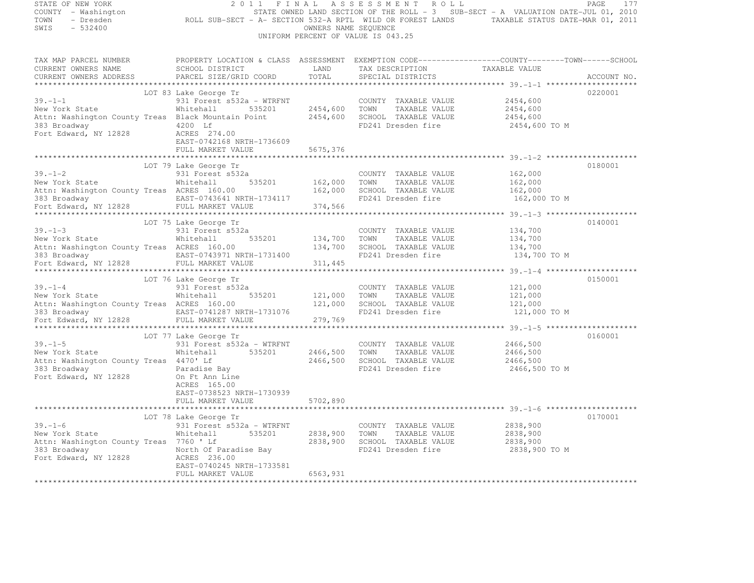| STATE OF NEW YORK<br>COUNTY - Washington<br>TOWN<br>SWIS<br>$-532400$ | OF NEW YORK PAGE 177<br>2011 FINAL ASSESSMENT ROLL - SUB-SECT - A VALUATION DATE-JUL 01, 2010<br>2010 TATE OWNED LAND SECTION OF THE ROLL - 3 SUB-SECT - A VALUATION DATE-JUL 01, 2010<br>2011 - Dresden                                 | OWNERS NAME SEQUENCE          | UNIFORM PERCENT OF VALUE IS 043.25                               |                    |             |
|-----------------------------------------------------------------------|------------------------------------------------------------------------------------------------------------------------------------------------------------------------------------------------------------------------------------------|-------------------------------|------------------------------------------------------------------|--------------------|-------------|
|                                                                       |                                                                                                                                                                                                                                          |                               |                                                                  |                    |             |
|                                                                       | TAX MAP PARCEL NUMBER            PROPERTY LOCATION & CLASS ASSESSMENT EXEMPTION CODE----------------COUNTY-------TOWN------SCHOOL CURRENT OWNERS NAME                SCHOOL DISTRICT              LAND      TAX DESCRIPTION              |                               | TAX DESCRIPTION TAXABLE VALUE<br>SPECIAL DISTRICTS TAXABLE VALUE |                    |             |
| CURRENT OWNERS ADDRESS                                                | PARCEL SIZE/GRID COORD                                                                                                                                                                                                                   | TOTAL                         | SPECIAL DISTRICTS                                                |                    | ACCOUNT NO. |
|                                                                       | LOT 83 Lake George Tr                                                                                                                                                                                                                    |                               |                                                                  |                    | 0220001     |
| $39. - 1 - 1$                                                         | 931 Forest s532a - WTRFNT                                                                                                                                                                                                                |                               | COUNTY TAXABLE VALUE                                             | 2454,600           |             |
| New York State                                                        | Whitehall 535201 2454,600 TOWN TAXABLE VALUE                                                                                                                                                                                             |                               |                                                                  | 2454,600           |             |
|                                                                       | Attn: Washington County Treas Black Mountain Point 2454,600 SCHOOL TAXABLE VALUE                                                                                                                                                         |                               |                                                                  | 2454,600           |             |
| 383 Broadway<br>Fort Edward, NY 12828                                 | 4200 Lf                                                                                                                                                                                                                                  |                               | FD241 Dresden fire                                               | 2454,600 TO M      |             |
|                                                                       | ACRES 274.00                                                                                                                                                                                                                             |                               |                                                                  |                    |             |
|                                                                       | EAST-0742168 NRTH-1736609                                                                                                                                                                                                                |                               |                                                                  |                    |             |
|                                                                       | FULL MARKET VALUE 5675,376                                                                                                                                                                                                               |                               |                                                                  |                    |             |
|                                                                       | LOT 79 Lake George Tr                                                                                                                                                                                                                    |                               |                                                                  |                    | 0180001     |
| $39 - 1 - 2$                                                          | 931 Forest s532a                                                                                                                                                                                                                         |                               | COUNTY TAXABLE VALUE                                             | 162,000            |             |
| New York State                                                        |                                                                                                                                                                                                                                          |                               | TOWN<br>TAXABLE VALUE                                            | 162,000            |             |
|                                                                       | New York State Mail 2007 535201 162,000<br>Attn: Washington County Treas ACRES 160.00 162,000                                                                                                                                            |                               | SCHOOL TAXABLE VALUE                                             | 162,000            |             |
|                                                                       | 383 Broadway CAST-0743641 NRTH-1734117<br>Fort Edward, NY 12828 FULL MARKET VALUE 374,566                                                                                                                                                |                               | FD241 Dresden fire                                               | 162,000 TO M       |             |
|                                                                       |                                                                                                                                                                                                                                          |                               |                                                                  |                    |             |
|                                                                       |                                                                                                                                                                                                                                          | * * * * * * * * * * * * * * * |                                                                  |                    |             |
|                                                                       | LOT 75 Lake George Tr                                                                                                                                                                                                                    |                               |                                                                  |                    | 0140001     |
| $39 - 1 - 3$                                                          | 931 Forest s532a                                                                                                                                                                                                                         |                               | COUNTY TAXABLE VALUE                                             | 134,700            |             |
|                                                                       | New York State Mhitehall 535201 134,700<br>Attn: Washington County Treas ACRES 160.00 134,700                                                                                                                                            |                               | TAXABLE VALUE<br>TOWN<br>SCHOOL TAXABLE VALUE                    | 134,700<br>134,700 |             |
| 383 Broadway                                                          | EAST-0743971 NRTH-1731400                                                                                                                                                                                                                |                               | FD241 Dresden fire                                               | 134,700 TO M       |             |
|                                                                       | Fort Edward, NY 12828 FULL MARKET VALUE                                                                                                                                                                                                  | 311,445                       |                                                                  |                    |             |
|                                                                       |                                                                                                                                                                                                                                          |                               |                                                                  |                    |             |
|                                                                       | LOT 76 Lake George Tr                                                                                                                                                                                                                    |                               |                                                                  |                    | 0150001     |
|                                                                       |                                                                                                                                                                                                                                          |                               |                                                                  | 121,000            |             |
|                                                                       | 19.1–4<br>Mer York State 121,000 TOWN TAXABLE VALUE<br>Mitchall 535201 121,000 TOWN TAXABLE VALUE<br>Mitchall 535201 121,000 TOWN TAXABLE VALUE<br>MITCHALL MARKET 1731076 121,000 SCHOOL TAXABLE VALUE<br>Tort Edward, NY 12828 FULL MA |                               |                                                                  | 121,000            |             |
|                                                                       |                                                                                                                                                                                                                                          |                               |                                                                  | 121,000            |             |
|                                                                       |                                                                                                                                                                                                                                          |                               |                                                                  | 121,000 TO M       |             |
|                                                                       |                                                                                                                                                                                                                                          |                               |                                                                  |                    |             |
|                                                                       | LOT 77 Lake George Tr                                                                                                                                                                                                                    |                               |                                                                  |                    | 0160001     |
|                                                                       | 931 Forest s532a - WTRFNT                                                                                                                                                                                                                |                               | COUNTY TAXABLE VALUE 2466,500                                    |                    |             |
| $39.-1-5$<br>New York State                                           | Whitehall 535201                                                                                                                                                                                                                         | 2466,500 TOWN                 | TAXABLE VALUE                                                    | 2466,500           |             |
| Attn: Washington County Treas 4470' Lf                                |                                                                                                                                                                                                                                          | 2466,500                      | SCHOOL TAXABLE VALUE                                             | 2466,500           |             |
| 383 Broadway Maradise Bay                                             |                                                                                                                                                                                                                                          |                               | FD241 Dresden fire                                               | 2466,500 TO M      |             |
| Fort Edward, NY 12828 On Ft Ann Line                                  |                                                                                                                                                                                                                                          |                               |                                                                  |                    |             |
|                                                                       | ACRES 165.00                                                                                                                                                                                                                             |                               |                                                                  |                    |             |
|                                                                       | EAST-0738523 NRTH-1730939<br>FULL MARKET VALUE                                                                                                                                                                                           | 5702,890                      |                                                                  |                    |             |
|                                                                       |                                                                                                                                                                                                                                          |                               |                                                                  |                    |             |
|                                                                       | LOT 78 Lake George Tr                                                                                                                                                                                                                    |                               |                                                                  |                    | 0170001     |
| $39. - 1 - 6$                                                         | 931 Forest s532a - WTRFNT                                                                                                                                                                                                                |                               | COUNTY TAXABLE VALUE                                             | 2838,900           |             |
| New York State                                                        | 535201<br>Whitehall                                                                                                                                                                                                                      | 2838,900                      | TAXABLE VALUE<br>TOWN                                            | 2838,900           |             |
| Attn: Washington County Treas 7760 ' Lf                               |                                                                                                                                                                                                                                          | 2838,900                      | SCHOOL TAXABLE VALUE                                             | 2838,900           |             |
|                                                                       | Accurred Morth of Paradise Bay<br>383 Broadway North Of Paradise Bay<br>Fort Edward, NY 12828 ACRES 236.00<br>EAST-0740245 NRTH-1733581                                                                                                  |                               | FD241 Dresden fire                                               | 2838,900 TO M      |             |
|                                                                       |                                                                                                                                                                                                                                          |                               |                                                                  |                    |             |
|                                                                       |                                                                                                                                                                                                                                          |                               |                                                                  |                    |             |
|                                                                       | FULL MARKET VALUE                                                                                                                                                                                                                        | 6563,931                      |                                                                  |                    |             |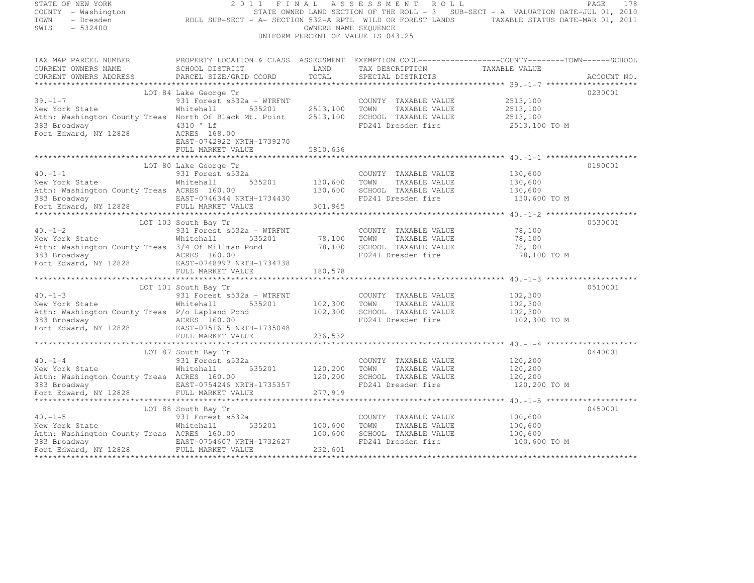| STATE OF NEW YORK                                                         | 2 0 1 1<br>FINAL                                                                                                          |                      | ASSESSMENT ROLL                               | PAGE                                                                                                                                                                                                                              | 178 |
|---------------------------------------------------------------------------|---------------------------------------------------------------------------------------------------------------------------|----------------------|-----------------------------------------------|-----------------------------------------------------------------------------------------------------------------------------------------------------------------------------------------------------------------------------------|-----|
| COUNTY - Washington                                                       |                                                                                                                           |                      |                                               | - Washington<br>- Dresden                     ROLL SUB-SECT - A- SECTION 532-A RPTL WILD OR FOREST LANDS       TAXABLE STATUS DATE-MAR 01, 2010<br>- 523400                                                                       |     |
| TOWN                                                                      |                                                                                                                           |                      |                                               |                                                                                                                                                                                                                                   |     |
| SWIS<br>$-532400$                                                         |                                                                                                                           | OWNERS NAME SEQUENCE |                                               |                                                                                                                                                                                                                                   |     |
|                                                                           |                                                                                                                           |                      | UNIFORM PERCENT OF VALUE IS 043.25            |                                                                                                                                                                                                                                   |     |
|                                                                           |                                                                                                                           |                      |                                               |                                                                                                                                                                                                                                   |     |
|                                                                           |                                                                                                                           |                      |                                               |                                                                                                                                                                                                                                   |     |
|                                                                           |                                                                                                                           |                      |                                               | TAX MAP PARCEL NUMBER BOOPERTY LOCATION & CLASS ASSESSMENT EXEMPTION CODE-------------------COUNTY--------TOWN------SCHOOL CURRENT OWNERS NAME SCHOOL DISTRICT LAND TAX DESCRIPTION TAXABLE VALUE<br>CURRENT OWNERS ADDRESS PARCE |     |
|                                                                           |                                                                                                                           |                      |                                               |                                                                                                                                                                                                                                   |     |
|                                                                           |                                                                                                                           |                      |                                               |                                                                                                                                                                                                                                   |     |
|                                                                           |                                                                                                                           |                      |                                               |                                                                                                                                                                                                                                   |     |
|                                                                           | LOT 84 Lake George Tr                                                                                                     |                      |                                               | 0230001                                                                                                                                                                                                                           |     |
| $39. - 1 - 7$                                                             | 931 Forest s532a - WTRFNT                                                                                                 |                      | COUNTY TAXABLE VALUE 2513,100                 |                                                                                                                                                                                                                                   |     |
|                                                                           |                                                                                                                           |                      | 2513,100 TOWN TAXABLE VALUE                   | 2513,100                                                                                                                                                                                                                          |     |
|                                                                           | Attn: Washington County Treas North Of Black Mt. Point 2513,100                                                           |                      | SCHOOL TAXABLE VALUE                          | 2513,100                                                                                                                                                                                                                          |     |
| 383 Broadway 12828 4310 'Lf<br>Fort Edward, NY 12828 4CRES 168.00         |                                                                                                                           |                      | FD241 Dresden fire                            | 2513,100 TO M                                                                                                                                                                                                                     |     |
|                                                                           |                                                                                                                           |                      |                                               |                                                                                                                                                                                                                                   |     |
|                                                                           | EAST-0742922 NRTH-1739270                                                                                                 |                      |                                               |                                                                                                                                                                                                                                   |     |
|                                                                           | FULL MARKET VALUE                                                                                                         | 5810,636             |                                               |                                                                                                                                                                                                                                   |     |
|                                                                           |                                                                                                                           |                      |                                               |                                                                                                                                                                                                                                   |     |
|                                                                           | LOT 80 Lake George Tr                                                                                                     |                      |                                               | 0190001                                                                                                                                                                                                                           |     |
|                                                                           |                                                                                                                           |                      | COUNTY TAXABLE VALUE 130,600                  |                                                                                                                                                                                                                                   |     |
|                                                                           | 40.-1-1 931 Forest s532a<br>New York State Whitehall 535201 130,600<br>Attn: Washington County Treas ACRES 160.00 130,600 |                      | TOWN TAXABLE VALUE                            | 130,600                                                                                                                                                                                                                           |     |
|                                                                           |                                                                                                                           |                      | SCHOOL TAXABLE VALUE                          | 130,600                                                                                                                                                                                                                           |     |
|                                                                           |                                                                                                                           |                      |                                               | 130,600 TO M<br>283 Broadway EAST-0746344 NRTH-1734430<br>FD241 Dresden fire 130,600 TO M<br>283 Broadway EAST-0746344 NRTH-1734430<br>201,965<br>201,965<br>201,965<br>201,965<br>201,965<br>201,965                             |     |
|                                                                           |                                                                                                                           |                      |                                               |                                                                                                                                                                                                                                   |     |
|                                                                           |                                                                                                                           |                      |                                               |                                                                                                                                                                                                                                   |     |
| LOT 103 South Bay Tr<br>40.-1-2 931 Forest s!<br>New York State Mhitehall |                                                                                                                           |                      |                                               | 0530001                                                                                                                                                                                                                           |     |
|                                                                           | 931 Forest s532a - WTRFNT                                                                                                 |                      | COUNTY TAXABLE VALUE                          | 78,100                                                                                                                                                                                                                            |     |
|                                                                           |                                                                                                                           |                      | TOWN<br>TAXABLE VALUE<br>SCHOOL TAXABLE VALUE | 78,100<br>78,100                                                                                                                                                                                                                  |     |
|                                                                           | Whitehall 535201 78,100<br>Attn: Washington County Treas 3/4 Of Millman Pond 78,100<br>383 Broadway arrow arrow 160 00    |                      | FD241 Dresden fire                            | 78,100 TO M                                                                                                                                                                                                                       |     |
|                                                                           | 383 Broadway                         ACRES 160.00<br>Fort Edward, NY 12828             EAST-0748997 NRTH-1734738          |                      |                                               |                                                                                                                                                                                                                                   |     |
|                                                                           | FULL MARKET VALUE                                                                                                         | 180,578              |                                               |                                                                                                                                                                                                                                   |     |
|                                                                           |                                                                                                                           |                      |                                               |                                                                                                                                                                                                                                   |     |
|                                                                           | LOT 101 South Bay Tr                                                                                                      |                      |                                               | 0510001                                                                                                                                                                                                                           |     |
| $40. -1 - 3$                                                              |                                                                                                                           |                      | COUNTY TAXABLE VALUE 102,300                  |                                                                                                                                                                                                                                   |     |
|                                                                           | $40.-1-3$<br>New York State $331$ Forest s532a - WTRFNT<br>New York State $10.535201$                                     |                      | TOWN<br>TAXABLE VALUE                         |                                                                                                                                                                                                                                   |     |
|                                                                           | -<br>5532a - WTRFNT<br>535201 - 102,300<br>102,300 - 102,300                                                              |                      | SCHOOL TAXABLE VALUE                          | 102,300<br>102,300                                                                                                                                                                                                                |     |
|                                                                           | Attn: Washington County Treas P/o Lapland Pond<br>383 Broadway MCRES 160.00                                               |                      | FD241 Dresden fire                            | 102,300 TO M                                                                                                                                                                                                                      |     |
|                                                                           |                                                                                                                           |                      |                                               |                                                                                                                                                                                                                                   |     |
|                                                                           | Media Access 160.00<br>Fort Edward, NY 12828<br>FULL MARKET VALUE<br>FULL MARKET VALUE                                    | 236, 532             |                                               |                                                                                                                                                                                                                                   |     |
|                                                                           |                                                                                                                           |                      |                                               |                                                                                                                                                                                                                                   |     |
|                                                                           | LOT 87 South Bay Tr                                                                                                       |                      |                                               | 0440001                                                                                                                                                                                                                           |     |
| $40 - 1 - 4$                                                              | 931 Forest s532a                                                                                                          |                      | COUNTY TAXABLE VALUE                          | 120,200                                                                                                                                                                                                                           |     |
| New York State                                                            | Whitehall                                                                                                                 | 535201 120,200       | TAXABLE VALUE<br>TOWN                         | 120,200                                                                                                                                                                                                                           |     |
| Attn: Washington County Treas ACRES 160.00                                |                                                                                                                           | 120,200              | SCHOOL TAXABLE VALUE                          | 120,200                                                                                                                                                                                                                           |     |
|                                                                           |                                                                                                                           |                      | FD241 Dresden fire                            | 120,200 TO M                                                                                                                                                                                                                      |     |
|                                                                           |                                                                                                                           | 277,919              |                                               |                                                                                                                                                                                                                                   |     |
|                                                                           |                                                                                                                           |                      |                                               |                                                                                                                                                                                                                                   |     |
|                                                                           | LOT 88 South Bay Tr                                                                                                       |                      |                                               | 0450001                                                                                                                                                                                                                           |     |
|                                                                           | 931 Forest s532a                                                                                                          |                      | COUNTY TAXABLE VALUE                          | 100,600                                                                                                                                                                                                                           |     |
| New York State<br>Attn: Washing                                           | 535201<br>Whitehall                                                                                                       | 100,600              | TOWN<br>TAXABLE VALUE                         | 100,600                                                                                                                                                                                                                           |     |
| Attn: Washington County Treas ACRES 160.00                                |                                                                                                                           | 100,600              | SCHOOL TAXABLE VALUE                          | 100,600                                                                                                                                                                                                                           |     |
|                                                                           |                                                                                                                           |                      | FD241 Dresden fire                            | 100,600 TO M                                                                                                                                                                                                                      |     |
|                                                                           |                                                                                                                           | 232,601              |                                               |                                                                                                                                                                                                                                   |     |
|                                                                           |                                                                                                                           |                      |                                               |                                                                                                                                                                                                                                   |     |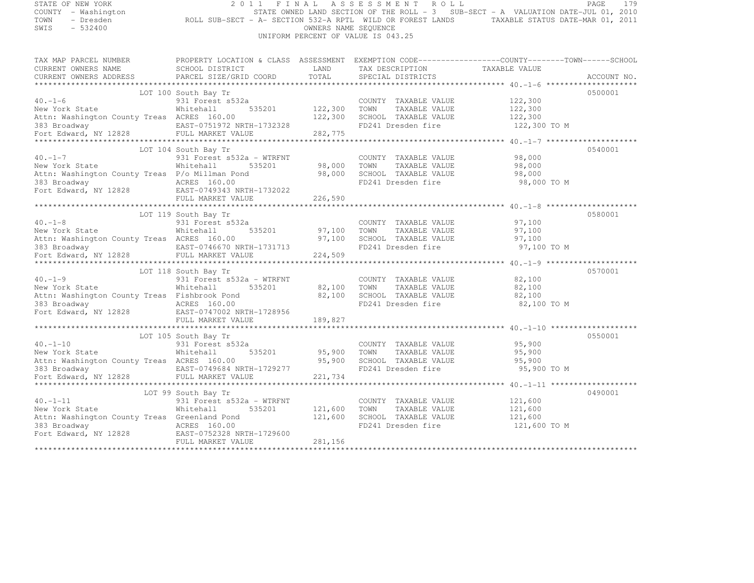| STATE OF NEW YORK<br>COUNTY - Washington<br>TOWN<br>- Dresden<br>SWIS<br>$-532400$                                                                                          | 2011<br>ROLL SUB-SECT - A- SECTION 532-A RPTL WILD OR FOREST LANDS TAXABLE STATUS DATE-MAR 01, 2011                                             | FINAL                         | ASSESSMENT ROLL<br>STATE OWNED LAND SECTION OF THE ROLL - 3 SUB-SECT - A VALUATION DATE-JUL 01, 2010<br>OWNERS NAME SEQUENCE<br>UNIFORM PERCENT OF VALUE IS 043.25 |                                               | PAGE<br>179 |
|-----------------------------------------------------------------------------------------------------------------------------------------------------------------------------|-------------------------------------------------------------------------------------------------------------------------------------------------|-------------------------------|--------------------------------------------------------------------------------------------------------------------------------------------------------------------|-----------------------------------------------|-------------|
| TAX MAP PARCEL NUMBER<br>CURRENT OWNERS NAME<br>CURRENT OWNERS ADDRESS                                                                                                      | PROPERTY LOCATION & CLASS ASSESSMENT EXEMPTION CODE-----------------COUNTY--------TOWN------SCHOOL<br>SCHOOL DISTRICT<br>PARCEL SIZE/GRID COORD | LAND<br>TOTAL                 | TAX DESCRIPTION TAXABLE VALUE<br>SPECIAL DISTRICTS                                                                                                                 |                                               | ACCOUNT NO. |
|                                                                                                                                                                             |                                                                                                                                                 |                               |                                                                                                                                                                    |                                               |             |
|                                                                                                                                                                             | LOT 100 South Bay Tr                                                                                                                            |                               |                                                                                                                                                                    |                                               | 0500001     |
| $40. -1 - 6$<br>New York State<br>Attn: Washington County Treas ACRES 160.00<br>383 Broadway <b>EAST-0751972 NRTH-1732328</b><br>Fort Edward, NY 12828 FULL MARKET VALUE    | 931 Forest s532a<br>535201<br>Whitehall                                                                                                         | 122,300<br>122,300<br>282,775 | COUNTY TAXABLE VALUE<br>TOWN<br>TAXABLE VALUE<br>SCHOOL TAXABLE VALUE<br>FD241 Dresden fire                                                                        | 122,300<br>122,300<br>122,300<br>122,300 TO M |             |
|                                                                                                                                                                             |                                                                                                                                                 |                               |                                                                                                                                                                    |                                               |             |
| $40. -1 - 7$<br>New York State<br>Attn: Washington County Treas P/o Millman Pond<br>383 Broadway<br>Fort Edward, NY 12828 EAST-0749343 NRTH-1732022                         | LOT 104 South Bay Tr<br>931 Forest s532a - WTRFNT<br>Whitehall<br>535201<br>ACRES 160.00                                                        | 98,000<br>98,000              | COUNTY TAXABLE VALUE<br>TOWN<br>TAXABLE VALUE<br>SCHOOL TAXABLE VALUE<br>FD241 Dresden fire                                                                        | 98,000<br>98,000<br>98,000<br>98,000 TO M     | 0540001     |
|                                                                                                                                                                             | FULL MARKET VALUE                                                                                                                               | 226,590                       |                                                                                                                                                                    |                                               |             |
| $40. -1 - 8$<br>New York State<br>Attn: Washington County Treas ACRES 160.00<br>383 Broadway<br>Fort Edward, NY 12828                                                       | LOT 119 South Bay Tr<br>931 Forest s532a<br>535201<br>Whitehall<br>EAST-0746670 NRTH-1731713<br>FULL MARKET VALUE                               | 97,100<br>97,100<br>224,509   | COUNTY TAXABLE VALUE<br>TOWN<br>TAXABLE VALUE<br>SCHOOL TAXABLE VALUE<br>FD241 Dresden fire                                                                        | 97,100<br>97,100<br>97,100<br>97,100 TO M     | 0580001     |
|                                                                                                                                                                             |                                                                                                                                                 |                               |                                                                                                                                                                    |                                               |             |
| $40. -1 - 9$<br>New York State<br>Attn: Washington County Treas Fishbrook Pond<br>383 Broadway <b>12828</b> ACRES 160.00<br>Fort Edward, NY 12828 EAST-0747002 NRTH-1728956 | LOT 118 South Bay Tr<br>931 Forest s532a - WTRFNT<br>Whitehall<br>535201                                                                        | 82,100<br>82,100              | COUNTY TAXABLE VALUE<br>TOWN<br>TAXABLE VALUE<br>SCHOOL TAXABLE VALUE<br>FD241 Dresden fire                                                                        | 82,100<br>82,100<br>82,100<br>82,100 TO M     | 0570001     |
|                                                                                                                                                                             | FULL MARKET VALUE                                                                                                                               | 189,827                       |                                                                                                                                                                    |                                               |             |
| $40. - 1 - 10$                                                                                                                                                              | *****************<br>LOT 105 South Bay Tr<br>931 Forest s532a                                                                                   |                               | COUNTY TAXABLE VALUE                                                                                                                                               | 95,900                                        | 0550001     |
| New York State<br>Attn: Washington County Treas ACRES 160.00<br>383 Broadway<br>Fort Edward, NY 12828                                                                       | 535201<br>Whitehall<br>EAST-0749684 NRTH-1729277<br>FULL MARKET VALUE                                                                           | 95,900<br>95,900<br>221,734   | TOWN<br>TAXABLE VALUE<br>SCHOOL TAXABLE VALUE<br>FD241 Dresden fire                                                                                                | 95,900<br>95,900<br>95,900 TO M               |             |
|                                                                                                                                                                             |                                                                                                                                                 |                               |                                                                                                                                                                    |                                               |             |
| $40. -1 - 11$<br>New York State<br>Attn: Washington County Treas Greenland Pond<br>383 Broadway 12828 ACRES 160.00<br>Fort Edward, NY 12828 EAST-0752328 NRTH-1729600       | LOT 99 South Bay Tr<br>931 Forest s532a - WTRFNT<br>535201<br>Whitehall<br>FULL MARKET VALUE                                                    | 121,600<br>121,600<br>281,156 | COUNTY TAXABLE VALUE<br>TOWN<br>TAXABLE VALUE<br>SCHOOL TAXABLE VALUE<br>FD241 Dresden fire                                                                        | 121,600<br>121,600<br>121,600<br>121,600 TO M | 0490001     |
|                                                                                                                                                                             |                                                                                                                                                 |                               |                                                                                                                                                                    |                                               |             |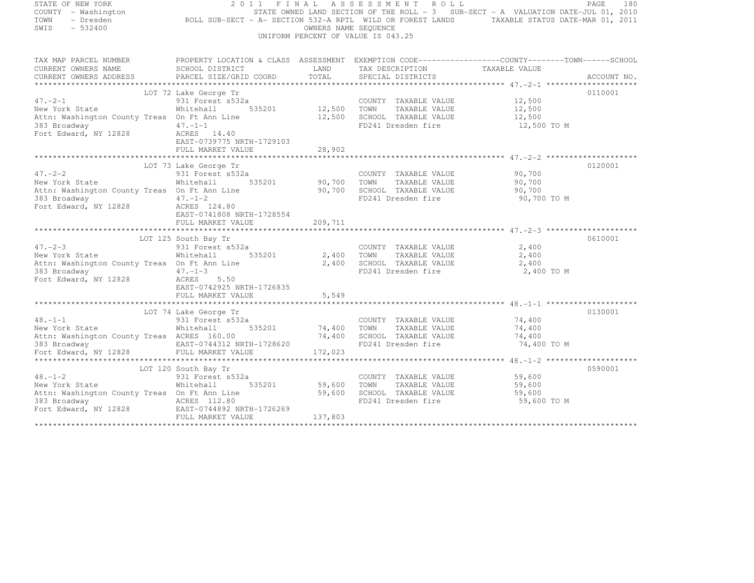| STATE OF NEW YORK<br>COUNTY - Washington                                                                                                                                                              | 2011                                      |         | FINAL ASSESSMENT ROLL                                                | STATE OWNED LAND SECTION OF THE ROLL - 3 SUB-SECT - A VALUATION DATE-JUL 01, 2010 | PAGE<br>180 |
|-------------------------------------------------------------------------------------------------------------------------------------------------------------------------------------------------------|-------------------------------------------|---------|----------------------------------------------------------------------|-----------------------------------------------------------------------------------|-------------|
| TOWN                                                                                                                                                                                                  |                                           |         |                                                                      |                                                                                   |             |
| SWIS<br>$-532400$                                                                                                                                                                                     |                                           |         | OWNERS NAME SEQUENCE                                                 |                                                                                   |             |
|                                                                                                                                                                                                       |                                           |         | UNIFORM PERCENT OF VALUE IS 043.25                                   |                                                                                   |             |
|                                                                                                                                                                                                       |                                           |         |                                                                      |                                                                                   |             |
| TAX MAP PARCEL NUMBER THE PROPERTY LOCATION & CLASS ASSESSMENT EXEMPTION CODE-----------------COUNTY-------TOWN------SCHOOL<br>CURRENT OWNERS NAME SCHOOL DISTRICT LAND TAX DESCRIPTION TAXABLE VALUE |                                           |         |                                                                      |                                                                                   |             |
|                                                                                                                                                                                                       |                                           |         |                                                                      |                                                                                   |             |
| CURRENT OWNERS ADDRESS PARCEL SIZE/GRID COORD                                                                                                                                                         |                                           | TOTAL   | SPECIAL DISTRICTS                                                    |                                                                                   | ACCOUNT NO. |
|                                                                                                                                                                                                       |                                           |         |                                                                      |                                                                                   |             |
| $47. -2 - 1$                                                                                                                                                                                          | LOT 72 Lake George Tr<br>931 Forest s532a |         | COUNTY TAXABLE VALUE 12,500                                          |                                                                                   | 0110001     |
| New York State                                                                                                                                                                                        | Whitehall 535201 12,500 TOWN              |         | TAXABLE VALUE                                                        | 12,500                                                                            |             |
| Attn: Washington County Treas On Ft Ann Line 12,500 SCHOOL TAXABLE VALUE 12,500                                                                                                                       |                                           |         |                                                                      |                                                                                   |             |
| 383 Broadway 47.-1-1                                                                                                                                                                                  |                                           |         | FD241 Dresden fire                                                   | 12,500 TO M                                                                       |             |
| Fort Edward, NY 12828 ACRES 14.40                                                                                                                                                                     |                                           |         |                                                                      |                                                                                   |             |
|                                                                                                                                                                                                       | EAST-0739775 NRTH-1729103                 |         |                                                                      |                                                                                   |             |
|                                                                                                                                                                                                       | FULL MARKET VALUE                         | 28,902  |                                                                      |                                                                                   |             |
|                                                                                                                                                                                                       |                                           |         |                                                                      |                                                                                   |             |
|                                                                                                                                                                                                       | LOT 73 Lake George Tr                     |         |                                                                      |                                                                                   | 0120001     |
| $47. -2 - 2$                                                                                                                                                                                          |                                           |         | COUNTY TAXABLE VALUE 90,700                                          |                                                                                   |             |
| New York State                                                                                                                                                                                        |                                           |         |                                                                      | 90,700                                                                            |             |
| Attn: Washington County Treas On Ft Ann Line                                                                                                                                                          |                                           |         | 90,700 SCHOOL TAXABLE VALUE 90,700<br>FD241 Dresden fire 90,700 TO M |                                                                                   |             |
| 383 Broadway<br>$47. -1 - 2$<br>Fort Edward, NY 12828                                                                                                                                                 | ACRES 124.80                              |         |                                                                      |                                                                                   |             |
|                                                                                                                                                                                                       | EAST-0741808 NRTH-1728554                 |         |                                                                      |                                                                                   |             |
|                                                                                                                                                                                                       |                                           |         |                                                                      |                                                                                   |             |
|                                                                                                                                                                                                       |                                           |         |                                                                      |                                                                                   |             |
|                                                                                                                                                                                                       | LOT 125 South Bay Tr                      |         |                                                                      |                                                                                   | 0610001     |
| 47.-2-3<br>New York State                                                                                                                                                                             | 931 Forest s532a                          |         | COUNTY TAXABLE VALUE                                                 | 2,400                                                                             |             |
|                                                                                                                                                                                                       | Whitehall 535201 2,400 TOWN               |         | TAXABLE VALUE                                                        | 2,400                                                                             |             |
| Attn: Washington County Treas On Ft Ann Line 2,400 SCHOOL TAXABLE VALUE<br>383 Broadway 47.-1-3 FD241 Dresden fire                                                                                    |                                           |         |                                                                      | 2,400                                                                             |             |
| 383 Broadway 47.-1-3<br>Fort Edward, NY 12828 ACRES                                                                                                                                                   |                                           |         |                                                                      | 2,400 TO M                                                                        |             |
|                                                                                                                                                                                                       | ACRES 5.50<br>EAST-0742925 NRTH-1726835   |         |                                                                      |                                                                                   |             |
|                                                                                                                                                                                                       |                                           |         |                                                                      |                                                                                   |             |
|                                                                                                                                                                                                       |                                           |         |                                                                      |                                                                                   |             |
|                                                                                                                                                                                                       | LOT 74 Lake George Tr                     |         |                                                                      |                                                                                   | 0130001     |
|                                                                                                                                                                                                       |                                           |         |                                                                      |                                                                                   |             |
| 48.-1-1<br>New York State 6.1 Mew York State 6.1 Mitchall 5.                                                                                                                                          | $535201$ $74,400$ TOWN                    |         | COUNTY TAXABLE VALUE<br>TOWN      TAXABLE VALUE                      | 74,400<br>74,400                                                                  |             |
| Attn: Washington County Treas ACRES 160.00                                                                                                                                                            |                                           | 74,400  | SCHOOL TAXABLE VALUE                                                 | 74,400                                                                            |             |
| 383 Broadway <b>EAST-0744312 NRTH-1728620</b><br>Fort Edward, NY 12828 FULL MARKET VALUE                                                                                                              |                                           |         | FD241 Dresden fire                                                   | 74,400 TO M                                                                       |             |
|                                                                                                                                                                                                       |                                           | 172,023 |                                                                      |                                                                                   |             |
|                                                                                                                                                                                                       |                                           |         |                                                                      |                                                                                   |             |
|                                                                                                                                                                                                       | LOT 120 South Bay Tr                      |         |                                                                      |                                                                                   | 0590001     |
| 48.-1-2<br>New York State 6.1 Mitehall 535201                                                                                                                                                         | $535201$ 59,600                           |         | COUNTY TAXABLE VALUE<br>TOWN TAXABLE VALUE                           | 59,600<br>59,600                                                                  |             |
| Attn: Washington County Treas On Ft Ann Line                                                                                                                                                          |                                           | 59,600  | TOWN<br>SCHOOL TAXABLE VALUE                                         | 59,600                                                                            |             |
|                                                                                                                                                                                                       |                                           |         | FD241 Dresden fire                                                   | 59,600 TO M                                                                       |             |
| 383 Broadway 12828 ACRES 112.80<br>Fort Edward, NY 12828 EAST-0744892 NRTH-1726269                                                                                                                    |                                           |         |                                                                      |                                                                                   |             |
|                                                                                                                                                                                                       | FULL MARKET VALUE                         | 137,803 |                                                                      |                                                                                   |             |
|                                                                                                                                                                                                       |                                           |         |                                                                      |                                                                                   |             |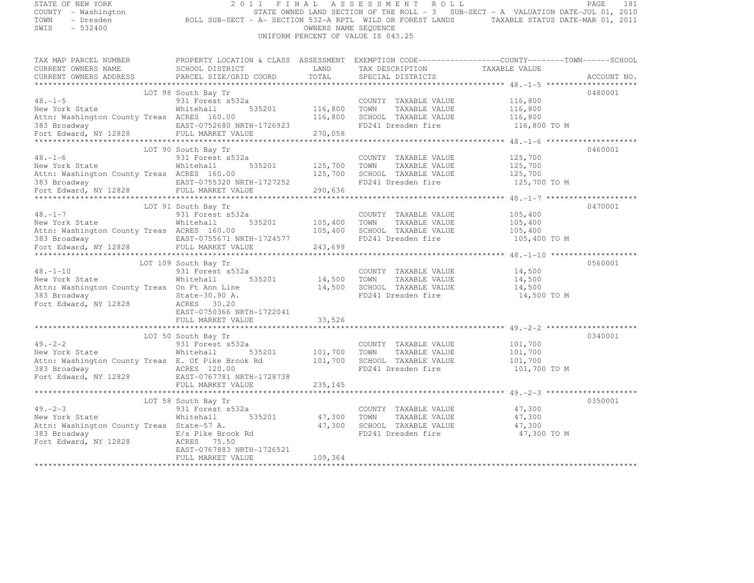| STATE OF NEW YORK<br>COUNTY - Washington<br>TOWN<br>- Dresden<br>SWIS<br>$-532400$                                        | 2011<br>ROLL SUB-SECT - A- SECTION 532-A RPTL WILD OR FOREST LANDS TAXABLE STATUS DATE-MAR 01, 2011                                                                                    | OWNERS NAME SEQUENCE          | FINAL ASSESSMENT ROLL<br>STATE OWNED LAND SECTION OF THE ROLL - 3 SUB-SECT - A VALUATION DATE-JUL 01, 2010<br>UNIFORM PERCENT OF VALUE IS 043.25 |                                               | PAGE<br>181 |
|---------------------------------------------------------------------------------------------------------------------------|----------------------------------------------------------------------------------------------------------------------------------------------------------------------------------------|-------------------------------|--------------------------------------------------------------------------------------------------------------------------------------------------|-----------------------------------------------|-------------|
| CURRENT OWNERS NAME<br>CURRENT OWNERS ADDRESS                                                                             | TAX MAP PARCEL NUMBER THE PROPERTY LOCATION & CLASS ASSESSMENT EXEMPTION CODE---------------COUNTY--------TOWN------SCHOOL<br>SCHOOL DISTRICT<br>PARCEL SIZE/GRID COORD                | LAND<br>TOTAL                 | TAX DESCRIPTION<br>SPECIAL DISTRICTS                                                                                                             | TAXABLE VALUE                                 | ACCOUNT NO. |
|                                                                                                                           |                                                                                                                                                                                        |                               |                                                                                                                                                  |                                               |             |
| $48. -1 - 5$<br>New York State<br>Attn: Washington County Treas ACRES 160.00<br>**********************                    | LOT 98 South Bay Tr<br>931 Forest s532a<br>535201<br>Whitehall<br>383 Broadway <b>EAST-0752680 NRTH-1726923</b><br>Fort Edward, NY 12828 FULL MARKET VALUE<br>-1726923<br>.            | 116,800<br>116,800<br>270,058 | COUNTY TAXABLE VALUE<br>TOWN<br>TAXABLE VALUE<br>SCHOOL TAXABLE VALUE<br>FD241 Dresden fire                                                      | 116,800<br>116,800<br>116,800<br>116,800 TO M | 0480001     |
|                                                                                                                           | LOT 90 South Bay Tr                                                                                                                                                                    |                               |                                                                                                                                                  |                                               | 0460001     |
| $48. -1 - 6$<br>New York State Mhitehall<br>Attn: Washington County Treas ACRES 160.00<br>383 Broadway                    | 931 Forest s532a<br>535201<br>EAST-0755320 NRTH-1727252<br>Fort Edward, NY 12828 FULL MARKET VALUE                                                                                     | 125,700<br>125,700<br>290,636 | COUNTY TAXABLE VALUE<br>TOWN<br>TAXABLE VALUE<br>SCHOOL TAXABLE VALUE<br>FD241 Dresden fire                                                      | 125,700<br>125,700<br>125,700<br>125,700 TO M |             |
|                                                                                                                           | LOT 91 South Bay Tr                                                                                                                                                                    |                               |                                                                                                                                                  |                                               | 0470001     |
| $48. - 1 - 7$<br>New York State<br>Attn: Wachiri<br>Attn: Washington County Treas ACRES 160.00                            | 931 Forest s532a<br>535201<br>Whitehall<br>383 Broadway (EAST-0755671 NRTH-1724577 Fort Edward, NY 12828 FULL MARKET VALUE                                                             | 105,400<br>105,400<br>243,699 | COUNTY TAXABLE VALUE<br>TOWN<br>TAXABLE VALUE<br>SCHOOL TAXABLE VALUE<br>FD241 Dresden fire                                                      | 105,400<br>105,400<br>105,400<br>105,400 TO M |             |
|                                                                                                                           |                                                                                                                                                                                        |                               |                                                                                                                                                  |                                               |             |
| $48. - 1 - 10$<br>New York State<br>Attn: Washington County Treas On Ft Ann Line<br>383 Broadway<br>Fort Edward, NY 12828 | LOT 109 South Bay Tr<br>931 Forest s532a<br>Whitehall 535201<br>State-30.90 A.<br>ACRES 30.20<br>EAST-0750366 NRTH-1722041<br>FULL MARKET VALUE                                        | 33,526                        | COUNTY TAXABLE VALUE 14,500<br>14,500 TOWN TAXABLE VALUE<br>14,500 SCHOOL TAXABLE VALUE<br>FD241 Dresden fire                                    | 14,500<br>14,500<br>14,500 TO M               | 0560001     |
|                                                                                                                           |                                                                                                                                                                                        |                               |                                                                                                                                                  |                                               |             |
| $49. -2 - 2$<br>New York State<br>383 Broadway                                                                            | LOT 50 South Bay Tr<br>931 Forest s532a<br>Whitehall<br>535201<br>Attn: Washington County Treas E. Of Pike Brook Rd<br>ACRES 120.00<br>Fort Edward, NY 12828 EAST-0767781 NRTH-1728738 | 101,700<br>101,700            | COUNTY TAXABLE VALUE<br>TOWN<br>TAXABLE VALUE<br>SCHOOL TAXABLE VALUE<br>FD241 Dresden fire                                                      | 101,700<br>101,700<br>101,700<br>101,700 TO M | 0340001     |
|                                                                                                                           | FULL MARKET VALUE                                                                                                                                                                      | 235, 145                      |                                                                                                                                                  |                                               |             |
| $49 - 2 - 3$                                                                                                              | LOT 58 South Bay Tr<br>931 Forest s532a                                                                                                                                                |                               | COUNTY TAXABLE VALUE                                                                                                                             | 47,300                                        | 0350001     |
| New York State<br>Attn: Washington County Treas State-57 A.<br>383 Broadway<br>Fort Edward, NY 12828 ACRES 75.50          | Whitehall<br>535201<br>E/s Pike Brook Rd                                                                                                                                               | 47,300                        | TOWN<br>TAXABLE VALUE<br>47,300 SCHOOL TAXABLE VALUE<br>FD241 Dresden fire                                                                       | 47,300<br>47,300<br>47,300 TO M               |             |
|                                                                                                                           | EAST-0767883 NRTH-1726521<br>FULL MARKET VALUE                                                                                                                                         | 109,364                       |                                                                                                                                                  |                                               |             |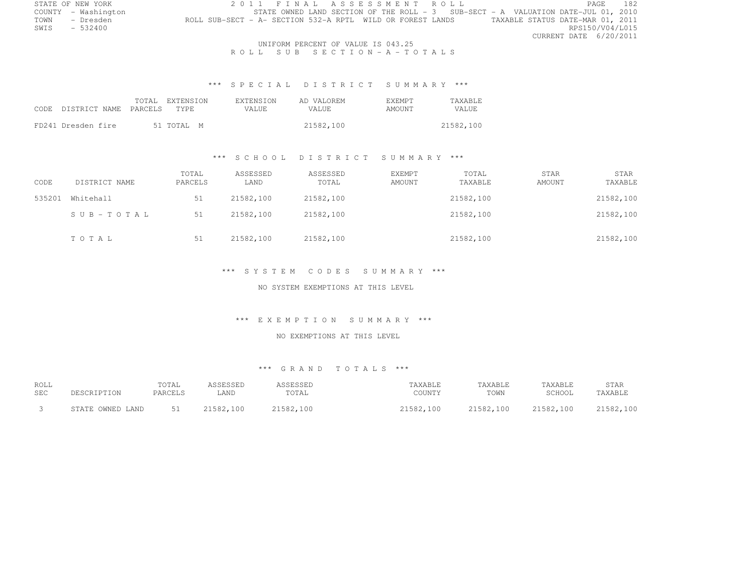| STATE OF NEW YORK   |                                                            |  |  | 2011 FINAL ASSESSMENT ROLL |  |  |                                                                                   |                                  | PAGE            | 182 |
|---------------------|------------------------------------------------------------|--|--|----------------------------|--|--|-----------------------------------------------------------------------------------|----------------------------------|-----------------|-----|
| COUNTY - Washington |                                                            |  |  |                            |  |  | STATE OWNED LAND SECTION OF THE ROLL - 3 SUB-SECT - A VALUATION DATE-JUL 01, 2010 |                                  |                 |     |
| TOWN - Dresden      | ROLL SUB-SECT - A- SECTION 532-A RPTL WILD OR FOREST LANDS |  |  |                            |  |  |                                                                                   | TAXABLE STATUS DATE-MAR 01, 2011 |                 |     |
| $SWIS = 532400$     |                                                            |  |  |                            |  |  |                                                                                   |                                  | RPS150/V04/L015 |     |
|                     |                                                            |  |  |                            |  |  |                                                                                   | CURRENT DATE 6/20/2011           |                 |     |
|                     |                                                            |  |  |                            |  |  |                                                                                   |                                  |                 |     |

 UNIFORM PERCENT OF VALUE IS 043.25R O L L S U B S E C T I O N - A - T O T A L S

### \*\*\* S P E C I A L D I S T R I C T S U M M A R Y \*\*\*

| CODE DISTRICT NAME PARCELS | TOTAL EXTENSION<br>TYPE. | EXTENSION<br>VALUE. | AD VALOREM<br>VALUE. | <b>EXEMPT</b><br>AMOUNT | <b>TAXABLE</b><br>VALUE |
|----------------------------|--------------------------|---------------------|----------------------|-------------------------|-------------------------|
| FD241 Dresden fire         | 51 TOTAL M               |                     | 21582,100            |                         | 21582,100               |

### \*\*\* S C H O O L D I S T R I C T S U M M A R Y \*\*\*

| CODE   | DISTRICT NAME | TOTAL<br>PARCELS | ASSESSED<br>LAND | ASSESSED<br>TOTAL | <b>EXEMPT</b><br>AMOUNT | TOTAL<br>TAXABLE | <b>STAR</b><br>AMOUNT | STAR<br>TAXABLE |
|--------|---------------|------------------|------------------|-------------------|-------------------------|------------------|-----------------------|-----------------|
| 535201 | Whitehall     | 51               | 21582,100        | 21582,100         |                         | 21582,100        |                       | 21582,100       |
|        | SUB-TOTAL     | 51               | 21582,100        | 21582,100         |                         | 21582,100        |                       | 21582,100       |
|        | TOTAL         | 51               | 21582,100        | 21582,100         |                         | 21582,100        |                       | 21582,100       |

# \*\*\* S Y S T E M C O D E S S U M M A R Y \*\*\*

### NO SYSTEM EXEMPTIONS AT THIS LEVEL

# \*\*\* E X E M P T I O N S U M M A R Y \*\*\*

#### NO EXEMPTIONS AT THIS LEVEL

| <b>ROLL</b> | DESCRIPTION      | TOTAL   | ASSESSED  | ASSESSED  | TAXABLE   | TAXABLE   | TAXABLE   | <b>STAR</b> |
|-------------|------------------|---------|-----------|-----------|-----------|-----------|-----------|-------------|
| <b>SEC</b>  |                  | PARCELS | LAND      | TOTAL     | COUNTY    | TOWN      | SCHOOL    | TAXABLE     |
|             | STATE OWNED LAND | 51      | 21582,100 | 21582,100 | 21582,100 | 21582,100 | 21582,100 | 21582,100   |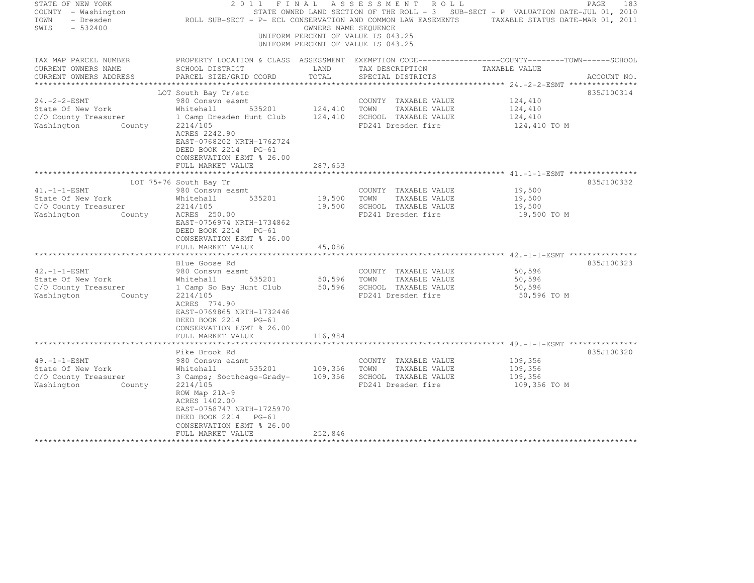| STATE OF NEW YORK<br>COUNTY - Washington<br>- Dresden<br>TOWN<br>$-532400$<br>SWIS | 2 0 1 1<br>FINAL                                                                                                                      |               | ASSESSMENT ROLL<br>OWNERS NAME SEQUENCE<br>UNIFORM PERCENT OF VALUE IS 043.25<br>UNIFORM PERCENT OF VALUE IS 043.25 | PAGE<br>STATE OWNED LAND SECTION OF THE ROLL - 3 SUB-SECT - P VALUATION DATE-JUL 01, 2010<br>ROLL SUB-SECT - P- ECL CONSERVATION AND COMMON LAW EASEMENTS TAXABLE STATUS DATE-MAR 01, 2011 | 183         |
|------------------------------------------------------------------------------------|---------------------------------------------------------------------------------------------------------------------------------------|---------------|---------------------------------------------------------------------------------------------------------------------|--------------------------------------------------------------------------------------------------------------------------------------------------------------------------------------------|-------------|
| TAX MAP PARCEL NUMBER                                                              |                                                                                                                                       |               |                                                                                                                     | PROPERTY LOCATION & CLASS ASSESSMENT EXEMPTION CODE-----------------COUNTY-------TOWN-----SCHOOL                                                                                           |             |
| CURRENT OWNERS NAME<br>CURRENT OWNERS ADDRESS                                      | SCHOOL DISTRICT<br>PARCEL SIZE/GRID COORD                                                                                             | LAND<br>TOTAL | TAX DESCRIPTION TAXABLE VALUE<br>SPECIAL DISTRICTS                                                                  |                                                                                                                                                                                            | ACCOUNT NO. |
|                                                                                    |                                                                                                                                       |               |                                                                                                                     |                                                                                                                                                                                            |             |
|                                                                                    | LOT South Bay Tr/etc                                                                                                                  |               |                                                                                                                     |                                                                                                                                                                                            | 835J100314  |
| $24. -2 - 2 - ESMT$                                                                | 980 Consvn easmt                                                                                                                      |               | COUNTY TAXABLE VALUE                                                                                                | 124,410                                                                                                                                                                                    |             |
| State Of New York                                                                  | Whitehall<br>535201                                                                                                                   | 124,410 TOWN  | TAXABLE VALUE                                                                                                       | 124,410                                                                                                                                                                                    |             |
| C/O County Treasurer                                                               | 1 Camp Dresden Hunt Club                                                                                                              |               | 124,410 SCHOOL TAXABLE VALUE                                                                                        | 124,410                                                                                                                                                                                    |             |
| Washington<br>County                                                               | 2214/105<br>ACRES 2242.90<br>EAST-0768202 NRTH-1762724<br>DEED BOOK 2214 PG-61<br>CONSERVATION ESMT % 26.00<br>FULL MARKET VALUE      | 287,653       | FD241 Dresden fire                                                                                                  | 124,410 TO M                                                                                                                                                                               |             |
|                                                                                    |                                                                                                                                       | ************  |                                                                                                                     |                                                                                                                                                                                            |             |
|                                                                                    | LOT 75+76 South Bay Tr                                                                                                                |               |                                                                                                                     |                                                                                                                                                                                            | 835J100332  |
| $41. -1 -1 - ESMT$<br>State Of New York                                            | 980 Consvn easmt<br>535201<br>Whitehall                                                                                               | 19,500        | COUNTY TAXABLE VALUE<br>TOWN<br>TAXABLE VALUE                                                                       | 19,500<br>19,500                                                                                                                                                                           |             |
| C/O County Treasurer                                                               | 2214/105                                                                                                                              | 19,500        | SCHOOL TAXABLE VALUE                                                                                                | 19,500                                                                                                                                                                                     |             |
| Washington<br>County                                                               | ACRES 250.00<br>EAST-0756974 NRTH-1734862<br>DEED BOOK 2214 PG-61<br>CONSERVATION ESMT % 26.00<br>FULL MARKET VALUE                   | 45,086        | FD241 Dresden fire                                                                                                  | 19,500 TO M                                                                                                                                                                                |             |
|                                                                                    |                                                                                                                                       |               |                                                                                                                     |                                                                                                                                                                                            |             |
|                                                                                    | Blue Goose Rd                                                                                                                         |               |                                                                                                                     |                                                                                                                                                                                            | 835J100323  |
| $42. -1 -1 - ESMT$<br>State Of New York                                            | 980 Consvn easmt<br>535201<br>Whitehall                                                                                               | 50,596        | COUNTY TAXABLE VALUE<br>TOWN<br>TAXABLE VALUE                                                                       | 50,596<br>50,596                                                                                                                                                                           |             |
| C/O County Treasurer                                                               | 1 Camp So Bay Hunt Club                                                                                                               |               | 50,596 SCHOOL TAXABLE VALUE                                                                                         | 50,596                                                                                                                                                                                     |             |
| Washington County                                                                  | 2214/105                                                                                                                              |               | FD241 Dresden fire                                                                                                  | 50,596 TO M                                                                                                                                                                                |             |
|                                                                                    | ACRES 774.90<br>EAST-0769865 NRTH-1732446<br>DEED BOOK 2214 PG-61<br>CONSERVATION ESMT % 26.00<br>FULL MARKET VALUE                   | 116,984       |                                                                                                                     |                                                                                                                                                                                            |             |
|                                                                                    | Pike Brook Rd                                                                                                                         |               |                                                                                                                     |                                                                                                                                                                                            | 835J100320  |
| $49. -1 -1 - ESMT$                                                                 | 980 Consvn easmt                                                                                                                      |               | COUNTY TAXABLE VALUE                                                                                                | 109,356                                                                                                                                                                                    |             |
| State Of New York                                                                  | 535201<br>Whitehall                                                                                                                   | 109,356       | TOWN<br>TAXABLE VALUE                                                                                               | 109,356                                                                                                                                                                                    |             |
| C/O County Treasurer<br>Washington<br>County                                       | 3 Camps; Soothcage-Grady-<br>2214/105                                                                                                 | 109,356       | SCHOOL TAXABLE VALUE<br>FD241 Dresden fire                                                                          | 109,356<br>109,356 TO M                                                                                                                                                                    |             |
|                                                                                    | ROW Map 21A-9<br>ACRES 1402.00<br>EAST-0758747 NRTH-1725970<br>DEED BOOK 2214 PG-61<br>CONSERVATION ESMT % 26.00<br>FULL MARKET VALUE | 252,846       |                                                                                                                     |                                                                                                                                                                                            |             |
|                                                                                    |                                                                                                                                       |               |                                                                                                                     |                                                                                                                                                                                            |             |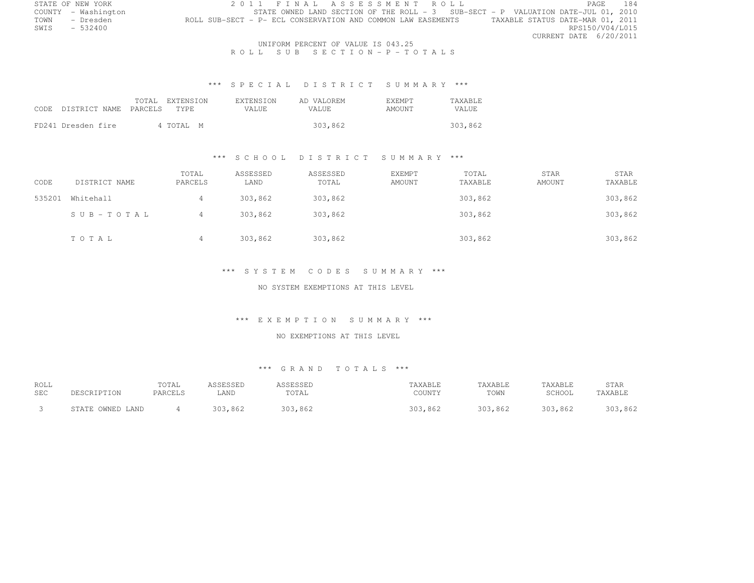|      | STATE OF NEW YORK   | 2011 FINAL ASSESSMENT ROLL                                                                       | <b>PAGE</b>            | 184 |
|------|---------------------|--------------------------------------------------------------------------------------------------|------------------------|-----|
|      | COUNTY - Washington | STATE OWNED LAND SECTION OF THE ROLL $-3$ SUB-SECT - P VALUATION DATE-JUL 01, 2010               |                        |     |
| TOWN | - Dresden           | TAXABLE STATUS DATE-MAR 01, 2011<br>ROLL SUB-SECT - P- ECL CONSERVATION AND COMMON LAW EASEMENTS |                        |     |
| SWIS | $-532400$           |                                                                                                  | RPS150/V04/L015        |     |
|      |                     |                                                                                                  | CURRENT DATE 6/20/2011 |     |

 UNIFORM PERCENT OF VALUE IS 043.25R O L L S U B S E C T I O N - P - T O T A L S

### \*\*\* S P E C I A L D I S T R I C T S U M M A R Y \*\*\*

| CODE DISTRICT NAME PARCELS TYPE | TOTAL EXTENSION | EXTENSION<br>VALUE. | AD VALOREM<br>VALUE | <b>F.XFMPT</b><br>AMOUNT | <b>TAXABLE</b><br>VALUE |
|---------------------------------|-----------------|---------------------|---------------------|--------------------------|-------------------------|
| FD241 Dresden fire              | 4 TOTAL M       |                     | 303,862             |                          | 303,862                 |

#### \*\*\* S C H O O L D I S T R I C T S U M M A R Y \*\*\*

| CODE   | DISTRICT NAME | TOTAL<br>PARCELS | ASSESSED<br>LAND | ASSESSED<br>TOTAL | EXEMPT<br>AMOUNT | TOTAL<br>TAXABLE | STAR<br>AMOUNT | STAR<br>TAXABLE |
|--------|---------------|------------------|------------------|-------------------|------------------|------------------|----------------|-----------------|
| 535201 | Whitehall     |                  | 303,862          | 303,862           |                  | 303,862          |                | 303,862         |
|        | SUB-TOTAL     |                  | 303,862          | 303,862           |                  | 303,862          |                | 303,862         |
|        | TOTAL         |                  | 303,862          | 303,862           |                  | 303,862          |                | 303,862         |

#### \*\*\* S Y S T E M C O D E S S U M M A R Y \*\*\*

### NO SYSTEM EXEMPTIONS AT THIS LEVEL

#### \*\*\* E X E M P T I O N S U M M A R Y \*\*\*

#### NO EXEMPTIONS AT THIS LEVEL

| <b>ROLL</b> | PESCRIPTION      | TOTAL   | ASSESSED | ASSESSED | TAXABLE | TAXABLE | TAXABLE | <b>STAR</b> |
|-------------|------------------|---------|----------|----------|---------|---------|---------|-------------|
| <b>SEC</b>  |                  | PARCELS | LAND.    | TOTAL    | COUNTY  | TOWN    | SCHOOL  | TAXABLE     |
|             | STATE OWNED LAND |         | 303,862  | 303,862  | 303,862 | 303,862 | 303,862 | 303,862     |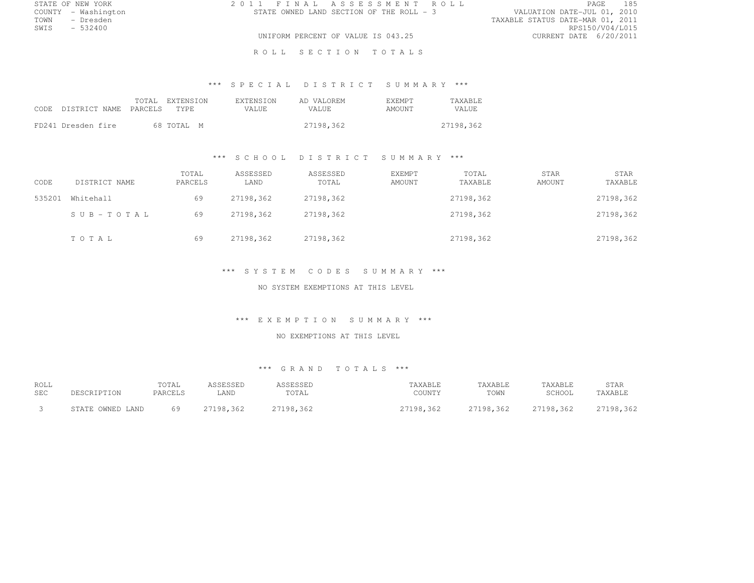|      | STATE OF NEW YORK   | 2011 FINAL ASSESSMENT ROLL               | 185<br><b>PAGE</b>               |
|------|---------------------|------------------------------------------|----------------------------------|
|      | COUNTY - Washington | STATE OWNED LAND SECTION OF THE ROLL - 3 | VALUATION DATE-JUL 01, 2010      |
| TOWN | – Dresden           |                                          | TAXABLE STATUS DATE-MAR 01, 2011 |
| SWIS | $-532400$           |                                          | RPS150/V04/L015                  |
|      |                     | UNIFORM PERCENT OF VALUE IS 043.25       | CURRENT DATE 6/20/2011           |

ROLL SECTION TOTALS

### \*\*\* S P E C I A L D I S T R I C T S U M M A R Y \*\*\*

| CODE. | DISTRICT NAME PARCELS | TOTAL EXTENSION<br>TYPE. | <b>EXTENSION</b><br>VALUE. | AD VALOREM<br>VALUE. | <b>EXEMPT</b><br>AMOUNT | <b>TAXABLE</b><br>VALUE. |
|-------|-----------------------|--------------------------|----------------------------|----------------------|-------------------------|--------------------------|
|       | FD241 Dresden fire    | 68 TOTAL M               |                            | 27198.362            |                         | 27198,362                |

### \*\*\* S C H O O L D I S T R I C T S U M M A R Y \*\*\*

| CODE   | DISTRICT NAME | TOTAL<br>PARCELS | ASSESSED<br>LAND | ASSESSED<br>TOTAL | EXEMPT<br>AMOUNT | TOTAL<br>TAXABLE | <b>STAR</b><br>AMOUNT | STAR<br>TAXABLE |
|--------|---------------|------------------|------------------|-------------------|------------------|------------------|-----------------------|-----------------|
| 535201 | Whitehall     | 69               | 27198,362        | 27198,362         |                  | 27198,362        |                       | 27198,362       |
|        | SUB-TOTAL     | 69               | 27198.362        | 27198,362         |                  | 27198,362        |                       | 27198,362       |
|        | TOTAL         | 69               | 27198,362        | 27198,362         |                  | 27198,362        |                       | 27198,362       |

### \*\*\* S Y S T E M C O D E S S U M M A R Y \*\*\*

#### NO SYSTEM EXEMPTIONS AT THIS LEVEL

# \*\*\* E X E M P T I O N S U M M A R Y \*\*\*

#### NO EXEMPTIONS AT THIS LEVEL

| <b>ROLL</b> | DESCRIPTION      | TOTAL   | ASSESSED  | ASSESSED  | TAXABLE   | TAXABLE   | TAXABLE   | STAR      |
|-------------|------------------|---------|-----------|-----------|-----------|-----------|-----------|-----------|
| SEC         |                  | PARCELS | LAND      | TOTAL     | COUNTY    | TOWN      | SCHOOL    | TAXABLE   |
|             | STATE OWNED LAND | 69      | 27198.362 | 27198.362 | 27198.362 | 27198,362 | 27198.362 | 27198,362 |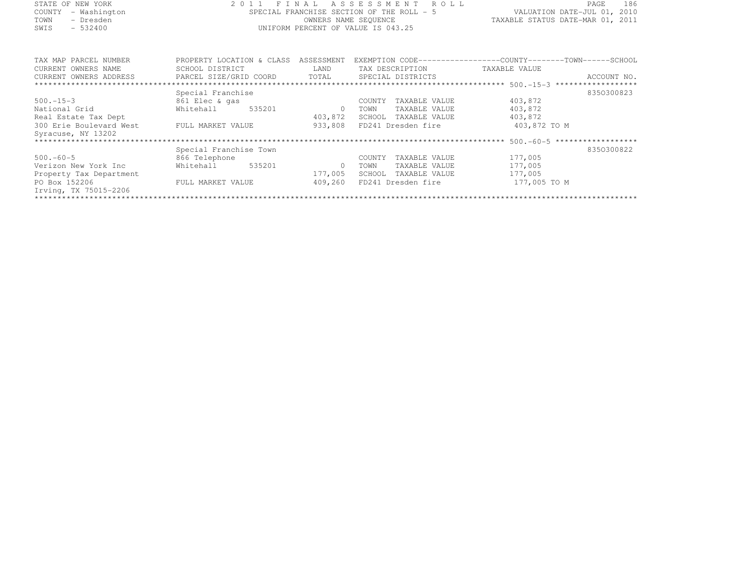| STATE OF NEW YORK       | 2 0 1 1                      | FINAL      | ASSESSMENT<br>ROLL                        | PAGE                                                         | 186 |
|-------------------------|------------------------------|------------|-------------------------------------------|--------------------------------------------------------------|-----|
| COUNTY<br>- Washington  |                              |            | SPECIAL FRANCHISE SECTION OF THE ROLL - 5 | VALUATION DATE-JUL 01, 2010                                  |     |
| TOWN<br>- Dresden       |                              |            | OWNERS NAME SEQUENCE                      | TAXABLE STATUS DATE-MAR 01, 2011                             |     |
| $-532400$<br>SWIS       |                              |            | UNIFORM PERCENT OF VALUE IS 043.25        |                                                              |     |
|                         |                              |            |                                           |                                                              |     |
|                         |                              |            |                                           |                                                              |     |
| TAX MAP PARCEL NUMBER   | PROPERTY LOCATION & CLASS    | ASSESSMENT |                                           | EXEMPTION CODE-----------------COUNTY-------TOWN------SCHOOL |     |
| CURRENT OWNERS NAME     | SCHOOL DISTRICT              | LAND       | TAX DESCRIPTION                           | TAXABLE VALUE                                                |     |
| CURRENT OWNERS ADDRESS  | PARCEL SIZE/GRID COORD TOTAL |            | SPECIAL DISTRICTS                         | ACCOUNT NO.                                                  |     |
|                         |                              |            |                                           |                                                              |     |
|                         | Special Franchise            |            |                                           | 8350300823                                                   |     |
| $500 - 15 - 3$          | 861 Elec & qas               |            | TAXABLE VALUE<br>COUNTY                   | 403,872                                                      |     |
| National Grid           | 535201<br>Whitehall          | $\Omega$   | TAXABLE VALUE<br>TOWN                     | 403,872                                                      |     |
| Real Estate Tax Dept    |                              | 403,872    | SCHOOL<br>TAXABLE VALUE                   | 403,872                                                      |     |
| 300 Erie Boulevard West | FULL MARKET VALUE            | 933,808    | FD241 Dresden fire                        | 403,872 TO M                                                 |     |
| Syracuse, NY 13202      |                              |            |                                           |                                                              |     |
|                         |                              |            |                                           |                                                              |     |
|                         | Special Franchise Town       |            |                                           | 8350300822                                                   |     |
| $500 - 60 - 5$          | 866 Telephone                |            | COUNTY<br>TAXABLE VALUE                   | 177,005                                                      |     |
| Verizon New York Inc    | 535201<br>Whitehall          | $\Omega$   | TOWN<br>TAXABLE VALUE                     | 177,005                                                      |     |
| Property Tax Department |                              | 177,005    | SCHOOL<br>TAXABLE VALUE                   | 177,005                                                      |     |
| PO Box 152206           | FULL MARKET VALUE            | 409,260    | FD241 Dresden fire                        | 177,005 TO M                                                 |     |
| Irving, TX 75015-2206   |                              |            |                                           |                                                              |     |
|                         |                              |            |                                           |                                                              |     |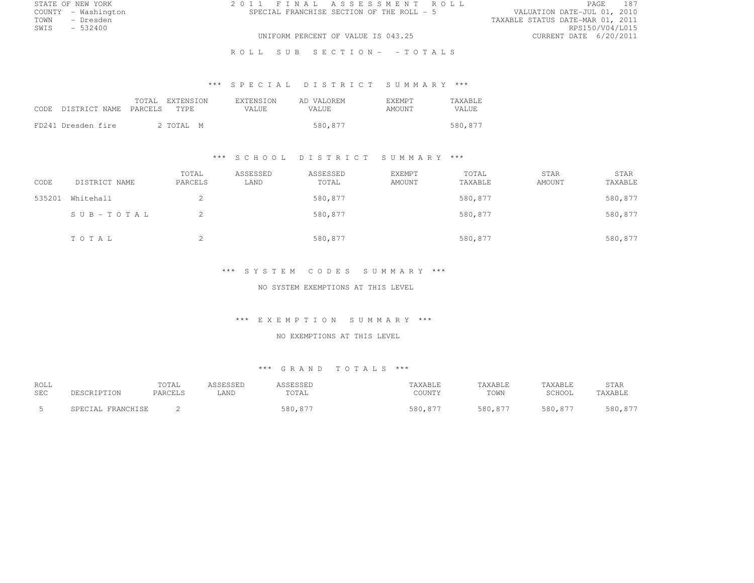|      | STATE OF NEW YORK   | 2011 FINAL ASSESSMENT ROLL                | 187<br>PAGE                      |
|------|---------------------|-------------------------------------------|----------------------------------|
|      | COUNTY - Washington | SPECIAL FRANCHISE SECTION OF THE ROLL - 5 | VALUATION DATE-JUL 01, 2010      |
| TOWN | - Dresden           |                                           | TAXABLE STATUS DATE-MAR 01, 2011 |
| SWIS | $-532400$           |                                           | RPS150/V04/L015                  |
|      |                     | UNIFORM PERCENT OF VALUE IS 043.25        | CURRENT DATE 6/20/2011           |

R O L L S U B S E C T I O N - - T O T A L S

### \*\*\* S P E C I A L D I S T R I C T S U M M A R Y \*\*\*

| CODE DISTRICT NAME PARCELS | TOTAL EXTENSION<br>TYPE. | <b>EXTENSION</b><br>VALUE. | AD VALOREM<br>VALUE. | <b>F.XEMPT</b><br>AMOUNT | <b>TAXABLE</b><br><b>VALUE</b> |
|----------------------------|--------------------------|----------------------------|----------------------|--------------------------|--------------------------------|
| FD241 Dresden fire         | 2 TOTAL M                |                            | 580,877              |                          | 580,877                        |

### \*\*\* S C H O O L D I S T R I C T S U M M A R Y \*\*\*

| CODE   | DISTRICT NAME | TOTAL<br>PARCELS | ASSESSED<br>LAND | ASSESSED<br>TOTAL | EXEMPT<br>AMOUNT | TOTAL<br>TAXABLE | STAR<br>AMOUNT | STAR<br>TAXABLE |
|--------|---------------|------------------|------------------|-------------------|------------------|------------------|----------------|-----------------|
| 535201 | Whitehall     | ∠                |                  | 580,877           |                  | 580,877          |                | 580,877         |
|        | SUB-TOTAL     |                  |                  | 580,877           |                  | 580,877          |                | 580,877         |
|        | TOTAL         | ∠                |                  | 580,877           |                  | 580,877          |                | 580,877         |

#### \*\*\* S Y S T E M C O D E S S U M M A R Y \*\*\*

#### NO SYSTEM EXEMPTIONS AT THIS LEVEL

# \*\*\* E X E M P T I O N S U M M A R Y \*\*\*

### NO EXEMPTIONS AT THIS LEVEL

| ROLL       |                   | TOTAL   | ASSESSED | ASSESSED | TAXABLE | TAXABLE | TAXABLE | STAR    |
|------------|-------------------|---------|----------|----------|---------|---------|---------|---------|
| <b>SEC</b> | DESCRIPTION       | PARCELS | LAND     | TOTAL    | COUNTY  | TOWN    | SCHOOL  | TAXABLE |
|            | SPECIAL FRANCHISE |         |          | 580,877  | 580,877 | 580,877 | 580,877 | 580,877 |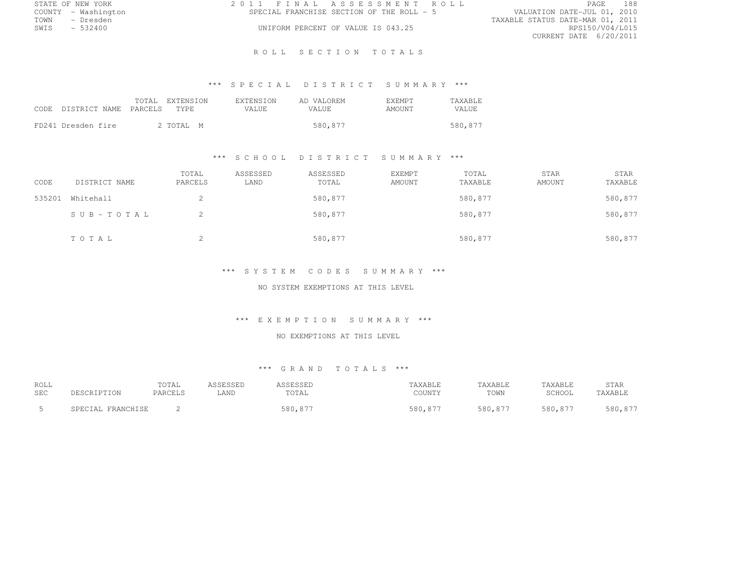| STATE OF NEW YORK   | 2011 FINAL ASSESSMENT ROLL                | 188<br>PAGE                      |
|---------------------|-------------------------------------------|----------------------------------|
| COUNTY - Washington | SPECIAL FRANCHISE SECTION OF THE ROLL - 5 | VALUATION DATE-JUL 01, 2010      |
| TOWN<br>- Dresden   |                                           | TAXABLE STATUS DATE-MAR 01, 2011 |
| SWIS<br>$-532400$   | UNIFORM PERCENT OF VALUE IS 043.25        | RPS150/V04/L015                  |
|                     |                                           | CURRENT DATE 6/20/2011           |

### R O L L S E C T I O N T O T A L S

# \*\*\* S P E C I A L D I S T R I C T S U M M A R Y \*\*\*

| CODE DISTRICT NAME PARCELS TYPE | TOTAL EXTENSION | <b>EXTENSION</b><br>VALUE. | AD VALOREM<br>VALUE. | <b>F.XEMPT</b><br><b>AMOUNT</b> | <b>TAXABLE</b><br><b>VALUE</b> |
|---------------------------------|-----------------|----------------------------|----------------------|---------------------------------|--------------------------------|
| FD241 Dresden fire              | 2 TOTAL M       |                            | 580,877              |                                 | 580,877                        |

### \*\*\* S C H O O L D I S T R I C T S U M M A R Y \*\*\*

| CODE   | DISTRICT NAME | TOTAL<br>PARCELS | ASSESSED<br>LAND | ASSESSED<br>TOTAL | EXEMPT<br>AMOUNT | TOTAL<br>TAXABLE | STAR<br>AMOUNT | STAR<br>TAXABLE |
|--------|---------------|------------------|------------------|-------------------|------------------|------------------|----------------|-----------------|
| 535201 | Whitehall     | ∠                |                  | 580,877           |                  | 580,877          |                | 580,877         |
|        | SUB-TOTAL     |                  |                  | 580,877           |                  | 580,877          |                | 580,877         |
|        | TOTAL         | ∠                |                  | 580,877           |                  | 580,877          |                | 580,877         |

### \*\*\* S Y S T E M C O D E S S U M M A R Y \*\*\*

### NO SYSTEM EXEMPTIONS AT THIS LEVEL

#### \*\*\* E X E M P T I O N S U M M A R Y \*\*\*

#### NO EXEMPTIONS AT THIS LEVEL

| ROLL<br><b>SEC</b> | DESCRIPTION          | TOTAL<br>PARCELS | \SSESSED<br>LAND | <b><i>\SSESSED</i></b><br>TOTAL | TAXABLE<br>COUNTY | TAXABLE<br>TOWN | TAXABLE<br>SCHOOL | STAR<br>TAXABLE |
|--------------------|----------------------|------------------|------------------|---------------------------------|-------------------|-----------------|-------------------|-----------------|
|                    | FRANCHISE<br>SPECIAL |                  |                  | 580,877                         | 580,877           | 580,877         | 580,877           | 580,877         |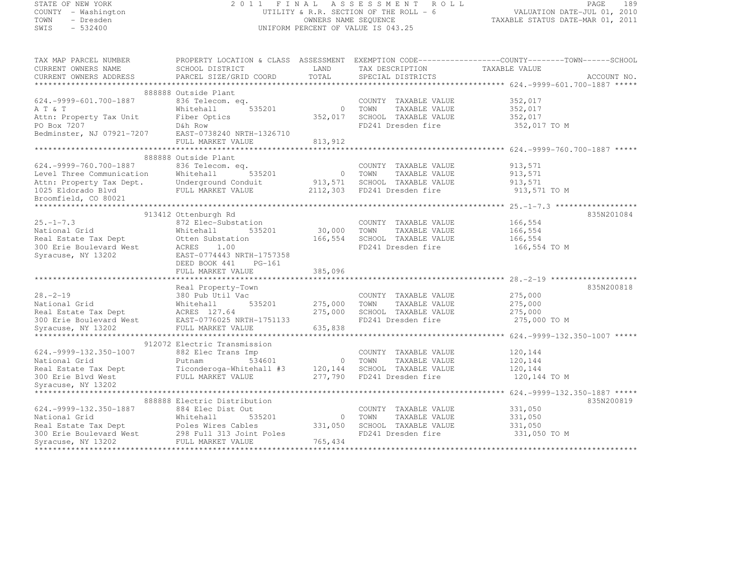| STATE OF NEW YORK |           |                     |  |
|-------------------|-----------|---------------------|--|
|                   |           | COUNTY - Washington |  |
| TOWN              |           | - Dresden           |  |
| CMT C             | $-532100$ |                     |  |

#### STATE OF NEW YORK 2 0 1 1 F I N A L A S S E S S M E N T R O L L PAGE <sup>189</sup> COUNTY - Washington UTILITY & R.R. SECTION OF THE ROLL - 6 VALUATION DATE-JUL 01, 2010 TOWN - Dresden OWNERS NAME SEQUENCE TAXABLE STATUS DATE-MAR 01, 2011<br>- TRESDEN ON THE SEQUENCE TO A SECUENCE TO BE SERVED ON THE SEQUENCE OF SEXUE OF THE STATUS DATE MAR 01, 2011 SWIS - 532400 UNIFORM PERCENT OF VALUE IS 043.25

| TAX MAP PARCEL NUMBER<br>CURRENT OWNERS NAME<br>CURRENT OWNERS ADDRESS                                                                                                                | SCHOOL DISTRICT<br>PARCEL SIZE/GRID COORD             | LAND<br>TOTAL  | TAX DESCRIPTION<br>SPECIAL DISTRICTS | PROPERTY LOCATION & CLASS ASSESSMENT EXEMPTION CODE----------------COUNTY-------TOWN-----SCHOOL<br>TAXABLE VALUE | ACCOUNT NO. |
|---------------------------------------------------------------------------------------------------------------------------------------------------------------------------------------|-------------------------------------------------------|----------------|--------------------------------------|------------------------------------------------------------------------------------------------------------------|-------------|
|                                                                                                                                                                                       |                                                       |                |                                      |                                                                                                                  |             |
|                                                                                                                                                                                       | 888888 Outside Plant                                  |                |                                      |                                                                                                                  |             |
| 624. - 9999 - 601. 700 - 1887                                                                                                                                                         | 836 Telecom. eq.                                      |                | COUNTY TAXABLE VALUE                 | 352,017                                                                                                          |             |
| A T & T                                                                                                                                                                               | Whitehall<br>535201                                   | $\overline{0}$ | TOWN<br>TAXABLE VALUE                | 352,017                                                                                                          |             |
| Attn: Property Tax Unit                                                                                                                                                               | Fiber Optics                                          | 352,017        | SCHOOL TAXABLE VALUE                 | 352,017                                                                                                          |             |
| PO Box 7207                                                                                                                                                                           | D&h Row                                               |                | FD241 Dresden fire                   | 352,017 TO M                                                                                                     |             |
| Bedminster, NJ 07921-7207                                                                                                                                                             | EAST-0738240 NRTH-1326710                             |                |                                      |                                                                                                                  |             |
|                                                                                                                                                                                       | FULL MARKET VALUE                                     | 813,912        |                                      |                                                                                                                  |             |
|                                                                                                                                                                                       |                                                       |                |                                      |                                                                                                                  |             |
|                                                                                                                                                                                       | 888888 Outside Plant                                  |                |                                      |                                                                                                                  |             |
| 624. - 9999 - 760. 700 - 1887                                                                                                                                                         | 836 Telecom. eq.                                      |                | COUNTY TAXABLE VALUE                 | 913,571                                                                                                          |             |
| Level Three Communication                                                                                                                                                             | Whitehall<br>535201                                   |                | 0 TOWN<br>TAXABLE VALUE              | 913,571                                                                                                          |             |
|                                                                                                                                                                                       |                                                       | 913,571        | SCHOOL TAXABLE VALUE                 | 913,571                                                                                                          |             |
| Attn: Property Tax Dept. Underground Conduit<br>1025 Eldorado Blvd<br>Broomfield, CO 80021 FULL MARKET VALUE                                                                          |                                                       |                | 2112,303 FD241 Dresden fire          | 913,571 TO M                                                                                                     |             |
| Broomfield, CO 80021                                                                                                                                                                  |                                                       |                |                                      |                                                                                                                  |             |
|                                                                                                                                                                                       |                                                       |                |                                      |                                                                                                                  |             |
|                                                                                                                                                                                       | 913412 Ottenburgh Rd                                  |                |                                      |                                                                                                                  | 835N201084  |
| $25. - 1 - 7.3$                                                                                                                                                                       | 872 Elec-Substation                                   |                | COUNTY TAXABLE VALUE                 | 166,554                                                                                                          |             |
| National Grid                                                                                                                                                                         | Whitehall<br>535201                                   | 30,000         | TOWN<br>TAXABLE VALUE                | 166,554                                                                                                          |             |
| Real Estate Tax Dept                                                                                                                                                                  | Otten Substation                                      | 166,554        | SCHOOL TAXABLE VALUE                 | 166,554                                                                                                          |             |
| 300 Erie Boulevard West                                                                                                                                                               | 1.00<br>ACRES                                         |                | FD241 Dresden fire                   | 166,554 TO M                                                                                                     |             |
| Syracuse, NY 13202                                                                                                                                                                    | EAST-0774443 NRTH-1757358                             |                |                                      |                                                                                                                  |             |
|                                                                                                                                                                                       | DEED BOOK 441 PG-161                                  |                |                                      |                                                                                                                  |             |
|                                                                                                                                                                                       | FULL MARKET VALUE                                     | 385,096        |                                      |                                                                                                                  |             |
|                                                                                                                                                                                       | Real Property-Town                                    |                |                                      |                                                                                                                  | 835N200818  |
| $28. - 2 - 19$                                                                                                                                                                        | 380 Pub Util Vac                                      |                | COUNTY TAXABLE VALUE                 | 275,000                                                                                                          |             |
|                                                                                                                                                                                       |                                                       | 275,000        | TOWN<br>TAXABLE VALUE                | 275,000                                                                                                          |             |
|                                                                                                                                                                                       |                                                       | 275,000        | SCHOOL TAXABLE VALUE                 | 275,000                                                                                                          |             |
|                                                                                                                                                                                       |                                                       |                | FD241 Dresden fire                   | 275,000 TO M                                                                                                     |             |
| National Grid Mitehall 535201<br>Real Estate Tax Dept ACRES 127.64<br>300 Erie Boulevard West EAST-0776025 NRTH-1751133<br>Syracuse, NY 13202 FULL MARKET VALUE<br>Syracuse, NY 13202 | FULL MARKET VALUE                                     | 635,838        |                                      |                                                                                                                  |             |
|                                                                                                                                                                                       |                                                       |                |                                      |                                                                                                                  |             |
|                                                                                                                                                                                       | 912072 Electric Transmission                          |                |                                      |                                                                                                                  |             |
| $624.-9999-132.350-1007$                                                                                                                                                              | 882 Elec Trans Imp                                    |                | COUNTY TAXABLE VALUE                 | 120,144                                                                                                          |             |
| National Grid                                                                                                                                                                         | Putnam<br>534601                                      |                | 0 TOWN<br>TAXABLE VALUE              | 120,144                                                                                                          |             |
| Real Estate Tax Dept                                                                                                                                                                  | Ticonderoga-Whitehall #3 120,144 SCHOOL TAXABLE VALUE |                |                                      | 120,144                                                                                                          |             |
| 300 Erie Blvd West                                                                                                                                                                    | FULL MARKET VALUE                                     | 277,790        | FD241 Dresden fire                   | 120,144 TO M                                                                                                     |             |
| Syracuse, NY 13202                                                                                                                                                                    |                                                       |                |                                      |                                                                                                                  |             |
|                                                                                                                                                                                       |                                                       |                |                                      |                                                                                                                  |             |
|                                                                                                                                                                                       | 888888 Electric Distribution                          |                |                                      |                                                                                                                  | 835N200819  |
| 624. - 9999 - 132. 350 - 1887                                                                                                                                                         | 884 Elec Dist Out                                     |                | COUNTY TAXABLE VALUE                 | 331,050                                                                                                          |             |
| National Grid                                                                                                                                                                         | Whitehall<br>535201                                   |                | 0 TOWN<br>TAXABLE VALUE              | 331,050                                                                                                          |             |
|                                                                                                                                                                                       |                                                       | 331,050        | SCHOOL TAXABLE VALUE                 | 331,050                                                                                                          |             |
|                                                                                                                                                                                       |                                                       |                | FD241 Dresden fire                   | 331,050 TO M                                                                                                     |             |
| Real Estate Tax Dept<br>300 Erie Boulevard West<br>300 Erie Boulevard West<br>298 Full 313 Joint Poles<br>300 Erie Boulevard West<br>298 Full MARKET VALUE<br>Syracuse, NY 13202      | FULL MARKET VALUE                                     | 765, 434       |                                      |                                                                                                                  |             |
|                                                                                                                                                                                       |                                                       |                |                                      |                                                                                                                  |             |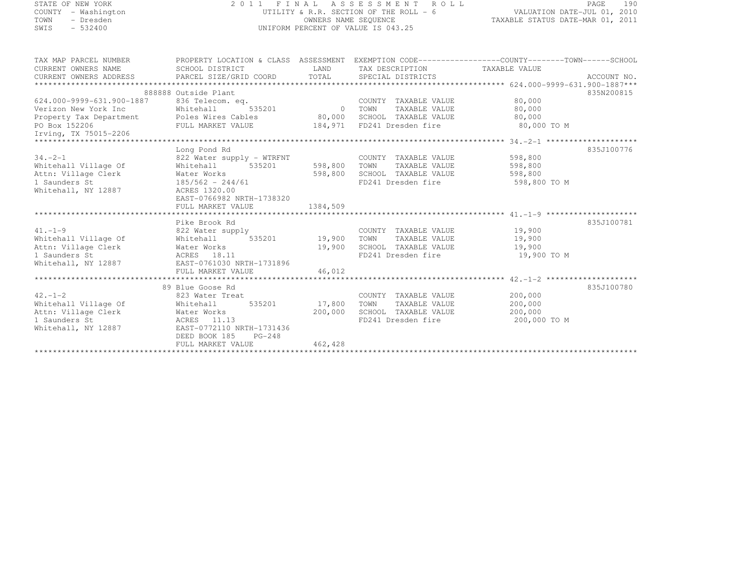| STATE OF NEW YORK                                                                                               |                                                                                                                                                |                                                                                                      | 2011 FINAL ASSESSMENT ROLL                         |                         | 190<br>PAGE |  |  |
|-----------------------------------------------------------------------------------------------------------------|------------------------------------------------------------------------------------------------------------------------------------------------|------------------------------------------------------------------------------------------------------|----------------------------------------------------|-------------------------|-------------|--|--|
| COUNTY - Washington<br>TOWN<br>- Dresden<br>$-532400$<br>SWIS                                                   |                                                                                                                                                | UTILITY & R.R. SECTION OF THE ROLL - 6<br>OWNERS NAME SEQUENCE<br>UNIFORM PERCENT OF VALUE IS 043.25 |                                                    |                         |             |  |  |
|                                                                                                                 |                                                                                                                                                |                                                                                                      |                                                    |                         |             |  |  |
| TAX MAP PARCEL NUMBER<br>CURRENT OWNERS NAME<br>CURRENT OWNERS ADDRESS                                          | PROPERTY LOCATION & CLASS ASSESSMENT EXEMPTION CODE----------------COUNTY--------TOWN------SCHOOL<br>SCHOOL DISTRICT<br>PARCEL SIZE/GRID COORD | <b>LAND</b><br>TOTAL                                                                                 | TAX DESCRIPTION TAXABLE VALUE<br>SPECIAL DISTRICTS |                         | ACCOUNT NO. |  |  |
|                                                                                                                 |                                                                                                                                                |                                                                                                      |                                                    |                         |             |  |  |
|                                                                                                                 | 888888 Outside Plant                                                                                                                           |                                                                                                      |                                                    |                         | 835N200815  |  |  |
| 624.000-9999-631.900-1887                                                                                       | 836 Telecom. eq.                                                                                                                               |                                                                                                      | COUNTY TAXABLE VALUE                               | 80,000                  |             |  |  |
| Verizon New York Inc                                                                                            | 535201<br>Whitehall                                                                                                                            | 0 TOWN                                                                                               | TAXABLE VALUE<br>SCHOOL TAXABLE VALUE              | 80,000                  |             |  |  |
| Property Tax Department Poles Wires Cables<br>PO Box 152206                                   FULL MARKET VALUE |                                                                                                                                                | 80,000<br>184,971                                                                                    | FD241 Dresden fire                                 | 80,000<br>80,000 TO M   |             |  |  |
| Irving, TX 75015-2206                                                                                           |                                                                                                                                                |                                                                                                      |                                                    |                         |             |  |  |
|                                                                                                                 |                                                                                                                                                |                                                                                                      |                                                    |                         |             |  |  |
|                                                                                                                 | Long Pond Rd                                                                                                                                   |                                                                                                      |                                                    |                         | 835J100776  |  |  |
| $34. -2 - 1$                                                                                                    | 822 Water supply - WTRFNT                                                                                                                      |                                                                                                      | COUNTY TAXABLE VALUE                               | 598,800                 |             |  |  |
| Whitehall Village Of                                                                                            | 535201<br>Whitehall                                                                                                                            | 598,800                                                                                              | TOWN<br>TAXABLE VALUE                              | 598,800                 |             |  |  |
| Attn: Village Clerk<br>1 Saunders St                                                                            | Water Works<br>$185/562 - 244/61$                                                                                                              | 598,800                                                                                              | SCHOOL TAXABLE VALUE<br>FD241 Dresden fire         | 598,800<br>598,800 TO M |             |  |  |
| Whitehall, NY 12887                                                                                             | ACRES 1320.00                                                                                                                                  |                                                                                                      |                                                    |                         |             |  |  |
|                                                                                                                 | EAST-0766982 NRTH-1738320                                                                                                                      |                                                                                                      |                                                    |                         |             |  |  |
|                                                                                                                 | FULL MARKET VALUE                                                                                                                              | 1384,509                                                                                             |                                                    |                         |             |  |  |
|                                                                                                                 |                                                                                                                                                |                                                                                                      |                                                    |                         |             |  |  |
|                                                                                                                 | Pike Brook Rd                                                                                                                                  |                                                                                                      |                                                    |                         | 835J100781  |  |  |
| $41. -1 - 9$<br>Whitehall Village Of                                                                            | 822 Water supply<br>Whitehall<br>535201                                                                                                        | 19,900                                                                                               | COUNTY TAXABLE VALUE<br>TAXABLE VALUE<br>TOWN      | 19,900<br>19,900        |             |  |  |
| Attn: Village Clerk                                                                                             | Water Works                                                                                                                                    | 19,900                                                                                               | SCHOOL TAXABLE VALUE                               | 19,900                  |             |  |  |
| 1 Saunders St                                                                                                   | ACRES 18.11                                                                                                                                    |                                                                                                      | FD241 Dresden fire                                 | 19,900 TO M             |             |  |  |
| Whitehall, NY 12887                                                                                             | EAST-0761030 NRTH-1731896                                                                                                                      |                                                                                                      |                                                    |                         |             |  |  |
|                                                                                                                 | FULL MARKET VALUE                                                                                                                              | 46,012                                                                                               |                                                    |                         |             |  |  |
|                                                                                                                 |                                                                                                                                                |                                                                                                      |                                                    |                         |             |  |  |
|                                                                                                                 | 89 Blue Goose Rd                                                                                                                               |                                                                                                      |                                                    |                         | 835J100780  |  |  |
| $42. - 1 - 2$<br>Whitehall Village Of                                                                           | 823 Water Treat<br>535201                                                                                                                      | 17,800                                                                                               | COUNTY TAXABLE VALUE<br>TOWN<br>TAXABLE VALUE      | 200,000<br>200,000      |             |  |  |
| Attn: Village Clerk                                                                                             | Whitehall<br>Water Works                                                                                                                       | 200,000                                                                                              | SCHOOL TAXABLE VALUE                               | 200,000                 |             |  |  |
| 1 Saunders St                                                                                                   | ACRES 11.13                                                                                                                                    |                                                                                                      | FD241 Dresden fire                                 | 200,000 TO M            |             |  |  |
| Whitehall, NY 12887                                                                                             | EAST-0772110 NRTH-1731436                                                                                                                      |                                                                                                      |                                                    |                         |             |  |  |
|                                                                                                                 | DEED BOOK 185<br>$PG-248$                                                                                                                      |                                                                                                      |                                                    |                         |             |  |  |
|                                                                                                                 | FULL MARKET VALUE                                                                                                                              | 462,428                                                                                              |                                                    |                         |             |  |  |
|                                                                                                                 |                                                                                                                                                |                                                                                                      |                                                    |                         |             |  |  |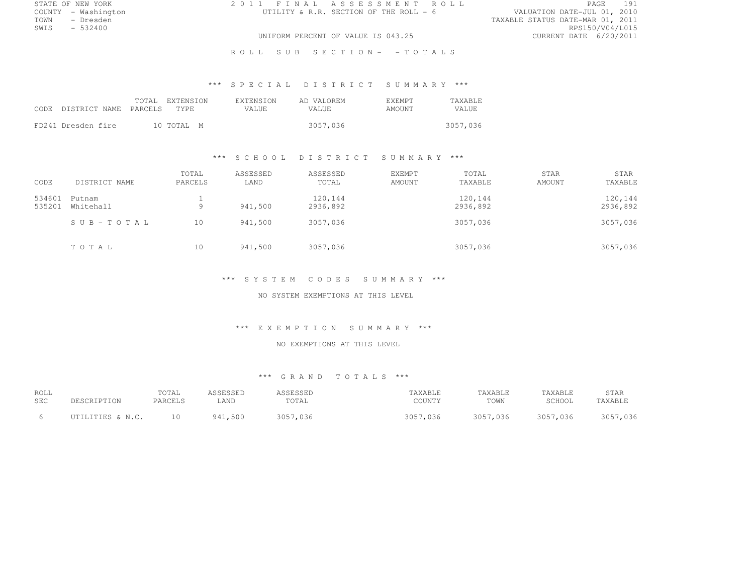COUNTY - Washington  $UTILITY & R.R.$  SECTION OF THE ROLL - 6<br>TOWN - Dresden

STATE OF NEW YORK 2 0 1 1 F I N A L A S S E S S M E N T R O L L PAGE <sup>191</sup>

TOWN - Dresden TAXABLE STATUS DATE-MAR 01, 2011 SWIS - 532400 RPS150/V04/L015 UNIFORM PERCENT OF VALUE IS 043.25

ROLL SUB SECTION- - TOTALS

# \*\*\* S P E C I A L D I S T R I C T S U M M A R Y \*\*\*

| CODE DISTRICT NAME PARCELS TYPE | TOTAL EXTENSION | EXTENSION<br>VALUE. | AD VALOREM<br>VALUE. | <b>F.XEMPT</b><br>AMOUNT | <b>TAXABLE</b><br>VALUE |
|---------------------------------|-----------------|---------------------|----------------------|--------------------------|-------------------------|
| FD241 Dresden fire              | 10 TOTAL M      |                     | 3057,036             |                          | 3057,036                |

#### \*\*\* S C H O O L D I S T R I C T S U M M A R Y \*\*\*

| CODE             | DISTRICT NAME       | TOTAL<br>PARCELS | ASSESSED<br>LAND | ASSESSED<br>TOTAL   | EXEMPT<br>AMOUNT | TOTAL<br>TAXABLE    | <b>STAR</b><br>AMOUNT | STAR<br>TAXABLE     |
|------------------|---------------------|------------------|------------------|---------------------|------------------|---------------------|-----------------------|---------------------|
| 534601<br>535201 | Putnam<br>Whitehall | Q                | 941,500          | 120,144<br>2936,892 |                  | 120,144<br>2936,892 |                       | 120,144<br>2936,892 |
|                  | SUB-TOTAL           | 10               | 941,500          | 3057,036            |                  | 3057,036            |                       | 3057,036            |
|                  | TOTAL               | 10               | 941,500          | 3057,036            |                  | 3057,036            |                       | 3057,036            |

#### \*\*\* S Y S T E M C O D E S S U M M A R Y \*\*\*

NO SYSTEM EXEMPTIONS AT THIS LEVEL

#### \*\*\* E X E M P T I O N S U M M A R Y \*\*\*

#### NO EXEMPTIONS AT THIS LEVEL

| ROLL |                  | TOTAL   | ASSESSED | ASSESSED | TAXABLE  | TAXABLE  | TAXABLE  | STAR     |
|------|------------------|---------|----------|----------|----------|----------|----------|----------|
| SEC  | DESCRIPTION      | PARCELS | .AND     | TOTAL    | COUNTY   | TOWN     | SCHOOL   | TAXABLE  |
|      |                  |         |          |          |          |          |          |          |
|      | UTILITIES & N.C. |         | 941,500  | 3057,036 | 3057,036 | 3057,036 | 3057,036 | 3057,036 |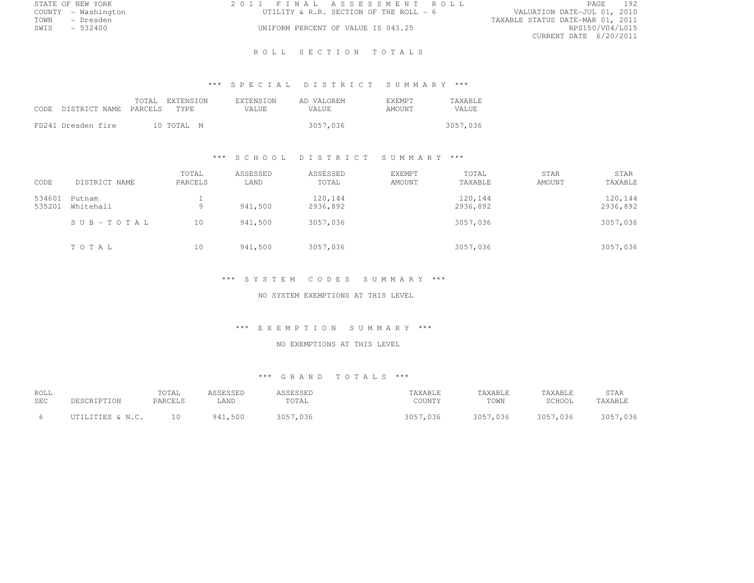|      | STATE OF NEW YORK   | 2011 FINAL ASSESSMENT ROLL |                                        |                                  | PAGE            | 192 |
|------|---------------------|----------------------------|----------------------------------------|----------------------------------|-----------------|-----|
|      | COUNTY - Washington |                            | UTILITY & R.R. SECTION OF THE ROLL - 6 | VALUATION DATE-JUL 01, 2010      |                 |     |
| TOWN | – Dresden           |                            |                                        | TAXABLE STATUS DATE-MAR 01, 2011 |                 |     |
| SWIS | $-532400$           |                            | UNIFORM PERCENT OF VALUE IS 043.25     |                                  | RPS150/V04/L015 |     |
|      |                     |                            |                                        | CURRENT DATE 6/20/2011           |                 |     |

### ROLL SECTION TOTALS

# \*\*\* S P E C I A L D I S T R I C T S U M M A R Y \*\*\*

| CODE DISTRICT NAME PARCELS TYPE |  | TOTAL EXTENSION | <b>EXTENSION</b><br>VALUE. | AD VALOREM<br>VALUE. | <b>F.XEMPT</b><br>AMOUNT | <b>TAXABLE</b><br><b>VALUE</b> |
|---------------------------------|--|-----------------|----------------------------|----------------------|--------------------------|--------------------------------|
| FD241 Dresden fire              |  | 10 TOTAL M      |                            | 3057,036             |                          | 3057,036                       |

#### \*\*\* S C H O O L D I S T R I C T S U M M A R Y \*\*\*

|        |               | TOTAL   | ASSESSED | ASSESSED | EXEMPT        | TOTAL    | <b>STAR</b> | STAR     |
|--------|---------------|---------|----------|----------|---------------|----------|-------------|----------|
| CODE   | DISTRICT NAME | PARCELS | LAND     | TOTAL    | <b>AMOUNT</b> | TAXABLE  | AMOUNT      | TAXABLE  |
| 534601 | Putnam        |         |          | 120,144  |               | 120,144  |             | 120,144  |
| 535201 | Whitehall     | Q       | 941,500  | 2936,892 |               | 2936,892 |             | 2936,892 |
|        | SUB-TOTAL     | 10      | 941,500  | 3057,036 |               | 3057,036 |             | 3057,036 |
|        | TOTAL         | 10      | 941,500  | 3057,036 |               | 3057,036 |             | 3057,036 |

### \*\*\* S Y S T E M C O D E S S U M M A R Y \*\*\*

NO SYSTEM EXEMPTIONS AT THIS LEVEL

#### \*\*\* E X E M P T I O N S U M M A R Y \*\*\*

### NO EXEMPTIONS AT THIS LEVEL

| ROLL       | DESCRIPTION      | TOTAL   | ASSESSED | ASSESSED | TAXABLE  | TAXABLE  | TAXABLE  | STAR     |
|------------|------------------|---------|----------|----------|----------|----------|----------|----------|
| <b>SEC</b> |                  | PARCELS | LAND     | TOTAL    | COUNTY   | TOWN     | SCHOOL   | TAXABLE  |
| - 6        | UTILITIES & N.C. |         | 941,500  | 3057.036 | 3057,036 | 3057,036 | 3057,036 | 3057,036 |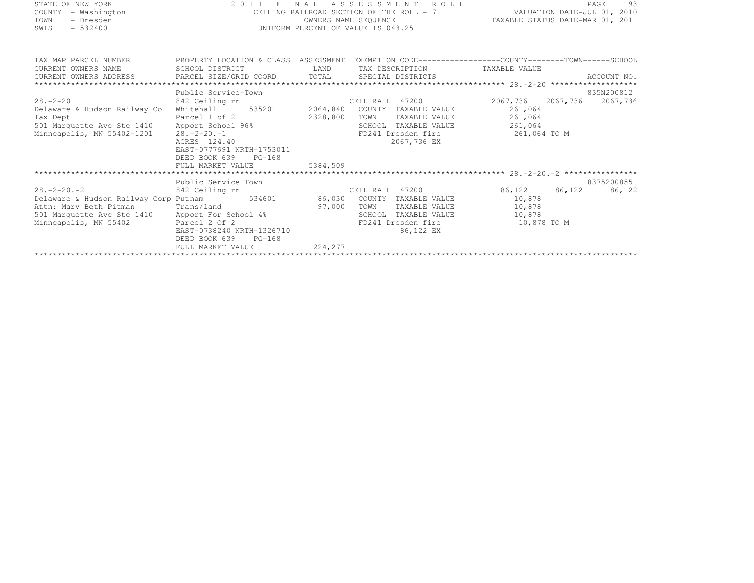STATE OF NEW YORK 2 0 1 1 F I N A L A S S E S S M E N T R O L L PAGE <sup>193</sup> COUNTY - Washington CEILING RAILROAD SECTION OF THE ROLL - 7 VALUATION DATE-JUL 01, 2010 TOWN - Dresden OWNERS NAME SEQUENCE TAXABLE STATUS DATE-MAR 01, 2011<br>- TRESDEN ON THE SEQUENCE TO A SECUENCE TO BE SERVED ON THE SEQUENCE OF SEXUE OF THE STATUS DATE MAR 01, 2011 SWIS - 532400 UNIFORM PERCENT OF VALUE IS 043.25

| TAX MAP PARCEL NUMBER                                                                       | PROPERTY LOCATION & CLASS ASSESSMENT EXEMPTION CODE----------------COUNTY-------TOWN-----SCHOOL |          |                                    |                   |            |
|---------------------------------------------------------------------------------------------|-------------------------------------------------------------------------------------------------|----------|------------------------------------|-------------------|------------|
| CURRENT OWNERS NAME                                                                         | SCHOOL DISTRICT                                                                                 |          | LAND TAX DESCRIPTION TAXABLE VALUE |                   |            |
|                                                                                             |                                                                                                 |          |                                    |                   |            |
|                                                                                             |                                                                                                 |          |                                    |                   |            |
|                                                                                             | Public Service-Town                                                                             |          |                                    |                   | 835N200812 |
| $28. - 2 - 20$                                                                              | 842 Ceiling rr                                                                                  |          | CEIL RAIL 47200                    | 2067,736 2067,736 | 2067,736   |
| Delaware & Hudson Railway Co                                                                | Whitehall 535201 2064,840                                                                       |          | COUNTY TAXABLE VALUE               | 261,064           |            |
| Tax Dept                                                                                    | Parcel 1 of 2                                                                                   | 2328,800 | TAXABLE VALUE 261,064<br>TOWN      |                   |            |
| Franchise 1410 - Franchise 1688<br>Minneapolis, MN 55402-1201 - 28.-2-20.-1<br>ACRES 124.40 |                                                                                                 |          | SCHOOL TAXABLE VALUE               | 261,064           |            |
|                                                                                             |                                                                                                 |          | FD241 Dresden fire                 | 261,064 TO M      |            |
|                                                                                             |                                                                                                 |          | 2067,736 EX                        |                   |            |
|                                                                                             | EAST-0777691 NRTH-1753011                                                                       |          |                                    |                   |            |
|                                                                                             | DEED BOOK 639<br>$PG-168$                                                                       |          |                                    |                   |            |
|                                                                                             | FULL MARKET VALUE                                                                               | 5384,509 |                                    |                   |            |
|                                                                                             |                                                                                                 |          |                                    |                   |            |
|                                                                                             | Public Service Town                                                                             |          |                                    |                   | 8375200855 |
| $28. -2 - 20. -2$                                                                           | 842 Ceiling rr                                                                                  |          | CEIL RAIL 47200                    | 86,122 86,122     | 86,122     |
| Delaware & Hudson Railway Corp Putnam 534601 86,030 COUNTY TAXABLE VALUE                    |                                                                                                 |          |                                    | 10,878            |            |
| Attn: Mary Beth Pitman Trans/land                                                           |                                                                                                 | 97,000   | TOWN<br>TAXABLE VALUE              | 10,878            |            |
|                                                                                             |                                                                                                 |          | TAXABLE VALUE<br>SCHOOL            | 10,878            |            |
| 501 Marquette Ave Ste 1410 Apport For School 4% Minneapolis, MN 55402 Parcel 2 Of 2         |                                                                                                 |          | FD241 Dresden fire                 | 10,878 TO M       |            |
|                                                                                             | EAST-0738240 NRTH-1326710                                                                       |          | 86,122 EX                          |                   |            |
|                                                                                             | DEED BOOK 639<br>$PG-168$                                                                       |          |                                    |                   |            |
|                                                                                             | FULL MARKET VALUE                                                                               | 224,277  |                                    |                   |            |
|                                                                                             |                                                                                                 |          |                                    |                   |            |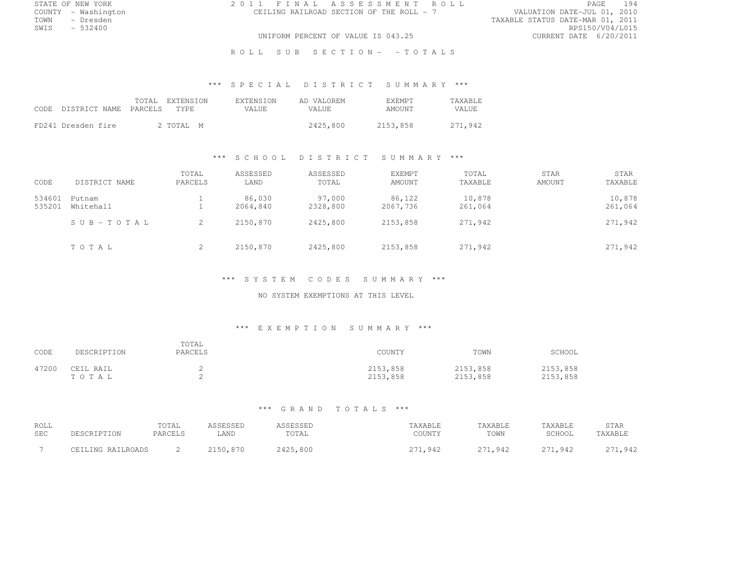STATE OF NEW YORK 2 0 1 1 F I N A L A S S E S S M E N T R O L L PAGE <sup>194</sup> COUNTY - Washington CEILING RAILROAD SECTION OF THE ROLL - 7<br>TOWN - Dresden TOWN - Dresden TAXABLE STATUS DATE-MAR 01, 2011

SWIS - 532400 RPS150/V04/L015 UNIFORM PERCENT OF VALUE IS 043.25

ROLL SUB SECTION- - TOTALS

# \*\*\* S P E C I A L D I S T R I C T S U M M A R Y \*\*\*

| CODE DISTRICT NAME PARCELS | TOTAL | EXTENSION<br>TYPE. | <b>EXTENSION</b><br>VALUE. | AD VALOREM<br><b>VALUE</b> | <b>F.XEMPT</b><br>AMOUNT | <b>TAXABLE</b><br>VALUE |
|----------------------------|-------|--------------------|----------------------------|----------------------------|--------------------------|-------------------------|
| FD241 Dresden fire         |       | 2 TOTAL M          |                            | 2425,800                   | 2153,858                 | 271,942                 |

#### \*\*\* S C H O O L D I S T R I C T S U M M A R Y \*\*\*

| CODE             | DISTRICT NAME       | TOTAL<br>PARCELS | ASSESSED<br>LAND   | ASSESSED<br>TOTAL  | <b>EXEMPT</b><br>AMOUNT | TOTAL<br>TAXABLE  | <b>STAR</b><br>AMOUNT | STAR<br>TAXABLE   |
|------------------|---------------------|------------------|--------------------|--------------------|-------------------------|-------------------|-----------------------|-------------------|
| 534601<br>535201 | Putnam<br>Whitehall |                  | 86,030<br>2064.840 | 97,000<br>2328,800 | 86,122<br>2067,736      | 10,878<br>261,064 |                       | 10,878<br>261,064 |
|                  | SUB-TOTAL           | 2                | 2150,870           | 2425,800           | 2153,858                | 271,942           |                       | 271,942           |
|                  | TOTAL               | 2                | 2150,870           | 2425,800           | 2153,858                | 271,942           |                       | 271,942           |

#### \*\*\* S Y S T E M C O D E S S U M M A R Y \*\*\*

#### NO SYSTEM EXEMPTIONS AT THIS LEVEL

#### \*\*\* E X E M P T I O N S U M M A R Y \*\*\*

| CODE  | DESCRIPTION        | TOTAL<br>PARCELS | COUNTY               | TOWN                 | SCHOOL               |
|-------|--------------------|------------------|----------------------|----------------------|----------------------|
| 47200 | CEIL RAIL<br>TOTAL |                  | 2153,858<br>2153,858 | 2153,858<br>2153,858 | 2153,858<br>2153,858 |

| ROLL<br><b>SEC</b> | DESCRIPTION       | TOTAL<br>PARCELS | LAND     | TOTAL    | AXABLE<br>COUNTY | TAXABLE<br>TOWN              | TAXABLE<br>SCHOOL | STAR<br>TAXABLE               |
|--------------------|-------------------|------------------|----------|----------|------------------|------------------------------|-------------------|-------------------------------|
|                    | CEILING RAILROADS |                  | 2150,870 | 2425,800 | ,942             | $\cap$ $\neg$ $\neg$<br>942ء | 271,942           | $\cap$ $\neg$ $\neg$<br>1,942 |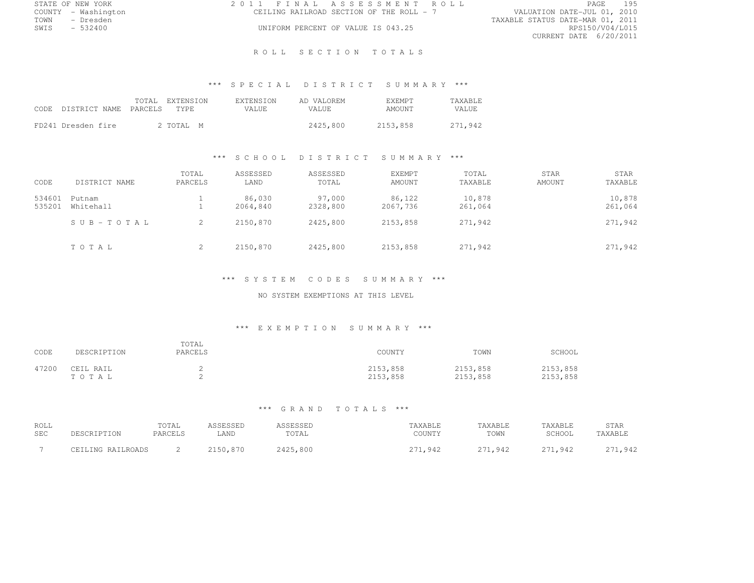|      | STATE OF NEW YORK   |  | 2011 FINAL ASSESSMENT ROLL               |                                  | <b>PAGE</b>     | 195 |
|------|---------------------|--|------------------------------------------|----------------------------------|-----------------|-----|
|      | COUNTY - Washington |  | CEILING RAILROAD SECTION OF THE ROLL - 7 | VALUATION DATE-JUL 01, 2010      |                 |     |
| TOWN | - Dresden           |  |                                          | TAXABLE STATUS DATE-MAR 01, 2011 |                 |     |
| SWIS | $-532400$           |  | UNIFORM PERCENT OF VALUE IS 043.25       |                                  | RPS150/V04/L015 |     |
|      |                     |  |                                          | CURRENT DATE 6/20/2011           |                 |     |

#### R O L L S E C T I O N T O T A L S

# \*\*\* S P E C I A L D I S T R I C T S U M M A R Y \*\*\*

| CODE DISTRICT NAME PARCELS | TOTAL | EXTENSION<br>TYPE. | <b>EXTENSION</b><br>VALUE. | AD VALOREM<br>VALUE. | <b>F.XEMPT</b><br>AMOUNT | <b>TAXABLE</b><br>VALUE |
|----------------------------|-------|--------------------|----------------------------|----------------------|--------------------------|-------------------------|
| FD241 Dresden fire         |       | 2 TOTAL M          |                            | 2425,800             | 2153,858                 | 271,942                 |

### \*\*\* S C H O O L D I S T R I C T S U M M A R Y \*\*\*

| CODE             | DISTRICT NAME       | TOTAL<br>PARCELS | ASSESSED<br>LAND   | ASSESSED<br>TOTAL  | <b>EXEMPT</b><br>AMOUNT | TOTAL<br>TAXABLE  | <b>STAR</b><br>AMOUNT | STAR<br>TAXABLE   |
|------------------|---------------------|------------------|--------------------|--------------------|-------------------------|-------------------|-----------------------|-------------------|
| 534601<br>535201 | Putnam<br>Whitehall |                  | 86,030<br>2064.840 | 97,000<br>2328,800 | 86,122<br>2067,736      | 10,878<br>261,064 |                       | 10,878<br>261,064 |
|                  | SUB-TOTAL           | 2                | 2150,870           | 2425,800           | 2153,858                | 271,942           |                       | 271,942           |
|                  | TOTAL               | 2                | 2150,870           | 2425,800           | 2153,858                | 271,942           |                       | 271,942           |

### \*\*\* S Y S T E M C O D E S S U M M A R Y \*\*\*

### NO SYSTEM EXEMPTIONS AT THIS LEVEL

#### \*\*\* E X E M P T I O N S U M M A R Y \*\*\*

| CODE  | DESCRIPTION        | TOTAL<br>PARCELS | COUNTY               | TOWN                 | SCHOOL               |
|-------|--------------------|------------------|----------------------|----------------------|----------------------|
| 47200 | CEIL RAIL<br>TOTAL |                  | 2153,858<br>2153,858 | 2153,858<br>2153,858 | 2153,858<br>2153,858 |

| ROLL<br><b>SEC</b> | DESCRIPTION       | TOTAL<br>PARCELS | 1 C C F C C F D<br>LAND | TOTAL    | 'AXABLE<br>COUNTY | TAXABLE<br>TOWN               | TAXABLE<br>SCHOOL     | STAR<br>TAXABLE |
|--------------------|-------------------|------------------|-------------------------|----------|-------------------|-------------------------------|-----------------------|-----------------|
|                    | CEILING RAILROADS |                  | 870<br>2150.            | 2425,800 | .942              | $\cap$ $\neg$ $\neg$<br>1,942 | $\cap$ $\Box$<br>,942 | つつ1<br>1,942    |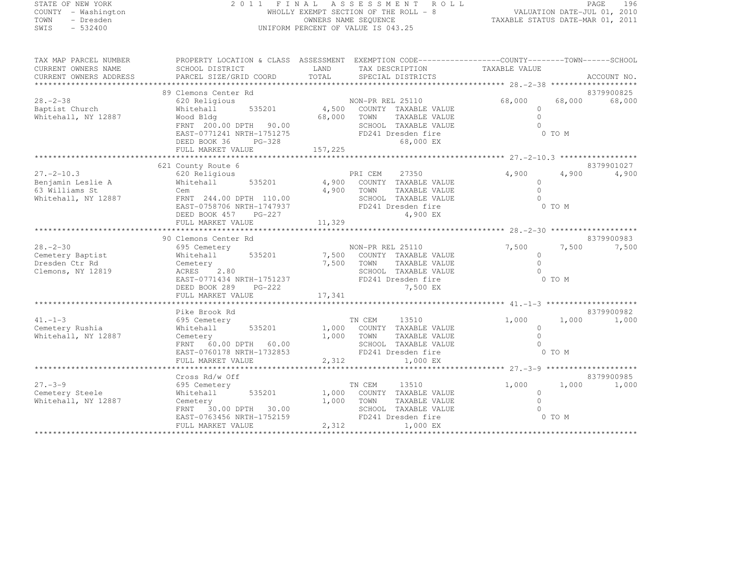#### STATE OF NEW YORK 2 0 1 1 F I N A L A S S E S S M E N T R O L L PAGE <sup>196</sup> COUNTY - Washington WHOLLY EXEMPT SECTION OF THE ROLL - 8 VALUATION DATE-JUL 01, 2010 TOWN - Dresden OWNERS NAME SEQUENCE TAXABLE STATUS DATE-MAR 01, 2011<br>- TRESDEN ON THE SEQUENCE TO A SECUENCE TO BE SERVED ON THE SEQUENCE OF SEXUE OF THE STATUS DATE MAR 01, 2011 SWIS - 532400 UNIFORM PERCENT OF VALUE IS 043.25

| TAX MAP PARCEL NUMBER                 | PROPERTY LOCATION & CLASS ASSESSMENT EXEMPTION CODE----------------COUNTY-------TOWN-----SCHOOL |             |                                               |                       |          |               |
|---------------------------------------|-------------------------------------------------------------------------------------------------|-------------|-----------------------------------------------|-----------------------|----------|---------------|
| CURRENT OWNERS NAME                   | SCHOOL DISTRICT                                                                                 | LAND        | TAX DESCRIPTION                               | TAXABLE VALUE         |          |               |
| CURRENT OWNERS ADDRESS                |                                                                                                 |             |                                               |                       |          |               |
|                                       |                                                                                                 |             |                                               |                       |          |               |
|                                       | 89 Clemons Center Rd                                                                            |             |                                               |                       |          | 8379900825    |
| $28. - 2 - 38$                        | 620 Religious                                                                                   |             | NON-PR REL 25110                              | 68,000                |          | 68,000 68,000 |
| Baptist Church                        | Whitehall                                                                                       |             | 535201 4,500 COUNTY TAXABLE VALUE             | $\Omega$              |          |               |
| Whitehall, NY 12887                   | Wood Bldg                                                                                       | 68,000 TOWN | TAXABLE VALUE                                 | $\Omega$              |          |               |
|                                       | FRNT 200.00 DPTH 90.00                                                                          |             | SCHOOL TAXABLE VALUE                          | $\cap$                |          |               |
|                                       | EAST-0771241 NRTH-1751275                                                                       |             | FD241 Dresden fire                            | $0$ TO M              |          |               |
|                                       | DEED BOOK 36<br>$PG-328$                                                                        |             | 68,000 EX                                     |                       |          |               |
|                                       |                                                                                                 |             |                                               |                       |          |               |
|                                       |                                                                                                 |             |                                               |                       |          |               |
|                                       | 621 County Route 6                                                                              |             |                                               |                       |          | 8379901027    |
| $27. - 2 - 10.3$                      | 620 Religious                                                                                   |             | PRI CEM<br>27350                              | 4,900                 | 4,900    | 4,900         |
| Benjamin Leslie A                     | Whitehall 535201 4,900                                                                          |             | COUNTY TAXABLE VALUE                          | $\Omega$<br>$\bigcap$ |          |               |
| 63 Williams St<br>Whitehall, NY 12887 | Cem<br>FRNT 244.00 DPTH 110.00                                                                  | 4,900       | TOWN<br>TAXABLE VALUE<br>SCHOOL TAXABLE VALUE | $\bigcap$             |          |               |
|                                       | EAST-0758706 NRTH-1747937                                                                       |             | FD241 Dresden fire                            |                       | 0 TO M   |               |
|                                       | DEED BOOK 457 PG-227                                                                            |             | 4,900 EX                                      |                       |          |               |
|                                       |                                                                                                 |             |                                               |                       |          |               |
|                                       |                                                                                                 |             |                                               |                       |          |               |
|                                       | 90 Clemons Center Rd                                                                            |             |                                               |                       |          | 8379900983    |
| $28 - 2 - 30$                         | 695 Cemetery                                                                                    |             | NON-PR REL 25110                              | 7,500                 | 7,500    | 7,500         |
| Cemetery Baptist                      | Whitehall                                                                                       |             | 535201 7,500 COUNTY TAXABLE VALUE             | $\circ$               |          |               |
| Dresden Ctr Rd                        |                                                                                                 | 7,500 TOWN  | TAXABLE VALUE                                 | $\Omega$              |          |               |
| Clemons, NY 12819                     | Cemetery<br>ACRES 2.80                                                                          |             | SCHOOL TAXABLE VALUE                          | $\Omega$              |          |               |
|                                       | EAST-0771434 NRTH-1751237                                                                       |             | FD241 Dresden fire                            |                       | $0$ TO M |               |
|                                       | DEED BOOK 289 PG-222                                                                            |             | 7,500 EX                                      |                       |          |               |
|                                       | FULL MARKET VALUE                                                                               | 17,341      |                                               |                       |          |               |
|                                       |                                                                                                 |             |                                               |                       |          |               |
|                                       | Pike Brook Rd                                                                                   |             |                                               |                       |          | 8379900982    |
| $41. -1 - 3$                          | 695 Cemetery                                                                                    |             | TN CEM<br>13510                               | 1,000                 | 1,000    | 1,000         |
| Cemetery Rushia                       | 535201<br>Whitehall                                                                             |             | 1,000 COUNTY TAXABLE VALUE                    | $\circ$               |          |               |
| Whitehall, NY 12887                   | Cemetery                                                                                        |             | 1,000 TOWN<br>TAXABLE VALUE                   | $\bigcap$             |          |               |
|                                       | FRNT 60.00 DPTH 60.00                                                                           |             | SCHOOL TAXABLE VALUE                          | $\bigcap$             |          |               |
|                                       | EAST-0760178 NRTH-1732853                                                                       |             | FD241 Dresden fire                            |                       | 0 TO M   |               |
|                                       | FULL MARKET VALUE                                                                               | 2,312       | 1,000 EX                                      |                       |          |               |
|                                       |                                                                                                 |             |                                               |                       |          |               |
|                                       | Cross Rd/w Off                                                                                  |             |                                               |                       |          | 8379900985    |
| $27. - 3 - 9$                         | 695 Cemetery                                                                                    |             | TN CEM<br>13510                               | 1,000                 | 1,000    | 1,000         |
| Cemetery Steele                       | Whitehall<br>535201                                                                             |             | 1,000 COUNTY TAXABLE VALUE                    | $\circ$               |          |               |
| Whitehall, NY 12887                   | Cemetery                                                                                        | 1,000       | TOWN<br>TAXABLE VALUE                         | $\bigcap$             |          |               |
|                                       | FRNT 30.00 DPTH 30.00                                                                           |             | SCHOOL TAXABLE VALUE                          |                       |          |               |
|                                       | EAST-0763456 NRTH-1752159                                                                       |             | FD241 Dresden fire                            | 0 TO M                |          |               |
|                                       | FULL MARKET VALUE                                                                               |             | 2,312<br>1,000 EX                             |                       |          |               |
|                                       |                                                                                                 |             |                                               |                       |          |               |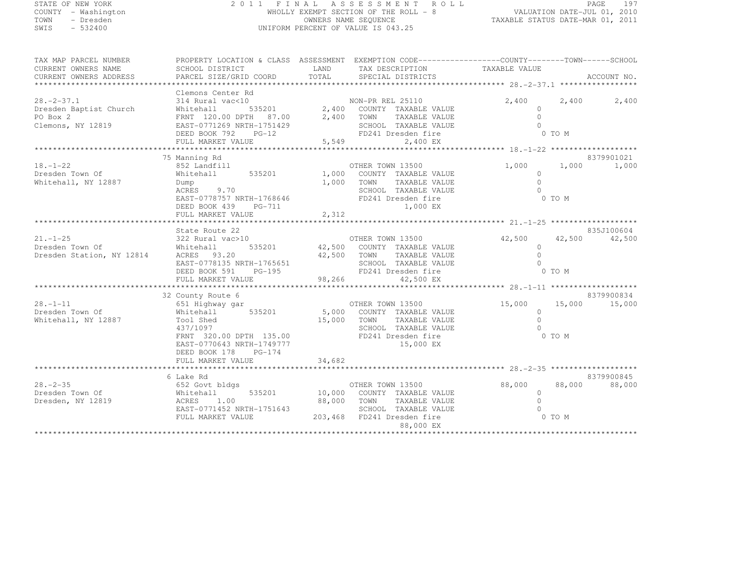| STATE OF NEW YORK |  |                     |  |
|-------------------|--|---------------------|--|
|                   |  | COUNTY - Washington |  |
| TOWN              |  | - Dresden           |  |
| CLIT <sub>C</sub> |  | E 22100             |  |

### STATE OF NEW YORK 2 0 1 1 F I N A L A S S E S S M E N T R O L L PAGE <sup>197</sup> COUNTY - Washington WHOLLY EXEMPT SECTION OF THE ROLL - 8 VALUATION DATE-JUL 01, 2010 TOWN - Dresden OWNERS NAME SEQUENCE TAXABLE STATUS DATE-MAR 01, 2011<br>- TRESDEN ON THE SEQUENCE TO A SECUENCE TO BE SERVED ON THE SEQUENCE OF SEXUE OF THE STATUS DATE MAR 01, 2011 SWIS - 532400 UNIFORM PERCENT OF VALUE IS 043.25

TAX MAP PARCEL NUMBER PROPERTY LOCATION & CLASS ASSESSMENT EXEMPTION CODE------------------COUNTY--------TOWN------SCHOOL

CURRENT OWNERS NAME SCHOOL DISTRICT LAND TAX DESCRIPTION TAXABLE VALUE<br>
CURRENT OWNERS ADDRESS PARCEL SIZE/GRID COORD TOTAL SPECIAL DISTRICTS ACCOUNT NO. \*\*\*\*\*\*\*\*\*\*\*\*\*\*\*\*\*\*\*\*\*\*\*\*\*\*\*\*\*\*\*\*\*\*\*\*\*\*\*\*\*\*\*\*\*\*\*\*\*\*\*\*\*\*\*\*\*\*\*\*\*\*\*\*\*\*\*\*\*\*\*\*\*\*\*\*\*\*\*\*\*\*\*\*\*\*\*\*\*\*\*\*\*\*\*\*\*\*\*\*\*\*\* 28.-2-37.1 \*\*\*\*\*\*\*\*\*\*\*\*\*\*\*\*\*Clemons Center Rd<br>28.-2-37.1 314 Rural vac<10 NON-PR REL 25110 2,400 2,400 2,400 2,400<br>- 2.400 2,400 2,400 2,400 2,400 2,400 2,400 Dresden Baptist Church Whitehall 535201 2,400 COUNTY TAXABLE VALUE 0<br>Dresden Baptist Church Whitehall Corporation of the 2,400 County TAXABLE VALUE 0 PO Box 2 FRNT 120.00 DPTH 87.00 2,400 TOWN TAXABLE VALUE 0 0 Clemons, NY 12819 EAST-0771269 NRTH-1751429 SCHOOL TAXABLE VALUE <sup>0</sup> DEED BOOK 792 PG-12 FD241 Dresden fire 0 TO M FULL MARKET VALUE 5,549 2,400 EX \*\*\*\*\*\*\*\*\*\*\*\*\*\*\*\*\*\*\*\*\*\*\*\*\*\*\*\*\*\*\*\*\*\*\*\*\*\*\*\*\*\*\*\*\*\*\*\*\*\*\*\*\*\*\*\*\*\*\*\*\*\*\*\*\*\*\*\*\*\*\*\*\*\*\*\*\*\*\*\*\*\*\*\*\*\*\*\*\*\*\*\*\*\*\*\*\*\*\*\*\*\*\* 18.-1-22 \*\*\*\*\*\*\*\*\*\*\*\*\*\*\*\*\*\*\* 75 Manning Rd 8379901021 18.-1-22 852 Landfill OTHER TOWN 13500 1,000 1,000 1,000 Dresden Town Of Whitehall 535201 1,000 COUNTY TAXABLE VALUE <sup>0</sup> Whitehall, NY 12887 Dump 1,000 TOWN TAXABLE VALUE <sup>0</sup> ACRES 9.70 STAGE 9.70 SCHOOL TAXABLE VALUE 0<br>
0 EAST-0778757 NRTH-1768646 FD241 Dresden fire 0 TO M DEED BOOK 439 PG-711 1,000 EX FULL MARKET VALUE 2,312 \*\*\*\*\*\*\*\*\*\*\*\*\*\*\*\*\*\*\*\*\*\*\*\*\*\*\*\*\*\*\*\*\*\*\*\*\*\*\*\*\*\*\*\*\*\*\*\*\*\*\*\*\*\*\*\*\*\*\*\*\*\*\*\*\*\*\*\*\*\*\*\*\*\*\*\*\*\*\*\*\*\*\*\*\*\*\*\*\*\*\*\*\*\*\*\*\*\*\*\*\*\*\* 21.-1-25 \*\*\*\*\*\*\*\*\*\*\*\*\*\*\*\*\*\*\*835J100604<br>21.-1-25 322 Rural vac>10 322 Rural vac>10 322 Rural vac>10 3350100 OTHER TOWN 13500<br>22 Rural vac>10 322 Rural vac>10 322 Rural vac>10 322 Rural vac>10 322 Rural vac>10 322 Rural vac>10 32 0THER TOWN 13500 322 R Dresden Town Of Whitehall 535201 42,500 COUNTY TAXABLE VALUE 0<br>Dresden Town Of Whitehall 5000 535201 42,500 COUNTY TAXABLE VALUE Dresden Station, NY 12814 ACRES 93.20 42,500 TOWN TAXABLE VALUE <sup>0</sup> EAST-0778135 NRTH-1765651 SCHOOL TAXABLE VALUE <sup>0</sup> DEED BOOK 591 PG-195 FD241 Dresden fire 0 TO M<br>THE BOOK 591 FO-195 FULL MARKET VALUE 98,266 42,500 EX \*\*\*\*\*\*\*\*\*\*\*\*\*\*\*\*\*\*\*\*\*\*\*\*\*\*\*\*\*\*\*\*\*\*\*\*\*\*\*\*\*\*\*\*\*\*\*\*\*\*\*\*\*\*\*\*\*\*\*\*\*\*\*\*\*\*\*\*\*\*\*\*\*\*\*\*\*\*\*\*\*\*\*\*\*\*\*\*\*\*\*\*\*\*\*\*\*\*\*\*\*\*\* 28.-1-11 \*\*\*\*\*\*\*\*\*\*\*\*\*\*\*\*\*\*\*32 County Route 6 8379900834<br>651 Bighway gar of the Call of Barnes and the Call of Barnes and the Call of the Call of the Call of the Call<br>- 25 County Route 6 200 County Times are also been been been been as a county of th Dresden Town Of Whitehall 535201 5,000 COUNTY TAXABLE VALUE <sup>0</sup> Whitehall, NY 12887 Tool Shed 15,000 TOWN TAXABLE VALUE <sup>0</sup> 437/1097 SCHOOL TAXABLE VALUE <sup>0</sup> FRNT 320.00 DPTH 135.00 FD241 Dresden fire 0 TO M<br>FRNT 320.00 DPTH 135.00 EAST-0770643 NRTH-1749777 15,000 EX DEED BOOK 178 PG-174 FULL MARKET VALUE 34,682 \*\*\*\*\*\*\*\*\*\*\*\*\*\*\*\*\*\*\*\*\*\*\*\*\*\*\*\*\*\*\*\*\*\*\*\*\*\*\*\*\*\*\*\*\*\*\*\*\*\*\*\*\*\*\*\*\*\*\*\*\*\*\*\*\*\*\*\*\*\*\*\*\*\*\*\*\*\*\*\*\*\*\*\*\*\*\*\*\*\*\*\*\*\*\*\*\*\*\*\*\*\*\* 28.-2-35 \*\*\*\*\*\*\*\*\*\*\*\*\*\*\*\*\*\*\* 6 Lake Rd 8379900845 28.-2-35 652 Govt bldgs OTHER TOWN 13500 88,000 88,000 88,000 Dresden Town Of Whitehall 535201 10,000 COUNTY TAXABLE VALUE <sup>0</sup> Dresden, NY 12819 ACRES 1.00 88,000 TOWN TAXABLE VALUE <sup>0</sup> EAST-0771452 NRTH-1751643 SCHOOL TAXABLE VALUE <sup>0</sup>

FULL MARKET VALUE 203,468 FD241 Dresden fire 0 TO M 88,000 EX \*\*\*\*\*\*\*\*\*\*\*\*\*\*\*\*\*\*\*\*\*\*\*\*\*\*\*\*\*\*\*\*\*\*\*\*\*\*\*\*\*\*\*\*\*\*\*\*\*\*\*\*\*\*\*\*\*\*\*\*\*\*\*\*\*\*\*\*\*\*\*\*\*\*\*\*\*\*\*\*\*\*\*\*\*\*\*\*\*\*\*\*\*\*\*\*\*\*\*\*\*\*\*\*\*\*\*\*\*\*\*\*\*\*\*\*\*\*\*\*\*\*\*\*\*\*\*\*\*\*\*\*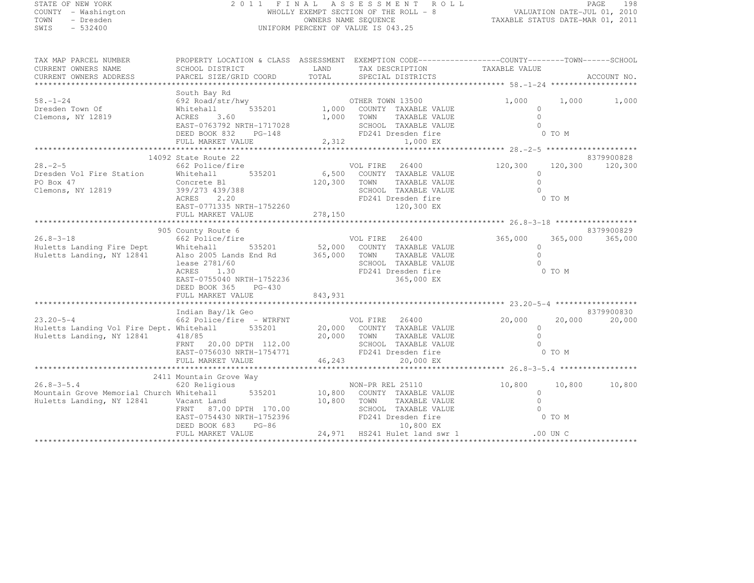| STATE OF NEW YORK |  |                           |  |
|-------------------|--|---------------------------|--|
| COUNTY            |  | - Washington              |  |
| TOWN              |  | - Dresden                 |  |
| CFTT C            |  | $E \cap \cap A \cap \cap$ |  |

#### STATE OF NEW YORK 2 0 1 1 F I N A L A S S E S S M E N T R O L L PAGE <sup>198</sup> COUNTY - Washington WHOLLY EXEMPT SECTION OF THE ROLL - 8 VALUATION DATE-JUL 01, 2010 TOWN - Dresden OWNERS NAME SEQUENCE TAXABLE STATUS DATE-MAR 01, 2011<br>- TRESDEN ON THE SEQUENCE TO A SECUENCE TO BE SERVED ON THE SEQUENCE OF SEXUE OF THE STATUS DATE MAR 01, 2011 SWIS - 532400 UNIFORM PERCENT OF VALUE IS 043.25

TAX MAP PARCEL NUMBER PROPERTY LOCATION & CLASS ASSESSMENT EXEMPTION CODE--------------------------------TOWN-------SCHOOL

| CURRENT OWNERS NAME                                                                 | SCHOOL DISTRICT                  | LAND    | TAX DESCRIPTION    |                               | TAXABLE VALUE |            |             |
|-------------------------------------------------------------------------------------|----------------------------------|---------|--------------------|-------------------------------|---------------|------------|-------------|
| CURRENT OWNERS ADDRESS                                                              | PARCEL SIZE/GRID COORD           | TOTAL   | SPECIAL DISTRICTS  |                               |               |            | ACCOUNT NO. |
|                                                                                     |                                  |         |                    |                               |               |            |             |
| $58. - 1 - 24$                                                                      | South Bay Rd<br>692 Road/str/hwy |         |                    |                               | 1,000         | 1,000      |             |
|                                                                                     |                                  |         | OTHER TOWN 13500   |                               |               |            | 1,000       |
| Dresden Town Of                                                                     | 535201<br>Whitehall              | 1,000   |                    | COUNTY TAXABLE VALUE          |               |            |             |
| Clemons, NY 12819                                                                   | 3.60<br>ACRES                    | 1,000   | TOWN               | TAXABLE VALUE                 | $\cap$        |            |             |
|                                                                                     | EAST-0763792 NRTH-1717028        |         |                    | SCHOOL TAXABLE VALUE          |               |            |             |
|                                                                                     | DEED BOOK 832<br>$PG-148$        |         | FD241 Dresden fire |                               |               | 0 TO M     |             |
|                                                                                     | FULL MARKET VALUE                | 2,312   |                    | 1,000 EX                      |               |            |             |
|                                                                                     | ************************         |         |                    |                               |               |            |             |
|                                                                                     | 14092 State Route 22             |         |                    |                               |               |            | 8379900828  |
| $28. - 2 - 5$                                                                       | 662 Police/fire                  |         | VOL FIRE           | 26400                         | 120,300       | 120,300    | 120,300     |
| Dresden Vol Fire Station                                                            | 535201<br>Whitehall              | 6,500   |                    | COUNTY TAXABLE VALUE          | $\Omega$      |            |             |
| PO Box 47                                                                           | Concrete Bl                      | 120,300 | TOWN               | TAXABLE VALUE                 | $\cap$        |            |             |
| Clemons, NY 12819                                                                   | 399/273 439/388                  |         |                    | SCHOOL TAXABLE VALUE          |               |            |             |
|                                                                                     | 2.20<br>ACRES                    |         | FD241 Dresden fire |                               |               | 0 TO M     |             |
|                                                                                     | EAST-0771335 NRTH-1752260        |         |                    | 120,300 EX                    |               |            |             |
|                                                                                     | FULL MARKET VALUE                | 278,150 |                    |                               |               |            |             |
|                                                                                     |                                  |         |                    |                               |               |            |             |
|                                                                                     | 905 County Route 6               |         |                    |                               |               |            | 8379900829  |
| $26.8 - 3 - 18$                                                                     | 662 Police/fire                  |         | VOL FIRE           | 26400                         | 365,000       | 365,000    | 365,000     |
|                                                                                     | Whitehall<br>535201              | 52,000  |                    | COUNTY TAXABLE VALUE          | $\circ$       |            |             |
| Huletts Landing Fire Dept<br>Huletts Landing, NY 12841<br>Huletts Landing, NY 12841 | Also 2005 Lands End Rd           | 365,000 | TOWN               | TAXABLE VALUE                 | $\cap$        |            |             |
|                                                                                     | lease 2781/60                    |         |                    | SCHOOL TAXABLE VALUE          |               |            |             |
|                                                                                     | ACRES<br>1.30                    |         | FD241 Dresden fire |                               |               | 0 TO M     |             |
|                                                                                     | EAST-0755040 NRTH-1752236        |         |                    | 365,000 EX                    |               |            |             |
|                                                                                     | DEED BOOK 365<br>$PG-430$        |         |                    |                               |               |            |             |
|                                                                                     | FULL MARKET VALUE                | 843,931 |                    |                               |               |            |             |
|                                                                                     |                                  |         |                    |                               |               |            |             |
|                                                                                     | Indian Bay/lk Geo                |         |                    |                               |               |            | 8379900830  |
| $23.20 - 5 - 4$                                                                     | 662 Police/fire - WTRFNT         |         | VOL FIRE           | 26400                         | 20,000        | 20,000     | 20,000      |
| Huletts Landing Vol Fire Dept. Whitehall                                            | 535201                           | 20,000  |                    | COUNTY TAXABLE VALUE          | $\Omega$      |            |             |
| Huletts Landing, NY 12841                                                           |                                  | 20,000  | TOWN               |                               |               |            |             |
|                                                                                     | 418/85                           |         |                    | TAXABLE VALUE                 |               |            |             |
|                                                                                     | 20.00 DPTH 112.00<br>FRNT        |         |                    | SCHOOL TAXABLE VALUE          |               |            |             |
|                                                                                     | EAST-0756030 NRTH-1754771        |         | FD241 Dresden fire |                               |               | 0 TO M     |             |
|                                                                                     | FULL MARKET VALUE                | 46,243  |                    | 20,000 EX                     |               |            |             |
|                                                                                     |                                  |         |                    |                               |               |            |             |
|                                                                                     | 2411 Mountain Grove Way          |         |                    |                               |               |            |             |
| $26.8 - 3 - 5.4$                                                                    | 620 Religious                    |         | NON-PR REL 25110   |                               | 10,800        | 10,800     | 10,800      |
| Mountain Grove Memorial Church Whitehall                                            | 535201                           | 10,800  |                    | COUNTY TAXABLE VALUE          | $\circ$       |            |             |
| Huletts Landing, NY 12841                                                           | Vacant Land                      | 10,800  | TOWN               | TAXABLE VALUE                 | $\cap$        |            |             |
|                                                                                     | FRNT 87.00 DPTH 170.00           |         |                    | SCHOOL TAXABLE VALUE          |               |            |             |
|                                                                                     | EAST-0754430 NRTH-1752396        |         | FD241 Dresden fire |                               |               | 0 TO M     |             |
|                                                                                     | DEED BOOK 683<br>$PG-86$         |         |                    | 10,800 EX                     |               |            |             |
|                                                                                     | FULL MARKET VALUE                |         |                    | 24,971 HS241 Hulet land swr 1 |               | $.00$ UN C |             |
|                                                                                     |                                  |         |                    |                               |               |            |             |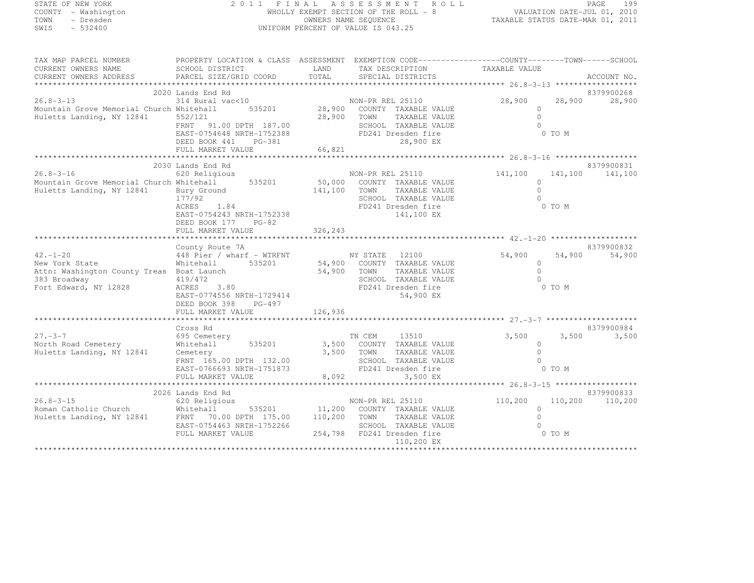#### STATE OF NEW YORK 2 0 1 1 F I N A L A S S E S S M E N T R O L L PAGE <sup>199</sup> COUNTY - Washington WHOLLY EXEMPT SECTION OF THE ROLL - 8 VALUATION DATE-JUL 01, 2010 TOWN - Dresden OWNERS NAME SEQUENCE TAXABLE STATUS DATE-MAR 01, 2011<br>- TRESDEN ON THE SEQUENCE TO A SECUENCE TO BE SERVED ON THE SEQUENCE OF SEXUE OF THE STATUS DATE MAR 01, 2011 SWIS - 532400 UNIFORM PERCENT OF VALUE IS 043.25

| TAXABLE VALUE<br>CURRENT OWNERS NAME<br>SCHOOL DISTRICT<br>LAND<br>TAX DESCRIPTION<br>TOTAL<br>PARCEL SIZE/GRID COORD<br>SPECIAL DISTRICTS<br>CURRENT OWNERS ADDRESS<br>ACCOUNT NO.<br>2020 Lands End Rd<br>8379900268<br>$314 \text{ Rural vac} < 10$ NON-PR REL 25110<br>$26.8 - 3 - 13$<br>28,900<br>28,900<br>28,900<br>535201 28,900 COUNTY TAXABLE VALUE<br>Mountain Grove Memorial Church Whitehall<br>$\circ$<br>Huletts Landing, NY 12841<br>28,900 TOWN<br>$\bigcap$<br>TAXABLE VALUE<br>552/121<br>$\bigcap$<br>FRNT 91.00 DPTH 187.00<br>SCHOOL TAXABLE VALUE<br>EAST-0754648 NRTH-1752388<br>FD241 Dresden fire<br>0 TO M<br>28,900 EX<br>DEED BOOK 441<br>PG-381<br>66,821<br>FULL MARKET VALUE<br>8379900831<br>2030 Lands End Rd<br>620 Religious<br>$26.8 - 3 - 16$<br>141,100<br>141,100<br>NON-PR REL 25110 141,100<br>Mountain Grove Memorial Church Whitehall 535201<br>50,000 COUNTY TAXABLE VALUE<br>$\circ$<br>$\Omega$<br>Huletts Landing, NY 12841<br>141,100<br>TAXABLE VALUE<br>Bury Ground<br>TOWN<br>177/92<br>SCHOOL TAXABLE VALUE<br>$\cap$<br>1.84<br>ACRES<br>FD241 Dresden fire<br>0 TO M<br>EAST-0754243 NRTH-1752338<br>141,100 EX<br>DEED BOOK 177 PG-82<br>8379900832<br>County Route 7A<br>$42. - 1 - 20$<br>448 Pier / wharf - WTRFNT<br>NY STATE 12100<br>54,900<br>54,900<br>54,900<br>535201 54,900 COUNTY TAXABLE VALUE<br>New York State<br>Whitehall<br>$\Omega$<br>54,900 TOWN<br>SCHOO<br>$\circ$<br>Attn: Washington County Treas Boat Launch<br>TAXABLE VALUE<br>383 Broadway<br>419/472<br>SCHOOL TAXABLE VALUE<br>$\cap$<br>Fort Edward, NY 12828<br>ACRES<br>3.80<br>FD241 Dresden fire<br>0 TO M<br>54,900 EX<br>EAST-0774556 NRTH-1729414<br>DEED BOOK 398<br>PG-497<br>8379900984<br>Cross Rd<br>3,500<br>$27 - 3 - 7$<br>TN CEM<br>13510<br>3,500<br>695 Cemetery<br>3,500<br>North Road Cemetery<br>535201 3,500 COUNTY TAXABLE VALUE<br>Whitehall<br>$\Omega$<br>Huletts Landing, NY 12841<br>3,500 TOWN<br>$\bigcap$<br>TAXABLE VALUE<br>Cemetery<br>Cemetery 3,500<br>FRNT 165.00 DPTH 132.00<br>EAST-0766693 NRTH-1751873<br>SCHOOL TAXABLE VALUE<br>$\Omega$<br>FD241 Dresden fire<br>0 TO M<br>8,092<br>FULL MARKET VALUE<br>3,500 EX<br>8379900833<br>2026 Lands End Rd<br>$26.8 - 3 - 15$<br>620 Religious<br>NON-PR REL 25110<br>110,200 110,200<br>110,200<br>535201 11,200 COUNTY TAXABLE VALUE<br>Roman Catholic Church Mhitehall 535201<br>Huletts Landing, NY 12841 FRNT 70.00 DPTH 175.00<br>$\circ$<br>$\bigcap$<br>110,200<br>TOWN<br>TAXABLE VALUE<br>EAST-0754463 NRTH-1752266<br>SCHOOL TAXABLE VALUE<br>254,798 FD241 Dresden fire<br>0 TO M<br>FULL MARKET VALUE<br>110,200 EX | TAX MAP PARCEL NUMBER | PROPERTY LOCATION & CLASS ASSESSMENT EXEMPTION CODE-----------------COUNTY-------TOWN------SCHOOL |  |  |  |
|-----------------------------------------------------------------------------------------------------------------------------------------------------------------------------------------------------------------------------------------------------------------------------------------------------------------------------------------------------------------------------------------------------------------------------------------------------------------------------------------------------------------------------------------------------------------------------------------------------------------------------------------------------------------------------------------------------------------------------------------------------------------------------------------------------------------------------------------------------------------------------------------------------------------------------------------------------------------------------------------------------------------------------------------------------------------------------------------------------------------------------------------------------------------------------------------------------------------------------------------------------------------------------------------------------------------------------------------------------------------------------------------------------------------------------------------------------------------------------------------------------------------------------------------------------------------------------------------------------------------------------------------------------------------------------------------------------------------------------------------------------------------------------------------------------------------------------------------------------------------------------------------------------------------------------------------------------------------------------------------------------------------------------------------------------------------------------------------------------------------------------------------------------------------------------------------------------------------------------------------------------------------------------------------------------------------------------------------------------------------------------------------------------------------------------------------------------------------------------------------------------------------------------------------------------------------------------------------------------------------------------------------------------------------|-----------------------|---------------------------------------------------------------------------------------------------|--|--|--|
|                                                                                                                                                                                                                                                                                                                                                                                                                                                                                                                                                                                                                                                                                                                                                                                                                                                                                                                                                                                                                                                                                                                                                                                                                                                                                                                                                                                                                                                                                                                                                                                                                                                                                                                                                                                                                                                                                                                                                                                                                                                                                                                                                                                                                                                                                                                                                                                                                                                                                                                                                                                                                                                                 |                       |                                                                                                   |  |  |  |
|                                                                                                                                                                                                                                                                                                                                                                                                                                                                                                                                                                                                                                                                                                                                                                                                                                                                                                                                                                                                                                                                                                                                                                                                                                                                                                                                                                                                                                                                                                                                                                                                                                                                                                                                                                                                                                                                                                                                                                                                                                                                                                                                                                                                                                                                                                                                                                                                                                                                                                                                                                                                                                                                 |                       |                                                                                                   |  |  |  |
|                                                                                                                                                                                                                                                                                                                                                                                                                                                                                                                                                                                                                                                                                                                                                                                                                                                                                                                                                                                                                                                                                                                                                                                                                                                                                                                                                                                                                                                                                                                                                                                                                                                                                                                                                                                                                                                                                                                                                                                                                                                                                                                                                                                                                                                                                                                                                                                                                                                                                                                                                                                                                                                                 |                       |                                                                                                   |  |  |  |
|                                                                                                                                                                                                                                                                                                                                                                                                                                                                                                                                                                                                                                                                                                                                                                                                                                                                                                                                                                                                                                                                                                                                                                                                                                                                                                                                                                                                                                                                                                                                                                                                                                                                                                                                                                                                                                                                                                                                                                                                                                                                                                                                                                                                                                                                                                                                                                                                                                                                                                                                                                                                                                                                 |                       |                                                                                                   |  |  |  |
|                                                                                                                                                                                                                                                                                                                                                                                                                                                                                                                                                                                                                                                                                                                                                                                                                                                                                                                                                                                                                                                                                                                                                                                                                                                                                                                                                                                                                                                                                                                                                                                                                                                                                                                                                                                                                                                                                                                                                                                                                                                                                                                                                                                                                                                                                                                                                                                                                                                                                                                                                                                                                                                                 |                       |                                                                                                   |  |  |  |
|                                                                                                                                                                                                                                                                                                                                                                                                                                                                                                                                                                                                                                                                                                                                                                                                                                                                                                                                                                                                                                                                                                                                                                                                                                                                                                                                                                                                                                                                                                                                                                                                                                                                                                                                                                                                                                                                                                                                                                                                                                                                                                                                                                                                                                                                                                                                                                                                                                                                                                                                                                                                                                                                 |                       |                                                                                                   |  |  |  |
|                                                                                                                                                                                                                                                                                                                                                                                                                                                                                                                                                                                                                                                                                                                                                                                                                                                                                                                                                                                                                                                                                                                                                                                                                                                                                                                                                                                                                                                                                                                                                                                                                                                                                                                                                                                                                                                                                                                                                                                                                                                                                                                                                                                                                                                                                                                                                                                                                                                                                                                                                                                                                                                                 |                       |                                                                                                   |  |  |  |
|                                                                                                                                                                                                                                                                                                                                                                                                                                                                                                                                                                                                                                                                                                                                                                                                                                                                                                                                                                                                                                                                                                                                                                                                                                                                                                                                                                                                                                                                                                                                                                                                                                                                                                                                                                                                                                                                                                                                                                                                                                                                                                                                                                                                                                                                                                                                                                                                                                                                                                                                                                                                                                                                 |                       |                                                                                                   |  |  |  |
|                                                                                                                                                                                                                                                                                                                                                                                                                                                                                                                                                                                                                                                                                                                                                                                                                                                                                                                                                                                                                                                                                                                                                                                                                                                                                                                                                                                                                                                                                                                                                                                                                                                                                                                                                                                                                                                                                                                                                                                                                                                                                                                                                                                                                                                                                                                                                                                                                                                                                                                                                                                                                                                                 |                       |                                                                                                   |  |  |  |
|                                                                                                                                                                                                                                                                                                                                                                                                                                                                                                                                                                                                                                                                                                                                                                                                                                                                                                                                                                                                                                                                                                                                                                                                                                                                                                                                                                                                                                                                                                                                                                                                                                                                                                                                                                                                                                                                                                                                                                                                                                                                                                                                                                                                                                                                                                                                                                                                                                                                                                                                                                                                                                                                 |                       |                                                                                                   |  |  |  |
|                                                                                                                                                                                                                                                                                                                                                                                                                                                                                                                                                                                                                                                                                                                                                                                                                                                                                                                                                                                                                                                                                                                                                                                                                                                                                                                                                                                                                                                                                                                                                                                                                                                                                                                                                                                                                                                                                                                                                                                                                                                                                                                                                                                                                                                                                                                                                                                                                                                                                                                                                                                                                                                                 |                       |                                                                                                   |  |  |  |
|                                                                                                                                                                                                                                                                                                                                                                                                                                                                                                                                                                                                                                                                                                                                                                                                                                                                                                                                                                                                                                                                                                                                                                                                                                                                                                                                                                                                                                                                                                                                                                                                                                                                                                                                                                                                                                                                                                                                                                                                                                                                                                                                                                                                                                                                                                                                                                                                                                                                                                                                                                                                                                                                 |                       |                                                                                                   |  |  |  |
|                                                                                                                                                                                                                                                                                                                                                                                                                                                                                                                                                                                                                                                                                                                                                                                                                                                                                                                                                                                                                                                                                                                                                                                                                                                                                                                                                                                                                                                                                                                                                                                                                                                                                                                                                                                                                                                                                                                                                                                                                                                                                                                                                                                                                                                                                                                                                                                                                                                                                                                                                                                                                                                                 |                       |                                                                                                   |  |  |  |
|                                                                                                                                                                                                                                                                                                                                                                                                                                                                                                                                                                                                                                                                                                                                                                                                                                                                                                                                                                                                                                                                                                                                                                                                                                                                                                                                                                                                                                                                                                                                                                                                                                                                                                                                                                                                                                                                                                                                                                                                                                                                                                                                                                                                                                                                                                                                                                                                                                                                                                                                                                                                                                                                 |                       |                                                                                                   |  |  |  |
|                                                                                                                                                                                                                                                                                                                                                                                                                                                                                                                                                                                                                                                                                                                                                                                                                                                                                                                                                                                                                                                                                                                                                                                                                                                                                                                                                                                                                                                                                                                                                                                                                                                                                                                                                                                                                                                                                                                                                                                                                                                                                                                                                                                                                                                                                                                                                                                                                                                                                                                                                                                                                                                                 |                       |                                                                                                   |  |  |  |
|                                                                                                                                                                                                                                                                                                                                                                                                                                                                                                                                                                                                                                                                                                                                                                                                                                                                                                                                                                                                                                                                                                                                                                                                                                                                                                                                                                                                                                                                                                                                                                                                                                                                                                                                                                                                                                                                                                                                                                                                                                                                                                                                                                                                                                                                                                                                                                                                                                                                                                                                                                                                                                                                 |                       |                                                                                                   |  |  |  |
|                                                                                                                                                                                                                                                                                                                                                                                                                                                                                                                                                                                                                                                                                                                                                                                                                                                                                                                                                                                                                                                                                                                                                                                                                                                                                                                                                                                                                                                                                                                                                                                                                                                                                                                                                                                                                                                                                                                                                                                                                                                                                                                                                                                                                                                                                                                                                                                                                                                                                                                                                                                                                                                                 |                       |                                                                                                   |  |  |  |
|                                                                                                                                                                                                                                                                                                                                                                                                                                                                                                                                                                                                                                                                                                                                                                                                                                                                                                                                                                                                                                                                                                                                                                                                                                                                                                                                                                                                                                                                                                                                                                                                                                                                                                                                                                                                                                                                                                                                                                                                                                                                                                                                                                                                                                                                                                                                                                                                                                                                                                                                                                                                                                                                 |                       |                                                                                                   |  |  |  |
|                                                                                                                                                                                                                                                                                                                                                                                                                                                                                                                                                                                                                                                                                                                                                                                                                                                                                                                                                                                                                                                                                                                                                                                                                                                                                                                                                                                                                                                                                                                                                                                                                                                                                                                                                                                                                                                                                                                                                                                                                                                                                                                                                                                                                                                                                                                                                                                                                                                                                                                                                                                                                                                                 |                       |                                                                                                   |  |  |  |
|                                                                                                                                                                                                                                                                                                                                                                                                                                                                                                                                                                                                                                                                                                                                                                                                                                                                                                                                                                                                                                                                                                                                                                                                                                                                                                                                                                                                                                                                                                                                                                                                                                                                                                                                                                                                                                                                                                                                                                                                                                                                                                                                                                                                                                                                                                                                                                                                                                                                                                                                                                                                                                                                 |                       |                                                                                                   |  |  |  |
|                                                                                                                                                                                                                                                                                                                                                                                                                                                                                                                                                                                                                                                                                                                                                                                                                                                                                                                                                                                                                                                                                                                                                                                                                                                                                                                                                                                                                                                                                                                                                                                                                                                                                                                                                                                                                                                                                                                                                                                                                                                                                                                                                                                                                                                                                                                                                                                                                                                                                                                                                                                                                                                                 |                       |                                                                                                   |  |  |  |
|                                                                                                                                                                                                                                                                                                                                                                                                                                                                                                                                                                                                                                                                                                                                                                                                                                                                                                                                                                                                                                                                                                                                                                                                                                                                                                                                                                                                                                                                                                                                                                                                                                                                                                                                                                                                                                                                                                                                                                                                                                                                                                                                                                                                                                                                                                                                                                                                                                                                                                                                                                                                                                                                 |                       |                                                                                                   |  |  |  |
|                                                                                                                                                                                                                                                                                                                                                                                                                                                                                                                                                                                                                                                                                                                                                                                                                                                                                                                                                                                                                                                                                                                                                                                                                                                                                                                                                                                                                                                                                                                                                                                                                                                                                                                                                                                                                                                                                                                                                                                                                                                                                                                                                                                                                                                                                                                                                                                                                                                                                                                                                                                                                                                                 |                       |                                                                                                   |  |  |  |
|                                                                                                                                                                                                                                                                                                                                                                                                                                                                                                                                                                                                                                                                                                                                                                                                                                                                                                                                                                                                                                                                                                                                                                                                                                                                                                                                                                                                                                                                                                                                                                                                                                                                                                                                                                                                                                                                                                                                                                                                                                                                                                                                                                                                                                                                                                                                                                                                                                                                                                                                                                                                                                                                 |                       |                                                                                                   |  |  |  |
|                                                                                                                                                                                                                                                                                                                                                                                                                                                                                                                                                                                                                                                                                                                                                                                                                                                                                                                                                                                                                                                                                                                                                                                                                                                                                                                                                                                                                                                                                                                                                                                                                                                                                                                                                                                                                                                                                                                                                                                                                                                                                                                                                                                                                                                                                                                                                                                                                                                                                                                                                                                                                                                                 |                       |                                                                                                   |  |  |  |
|                                                                                                                                                                                                                                                                                                                                                                                                                                                                                                                                                                                                                                                                                                                                                                                                                                                                                                                                                                                                                                                                                                                                                                                                                                                                                                                                                                                                                                                                                                                                                                                                                                                                                                                                                                                                                                                                                                                                                                                                                                                                                                                                                                                                                                                                                                                                                                                                                                                                                                                                                                                                                                                                 |                       |                                                                                                   |  |  |  |
|                                                                                                                                                                                                                                                                                                                                                                                                                                                                                                                                                                                                                                                                                                                                                                                                                                                                                                                                                                                                                                                                                                                                                                                                                                                                                                                                                                                                                                                                                                                                                                                                                                                                                                                                                                                                                                                                                                                                                                                                                                                                                                                                                                                                                                                                                                                                                                                                                                                                                                                                                                                                                                                                 |                       |                                                                                                   |  |  |  |
|                                                                                                                                                                                                                                                                                                                                                                                                                                                                                                                                                                                                                                                                                                                                                                                                                                                                                                                                                                                                                                                                                                                                                                                                                                                                                                                                                                                                                                                                                                                                                                                                                                                                                                                                                                                                                                                                                                                                                                                                                                                                                                                                                                                                                                                                                                                                                                                                                                                                                                                                                                                                                                                                 |                       |                                                                                                   |  |  |  |
|                                                                                                                                                                                                                                                                                                                                                                                                                                                                                                                                                                                                                                                                                                                                                                                                                                                                                                                                                                                                                                                                                                                                                                                                                                                                                                                                                                                                                                                                                                                                                                                                                                                                                                                                                                                                                                                                                                                                                                                                                                                                                                                                                                                                                                                                                                                                                                                                                                                                                                                                                                                                                                                                 |                       |                                                                                                   |  |  |  |
|                                                                                                                                                                                                                                                                                                                                                                                                                                                                                                                                                                                                                                                                                                                                                                                                                                                                                                                                                                                                                                                                                                                                                                                                                                                                                                                                                                                                                                                                                                                                                                                                                                                                                                                                                                                                                                                                                                                                                                                                                                                                                                                                                                                                                                                                                                                                                                                                                                                                                                                                                                                                                                                                 |                       |                                                                                                   |  |  |  |
|                                                                                                                                                                                                                                                                                                                                                                                                                                                                                                                                                                                                                                                                                                                                                                                                                                                                                                                                                                                                                                                                                                                                                                                                                                                                                                                                                                                                                                                                                                                                                                                                                                                                                                                                                                                                                                                                                                                                                                                                                                                                                                                                                                                                                                                                                                                                                                                                                                                                                                                                                                                                                                                                 |                       |                                                                                                   |  |  |  |
|                                                                                                                                                                                                                                                                                                                                                                                                                                                                                                                                                                                                                                                                                                                                                                                                                                                                                                                                                                                                                                                                                                                                                                                                                                                                                                                                                                                                                                                                                                                                                                                                                                                                                                                                                                                                                                                                                                                                                                                                                                                                                                                                                                                                                                                                                                                                                                                                                                                                                                                                                                                                                                                                 |                       |                                                                                                   |  |  |  |
|                                                                                                                                                                                                                                                                                                                                                                                                                                                                                                                                                                                                                                                                                                                                                                                                                                                                                                                                                                                                                                                                                                                                                                                                                                                                                                                                                                                                                                                                                                                                                                                                                                                                                                                                                                                                                                                                                                                                                                                                                                                                                                                                                                                                                                                                                                                                                                                                                                                                                                                                                                                                                                                                 |                       |                                                                                                   |  |  |  |
|                                                                                                                                                                                                                                                                                                                                                                                                                                                                                                                                                                                                                                                                                                                                                                                                                                                                                                                                                                                                                                                                                                                                                                                                                                                                                                                                                                                                                                                                                                                                                                                                                                                                                                                                                                                                                                                                                                                                                                                                                                                                                                                                                                                                                                                                                                                                                                                                                                                                                                                                                                                                                                                                 |                       |                                                                                                   |  |  |  |
|                                                                                                                                                                                                                                                                                                                                                                                                                                                                                                                                                                                                                                                                                                                                                                                                                                                                                                                                                                                                                                                                                                                                                                                                                                                                                                                                                                                                                                                                                                                                                                                                                                                                                                                                                                                                                                                                                                                                                                                                                                                                                                                                                                                                                                                                                                                                                                                                                                                                                                                                                                                                                                                                 |                       |                                                                                                   |  |  |  |
|                                                                                                                                                                                                                                                                                                                                                                                                                                                                                                                                                                                                                                                                                                                                                                                                                                                                                                                                                                                                                                                                                                                                                                                                                                                                                                                                                                                                                                                                                                                                                                                                                                                                                                                                                                                                                                                                                                                                                                                                                                                                                                                                                                                                                                                                                                                                                                                                                                                                                                                                                                                                                                                                 |                       |                                                                                                   |  |  |  |
|                                                                                                                                                                                                                                                                                                                                                                                                                                                                                                                                                                                                                                                                                                                                                                                                                                                                                                                                                                                                                                                                                                                                                                                                                                                                                                                                                                                                                                                                                                                                                                                                                                                                                                                                                                                                                                                                                                                                                                                                                                                                                                                                                                                                                                                                                                                                                                                                                                                                                                                                                                                                                                                                 |                       |                                                                                                   |  |  |  |
|                                                                                                                                                                                                                                                                                                                                                                                                                                                                                                                                                                                                                                                                                                                                                                                                                                                                                                                                                                                                                                                                                                                                                                                                                                                                                                                                                                                                                                                                                                                                                                                                                                                                                                                                                                                                                                                                                                                                                                                                                                                                                                                                                                                                                                                                                                                                                                                                                                                                                                                                                                                                                                                                 |                       |                                                                                                   |  |  |  |
|                                                                                                                                                                                                                                                                                                                                                                                                                                                                                                                                                                                                                                                                                                                                                                                                                                                                                                                                                                                                                                                                                                                                                                                                                                                                                                                                                                                                                                                                                                                                                                                                                                                                                                                                                                                                                                                                                                                                                                                                                                                                                                                                                                                                                                                                                                                                                                                                                                                                                                                                                                                                                                                                 |                       |                                                                                                   |  |  |  |
|                                                                                                                                                                                                                                                                                                                                                                                                                                                                                                                                                                                                                                                                                                                                                                                                                                                                                                                                                                                                                                                                                                                                                                                                                                                                                                                                                                                                                                                                                                                                                                                                                                                                                                                                                                                                                                                                                                                                                                                                                                                                                                                                                                                                                                                                                                                                                                                                                                                                                                                                                                                                                                                                 |                       |                                                                                                   |  |  |  |
|                                                                                                                                                                                                                                                                                                                                                                                                                                                                                                                                                                                                                                                                                                                                                                                                                                                                                                                                                                                                                                                                                                                                                                                                                                                                                                                                                                                                                                                                                                                                                                                                                                                                                                                                                                                                                                                                                                                                                                                                                                                                                                                                                                                                                                                                                                                                                                                                                                                                                                                                                                                                                                                                 |                       |                                                                                                   |  |  |  |
|                                                                                                                                                                                                                                                                                                                                                                                                                                                                                                                                                                                                                                                                                                                                                                                                                                                                                                                                                                                                                                                                                                                                                                                                                                                                                                                                                                                                                                                                                                                                                                                                                                                                                                                                                                                                                                                                                                                                                                                                                                                                                                                                                                                                                                                                                                                                                                                                                                                                                                                                                                                                                                                                 |                       |                                                                                                   |  |  |  |
|                                                                                                                                                                                                                                                                                                                                                                                                                                                                                                                                                                                                                                                                                                                                                                                                                                                                                                                                                                                                                                                                                                                                                                                                                                                                                                                                                                                                                                                                                                                                                                                                                                                                                                                                                                                                                                                                                                                                                                                                                                                                                                                                                                                                                                                                                                                                                                                                                                                                                                                                                                                                                                                                 |                       |                                                                                                   |  |  |  |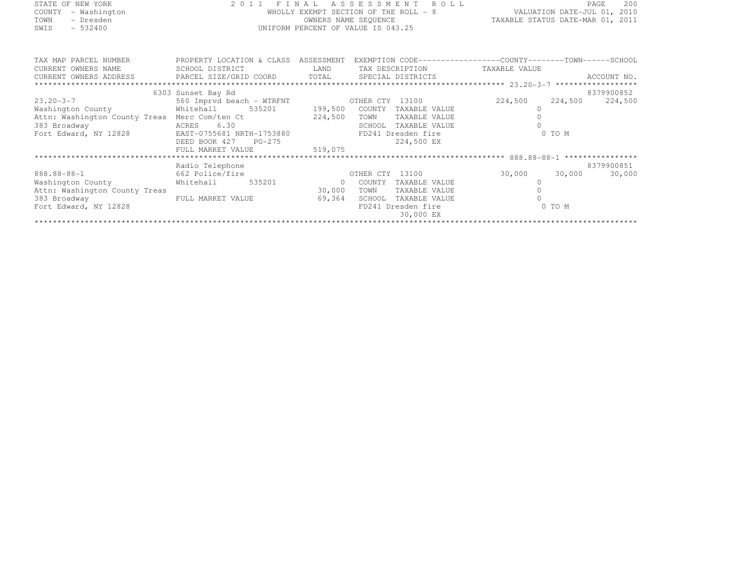| STATE OF NEW YORK   | 2011 FINAL ASSESSMENT ROLL            | -200<br>PAGE                     |
|---------------------|---------------------------------------|----------------------------------|
| COUNTY - Washington | WHOLLY EXEMPT SECTION OF THE ROLL - 8 | VALUATION DATE-JUL 01, 2010      |
| - Dresden<br>TOWN   | OWNERS NAME SEQUENCE                  | TAXABLE STATUS DATE-MAR 01, 2011 |
| SWIS<br>$-532400$   | UNIFORM PERCENT OF VALUE IS 043.25    |                                  |
|                     |                                       |                                  |
|                     |                                       |                                  |

| TAX MAP PARCEL NUMBER<br>CURRENT OWNERS NAME | PROPERTY LOCATION & CLASS<br>SCHOOL DISTRICT   | ASSESSMENT<br>LAND | TAX DESCRIPTION         | EXEMPTION CODE-----------------COUNTY--------TOWN------SCHOOL<br>TAXABLE VALUE |                    |
|----------------------------------------------|------------------------------------------------|--------------------|-------------------------|--------------------------------------------------------------------------------|--------------------|
| CURRENT OWNERS ADDRESS                       | PARCEL SIZE/GRID COORD TOTAL SPECIAL DISTRICTS |                    |                         |                                                                                | ACCOUNT NO.        |
|                                              |                                                |                    |                         |                                                                                |                    |
|                                              | 6303 Sunset Bay Rd                             |                    |                         |                                                                                | 8379900852         |
| $23.20 - 3 - 7$                              | 560 Imprvd beach - WTRFNT                      |                    | OTHER CTY 13100         | 224,500                                                                        | 224,500<br>224,500 |
| Washington County                            | Whitehall<br>535201                            | 199,500            | COUNTY<br>TAXABLE VALUE |                                                                                |                    |
| Attn: Washington County Treas                | Merc Com/ten Ct                                | 224,500            | TOWN<br>TAXABLE VALUE   |                                                                                |                    |
| 383 Broadway                                 | 6.30<br>ACRES                                  |                    | SCHOOL<br>TAXABLE VALUE |                                                                                |                    |
| Fort Edward, NY 12828                        | EAST-0755681 NRTH-1753880                      |                    | FD241 Dresden fire      |                                                                                | 0 TO M             |
|                                              | DEED BOOK 427<br>PG-275                        |                    | 224,500 EX              |                                                                                |                    |
|                                              | FULL MARKET VALUE                              | 519,075            |                         |                                                                                |                    |
|                                              |                                                |                    |                         |                                                                                |                    |
|                                              | Radio Telephone                                |                    |                         |                                                                                | 8379900851         |
| 888.88-88-1                                  | 662 Police/fire                                |                    | 13100<br>OTHER CTY      | 30,000                                                                         | 30,000<br>30,000   |
| Washington County                            | Whitehall<br>535201                            | $\Omega$           | COUNTY<br>TAXABLE VALUE |                                                                                |                    |
| Attn: Washington County Treas                |                                                | 30,000             | TOWN<br>TAXABLE VALUE   |                                                                                |                    |
| 383 Broadway                                 | FULL MARKET VALUE                              | 69,364             | SCHOOL<br>TAXABLE VALUE |                                                                                |                    |
| Fort Edward, NY 12828                        |                                                |                    | FD241 Dresden fire      |                                                                                | 0 TO M             |
|                                              |                                                |                    | 30,000 EX               |                                                                                |                    |
|                                              |                                                |                    |                         |                                                                                |                    |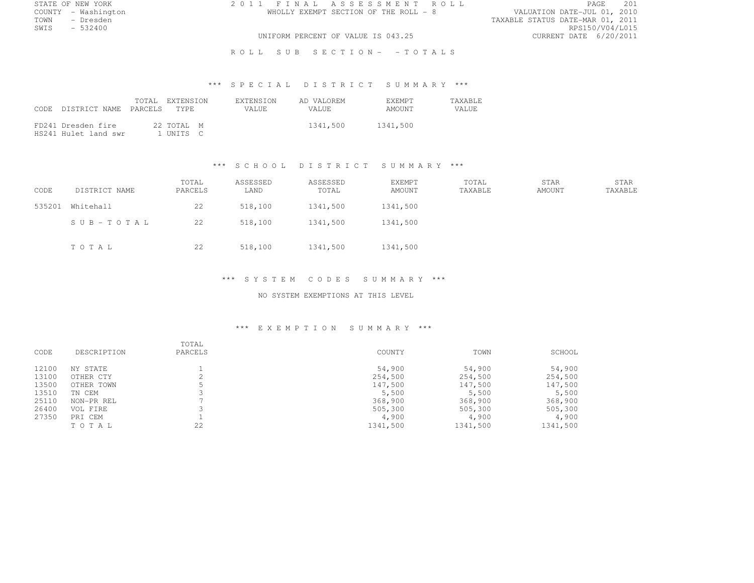COUNTY - Washington WHOLLY EXEMPT SECTION OF THE ROLL - 8<br>TOWN - Dresden

STATE OF NEW YORK 2 0 1 1 F I N A L A S S E S S M E N T R O L L PAGE <sup>201</sup>

TOWN - Dresden TAXABLE STATUS DATE-MAR 01, 2011 SWIS - 532400 RPS150/V04/L015 UNIFORM PERCENT OF VALUE IS 043.25

R O L L S U B S E C T I O N - - T O T A L S

# \*\*\* S P E C I A L D I S T R I C T S U M M A R Y \*\*\*

| CODE DISTRICT NAME PARCELS                 | TOTAL EXTENSION<br>TYPE. | <b>EXTENSION</b><br>VALUE. | AD VALOREM<br>VALUE. | <b>EXEMPT</b><br>AMOUNT | <b>TAXABLE</b><br>VALUE |
|--------------------------------------------|--------------------------|----------------------------|----------------------|-------------------------|-------------------------|
| FD241 Dresden fire<br>HS241 Hulet land swr | 22 TOTAL M<br>I UNTTS C  |                            | 1341,500             | 1341,500                |                         |

#### \*\*\* S C H O O L D I S T R I C T S U M M A R Y \*\*\*

| CODE   | DISTRICT NAME | TOTAL<br>PARCELS | ASSESSED<br>LAND | ASSESSED<br>TOTAL | EXEMPT<br>AMOUNT | TOTAL<br>TAXABLE | STAR<br>AMOUNT | STAR<br>TAXABLE |
|--------|---------------|------------------|------------------|-------------------|------------------|------------------|----------------|-----------------|
| 535201 | Whitehall     | 22               | 518,100          | 1341,500          | 1341,500         |                  |                |                 |
|        | SUB-TOTAL     | 22               | 518,100          | 1341,500          | 1341,500         |                  |                |                 |
|        | TOTAL         | 22               | 518,100          | 1341,500          | 1341,500         |                  |                |                 |

#### \*\*\* S Y S T E M C O D E S S U M M A R Y \*\*\*

#### NO SYSTEM EXEMPTIONS AT THIS LEVEL

#### \*\*\* E X E M P T I O N S U M M A R Y \*\*\*

| CODE  | DESCRIPTION | TOTAL<br>PARCELS | COUNTY   | TOWN     | SCHOOL   |
|-------|-------------|------------------|----------|----------|----------|
| 12100 | NY STATE    |                  | 54,900   | 54,900   | 54,900   |
| 13100 | OTHER CTY   |                  | 254,500  | 254,500  | 254,500  |
| 13500 | OTHER TOWN  |                  | 147,500  | 147,500  | 147,500  |
| 13510 | TN CEM      |                  | 5,500    | 5,500    | 5,500    |
| 25110 | NON-PR REL  |                  | 368,900  | 368,900  | 368,900  |
| 26400 | VOL FIRE    |                  | 505,300  | 505,300  | 505,300  |
| 27350 | PRI CEM     |                  | 4,900    | 4,900    | 4,900    |
|       | TOTAL       | 22               | 1341,500 | 1341,500 | 1341,500 |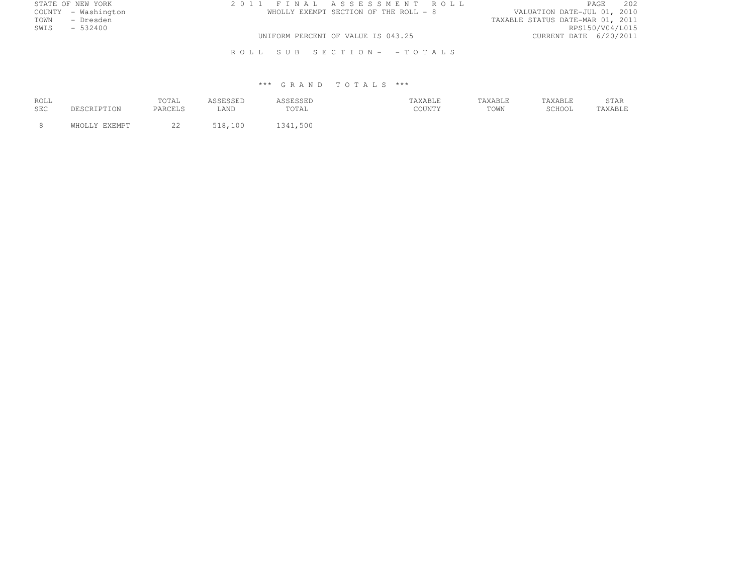| STATE OF NEW YORK   | 2011 FINAL ASSESSMENT ROLL            | 202<br>PAGE                      |
|---------------------|---------------------------------------|----------------------------------|
| COUNTY - Washington | WHOLLY EXEMPT SECTION OF THE ROLL - 8 | VALUATION DATE-JUL 01, 2010      |
| TOWN<br>- Dresden   |                                       | TAXABLE STATUS DATE-MAR 01, 2011 |
| SWIS<br>$-532400$   |                                       | RPS150/V04/L015                  |
|                     | UNIFORM PERCENT OF VALUE IS 043.25    | CURRENT DATE 6/20/2011           |
|                     | ROLL SUB SECTION- - TOTALS            |                                  |

| ROLL<br>SEC |               | TOTAL<br>PARCELS     | <b>\SSESSED</b><br>LAND | ASSESSED<br>TOTAL | TAXABLE<br>$C\cap T\cup T$<br>JUUN 1. 1 | TAXABLE<br>TOWN | TAXABLE<br>SCHOOL | STAR<br>TAXABLE |
|-------------|---------------|----------------------|-------------------------|-------------------|-----------------------------------------|-----------------|-------------------|-----------------|
|             | WHOLLY EXEMPT | $\sim$ $\sim$<br>ے ت | 518,100                 | 1341<br>.500      |                                         |                 |                   |                 |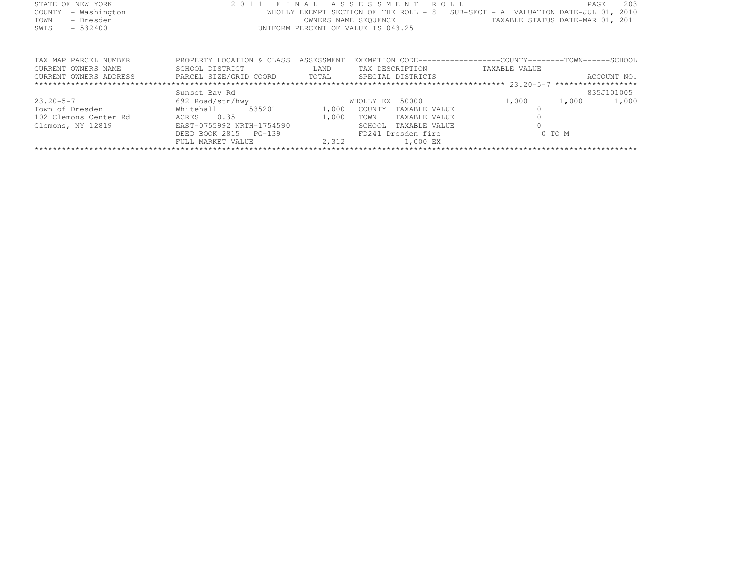| STATE OF NEW YORK      |                                                |      | 2011 FINAL ASSESSMENT ROLL                                                                                                 |                                  | PAGE       | 203         |
|------------------------|------------------------------------------------|------|----------------------------------------------------------------------------------------------------------------------------|----------------------------------|------------|-------------|
| - Washington<br>COUNTY |                                                |      | WHOLLY EXEMPT SECTION OF THE ROLL - 8 SUB-SECT - A VALUATION DATE-JUL 01, 2010                                             |                                  |            |             |
| - Dresden<br>TOWN      |                                                |      | OWNERS NAME SEQUENCE                                                                                                       | TAXABLE STATUS DATE-MAR 01, 2011 |            |             |
| SWIS<br>$-532400$      |                                                |      | UNIFORM PERCENT OF VALUE IS 043.25                                                                                         |                                  |            |             |
|                        |                                                |      |                                                                                                                            |                                  |            |             |
|                        |                                                |      |                                                                                                                            |                                  |            |             |
|                        |                                                |      |                                                                                                                            |                                  |            |             |
| TAX MAP PARCEL NUMBER  | PROPERTY LOCATION & CLASS ASSESSMENT           |      | EXEMPTION CODE-----------------COUNTY-------TOWN------SCHOOL                                                               |                                  |            |             |
| CURRENT OWNERS NAME    | SCHOOL DISTRICT                                | LAND | TAX DESCRIPTION                                                                                                            | TAXABLE VALUE                    |            |             |
| CURRENT OWNERS ADDRESS | PARCEL SIZE/GRID COORD TOTAL SPECIAL DISTRICTS |      |                                                                                                                            |                                  |            | ACCOUNT NO. |
|                        |                                                |      |                                                                                                                            |                                  |            |             |
|                        | Sunset Bay Rd                                  |      |                                                                                                                            |                                  | 835J101005 |             |
| $23.20 - 5 - 7$        | 692 Road/str/hwy                               |      | WHOLLY EX 50000                                                                                                            | 1,000                            | 1,000      | 1,000       |
|                        | $-0$ $-0$ $-0$                                 |      | $\sim$ 0.00 $\sim$ 0.000 $\sim$ 0.000 $\sim$ 0.000 $\sim$ 0.000 $\sim$ 0.000 $\sim$ 0.000 $\sim$ 0.000 $\sim$ 0.000 $\sim$ |                                  |            |             |

FULL MARKET VALUE 2,312 1,000 EX \*\*\*\*\*\*\*\*\*\*\*\*\*\*\*\*\*\*\*\*\*\*\*\*\*\*\*\*\*\*\*\*\*\*\*\*\*\*\*\*\*\*\*\*\*\*\*\*\*\*\*\*\*\*\*\*\*\*\*\*\*\*\*\*\*\*\*\*\*\*\*\*\*\*\*\*\*\*\*\*\*\*\*\*\*\*\*\*\*\*\*\*\*\*\*\*\*\*\*\*\*\*\*\*\*\*\*\*\*\*\*\*\*\*\*\*\*\*\*\*\*\*\*\*\*\*\*\*\*\*\*\*

DEED BOOK 2815 PG-139 FD241 Dresden fire 0 TO M

Town of Dresden Whitehall 535201 1,000 COUNTY TAXABLE VALUE 0<br>1900 OCUNTY TAXABLE VALUE 0 1,000 TOWN TAXABLE VALUE 0.35 1,000 TOWN TAXABLE VALUE 0.35 1,000 TOWN TAXABLE VALUE 0.05 1,000 TOWN TAXABLE VALUE Clemons, NY 12819 EAST-0755992 NRTH-1754590 SCHOOL TAXABLE VALUE <sup>0</sup>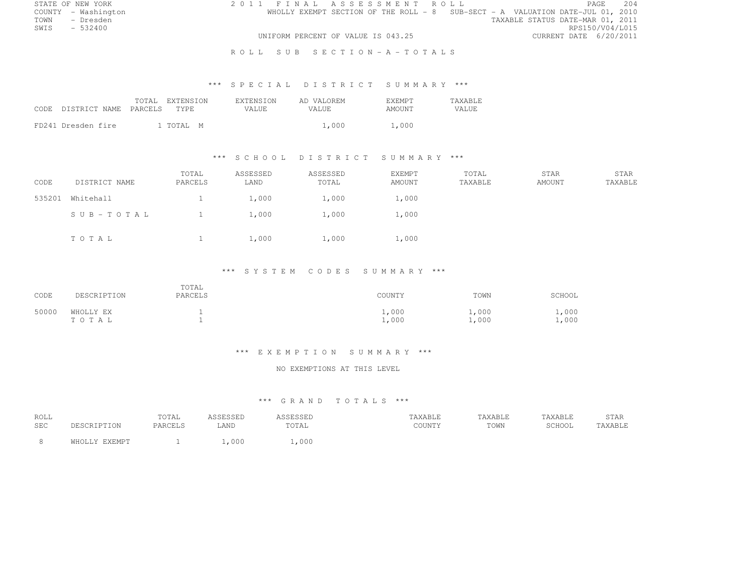| STATE OF NEW YORK   | 2011 FINAL ASSESSMENT ROLL                                                     | 2.04<br>PAGE                     |
|---------------------|--------------------------------------------------------------------------------|----------------------------------|
| COUNTY - Washington | WHOLLY EXEMPT SECTION OF THE ROLL - 8 SUB-SECT - A VALUATION DATE-JUL 01, 2010 |                                  |
| TOWN - Dresden      |                                                                                | TAXABLE STATUS DATE-MAR 01, 2011 |
| SWTS<br>$-532400$   |                                                                                | RPS150/V04/L015                  |
|                     | UNIFORM PERCENT OF VALUE IS 043.25                                             | CURRENT DATE 6/20/2011           |
|                     | ROLL SUB SECTION-A-TOTALS                                                      |                                  |

### \*\*\* S P E C I A L D I S T R I C T S U M M A R Y \*\*\*

| CODE DISTRICT NAME PARCELS | TOTAL EXTENSION<br>TYPE. | <b>EXTENSION</b><br>VALUE. | AD VALOREM<br>VALUE. | <b>F.XF.MPT</b><br>AMOUNT | <b>TAXABLE</b><br>VALUE |
|----------------------------|--------------------------|----------------------------|----------------------|---------------------------|-------------------------|
| FD241 Dresden fire         | 1 TOTAL M                |                            | 1,000                | 1,000                     |                         |

### \*\*\* S C H O O L D I S T R I C T S U M M A R Y \*\*\*

| CODE   | DISTRICT NAME | TOTAL<br>PARCELS | ASSESSED<br>LAND | ASSESSED<br>TOTAL | <b>EXEMPT</b><br>AMOUNT | TOTAL<br>TAXABLE | STAR<br>AMOUNT | STAR<br>TAXABLE |
|--------|---------------|------------------|------------------|-------------------|-------------------------|------------------|----------------|-----------------|
| 535201 | Whitehall     |                  | 1,000            | 1,000             | 1,000                   |                  |                |                 |
|        | SUB-TOTAL     |                  | 1,000            | 1,000             | 1,000                   |                  |                |                 |
|        | TOTAL         |                  | 1,000            | 1,000             | 1,000                   |                  |                |                 |

#### \*\*\* S Y S T E M C O D E S S U M M A R Y \*\*\*

| CODE  | DESCRIPTION            | TOTAL<br>PARCELS | COUNTY         | TOWN          | SCHOOL         |
|-------|------------------------|------------------|----------------|---------------|----------------|
| 50000 | WHOLLY EX<br>T O T A L |                  | 1,000<br>1,000 | $\perp$ , 000 | 1,000<br>1,000 |

#### \*\*\* E X E M P T I O N S U M M A R Y \*\*\*

#### NO EXEMPTIONS AT THIS LEVEL

| ROLL<br><b>SEC</b> | <b>CRIPTION</b> | TOTAL<br>PARCELS | 1 S S F S S F D<br>ᆸᇦᇦᆸ<br>∟AND | SCFCCFT<br>תשטטעטר<br>TOTAL | TAXABLE<br>COUNTY | TAXABLE<br>TOWN | TAXABLE<br>SCHOOL | STAR<br>TAXABLE |
|--------------------|-----------------|------------------|---------------------------------|-----------------------------|-------------------|-----------------|-------------------|-----------------|
|                    | <b>F.YEMPT</b>  |                  | ,000                            | 1,000                       |                   |                 |                   |                 |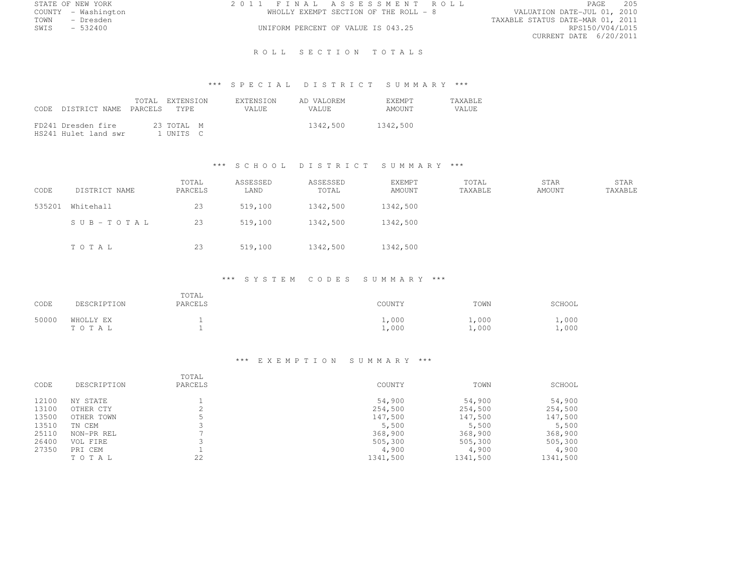| STATE OF NEW YORK   |           |  | 2011 FINAL ASSESSMENT ROLL            |                                  | PAGE                   | 205 |
|---------------------|-----------|--|---------------------------------------|----------------------------------|------------------------|-----|
| COUNTY - Washington |           |  | WHOLLY EXEMPT SECTION OF THE ROLL - 8 | VALUATION DATE-JUL 01, 2010      |                        |     |
| TOWN                | - Dresden |  |                                       | TAXABLE STATUS DATE-MAR 01, 2011 |                        |     |
| SWIS                | $-532400$ |  | UNIFORM PERCENT OF VALUE IS 043.25    |                                  | RPS150/V04/L015        |     |
|                     |           |  |                                       |                                  | CURRENT DATE 6/20/2011 |     |

### ROLL SECTION TOTALS

# \*\*\* S P E C I A L D I S T R I C T S U M M A R Y \*\*\*

| CODE DISTRICT NAME PARCELS TYPE            | TOTAL EXTENSION         | <b>EXTENSION</b><br>VALUE. | AD VALOREM<br>VALUE. | <b>EXEMPT</b><br>AMOUNT | <b>TAXABLE</b><br>VALUE. |
|--------------------------------------------|-------------------------|----------------------------|----------------------|-------------------------|--------------------------|
| FD241 Dresden fire<br>HS241 Hulet land swr | 23 TOTAL M<br>1 UNITS C |                            | 1342,500             | 1342,500                |                          |

### \*\*\* S C H O O L D I S T R I C T S U M M A R Y \*\*\*

| CODE   | DISTRICT NAME   | TOTAL<br>PARCELS | ASSESSED<br>LAND | ASSESSED<br>TOTAL | EXEMPT<br>AMOUNT | TOTAL<br>TAXABLE | STAR<br>AMOUNT | STAR<br>TAXABLE |
|--------|-----------------|------------------|------------------|-------------------|------------------|------------------|----------------|-----------------|
| 535201 | Whitehall       | 23               | 519,100          | 1342,500          | 1342,500         |                  |                |                 |
|        | $SUB - TO T AL$ | 23               | 519,100          | 1342,500          | 1342,500         |                  |                |                 |
|        | TOTAL           | 23               | 519,100          | 1342,500          | 1342,500         |                  |                |                 |

### \*\*\* S Y S T E M C O D E S S U M M A R Y \*\*\*

| CODE  | DESCRIPTION        | TOTAL<br>PARCELS | COUNTY         | TOWN           | SCHOOL                       |
|-------|--------------------|------------------|----------------|----------------|------------------------------|
| 50000 | WHOLLY EX<br>TOTAL |                  | 1,000<br>1,000 | 1,000<br>1,000 | $\overline{1}$ ,000<br>1,000 |

### \*\*\* E X E M P T I O N S U M M A R Y \*\*\*

| CODE  | DESCRIPTION | TOTAL<br>PARCELS | COUNTY   | TOWN     | SCHOOL   |
|-------|-------------|------------------|----------|----------|----------|
| 12100 | NY STATE    |                  | 54,900   | 54,900   | 54,900   |
| 13100 | OTHER CTY   |                  | 254,500  | 254,500  | 254,500  |
| 13500 | OTHER TOWN  |                  | 147,500  | 147,500  | 147,500  |
| 13510 | TN CEM      |                  | 5,500    | 5,500    | 5,500    |
| 25110 | NON-PR REL  |                  | 368,900  | 368,900  | 368,900  |
| 26400 | VOL FIRE    |                  | 505,300  | 505,300  | 505,300  |
| 27350 | PRI CEM     |                  | 4,900    | 4,900    | 4,900    |
|       | TOTAL       | 22               | 1341,500 | 1341,500 | 1341,500 |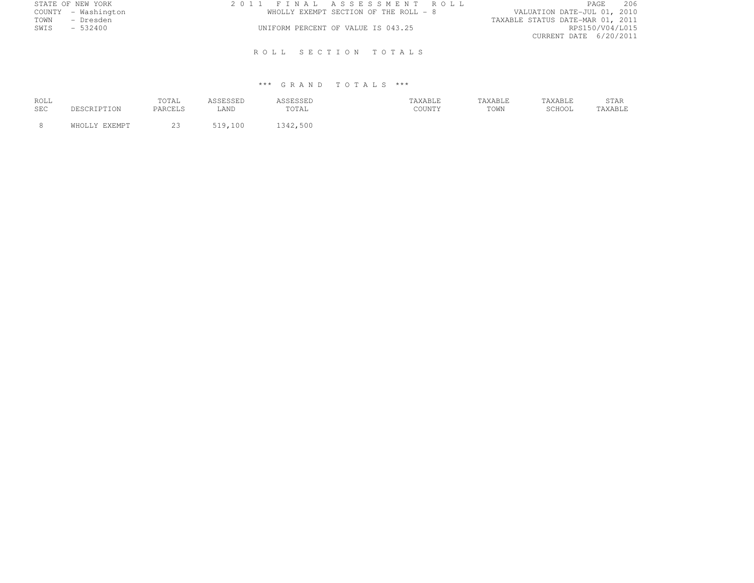| 2011 FINAL ASSESSMENT ROLL            | 206<br>PAGE                      |
|---------------------------------------|----------------------------------|
| WHOLLY EXEMPT SECTION OF THE ROLL - 8 | VALUATION DATE-JUL 01, 2010      |
|                                       | TAXABLE STATUS DATE-MAR 01, 2011 |
| UNIFORM PERCENT OF VALUE IS 043.25    | RPS150/V04/L015                  |
|                                       | CURRENT DATE 6/20/2011           |
|                                       |                                  |
| ROLL SECTION TOTALS                   |                                  |
|                                       |                                  |

| ROLL<br>SEC |               | TOTAL<br>PARCELS | LAND    | <b>SSESSED</b><br>TOTAL | TAXABLE<br>COUNTY | TAXABLE<br>TOWN | TAXABLE<br>$CCTI$ $\bigcap$ $T$<br>JUITUL | STAR<br>TAXABLE |
|-------------|---------------|------------------|---------|-------------------------|-------------------|-----------------|-------------------------------------------|-----------------|
|             | WHOLLY EXEMPT | ب ے              | 519,100 | .500<br>1342            |                   |                 |                                           |                 |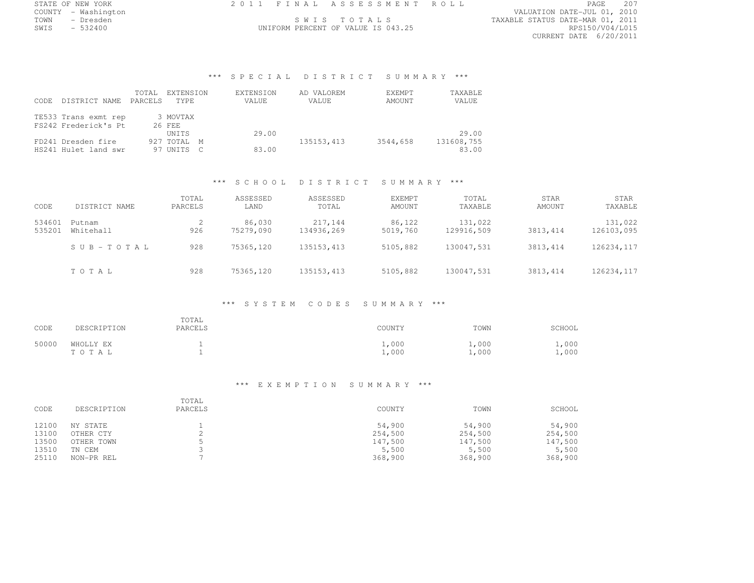|      | STATE OF NEW YORK   |  | 2011 FINAL ASSESSMENT ROLL         |                                  | PAGE            | 207 |
|------|---------------------|--|------------------------------------|----------------------------------|-----------------|-----|
|      | COUNTY - Washington |  |                                    | VALUATION DATE-JUL 01, 2010      |                 |     |
| TOWN | - Dresden           |  | SWIS TOTALS                        | TAXABLE STATUS DATE-MAR 01, 2011 |                 |     |
| SWIS | $-532400$           |  | UNIFORM PERCENT OF VALUE IS 043.25 |                                  | RPS150/V04/L015 |     |

DATE-JUL 01, 2010<br>DATE-MAR 01, 2011 CURRENT DATE 6/20/2011

# \*\*\* S P E C I A L D I S T R I C T S U M M A R Y \*\*\*

| CODE. | DISTRICT NAME                                | TOTAL<br><b>PARCELS</b> | EXTENSION<br>TYPE. | EXTENSION<br>VALUE | AD VALOREM<br>VALUE | EXEMPT<br>AMOUNT | TAXABLE<br>VALUE |
|-------|----------------------------------------------|-------------------------|--------------------|--------------------|---------------------|------------------|------------------|
|       | TE533 Trans exmt rep<br>FS242 Frederick's Pt |                         | 3 MOVTAX<br>26 FEE |                    |                     |                  |                  |
|       |                                              |                         | UNITS              | 29.00              |                     |                  | 29.00            |
|       | FD241 Dresden fire                           |                         | 927 TOTAL M        |                    | 135153, 413         | 3544,658         | 131608,755       |
|       | HS241 Hulet land swr                         |                         | 97 UNITS C         | 83.00              |                     |                  | 83.00            |

### \*\*\* S C H O O L D I S T R I C T S U M M A R Y \*\*\*

|        |               | TOTAL   | ASSESSED  | ASSESSED    | <b>EXEMPT</b> | TOTAL      | STAR      | STAR        |
|--------|---------------|---------|-----------|-------------|---------------|------------|-----------|-------------|
| CODE   | DISTRICT NAME | PARCELS | LAND      | TOTAL       | AMOUNT        | TAXABLE    | AMOUNT    | TAXABLE     |
| 534601 | Putnam        |         | 86,030    | 217,144     | 86,122        | 131,022    |           | 131,022     |
| 535201 | Whitehall     | 926     | 75279,090 | 134936,269  | 5019,760      | 129916,509 | 3813, 414 | 126103,095  |
|        | SUB-TOTAL     | 928     | 75365,120 | 135153, 413 | 5105,882      | 130047,531 | 3813.414  | 126234, 117 |
|        | TOTAL         | 928     | 75365,120 | 135153, 413 | 5105,882      | 130047,531 | 3813.414  | 126234, 117 |

### \*\*\* S Y S T E M C O D E S S U M M A R Y \*\*\*

| CODE  | DESCRIPTION        | TOTAL<br>PARCELS | COUNTY         | TOWN           | SCHOOL                 |
|-------|--------------------|------------------|----------------|----------------|------------------------|
| 50000 | WHOLLY EX<br>TOTAL |                  | 1,000<br>1,000 | 1,000<br>1,000 | $\perp$ , 000<br>1,000 |

#### \*\*\* E X E M P T I O N S U M M A R Y \*\*\*

| CODE  | DESCRIPTION | TOTAL<br>PARCELS | COUNTY  | TOWN    | SCHOOL  |
|-------|-------------|------------------|---------|---------|---------|
| 12100 | NY STATE    |                  | 54,900  | 54,900  | 54,900  |
| 13100 | OTHER CTY   | ≏                | 254,500 | 254,500 | 254,500 |
| 13500 | OTHER TOWN  |                  | 147,500 | 147,500 | 147,500 |
| 13510 | TN CEM      |                  | 5,500   | 5,500   | 5,500   |
| 25110 | NON-PR REL  |                  | 368,900 | 368,900 | 368,900 |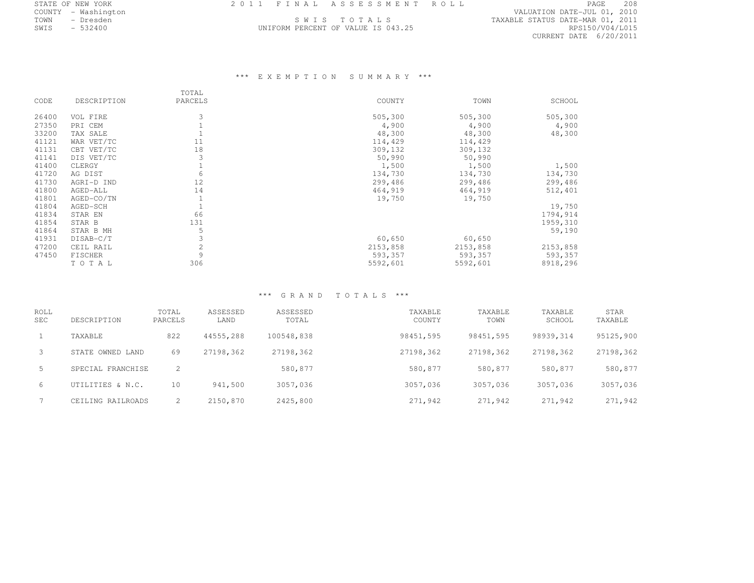| STATE OF NEW YORK   |           |  | 2011 FINAL ASSESSMENT ROLL         |                                  |                 | PAGE | 208 |
|---------------------|-----------|--|------------------------------------|----------------------------------|-----------------|------|-----|
| COUNTY - Washington |           |  |                                    | VALUATION DATE-JUL 01, 2010      |                 |      |     |
| TOWN                | – Dresden |  | SWIS TOTALS                        | TAXABLE STATUS DATE-MAR 01, 2011 |                 |      |     |
| SWIS                | $-532400$ |  | UNIFORM PERCENT OF VALUE IS 043.25 |                                  | RPS150/V04/L015 |      |     |
|                     |           |  |                                    |                                  |                 |      |     |

CURRENT DATE 6/20/2011

# \*\*\* E X E M P T I O N S U M M A R Y \*\*\*

|       |             | TOTAL   |          |          |          |
|-------|-------------|---------|----------|----------|----------|
| CODE  | DESCRIPTION | PARCELS | COUNTY   | TOWN     | SCHOOL   |
| 26400 | VOL FIRE    |         | 505,300  | 505,300  | 505,300  |
| 27350 | PRI CEM     |         | 4,900    | 4,900    | 4,900    |
| 33200 | TAX SALE    |         | 48,300   | 48,300   | 48,300   |
| 41121 | WAR VET/TC  | 11      | 114,429  | 114,429  |          |
| 41131 | CBT VET/TC  | 18      | 309,132  | 309,132  |          |
| 41141 | DIS VET/TC  |         | 50,990   | 50,990   |          |
| 41400 | CLERGY      |         | 1,500    | 1,500    | 1,500    |
| 41720 | AG DIST     | 6       | 134,730  | 134,730  | 134,730  |
| 41730 | AGRI-D IND  | 12      | 299,486  | 299,486  | 299,486  |
| 41800 | AGED-ALL    | 14      | 464,919  | 464,919  | 512,401  |
| 41801 | AGED-CO/TN  |         | 19,750   | 19,750   |          |
| 41804 | AGED-SCH    |         |          |          | 19,750   |
| 41834 | STAR EN     | 66      |          |          | 1794,914 |
| 41854 | STAR B      | 131     |          |          | 1959,310 |
| 41864 | STAR B MH   | 5       |          |          | 59,190   |
| 41931 | DISAB-C/T   |         | 60,650   | 60,650   |          |
| 47200 | CEIL RAIL   | 2       | 2153,858 | 2153,858 | 2153,858 |
| 47450 | FISCHER     | 9       | 593,357  | 593,357  | 593,357  |
|       | TOTAL       | 306     | 5592,601 | 5592,601 | 8918,296 |

| ROLL<br><b>SEC</b> | DESCRIPTION       | TOTAL<br>PARCELS | ASSESSED<br>LAND | ASSESSED<br>TOTAL | TAXABLE<br>COUNTY | TAXABLE<br>TOWN | TAXABLE<br>SCHOOL | STAR<br>TAXABLE |
|--------------------|-------------------|------------------|------------------|-------------------|-------------------|-----------------|-------------------|-----------------|
|                    | TAXABLE           | 822              | 44555,288        | 100548,838        | 98451,595         | 98451,595       | 98939.314         | 95125,900       |
| -3                 | STATE OWNED LAND  | 69               | 27198,362        | 27198,362         | 27198,362         | 27198.362       | 27198,362         | 27198,362       |
| -5                 | SPECIAL FRANCHISE |                  |                  | 580,877           | 580,877           | 580,877         | 580,877           | 580,877         |
| 6                  | UTILITIES & N.C.  | 10               | 941,500          | 3057,036          | 3057,036          | 3057,036        | 3057,036          | 3057,036        |
|                    | CEILING RAILROADS |                  | 2150,870         | 2425,800          | 271,942           | 271,942         | 271,942           | 271,942         |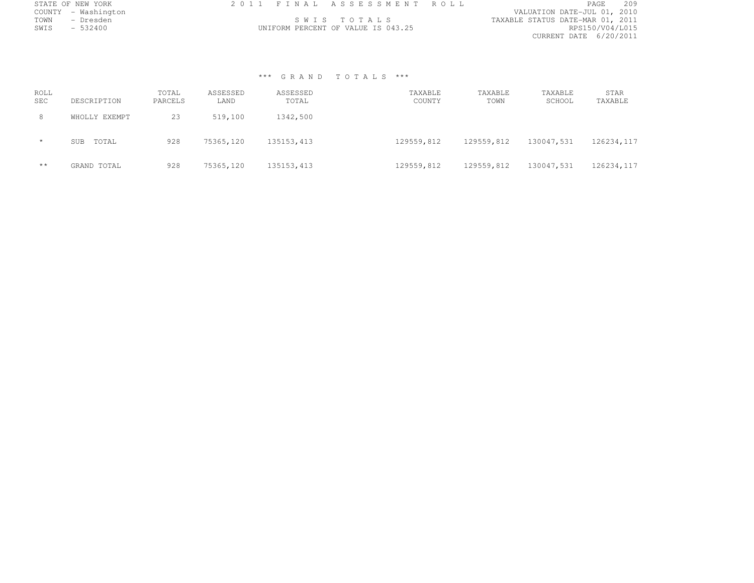| STATE OF NEW YORK   |             | 2011 FINAL ASSESSMENT ROLL         |                                  | <b>PAGE</b>     | 209 |
|---------------------|-------------|------------------------------------|----------------------------------|-----------------|-----|
| COUNTY - Washington |             |                                    | VALUATION DATE-JUL 01, 2010      |                 |     |
| TOWN<br>– Dresden   | SWIS TOTALS |                                    | TAXABLE STATUS DATE-MAR 01, 2011 |                 |     |
| SWIS - 532400       |             | UNIFORM PERCENT OF VALUE IS 043.25 |                                  | RPS150/V04/L015 |     |
|                     |             |                                    | CURRENT DATE 6/20/2011           |                 |     |

| ROLL<br><b>SEC</b> | DESCRIPTION   | TOTAL<br>PARCELS | ASSESSED<br>LAND | ASSESSED<br>TOTAL | TAXABLE<br>COUNTY | TAXABLE<br>TOWN | TAXABLE<br>SCHOOL | STAR<br>TAXABLE |
|--------------------|---------------|------------------|------------------|-------------------|-------------------|-----------------|-------------------|-----------------|
| 8                  | WHOLLY EXEMPT | 23               | 519,100          | 1342,500          |                   |                 |                   |                 |
| $\star$            | TOTAL<br>SUB  | 928              | 75365,120        | 135153, 413       | 129559,812        | 129559,812      | 130047.531        | 126234,117      |
| $***$              | GRAND TOTAL   | 928              | 75365,120        | 135153, 413       | 129559,812        | 129559.812      | 130047,531        | 126234, 117     |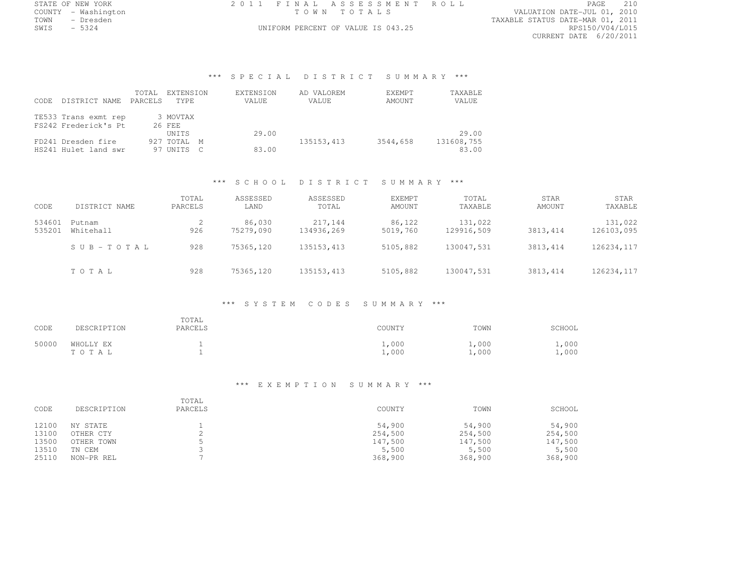| STATE OF NEW YORK   | 2011 FINAL ASSESSMENT ROLL         | PAGE                             |
|---------------------|------------------------------------|----------------------------------|
| COUNTY - Washington | TOWN TOTALS                        | VALUATION DATE-JUL 01, 2010      |
| TOWN<br>- Dresden   |                                    | TAXABLE STATUS DATE-MAR 01, 2011 |
| $-5324$<br>SWIS     | UNIFORM PERCENT OF VALUE IS 043.25 | RPS150/V04/L015                  |
|                     |                                    |                                  |

CURRENT DATE 6/20/2011

# \*\*\* S P E C I A L D I S T R I C T S U M M A R Y \*\*\*

| DISTRICT NAME<br>CODE. | TOTAL<br><b>PARCELS</b> | EXTENSION<br>TYPE.   | EXTENSION<br>VALUE | AD VALOREM<br>VALUE | EXEMPT<br>AMOUNT | TAXABLE<br>VALUE |
|------------------------|-------------------------|----------------------|--------------------|---------------------|------------------|------------------|
| TE533 Trans exmt rep   |                         | 3 MOVTAX             |                    |                     |                  |                  |
| FS242 Frederick's Pt   |                         | 26 FEE               | 29.00              |                     |                  | 29.00            |
| FD241 Dresden fire     |                         | UNITS<br>927 TOTAL M |                    | 135153, 413         | 3544,658         | 131608,755       |
| HS241 Hulet land swr   | 97                      | ' UNTTS              | 83.00              |                     |                  | 83.00            |

### \*\*\* S C H O O L D I S T R I C T S U M M A R Y \*\*\*

| CODE             | DISTRICT NAME       | TOTAL<br>PARCELS | ASSESSED<br>LAND    | ASSESSED<br>TOTAL     | EXEMPT<br>AMOUNT   | TOTAL<br>TAXABLE      | STAR<br>AMOUNT | STAR<br>TAXABLE       |
|------------------|---------------------|------------------|---------------------|-----------------------|--------------------|-----------------------|----------------|-----------------------|
| 534601<br>535201 | Putnam<br>Whitehall | 926              | 86,030<br>75279,090 | 217,144<br>134936,269 | 86,122<br>5019,760 | 131,022<br>129916,509 | 3813, 414      | 131,022<br>126103,095 |
|                  | SUB-TOTAL           | 928              | 75365,120           | 135153, 413           | 5105,882           | 130047,531            | 3813, 414      | 126234, 117           |
|                  | TOTAL               | 928              | 75365,120           | 135153, 413           | 5105,882           | 130047,531            | 3813, 414      | 126234, 117           |

# \*\*\* S Y S T E M C O D E S S U M M A R Y \*\*\*

| CODE  | DESCRIPTION        | TOTAL<br>PARCELS | COUNTY              | TOWN           | SCHOOL         |
|-------|--------------------|------------------|---------------------|----------------|----------------|
| 50000 | WHOLLY EX<br>TOTAL |                  | 1,000<br>$\pm$ ,000 | 1,000<br>1,000 | 1,000<br>1,000 |

### \*\*\* E X E M P T I O N S U M M A R Y \*\*\*

| CODE  | DESCRIPTION | TOTAL<br>PARCELS | COUNTY  | TOWN    | SCHOOL  |
|-------|-------------|------------------|---------|---------|---------|
| 12100 | NY STATE    |                  | 54,900  | 54,900  | 54,900  |
| 13100 | OTHER CTY   |                  | 254,500 | 254,500 | 254,500 |
| 13500 | OTHER TOWN  |                  | 147,500 | 147,500 | 147,500 |
| 13510 | TN CEM      |                  | 5,500   | 5,500   | 5,500   |
| 25110 | NON-PR REL  |                  | 368,900 | 368,900 | 368,900 |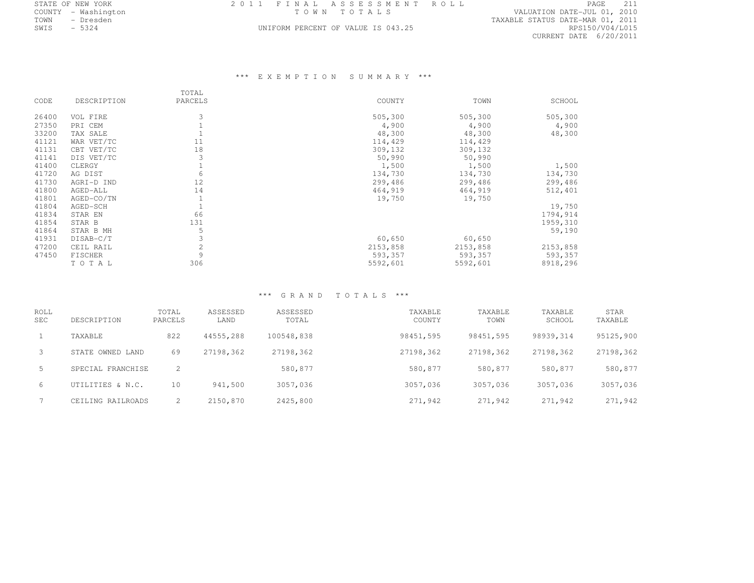| STATE OF NEW YORK   | 2011 FINAL ASSESSMENT ROLL         | 211<br>PAGE                      |
|---------------------|------------------------------------|----------------------------------|
| COUNTY - Washington | TOWN TOTALS                        | VALUATION DATE-JUL 01, 2010      |
| TOWN<br>- Dresden   |                                    | TAXABLE STATUS DATE-MAR 01, 2011 |
| SWIS<br>- 5324      | UNIFORM PERCENT OF VALUE IS 043.25 | RPS150/V04/L015                  |
|                     |                                    | CURRENT DATE 6/20/2011           |

# \*\*\* E X E M P T I O N S U M M A R Y \*\*\*

|       |             | TOTAL   |          |          |          |
|-------|-------------|---------|----------|----------|----------|
| CODE  | DESCRIPTION | PARCELS | COUNTY   | TOWN     | SCHOOL   |
| 26400 | VOL FIRE    | 3       | 505,300  | 505,300  | 505,300  |
| 27350 | PRI CEM     |         | 4,900    | 4,900    | 4,900    |
| 33200 | TAX SALE    |         | 48,300   | 48,300   | 48,300   |
| 41121 | WAR VET/TC  | 11      | 114,429  | 114,429  |          |
| 41131 | CBT VET/TC  | 18      | 309,132  | 309,132  |          |
| 41141 | DIS VET/TC  | 3       | 50,990   | 50,990   |          |
| 41400 | CLERGY      |         | 1,500    | 1,500    | 1,500    |
| 41720 | AG DIST     | 6       | 134,730  | 134,730  | 134,730  |
| 41730 | AGRI-D IND  | 12      | 299,486  | 299,486  | 299,486  |
| 41800 | AGED-ALL    | 14      | 464,919  | 464,919  | 512,401  |
| 41801 | AGED-CO/TN  | 1       | 19,750   | 19,750   |          |
| 41804 | AGED-SCH    |         |          |          | 19,750   |
| 41834 | STAR EN     | 66      |          |          | 1794,914 |
| 41854 | STAR B      | 131     |          |          | 1959,310 |
| 41864 | STAR B MH   | 5       |          |          | 59,190   |
| 41931 | DISAB-C/T   | 3       | 60,650   | 60,650   |          |
| 47200 | CEIL RAIL   | 2       | 2153,858 | 2153,858 | 2153,858 |
| 47450 | FISCHER     | 9       | 593,357  | 593,357  | 593,357  |
|       | TOTAL       | 306     | 5592,601 | 5592,601 | 8918,296 |

| ROLL<br><b>SEC</b> | DESCRIPTION       | TOTAL<br>PARCELS | ASSESSED<br>LAND | ASSESSED<br>TOTAL | TAXABLE<br>COUNTY | TAXABLE<br>TOWN | TAXABLE<br>SCHOOL | STAR<br>TAXABLE |
|--------------------|-------------------|------------------|------------------|-------------------|-------------------|-----------------|-------------------|-----------------|
|                    | TAXABLE           | 822              | 44555,288        | 100548,838        | 98451,595         | 98451,595       | 98939.314         | 95125,900       |
| 3                  | STATE OWNED LAND  | 69               | 27198,362        | 27198,362         | 27198,362         | 27198,362       | 27198.362         | 27198,362       |
| -5                 | SPECIAL FRANCHISE | 2                |                  | 580,877           | 580,877           | 580,877         | 580,877           | 580,877         |
| 6                  | UTILITIES & N.C.  | 10               | 941,500          | 3057,036          | 3057,036          | 3057,036        | 3057,036          | 3057,036        |
|                    | CEILING RAILROADS |                  | 2150,870         | 2425,800          | 271,942           | 271,942         | 271,942           | 271,942         |